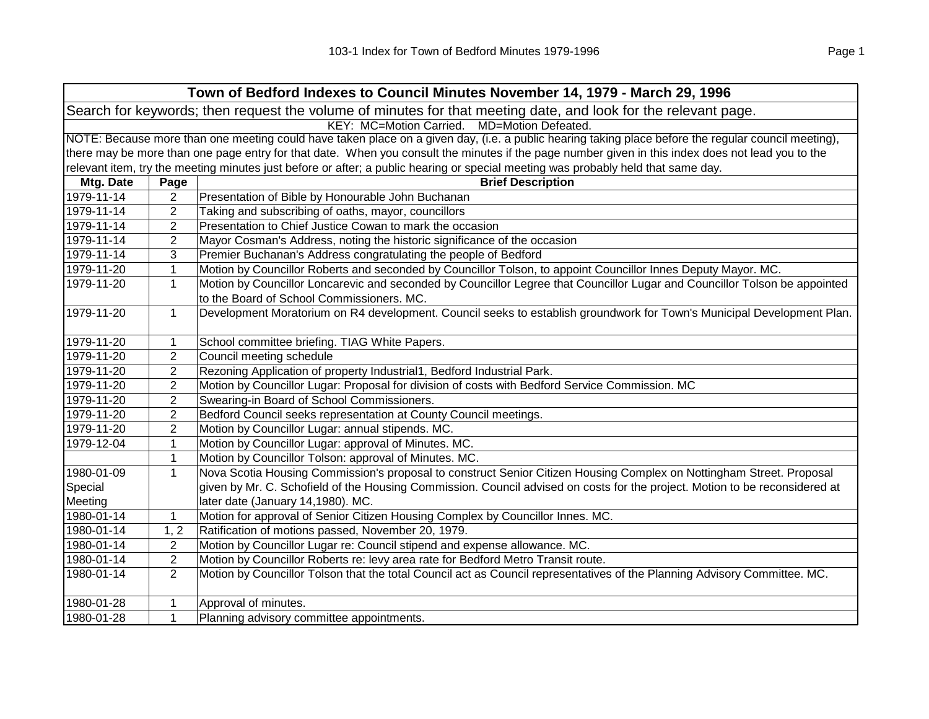| Town of Bedford Indexes to Council Minutes November 14, 1979 - March 29, 1996                                  |                |                                                                                                                                                     |  |  |
|----------------------------------------------------------------------------------------------------------------|----------------|-----------------------------------------------------------------------------------------------------------------------------------------------------|--|--|
| Search for keywords; then request the volume of minutes for that meeting date, and look for the relevant page. |                |                                                                                                                                                     |  |  |
| KEY: MC=Motion Carried.<br>MD=Motion Defeated.                                                                 |                |                                                                                                                                                     |  |  |
|                                                                                                                |                | NOTE: Because more than one meeting could have taken place on a given day, (i.e. a public hearing taking place before the regular council meeting), |  |  |
|                                                                                                                |                | there may be more than one page entry for that date. When you consult the minutes if the page number given in this index does not lead you to the   |  |  |
|                                                                                                                |                | relevant item, try the meeting minutes just before or after; a public hearing or special meeting was probably held that same day.                   |  |  |
| Mtg. Date                                                                                                      | Page           | <b>Brief Description</b>                                                                                                                            |  |  |
| 1979-11-14                                                                                                     | 2              | Presentation of Bible by Honourable John Buchanan                                                                                                   |  |  |
| 1979-11-14                                                                                                     | 2              | Taking and subscribing of oaths, mayor, councillors                                                                                                 |  |  |
| 1979-11-14                                                                                                     | $\overline{2}$ | Presentation to Chief Justice Cowan to mark the occasion                                                                                            |  |  |
| 1979-11-14                                                                                                     | $\overline{2}$ | Mayor Cosman's Address, noting the historic significance of the occasion                                                                            |  |  |
| 1979-11-14                                                                                                     | 3              | Premier Buchanan's Address congratulating the people of Bedford                                                                                     |  |  |
| 1979-11-20                                                                                                     | $\mathbf{1}$   | Motion by Councillor Roberts and seconded by Councillor Tolson, to appoint Councillor Innes Deputy Mayor. MC.                                       |  |  |
| 1979-11-20                                                                                                     | $\mathbf{1}$   | Motion by Councillor Loncarevic and seconded by Councillor Legree that Councillor Lugar and Councillor Tolson be appointed                          |  |  |
|                                                                                                                |                | to the Board of School Commissioners. MC.                                                                                                           |  |  |
| 1979-11-20                                                                                                     | $\mathbf{1}$   | Development Moratorium on R4 development. Council seeks to establish groundwork for Town's Municipal Development Plan.                              |  |  |
| 1979-11-20                                                                                                     | $\mathbf 1$    | School committee briefing. TIAG White Papers.                                                                                                       |  |  |
| 1979-11-20                                                                                                     | $\overline{2}$ | Council meeting schedule                                                                                                                            |  |  |
| 1979-11-20                                                                                                     | $\overline{2}$ | Rezoning Application of property Industrial1, Bedford Industrial Park.                                                                              |  |  |
| 1979-11-20                                                                                                     | $\overline{2}$ | Motion by Councillor Lugar: Proposal for division of costs with Bedford Service Commission. MC                                                      |  |  |
| 1979-11-20                                                                                                     | $\overline{2}$ | Swearing-in Board of School Commissioners.                                                                                                          |  |  |
| 1979-11-20                                                                                                     | $\overline{2}$ | Bedford Council seeks representation at County Council meetings.                                                                                    |  |  |
| 1979-11-20                                                                                                     | $\overline{2}$ | Motion by Councillor Lugar: annual stipends. MC.                                                                                                    |  |  |
| 1979-12-04                                                                                                     | 1              | Motion by Councillor Lugar: approval of Minutes. MC.                                                                                                |  |  |
|                                                                                                                | $\mathbf{1}$   | Motion by Councillor Tolson: approval of Minutes. MC.                                                                                               |  |  |
| 1980-01-09                                                                                                     | $\mathbf 1$    | Nova Scotia Housing Commission's proposal to construct Senior Citizen Housing Complex on Nottingham Street. Proposal                                |  |  |
| Special                                                                                                        |                | given by Mr. C. Schofield of the Housing Commission. Council advised on costs for the project. Motion to be reconsidered at                         |  |  |
| Meeting                                                                                                        |                | later date (January 14,1980). MC.                                                                                                                   |  |  |
| 1980-01-14                                                                                                     | $\mathbf{1}$   | Motion for approval of Senior Citizen Housing Complex by Councillor Innes. MC.                                                                      |  |  |
| 1980-01-14                                                                                                     | 1, 2           | Ratification of motions passed, November 20, 1979.                                                                                                  |  |  |
| 1980-01-14                                                                                                     | $\overline{2}$ | Motion by Councillor Lugar re: Council stipend and expense allowance. MC.                                                                           |  |  |
| 1980-01-14                                                                                                     | $\overline{c}$ | Motion by Councillor Roberts re: levy area rate for Bedford Metro Transit route.                                                                    |  |  |
| 1980-01-14                                                                                                     | $\overline{2}$ | Motion by Councillor Tolson that the total Council act as Council representatives of the Planning Advisory Committee. MC.                           |  |  |
| 1980-01-28                                                                                                     | 1              | Approval of minutes.                                                                                                                                |  |  |
| 1980-01-28                                                                                                     | $\mathbf{1}$   | Planning advisory committee appointments.                                                                                                           |  |  |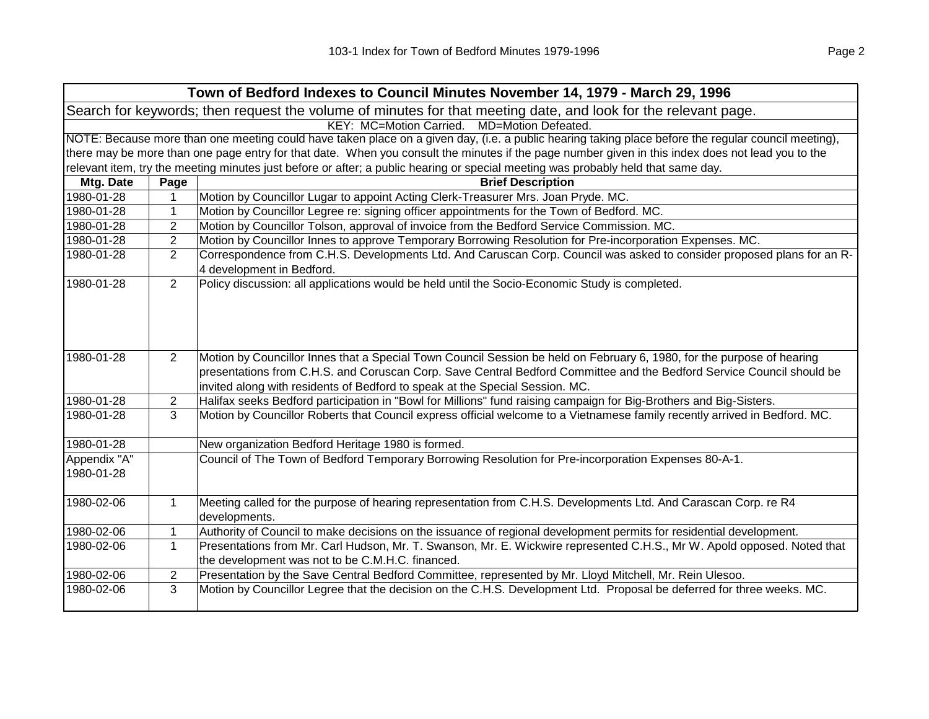| Search for keywords; then request the volume of minutes for that meeting date, and look for the relevant page.<br>KEY: MC=Motion Carried. MD=Motion Defeated. |  |  |  |  |
|---------------------------------------------------------------------------------------------------------------------------------------------------------------|--|--|--|--|
|                                                                                                                                                               |  |  |  |  |
|                                                                                                                                                               |  |  |  |  |
| NOTE: Because more than one meeting could have taken place on a given day, (i.e. a public hearing taking place before the regular council meeting),           |  |  |  |  |
| there may be more than one page entry for that date. When you consult the minutes if the page number given in this index does not lead you to the             |  |  |  |  |
| relevant item, try the meeting minutes just before or after; a public hearing or special meeting was probably held that same day.                             |  |  |  |  |
| Mtg. Date<br><b>Brief Description</b><br>Page                                                                                                                 |  |  |  |  |
| 1980-01-28<br>Motion by Councillor Lugar to appoint Acting Clerk-Treasurer Mrs. Joan Pryde. MC.                                                               |  |  |  |  |
| $\mathbf{1}$<br>Motion by Councillor Legree re: signing officer appointments for the Town of Bedford. MC.<br>1980-01-28                                       |  |  |  |  |
| 1980-01-28<br>$\overline{2}$<br>Motion by Councillor Tolson, approval of invoice from the Bedford Service Commission. MC.                                     |  |  |  |  |
| $\overline{2}$<br>Motion by Councillor Innes to approve Temporary Borrowing Resolution for Pre-incorporation Expenses. MC.<br>1980-01-28                      |  |  |  |  |
| $\overline{2}$<br>Correspondence from C.H.S. Developments Ltd. And Caruscan Corp. Council was asked to consider proposed plans for an R-<br>1980-01-28        |  |  |  |  |
| 4 development in Bedford.                                                                                                                                     |  |  |  |  |
| Policy discussion: all applications would be held until the Socio-Economic Study is completed.<br>1980-01-28<br>$\overline{2}$                                |  |  |  |  |
|                                                                                                                                                               |  |  |  |  |
|                                                                                                                                                               |  |  |  |  |
|                                                                                                                                                               |  |  |  |  |
| 1980-01-28<br>$\overline{2}$<br>Motion by Councillor Innes that a Special Town Council Session be held on February 6, 1980, for the purpose of hearing        |  |  |  |  |
| presentations from C.H.S. and Coruscan Corp. Save Central Bedford Committee and the Bedford Service Council should be                                         |  |  |  |  |
| invited along with residents of Bedford to speak at the Special Session. MC.                                                                                  |  |  |  |  |
| 1980-01-28<br>Halifax seeks Bedford participation in "Bowl for Millions" fund raising campaign for Big-Brothers and Big-Sisters.<br>$\overline{2}$            |  |  |  |  |
| 3<br>Motion by Councillor Roberts that Council express official welcome to a Vietnamese family recently arrived in Bedford. MC.<br>1980-01-28                 |  |  |  |  |
| 1980-01-28<br>New organization Bedford Heritage 1980 is formed.                                                                                               |  |  |  |  |
| Council of The Town of Bedford Temporary Borrowing Resolution for Pre-incorporation Expenses 80-A-1.<br>Appendix "A"                                          |  |  |  |  |
| 1980-01-28                                                                                                                                                    |  |  |  |  |
|                                                                                                                                                               |  |  |  |  |
| Meeting called for the purpose of hearing representation from C.H.S. Developments Ltd. And Carascan Corp. re R4<br>1980-02-06<br>$\mathbf{1}$                 |  |  |  |  |
| developments.                                                                                                                                                 |  |  |  |  |
| Authority of Council to make decisions on the issuance of regional development permits for residential development.<br>1980-02-06<br>$\mathbf 1$              |  |  |  |  |
| $\mathbf{1}$<br>Presentations from Mr. Carl Hudson, Mr. T. Swanson, Mr. E. Wickwire represented C.H.S., Mr W. Apold opposed. Noted that<br>1980-02-06         |  |  |  |  |
| the development was not to be C.M.H.C. financed.                                                                                                              |  |  |  |  |
| 1980-02-06<br>$\overline{c}$<br>Presentation by the Save Central Bedford Committee, represented by Mr. Lloyd Mitchell, Mr. Rein Ulesoo.                       |  |  |  |  |
| 3<br>Motion by Councillor Legree that the decision on the C.H.S. Development Ltd. Proposal be deferred for three weeks. MC.<br>1980-02-06                     |  |  |  |  |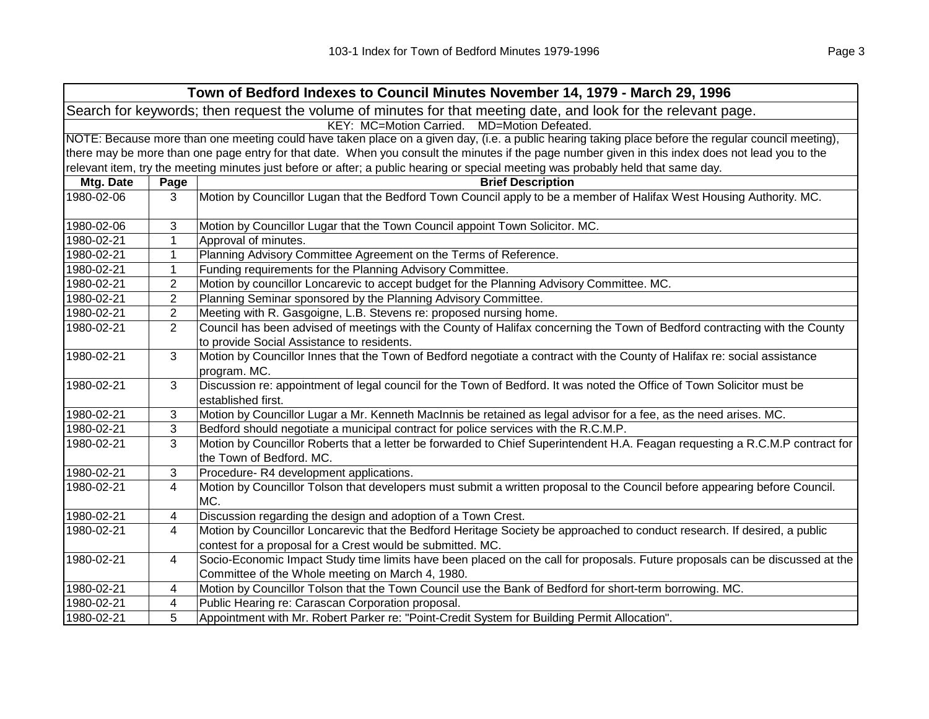| Town of Bedford Indexes to Council Minutes November 14, 1979 - March 29, 1996                                  |                                                                                                                                                     |                                                                                                                                                   |  |  |
|----------------------------------------------------------------------------------------------------------------|-----------------------------------------------------------------------------------------------------------------------------------------------------|---------------------------------------------------------------------------------------------------------------------------------------------------|--|--|
| Search for keywords; then request the volume of minutes for that meeting date, and look for the relevant page. |                                                                                                                                                     |                                                                                                                                                   |  |  |
| KEY: MC=Motion Carried. MD=Motion Defeated.                                                                    |                                                                                                                                                     |                                                                                                                                                   |  |  |
|                                                                                                                | NOTE: Because more than one meeting could have taken place on a given day, (i.e. a public hearing taking place before the regular council meeting), |                                                                                                                                                   |  |  |
|                                                                                                                |                                                                                                                                                     | there may be more than one page entry for that date. When you consult the minutes if the page number given in this index does not lead you to the |  |  |
|                                                                                                                |                                                                                                                                                     | relevant item, try the meeting minutes just before or after; a public hearing or special meeting was probably held that same day.                 |  |  |
| Mtg. Date                                                                                                      | Page                                                                                                                                                | <b>Brief Description</b>                                                                                                                          |  |  |
| 1980-02-06                                                                                                     | 3                                                                                                                                                   | Motion by Councillor Lugan that the Bedford Town Council apply to be a member of Halifax West Housing Authority. MC.                              |  |  |
| 1980-02-06                                                                                                     | 3                                                                                                                                                   | Motion by Councillor Lugar that the Town Council appoint Town Solicitor. MC.                                                                      |  |  |
| 1980-02-21                                                                                                     | $\mathbf{1}$                                                                                                                                        | Approval of minutes.                                                                                                                              |  |  |
| 1980-02-21                                                                                                     | 1                                                                                                                                                   | Planning Advisory Committee Agreement on the Terms of Reference.                                                                                  |  |  |
| 1980-02-21                                                                                                     | 1                                                                                                                                                   | Funding requirements for the Planning Advisory Committee.                                                                                         |  |  |
| 1980-02-21                                                                                                     | 2                                                                                                                                                   | Motion by councillor Loncarevic to accept budget for the Planning Advisory Committee. MC.                                                         |  |  |
| 1980-02-21                                                                                                     | 2                                                                                                                                                   | Planning Seminar sponsored by the Planning Advisory Committee.                                                                                    |  |  |
| 1980-02-21                                                                                                     | 2                                                                                                                                                   | Meeting with R. Gasgoigne, L.B. Stevens re: proposed nursing home.                                                                                |  |  |
| 1980-02-21                                                                                                     | $\overline{2}$                                                                                                                                      | Council has been advised of meetings with the County of Halifax concerning the Town of Bedford contracting with the County                        |  |  |
|                                                                                                                |                                                                                                                                                     | to provide Social Assistance to residents.                                                                                                        |  |  |
| 1980-02-21                                                                                                     | 3                                                                                                                                                   | Motion by Councillor Innes that the Town of Bedford negotiate a contract with the County of Halifax re: social assistance<br>program. MC.         |  |  |
| 1980-02-21                                                                                                     | 3                                                                                                                                                   | Discussion re: appointment of legal council for the Town of Bedford. It was noted the Office of Town Solicitor must be<br>established first.      |  |  |
| 1980-02-21                                                                                                     | 3                                                                                                                                                   | Motion by Councillor Lugar a Mr. Kenneth MacInnis be retained as legal advisor for a fee, as the need arises. MC.                                 |  |  |
| 1980-02-21                                                                                                     | 3                                                                                                                                                   | Bedford should negotiate a municipal contract for police services with the R.C.M.P.                                                               |  |  |
| 1980-02-21                                                                                                     | 3                                                                                                                                                   | Motion by Councillor Roberts that a letter be forwarded to Chief Superintendent H.A. Feagan requesting a R.C.M.P contract for                     |  |  |
|                                                                                                                |                                                                                                                                                     | the Town of Bedford. MC.                                                                                                                          |  |  |
| 1980-02-21                                                                                                     | 3                                                                                                                                                   | Procedure-R4 development applications.                                                                                                            |  |  |
| 1980-02-21                                                                                                     | 4                                                                                                                                                   | Motion by Councillor Tolson that developers must submit a written proposal to the Council before appearing before Council.<br>MC.                 |  |  |
| 1980-02-21                                                                                                     | 4                                                                                                                                                   | Discussion regarding the design and adoption of a Town Crest.                                                                                     |  |  |
| 1980-02-21                                                                                                     | 4                                                                                                                                                   | Motion by Councillor Loncarevic that the Bedford Heritage Society be approached to conduct research. If desired, a public                         |  |  |
|                                                                                                                |                                                                                                                                                     | contest for a proposal for a Crest would be submitted. MC.                                                                                        |  |  |
| 1980-02-21                                                                                                     | 4                                                                                                                                                   | Socio-Economic Impact Study time limits have been placed on the call for proposals. Future proposals can be discussed at the                      |  |  |
|                                                                                                                |                                                                                                                                                     | Committee of the Whole meeting on March 4, 1980.                                                                                                  |  |  |
| 1980-02-21                                                                                                     | 4                                                                                                                                                   | Motion by Councillor Tolson that the Town Council use the Bank of Bedford for short-term borrowing. MC.                                           |  |  |
| 1980-02-21                                                                                                     | 4                                                                                                                                                   | Public Hearing re: Carascan Corporation proposal.                                                                                                 |  |  |
| 1980-02-21                                                                                                     | 5                                                                                                                                                   | Appointment with Mr. Robert Parker re: "Point-Credit System for Building Permit Allocation".                                                      |  |  |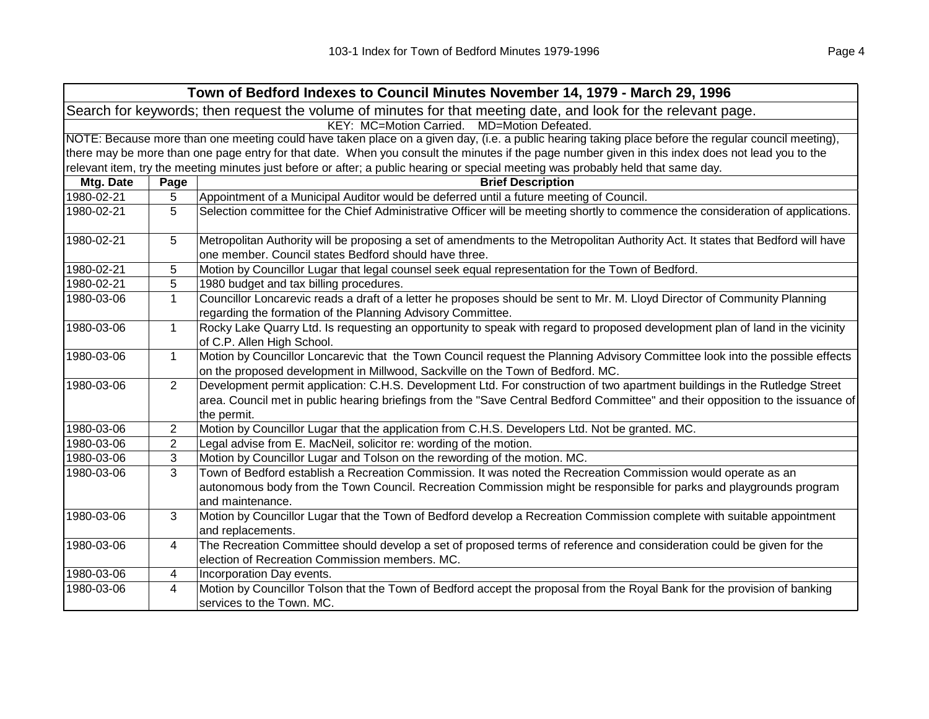|                                                                                                                | Town of Bedford Indexes to Council Minutes November 14, 1979 - March 29, 1996                                                                       |                                                                                                                                                                                                                                                                              |  |  |
|----------------------------------------------------------------------------------------------------------------|-----------------------------------------------------------------------------------------------------------------------------------------------------|------------------------------------------------------------------------------------------------------------------------------------------------------------------------------------------------------------------------------------------------------------------------------|--|--|
| Search for keywords; then request the volume of minutes for that meeting date, and look for the relevant page. |                                                                                                                                                     |                                                                                                                                                                                                                                                                              |  |  |
| KEY: MC=Motion Carried. MD=Motion Defeated.                                                                    |                                                                                                                                                     |                                                                                                                                                                                                                                                                              |  |  |
|                                                                                                                | NOTE: Because more than one meeting could have taken place on a given day, (i.e. a public hearing taking place before the regular council meeting), |                                                                                                                                                                                                                                                                              |  |  |
|                                                                                                                |                                                                                                                                                     | there may be more than one page entry for that date. When you consult the minutes if the page number given in this index does not lead you to the                                                                                                                            |  |  |
|                                                                                                                |                                                                                                                                                     | relevant item, try the meeting minutes just before or after; a public hearing or special meeting was probably held that same day.                                                                                                                                            |  |  |
| Mtg. Date                                                                                                      | Page                                                                                                                                                | <b>Brief Description</b>                                                                                                                                                                                                                                                     |  |  |
| 1980-02-21                                                                                                     | 5                                                                                                                                                   | Appointment of a Municipal Auditor would be deferred until a future meeting of Council.                                                                                                                                                                                      |  |  |
| 1980-02-21                                                                                                     | 5                                                                                                                                                   | Selection committee for the Chief Administrative Officer will be meeting shortly to commence the consideration of applications.                                                                                                                                              |  |  |
| 1980-02-21                                                                                                     | 5                                                                                                                                                   | Metropolitan Authority will be proposing a set of amendments to the Metropolitan Authority Act. It states that Bedford will have<br>one member. Council states Bedford should have three.                                                                                    |  |  |
| 1980-02-21                                                                                                     | 5                                                                                                                                                   | Motion by Councillor Lugar that legal counsel seek equal representation for the Town of Bedford.                                                                                                                                                                             |  |  |
| 1980-02-21                                                                                                     | 5                                                                                                                                                   | 1980 budget and tax billing procedures.                                                                                                                                                                                                                                      |  |  |
| 1980-03-06                                                                                                     | $\mathbf{1}$                                                                                                                                        | Councillor Loncarevic reads a draft of a letter he proposes should be sent to Mr. M. Lloyd Director of Community Planning<br>regarding the formation of the Planning Advisory Committee.                                                                                     |  |  |
| 1980-03-06                                                                                                     | $\mathbf{1}$                                                                                                                                        | Rocky Lake Quarry Ltd. Is requesting an opportunity to speak with regard to proposed development plan of land in the vicinity<br>of C.P. Allen High School.                                                                                                                  |  |  |
| 1980-03-06                                                                                                     | $\mathbf{1}$                                                                                                                                        | Motion by Councillor Loncarevic that the Town Council request the Planning Advisory Committee look into the possible effects<br>on the proposed development in Millwood, Sackville on the Town of Bedford. MC.                                                               |  |  |
| 1980-03-06                                                                                                     | $\overline{2}$                                                                                                                                      | Development permit application: C.H.S. Development Ltd. For construction of two apartment buildings in the Rutledge Street<br>area. Council met in public hearing briefings from the "Save Central Bedford Committee" and their opposition to the issuance of<br>the permit. |  |  |
| 1980-03-06                                                                                                     | $\overline{2}$                                                                                                                                      | Motion by Councillor Lugar that the application from C.H.S. Developers Ltd. Not be granted. MC.                                                                                                                                                                              |  |  |
| 1980-03-06                                                                                                     | $\overline{2}$                                                                                                                                      | Legal advise from E. MacNeil, solicitor re: wording of the motion.                                                                                                                                                                                                           |  |  |
| 1980-03-06                                                                                                     | 3                                                                                                                                                   | Motion by Councillor Lugar and Tolson on the rewording of the motion. MC.                                                                                                                                                                                                    |  |  |
| 1980-03-06                                                                                                     | 3                                                                                                                                                   | Town of Bedford establish a Recreation Commission. It was noted the Recreation Commission would operate as an<br>autonomous body from the Town Council. Recreation Commission might be responsible for parks and playgrounds program<br>and maintenance.                     |  |  |
| 1980-03-06                                                                                                     | 3                                                                                                                                                   | Motion by Councillor Lugar that the Town of Bedford develop a Recreation Commission complete with suitable appointment<br>and replacements.                                                                                                                                  |  |  |
| 1980-03-06                                                                                                     | 4                                                                                                                                                   | The Recreation Committee should develop a set of proposed terms of reference and consideration could be given for the<br>election of Recreation Commission members. MC.                                                                                                      |  |  |
| 1980-03-06                                                                                                     | 4                                                                                                                                                   | Incorporation Day events.                                                                                                                                                                                                                                                    |  |  |
| 1980-03-06                                                                                                     | 4                                                                                                                                                   | Motion by Councillor Tolson that the Town of Bedford accept the proposal from the Royal Bank for the provision of banking<br>services to the Town. MC.                                                                                                                       |  |  |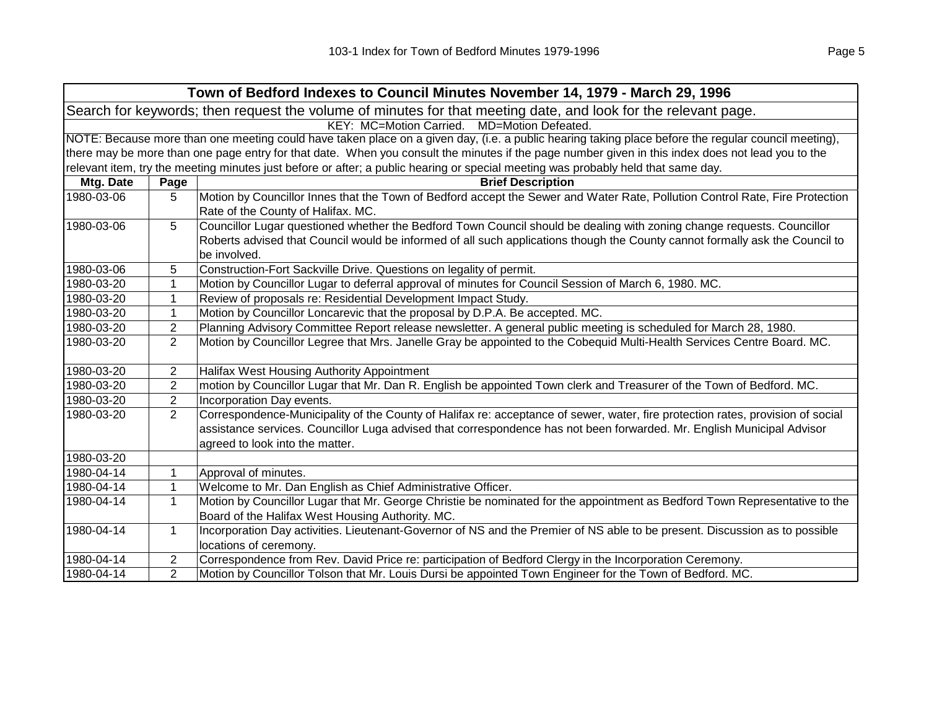| Town of Bedford Indexes to Council Minutes November 14, 1979 - March 29, 1996                                  |                                             |                                                                                                                                                     |  |  |
|----------------------------------------------------------------------------------------------------------------|---------------------------------------------|-----------------------------------------------------------------------------------------------------------------------------------------------------|--|--|
| Search for keywords; then request the volume of minutes for that meeting date, and look for the relevant page. |                                             |                                                                                                                                                     |  |  |
|                                                                                                                | KEY: MC=Motion Carried. MD=Motion Defeated. |                                                                                                                                                     |  |  |
|                                                                                                                |                                             | NOTE: Because more than one meeting could have taken place on a given day, (i.e. a public hearing taking place before the regular council meeting), |  |  |
|                                                                                                                |                                             | there may be more than one page entry for that date. When you consult the minutes if the page number given in this index does not lead you to the   |  |  |
|                                                                                                                |                                             | relevant item, try the meeting minutes just before or after; a public hearing or special meeting was probably held that same day.                   |  |  |
| Mtg. Date                                                                                                      | Page                                        | <b>Brief Description</b>                                                                                                                            |  |  |
| 1980-03-06                                                                                                     | 5                                           | Motion by Councillor Innes that the Town of Bedford accept the Sewer and Water Rate, Pollution Control Rate, Fire Protection                        |  |  |
|                                                                                                                |                                             | Rate of the County of Halifax. MC.                                                                                                                  |  |  |
| 1980-03-06                                                                                                     | 5                                           | Councillor Lugar questioned whether the Bedford Town Council should be dealing with zoning change requests. Councillor                              |  |  |
|                                                                                                                |                                             | Roberts advised that Council would be informed of all such applications though the County cannot formally ask the Council to<br>be involved.        |  |  |
| 1980-03-06                                                                                                     | 5                                           | Construction-Fort Sackville Drive. Questions on legality of permit.                                                                                 |  |  |
| 1980-03-20                                                                                                     | $\mathbf{1}$                                | Motion by Councillor Lugar to deferral approval of minutes for Council Session of March 6, 1980. MC.                                                |  |  |
| 1980-03-20                                                                                                     | $\mathbf{1}$                                | Review of proposals re: Residential Development Impact Study.                                                                                       |  |  |
| 1980-03-20                                                                                                     | 1                                           | Motion by Councillor Loncarevic that the proposal by D.P.A. Be accepted. MC.                                                                        |  |  |
| 1980-03-20                                                                                                     | 2                                           | Planning Advisory Committee Report release newsletter. A general public meeting is scheduled for March 28, 1980.                                    |  |  |
| 1980-03-20                                                                                                     | $\overline{2}$                              | Motion by Councillor Legree that Mrs. Janelle Gray be appointed to the Cobequid Multi-Health Services Centre Board. MC.                             |  |  |
| 1980-03-20                                                                                                     | 2                                           | Halifax West Housing Authority Appointment                                                                                                          |  |  |
| 1980-03-20                                                                                                     | 2                                           | motion by Councillor Lugar that Mr. Dan R. English be appointed Town clerk and Treasurer of the Town of Bedford. MC.                                |  |  |
| 1980-03-20                                                                                                     | 2                                           | Incorporation Day events.                                                                                                                           |  |  |
| 1980-03-20                                                                                                     | $\overline{2}$                              | Correspondence-Municipality of the County of Halifax re: acceptance of sewer, water, fire protection rates, provision of social                     |  |  |
|                                                                                                                |                                             | assistance services. Councillor Luga advised that correspondence has not been forwarded. Mr. English Municipal Advisor                              |  |  |
|                                                                                                                |                                             | agreed to look into the matter.                                                                                                                     |  |  |
| 1980-03-20                                                                                                     |                                             |                                                                                                                                                     |  |  |
| 1980-04-14                                                                                                     | 1                                           | Approval of minutes.                                                                                                                                |  |  |
| 1980-04-14                                                                                                     | $\mathbf{1}$                                | Welcome to Mr. Dan English as Chief Administrative Officer.                                                                                         |  |  |
| 1980-04-14                                                                                                     | $\mathbf{1}$                                | Motion by Councillor Lugar that Mr. George Christie be nominated for the appointment as Bedford Town Representative to the                          |  |  |
|                                                                                                                |                                             | Board of the Halifax West Housing Authority. MC.                                                                                                    |  |  |
| 1980-04-14                                                                                                     | 1                                           | Incorporation Day activities. Lieutenant-Governor of NS and the Premier of NS able to be present. Discussion as to possible                         |  |  |
|                                                                                                                |                                             | locations of ceremony.                                                                                                                              |  |  |
| 1980-04-14                                                                                                     | 2                                           | Correspondence from Rev. David Price re: participation of Bedford Clergy in the Incorporation Ceremony.                                             |  |  |
| 1980-04-14                                                                                                     | $\overline{2}$                              | Motion by Councillor Tolson that Mr. Louis Dursi be appointed Town Engineer for the Town of Bedford. MC.                                            |  |  |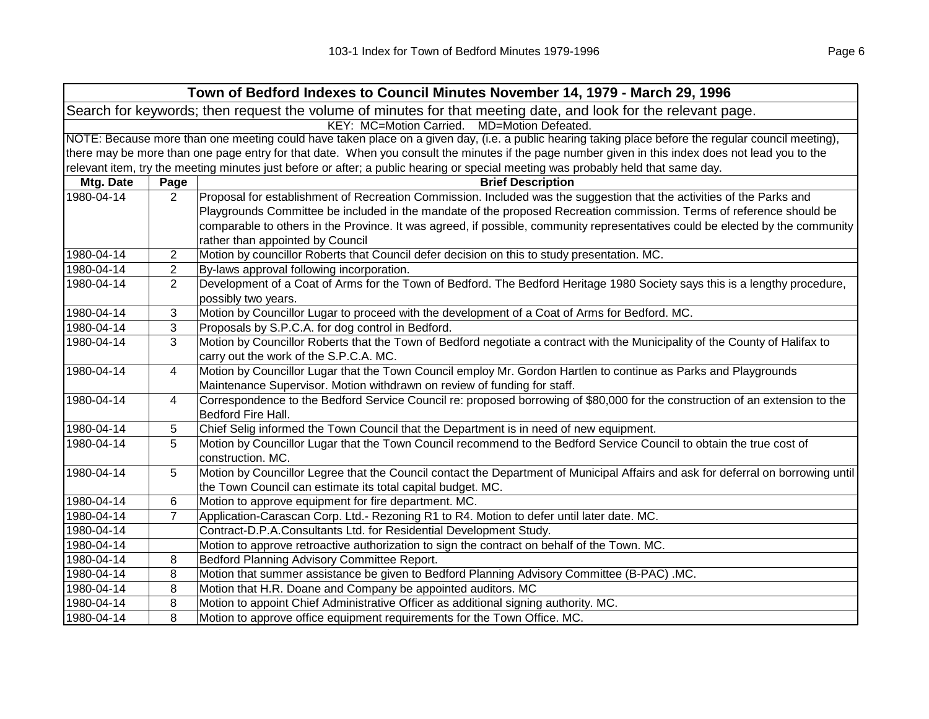| Town of Bedford Indexes to Council Minutes November 14, 1979 - March 29, 1996                                  |                                                                                                                                                     |                                                                                                                                                   |  |  |  |
|----------------------------------------------------------------------------------------------------------------|-----------------------------------------------------------------------------------------------------------------------------------------------------|---------------------------------------------------------------------------------------------------------------------------------------------------|--|--|--|
| Search for keywords; then request the volume of minutes for that meeting date, and look for the relevant page. |                                                                                                                                                     |                                                                                                                                                   |  |  |  |
|                                                                                                                | KEY: MC=Motion Carried. MD=Motion Defeated.                                                                                                         |                                                                                                                                                   |  |  |  |
|                                                                                                                | NOTE: Because more than one meeting could have taken place on a given day, (i.e. a public hearing taking place before the regular council meeting), |                                                                                                                                                   |  |  |  |
|                                                                                                                |                                                                                                                                                     | there may be more than one page entry for that date. When you consult the minutes if the page number given in this index does not lead you to the |  |  |  |
|                                                                                                                |                                                                                                                                                     | relevant item, try the meeting minutes just before or after; a public hearing or special meeting was probably held that same day.                 |  |  |  |
| Mtg. Date                                                                                                      | Page                                                                                                                                                | <b>Brief Description</b>                                                                                                                          |  |  |  |
| 1980-04-14                                                                                                     | $\overline{2}$                                                                                                                                      | Proposal for establishment of Recreation Commission. Included was the suggestion that the activities of the Parks and                             |  |  |  |
|                                                                                                                |                                                                                                                                                     | Playgrounds Committee be included in the mandate of the proposed Recreation commission. Terms of reference should be                              |  |  |  |
|                                                                                                                |                                                                                                                                                     | comparable to others in the Province. It was agreed, if possible, community representatives could be elected by the community                     |  |  |  |
|                                                                                                                |                                                                                                                                                     | rather than appointed by Council                                                                                                                  |  |  |  |
| 1980-04-14                                                                                                     | $\overline{2}$                                                                                                                                      | Motion by councillor Roberts that Council defer decision on this to study presentation. MC.                                                       |  |  |  |
| 1980-04-14                                                                                                     | $\overline{c}$                                                                                                                                      | By-laws approval following incorporation.                                                                                                         |  |  |  |
| 1980-04-14                                                                                                     | $\overline{2}$                                                                                                                                      | Development of a Coat of Arms for the Town of Bedford. The Bedford Heritage 1980 Society says this is a lengthy procedure,                        |  |  |  |
|                                                                                                                |                                                                                                                                                     | possibly two years.                                                                                                                               |  |  |  |
| 1980-04-14                                                                                                     | 3                                                                                                                                                   | Motion by Councillor Lugar to proceed with the development of a Coat of Arms for Bedford. MC.                                                     |  |  |  |
| 1980-04-14                                                                                                     | 3                                                                                                                                                   | Proposals by S.P.C.A. for dog control in Bedford.                                                                                                 |  |  |  |
| 1980-04-14                                                                                                     | 3                                                                                                                                                   | Motion by Councillor Roberts that the Town of Bedford negotiate a contract with the Municipality of the County of Halifax to                      |  |  |  |
|                                                                                                                |                                                                                                                                                     | carry out the work of the S.P.C.A. MC.                                                                                                            |  |  |  |
| 1980-04-14                                                                                                     | 4                                                                                                                                                   | Motion by Councillor Lugar that the Town Council employ Mr. Gordon Hartlen to continue as Parks and Playgrounds                                   |  |  |  |
|                                                                                                                |                                                                                                                                                     | Maintenance Supervisor. Motion withdrawn on review of funding for staff.                                                                          |  |  |  |
| 1980-04-14                                                                                                     | 4                                                                                                                                                   | Correspondence to the Bedford Service Council re: proposed borrowing of \$80,000 for the construction of an extension to the                      |  |  |  |
|                                                                                                                |                                                                                                                                                     | Bedford Fire Hall.                                                                                                                                |  |  |  |
| 1980-04-14                                                                                                     | 5                                                                                                                                                   | Chief Selig informed the Town Council that the Department is in need of new equipment.                                                            |  |  |  |
| 1980-04-14                                                                                                     | 5                                                                                                                                                   | Motion by Councillor Lugar that the Town Council recommend to the Bedford Service Council to obtain the true cost of                              |  |  |  |
|                                                                                                                |                                                                                                                                                     | construction. MC.                                                                                                                                 |  |  |  |
| 1980-04-14                                                                                                     | 5                                                                                                                                                   | Motion by Councillor Legree that the Council contact the Department of Municipal Affairs and ask for deferral on borrowing until                  |  |  |  |
|                                                                                                                |                                                                                                                                                     | the Town Council can estimate its total capital budget. MC.                                                                                       |  |  |  |
| 1980-04-14                                                                                                     | 6                                                                                                                                                   | Motion to approve equipment for fire department. MC.                                                                                              |  |  |  |
| 1980-04-14                                                                                                     | $\overline{7}$                                                                                                                                      | Application-Carascan Corp. Ltd.- Rezoning R1 to R4. Motion to defer until later date. MC.                                                         |  |  |  |
| 1980-04-14                                                                                                     |                                                                                                                                                     | Contract-D.P.A.Consultants Ltd. for Residential Development Study.                                                                                |  |  |  |
| 1980-04-14                                                                                                     |                                                                                                                                                     | Motion to approve retroactive authorization to sign the contract on behalf of the Town. MC.                                                       |  |  |  |
| 1980-04-14                                                                                                     | 8                                                                                                                                                   | Bedford Planning Advisory Committee Report.                                                                                                       |  |  |  |
| 1980-04-14                                                                                                     | 8                                                                                                                                                   | Motion that summer assistance be given to Bedford Planning Advisory Committee (B-PAC) .MC.                                                        |  |  |  |
| 1980-04-14                                                                                                     | 8                                                                                                                                                   | Motion that H.R. Doane and Company be appointed auditors. MC                                                                                      |  |  |  |
| 1980-04-14                                                                                                     | 8                                                                                                                                                   | Motion to appoint Chief Administrative Officer as additional signing authority. MC.                                                               |  |  |  |
| 1980-04-14                                                                                                     | 8                                                                                                                                                   | Motion to approve office equipment requirements for the Town Office. MC.                                                                          |  |  |  |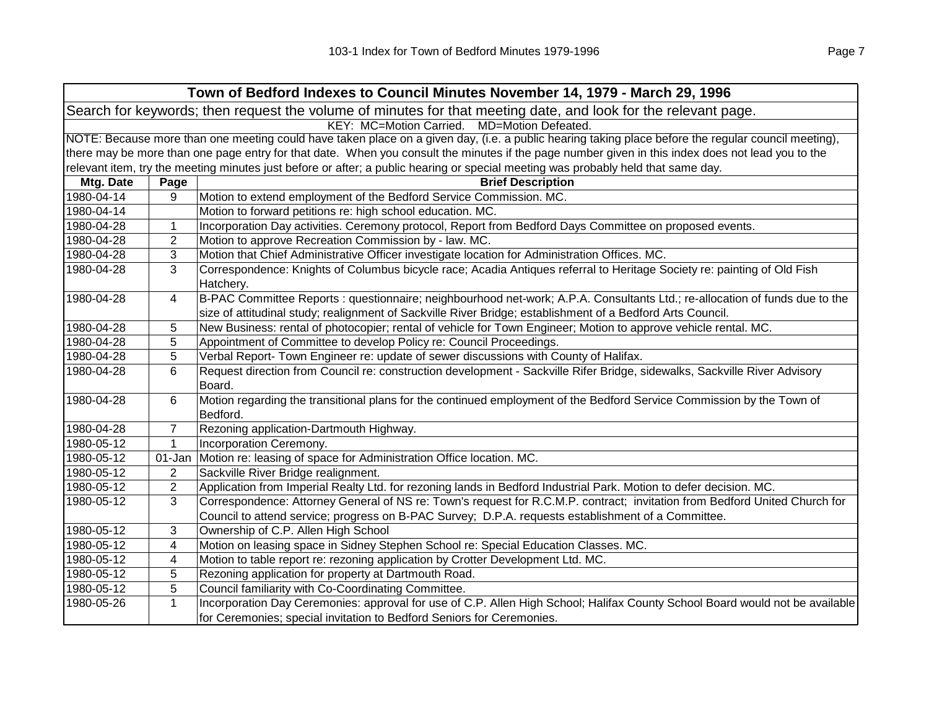| Town of Bedford Indexes to Council Minutes November 14, 1979 - March 29, 1996                                  |                                                                                                                                                     |                                                                                                                                                   |  |  |
|----------------------------------------------------------------------------------------------------------------|-----------------------------------------------------------------------------------------------------------------------------------------------------|---------------------------------------------------------------------------------------------------------------------------------------------------|--|--|
| Search for keywords; then request the volume of minutes for that meeting date, and look for the relevant page. |                                                                                                                                                     |                                                                                                                                                   |  |  |
| KEY: MC=Motion Carried. MD=Motion Defeated.                                                                    |                                                                                                                                                     |                                                                                                                                                   |  |  |
|                                                                                                                | NOTE: Because more than one meeting could have taken place on a given day, (i.e. a public hearing taking place before the regular council meeting), |                                                                                                                                                   |  |  |
|                                                                                                                |                                                                                                                                                     | there may be more than one page entry for that date. When you consult the minutes if the page number given in this index does not lead you to the |  |  |
|                                                                                                                |                                                                                                                                                     | relevant item, try the meeting minutes just before or after; a public hearing or special meeting was probably held that same day.                 |  |  |
| Mtg. Date                                                                                                      | Page                                                                                                                                                | <b>Brief Description</b>                                                                                                                          |  |  |
| 1980-04-14                                                                                                     | 9                                                                                                                                                   | Motion to extend employment of the Bedford Service Commission. MC.                                                                                |  |  |
| 1980-04-14                                                                                                     |                                                                                                                                                     | Motion to forward petitions re: high school education. MC.                                                                                        |  |  |
| 1980-04-28                                                                                                     | $\mathbf{1}$                                                                                                                                        | Incorporation Day activities. Ceremony protocol, Report from Bedford Days Committee on proposed events.                                           |  |  |
| 1980-04-28                                                                                                     | $\overline{2}$                                                                                                                                      | Motion to approve Recreation Commission by - law. MC.                                                                                             |  |  |
| 1980-04-28                                                                                                     | 3                                                                                                                                                   | Motion that Chief Administrative Officer investigate location for Administration Offices. MC.                                                     |  |  |
| 1980-04-28                                                                                                     | 3                                                                                                                                                   | Correspondence: Knights of Columbus bicycle race; Acadia Antiques referral to Heritage Society re: painting of Old Fish<br>Hatchery.              |  |  |
| 1980-04-28                                                                                                     | 4                                                                                                                                                   | B-PAC Committee Reports : questionnaire; neighbourhood net-work; A.P.A. Consultants Ltd.; re-allocation of funds due to the                       |  |  |
|                                                                                                                |                                                                                                                                                     | size of attitudinal study; realignment of Sackville River Bridge; establishment of a Bedford Arts Council.                                        |  |  |
| 1980-04-28                                                                                                     | 5                                                                                                                                                   | New Business: rental of photocopier; rental of vehicle for Town Engineer; Motion to approve vehicle rental. MC.                                   |  |  |
| 1980-04-28                                                                                                     | 5                                                                                                                                                   | Appointment of Committee to develop Policy re: Council Proceedings.                                                                               |  |  |
| 1980-04-28                                                                                                     | 5                                                                                                                                                   | Verbal Report- Town Engineer re: update of sewer discussions with County of Halifax.                                                              |  |  |
| 1980-04-28                                                                                                     | 6                                                                                                                                                   | Request direction from Council re: construction development - Sackville Rifer Bridge, sidewalks, Sackville River Advisory                         |  |  |
|                                                                                                                |                                                                                                                                                     | Board.                                                                                                                                            |  |  |
| 1980-04-28                                                                                                     | 6                                                                                                                                                   | Motion regarding the transitional plans for the continued employment of the Bedford Service Commission by the Town of                             |  |  |
|                                                                                                                |                                                                                                                                                     | Bedford.                                                                                                                                          |  |  |
| 1980-04-28                                                                                                     | $\overline{7}$                                                                                                                                      | Rezoning application-Dartmouth Highway.                                                                                                           |  |  |
| 1980-05-12                                                                                                     | $\mathbf{1}$                                                                                                                                        | Incorporation Ceremony.                                                                                                                           |  |  |
| 1980-05-12                                                                                                     | 01-Jan                                                                                                                                              | Motion re: leasing of space for Administration Office location. MC.                                                                               |  |  |
| 1980-05-12                                                                                                     | $\overline{2}$                                                                                                                                      | Sackville River Bridge realignment.                                                                                                               |  |  |
| 1980-05-12                                                                                                     | $\mathbf{2}$                                                                                                                                        | Application from Imperial Realty Ltd. for rezoning lands in Bedford Industrial Park. Motion to defer decision. MC.                                |  |  |
| 1980-05-12                                                                                                     | 3                                                                                                                                                   | Correspondence: Attorney General of NS re: Town's request for R.C.M.P. contract; invitation from Bedford United Church for                        |  |  |
|                                                                                                                |                                                                                                                                                     | Council to attend service; progress on B-PAC Survey; D.P.A. requests establishment of a Committee.                                                |  |  |
| 1980-05-12                                                                                                     | 3                                                                                                                                                   | Ownership of C.P. Allen High School                                                                                                               |  |  |
| 1980-05-12                                                                                                     | 4                                                                                                                                                   | Motion on leasing space in Sidney Stephen School re: Special Education Classes. MC.                                                               |  |  |
| 1980-05-12                                                                                                     | 4                                                                                                                                                   | Motion to table report re: rezoning application by Crotter Development Ltd. MC.                                                                   |  |  |
| 1980-05-12                                                                                                     | 5                                                                                                                                                   | Rezoning application for property at Dartmouth Road.                                                                                              |  |  |
| 1980-05-12                                                                                                     | 5                                                                                                                                                   | Council familiarity with Co-Coordinating Committee.                                                                                               |  |  |
| 1980-05-26                                                                                                     | $\mathbf{1}$                                                                                                                                        | Incorporation Day Ceremonies: approval for use of C.P. Allen High School; Halifax County School Board would not be available                      |  |  |
|                                                                                                                |                                                                                                                                                     | for Ceremonies; special invitation to Bedford Seniors for Ceremonies.                                                                             |  |  |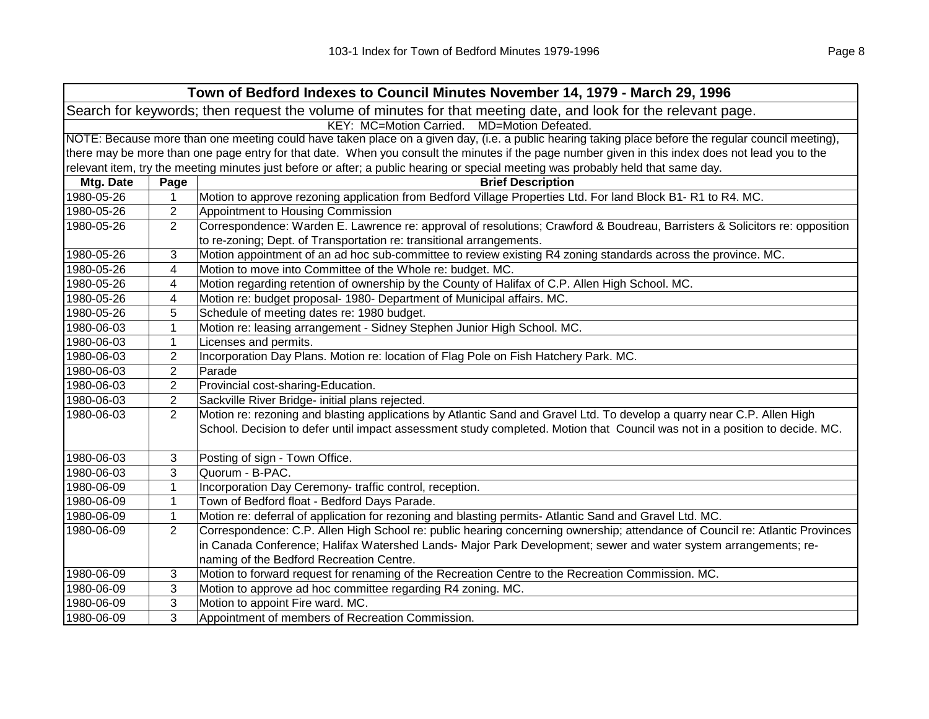| Town of Bedford Indexes to Council Minutes November 14, 1979 - March 29, 1996                                  |                                                                                                                                                     |                                                                                                                                                   |  |
|----------------------------------------------------------------------------------------------------------------|-----------------------------------------------------------------------------------------------------------------------------------------------------|---------------------------------------------------------------------------------------------------------------------------------------------------|--|
| Search for keywords; then request the volume of minutes for that meeting date, and look for the relevant page. |                                                                                                                                                     |                                                                                                                                                   |  |
| KEY: MC=Motion Carried. MD=Motion Defeated.                                                                    |                                                                                                                                                     |                                                                                                                                                   |  |
|                                                                                                                | NOTE: Because more than one meeting could have taken place on a given day, (i.e. a public hearing taking place before the regular council meeting), |                                                                                                                                                   |  |
|                                                                                                                |                                                                                                                                                     | there may be more than one page entry for that date. When you consult the minutes if the page number given in this index does not lead you to the |  |
|                                                                                                                |                                                                                                                                                     | relevant item, try the meeting minutes just before or after; a public hearing or special meeting was probably held that same day.                 |  |
| Mtg. Date                                                                                                      | Page                                                                                                                                                | <b>Brief Description</b>                                                                                                                          |  |
| 1980-05-26                                                                                                     | 1                                                                                                                                                   | Motion to approve rezoning application from Bedford Village Properties Ltd. For land Block B1-R1 to R4. MC.                                       |  |
| 1980-05-26                                                                                                     | $\overline{2}$                                                                                                                                      | Appointment to Housing Commission                                                                                                                 |  |
| 1980-05-26                                                                                                     | $\overline{2}$                                                                                                                                      | Correspondence: Warden E. Lawrence re: approval of resolutions; Crawford & Boudreau, Barristers & Solicitors re: opposition                       |  |
|                                                                                                                |                                                                                                                                                     | to re-zoning; Dept. of Transportation re: transitional arrangements.                                                                              |  |
| 1980-05-26                                                                                                     | 3                                                                                                                                                   | Motion appointment of an ad hoc sub-committee to review existing R4 zoning standards across the province. MC.                                     |  |
| 1980-05-26                                                                                                     | 4                                                                                                                                                   | Motion to move into Committee of the Whole re: budget. MC.                                                                                        |  |
| 1980-05-26                                                                                                     | 4                                                                                                                                                   | Motion regarding retention of ownership by the County of Halifax of C.P. Allen High School. MC.                                                   |  |
| 1980-05-26                                                                                                     | 4                                                                                                                                                   | Motion re: budget proposal- 1980- Department of Municipal affairs. MC.                                                                            |  |
| 1980-05-26                                                                                                     | 5                                                                                                                                                   | Schedule of meeting dates re: 1980 budget.                                                                                                        |  |
| 1980-06-03                                                                                                     | $\mathbf{1}$                                                                                                                                        | Motion re: leasing arrangement - Sidney Stephen Junior High School. MC.                                                                           |  |
| 1980-06-03                                                                                                     | $\mathbf{1}$                                                                                                                                        | Licenses and permits.                                                                                                                             |  |
| 1980-06-03                                                                                                     | $\overline{2}$                                                                                                                                      | Incorporation Day Plans. Motion re: location of Flag Pole on Fish Hatchery Park. MC.                                                              |  |
| 1980-06-03                                                                                                     | $\overline{2}$                                                                                                                                      | Parade                                                                                                                                            |  |
| 1980-06-03                                                                                                     | $\overline{\mathbf{c}}$                                                                                                                             | Provincial cost-sharing-Education.                                                                                                                |  |
| 1980-06-03                                                                                                     | $\overline{\mathbf{c}}$                                                                                                                             | Sackville River Bridge- initial plans rejected.                                                                                                   |  |
| 1980-06-03                                                                                                     | $\overline{2}$                                                                                                                                      | Motion re: rezoning and blasting applications by Atlantic Sand and Gravel Ltd. To develop a quarry near C.P. Allen High                           |  |
|                                                                                                                |                                                                                                                                                     | School. Decision to defer until impact assessment study completed. Motion that Council was not in a position to decide. MC.                       |  |
|                                                                                                                |                                                                                                                                                     |                                                                                                                                                   |  |
| 1980-06-03                                                                                                     | 3                                                                                                                                                   | Posting of sign - Town Office.                                                                                                                    |  |
| 1980-06-03                                                                                                     | 3                                                                                                                                                   | Quorum - B-PAC.                                                                                                                                   |  |
| 1980-06-09                                                                                                     | $\mathbf{1}$                                                                                                                                        | Incorporation Day Ceremony- traffic control, reception.                                                                                           |  |
| 1980-06-09                                                                                                     | $\mathbf{1}$                                                                                                                                        | Town of Bedford float - Bedford Days Parade.                                                                                                      |  |
| 1980-06-09                                                                                                     | $\mathbf{1}$                                                                                                                                        | Motion re: deferral of application for rezoning and blasting permits- Atlantic Sand and Gravel Ltd. MC.                                           |  |
| 1980-06-09                                                                                                     | $\overline{2}$                                                                                                                                      | Correspondence: C.P. Allen High School re: public hearing concerning ownership; attendance of Council re: Atlantic Provinces                      |  |
|                                                                                                                |                                                                                                                                                     | in Canada Conference; Halifax Watershed Lands- Major Park Development; sewer and water system arrangements; re-                                   |  |
|                                                                                                                |                                                                                                                                                     | naming of the Bedford Recreation Centre.                                                                                                          |  |
| 1980-06-09                                                                                                     | 3                                                                                                                                                   | Motion to forward request for renaming of the Recreation Centre to the Recreation Commission. MC.                                                 |  |
| 1980-06-09                                                                                                     | 3                                                                                                                                                   | Motion to approve ad hoc committee regarding R4 zoning. MC.                                                                                       |  |
| 1980-06-09                                                                                                     | 3                                                                                                                                                   | Motion to appoint Fire ward. MC.                                                                                                                  |  |
| 1980-06-09                                                                                                     | 3                                                                                                                                                   | Appointment of members of Recreation Commission.                                                                                                  |  |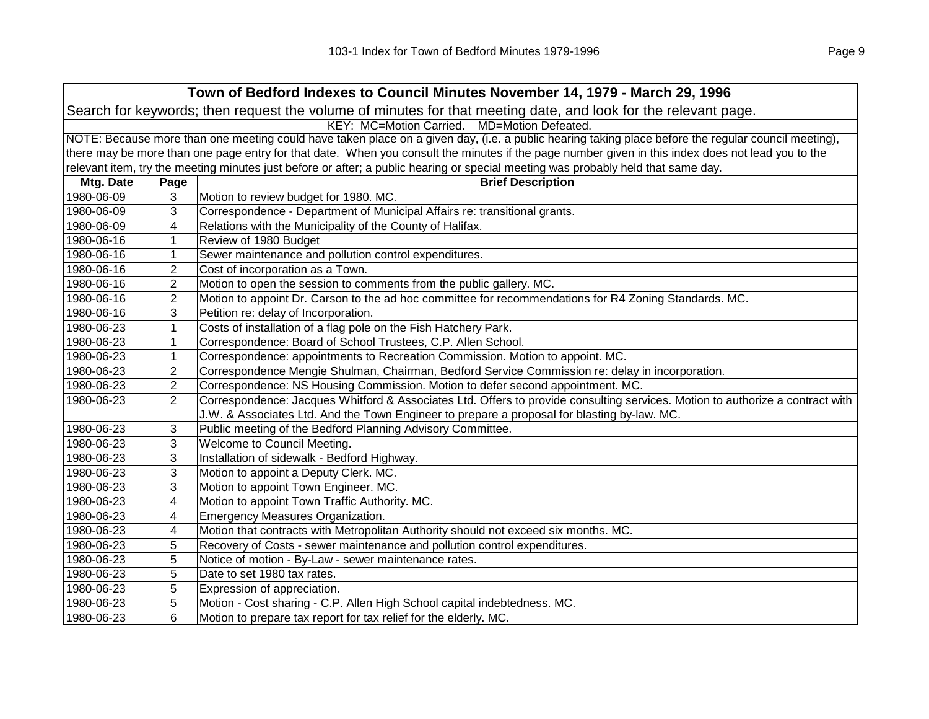| Town of Bedford Indexes to Council Minutes November 14, 1979 - March 29, 1996                                  |                                                                                                                                                     |                                                                                                                                   |  |  |
|----------------------------------------------------------------------------------------------------------------|-----------------------------------------------------------------------------------------------------------------------------------------------------|-----------------------------------------------------------------------------------------------------------------------------------|--|--|
| Search for keywords; then request the volume of minutes for that meeting date, and look for the relevant page. |                                                                                                                                                     |                                                                                                                                   |  |  |
| KEY: MC=Motion Carried. MD=Motion Defeated.                                                                    |                                                                                                                                                     |                                                                                                                                   |  |  |
|                                                                                                                | NOTE: Because more than one meeting could have taken place on a given day, (i.e. a public hearing taking place before the regular council meeting), |                                                                                                                                   |  |  |
|                                                                                                                | there may be more than one page entry for that date. When you consult the minutes if the page number given in this index does not lead you to the   |                                                                                                                                   |  |  |
|                                                                                                                |                                                                                                                                                     | relevant item, try the meeting minutes just before or after; a public hearing or special meeting was probably held that same day. |  |  |
| Mtg. Date                                                                                                      | Page                                                                                                                                                | <b>Brief Description</b>                                                                                                          |  |  |
| 1980-06-09                                                                                                     | 3                                                                                                                                                   | Motion to review budget for 1980. MC.                                                                                             |  |  |
| 1980-06-09                                                                                                     | 3                                                                                                                                                   | Correspondence - Department of Municipal Affairs re: transitional grants.                                                         |  |  |
| 1980-06-09                                                                                                     | 4                                                                                                                                                   | Relations with the Municipality of the County of Halifax.                                                                         |  |  |
| 1980-06-16                                                                                                     | $\mathbf 1$                                                                                                                                         | Review of 1980 Budget                                                                                                             |  |  |
| 1980-06-16                                                                                                     | 1                                                                                                                                                   | Sewer maintenance and pollution control expenditures.                                                                             |  |  |
| 1980-06-16                                                                                                     | $\overline{2}$                                                                                                                                      | Cost of incorporation as a Town.                                                                                                  |  |  |
| 1980-06-16                                                                                                     | 2                                                                                                                                                   | Motion to open the session to comments from the public gallery. MC.                                                               |  |  |
| 1980-06-16                                                                                                     | 2                                                                                                                                                   | Motion to appoint Dr. Carson to the ad hoc committee for recommendations for R4 Zoning Standards. MC.                             |  |  |
| 1980-06-16                                                                                                     | 3                                                                                                                                                   | Petition re: delay of Incorporation.                                                                                              |  |  |
| 1980-06-23                                                                                                     | 1                                                                                                                                                   | Costs of installation of a flag pole on the Fish Hatchery Park.                                                                   |  |  |
| 1980-06-23                                                                                                     | 1                                                                                                                                                   | Correspondence: Board of School Trustees, C.P. Allen School.                                                                      |  |  |
| 1980-06-23                                                                                                     | 1                                                                                                                                                   | Correspondence: appointments to Recreation Commission. Motion to appoint. MC.                                                     |  |  |
| 1980-06-23                                                                                                     | 2                                                                                                                                                   | Correspondence Mengie Shulman, Chairman, Bedford Service Commission re: delay in incorporation.                                   |  |  |
| 1980-06-23                                                                                                     | $\overline{2}$                                                                                                                                      | Correspondence: NS Housing Commission. Motion to defer second appointment. MC.                                                    |  |  |
| 1980-06-23                                                                                                     | $\overline{2}$                                                                                                                                      | Correspondence: Jacques Whitford & Associates Ltd. Offers to provide consulting services. Motion to authorize a contract with     |  |  |
|                                                                                                                |                                                                                                                                                     | J.W. & Associates Ltd. And the Town Engineer to prepare a proposal for blasting by-law. MC.                                       |  |  |
| 1980-06-23                                                                                                     | 3                                                                                                                                                   | Public meeting of the Bedford Planning Advisory Committee.                                                                        |  |  |
| 1980-06-23                                                                                                     | 3                                                                                                                                                   | Welcome to Council Meeting.                                                                                                       |  |  |
| 1980-06-23                                                                                                     | 3                                                                                                                                                   | Installation of sidewalk - Bedford Highway.                                                                                       |  |  |
| 1980-06-23                                                                                                     | 3                                                                                                                                                   | Motion to appoint a Deputy Clerk. MC.                                                                                             |  |  |
| 1980-06-23                                                                                                     | 3                                                                                                                                                   | Motion to appoint Town Engineer. MC.                                                                                              |  |  |
| 1980-06-23                                                                                                     | 4                                                                                                                                                   | Motion to appoint Town Traffic Authority. MC.                                                                                     |  |  |
| 1980-06-23                                                                                                     | 4                                                                                                                                                   | Emergency Measures Organization.                                                                                                  |  |  |
| 1980-06-23                                                                                                     | 4                                                                                                                                                   | Motion that contracts with Metropolitan Authority should not exceed six months. MC.                                               |  |  |
| 1980-06-23                                                                                                     | 5                                                                                                                                                   | Recovery of Costs - sewer maintenance and pollution control expenditures.                                                         |  |  |
| 1980-06-23                                                                                                     | 5                                                                                                                                                   | Notice of motion - By-Law - sewer maintenance rates.                                                                              |  |  |
| 1980-06-23                                                                                                     | 5                                                                                                                                                   | Date to set 1980 tax rates.                                                                                                       |  |  |
| 1980-06-23                                                                                                     | 5                                                                                                                                                   | Expression of appreciation.                                                                                                       |  |  |
| 1980-06-23                                                                                                     | 5                                                                                                                                                   | Motion - Cost sharing - C.P. Allen High School capital indebtedness. MC.                                                          |  |  |
| 1980-06-23                                                                                                     | 6                                                                                                                                                   | Motion to prepare tax report for tax relief for the elderly. MC.                                                                  |  |  |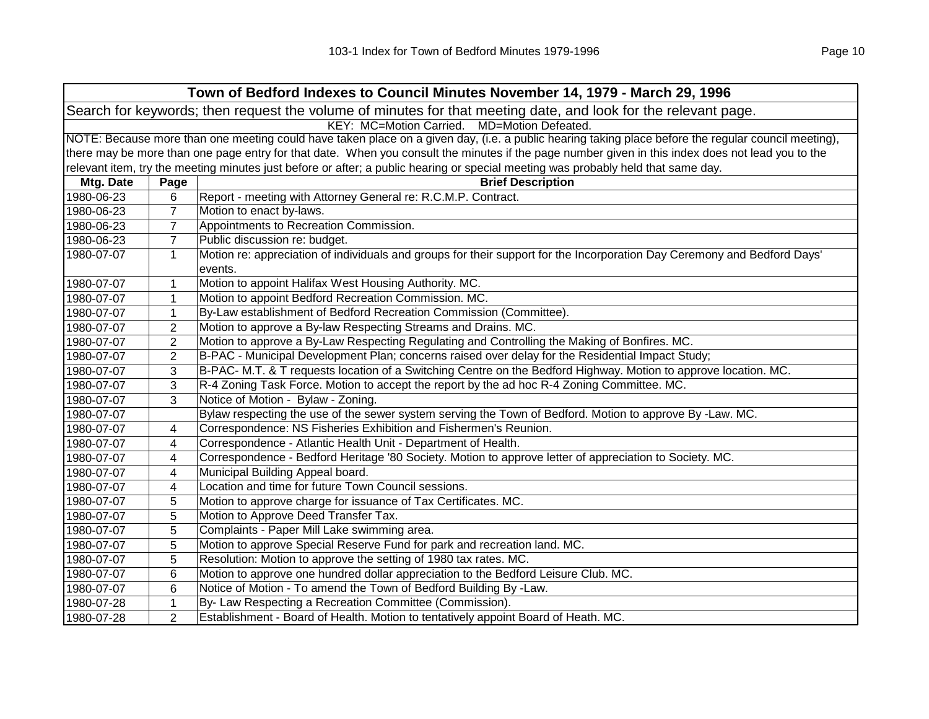| Town of Bedford Indexes to Council Minutes November 14, 1979 - March 29, 1996                                  |                                                                                                                                                     |                                                                                                                                                   |  |  |  |
|----------------------------------------------------------------------------------------------------------------|-----------------------------------------------------------------------------------------------------------------------------------------------------|---------------------------------------------------------------------------------------------------------------------------------------------------|--|--|--|
| Search for keywords; then request the volume of minutes for that meeting date, and look for the relevant page. |                                                                                                                                                     |                                                                                                                                                   |  |  |  |
|                                                                                                                |                                                                                                                                                     | KEY: MC=Motion Carried. MD=Motion Defeated.                                                                                                       |  |  |  |
|                                                                                                                | NOTE: Because more than one meeting could have taken place on a given day, (i.e. a public hearing taking place before the regular council meeting), |                                                                                                                                                   |  |  |  |
|                                                                                                                |                                                                                                                                                     | there may be more than one page entry for that date. When you consult the minutes if the page number given in this index does not lead you to the |  |  |  |
|                                                                                                                |                                                                                                                                                     | relevant item, try the meeting minutes just before or after; a public hearing or special meeting was probably held that same day.                 |  |  |  |
| Mtg. Date                                                                                                      | Page                                                                                                                                                | <b>Brief Description</b>                                                                                                                          |  |  |  |
| 1980-06-23                                                                                                     | 6                                                                                                                                                   | Report - meeting with Attorney General re: R.C.M.P. Contract.                                                                                     |  |  |  |
| 1980-06-23                                                                                                     | $\overline{7}$                                                                                                                                      | Motion to enact by-laws.                                                                                                                          |  |  |  |
| 1980-06-23                                                                                                     | $\overline{7}$                                                                                                                                      | Appointments to Recreation Commission.                                                                                                            |  |  |  |
| 1980-06-23                                                                                                     | $\overline{7}$                                                                                                                                      | Public discussion re: budget.                                                                                                                     |  |  |  |
| 1980-07-07                                                                                                     | $\mathbf{1}$                                                                                                                                        | Motion re: appreciation of individuals and groups for their support for the Incorporation Day Ceremony and Bedford Days'<br>events.               |  |  |  |
| 1980-07-07                                                                                                     | $\mathbf{1}$                                                                                                                                        | Motion to appoint Halifax West Housing Authority. MC.                                                                                             |  |  |  |
| 1980-07-07                                                                                                     | 1                                                                                                                                                   | Motion to appoint Bedford Recreation Commission. MC.                                                                                              |  |  |  |
| 1980-07-07                                                                                                     | 1                                                                                                                                                   | By-Law establishment of Bedford Recreation Commission (Committee).                                                                                |  |  |  |
| 1980-07-07                                                                                                     | 2                                                                                                                                                   | Motion to approve a By-law Respecting Streams and Drains. MC.                                                                                     |  |  |  |
| 1980-07-07                                                                                                     | $\overline{2}$                                                                                                                                      | Motion to approve a By-Law Respecting Regulating and Controlling the Making of Bonfires. MC.                                                      |  |  |  |
| 1980-07-07                                                                                                     | $\overline{2}$                                                                                                                                      | B-PAC - Municipal Development Plan; concerns raised over delay for the Residential Impact Study;                                                  |  |  |  |
| 1980-07-07                                                                                                     | 3                                                                                                                                                   | B-PAC- M.T. & T requests location of a Switching Centre on the Bedford Highway. Motion to approve location. MC.                                   |  |  |  |
| 1980-07-07                                                                                                     | 3                                                                                                                                                   | R-4 Zoning Task Force. Motion to accept the report by the ad hoc R-4 Zoning Committee. MC.                                                        |  |  |  |
| 1980-07-07                                                                                                     | 3                                                                                                                                                   | Notice of Motion - Bylaw - Zoning.                                                                                                                |  |  |  |
| 1980-07-07                                                                                                     |                                                                                                                                                     | Bylaw respecting the use of the sewer system serving the Town of Bedford. Motion to approve By -Law. MC.                                          |  |  |  |
| 1980-07-07                                                                                                     | 4                                                                                                                                                   | Correspondence: NS Fisheries Exhibition and Fishermen's Reunion.                                                                                  |  |  |  |
| 1980-07-07                                                                                                     | 4                                                                                                                                                   | Correspondence - Atlantic Health Unit - Department of Health.                                                                                     |  |  |  |
| 1980-07-07                                                                                                     | 4                                                                                                                                                   | Correspondence - Bedford Heritage '80 Society. Motion to approve letter of appreciation to Society. MC.                                           |  |  |  |
| 1980-07-07                                                                                                     | 4                                                                                                                                                   | Municipal Building Appeal board.                                                                                                                  |  |  |  |
| 1980-07-07                                                                                                     | 4                                                                                                                                                   | Location and time for future Town Council sessions.                                                                                               |  |  |  |
| 1980-07-07                                                                                                     | 5                                                                                                                                                   | Motion to approve charge for issuance of Tax Certificates. MC.                                                                                    |  |  |  |
| 1980-07-07                                                                                                     | 5                                                                                                                                                   | Motion to Approve Deed Transfer Tax.                                                                                                              |  |  |  |
| 1980-07-07                                                                                                     | 5                                                                                                                                                   | Complaints - Paper Mill Lake swimming area.                                                                                                       |  |  |  |
| 1980-07-07                                                                                                     | 5                                                                                                                                                   | Motion to approve Special Reserve Fund for park and recreation land. MC.                                                                          |  |  |  |
| 1980-07-07                                                                                                     | 5                                                                                                                                                   | Resolution: Motion to approve the setting of 1980 tax rates. MC.                                                                                  |  |  |  |
| 1980-07-07                                                                                                     | 6                                                                                                                                                   | Motion to approve one hundred dollar appreciation to the Bedford Leisure Club. MC.                                                                |  |  |  |
| 1980-07-07                                                                                                     | 6                                                                                                                                                   | Notice of Motion - To amend the Town of Bedford Building By -Law.                                                                                 |  |  |  |
| 1980-07-28                                                                                                     | 1                                                                                                                                                   | By- Law Respecting a Recreation Committee (Commission).                                                                                           |  |  |  |
| 1980-07-28                                                                                                     | $\overline{2}$                                                                                                                                      | Establishment - Board of Health. Motion to tentatively appoint Board of Heath. MC.                                                                |  |  |  |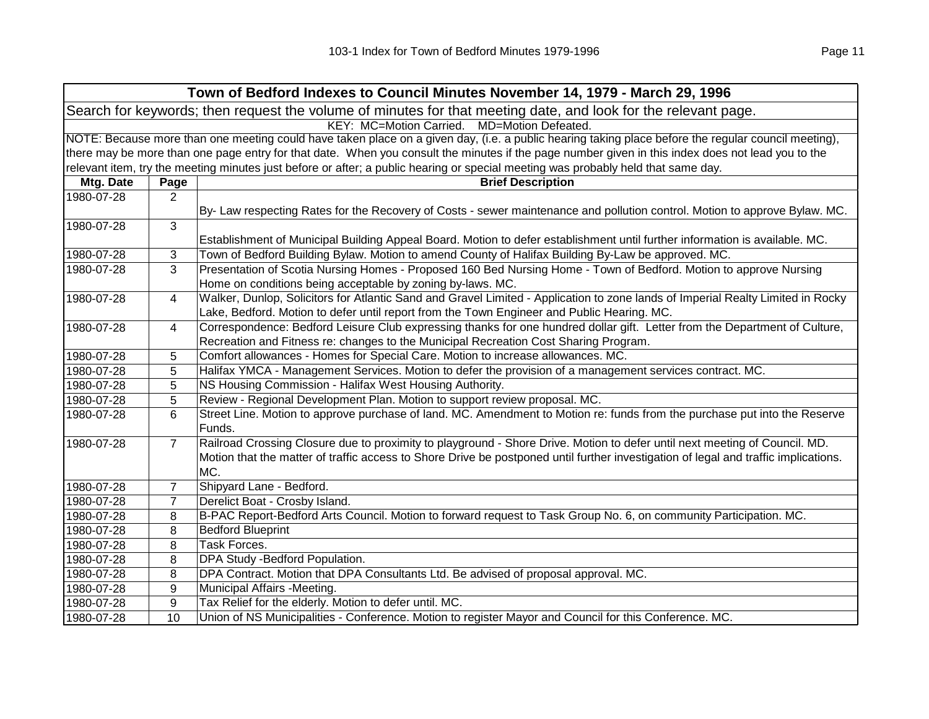| Town of Bedford Indexes to Council Minutes November 14, 1979 - March 29, 1996                                  |                                                                                                                                                     |                                                                                                                                                   |  |  |
|----------------------------------------------------------------------------------------------------------------|-----------------------------------------------------------------------------------------------------------------------------------------------------|---------------------------------------------------------------------------------------------------------------------------------------------------|--|--|
| Search for keywords; then request the volume of minutes for that meeting date, and look for the relevant page. |                                                                                                                                                     |                                                                                                                                                   |  |  |
| KEY: MC=Motion Carried. MD=Motion Defeated.                                                                    |                                                                                                                                                     |                                                                                                                                                   |  |  |
|                                                                                                                | NOTE: Because more than one meeting could have taken place on a given day, (i.e. a public hearing taking place before the regular council meeting), |                                                                                                                                                   |  |  |
|                                                                                                                |                                                                                                                                                     | there may be more than one page entry for that date. When you consult the minutes if the page number given in this index does not lead you to the |  |  |
|                                                                                                                |                                                                                                                                                     | relevant item, try the meeting minutes just before or after; a public hearing or special meeting was probably held that same day.                 |  |  |
| Mtg. Date                                                                                                      | Page                                                                                                                                                | <b>Brief Description</b>                                                                                                                          |  |  |
| 1980-07-28                                                                                                     | 2                                                                                                                                                   |                                                                                                                                                   |  |  |
|                                                                                                                |                                                                                                                                                     | By- Law respecting Rates for the Recovery of Costs - sewer maintenance and pollution control. Motion to approve Bylaw. MC.                        |  |  |
| 1980-07-28                                                                                                     | 3                                                                                                                                                   |                                                                                                                                                   |  |  |
|                                                                                                                |                                                                                                                                                     | Establishment of Municipal Building Appeal Board. Motion to defer establishment until further information is available. MC.                       |  |  |
| 1980-07-28                                                                                                     | 3                                                                                                                                                   | Town of Bedford Building Bylaw. Motion to amend County of Halifax Building By-Law be approved. MC.                                                |  |  |
| 1980-07-28                                                                                                     | 3                                                                                                                                                   | Presentation of Scotia Nursing Homes - Proposed 160 Bed Nursing Home - Town of Bedford. Motion to approve Nursing                                 |  |  |
|                                                                                                                |                                                                                                                                                     | Home on conditions being acceptable by zoning by-laws. MC.                                                                                        |  |  |
| 1980-07-28                                                                                                     | 4                                                                                                                                                   | Walker, Dunlop, Solicitors for Atlantic Sand and Gravel Limited - Application to zone lands of Imperial Realty Limited in Rocky                   |  |  |
|                                                                                                                |                                                                                                                                                     | Lake, Bedford. Motion to defer until report from the Town Engineer and Public Hearing. MC.                                                        |  |  |
| 1980-07-28                                                                                                     | 4                                                                                                                                                   | Correspondence: Bedford Leisure Club expressing thanks for one hundred dollar gift. Letter from the Department of Culture,                        |  |  |
|                                                                                                                |                                                                                                                                                     | Recreation and Fitness re: changes to the Municipal Recreation Cost Sharing Program.                                                              |  |  |
| 1980-07-28                                                                                                     | 5                                                                                                                                                   | Comfort allowances - Homes for Special Care. Motion to increase allowances. MC.                                                                   |  |  |
| 1980-07-28                                                                                                     | 5                                                                                                                                                   | Halifax YMCA - Management Services. Motion to defer the provision of a management services contract. MC.                                          |  |  |
| 1980-07-28                                                                                                     | 5                                                                                                                                                   | NS Housing Commission - Halifax West Housing Authority.                                                                                           |  |  |
| 1980-07-28                                                                                                     | 5                                                                                                                                                   | Review - Regional Development Plan. Motion to support review proposal. MC.                                                                        |  |  |
| 1980-07-28                                                                                                     | 6                                                                                                                                                   | Street Line. Motion to approve purchase of land. MC. Amendment to Motion re: funds from the purchase put into the Reserve<br>Funds.               |  |  |
| 1980-07-28                                                                                                     | $\overline{7}$                                                                                                                                      | Railroad Crossing Closure due to proximity to playground - Shore Drive. Motion to defer until next meeting of Council. MD.                        |  |  |
|                                                                                                                |                                                                                                                                                     | Motion that the matter of traffic access to Shore Drive be postponed until further investigation of legal and traffic implications.               |  |  |
|                                                                                                                |                                                                                                                                                     | MC.                                                                                                                                               |  |  |
| 1980-07-28                                                                                                     | 7                                                                                                                                                   | Shipyard Lane - Bedford.                                                                                                                          |  |  |
| 1980-07-28                                                                                                     | 7                                                                                                                                                   | Derelict Boat - Crosby Island.                                                                                                                    |  |  |
| 1980-07-28                                                                                                     | 8                                                                                                                                                   | B-PAC Report-Bedford Arts Council. Motion to forward request to Task Group No. 6, on community Participation. MC.                                 |  |  |
| 1980-07-28                                                                                                     | 8                                                                                                                                                   | <b>Bedford Blueprint</b>                                                                                                                          |  |  |
| 1980-07-28                                                                                                     | 8                                                                                                                                                   | Task Forces.                                                                                                                                      |  |  |
| 1980-07-28                                                                                                     | 8                                                                                                                                                   | DPA Study - Bedford Population.                                                                                                                   |  |  |
| 1980-07-28                                                                                                     | 8                                                                                                                                                   | DPA Contract. Motion that DPA Consultants Ltd. Be advised of proposal approval. MC.                                                               |  |  |
| 1980-07-28                                                                                                     | 9                                                                                                                                                   | Municipal Affairs - Meeting.                                                                                                                      |  |  |
| 1980-07-28                                                                                                     | 9                                                                                                                                                   | Tax Relief for the elderly. Motion to defer until. MC.                                                                                            |  |  |
| 1980-07-28                                                                                                     | 10                                                                                                                                                  | Union of NS Municipalities - Conference. Motion to register Mayor and Council for this Conference. MC.                                            |  |  |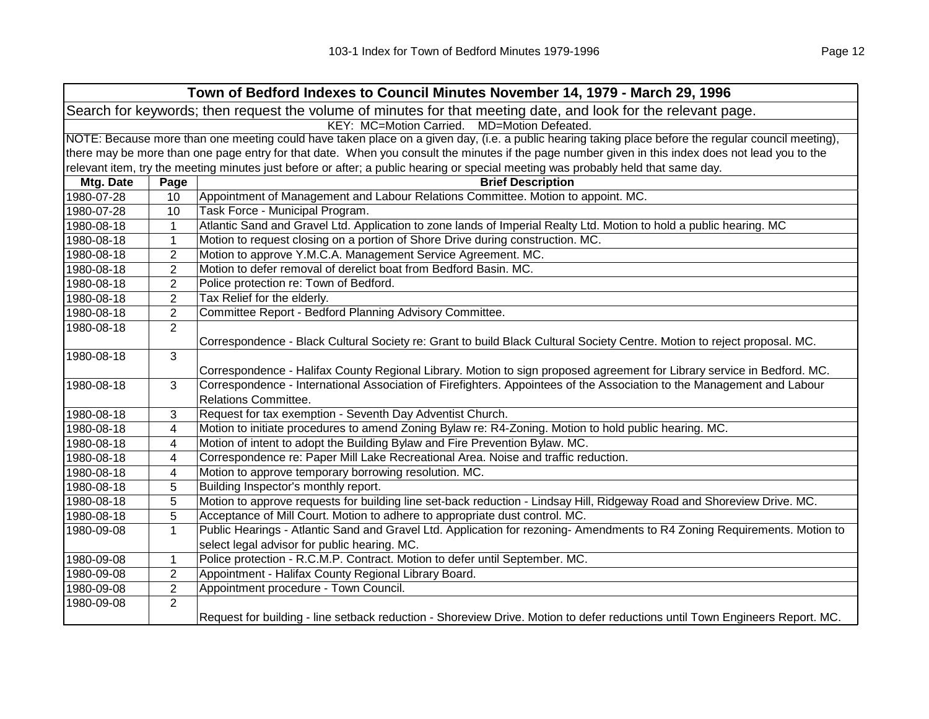| Town of Bedford Indexes to Council Minutes November 14, 1979 - March 29, 1996                                                                       |                |                                                                                                                                                   |  |  |
|-----------------------------------------------------------------------------------------------------------------------------------------------------|----------------|---------------------------------------------------------------------------------------------------------------------------------------------------|--|--|
| Search for keywords; then request the volume of minutes for that meeting date, and look for the relevant page.                                      |                |                                                                                                                                                   |  |  |
| KEY: MC=Motion Carried.<br>MD=Motion Defeated.                                                                                                      |                |                                                                                                                                                   |  |  |
| NOTE: Because more than one meeting could have taken place on a given day, (i.e. a public hearing taking place before the regular council meeting), |                |                                                                                                                                                   |  |  |
|                                                                                                                                                     |                | there may be more than one page entry for that date. When you consult the minutes if the page number given in this index does not lead you to the |  |  |
|                                                                                                                                                     |                | relevant item, try the meeting minutes just before or after; a public hearing or special meeting was probably held that same day.                 |  |  |
| Mtg. Date                                                                                                                                           | Page           | <b>Brief Description</b>                                                                                                                          |  |  |
| 1980-07-28                                                                                                                                          | 10             | Appointment of Management and Labour Relations Committee. Motion to appoint. MC.                                                                  |  |  |
| 1980-07-28                                                                                                                                          | 10             | Task Force - Municipal Program.                                                                                                                   |  |  |
| 1980-08-18                                                                                                                                          | 1              | Atlantic Sand and Gravel Ltd. Application to zone lands of Imperial Realty Ltd. Motion to hold a public hearing. MC                               |  |  |
| 1980-08-18                                                                                                                                          | $\mathbf{1}$   | Motion to request closing on a portion of Shore Drive during construction. MC.                                                                    |  |  |
| 1980-08-18                                                                                                                                          | $\overline{2}$ | Motion to approve Y.M.C.A. Management Service Agreement. MC.                                                                                      |  |  |
| 1980-08-18                                                                                                                                          | $\overline{2}$ | Motion to defer removal of derelict boat from Bedford Basin. MC.                                                                                  |  |  |
| 1980-08-18                                                                                                                                          | $\overline{2}$ | Police protection re: Town of Bedford.                                                                                                            |  |  |
| 1980-08-18                                                                                                                                          | $\overline{2}$ | Tax Relief for the elderly.                                                                                                                       |  |  |
| 1980-08-18                                                                                                                                          | $\overline{2}$ | Committee Report - Bedford Planning Advisory Committee.                                                                                           |  |  |
| 1980-08-18                                                                                                                                          | $\overline{2}$ |                                                                                                                                                   |  |  |
|                                                                                                                                                     |                | Correspondence - Black Cultural Society re: Grant to build Black Cultural Society Centre. Motion to reject proposal. MC.                          |  |  |
| 1980-08-18                                                                                                                                          | 3              |                                                                                                                                                   |  |  |
|                                                                                                                                                     |                | Correspondence - Halifax County Regional Library. Motion to sign proposed agreement for Library service in Bedford. MC.                           |  |  |
| 1980-08-18                                                                                                                                          | 3              | Correspondence - International Association of Firefighters. Appointees of the Association to the Management and Labour                            |  |  |
|                                                                                                                                                     |                | <b>Relations Committee.</b>                                                                                                                       |  |  |
| 1980-08-18                                                                                                                                          | 3              | Request for tax exemption - Seventh Day Adventist Church.                                                                                         |  |  |
| 1980-08-18                                                                                                                                          | 4              | Motion to initiate procedures to amend Zoning Bylaw re: R4-Zoning. Motion to hold public hearing. MC.                                             |  |  |
| 1980-08-18                                                                                                                                          | 4              | Motion of intent to adopt the Building Bylaw and Fire Prevention Bylaw. MC.                                                                       |  |  |
| 1980-08-18                                                                                                                                          | 4              | Correspondence re: Paper Mill Lake Recreational Area. Noise and traffic reduction.                                                                |  |  |
| 1980-08-18                                                                                                                                          | 4              | Motion to approve temporary borrowing resolution. MC.                                                                                             |  |  |
| 1980-08-18                                                                                                                                          | 5              | Building Inspector's monthly report.                                                                                                              |  |  |
| 1980-08-18                                                                                                                                          | 5              | Motion to approve requests for building line set-back reduction - Lindsay Hill, Ridgeway Road and Shoreview Drive. MC.                            |  |  |
| 1980-08-18                                                                                                                                          | 5              | Acceptance of Mill Court. Motion to adhere to appropriate dust control. MC.                                                                       |  |  |
| 1980-09-08                                                                                                                                          | $\mathbf{1}$   | Public Hearings - Atlantic Sand and Gravel Ltd. Application for rezoning- Amendments to R4 Zoning Requirements. Motion to                         |  |  |
|                                                                                                                                                     |                | select legal advisor for public hearing. MC.                                                                                                      |  |  |
| 1980-09-08                                                                                                                                          | 1              | Police protection - R.C.M.P. Contract. Motion to defer until September. MC.                                                                       |  |  |
| 1980-09-08                                                                                                                                          | $\overline{2}$ | Appointment - Halifax County Regional Library Board.                                                                                              |  |  |
| 1980-09-08                                                                                                                                          | 2              | Appointment procedure - Town Council.                                                                                                             |  |  |
| 1980-09-08                                                                                                                                          | $\overline{2}$ |                                                                                                                                                   |  |  |
|                                                                                                                                                     |                | Request for building - line setback reduction - Shoreview Drive. Motion to defer reductions until Town Engineers Report. MC.                      |  |  |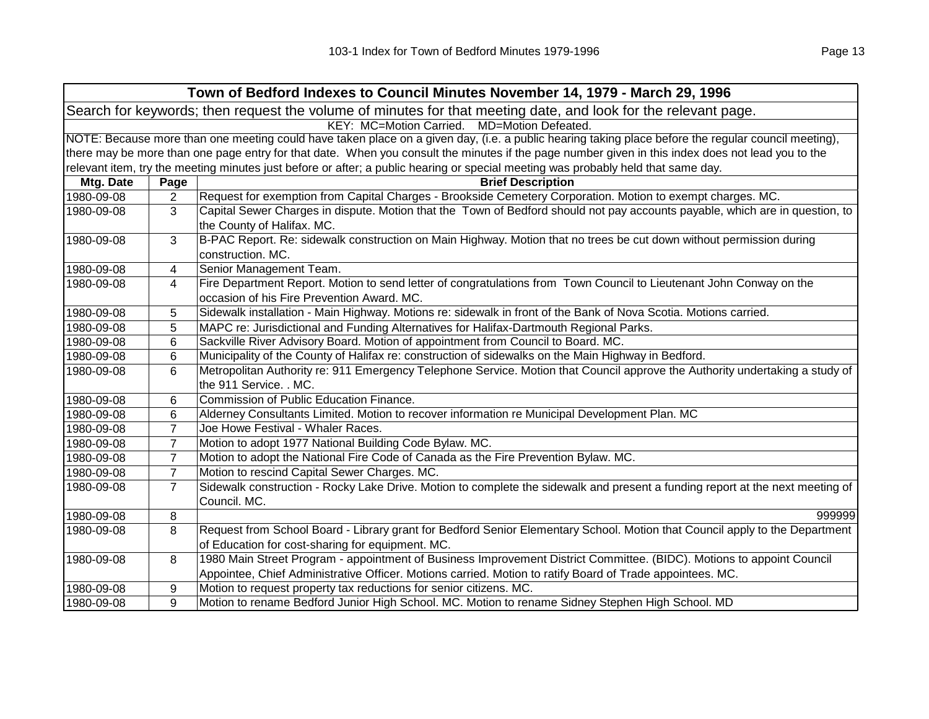|            |                | Town of Bedford Indexes to Council Minutes November 14, 1979 - March 29, 1996                                                                                     |
|------------|----------------|-------------------------------------------------------------------------------------------------------------------------------------------------------------------|
|            |                | Search for keywords; then request the volume of minutes for that meeting date, and look for the relevant page.                                                    |
|            |                | KEY: MC=Motion Carried. MD=Motion Defeated.                                                                                                                       |
|            |                | NOTE: Because more than one meeting could have taken place on a given day, (i.e. a public hearing taking place before the regular council meeting),               |
|            |                | there may be more than one page entry for that date. When you consult the minutes if the page number given in this index does not lead you to the                 |
|            |                | relevant item, try the meeting minutes just before or after; a public hearing or special meeting was probably held that same day.                                 |
| Mtg. Date  | Page           | <b>Brief Description</b>                                                                                                                                          |
| 1980-09-08 | $\overline{2}$ | Request for exemption from Capital Charges - Brookside Cemetery Corporation. Motion to exempt charges. MC.                                                        |
| 1980-09-08 | 3              | Capital Sewer Charges in dispute. Motion that the Town of Bedford should not pay accounts payable, which are in question, to<br>the County of Halifax. MC.        |
| 1980-09-08 | 3              | B-PAC Report. Re: sidewalk construction on Main Highway. Motion that no trees be cut down without permission during<br>construction. MC.                          |
| 1980-09-08 | 4              | Senior Management Team.                                                                                                                                           |
| 1980-09-08 | 4              | Fire Department Report. Motion to send letter of congratulations from Town Council to Lieutenant John Conway on the<br>occasion of his Fire Prevention Award. MC. |
| 1980-09-08 | 5              | Sidewalk installation - Main Highway. Motions re: sidewalk in front of the Bank of Nova Scotia. Motions carried.                                                  |
| 1980-09-08 | 5              | MAPC re: Jurisdictional and Funding Alternatives for Halifax-Dartmouth Regional Parks.                                                                            |
| 1980-09-08 | 6              | Sackville River Advisory Board. Motion of appointment from Council to Board. MC.                                                                                  |
| 1980-09-08 | 6              | Municipality of the County of Halifax re: construction of sidewalks on the Main Highway in Bedford.                                                               |
| 1980-09-08 | 6              | Metropolitan Authority re: 911 Emergency Telephone Service. Motion that Council approve the Authority undertaking a study of<br>the 911 Service. . MC.            |
| 1980-09-08 | 6              | Commission of Public Education Finance.                                                                                                                           |
| 1980-09-08 | 6              | Alderney Consultants Limited. Motion to recover information re Municipal Development Plan. MC                                                                     |
| 1980-09-08 | $\overline{7}$ | Joe Howe Festival - Whaler Races.                                                                                                                                 |
| 1980-09-08 | $\overline{7}$ | Motion to adopt 1977 National Building Code Bylaw. MC.                                                                                                            |
| 1980-09-08 | $\overline{7}$ | Motion to adopt the National Fire Code of Canada as the Fire Prevention Bylaw. MC.                                                                                |
| 1980-09-08 | $\overline{7}$ | Motion to rescind Capital Sewer Charges. MC.                                                                                                                      |
| 1980-09-08 | $\overline{7}$ | Sidewalk construction - Rocky Lake Drive. Motion to complete the sidewalk and present a funding report at the next meeting of<br>Council. MC.                     |
| 1980-09-08 | 8              | 999999                                                                                                                                                            |
| 1980-09-08 | 8              | Request from School Board - Library grant for Bedford Senior Elementary School. Motion that Council apply to the Department                                       |
|            |                | of Education for cost-sharing for equipment. MC.                                                                                                                  |
| 1980-09-08 | 8              | 1980 Main Street Program - appointment of Business Improvement District Committee. (BIDC). Motions to appoint Council                                             |
|            |                | Appointee, Chief Administrative Officer. Motions carried. Motion to ratify Board of Trade appointees. MC.                                                         |
| 1980-09-08 | 9              | Motion to request property tax reductions for senior citizens. MC.                                                                                                |
| 1980-09-08 | 9              | Motion to rename Bedford Junior High School. MC. Motion to rename Sidney Stephen High School. MD                                                                  |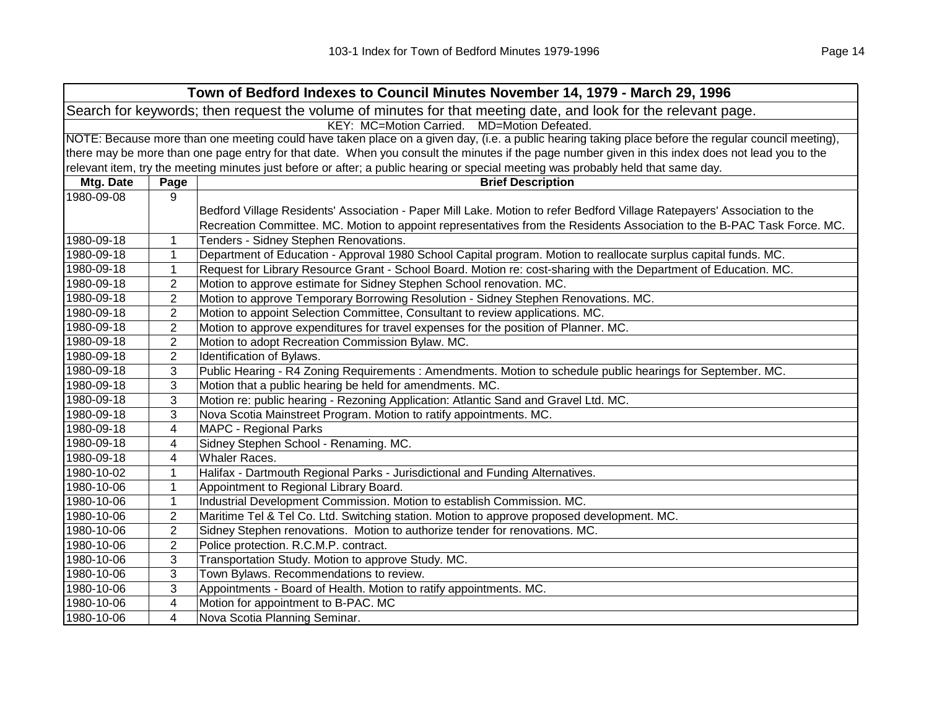|            |                                                                                                                                                     | Town of Bedford Indexes to Council Minutes November 14, 1979 - March 29, 1996                                                     |  |  |
|------------|-----------------------------------------------------------------------------------------------------------------------------------------------------|-----------------------------------------------------------------------------------------------------------------------------------|--|--|
|            |                                                                                                                                                     | Search for keywords; then request the volume of minutes for that meeting date, and look for the relevant page.                    |  |  |
|            | KEY: MC=Motion Carried. MD=Motion Defeated.                                                                                                         |                                                                                                                                   |  |  |
|            | NOTE: Because more than one meeting could have taken place on a given day, (i.e. a public hearing taking place before the regular council meeting), |                                                                                                                                   |  |  |
|            | there may be more than one page entry for that date. When you consult the minutes if the page number given in this index does not lead you to the   |                                                                                                                                   |  |  |
|            |                                                                                                                                                     | relevant item, try the meeting minutes just before or after; a public hearing or special meeting was probably held that same day. |  |  |
| Mtg. Date  | Page                                                                                                                                                | <b>Brief Description</b>                                                                                                          |  |  |
| 1980-09-08 | 9                                                                                                                                                   |                                                                                                                                   |  |  |
|            |                                                                                                                                                     | Bedford Village Residents' Association - Paper Mill Lake. Motion to refer Bedford Village Ratepayers' Association to the          |  |  |
|            |                                                                                                                                                     | Recreation Committee. MC. Motion to appoint representatives from the Residents Association to the B-PAC Task Force. MC.           |  |  |
| 1980-09-18 | 1                                                                                                                                                   | Tenders - Sidney Stephen Renovations.                                                                                             |  |  |
| 1980-09-18 | $\mathbf 1$                                                                                                                                         | Department of Education - Approval 1980 School Capital program. Motion to reallocate surplus capital funds. MC.                   |  |  |
| 1980-09-18 | 1                                                                                                                                                   | Request for Library Resource Grant - School Board. Motion re: cost-sharing with the Department of Education. MC.                  |  |  |
| 1980-09-18 | 2                                                                                                                                                   | Motion to approve estimate for Sidney Stephen School renovation. MC.                                                              |  |  |
| 1980-09-18 | $\overline{2}$                                                                                                                                      | Motion to approve Temporary Borrowing Resolution - Sidney Stephen Renovations. MC.                                                |  |  |
| 1980-09-18 | $\overline{2}$                                                                                                                                      | Motion to appoint Selection Committee, Consultant to review applications. MC.                                                     |  |  |
| 1980-09-18 | $\overline{2}$                                                                                                                                      | Motion to approve expenditures for travel expenses for the position of Planner. MC.                                               |  |  |
| 1980-09-18 | $\mathbf{2}$                                                                                                                                        | Motion to adopt Recreation Commission Bylaw. MC.                                                                                  |  |  |
| 1980-09-18 | $\overline{2}$                                                                                                                                      | Identification of Bylaws.                                                                                                         |  |  |
| 1980-09-18 | 3                                                                                                                                                   | Public Hearing - R4 Zoning Requirements : Amendments. Motion to schedule public hearings for September. MC.                       |  |  |
| 1980-09-18 | 3                                                                                                                                                   | Motion that a public hearing be held for amendments. MC.                                                                          |  |  |
| 1980-09-18 | 3                                                                                                                                                   | Motion re: public hearing - Rezoning Application: Atlantic Sand and Gravel Ltd. MC.                                               |  |  |
| 1980-09-18 | 3                                                                                                                                                   | Nova Scotia Mainstreet Program. Motion to ratify appointments. MC.                                                                |  |  |
| 1980-09-18 | 4                                                                                                                                                   | <b>MAPC - Regional Parks</b>                                                                                                      |  |  |
| 1980-09-18 | 4                                                                                                                                                   | Sidney Stephen School - Renaming. MC.                                                                                             |  |  |
| 1980-09-18 | 4                                                                                                                                                   | Whaler Races.                                                                                                                     |  |  |
| 1980-10-02 | 1                                                                                                                                                   | Halifax - Dartmouth Regional Parks - Jurisdictional and Funding Alternatives.                                                     |  |  |
| 1980-10-06 | $\mathbf{1}$                                                                                                                                        | Appointment to Regional Library Board.                                                                                            |  |  |
| 1980-10-06 | 1                                                                                                                                                   | Industrial Development Commission. Motion to establish Commission. MC.                                                            |  |  |
| 1980-10-06 | $\boldsymbol{2}$                                                                                                                                    | Maritime Tel & Tel Co. Ltd. Switching station. Motion to approve proposed development. MC.                                        |  |  |
| 1980-10-06 | $\boldsymbol{2}$                                                                                                                                    | Sidney Stephen renovations. Motion to authorize tender for renovations. MC.                                                       |  |  |
| 1980-10-06 | $\overline{2}$                                                                                                                                      | Police protection. R.C.M.P. contract.                                                                                             |  |  |
| 1980-10-06 | 3                                                                                                                                                   | Transportation Study. Motion to approve Study. MC.                                                                                |  |  |
| 1980-10-06 | 3                                                                                                                                                   | Town Bylaws. Recommendations to review.                                                                                           |  |  |
| 1980-10-06 | 3                                                                                                                                                   | Appointments - Board of Health. Motion to ratify appointments. MC.                                                                |  |  |
| 1980-10-06 | 4                                                                                                                                                   | Motion for appointment to B-PAC. MC                                                                                               |  |  |
| 1980-10-06 | 4                                                                                                                                                   | Nova Scotia Planning Seminar.                                                                                                     |  |  |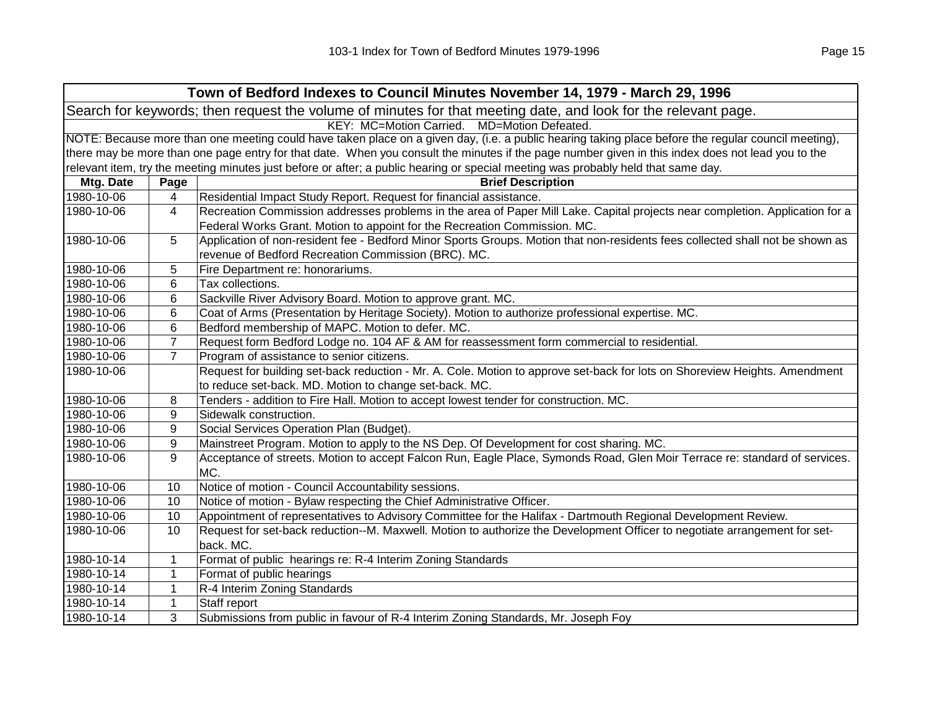|            |                | Town of Bedford Indexes to Council Minutes November 14, 1979 - March 29, 1996                                                                       |
|------------|----------------|-----------------------------------------------------------------------------------------------------------------------------------------------------|
|            |                | Search for keywords; then request the volume of minutes for that meeting date, and look for the relevant page.                                      |
|            |                | KEY: MC=Motion Carried. MD=Motion Defeated.                                                                                                         |
|            |                | NOTE: Because more than one meeting could have taken place on a given day, (i.e. a public hearing taking place before the regular council meeting), |
|            |                | there may be more than one page entry for that date. When you consult the minutes if the page number given in this index does not lead you to the   |
|            |                | relevant item, try the meeting minutes just before or after; a public hearing or special meeting was probably held that same day.                   |
| Mtg. Date  | Page           | <b>Brief Description</b>                                                                                                                            |
| 1980-10-06 | 4              | Residential Impact Study Report. Request for financial assistance.                                                                                  |
| 1980-10-06 | 4              | Recreation Commission addresses problems in the area of Paper Mill Lake. Capital projects near completion. Application for a                        |
|            |                | Federal Works Grant. Motion to appoint for the Recreation Commission. MC.                                                                           |
| 1980-10-06 | 5              | Application of non-resident fee - Bedford Minor Sports Groups. Motion that non-residents fees collected shall not be shown as                       |
|            |                | revenue of Bedford Recreation Commission (BRC). MC.                                                                                                 |
| 1980-10-06 | 5              | Fire Department re: honorariums.                                                                                                                    |
| 1980-10-06 | 6              | Tax collections.                                                                                                                                    |
| 1980-10-06 | 6              | Sackville River Advisory Board. Motion to approve grant. MC.                                                                                        |
| 1980-10-06 | 6              | Coat of Arms (Presentation by Heritage Society). Motion to authorize professional expertise. MC.                                                    |
| 1980-10-06 | 6              | Bedford membership of MAPC. Motion to defer. MC.                                                                                                    |
| 1980-10-06 | $\overline{7}$ | Request form Bedford Lodge no. 104 AF & AM for reassessment form commercial to residential.                                                         |
| 1980-10-06 | $\overline{7}$ | Program of assistance to senior citizens.                                                                                                           |
| 1980-10-06 |                | Request for building set-back reduction - Mr. A. Cole. Motion to approve set-back for lots on Shoreview Heights. Amendment                          |
|            |                | to reduce set-back. MD. Motion to change set-back. MC.                                                                                              |
| 1980-10-06 | 8              | Tenders - addition to Fire Hall. Motion to accept lowest tender for construction. MC.                                                               |
| 1980-10-06 | 9              | Sidewalk construction.                                                                                                                              |
| 1980-10-06 | 9              | Social Services Operation Plan (Budget).                                                                                                            |
| 1980-10-06 | 9              | Mainstreet Program. Motion to apply to the NS Dep. Of Development for cost sharing. MC.                                                             |
| 1980-10-06 | 9              | Acceptance of streets. Motion to accept Falcon Run, Eagle Place, Symonds Road, Glen Moir Terrace re: standard of services.<br>MC.                   |
| 1980-10-06 | 10             | Notice of motion - Council Accountability sessions.                                                                                                 |
| 1980-10-06 | 10             | Notice of motion - Bylaw respecting the Chief Administrative Officer.                                                                               |
| 1980-10-06 | 10             | Appointment of representatives to Advisory Committee for the Halifax - Dartmouth Regional Development Review.                                       |
| 1980-10-06 | 10             | Request for set-back reduction--M. Maxwell. Motion to authorize the Development Officer to negotiate arrangement for set-                           |
|            |                | back. MC.                                                                                                                                           |
| 1980-10-14 | $\mathbf{1}$   | Format of public hearings re: R-4 Interim Zoning Standards                                                                                          |
| 1980-10-14 | $\mathbf{1}$   | Format of public hearings                                                                                                                           |
| 1980-10-14 | $\mathbf{1}$   | R-4 Interim Zoning Standards                                                                                                                        |
| 1980-10-14 | $\mathbf{1}$   | Staff report                                                                                                                                        |
| 1980-10-14 | 3              | Submissions from public in favour of R-4 Interim Zoning Standards, Mr. Joseph Foy                                                                   |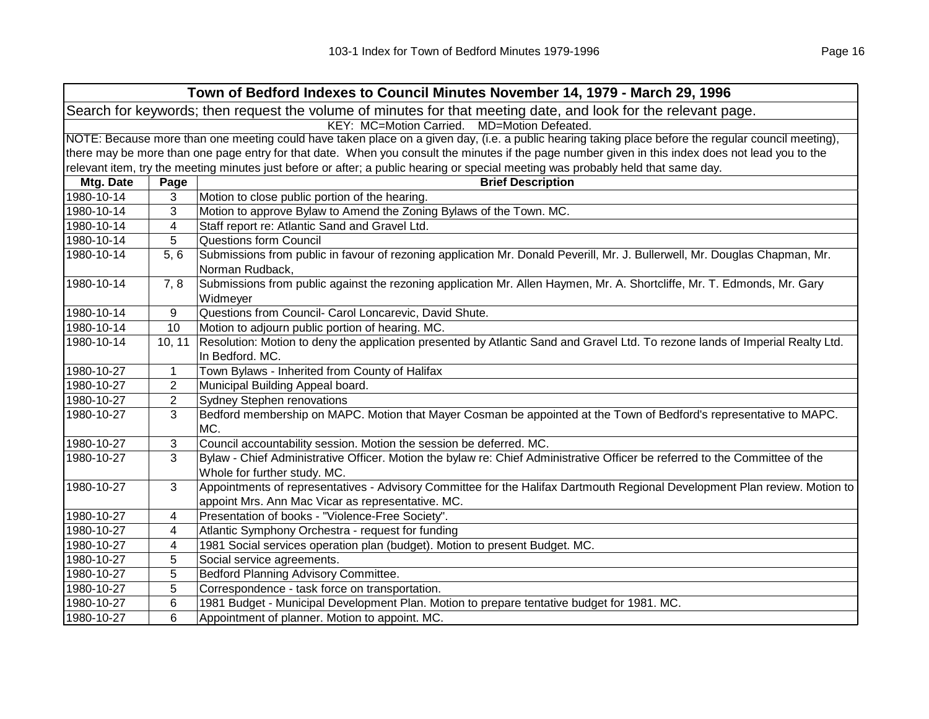|            |                                                                                                                                                     | Town of Bedford Indexes to Council Minutes November 14, 1979 - March 29, 1996                                                                               |  |
|------------|-----------------------------------------------------------------------------------------------------------------------------------------------------|-------------------------------------------------------------------------------------------------------------------------------------------------------------|--|
|            |                                                                                                                                                     | Search for keywords; then request the volume of minutes for that meeting date, and look for the relevant page.                                              |  |
|            |                                                                                                                                                     | KEY: MC=Motion Carried.<br>MD=Motion Defeated.                                                                                                              |  |
|            | NOTE: Because more than one meeting could have taken place on a given day, (i.e. a public hearing taking place before the regular council meeting), |                                                                                                                                                             |  |
|            | there may be more than one page entry for that date. When you consult the minutes if the page number given in this index does not lead you to the   |                                                                                                                                                             |  |
|            |                                                                                                                                                     | relevant item, try the meeting minutes just before or after; a public hearing or special meeting was probably held that same day.                           |  |
| Mtg. Date  | Page                                                                                                                                                | <b>Brief Description</b>                                                                                                                                    |  |
| 1980-10-14 | 3                                                                                                                                                   | Motion to close public portion of the hearing.                                                                                                              |  |
| 1980-10-14 | 3                                                                                                                                                   | Motion to approve Bylaw to Amend the Zoning Bylaws of the Town. MC.                                                                                         |  |
| 1980-10-14 | 4                                                                                                                                                   | Staff report re: Atlantic Sand and Gravel Ltd.                                                                                                              |  |
| 1980-10-14 | 5                                                                                                                                                   | Questions form Council                                                                                                                                      |  |
| 1980-10-14 | 5, 6                                                                                                                                                | Submissions from public in favour of rezoning application Mr. Donald Peverill, Mr. J. Bullerwell, Mr. Douglas Chapman, Mr.<br>Norman Rudback,               |  |
| 1980-10-14 | 7, 8                                                                                                                                                | Submissions from public against the rezoning application Mr. Allen Haymen, Mr. A. Shortcliffe, Mr. T. Edmonds, Mr. Gary<br>Widmeyer                         |  |
| 1980-10-14 | 9                                                                                                                                                   | Questions from Council- Carol Loncarevic, David Shute.                                                                                                      |  |
| 1980-10-14 | 10                                                                                                                                                  | Motion to adjourn public portion of hearing. MC.                                                                                                            |  |
| 1980-10-14 | 10, 11                                                                                                                                              | Resolution: Motion to deny the application presented by Atlantic Sand and Gravel Ltd. To rezone lands of Imperial Realty Ltd.                               |  |
|            |                                                                                                                                                     | In Bedford. MC.                                                                                                                                             |  |
| 1980-10-27 | $\mathbf{1}$                                                                                                                                        | Town Bylaws - Inherited from County of Halifax                                                                                                              |  |
| 1980-10-27 | $\overline{2}$                                                                                                                                      | Municipal Building Appeal board.                                                                                                                            |  |
| 1980-10-27 | $\mathbf{2}$                                                                                                                                        | Sydney Stephen renovations                                                                                                                                  |  |
| 1980-10-27 | 3                                                                                                                                                   | Bedford membership on MAPC. Motion that Mayer Cosman be appointed at the Town of Bedford's representative to MAPC.<br>MC.                                   |  |
| 1980-10-27 | 3                                                                                                                                                   | Council accountability session. Motion the session be deferred. MC.                                                                                         |  |
| 1980-10-27 | 3                                                                                                                                                   | Bylaw - Chief Administrative Officer. Motion the bylaw re: Chief Administrative Officer be referred to the Committee of the<br>Whole for further study. MC. |  |
| 1980-10-27 | 3                                                                                                                                                   | Appointments of representatives - Advisory Committee for the Halifax Dartmouth Regional Development Plan review. Motion to                                  |  |
|            |                                                                                                                                                     | appoint Mrs. Ann Mac Vicar as representative. MC.                                                                                                           |  |
| 1980-10-27 | 4                                                                                                                                                   | Presentation of books - "Violence-Free Society".                                                                                                            |  |
| 1980-10-27 | 4                                                                                                                                                   | Atlantic Symphony Orchestra - request for funding                                                                                                           |  |
| 1980-10-27 | 4                                                                                                                                                   | 1981 Social services operation plan (budget). Motion to present Budget. MC.                                                                                 |  |
| 1980-10-27 | 5                                                                                                                                                   | Social service agreements.                                                                                                                                  |  |
| 1980-10-27 | 5                                                                                                                                                   | Bedford Planning Advisory Committee.                                                                                                                        |  |
| 1980-10-27 | 5                                                                                                                                                   | Correspondence - task force on transportation.                                                                                                              |  |
| 1980-10-27 | 6                                                                                                                                                   | 1981 Budget - Municipal Development Plan. Motion to prepare tentative budget for 1981. MC.                                                                  |  |
| 1980-10-27 | 6                                                                                                                                                   | Appointment of planner. Motion to appoint. MC.                                                                                                              |  |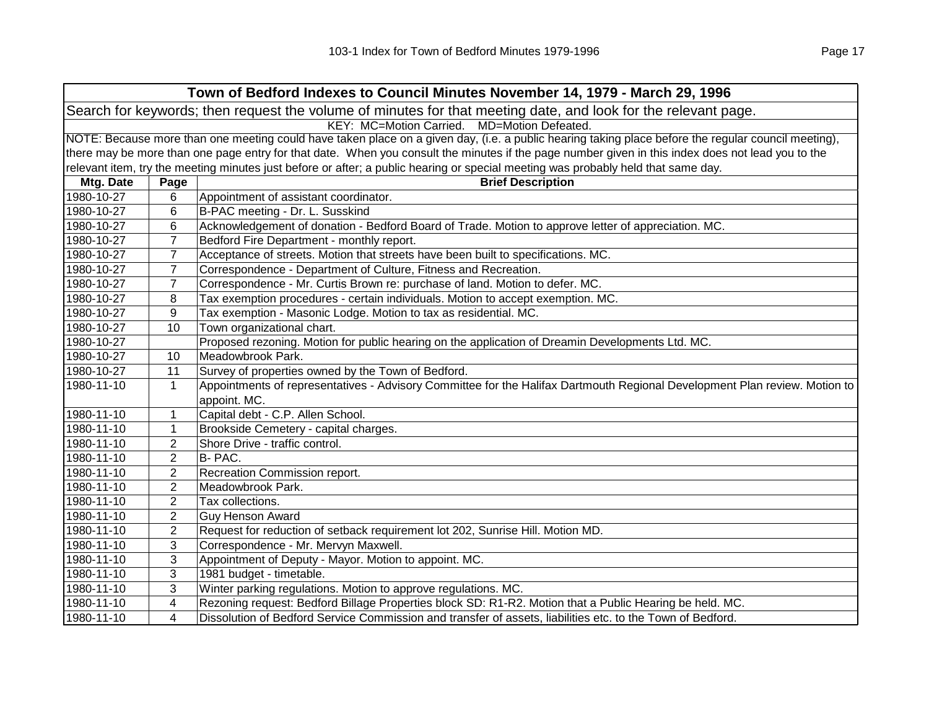|            |                                                                                                                                                     | Town of Bedford Indexes to Council Minutes November 14, 1979 - March 29, 1996                                                     |  |
|------------|-----------------------------------------------------------------------------------------------------------------------------------------------------|-----------------------------------------------------------------------------------------------------------------------------------|--|
|            |                                                                                                                                                     | Search for keywords; then request the volume of minutes for that meeting date, and look for the relevant page.                    |  |
|            |                                                                                                                                                     | KEY: MC=Motion Carried. MD=Motion Defeated.                                                                                       |  |
|            | NOTE: Because more than one meeting could have taken place on a given day, (i.e. a public hearing taking place before the regular council meeting), |                                                                                                                                   |  |
|            | there may be more than one page entry for that date. When you consult the minutes if the page number given in this index does not lead you to the   |                                                                                                                                   |  |
|            |                                                                                                                                                     | relevant item, try the meeting minutes just before or after; a public hearing or special meeting was probably held that same day. |  |
| Mtg. Date  | Page                                                                                                                                                | <b>Brief Description</b>                                                                                                          |  |
| 1980-10-27 | 6                                                                                                                                                   | Appointment of assistant coordinator.                                                                                             |  |
| 1980-10-27 | 6                                                                                                                                                   | B-PAC meeting - Dr. L. Susskind                                                                                                   |  |
| 1980-10-27 | 6                                                                                                                                                   | Acknowledgement of donation - Bedford Board of Trade. Motion to approve letter of appreciation. MC.                               |  |
| 1980-10-27 | $\overline{7}$                                                                                                                                      | Bedford Fire Department - monthly report.                                                                                         |  |
| 1980-10-27 | $\overline{7}$                                                                                                                                      | Acceptance of streets. Motion that streets have been built to specifications. MC.                                                 |  |
| 1980-10-27 | $\overline{7}$                                                                                                                                      | Correspondence - Department of Culture, Fitness and Recreation.                                                                   |  |
| 1980-10-27 | $\overline{7}$                                                                                                                                      | Correspondence - Mr. Curtis Brown re: purchase of land. Motion to defer. MC.                                                      |  |
| 1980-10-27 | 8                                                                                                                                                   | Tax exemption procedures - certain individuals. Motion to accept exemption. MC.                                                   |  |
| 1980-10-27 | 9                                                                                                                                                   | Tax exemption - Masonic Lodge. Motion to tax as residential. MC.                                                                  |  |
| 1980-10-27 | 10                                                                                                                                                  | Town organizational chart.                                                                                                        |  |
| 1980-10-27 |                                                                                                                                                     | Proposed rezoning. Motion for public hearing on the application of Dreamin Developments Ltd. MC.                                  |  |
| 1980-10-27 | 10                                                                                                                                                  | Meadowbrook Park.                                                                                                                 |  |
| 1980-10-27 | 11                                                                                                                                                  | Survey of properties owned by the Town of Bedford.                                                                                |  |
| 1980-11-10 | $\mathbf{1}$                                                                                                                                        | Appointments of representatives - Advisory Committee for the Halifax Dartmouth Regional Development Plan review. Motion to        |  |
|            |                                                                                                                                                     | appoint. MC.                                                                                                                      |  |
| 1980-11-10 | 1                                                                                                                                                   | Capital debt - C.P. Allen School.                                                                                                 |  |
| 1980-11-10 | $\mathbf{1}$                                                                                                                                        | Brookside Cemetery - capital charges.                                                                                             |  |
| 1980-11-10 | $\overline{2}$                                                                                                                                      | Shore Drive - traffic control.                                                                                                    |  |
| 1980-11-10 | $\overline{2}$                                                                                                                                      | B- PAC.                                                                                                                           |  |
| 1980-11-10 | $\boldsymbol{2}$                                                                                                                                    | Recreation Commission report.                                                                                                     |  |
| 1980-11-10 | $\overline{c}$                                                                                                                                      | Meadowbrook Park.                                                                                                                 |  |
| 1980-11-10 | $\overline{2}$                                                                                                                                      | Tax collections.                                                                                                                  |  |
| 1980-11-10 | $\overline{2}$                                                                                                                                      | <b>Guy Henson Award</b>                                                                                                           |  |
| 1980-11-10 | $\overline{2}$                                                                                                                                      | Request for reduction of setback requirement lot 202, Sunrise Hill. Motion MD.                                                    |  |
| 1980-11-10 | 3                                                                                                                                                   | Correspondence - Mr. Mervyn Maxwell.                                                                                              |  |
| 1980-11-10 | 3                                                                                                                                                   | Appointment of Deputy - Mayor. Motion to appoint. MC.                                                                             |  |
| 1980-11-10 | 3                                                                                                                                                   | 1981 budget - timetable.                                                                                                          |  |
| 1980-11-10 | 3                                                                                                                                                   | Winter parking regulations. Motion to approve regulations. MC.                                                                    |  |
| 1980-11-10 | 4                                                                                                                                                   | Rezoning request: Bedford Billage Properties block SD: R1-R2. Motion that a Public Hearing be held. MC.                           |  |
| 1980-11-10 | $\overline{4}$                                                                                                                                      | Dissolution of Bedford Service Commission and transfer of assets, liabilities etc. to the Town of Bedford.                        |  |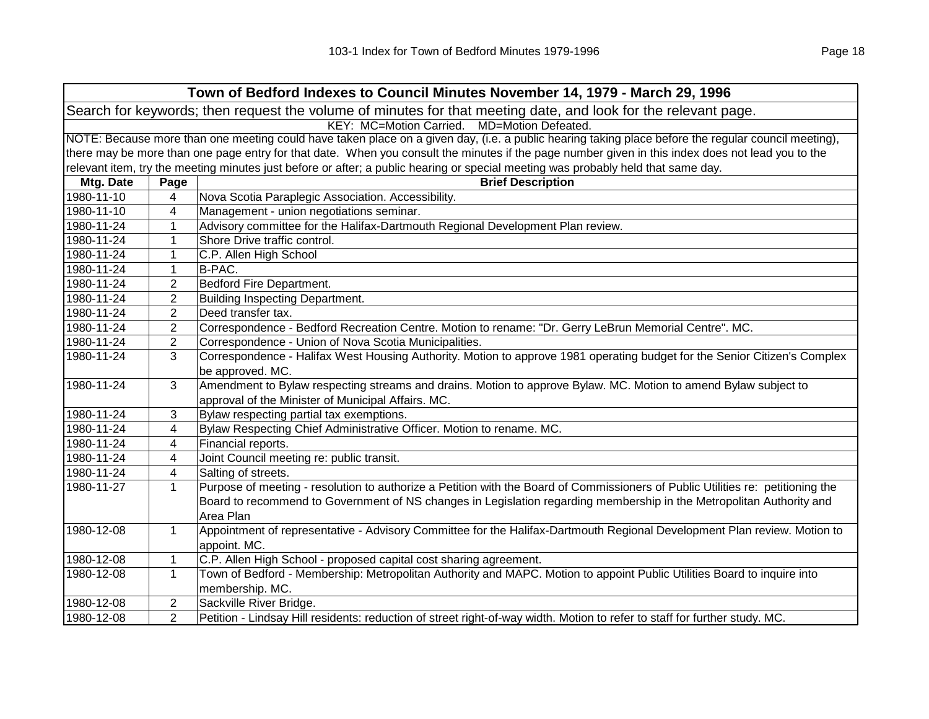|            |                                                                                                                                                     | Town of Bedford Indexes to Council Minutes November 14, 1979 - March 29, 1996                                                     |  |
|------------|-----------------------------------------------------------------------------------------------------------------------------------------------------|-----------------------------------------------------------------------------------------------------------------------------------|--|
|            |                                                                                                                                                     | Search for keywords; then request the volume of minutes for that meeting date, and look for the relevant page.                    |  |
|            | KEY: MC=Motion Carried.<br>MD=Motion Defeated.                                                                                                      |                                                                                                                                   |  |
|            | NOTE: Because more than one meeting could have taken place on a given day, (i.e. a public hearing taking place before the regular council meeting), |                                                                                                                                   |  |
|            | there may be more than one page entry for that date. When you consult the minutes if the page number given in this index does not lead you to the   |                                                                                                                                   |  |
|            |                                                                                                                                                     | relevant item, try the meeting minutes just before or after; a public hearing or special meeting was probably held that same day. |  |
| Mtg. Date  | Page                                                                                                                                                | <b>Brief Description</b>                                                                                                          |  |
| 1980-11-10 | 4                                                                                                                                                   | Nova Scotia Paraplegic Association. Accessibility.                                                                                |  |
| 1980-11-10 | 4                                                                                                                                                   | Management - union negotiations seminar.                                                                                          |  |
| 1980-11-24 | 1                                                                                                                                                   | Advisory committee for the Halifax-Dartmouth Regional Development Plan review.                                                    |  |
| 1980-11-24 | 1                                                                                                                                                   | Shore Drive traffic control.                                                                                                      |  |
| 1980-11-24 | $\mathbf 1$                                                                                                                                         | C.P. Allen High School                                                                                                            |  |
| 1980-11-24 | $\mathbf{1}$                                                                                                                                        | B-PAC.                                                                                                                            |  |
| 1980-11-24 | $\overline{2}$                                                                                                                                      | Bedford Fire Department.                                                                                                          |  |
| 1980-11-24 | 2                                                                                                                                                   | <b>Building Inspecting Department.</b>                                                                                            |  |
| 1980-11-24 | $\overline{2}$                                                                                                                                      | Deed transfer tax.                                                                                                                |  |
| 1980-11-24 | $\overline{2}$                                                                                                                                      | Correspondence - Bedford Recreation Centre. Motion to rename: "Dr. Gerry LeBrun Memorial Centre". MC.                             |  |
| 1980-11-24 | $\overline{2}$                                                                                                                                      | Correspondence - Union of Nova Scotia Municipalities.                                                                             |  |
| 1980-11-24 | 3                                                                                                                                                   | Correspondence - Halifax West Housing Authority. Motion to approve 1981 operating budget for the Senior Citizen's Complex         |  |
|            |                                                                                                                                                     | be approved. MC.                                                                                                                  |  |
| 1980-11-24 | 3                                                                                                                                                   | Amendment to Bylaw respecting streams and drains. Motion to approve Bylaw. MC. Motion to amend Bylaw subject to                   |  |
|            |                                                                                                                                                     | approval of the Minister of Municipal Affairs. MC.                                                                                |  |
| 1980-11-24 | 3                                                                                                                                                   | Bylaw respecting partial tax exemptions.                                                                                          |  |
| 1980-11-24 | 4                                                                                                                                                   | Bylaw Respecting Chief Administrative Officer. Motion to rename. MC.                                                              |  |
| 1980-11-24 | 4                                                                                                                                                   | Financial reports.                                                                                                                |  |
| 1980-11-24 | 4                                                                                                                                                   | Joint Council meeting re: public transit.                                                                                         |  |
| 1980-11-24 | 4                                                                                                                                                   | Salting of streets.                                                                                                               |  |
| 1980-11-27 | $\mathbf{1}$                                                                                                                                        | Purpose of meeting - resolution to authorize a Petition with the Board of Commissioners of Public Utilities re: petitioning the   |  |
|            |                                                                                                                                                     | Board to recommend to Government of NS changes in Legislation regarding membership in the Metropolitan Authority and              |  |
|            |                                                                                                                                                     | Area Plan                                                                                                                         |  |
| 1980-12-08 | $\mathbf{1}$                                                                                                                                        | Appointment of representative - Advisory Committee for the Halifax-Dartmouth Regional Development Plan review. Motion to          |  |
|            |                                                                                                                                                     | appoint. MC.                                                                                                                      |  |
| 1980-12-08 | $\mathbf{1}$                                                                                                                                        | C.P. Allen High School - proposed capital cost sharing agreement.                                                                 |  |
| 1980-12-08 | $\mathbf{1}$                                                                                                                                        | Town of Bedford - Membership: Metropolitan Authority and MAPC. Motion to appoint Public Utilities Board to inquire into           |  |
|            |                                                                                                                                                     | membership. MC.                                                                                                                   |  |
| 1980-12-08 | $\overline{2}$                                                                                                                                      | Sackville River Bridge.                                                                                                           |  |
| 1980-12-08 | $\overline{2}$                                                                                                                                      | Petition - Lindsay Hill residents: reduction of street right-of-way width. Motion to refer to staff for further study. MC.        |  |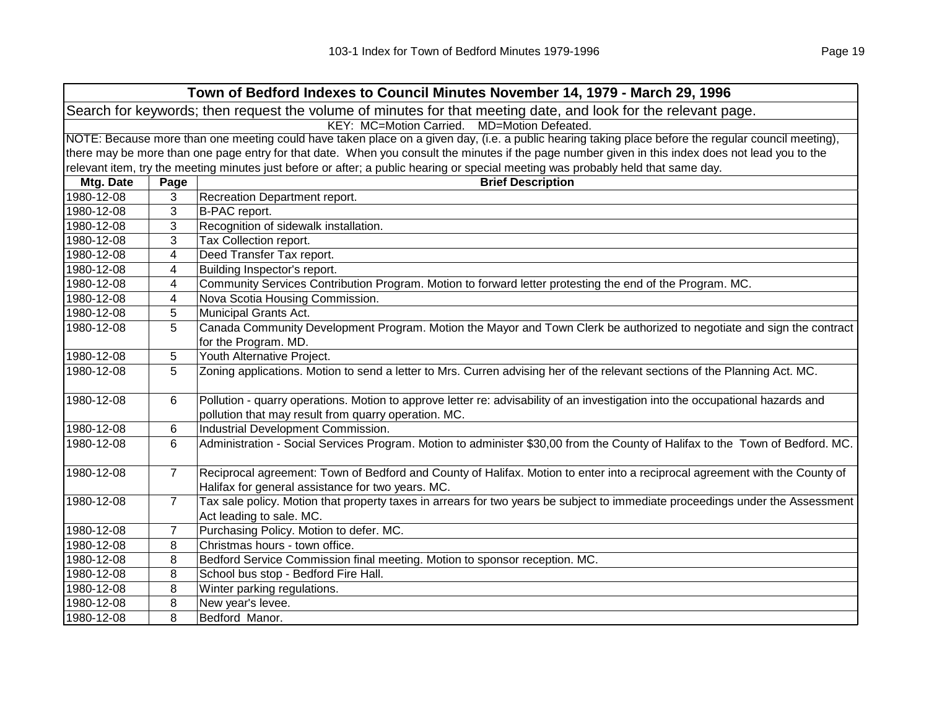|            |                | Town of Bedford Indexes to Council Minutes November 14, 1979 - March 29, 1996                                                                       |
|------------|----------------|-----------------------------------------------------------------------------------------------------------------------------------------------------|
|            |                | Search for keywords; then request the volume of minutes for that meeting date, and look for the relevant page.                                      |
|            |                | KEY: MC=Motion Carried. MD=Motion Defeated.                                                                                                         |
|            |                | NOTE: Because more than one meeting could have taken place on a given day, (i.e. a public hearing taking place before the regular council meeting), |
|            |                | there may be more than one page entry for that date. When you consult the minutes if the page number given in this index does not lead you to the   |
|            |                | relevant item, try the meeting minutes just before or after; a public hearing or special meeting was probably held that same day.                   |
| Mtg. Date  | Page           | <b>Brief Description</b>                                                                                                                            |
| 1980-12-08 | 3              | Recreation Department report.                                                                                                                       |
| 1980-12-08 | 3              | B-PAC report.                                                                                                                                       |
| 1980-12-08 | 3              | Recognition of sidewalk installation.                                                                                                               |
| 1980-12-08 | 3              | Tax Collection report.                                                                                                                              |
| 1980-12-08 | 4              | Deed Transfer Tax report.                                                                                                                           |
| 1980-12-08 | 4              | Building Inspector's report.                                                                                                                        |
| 1980-12-08 | 4              | Community Services Contribution Program. Motion to forward letter protesting the end of the Program. MC.                                            |
| 1980-12-08 | 4              | Nova Scotia Housing Commission.                                                                                                                     |
| 1980-12-08 | 5              | Municipal Grants Act.                                                                                                                               |
| 1980-12-08 | 5              | Canada Community Development Program. Motion the Mayor and Town Clerk be authorized to negotiate and sign the contract                              |
|            |                | for the Program. MD.                                                                                                                                |
| 1980-12-08 | 5              | Youth Alternative Project.                                                                                                                          |
| 1980-12-08 | 5              | Zoning applications. Motion to send a letter to Mrs. Curren advising her of the relevant sections of the Planning Act. MC.                          |
| 1980-12-08 |                | Pollution - quarry operations. Motion to approve letter re: advisability of an investigation into the occupational hazards and                      |
|            | 6              | pollution that may result from quarry operation. MC.                                                                                                |
| 1980-12-08 | 6              | Industrial Development Commission.                                                                                                                  |
| 1980-12-08 | 6              | Administration - Social Services Program. Motion to administer \$30,00 from the County of Halifax to the Town of Bedford. MC.                       |
|            |                |                                                                                                                                                     |
| 1980-12-08 | $\overline{7}$ | Reciprocal agreement: Town of Bedford and County of Halifax. Motion to enter into a reciprocal agreement with the County of                         |
|            |                | Halifax for general assistance for two years. MC.                                                                                                   |
| 1980-12-08 | $\overline{7}$ | Tax sale policy. Motion that property taxes in arrears for two years be subject to immediate proceedings under the Assessment                       |
|            |                | Act leading to sale. MC.                                                                                                                            |
| 1980-12-08 | 7              | Purchasing Policy. Motion to defer. MC.                                                                                                             |
| 1980-12-08 | 8              | Christmas hours - town office.                                                                                                                      |
| 1980-12-08 | 8              | Bedford Service Commission final meeting. Motion to sponsor reception. MC.                                                                          |
| 1980-12-08 | 8              | School bus stop - Bedford Fire Hall.                                                                                                                |
| 1980-12-08 | 8              | Winter parking regulations.                                                                                                                         |
| 1980-12-08 | 8              | New year's levee.                                                                                                                                   |
| 1980-12-08 | 8              | Bedford Manor.                                                                                                                                      |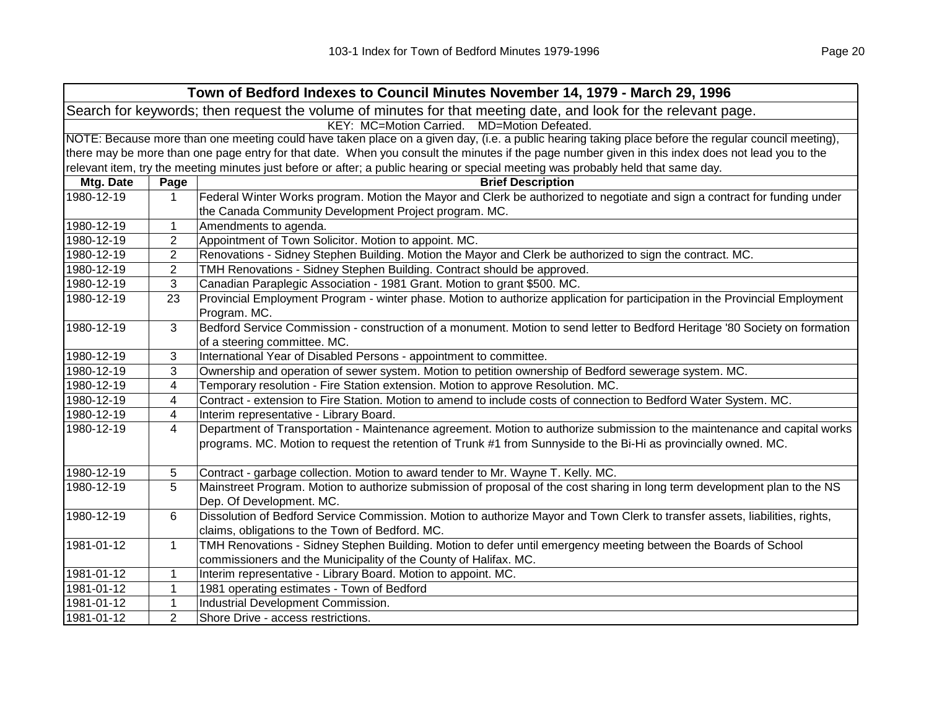|            |                | Town of Bedford Indexes to Council Minutes November 14, 1979 - March 29, 1996                                                                       |
|------------|----------------|-----------------------------------------------------------------------------------------------------------------------------------------------------|
|            |                | Search for keywords; then request the volume of minutes for that meeting date, and look for the relevant page.                                      |
|            |                | KEY: MC=Motion Carried. MD=Motion Defeated.                                                                                                         |
|            |                | NOTE: Because more than one meeting could have taken place on a given day, (i.e. a public hearing taking place before the regular council meeting), |
|            |                | there may be more than one page entry for that date. When you consult the minutes if the page number given in this index does not lead you to the   |
|            |                | relevant item, try the meeting minutes just before or after; a public hearing or special meeting was probably held that same day.                   |
| Mtg. Date  | Page           | <b>Brief Description</b>                                                                                                                            |
| 1980-12-19 | $\mathbf 1$    | Federal Winter Works program. Motion the Mayor and Clerk be authorized to negotiate and sign a contract for funding under                           |
|            |                | the Canada Community Development Project program. MC.                                                                                               |
| 1980-12-19 | 1              | Amendments to agenda.                                                                                                                               |
| 1980-12-19 | $\overline{2}$ | Appointment of Town Solicitor. Motion to appoint. MC.                                                                                               |
| 1980-12-19 | $\overline{2}$ | Renovations - Sidney Stephen Building. Motion the Mayor and Clerk be authorized to sign the contract. MC.                                           |
| 1980-12-19 | $\overline{2}$ | TMH Renovations - Sidney Stephen Building. Contract should be approved.                                                                             |
| 1980-12-19 | 3              | Canadian Paraplegic Association - 1981 Grant. Motion to grant \$500. MC.                                                                            |
| 1980-12-19 | 23             | Provincial Employment Program - winter phase. Motion to authorize application for participation in the Provincial Employment                        |
|            |                | Program. MC.                                                                                                                                        |
| 1980-12-19 | 3              | Bedford Service Commission - construction of a monument. Motion to send letter to Bedford Heritage '80 Society on formation                         |
|            |                | of a steering committee. MC.                                                                                                                        |
| 1980-12-19 | 3              | International Year of Disabled Persons - appointment to committee.                                                                                  |
| 1980-12-19 | 3              | Ownership and operation of sewer system. Motion to petition ownership of Bedford sewerage system. MC.                                               |
| 1980-12-19 | 4              | Temporary resolution - Fire Station extension. Motion to approve Resolution. MC.                                                                    |
| 1980-12-19 | 4              | Contract - extension to Fire Station. Motion to amend to include costs of connection to Bedford Water System. MC.                                   |
| 1980-12-19 | 4              | Interim representative - Library Board.                                                                                                             |
| 1980-12-19 | 4              | Department of Transportation - Maintenance agreement. Motion to authorize submission to the maintenance and capital works                           |
|            |                | programs. MC. Motion to request the retention of Trunk #1 from Sunnyside to the Bi-Hi as provincially owned. MC.                                    |
| 1980-12-19 | 5              | Contract - garbage collection. Motion to award tender to Mr. Wayne T. Kelly. MC.                                                                    |
| 1980-12-19 | 5              | Mainstreet Program. Motion to authorize submission of proposal of the cost sharing in long term development plan to the NS                          |
|            |                | Dep. Of Development. MC.                                                                                                                            |
| 1980-12-19 | 6              | Dissolution of Bedford Service Commission. Motion to authorize Mayor and Town Clerk to transfer assets, liabilities, rights,                        |
|            |                | claims, obligations to the Town of Bedford. MC.                                                                                                     |
| 1981-01-12 | $\mathbf{1}$   | TMH Renovations - Sidney Stephen Building. Motion to defer until emergency meeting between the Boards of School                                     |
|            |                | commissioners and the Municipality of the County of Halifax. MC.                                                                                    |
| 1981-01-12 | $\mathbf{1}$   | Interim representative - Library Board. Motion to appoint. MC.                                                                                      |
| 1981-01-12 | $\mathbf{1}$   | 1981 operating estimates - Town of Bedford                                                                                                          |
| 1981-01-12 | $\mathbf{1}$   | Industrial Development Commission.                                                                                                                  |
| 1981-01-12 | $\overline{2}$ | Shore Drive - access restrictions.                                                                                                                  |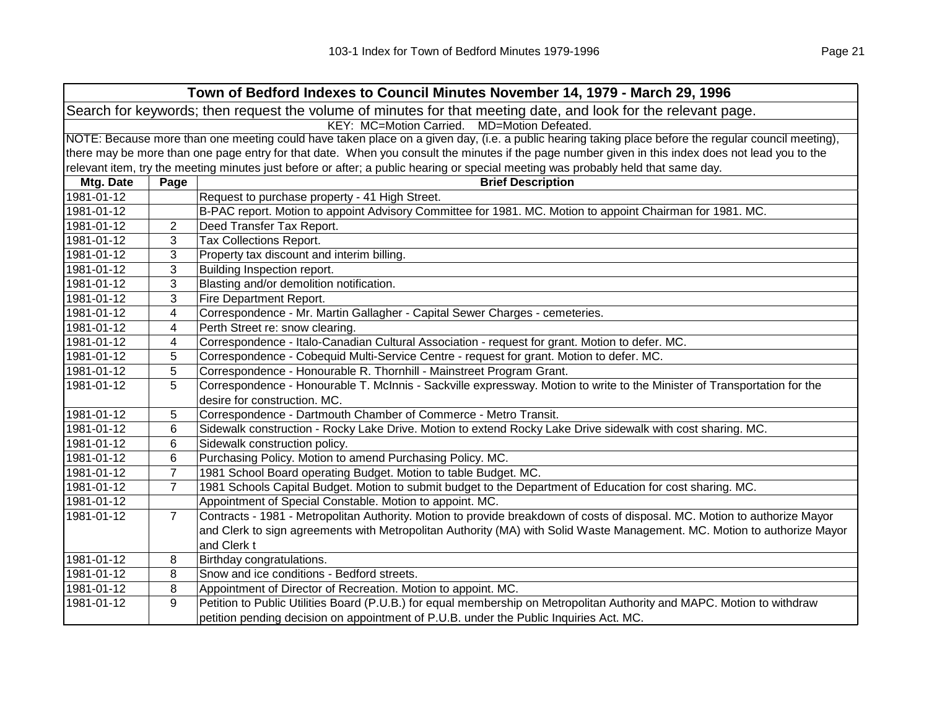|            |                                                                                                                                                     | Town of Bedford Indexes to Council Minutes November 14, 1979 - March 29, 1996                                                     |  |
|------------|-----------------------------------------------------------------------------------------------------------------------------------------------------|-----------------------------------------------------------------------------------------------------------------------------------|--|
|            |                                                                                                                                                     | Search for keywords; then request the volume of minutes for that meeting date, and look for the relevant page.                    |  |
|            | KEY: MC=Motion Carried.<br>MD=Motion Defeated.                                                                                                      |                                                                                                                                   |  |
|            | NOTE: Because more than one meeting could have taken place on a given day, (i.e. a public hearing taking place before the regular council meeting), |                                                                                                                                   |  |
|            | there may be more than one page entry for that date. When you consult the minutes if the page number given in this index does not lead you to the   |                                                                                                                                   |  |
|            |                                                                                                                                                     | relevant item, try the meeting minutes just before or after; a public hearing or special meeting was probably held that same day. |  |
| Mtg. Date  | Page                                                                                                                                                | <b>Brief Description</b>                                                                                                          |  |
| 1981-01-12 |                                                                                                                                                     | Request to purchase property - 41 High Street.                                                                                    |  |
| 1981-01-12 |                                                                                                                                                     | B-PAC report. Motion to appoint Advisory Committee for 1981. MC. Motion to appoint Chairman for 1981. MC.                         |  |
| 1981-01-12 | $\overline{2}$                                                                                                                                      | Deed Transfer Tax Report.                                                                                                         |  |
| 1981-01-12 | 3                                                                                                                                                   | Tax Collections Report.                                                                                                           |  |
| 1981-01-12 | 3                                                                                                                                                   | Property tax discount and interim billing.                                                                                        |  |
| 1981-01-12 | 3                                                                                                                                                   | Building Inspection report.                                                                                                       |  |
| 1981-01-12 | 3                                                                                                                                                   | Blasting and/or demolition notification.                                                                                          |  |
| 1981-01-12 | 3                                                                                                                                                   | Fire Department Report.                                                                                                           |  |
| 1981-01-12 | 4                                                                                                                                                   | Correspondence - Mr. Martin Gallagher - Capital Sewer Charges - cemeteries.                                                       |  |
| 1981-01-12 | 4                                                                                                                                                   | Perth Street re: snow clearing.                                                                                                   |  |
| 1981-01-12 | 4                                                                                                                                                   | Correspondence - Italo-Canadian Cultural Association - request for grant. Motion to defer. MC.                                    |  |
| 1981-01-12 | 5                                                                                                                                                   | Correspondence - Cobequid Multi-Service Centre - request for grant. Motion to defer. MC.                                          |  |
| 1981-01-12 | 5                                                                                                                                                   | Correspondence - Honourable R. Thornhill - Mainstreet Program Grant.                                                              |  |
| 1981-01-12 | 5                                                                                                                                                   | Correspondence - Honourable T. McInnis - Sackville expressway. Motion to write to the Minister of Transportation for the          |  |
|            |                                                                                                                                                     | desire for construction. MC.                                                                                                      |  |
| 1981-01-12 | 5                                                                                                                                                   | Correspondence - Dartmouth Chamber of Commerce - Metro Transit.                                                                   |  |
| 1981-01-12 | 6                                                                                                                                                   | Sidewalk construction - Rocky Lake Drive. Motion to extend Rocky Lake Drive sidewalk with cost sharing. MC.                       |  |
| 1981-01-12 | 6                                                                                                                                                   | Sidewalk construction policy.                                                                                                     |  |
| 1981-01-12 | 6                                                                                                                                                   | Purchasing Policy. Motion to amend Purchasing Policy. MC.                                                                         |  |
| 1981-01-12 | $\overline{7}$                                                                                                                                      | 1981 School Board operating Budget. Motion to table Budget. MC.                                                                   |  |
| 1981-01-12 | $\overline{7}$                                                                                                                                      | 1981 Schools Capital Budget. Motion to submit budget to the Department of Education for cost sharing. MC.                         |  |
| 1981-01-12 |                                                                                                                                                     | Appointment of Special Constable. Motion to appoint. MC.                                                                          |  |
| 1981-01-12 | $\overline{7}$                                                                                                                                      | Contracts - 1981 - Metropolitan Authority. Motion to provide breakdown of costs of disposal. MC. Motion to authorize Mayor        |  |
|            |                                                                                                                                                     | and Clerk to sign agreements with Metropolitan Authority (MA) with Solid Waste Management. MC. Motion to authorize Mayor          |  |
|            |                                                                                                                                                     | and Clerk t                                                                                                                       |  |
| 1981-01-12 | 8                                                                                                                                                   | Birthday congratulations.                                                                                                         |  |
| 1981-01-12 | 8                                                                                                                                                   | Snow and ice conditions - Bedford streets.                                                                                        |  |
| 1981-01-12 | 8                                                                                                                                                   | Appointment of Director of Recreation. Motion to appoint. MC.                                                                     |  |
| 1981-01-12 | 9                                                                                                                                                   | Petition to Public Utilities Board (P.U.B.) for equal membership on Metropolitan Authority and MAPC. Motion to withdraw           |  |
|            |                                                                                                                                                     | petition pending decision on appointment of P.U.B. under the Public Inquiries Act. MC.                                            |  |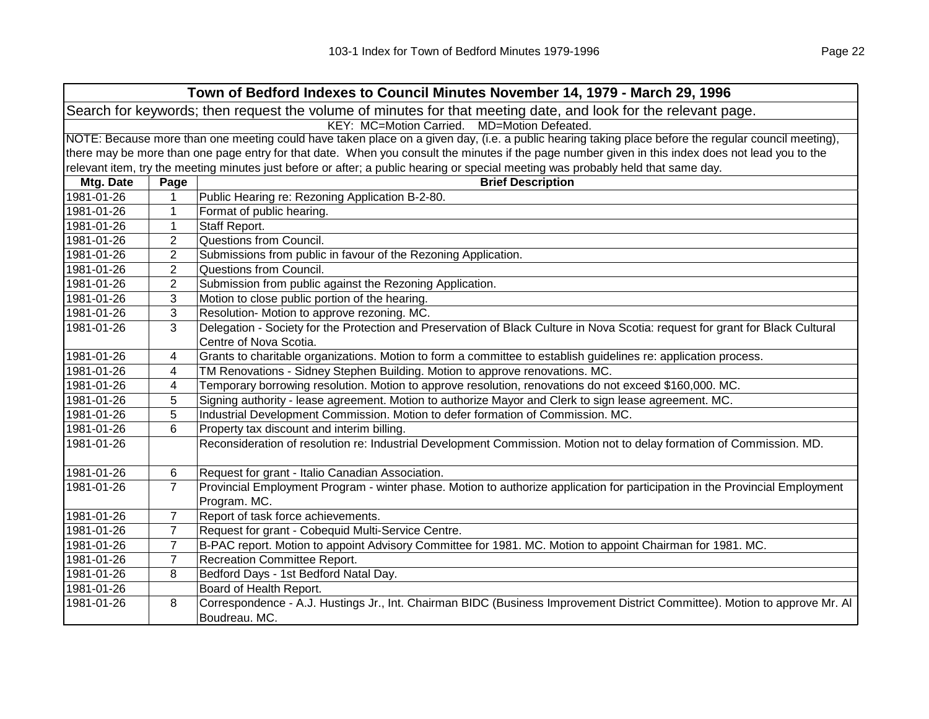| Search for keywords; then request the volume of minutes for that meeting date, and look for the relevant page.<br>KEY: MC=Motion Carried. MD=Motion Defeated.<br>NOTE: Because more than one meeting could have taken place on a given day, (i.e. a public hearing taking place before the regular council meeting),<br>there may be more than one page entry for that date. When you consult the minutes if the page number given in this index does not lead you to the<br>relevant item, try the meeting minutes just before or after; a public hearing or special meeting was probably held that same day.<br>Mtg. Date<br><b>Brief Description</b><br>Page<br>1981-01-26<br>Public Hearing re: Rezoning Application B-2-80.<br>1<br>1981-01-26<br>$\mathbf{1}$<br>Format of public hearing.<br>1981-01-26<br>$\mathbf{1}$<br>Staff Report.<br>$\overline{2}$<br>Questions from Council.<br>1981-01-26 |  |  |  |
|------------------------------------------------------------------------------------------------------------------------------------------------------------------------------------------------------------------------------------------------------------------------------------------------------------------------------------------------------------------------------------------------------------------------------------------------------------------------------------------------------------------------------------------------------------------------------------------------------------------------------------------------------------------------------------------------------------------------------------------------------------------------------------------------------------------------------------------------------------------------------------------------------------|--|--|--|
|                                                                                                                                                                                                                                                                                                                                                                                                                                                                                                                                                                                                                                                                                                                                                                                                                                                                                                            |  |  |  |
|                                                                                                                                                                                                                                                                                                                                                                                                                                                                                                                                                                                                                                                                                                                                                                                                                                                                                                            |  |  |  |
|                                                                                                                                                                                                                                                                                                                                                                                                                                                                                                                                                                                                                                                                                                                                                                                                                                                                                                            |  |  |  |
|                                                                                                                                                                                                                                                                                                                                                                                                                                                                                                                                                                                                                                                                                                                                                                                                                                                                                                            |  |  |  |
|                                                                                                                                                                                                                                                                                                                                                                                                                                                                                                                                                                                                                                                                                                                                                                                                                                                                                                            |  |  |  |
|                                                                                                                                                                                                                                                                                                                                                                                                                                                                                                                                                                                                                                                                                                                                                                                                                                                                                                            |  |  |  |
|                                                                                                                                                                                                                                                                                                                                                                                                                                                                                                                                                                                                                                                                                                                                                                                                                                                                                                            |  |  |  |
|                                                                                                                                                                                                                                                                                                                                                                                                                                                                                                                                                                                                                                                                                                                                                                                                                                                                                                            |  |  |  |
|                                                                                                                                                                                                                                                                                                                                                                                                                                                                                                                                                                                                                                                                                                                                                                                                                                                                                                            |  |  |  |
|                                                                                                                                                                                                                                                                                                                                                                                                                                                                                                                                                                                                                                                                                                                                                                                                                                                                                                            |  |  |  |
| 2<br>Submissions from public in favour of the Rezoning Application.<br>1981-01-26                                                                                                                                                                                                                                                                                                                                                                                                                                                                                                                                                                                                                                                                                                                                                                                                                          |  |  |  |
| 2<br>1981-01-26<br>Questions from Council.                                                                                                                                                                                                                                                                                                                                                                                                                                                                                                                                                                                                                                                                                                                                                                                                                                                                 |  |  |  |
| 2<br>Submission from public against the Rezoning Application.<br>1981-01-26                                                                                                                                                                                                                                                                                                                                                                                                                                                                                                                                                                                                                                                                                                                                                                                                                                |  |  |  |
| Motion to close public portion of the hearing.<br>1981-01-26<br>3                                                                                                                                                                                                                                                                                                                                                                                                                                                                                                                                                                                                                                                                                                                                                                                                                                          |  |  |  |
| 3<br>Resolution- Motion to approve rezoning. MC.<br>1981-01-26                                                                                                                                                                                                                                                                                                                                                                                                                                                                                                                                                                                                                                                                                                                                                                                                                                             |  |  |  |
| Delegation - Society for the Protection and Preservation of Black Culture in Nova Scotia: request for grant for Black Cultural<br>3<br>1981-01-26                                                                                                                                                                                                                                                                                                                                                                                                                                                                                                                                                                                                                                                                                                                                                          |  |  |  |
| Centre of Nova Scotia.                                                                                                                                                                                                                                                                                                                                                                                                                                                                                                                                                                                                                                                                                                                                                                                                                                                                                     |  |  |  |
| Grants to charitable organizations. Motion to form a committee to establish guidelines re: application process.<br>1981-01-26<br>4                                                                                                                                                                                                                                                                                                                                                                                                                                                                                                                                                                                                                                                                                                                                                                         |  |  |  |
| TM Renovations - Sidney Stephen Building. Motion to approve renovations. MC.<br>1981-01-26<br>4                                                                                                                                                                                                                                                                                                                                                                                                                                                                                                                                                                                                                                                                                                                                                                                                            |  |  |  |
| Temporary borrowing resolution. Motion to approve resolution, renovations do not exceed \$160,000. MC.<br>1981-01-26<br>4                                                                                                                                                                                                                                                                                                                                                                                                                                                                                                                                                                                                                                                                                                                                                                                  |  |  |  |
| Signing authority - lease agreement. Motion to authorize Mayor and Clerk to sign lease agreement. MC.<br>1981-01-26<br>5                                                                                                                                                                                                                                                                                                                                                                                                                                                                                                                                                                                                                                                                                                                                                                                   |  |  |  |
| 5<br>Industrial Development Commission. Motion to defer formation of Commission. MC.<br>1981-01-26                                                                                                                                                                                                                                                                                                                                                                                                                                                                                                                                                                                                                                                                                                                                                                                                         |  |  |  |
| 6<br>Property tax discount and interim billing.<br>1981-01-26                                                                                                                                                                                                                                                                                                                                                                                                                                                                                                                                                                                                                                                                                                                                                                                                                                              |  |  |  |
| Reconsideration of resolution re: Industrial Development Commission. Motion not to delay formation of Commission. MD.<br>1981-01-26                                                                                                                                                                                                                                                                                                                                                                                                                                                                                                                                                                                                                                                                                                                                                                        |  |  |  |
| Request for grant - Italio Canadian Association.<br>1981-01-26<br>6                                                                                                                                                                                                                                                                                                                                                                                                                                                                                                                                                                                                                                                                                                                                                                                                                                        |  |  |  |
| Provincial Employment Program - winter phase. Motion to authorize application for participation in the Provincial Employment<br>7<br>1981-01-26<br>Program. MC.                                                                                                                                                                                                                                                                                                                                                                                                                                                                                                                                                                                                                                                                                                                                            |  |  |  |
| Report of task force achievements.<br>$\overline{7}$<br>1981-01-26                                                                                                                                                                                                                                                                                                                                                                                                                                                                                                                                                                                                                                                                                                                                                                                                                                         |  |  |  |
| $\overline{7}$<br>Request for grant - Cobequid Multi-Service Centre.<br>1981-01-26                                                                                                                                                                                                                                                                                                                                                                                                                                                                                                                                                                                                                                                                                                                                                                                                                         |  |  |  |
| B-PAC report. Motion to appoint Advisory Committee for 1981. MC. Motion to appoint Chairman for 1981. MC.<br>$\overline{7}$<br>1981-01-26                                                                                                                                                                                                                                                                                                                                                                                                                                                                                                                                                                                                                                                                                                                                                                  |  |  |  |
| $\overline{7}$<br>Recreation Committee Report.<br>1981-01-26                                                                                                                                                                                                                                                                                                                                                                                                                                                                                                                                                                                                                                                                                                                                                                                                                                               |  |  |  |
| Bedford Days - 1st Bedford Natal Day.<br>1981-01-26<br>8                                                                                                                                                                                                                                                                                                                                                                                                                                                                                                                                                                                                                                                                                                                                                                                                                                                   |  |  |  |
| Board of Health Report.<br>1981-01-26                                                                                                                                                                                                                                                                                                                                                                                                                                                                                                                                                                                                                                                                                                                                                                                                                                                                      |  |  |  |
| Correspondence - A.J. Hustings Jr., Int. Chairman BIDC (Business Improvement District Committee). Motion to approve Mr. Al<br>1981-01-26<br>8                                                                                                                                                                                                                                                                                                                                                                                                                                                                                                                                                                                                                                                                                                                                                              |  |  |  |
| Boudreau. MC.                                                                                                                                                                                                                                                                                                                                                                                                                                                                                                                                                                                                                                                                                                                                                                                                                                                                                              |  |  |  |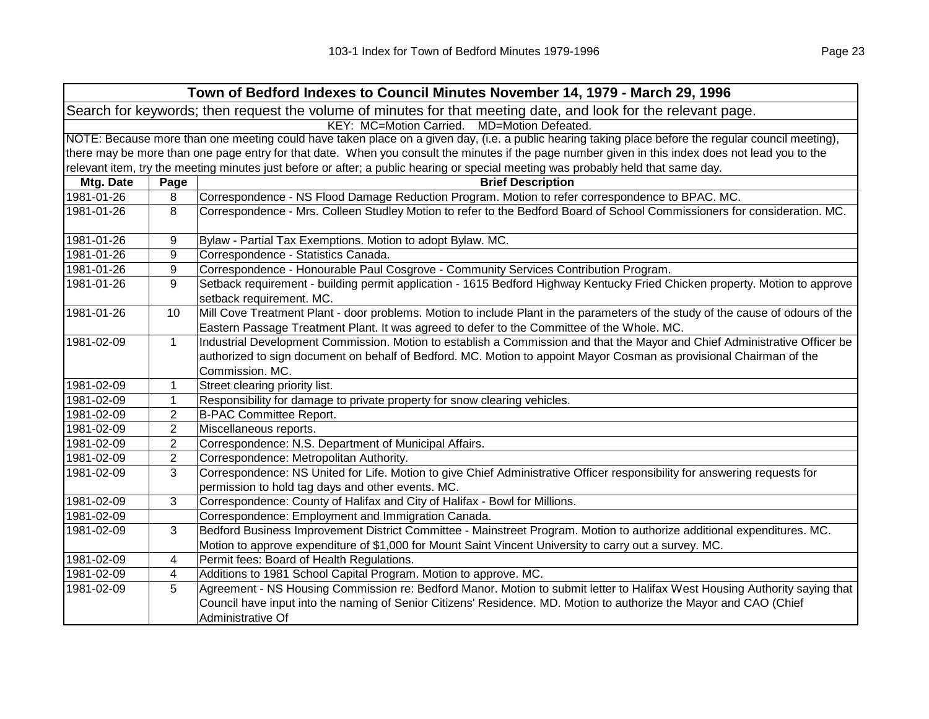|            |                | Town of Bedford Indexes to Council Minutes November 14, 1979 - March 29, 1996                                                                                                                                                                                        |
|------------|----------------|----------------------------------------------------------------------------------------------------------------------------------------------------------------------------------------------------------------------------------------------------------------------|
|            |                | Search for keywords; then request the volume of minutes for that meeting date, and look for the relevant page.                                                                                                                                                       |
|            |                | KEY: MC=Motion Carried. MD=Motion Defeated.                                                                                                                                                                                                                          |
|            |                | NOTE: Because more than one meeting could have taken place on a given day, (i.e. a public hearing taking place before the regular council meeting),                                                                                                                  |
|            |                | there may be more than one page entry for that date. When you consult the minutes if the page number given in this index does not lead you to the                                                                                                                    |
|            |                | relevant item, try the meeting minutes just before or after; a public hearing or special meeting was probably held that same day.                                                                                                                                    |
| Mtg. Date  | Page           | <b>Brief Description</b>                                                                                                                                                                                                                                             |
| 1981-01-26 | 8              | Correspondence - NS Flood Damage Reduction Program. Motion to refer correspondence to BPAC. MC.                                                                                                                                                                      |
| 1981-01-26 | 8              | Correspondence - Mrs. Colleen Studley Motion to refer to the Bedford Board of School Commissioners for consideration. MC.                                                                                                                                            |
| 1981-01-26 | 9              | Bylaw - Partial Tax Exemptions. Motion to adopt Bylaw. MC.                                                                                                                                                                                                           |
| 1981-01-26 | 9              | Correspondence - Statistics Canada.                                                                                                                                                                                                                                  |
| 1981-01-26 | 9              | Correspondence - Honourable Paul Cosgrove - Community Services Contribution Program.                                                                                                                                                                                 |
| 1981-01-26 | 9              | Setback requirement - building permit application - 1615 Bedford Highway Kentucky Fried Chicken property. Motion to approve<br>setback requirement. MC.                                                                                                              |
| 1981-01-26 | 10             | Mill Cove Treatment Plant - door problems. Motion to include Plant in the parameters of the study of the cause of odours of the<br>Eastern Passage Treatment Plant. It was agreed to defer to the Committee of the Whole. MC.                                        |
| 1981-02-09 | $\mathbf{1}$   | Industrial Development Commission. Motion to establish a Commission and that the Mayor and Chief Administrative Officer be<br>authorized to sign document on behalf of Bedford. MC. Motion to appoint Mayor Cosman as provisional Chairman of the<br>Commission. MC. |
| 1981-02-09 | 1              | Street clearing priority list.                                                                                                                                                                                                                                       |
| 1981-02-09 | $\mathbf{1}$   | Responsibility for damage to private property for snow clearing vehicles.                                                                                                                                                                                            |
| 1981-02-09 | $\overline{2}$ | <b>B-PAC Committee Report.</b>                                                                                                                                                                                                                                       |
| 1981-02-09 | $\overline{2}$ | Miscellaneous reports.                                                                                                                                                                                                                                               |
| 1981-02-09 | $\overline{2}$ | Correspondence: N.S. Department of Municipal Affairs.                                                                                                                                                                                                                |
| 1981-02-09 | $\overline{2}$ | Correspondence: Metropolitan Authority.                                                                                                                                                                                                                              |
| 1981-02-09 | 3              | Correspondence: NS United for Life. Motion to give Chief Administrative Officer responsibility for answering requests for<br>permission to hold tag days and other events. MC.                                                                                       |
| 1981-02-09 | 3              | Correspondence: County of Halifax and City of Halifax - Bowl for Millions.                                                                                                                                                                                           |
| 1981-02-09 |                | Correspondence: Employment and Immigration Canada.                                                                                                                                                                                                                   |
| 1981-02-09 | 3              | Bedford Business Improvement District Committee - Mainstreet Program. Motion to authorize additional expenditures. MC.<br>Motion to approve expenditure of \$1,000 for Mount Saint Vincent University to carry out a survey. MC.                                     |
| 1981-02-09 | 4              | Permit fees: Board of Health Regulations.                                                                                                                                                                                                                            |
| 1981-02-09 | 4              | Additions to 1981 School Capital Program. Motion to approve. MC.                                                                                                                                                                                                     |
| 1981-02-09 | 5              | Agreement - NS Housing Commission re: Bedford Manor. Motion to submit letter to Halifax West Housing Authority saying that                                                                                                                                           |
|            |                | Council have input into the naming of Senior Citizens' Residence. MD. Motion to authorize the Mayor and CAO (Chief<br>Administrative Of                                                                                                                              |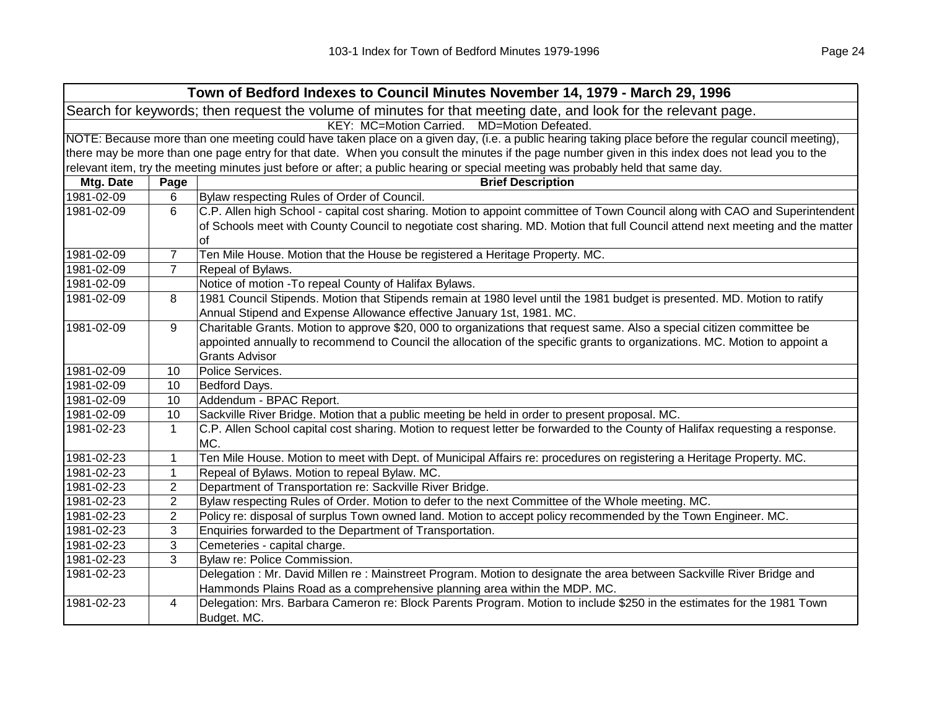| NOTE: Because more than one meeting could have taken place on a given day, (i.e. a public hearing taking place before the regular council meeting),                                                                                                            |  |  |
|----------------------------------------------------------------------------------------------------------------------------------------------------------------------------------------------------------------------------------------------------------------|--|--|
| there may be more than one page entry for that date. When you consult the minutes if the page number given in this index does not lead you to the                                                                                                              |  |  |
|                                                                                                                                                                                                                                                                |  |  |
|                                                                                                                                                                                                                                                                |  |  |
|                                                                                                                                                                                                                                                                |  |  |
| C.P. Allen high School - capital cost sharing. Motion to appoint committee of Town Council along with CAO and Superintendent<br>of Schools meet with County Council to negotiate cost sharing. MD. Motion that full Council attend next meeting and the matter |  |  |
|                                                                                                                                                                                                                                                                |  |  |
|                                                                                                                                                                                                                                                                |  |  |
|                                                                                                                                                                                                                                                                |  |  |
| 1981 Council Stipends. Motion that Stipends remain at 1980 level until the 1981 budget is presented. MD. Motion to ratify                                                                                                                                      |  |  |
| Charitable Grants. Motion to approve \$20, 000 to organizations that request same. Also a special citizen committee be<br>appointed annually to recommend to Council the allocation of the specific grants to organizations. MC. Motion to appoint a           |  |  |
|                                                                                                                                                                                                                                                                |  |  |
|                                                                                                                                                                                                                                                                |  |  |
|                                                                                                                                                                                                                                                                |  |  |
|                                                                                                                                                                                                                                                                |  |  |
| C.P. Allen School capital cost sharing. Motion to request letter be forwarded to the County of Halifax requesting a response.                                                                                                                                  |  |  |
| Ten Mile House. Motion to meet with Dept. of Municipal Affairs re: procedures on registering a Heritage Property. MC.                                                                                                                                          |  |  |
|                                                                                                                                                                                                                                                                |  |  |
|                                                                                                                                                                                                                                                                |  |  |
|                                                                                                                                                                                                                                                                |  |  |
|                                                                                                                                                                                                                                                                |  |  |
|                                                                                                                                                                                                                                                                |  |  |
|                                                                                                                                                                                                                                                                |  |  |
|                                                                                                                                                                                                                                                                |  |  |
| Delegation: Mr. David Millen re: Mainstreet Program. Motion to designate the area between Sackville River Bridge and                                                                                                                                           |  |  |
|                                                                                                                                                                                                                                                                |  |  |
| Delegation: Mrs. Barbara Cameron re: Block Parents Program. Motion to include \$250 in the estimates for the 1981 Town                                                                                                                                         |  |  |
| Policy re: disposal of surplus Town owned land. Motion to accept policy recommended by the Town Engineer. MC.                                                                                                                                                  |  |  |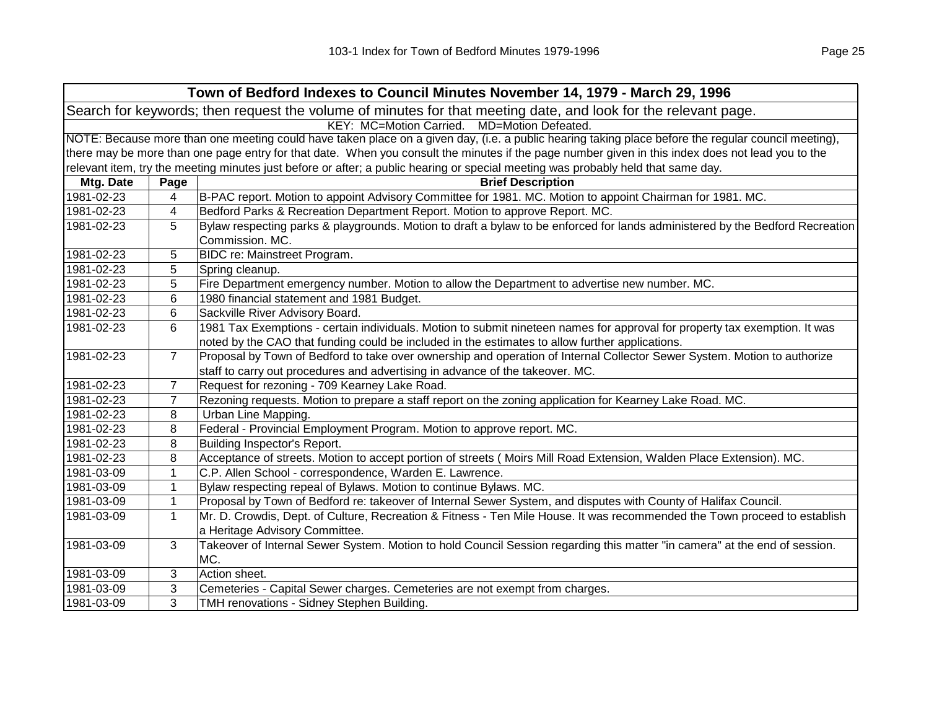| Town of Bedford Indexes to Council Minutes November 14, 1979 - March 29, 1996                                  |                                             |                                                                                                                                                     |  |
|----------------------------------------------------------------------------------------------------------------|---------------------------------------------|-----------------------------------------------------------------------------------------------------------------------------------------------------|--|
| Search for keywords; then request the volume of minutes for that meeting date, and look for the relevant page. |                                             |                                                                                                                                                     |  |
|                                                                                                                | KEY: MC=Motion Carried. MD=Motion Defeated. |                                                                                                                                                     |  |
|                                                                                                                |                                             | NOTE: Because more than one meeting could have taken place on a given day, (i.e. a public hearing taking place before the regular council meeting), |  |
|                                                                                                                |                                             | there may be more than one page entry for that date. When you consult the minutes if the page number given in this index does not lead you to the   |  |
|                                                                                                                |                                             | relevant item, try the meeting minutes just before or after; a public hearing or special meeting was probably held that same day.                   |  |
| Mtg. Date                                                                                                      | Page                                        | <b>Brief Description</b>                                                                                                                            |  |
| 1981-02-23                                                                                                     | 4                                           | B-PAC report. Motion to appoint Advisory Committee for 1981. MC. Motion to appoint Chairman for 1981. MC.                                           |  |
| 1981-02-23                                                                                                     | 4                                           | Bedford Parks & Recreation Department Report. Motion to approve Report. MC.                                                                         |  |
| 1981-02-23                                                                                                     | 5                                           | Bylaw respecting parks & playgrounds. Motion to draft a bylaw to be enforced for lands administered by the Bedford Recreation                       |  |
|                                                                                                                |                                             | Commission. MC.                                                                                                                                     |  |
| 1981-02-23                                                                                                     | 5                                           | BIDC re: Mainstreet Program.                                                                                                                        |  |
| 1981-02-23                                                                                                     | 5                                           | Spring cleanup.                                                                                                                                     |  |
| 1981-02-23                                                                                                     | 5                                           | Fire Department emergency number. Motion to allow the Department to advertise new number. MC.                                                       |  |
| 1981-02-23                                                                                                     | 6                                           | 1980 financial statement and 1981 Budget.                                                                                                           |  |
| 1981-02-23                                                                                                     | 6                                           | Sackville River Advisory Board.                                                                                                                     |  |
| 1981-02-23                                                                                                     | 6                                           | 1981 Tax Exemptions - certain individuals. Motion to submit nineteen names for approval for property tax exemption. It was                          |  |
|                                                                                                                |                                             | noted by the CAO that funding could be included in the estimates to allow further applications.                                                     |  |
| 1981-02-23                                                                                                     | $\overline{7}$                              | Proposal by Town of Bedford to take over ownership and operation of Internal Collector Sewer System. Motion to authorize                            |  |
|                                                                                                                |                                             | staff to carry out procedures and advertising in advance of the takeover. MC.                                                                       |  |
| 1981-02-23                                                                                                     | $\overline{7}$                              | Request for rezoning - 709 Kearney Lake Road.                                                                                                       |  |
| 1981-02-23                                                                                                     | $\overline{7}$                              | Rezoning requests. Motion to prepare a staff report on the zoning application for Kearney Lake Road. MC.                                            |  |
| 1981-02-23                                                                                                     | 8                                           | Urban Line Mapping.                                                                                                                                 |  |
| 1981-02-23                                                                                                     | 8                                           | Federal - Provincial Employment Program. Motion to approve report. MC.                                                                              |  |
| 1981-02-23                                                                                                     | 8                                           | Building Inspector's Report.                                                                                                                        |  |
| 1981-02-23                                                                                                     | 8                                           | Acceptance of streets. Motion to accept portion of streets (Moirs Mill Road Extension, Walden Place Extension). MC.                                 |  |
| 1981-03-09                                                                                                     | $\mathbf{1}$                                | C.P. Allen School - correspondence, Warden E. Lawrence.                                                                                             |  |
| 1981-03-09                                                                                                     | 1                                           | Bylaw respecting repeal of Bylaws. Motion to continue Bylaws. MC.                                                                                   |  |
| 1981-03-09                                                                                                     | 1                                           | Proposal by Town of Bedford re: takeover of Internal Sewer System, and disputes with County of Halifax Council.                                     |  |
| 1981-03-09                                                                                                     | $\mathbf 1$                                 | Mr. D. Crowdis, Dept. of Culture, Recreation & Fitness - Ten Mile House. It was recommended the Town proceed to establish                           |  |
|                                                                                                                |                                             | a Heritage Advisory Committee.                                                                                                                      |  |
| 1981-03-09                                                                                                     | 3                                           | Takeover of Internal Sewer System. Motion to hold Council Session regarding this matter "in camera" at the end of session.                          |  |
|                                                                                                                |                                             | MC.                                                                                                                                                 |  |
| 1981-03-09                                                                                                     | 3                                           | Action sheet.                                                                                                                                       |  |
| 1981-03-09                                                                                                     | 3                                           | Cemeteries - Capital Sewer charges. Cemeteries are not exempt from charges.                                                                         |  |
| 1981-03-09                                                                                                     | 3                                           | TMH renovations - Sidney Stephen Building.                                                                                                          |  |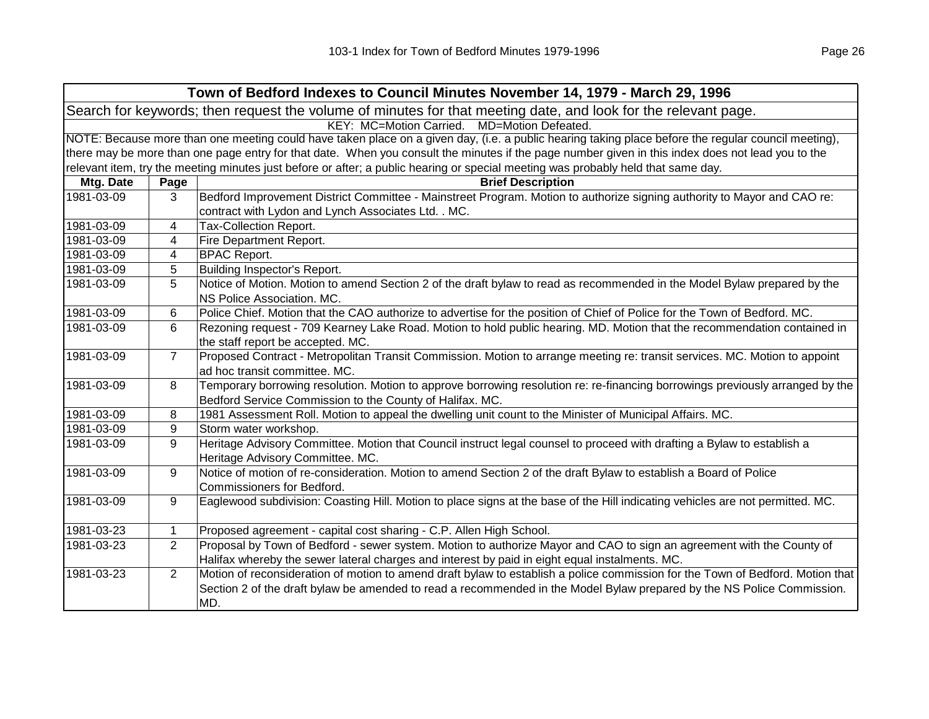|                                                                                                                | Town of Bedford Indexes to Council Minutes November 14, 1979 - March 29, 1996                                                                       |                                                                                                                                                                                                                                                                 |  |
|----------------------------------------------------------------------------------------------------------------|-----------------------------------------------------------------------------------------------------------------------------------------------------|-----------------------------------------------------------------------------------------------------------------------------------------------------------------------------------------------------------------------------------------------------------------|--|
| Search for keywords; then request the volume of minutes for that meeting date, and look for the relevant page. |                                                                                                                                                     |                                                                                                                                                                                                                                                                 |  |
|                                                                                                                | KEY: MC=Motion Carried. MD=Motion Defeated.                                                                                                         |                                                                                                                                                                                                                                                                 |  |
|                                                                                                                | NOTE: Because more than one meeting could have taken place on a given day, (i.e. a public hearing taking place before the regular council meeting), |                                                                                                                                                                                                                                                                 |  |
|                                                                                                                |                                                                                                                                                     | there may be more than one page entry for that date. When you consult the minutes if the page number given in this index does not lead you to the                                                                                                               |  |
|                                                                                                                |                                                                                                                                                     | relevant item, try the meeting minutes just before or after; a public hearing or special meeting was probably held that same day.                                                                                                                               |  |
| Mtg. Date                                                                                                      | Page                                                                                                                                                | <b>Brief Description</b>                                                                                                                                                                                                                                        |  |
| 1981-03-09                                                                                                     | 3                                                                                                                                                   | Bedford Improvement District Committee - Mainstreet Program. Motion to authorize signing authority to Mayor and CAO re:<br>contract with Lydon and Lynch Associates Ltd. . MC.                                                                                  |  |
| 1981-03-09                                                                                                     | 4                                                                                                                                                   | <b>Tax-Collection Report.</b>                                                                                                                                                                                                                                   |  |
| 1981-03-09                                                                                                     | 4                                                                                                                                                   | Fire Department Report.                                                                                                                                                                                                                                         |  |
| 1981-03-09                                                                                                     | 4                                                                                                                                                   | <b>BPAC Report.</b>                                                                                                                                                                                                                                             |  |
| 1981-03-09                                                                                                     | 5                                                                                                                                                   | Building Inspector's Report.                                                                                                                                                                                                                                    |  |
| 1981-03-09                                                                                                     | 5                                                                                                                                                   | Notice of Motion. Motion to amend Section 2 of the draft bylaw to read as recommended in the Model Bylaw prepared by the<br>NS Police Association. MC.                                                                                                          |  |
| 1981-03-09                                                                                                     | 6                                                                                                                                                   | Police Chief. Motion that the CAO authorize to advertise for the position of Chief of Police for the Town of Bedford. MC.                                                                                                                                       |  |
| 1981-03-09                                                                                                     | 6                                                                                                                                                   | Rezoning request - 709 Kearney Lake Road. Motion to hold public hearing. MD. Motion that the recommendation contained in<br>the staff report be accepted. MC.                                                                                                   |  |
| 1981-03-09                                                                                                     | $\overline{7}$                                                                                                                                      | Proposed Contract - Metropolitan Transit Commission. Motion to arrange meeting re: transit services. MC. Motion to appoint<br>ad hoc transit committee. MC.                                                                                                     |  |
| 1981-03-09                                                                                                     | 8                                                                                                                                                   | Temporary borrowing resolution. Motion to approve borrowing resolution re: re-financing borrowings previously arranged by the<br>Bedford Service Commission to the County of Halifax. MC.                                                                       |  |
| 1981-03-09                                                                                                     | 8                                                                                                                                                   | 1981 Assessment Roll. Motion to appeal the dwelling unit count to the Minister of Municipal Affairs. MC.                                                                                                                                                        |  |
| 1981-03-09                                                                                                     | 9                                                                                                                                                   | Storm water workshop.                                                                                                                                                                                                                                           |  |
| 1981-03-09                                                                                                     | 9                                                                                                                                                   | Heritage Advisory Committee. Motion that Council instruct legal counsel to proceed with drafting a Bylaw to establish a<br>Heritage Advisory Committee. MC.                                                                                                     |  |
| 1981-03-09                                                                                                     | 9                                                                                                                                                   | Notice of motion of re-consideration. Motion to amend Section 2 of the draft Bylaw to establish a Board of Police<br>Commissioners for Bedford.                                                                                                                 |  |
| 1981-03-09                                                                                                     | 9                                                                                                                                                   | Eaglewood subdivision: Coasting Hill. Motion to place signs at the base of the Hill indicating vehicles are not permitted. MC.                                                                                                                                  |  |
| 1981-03-23                                                                                                     | $\mathbf{1}$                                                                                                                                        | Proposed agreement - capital cost sharing - C.P. Allen High School.                                                                                                                                                                                             |  |
| 1981-03-23                                                                                                     | $\overline{2}$                                                                                                                                      | Proposal by Town of Bedford - sewer system. Motion to authorize Mayor and CAO to sign an agreement with the County of<br>Halifax whereby the sewer lateral charges and interest by paid in eight equal instalments. MC.                                         |  |
| 1981-03-23                                                                                                     | $\overline{2}$                                                                                                                                      | Motion of reconsideration of motion to amend draft bylaw to establish a police commission for the Town of Bedford. Motion that<br>Section 2 of the draft bylaw be amended to read a recommended in the Model Bylaw prepared by the NS Police Commission.<br>MD. |  |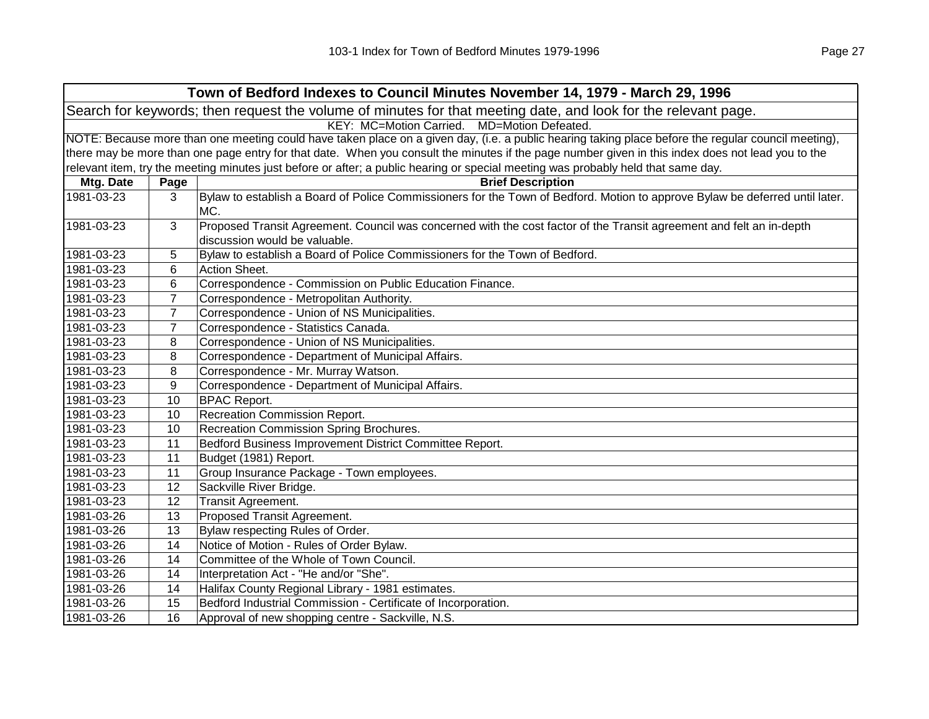| Town of Bedford Indexes to Council Minutes November 14, 1979 - March 29, 1996                                  |                                                                                                                                                     |                                                                                                                                     |  |  |
|----------------------------------------------------------------------------------------------------------------|-----------------------------------------------------------------------------------------------------------------------------------------------------|-------------------------------------------------------------------------------------------------------------------------------------|--|--|
| Search for keywords; then request the volume of minutes for that meeting date, and look for the relevant page. |                                                                                                                                                     |                                                                                                                                     |  |  |
|                                                                                                                | KEY: MC=Motion Carried. MD=Motion Defeated.                                                                                                         |                                                                                                                                     |  |  |
|                                                                                                                | NOTE: Because more than one meeting could have taken place on a given day, (i.e. a public hearing taking place before the regular council meeting), |                                                                                                                                     |  |  |
|                                                                                                                | there may be more than one page entry for that date. When you consult the minutes if the page number given in this index does not lead you to the   |                                                                                                                                     |  |  |
|                                                                                                                |                                                                                                                                                     | relevant item, try the meeting minutes just before or after; a public hearing or special meeting was probably held that same day.   |  |  |
| Mtg. Date                                                                                                      | Page                                                                                                                                                | <b>Brief Description</b>                                                                                                            |  |  |
| 1981-03-23                                                                                                     | 3                                                                                                                                                   | Bylaw to establish a Board of Police Commissioners for the Town of Bedford. Motion to approve Bylaw be deferred until later.<br>MC. |  |  |
|                                                                                                                |                                                                                                                                                     |                                                                                                                                     |  |  |
| 1981-03-23                                                                                                     | 3                                                                                                                                                   | Proposed Transit Agreement. Council was concerned with the cost factor of the Transit agreement and felt an in-depth                |  |  |
| 1981-03-23                                                                                                     |                                                                                                                                                     | discussion would be valuable.                                                                                                       |  |  |
| 1981-03-23                                                                                                     | 5                                                                                                                                                   | Bylaw to establish a Board of Police Commissioners for the Town of Bedford.<br>Action Sheet.                                        |  |  |
| 1981-03-23                                                                                                     | 6                                                                                                                                                   |                                                                                                                                     |  |  |
|                                                                                                                | 6                                                                                                                                                   | Correspondence - Commission on Public Education Finance.                                                                            |  |  |
| 1981-03-23                                                                                                     | 7                                                                                                                                                   | Correspondence - Metropolitan Authority.                                                                                            |  |  |
| 1981-03-23                                                                                                     | $\overline{7}$                                                                                                                                      | Correspondence - Union of NS Municipalities.                                                                                        |  |  |
| 1981-03-23                                                                                                     | $\overline{7}$                                                                                                                                      | Correspondence - Statistics Canada.                                                                                                 |  |  |
| 1981-03-23                                                                                                     | 8                                                                                                                                                   | Correspondence - Union of NS Municipalities.                                                                                        |  |  |
| 1981-03-23                                                                                                     | 8                                                                                                                                                   | Correspondence - Department of Municipal Affairs.                                                                                   |  |  |
| 1981-03-23                                                                                                     | 8                                                                                                                                                   | Correspondence - Mr. Murray Watson.                                                                                                 |  |  |
| 1981-03-23                                                                                                     | 9                                                                                                                                                   | Correspondence - Department of Municipal Affairs.                                                                                   |  |  |
| 1981-03-23                                                                                                     | 10                                                                                                                                                  | <b>BPAC Report.</b>                                                                                                                 |  |  |
| 1981-03-23                                                                                                     | 10                                                                                                                                                  | Recreation Commission Report.                                                                                                       |  |  |
| 1981-03-23                                                                                                     | 10                                                                                                                                                  | Recreation Commission Spring Brochures.                                                                                             |  |  |
| 1981-03-23                                                                                                     | 11                                                                                                                                                  | Bedford Business Improvement District Committee Report.                                                                             |  |  |
| 1981-03-23                                                                                                     | 11                                                                                                                                                  | Budget (1981) Report.                                                                                                               |  |  |
| 1981-03-23                                                                                                     | 11                                                                                                                                                  | Group Insurance Package - Town employees.                                                                                           |  |  |
| 1981-03-23                                                                                                     | 12                                                                                                                                                  | Sackville River Bridge.                                                                                                             |  |  |
| 1981-03-23                                                                                                     | 12                                                                                                                                                  | Transit Agreement.                                                                                                                  |  |  |
| 1981-03-26                                                                                                     | 13                                                                                                                                                  | Proposed Transit Agreement.                                                                                                         |  |  |
| 1981-03-26                                                                                                     | 13                                                                                                                                                  | Bylaw respecting Rules of Order.                                                                                                    |  |  |
| 1981-03-26                                                                                                     | 14                                                                                                                                                  | Notice of Motion - Rules of Order Bylaw.                                                                                            |  |  |
| 1981-03-26                                                                                                     | 14                                                                                                                                                  | Committee of the Whole of Town Council.                                                                                             |  |  |
| 1981-03-26                                                                                                     | 14                                                                                                                                                  | Interpretation Act - "He and/or "She".                                                                                              |  |  |
| 1981-03-26                                                                                                     | 14                                                                                                                                                  | Halifax County Regional Library - 1981 estimates.                                                                                   |  |  |
| 1981-03-26                                                                                                     | 15                                                                                                                                                  | Bedford Industrial Commission - Certificate of Incorporation.                                                                       |  |  |
| 1981-03-26                                                                                                     | 16                                                                                                                                                  | Approval of new shopping centre - Sackville, N.S.                                                                                   |  |  |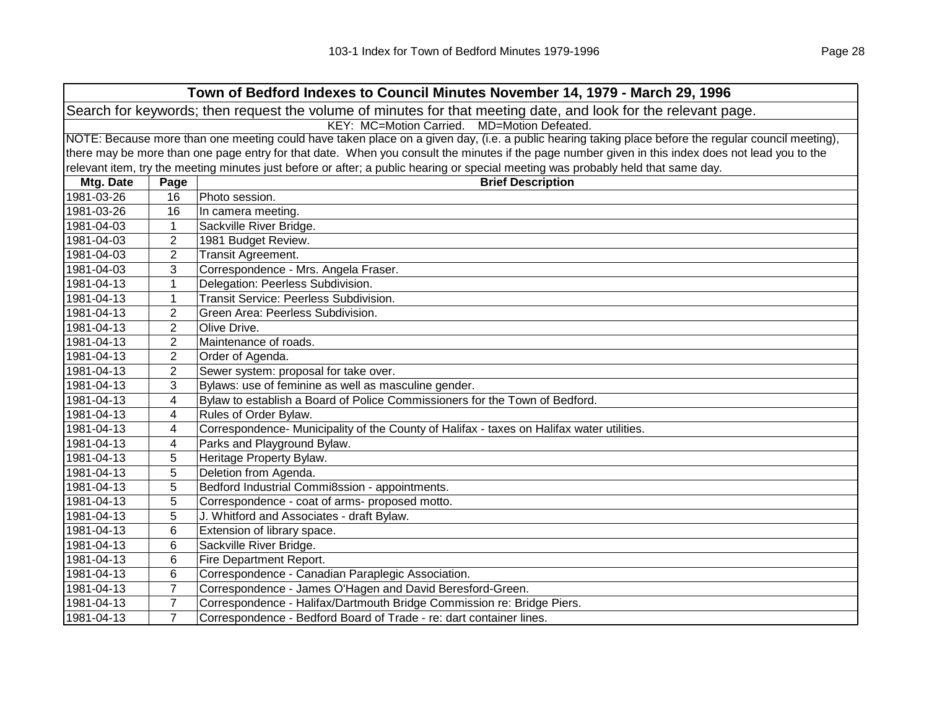| Town of Bedford Indexes to Council Minutes November 14, 1979 - March 29, 1996                                  |                                                                                                                                                     |                                                                                                                                                   |  |
|----------------------------------------------------------------------------------------------------------------|-----------------------------------------------------------------------------------------------------------------------------------------------------|---------------------------------------------------------------------------------------------------------------------------------------------------|--|
| Search for keywords; then request the volume of minutes for that meeting date, and look for the relevant page. |                                                                                                                                                     |                                                                                                                                                   |  |
| KEY: MC=Motion Carried. MD=Motion Defeated.                                                                    |                                                                                                                                                     |                                                                                                                                                   |  |
|                                                                                                                | NOTE: Because more than one meeting could have taken place on a given day, (i.e. a public hearing taking place before the regular council meeting), |                                                                                                                                                   |  |
|                                                                                                                |                                                                                                                                                     | there may be more than one page entry for that date. When you consult the minutes if the page number given in this index does not lead you to the |  |
|                                                                                                                |                                                                                                                                                     | relevant item, try the meeting minutes just before or after; a public hearing or special meeting was probably held that same day.                 |  |
| Mtg. Date                                                                                                      | Page                                                                                                                                                | <b>Brief Description</b>                                                                                                                          |  |
| 1981-03-26                                                                                                     | 16                                                                                                                                                  | Photo session.                                                                                                                                    |  |
| 1981-03-26                                                                                                     | 16                                                                                                                                                  | In camera meeting.                                                                                                                                |  |
| 1981-04-03                                                                                                     | $\mathbf{1}$                                                                                                                                        | Sackville River Bridge.                                                                                                                           |  |
| 1981-04-03                                                                                                     | $\overline{2}$                                                                                                                                      | 1981 Budget Review.                                                                                                                               |  |
| 1981-04-03                                                                                                     | $\overline{2}$                                                                                                                                      | Transit Agreement.                                                                                                                                |  |
| 1981-04-03                                                                                                     | 3                                                                                                                                                   | Correspondence - Mrs. Angela Fraser.                                                                                                              |  |
| 1981-04-13                                                                                                     | 1                                                                                                                                                   | Delegation: Peerless Subdivision.                                                                                                                 |  |
| 1981-04-13                                                                                                     | 1                                                                                                                                                   | <b>Transit Service: Peerless Subdivision.</b>                                                                                                     |  |
| 1981-04-13                                                                                                     | 2                                                                                                                                                   | Green Area: Peerless Subdivision.                                                                                                                 |  |
| 1981-04-13                                                                                                     | $\overline{2}$                                                                                                                                      | Olive Drive.                                                                                                                                      |  |
| 1981-04-13                                                                                                     | $\overline{2}$                                                                                                                                      | Maintenance of roads.                                                                                                                             |  |
| 1981-04-13                                                                                                     | 2                                                                                                                                                   | Order of Agenda.                                                                                                                                  |  |
| 1981-04-13                                                                                                     | 2                                                                                                                                                   | Sewer system: proposal for take over.                                                                                                             |  |
| 1981-04-13                                                                                                     | 3                                                                                                                                                   | Bylaws: use of feminine as well as masculine gender.                                                                                              |  |
| 1981-04-13                                                                                                     | 4                                                                                                                                                   | Bylaw to establish a Board of Police Commissioners for the Town of Bedford.                                                                       |  |
| 1981-04-13                                                                                                     | 4                                                                                                                                                   | Rules of Order Bylaw.                                                                                                                             |  |
| 1981-04-13                                                                                                     | 4                                                                                                                                                   | Correspondence- Municipality of the County of Halifax - taxes on Halifax water utilities.                                                         |  |
| 1981-04-13                                                                                                     | 4                                                                                                                                                   | Parks and Playground Bylaw.                                                                                                                       |  |
| 1981-04-13                                                                                                     | 5                                                                                                                                                   | Heritage Property Bylaw.                                                                                                                          |  |
| 1981-04-13                                                                                                     | 5                                                                                                                                                   | Deletion from Agenda.                                                                                                                             |  |
| 1981-04-13                                                                                                     | 5                                                                                                                                                   | Bedford Industrial Commi8ssion - appointments.                                                                                                    |  |
| 1981-04-13                                                                                                     | 5                                                                                                                                                   | Correspondence - coat of arms- proposed motto.                                                                                                    |  |
| 1981-04-13                                                                                                     | 5                                                                                                                                                   | J. Whitford and Associates - draft Bylaw.                                                                                                         |  |
| 1981-04-13                                                                                                     | 6                                                                                                                                                   | Extension of library space.                                                                                                                       |  |
| 1981-04-13                                                                                                     | 6                                                                                                                                                   | Sackville River Bridge.                                                                                                                           |  |
| 1981-04-13                                                                                                     | 6                                                                                                                                                   | Fire Department Report.                                                                                                                           |  |
| 1981-04-13                                                                                                     | 6                                                                                                                                                   | Correspondence - Canadian Paraplegic Association.                                                                                                 |  |
| 1981-04-13                                                                                                     | 7                                                                                                                                                   | Correspondence - James O'Hagen and David Beresford-Green.                                                                                         |  |
| 1981-04-13                                                                                                     | $\overline{7}$                                                                                                                                      | Correspondence - Halifax/Dartmouth Bridge Commission re: Bridge Piers.                                                                            |  |
| 1981-04-13                                                                                                     | $\overline{7}$                                                                                                                                      | Correspondence - Bedford Board of Trade - re: dart container lines.                                                                               |  |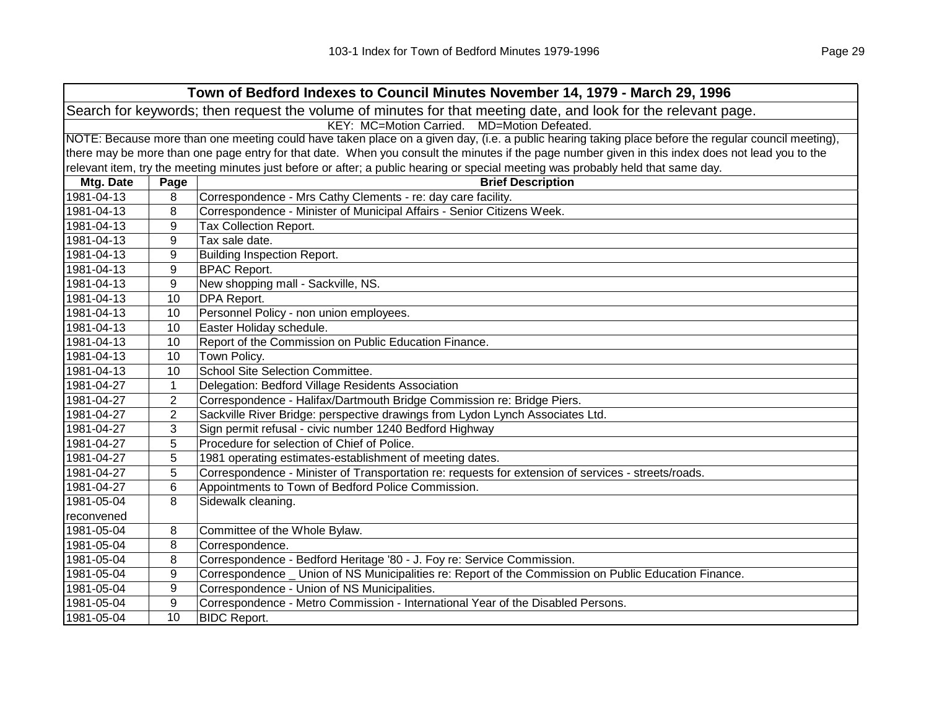| Town of Bedford Indexes to Council Minutes November 14, 1979 - March 29, 1996 |                                                                                                                                                     |                                                                                                                                                   |  |  |
|-------------------------------------------------------------------------------|-----------------------------------------------------------------------------------------------------------------------------------------------------|---------------------------------------------------------------------------------------------------------------------------------------------------|--|--|
|                                                                               | Search for keywords; then request the volume of minutes for that meeting date, and look for the relevant page.                                      |                                                                                                                                                   |  |  |
|                                                                               | KEY: MC=Motion Carried. MD=Motion Defeated.                                                                                                         |                                                                                                                                                   |  |  |
|                                                                               | NOTE: Because more than one meeting could have taken place on a given day, (i.e. a public hearing taking place before the regular council meeting), |                                                                                                                                                   |  |  |
|                                                                               |                                                                                                                                                     | there may be more than one page entry for that date. When you consult the minutes if the page number given in this index does not lead you to the |  |  |
|                                                                               |                                                                                                                                                     | relevant item, try the meeting minutes just before or after; a public hearing or special meeting was probably held that same day.                 |  |  |
| Mtg. Date                                                                     | Page                                                                                                                                                | <b>Brief Description</b>                                                                                                                          |  |  |
| 1981-04-13                                                                    | 8                                                                                                                                                   | Correspondence - Mrs Cathy Clements - re: day care facility.                                                                                      |  |  |
| 1981-04-13                                                                    | 8                                                                                                                                                   | Correspondence - Minister of Municipal Affairs - Senior Citizens Week.                                                                            |  |  |
| 1981-04-13                                                                    | 9                                                                                                                                                   | Tax Collection Report.                                                                                                                            |  |  |
| 1981-04-13                                                                    | 9                                                                                                                                                   | Tax sale date.                                                                                                                                    |  |  |
| 1981-04-13                                                                    | 9                                                                                                                                                   | <b>Building Inspection Report.</b>                                                                                                                |  |  |
| 1981-04-13                                                                    | 9                                                                                                                                                   | <b>BPAC Report.</b>                                                                                                                               |  |  |
| 1981-04-13                                                                    | 9                                                                                                                                                   | New shopping mall - Sackville, NS.                                                                                                                |  |  |
| 1981-04-13                                                                    | 10                                                                                                                                                  | <b>DPA Report.</b>                                                                                                                                |  |  |
| 1981-04-13                                                                    | 10                                                                                                                                                  | Personnel Policy - non union employees.                                                                                                           |  |  |
| 1981-04-13                                                                    | 10                                                                                                                                                  | Easter Holiday schedule.                                                                                                                          |  |  |
| 1981-04-13                                                                    | 10                                                                                                                                                  | Report of the Commission on Public Education Finance.                                                                                             |  |  |
| 1981-04-13                                                                    | 10                                                                                                                                                  | Town Policy.                                                                                                                                      |  |  |
| 1981-04-13                                                                    | 10                                                                                                                                                  | School Site Selection Committee.                                                                                                                  |  |  |
| 1981-04-27                                                                    | $\mathbf{1}$                                                                                                                                        | Delegation: Bedford Village Residents Association                                                                                                 |  |  |
| 1981-04-27                                                                    | $\overline{2}$                                                                                                                                      | Correspondence - Halifax/Dartmouth Bridge Commission re: Bridge Piers.                                                                            |  |  |
| 1981-04-27                                                                    | $\overline{2}$                                                                                                                                      | Sackville River Bridge: perspective drawings from Lydon Lynch Associates Ltd.                                                                     |  |  |
| 1981-04-27                                                                    | 3                                                                                                                                                   | Sign permit refusal - civic number 1240 Bedford Highway                                                                                           |  |  |
| 1981-04-27                                                                    | 5                                                                                                                                                   | Procedure for selection of Chief of Police.                                                                                                       |  |  |
| 1981-04-27                                                                    | 5                                                                                                                                                   | 1981 operating estimates-establishment of meeting dates.                                                                                          |  |  |
| 1981-04-27                                                                    | 5                                                                                                                                                   | Correspondence - Minister of Transportation re: requests for extension of services - streets/roads.                                               |  |  |
| 1981-04-27                                                                    | 6                                                                                                                                                   | Appointments to Town of Bedford Police Commission.                                                                                                |  |  |
| 1981-05-04                                                                    | 8                                                                                                                                                   | Sidewalk cleaning.                                                                                                                                |  |  |
| reconvened                                                                    |                                                                                                                                                     |                                                                                                                                                   |  |  |
| 1981-05-04                                                                    | 8                                                                                                                                                   | Committee of the Whole Bylaw.                                                                                                                     |  |  |
| 1981-05-04                                                                    | 8                                                                                                                                                   | Correspondence.                                                                                                                                   |  |  |
| 1981-05-04                                                                    | 8                                                                                                                                                   | Correspondence - Bedford Heritage '80 - J. Foy re: Service Commission.                                                                            |  |  |
| 1981-05-04                                                                    | 9                                                                                                                                                   | Correspondence _ Union of NS Municipalities re: Report of the Commission on Public Education Finance.                                             |  |  |
| 1981-05-04                                                                    | 9                                                                                                                                                   | Correspondence - Union of NS Municipalities.                                                                                                      |  |  |
| 1981-05-04                                                                    | 9                                                                                                                                                   | Correspondence - Metro Commission - International Year of the Disabled Persons.                                                                   |  |  |
| 1981-05-04                                                                    | 10                                                                                                                                                  | <b>BIDC Report.</b>                                                                                                                               |  |  |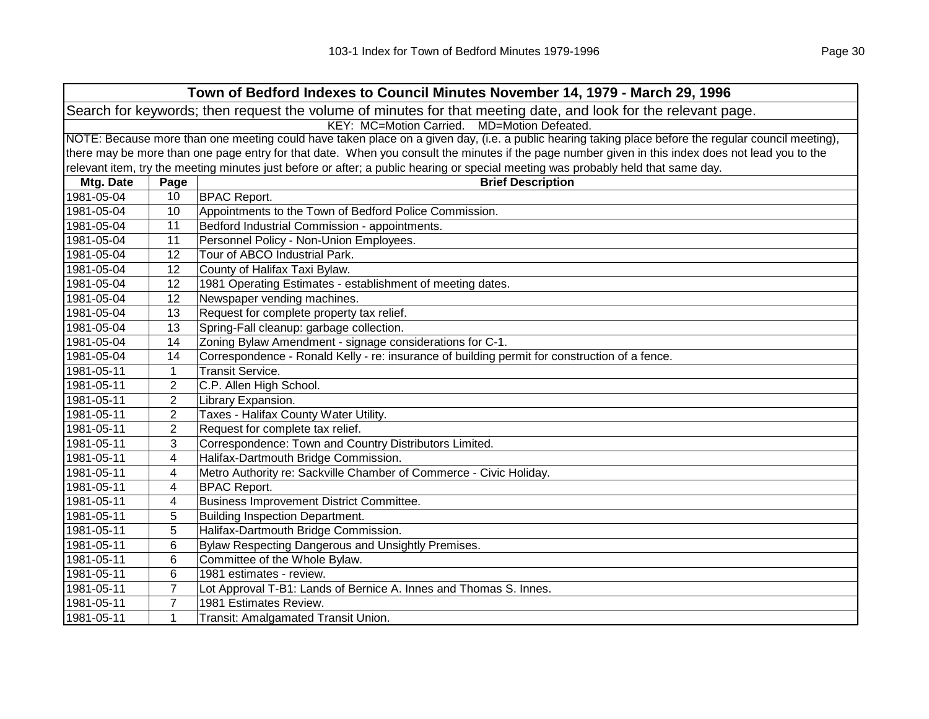| Town of Bedford Indexes to Council Minutes November 14, 1979 - March 29, 1996                                  |                                                                                                                                                     |                                                                                                                                                   |  |
|----------------------------------------------------------------------------------------------------------------|-----------------------------------------------------------------------------------------------------------------------------------------------------|---------------------------------------------------------------------------------------------------------------------------------------------------|--|
| Search for keywords; then request the volume of minutes for that meeting date, and look for the relevant page. |                                                                                                                                                     |                                                                                                                                                   |  |
| KEY: MC=Motion Carried. MD=Motion Defeated.                                                                    |                                                                                                                                                     |                                                                                                                                                   |  |
|                                                                                                                | NOTE: Because more than one meeting could have taken place on a given day, (i.e. a public hearing taking place before the regular council meeting), |                                                                                                                                                   |  |
|                                                                                                                |                                                                                                                                                     | there may be more than one page entry for that date. When you consult the minutes if the page number given in this index does not lead you to the |  |
|                                                                                                                |                                                                                                                                                     | relevant item, try the meeting minutes just before or after; a public hearing or special meeting was probably held that same day.                 |  |
| Mtg. Date                                                                                                      | Page                                                                                                                                                | <b>Brief Description</b>                                                                                                                          |  |
| 1981-05-04                                                                                                     | 10                                                                                                                                                  | <b>BPAC Report.</b>                                                                                                                               |  |
| 1981-05-04                                                                                                     | 10                                                                                                                                                  | Appointments to the Town of Bedford Police Commission.                                                                                            |  |
| 1981-05-04                                                                                                     | 11                                                                                                                                                  | Bedford Industrial Commission - appointments.                                                                                                     |  |
| 1981-05-04                                                                                                     | 11                                                                                                                                                  | Personnel Policy - Non-Union Employees.                                                                                                           |  |
| 1981-05-04                                                                                                     | 12                                                                                                                                                  | Tour of ABCO Industrial Park.                                                                                                                     |  |
| 1981-05-04                                                                                                     | 12                                                                                                                                                  | County of Halifax Taxi Bylaw.                                                                                                                     |  |
| 1981-05-04                                                                                                     | 12                                                                                                                                                  | 1981 Operating Estimates - establishment of meeting dates.                                                                                        |  |
| 1981-05-04                                                                                                     | 12                                                                                                                                                  | Newspaper vending machines.                                                                                                                       |  |
| 1981-05-04                                                                                                     | 13                                                                                                                                                  | Request for complete property tax relief.                                                                                                         |  |
| 1981-05-04                                                                                                     | 13                                                                                                                                                  | Spring-Fall cleanup: garbage collection.                                                                                                          |  |
| 1981-05-04                                                                                                     | 14                                                                                                                                                  | Zoning Bylaw Amendment - signage considerations for C-1.                                                                                          |  |
| 1981-05-04                                                                                                     | 14                                                                                                                                                  | Correspondence - Ronald Kelly - re: insurance of building permit for construction of a fence.                                                     |  |
| 1981-05-11                                                                                                     | 1                                                                                                                                                   | <b>Transit Service.</b>                                                                                                                           |  |
| 1981-05-11                                                                                                     | $\overline{2}$                                                                                                                                      | C.P. Allen High School.                                                                                                                           |  |
| 1981-05-11                                                                                                     | $\overline{2}$                                                                                                                                      | Library Expansion.                                                                                                                                |  |
| 1981-05-11                                                                                                     | 2                                                                                                                                                   | Taxes - Halifax County Water Utility.                                                                                                             |  |
| 1981-05-11                                                                                                     | 2                                                                                                                                                   | Request for complete tax relief.                                                                                                                  |  |
| 1981-05-11                                                                                                     | 3                                                                                                                                                   | Correspondence: Town and Country Distributors Limited.                                                                                            |  |
| 1981-05-11                                                                                                     | 4                                                                                                                                                   | Halifax-Dartmouth Bridge Commission.                                                                                                              |  |
| 1981-05-11                                                                                                     | 4                                                                                                                                                   | Metro Authority re: Sackville Chamber of Commerce - Civic Holiday.                                                                                |  |
| 1981-05-11                                                                                                     | 4                                                                                                                                                   | <b>BPAC Report.</b>                                                                                                                               |  |
| 1981-05-11                                                                                                     | 4                                                                                                                                                   | Business Improvement District Committee.                                                                                                          |  |
| 1981-05-11                                                                                                     | 5                                                                                                                                                   | <b>Building Inspection Department.</b>                                                                                                            |  |
| 1981-05-11                                                                                                     | 5                                                                                                                                                   | Halifax-Dartmouth Bridge Commission.                                                                                                              |  |
| 1981-05-11                                                                                                     | 6                                                                                                                                                   | Bylaw Respecting Dangerous and Unsightly Premises.                                                                                                |  |
| 1981-05-11                                                                                                     | 6                                                                                                                                                   | Committee of the Whole Bylaw.                                                                                                                     |  |
| 1981-05-11                                                                                                     | 6                                                                                                                                                   | 1981 estimates - review.                                                                                                                          |  |
| 1981-05-11                                                                                                     | $\overline{7}$                                                                                                                                      | Lot Approval T-B1: Lands of Bernice A. Innes and Thomas S. Innes.                                                                                 |  |
| 1981-05-11                                                                                                     | $\overline{7}$                                                                                                                                      | 1981 Estimates Review.                                                                                                                            |  |
| 1981-05-11                                                                                                     | $\mathbf 1$                                                                                                                                         | Transit: Amalgamated Transit Union.                                                                                                               |  |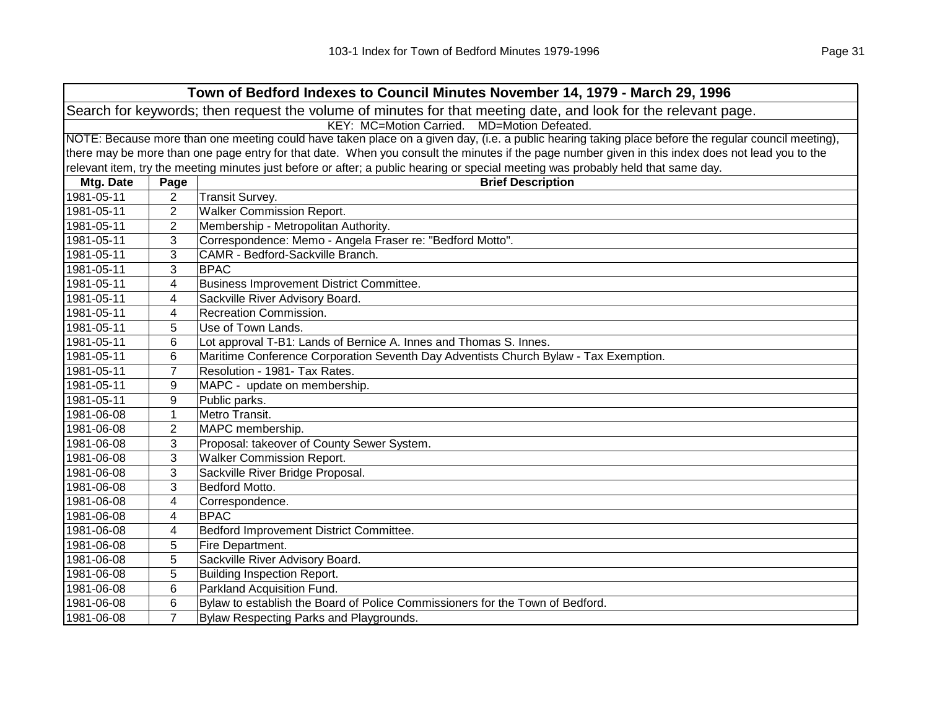| Town of Bedford Indexes to Council Minutes November 14, 1979 - March 29, 1996                                  |                                                                                                                                                     |                                                                                                                                                   |  |  |
|----------------------------------------------------------------------------------------------------------------|-----------------------------------------------------------------------------------------------------------------------------------------------------|---------------------------------------------------------------------------------------------------------------------------------------------------|--|--|
| Search for keywords; then request the volume of minutes for that meeting date, and look for the relevant page. |                                                                                                                                                     |                                                                                                                                                   |  |  |
|                                                                                                                | KEY: MC=Motion Carried. MD=Motion Defeated.                                                                                                         |                                                                                                                                                   |  |  |
|                                                                                                                | NOTE: Because more than one meeting could have taken place on a given day, (i.e. a public hearing taking place before the regular council meeting), |                                                                                                                                                   |  |  |
|                                                                                                                |                                                                                                                                                     | there may be more than one page entry for that date. When you consult the minutes if the page number given in this index does not lead you to the |  |  |
|                                                                                                                |                                                                                                                                                     | relevant item, try the meeting minutes just before or after; a public hearing or special meeting was probably held that same day.                 |  |  |
| Mtg. Date                                                                                                      | Page                                                                                                                                                | <b>Brief Description</b>                                                                                                                          |  |  |
| 1981-05-11                                                                                                     | $\overline{2}$                                                                                                                                      | Transit Survey.                                                                                                                                   |  |  |
| 1981-05-11                                                                                                     | 2                                                                                                                                                   | <b>Walker Commission Report.</b>                                                                                                                  |  |  |
| 1981-05-11                                                                                                     | 2                                                                                                                                                   | Membership - Metropolitan Authority.                                                                                                              |  |  |
| 1981-05-11                                                                                                     | 3                                                                                                                                                   | Correspondence: Memo - Angela Fraser re: "Bedford Motto".                                                                                         |  |  |
| 1981-05-11                                                                                                     | 3                                                                                                                                                   | CAMR - Bedford-Sackville Branch.                                                                                                                  |  |  |
| 1981-05-11                                                                                                     | 3                                                                                                                                                   | <b>BPAC</b>                                                                                                                                       |  |  |
| 1981-05-11                                                                                                     | 4                                                                                                                                                   | Business Improvement District Committee.                                                                                                          |  |  |
| 1981-05-11                                                                                                     | 4                                                                                                                                                   | Sackville River Advisory Board.                                                                                                                   |  |  |
| 1981-05-11                                                                                                     | 4                                                                                                                                                   | Recreation Commission.                                                                                                                            |  |  |
| 1981-05-11                                                                                                     | 5                                                                                                                                                   | Use of Town Lands.                                                                                                                                |  |  |
| 1981-05-11                                                                                                     | 6                                                                                                                                                   | Lot approval T-B1: Lands of Bernice A. Innes and Thomas S. Innes.                                                                                 |  |  |
| 1981-05-11                                                                                                     | 6                                                                                                                                                   | Maritime Conference Corporation Seventh Day Adventists Church Bylaw - Tax Exemption.                                                              |  |  |
| 1981-05-11                                                                                                     | $\overline{7}$                                                                                                                                      | Resolution - 1981- Tax Rates.                                                                                                                     |  |  |
| 1981-05-11                                                                                                     | 9                                                                                                                                                   | MAPC - update on membership.                                                                                                                      |  |  |
| 1981-05-11                                                                                                     | 9                                                                                                                                                   | Public parks.                                                                                                                                     |  |  |
| 1981-06-08                                                                                                     | $\mathbf{1}$                                                                                                                                        | Metro Transit.                                                                                                                                    |  |  |
| 1981-06-08                                                                                                     | $\overline{2}$                                                                                                                                      | MAPC membership.                                                                                                                                  |  |  |
| 1981-06-08                                                                                                     | 3                                                                                                                                                   | Proposal: takeover of County Sewer System.                                                                                                        |  |  |
| 1981-06-08                                                                                                     | 3                                                                                                                                                   | <b>Walker Commission Report.</b>                                                                                                                  |  |  |
| 1981-06-08                                                                                                     | 3                                                                                                                                                   | Sackville River Bridge Proposal.                                                                                                                  |  |  |
| 1981-06-08                                                                                                     | 3                                                                                                                                                   | Bedford Motto.                                                                                                                                    |  |  |
| 1981-06-08                                                                                                     | 4                                                                                                                                                   | Correspondence.                                                                                                                                   |  |  |
| 1981-06-08                                                                                                     | 4                                                                                                                                                   | <b>BPAC</b>                                                                                                                                       |  |  |
| 1981-06-08                                                                                                     | 4                                                                                                                                                   | Bedford Improvement District Committee.                                                                                                           |  |  |
| 1981-06-08                                                                                                     | 5                                                                                                                                                   | Fire Department.                                                                                                                                  |  |  |
| 1981-06-08                                                                                                     | 5                                                                                                                                                   | Sackville River Advisory Board.                                                                                                                   |  |  |
| 1981-06-08                                                                                                     | 5                                                                                                                                                   | <b>Building Inspection Report.</b>                                                                                                                |  |  |
| 1981-06-08                                                                                                     | 6                                                                                                                                                   | Parkland Acquisition Fund.                                                                                                                        |  |  |
| 1981-06-08                                                                                                     | 6                                                                                                                                                   | Bylaw to establish the Board of Police Commissioners for the Town of Bedford.                                                                     |  |  |
| 1981-06-08                                                                                                     | 7                                                                                                                                                   | Bylaw Respecting Parks and Playgrounds.                                                                                                           |  |  |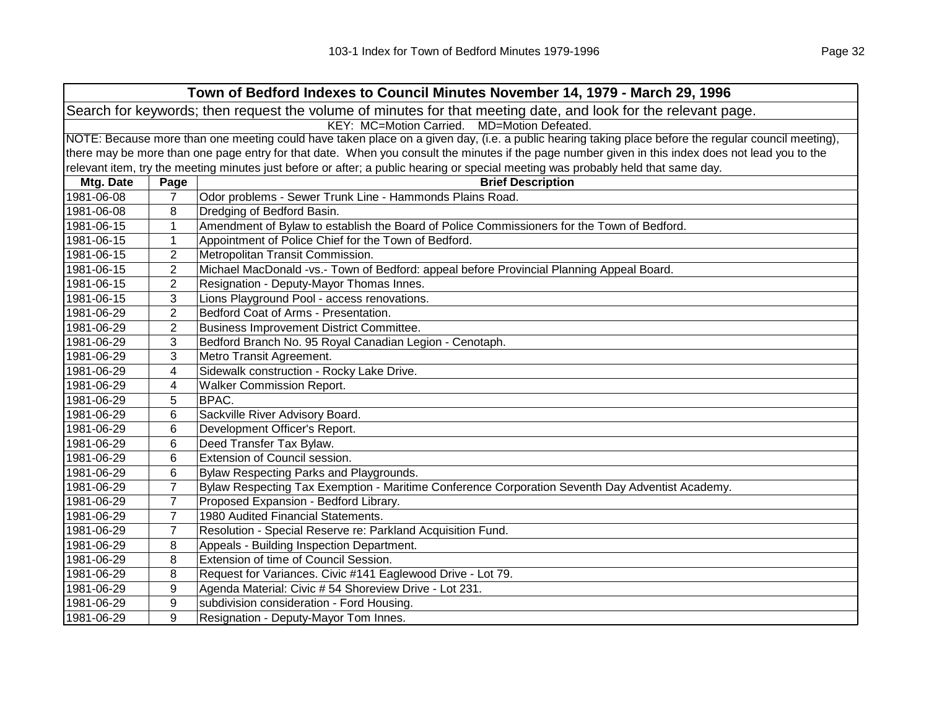| Town of Bedford Indexes to Council Minutes November 14, 1979 - March 29, 1996                                  |                                                                                                                                                     |                                                                                                                                                   |  |
|----------------------------------------------------------------------------------------------------------------|-----------------------------------------------------------------------------------------------------------------------------------------------------|---------------------------------------------------------------------------------------------------------------------------------------------------|--|
| Search for keywords; then request the volume of minutes for that meeting date, and look for the relevant page. |                                                                                                                                                     |                                                                                                                                                   |  |
| KEY: MC=Motion Carried. MD=Motion Defeated.                                                                    |                                                                                                                                                     |                                                                                                                                                   |  |
|                                                                                                                | NOTE: Because more than one meeting could have taken place on a given day, (i.e. a public hearing taking place before the regular council meeting), |                                                                                                                                                   |  |
|                                                                                                                |                                                                                                                                                     | there may be more than one page entry for that date. When you consult the minutes if the page number given in this index does not lead you to the |  |
|                                                                                                                |                                                                                                                                                     | relevant item, try the meeting minutes just before or after; a public hearing or special meeting was probably held that same day.                 |  |
| Mtg. Date                                                                                                      | Page                                                                                                                                                | <b>Brief Description</b>                                                                                                                          |  |
| 1981-06-08                                                                                                     | $\overline{7}$                                                                                                                                      | Odor problems - Sewer Trunk Line - Hammonds Plains Road.                                                                                          |  |
| 1981-06-08                                                                                                     | 8                                                                                                                                                   | Dredging of Bedford Basin.                                                                                                                        |  |
| 1981-06-15                                                                                                     | $\mathbf{1}$                                                                                                                                        | Amendment of Bylaw to establish the Board of Police Commissioners for the Town of Bedford.                                                        |  |
| 1981-06-15                                                                                                     | 1                                                                                                                                                   | Appointment of Police Chief for the Town of Bedford.                                                                                              |  |
| 1981-06-15                                                                                                     | $\overline{c}$                                                                                                                                      | Metropolitan Transit Commission.                                                                                                                  |  |
| 1981-06-15                                                                                                     | $\overline{2}$                                                                                                                                      | Michael MacDonald -vs.- Town of Bedford: appeal before Provincial Planning Appeal Board.                                                          |  |
| 1981-06-15                                                                                                     | 2                                                                                                                                                   | Resignation - Deputy-Mayor Thomas Innes.                                                                                                          |  |
| 1981-06-15                                                                                                     | 3                                                                                                                                                   | Lions Playground Pool - access renovations.                                                                                                       |  |
| 1981-06-29                                                                                                     | $\overline{2}$                                                                                                                                      | Bedford Coat of Arms - Presentation.                                                                                                              |  |
| 1981-06-29                                                                                                     | $\overline{2}$                                                                                                                                      | Business Improvement District Committee.                                                                                                          |  |
| 1981-06-29                                                                                                     | 3                                                                                                                                                   | Bedford Branch No. 95 Royal Canadian Legion - Cenotaph.                                                                                           |  |
| 1981-06-29                                                                                                     | 3                                                                                                                                                   | Metro Transit Agreement.                                                                                                                          |  |
| 1981-06-29                                                                                                     | 4                                                                                                                                                   | Sidewalk construction - Rocky Lake Drive.                                                                                                         |  |
| 1981-06-29                                                                                                     | 4                                                                                                                                                   | <b>Walker Commission Report.</b>                                                                                                                  |  |
| 1981-06-29                                                                                                     | 5                                                                                                                                                   | <b>BPAC.</b>                                                                                                                                      |  |
| 1981-06-29                                                                                                     | 6                                                                                                                                                   | Sackville River Advisory Board.                                                                                                                   |  |
| 1981-06-29                                                                                                     | 6                                                                                                                                                   | Development Officer's Report.                                                                                                                     |  |
| 1981-06-29                                                                                                     | 6                                                                                                                                                   | Deed Transfer Tax Bylaw.                                                                                                                          |  |
| 1981-06-29                                                                                                     | 6                                                                                                                                                   | Extension of Council session.                                                                                                                     |  |
| 1981-06-29                                                                                                     | 6                                                                                                                                                   | Bylaw Respecting Parks and Playgrounds.                                                                                                           |  |
| 1981-06-29                                                                                                     | $\overline{7}$                                                                                                                                      | Bylaw Respecting Tax Exemption - Maritime Conference Corporation Seventh Day Adventist Academy.                                                   |  |
| 1981-06-29                                                                                                     | $\overline{7}$                                                                                                                                      | Proposed Expansion - Bedford Library.                                                                                                             |  |
| 1981-06-29                                                                                                     | $\overline{7}$                                                                                                                                      | 1980 Audited Financial Statements.                                                                                                                |  |
| 1981-06-29                                                                                                     | $\overline{7}$                                                                                                                                      | Resolution - Special Reserve re: Parkland Acquisition Fund.                                                                                       |  |
| 1981-06-29                                                                                                     | 8                                                                                                                                                   | Appeals - Building Inspection Department.                                                                                                         |  |
| 1981-06-29                                                                                                     | 8                                                                                                                                                   | Extension of time of Council Session.                                                                                                             |  |
| 1981-06-29                                                                                                     | 8                                                                                                                                                   | Request for Variances. Civic #141 Eaglewood Drive - Lot 79.                                                                                       |  |
| 1981-06-29                                                                                                     | 9                                                                                                                                                   | Agenda Material: Civic # 54 Shoreview Drive - Lot 231.                                                                                            |  |
| 1981-06-29                                                                                                     | 9                                                                                                                                                   | subdivision consideration - Ford Housing.                                                                                                         |  |
| 1981-06-29                                                                                                     | 9                                                                                                                                                   | Resignation - Deputy-Mayor Tom Innes.                                                                                                             |  |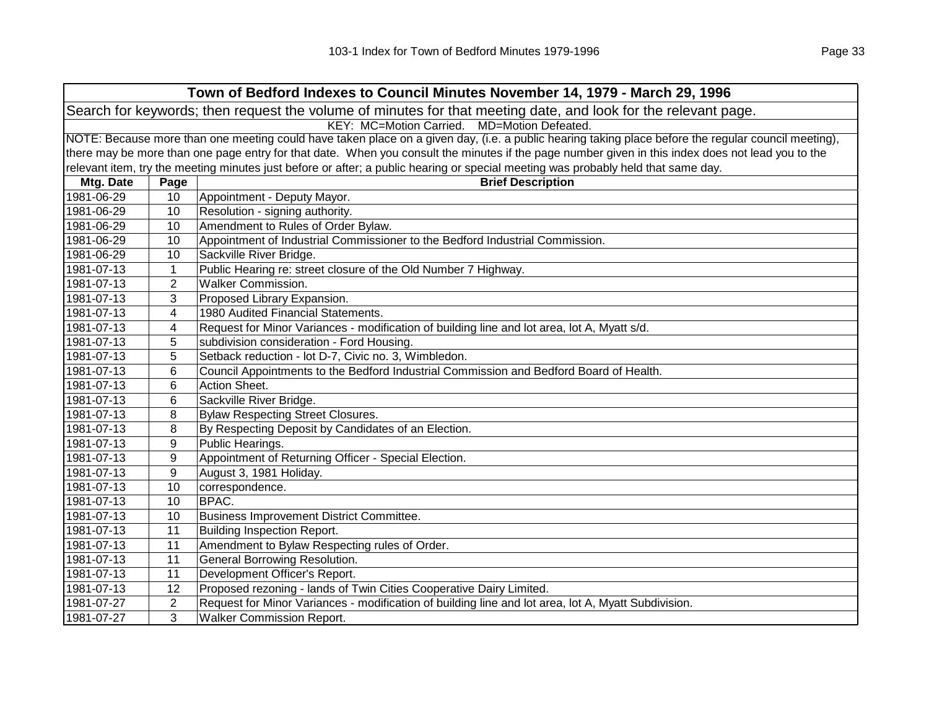|                                                                                                                | Town of Bedford Indexes to Council Minutes November 14, 1979 - March 29, 1996                                                                       |                                                                                                                                                   |  |  |
|----------------------------------------------------------------------------------------------------------------|-----------------------------------------------------------------------------------------------------------------------------------------------------|---------------------------------------------------------------------------------------------------------------------------------------------------|--|--|
| Search for keywords; then request the volume of minutes for that meeting date, and look for the relevant page. |                                                                                                                                                     |                                                                                                                                                   |  |  |
| KEY: MC=Motion Carried. MD=Motion Defeated.                                                                    |                                                                                                                                                     |                                                                                                                                                   |  |  |
|                                                                                                                | NOTE: Because more than one meeting could have taken place on a given day, (i.e. a public hearing taking place before the regular council meeting), |                                                                                                                                                   |  |  |
|                                                                                                                |                                                                                                                                                     | there may be more than one page entry for that date. When you consult the minutes if the page number given in this index does not lead you to the |  |  |
|                                                                                                                |                                                                                                                                                     | relevant item, try the meeting minutes just before or after; a public hearing or special meeting was probably held that same day.                 |  |  |
| Mtg. Date                                                                                                      | Page                                                                                                                                                | <b>Brief Description</b>                                                                                                                          |  |  |
| 1981-06-29                                                                                                     | 10                                                                                                                                                  | Appointment - Deputy Mayor.                                                                                                                       |  |  |
| 1981-06-29                                                                                                     | 10                                                                                                                                                  | Resolution - signing authority.                                                                                                                   |  |  |
| 1981-06-29                                                                                                     | 10                                                                                                                                                  | Amendment to Rules of Order Bylaw.                                                                                                                |  |  |
| 1981-06-29                                                                                                     | 10                                                                                                                                                  | Appointment of Industrial Commissioner to the Bedford Industrial Commission.                                                                      |  |  |
| 1981-06-29                                                                                                     | 10                                                                                                                                                  | Sackville River Bridge.                                                                                                                           |  |  |
| 1981-07-13                                                                                                     | $\mathbf{1}$                                                                                                                                        | Public Hearing re: street closure of the Old Number 7 Highway.                                                                                    |  |  |
| 1981-07-13                                                                                                     | $\overline{2}$                                                                                                                                      | <b>Walker Commission.</b>                                                                                                                         |  |  |
| 1981-07-13                                                                                                     | 3                                                                                                                                                   | Proposed Library Expansion.                                                                                                                       |  |  |
| 1981-07-13                                                                                                     | 4                                                                                                                                                   | 1980 Audited Financial Statements.                                                                                                                |  |  |
| 1981-07-13                                                                                                     | 4                                                                                                                                                   | Request for Minor Variances - modification of building line and lot area, lot A, Myatt s/d.                                                       |  |  |
| 1981-07-13                                                                                                     | 5                                                                                                                                                   | subdivision consideration - Ford Housing.                                                                                                         |  |  |
| 1981-07-13                                                                                                     | 5                                                                                                                                                   | Setback reduction - lot D-7, Civic no. 3, Wimbledon.                                                                                              |  |  |
| 1981-07-13                                                                                                     | 6                                                                                                                                                   | Council Appointments to the Bedford Industrial Commission and Bedford Board of Health.                                                            |  |  |
| 1981-07-13                                                                                                     | 6                                                                                                                                                   | Action Sheet.                                                                                                                                     |  |  |
| 1981-07-13                                                                                                     | 6                                                                                                                                                   | Sackville River Bridge.                                                                                                                           |  |  |
| 1981-07-13                                                                                                     | 8                                                                                                                                                   | <b>Bylaw Respecting Street Closures.</b>                                                                                                          |  |  |
| 1981-07-13                                                                                                     | 8                                                                                                                                                   | By Respecting Deposit by Candidates of an Election.                                                                                               |  |  |
| 1981-07-13                                                                                                     | 9                                                                                                                                                   | Public Hearings.                                                                                                                                  |  |  |
| 1981-07-13                                                                                                     | 9                                                                                                                                                   | Appointment of Returning Officer - Special Election.                                                                                              |  |  |
| 1981-07-13                                                                                                     | 9                                                                                                                                                   | August 3, 1981 Holiday.                                                                                                                           |  |  |
| 1981-07-13                                                                                                     | 10                                                                                                                                                  | correspondence.                                                                                                                                   |  |  |
| 1981-07-13                                                                                                     | 10                                                                                                                                                  | BPAC.                                                                                                                                             |  |  |
| 1981-07-13                                                                                                     | 10                                                                                                                                                  | Business Improvement District Committee.                                                                                                          |  |  |
| 1981-07-13                                                                                                     | 11                                                                                                                                                  | <b>Building Inspection Report.</b>                                                                                                                |  |  |
| 1981-07-13                                                                                                     | 11                                                                                                                                                  | Amendment to Bylaw Respecting rules of Order.                                                                                                     |  |  |
| 1981-07-13                                                                                                     | 11                                                                                                                                                  | General Borrowing Resolution.                                                                                                                     |  |  |
| 1981-07-13                                                                                                     | 11                                                                                                                                                  | Development Officer's Report.                                                                                                                     |  |  |
| 1981-07-13                                                                                                     | 12                                                                                                                                                  | Proposed rezoning - lands of Twin Cities Cooperative Dairy Limited.                                                                               |  |  |
| 1981-07-27                                                                                                     | 2                                                                                                                                                   | Request for Minor Variances - modification of building line and lot area, lot A, Myatt Subdivision.                                               |  |  |
| 1981-07-27                                                                                                     | 3                                                                                                                                                   | <b>Walker Commission Report.</b>                                                                                                                  |  |  |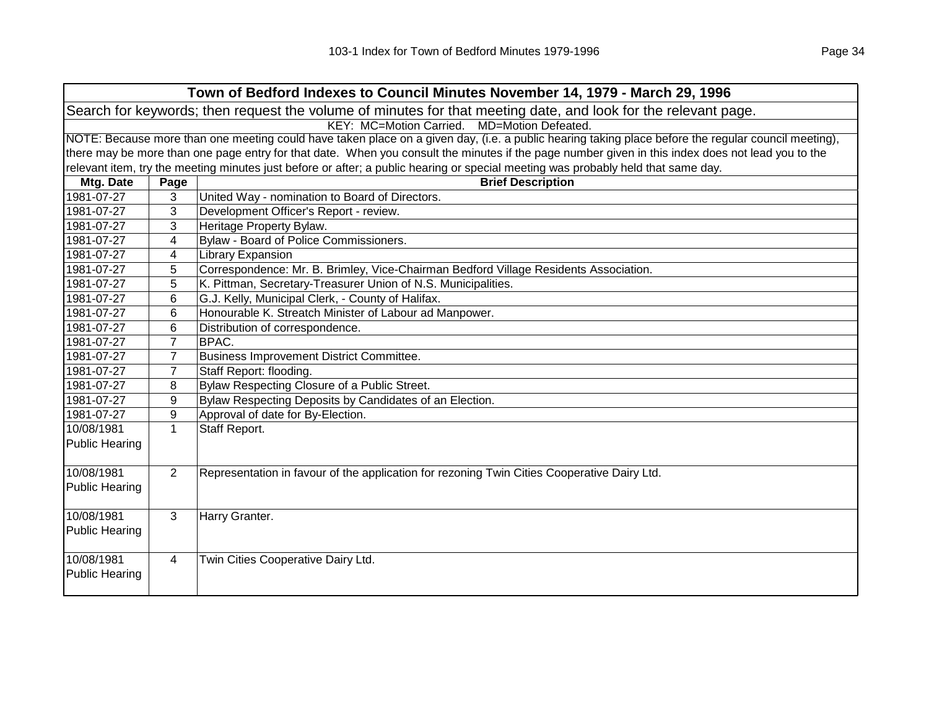| Town of Bedford Indexes to Council Minutes November 14, 1979 - March 29, 1996                                  |                                             |                                                                                                                                                     |  |  |
|----------------------------------------------------------------------------------------------------------------|---------------------------------------------|-----------------------------------------------------------------------------------------------------------------------------------------------------|--|--|
| Search for keywords; then request the volume of minutes for that meeting date, and look for the relevant page. |                                             |                                                                                                                                                     |  |  |
|                                                                                                                | KEY: MC=Motion Carried. MD=Motion Defeated. |                                                                                                                                                     |  |  |
|                                                                                                                |                                             | NOTE: Because more than one meeting could have taken place on a given day, (i.e. a public hearing taking place before the regular council meeting), |  |  |
|                                                                                                                |                                             | there may be more than one page entry for that date. When you consult the minutes if the page number given in this index does not lead you to the   |  |  |
|                                                                                                                |                                             | relevant item, try the meeting minutes just before or after; a public hearing or special meeting was probably held that same day.                   |  |  |
| Mtg. Date                                                                                                      | Page                                        | <b>Brief Description</b>                                                                                                                            |  |  |
| 1981-07-27                                                                                                     | 3                                           | United Way - nomination to Board of Directors.                                                                                                      |  |  |
| 1981-07-27                                                                                                     | 3                                           | Development Officer's Report - review.                                                                                                              |  |  |
| 1981-07-27                                                                                                     | 3                                           | Heritage Property Bylaw.                                                                                                                            |  |  |
| 1981-07-27                                                                                                     | 4                                           | Bylaw - Board of Police Commissioners.                                                                                                              |  |  |
| 1981-07-27                                                                                                     | 4                                           | <b>Library Expansion</b>                                                                                                                            |  |  |
| 1981-07-27                                                                                                     | 5                                           | Correspondence: Mr. B. Brimley, Vice-Chairman Bedford Village Residents Association.                                                                |  |  |
| 1981-07-27                                                                                                     | 5                                           | K. Pittman, Secretary-Treasurer Union of N.S. Municipalities.                                                                                       |  |  |
| 1981-07-27                                                                                                     | 6                                           | G.J. Kelly, Municipal Clerk, - County of Halifax.                                                                                                   |  |  |
| 1981-07-27                                                                                                     | 6                                           | Honourable K. Streatch Minister of Labour ad Manpower.                                                                                              |  |  |
| 1981-07-27                                                                                                     | 6                                           | Distribution of correspondence.                                                                                                                     |  |  |
| 1981-07-27                                                                                                     | $\overline{7}$                              | BPAC.                                                                                                                                               |  |  |
| 1981-07-27                                                                                                     | $\overline{7}$                              | Business Improvement District Committee.                                                                                                            |  |  |
| 1981-07-27                                                                                                     | $\overline{7}$                              | Staff Report: flooding.                                                                                                                             |  |  |
| 1981-07-27                                                                                                     | 8                                           | Bylaw Respecting Closure of a Public Street.                                                                                                        |  |  |
| 1981-07-27                                                                                                     | 9                                           | Bylaw Respecting Deposits by Candidates of an Election.                                                                                             |  |  |
| 1981-07-27                                                                                                     | 9                                           | Approval of date for By-Election.                                                                                                                   |  |  |
| 10/08/1981                                                                                                     | $\mathbf{1}$                                | Staff Report.                                                                                                                                       |  |  |
| <b>Public Hearing</b>                                                                                          |                                             |                                                                                                                                                     |  |  |
|                                                                                                                |                                             |                                                                                                                                                     |  |  |
| 10/08/1981                                                                                                     | $\overline{2}$                              | Representation in favour of the application for rezoning Twin Cities Cooperative Dairy Ltd.                                                         |  |  |
| <b>Public Hearing</b>                                                                                          |                                             |                                                                                                                                                     |  |  |
|                                                                                                                |                                             |                                                                                                                                                     |  |  |
| 10/08/1981                                                                                                     | 3                                           | Harry Granter.                                                                                                                                      |  |  |
| <b>Public Hearing</b>                                                                                          |                                             |                                                                                                                                                     |  |  |
|                                                                                                                |                                             |                                                                                                                                                     |  |  |
| 10/08/1981                                                                                                     | $\overline{4}$                              | Twin Cities Cooperative Dairy Ltd.                                                                                                                  |  |  |
| <b>Public Hearing</b>                                                                                          |                                             |                                                                                                                                                     |  |  |
|                                                                                                                |                                             |                                                                                                                                                     |  |  |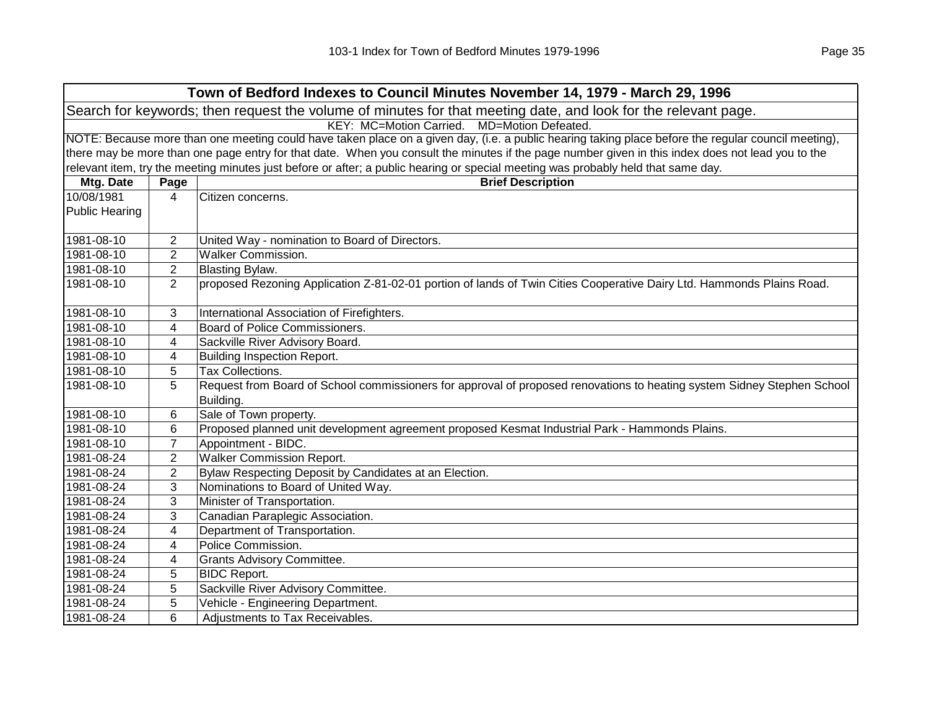| Town of Bedford Indexes to Council Minutes November 14, 1979 - March 29, 1996                                  |                                                                                                                                                     |                                                                                                                                                   |  |  |
|----------------------------------------------------------------------------------------------------------------|-----------------------------------------------------------------------------------------------------------------------------------------------------|---------------------------------------------------------------------------------------------------------------------------------------------------|--|--|
| Search for keywords; then request the volume of minutes for that meeting date, and look for the relevant page. |                                                                                                                                                     |                                                                                                                                                   |  |  |
| KEY: MC=Motion Carried.<br>MD=Motion Defeated.                                                                 |                                                                                                                                                     |                                                                                                                                                   |  |  |
|                                                                                                                | NOTE: Because more than one meeting could have taken place on a given day, (i.e. a public hearing taking place before the regular council meeting), |                                                                                                                                                   |  |  |
|                                                                                                                |                                                                                                                                                     | there may be more than one page entry for that date. When you consult the minutes if the page number given in this index does not lead you to the |  |  |
|                                                                                                                |                                                                                                                                                     | relevant item, try the meeting minutes just before or after; a public hearing or special meeting was probably held that same day.                 |  |  |
| Mtg. Date                                                                                                      | Page                                                                                                                                                | <b>Brief Description</b>                                                                                                                          |  |  |
| 10/08/1981                                                                                                     | 4                                                                                                                                                   | Citizen concerns.                                                                                                                                 |  |  |
| <b>Public Hearing</b>                                                                                          |                                                                                                                                                     |                                                                                                                                                   |  |  |
| 1981-08-10                                                                                                     | 2                                                                                                                                                   | United Way - nomination to Board of Directors.                                                                                                    |  |  |
| 1981-08-10                                                                                                     | 2                                                                                                                                                   | <b>Walker Commission.</b>                                                                                                                         |  |  |
| 1981-08-10                                                                                                     | 2                                                                                                                                                   | <b>Blasting Bylaw.</b>                                                                                                                            |  |  |
| 1981-08-10                                                                                                     | $\overline{2}$                                                                                                                                      | proposed Rezoning Application Z-81-02-01 portion of lands of Twin Cities Cooperative Dairy Ltd. Hammonds Plains Road.                             |  |  |
|                                                                                                                |                                                                                                                                                     |                                                                                                                                                   |  |  |
| 1981-08-10                                                                                                     | 3                                                                                                                                                   | International Association of Firefighters.                                                                                                        |  |  |
| 1981-08-10                                                                                                     | 4                                                                                                                                                   | Board of Police Commissioners.                                                                                                                    |  |  |
| 1981-08-10                                                                                                     | 4                                                                                                                                                   | Sackville River Advisory Board.                                                                                                                   |  |  |
| 1981-08-10                                                                                                     | 4                                                                                                                                                   | <b>Building Inspection Report.</b>                                                                                                                |  |  |
| 1981-08-10                                                                                                     | 5                                                                                                                                                   | <b>Tax Collections.</b>                                                                                                                           |  |  |
| 1981-08-10                                                                                                     | 5                                                                                                                                                   | Request from Board of School commissioners for approval of proposed renovations to heating system Sidney Stephen School                           |  |  |
|                                                                                                                |                                                                                                                                                     | Building.                                                                                                                                         |  |  |
| 1981-08-10                                                                                                     | 6                                                                                                                                                   | Sale of Town property.                                                                                                                            |  |  |
| 1981-08-10                                                                                                     | 6                                                                                                                                                   | Proposed planned unit development agreement proposed Kesmat Industrial Park - Hammonds Plains.                                                    |  |  |
| 1981-08-10                                                                                                     | $\overline{7}$                                                                                                                                      | Appointment - BIDC.                                                                                                                               |  |  |
| 1981-08-24                                                                                                     | $\overline{2}$                                                                                                                                      | <b>Walker Commission Report.</b>                                                                                                                  |  |  |
| 1981-08-24                                                                                                     | $\overline{2}$                                                                                                                                      | Bylaw Respecting Deposit by Candidates at an Election.                                                                                            |  |  |
| 1981-08-24                                                                                                     | 3                                                                                                                                                   | Nominations to Board of United Way.                                                                                                               |  |  |
| 1981-08-24                                                                                                     | 3                                                                                                                                                   | Minister of Transportation.                                                                                                                       |  |  |
| 1981-08-24                                                                                                     | 3                                                                                                                                                   | Canadian Paraplegic Association.                                                                                                                  |  |  |
| 1981-08-24                                                                                                     | 4                                                                                                                                                   | Department of Transportation.                                                                                                                     |  |  |
| 1981-08-24                                                                                                     | 4                                                                                                                                                   | Police Commission.                                                                                                                                |  |  |
| 1981-08-24                                                                                                     | 4                                                                                                                                                   | <b>Grants Advisory Committee.</b>                                                                                                                 |  |  |
| 1981-08-24                                                                                                     | 5                                                                                                                                                   | <b>BIDC Report.</b>                                                                                                                               |  |  |
| 1981-08-24                                                                                                     | 5                                                                                                                                                   | Sackville River Advisory Committee.                                                                                                               |  |  |
| 1981-08-24                                                                                                     | 5                                                                                                                                                   | Vehicle - Engineering Department.                                                                                                                 |  |  |
| 1981-08-24                                                                                                     | 6                                                                                                                                                   | Adjustments to Tax Receivables.                                                                                                                   |  |  |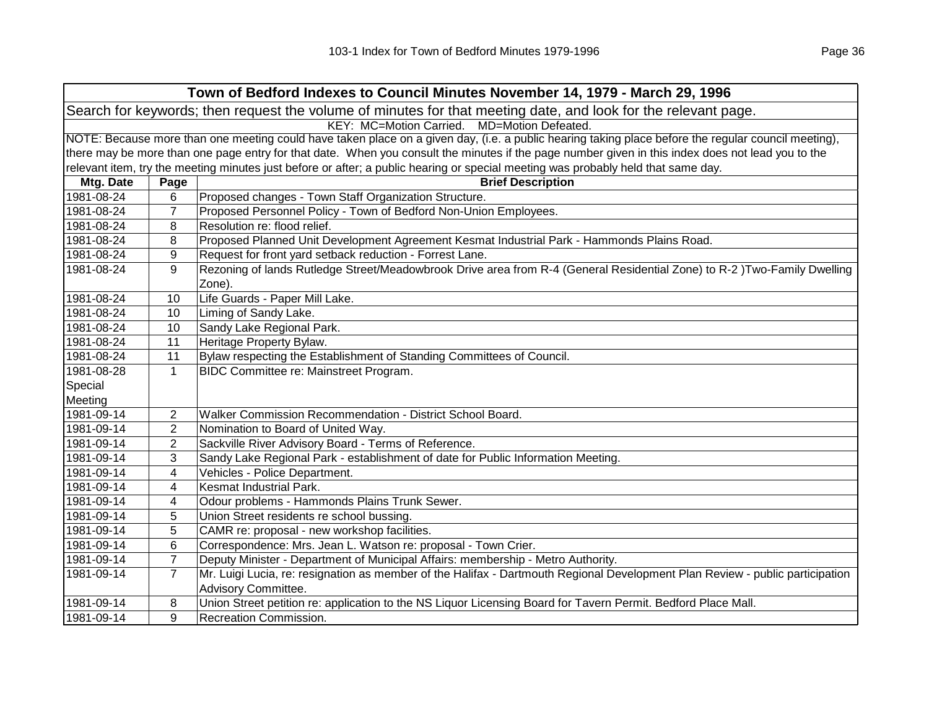| Town of Bedford Indexes to Council Minutes November 14, 1979 - March 29, 1996                                  |                                                                                                                                                     |                                                                                                                                                   |  |
|----------------------------------------------------------------------------------------------------------------|-----------------------------------------------------------------------------------------------------------------------------------------------------|---------------------------------------------------------------------------------------------------------------------------------------------------|--|
| Search for keywords; then request the volume of minutes for that meeting date, and look for the relevant page. |                                                                                                                                                     |                                                                                                                                                   |  |
|                                                                                                                | KEY: MC=Motion Carried. MD=Motion Defeated.                                                                                                         |                                                                                                                                                   |  |
|                                                                                                                | NOTE: Because more than one meeting could have taken place on a given day, (i.e. a public hearing taking place before the regular council meeting), |                                                                                                                                                   |  |
|                                                                                                                |                                                                                                                                                     | there may be more than one page entry for that date. When you consult the minutes if the page number given in this index does not lead you to the |  |
|                                                                                                                |                                                                                                                                                     | relevant item, try the meeting minutes just before or after; a public hearing or special meeting was probably held that same day.                 |  |
| Mtg. Date                                                                                                      | Page                                                                                                                                                | <b>Brief Description</b>                                                                                                                          |  |
| 1981-08-24                                                                                                     | 6                                                                                                                                                   | Proposed changes - Town Staff Organization Structure.                                                                                             |  |
| 1981-08-24                                                                                                     | $\overline{7}$                                                                                                                                      | Proposed Personnel Policy - Town of Bedford Non-Union Employees.                                                                                  |  |
| 1981-08-24                                                                                                     | 8                                                                                                                                                   | Resolution re: flood relief.                                                                                                                      |  |
| 1981-08-24                                                                                                     | 8                                                                                                                                                   | Proposed Planned Unit Development Agreement Kesmat Industrial Park - Hammonds Plains Road.                                                        |  |
| 1981-08-24                                                                                                     | 9                                                                                                                                                   | Request for front yard setback reduction - Forrest Lane.                                                                                          |  |
| 1981-08-24                                                                                                     | 9                                                                                                                                                   | Rezoning of lands Rutledge Street/Meadowbrook Drive area from R-4 (General Residential Zone) to R-2)Two-Family Dwelling                           |  |
|                                                                                                                |                                                                                                                                                     | Zone).                                                                                                                                            |  |
| 1981-08-24                                                                                                     | 10                                                                                                                                                  | Life Guards - Paper Mill Lake.                                                                                                                    |  |
| 1981-08-24                                                                                                     | 10                                                                                                                                                  | Liming of Sandy Lake.                                                                                                                             |  |
| 1981-08-24                                                                                                     | 10                                                                                                                                                  | Sandy Lake Regional Park.                                                                                                                         |  |
| 1981-08-24                                                                                                     | 11                                                                                                                                                  | Heritage Property Bylaw.                                                                                                                          |  |
| 1981-08-24                                                                                                     | 11                                                                                                                                                  | Bylaw respecting the Establishment of Standing Committees of Council.                                                                             |  |
| 1981-08-28                                                                                                     | $\mathbf{1}$                                                                                                                                        | BIDC Committee re: Mainstreet Program.                                                                                                            |  |
| Special                                                                                                        |                                                                                                                                                     |                                                                                                                                                   |  |
| Meeting                                                                                                        |                                                                                                                                                     |                                                                                                                                                   |  |
| 1981-09-14                                                                                                     | $\overline{2}$                                                                                                                                      | Walker Commission Recommendation - District School Board.                                                                                         |  |
| 1981-09-14                                                                                                     | $\mathbf{2}$                                                                                                                                        | Nomination to Board of United Way.                                                                                                                |  |
| 1981-09-14                                                                                                     | $\overline{2}$                                                                                                                                      | Sackville River Advisory Board - Terms of Reference.                                                                                              |  |
| 1981-09-14                                                                                                     | 3                                                                                                                                                   | Sandy Lake Regional Park - establishment of date for Public Information Meeting.                                                                  |  |
| 1981-09-14                                                                                                     | 4                                                                                                                                                   | Vehicles - Police Department.                                                                                                                     |  |
| 1981-09-14                                                                                                     | 4                                                                                                                                                   | Kesmat Industrial Park.                                                                                                                           |  |
| 1981-09-14                                                                                                     | 4                                                                                                                                                   | Odour problems - Hammonds Plains Trunk Sewer.                                                                                                     |  |
| 1981-09-14                                                                                                     | 5                                                                                                                                                   | Union Street residents re school bussing.                                                                                                         |  |
| 1981-09-14                                                                                                     | 5                                                                                                                                                   | CAMR re: proposal - new workshop facilities.                                                                                                      |  |
| 1981-09-14                                                                                                     | 6                                                                                                                                                   | Correspondence: Mrs. Jean L. Watson re: proposal - Town Crier.                                                                                    |  |
| 1981-09-14                                                                                                     | $\overline{7}$                                                                                                                                      | Deputy Minister - Department of Municipal Affairs: membership - Metro Authority.                                                                  |  |
| 1981-09-14                                                                                                     | $\overline{7}$                                                                                                                                      | Mr. Luigi Lucia, re: resignation as member of the Halifax - Dartmouth Regional Development Plan Review - public participation                     |  |
|                                                                                                                |                                                                                                                                                     | Advisory Committee.                                                                                                                               |  |
| 1981-09-14                                                                                                     | 8                                                                                                                                                   | Union Street petition re: application to the NS Liquor Licensing Board for Tavern Permit. Bedford Place Mall.                                     |  |
| 1981-09-14                                                                                                     | 9                                                                                                                                                   | Recreation Commission.                                                                                                                            |  |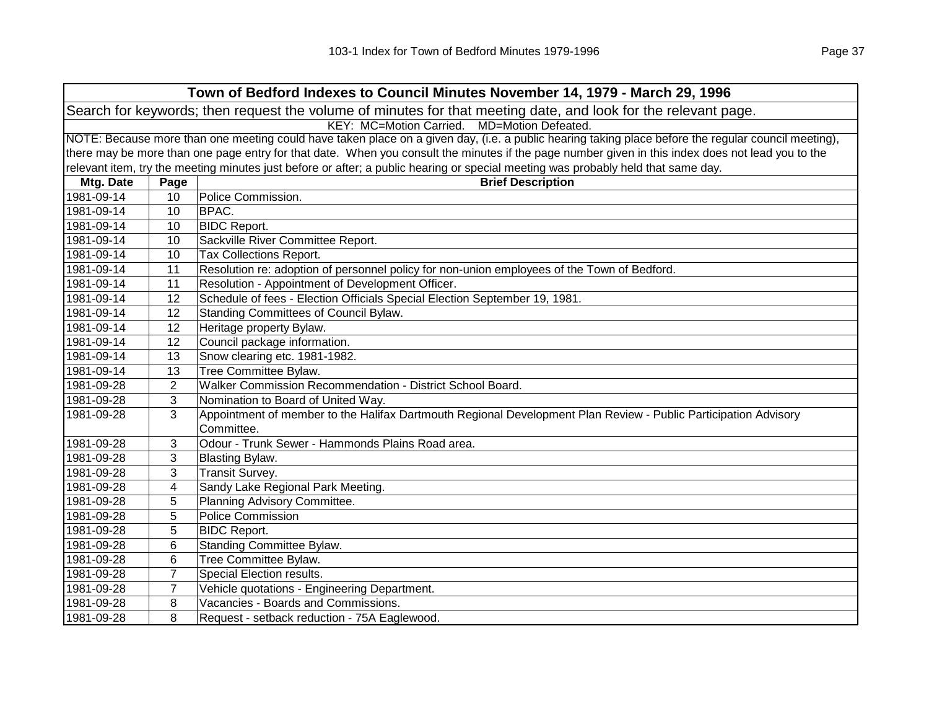| Town of Bedford Indexes to Council Minutes November 14, 1979 - March 29, 1996                                                                       |                                                                                                                                                   |                                                                                                                                   |  |
|-----------------------------------------------------------------------------------------------------------------------------------------------------|---------------------------------------------------------------------------------------------------------------------------------------------------|-----------------------------------------------------------------------------------------------------------------------------------|--|
| Search for keywords; then request the volume of minutes for that meeting date, and look for the relevant page.                                      |                                                                                                                                                   |                                                                                                                                   |  |
| KEY: MC=Motion Carried. MD=Motion Defeated.                                                                                                         |                                                                                                                                                   |                                                                                                                                   |  |
| NOTE: Because more than one meeting could have taken place on a given day, (i.e. a public hearing taking place before the regular council meeting), |                                                                                                                                                   |                                                                                                                                   |  |
|                                                                                                                                                     | there may be more than one page entry for that date. When you consult the minutes if the page number given in this index does not lead you to the |                                                                                                                                   |  |
|                                                                                                                                                     |                                                                                                                                                   | relevant item, try the meeting minutes just before or after; a public hearing or special meeting was probably held that same day. |  |
| Mtg. Date                                                                                                                                           | Page                                                                                                                                              | <b>Brief Description</b>                                                                                                          |  |
| 1981-09-14                                                                                                                                          | 10                                                                                                                                                | Police Commission.                                                                                                                |  |
| 1981-09-14                                                                                                                                          | 10                                                                                                                                                | BPAC.                                                                                                                             |  |
| 1981-09-14                                                                                                                                          | 10                                                                                                                                                | <b>BIDC Report.</b>                                                                                                               |  |
| 1981-09-14                                                                                                                                          | 10                                                                                                                                                | Sackville River Committee Report.                                                                                                 |  |
| 1981-09-14                                                                                                                                          | 10                                                                                                                                                | Tax Collections Report.                                                                                                           |  |
| 1981-09-14                                                                                                                                          | 11                                                                                                                                                | Resolution re: adoption of personnel policy for non-union employees of the Town of Bedford.                                       |  |
| 1981-09-14                                                                                                                                          | 11                                                                                                                                                | Resolution - Appointment of Development Officer.                                                                                  |  |
| 1981-09-14                                                                                                                                          | 12                                                                                                                                                | Schedule of fees - Election Officials Special Election September 19, 1981.                                                        |  |
| 1981-09-14                                                                                                                                          | 12                                                                                                                                                | Standing Committees of Council Bylaw.                                                                                             |  |
| 1981-09-14                                                                                                                                          | 12                                                                                                                                                | Heritage property Bylaw.                                                                                                          |  |
| 1981-09-14                                                                                                                                          | 12                                                                                                                                                | Council package information.                                                                                                      |  |
| 1981-09-14                                                                                                                                          | 13                                                                                                                                                | Snow clearing etc. 1981-1982.                                                                                                     |  |
| 1981-09-14                                                                                                                                          | 13                                                                                                                                                | Tree Committee Bylaw.                                                                                                             |  |
| 1981-09-28                                                                                                                                          | $\overline{2}$                                                                                                                                    | Walker Commission Recommendation - District School Board.                                                                         |  |
| 1981-09-28                                                                                                                                          | 3                                                                                                                                                 | Nomination to Board of United Way.                                                                                                |  |
| 1981-09-28                                                                                                                                          | 3                                                                                                                                                 | Appointment of member to the Halifax Dartmouth Regional Development Plan Review - Public Participation Advisory<br>Committee.     |  |
| 1981-09-28                                                                                                                                          | 3                                                                                                                                                 | Odour - Trunk Sewer - Hammonds Plains Road area.                                                                                  |  |
| 1981-09-28                                                                                                                                          | 3                                                                                                                                                 | Blasting Bylaw.                                                                                                                   |  |
| 1981-09-28                                                                                                                                          | 3                                                                                                                                                 | Transit Survey.                                                                                                                   |  |
| 1981-09-28                                                                                                                                          | 4                                                                                                                                                 | Sandy Lake Regional Park Meeting.                                                                                                 |  |
| 1981-09-28                                                                                                                                          | 5                                                                                                                                                 | Planning Advisory Committee.                                                                                                      |  |
| 1981-09-28                                                                                                                                          | 5                                                                                                                                                 | <b>Police Commission</b>                                                                                                          |  |
| 1981-09-28                                                                                                                                          | 5                                                                                                                                                 | <b>BIDC Report.</b>                                                                                                               |  |
| 1981-09-28                                                                                                                                          | 6                                                                                                                                                 | Standing Committee Bylaw.                                                                                                         |  |
| 1981-09-28                                                                                                                                          | 6                                                                                                                                                 | Tree Committee Bylaw.                                                                                                             |  |
| 1981-09-28                                                                                                                                          | 7                                                                                                                                                 | Special Election results.                                                                                                         |  |
| 1981-09-28                                                                                                                                          | $\overline{7}$                                                                                                                                    | Vehicle quotations - Engineering Department.                                                                                      |  |
| 1981-09-28                                                                                                                                          | 8                                                                                                                                                 | Vacancies - Boards and Commissions.                                                                                               |  |
| 1981-09-28                                                                                                                                          | 8                                                                                                                                                 | Request - setback reduction - 75A Eaglewood.                                                                                      |  |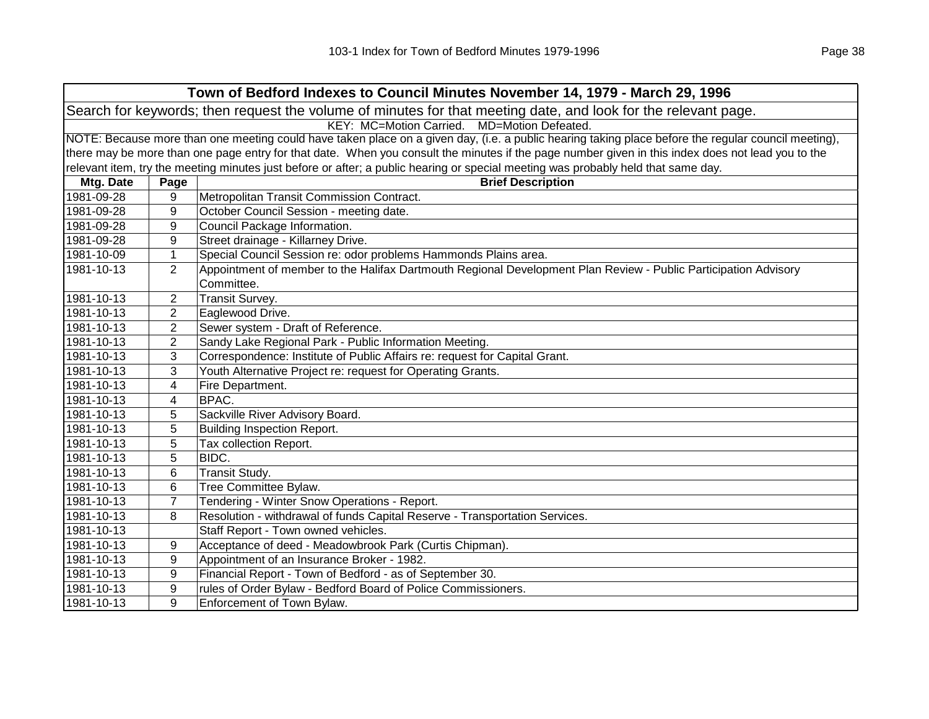| Town of Bedford Indexes to Council Minutes November 14, 1979 - March 29, 1996                                                                       |                |                                                                                                                                                   |  |  |
|-----------------------------------------------------------------------------------------------------------------------------------------------------|----------------|---------------------------------------------------------------------------------------------------------------------------------------------------|--|--|
|                                                                                                                                                     |                | Search for keywords; then request the volume of minutes for that meeting date, and look for the relevant page.                                    |  |  |
|                                                                                                                                                     |                | KEY: MC=Motion Carried. MD=Motion Defeated.                                                                                                       |  |  |
| NOTE: Because more than one meeting could have taken place on a given day, (i.e. a public hearing taking place before the regular council meeting), |                |                                                                                                                                                   |  |  |
|                                                                                                                                                     |                | there may be more than one page entry for that date. When you consult the minutes if the page number given in this index does not lead you to the |  |  |
|                                                                                                                                                     |                | relevant item, try the meeting minutes just before or after; a public hearing or special meeting was probably held that same day.                 |  |  |
| Mtg. Date                                                                                                                                           | Page           | <b>Brief Description</b>                                                                                                                          |  |  |
| 1981-09-28                                                                                                                                          | 9              | Metropolitan Transit Commission Contract.                                                                                                         |  |  |
| 1981-09-28                                                                                                                                          | 9              | October Council Session - meeting date.                                                                                                           |  |  |
| 1981-09-28                                                                                                                                          | 9              | Council Package Information.                                                                                                                      |  |  |
| 1981-09-28                                                                                                                                          | 9              | Street drainage - Killarney Drive.                                                                                                                |  |  |
| 1981-10-09                                                                                                                                          | 1              | Special Council Session re: odor problems Hammonds Plains area.                                                                                   |  |  |
| 1981-10-13                                                                                                                                          | 2              | Appointment of member to the Halifax Dartmouth Regional Development Plan Review - Public Participation Advisory                                   |  |  |
|                                                                                                                                                     |                | Committee.                                                                                                                                        |  |  |
| 1981-10-13                                                                                                                                          | 2              | Transit Survey.                                                                                                                                   |  |  |
| 1981-10-13                                                                                                                                          | 2              | Eaglewood Drive.                                                                                                                                  |  |  |
| 1981-10-13                                                                                                                                          | 2              | Sewer system - Draft of Reference.                                                                                                                |  |  |
| 1981-10-13                                                                                                                                          | $\overline{2}$ | Sandy Lake Regional Park - Public Information Meeting.                                                                                            |  |  |
| 1981-10-13                                                                                                                                          | 3              | Correspondence: Institute of Public Affairs re: request for Capital Grant.                                                                        |  |  |
| 1981-10-13                                                                                                                                          | 3              | Youth Alternative Project re: request for Operating Grants.                                                                                       |  |  |
| 1981-10-13                                                                                                                                          | 4              | Fire Department.                                                                                                                                  |  |  |
| 1981-10-13                                                                                                                                          | 4              | <b>BPAC.</b>                                                                                                                                      |  |  |
| 1981-10-13                                                                                                                                          | 5              | Sackville River Advisory Board.                                                                                                                   |  |  |
| 1981-10-13                                                                                                                                          | 5              | <b>Building Inspection Report.</b>                                                                                                                |  |  |
| 1981-10-13                                                                                                                                          | 5              | Tax collection Report.                                                                                                                            |  |  |
| 1981-10-13                                                                                                                                          | 5              | BIDC.                                                                                                                                             |  |  |
| 1981-10-13                                                                                                                                          | 6              | Transit Study.                                                                                                                                    |  |  |
| 1981-10-13                                                                                                                                          | 6              | Tree Committee Bylaw.                                                                                                                             |  |  |
| 1981-10-13                                                                                                                                          | $\overline{7}$ | Tendering - Winter Snow Operations - Report.                                                                                                      |  |  |
| 1981-10-13                                                                                                                                          | 8              | Resolution - withdrawal of funds Capital Reserve - Transportation Services.                                                                       |  |  |
| 1981-10-13                                                                                                                                          |                | Staff Report - Town owned vehicles.                                                                                                               |  |  |
| 1981-10-13                                                                                                                                          | 9              | Acceptance of deed - Meadowbrook Park (Curtis Chipman).                                                                                           |  |  |
| 1981-10-13                                                                                                                                          | 9              | Appointment of an Insurance Broker - 1982.                                                                                                        |  |  |
| 1981-10-13                                                                                                                                          | 9              | Financial Report - Town of Bedford - as of September 30.                                                                                          |  |  |
| 1981-10-13                                                                                                                                          | 9              | rules of Order Bylaw - Bedford Board of Police Commissioners.                                                                                     |  |  |
| 1981-10-13                                                                                                                                          | 9              | Enforcement of Town Bylaw.                                                                                                                        |  |  |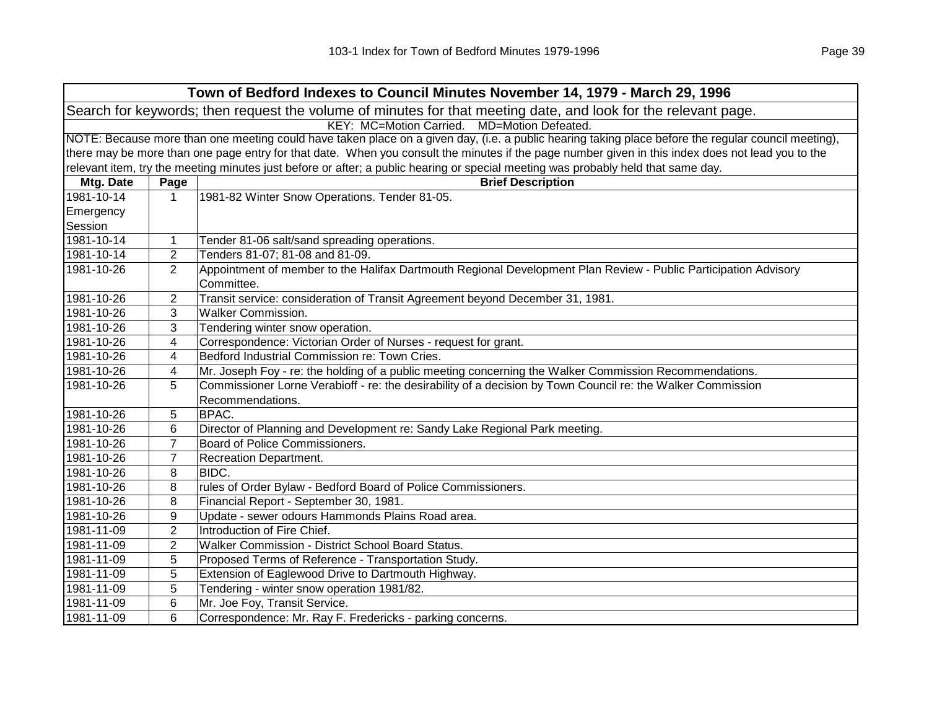| Town of Bedford Indexes to Council Minutes November 14, 1979 - March 29, 1996                                                                       |                |                                                                                                                                   |
|-----------------------------------------------------------------------------------------------------------------------------------------------------|----------------|-----------------------------------------------------------------------------------------------------------------------------------|
| Search for keywords; then request the volume of minutes for that meeting date, and look for the relevant page.                                      |                |                                                                                                                                   |
| KEY: MC=Motion Carried. MD=Motion Defeated.                                                                                                         |                |                                                                                                                                   |
| NOTE: Because more than one meeting could have taken place on a given day, (i.e. a public hearing taking place before the regular council meeting), |                |                                                                                                                                   |
| there may be more than one page entry for that date. When you consult the minutes if the page number given in this index does not lead you to the   |                |                                                                                                                                   |
|                                                                                                                                                     |                | relevant item, try the meeting minutes just before or after; a public hearing or special meeting was probably held that same day. |
| Mtg. Date                                                                                                                                           | Page           | <b>Brief Description</b>                                                                                                          |
| 1981-10-14                                                                                                                                          | $\mathbf{1}$   | 1981-82 Winter Snow Operations. Tender 81-05.                                                                                     |
| Emergency                                                                                                                                           |                |                                                                                                                                   |
| Session                                                                                                                                             |                |                                                                                                                                   |
| 1981-10-14                                                                                                                                          | 1              | Tender 81-06 salt/sand spreading operations.                                                                                      |
| 1981-10-14                                                                                                                                          | $\overline{2}$ | Tenders 81-07; 81-08 and 81-09.                                                                                                   |
| 1981-10-26                                                                                                                                          | $\overline{2}$ | Appointment of member to the Halifax Dartmouth Regional Development Plan Review - Public Participation Advisory<br>Committee.     |
| 1981-10-26                                                                                                                                          | 2              | Transit service: consideration of Transit Agreement beyond December 31, 1981.                                                     |
| 1981-10-26                                                                                                                                          | 3              | <b>Walker Commission.</b>                                                                                                         |
| 1981-10-26                                                                                                                                          | 3              | Tendering winter snow operation.                                                                                                  |
| 1981-10-26                                                                                                                                          | 4              | Correspondence: Victorian Order of Nurses - request for grant.                                                                    |
| 1981-10-26                                                                                                                                          | 4              | Bedford Industrial Commission re: Town Cries.                                                                                     |
| 1981-10-26                                                                                                                                          | 4              | Mr. Joseph Foy - re: the holding of a public meeting concerning the Walker Commission Recommendations.                            |
| 1981-10-26                                                                                                                                          | 5              | Commissioner Lorne Verabioff - re: the desirability of a decision by Town Council re: the Walker Commission                       |
|                                                                                                                                                     |                | Recommendations.                                                                                                                  |
| 1981-10-26                                                                                                                                          | 5              | BPAC.                                                                                                                             |
| 1981-10-26                                                                                                                                          | 6              | Director of Planning and Development re: Sandy Lake Regional Park meeting.                                                        |
| 1981-10-26                                                                                                                                          | $\overline{7}$ | Board of Police Commissioners.                                                                                                    |
| 1981-10-26                                                                                                                                          | $\overline{7}$ | Recreation Department.                                                                                                            |
| 1981-10-26                                                                                                                                          | 8              | BIDC.                                                                                                                             |
| 1981-10-26                                                                                                                                          | 8              | rules of Order Bylaw - Bedford Board of Police Commissioners.                                                                     |
| 1981-10-26                                                                                                                                          | 8              | Financial Report - September 30, 1981.                                                                                            |
| 1981-10-26                                                                                                                                          | 9              | Update - sewer odours Hammonds Plains Road area.                                                                                  |
| 1981-11-09                                                                                                                                          | $\overline{2}$ | Introduction of Fire Chief.                                                                                                       |
| 1981-11-09                                                                                                                                          | $\overline{2}$ | Walker Commission - District School Board Status.                                                                                 |
| 1981-11-09                                                                                                                                          | 5              | Proposed Terms of Reference - Transportation Study.                                                                               |
| 1981-11-09                                                                                                                                          | 5              | Extension of Eaglewood Drive to Dartmouth Highway.                                                                                |
| 1981-11-09                                                                                                                                          | 5              | Tendering - winter snow operation 1981/82.                                                                                        |
| 1981-11-09                                                                                                                                          | 6              | Mr. Joe Foy, Transit Service.                                                                                                     |
| 1981-11-09                                                                                                                                          | 6              | Correspondence: Mr. Ray F. Fredericks - parking concerns.                                                                         |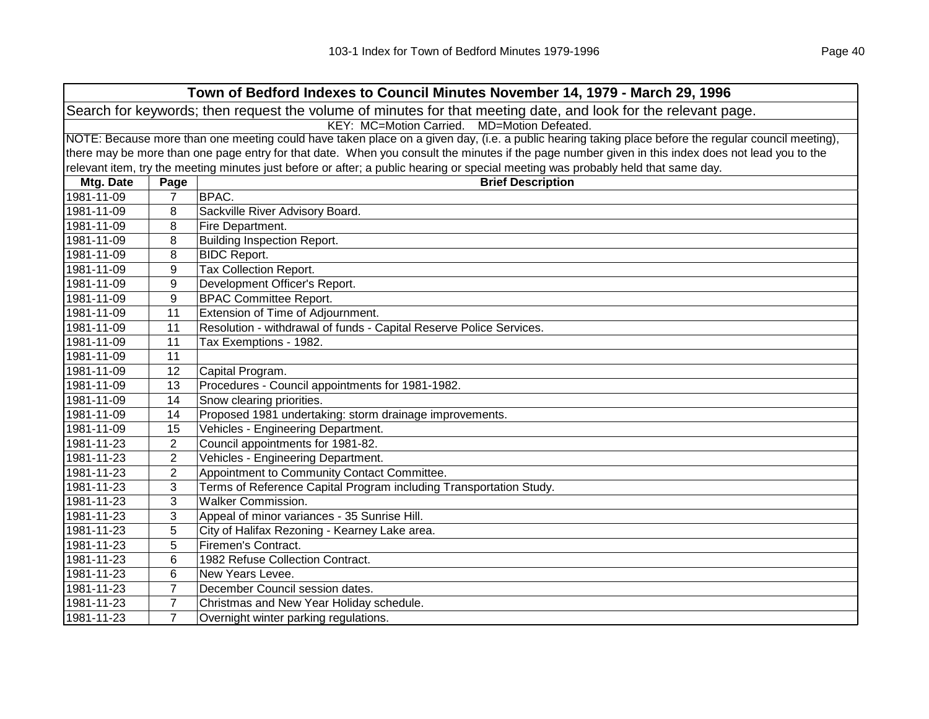| Town of Bedford Indexes to Council Minutes November 14, 1979 - March 29, 1996                                  |                                                                                                                                                   |                                                                                                                                                     |  |  |
|----------------------------------------------------------------------------------------------------------------|---------------------------------------------------------------------------------------------------------------------------------------------------|-----------------------------------------------------------------------------------------------------------------------------------------------------|--|--|
| Search for keywords; then request the volume of minutes for that meeting date, and look for the relevant page. |                                                                                                                                                   |                                                                                                                                                     |  |  |
| KEY: MC=Motion Carried. MD=Motion Defeated.                                                                    |                                                                                                                                                   |                                                                                                                                                     |  |  |
|                                                                                                                |                                                                                                                                                   | NOTE: Because more than one meeting could have taken place on a given day, (i.e. a public hearing taking place before the regular council meeting), |  |  |
|                                                                                                                | there may be more than one page entry for that date. When you consult the minutes if the page number given in this index does not lead you to the |                                                                                                                                                     |  |  |
|                                                                                                                |                                                                                                                                                   | relevant item, try the meeting minutes just before or after; a public hearing or special meeting was probably held that same day.                   |  |  |
| Mtg. Date                                                                                                      | Page                                                                                                                                              | <b>Brief Description</b>                                                                                                                            |  |  |
| 1981-11-09                                                                                                     | $\overline{7}$                                                                                                                                    | BPAC.                                                                                                                                               |  |  |
| 1981-11-09                                                                                                     | 8                                                                                                                                                 | Sackville River Advisory Board.                                                                                                                     |  |  |
| 1981-11-09                                                                                                     | 8                                                                                                                                                 | Fire Department.                                                                                                                                    |  |  |
| 1981-11-09                                                                                                     | 8                                                                                                                                                 | <b>Building Inspection Report.</b>                                                                                                                  |  |  |
| 1981-11-09                                                                                                     | 8                                                                                                                                                 | <b>BIDC Report.</b>                                                                                                                                 |  |  |
| 1981-11-09                                                                                                     | 9                                                                                                                                                 | Tax Collection Report.                                                                                                                              |  |  |
| 1981-11-09                                                                                                     | 9                                                                                                                                                 | Development Officer's Report.                                                                                                                       |  |  |
| 1981-11-09                                                                                                     | 9                                                                                                                                                 | <b>BPAC Committee Report.</b>                                                                                                                       |  |  |
| 1981-11-09                                                                                                     | 11                                                                                                                                                | Extension of Time of Adjournment.                                                                                                                   |  |  |
| 1981-11-09                                                                                                     | 11                                                                                                                                                | Resolution - withdrawal of funds - Capital Reserve Police Services.                                                                                 |  |  |
| 1981-11-09                                                                                                     | 11                                                                                                                                                | Tax Exemptions - 1982.                                                                                                                              |  |  |
| 1981-11-09                                                                                                     | 11                                                                                                                                                |                                                                                                                                                     |  |  |
| 1981-11-09                                                                                                     | 12                                                                                                                                                | Capital Program.                                                                                                                                    |  |  |
| 1981-11-09                                                                                                     | 13                                                                                                                                                | Procedures - Council appointments for 1981-1982.                                                                                                    |  |  |
| 1981-11-09                                                                                                     | 14                                                                                                                                                | Snow clearing priorities.                                                                                                                           |  |  |
| 1981-11-09                                                                                                     | 14                                                                                                                                                | Proposed 1981 undertaking: storm drainage improvements.                                                                                             |  |  |
| 1981-11-09                                                                                                     | 15                                                                                                                                                | Vehicles - Engineering Department.                                                                                                                  |  |  |
| 1981-11-23                                                                                                     | 2                                                                                                                                                 | Council appointments for 1981-82.                                                                                                                   |  |  |
| 1981-11-23                                                                                                     | 2                                                                                                                                                 | Vehicles - Engineering Department.                                                                                                                  |  |  |
| 1981-11-23                                                                                                     | $\overline{2}$                                                                                                                                    | Appointment to Community Contact Committee.                                                                                                         |  |  |
| 1981-11-23                                                                                                     | 3                                                                                                                                                 | Terms of Reference Capital Program including Transportation Study.                                                                                  |  |  |
| 1981-11-23                                                                                                     | 3                                                                                                                                                 | <b>Walker Commission.</b>                                                                                                                           |  |  |
| 1981-11-23                                                                                                     | 3                                                                                                                                                 | Appeal of minor variances - 35 Sunrise Hill.                                                                                                        |  |  |
| 1981-11-23                                                                                                     | 5                                                                                                                                                 | City of Halifax Rezoning - Kearney Lake area.                                                                                                       |  |  |
| 1981-11-23                                                                                                     | 5                                                                                                                                                 | Firemen's Contract.                                                                                                                                 |  |  |
| 1981-11-23                                                                                                     | 6                                                                                                                                                 | 1982 Refuse Collection Contract.                                                                                                                    |  |  |
| 1981-11-23                                                                                                     | 6                                                                                                                                                 | New Years Levee.                                                                                                                                    |  |  |
| 1981-11-23                                                                                                     | $\overline{7}$                                                                                                                                    | December Council session dates.                                                                                                                     |  |  |
| 1981-11-23                                                                                                     | 7                                                                                                                                                 | Christmas and New Year Holiday schedule.                                                                                                            |  |  |
| 1981-11-23                                                                                                     | $\overline{7}$                                                                                                                                    | Overnight winter parking regulations.                                                                                                               |  |  |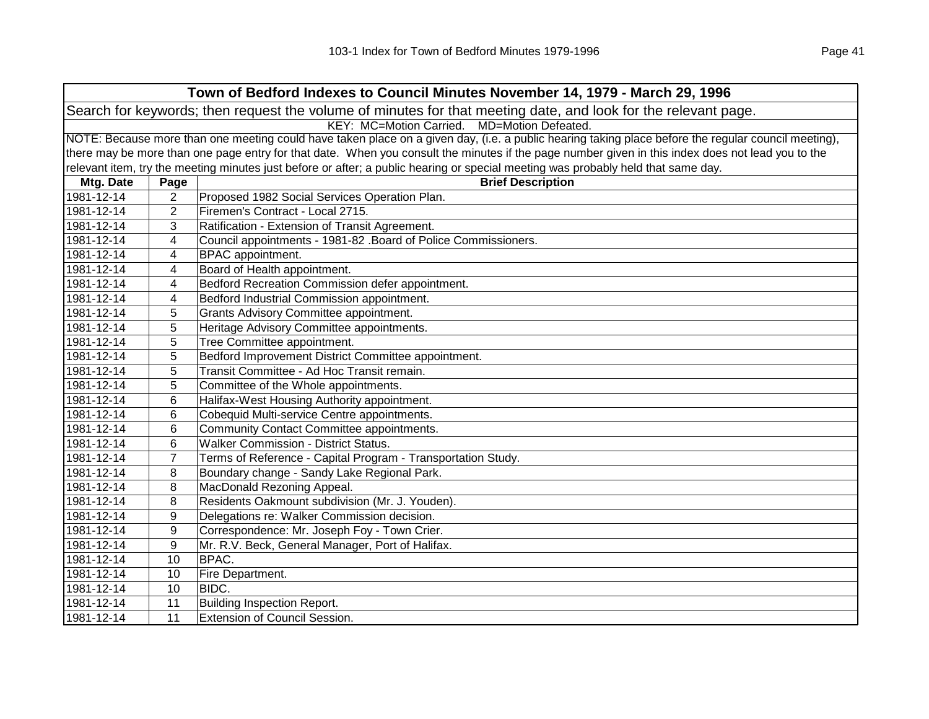| Town of Bedford Indexes to Council Minutes November 14, 1979 - March 29, 1996                                  |                                                                                                                                                     |                                                                                                                                   |  |
|----------------------------------------------------------------------------------------------------------------|-----------------------------------------------------------------------------------------------------------------------------------------------------|-----------------------------------------------------------------------------------------------------------------------------------|--|
| Search for keywords; then request the volume of minutes for that meeting date, and look for the relevant page. |                                                                                                                                                     |                                                                                                                                   |  |
| KEY: MC=Motion Carried. MD=Motion Defeated.                                                                    |                                                                                                                                                     |                                                                                                                                   |  |
|                                                                                                                | NOTE: Because more than one meeting could have taken place on a given day, (i.e. a public hearing taking place before the regular council meeting), |                                                                                                                                   |  |
|                                                                                                                | there may be more than one page entry for that date. When you consult the minutes if the page number given in this index does not lead you to the   |                                                                                                                                   |  |
|                                                                                                                |                                                                                                                                                     | relevant item, try the meeting minutes just before or after; a public hearing or special meeting was probably held that same day. |  |
| Mtg. Date                                                                                                      | Page                                                                                                                                                | <b>Brief Description</b>                                                                                                          |  |
| 1981-12-14                                                                                                     | $\overline{2}$                                                                                                                                      | Proposed 1982 Social Services Operation Plan.                                                                                     |  |
| 1981-12-14                                                                                                     | 2                                                                                                                                                   | Firemen's Contract - Local 2715.                                                                                                  |  |
| 1981-12-14                                                                                                     | 3                                                                                                                                                   | Ratification - Extension of Transit Agreement.                                                                                    |  |
| 1981-12-14                                                                                                     | 4                                                                                                                                                   | Council appointments - 1981-82 .Board of Police Commissioners.                                                                    |  |
| 1981-12-14                                                                                                     | 4                                                                                                                                                   | BPAC appointment.                                                                                                                 |  |
| 1981-12-14                                                                                                     | 4                                                                                                                                                   | Board of Health appointment.                                                                                                      |  |
| 1981-12-14                                                                                                     | 4                                                                                                                                                   | Bedford Recreation Commission defer appointment.                                                                                  |  |
| 1981-12-14                                                                                                     | 4                                                                                                                                                   | Bedford Industrial Commission appointment.                                                                                        |  |
| 1981-12-14                                                                                                     | 5                                                                                                                                                   | Grants Advisory Committee appointment.                                                                                            |  |
| 1981-12-14                                                                                                     | 5                                                                                                                                                   | Heritage Advisory Committee appointments.                                                                                         |  |
| 1981-12-14                                                                                                     | 5                                                                                                                                                   | Tree Committee appointment.                                                                                                       |  |
| 1981-12-14                                                                                                     | 5                                                                                                                                                   | Bedford Improvement District Committee appointment.                                                                               |  |
| 1981-12-14                                                                                                     | 5                                                                                                                                                   | Transit Committee - Ad Hoc Transit remain.                                                                                        |  |
| 1981-12-14                                                                                                     | 5                                                                                                                                                   | Committee of the Whole appointments.                                                                                              |  |
| 1981-12-14                                                                                                     | 6                                                                                                                                                   | Halifax-West Housing Authority appointment.                                                                                       |  |
| 1981-12-14                                                                                                     | 6                                                                                                                                                   | Cobequid Multi-service Centre appointments.                                                                                       |  |
| 1981-12-14                                                                                                     | 6                                                                                                                                                   | Community Contact Committee appointments.                                                                                         |  |
| 1981-12-14                                                                                                     | 6                                                                                                                                                   | <b>Walker Commission - District Status.</b>                                                                                       |  |
| 1981-12-14                                                                                                     | 7                                                                                                                                                   | Terms of Reference - Capital Program - Transportation Study.                                                                      |  |
| 1981-12-14                                                                                                     | 8                                                                                                                                                   | Boundary change - Sandy Lake Regional Park.                                                                                       |  |
| 1981-12-14                                                                                                     | 8                                                                                                                                                   | MacDonald Rezoning Appeal.                                                                                                        |  |
| 1981-12-14                                                                                                     | 8                                                                                                                                                   | Residents Oakmount subdivision (Mr. J. Youden).                                                                                   |  |
| 1981-12-14                                                                                                     | 9                                                                                                                                                   | Delegations re: Walker Commission decision.                                                                                       |  |
| 1981-12-14                                                                                                     | 9                                                                                                                                                   | Correspondence: Mr. Joseph Foy - Town Crier.                                                                                      |  |
| 1981-12-14                                                                                                     | 9                                                                                                                                                   | Mr. R.V. Beck, General Manager, Port of Halifax.                                                                                  |  |
| 1981-12-14                                                                                                     | 10                                                                                                                                                  | BPAC.                                                                                                                             |  |
| 1981-12-14                                                                                                     | 10                                                                                                                                                  | Fire Department.                                                                                                                  |  |
| 1981-12-14                                                                                                     | 10                                                                                                                                                  | BIDC.                                                                                                                             |  |
| 1981-12-14                                                                                                     | 11                                                                                                                                                  | <b>Building Inspection Report.</b>                                                                                                |  |
| 1981-12-14                                                                                                     | 11                                                                                                                                                  | Extension of Council Session.                                                                                                     |  |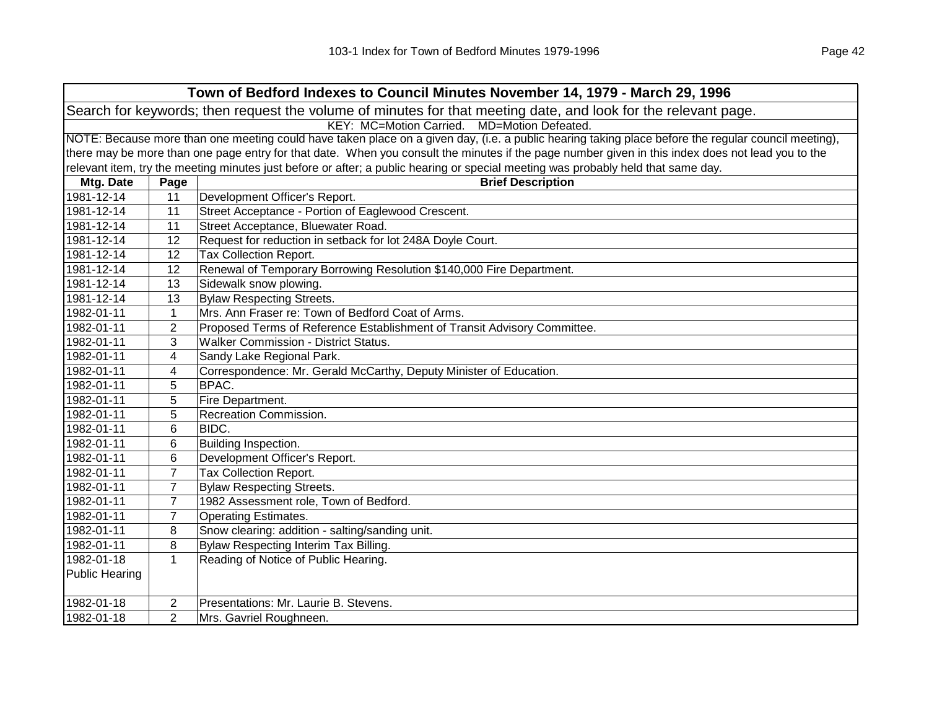| Town of Bedford Indexes to Council Minutes November 14, 1979 - March 29, 1996                                  |                                                                                                                                                     |                                                                                                                                                   |  |  |
|----------------------------------------------------------------------------------------------------------------|-----------------------------------------------------------------------------------------------------------------------------------------------------|---------------------------------------------------------------------------------------------------------------------------------------------------|--|--|
| Search for keywords; then request the volume of minutes for that meeting date, and look for the relevant page. |                                                                                                                                                     |                                                                                                                                                   |  |  |
|                                                                                                                | KEY: MC=Motion Carried.<br>MD=Motion Defeated.                                                                                                      |                                                                                                                                                   |  |  |
|                                                                                                                | NOTE: Because more than one meeting could have taken place on a given day, (i.e. a public hearing taking place before the regular council meeting), |                                                                                                                                                   |  |  |
|                                                                                                                |                                                                                                                                                     | there may be more than one page entry for that date. When you consult the minutes if the page number given in this index does not lead you to the |  |  |
|                                                                                                                |                                                                                                                                                     | relevant item, try the meeting minutes just before or after; a public hearing or special meeting was probably held that same day.                 |  |  |
| Mtg. Date                                                                                                      | Page                                                                                                                                                | <b>Brief Description</b>                                                                                                                          |  |  |
| 1981-12-14                                                                                                     | 11                                                                                                                                                  | Development Officer's Report.                                                                                                                     |  |  |
| 1981-12-14                                                                                                     | 11                                                                                                                                                  | Street Acceptance - Portion of Eaglewood Crescent.                                                                                                |  |  |
| 1981-12-14                                                                                                     | 11                                                                                                                                                  | Street Acceptance, Bluewater Road.                                                                                                                |  |  |
| 1981-12-14                                                                                                     | 12                                                                                                                                                  | Request for reduction in setback for lot 248A Doyle Court.                                                                                        |  |  |
| 1981-12-14                                                                                                     | 12                                                                                                                                                  | Tax Collection Report.                                                                                                                            |  |  |
| 1981-12-14                                                                                                     | 12                                                                                                                                                  | Renewal of Temporary Borrowing Resolution \$140,000 Fire Department.                                                                              |  |  |
| 1981-12-14                                                                                                     | 13                                                                                                                                                  | Sidewalk snow plowing.                                                                                                                            |  |  |
| 1981-12-14                                                                                                     | 13                                                                                                                                                  | <b>Bylaw Respecting Streets.</b>                                                                                                                  |  |  |
| 1982-01-11                                                                                                     | $\mathbf{1}$                                                                                                                                        | Mrs. Ann Fraser re: Town of Bedford Coat of Arms.                                                                                                 |  |  |
| 1982-01-11                                                                                                     | $\overline{2}$                                                                                                                                      | Proposed Terms of Reference Establishment of Transit Advisory Committee.                                                                          |  |  |
| 1982-01-11                                                                                                     | 3                                                                                                                                                   | <b>Walker Commission - District Status.</b>                                                                                                       |  |  |
| 1982-01-11                                                                                                     | 4                                                                                                                                                   | Sandy Lake Regional Park.                                                                                                                         |  |  |
| 1982-01-11                                                                                                     | 4                                                                                                                                                   | Correspondence: Mr. Gerald McCarthy, Deputy Minister of Education.                                                                                |  |  |
| 1982-01-11                                                                                                     | 5                                                                                                                                                   | BPAC.                                                                                                                                             |  |  |
| 1982-01-11                                                                                                     | 5                                                                                                                                                   | Fire Department.                                                                                                                                  |  |  |
| 1982-01-11                                                                                                     | 5                                                                                                                                                   | Recreation Commission.                                                                                                                            |  |  |
| 1982-01-11                                                                                                     | 6                                                                                                                                                   | BIDC.                                                                                                                                             |  |  |
| 1982-01-11                                                                                                     | 6                                                                                                                                                   | Building Inspection.                                                                                                                              |  |  |
| 1982-01-11                                                                                                     | 6                                                                                                                                                   | Development Officer's Report.                                                                                                                     |  |  |
| 1982-01-11                                                                                                     | $\overline{7}$                                                                                                                                      | Tax Collection Report.                                                                                                                            |  |  |
| 1982-01-11                                                                                                     | $\overline{7}$                                                                                                                                      | <b>Bylaw Respecting Streets.</b>                                                                                                                  |  |  |
| 1982-01-11                                                                                                     | $\overline{7}$                                                                                                                                      | 1982 Assessment role, Town of Bedford.                                                                                                            |  |  |
| 1982-01-11                                                                                                     | $\overline{7}$                                                                                                                                      | <b>Operating Estimates.</b>                                                                                                                       |  |  |
| 1982-01-11                                                                                                     | 8                                                                                                                                                   | Snow clearing: addition - salting/sanding unit.                                                                                                   |  |  |
| 1982-01-11                                                                                                     | 8                                                                                                                                                   | Bylaw Respecting Interim Tax Billing.                                                                                                             |  |  |
| 1982-01-18                                                                                                     | $\mathbf{1}$                                                                                                                                        | Reading of Notice of Public Hearing.                                                                                                              |  |  |
| <b>Public Hearing</b>                                                                                          |                                                                                                                                                     |                                                                                                                                                   |  |  |
| 1982-01-18                                                                                                     | $\overline{2}$                                                                                                                                      | Presentations: Mr. Laurie B. Stevens.                                                                                                             |  |  |
| 1982-01-18                                                                                                     | $\overline{2}$                                                                                                                                      | Mrs. Gavriel Roughneen.                                                                                                                           |  |  |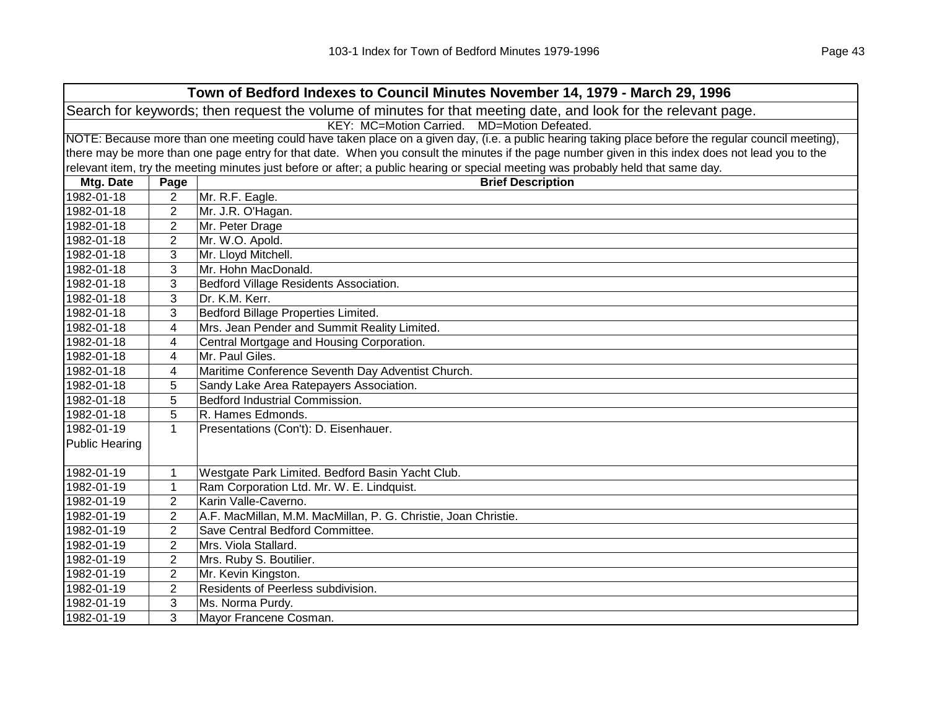|                                                                                                                | Town of Bedford Indexes to Council Minutes November 14, 1979 - March 29, 1996                                                                       |                                                                                                                                   |  |  |
|----------------------------------------------------------------------------------------------------------------|-----------------------------------------------------------------------------------------------------------------------------------------------------|-----------------------------------------------------------------------------------------------------------------------------------|--|--|
| Search for keywords; then request the volume of minutes for that meeting date, and look for the relevant page. |                                                                                                                                                     |                                                                                                                                   |  |  |
| KEY: MC=Motion Carried. MD=Motion Defeated.                                                                    |                                                                                                                                                     |                                                                                                                                   |  |  |
|                                                                                                                | NOTE: Because more than one meeting could have taken place on a given day, (i.e. a public hearing taking place before the regular council meeting), |                                                                                                                                   |  |  |
|                                                                                                                | there may be more than one page entry for that date. When you consult the minutes if the page number given in this index does not lead you to the   |                                                                                                                                   |  |  |
|                                                                                                                |                                                                                                                                                     | relevant item, try the meeting minutes just before or after; a public hearing or special meeting was probably held that same day. |  |  |
| Mtg. Date                                                                                                      | Page                                                                                                                                                | <b>Brief Description</b>                                                                                                          |  |  |
| 1982-01-18                                                                                                     | $\overline{c}$                                                                                                                                      | Mr. R.F. Eagle.                                                                                                                   |  |  |
| 1982-01-18                                                                                                     | $\overline{2}$                                                                                                                                      | Mr. J.R. O'Hagan.                                                                                                                 |  |  |
| 1982-01-18                                                                                                     | $\overline{c}$                                                                                                                                      | Mr. Peter Drage                                                                                                                   |  |  |
| 1982-01-18                                                                                                     | 2                                                                                                                                                   | Mr. W.O. Apold.                                                                                                                   |  |  |
| 1982-01-18                                                                                                     | 3                                                                                                                                                   | Mr. Lloyd Mitchell.                                                                                                               |  |  |
| 1982-01-18                                                                                                     | 3                                                                                                                                                   | Mr. Hohn MacDonald.                                                                                                               |  |  |
| 1982-01-18                                                                                                     | 3                                                                                                                                                   | Bedford Village Residents Association.                                                                                            |  |  |
| 1982-01-18                                                                                                     | 3                                                                                                                                                   | Dr. K.M. Kerr.                                                                                                                    |  |  |
| 1982-01-18                                                                                                     | 3                                                                                                                                                   | Bedford Billage Properties Limited.                                                                                               |  |  |
| 1982-01-18                                                                                                     | 4                                                                                                                                                   | Mrs. Jean Pender and Summit Reality Limited.                                                                                      |  |  |
| 1982-01-18                                                                                                     | 4                                                                                                                                                   | Central Mortgage and Housing Corporation.                                                                                         |  |  |
| 1982-01-18                                                                                                     | 4                                                                                                                                                   | Mr. Paul Giles.                                                                                                                   |  |  |
| 1982-01-18                                                                                                     | 4                                                                                                                                                   | Maritime Conference Seventh Day Adventist Church.                                                                                 |  |  |
| 1982-01-18                                                                                                     | 5                                                                                                                                                   | Sandy Lake Area Ratepayers Association.                                                                                           |  |  |
| 1982-01-18                                                                                                     | 5                                                                                                                                                   | Bedford Industrial Commission.                                                                                                    |  |  |
| 1982-01-18                                                                                                     | 5                                                                                                                                                   | R. Hames Edmonds.                                                                                                                 |  |  |
| 1982-01-19                                                                                                     | $\mathbf{1}$                                                                                                                                        | Presentations (Con't): D. Eisenhauer.                                                                                             |  |  |
| Public Hearing                                                                                                 |                                                                                                                                                     |                                                                                                                                   |  |  |
|                                                                                                                |                                                                                                                                                     |                                                                                                                                   |  |  |
| 1982-01-19                                                                                                     | 1                                                                                                                                                   | Westgate Park Limited. Bedford Basin Yacht Club.                                                                                  |  |  |
| 1982-01-19                                                                                                     | 1                                                                                                                                                   | Ram Corporation Ltd. Mr. W. E. Lindquist.                                                                                         |  |  |
| 1982-01-19                                                                                                     | $\overline{2}$                                                                                                                                      | Karin Valle-Caverno.                                                                                                              |  |  |
| 1982-01-19                                                                                                     | $\overline{2}$                                                                                                                                      | A.F. MacMillan, M.M. MacMillan, P. G. Christie, Joan Christie.                                                                    |  |  |
| 1982-01-19                                                                                                     | $\overline{2}$                                                                                                                                      | Save Central Bedford Committee.                                                                                                   |  |  |
| 1982-01-19                                                                                                     | $\overline{2}$                                                                                                                                      | Mrs. Viola Stallard.                                                                                                              |  |  |
| 1982-01-19                                                                                                     | $\overline{2}$                                                                                                                                      | Mrs. Ruby S. Boutilier.                                                                                                           |  |  |
| 1982-01-19                                                                                                     | $\sqrt{2}$                                                                                                                                          | Mr. Kevin Kingston.                                                                                                               |  |  |
| 1982-01-19                                                                                                     | $\mathbf{2}$                                                                                                                                        | Residents of Peerless subdivision.                                                                                                |  |  |
| 1982-01-19                                                                                                     | 3                                                                                                                                                   | Ms. Norma Purdy.                                                                                                                  |  |  |
| 1982-01-19                                                                                                     | 3                                                                                                                                                   | Mayor Francene Cosman.                                                                                                            |  |  |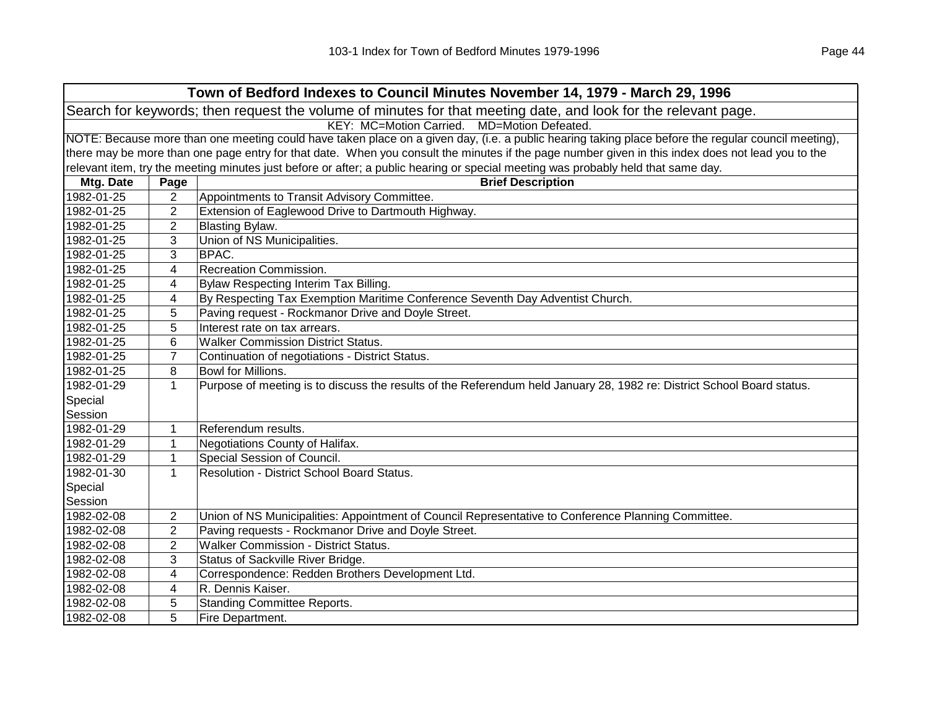| Town of Bedford Indexes to Council Minutes November 14, 1979 - March 29, 1996                                  |                                                                                                                                                     |                                                                                                                                   |  |
|----------------------------------------------------------------------------------------------------------------|-----------------------------------------------------------------------------------------------------------------------------------------------------|-----------------------------------------------------------------------------------------------------------------------------------|--|
| Search for keywords; then request the volume of minutes for that meeting date, and look for the relevant page. |                                                                                                                                                     |                                                                                                                                   |  |
| KEY: MC=Motion Carried. MD=Motion Defeated.                                                                    |                                                                                                                                                     |                                                                                                                                   |  |
|                                                                                                                | NOTE: Because more than one meeting could have taken place on a given day, (i.e. a public hearing taking place before the regular council meeting), |                                                                                                                                   |  |
|                                                                                                                | there may be more than one page entry for that date. When you consult the minutes if the page number given in this index does not lead you to the   |                                                                                                                                   |  |
|                                                                                                                |                                                                                                                                                     | relevant item, try the meeting minutes just before or after; a public hearing or special meeting was probably held that same day. |  |
| Mtg. Date                                                                                                      | Page                                                                                                                                                | <b>Brief Description</b>                                                                                                          |  |
| 1982-01-25                                                                                                     | $\overline{2}$                                                                                                                                      | Appointments to Transit Advisory Committee.                                                                                       |  |
| 1982-01-25                                                                                                     | 2                                                                                                                                                   | Extension of Eaglewood Drive to Dartmouth Highway.                                                                                |  |
| 1982-01-25                                                                                                     | $\overline{2}$                                                                                                                                      | <b>Blasting Bylaw.</b>                                                                                                            |  |
| 1982-01-25                                                                                                     | 3                                                                                                                                                   | Union of NS Municipalities.                                                                                                       |  |
| 1982-01-25                                                                                                     | 3                                                                                                                                                   | <b>BPAC.</b>                                                                                                                      |  |
| 1982-01-25                                                                                                     | 4                                                                                                                                                   | <b>Recreation Commission.</b>                                                                                                     |  |
| 1982-01-25                                                                                                     | 4                                                                                                                                                   | Bylaw Respecting Interim Tax Billing.                                                                                             |  |
| 1982-01-25                                                                                                     | 4                                                                                                                                                   | By Respecting Tax Exemption Maritime Conference Seventh Day Adventist Church.                                                     |  |
| 1982-01-25                                                                                                     | 5                                                                                                                                                   | Paving request - Rockmanor Drive and Doyle Street.                                                                                |  |
| 1982-01-25                                                                                                     | 5                                                                                                                                                   | Interest rate on tax arrears.                                                                                                     |  |
| 1982-01-25                                                                                                     | 6                                                                                                                                                   | <b>Walker Commission District Status.</b>                                                                                         |  |
| 1982-01-25                                                                                                     | $\overline{7}$                                                                                                                                      | Continuation of negotiations - District Status.                                                                                   |  |
| 1982-01-25                                                                                                     | 8                                                                                                                                                   | Bowl for Millions.                                                                                                                |  |
| 1982-01-29                                                                                                     | 1                                                                                                                                                   | Purpose of meeting is to discuss the results of the Referendum held January 28, 1982 re: District School Board status.            |  |
| Special                                                                                                        |                                                                                                                                                     |                                                                                                                                   |  |
| Session                                                                                                        |                                                                                                                                                     |                                                                                                                                   |  |
| 1982-01-29                                                                                                     | 1                                                                                                                                                   | Referendum results.                                                                                                               |  |
| 1982-01-29                                                                                                     | $\mathbf{1}$                                                                                                                                        | Negotiations County of Halifax.                                                                                                   |  |
| 1982-01-29                                                                                                     | 1                                                                                                                                                   | Special Session of Council.                                                                                                       |  |
| 1982-01-30                                                                                                     | $\mathbf{1}$                                                                                                                                        | Resolution - District School Board Status.                                                                                        |  |
| Special                                                                                                        |                                                                                                                                                     |                                                                                                                                   |  |
| Session                                                                                                        |                                                                                                                                                     |                                                                                                                                   |  |
| 1982-02-08                                                                                                     | $\overline{2}$                                                                                                                                      | Union of NS Municipalities: Appointment of Council Representative to Conference Planning Committee.                               |  |
| 1982-02-08                                                                                                     | $\overline{2}$                                                                                                                                      | Paving requests - Rockmanor Drive and Doyle Street.                                                                               |  |
| 1982-02-08                                                                                                     | $\overline{2}$                                                                                                                                      | <b>Walker Commission - District Status.</b>                                                                                       |  |
| 1982-02-08                                                                                                     | 3                                                                                                                                                   | Status of Sackville River Bridge.                                                                                                 |  |
| 1982-02-08                                                                                                     | 4                                                                                                                                                   | Correspondence: Redden Brothers Development Ltd.                                                                                  |  |
| 1982-02-08                                                                                                     | 4                                                                                                                                                   | R. Dennis Kaiser.                                                                                                                 |  |
| 1982-02-08                                                                                                     | 5                                                                                                                                                   | <b>Standing Committee Reports.</b>                                                                                                |  |
| 1982-02-08                                                                                                     | 5                                                                                                                                                   | Fire Department.                                                                                                                  |  |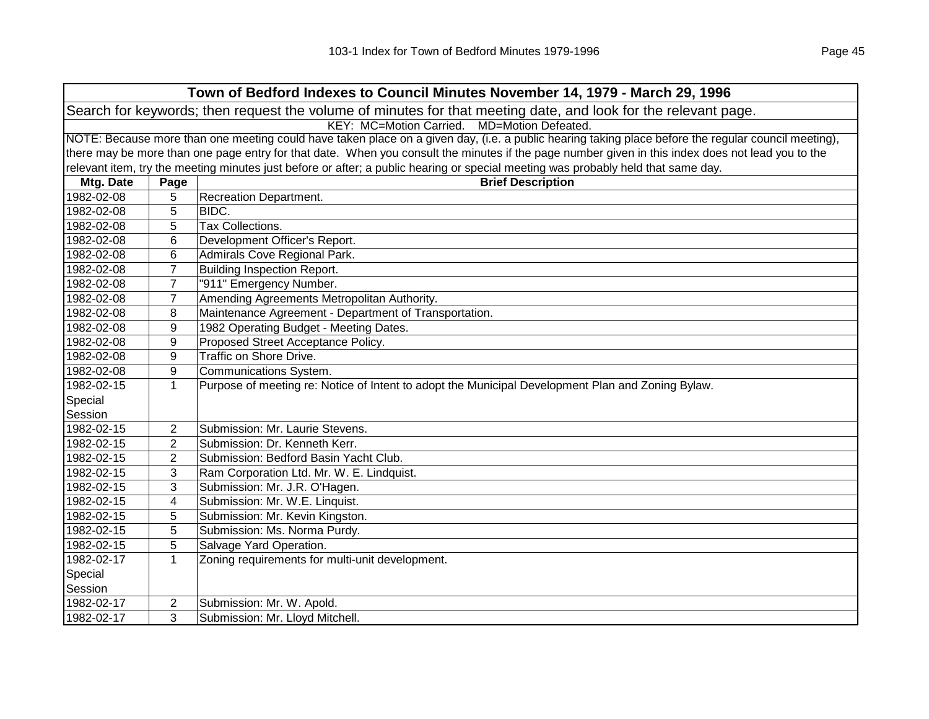| Town of Bedford Indexes to Council Minutes November 14, 1979 - March 29, 1996                                  |                                                                                                                                                     |                                                                                                                                                   |  |
|----------------------------------------------------------------------------------------------------------------|-----------------------------------------------------------------------------------------------------------------------------------------------------|---------------------------------------------------------------------------------------------------------------------------------------------------|--|
| Search for keywords; then request the volume of minutes for that meeting date, and look for the relevant page. |                                                                                                                                                     |                                                                                                                                                   |  |
| KEY: MC=Motion Carried. MD=Motion Defeated.                                                                    |                                                                                                                                                     |                                                                                                                                                   |  |
|                                                                                                                | NOTE: Because more than one meeting could have taken place on a given day, (i.e. a public hearing taking place before the regular council meeting), |                                                                                                                                                   |  |
|                                                                                                                |                                                                                                                                                     | there may be more than one page entry for that date. When you consult the minutes if the page number given in this index does not lead you to the |  |
|                                                                                                                |                                                                                                                                                     | relevant item, try the meeting minutes just before or after; a public hearing or special meeting was probably held that same day.                 |  |
| Mtg. Date                                                                                                      | Page                                                                                                                                                | <b>Brief Description</b>                                                                                                                          |  |
| 1982-02-08                                                                                                     | 5                                                                                                                                                   | <b>Recreation Department.</b>                                                                                                                     |  |
| 1982-02-08                                                                                                     | 5                                                                                                                                                   | BIDC.                                                                                                                                             |  |
| 1982-02-08                                                                                                     | 5                                                                                                                                                   | <b>Tax Collections.</b>                                                                                                                           |  |
| 1982-02-08                                                                                                     | 6                                                                                                                                                   | Development Officer's Report.                                                                                                                     |  |
| 1982-02-08                                                                                                     | 6                                                                                                                                                   | Admirals Cove Regional Park.                                                                                                                      |  |
| 1982-02-08                                                                                                     | $\overline{7}$                                                                                                                                      | <b>Building Inspection Report.</b>                                                                                                                |  |
| 1982-02-08                                                                                                     | 7                                                                                                                                                   | "911" Emergency Number.                                                                                                                           |  |
| 1982-02-08                                                                                                     | 7                                                                                                                                                   | Amending Agreements Metropolitan Authority.                                                                                                       |  |
| 1982-02-08                                                                                                     | 8                                                                                                                                                   | Maintenance Agreement - Department of Transportation.                                                                                             |  |
| 1982-02-08                                                                                                     | 9                                                                                                                                                   | 1982 Operating Budget - Meeting Dates.                                                                                                            |  |
| 1982-02-08                                                                                                     | 9                                                                                                                                                   | Proposed Street Acceptance Policy.                                                                                                                |  |
| 1982-02-08                                                                                                     | 9                                                                                                                                                   | Traffic on Shore Drive.                                                                                                                           |  |
| 1982-02-08                                                                                                     | 9                                                                                                                                                   | Communications System.                                                                                                                            |  |
| 1982-02-15                                                                                                     | $\mathbf{1}$                                                                                                                                        | Purpose of meeting re: Notice of Intent to adopt the Municipal Development Plan and Zoning Bylaw.                                                 |  |
| Special                                                                                                        |                                                                                                                                                     |                                                                                                                                                   |  |
| Session                                                                                                        |                                                                                                                                                     |                                                                                                                                                   |  |
| 1982-02-15                                                                                                     | 2                                                                                                                                                   | Submission: Mr. Laurie Stevens.                                                                                                                   |  |
| 1982-02-15                                                                                                     | $\overline{2}$                                                                                                                                      | Submission: Dr. Kenneth Kerr.                                                                                                                     |  |
| 1982-02-15                                                                                                     | $\overline{2}$                                                                                                                                      | Submission: Bedford Basin Yacht Club.                                                                                                             |  |
| 1982-02-15                                                                                                     | 3                                                                                                                                                   | Ram Corporation Ltd. Mr. W. E. Lindquist.                                                                                                         |  |
| 1982-02-15                                                                                                     | 3                                                                                                                                                   | Submission: Mr. J.R. O'Hagen.                                                                                                                     |  |
| 1982-02-15                                                                                                     | 4                                                                                                                                                   | Submission: Mr. W.E. Linquist.                                                                                                                    |  |
| 1982-02-15                                                                                                     | 5                                                                                                                                                   | Submission: Mr. Kevin Kingston.                                                                                                                   |  |
| 1982-02-15                                                                                                     | 5                                                                                                                                                   | Submission: Ms. Norma Purdy.                                                                                                                      |  |
| 1982-02-15                                                                                                     | 5                                                                                                                                                   | Salvage Yard Operation.                                                                                                                           |  |
| 1982-02-17                                                                                                     | $\mathbf{1}$                                                                                                                                        | Zoning requirements for multi-unit development.                                                                                                   |  |
| Special                                                                                                        |                                                                                                                                                     |                                                                                                                                                   |  |
| Session                                                                                                        |                                                                                                                                                     |                                                                                                                                                   |  |
| 1982-02-17                                                                                                     | 2                                                                                                                                                   | Submission: Mr. W. Apold.                                                                                                                         |  |
| 1982-02-17                                                                                                     | 3                                                                                                                                                   | Submission: Mr. Lloyd Mitchell.                                                                                                                   |  |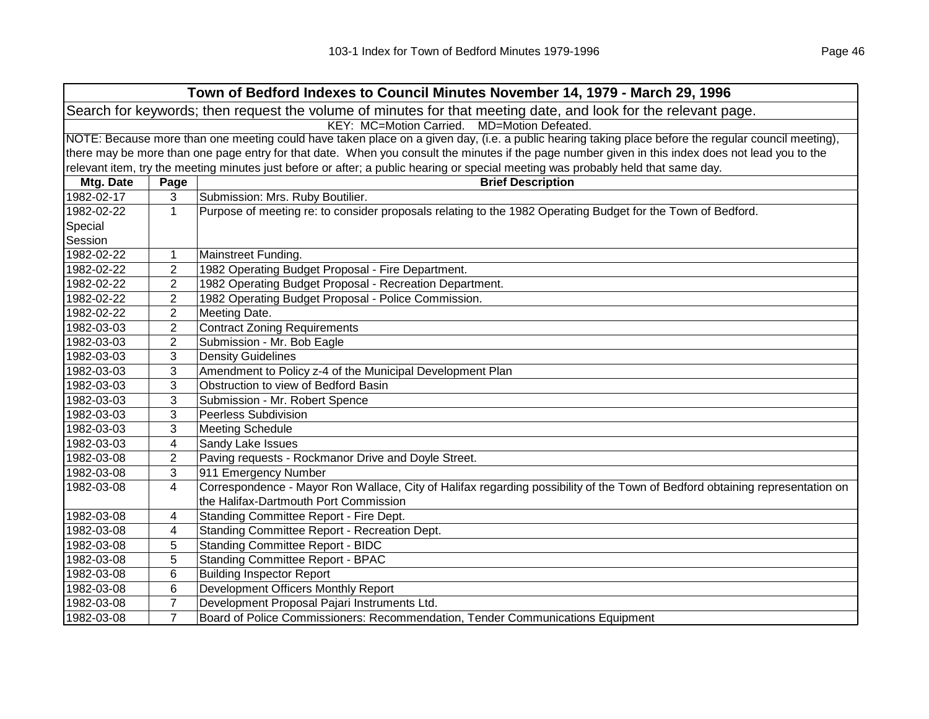| Town of Bedford Indexes to Council Minutes November 14, 1979 - March 29, 1996                                                                       |                                                                                                                                                   |                                                                                                                                   |  |
|-----------------------------------------------------------------------------------------------------------------------------------------------------|---------------------------------------------------------------------------------------------------------------------------------------------------|-----------------------------------------------------------------------------------------------------------------------------------|--|
| Search for keywords; then request the volume of minutes for that meeting date, and look for the relevant page.                                      |                                                                                                                                                   |                                                                                                                                   |  |
| KEY: MC=Motion Carried. MD=Motion Defeated.                                                                                                         |                                                                                                                                                   |                                                                                                                                   |  |
| NOTE: Because more than one meeting could have taken place on a given day, (i.e. a public hearing taking place before the regular council meeting), |                                                                                                                                                   |                                                                                                                                   |  |
|                                                                                                                                                     | there may be more than one page entry for that date. When you consult the minutes if the page number given in this index does not lead you to the |                                                                                                                                   |  |
|                                                                                                                                                     |                                                                                                                                                   | relevant item, try the meeting minutes just before or after; a public hearing or special meeting was probably held that same day. |  |
| Mtg. Date                                                                                                                                           | Page                                                                                                                                              | <b>Brief Description</b>                                                                                                          |  |
| 1982-02-17                                                                                                                                          | 3                                                                                                                                                 | Submission: Mrs. Ruby Boutilier.                                                                                                  |  |
| 1982-02-22                                                                                                                                          | $\mathbf 1$                                                                                                                                       | Purpose of meeting re: to consider proposals relating to the 1982 Operating Budget for the Town of Bedford.                       |  |
| Special                                                                                                                                             |                                                                                                                                                   |                                                                                                                                   |  |
| Session                                                                                                                                             |                                                                                                                                                   |                                                                                                                                   |  |
| 1982-02-22                                                                                                                                          | 1                                                                                                                                                 | Mainstreet Funding.                                                                                                               |  |
| 1982-02-22                                                                                                                                          | $\overline{2}$                                                                                                                                    | 1982 Operating Budget Proposal - Fire Department.                                                                                 |  |
| 1982-02-22                                                                                                                                          | $\overline{c}$                                                                                                                                    | 1982 Operating Budget Proposal - Recreation Department.                                                                           |  |
| 1982-02-22                                                                                                                                          | $\overline{2}$                                                                                                                                    | 1982 Operating Budget Proposal - Police Commission.                                                                               |  |
| 1982-02-22                                                                                                                                          | 2                                                                                                                                                 | Meeting Date.                                                                                                                     |  |
| 1982-03-03                                                                                                                                          | 2                                                                                                                                                 | <b>Contract Zoning Requirements</b>                                                                                               |  |
| 1982-03-03                                                                                                                                          | 2                                                                                                                                                 | Submission - Mr. Bob Eagle                                                                                                        |  |
| 1982-03-03                                                                                                                                          | 3                                                                                                                                                 | <b>Density Guidelines</b>                                                                                                         |  |
| 1982-03-03                                                                                                                                          | 3                                                                                                                                                 | Amendment to Policy z-4 of the Municipal Development Plan                                                                         |  |
| 1982-03-03                                                                                                                                          | 3                                                                                                                                                 | Obstruction to view of Bedford Basin                                                                                              |  |
| 1982-03-03                                                                                                                                          | 3                                                                                                                                                 | Submission - Mr. Robert Spence                                                                                                    |  |
| 1982-03-03                                                                                                                                          | 3                                                                                                                                                 | Peerless Subdivision                                                                                                              |  |
| 1982-03-03                                                                                                                                          | 3                                                                                                                                                 | <b>Meeting Schedule</b>                                                                                                           |  |
| 1982-03-03                                                                                                                                          | 4                                                                                                                                                 | Sandy Lake Issues                                                                                                                 |  |
| 1982-03-08                                                                                                                                          | 2                                                                                                                                                 | Paving requests - Rockmanor Drive and Doyle Street.                                                                               |  |
| 1982-03-08                                                                                                                                          | 3                                                                                                                                                 | 911 Emergency Number                                                                                                              |  |
| 1982-03-08                                                                                                                                          | 4                                                                                                                                                 | Correspondence - Mayor Ron Wallace, City of Halifax regarding possibility of the Town of Bedford obtaining representation on      |  |
|                                                                                                                                                     |                                                                                                                                                   | the Halifax-Dartmouth Port Commission                                                                                             |  |
| 1982-03-08                                                                                                                                          | 4                                                                                                                                                 | Standing Committee Report - Fire Dept.                                                                                            |  |
| 1982-03-08                                                                                                                                          | 4                                                                                                                                                 | Standing Committee Report - Recreation Dept.                                                                                      |  |
| 1982-03-08                                                                                                                                          | 5                                                                                                                                                 | <b>Standing Committee Report - BIDC</b>                                                                                           |  |
| 1982-03-08                                                                                                                                          | 5                                                                                                                                                 | <b>Standing Committee Report - BPAC</b>                                                                                           |  |
| 1982-03-08                                                                                                                                          | 6                                                                                                                                                 | <b>Building Inspector Report</b>                                                                                                  |  |
| 1982-03-08                                                                                                                                          | $\,6$                                                                                                                                             | Development Officers Monthly Report                                                                                               |  |
| 1982-03-08                                                                                                                                          | $\overline{7}$                                                                                                                                    | Development Proposal Pajari Instruments Ltd.                                                                                      |  |
| 1982-03-08                                                                                                                                          | $\overline{7}$                                                                                                                                    | Board of Police Commissioners: Recommendation, Tender Communications Equipment                                                    |  |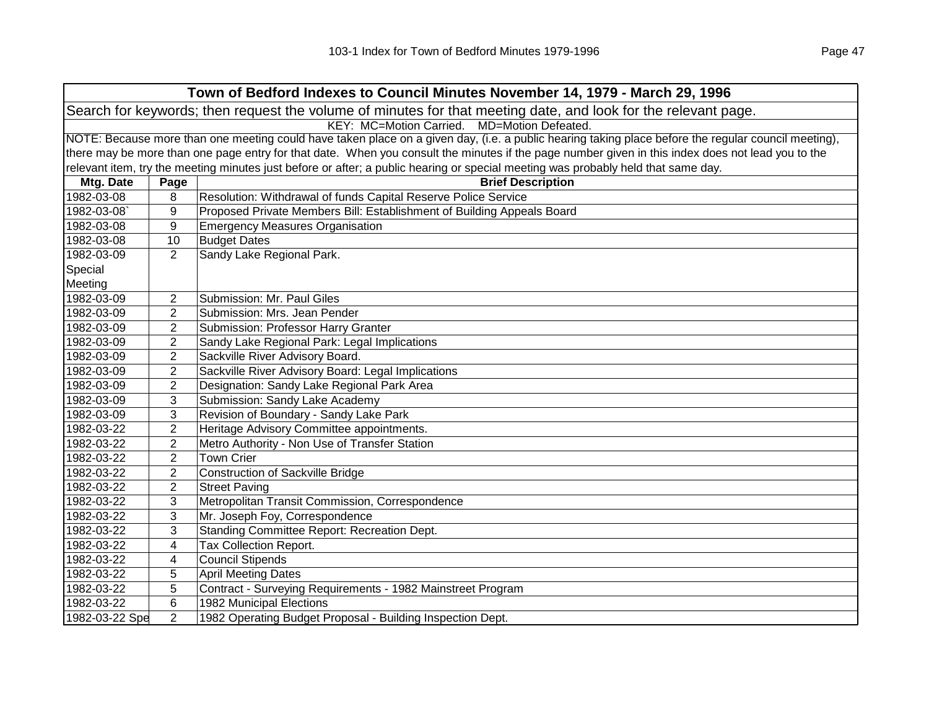|                                                                                                                                                     | Town of Bedford Indexes to Council Minutes November 14, 1979 - March 29, 1996                                                                     |                                                                                                                                   |  |  |
|-----------------------------------------------------------------------------------------------------------------------------------------------------|---------------------------------------------------------------------------------------------------------------------------------------------------|-----------------------------------------------------------------------------------------------------------------------------------|--|--|
| Search for keywords; then request the volume of minutes for that meeting date, and look for the relevant page.                                      |                                                                                                                                                   |                                                                                                                                   |  |  |
| KEY: MC=Motion Carried. MD=Motion Defeated.                                                                                                         |                                                                                                                                                   |                                                                                                                                   |  |  |
| NOTE: Because more than one meeting could have taken place on a given day, (i.e. a public hearing taking place before the regular council meeting), |                                                                                                                                                   |                                                                                                                                   |  |  |
|                                                                                                                                                     | there may be more than one page entry for that date. When you consult the minutes if the page number given in this index does not lead you to the |                                                                                                                                   |  |  |
|                                                                                                                                                     |                                                                                                                                                   | relevant item, try the meeting minutes just before or after; a public hearing or special meeting was probably held that same day. |  |  |
| Mtg. Date                                                                                                                                           | Page                                                                                                                                              | <b>Brief Description</b>                                                                                                          |  |  |
| 1982-03-08                                                                                                                                          | 8                                                                                                                                                 | Resolution: Withdrawal of funds Capital Reserve Police Service                                                                    |  |  |
| 1982-03-08                                                                                                                                          | 9                                                                                                                                                 | Proposed Private Members Bill: Establishment of Building Appeals Board                                                            |  |  |
| 1982-03-08                                                                                                                                          | 9                                                                                                                                                 | <b>Emergency Measures Organisation</b>                                                                                            |  |  |
| 1982-03-08                                                                                                                                          | 10                                                                                                                                                | <b>Budget Dates</b>                                                                                                               |  |  |
| 1982-03-09                                                                                                                                          | $\overline{2}$                                                                                                                                    | Sandy Lake Regional Park.                                                                                                         |  |  |
| Special                                                                                                                                             |                                                                                                                                                   |                                                                                                                                   |  |  |
| Meeting                                                                                                                                             |                                                                                                                                                   |                                                                                                                                   |  |  |
| 1982-03-09                                                                                                                                          | 2                                                                                                                                                 | Submission: Mr. Paul Giles                                                                                                        |  |  |
| 1982-03-09                                                                                                                                          | 2                                                                                                                                                 | Submission: Mrs. Jean Pender                                                                                                      |  |  |
| 1982-03-09                                                                                                                                          | $\overline{2}$                                                                                                                                    | Submission: Professor Harry Granter                                                                                               |  |  |
| 1982-03-09                                                                                                                                          | $\overline{2}$                                                                                                                                    | Sandy Lake Regional Park: Legal Implications                                                                                      |  |  |
| 1982-03-09                                                                                                                                          | 2                                                                                                                                                 | Sackville River Advisory Board.                                                                                                   |  |  |
| 1982-03-09                                                                                                                                          | 2                                                                                                                                                 | Sackville River Advisory Board: Legal Implications                                                                                |  |  |
| 1982-03-09                                                                                                                                          | $\overline{2}$                                                                                                                                    | Designation: Sandy Lake Regional Park Area                                                                                        |  |  |
| 1982-03-09                                                                                                                                          | 3                                                                                                                                                 | Submission: Sandy Lake Academy                                                                                                    |  |  |
| 1982-03-09                                                                                                                                          | 3                                                                                                                                                 | Revision of Boundary - Sandy Lake Park                                                                                            |  |  |
| 1982-03-22                                                                                                                                          | $\overline{2}$                                                                                                                                    | Heritage Advisory Committee appointments.                                                                                         |  |  |
| 1982-03-22                                                                                                                                          | $\overline{2}$                                                                                                                                    | Metro Authority - Non Use of Transfer Station                                                                                     |  |  |
| 1982-03-22                                                                                                                                          | $\overline{2}$                                                                                                                                    | <b>Town Crier</b>                                                                                                                 |  |  |
| 1982-03-22                                                                                                                                          | $\overline{c}$                                                                                                                                    | <b>Construction of Sackville Bridge</b>                                                                                           |  |  |
| 1982-03-22                                                                                                                                          | $\overline{2}$                                                                                                                                    | <b>Street Paving</b>                                                                                                              |  |  |
| 1982-03-22                                                                                                                                          | 3                                                                                                                                                 | Metropolitan Transit Commission, Correspondence                                                                                   |  |  |
| 1982-03-22                                                                                                                                          | 3                                                                                                                                                 | Mr. Joseph Foy, Correspondence                                                                                                    |  |  |
| 1982-03-22                                                                                                                                          | 3                                                                                                                                                 | Standing Committee Report: Recreation Dept.                                                                                       |  |  |
| 1982-03-22                                                                                                                                          | 4                                                                                                                                                 | Tax Collection Report.                                                                                                            |  |  |
| 1982-03-22                                                                                                                                          | 4                                                                                                                                                 | <b>Council Stipends</b>                                                                                                           |  |  |
| 1982-03-22                                                                                                                                          | 5                                                                                                                                                 | <b>April Meeting Dates</b>                                                                                                        |  |  |
| 1982-03-22                                                                                                                                          | 5                                                                                                                                                 | Contract - Surveying Requirements - 1982 Mainstreet Program                                                                       |  |  |
| 1982-03-22                                                                                                                                          | $\,6$                                                                                                                                             | 1982 Municipal Elections                                                                                                          |  |  |
| 1982-03-22 Spe                                                                                                                                      | $\overline{2}$                                                                                                                                    | 1982 Operating Budget Proposal - Building Inspection Dept.                                                                        |  |  |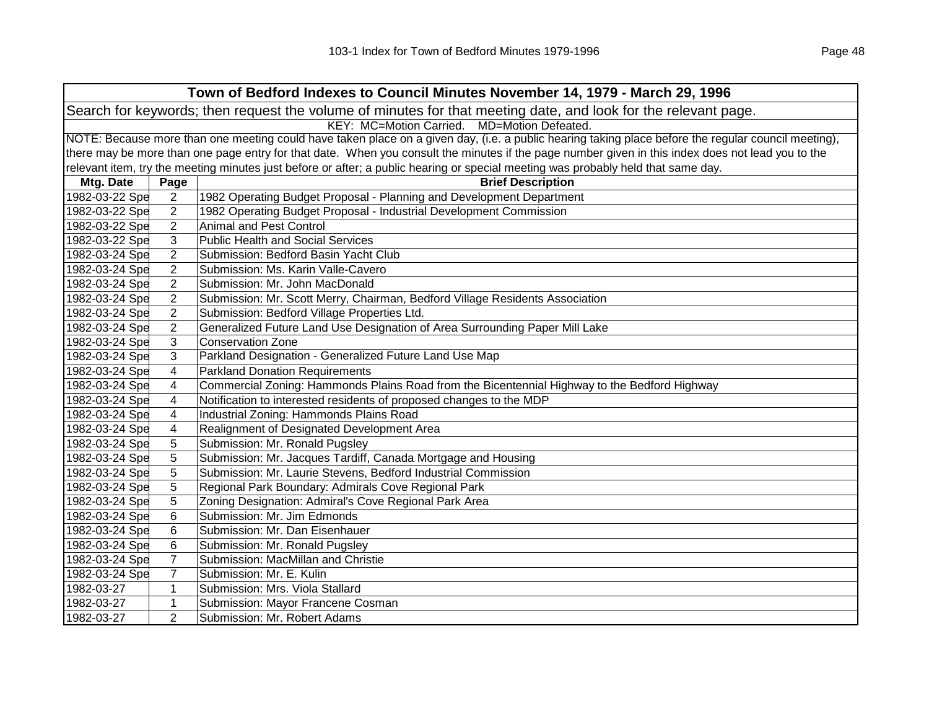| Town of Bedford Indexes to Council Minutes November 14, 1979 - March 29, 1996 |                                                                                                                                                     |                                                                                                                                                   |  |  |
|-------------------------------------------------------------------------------|-----------------------------------------------------------------------------------------------------------------------------------------------------|---------------------------------------------------------------------------------------------------------------------------------------------------|--|--|
|                                                                               | Search for keywords; then request the volume of minutes for that meeting date, and look for the relevant page.                                      |                                                                                                                                                   |  |  |
|                                                                               | KEY: MC=Motion Carried. MD=Motion Defeated.                                                                                                         |                                                                                                                                                   |  |  |
|                                                                               | NOTE: Because more than one meeting could have taken place on a given day, (i.e. a public hearing taking place before the regular council meeting), |                                                                                                                                                   |  |  |
|                                                                               |                                                                                                                                                     | there may be more than one page entry for that date. When you consult the minutes if the page number given in this index does not lead you to the |  |  |
|                                                                               |                                                                                                                                                     | relevant item, try the meeting minutes just before or after; a public hearing or special meeting was probably held that same day.                 |  |  |
| Mtg. Date                                                                     | Page                                                                                                                                                | <b>Brief Description</b>                                                                                                                          |  |  |
| 1982-03-22 Spe                                                                | $\overline{2}$                                                                                                                                      | 1982 Operating Budget Proposal - Planning and Development Department                                                                              |  |  |
| 1982-03-22 Spe                                                                | $\overline{2}$                                                                                                                                      | 1982 Operating Budget Proposal - Industrial Development Commission                                                                                |  |  |
| 1982-03-22 Spe                                                                | $\overline{2}$                                                                                                                                      | <b>Animal and Pest Control</b>                                                                                                                    |  |  |
| 1982-03-22 Spe                                                                | 3                                                                                                                                                   | <b>Public Health and Social Services</b>                                                                                                          |  |  |
| 1982-03-24 Spe                                                                | $\overline{2}$                                                                                                                                      | Submission: Bedford Basin Yacht Club                                                                                                              |  |  |
| 1982-03-24 Spe                                                                | $\overline{2}$                                                                                                                                      | Submission: Ms. Karin Valle-Cavero                                                                                                                |  |  |
| 1982-03-24 Spe                                                                | $\overline{2}$                                                                                                                                      | Submission: Mr. John MacDonald                                                                                                                    |  |  |
| 1982-03-24 Spe                                                                | $\overline{2}$                                                                                                                                      | Submission: Mr. Scott Merry, Chairman, Bedford Village Residents Association                                                                      |  |  |
| 1982-03-24 Spe                                                                | $\overline{2}$                                                                                                                                      | Submission: Bedford Village Properties Ltd.                                                                                                       |  |  |
| 1982-03-24 Spe                                                                | $\overline{2}$                                                                                                                                      | Generalized Future Land Use Designation of Area Surrounding Paper Mill Lake                                                                       |  |  |
| 1982-03-24 Spe                                                                | 3                                                                                                                                                   | <b>Conservation Zone</b>                                                                                                                          |  |  |
| 1982-03-24 Spe                                                                | 3                                                                                                                                                   | Parkland Designation - Generalized Future Land Use Map                                                                                            |  |  |
| 1982-03-24 Spe                                                                | 4                                                                                                                                                   | <b>Parkland Donation Requirements</b>                                                                                                             |  |  |
| 1982-03-24 Spe                                                                | 4                                                                                                                                                   | Commercial Zoning: Hammonds Plains Road from the Bicentennial Highway to the Bedford Highway                                                      |  |  |
| 1982-03-24 Spe                                                                | 4                                                                                                                                                   | Notification to interested residents of proposed changes to the MDP                                                                               |  |  |
| 1982-03-24 Spe                                                                | $\overline{\mathbf{4}}$                                                                                                                             | Industrial Zoning: Hammonds Plains Road                                                                                                           |  |  |
| 1982-03-24 Spe                                                                | 4                                                                                                                                                   | Realignment of Designated Development Area                                                                                                        |  |  |
| 1982-03-24 Spe                                                                | 5                                                                                                                                                   | Submission: Mr. Ronald Pugsley                                                                                                                    |  |  |
| 1982-03-24 Spe                                                                | 5                                                                                                                                                   | Submission: Mr. Jacques Tardiff, Canada Mortgage and Housing                                                                                      |  |  |
| 1982-03-24 Spe                                                                | 5                                                                                                                                                   | Submission: Mr. Laurie Stevens, Bedford Industrial Commission                                                                                     |  |  |
| 1982-03-24 Spe                                                                | 5                                                                                                                                                   | Regional Park Boundary: Admirals Cove Regional Park                                                                                               |  |  |
| 1982-03-24 Spe                                                                | 5                                                                                                                                                   | Zoning Designation: Admiral's Cove Regional Park Area                                                                                             |  |  |
| 1982-03-24 Spe                                                                | 6                                                                                                                                                   | Submission: Mr. Jim Edmonds                                                                                                                       |  |  |
| 1982-03-24 Spe                                                                | 6                                                                                                                                                   | Submission: Mr. Dan Eisenhauer                                                                                                                    |  |  |
| 1982-03-24 Spe                                                                | 6                                                                                                                                                   | Submission: Mr. Ronald Pugsley                                                                                                                    |  |  |
| 1982-03-24 Spe                                                                | $\overline{7}$                                                                                                                                      | Submission: MacMillan and Christie                                                                                                                |  |  |
| 1982-03-24 Spe                                                                | $\overline{7}$                                                                                                                                      | Submission: Mr. E. Kulin                                                                                                                          |  |  |
| 1982-03-27                                                                    | $\mathbf{1}$                                                                                                                                        | Submission: Mrs. Viola Stallard                                                                                                                   |  |  |
| 1982-03-27                                                                    | 1                                                                                                                                                   | Submission: Mayor Francene Cosman                                                                                                                 |  |  |
| 1982-03-27                                                                    | $\overline{2}$                                                                                                                                      | Submission: Mr. Robert Adams                                                                                                                      |  |  |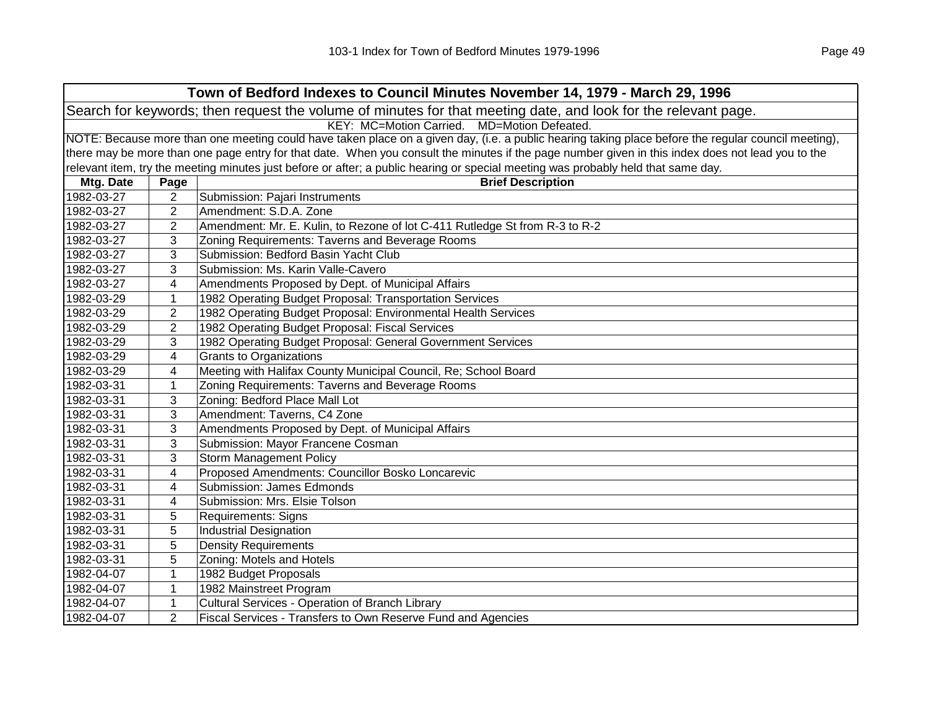|                                                                                                                |                                                                                                                                                     | Town of Bedford Indexes to Council Minutes November 14, 1979 - March 29, 1996                                                                     |  |  |  |
|----------------------------------------------------------------------------------------------------------------|-----------------------------------------------------------------------------------------------------------------------------------------------------|---------------------------------------------------------------------------------------------------------------------------------------------------|--|--|--|
| Search for keywords; then request the volume of minutes for that meeting date, and look for the relevant page. |                                                                                                                                                     |                                                                                                                                                   |  |  |  |
|                                                                                                                |                                                                                                                                                     | KEY: MC=Motion Carried.<br>MD=Motion Defeated.                                                                                                    |  |  |  |
|                                                                                                                | NOTE: Because more than one meeting could have taken place on a given day, (i.e. a public hearing taking place before the regular council meeting), |                                                                                                                                                   |  |  |  |
|                                                                                                                |                                                                                                                                                     | there may be more than one page entry for that date. When you consult the minutes if the page number given in this index does not lead you to the |  |  |  |
|                                                                                                                |                                                                                                                                                     | relevant item, try the meeting minutes just before or after; a public hearing or special meeting was probably held that same day.                 |  |  |  |
| Mtg. Date                                                                                                      | Page                                                                                                                                                | <b>Brief Description</b>                                                                                                                          |  |  |  |
| 1982-03-27                                                                                                     | $\overline{2}$                                                                                                                                      | Submission: Pajari Instruments                                                                                                                    |  |  |  |
| 1982-03-27                                                                                                     | $\overline{2}$                                                                                                                                      | Amendment: S.D.A. Zone                                                                                                                            |  |  |  |
| 1982-03-27                                                                                                     | $\overline{2}$                                                                                                                                      | Amendment: Mr. E. Kulin, to Rezone of lot C-411 Rutledge St from R-3 to R-2                                                                       |  |  |  |
| 1982-03-27                                                                                                     | 3                                                                                                                                                   | Zoning Requirements: Taverns and Beverage Rooms                                                                                                   |  |  |  |
| 1982-03-27                                                                                                     | 3                                                                                                                                                   | Submission: Bedford Basin Yacht Club                                                                                                              |  |  |  |
| 1982-03-27                                                                                                     | 3                                                                                                                                                   | Submission: Ms. Karin Valle-Cavero                                                                                                                |  |  |  |
| 1982-03-27                                                                                                     | $\overline{\mathcal{A}}$                                                                                                                            | Amendments Proposed by Dept. of Municipal Affairs                                                                                                 |  |  |  |
| 1982-03-29                                                                                                     | $\mathbf{1}$                                                                                                                                        | 1982 Operating Budget Proposal: Transportation Services                                                                                           |  |  |  |
| 1982-03-29                                                                                                     | $\overline{2}$                                                                                                                                      | 1982 Operating Budget Proposal: Environmental Health Services                                                                                     |  |  |  |
| 1982-03-29                                                                                                     | $\overline{2}$                                                                                                                                      | 1982 Operating Budget Proposal: Fiscal Services                                                                                                   |  |  |  |
| 1982-03-29                                                                                                     | 3                                                                                                                                                   | 1982 Operating Budget Proposal: General Government Services                                                                                       |  |  |  |
| 1982-03-29                                                                                                     | 4                                                                                                                                                   | Grants to Organizations                                                                                                                           |  |  |  |
| 1982-03-29                                                                                                     | 4                                                                                                                                                   | Meeting with Halifax County Municipal Council, Re; School Board                                                                                   |  |  |  |
| 1982-03-31                                                                                                     | $\mathbf{1}$                                                                                                                                        | Zoning Requirements: Taverns and Beverage Rooms                                                                                                   |  |  |  |
| 1982-03-31                                                                                                     | 3                                                                                                                                                   | Zoning: Bedford Place Mall Lot                                                                                                                    |  |  |  |
| 1982-03-31                                                                                                     | 3                                                                                                                                                   | Amendment: Taverns, C4 Zone                                                                                                                       |  |  |  |
| 1982-03-31                                                                                                     | 3                                                                                                                                                   | Amendments Proposed by Dept. of Municipal Affairs                                                                                                 |  |  |  |
| 1982-03-31                                                                                                     | 3                                                                                                                                                   | Submission: Mayor Francene Cosman                                                                                                                 |  |  |  |
| 1982-03-31                                                                                                     | 3                                                                                                                                                   | Storm Management Policy                                                                                                                           |  |  |  |
| 1982-03-31                                                                                                     | 4                                                                                                                                                   | Proposed Amendments: Councillor Bosko Loncarevic                                                                                                  |  |  |  |
| 1982-03-31                                                                                                     | 4                                                                                                                                                   | Submission: James Edmonds                                                                                                                         |  |  |  |
| 1982-03-31                                                                                                     | 4                                                                                                                                                   | Submission: Mrs. Elsie Tolson                                                                                                                     |  |  |  |
| 1982-03-31                                                                                                     | 5                                                                                                                                                   | <b>Requirements: Signs</b>                                                                                                                        |  |  |  |
| 1982-03-31                                                                                                     | 5                                                                                                                                                   | <b>Industrial Designation</b>                                                                                                                     |  |  |  |
| 1982-03-31                                                                                                     | 5                                                                                                                                                   | <b>Density Requirements</b>                                                                                                                       |  |  |  |
| 1982-03-31                                                                                                     | 5                                                                                                                                                   | Zoning: Motels and Hotels                                                                                                                         |  |  |  |
| 1982-04-07                                                                                                     | $\mathbf{1}$                                                                                                                                        | 1982 Budget Proposals                                                                                                                             |  |  |  |
| 1982-04-07                                                                                                     | $\mathbf 1$                                                                                                                                         | 1982 Mainstreet Program                                                                                                                           |  |  |  |
| 1982-04-07                                                                                                     | $\mathbf 1$                                                                                                                                         | Cultural Services - Operation of Branch Library                                                                                                   |  |  |  |
| 1982-04-07                                                                                                     | $\overline{2}$                                                                                                                                      | Fiscal Services - Transfers to Own Reserve Fund and Agencies                                                                                      |  |  |  |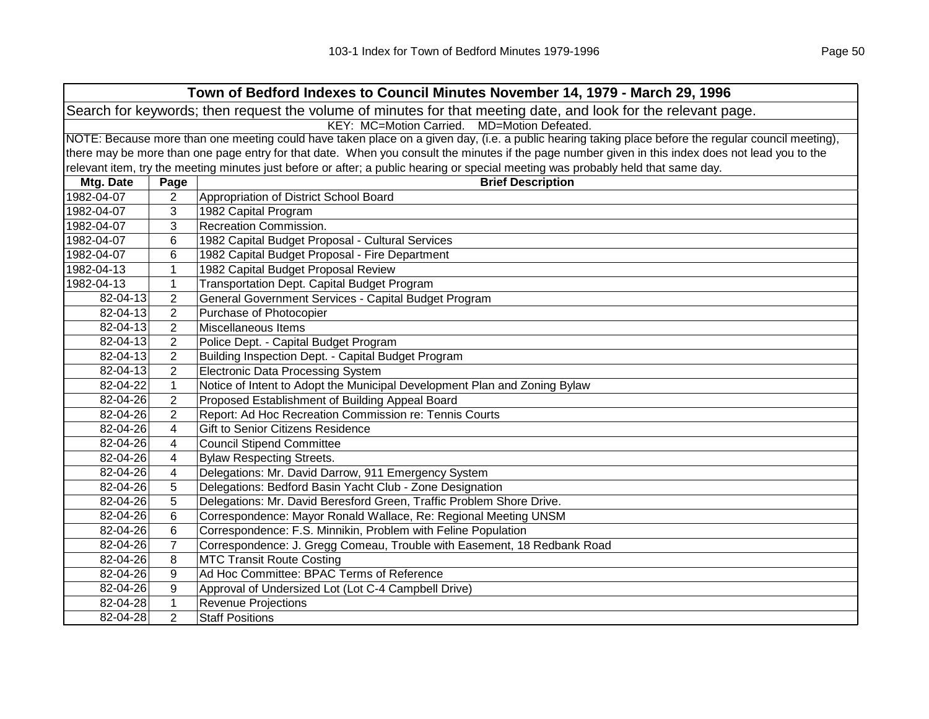|            | Town of Bedford Indexes to Council Minutes November 14, 1979 - March 29, 1996                                                                       |                                                                                                                                                   |  |  |  |
|------------|-----------------------------------------------------------------------------------------------------------------------------------------------------|---------------------------------------------------------------------------------------------------------------------------------------------------|--|--|--|
|            | Search for keywords; then request the volume of minutes for that meeting date, and look for the relevant page.                                      |                                                                                                                                                   |  |  |  |
|            | KEY: MC=Motion Carried. MD=Motion Defeated.                                                                                                         |                                                                                                                                                   |  |  |  |
|            | NOTE: Because more than one meeting could have taken place on a given day, (i.e. a public hearing taking place before the regular council meeting), |                                                                                                                                                   |  |  |  |
|            |                                                                                                                                                     | there may be more than one page entry for that date. When you consult the minutes if the page number given in this index does not lead you to the |  |  |  |
|            |                                                                                                                                                     | relevant item, try the meeting minutes just before or after; a public hearing or special meeting was probably held that same day.                 |  |  |  |
| Mtg. Date  | Page                                                                                                                                                | <b>Brief Description</b>                                                                                                                          |  |  |  |
| 1982-04-07 | $\overline{2}$                                                                                                                                      | Appropriation of District School Board                                                                                                            |  |  |  |
| 1982-04-07 | 3                                                                                                                                                   | 1982 Capital Program                                                                                                                              |  |  |  |
| 1982-04-07 | 3                                                                                                                                                   | Recreation Commission.                                                                                                                            |  |  |  |
| 1982-04-07 | 6                                                                                                                                                   | 1982 Capital Budget Proposal - Cultural Services                                                                                                  |  |  |  |
| 1982-04-07 | 6                                                                                                                                                   | 1982 Capital Budget Proposal - Fire Department                                                                                                    |  |  |  |
| 1982-04-13 | $\mathbf{1}$                                                                                                                                        | 1982 Capital Budget Proposal Review                                                                                                               |  |  |  |
| 1982-04-13 | $\mathbf{1}$                                                                                                                                        | Transportation Dept. Capital Budget Program                                                                                                       |  |  |  |
| 82-04-13   | $\overline{2}$                                                                                                                                      | General Government Services - Capital Budget Program                                                                                              |  |  |  |
| 82-04-13   | $\overline{2}$                                                                                                                                      | Purchase of Photocopier                                                                                                                           |  |  |  |
| 82-04-13   | $\overline{2}$                                                                                                                                      | Miscellaneous Items                                                                                                                               |  |  |  |
| 82-04-13   | $\overline{2}$                                                                                                                                      | Police Dept. - Capital Budget Program                                                                                                             |  |  |  |
| 82-04-13   | $\overline{2}$                                                                                                                                      | Building Inspection Dept. - Capital Budget Program                                                                                                |  |  |  |
| 82-04-13   | $\overline{2}$                                                                                                                                      | <b>Electronic Data Processing System</b>                                                                                                          |  |  |  |
| 82-04-22   | $\mathbf{1}$                                                                                                                                        | Notice of Intent to Adopt the Municipal Development Plan and Zoning Bylaw                                                                         |  |  |  |
| 82-04-26   | $\overline{2}$                                                                                                                                      | Proposed Establishment of Building Appeal Board                                                                                                   |  |  |  |
| 82-04-26   | $\overline{2}$                                                                                                                                      | Report: Ad Hoc Recreation Commission re: Tennis Courts                                                                                            |  |  |  |
| 82-04-26   | 4                                                                                                                                                   | Gift to Senior Citizens Residence                                                                                                                 |  |  |  |
| 82-04-26   | 4                                                                                                                                                   | <b>Council Stipend Committee</b>                                                                                                                  |  |  |  |
| 82-04-26   | 4                                                                                                                                                   | <b>Bylaw Respecting Streets.</b>                                                                                                                  |  |  |  |
| 82-04-26   | 4                                                                                                                                                   | Delegations: Mr. David Darrow, 911 Emergency System                                                                                               |  |  |  |
| 82-04-26   | 5                                                                                                                                                   | Delegations: Bedford Basin Yacht Club - Zone Designation                                                                                          |  |  |  |
| 82-04-26   | 5                                                                                                                                                   | Delegations: Mr. David Beresford Green, Traffic Problem Shore Drive.                                                                              |  |  |  |
| 82-04-26   | 6                                                                                                                                                   | Correspondence: Mayor Ronald Wallace, Re: Regional Meeting UNSM                                                                                   |  |  |  |
| 82-04-26   | 6                                                                                                                                                   | Correspondence: F.S. Minnikin, Problem with Feline Population                                                                                     |  |  |  |
| 82-04-26   | $\overline{7}$                                                                                                                                      | Correspondence: J. Gregg Comeau, Trouble with Easement, 18 Redbank Road                                                                           |  |  |  |
| 82-04-26   | 8                                                                                                                                                   | <b>MTC Transit Route Costing</b>                                                                                                                  |  |  |  |
| 82-04-26   | 9                                                                                                                                                   | Ad Hoc Committee: BPAC Terms of Reference                                                                                                         |  |  |  |
| 82-04-26   | 9                                                                                                                                                   | Approval of Undersized Lot (Lot C-4 Campbell Drive)                                                                                               |  |  |  |
| 82-04-28   | $\mathbf{1}$                                                                                                                                        | <b>Revenue Projections</b>                                                                                                                        |  |  |  |
| 82-04-28   | $\overline{2}$                                                                                                                                      | <b>Staff Positions</b>                                                                                                                            |  |  |  |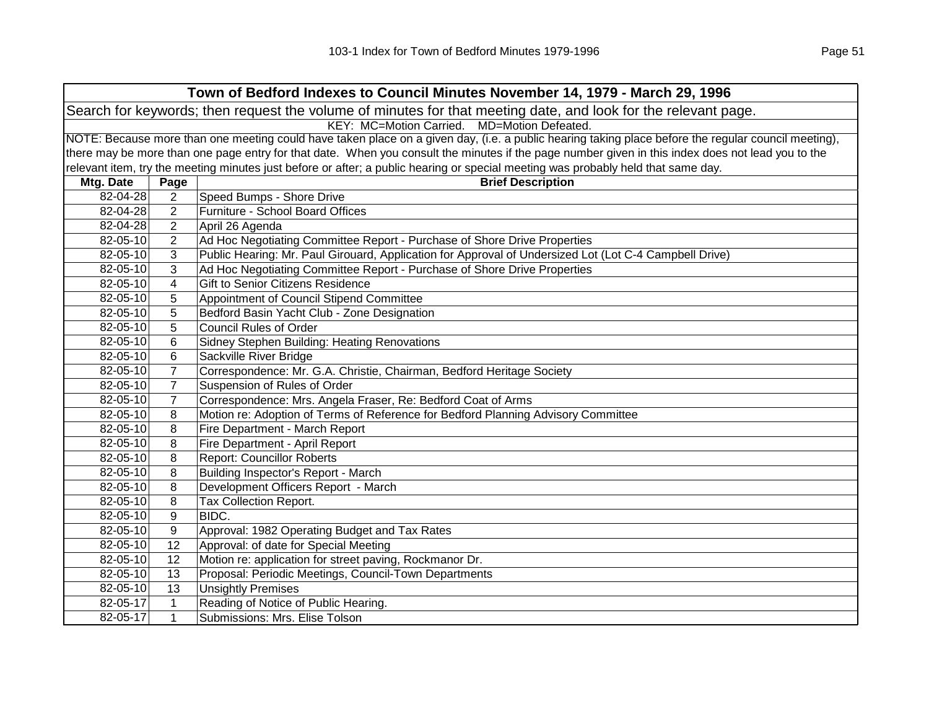| Town of Bedford Indexes to Council Minutes November 14, 1979 - March 29, 1996                                  |                |                                                                                                                                                     |  |
|----------------------------------------------------------------------------------------------------------------|----------------|-----------------------------------------------------------------------------------------------------------------------------------------------------|--|
| Search for keywords; then request the volume of minutes for that meeting date, and look for the relevant page. |                |                                                                                                                                                     |  |
|                                                                                                                |                | KEY: MC=Motion Carried. MD=Motion Defeated.                                                                                                         |  |
|                                                                                                                |                | NOTE: Because more than one meeting could have taken place on a given day, (i.e. a public hearing taking place before the regular council meeting), |  |
|                                                                                                                |                | there may be more than one page entry for that date. When you consult the minutes if the page number given in this index does not lead you to the   |  |
|                                                                                                                |                | relevant item, try the meeting minutes just before or after; a public hearing or special meeting was probably held that same day.                   |  |
| Mtg. Date                                                                                                      | Page           | <b>Brief Description</b>                                                                                                                            |  |
| 82-04-28                                                                                                       | $\overline{2}$ | Speed Bumps - Shore Drive                                                                                                                           |  |
| 82-04-28                                                                                                       | $\overline{2}$ | Furniture - School Board Offices                                                                                                                    |  |
| 82-04-28                                                                                                       | $\overline{2}$ | April 26 Agenda                                                                                                                                     |  |
| 82-05-10                                                                                                       | $\overline{2}$ | Ad Hoc Negotiating Committee Report - Purchase of Shore Drive Properties                                                                            |  |
| 82-05-10                                                                                                       | 3              | Public Hearing: Mr. Paul Girouard, Application for Approval of Undersized Lot (Lot C-4 Campbell Drive)                                              |  |
| 82-05-10                                                                                                       | 3              | Ad Hoc Negotiating Committee Report - Purchase of Shore Drive Properties                                                                            |  |
| 82-05-10                                                                                                       | 4              | Gift to Senior Citizens Residence                                                                                                                   |  |
| 82-05-10                                                                                                       | 5              | Appointment of Council Stipend Committee                                                                                                            |  |
| 82-05-10                                                                                                       | 5              | Bedford Basin Yacht Club - Zone Designation                                                                                                         |  |
| 82-05-10                                                                                                       | 5              | <b>Council Rules of Order</b>                                                                                                                       |  |
| 82-05-10                                                                                                       | 6              | Sidney Stephen Building: Heating Renovations                                                                                                        |  |
| 82-05-10                                                                                                       | 6              | Sackville River Bridge                                                                                                                              |  |
| 82-05-10                                                                                                       | $\overline{7}$ | Correspondence: Mr. G.A. Christie, Chairman, Bedford Heritage Society                                                                               |  |
| 82-05-10                                                                                                       | $\overline{7}$ | Suspension of Rules of Order                                                                                                                        |  |
| 82-05-10                                                                                                       | $\overline{7}$ | Correspondence: Mrs. Angela Fraser, Re: Bedford Coat of Arms                                                                                        |  |
| 82-05-10                                                                                                       | 8              | Motion re: Adoption of Terms of Reference for Bedford Planning Advisory Committee                                                                   |  |
| 82-05-10                                                                                                       | 8              | Fire Department - March Report                                                                                                                      |  |
| 82-05-10                                                                                                       | 8              | Fire Department - April Report                                                                                                                      |  |
| 82-05-10                                                                                                       | 8              | <b>Report: Councillor Roberts</b>                                                                                                                   |  |
| 82-05-10                                                                                                       | 8              | Building Inspector's Report - March                                                                                                                 |  |
| 82-05-10                                                                                                       | 8              | Development Officers Report - March                                                                                                                 |  |
| 82-05-10                                                                                                       | 8              | Tax Collection Report.                                                                                                                              |  |
| 82-05-10                                                                                                       | 9              | BIDC.                                                                                                                                               |  |
| 82-05-10                                                                                                       | 9              | Approval: 1982 Operating Budget and Tax Rates                                                                                                       |  |
| 82-05-10                                                                                                       | 12             | Approval: of date for Special Meeting                                                                                                               |  |
| 82-05-10                                                                                                       | 12             | Motion re: application for street paving, Rockmanor Dr.                                                                                             |  |
| 82-05-10                                                                                                       | 13             | Proposal: Periodic Meetings, Council-Town Departments                                                                                               |  |
| 82-05-10                                                                                                       | 13             | <b>Unsightly Premises</b>                                                                                                                           |  |
| 82-05-17                                                                                                       | $\mathbf 1$    | Reading of Notice of Public Hearing.                                                                                                                |  |
| 82-05-17                                                                                                       | 1              | Submissions: Mrs. Elise Tolson                                                                                                                      |  |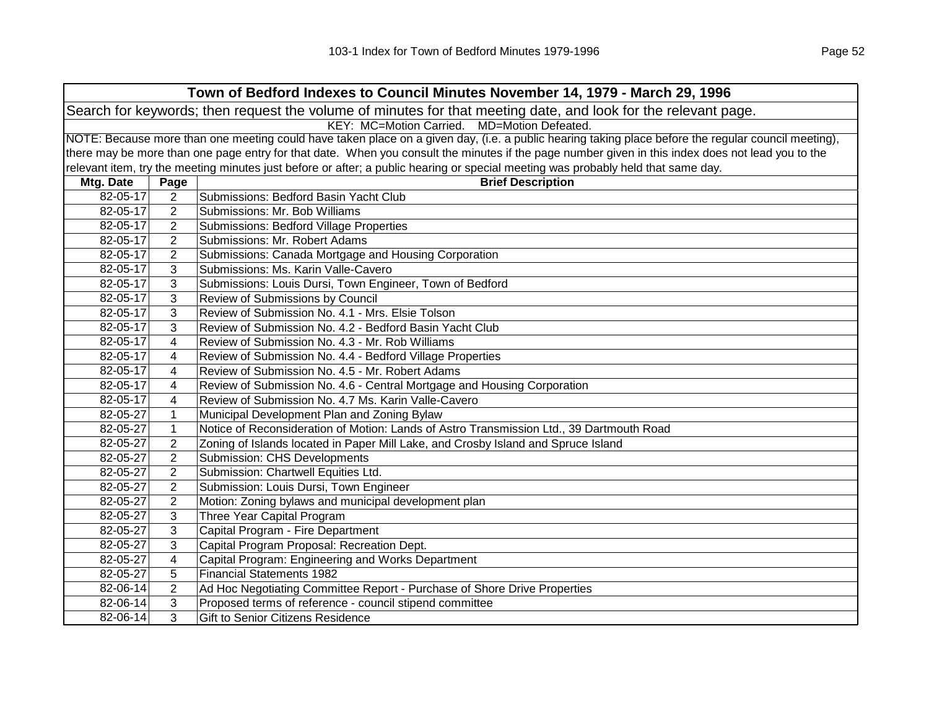| Town of Bedford Indexes to Council Minutes November 14, 1979 - March 29, 1996                                  |                                             |                                                                                                                                                     |  |  |  |
|----------------------------------------------------------------------------------------------------------------|---------------------------------------------|-----------------------------------------------------------------------------------------------------------------------------------------------------|--|--|--|
| Search for keywords; then request the volume of minutes for that meeting date, and look for the relevant page. |                                             |                                                                                                                                                     |  |  |  |
|                                                                                                                | KEY: MC=Motion Carried. MD=Motion Defeated. |                                                                                                                                                     |  |  |  |
|                                                                                                                |                                             | NOTE: Because more than one meeting could have taken place on a given day, (i.e. a public hearing taking place before the regular council meeting), |  |  |  |
|                                                                                                                |                                             | there may be more than one page entry for that date. When you consult the minutes if the page number given in this index does not lead you to the   |  |  |  |
|                                                                                                                |                                             | relevant item, try the meeting minutes just before or after; a public hearing or special meeting was probably held that same day.                   |  |  |  |
| Mtg. Date                                                                                                      | Page                                        | <b>Brief Description</b>                                                                                                                            |  |  |  |
| 82-05-17                                                                                                       | $\overline{2}$                              | Submissions: Bedford Basin Yacht Club                                                                                                               |  |  |  |
| 82-05-17                                                                                                       | 2                                           | Submissions: Mr. Bob Williams                                                                                                                       |  |  |  |
| 82-05-17                                                                                                       | 2                                           | <b>Submissions: Bedford Village Properties</b>                                                                                                      |  |  |  |
| 82-05-17                                                                                                       | $\overline{2}$                              | Submissions: Mr. Robert Adams                                                                                                                       |  |  |  |
| 82-05-17                                                                                                       | $\overline{2}$                              | Submissions: Canada Mortgage and Housing Corporation                                                                                                |  |  |  |
| 82-05-17                                                                                                       | 3                                           | Submissions: Ms. Karin Valle-Cavero                                                                                                                 |  |  |  |
| 82-05-17                                                                                                       | 3                                           | Submissions: Louis Dursi, Town Engineer, Town of Bedford                                                                                            |  |  |  |
| 82-05-17                                                                                                       | 3                                           | Review of Submissions by Council                                                                                                                    |  |  |  |
| 82-05-17                                                                                                       | 3                                           | Review of Submission No. 4.1 - Mrs. Elsie Tolson                                                                                                    |  |  |  |
| 82-05-17                                                                                                       | 3                                           | Review of Submission No. 4.2 - Bedford Basin Yacht Club                                                                                             |  |  |  |
| 82-05-17                                                                                                       | 4                                           | Review of Submission No. 4.3 - Mr. Rob Williams                                                                                                     |  |  |  |
| 82-05-17                                                                                                       | 4                                           | Review of Submission No. 4.4 - Bedford Village Properties                                                                                           |  |  |  |
| 82-05-17                                                                                                       | 4                                           | Review of Submission No. 4.5 - Mr. Robert Adams                                                                                                     |  |  |  |
| 82-05-17                                                                                                       | 4                                           | Review of Submission No. 4.6 - Central Mortgage and Housing Corporation                                                                             |  |  |  |
| 82-05-17                                                                                                       | 4                                           | Review of Submission No. 4.7 Ms. Karin Valle-Cavero                                                                                                 |  |  |  |
| 82-05-27                                                                                                       | $\mathbf{1}$                                | Municipal Development Plan and Zoning Bylaw                                                                                                         |  |  |  |
| 82-05-27                                                                                                       | $\mathbf{1}$                                | Notice of Reconsideration of Motion: Lands of Astro Transmission Ltd., 39 Dartmouth Road                                                            |  |  |  |
| 82-05-27                                                                                                       | 2                                           | Zoning of Islands located in Paper Mill Lake, and Crosby Island and Spruce Island                                                                   |  |  |  |
| 82-05-27                                                                                                       | $\overline{2}$                              | <b>Submission: CHS Developments</b>                                                                                                                 |  |  |  |
| 82-05-27                                                                                                       | $\overline{2}$                              | Submission: Chartwell Equities Ltd.                                                                                                                 |  |  |  |
| 82-05-27                                                                                                       | $\mathbf{2}$                                | Submission: Louis Dursi, Town Engineer                                                                                                              |  |  |  |
| 82-05-27                                                                                                       | $\overline{2}$                              | Motion: Zoning bylaws and municipal development plan                                                                                                |  |  |  |
| 82-05-27                                                                                                       | 3                                           | Three Year Capital Program                                                                                                                          |  |  |  |
| 82-05-27                                                                                                       | 3                                           | Capital Program - Fire Department                                                                                                                   |  |  |  |
| 82-05-27                                                                                                       | 3                                           | Capital Program Proposal: Recreation Dept.                                                                                                          |  |  |  |
| 82-05-27                                                                                                       | 4                                           | Capital Program: Engineering and Works Department                                                                                                   |  |  |  |
| 82-05-27                                                                                                       | 5                                           | <b>Financial Statements 1982</b>                                                                                                                    |  |  |  |
| 82-06-14                                                                                                       | $\overline{2}$                              | Ad Hoc Negotiating Committee Report - Purchase of Shore Drive Properties                                                                            |  |  |  |
| 82-06-14                                                                                                       | 3                                           | Proposed terms of reference - council stipend committee                                                                                             |  |  |  |
| 82-06-14                                                                                                       | 3                                           | Gift to Senior Citizens Residence                                                                                                                   |  |  |  |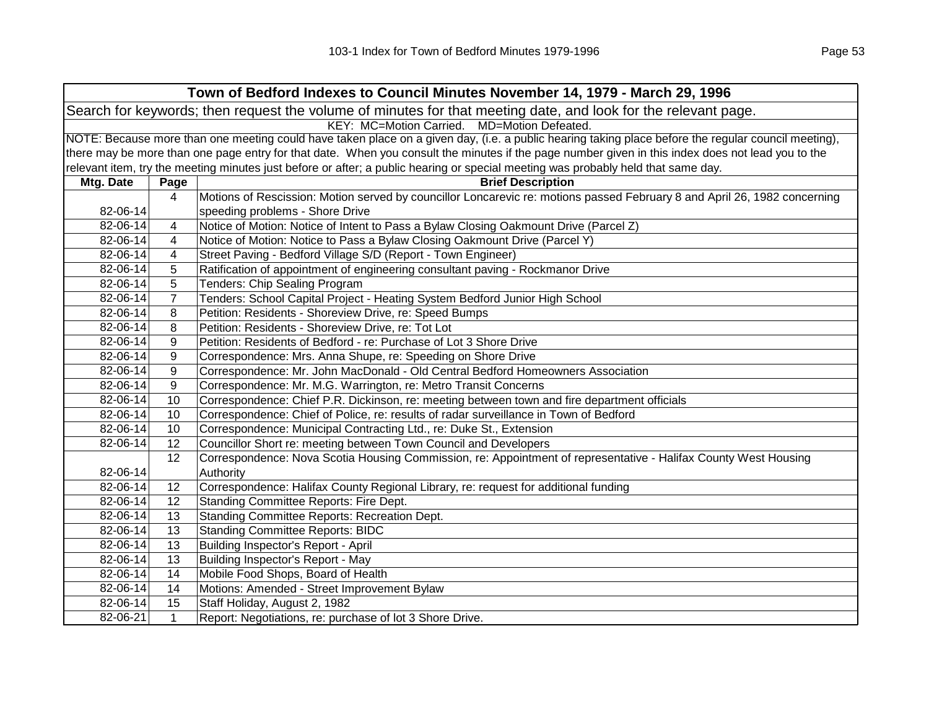|           | Town of Bedford Indexes to Council Minutes November 14, 1979 - March 29, 1996                                  |                                                                                                                                                     |  |  |  |
|-----------|----------------------------------------------------------------------------------------------------------------|-----------------------------------------------------------------------------------------------------------------------------------------------------|--|--|--|
|           | Search for keywords; then request the volume of minutes for that meeting date, and look for the relevant page. |                                                                                                                                                     |  |  |  |
|           | KEY: MC=Motion Carried. MD=Motion Defeated.                                                                    |                                                                                                                                                     |  |  |  |
|           |                                                                                                                | NOTE: Because more than one meeting could have taken place on a given day, (i.e. a public hearing taking place before the regular council meeting), |  |  |  |
|           |                                                                                                                | there may be more than one page entry for that date. When you consult the minutes if the page number given in this index does not lead you to the   |  |  |  |
|           |                                                                                                                | relevant item, try the meeting minutes just before or after; a public hearing or special meeting was probably held that same day.                   |  |  |  |
| Mtg. Date | Page                                                                                                           | <b>Brief Description</b>                                                                                                                            |  |  |  |
|           | 4                                                                                                              | Motions of Rescission: Motion served by councillor Loncarevic re: motions passed February 8 and April 26, 1982 concerning                           |  |  |  |
| 82-06-14  |                                                                                                                | speeding problems - Shore Drive                                                                                                                     |  |  |  |
| 82-06-14  | 4                                                                                                              | Notice of Motion: Notice of Intent to Pass a Bylaw Closing Oakmount Drive (Parcel Z)                                                                |  |  |  |
| 82-06-14  | 4                                                                                                              | Notice of Motion: Notice to Pass a Bylaw Closing Oakmount Drive (Parcel Y)                                                                          |  |  |  |
| 82-06-14  | 4                                                                                                              | Street Paving - Bedford Village S/D (Report - Town Engineer)                                                                                        |  |  |  |
| 82-06-14  | 5                                                                                                              | Ratification of appointment of engineering consultant paving - Rockmanor Drive                                                                      |  |  |  |
| 82-06-14  | 5                                                                                                              | Tenders: Chip Sealing Program                                                                                                                       |  |  |  |
| 82-06-14  | $\overline{7}$                                                                                                 | Tenders: School Capital Project - Heating System Bedford Junior High School                                                                         |  |  |  |
| 82-06-14  | 8                                                                                                              | Petition: Residents - Shoreview Drive, re: Speed Bumps                                                                                              |  |  |  |
| 82-06-14  | 8                                                                                                              | Petition: Residents - Shoreview Drive, re: Tot Lot                                                                                                  |  |  |  |
| 82-06-14  | 9                                                                                                              | Petition: Residents of Bedford - re: Purchase of Lot 3 Shore Drive                                                                                  |  |  |  |
| 82-06-14  | 9                                                                                                              | Correspondence: Mrs. Anna Shupe, re: Speeding on Shore Drive                                                                                        |  |  |  |
| 82-06-14  | 9                                                                                                              | Correspondence: Mr. John MacDonald - Old Central Bedford Homeowners Association                                                                     |  |  |  |
| 82-06-14  | 9                                                                                                              | Correspondence: Mr. M.G. Warrington, re: Metro Transit Concerns                                                                                     |  |  |  |
| 82-06-14  | 10                                                                                                             | Correspondence: Chief P.R. Dickinson, re: meeting between town and fire department officials                                                        |  |  |  |
| 82-06-14  | 10                                                                                                             | Correspondence: Chief of Police, re: results of radar surveillance in Town of Bedford                                                               |  |  |  |
| 82-06-14  | 10                                                                                                             | Correspondence: Municipal Contracting Ltd., re: Duke St., Extension                                                                                 |  |  |  |
| 82-06-14  | 12                                                                                                             | Councillor Short re: meeting between Town Council and Developers                                                                                    |  |  |  |
|           | 12                                                                                                             | Correspondence: Nova Scotia Housing Commission, re: Appointment of representative - Halifax County West Housing                                     |  |  |  |
| 82-06-14  |                                                                                                                | Authority                                                                                                                                           |  |  |  |
| 82-06-14  | 12                                                                                                             | Correspondence: Halifax County Regional Library, re: request for additional funding                                                                 |  |  |  |
| 82-06-14  | 12                                                                                                             | Standing Committee Reports: Fire Dept.                                                                                                              |  |  |  |
| 82-06-14  | 13                                                                                                             | Standing Committee Reports: Recreation Dept.                                                                                                        |  |  |  |
| 82-06-14  | 13                                                                                                             | <b>Standing Committee Reports: BIDC</b>                                                                                                             |  |  |  |
| 82-06-14  | 13                                                                                                             | Building Inspector's Report - April                                                                                                                 |  |  |  |
| 82-06-14  | 13                                                                                                             | Building Inspector's Report - May                                                                                                                   |  |  |  |
| 82-06-14  | 14                                                                                                             | Mobile Food Shops, Board of Health                                                                                                                  |  |  |  |
| 82-06-14  | 14                                                                                                             | Motions: Amended - Street Improvement Bylaw                                                                                                         |  |  |  |
| 82-06-14  | 15                                                                                                             | Staff Holiday, August 2, 1982                                                                                                                       |  |  |  |
| 82-06-21  | $\mathbf 1$                                                                                                    | Report: Negotiations, re: purchase of lot 3 Shore Drive.                                                                                            |  |  |  |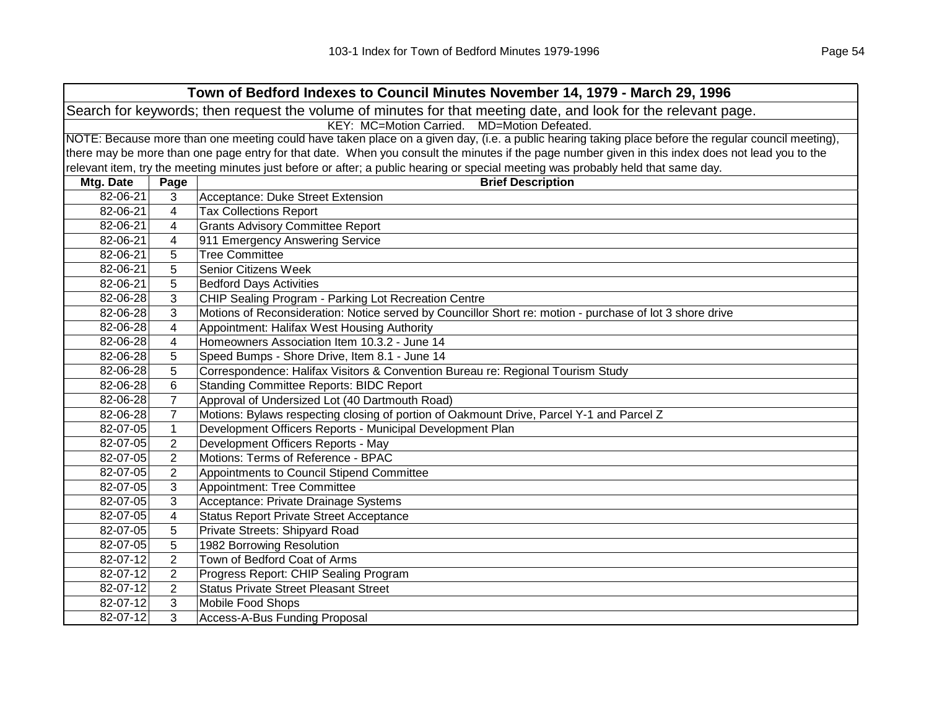| Town of Bedford Indexes to Council Minutes November 14, 1979 - March 29, 1996 |                                                                                                                |                                                                                                                                                     |  |  |  |
|-------------------------------------------------------------------------------|----------------------------------------------------------------------------------------------------------------|-----------------------------------------------------------------------------------------------------------------------------------------------------|--|--|--|
|                                                                               | Search for keywords; then request the volume of minutes for that meeting date, and look for the relevant page. |                                                                                                                                                     |  |  |  |
|                                                                               | KEY: MC=Motion Carried. MD=Motion Defeated.                                                                    |                                                                                                                                                     |  |  |  |
|                                                                               |                                                                                                                | NOTE: Because more than one meeting could have taken place on a given day, (i.e. a public hearing taking place before the regular council meeting), |  |  |  |
|                                                                               |                                                                                                                | there may be more than one page entry for that date. When you consult the minutes if the page number given in this index does not lead you to the   |  |  |  |
|                                                                               |                                                                                                                | relevant item, try the meeting minutes just before or after; a public hearing or special meeting was probably held that same day.                   |  |  |  |
| Mtg. Date                                                                     | Page                                                                                                           | <b>Brief Description</b>                                                                                                                            |  |  |  |
| 82-06-21                                                                      | 3                                                                                                              | Acceptance: Duke Street Extension                                                                                                                   |  |  |  |
| 82-06-21                                                                      | $\overline{\mathbf{4}}$                                                                                        | <b>Tax Collections Report</b>                                                                                                                       |  |  |  |
| 82-06-21                                                                      | 4                                                                                                              | <b>Grants Advisory Committee Report</b>                                                                                                             |  |  |  |
| 82-06-21                                                                      | 4                                                                                                              | 911 Emergency Answering Service                                                                                                                     |  |  |  |
| 82-06-21                                                                      | 5                                                                                                              | <b>Tree Committee</b>                                                                                                                               |  |  |  |
| 82-06-21                                                                      | 5                                                                                                              | <b>Senior Citizens Week</b>                                                                                                                         |  |  |  |
| 82-06-21                                                                      | 5                                                                                                              | <b>Bedford Days Activities</b>                                                                                                                      |  |  |  |
| 82-06-28                                                                      | 3                                                                                                              | CHIP Sealing Program - Parking Lot Recreation Centre                                                                                                |  |  |  |
| 82-06-28                                                                      | 3                                                                                                              | Motions of Reconsideration: Notice served by Councillor Short re: motion - purchase of lot 3 shore drive                                            |  |  |  |
| 82-06-28                                                                      | 4                                                                                                              | Appointment: Halifax West Housing Authority                                                                                                         |  |  |  |
| 82-06-28                                                                      | 4                                                                                                              | Homeowners Association Item 10.3.2 - June 14                                                                                                        |  |  |  |
| 82-06-28                                                                      | 5                                                                                                              | Speed Bumps - Shore Drive, Item 8.1 - June 14                                                                                                       |  |  |  |
| 82-06-28                                                                      | 5                                                                                                              | Correspondence: Halifax Visitors & Convention Bureau re: Regional Tourism Study                                                                     |  |  |  |
| 82-06-28                                                                      | 6                                                                                                              | <b>Standing Committee Reports: BIDC Report</b>                                                                                                      |  |  |  |
| 82-06-28                                                                      | $\overline{7}$                                                                                                 | Approval of Undersized Lot (40 Dartmouth Road)                                                                                                      |  |  |  |
| 82-06-28                                                                      | $\overline{7}$                                                                                                 | Motions: Bylaws respecting closing of portion of Oakmount Drive, Parcel Y-1 and Parcel Z                                                            |  |  |  |
| 82-07-05                                                                      | $\mathbf{1}$                                                                                                   | Development Officers Reports - Municipal Development Plan                                                                                           |  |  |  |
| 82-07-05                                                                      | $\overline{2}$                                                                                                 | Development Officers Reports - May                                                                                                                  |  |  |  |
| 82-07-05                                                                      | $\overline{2}$                                                                                                 | Motions: Terms of Reference - BPAC                                                                                                                  |  |  |  |
| 82-07-05                                                                      | $\overline{2}$                                                                                                 | Appointments to Council Stipend Committee                                                                                                           |  |  |  |
| 82-07-05                                                                      | 3                                                                                                              | Appointment: Tree Committee                                                                                                                         |  |  |  |
| 82-07-05                                                                      | 3                                                                                                              | Acceptance: Private Drainage Systems                                                                                                                |  |  |  |
| 82-07-05                                                                      | 4                                                                                                              | <b>Status Report Private Street Acceptance</b>                                                                                                      |  |  |  |
| 82-07-05                                                                      | 5                                                                                                              | Private Streets: Shipyard Road                                                                                                                      |  |  |  |
| 82-07-05                                                                      | 5                                                                                                              | 1982 Borrowing Resolution                                                                                                                           |  |  |  |
| 82-07-12                                                                      | $\overline{2}$                                                                                                 | Town of Bedford Coat of Arms                                                                                                                        |  |  |  |
| 82-07-12                                                                      | $\overline{2}$                                                                                                 | Progress Report: CHIP Sealing Program                                                                                                               |  |  |  |
| 82-07-12                                                                      | $\overline{2}$                                                                                                 | <b>Status Private Street Pleasant Street</b>                                                                                                        |  |  |  |
| 82-07-12                                                                      | 3                                                                                                              | Mobile Food Shops                                                                                                                                   |  |  |  |
| 82-07-12                                                                      | 3                                                                                                              | Access-A-Bus Funding Proposal                                                                                                                       |  |  |  |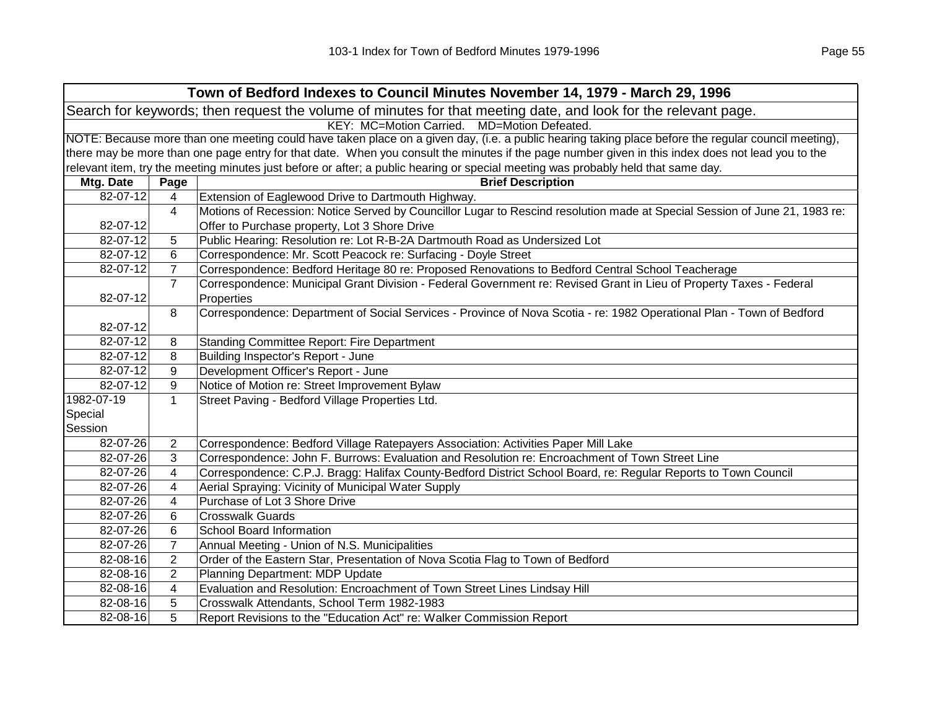|            |                                                                                                                                                     | Town of Bedford Indexes to Council Minutes November 14, 1979 - March 29, 1996                                                     |  |  |
|------------|-----------------------------------------------------------------------------------------------------------------------------------------------------|-----------------------------------------------------------------------------------------------------------------------------------|--|--|
|            |                                                                                                                                                     | Search for keywords; then request the volume of minutes for that meeting date, and look for the relevant page.                    |  |  |
|            |                                                                                                                                                     | KEY: MC=Motion Carried. MD=Motion Defeated.                                                                                       |  |  |
|            | NOTE: Because more than one meeting could have taken place on a given day, (i.e. a public hearing taking place before the regular council meeting), |                                                                                                                                   |  |  |
|            | there may be more than one page entry for that date. When you consult the minutes if the page number given in this index does not lead you to the   |                                                                                                                                   |  |  |
|            |                                                                                                                                                     | relevant item, try the meeting minutes just before or after; a public hearing or special meeting was probably held that same day. |  |  |
| Mtg. Date  | Page                                                                                                                                                | <b>Brief Description</b>                                                                                                          |  |  |
| 82-07-12   | 4                                                                                                                                                   | Extension of Eaglewood Drive to Dartmouth Highway.                                                                                |  |  |
|            | 4                                                                                                                                                   | Motions of Recession: Notice Served by Councillor Lugar to Rescind resolution made at Special Session of June 21, 1983 re:        |  |  |
| 82-07-12   |                                                                                                                                                     | Offer to Purchase property, Lot 3 Shore Drive                                                                                     |  |  |
| 82-07-12   | 5                                                                                                                                                   | Public Hearing: Resolution re: Lot R-B-2A Dartmouth Road as Undersized Lot                                                        |  |  |
| 82-07-12   | 6                                                                                                                                                   | Correspondence: Mr. Scott Peacock re: Surfacing - Doyle Street                                                                    |  |  |
| 82-07-12   | $\overline{7}$                                                                                                                                      | Correspondence: Bedford Heritage 80 re: Proposed Renovations to Bedford Central School Teacherage                                 |  |  |
|            | $\overline{7}$                                                                                                                                      | Correspondence: Municipal Grant Division - Federal Government re: Revised Grant in Lieu of Property Taxes - Federal               |  |  |
| 82-07-12   |                                                                                                                                                     | Properties                                                                                                                        |  |  |
|            | 8                                                                                                                                                   | Correspondence: Department of Social Services - Province of Nova Scotia - re: 1982 Operational Plan - Town of Bedford             |  |  |
| 82-07-12   |                                                                                                                                                     |                                                                                                                                   |  |  |
| 82-07-12   | 8                                                                                                                                                   | Standing Committee Report: Fire Department                                                                                        |  |  |
| 82-07-12   | 8                                                                                                                                                   | Building Inspector's Report - June                                                                                                |  |  |
| 82-07-12   | 9                                                                                                                                                   | Development Officer's Report - June                                                                                               |  |  |
| 82-07-12   | 9                                                                                                                                                   | Notice of Motion re: Street Improvement Bylaw                                                                                     |  |  |
| 1982-07-19 | $\mathbf{1}$                                                                                                                                        | Street Paving - Bedford Village Properties Ltd.                                                                                   |  |  |
| Special    |                                                                                                                                                     |                                                                                                                                   |  |  |
| Session    |                                                                                                                                                     |                                                                                                                                   |  |  |
| 82-07-26   | $\overline{2}$                                                                                                                                      | Correspondence: Bedford Village Ratepayers Association: Activities Paper Mill Lake                                                |  |  |
| 82-07-26   | 3                                                                                                                                                   | Correspondence: John F. Burrows: Evaluation and Resolution re: Encroachment of Town Street Line                                   |  |  |
| 82-07-26   | 4                                                                                                                                                   | Correspondence: C.P.J. Bragg: Halifax County-Bedford District School Board, re: Regular Reports to Town Council                   |  |  |
| 82-07-26   | 4                                                                                                                                                   | Aerial Spraying: Vicinity of Municipal Water Supply                                                                               |  |  |
| 82-07-26   | 4                                                                                                                                                   | Purchase of Lot 3 Shore Drive                                                                                                     |  |  |
| 82-07-26   | 6                                                                                                                                                   | <b>Crosswalk Guards</b>                                                                                                           |  |  |
| 82-07-26   | 6                                                                                                                                                   | School Board Information                                                                                                          |  |  |
| 82-07-26   | $\overline{7}$                                                                                                                                      | Annual Meeting - Union of N.S. Municipalities                                                                                     |  |  |
| 82-08-16   | $\overline{2}$                                                                                                                                      | Order of the Eastern Star, Presentation of Nova Scotia Flag to Town of Bedford                                                    |  |  |
| 82-08-16   | $\overline{2}$                                                                                                                                      | Planning Department: MDP Update                                                                                                   |  |  |
| 82-08-16   | 4                                                                                                                                                   | Evaluation and Resolution: Encroachment of Town Street Lines Lindsay Hill                                                         |  |  |
| 82-08-16   | 5                                                                                                                                                   | Crosswalk Attendants, School Term 1982-1983                                                                                       |  |  |
| 82-08-16   | 5                                                                                                                                                   | Report Revisions to the "Education Act" re: Walker Commission Report                                                              |  |  |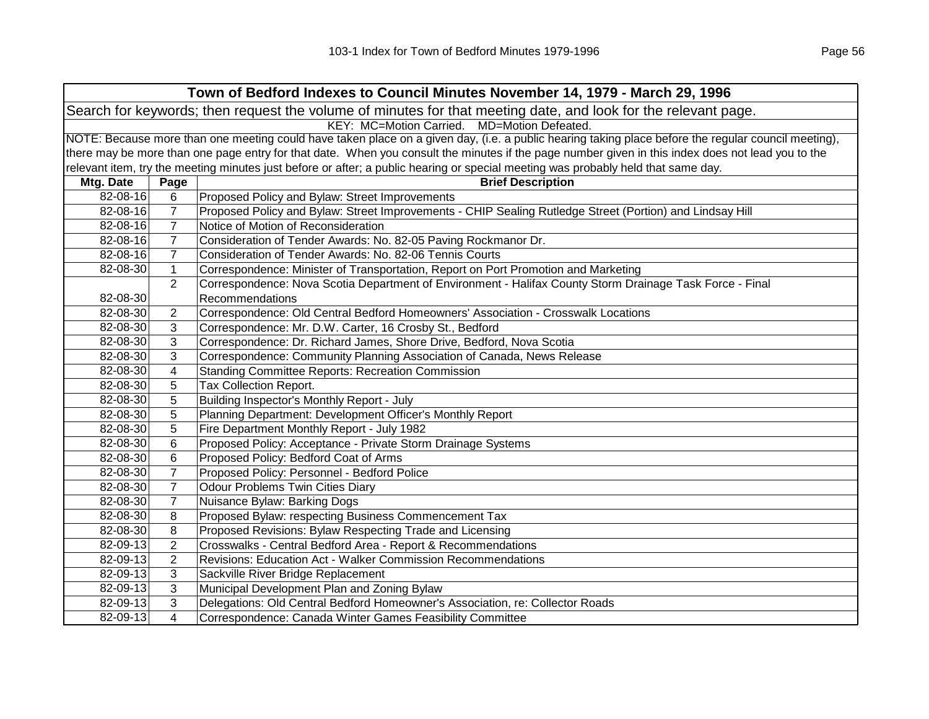|           | Town of Bedford Indexes to Council Minutes November 14, 1979 - March 29, 1996                                  |                                                                                                                                                     |  |  |
|-----------|----------------------------------------------------------------------------------------------------------------|-----------------------------------------------------------------------------------------------------------------------------------------------------|--|--|
|           | Search for keywords; then request the volume of minutes for that meeting date, and look for the relevant page. |                                                                                                                                                     |  |  |
|           | KEY: MC=Motion Carried. MD=Motion Defeated.                                                                    |                                                                                                                                                     |  |  |
|           |                                                                                                                | NOTE: Because more than one meeting could have taken place on a given day, (i.e. a public hearing taking place before the regular council meeting), |  |  |
|           |                                                                                                                | there may be more than one page entry for that date. When you consult the minutes if the page number given in this index does not lead you to the   |  |  |
|           |                                                                                                                | relevant item, try the meeting minutes just before or after; a public hearing or special meeting was probably held that same day.                   |  |  |
| Mtg. Date | Page                                                                                                           | <b>Brief Description</b>                                                                                                                            |  |  |
| 82-08-16  | 6                                                                                                              | Proposed Policy and Bylaw: Street Improvements                                                                                                      |  |  |
| 82-08-16  | $\overline{7}$                                                                                                 | Proposed Policy and Bylaw: Street Improvements - CHIP Sealing Rutledge Street (Portion) and Lindsay Hill                                            |  |  |
| 82-08-16  | $\overline{7}$                                                                                                 | Notice of Motion of Reconsideration                                                                                                                 |  |  |
| 82-08-16  | $\overline{7}$                                                                                                 | Consideration of Tender Awards: No. 82-05 Paving Rockmanor Dr.                                                                                      |  |  |
| 82-08-16  | $\overline{7}$                                                                                                 | Consideration of Tender Awards: No. 82-06 Tennis Courts                                                                                             |  |  |
| 82-08-30  | $\mathbf{1}$                                                                                                   | Correspondence: Minister of Transportation, Report on Port Promotion and Marketing                                                                  |  |  |
|           | $\overline{2}$                                                                                                 | Correspondence: Nova Scotia Department of Environment - Halifax County Storm Drainage Task Force - Final                                            |  |  |
| 82-08-30  |                                                                                                                | Recommendations                                                                                                                                     |  |  |
| 82-08-30  | $\overline{2}$                                                                                                 | Correspondence: Old Central Bedford Homeowners' Association - Crosswalk Locations                                                                   |  |  |
| 82-08-30  | 3                                                                                                              | Correspondence: Mr. D.W. Carter, 16 Crosby St., Bedford                                                                                             |  |  |
| 82-08-30  | 3                                                                                                              | Correspondence: Dr. Richard James, Shore Drive, Bedford, Nova Scotia                                                                                |  |  |
| 82-08-30  | 3                                                                                                              | Correspondence: Community Planning Association of Canada, News Release                                                                              |  |  |
| 82-08-30  | 4                                                                                                              | <b>Standing Committee Reports: Recreation Commission</b>                                                                                            |  |  |
| 82-08-30  | 5                                                                                                              | Tax Collection Report.                                                                                                                              |  |  |
| 82-08-30  | 5                                                                                                              | Building Inspector's Monthly Report - July                                                                                                          |  |  |
| 82-08-30  | 5                                                                                                              | Planning Department: Development Officer's Monthly Report                                                                                           |  |  |
| 82-08-30  | 5                                                                                                              | Fire Department Monthly Report - July 1982                                                                                                          |  |  |
| 82-08-30  | 6                                                                                                              | Proposed Policy: Acceptance - Private Storm Drainage Systems                                                                                        |  |  |
| 82-08-30  | 6                                                                                                              | Proposed Policy: Bedford Coat of Arms                                                                                                               |  |  |
| 82-08-30  | $\overline{7}$                                                                                                 | Proposed Policy: Personnel - Bedford Police                                                                                                         |  |  |
| 82-08-30  | $\overline{7}$                                                                                                 | Odour Problems Twin Cities Diary                                                                                                                    |  |  |
| 82-08-30  | $\overline{7}$                                                                                                 | Nuisance Bylaw: Barking Dogs                                                                                                                        |  |  |
| 82-08-30  | 8                                                                                                              | Proposed Bylaw: respecting Business Commencement Tax                                                                                                |  |  |
| 82-08-30  | 8                                                                                                              | Proposed Revisions: Bylaw Respecting Trade and Licensing                                                                                            |  |  |
| 82-09-13  | $\overline{2}$                                                                                                 | Crosswalks - Central Bedford Area - Report & Recommendations                                                                                        |  |  |
| 82-09-13  | $\overline{2}$                                                                                                 | Revisions: Education Act - Walker Commission Recommendations                                                                                        |  |  |
| 82-09-13  | 3                                                                                                              | Sackville River Bridge Replacement                                                                                                                  |  |  |
| 82-09-13  | 3                                                                                                              | Municipal Development Plan and Zoning Bylaw                                                                                                         |  |  |
| 82-09-13  | 3                                                                                                              | Delegations: Old Central Bedford Homeowner's Association, re: Collector Roads                                                                       |  |  |
| 82-09-13  | 4                                                                                                              | Correspondence: Canada Winter Games Feasibility Committee                                                                                           |  |  |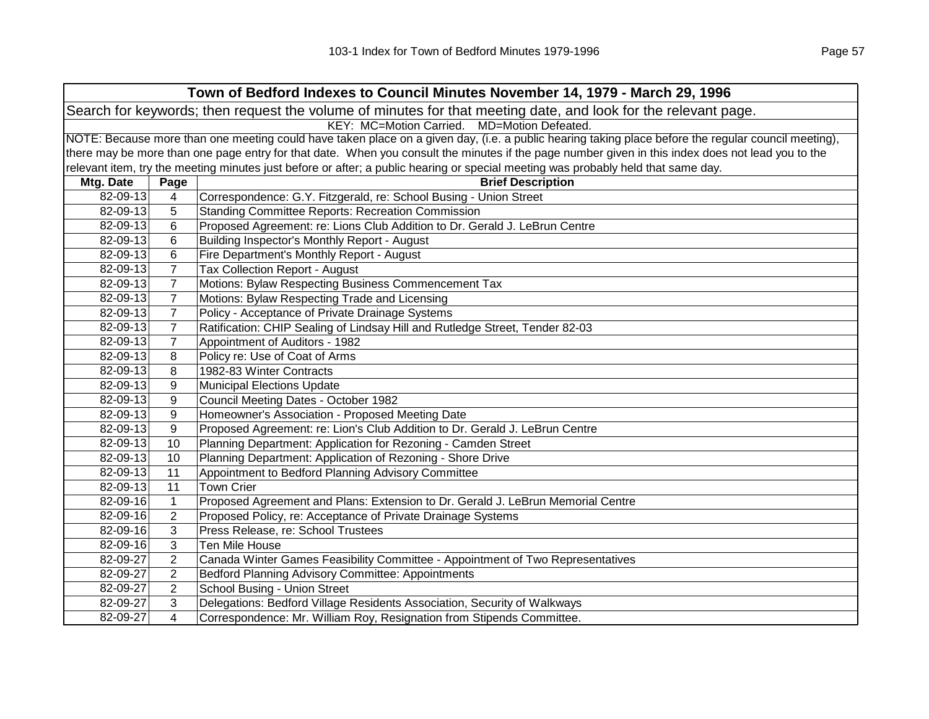| Town of Bedford Indexes to Council Minutes November 14, 1979 - March 29, 1996                                  |                |                                                                                                                                                     |  |
|----------------------------------------------------------------------------------------------------------------|----------------|-----------------------------------------------------------------------------------------------------------------------------------------------------|--|
| Search for keywords; then request the volume of minutes for that meeting date, and look for the relevant page. |                |                                                                                                                                                     |  |
|                                                                                                                |                | KEY: MC=Motion Carried. MD=Motion Defeated.                                                                                                         |  |
|                                                                                                                |                | NOTE: Because more than one meeting could have taken place on a given day, (i.e. a public hearing taking place before the regular council meeting), |  |
|                                                                                                                |                | there may be more than one page entry for that date. When you consult the minutes if the page number given in this index does not lead you to the   |  |
|                                                                                                                |                | relevant item, try the meeting minutes just before or after; a public hearing or special meeting was probably held that same day.                   |  |
| Mtg. Date                                                                                                      | Page           | <b>Brief Description</b>                                                                                                                            |  |
| 82-09-13                                                                                                       | 4              | Correspondence: G.Y. Fitzgerald, re: School Busing - Union Street                                                                                   |  |
| 82-09-13                                                                                                       | 5              | <b>Standing Committee Reports: Recreation Commission</b>                                                                                            |  |
| 82-09-13                                                                                                       | 6              | Proposed Agreement: re: Lions Club Addition to Dr. Gerald J. LeBrun Centre                                                                          |  |
| 82-09-13                                                                                                       | 6              | Building Inspector's Monthly Report - August                                                                                                        |  |
| 82-09-13                                                                                                       | 6              | Fire Department's Monthly Report - August                                                                                                           |  |
| 82-09-13                                                                                                       | $\overline{7}$ | Tax Collection Report - August                                                                                                                      |  |
| 82-09-13                                                                                                       | $\overline{7}$ | Motions: Bylaw Respecting Business Commencement Tax                                                                                                 |  |
| 82-09-13                                                                                                       | $\overline{7}$ | Motions: Bylaw Respecting Trade and Licensing                                                                                                       |  |
| 82-09-13                                                                                                       | $\overline{7}$ | Policy - Acceptance of Private Drainage Systems                                                                                                     |  |
| 82-09-13                                                                                                       | 7              | Ratification: CHIP Sealing of Lindsay Hill and Rutledge Street, Tender 82-03                                                                        |  |
| 82-09-13                                                                                                       | $\overline{7}$ | Appointment of Auditors - 1982                                                                                                                      |  |
| 82-09-13                                                                                                       | 8              | Policy re: Use of Coat of Arms                                                                                                                      |  |
| 82-09-13                                                                                                       | 8              | 1982-83 Winter Contracts                                                                                                                            |  |
| 82-09-13                                                                                                       | 9              | <b>Municipal Elections Update</b>                                                                                                                   |  |
| 82-09-13                                                                                                       | 9              | Council Meeting Dates - October 1982                                                                                                                |  |
| 82-09-13                                                                                                       | 9              | Homeowner's Association - Proposed Meeting Date                                                                                                     |  |
| 82-09-13                                                                                                       | 9              | Proposed Agreement: re: Lion's Club Addition to Dr. Gerald J. LeBrun Centre                                                                         |  |
| 82-09-13                                                                                                       | 10             | Planning Department: Application for Rezoning - Camden Street                                                                                       |  |
| 82-09-13                                                                                                       | 10             | Planning Department: Application of Rezoning - Shore Drive                                                                                          |  |
| 82-09-13                                                                                                       | 11             | Appointment to Bedford Planning Advisory Committee                                                                                                  |  |
| 82-09-13                                                                                                       | 11             | <b>Town Crier</b>                                                                                                                                   |  |
| 82-09-16                                                                                                       | $\mathbf{1}$   | Proposed Agreement and Plans: Extension to Dr. Gerald J. LeBrun Memorial Centre                                                                     |  |
| 82-09-16                                                                                                       | $\overline{c}$ | Proposed Policy, re: Acceptance of Private Drainage Systems                                                                                         |  |
| 82-09-16                                                                                                       | 3              | Press Release, re: School Trustees                                                                                                                  |  |
| 82-09-16                                                                                                       | 3              | Ten Mile House                                                                                                                                      |  |
| 82-09-27                                                                                                       | $\overline{c}$ | Canada Winter Games Feasibility Committee - Appointment of Two Representatives                                                                      |  |
| 82-09-27                                                                                                       | $\overline{2}$ | Bedford Planning Advisory Committee: Appointments                                                                                                   |  |
| 82-09-27                                                                                                       | $\overline{2}$ | School Busing - Union Street                                                                                                                        |  |
| 82-09-27                                                                                                       | 3              | Delegations: Bedford Village Residents Association, Security of Walkways                                                                            |  |
| 82-09-27                                                                                                       | $\overline{4}$ | Correspondence: Mr. William Roy, Resignation from Stipends Committee.                                                                               |  |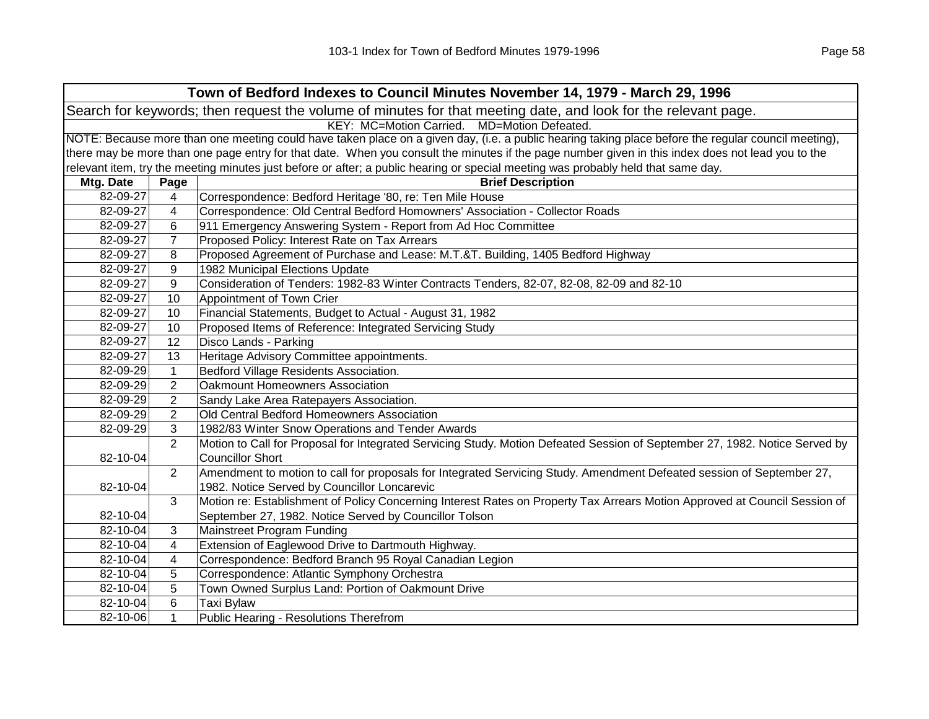| Town of Bedford Indexes to Council Minutes November 14, 1979 - March 29, 1996 |                                                                                                                                                     |                                                                                                                                                   |  |  |
|-------------------------------------------------------------------------------|-----------------------------------------------------------------------------------------------------------------------------------------------------|---------------------------------------------------------------------------------------------------------------------------------------------------|--|--|
|                                                                               | Search for keywords; then request the volume of minutes for that meeting date, and look for the relevant page.                                      |                                                                                                                                                   |  |  |
| KEY: MC=Motion Carried. MD=Motion Defeated.                                   |                                                                                                                                                     |                                                                                                                                                   |  |  |
|                                                                               | NOTE: Because more than one meeting could have taken place on a given day, (i.e. a public hearing taking place before the regular council meeting), |                                                                                                                                                   |  |  |
|                                                                               |                                                                                                                                                     | there may be more than one page entry for that date. When you consult the minutes if the page number given in this index does not lead you to the |  |  |
|                                                                               |                                                                                                                                                     | relevant item, try the meeting minutes just before or after; a public hearing or special meeting was probably held that same day.                 |  |  |
| Mtg. Date                                                                     | Page                                                                                                                                                | <b>Brief Description</b>                                                                                                                          |  |  |
| 82-09-27                                                                      | 4                                                                                                                                                   | Correspondence: Bedford Heritage '80, re: Ten Mile House                                                                                          |  |  |
| 82-09-27                                                                      | 4                                                                                                                                                   | Correspondence: Old Central Bedford Homowners' Association - Collector Roads                                                                      |  |  |
| 82-09-27                                                                      | 6                                                                                                                                                   | 911 Emergency Answering System - Report from Ad Hoc Committee                                                                                     |  |  |
| 82-09-27                                                                      | $\overline{7}$                                                                                                                                      | Proposed Policy: Interest Rate on Tax Arrears                                                                                                     |  |  |
| 82-09-27                                                                      | 8                                                                                                                                                   | Proposed Agreement of Purchase and Lease: M.T.&T. Building, 1405 Bedford Highway                                                                  |  |  |
| 82-09-27                                                                      | 9                                                                                                                                                   | 1982 Municipal Elections Update                                                                                                                   |  |  |
| 82-09-27                                                                      | 9                                                                                                                                                   | Consideration of Tenders: 1982-83 Winter Contracts Tenders, 82-07, 82-08, 82-09 and 82-10                                                         |  |  |
| 82-09-27                                                                      | 10                                                                                                                                                  | Appointment of Town Crier                                                                                                                         |  |  |
| 82-09-27                                                                      | 10                                                                                                                                                  | Financial Statements, Budget to Actual - August 31, 1982                                                                                          |  |  |
| 82-09-27                                                                      | 10                                                                                                                                                  | Proposed Items of Reference: Integrated Servicing Study                                                                                           |  |  |
| 82-09-27                                                                      | 12                                                                                                                                                  | Disco Lands - Parking                                                                                                                             |  |  |
| 82-09-27                                                                      | 13                                                                                                                                                  | Heritage Advisory Committee appointments.                                                                                                         |  |  |
| 82-09-29                                                                      | $\mathbf{1}$                                                                                                                                        | Bedford Village Residents Association.                                                                                                            |  |  |
| 82-09-29                                                                      | $\overline{2}$                                                                                                                                      | Oakmount Homeowners Association                                                                                                                   |  |  |
| 82-09-29                                                                      | $\overline{2}$                                                                                                                                      | Sandy Lake Area Ratepayers Association.                                                                                                           |  |  |
| 82-09-29                                                                      | $\overline{2}$                                                                                                                                      | Old Central Bedford Homeowners Association                                                                                                        |  |  |
| 82-09-29                                                                      | 3                                                                                                                                                   | 1982/83 Winter Snow Operations and Tender Awards                                                                                                  |  |  |
|                                                                               | $\overline{2}$                                                                                                                                      | Motion to Call for Proposal for Integrated Servicing Study. Motion Defeated Session of September 27, 1982. Notice Served by                       |  |  |
| 82-10-04                                                                      |                                                                                                                                                     | <b>Councillor Short</b>                                                                                                                           |  |  |
|                                                                               | $\overline{2}$                                                                                                                                      | Amendment to motion to call for proposals for Integrated Servicing Study. Amendment Defeated session of September 27,                             |  |  |
| 82-10-04                                                                      |                                                                                                                                                     | 1982. Notice Served by Councillor Loncarevic                                                                                                      |  |  |
|                                                                               | 3                                                                                                                                                   | Motion re: Establishment of Policy Concerning Interest Rates on Property Tax Arrears Motion Approved at Council Session of                        |  |  |
| 82-10-04                                                                      |                                                                                                                                                     | September 27, 1982. Notice Served by Councillor Tolson                                                                                            |  |  |
| 82-10-04                                                                      | 3                                                                                                                                                   | Mainstreet Program Funding                                                                                                                        |  |  |
| 82-10-04                                                                      | 4                                                                                                                                                   | Extension of Eaglewood Drive to Dartmouth Highway.                                                                                                |  |  |
| 82-10-04                                                                      | 4                                                                                                                                                   | Correspondence: Bedford Branch 95 Royal Canadian Legion                                                                                           |  |  |
| 82-10-04                                                                      | 5                                                                                                                                                   | Correspondence: Atlantic Symphony Orchestra                                                                                                       |  |  |
| 82-10-04                                                                      | 5                                                                                                                                                   | Town Owned Surplus Land: Portion of Oakmount Drive                                                                                                |  |  |
| 82-10-04                                                                      | 6                                                                                                                                                   | <b>Taxi Bylaw</b>                                                                                                                                 |  |  |
| 82-10-06                                                                      | $\mathbf{1}$                                                                                                                                        | Public Hearing - Resolutions Therefrom                                                                                                            |  |  |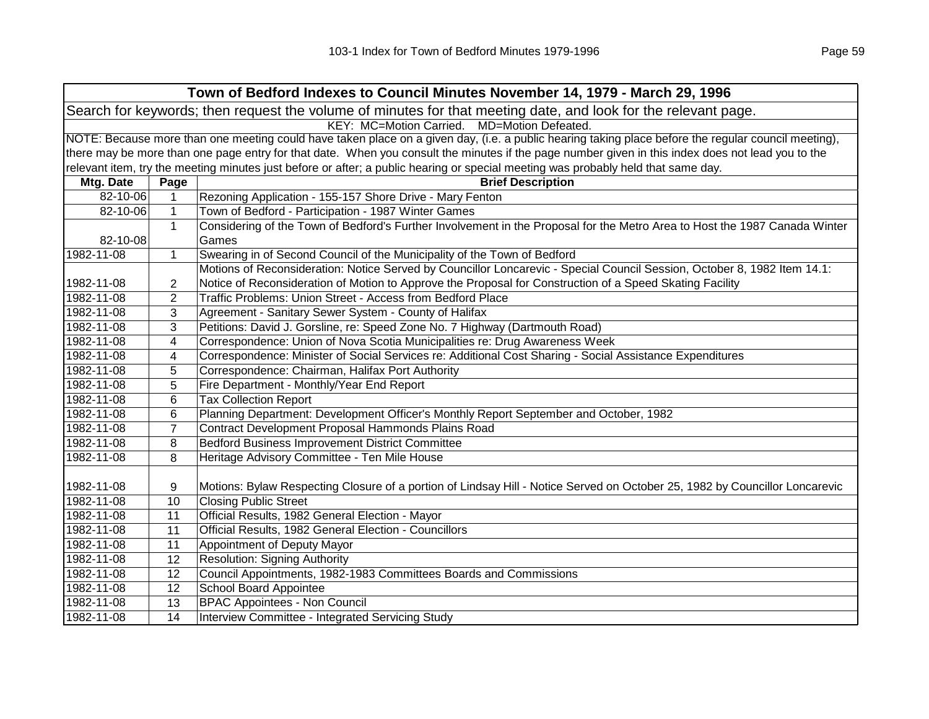| Town of Bedford Indexes to Council Minutes November 14, 1979 - March 29, 1996                                                                       |                                             |                                                                                                                                                   |  |  |  |
|-----------------------------------------------------------------------------------------------------------------------------------------------------|---------------------------------------------|---------------------------------------------------------------------------------------------------------------------------------------------------|--|--|--|
| Search for keywords; then request the volume of minutes for that meeting date, and look for the relevant page.                                      |                                             |                                                                                                                                                   |  |  |  |
|                                                                                                                                                     | KEY: MC=Motion Carried. MD=Motion Defeated. |                                                                                                                                                   |  |  |  |
| NOTE: Because more than one meeting could have taken place on a given day, (i.e. a public hearing taking place before the regular council meeting), |                                             |                                                                                                                                                   |  |  |  |
|                                                                                                                                                     |                                             | there may be more than one page entry for that date. When you consult the minutes if the page number given in this index does not lead you to the |  |  |  |
|                                                                                                                                                     |                                             | relevant item, try the meeting minutes just before or after; a public hearing or special meeting was probably held that same day.                 |  |  |  |
| Mtg. Date                                                                                                                                           | Page                                        | <b>Brief Description</b>                                                                                                                          |  |  |  |
| 82-10-06                                                                                                                                            | $\mathbf{1}$                                | Rezoning Application - 155-157 Shore Drive - Mary Fenton                                                                                          |  |  |  |
| 82-10-06                                                                                                                                            | $\mathbf{1}$                                | Town of Bedford - Participation - 1987 Winter Games                                                                                               |  |  |  |
|                                                                                                                                                     | $\mathbf{1}$                                | Considering of the Town of Bedford's Further Involvement in the Proposal for the Metro Area to Host the 1987 Canada Winter                        |  |  |  |
| 82-10-08                                                                                                                                            |                                             | Games                                                                                                                                             |  |  |  |
| 1982-11-08                                                                                                                                          | 1                                           | Swearing in of Second Council of the Municipality of the Town of Bedford                                                                          |  |  |  |
|                                                                                                                                                     |                                             | Motions of Reconsideration: Notice Served by Councillor Loncarevic - Special Council Session, October 8, 1982 Item 14.1:                          |  |  |  |
| 1982-11-08                                                                                                                                          | $\overline{c}$                              | Notice of Reconsideration of Motion to Approve the Proposal for Construction of a Speed Skating Facility                                          |  |  |  |
| 1982-11-08                                                                                                                                          | 2                                           | Traffic Problems: Union Street - Access from Bedford Place                                                                                        |  |  |  |
| 1982-11-08                                                                                                                                          | 3                                           | Agreement - Sanitary Sewer System - County of Halifax                                                                                             |  |  |  |
| 1982-11-08                                                                                                                                          | 3                                           | Petitions: David J. Gorsline, re: Speed Zone No. 7 Highway (Dartmouth Road)                                                                       |  |  |  |
| 1982-11-08                                                                                                                                          | 4                                           | Correspondence: Union of Nova Scotia Municipalities re: Drug Awareness Week                                                                       |  |  |  |
| 1982-11-08                                                                                                                                          | 4                                           | Correspondence: Minister of Social Services re: Additional Cost Sharing - Social Assistance Expenditures                                          |  |  |  |
| 1982-11-08                                                                                                                                          | 5                                           | Correspondence: Chairman, Halifax Port Authority                                                                                                  |  |  |  |
| 1982-11-08                                                                                                                                          | 5                                           | Fire Department - Monthly/Year End Report                                                                                                         |  |  |  |
| 1982-11-08                                                                                                                                          | 6                                           | <b>Tax Collection Report</b>                                                                                                                      |  |  |  |
| 1982-11-08                                                                                                                                          | 6                                           | Planning Department: Development Officer's Monthly Report September and October, 1982                                                             |  |  |  |
| 1982-11-08                                                                                                                                          | $\overline{7}$                              | Contract Development Proposal Hammonds Plains Road                                                                                                |  |  |  |
| 1982-11-08                                                                                                                                          | 8                                           | Bedford Business Improvement District Committee                                                                                                   |  |  |  |
| 1982-11-08                                                                                                                                          | 8                                           | Heritage Advisory Committee - Ten Mile House                                                                                                      |  |  |  |
|                                                                                                                                                     |                                             |                                                                                                                                                   |  |  |  |
| 1982-11-08                                                                                                                                          | 9                                           | Motions: Bylaw Respecting Closure of a portion of Lindsay Hill - Notice Served on October 25, 1982 by Councillor Loncarevic                       |  |  |  |
| 1982-11-08                                                                                                                                          | 10                                          | <b>Closing Public Street</b>                                                                                                                      |  |  |  |
| 1982-11-08                                                                                                                                          | 11                                          | Official Results, 1982 General Election - Mayor                                                                                                   |  |  |  |
| 1982-11-08                                                                                                                                          | 11                                          | Official Results, 1982 General Election - Councillors                                                                                             |  |  |  |
| 1982-11-08                                                                                                                                          | 11                                          | Appointment of Deputy Mayor                                                                                                                       |  |  |  |
| 1982-11-08                                                                                                                                          | 12                                          | <b>Resolution: Signing Authority</b>                                                                                                              |  |  |  |
| 1982-11-08                                                                                                                                          | 12                                          | Council Appointments, 1982-1983 Committees Boards and Commissions                                                                                 |  |  |  |
| 1982-11-08                                                                                                                                          | 12                                          | School Board Appointee                                                                                                                            |  |  |  |
| 1982-11-08                                                                                                                                          | 13                                          | <b>BPAC Appointees - Non Council</b>                                                                                                              |  |  |  |
| 1982-11-08                                                                                                                                          | 14                                          | Interview Committee - Integrated Servicing Study                                                                                                  |  |  |  |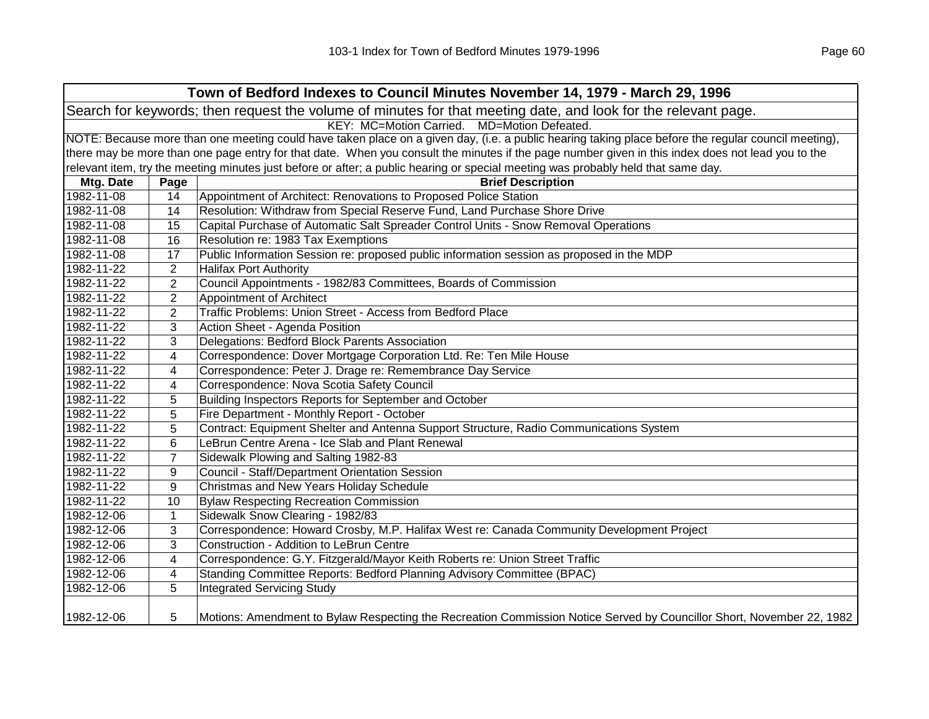|            |                                                                                                                                                     | Town of Bedford Indexes to Council Minutes November 14, 1979 - March 29, 1996                                                                     |  |  |
|------------|-----------------------------------------------------------------------------------------------------------------------------------------------------|---------------------------------------------------------------------------------------------------------------------------------------------------|--|--|
|            | Search for keywords; then request the volume of minutes for that meeting date, and look for the relevant page.                                      |                                                                                                                                                   |  |  |
|            |                                                                                                                                                     | KEY: MC=Motion Carried. MD=Motion Defeated.                                                                                                       |  |  |
|            | NOTE: Because more than one meeting could have taken place on a given day, (i.e. a public hearing taking place before the regular council meeting), |                                                                                                                                                   |  |  |
|            |                                                                                                                                                     | there may be more than one page entry for that date. When you consult the minutes if the page number given in this index does not lead you to the |  |  |
|            |                                                                                                                                                     | relevant item, try the meeting minutes just before or after; a public hearing or special meeting was probably held that same day.                 |  |  |
| Mtg. Date  | Page                                                                                                                                                | <b>Brief Description</b>                                                                                                                          |  |  |
| 1982-11-08 | 14                                                                                                                                                  | Appointment of Architect: Renovations to Proposed Police Station                                                                                  |  |  |
| 1982-11-08 | 14                                                                                                                                                  | Resolution: Withdraw from Special Reserve Fund, Land Purchase Shore Drive                                                                         |  |  |
| 1982-11-08 | 15                                                                                                                                                  | Capital Purchase of Automatic Salt Spreader Control Units - Snow Removal Operations                                                               |  |  |
| 1982-11-08 | 16                                                                                                                                                  | Resolution re: 1983 Tax Exemptions                                                                                                                |  |  |
| 1982-11-08 | 17                                                                                                                                                  | Public Information Session re: proposed public information session as proposed in the MDP                                                         |  |  |
| 1982-11-22 | $\mathbf{2}$                                                                                                                                        | <b>Halifax Port Authority</b>                                                                                                                     |  |  |
| 1982-11-22 | $\mathbf{2}$                                                                                                                                        | Council Appointments - 1982/83 Committees, Boards of Commission                                                                                   |  |  |
| 1982-11-22 | $\mathbf{2}$                                                                                                                                        | Appointment of Architect                                                                                                                          |  |  |
| 1982-11-22 | $\overline{2}$                                                                                                                                      | Traffic Problems: Union Street - Access from Bedford Place                                                                                        |  |  |
| 1982-11-22 | 3                                                                                                                                                   | Action Sheet - Agenda Position                                                                                                                    |  |  |
| 1982-11-22 | 3                                                                                                                                                   | Delegations: Bedford Block Parents Association                                                                                                    |  |  |
| 1982-11-22 | 4                                                                                                                                                   | Correspondence: Dover Mortgage Corporation Ltd. Re: Ten Mile House                                                                                |  |  |
| 1982-11-22 | 4                                                                                                                                                   | Correspondence: Peter J. Drage re: Remembrance Day Service                                                                                        |  |  |
| 1982-11-22 | 4                                                                                                                                                   | Correspondence: Nova Scotia Safety Council                                                                                                        |  |  |
| 1982-11-22 | 5                                                                                                                                                   | Building Inspectors Reports for September and October                                                                                             |  |  |
| 1982-11-22 | 5                                                                                                                                                   | Fire Department - Monthly Report - October                                                                                                        |  |  |
| 1982-11-22 | 5                                                                                                                                                   | Contract: Equipment Shelter and Antenna Support Structure, Radio Communications System                                                            |  |  |
| 1982-11-22 | 6                                                                                                                                                   | LeBrun Centre Arena - Ice Slab and Plant Renewal                                                                                                  |  |  |
| 1982-11-22 | $\overline{7}$                                                                                                                                      | Sidewalk Plowing and Salting 1982-83                                                                                                              |  |  |
| 1982-11-22 | 9                                                                                                                                                   | Council - Staff/Department Orientation Session                                                                                                    |  |  |
| 1982-11-22 | 9                                                                                                                                                   | Christmas and New Years Holiday Schedule                                                                                                          |  |  |
| 1982-11-22 | 10                                                                                                                                                  | <b>Bylaw Respecting Recreation Commission</b>                                                                                                     |  |  |
| 1982-12-06 | $\mathbf{1}$                                                                                                                                        | Sidewalk Snow Clearing - 1982/83                                                                                                                  |  |  |
| 1982-12-06 | 3                                                                                                                                                   | Correspondence: Howard Crosby, M.P. Halifax West re: Canada Community Development Project                                                         |  |  |
| 1982-12-06 | 3                                                                                                                                                   | Construction - Addition to LeBrun Centre                                                                                                          |  |  |
| 1982-12-06 | 4                                                                                                                                                   | Correspondence: G.Y. Fitzgerald/Mayor Keith Roberts re: Union Street Traffic                                                                      |  |  |
| 1982-12-06 | 4                                                                                                                                                   | Standing Committee Reports: Bedford Planning Advisory Committee (BPAC)                                                                            |  |  |
| 1982-12-06 | 5                                                                                                                                                   | <b>Integrated Servicing Study</b>                                                                                                                 |  |  |
| 1982-12-06 | 5                                                                                                                                                   | Motions: Amendment to Bylaw Respecting the Recreation Commission Notice Served by Councillor Short, November 22, 1982                             |  |  |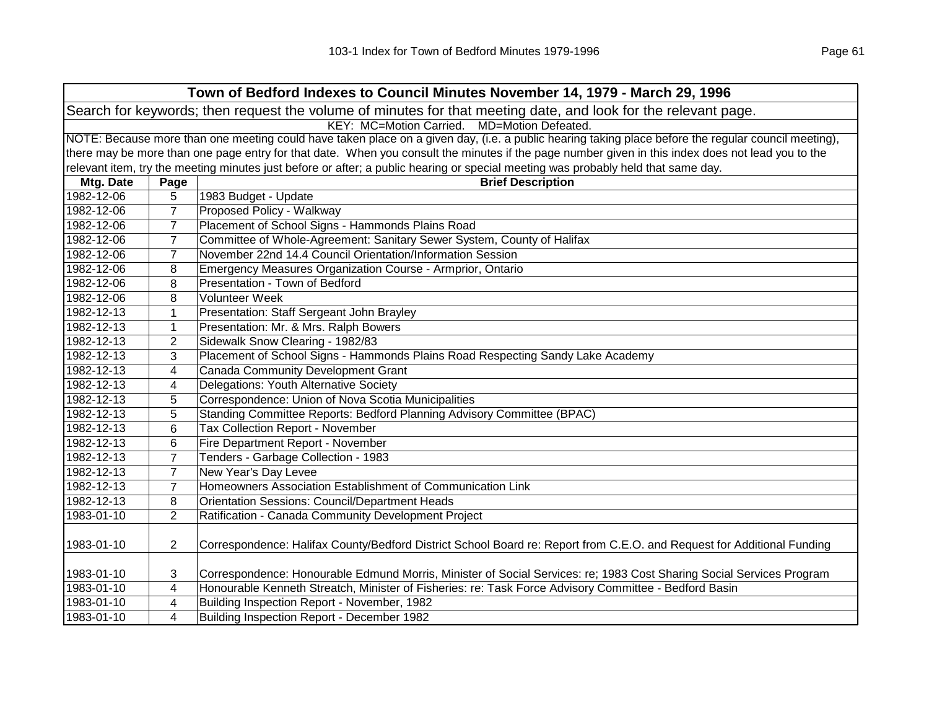|            | Town of Bedford Indexes to Council Minutes November 14, 1979 - March 29, 1996                                                                       |                                                                                                                                                   |  |  |
|------------|-----------------------------------------------------------------------------------------------------------------------------------------------------|---------------------------------------------------------------------------------------------------------------------------------------------------|--|--|
|            | Search for keywords; then request the volume of minutes for that meeting date, and look for the relevant page.                                      |                                                                                                                                                   |  |  |
|            |                                                                                                                                                     | KEY: MC=Motion Carried. MD=Motion Defeated.                                                                                                       |  |  |
|            | NOTE: Because more than one meeting could have taken place on a given day, (i.e. a public hearing taking place before the regular council meeting), |                                                                                                                                                   |  |  |
|            |                                                                                                                                                     | there may be more than one page entry for that date. When you consult the minutes if the page number given in this index does not lead you to the |  |  |
|            |                                                                                                                                                     | relevant item, try the meeting minutes just before or after; a public hearing or special meeting was probably held that same day.                 |  |  |
| Mtg. Date  | Page                                                                                                                                                | <b>Brief Description</b>                                                                                                                          |  |  |
| 1982-12-06 | 5                                                                                                                                                   | 1983 Budget - Update                                                                                                                              |  |  |
| 1982-12-06 | $\overline{7}$                                                                                                                                      | Proposed Policy - Walkway                                                                                                                         |  |  |
| 1982-12-06 | 7                                                                                                                                                   | Placement of School Signs - Hammonds Plains Road                                                                                                  |  |  |
| 1982-12-06 | 7                                                                                                                                                   | Committee of Whole-Agreement: Sanitary Sewer System, County of Halifax                                                                            |  |  |
| 1982-12-06 | 7                                                                                                                                                   | November 22nd 14.4 Council Orientation/Information Session                                                                                        |  |  |
| 1982-12-06 | 8                                                                                                                                                   | Emergency Measures Organization Course - Armprior, Ontario                                                                                        |  |  |
| 1982-12-06 | 8                                                                                                                                                   | Presentation - Town of Bedford                                                                                                                    |  |  |
| 1982-12-06 | 8                                                                                                                                                   | <b>Volunteer Week</b>                                                                                                                             |  |  |
| 1982-12-13 | $\mathbf{1}$                                                                                                                                        | Presentation: Staff Sergeant John Brayley                                                                                                         |  |  |
| 1982-12-13 | 1                                                                                                                                                   | Presentation: Mr. & Mrs. Ralph Bowers                                                                                                             |  |  |
| 1982-12-13 | 2                                                                                                                                                   | Sidewalk Snow Clearing - 1982/83                                                                                                                  |  |  |
| 1982-12-13 | 3                                                                                                                                                   | Placement of School Signs - Hammonds Plains Road Respecting Sandy Lake Academy                                                                    |  |  |
| 1982-12-13 | 4                                                                                                                                                   | <b>Canada Community Development Grant</b>                                                                                                         |  |  |
| 1982-12-13 | 4                                                                                                                                                   | Delegations: Youth Alternative Society                                                                                                            |  |  |
| 1982-12-13 | 5                                                                                                                                                   | Correspondence: Union of Nova Scotia Municipalities                                                                                               |  |  |
| 1982-12-13 | 5                                                                                                                                                   | Standing Committee Reports: Bedford Planning Advisory Committee (BPAC)                                                                            |  |  |
| 1982-12-13 | 6                                                                                                                                                   | <b>Tax Collection Report - November</b>                                                                                                           |  |  |
| 1982-12-13 | 6                                                                                                                                                   | Fire Department Report - November                                                                                                                 |  |  |
| 1982-12-13 | $\overline{7}$                                                                                                                                      | Tenders - Garbage Collection - 1983                                                                                                               |  |  |
| 1982-12-13 | $\overline{7}$                                                                                                                                      | New Year's Day Levee                                                                                                                              |  |  |
| 1982-12-13 | $\overline{7}$                                                                                                                                      | Homeowners Association Establishment of Communication Link                                                                                        |  |  |
| 1982-12-13 | 8                                                                                                                                                   | <b>Orientation Sessions: Council/Department Heads</b>                                                                                             |  |  |
| 1983-01-10 | $\overline{2}$                                                                                                                                      | Ratification - Canada Community Development Project                                                                                               |  |  |
|            |                                                                                                                                                     |                                                                                                                                                   |  |  |
| 1983-01-10 | $\overline{2}$                                                                                                                                      | Correspondence: Halifax County/Bedford District School Board re: Report from C.E.O. and Request for Additional Funding                            |  |  |
|            |                                                                                                                                                     |                                                                                                                                                   |  |  |
| 1983-01-10 | 3                                                                                                                                                   | Correspondence: Honourable Edmund Morris, Minister of Social Services: re; 1983 Cost Sharing Social Services Program                              |  |  |
| 1983-01-10 | 4                                                                                                                                                   | Honourable Kenneth Streatch, Minister of Fisheries: re: Task Force Advisory Committee - Bedford Basin                                             |  |  |
| 1983-01-10 | 4                                                                                                                                                   | Building Inspection Report - November, 1982                                                                                                       |  |  |
| 1983-01-10 | 4                                                                                                                                                   | Building Inspection Report - December 1982                                                                                                        |  |  |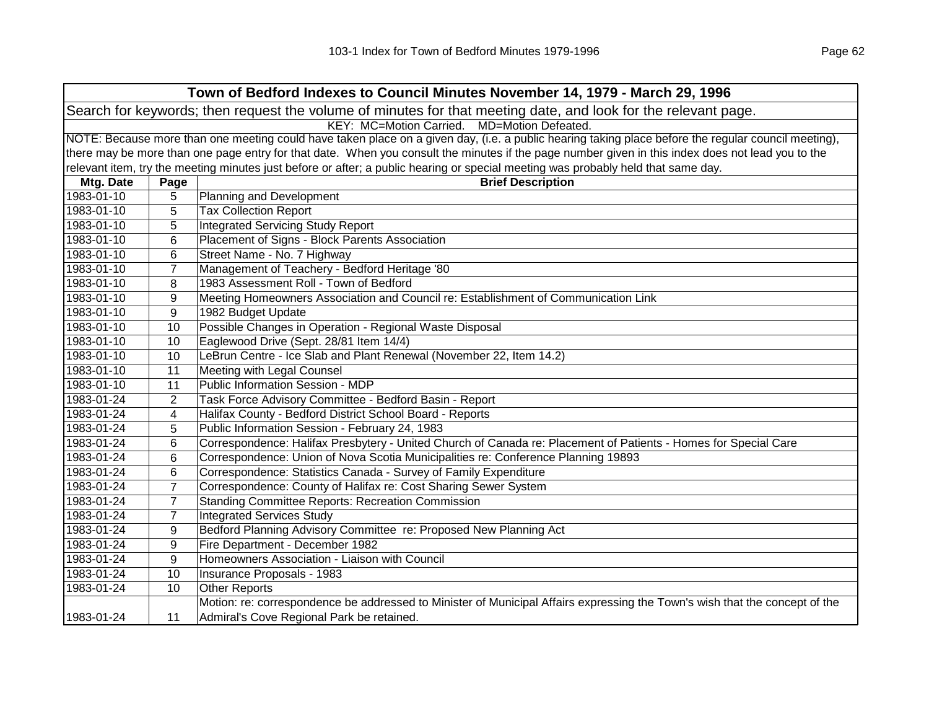|                                                                                                                | Town of Bedford Indexes to Council Minutes November 14, 1979 - March 29, 1996                                                                       |                                                                                                                                                   |  |
|----------------------------------------------------------------------------------------------------------------|-----------------------------------------------------------------------------------------------------------------------------------------------------|---------------------------------------------------------------------------------------------------------------------------------------------------|--|
| Search for keywords; then request the volume of minutes for that meeting date, and look for the relevant page. |                                                                                                                                                     |                                                                                                                                                   |  |
|                                                                                                                |                                                                                                                                                     | KEY: MC=Motion Carried. MD=Motion Defeated.                                                                                                       |  |
|                                                                                                                | NOTE: Because more than one meeting could have taken place on a given day, (i.e. a public hearing taking place before the regular council meeting), |                                                                                                                                                   |  |
|                                                                                                                |                                                                                                                                                     | there may be more than one page entry for that date. When you consult the minutes if the page number given in this index does not lead you to the |  |
|                                                                                                                |                                                                                                                                                     | relevant item, try the meeting minutes just before or after; a public hearing or special meeting was probably held that same day.                 |  |
| Mtg. Date                                                                                                      | Page                                                                                                                                                | <b>Brief Description</b>                                                                                                                          |  |
| 1983-01-10                                                                                                     | 5                                                                                                                                                   | Planning and Development                                                                                                                          |  |
| 1983-01-10                                                                                                     | 5                                                                                                                                                   | <b>Tax Collection Report</b>                                                                                                                      |  |
| 1983-01-10                                                                                                     | 5                                                                                                                                                   | <b>Integrated Servicing Study Report</b>                                                                                                          |  |
| 1983-01-10                                                                                                     | 6                                                                                                                                                   | Placement of Signs - Block Parents Association                                                                                                    |  |
| 1983-01-10                                                                                                     | 6                                                                                                                                                   | Street Name - No. 7 Highway                                                                                                                       |  |
| 1983-01-10                                                                                                     | $\overline{7}$                                                                                                                                      | Management of Teachery - Bedford Heritage '80                                                                                                     |  |
| 1983-01-10                                                                                                     | 8                                                                                                                                                   | 1983 Assessment Roll - Town of Bedford                                                                                                            |  |
| 1983-01-10                                                                                                     | 9                                                                                                                                                   | Meeting Homeowners Association and Council re: Establishment of Communication Link                                                                |  |
| 1983-01-10                                                                                                     | 9                                                                                                                                                   | 1982 Budget Update                                                                                                                                |  |
| 1983-01-10                                                                                                     | 10                                                                                                                                                  | Possible Changes in Operation - Regional Waste Disposal                                                                                           |  |
| 1983-01-10                                                                                                     | 10                                                                                                                                                  | Eaglewood Drive (Sept. 28/81 Item 14/4)                                                                                                           |  |
| 1983-01-10                                                                                                     | 10                                                                                                                                                  | LeBrun Centre - Ice Slab and Plant Renewal (November 22, Item 14.2)                                                                               |  |
| 1983-01-10                                                                                                     | 11                                                                                                                                                  | Meeting with Legal Counsel                                                                                                                        |  |
| 1983-01-10                                                                                                     | 11                                                                                                                                                  | Public Information Session - MDP                                                                                                                  |  |
| 1983-01-24                                                                                                     | $\overline{2}$                                                                                                                                      | Task Force Advisory Committee - Bedford Basin - Report                                                                                            |  |
| 1983-01-24                                                                                                     | 4                                                                                                                                                   | Halifax County - Bedford District School Board - Reports                                                                                          |  |
| 1983-01-24                                                                                                     | 5                                                                                                                                                   | Public Information Session - February 24, 1983                                                                                                    |  |
| 1983-01-24                                                                                                     | 6                                                                                                                                                   | Correspondence: Halifax Presbytery - United Church of Canada re: Placement of Patients - Homes for Special Care                                   |  |
| 1983-01-24                                                                                                     | 6                                                                                                                                                   | Correspondence: Union of Nova Scotia Municipalities re: Conference Planning 19893                                                                 |  |
| 1983-01-24                                                                                                     | 6                                                                                                                                                   | Correspondence: Statistics Canada - Survey of Family Expenditure                                                                                  |  |
| 1983-01-24                                                                                                     | $\overline{7}$                                                                                                                                      | Correspondence: County of Halifax re: Cost Sharing Sewer System                                                                                   |  |
| 1983-01-24                                                                                                     | $\overline{7}$                                                                                                                                      | <b>Standing Committee Reports: Recreation Commission</b>                                                                                          |  |
| 1983-01-24                                                                                                     | $\overline{7}$                                                                                                                                      | <b>Integrated Services Study</b>                                                                                                                  |  |
| 1983-01-24                                                                                                     | 9                                                                                                                                                   | Bedford Planning Advisory Committee re: Proposed New Planning Act                                                                                 |  |
| 1983-01-24                                                                                                     | 9                                                                                                                                                   | Fire Department - December 1982                                                                                                                   |  |
| 1983-01-24                                                                                                     | 9                                                                                                                                                   | Homeowners Association - Liaison with Council                                                                                                     |  |
| 1983-01-24                                                                                                     | 10                                                                                                                                                  | Insurance Proposals - 1983                                                                                                                        |  |
| 1983-01-24                                                                                                     | 10                                                                                                                                                  | <b>Other Reports</b>                                                                                                                              |  |
|                                                                                                                |                                                                                                                                                     | Motion: re: correspondence be addressed to Minister of Municipal Affairs expressing the Town's wish that the concept of the                       |  |
| 1983-01-24                                                                                                     | 11                                                                                                                                                  | Admiral's Cove Regional Park be retained.                                                                                                         |  |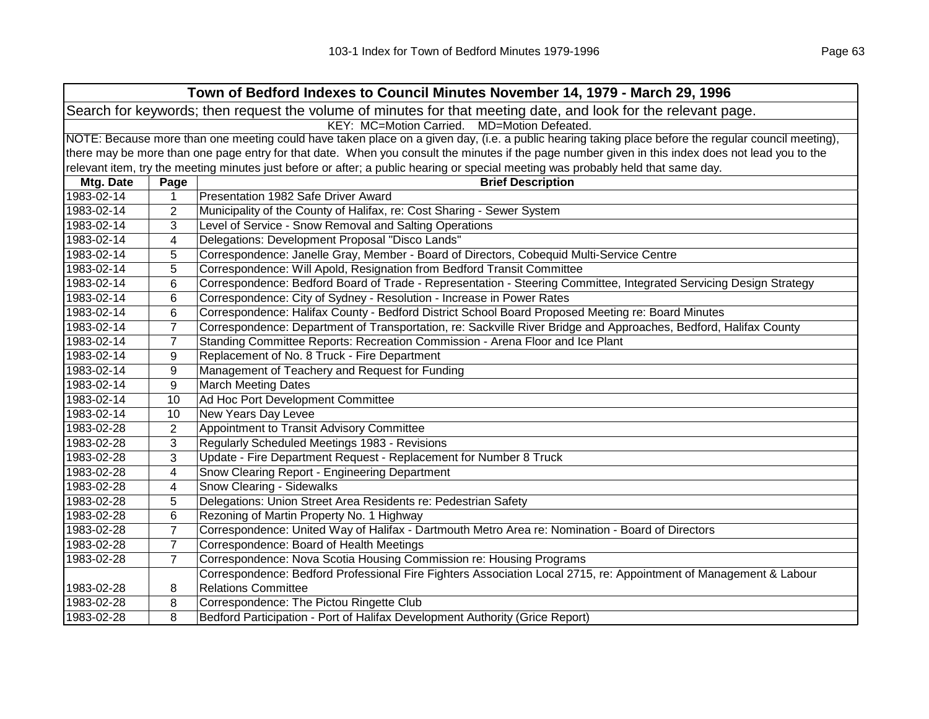| Town of Bedford Indexes to Council Minutes November 14, 1979 - March 29, 1996                                  |                                                                                                                                                     |                                                                                                                                                   |  |
|----------------------------------------------------------------------------------------------------------------|-----------------------------------------------------------------------------------------------------------------------------------------------------|---------------------------------------------------------------------------------------------------------------------------------------------------|--|
| Search for keywords; then request the volume of minutes for that meeting date, and look for the relevant page. |                                                                                                                                                     |                                                                                                                                                   |  |
| KEY: MC=Motion Carried.<br>MD=Motion Defeated.                                                                 |                                                                                                                                                     |                                                                                                                                                   |  |
|                                                                                                                | NOTE: Because more than one meeting could have taken place on a given day, (i.e. a public hearing taking place before the regular council meeting), |                                                                                                                                                   |  |
|                                                                                                                |                                                                                                                                                     | there may be more than one page entry for that date. When you consult the minutes if the page number given in this index does not lead you to the |  |
|                                                                                                                |                                                                                                                                                     | relevant item, try the meeting minutes just before or after; a public hearing or special meeting was probably held that same day.                 |  |
| Mtg. Date                                                                                                      | Page                                                                                                                                                | <b>Brief Description</b>                                                                                                                          |  |
| 1983-02-14                                                                                                     | 1                                                                                                                                                   | Presentation 1982 Safe Driver Award                                                                                                               |  |
| 1983-02-14                                                                                                     | 2                                                                                                                                                   | Municipality of the County of Halifax, re: Cost Sharing - Sewer System                                                                            |  |
| 1983-02-14                                                                                                     | 3                                                                                                                                                   | Level of Service - Snow Removal and Salting Operations                                                                                            |  |
| 1983-02-14                                                                                                     | 4                                                                                                                                                   | Delegations: Development Proposal "Disco Lands"                                                                                                   |  |
| 1983-02-14                                                                                                     | 5                                                                                                                                                   | Correspondence: Janelle Gray, Member - Board of Directors, Cobequid Multi-Service Centre                                                          |  |
| 1983-02-14                                                                                                     | 5                                                                                                                                                   | Correspondence: Will Apold, Resignation from Bedford Transit Committee                                                                            |  |
| 1983-02-14                                                                                                     | 6                                                                                                                                                   | Correspondence: Bedford Board of Trade - Representation - Steering Committee, Integrated Servicing Design Strategy                                |  |
| 1983-02-14                                                                                                     | 6                                                                                                                                                   | Correspondence: City of Sydney - Resolution - Increase in Power Rates                                                                             |  |
| 1983-02-14                                                                                                     | 6                                                                                                                                                   | Correspondence: Halifax County - Bedford District School Board Proposed Meeting re: Board Minutes                                                 |  |
| 1983-02-14                                                                                                     | $\overline{7}$                                                                                                                                      | Correspondence: Department of Transportation, re: Sackville River Bridge and Approaches, Bedford, Halifax County                                  |  |
| 1983-02-14                                                                                                     | $\overline{7}$                                                                                                                                      | Standing Committee Reports: Recreation Commission - Arena Floor and Ice Plant                                                                     |  |
| 1983-02-14                                                                                                     | 9                                                                                                                                                   | Replacement of No. 8 Truck - Fire Department                                                                                                      |  |
| 1983-02-14                                                                                                     | 9                                                                                                                                                   | Management of Teachery and Request for Funding                                                                                                    |  |
| 1983-02-14                                                                                                     | 9                                                                                                                                                   | <b>March Meeting Dates</b>                                                                                                                        |  |
| 1983-02-14                                                                                                     | 10                                                                                                                                                  | Ad Hoc Port Development Committee                                                                                                                 |  |
| 1983-02-14                                                                                                     | 10                                                                                                                                                  | New Years Day Levee                                                                                                                               |  |
| 1983-02-28                                                                                                     | $\overline{2}$                                                                                                                                      | Appointment to Transit Advisory Committee                                                                                                         |  |
| 1983-02-28                                                                                                     | 3                                                                                                                                                   | Regularly Scheduled Meetings 1983 - Revisions                                                                                                     |  |
| 1983-02-28                                                                                                     | 3                                                                                                                                                   | Update - Fire Department Request - Replacement for Number 8 Truck                                                                                 |  |
| 1983-02-28                                                                                                     | 4                                                                                                                                                   | Snow Clearing Report - Engineering Department                                                                                                     |  |
| 1983-02-28                                                                                                     | 4                                                                                                                                                   | Snow Clearing - Sidewalks                                                                                                                         |  |
| 1983-02-28                                                                                                     | 5                                                                                                                                                   | Delegations: Union Street Area Residents re: Pedestrian Safety                                                                                    |  |
| 1983-02-28                                                                                                     | 6                                                                                                                                                   | Rezoning of Martin Property No. 1 Highway                                                                                                         |  |
| 1983-02-28                                                                                                     | $\overline{7}$                                                                                                                                      | Correspondence: United Way of Halifax - Dartmouth Metro Area re: Nomination - Board of Directors                                                  |  |
| 1983-02-28                                                                                                     | $\overline{7}$                                                                                                                                      | Correspondence: Board of Health Meetings                                                                                                          |  |
| 1983-02-28                                                                                                     | $\overline{7}$                                                                                                                                      | Correspondence: Nova Scotia Housing Commission re: Housing Programs                                                                               |  |
|                                                                                                                |                                                                                                                                                     | Correspondence: Bedford Professional Fire Fighters Association Local 2715, re: Appointment of Management & Labour                                 |  |
| 1983-02-28                                                                                                     | 8                                                                                                                                                   | <b>Relations Committee</b>                                                                                                                        |  |
| 1983-02-28                                                                                                     | 8                                                                                                                                                   | Correspondence: The Pictou Ringette Club                                                                                                          |  |
| 1983-02-28                                                                                                     | 8                                                                                                                                                   | Bedford Participation - Port of Halifax Development Authority (Grice Report)                                                                      |  |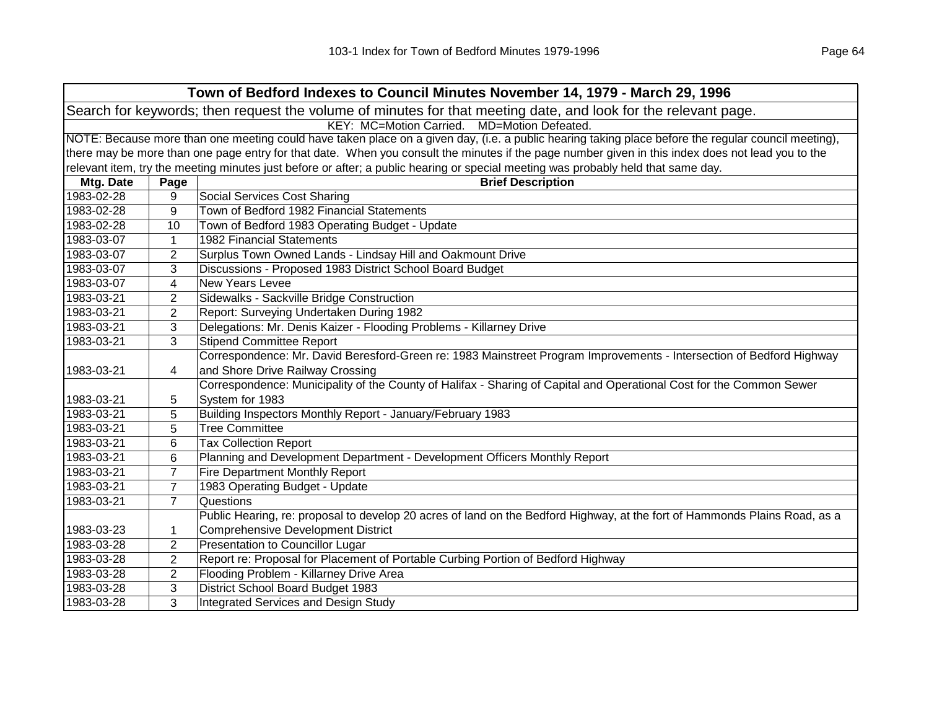|                                                                                                                | Town of Bedford Indexes to Council Minutes November 14, 1979 - March 29, 1996                                                                       |                                                                                                                                                   |  |  |
|----------------------------------------------------------------------------------------------------------------|-----------------------------------------------------------------------------------------------------------------------------------------------------|---------------------------------------------------------------------------------------------------------------------------------------------------|--|--|
| Search for keywords; then request the volume of minutes for that meeting date, and look for the relevant page. |                                                                                                                                                     |                                                                                                                                                   |  |  |
|                                                                                                                | KEY: MC=Motion Carried. MD=Motion Defeated.                                                                                                         |                                                                                                                                                   |  |  |
|                                                                                                                | NOTE: Because more than one meeting could have taken place on a given day, (i.e. a public hearing taking place before the regular council meeting), |                                                                                                                                                   |  |  |
|                                                                                                                |                                                                                                                                                     | there may be more than one page entry for that date. When you consult the minutes if the page number given in this index does not lead you to the |  |  |
|                                                                                                                |                                                                                                                                                     | relevant item, try the meeting minutes just before or after; a public hearing or special meeting was probably held that same day.                 |  |  |
| Mtg. Date                                                                                                      | Page                                                                                                                                                | <b>Brief Description</b>                                                                                                                          |  |  |
| 1983-02-28                                                                                                     | 9                                                                                                                                                   | <b>Social Services Cost Sharing</b>                                                                                                               |  |  |
| 1983-02-28                                                                                                     | 9                                                                                                                                                   | Town of Bedford 1982 Financial Statements                                                                                                         |  |  |
| 1983-02-28                                                                                                     | 10                                                                                                                                                  | Town of Bedford 1983 Operating Budget - Update                                                                                                    |  |  |
| 1983-03-07                                                                                                     | 1                                                                                                                                                   | <b>1982 Financial Statements</b>                                                                                                                  |  |  |
| 1983-03-07                                                                                                     | $\overline{2}$                                                                                                                                      | Surplus Town Owned Lands - Lindsay Hill and Oakmount Drive                                                                                        |  |  |
| 1983-03-07                                                                                                     | 3                                                                                                                                                   | Discussions - Proposed 1983 District School Board Budget                                                                                          |  |  |
| 1983-03-07                                                                                                     | 4                                                                                                                                                   | <b>New Years Levee</b>                                                                                                                            |  |  |
| 1983-03-21                                                                                                     | $\overline{2}$                                                                                                                                      | Sidewalks - Sackville Bridge Construction                                                                                                         |  |  |
| 1983-03-21                                                                                                     | $\overline{2}$                                                                                                                                      | Report: Surveying Undertaken During 1982                                                                                                          |  |  |
| 1983-03-21                                                                                                     | 3                                                                                                                                                   | Delegations: Mr. Denis Kaizer - Flooding Problems - Killarney Drive                                                                               |  |  |
| 1983-03-21                                                                                                     | 3                                                                                                                                                   | <b>Stipend Committee Report</b>                                                                                                                   |  |  |
|                                                                                                                |                                                                                                                                                     | Correspondence: Mr. David Beresford-Green re: 1983 Mainstreet Program Improvements - Intersection of Bedford Highway                              |  |  |
| 1983-03-21                                                                                                     | 4                                                                                                                                                   | and Shore Drive Railway Crossing                                                                                                                  |  |  |
|                                                                                                                |                                                                                                                                                     | Correspondence: Municipality of the County of Halifax - Sharing of Capital and Operational Cost for the Common Sewer                              |  |  |
| 1983-03-21                                                                                                     | 5                                                                                                                                                   | System for 1983                                                                                                                                   |  |  |
| 1983-03-21                                                                                                     | 5                                                                                                                                                   | Building Inspectors Monthly Report - January/February 1983                                                                                        |  |  |
| 1983-03-21                                                                                                     | 5                                                                                                                                                   | <b>Tree Committee</b>                                                                                                                             |  |  |
| 1983-03-21                                                                                                     | 6                                                                                                                                                   | <b>Tax Collection Report</b>                                                                                                                      |  |  |
| 1983-03-21                                                                                                     | 6                                                                                                                                                   | Planning and Development Department - Development Officers Monthly Report                                                                         |  |  |
| 1983-03-21                                                                                                     | $\overline{7}$                                                                                                                                      | <b>Fire Department Monthly Report</b>                                                                                                             |  |  |
| 1983-03-21                                                                                                     | $\overline{7}$                                                                                                                                      | 1983 Operating Budget - Update                                                                                                                    |  |  |
| 1983-03-21                                                                                                     | $\overline{7}$                                                                                                                                      | Questions                                                                                                                                         |  |  |
|                                                                                                                |                                                                                                                                                     | Public Hearing, re: proposal to develop 20 acres of land on the Bedford Highway, at the fort of Hammonds Plains Road, as a                        |  |  |
| 1983-03-23                                                                                                     | 1                                                                                                                                                   | <b>Comprehensive Development District</b>                                                                                                         |  |  |
| 1983-03-28                                                                                                     | $\overline{2}$                                                                                                                                      | Presentation to Councillor Lugar                                                                                                                  |  |  |
| 1983-03-28                                                                                                     | $\overline{2}$                                                                                                                                      | Report re: Proposal for Placement of Portable Curbing Portion of Bedford Highway                                                                  |  |  |
| 1983-03-28                                                                                                     | $\overline{c}$                                                                                                                                      | Flooding Problem - Killarney Drive Area                                                                                                           |  |  |
| 1983-03-28                                                                                                     | 3                                                                                                                                                   | District School Board Budget 1983                                                                                                                 |  |  |
| 1983-03-28                                                                                                     | 3                                                                                                                                                   | Integrated Services and Design Study                                                                                                              |  |  |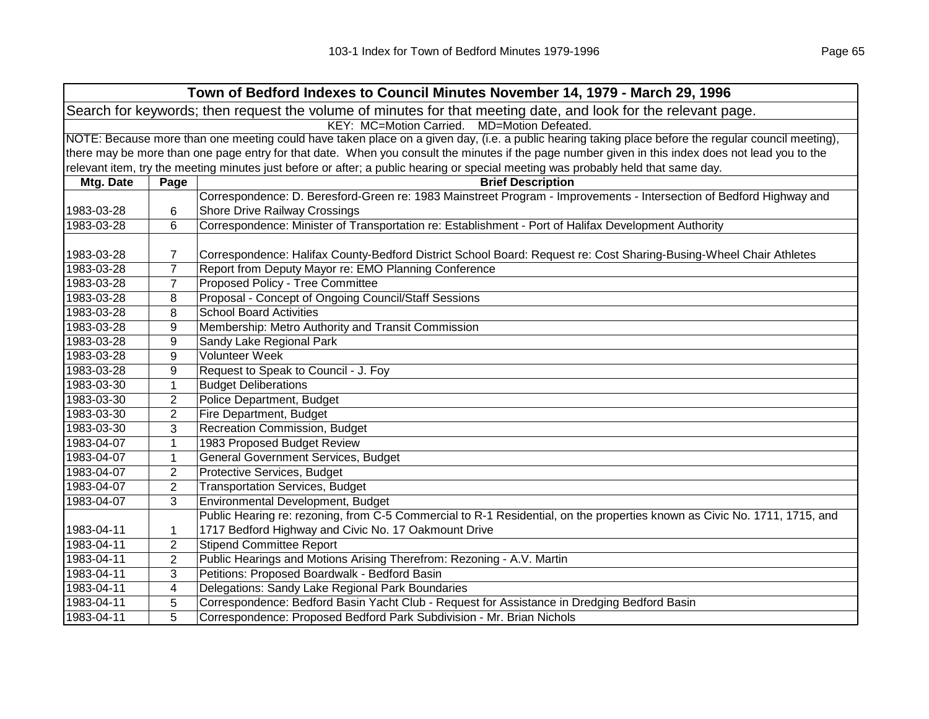|            |                                                                                                                                                     | Town of Bedford Indexes to Council Minutes November 14, 1979 - March 29, 1996                                                                     |  |  |  |
|------------|-----------------------------------------------------------------------------------------------------------------------------------------------------|---------------------------------------------------------------------------------------------------------------------------------------------------|--|--|--|
|            |                                                                                                                                                     | Search for keywords; then request the volume of minutes for that meeting date, and look for the relevant page.                                    |  |  |  |
|            |                                                                                                                                                     | KEY: MC=Motion Carried. MD=Motion Defeated.                                                                                                       |  |  |  |
|            | NOTE: Because more than one meeting could have taken place on a given day, (i.e. a public hearing taking place before the regular council meeting), |                                                                                                                                                   |  |  |  |
|            |                                                                                                                                                     | there may be more than one page entry for that date. When you consult the minutes if the page number given in this index does not lead you to the |  |  |  |
|            |                                                                                                                                                     | relevant item, try the meeting minutes just before or after; a public hearing or special meeting was probably held that same day.                 |  |  |  |
| Mtg. Date  | Page                                                                                                                                                | <b>Brief Description</b>                                                                                                                          |  |  |  |
|            |                                                                                                                                                     | Correspondence: D. Beresford-Green re: 1983 Mainstreet Program - Improvements - Intersection of Bedford Highway and                               |  |  |  |
| 1983-03-28 | 6                                                                                                                                                   | <b>Shore Drive Railway Crossings</b>                                                                                                              |  |  |  |
| 1983-03-28 | 6                                                                                                                                                   | Correspondence: Minister of Transportation re: Establishment - Port of Halifax Development Authority                                              |  |  |  |
|            |                                                                                                                                                     |                                                                                                                                                   |  |  |  |
| 1983-03-28 | 7                                                                                                                                                   | Correspondence: Halifax County-Bedford District School Board: Request re: Cost Sharing-Busing-Wheel Chair Athletes                                |  |  |  |
| 1983-03-28 | $\overline{7}$                                                                                                                                      | Report from Deputy Mayor re: EMO Planning Conference                                                                                              |  |  |  |
| 1983-03-28 | $\overline{7}$                                                                                                                                      | Proposed Policy - Tree Committee                                                                                                                  |  |  |  |
| 1983-03-28 | 8                                                                                                                                                   | Proposal - Concept of Ongoing Council/Staff Sessions                                                                                              |  |  |  |
| 1983-03-28 | 8                                                                                                                                                   | <b>School Board Activities</b>                                                                                                                    |  |  |  |
| 1983-03-28 | 9                                                                                                                                                   | Membership: Metro Authority and Transit Commission                                                                                                |  |  |  |
| 1983-03-28 | 9                                                                                                                                                   | Sandy Lake Regional Park                                                                                                                          |  |  |  |
| 1983-03-28 | 9                                                                                                                                                   | Volunteer Week                                                                                                                                    |  |  |  |
| 1983-03-28 | 9                                                                                                                                                   | Request to Speak to Council - J. Foy                                                                                                              |  |  |  |
| 1983-03-30 | 1                                                                                                                                                   | <b>Budget Deliberations</b>                                                                                                                       |  |  |  |
| 1983-03-30 | 2                                                                                                                                                   | Police Department, Budget                                                                                                                         |  |  |  |
| 1983-03-30 | $\overline{2}$                                                                                                                                      | Fire Department, Budget                                                                                                                           |  |  |  |
| 1983-03-30 | 3                                                                                                                                                   | Recreation Commission, Budget                                                                                                                     |  |  |  |
| 1983-04-07 | $\mathbf{1}$                                                                                                                                        | 1983 Proposed Budget Review                                                                                                                       |  |  |  |
| 1983-04-07 | $\mathbf{1}$                                                                                                                                        | General Government Services, Budget                                                                                                               |  |  |  |
| 1983-04-07 | $\overline{2}$                                                                                                                                      | Protective Services, Budget                                                                                                                       |  |  |  |
| 1983-04-07 | $\overline{2}$                                                                                                                                      | <b>Transportation Services, Budget</b>                                                                                                            |  |  |  |
| 1983-04-07 | 3                                                                                                                                                   | Environmental Development, Budget                                                                                                                 |  |  |  |
|            |                                                                                                                                                     | Public Hearing re: rezoning, from C-5 Commercial to R-1 Residential, on the properties known as Civic No. 1711, 1715, and                         |  |  |  |
| 1983-04-11 | $\mathbf{1}$                                                                                                                                        | 1717 Bedford Highway and Civic No. 17 Oakmount Drive                                                                                              |  |  |  |
| 1983-04-11 | $\overline{2}$                                                                                                                                      | <b>Stipend Committee Report</b>                                                                                                                   |  |  |  |
| 1983-04-11 | $\overline{2}$                                                                                                                                      | Public Hearings and Motions Arising Therefrom: Rezoning - A.V. Martin                                                                             |  |  |  |
| 1983-04-11 | 3                                                                                                                                                   | Petitions: Proposed Boardwalk - Bedford Basin                                                                                                     |  |  |  |
| 1983-04-11 | 4                                                                                                                                                   | Delegations: Sandy Lake Regional Park Boundaries                                                                                                  |  |  |  |
| 1983-04-11 | 5                                                                                                                                                   | Correspondence: Bedford Basin Yacht Club - Request for Assistance in Dredging Bedford Basin                                                       |  |  |  |
| 1983-04-11 | 5                                                                                                                                                   | Correspondence: Proposed Bedford Park Subdivision - Mr. Brian Nichols                                                                             |  |  |  |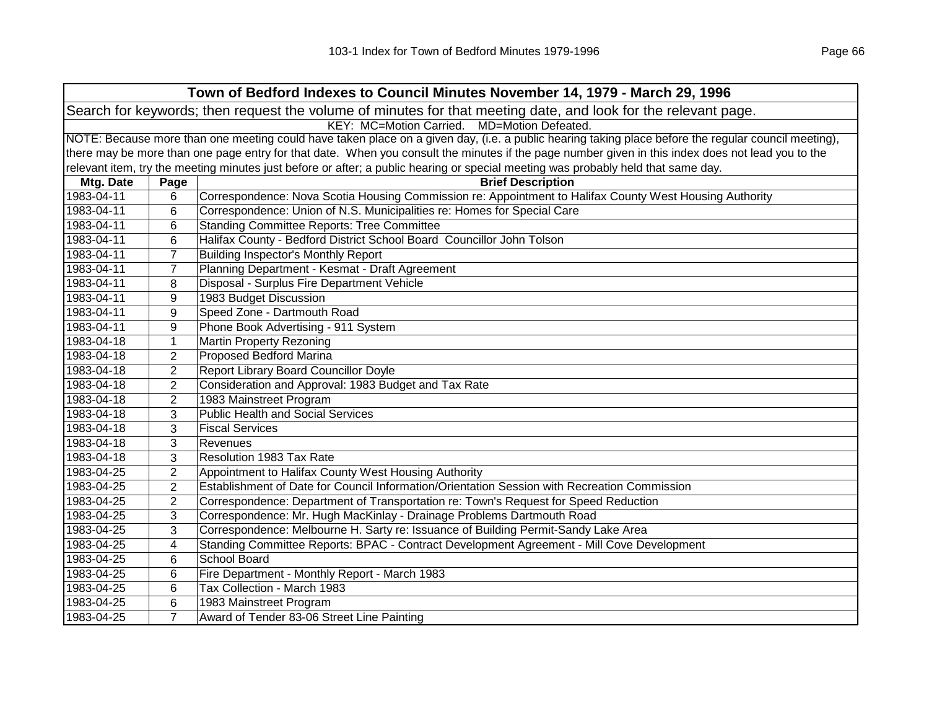|                                                                                                                | Town of Bedford Indexes to Council Minutes November 14, 1979 - March 29, 1996 |                                                                                                                                                     |  |  |
|----------------------------------------------------------------------------------------------------------------|-------------------------------------------------------------------------------|-----------------------------------------------------------------------------------------------------------------------------------------------------|--|--|
| Search for keywords; then request the volume of minutes for that meeting date, and look for the relevant page. |                                                                               |                                                                                                                                                     |  |  |
|                                                                                                                | KEY: MC=Motion Carried. MD=Motion Defeated.                                   |                                                                                                                                                     |  |  |
|                                                                                                                |                                                                               | NOTE: Because more than one meeting could have taken place on a given day, (i.e. a public hearing taking place before the regular council meeting), |  |  |
|                                                                                                                |                                                                               | there may be more than one page entry for that date. When you consult the minutes if the page number given in this index does not lead you to the   |  |  |
|                                                                                                                |                                                                               | relevant item, try the meeting minutes just before or after; a public hearing or special meeting was probably held that same day.                   |  |  |
| Mtg. Date                                                                                                      | Page                                                                          | <b>Brief Description</b>                                                                                                                            |  |  |
| 1983-04-11                                                                                                     | 6                                                                             | Correspondence: Nova Scotia Housing Commission re: Appointment to Halifax County West Housing Authority                                             |  |  |
| 1983-04-11                                                                                                     | 6                                                                             | Correspondence: Union of N.S. Municipalities re: Homes for Special Care                                                                             |  |  |
| 1983-04-11                                                                                                     | 6                                                                             | <b>Standing Committee Reports: Tree Committee</b>                                                                                                   |  |  |
| 1983-04-11                                                                                                     | 6                                                                             | Halifax County - Bedford District School Board Councillor John Tolson                                                                               |  |  |
| 1983-04-11                                                                                                     | $\overline{7}$                                                                | <b>Building Inspector's Monthly Report</b>                                                                                                          |  |  |
| 1983-04-11                                                                                                     | 7                                                                             | Planning Department - Kesmat - Draft Agreement                                                                                                      |  |  |
| 1983-04-11                                                                                                     | 8                                                                             | Disposal - Surplus Fire Department Vehicle                                                                                                          |  |  |
| 1983-04-11                                                                                                     | 9                                                                             | 1983 Budget Discussion                                                                                                                              |  |  |
| 1983-04-11                                                                                                     | 9                                                                             | Speed Zone - Dartmouth Road                                                                                                                         |  |  |
| 1983-04-11                                                                                                     | 9                                                                             | Phone Book Advertising - 911 System                                                                                                                 |  |  |
| 1983-04-18                                                                                                     | 1                                                                             | <b>Martin Property Rezoning</b>                                                                                                                     |  |  |
| 1983-04-18                                                                                                     | $\overline{2}$                                                                | <b>Proposed Bedford Marina</b>                                                                                                                      |  |  |
| 1983-04-18                                                                                                     | $\overline{2}$                                                                | <b>Report Library Board Councillor Doyle</b>                                                                                                        |  |  |
| 1983-04-18                                                                                                     | $\overline{2}$                                                                | Consideration and Approval: 1983 Budget and Tax Rate                                                                                                |  |  |
| 1983-04-18                                                                                                     | $\overline{2}$                                                                | 1983 Mainstreet Program                                                                                                                             |  |  |
| 1983-04-18                                                                                                     | 3                                                                             | <b>Public Health and Social Services</b>                                                                                                            |  |  |
| 1983-04-18                                                                                                     | 3                                                                             | <b>Fiscal Services</b>                                                                                                                              |  |  |
| 1983-04-18                                                                                                     | 3                                                                             | Revenues                                                                                                                                            |  |  |
| 1983-04-18                                                                                                     | 3                                                                             | <b>Resolution 1983 Tax Rate</b>                                                                                                                     |  |  |
| 1983-04-25                                                                                                     | 2                                                                             | Appointment to Halifax County West Housing Authority                                                                                                |  |  |
| 1983-04-25                                                                                                     | $\overline{2}$                                                                | Establishment of Date for Council Information/Orientation Session with Recreation Commission                                                        |  |  |
| 1983-04-25                                                                                                     | $\overline{2}$                                                                | Correspondence: Department of Transportation re: Town's Request for Speed Reduction                                                                 |  |  |
| 1983-04-25                                                                                                     | 3                                                                             | Correspondence: Mr. Hugh MacKinlay - Drainage Problems Dartmouth Road                                                                               |  |  |
| 1983-04-25                                                                                                     | 3                                                                             | Correspondence: Melbourne H. Sarty re: Issuance of Building Permit-Sandy Lake Area                                                                  |  |  |
| 1983-04-25                                                                                                     | 4                                                                             | Standing Committee Reports: BPAC - Contract Development Agreement - Mill Cove Development                                                           |  |  |
| 1983-04-25                                                                                                     | 6                                                                             | School Board                                                                                                                                        |  |  |
| 1983-04-25                                                                                                     | 6                                                                             | Fire Department - Monthly Report - March 1983                                                                                                       |  |  |
| 1983-04-25                                                                                                     | 6                                                                             | Tax Collection - March 1983                                                                                                                         |  |  |
| 1983-04-25                                                                                                     | $6\phantom{1}6$                                                               | 1983 Mainstreet Program                                                                                                                             |  |  |
| 1983-04-25                                                                                                     | $\overline{7}$                                                                | Award of Tender 83-06 Street Line Painting                                                                                                          |  |  |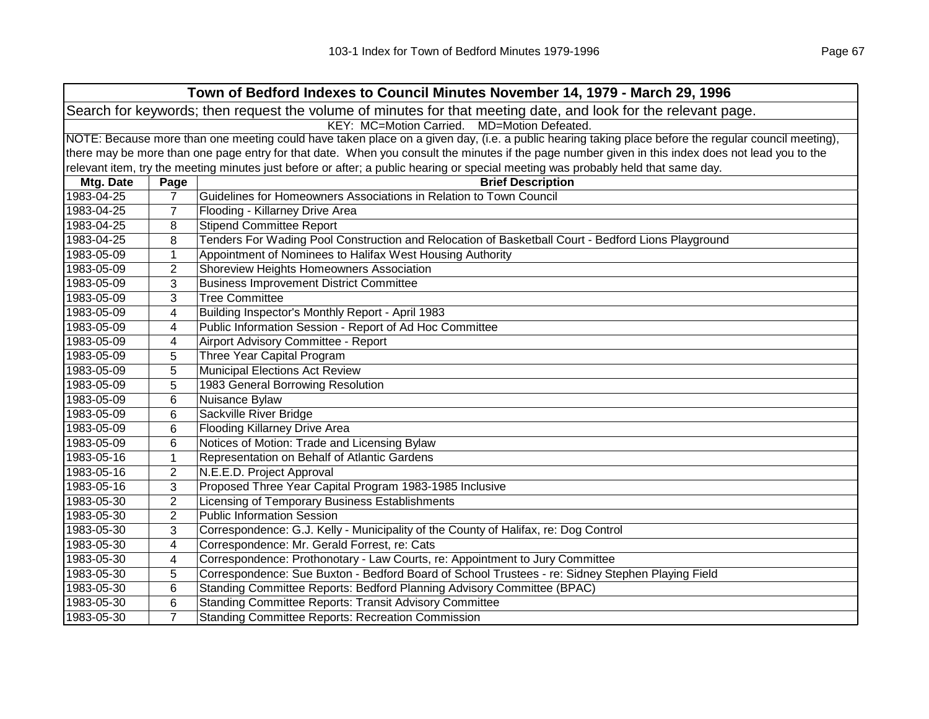|                                                                                                                | Town of Bedford Indexes to Council Minutes November 14, 1979 - March 29, 1996                                                                       |                                                                                                                                                   |  |  |
|----------------------------------------------------------------------------------------------------------------|-----------------------------------------------------------------------------------------------------------------------------------------------------|---------------------------------------------------------------------------------------------------------------------------------------------------|--|--|
| Search for keywords; then request the volume of minutes for that meeting date, and look for the relevant page. |                                                                                                                                                     |                                                                                                                                                   |  |  |
| KEY: MC=Motion Carried. MD=Motion Defeated.                                                                    |                                                                                                                                                     |                                                                                                                                                   |  |  |
|                                                                                                                | NOTE: Because more than one meeting could have taken place on a given day, (i.e. a public hearing taking place before the regular council meeting), |                                                                                                                                                   |  |  |
|                                                                                                                |                                                                                                                                                     | there may be more than one page entry for that date. When you consult the minutes if the page number given in this index does not lead you to the |  |  |
|                                                                                                                |                                                                                                                                                     | relevant item, try the meeting minutes just before or after; a public hearing or special meeting was probably held that same day.                 |  |  |
| Mtg. Date                                                                                                      | Page                                                                                                                                                | <b>Brief Description</b>                                                                                                                          |  |  |
| 1983-04-25                                                                                                     | 7                                                                                                                                                   | Guidelines for Homeowners Associations in Relation to Town Council                                                                                |  |  |
| 1983-04-25                                                                                                     | 7                                                                                                                                                   | Flooding - Killarney Drive Area                                                                                                                   |  |  |
| 1983-04-25                                                                                                     | 8                                                                                                                                                   | <b>Stipend Committee Report</b>                                                                                                                   |  |  |
| 1983-04-25                                                                                                     | 8                                                                                                                                                   | Tenders For Wading Pool Construction and Relocation of Basketball Court - Bedford Lions Playground                                                |  |  |
| 1983-05-09                                                                                                     | $\mathbf{1}$                                                                                                                                        | Appointment of Nominees to Halifax West Housing Authority                                                                                         |  |  |
| 1983-05-09                                                                                                     | $\overline{2}$                                                                                                                                      | Shoreview Heights Homeowners Association                                                                                                          |  |  |
| 1983-05-09                                                                                                     | 3                                                                                                                                                   | <b>Business Improvement District Committee</b>                                                                                                    |  |  |
| 1983-05-09                                                                                                     | 3                                                                                                                                                   | <b>Tree Committee</b>                                                                                                                             |  |  |
| 1983-05-09                                                                                                     | 4                                                                                                                                                   | Building Inspector's Monthly Report - April 1983                                                                                                  |  |  |
| 1983-05-09                                                                                                     | 4                                                                                                                                                   | Public Information Session - Report of Ad Hoc Committee                                                                                           |  |  |
| 1983-05-09                                                                                                     | 4                                                                                                                                                   | Airport Advisory Committee - Report                                                                                                               |  |  |
| 1983-05-09                                                                                                     | 5                                                                                                                                                   | Three Year Capital Program                                                                                                                        |  |  |
| 1983-05-09                                                                                                     | 5                                                                                                                                                   | Municipal Elections Act Review                                                                                                                    |  |  |
| 1983-05-09                                                                                                     | 5                                                                                                                                                   | 1983 General Borrowing Resolution                                                                                                                 |  |  |
| 1983-05-09                                                                                                     | 6                                                                                                                                                   | Nuisance Bylaw                                                                                                                                    |  |  |
| 1983-05-09                                                                                                     | 6                                                                                                                                                   | Sackville River Bridge                                                                                                                            |  |  |
| 1983-05-09                                                                                                     | 6                                                                                                                                                   | <b>Flooding Killarney Drive Area</b>                                                                                                              |  |  |
| 1983-05-09                                                                                                     | 6                                                                                                                                                   | Notices of Motion: Trade and Licensing Bylaw                                                                                                      |  |  |
| 1983-05-16                                                                                                     | 1                                                                                                                                                   | Representation on Behalf of Atlantic Gardens                                                                                                      |  |  |
| 1983-05-16                                                                                                     | $\overline{2}$                                                                                                                                      | N.E.E.D. Project Approval                                                                                                                         |  |  |
| 1983-05-16                                                                                                     | 3                                                                                                                                                   | Proposed Three Year Capital Program 1983-1985 Inclusive                                                                                           |  |  |
| 1983-05-30                                                                                                     | $\overline{2}$                                                                                                                                      | Licensing of Temporary Business Establishments                                                                                                    |  |  |
| 1983-05-30                                                                                                     | $\overline{2}$                                                                                                                                      | <b>Public Information Session</b>                                                                                                                 |  |  |
| 1983-05-30                                                                                                     | 3                                                                                                                                                   | Correspondence: G.J. Kelly - Municipality of the County of Halifax, re: Dog Control                                                               |  |  |
| 1983-05-30                                                                                                     | 4                                                                                                                                                   | Correspondence: Mr. Gerald Forrest, re: Cats                                                                                                      |  |  |
| 1983-05-30                                                                                                     | 4                                                                                                                                                   | Correspondence: Prothonotary - Law Courts, re: Appointment to Jury Committee                                                                      |  |  |
| 1983-05-30                                                                                                     | 5                                                                                                                                                   | Correspondence: Sue Buxton - Bedford Board of School Trustees - re: Sidney Stephen Playing Field                                                  |  |  |
| 1983-05-30                                                                                                     | 6                                                                                                                                                   | Standing Committee Reports: Bedford Planning Advisory Committee (BPAC)                                                                            |  |  |
| 1983-05-30                                                                                                     | 6                                                                                                                                                   | <b>Standing Committee Reports: Transit Advisory Committee</b>                                                                                     |  |  |
| 1983-05-30                                                                                                     | $\overline{7}$                                                                                                                                      | <b>Standing Committee Reports: Recreation Commission</b>                                                                                          |  |  |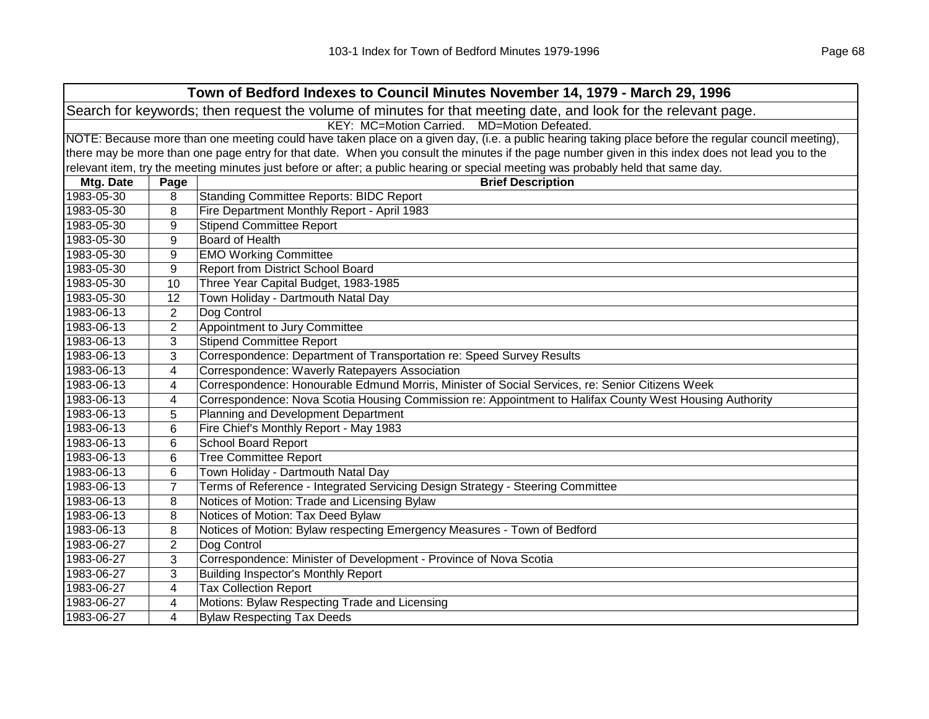| Town of Bedford Indexes to Council Minutes November 14, 1979 - March 29, 1996                                  |                                                                                                                                                     |                                                                                                                                                   |  |  |
|----------------------------------------------------------------------------------------------------------------|-----------------------------------------------------------------------------------------------------------------------------------------------------|---------------------------------------------------------------------------------------------------------------------------------------------------|--|--|
| Search for keywords; then request the volume of minutes for that meeting date, and look for the relevant page. |                                                                                                                                                     |                                                                                                                                                   |  |  |
|                                                                                                                | KEY: MC=Motion Carried. MD=Motion Defeated.                                                                                                         |                                                                                                                                                   |  |  |
|                                                                                                                | NOTE: Because more than one meeting could have taken place on a given day, (i.e. a public hearing taking place before the regular council meeting), |                                                                                                                                                   |  |  |
|                                                                                                                |                                                                                                                                                     | there may be more than one page entry for that date. When you consult the minutes if the page number given in this index does not lead you to the |  |  |
|                                                                                                                |                                                                                                                                                     | relevant item, try the meeting minutes just before or after; a public hearing or special meeting was probably held that same day.                 |  |  |
| Mtg. Date                                                                                                      | Page                                                                                                                                                | <b>Brief Description</b>                                                                                                                          |  |  |
| 1983-05-30                                                                                                     | 8                                                                                                                                                   | <b>Standing Committee Reports: BIDC Report</b>                                                                                                    |  |  |
| 1983-05-30                                                                                                     | 8                                                                                                                                                   | Fire Department Monthly Report - April 1983                                                                                                       |  |  |
| 1983-05-30                                                                                                     | 9                                                                                                                                                   | <b>Stipend Committee Report</b>                                                                                                                   |  |  |
| 1983-05-30                                                                                                     | 9                                                                                                                                                   | Board of Health                                                                                                                                   |  |  |
| 1983-05-30                                                                                                     | 9                                                                                                                                                   | <b>EMO Working Committee</b>                                                                                                                      |  |  |
| 1983-05-30                                                                                                     | 9                                                                                                                                                   | <b>Report from District School Board</b>                                                                                                          |  |  |
| 1983-05-30                                                                                                     | 10                                                                                                                                                  | Three Year Capital Budget, 1983-1985                                                                                                              |  |  |
| 1983-05-30                                                                                                     | 12                                                                                                                                                  | Town Holiday - Dartmouth Natal Day                                                                                                                |  |  |
| 1983-06-13                                                                                                     | 2                                                                                                                                                   | Dog Control                                                                                                                                       |  |  |
| 1983-06-13                                                                                                     | 2                                                                                                                                                   | Appointment to Jury Committee                                                                                                                     |  |  |
| 1983-06-13                                                                                                     | 3                                                                                                                                                   | <b>Stipend Committee Report</b>                                                                                                                   |  |  |
| 1983-06-13                                                                                                     | 3                                                                                                                                                   | Correspondence: Department of Transportation re: Speed Survey Results                                                                             |  |  |
| 1983-06-13                                                                                                     | 4                                                                                                                                                   | Correspondence: Waverly Ratepayers Association                                                                                                    |  |  |
| 1983-06-13                                                                                                     | 4                                                                                                                                                   | Correspondence: Honourable Edmund Morris, Minister of Social Services, re: Senior Citizens Week                                                   |  |  |
| 1983-06-13                                                                                                     | 4                                                                                                                                                   | Correspondence: Nova Scotia Housing Commission re: Appointment to Halifax County West Housing Authority                                           |  |  |
| 1983-06-13                                                                                                     | 5                                                                                                                                                   | Planning and Development Department                                                                                                               |  |  |
| 1983-06-13                                                                                                     | 6                                                                                                                                                   | Fire Chief's Monthly Report - May 1983                                                                                                            |  |  |
| 1983-06-13                                                                                                     | 6                                                                                                                                                   | <b>School Board Report</b>                                                                                                                        |  |  |
| 1983-06-13                                                                                                     | 6                                                                                                                                                   | <b>Tree Committee Report</b>                                                                                                                      |  |  |
| 1983-06-13                                                                                                     | 6                                                                                                                                                   | Town Holiday - Dartmouth Natal Day                                                                                                                |  |  |
| 1983-06-13                                                                                                     | 7                                                                                                                                                   | Terms of Reference - Integrated Servicing Design Strategy - Steering Committee                                                                    |  |  |
| 1983-06-13                                                                                                     | 8                                                                                                                                                   | Notices of Motion: Trade and Licensing Bylaw                                                                                                      |  |  |
| 1983-06-13                                                                                                     | 8                                                                                                                                                   | Notices of Motion: Tax Deed Bylaw                                                                                                                 |  |  |
| 1983-06-13                                                                                                     | 8                                                                                                                                                   | Notices of Motion: Bylaw respecting Emergency Measures - Town of Bedford                                                                          |  |  |
| 1983-06-27                                                                                                     | 2                                                                                                                                                   | Dog Control                                                                                                                                       |  |  |
| 1983-06-27                                                                                                     | 3                                                                                                                                                   | Correspondence: Minister of Development - Province of Nova Scotia                                                                                 |  |  |
| 1983-06-27                                                                                                     | 3                                                                                                                                                   | <b>Building Inspector's Monthly Report</b>                                                                                                        |  |  |
| 1983-06-27                                                                                                     | 4                                                                                                                                                   | <b>Tax Collection Report</b>                                                                                                                      |  |  |
| 1983-06-27                                                                                                     | 4                                                                                                                                                   | Motions: Bylaw Respecting Trade and Licensing                                                                                                     |  |  |
| 1983-06-27                                                                                                     | 4                                                                                                                                                   | <b>Bylaw Respecting Tax Deeds</b>                                                                                                                 |  |  |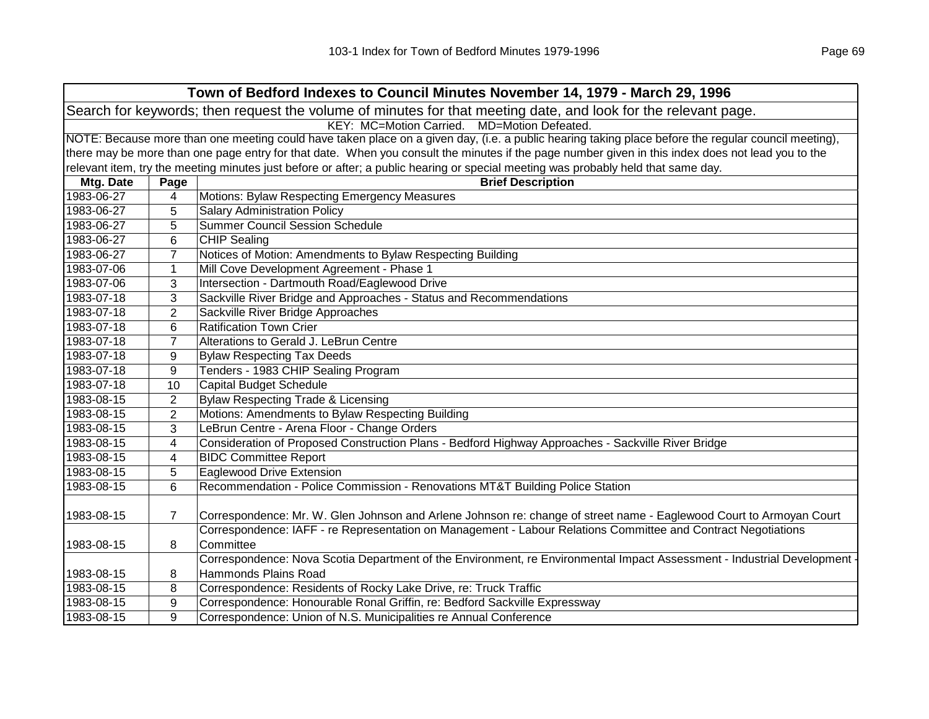|            | Town of Bedford Indexes to Council Minutes November 14, 1979 - March 29, 1996                                                                       |                                                                                                                                                   |  |  |
|------------|-----------------------------------------------------------------------------------------------------------------------------------------------------|---------------------------------------------------------------------------------------------------------------------------------------------------|--|--|
|            | Search for keywords; then request the volume of minutes for that meeting date, and look for the relevant page.                                      |                                                                                                                                                   |  |  |
|            | KEY: MC=Motion Carried. MD=Motion Defeated.                                                                                                         |                                                                                                                                                   |  |  |
|            | NOTE: Because more than one meeting could have taken place on a given day, (i.e. a public hearing taking place before the regular council meeting), |                                                                                                                                                   |  |  |
|            |                                                                                                                                                     | there may be more than one page entry for that date. When you consult the minutes if the page number given in this index does not lead you to the |  |  |
|            |                                                                                                                                                     | relevant item, try the meeting minutes just before or after; a public hearing or special meeting was probably held that same day.                 |  |  |
| Mtg. Date  | Page                                                                                                                                                | <b>Brief Description</b>                                                                                                                          |  |  |
| 1983-06-27 | 4                                                                                                                                                   | Motions: Bylaw Respecting Emergency Measures                                                                                                      |  |  |
| 1983-06-27 | 5                                                                                                                                                   | <b>Salary Administration Policy</b>                                                                                                               |  |  |
| 1983-06-27 | 5                                                                                                                                                   | Summer Council Session Schedule                                                                                                                   |  |  |
| 1983-06-27 | 6                                                                                                                                                   | <b>CHIP Sealing</b>                                                                                                                               |  |  |
| 1983-06-27 | 7                                                                                                                                                   | Notices of Motion: Amendments to Bylaw Respecting Building                                                                                        |  |  |
| 1983-07-06 | $\mathbf{1}$                                                                                                                                        | Mill Cove Development Agreement - Phase 1                                                                                                         |  |  |
| 1983-07-06 | 3                                                                                                                                                   | Intersection - Dartmouth Road/Eaglewood Drive                                                                                                     |  |  |
| 1983-07-18 | 3                                                                                                                                                   | Sackville River Bridge and Approaches - Status and Recommendations                                                                                |  |  |
| 1983-07-18 | $\overline{2}$                                                                                                                                      | Sackville River Bridge Approaches                                                                                                                 |  |  |
| 1983-07-18 | 6                                                                                                                                                   | <b>Ratification Town Crier</b>                                                                                                                    |  |  |
| 1983-07-18 | $\overline{7}$                                                                                                                                      | Alterations to Gerald J. LeBrun Centre                                                                                                            |  |  |
| 1983-07-18 | 9                                                                                                                                                   | <b>Bylaw Respecting Tax Deeds</b>                                                                                                                 |  |  |
| 1983-07-18 | 9                                                                                                                                                   | Tenders - 1983 CHIP Sealing Program                                                                                                               |  |  |
| 1983-07-18 | 10                                                                                                                                                  | Capital Budget Schedule                                                                                                                           |  |  |
| 1983-08-15 | 2                                                                                                                                                   | Bylaw Respecting Trade & Licensing                                                                                                                |  |  |
| 1983-08-15 | $\overline{2}$                                                                                                                                      | Motions: Amendments to Bylaw Respecting Building                                                                                                  |  |  |
| 1983-08-15 | 3                                                                                                                                                   | LeBrun Centre - Arena Floor - Change Orders                                                                                                       |  |  |
| 1983-08-15 | 4                                                                                                                                                   | Consideration of Proposed Construction Plans - Bedford Highway Approaches - Sackville River Bridge                                                |  |  |
| 1983-08-15 | 4                                                                                                                                                   | <b>BIDC Committee Report</b>                                                                                                                      |  |  |
| 1983-08-15 | 5                                                                                                                                                   | <b>Eaglewood Drive Extension</b>                                                                                                                  |  |  |
| 1983-08-15 | 6                                                                                                                                                   | Recommendation - Police Commission - Renovations MT&T Building Police Station                                                                     |  |  |
|            |                                                                                                                                                     |                                                                                                                                                   |  |  |
| 1983-08-15 | $\overline{7}$                                                                                                                                      | Correspondence: Mr. W. Glen Johnson and Arlene Johnson re: change of street name - Eaglewood Court to Armoyan Court                               |  |  |
|            |                                                                                                                                                     | Correspondence: IAFF - re Representation on Management - Labour Relations Committee and Contract Negotiations                                     |  |  |
| 1983-08-15 | 8                                                                                                                                                   | Committee                                                                                                                                         |  |  |
|            |                                                                                                                                                     | Correspondence: Nova Scotia Department of the Environment, re Environmental Impact Assessment - Industrial Development -                          |  |  |
| 1983-08-15 | 8                                                                                                                                                   | Hammonds Plains Road                                                                                                                              |  |  |
| 1983-08-15 | 8                                                                                                                                                   | Correspondence: Residents of Rocky Lake Drive, re: Truck Traffic                                                                                  |  |  |
| 1983-08-15 | 9                                                                                                                                                   | Correspondence: Honourable Ronal Griffin, re: Bedford Sackville Expressway                                                                        |  |  |
| 1983-08-15 | 9                                                                                                                                                   | Correspondence: Union of N.S. Municipalities re Annual Conference                                                                                 |  |  |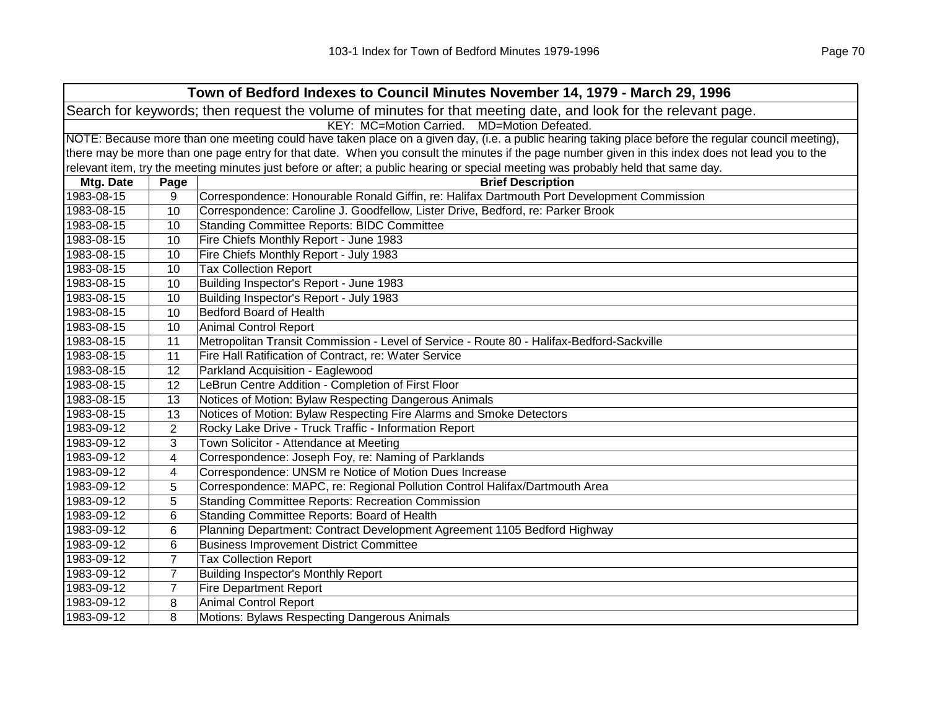| Town of Bedford Indexes to Council Minutes November 14, 1979 - March 29, 1996 |                                                                                                                                                     |                                                                                                                                                   |  |
|-------------------------------------------------------------------------------|-----------------------------------------------------------------------------------------------------------------------------------------------------|---------------------------------------------------------------------------------------------------------------------------------------------------|--|
|                                                                               | Search for keywords; then request the volume of minutes for that meeting date, and look for the relevant page.                                      |                                                                                                                                                   |  |
|                                                                               |                                                                                                                                                     | KEY: MC=Motion Carried. MD=Motion Defeated.                                                                                                       |  |
|                                                                               | NOTE: Because more than one meeting could have taken place on a given day, (i.e. a public hearing taking place before the regular council meeting), |                                                                                                                                                   |  |
|                                                                               |                                                                                                                                                     | there may be more than one page entry for that date. When you consult the minutes if the page number given in this index does not lead you to the |  |
|                                                                               |                                                                                                                                                     | relevant item, try the meeting minutes just before or after; a public hearing or special meeting was probably held that same day.                 |  |
| Mtg. Date                                                                     | Page                                                                                                                                                | <b>Brief Description</b>                                                                                                                          |  |
| 1983-08-15                                                                    | 9                                                                                                                                                   | Correspondence: Honourable Ronald Giffin, re: Halifax Dartmouth Port Development Commission                                                       |  |
| 1983-08-15                                                                    | 10                                                                                                                                                  | Correspondence: Caroline J. Goodfellow, Lister Drive, Bedford, re: Parker Brook                                                                   |  |
| 1983-08-15                                                                    | 10                                                                                                                                                  | <b>Standing Committee Reports: BIDC Committee</b>                                                                                                 |  |
| 1983-08-15                                                                    | 10                                                                                                                                                  | Fire Chiefs Monthly Report - June 1983                                                                                                            |  |
| 1983-08-15                                                                    | 10                                                                                                                                                  | Fire Chiefs Monthly Report - July 1983                                                                                                            |  |
| 1983-08-15                                                                    | 10                                                                                                                                                  | <b>Tax Collection Report</b>                                                                                                                      |  |
| 1983-08-15                                                                    | 10                                                                                                                                                  | Building Inspector's Report - June 1983                                                                                                           |  |
| 1983-08-15                                                                    | 10                                                                                                                                                  | Building Inspector's Report - July 1983                                                                                                           |  |
| 1983-08-15                                                                    | 10                                                                                                                                                  | <b>Bedford Board of Health</b>                                                                                                                    |  |
| 1983-08-15                                                                    | 10                                                                                                                                                  | <b>Animal Control Report</b>                                                                                                                      |  |
| 1983-08-15                                                                    | 11                                                                                                                                                  | Metropolitan Transit Commission - Level of Service - Route 80 - Halifax-Bedford-Sackville                                                         |  |
| 1983-08-15                                                                    | 11                                                                                                                                                  | Fire Hall Ratification of Contract, re: Water Service                                                                                             |  |
| 1983-08-15                                                                    | 12                                                                                                                                                  | Parkland Acquisition - Eaglewood                                                                                                                  |  |
| 1983-08-15                                                                    | 12                                                                                                                                                  | LeBrun Centre Addition - Completion of First Floor                                                                                                |  |
| 1983-08-15                                                                    | 13                                                                                                                                                  | Notices of Motion: Bylaw Respecting Dangerous Animals                                                                                             |  |
| 1983-08-15                                                                    | 13                                                                                                                                                  | Notices of Motion: Bylaw Respecting Fire Alarms and Smoke Detectors                                                                               |  |
| 1983-09-12                                                                    | 2                                                                                                                                                   | Rocky Lake Drive - Truck Traffic - Information Report                                                                                             |  |
| 1983-09-12                                                                    | 3                                                                                                                                                   | Town Solicitor - Attendance at Meeting                                                                                                            |  |
| 1983-09-12                                                                    | 4                                                                                                                                                   | Correspondence: Joseph Foy, re: Naming of Parklands                                                                                               |  |
| 1983-09-12                                                                    | 4                                                                                                                                                   | Correspondence: UNSM re Notice of Motion Dues Increase                                                                                            |  |
| 1983-09-12                                                                    | 5                                                                                                                                                   | Correspondence: MAPC, re: Regional Pollution Control Halifax/Dartmouth Area                                                                       |  |
| 1983-09-12                                                                    | 5                                                                                                                                                   | <b>Standing Committee Reports: Recreation Commission</b>                                                                                          |  |
| 1983-09-12                                                                    | 6                                                                                                                                                   | Standing Committee Reports: Board of Health                                                                                                       |  |
| 1983-09-12                                                                    | 6                                                                                                                                                   | Planning Department: Contract Development Agreement 1105 Bedford Highway                                                                          |  |
| 1983-09-12                                                                    | 6                                                                                                                                                   | <b>Business Improvement District Committee</b>                                                                                                    |  |
| 1983-09-12                                                                    | $\overline{7}$                                                                                                                                      | <b>Tax Collection Report</b>                                                                                                                      |  |
| 1983-09-12                                                                    | $\overline{7}$                                                                                                                                      | <b>Building Inspector's Monthly Report</b>                                                                                                        |  |
| 1983-09-12                                                                    | $\overline{7}$                                                                                                                                      | <b>Fire Department Report</b>                                                                                                                     |  |
| 1983-09-12                                                                    | 8                                                                                                                                                   | <b>Animal Control Report</b>                                                                                                                      |  |
| 1983-09-12                                                                    | 8                                                                                                                                                   | Motions: Bylaws Respecting Dangerous Animals                                                                                                      |  |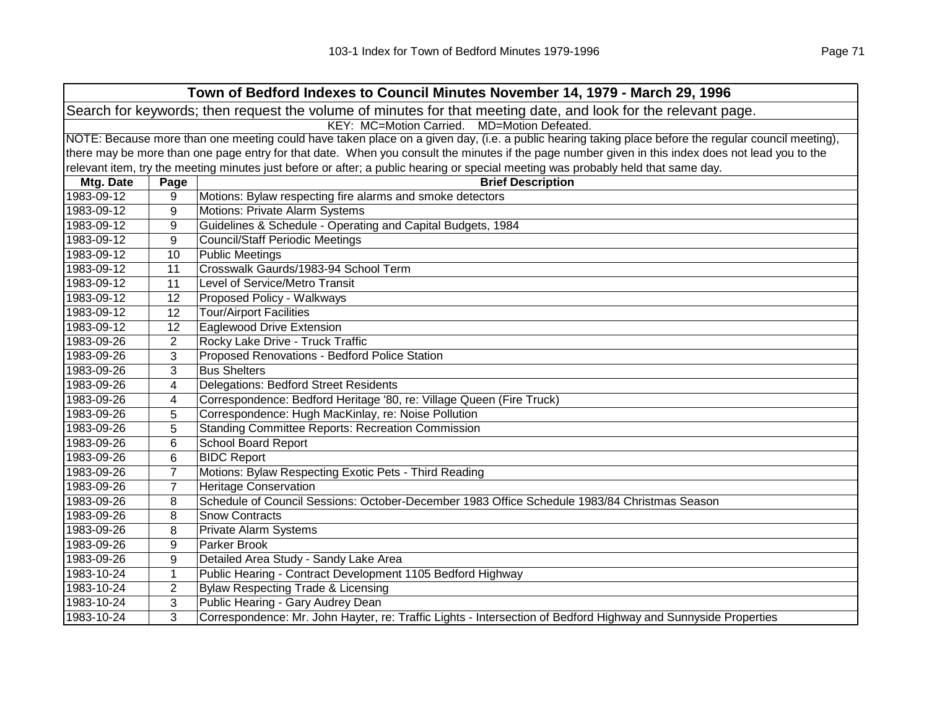| Town of Bedford Indexes to Council Minutes November 14, 1979 - March 29, 1996                                  |                                                                                                                                                     |                                                                                                                                                   |  |  |
|----------------------------------------------------------------------------------------------------------------|-----------------------------------------------------------------------------------------------------------------------------------------------------|---------------------------------------------------------------------------------------------------------------------------------------------------|--|--|
| Search for keywords; then request the volume of minutes for that meeting date, and look for the relevant page. |                                                                                                                                                     |                                                                                                                                                   |  |  |
|                                                                                                                | KEY: MC=Motion Carried. MD=Motion Defeated.                                                                                                         |                                                                                                                                                   |  |  |
|                                                                                                                | NOTE: Because more than one meeting could have taken place on a given day, (i.e. a public hearing taking place before the regular council meeting), |                                                                                                                                                   |  |  |
|                                                                                                                |                                                                                                                                                     | there may be more than one page entry for that date. When you consult the minutes if the page number given in this index does not lead you to the |  |  |
|                                                                                                                |                                                                                                                                                     | relevant item, try the meeting minutes just before or after; a public hearing or special meeting was probably held that same day.                 |  |  |
| Mtg. Date                                                                                                      | Page                                                                                                                                                | <b>Brief Description</b>                                                                                                                          |  |  |
| 1983-09-12                                                                                                     | 9                                                                                                                                                   | Motions: Bylaw respecting fire alarms and smoke detectors                                                                                         |  |  |
| 1983-09-12                                                                                                     | 9                                                                                                                                                   | Motions: Private Alarm Systems                                                                                                                    |  |  |
| 1983-09-12                                                                                                     | 9                                                                                                                                                   | Guidelines & Schedule - Operating and Capital Budgets, 1984                                                                                       |  |  |
| 1983-09-12                                                                                                     | 9                                                                                                                                                   | <b>Council/Staff Periodic Meetings</b>                                                                                                            |  |  |
| 1983-09-12                                                                                                     | 10                                                                                                                                                  | <b>Public Meetings</b>                                                                                                                            |  |  |
| 1983-09-12                                                                                                     | 11                                                                                                                                                  | Crosswalk Gaurds/1983-94 School Term                                                                                                              |  |  |
| 1983-09-12                                                                                                     | 11                                                                                                                                                  | Level of Service/Metro Transit                                                                                                                    |  |  |
| 1983-09-12                                                                                                     | 12                                                                                                                                                  | Proposed Policy - Walkways                                                                                                                        |  |  |
| 1983-09-12                                                                                                     | 12                                                                                                                                                  | <b>Tour/Airport Facilities</b>                                                                                                                    |  |  |
| 1983-09-12                                                                                                     | 12                                                                                                                                                  | <b>Eaglewood Drive Extension</b>                                                                                                                  |  |  |
| 1983-09-26                                                                                                     | $\overline{2}$                                                                                                                                      | Rocky Lake Drive - Truck Traffic                                                                                                                  |  |  |
| 1983-09-26                                                                                                     | 3                                                                                                                                                   | Proposed Renovations - Bedford Police Station                                                                                                     |  |  |
| 1983-09-26                                                                                                     | 3                                                                                                                                                   | <b>Bus Shelters</b>                                                                                                                               |  |  |
| 1983-09-26                                                                                                     | 4                                                                                                                                                   | Delegations: Bedford Street Residents                                                                                                             |  |  |
| 1983-09-26                                                                                                     | 4                                                                                                                                                   | Correspondence: Bedford Heritage '80, re: Village Queen (Fire Truck)                                                                              |  |  |
| 1983-09-26                                                                                                     | 5                                                                                                                                                   | Correspondence: Hugh MacKinlay, re: Noise Pollution                                                                                               |  |  |
| 1983-09-26                                                                                                     | 5                                                                                                                                                   | <b>Standing Committee Reports: Recreation Commission</b>                                                                                          |  |  |
| 1983-09-26                                                                                                     | 6                                                                                                                                                   | <b>School Board Report</b>                                                                                                                        |  |  |
| 1983-09-26                                                                                                     | 6                                                                                                                                                   | <b>BIDC Report</b>                                                                                                                                |  |  |
| 1983-09-26                                                                                                     | $\overline{7}$                                                                                                                                      | Motions: Bylaw Respecting Exotic Pets - Third Reading                                                                                             |  |  |
| 1983-09-26                                                                                                     | $\overline{7}$                                                                                                                                      | <b>Heritage Conservation</b>                                                                                                                      |  |  |
| 1983-09-26                                                                                                     | 8                                                                                                                                                   | Schedule of Council Sessions: October-December 1983 Office Schedule 1983/84 Christmas Season                                                      |  |  |
| 1983-09-26                                                                                                     | 8                                                                                                                                                   | <b>Snow Contracts</b>                                                                                                                             |  |  |
| 1983-09-26                                                                                                     | 8                                                                                                                                                   | <b>Private Alarm Systems</b>                                                                                                                      |  |  |
| 1983-09-26                                                                                                     | 9                                                                                                                                                   | Parker Brook                                                                                                                                      |  |  |
| 1983-09-26                                                                                                     | 9                                                                                                                                                   | Detailed Area Study - Sandy Lake Area                                                                                                             |  |  |
| 1983-10-24                                                                                                     | $\mathbf{1}$                                                                                                                                        | Public Hearing - Contract Development 1105 Bedford Highway                                                                                        |  |  |
| 1983-10-24                                                                                                     | $\overline{2}$                                                                                                                                      | Bylaw Respecting Trade & Licensing                                                                                                                |  |  |
| 1983-10-24                                                                                                     | 3                                                                                                                                                   | Public Hearing - Gary Audrey Dean                                                                                                                 |  |  |
| 1983-10-24                                                                                                     | 3                                                                                                                                                   | Correspondence: Mr. John Hayter, re: Traffic Lights - Intersection of Bedford Highway and Sunnyside Properties                                    |  |  |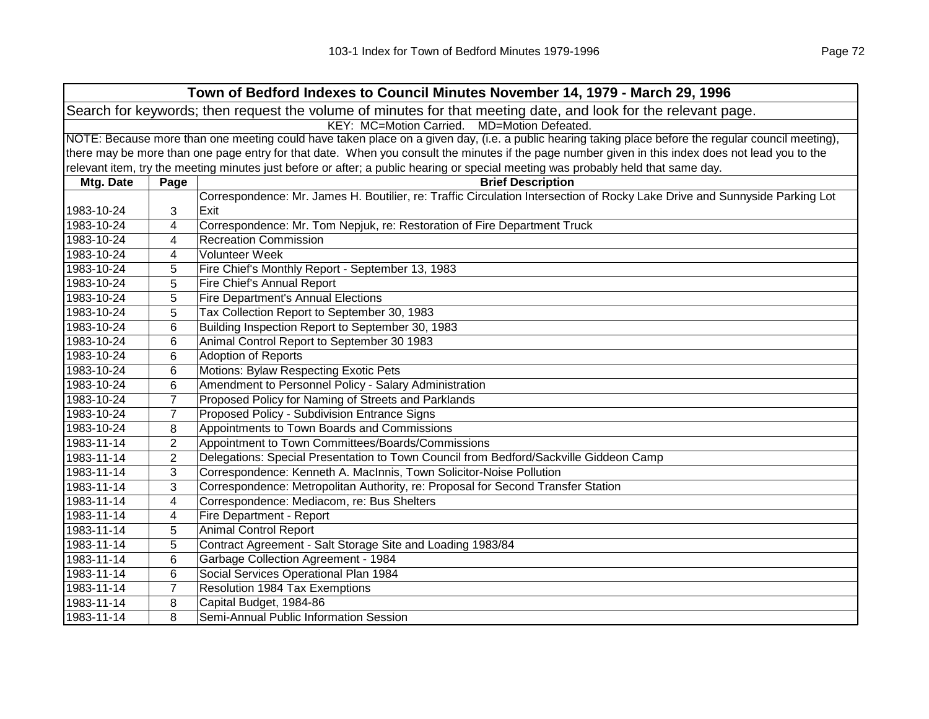| Town of Bedford Indexes to Council Minutes November 14, 1979 - March 29, 1996                                  |                                                                                                                                                     |                                                                                                                                                   |  |
|----------------------------------------------------------------------------------------------------------------|-----------------------------------------------------------------------------------------------------------------------------------------------------|---------------------------------------------------------------------------------------------------------------------------------------------------|--|
| Search for keywords; then request the volume of minutes for that meeting date, and look for the relevant page. |                                                                                                                                                     |                                                                                                                                                   |  |
|                                                                                                                |                                                                                                                                                     | KEY: MC=Motion Carried. MD=Motion Defeated.                                                                                                       |  |
|                                                                                                                | NOTE: Because more than one meeting could have taken place on a given day, (i.e. a public hearing taking place before the regular council meeting), |                                                                                                                                                   |  |
|                                                                                                                |                                                                                                                                                     | there may be more than one page entry for that date. When you consult the minutes if the page number given in this index does not lead you to the |  |
|                                                                                                                |                                                                                                                                                     | relevant item, try the meeting minutes just before or after; a public hearing or special meeting was probably held that same day.                 |  |
| Mtg. Date                                                                                                      | Page                                                                                                                                                | <b>Brief Description</b>                                                                                                                          |  |
|                                                                                                                |                                                                                                                                                     | Correspondence: Mr. James H. Boutilier, re: Traffic Circulation Intersection of Rocky Lake Drive and Sunnyside Parking Lot                        |  |
| 1983-10-24                                                                                                     | 3                                                                                                                                                   | Exit                                                                                                                                              |  |
| 1983-10-24                                                                                                     | 4                                                                                                                                                   | Correspondence: Mr. Tom Nepjuk, re: Restoration of Fire Department Truck                                                                          |  |
| 1983-10-24                                                                                                     | 4                                                                                                                                                   | <b>Recreation Commission</b>                                                                                                                      |  |
| 1983-10-24                                                                                                     | 4                                                                                                                                                   | Volunteer Week                                                                                                                                    |  |
| 1983-10-24                                                                                                     | 5                                                                                                                                                   | Fire Chief's Monthly Report - September 13, 1983                                                                                                  |  |
| 1983-10-24                                                                                                     | 5                                                                                                                                                   | Fire Chief's Annual Report                                                                                                                        |  |
| 1983-10-24                                                                                                     | 5                                                                                                                                                   | <b>Fire Department's Annual Elections</b>                                                                                                         |  |
| 1983-10-24                                                                                                     | 5                                                                                                                                                   | Tax Collection Report to September 30, 1983                                                                                                       |  |
| 1983-10-24                                                                                                     | 6                                                                                                                                                   | Building Inspection Report to September 30, 1983                                                                                                  |  |
| 1983-10-24                                                                                                     | 6                                                                                                                                                   | Animal Control Report to September 30 1983                                                                                                        |  |
| 1983-10-24                                                                                                     | 6                                                                                                                                                   | Adoption of Reports                                                                                                                               |  |
| 1983-10-24                                                                                                     | 6                                                                                                                                                   | Motions: Bylaw Respecting Exotic Pets                                                                                                             |  |
| 1983-10-24                                                                                                     | 6                                                                                                                                                   | Amendment to Personnel Policy - Salary Administration                                                                                             |  |
| 1983-10-24                                                                                                     | $\overline{7}$                                                                                                                                      | Proposed Policy for Naming of Streets and Parklands                                                                                               |  |
| 1983-10-24                                                                                                     | 7                                                                                                                                                   | Proposed Policy - Subdivision Entrance Signs                                                                                                      |  |
| 1983-10-24                                                                                                     | 8                                                                                                                                                   | Appointments to Town Boards and Commissions                                                                                                       |  |
| 1983-11-14                                                                                                     | $\overline{2}$                                                                                                                                      | Appointment to Town Committees/Boards/Commissions                                                                                                 |  |
| 1983-11-14                                                                                                     | $\overline{2}$                                                                                                                                      | Delegations: Special Presentation to Town Council from Bedford/Sackville Giddeon Camp                                                             |  |
| 1983-11-14                                                                                                     | 3                                                                                                                                                   | Correspondence: Kenneth A. MacInnis, Town Solicitor-Noise Pollution                                                                               |  |
| 1983-11-14                                                                                                     | 3                                                                                                                                                   | Correspondence: Metropolitan Authority, re: Proposal for Second Transfer Station                                                                  |  |
| 1983-11-14                                                                                                     | 4                                                                                                                                                   | Correspondence: Mediacom, re: Bus Shelters                                                                                                        |  |
| 1983-11-14                                                                                                     | 4                                                                                                                                                   | <b>Fire Department - Report</b>                                                                                                                   |  |
| 1983-11-14                                                                                                     | 5                                                                                                                                                   | <b>Animal Control Report</b>                                                                                                                      |  |
| 1983-11-14                                                                                                     | 5                                                                                                                                                   | Contract Agreement - Salt Storage Site and Loading 1983/84                                                                                        |  |
| 1983-11-14                                                                                                     | 6                                                                                                                                                   | Garbage Collection Agreement - 1984                                                                                                               |  |
| 1983-11-14                                                                                                     | 6                                                                                                                                                   | Social Services Operational Plan 1984                                                                                                             |  |
| 1983-11-14                                                                                                     | $\overline{7}$                                                                                                                                      | <b>Resolution 1984 Tax Exemptions</b>                                                                                                             |  |
| 1983-11-14                                                                                                     | 8                                                                                                                                                   | Capital Budget, 1984-86                                                                                                                           |  |
| 1983-11-14                                                                                                     | 8                                                                                                                                                   | Semi-Annual Public Information Session                                                                                                            |  |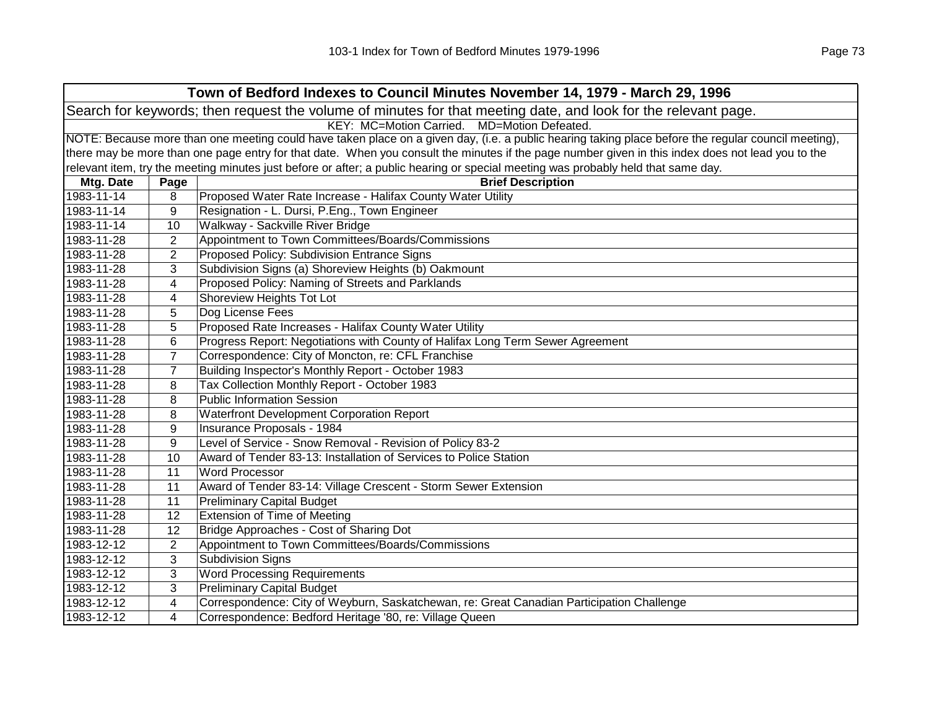|            | Town of Bedford Indexes to Council Minutes November 14, 1979 - March 29, 1996                                                                       |                                                                                                                                                   |  |  |
|------------|-----------------------------------------------------------------------------------------------------------------------------------------------------|---------------------------------------------------------------------------------------------------------------------------------------------------|--|--|
|            | Search for keywords; then request the volume of minutes for that meeting date, and look for the relevant page.                                      |                                                                                                                                                   |  |  |
|            |                                                                                                                                                     | KEY: MC=Motion Carried.<br>MD=Motion Defeated.                                                                                                    |  |  |
|            | NOTE: Because more than one meeting could have taken place on a given day, (i.e. a public hearing taking place before the regular council meeting), |                                                                                                                                                   |  |  |
|            |                                                                                                                                                     | there may be more than one page entry for that date. When you consult the minutes if the page number given in this index does not lead you to the |  |  |
|            |                                                                                                                                                     | relevant item, try the meeting minutes just before or after; a public hearing or special meeting was probably held that same day.                 |  |  |
| Mtg. Date  | Page                                                                                                                                                | <b>Brief Description</b>                                                                                                                          |  |  |
| 1983-11-14 | 8                                                                                                                                                   | Proposed Water Rate Increase - Halifax County Water Utility                                                                                       |  |  |
| 1983-11-14 | 9                                                                                                                                                   | Resignation - L. Dursi, P.Eng., Town Engineer                                                                                                     |  |  |
| 1983-11-14 | 10                                                                                                                                                  | Walkway - Sackville River Bridge                                                                                                                  |  |  |
| 1983-11-28 | $\overline{2}$                                                                                                                                      | Appointment to Town Committees/Boards/Commissions                                                                                                 |  |  |
| 1983-11-28 | $\overline{2}$                                                                                                                                      | Proposed Policy: Subdivision Entrance Signs                                                                                                       |  |  |
| 1983-11-28 | 3                                                                                                                                                   | Subdivision Signs (a) Shoreview Heights (b) Oakmount                                                                                              |  |  |
| 1983-11-28 | 4                                                                                                                                                   | Proposed Policy: Naming of Streets and Parklands                                                                                                  |  |  |
| 1983-11-28 | 4                                                                                                                                                   | Shoreview Heights Tot Lot                                                                                                                         |  |  |
| 1983-11-28 | 5                                                                                                                                                   | Dog License Fees                                                                                                                                  |  |  |
| 1983-11-28 | 5                                                                                                                                                   | Proposed Rate Increases - Halifax County Water Utility                                                                                            |  |  |
| 1983-11-28 | 6                                                                                                                                                   | Progress Report: Negotiations with County of Halifax Long Term Sewer Agreement                                                                    |  |  |
| 1983-11-28 | $\overline{7}$                                                                                                                                      | Correspondence: City of Moncton, re: CFL Franchise                                                                                                |  |  |
| 1983-11-28 | 7                                                                                                                                                   | Building Inspector's Monthly Report - October 1983                                                                                                |  |  |
| 1983-11-28 | 8                                                                                                                                                   | Tax Collection Monthly Report - October 1983                                                                                                      |  |  |
| 1983-11-28 | 8                                                                                                                                                   | <b>Public Information Session</b>                                                                                                                 |  |  |
| 1983-11-28 | 8                                                                                                                                                   | Waterfront Development Corporation Report                                                                                                         |  |  |
| 1983-11-28 | 9                                                                                                                                                   | Insurance Proposals - 1984                                                                                                                        |  |  |
| 1983-11-28 | 9                                                                                                                                                   | Level of Service - Snow Removal - Revision of Policy 83-2                                                                                         |  |  |
| 1983-11-28 | 10                                                                                                                                                  | Award of Tender 83-13: Installation of Services to Police Station                                                                                 |  |  |
| 1983-11-28 | 11                                                                                                                                                  | <b>Word Processor</b>                                                                                                                             |  |  |
| 1983-11-28 | 11                                                                                                                                                  | Award of Tender 83-14: Village Crescent - Storm Sewer Extension                                                                                   |  |  |
| 1983-11-28 | 11                                                                                                                                                  | <b>Preliminary Capital Budget</b>                                                                                                                 |  |  |
| 1983-11-28 | 12                                                                                                                                                  | <b>Extension of Time of Meeting</b>                                                                                                               |  |  |
| 1983-11-28 | 12                                                                                                                                                  | Bridge Approaches - Cost of Sharing Dot                                                                                                           |  |  |
| 1983-12-12 | $\overline{2}$                                                                                                                                      | Appointment to Town Committees/Boards/Commissions                                                                                                 |  |  |
| 1983-12-12 | 3                                                                                                                                                   | <b>Subdivision Signs</b>                                                                                                                          |  |  |
| 1983-12-12 | 3                                                                                                                                                   | <b>Word Processing Requirements</b>                                                                                                               |  |  |
| 1983-12-12 | 3                                                                                                                                                   | <b>Preliminary Capital Budget</b>                                                                                                                 |  |  |
| 1983-12-12 | 4                                                                                                                                                   | Correspondence: City of Weyburn, Saskatchewan, re: Great Canadian Participation Challenge                                                         |  |  |
| 1983-12-12 | 4                                                                                                                                                   | Correspondence: Bedford Heritage '80, re: Village Queen                                                                                           |  |  |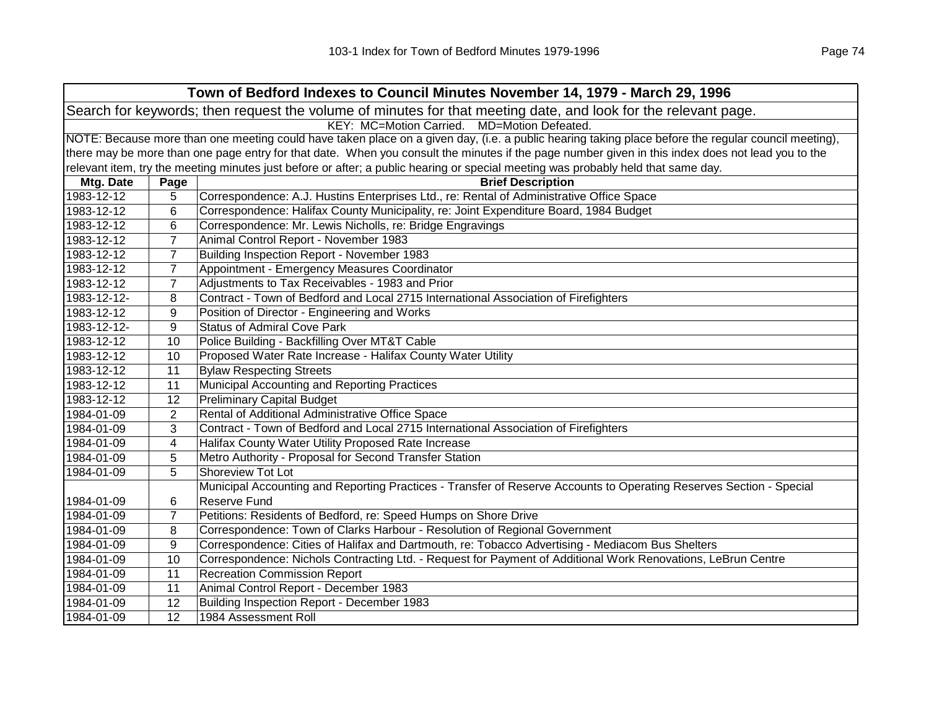|                                                                                                                | Town of Bedford Indexes to Council Minutes November 14, 1979 - March 29, 1996                                                                       |                                                                                                                                   |  |  |
|----------------------------------------------------------------------------------------------------------------|-----------------------------------------------------------------------------------------------------------------------------------------------------|-----------------------------------------------------------------------------------------------------------------------------------|--|--|
| Search for keywords; then request the volume of minutes for that meeting date, and look for the relevant page. |                                                                                                                                                     |                                                                                                                                   |  |  |
| KEY: MC=Motion Carried. MD=Motion Defeated.                                                                    |                                                                                                                                                     |                                                                                                                                   |  |  |
|                                                                                                                | NOTE: Because more than one meeting could have taken place on a given day, (i.e. a public hearing taking place before the regular council meeting), |                                                                                                                                   |  |  |
|                                                                                                                | there may be more than one page entry for that date. When you consult the minutes if the page number given in this index does not lead you to the   |                                                                                                                                   |  |  |
|                                                                                                                |                                                                                                                                                     | relevant item, try the meeting minutes just before or after; a public hearing or special meeting was probably held that same day. |  |  |
| Mtg. Date                                                                                                      | Page                                                                                                                                                | <b>Brief Description</b>                                                                                                          |  |  |
| 1983-12-12                                                                                                     | 5                                                                                                                                                   | Correspondence: A.J. Hustins Enterprises Ltd., re: Rental of Administrative Office Space                                          |  |  |
| 1983-12-12                                                                                                     | 6                                                                                                                                                   | Correspondence: Halifax County Municipality, re: Joint Expenditure Board, 1984 Budget                                             |  |  |
| 1983-12-12                                                                                                     | 6                                                                                                                                                   | Correspondence: Mr. Lewis Nicholls, re: Bridge Engravings                                                                         |  |  |
| 1983-12-12                                                                                                     | 7                                                                                                                                                   | Animal Control Report - November 1983                                                                                             |  |  |
| 1983-12-12                                                                                                     | $\overline{7}$                                                                                                                                      | Building Inspection Report - November 1983                                                                                        |  |  |
| 1983-12-12                                                                                                     | $\overline{7}$                                                                                                                                      | Appointment - Emergency Measures Coordinator                                                                                      |  |  |
| 1983-12-12                                                                                                     | 7                                                                                                                                                   | Adjustments to Tax Receivables - 1983 and Prior                                                                                   |  |  |
| 1983-12-12-                                                                                                    | 8                                                                                                                                                   | Contract - Town of Bedford and Local 2715 International Association of Firefighters                                               |  |  |
| 1983-12-12                                                                                                     | 9                                                                                                                                                   | Position of Director - Engineering and Works                                                                                      |  |  |
| 1983-12-12-                                                                                                    | 9                                                                                                                                                   | <b>Status of Admiral Cove Park</b>                                                                                                |  |  |
| 1983-12-12                                                                                                     | 10                                                                                                                                                  | Police Building - Backfilling Over MT&T Cable                                                                                     |  |  |
| 1983-12-12                                                                                                     | 10                                                                                                                                                  | Proposed Water Rate Increase - Halifax County Water Utility                                                                       |  |  |
| 1983-12-12                                                                                                     | 11                                                                                                                                                  | <b>Bylaw Respecting Streets</b>                                                                                                   |  |  |
| 1983-12-12                                                                                                     | 11                                                                                                                                                  | Municipal Accounting and Reporting Practices                                                                                      |  |  |
| 1983-12-12                                                                                                     | 12                                                                                                                                                  | <b>Preliminary Capital Budget</b>                                                                                                 |  |  |
| 1984-01-09                                                                                                     | $\overline{2}$                                                                                                                                      | Rental of Additional Administrative Office Space                                                                                  |  |  |
| 1984-01-09                                                                                                     | 3                                                                                                                                                   | Contract - Town of Bedford and Local 2715 International Association of Firefighters                                               |  |  |
| 1984-01-09                                                                                                     | 4                                                                                                                                                   | Halifax County Water Utility Proposed Rate Increase                                                                               |  |  |
| 1984-01-09                                                                                                     | 5                                                                                                                                                   | Metro Authority - Proposal for Second Transfer Station                                                                            |  |  |
| 1984-01-09                                                                                                     | 5                                                                                                                                                   | <b>Shoreview Tot Lot</b>                                                                                                          |  |  |
|                                                                                                                |                                                                                                                                                     | Municipal Accounting and Reporting Practices - Transfer of Reserve Accounts to Operating Reserves Section - Special               |  |  |
| 1984-01-09                                                                                                     | 6                                                                                                                                                   | Reserve Fund                                                                                                                      |  |  |
| 1984-01-09                                                                                                     | $\overline{7}$                                                                                                                                      | Petitions: Residents of Bedford, re: Speed Humps on Shore Drive                                                                   |  |  |
| 1984-01-09                                                                                                     | 8                                                                                                                                                   | Correspondence: Town of Clarks Harbour - Resolution of Regional Government                                                        |  |  |
| 1984-01-09                                                                                                     | 9                                                                                                                                                   | Correspondence: Cities of Halifax and Dartmouth, re: Tobacco Advertising - Mediacom Bus Shelters                                  |  |  |
| 1984-01-09                                                                                                     | 10                                                                                                                                                  | Correspondence: Nichols Contracting Ltd. - Request for Payment of Additional Work Renovations, LeBrun Centre                      |  |  |
| 1984-01-09                                                                                                     | 11                                                                                                                                                  | <b>Recreation Commission Report</b>                                                                                               |  |  |
| 1984-01-09                                                                                                     | 11                                                                                                                                                  | Animal Control Report - December 1983                                                                                             |  |  |
| 1984-01-09                                                                                                     | 12                                                                                                                                                  | Building Inspection Report - December 1983                                                                                        |  |  |
| 1984-01-09                                                                                                     | 12                                                                                                                                                  | 1984 Assessment Roll                                                                                                              |  |  |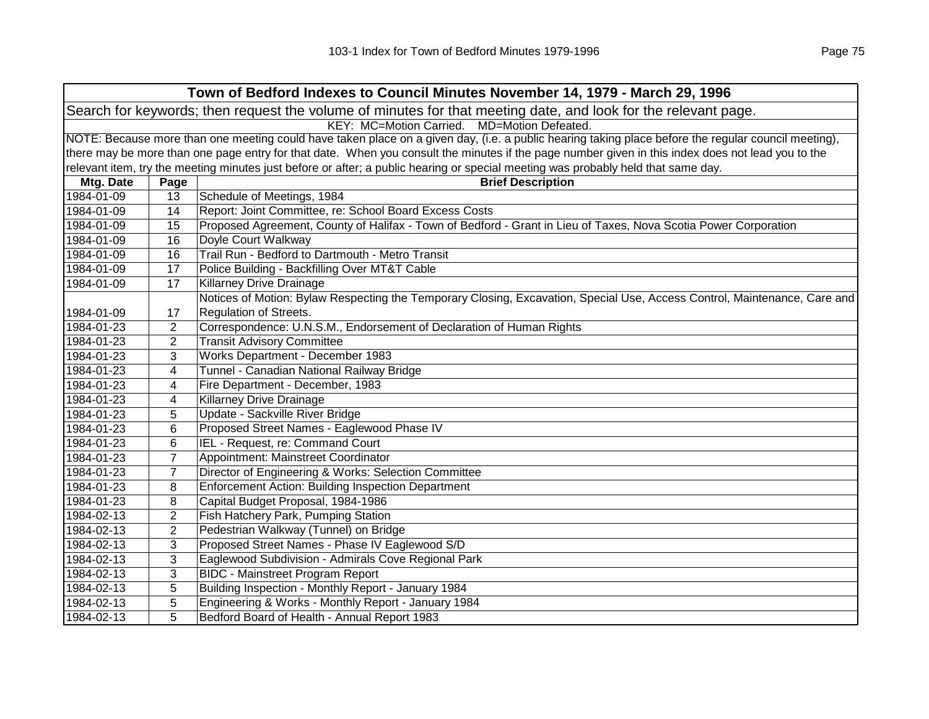| Town of Bedford Indexes to Council Minutes November 14, 1979 - March 29, 1996                                  |                                             |                                                                                                                                                     |  |  |  |
|----------------------------------------------------------------------------------------------------------------|---------------------------------------------|-----------------------------------------------------------------------------------------------------------------------------------------------------|--|--|--|
| Search for keywords; then request the volume of minutes for that meeting date, and look for the relevant page. |                                             |                                                                                                                                                     |  |  |  |
|                                                                                                                | KEY: MC=Motion Carried. MD=Motion Defeated. |                                                                                                                                                     |  |  |  |
|                                                                                                                |                                             | NOTE: Because more than one meeting could have taken place on a given day, (i.e. a public hearing taking place before the regular council meeting), |  |  |  |
|                                                                                                                |                                             | there may be more than one page entry for that date. When you consult the minutes if the page number given in this index does not lead you to the   |  |  |  |
|                                                                                                                |                                             | relevant item, try the meeting minutes just before or after; a public hearing or special meeting was probably held that same day.                   |  |  |  |
| Mtg. Date                                                                                                      | Page                                        | <b>Brief Description</b>                                                                                                                            |  |  |  |
| 1984-01-09                                                                                                     | 13                                          | Schedule of Meetings, 1984                                                                                                                          |  |  |  |
| 1984-01-09                                                                                                     | 14                                          | Report: Joint Committee, re: School Board Excess Costs                                                                                              |  |  |  |
| 1984-01-09                                                                                                     | 15                                          | Proposed Agreement, County of Halifax - Town of Bedford - Grant in Lieu of Taxes, Nova Scotia Power Corporation                                     |  |  |  |
| 1984-01-09                                                                                                     | 16                                          | Doyle Court Walkway                                                                                                                                 |  |  |  |
| 1984-01-09                                                                                                     | 16                                          | Trail Run - Bedford to Dartmouth - Metro Transit                                                                                                    |  |  |  |
| 1984-01-09                                                                                                     | 17                                          | Police Building - Backfilling Over MT&T Cable                                                                                                       |  |  |  |
| 1984-01-09                                                                                                     | 17                                          | Killarney Drive Drainage                                                                                                                            |  |  |  |
|                                                                                                                |                                             | Notices of Motion: Bylaw Respecting the Temporary Closing, Excavation, Special Use, Access Control, Maintenance, Care and                           |  |  |  |
| 1984-01-09                                                                                                     | 17                                          | Regulation of Streets.                                                                                                                              |  |  |  |
| 1984-01-23                                                                                                     | $\overline{2}$                              | Correspondence: U.N.S.M., Endorsement of Declaration of Human Rights                                                                                |  |  |  |
| 1984-01-23                                                                                                     | $\overline{2}$                              | <b>Transit Advisory Committee</b>                                                                                                                   |  |  |  |
| 1984-01-23                                                                                                     | 3                                           | Works Department - December 1983                                                                                                                    |  |  |  |
| 1984-01-23                                                                                                     | 4                                           | Tunnel - Canadian National Railway Bridge                                                                                                           |  |  |  |
| 1984-01-23                                                                                                     | 4                                           | Fire Department - December, 1983                                                                                                                    |  |  |  |
| 1984-01-23                                                                                                     | 4                                           | <b>Killarney Drive Drainage</b>                                                                                                                     |  |  |  |
| 1984-01-23                                                                                                     | 5                                           | Update - Sackville River Bridge                                                                                                                     |  |  |  |
| 1984-01-23                                                                                                     | 6                                           | Proposed Street Names - Eaglewood Phase IV                                                                                                          |  |  |  |
| 1984-01-23                                                                                                     | 6                                           | IEL - Request, re: Command Court                                                                                                                    |  |  |  |
| 1984-01-23                                                                                                     | $\overline{7}$                              | Appointment: Mainstreet Coordinator                                                                                                                 |  |  |  |
| 1984-01-23                                                                                                     | $\overline{7}$                              | Director of Engineering & Works: Selection Committee                                                                                                |  |  |  |
| 1984-01-23                                                                                                     | 8                                           | <b>Enforcement Action: Building Inspection Department</b>                                                                                           |  |  |  |
| 1984-01-23                                                                                                     | 8                                           | Capital Budget Proposal, 1984-1986                                                                                                                  |  |  |  |
| 1984-02-13                                                                                                     | $\overline{2}$                              | Fish Hatchery Park, Pumping Station                                                                                                                 |  |  |  |
| 1984-02-13                                                                                                     | $\overline{2}$                              | Pedestrian Walkway (Tunnel) on Bridge                                                                                                               |  |  |  |
| 1984-02-13                                                                                                     | 3                                           | Proposed Street Names - Phase IV Eaglewood S/D                                                                                                      |  |  |  |
| 1984-02-13                                                                                                     | 3                                           | Eaglewood Subdivision - Admirals Cove Regional Park                                                                                                 |  |  |  |
| 1984-02-13                                                                                                     | 3                                           | <b>BIDC - Mainstreet Program Report</b>                                                                                                             |  |  |  |
| 1984-02-13                                                                                                     | 5                                           | Building Inspection - Monthly Report - January 1984                                                                                                 |  |  |  |
| 1984-02-13                                                                                                     | 5                                           | Engineering & Works - Monthly Report - January 1984                                                                                                 |  |  |  |
| 1984-02-13                                                                                                     | 5                                           | Bedford Board of Health - Annual Report 1983                                                                                                        |  |  |  |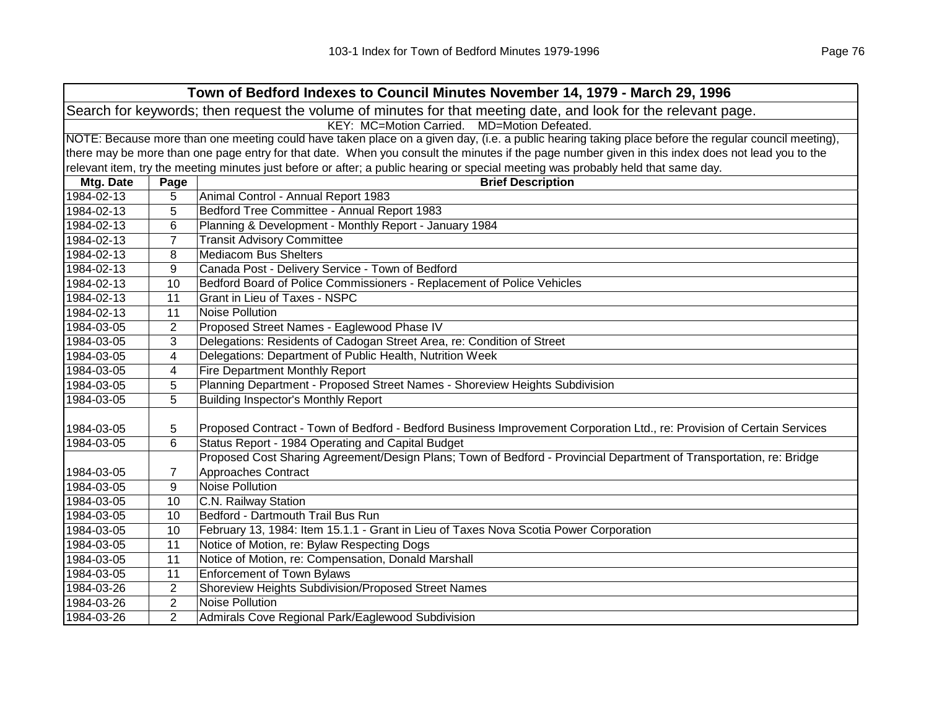| Town of Bedford Indexes to Council Minutes November 14, 1979 - March 29, 1996                                  |                                             |                                                                                                                                                     |  |  |  |
|----------------------------------------------------------------------------------------------------------------|---------------------------------------------|-----------------------------------------------------------------------------------------------------------------------------------------------------|--|--|--|
| Search for keywords; then request the volume of minutes for that meeting date, and look for the relevant page. |                                             |                                                                                                                                                     |  |  |  |
|                                                                                                                | KEY: MC=Motion Carried. MD=Motion Defeated. |                                                                                                                                                     |  |  |  |
|                                                                                                                |                                             | NOTE: Because more than one meeting could have taken place on a given day, (i.e. a public hearing taking place before the regular council meeting), |  |  |  |
|                                                                                                                |                                             | there may be more than one page entry for that date. When you consult the minutes if the page number given in this index does not lead you to the   |  |  |  |
|                                                                                                                |                                             | relevant item, try the meeting minutes just before or after; a public hearing or special meeting was probably held that same day.                   |  |  |  |
| Mtg. Date                                                                                                      | Page                                        | <b>Brief Description</b>                                                                                                                            |  |  |  |
| 1984-02-13                                                                                                     | 5                                           | Animal Control - Annual Report 1983                                                                                                                 |  |  |  |
| 1984-02-13                                                                                                     | 5                                           | Bedford Tree Committee - Annual Report 1983                                                                                                         |  |  |  |
| 1984-02-13                                                                                                     | 6                                           | Planning & Development - Monthly Report - January 1984                                                                                              |  |  |  |
| 1984-02-13                                                                                                     | $\overline{7}$                              | <b>Transit Advisory Committee</b>                                                                                                                   |  |  |  |
| 1984-02-13                                                                                                     | 8                                           | <b>Mediacom Bus Shelters</b>                                                                                                                        |  |  |  |
| 1984-02-13                                                                                                     | 9                                           | Canada Post - Delivery Service - Town of Bedford                                                                                                    |  |  |  |
| 1984-02-13                                                                                                     | 10                                          | Bedford Board of Police Commissioners - Replacement of Police Vehicles                                                                              |  |  |  |
| 1984-02-13                                                                                                     | 11                                          | Grant in Lieu of Taxes - NSPC                                                                                                                       |  |  |  |
| 1984-02-13                                                                                                     | 11                                          | Noise Pollution                                                                                                                                     |  |  |  |
| 1984-03-05                                                                                                     | $\overline{2}$                              | Proposed Street Names - Eaglewood Phase IV                                                                                                          |  |  |  |
| 1984-03-05                                                                                                     | 3                                           | Delegations: Residents of Cadogan Street Area, re: Condition of Street                                                                              |  |  |  |
| 1984-03-05                                                                                                     | 4                                           | Delegations: Department of Public Health, Nutrition Week                                                                                            |  |  |  |
| 1984-03-05                                                                                                     | 4                                           | <b>Fire Department Monthly Report</b>                                                                                                               |  |  |  |
| 1984-03-05                                                                                                     | 5                                           | Planning Department - Proposed Street Names - Shoreview Heights Subdivision                                                                         |  |  |  |
| 1984-03-05                                                                                                     | 5                                           | <b>Building Inspector's Monthly Report</b>                                                                                                          |  |  |  |
|                                                                                                                |                                             |                                                                                                                                                     |  |  |  |
| 1984-03-05                                                                                                     | 5                                           | Proposed Contract - Town of Bedford - Bedford Business Improvement Corporation Ltd., re: Provision of Certain Services                              |  |  |  |
| 1984-03-05                                                                                                     | 6                                           | Status Report - 1984 Operating and Capital Budget                                                                                                   |  |  |  |
|                                                                                                                |                                             | Proposed Cost Sharing Agreement/Design Plans; Town of Bedford - Provincial Department of Transportation, re: Bridge                                 |  |  |  |
| 1984-03-05                                                                                                     | 7                                           | Approaches Contract                                                                                                                                 |  |  |  |
| 1984-03-05                                                                                                     | 9                                           | <b>Noise Pollution</b>                                                                                                                              |  |  |  |
| 1984-03-05                                                                                                     | 10                                          | C.N. Railway Station                                                                                                                                |  |  |  |
| 1984-03-05                                                                                                     | 10                                          | Bedford - Dartmouth Trail Bus Run                                                                                                                   |  |  |  |
| 1984-03-05                                                                                                     | 10                                          | February 13, 1984: Item 15.1.1 - Grant in Lieu of Taxes Nova Scotia Power Corporation                                                               |  |  |  |
| 1984-03-05                                                                                                     | 11                                          | Notice of Motion, re: Bylaw Respecting Dogs                                                                                                         |  |  |  |
| 1984-03-05                                                                                                     | 11                                          | Notice of Motion, re: Compensation, Donald Marshall                                                                                                 |  |  |  |
| 1984-03-05                                                                                                     | 11                                          | <b>Enforcement of Town Bylaws</b>                                                                                                                   |  |  |  |
| 1984-03-26                                                                                                     | $\overline{2}$                              | Shoreview Heights Subdivision/Proposed Street Names                                                                                                 |  |  |  |
| 1984-03-26                                                                                                     | $\overline{2}$                              | Noise Pollution                                                                                                                                     |  |  |  |
| 1984-03-26                                                                                                     | $\overline{2}$                              | Admirals Cove Regional Park/Eaglewood Subdivision                                                                                                   |  |  |  |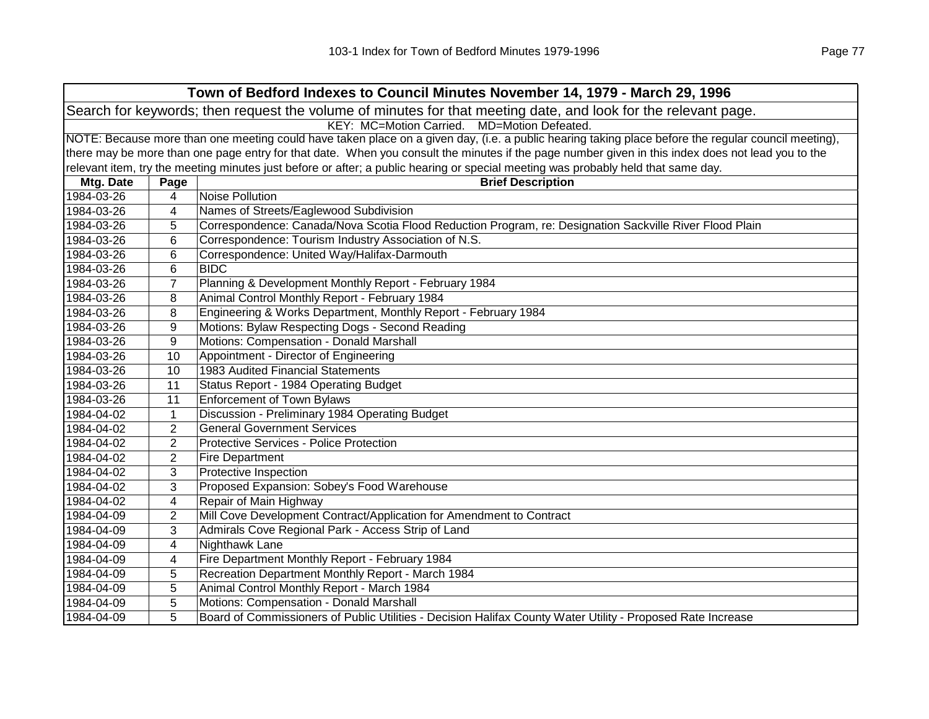| Town of Bedford Indexes to Council Minutes November 14, 1979 - March 29, 1996                                  |                                                                                                                                                     |                                                                                                                                                   |  |
|----------------------------------------------------------------------------------------------------------------|-----------------------------------------------------------------------------------------------------------------------------------------------------|---------------------------------------------------------------------------------------------------------------------------------------------------|--|
| Search for keywords; then request the volume of minutes for that meeting date, and look for the relevant page. |                                                                                                                                                     |                                                                                                                                                   |  |
|                                                                                                                | KEY: MC=Motion Carried.<br>MD=Motion Defeated.                                                                                                      |                                                                                                                                                   |  |
|                                                                                                                | NOTE: Because more than one meeting could have taken place on a given day, (i.e. a public hearing taking place before the regular council meeting), |                                                                                                                                                   |  |
|                                                                                                                |                                                                                                                                                     | there may be more than one page entry for that date. When you consult the minutes if the page number given in this index does not lead you to the |  |
|                                                                                                                |                                                                                                                                                     | relevant item, try the meeting minutes just before or after; a public hearing or special meeting was probably held that same day.                 |  |
| Mtg. Date                                                                                                      | Page                                                                                                                                                | <b>Brief Description</b>                                                                                                                          |  |
| 1984-03-26                                                                                                     | 4                                                                                                                                                   | Noise Pollution                                                                                                                                   |  |
| 1984-03-26                                                                                                     | 4                                                                                                                                                   | Names of Streets/Eaglewood Subdivision                                                                                                            |  |
| 1984-03-26                                                                                                     | 5                                                                                                                                                   | Correspondence: Canada/Nova Scotia Flood Reduction Program, re: Designation Sackville River Flood Plain                                           |  |
| 1984-03-26                                                                                                     | 6                                                                                                                                                   | Correspondence: Tourism Industry Association of N.S.                                                                                              |  |
| 1984-03-26                                                                                                     | 6                                                                                                                                                   | Correspondence: United Way/Halifax-Darmouth                                                                                                       |  |
| 1984-03-26                                                                                                     | 6                                                                                                                                                   | <b>BIDC</b>                                                                                                                                       |  |
| 1984-03-26                                                                                                     | $\overline{7}$                                                                                                                                      | Planning & Development Monthly Report - February 1984                                                                                             |  |
| 1984-03-26                                                                                                     | 8                                                                                                                                                   | Animal Control Monthly Report - February 1984                                                                                                     |  |
| 1984-03-26                                                                                                     | 8                                                                                                                                                   | Engineering & Works Department, Monthly Report - February 1984                                                                                    |  |
| 1984-03-26                                                                                                     | 9                                                                                                                                                   | Motions: Bylaw Respecting Dogs - Second Reading                                                                                                   |  |
| 1984-03-26                                                                                                     | 9                                                                                                                                                   | Motions: Compensation - Donald Marshall                                                                                                           |  |
| 1984-03-26                                                                                                     | 10                                                                                                                                                  | Appointment - Director of Engineering                                                                                                             |  |
| 1984-03-26                                                                                                     | 10                                                                                                                                                  | 1983 Audited Financial Statements                                                                                                                 |  |
| 1984-03-26                                                                                                     | 11                                                                                                                                                  | Status Report - 1984 Operating Budget                                                                                                             |  |
| 1984-03-26                                                                                                     | 11                                                                                                                                                  | <b>Enforcement of Town Bylaws</b>                                                                                                                 |  |
| 1984-04-02                                                                                                     | $\mathbf{1}$                                                                                                                                        | Discussion - Preliminary 1984 Operating Budget                                                                                                    |  |
| 1984-04-02                                                                                                     | $\overline{2}$                                                                                                                                      | <b>General Government Services</b>                                                                                                                |  |
| 1984-04-02                                                                                                     | 2                                                                                                                                                   | <b>Protective Services - Police Protection</b>                                                                                                    |  |
| 1984-04-02                                                                                                     | $\overline{c}$                                                                                                                                      | <b>Fire Department</b>                                                                                                                            |  |
| 1984-04-02                                                                                                     | 3                                                                                                                                                   | <b>Protective Inspection</b>                                                                                                                      |  |
| 1984-04-02                                                                                                     | 3                                                                                                                                                   | Proposed Expansion: Sobey's Food Warehouse                                                                                                        |  |
| 1984-04-02                                                                                                     | 4                                                                                                                                                   | Repair of Main Highway                                                                                                                            |  |
| 1984-04-09                                                                                                     | $\overline{2}$                                                                                                                                      | Mill Cove Development Contract/Application for Amendment to Contract                                                                              |  |
| 1984-04-09                                                                                                     | 3                                                                                                                                                   | Admirals Cove Regional Park - Access Strip of Land                                                                                                |  |
| 1984-04-09                                                                                                     | 4                                                                                                                                                   | Nighthawk Lane                                                                                                                                    |  |
| 1984-04-09                                                                                                     | 4                                                                                                                                                   | Fire Department Monthly Report - February 1984                                                                                                    |  |
| 1984-04-09                                                                                                     | 5                                                                                                                                                   | Recreation Department Monthly Report - March 1984                                                                                                 |  |
| 1984-04-09                                                                                                     | 5                                                                                                                                                   | Animal Control Monthly Report - March 1984                                                                                                        |  |
| 1984-04-09                                                                                                     | 5                                                                                                                                                   | Motions: Compensation - Donald Marshall                                                                                                           |  |
| 1984-04-09                                                                                                     | 5                                                                                                                                                   | Board of Commissioners of Public Utilities - Decision Halifax County Water Utility - Proposed Rate Increase                                       |  |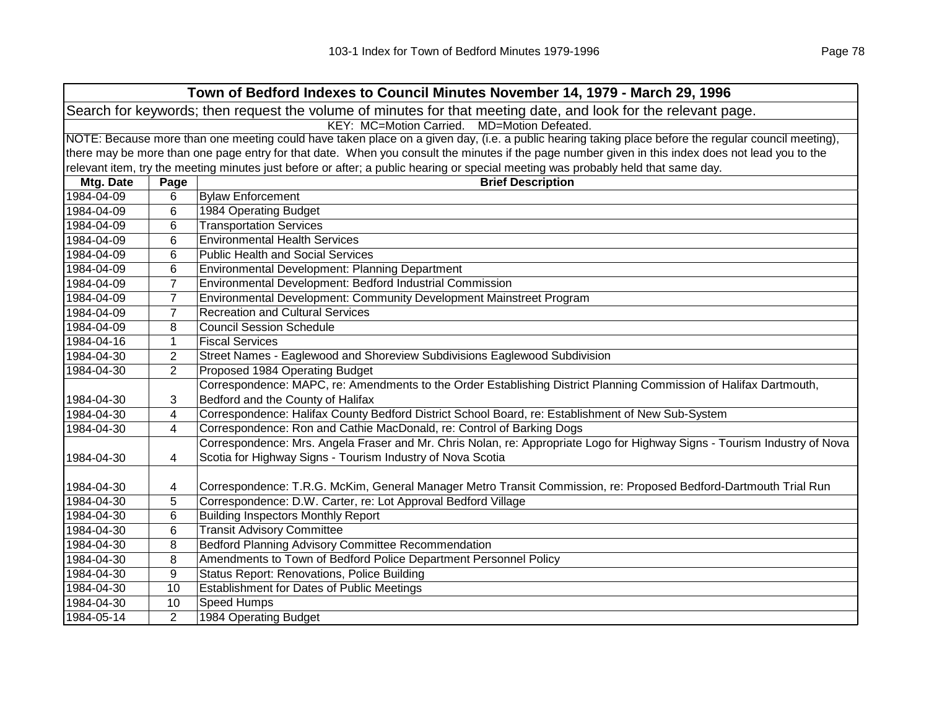| Town of Bedford Indexes to Council Minutes November 14, 1979 - March 29, 1996                                  |                                                                                                                                                     |                                                                                                                                                   |  |  |
|----------------------------------------------------------------------------------------------------------------|-----------------------------------------------------------------------------------------------------------------------------------------------------|---------------------------------------------------------------------------------------------------------------------------------------------------|--|--|
| Search for keywords; then request the volume of minutes for that meeting date, and look for the relevant page. |                                                                                                                                                     |                                                                                                                                                   |  |  |
|                                                                                                                | KEY: MC=Motion Carried. MD=Motion Defeated.                                                                                                         |                                                                                                                                                   |  |  |
|                                                                                                                | NOTE: Because more than one meeting could have taken place on a given day, (i.e. a public hearing taking place before the regular council meeting), |                                                                                                                                                   |  |  |
|                                                                                                                |                                                                                                                                                     | there may be more than one page entry for that date. When you consult the minutes if the page number given in this index does not lead you to the |  |  |
|                                                                                                                |                                                                                                                                                     | relevant item, try the meeting minutes just before or after; a public hearing or special meeting was probably held that same day.                 |  |  |
| Mtg. Date                                                                                                      | Page                                                                                                                                                | <b>Brief Description</b>                                                                                                                          |  |  |
| 1984-04-09                                                                                                     | 6                                                                                                                                                   | <b>Bylaw Enforcement</b>                                                                                                                          |  |  |
| 1984-04-09                                                                                                     | 6                                                                                                                                                   | 1984 Operating Budget                                                                                                                             |  |  |
| 1984-04-09                                                                                                     | 6                                                                                                                                                   | <b>Transportation Services</b>                                                                                                                    |  |  |
| 1984-04-09                                                                                                     | 6                                                                                                                                                   | <b>Environmental Health Services</b>                                                                                                              |  |  |
| 1984-04-09                                                                                                     | 6                                                                                                                                                   | <b>Public Health and Social Services</b>                                                                                                          |  |  |
| 1984-04-09                                                                                                     | 6                                                                                                                                                   | Environmental Development: Planning Department                                                                                                    |  |  |
| 1984-04-09                                                                                                     | $\overline{7}$                                                                                                                                      | Environmental Development: Bedford Industrial Commission                                                                                          |  |  |
| 1984-04-09                                                                                                     | $\overline{7}$                                                                                                                                      | Environmental Development: Community Development Mainstreet Program                                                                               |  |  |
| 1984-04-09                                                                                                     | $\overline{7}$                                                                                                                                      | <b>Recreation and Cultural Services</b>                                                                                                           |  |  |
| 1984-04-09                                                                                                     | 8                                                                                                                                                   | <b>Council Session Schedule</b>                                                                                                                   |  |  |
| 1984-04-16                                                                                                     | 1                                                                                                                                                   | <b>Fiscal Services</b>                                                                                                                            |  |  |
| 1984-04-30                                                                                                     | $\overline{2}$                                                                                                                                      | Street Names - Eaglewood and Shoreview Subdivisions Eaglewood Subdivision                                                                         |  |  |
| 1984-04-30                                                                                                     | $\overline{2}$                                                                                                                                      | Proposed 1984 Operating Budget                                                                                                                    |  |  |
|                                                                                                                |                                                                                                                                                     | Correspondence: MAPC, re: Amendments to the Order Establishing District Planning Commission of Halifax Dartmouth,                                 |  |  |
| 1984-04-30                                                                                                     | 3                                                                                                                                                   | Bedford and the County of Halifax                                                                                                                 |  |  |
| 1984-04-30                                                                                                     | 4                                                                                                                                                   | Correspondence: Halifax County Bedford District School Board, re: Establishment of New Sub-System                                                 |  |  |
| 1984-04-30                                                                                                     | 4                                                                                                                                                   | Correspondence: Ron and Cathie MacDonald, re: Control of Barking Dogs                                                                             |  |  |
|                                                                                                                |                                                                                                                                                     | Correspondence: Mrs. Angela Fraser and Mr. Chris Nolan, re: Appropriate Logo for Highway Signs - Tourism Industry of Nova                         |  |  |
| 1984-04-30                                                                                                     | 4                                                                                                                                                   | Scotia for Highway Signs - Tourism Industry of Nova Scotia                                                                                        |  |  |
|                                                                                                                |                                                                                                                                                     |                                                                                                                                                   |  |  |
| 1984-04-30                                                                                                     | 4                                                                                                                                                   | Correspondence: T.R.G. McKim, General Manager Metro Transit Commission, re: Proposed Bedford-Dartmouth Trial Run                                  |  |  |
| 1984-04-30                                                                                                     | 5                                                                                                                                                   | Correspondence: D.W. Carter, re: Lot Approval Bedford Village                                                                                     |  |  |
| 1984-04-30                                                                                                     | 6                                                                                                                                                   | <b>Building Inspectors Monthly Report</b>                                                                                                         |  |  |
| 1984-04-30                                                                                                     | 6                                                                                                                                                   | <b>Transit Advisory Committee</b>                                                                                                                 |  |  |
| 1984-04-30                                                                                                     | 8                                                                                                                                                   | Bedford Planning Advisory Committee Recommendation                                                                                                |  |  |
| 1984-04-30                                                                                                     | 8                                                                                                                                                   | Amendments to Town of Bedford Police Department Personnel Policy                                                                                  |  |  |
| 1984-04-30                                                                                                     | 9                                                                                                                                                   | <b>Status Report: Renovations, Police Building</b>                                                                                                |  |  |
| 1984-04-30                                                                                                     | 10                                                                                                                                                  | <b>Establishment for Dates of Public Meetings</b>                                                                                                 |  |  |
| 1984-04-30                                                                                                     | 10                                                                                                                                                  | Speed Humps                                                                                                                                       |  |  |
| 1984-05-14                                                                                                     | $\overline{2}$                                                                                                                                      | 1984 Operating Budget                                                                                                                             |  |  |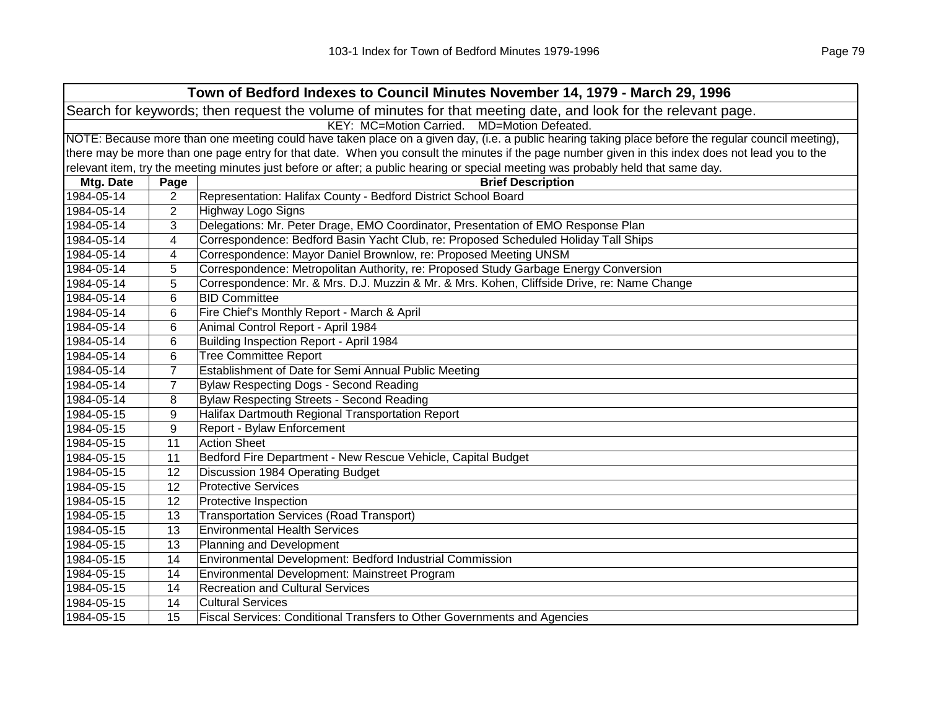|            | Town of Bedford Indexes to Council Minutes November 14, 1979 - March 29, 1996                                                                       |                                                                                                                                                   |  |  |
|------------|-----------------------------------------------------------------------------------------------------------------------------------------------------|---------------------------------------------------------------------------------------------------------------------------------------------------|--|--|
|            | Search for keywords; then request the volume of minutes for that meeting date, and look for the relevant page.                                      |                                                                                                                                                   |  |  |
|            | KEY: MC=Motion Carried. MD=Motion Defeated.                                                                                                         |                                                                                                                                                   |  |  |
|            | NOTE: Because more than one meeting could have taken place on a given day, (i.e. a public hearing taking place before the regular council meeting), |                                                                                                                                                   |  |  |
|            |                                                                                                                                                     | there may be more than one page entry for that date. When you consult the minutes if the page number given in this index does not lead you to the |  |  |
|            |                                                                                                                                                     | relevant item, try the meeting minutes just before or after; a public hearing or special meeting was probably held that same day.                 |  |  |
| Mtg. Date  | Page                                                                                                                                                | <b>Brief Description</b>                                                                                                                          |  |  |
| 1984-05-14 | 2                                                                                                                                                   | Representation: Halifax County - Bedford District School Board                                                                                    |  |  |
| 1984-05-14 | 2                                                                                                                                                   | <b>Highway Logo Signs</b>                                                                                                                         |  |  |
| 1984-05-14 | 3                                                                                                                                                   | Delegations: Mr. Peter Drage, EMO Coordinator, Presentation of EMO Response Plan                                                                  |  |  |
| 1984-05-14 | 4                                                                                                                                                   | Correspondence: Bedford Basin Yacht Club, re: Proposed Scheduled Holiday Tall Ships                                                               |  |  |
| 1984-05-14 | 4                                                                                                                                                   | Correspondence: Mayor Daniel Brownlow, re: Proposed Meeting UNSM                                                                                  |  |  |
| 1984-05-14 | 5                                                                                                                                                   | Correspondence: Metropolitan Authority, re: Proposed Study Garbage Energy Conversion                                                              |  |  |
| 1984-05-14 | 5                                                                                                                                                   | Correspondence: Mr. & Mrs. D.J. Muzzin & Mr. & Mrs. Kohen, Cliffside Drive, re: Name Change                                                       |  |  |
| 1984-05-14 | 6                                                                                                                                                   | <b>BID Committee</b>                                                                                                                              |  |  |
| 1984-05-14 | 6                                                                                                                                                   | Fire Chief's Monthly Report - March & April                                                                                                       |  |  |
| 1984-05-14 | 6                                                                                                                                                   | Animal Control Report - April 1984                                                                                                                |  |  |
| 1984-05-14 | $6\phantom{1}6$                                                                                                                                     | Building Inspection Report - April 1984                                                                                                           |  |  |
| 1984-05-14 | $6\phantom{1}6$                                                                                                                                     | <b>Tree Committee Report</b>                                                                                                                      |  |  |
| 1984-05-14 | $\overline{7}$                                                                                                                                      | Establishment of Date for Semi Annual Public Meeting                                                                                              |  |  |
| 1984-05-14 | $\overline{7}$                                                                                                                                      | Bylaw Respecting Dogs - Second Reading                                                                                                            |  |  |
| 1984-05-14 | 8                                                                                                                                                   | <b>Bylaw Respecting Streets - Second Reading</b>                                                                                                  |  |  |
| 1984-05-15 | 9                                                                                                                                                   | Halifax Dartmouth Regional Transportation Report                                                                                                  |  |  |
| 1984-05-15 | 9                                                                                                                                                   | Report - Bylaw Enforcement                                                                                                                        |  |  |
| 1984-05-15 | 11                                                                                                                                                  | <b>Action Sheet</b>                                                                                                                               |  |  |
| 1984-05-15 | 11                                                                                                                                                  | Bedford Fire Department - New Rescue Vehicle, Capital Budget                                                                                      |  |  |
| 1984-05-15 | 12                                                                                                                                                  | Discussion 1984 Operating Budget                                                                                                                  |  |  |
| 1984-05-15 | 12                                                                                                                                                  | <b>Protective Services</b>                                                                                                                        |  |  |
| 1984-05-15 | 12                                                                                                                                                  | Protective Inspection                                                                                                                             |  |  |
| 1984-05-15 | 13                                                                                                                                                  | <b>Transportation Services (Road Transport)</b>                                                                                                   |  |  |
| 1984-05-15 | 13                                                                                                                                                  | <b>Environmental Health Services</b>                                                                                                              |  |  |
| 1984-05-15 | 13                                                                                                                                                  | Planning and Development                                                                                                                          |  |  |
| 1984-05-15 | 14                                                                                                                                                  | Environmental Development: Bedford Industrial Commission                                                                                          |  |  |
| 1984-05-15 | 14                                                                                                                                                  | Environmental Development: Mainstreet Program                                                                                                     |  |  |
| 1984-05-15 | 14                                                                                                                                                  | <b>Recreation and Cultural Services</b>                                                                                                           |  |  |
| 1984-05-15 | 14                                                                                                                                                  | <b>Cultural Services</b>                                                                                                                          |  |  |
| 1984-05-15 | 15                                                                                                                                                  | <b>Fiscal Services: Conditional Transfers to Other Governments and Agencies</b>                                                                   |  |  |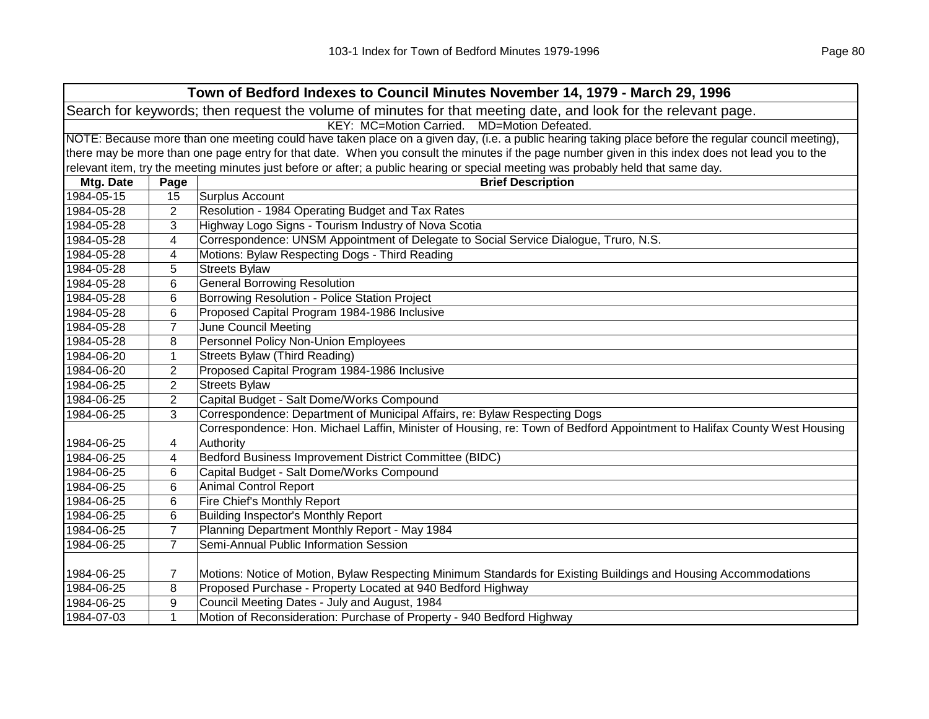| Town of Bedford Indexes to Council Minutes November 14, 1979 - March 29, 1996                                  |                                                                                                                                                     |                                                                                                                                                   |  |  |
|----------------------------------------------------------------------------------------------------------------|-----------------------------------------------------------------------------------------------------------------------------------------------------|---------------------------------------------------------------------------------------------------------------------------------------------------|--|--|
| Search for keywords; then request the volume of minutes for that meeting date, and look for the relevant page. |                                                                                                                                                     |                                                                                                                                                   |  |  |
|                                                                                                                | KEY: MC=Motion Carried. MD=Motion Defeated.                                                                                                         |                                                                                                                                                   |  |  |
|                                                                                                                | NOTE: Because more than one meeting could have taken place on a given day, (i.e. a public hearing taking place before the regular council meeting), |                                                                                                                                                   |  |  |
|                                                                                                                |                                                                                                                                                     | there may be more than one page entry for that date. When you consult the minutes if the page number given in this index does not lead you to the |  |  |
|                                                                                                                |                                                                                                                                                     | relevant item, try the meeting minutes just before or after; a public hearing or special meeting was probably held that same day.                 |  |  |
| Mtg. Date                                                                                                      | Page                                                                                                                                                | <b>Brief Description</b>                                                                                                                          |  |  |
| 1984-05-15                                                                                                     | 15                                                                                                                                                  | Surplus Account                                                                                                                                   |  |  |
| 1984-05-28                                                                                                     | $\overline{2}$                                                                                                                                      | Resolution - 1984 Operating Budget and Tax Rates                                                                                                  |  |  |
| 1984-05-28                                                                                                     | 3                                                                                                                                                   | Highway Logo Signs - Tourism Industry of Nova Scotia                                                                                              |  |  |
| 1984-05-28                                                                                                     | 4                                                                                                                                                   | Correspondence: UNSM Appointment of Delegate to Social Service Dialogue, Truro, N.S.                                                              |  |  |
| 1984-05-28                                                                                                     | 4                                                                                                                                                   | Motions: Bylaw Respecting Dogs - Third Reading                                                                                                    |  |  |
| 1984-05-28                                                                                                     | 5                                                                                                                                                   | <b>Streets Bylaw</b>                                                                                                                              |  |  |
| 1984-05-28                                                                                                     | 6                                                                                                                                                   | <b>General Borrowing Resolution</b>                                                                                                               |  |  |
| 1984-05-28                                                                                                     | 6                                                                                                                                                   | Borrowing Resolution - Police Station Project                                                                                                     |  |  |
| 1984-05-28                                                                                                     | 6                                                                                                                                                   | Proposed Capital Program 1984-1986 Inclusive                                                                                                      |  |  |
| 1984-05-28                                                                                                     | $\overline{7}$                                                                                                                                      | <b>June Council Meeting</b>                                                                                                                       |  |  |
| 1984-05-28                                                                                                     | 8                                                                                                                                                   | Personnel Policy Non-Union Employees                                                                                                              |  |  |
| 1984-06-20                                                                                                     | 1                                                                                                                                                   | <b>Streets Bylaw (Third Reading)</b>                                                                                                              |  |  |
| 1984-06-20                                                                                                     | $\overline{2}$                                                                                                                                      | Proposed Capital Program 1984-1986 Inclusive                                                                                                      |  |  |
| 1984-06-25                                                                                                     | $\overline{2}$                                                                                                                                      | <b>Streets Bylaw</b>                                                                                                                              |  |  |
| 1984-06-25                                                                                                     | $\overline{2}$                                                                                                                                      | Capital Budget - Salt Dome/Works Compound                                                                                                         |  |  |
| 1984-06-25                                                                                                     | 3                                                                                                                                                   | Correspondence: Department of Municipal Affairs, re: Bylaw Respecting Dogs                                                                        |  |  |
|                                                                                                                |                                                                                                                                                     | Correspondence: Hon. Michael Laffin, Minister of Housing, re: Town of Bedford Appointment to Halifax County West Housing                          |  |  |
| 1984-06-25                                                                                                     | 4                                                                                                                                                   | Authority                                                                                                                                         |  |  |
| 1984-06-25                                                                                                     | 4                                                                                                                                                   | Bedford Business Improvement District Committee (BIDC)                                                                                            |  |  |
| 1984-06-25                                                                                                     | 6                                                                                                                                                   | Capital Budget - Salt Dome/Works Compound                                                                                                         |  |  |
| 1984-06-25                                                                                                     | 6                                                                                                                                                   | <b>Animal Control Report</b>                                                                                                                      |  |  |
| 1984-06-25                                                                                                     | 6                                                                                                                                                   | Fire Chief's Monthly Report                                                                                                                       |  |  |
| 1984-06-25                                                                                                     | 6                                                                                                                                                   | <b>Building Inspector's Monthly Report</b>                                                                                                        |  |  |
| 1984-06-25                                                                                                     | $\overline{7}$                                                                                                                                      | Planning Department Monthly Report - May 1984                                                                                                     |  |  |
| 1984-06-25                                                                                                     | $\overline{7}$                                                                                                                                      | Semi-Annual Public Information Session                                                                                                            |  |  |
|                                                                                                                |                                                                                                                                                     |                                                                                                                                                   |  |  |
| 1984-06-25                                                                                                     | 7                                                                                                                                                   | Motions: Notice of Motion, Bylaw Respecting Minimum Standards for Existing Buildings and Housing Accommodations                                   |  |  |
| 1984-06-25                                                                                                     | 8                                                                                                                                                   | Proposed Purchase - Property Located at 940 Bedford Highway                                                                                       |  |  |
| 1984-06-25                                                                                                     | 9                                                                                                                                                   | Council Meeting Dates - July and August, 1984                                                                                                     |  |  |
| 1984-07-03                                                                                                     | $\mathbf{1}$                                                                                                                                        | Motion of Reconsideration: Purchase of Property - 940 Bedford Highway                                                                             |  |  |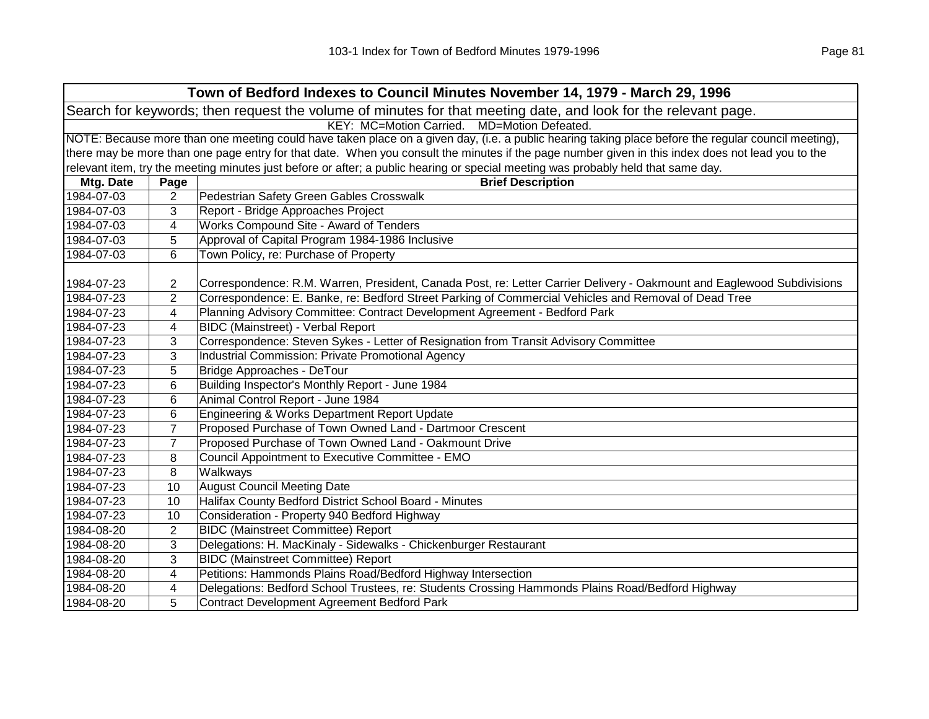| Town of Bedford Indexes to Council Minutes November 14, 1979 - March 29, 1996                                  |                                                                                                                                                     |                                                                                                                                                   |  |  |  |
|----------------------------------------------------------------------------------------------------------------|-----------------------------------------------------------------------------------------------------------------------------------------------------|---------------------------------------------------------------------------------------------------------------------------------------------------|--|--|--|
| Search for keywords; then request the volume of minutes for that meeting date, and look for the relevant page. |                                                                                                                                                     |                                                                                                                                                   |  |  |  |
|                                                                                                                |                                                                                                                                                     | KEY: MC=Motion Carried. MD=Motion Defeated.                                                                                                       |  |  |  |
|                                                                                                                | NOTE: Because more than one meeting could have taken place on a given day, (i.e. a public hearing taking place before the regular council meeting), |                                                                                                                                                   |  |  |  |
|                                                                                                                |                                                                                                                                                     | there may be more than one page entry for that date. When you consult the minutes if the page number given in this index does not lead you to the |  |  |  |
|                                                                                                                |                                                                                                                                                     | relevant item, try the meeting minutes just before or after; a public hearing or special meeting was probably held that same day.                 |  |  |  |
| Mtg. Date                                                                                                      | Page                                                                                                                                                | <b>Brief Description</b>                                                                                                                          |  |  |  |
| 1984-07-03                                                                                                     | 2                                                                                                                                                   | Pedestrian Safety Green Gables Crosswalk                                                                                                          |  |  |  |
| 1984-07-03                                                                                                     | 3                                                                                                                                                   | Report - Bridge Approaches Project                                                                                                                |  |  |  |
| 1984-07-03                                                                                                     | 4                                                                                                                                                   | Works Compound Site - Award of Tenders                                                                                                            |  |  |  |
| 1984-07-03                                                                                                     | 5                                                                                                                                                   | Approval of Capital Program 1984-1986 Inclusive                                                                                                   |  |  |  |
| 1984-07-03                                                                                                     | 6                                                                                                                                                   | Town Policy, re: Purchase of Property                                                                                                             |  |  |  |
|                                                                                                                |                                                                                                                                                     |                                                                                                                                                   |  |  |  |
| 1984-07-23                                                                                                     | $\overline{2}$                                                                                                                                      | Correspondence: R.M. Warren, President, Canada Post, re: Letter Carrier Delivery - Oakmount and Eaglewood Subdivisions                            |  |  |  |
| 1984-07-23                                                                                                     | 2                                                                                                                                                   | Correspondence: E. Banke, re: Bedford Street Parking of Commercial Vehicles and Removal of Dead Tree                                              |  |  |  |
| 1984-07-23                                                                                                     | 4                                                                                                                                                   | Planning Advisory Committee: Contract Development Agreement - Bedford Park                                                                        |  |  |  |
| 1984-07-23                                                                                                     | 4                                                                                                                                                   | <b>BIDC</b> (Mainstreet) - Verbal Report                                                                                                          |  |  |  |
| 1984-07-23                                                                                                     | 3                                                                                                                                                   | Correspondence: Steven Sykes - Letter of Resignation from Transit Advisory Committee                                                              |  |  |  |
| 1984-07-23                                                                                                     | 3                                                                                                                                                   | Industrial Commission: Private Promotional Agency                                                                                                 |  |  |  |
| 1984-07-23                                                                                                     | 5                                                                                                                                                   | Bridge Approaches - DeTour                                                                                                                        |  |  |  |
| 1984-07-23                                                                                                     | 6                                                                                                                                                   | Building Inspector's Monthly Report - June 1984                                                                                                   |  |  |  |
| 1984-07-23                                                                                                     | 6                                                                                                                                                   | Animal Control Report - June 1984                                                                                                                 |  |  |  |
| 1984-07-23                                                                                                     | 6                                                                                                                                                   | Engineering & Works Department Report Update                                                                                                      |  |  |  |
| 1984-07-23                                                                                                     | 7                                                                                                                                                   | Proposed Purchase of Town Owned Land - Dartmoor Crescent                                                                                          |  |  |  |
| 1984-07-23                                                                                                     | $\overline{7}$                                                                                                                                      | Proposed Purchase of Town Owned Land - Oakmount Drive                                                                                             |  |  |  |
| 1984-07-23                                                                                                     | 8                                                                                                                                                   | Council Appointment to Executive Committee - EMO                                                                                                  |  |  |  |
| 1984-07-23                                                                                                     | 8                                                                                                                                                   | Walkways                                                                                                                                          |  |  |  |
| 1984-07-23                                                                                                     | 10                                                                                                                                                  | <b>August Council Meeting Date</b>                                                                                                                |  |  |  |
| 1984-07-23                                                                                                     | 10                                                                                                                                                  | Halifax County Bedford District School Board - Minutes                                                                                            |  |  |  |
| 1984-07-23                                                                                                     | 10                                                                                                                                                  | Consideration - Property 940 Bedford Highway                                                                                                      |  |  |  |
| 1984-08-20                                                                                                     | $\overline{2}$                                                                                                                                      | <b>BIDC</b> (Mainstreet Committee) Report                                                                                                         |  |  |  |
| 1984-08-20                                                                                                     | 3                                                                                                                                                   | Delegations: H. MacKinaly - Sidewalks - Chickenburger Restaurant                                                                                  |  |  |  |
| 1984-08-20                                                                                                     | 3                                                                                                                                                   | <b>BIDC</b> (Mainstreet Committee) Report                                                                                                         |  |  |  |
| 1984-08-20                                                                                                     | 4                                                                                                                                                   | Petitions: Hammonds Plains Road/Bedford Highway Intersection                                                                                      |  |  |  |
| 1984-08-20                                                                                                     | 4                                                                                                                                                   | Delegations: Bedford School Trustees, re: Students Crossing Hammonds Plains Road/Bedford Highway                                                  |  |  |  |
| 1984-08-20                                                                                                     | 5                                                                                                                                                   | <b>Contract Development Agreement Bedford Park</b>                                                                                                |  |  |  |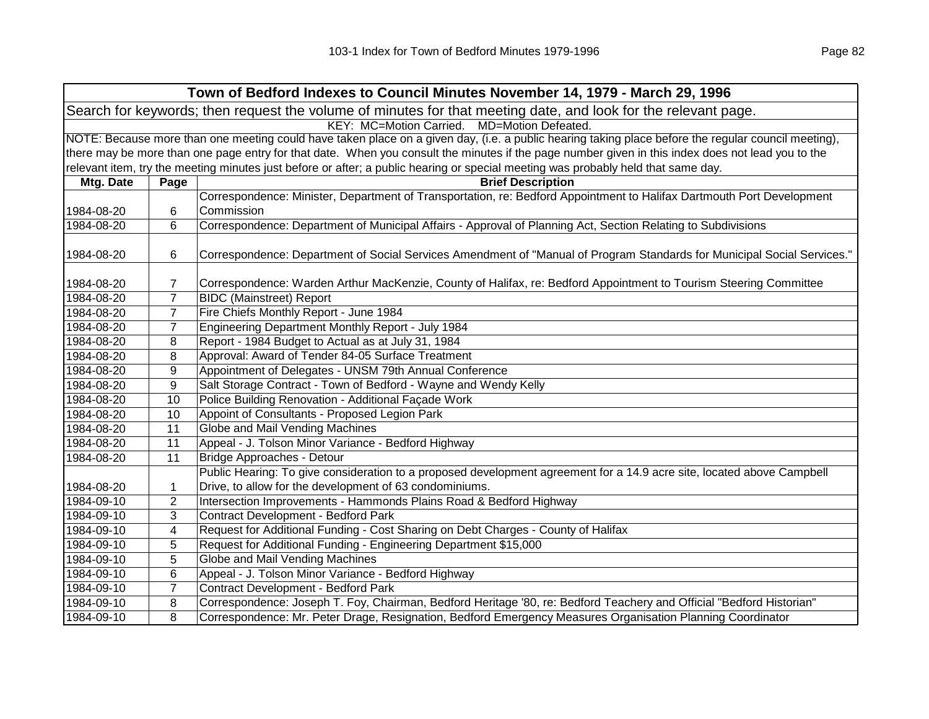| Town of Bedford Indexes to Council Minutes November 14, 1979 - March 29, 1996                                  |                                                                                                                                                     |                                                                                                                                                   |  |  |
|----------------------------------------------------------------------------------------------------------------|-----------------------------------------------------------------------------------------------------------------------------------------------------|---------------------------------------------------------------------------------------------------------------------------------------------------|--|--|
| Search for keywords; then request the volume of minutes for that meeting date, and look for the relevant page. |                                                                                                                                                     |                                                                                                                                                   |  |  |
|                                                                                                                | KEY: MC=Motion Carried. MD=Motion Defeated.                                                                                                         |                                                                                                                                                   |  |  |
|                                                                                                                | NOTE: Because more than one meeting could have taken place on a given day, (i.e. a public hearing taking place before the regular council meeting), |                                                                                                                                                   |  |  |
|                                                                                                                |                                                                                                                                                     | there may be more than one page entry for that date. When you consult the minutes if the page number given in this index does not lead you to the |  |  |
|                                                                                                                |                                                                                                                                                     | relevant item, try the meeting minutes just before or after; a public hearing or special meeting was probably held that same day.                 |  |  |
| Mtg. Date                                                                                                      | Page                                                                                                                                                | <b>Brief Description</b>                                                                                                                          |  |  |
|                                                                                                                |                                                                                                                                                     | Correspondence: Minister, Department of Transportation, re: Bedford Appointment to Halifax Dartmouth Port Development                             |  |  |
| 1984-08-20                                                                                                     | 6                                                                                                                                                   | Commission                                                                                                                                        |  |  |
| 1984-08-20                                                                                                     | 6                                                                                                                                                   | Correspondence: Department of Municipal Affairs - Approval of Planning Act, Section Relating to Subdivisions                                      |  |  |
|                                                                                                                |                                                                                                                                                     |                                                                                                                                                   |  |  |
| 1984-08-20                                                                                                     | 6                                                                                                                                                   | Correspondence: Department of Social Services Amendment of "Manual of Program Standards for Municipal Social Services."                           |  |  |
|                                                                                                                |                                                                                                                                                     |                                                                                                                                                   |  |  |
| 1984-08-20                                                                                                     | 7                                                                                                                                                   | Correspondence: Warden Arthur MacKenzie, County of Halifax, re: Bedford Appointment to Tourism Steering Committee                                 |  |  |
| 1984-08-20                                                                                                     | $\overline{7}$                                                                                                                                      | <b>BIDC</b> (Mainstreet) Report                                                                                                                   |  |  |
| 1984-08-20                                                                                                     | $\overline{7}$                                                                                                                                      | Fire Chiefs Monthly Report - June 1984                                                                                                            |  |  |
| 1984-08-20                                                                                                     | $\overline{7}$                                                                                                                                      | Engineering Department Monthly Report - July 1984                                                                                                 |  |  |
| 1984-08-20                                                                                                     | 8                                                                                                                                                   | Report - 1984 Budget to Actual as at July 31, 1984                                                                                                |  |  |
| 1984-08-20                                                                                                     | 8                                                                                                                                                   | Approval: Award of Tender 84-05 Surface Treatment                                                                                                 |  |  |
| 1984-08-20                                                                                                     | 9                                                                                                                                                   | Appointment of Delegates - UNSM 79th Annual Conference                                                                                            |  |  |
| 1984-08-20                                                                                                     | 9                                                                                                                                                   | Salt Storage Contract - Town of Bedford - Wayne and Wendy Kelly                                                                                   |  |  |
| 1984-08-20                                                                                                     | 10                                                                                                                                                  | Police Building Renovation - Additional Façade Work                                                                                               |  |  |
| 1984-08-20                                                                                                     | 10                                                                                                                                                  | Appoint of Consultants - Proposed Legion Park                                                                                                     |  |  |
| 1984-08-20                                                                                                     | 11                                                                                                                                                  | Globe and Mail Vending Machines                                                                                                                   |  |  |
| 1984-08-20                                                                                                     | 11                                                                                                                                                  | Appeal - J. Tolson Minor Variance - Bedford Highway                                                                                               |  |  |
| 1984-08-20                                                                                                     | 11                                                                                                                                                  | Bridge Approaches - Detour                                                                                                                        |  |  |
|                                                                                                                |                                                                                                                                                     | Public Hearing: To give consideration to a proposed development agreement for a 14.9 acre site, located above Campbell                            |  |  |
| 1984-08-20                                                                                                     | 1                                                                                                                                                   | Drive, to allow for the development of 63 condominiums.                                                                                           |  |  |
| 1984-09-10                                                                                                     | $\overline{2}$                                                                                                                                      | Intersection Improvements - Hammonds Plains Road & Bedford Highway                                                                                |  |  |
| 1984-09-10                                                                                                     | 3                                                                                                                                                   | Contract Development - Bedford Park                                                                                                               |  |  |
| 1984-09-10                                                                                                     | 4                                                                                                                                                   | Request for Additional Funding - Cost Sharing on Debt Charges - County of Halifax                                                                 |  |  |
| 1984-09-10                                                                                                     | 5                                                                                                                                                   | Request for Additional Funding - Engineering Department \$15,000                                                                                  |  |  |
| 1984-09-10                                                                                                     | 5                                                                                                                                                   | Globe and Mail Vending Machines                                                                                                                   |  |  |
| 1984-09-10                                                                                                     | 6                                                                                                                                                   | Appeal - J. Tolson Minor Variance - Bedford Highway                                                                                               |  |  |
| 1984-09-10                                                                                                     | $\overline{7}$                                                                                                                                      | Contract Development - Bedford Park                                                                                                               |  |  |
| 1984-09-10                                                                                                     | 8                                                                                                                                                   | Correspondence: Joseph T. Foy, Chairman, Bedford Heritage '80, re: Bedford Teachery and Official "Bedford Historian"                              |  |  |
| 1984-09-10                                                                                                     | 8                                                                                                                                                   | Correspondence: Mr. Peter Drage, Resignation, Bedford Emergency Measures Organisation Planning Coordinator                                        |  |  |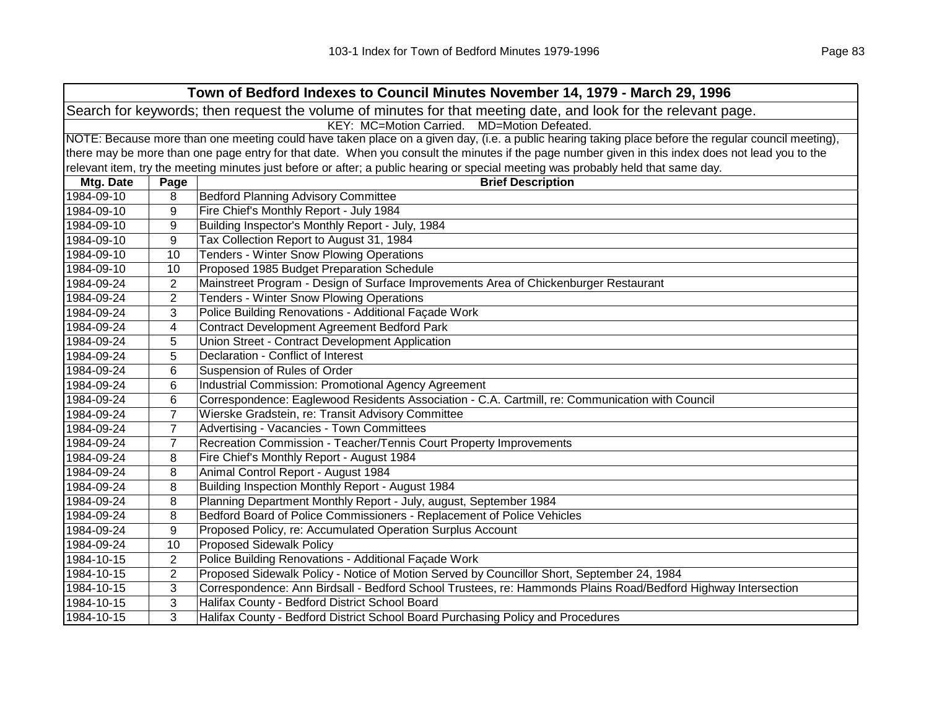| Town of Bedford Indexes to Council Minutes November 14, 1979 - March 29, 1996                                  |                                                |                                                                                                                                                     |  |  |  |
|----------------------------------------------------------------------------------------------------------------|------------------------------------------------|-----------------------------------------------------------------------------------------------------------------------------------------------------|--|--|--|
| Search for keywords; then request the volume of minutes for that meeting date, and look for the relevant page. |                                                |                                                                                                                                                     |  |  |  |
|                                                                                                                | KEY: MC=Motion Carried.<br>MD=Motion Defeated. |                                                                                                                                                     |  |  |  |
|                                                                                                                |                                                | NOTE: Because more than one meeting could have taken place on a given day, (i.e. a public hearing taking place before the regular council meeting), |  |  |  |
|                                                                                                                |                                                | there may be more than one page entry for that date. When you consult the minutes if the page number given in this index does not lead you to the   |  |  |  |
|                                                                                                                |                                                | relevant item, try the meeting minutes just before or after; a public hearing or special meeting was probably held that same day.                   |  |  |  |
| Mtg. Date                                                                                                      | Page                                           | <b>Brief Description</b>                                                                                                                            |  |  |  |
| 1984-09-10                                                                                                     | 8                                              | <b>Bedford Planning Advisory Committee</b>                                                                                                          |  |  |  |
| 1984-09-10                                                                                                     | 9                                              | Fire Chief's Monthly Report - July 1984                                                                                                             |  |  |  |
| 1984-09-10                                                                                                     | 9                                              | Building Inspector's Monthly Report - July, 1984                                                                                                    |  |  |  |
| 1984-09-10                                                                                                     | 9                                              | Tax Collection Report to August 31, 1984                                                                                                            |  |  |  |
| 1984-09-10                                                                                                     | 10                                             | <b>Tenders - Winter Snow Plowing Operations</b>                                                                                                     |  |  |  |
| 1984-09-10                                                                                                     | 10                                             | Proposed 1985 Budget Preparation Schedule                                                                                                           |  |  |  |
| 1984-09-24                                                                                                     | $\overline{2}$                                 | Mainstreet Program - Design of Surface Improvements Area of Chickenburger Restaurant                                                                |  |  |  |
| 1984-09-24                                                                                                     | $\overline{2}$                                 | Tenders - Winter Snow Plowing Operations                                                                                                            |  |  |  |
| 1984-09-24                                                                                                     | 3                                              | Police Building Renovations - Additional Façade Work                                                                                                |  |  |  |
| 1984-09-24                                                                                                     | 4                                              | <b>Contract Development Agreement Bedford Park</b>                                                                                                  |  |  |  |
| 1984-09-24                                                                                                     | 5                                              | Union Street - Contract Development Application                                                                                                     |  |  |  |
| 1984-09-24                                                                                                     | 5                                              | Declaration - Conflict of Interest                                                                                                                  |  |  |  |
| 1984-09-24                                                                                                     | 6                                              | Suspension of Rules of Order                                                                                                                        |  |  |  |
| 1984-09-24                                                                                                     | 6                                              | Industrial Commission: Promotional Agency Agreement                                                                                                 |  |  |  |
| 1984-09-24                                                                                                     | 6                                              | Correspondence: Eaglewood Residents Association - C.A. Cartmill, re: Communication with Council                                                     |  |  |  |
| 1984-09-24                                                                                                     | $\overline{7}$                                 | Wierske Gradstein, re: Transit Advisory Committee                                                                                                   |  |  |  |
| 1984-09-24                                                                                                     | $\overline{7}$                                 | Advertising - Vacancies - Town Committees                                                                                                           |  |  |  |
| 1984-09-24                                                                                                     | $\overline{7}$                                 | Recreation Commission - Teacher/Tennis Court Property Improvements                                                                                  |  |  |  |
| 1984-09-24                                                                                                     | 8                                              | Fire Chief's Monthly Report - August 1984                                                                                                           |  |  |  |
| 1984-09-24                                                                                                     | 8                                              | Animal Control Report - August 1984                                                                                                                 |  |  |  |
| 1984-09-24                                                                                                     | 8                                              | Building Inspection Monthly Report - August 1984                                                                                                    |  |  |  |
| 1984-09-24                                                                                                     | 8                                              | Planning Department Monthly Report - July, august, September 1984                                                                                   |  |  |  |
| 1984-09-24                                                                                                     | 8                                              | Bedford Board of Police Commissioners - Replacement of Police Vehicles                                                                              |  |  |  |
| 1984-09-24                                                                                                     | 9                                              | Proposed Policy, re: Accumulated Operation Surplus Account                                                                                          |  |  |  |
| 1984-09-24                                                                                                     | 10                                             | <b>Proposed Sidewalk Policy</b>                                                                                                                     |  |  |  |
| 1984-10-15                                                                                                     | $\overline{2}$                                 | Police Building Renovations - Additional Façade Work                                                                                                |  |  |  |
| 1984-10-15                                                                                                     | $\overline{2}$                                 | Proposed Sidewalk Policy - Notice of Motion Served by Councillor Short, September 24, 1984                                                          |  |  |  |
| 1984-10-15                                                                                                     | 3                                              | Correspondence: Ann Birdsall - Bedford School Trustees, re: Hammonds Plains Road/Bedford Highway Intersection                                       |  |  |  |
| 1984-10-15                                                                                                     | 3                                              | Halifax County - Bedford District School Board                                                                                                      |  |  |  |
| 1984-10-15                                                                                                     | 3                                              | Halifax County - Bedford District School Board Purchasing Policy and Procedures                                                                     |  |  |  |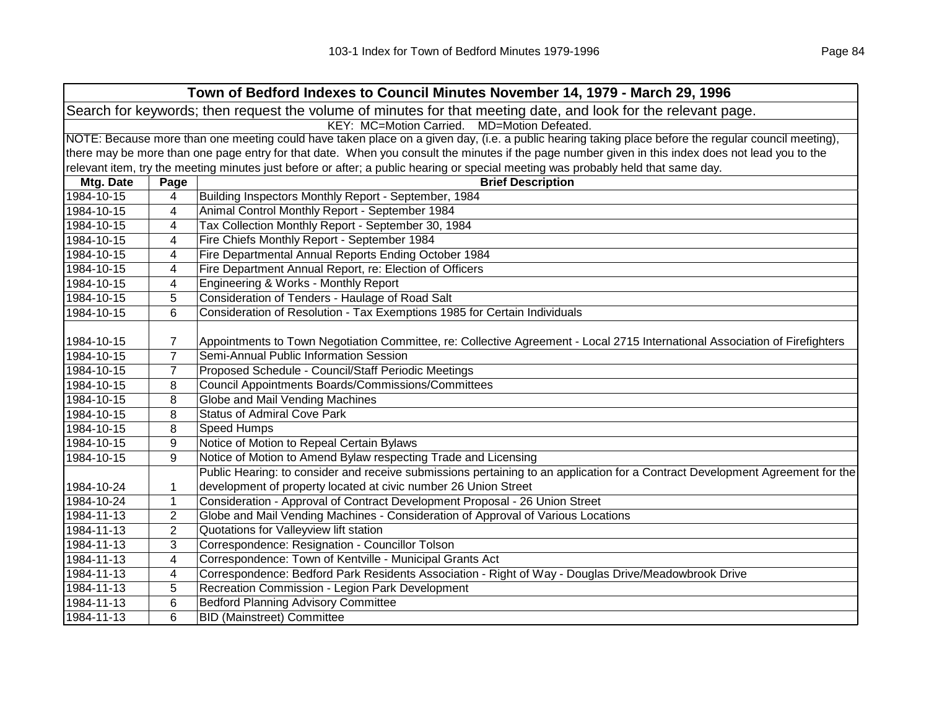| Town of Bedford Indexes to Council Minutes November 14, 1979 - March 29, 1996                                  |                                                                                                                                                     |                                                                                                                                                   |  |  |  |
|----------------------------------------------------------------------------------------------------------------|-----------------------------------------------------------------------------------------------------------------------------------------------------|---------------------------------------------------------------------------------------------------------------------------------------------------|--|--|--|
| Search for keywords; then request the volume of minutes for that meeting date, and look for the relevant page. |                                                                                                                                                     |                                                                                                                                                   |  |  |  |
|                                                                                                                | KEY: MC=Motion Carried. MD=Motion Defeated.                                                                                                         |                                                                                                                                                   |  |  |  |
|                                                                                                                | NOTE: Because more than one meeting could have taken place on a given day, (i.e. a public hearing taking place before the regular council meeting), |                                                                                                                                                   |  |  |  |
|                                                                                                                |                                                                                                                                                     | there may be more than one page entry for that date. When you consult the minutes if the page number given in this index does not lead you to the |  |  |  |
|                                                                                                                |                                                                                                                                                     | relevant item, try the meeting minutes just before or after; a public hearing or special meeting was probably held that same day.                 |  |  |  |
| Mtg. Date                                                                                                      | Page                                                                                                                                                | <b>Brief Description</b>                                                                                                                          |  |  |  |
| 1984-10-15                                                                                                     | 4                                                                                                                                                   | Building Inspectors Monthly Report - September, 1984                                                                                              |  |  |  |
| 1984-10-15                                                                                                     | 4                                                                                                                                                   | Animal Control Monthly Report - September 1984                                                                                                    |  |  |  |
| 1984-10-15                                                                                                     | 4                                                                                                                                                   | Tax Collection Monthly Report - September 30, 1984                                                                                                |  |  |  |
| 1984-10-15                                                                                                     | 4                                                                                                                                                   | Fire Chiefs Monthly Report - September 1984                                                                                                       |  |  |  |
| 1984-10-15                                                                                                     | 4                                                                                                                                                   | Fire Departmental Annual Reports Ending October 1984                                                                                              |  |  |  |
| 1984-10-15                                                                                                     | 4                                                                                                                                                   | Fire Department Annual Report, re: Election of Officers                                                                                           |  |  |  |
| 1984-10-15                                                                                                     | 4                                                                                                                                                   | Engineering & Works - Monthly Report                                                                                                              |  |  |  |
| 1984-10-15                                                                                                     | 5                                                                                                                                                   | Consideration of Tenders - Haulage of Road Salt                                                                                                   |  |  |  |
| 1984-10-15                                                                                                     | 6                                                                                                                                                   | Consideration of Resolution - Tax Exemptions 1985 for Certain Individuals                                                                         |  |  |  |
|                                                                                                                |                                                                                                                                                     |                                                                                                                                                   |  |  |  |
| 1984-10-15                                                                                                     | 7                                                                                                                                                   | Appointments to Town Negotiation Committee, re: Collective Agreement - Local 2715 International Association of Firefighters                       |  |  |  |
| 1984-10-15                                                                                                     | $\overline{7}$                                                                                                                                      | Semi-Annual Public Information Session                                                                                                            |  |  |  |
| 1984-10-15                                                                                                     | $\overline{7}$                                                                                                                                      | Proposed Schedule - Council/Staff Periodic Meetings                                                                                               |  |  |  |
| 1984-10-15                                                                                                     | 8                                                                                                                                                   | <b>Council Appointments Boards/Commissions/Committees</b>                                                                                         |  |  |  |
| 1984-10-15                                                                                                     | 8                                                                                                                                                   | Globe and Mail Vending Machines                                                                                                                   |  |  |  |
| 1984-10-15                                                                                                     | 8                                                                                                                                                   | <b>Status of Admiral Cove Park</b>                                                                                                                |  |  |  |
| 1984-10-15                                                                                                     | 8                                                                                                                                                   | <b>Speed Humps</b>                                                                                                                                |  |  |  |
| 1984-10-15                                                                                                     | 9                                                                                                                                                   | Notice of Motion to Repeal Certain Bylaws                                                                                                         |  |  |  |
| 1984-10-15                                                                                                     | 9                                                                                                                                                   | Notice of Motion to Amend Bylaw respecting Trade and Licensing                                                                                    |  |  |  |
|                                                                                                                |                                                                                                                                                     | Public Hearing: to consider and receive submissions pertaining to an application for a Contract Development Agreement for the                     |  |  |  |
| 1984-10-24                                                                                                     | 1                                                                                                                                                   | development of property located at civic number 26 Union Street                                                                                   |  |  |  |
| 1984-10-24                                                                                                     | 1                                                                                                                                                   | Consideration - Approval of Contract Development Proposal - 26 Union Street                                                                       |  |  |  |
| 1984-11-13                                                                                                     | $\overline{2}$                                                                                                                                      | Globe and Mail Vending Machines - Consideration of Approval of Various Locations                                                                  |  |  |  |
| 1984-11-13                                                                                                     | $\overline{2}$                                                                                                                                      | Quotations for Valleyview lift station                                                                                                            |  |  |  |
| 1984-11-13                                                                                                     | 3                                                                                                                                                   | Correspondence: Resignation - Councillor Tolson                                                                                                   |  |  |  |
| 1984-11-13                                                                                                     | 4                                                                                                                                                   | Correspondence: Town of Kentville - Municipal Grants Act                                                                                          |  |  |  |
| 1984-11-13                                                                                                     | 4                                                                                                                                                   | Correspondence: Bedford Park Residents Association - Right of Way - Douglas Drive/Meadowbrook Drive                                               |  |  |  |
| 1984-11-13                                                                                                     | 5                                                                                                                                                   | Recreation Commission - Legion Park Development                                                                                                   |  |  |  |
| 1984-11-13                                                                                                     | 6                                                                                                                                                   | <b>Bedford Planning Advisory Committee</b>                                                                                                        |  |  |  |
| 1984-11-13                                                                                                     | 6                                                                                                                                                   | <b>BID (Mainstreet) Committee</b>                                                                                                                 |  |  |  |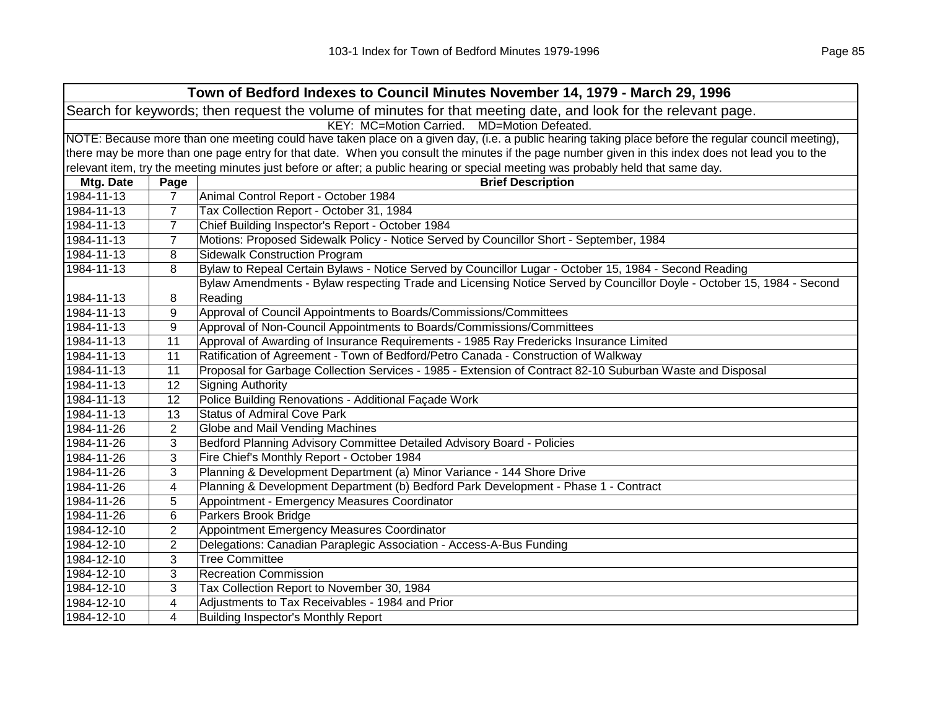|                                                                                                                |                                                | Town of Bedford Indexes to Council Minutes November 14, 1979 - March 29, 1996                                                                       |  |  |
|----------------------------------------------------------------------------------------------------------------|------------------------------------------------|-----------------------------------------------------------------------------------------------------------------------------------------------------|--|--|
| Search for keywords; then request the volume of minutes for that meeting date, and look for the relevant page. |                                                |                                                                                                                                                     |  |  |
|                                                                                                                | KEY: MC=Motion Carried.<br>MD=Motion Defeated. |                                                                                                                                                     |  |  |
|                                                                                                                |                                                | NOTE: Because more than one meeting could have taken place on a given day, (i.e. a public hearing taking place before the regular council meeting), |  |  |
|                                                                                                                |                                                | there may be more than one page entry for that date. When you consult the minutes if the page number given in this index does not lead you to the   |  |  |
|                                                                                                                |                                                | relevant item, try the meeting minutes just before or after; a public hearing or special meeting was probably held that same day.                   |  |  |
| Mtg. Date                                                                                                      | Page                                           | <b>Brief Description</b>                                                                                                                            |  |  |
| 1984-11-13                                                                                                     | $\overline{7}$                                 | Animal Control Report - October 1984                                                                                                                |  |  |
| 1984-11-13                                                                                                     | 7                                              | Tax Collection Report - October 31, 1984                                                                                                            |  |  |
| 1984-11-13                                                                                                     | $\overline{7}$                                 | Chief Building Inspector's Report - October 1984                                                                                                    |  |  |
| 1984-11-13                                                                                                     | $\overline{7}$                                 | Motions: Proposed Sidewalk Policy - Notice Served by Councillor Short - September, 1984                                                             |  |  |
| 1984-11-13                                                                                                     | 8                                              | <b>Sidewalk Construction Program</b>                                                                                                                |  |  |
| 1984-11-13                                                                                                     | 8                                              | Bylaw to Repeal Certain Bylaws - Notice Served by Councillor Lugar - October 15, 1984 - Second Reading                                              |  |  |
|                                                                                                                |                                                | Bylaw Amendments - Bylaw respecting Trade and Licensing Notice Served by Councillor Doyle - October 15, 1984 - Second                               |  |  |
| 1984-11-13                                                                                                     | 8                                              | Reading                                                                                                                                             |  |  |
| 1984-11-13                                                                                                     | 9                                              | Approval of Council Appointments to Boards/Commissions/Committees                                                                                   |  |  |
| 1984-11-13                                                                                                     | 9                                              | Approval of Non-Council Appointments to Boards/Commissions/Committees                                                                               |  |  |
| 1984-11-13                                                                                                     | 11                                             | Approval of Awarding of Insurance Requirements - 1985 Ray Fredericks Insurance Limited                                                              |  |  |
| 1984-11-13                                                                                                     | 11                                             | Ratification of Agreement - Town of Bedford/Petro Canada - Construction of Walkway                                                                  |  |  |
| 1984-11-13                                                                                                     | 11                                             | Proposal for Garbage Collection Services - 1985 - Extension of Contract 82-10 Suburban Waste and Disposal                                           |  |  |
| 1984-11-13                                                                                                     | 12                                             | <b>Signing Authority</b>                                                                                                                            |  |  |
| 1984-11-13                                                                                                     | 12                                             | Police Building Renovations - Additional Façade Work                                                                                                |  |  |
| 1984-11-13                                                                                                     | 13                                             | <b>Status of Admiral Cove Park</b>                                                                                                                  |  |  |
| 1984-11-26                                                                                                     | 2                                              | Globe and Mail Vending Machines                                                                                                                     |  |  |
| 1984-11-26                                                                                                     | 3                                              | Bedford Planning Advisory Committee Detailed Advisory Board - Policies                                                                              |  |  |
| 1984-11-26                                                                                                     | 3                                              | Fire Chief's Monthly Report - October 1984                                                                                                          |  |  |
| 1984-11-26                                                                                                     | 3                                              | Planning & Development Department (a) Minor Variance - 144 Shore Drive                                                                              |  |  |
| 1984-11-26                                                                                                     | 4                                              | Planning & Development Department (b) Bedford Park Development - Phase 1 - Contract                                                                 |  |  |
| 1984-11-26                                                                                                     | 5                                              | Appointment - Emergency Measures Coordinator                                                                                                        |  |  |
| 1984-11-26                                                                                                     | 6                                              | Parkers Brook Bridge                                                                                                                                |  |  |
| 1984-12-10                                                                                                     | $\overline{c}$                                 | Appointment Emergency Measures Coordinator                                                                                                          |  |  |
| 1984-12-10                                                                                                     | $\overline{2}$                                 | Delegations: Canadian Paraplegic Association - Access-A-Bus Funding                                                                                 |  |  |
| 1984-12-10                                                                                                     | 3                                              | <b>Tree Committee</b>                                                                                                                               |  |  |
| 1984-12-10                                                                                                     | 3                                              | <b>Recreation Commission</b>                                                                                                                        |  |  |
| 1984-12-10                                                                                                     | 3                                              | Tax Collection Report to November 30, 1984                                                                                                          |  |  |
| 1984-12-10                                                                                                     | 4                                              | Adjustments to Tax Receivables - 1984 and Prior                                                                                                     |  |  |
| 1984-12-10                                                                                                     | 4                                              | <b>Building Inspector's Monthly Report</b>                                                                                                          |  |  |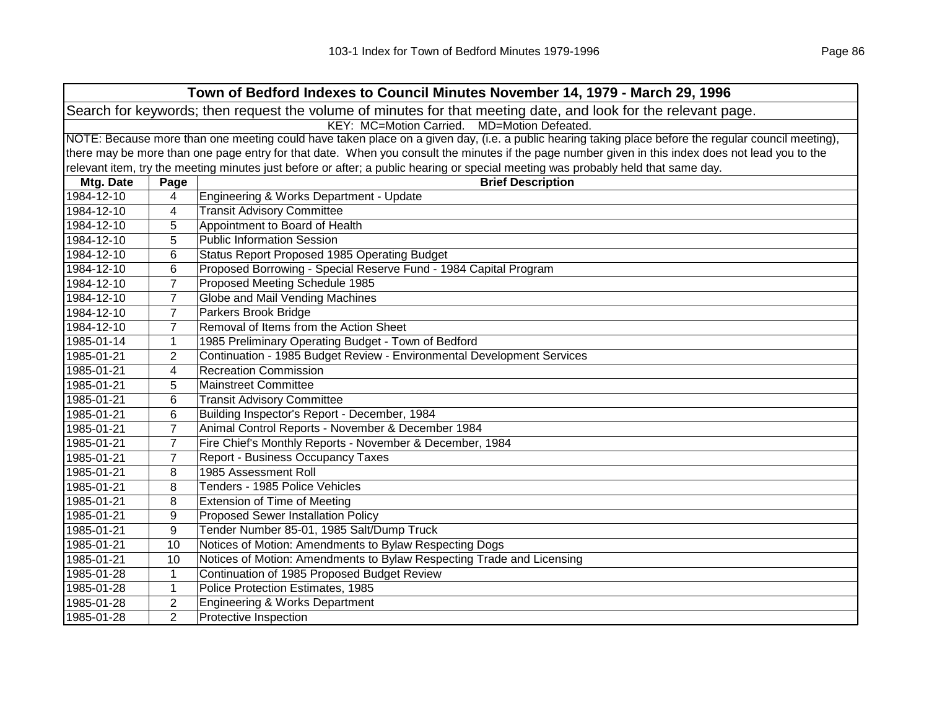| Town of Bedford Indexes to Council Minutes November 14, 1979 - March 29, 1996                                  |                                                                                                                                                     |                                                                                                                                                   |  |  |  |
|----------------------------------------------------------------------------------------------------------------|-----------------------------------------------------------------------------------------------------------------------------------------------------|---------------------------------------------------------------------------------------------------------------------------------------------------|--|--|--|
| Search for keywords; then request the volume of minutes for that meeting date, and look for the relevant page. |                                                                                                                                                     |                                                                                                                                                   |  |  |  |
|                                                                                                                | KEY: MC=Motion Carried. MD=Motion Defeated.                                                                                                         |                                                                                                                                                   |  |  |  |
|                                                                                                                | NOTE: Because more than one meeting could have taken place on a given day, (i.e. a public hearing taking place before the regular council meeting), |                                                                                                                                                   |  |  |  |
|                                                                                                                |                                                                                                                                                     | there may be more than one page entry for that date. When you consult the minutes if the page number given in this index does not lead you to the |  |  |  |
|                                                                                                                |                                                                                                                                                     | relevant item, try the meeting minutes just before or after; a public hearing or special meeting was probably held that same day.                 |  |  |  |
| Mtg. Date                                                                                                      | Page                                                                                                                                                | <b>Brief Description</b>                                                                                                                          |  |  |  |
| 1984-12-10                                                                                                     | 4                                                                                                                                                   | Engineering & Works Department - Update                                                                                                           |  |  |  |
| 1984-12-10                                                                                                     | 4                                                                                                                                                   | <b>Transit Advisory Committee</b>                                                                                                                 |  |  |  |
| 1984-12-10                                                                                                     | 5                                                                                                                                                   | Appointment to Board of Health                                                                                                                    |  |  |  |
| 1984-12-10                                                                                                     | 5                                                                                                                                                   | <b>Public Information Session</b>                                                                                                                 |  |  |  |
| 1984-12-10                                                                                                     | 6                                                                                                                                                   | Status Report Proposed 1985 Operating Budget                                                                                                      |  |  |  |
| 1984-12-10                                                                                                     | 6                                                                                                                                                   | Proposed Borrowing - Special Reserve Fund - 1984 Capital Program                                                                                  |  |  |  |
| 1984-12-10                                                                                                     | $\overline{7}$                                                                                                                                      | Proposed Meeting Schedule 1985                                                                                                                    |  |  |  |
| 1984-12-10                                                                                                     | $\overline{7}$                                                                                                                                      | Globe and Mail Vending Machines                                                                                                                   |  |  |  |
| 1984-12-10                                                                                                     | $\overline{7}$                                                                                                                                      | Parkers Brook Bridge                                                                                                                              |  |  |  |
| 1984-12-10                                                                                                     | $\overline{7}$                                                                                                                                      | Removal of Items from the Action Sheet                                                                                                            |  |  |  |
| 1985-01-14                                                                                                     | $\mathbf{1}$                                                                                                                                        | 1985 Preliminary Operating Budget - Town of Bedford                                                                                               |  |  |  |
| 1985-01-21                                                                                                     | $\overline{2}$                                                                                                                                      | Continuation - 1985 Budget Review - Environmental Development Services                                                                            |  |  |  |
| 1985-01-21                                                                                                     | 4                                                                                                                                                   | <b>Recreation Commission</b>                                                                                                                      |  |  |  |
| 1985-01-21                                                                                                     | 5                                                                                                                                                   | Mainstreet Committee                                                                                                                              |  |  |  |
| 1985-01-21                                                                                                     | 6                                                                                                                                                   | <b>Transit Advisory Committee</b>                                                                                                                 |  |  |  |
| 1985-01-21                                                                                                     | 6                                                                                                                                                   | Building Inspector's Report - December, 1984                                                                                                      |  |  |  |
| 1985-01-21                                                                                                     | $\overline{7}$                                                                                                                                      | Animal Control Reports - November & December 1984                                                                                                 |  |  |  |
| 1985-01-21                                                                                                     | $\overline{7}$                                                                                                                                      | Fire Chief's Monthly Reports - November & December, 1984                                                                                          |  |  |  |
| 1985-01-21                                                                                                     | $\overline{7}$                                                                                                                                      | Report - Business Occupancy Taxes                                                                                                                 |  |  |  |
| 1985-01-21                                                                                                     | 8                                                                                                                                                   | 1985 Assessment Roll                                                                                                                              |  |  |  |
| 1985-01-21                                                                                                     | 8                                                                                                                                                   | Tenders - 1985 Police Vehicles                                                                                                                    |  |  |  |
| 1985-01-21                                                                                                     | 8                                                                                                                                                   | <b>Extension of Time of Meeting</b>                                                                                                               |  |  |  |
| 1985-01-21                                                                                                     | 9                                                                                                                                                   | <b>Proposed Sewer Installation Policy</b>                                                                                                         |  |  |  |
| 1985-01-21                                                                                                     | 9                                                                                                                                                   | Tender Number 85-01, 1985 Salt/Dump Truck                                                                                                         |  |  |  |
| 1985-01-21                                                                                                     | 10                                                                                                                                                  | Notices of Motion: Amendments to Bylaw Respecting Dogs                                                                                            |  |  |  |
| 1985-01-21                                                                                                     | 10                                                                                                                                                  | Notices of Motion: Amendments to Bylaw Respecting Trade and Licensing                                                                             |  |  |  |
| 1985-01-28                                                                                                     | $\mathbf{1}$                                                                                                                                        | Continuation of 1985 Proposed Budget Review                                                                                                       |  |  |  |
| 1985-01-28                                                                                                     | $\mathbf{1}$                                                                                                                                        | Police Protection Estimates, 1985                                                                                                                 |  |  |  |
| 1985-01-28                                                                                                     | $\overline{2}$                                                                                                                                      | Engineering & Works Department                                                                                                                    |  |  |  |
| 1985-01-28                                                                                                     | $\overline{2}$                                                                                                                                      | Protective Inspection                                                                                                                             |  |  |  |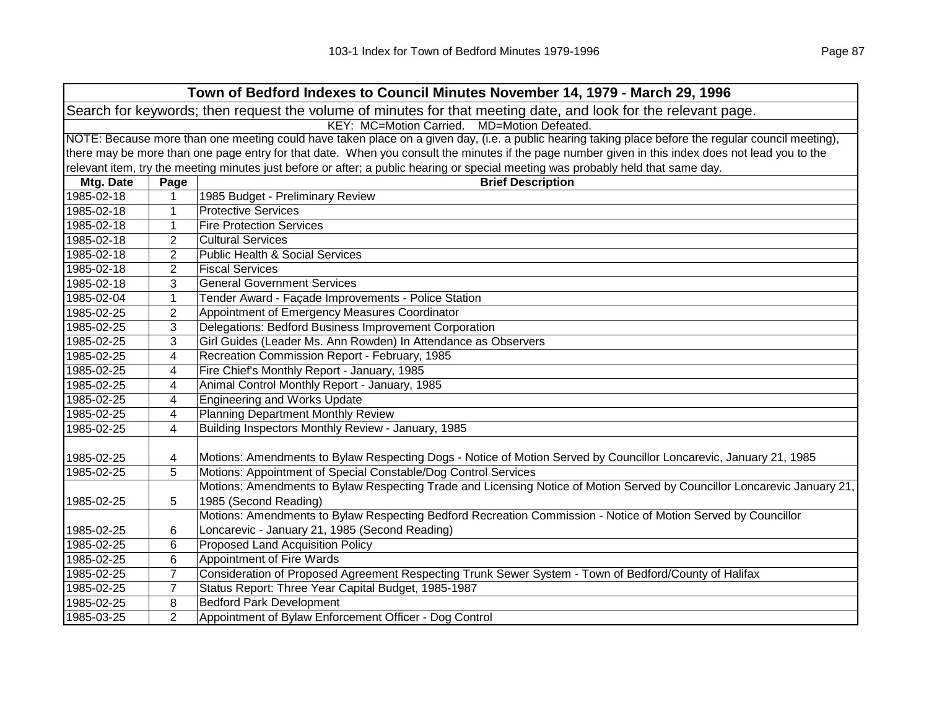|                                                                                                                | Town of Bedford Indexes to Council Minutes November 14, 1979 - March 29, 1996                                                                       |                                                                                                                                                   |  |  |
|----------------------------------------------------------------------------------------------------------------|-----------------------------------------------------------------------------------------------------------------------------------------------------|---------------------------------------------------------------------------------------------------------------------------------------------------|--|--|
| Search for keywords; then request the volume of minutes for that meeting date, and look for the relevant page. |                                                                                                                                                     |                                                                                                                                                   |  |  |
| KEY: MC=Motion Carried. MD=Motion Defeated.                                                                    |                                                                                                                                                     |                                                                                                                                                   |  |  |
|                                                                                                                | NOTE: Because more than one meeting could have taken place on a given day, (i.e. a public hearing taking place before the regular council meeting), |                                                                                                                                                   |  |  |
|                                                                                                                |                                                                                                                                                     | there may be more than one page entry for that date. When you consult the minutes if the page number given in this index does not lead you to the |  |  |
|                                                                                                                |                                                                                                                                                     | relevant item, try the meeting minutes just before or after; a public hearing or special meeting was probably held that same day.                 |  |  |
| Mtg. Date                                                                                                      | Page                                                                                                                                                | <b>Brief Description</b>                                                                                                                          |  |  |
| 1985-02-18                                                                                                     | 1                                                                                                                                                   | 1985 Budget - Preliminary Review                                                                                                                  |  |  |
| 1985-02-18                                                                                                     | 1                                                                                                                                                   | <b>Protective Services</b>                                                                                                                        |  |  |
| 1985-02-18                                                                                                     | $\mathbf 1$                                                                                                                                         | <b>Fire Protection Services</b>                                                                                                                   |  |  |
| 1985-02-18                                                                                                     | $\overline{2}$                                                                                                                                      | <b>Cultural Services</b>                                                                                                                          |  |  |
| 1985-02-18                                                                                                     | $\overline{2}$                                                                                                                                      | <b>Public Health &amp; Social Services</b>                                                                                                        |  |  |
| 1985-02-18                                                                                                     | $\overline{2}$                                                                                                                                      | <b>Fiscal Services</b>                                                                                                                            |  |  |
| 1985-02-18                                                                                                     | 3                                                                                                                                                   | <b>General Government Services</b>                                                                                                                |  |  |
| 1985-02-04                                                                                                     | 1                                                                                                                                                   | Tender Award - Façade Improvements - Police Station                                                                                               |  |  |
| 1985-02-25                                                                                                     | $\overline{2}$                                                                                                                                      | Appointment of Emergency Measures Coordinator                                                                                                     |  |  |
| 1985-02-25                                                                                                     | 3                                                                                                                                                   | Delegations: Bedford Business Improvement Corporation                                                                                             |  |  |
| 1985-02-25                                                                                                     | 3                                                                                                                                                   | Girl Guides (Leader Ms. Ann Rowden) In Attendance as Observers                                                                                    |  |  |
| 1985-02-25                                                                                                     | 4                                                                                                                                                   | Recreation Commission Report - February, 1985                                                                                                     |  |  |
| 1985-02-25                                                                                                     | 4                                                                                                                                                   | Fire Chief's Monthly Report - January, 1985                                                                                                       |  |  |
| 1985-02-25                                                                                                     | 4                                                                                                                                                   | Animal Control Monthly Report - January, 1985                                                                                                     |  |  |
| 1985-02-25                                                                                                     | 4                                                                                                                                                   | <b>Engineering and Works Update</b>                                                                                                               |  |  |
| 1985-02-25                                                                                                     | 4                                                                                                                                                   | <b>Planning Department Monthly Review</b>                                                                                                         |  |  |
| 1985-02-25                                                                                                     | 4                                                                                                                                                   | Building Inspectors Monthly Review - January, 1985                                                                                                |  |  |
|                                                                                                                |                                                                                                                                                     |                                                                                                                                                   |  |  |
| 1985-02-25                                                                                                     | 4                                                                                                                                                   | Motions: Amendments to Bylaw Respecting Dogs - Notice of Motion Served by Councillor Loncarevic, January 21, 1985                                 |  |  |
| 1985-02-25                                                                                                     | 5                                                                                                                                                   | Motions: Appointment of Special Constable/Dog Control Services                                                                                    |  |  |
|                                                                                                                |                                                                                                                                                     | Motions: Amendments to Bylaw Respecting Trade and Licensing Notice of Motion Served by Councillor Loncarevic January 21,                          |  |  |
| 1985-02-25                                                                                                     | 5                                                                                                                                                   | 1985 (Second Reading)                                                                                                                             |  |  |
|                                                                                                                |                                                                                                                                                     | Motions: Amendments to Bylaw Respecting Bedford Recreation Commission - Notice of Motion Served by Councillor                                     |  |  |
| 1985-02-25                                                                                                     | 6                                                                                                                                                   | Loncarevic - January 21, 1985 (Second Reading)                                                                                                    |  |  |
| 1985-02-25                                                                                                     | 6                                                                                                                                                   | <b>Proposed Land Acquisition Policy</b>                                                                                                           |  |  |
| 1985-02-25                                                                                                     | 6                                                                                                                                                   | Appointment of Fire Wards                                                                                                                         |  |  |
| 1985-02-25                                                                                                     | $\overline{7}$                                                                                                                                      | Consideration of Proposed Agreement Respecting Trunk Sewer System - Town of Bedford/County of Halifax                                             |  |  |
| 1985-02-25                                                                                                     | $\overline{7}$                                                                                                                                      | Status Report: Three Year Capital Budget, 1985-1987                                                                                               |  |  |
| 1985-02-25                                                                                                     | 8                                                                                                                                                   | <b>Bedford Park Development</b>                                                                                                                   |  |  |
| 1985-03-25                                                                                                     | $\overline{2}$                                                                                                                                      | Appointment of Bylaw Enforcement Officer - Dog Control                                                                                            |  |  |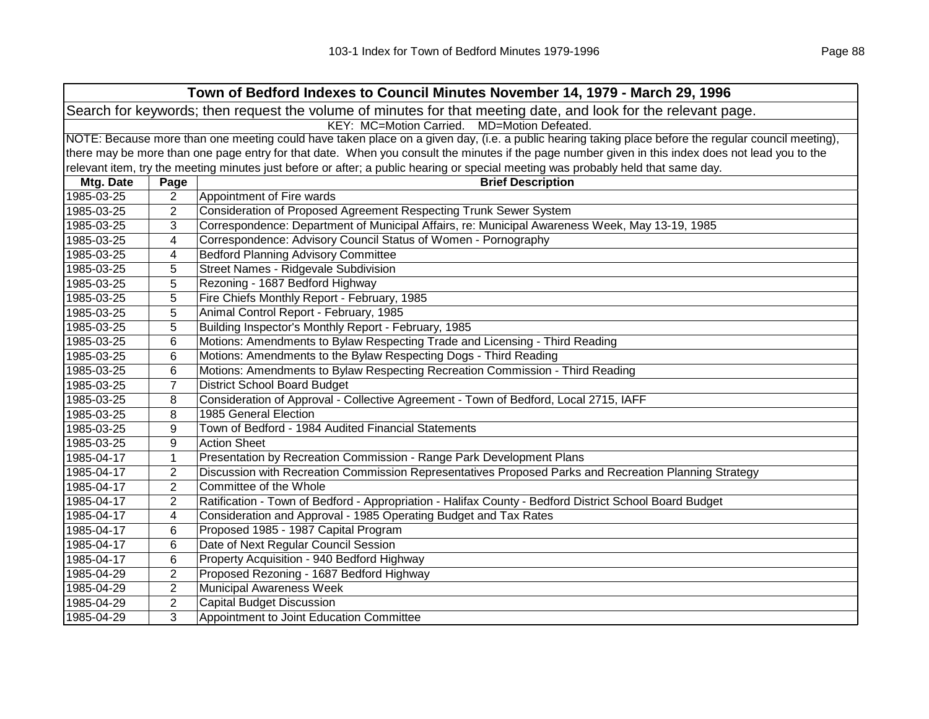| Town of Bedford Indexes to Council Minutes November 14, 1979 - March 29, 1996                                  |                                                                                                                                                   |                                                                                                                                                     |  |
|----------------------------------------------------------------------------------------------------------------|---------------------------------------------------------------------------------------------------------------------------------------------------|-----------------------------------------------------------------------------------------------------------------------------------------------------|--|
| Search for keywords; then request the volume of minutes for that meeting date, and look for the relevant page. |                                                                                                                                                   |                                                                                                                                                     |  |
| KEY: MC=Motion Carried. MD=Motion Defeated.                                                                    |                                                                                                                                                   |                                                                                                                                                     |  |
|                                                                                                                |                                                                                                                                                   | NOTE: Because more than one meeting could have taken place on a given day, (i.e. a public hearing taking place before the regular council meeting), |  |
|                                                                                                                | there may be more than one page entry for that date. When you consult the minutes if the page number given in this index does not lead you to the |                                                                                                                                                     |  |
|                                                                                                                |                                                                                                                                                   | relevant item, try the meeting minutes just before or after; a public hearing or special meeting was probably held that same day.                   |  |
| Mtg. Date                                                                                                      | Page                                                                                                                                              | <b>Brief Description</b>                                                                                                                            |  |
| 1985-03-25                                                                                                     | 2                                                                                                                                                 | Appointment of Fire wards                                                                                                                           |  |
| 1985-03-25                                                                                                     | $\overline{2}$                                                                                                                                    | Consideration of Proposed Agreement Respecting Trunk Sewer System                                                                                   |  |
| 1985-03-25                                                                                                     | 3                                                                                                                                                 | Correspondence: Department of Municipal Affairs, re: Municipal Awareness Week, May 13-19, 1985                                                      |  |
| 1985-03-25                                                                                                     | 4                                                                                                                                                 | Correspondence: Advisory Council Status of Women - Pornography                                                                                      |  |
| 1985-03-25                                                                                                     | 4                                                                                                                                                 | <b>Bedford Planning Advisory Committee</b>                                                                                                          |  |
| 1985-03-25                                                                                                     | 5                                                                                                                                                 | Street Names - Ridgevale Subdivision                                                                                                                |  |
| 1985-03-25                                                                                                     | 5                                                                                                                                                 | Rezoning - 1687 Bedford Highway                                                                                                                     |  |
| 1985-03-25                                                                                                     | 5                                                                                                                                                 | Fire Chiefs Monthly Report - February, 1985                                                                                                         |  |
| 1985-03-25                                                                                                     | 5                                                                                                                                                 | Animal Control Report - February, 1985                                                                                                              |  |
| 1985-03-25                                                                                                     | 5                                                                                                                                                 | Building Inspector's Monthly Report - February, 1985                                                                                                |  |
| 1985-03-25                                                                                                     | 6                                                                                                                                                 | Motions: Amendments to Bylaw Respecting Trade and Licensing - Third Reading                                                                         |  |
| 1985-03-25                                                                                                     | 6                                                                                                                                                 | Motions: Amendments to the Bylaw Respecting Dogs - Third Reading                                                                                    |  |
| 1985-03-25                                                                                                     | 6                                                                                                                                                 | Motions: Amendments to Bylaw Respecting Recreation Commission - Third Reading                                                                       |  |
| 1985-03-25                                                                                                     | 7                                                                                                                                                 | <b>District School Board Budget</b>                                                                                                                 |  |
| 1985-03-25                                                                                                     | 8                                                                                                                                                 | Consideration of Approval - Collective Agreement - Town of Bedford, Local 2715, IAFF                                                                |  |
| 1985-03-25                                                                                                     | 8                                                                                                                                                 | 1985 General Election                                                                                                                               |  |
| 1985-03-25                                                                                                     | 9                                                                                                                                                 | Town of Bedford - 1984 Audited Financial Statements                                                                                                 |  |
| 1985-03-25                                                                                                     | 9                                                                                                                                                 | <b>Action Sheet</b>                                                                                                                                 |  |
| 1985-04-17                                                                                                     | $\mathbf{1}$                                                                                                                                      | Presentation by Recreation Commission - Range Park Development Plans                                                                                |  |
| 1985-04-17                                                                                                     | $\overline{2}$                                                                                                                                    | Discussion with Recreation Commission Representatives Proposed Parks and Recreation Planning Strategy                                               |  |
| 1985-04-17                                                                                                     | $\overline{2}$                                                                                                                                    | Committee of the Whole                                                                                                                              |  |
| 1985-04-17                                                                                                     | $\overline{2}$                                                                                                                                    | Ratification - Town of Bedford - Appropriation - Halifax County - Bedford District School Board Budget                                              |  |
| 1985-04-17                                                                                                     | 4                                                                                                                                                 | Consideration and Approval - 1985 Operating Budget and Tax Rates                                                                                    |  |
| 1985-04-17                                                                                                     | 6                                                                                                                                                 | Proposed 1985 - 1987 Capital Program                                                                                                                |  |
| 1985-04-17                                                                                                     | 6                                                                                                                                                 | Date of Next Regular Council Session                                                                                                                |  |
| 1985-04-17                                                                                                     | 6                                                                                                                                                 | Property Acquisition - 940 Bedford Highway                                                                                                          |  |
| 1985-04-29                                                                                                     | $\overline{2}$                                                                                                                                    | Proposed Rezoning - 1687 Bedford Highway                                                                                                            |  |
| 1985-04-29                                                                                                     | $\overline{2}$                                                                                                                                    | <b>Municipal Awareness Week</b>                                                                                                                     |  |
| 1985-04-29                                                                                                     | 2                                                                                                                                                 | <b>Capital Budget Discussion</b>                                                                                                                    |  |
| 1985-04-29                                                                                                     | 3                                                                                                                                                 | Appointment to Joint Education Committee                                                                                                            |  |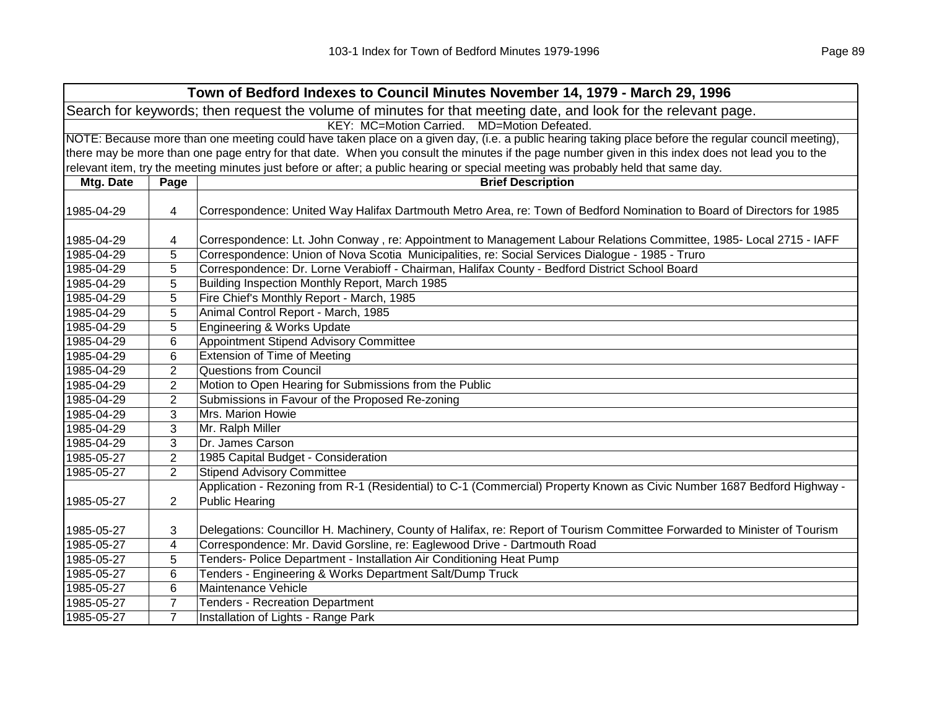|            | Town of Bedford Indexes to Council Minutes November 14, 1979 - March 29, 1996                                  |                                                                                                                                                     |  |  |
|------------|----------------------------------------------------------------------------------------------------------------|-----------------------------------------------------------------------------------------------------------------------------------------------------|--|--|
|            | Search for keywords; then request the volume of minutes for that meeting date, and look for the relevant page. |                                                                                                                                                     |  |  |
|            | KEY: MC=Motion Carried. MD=Motion Defeated.                                                                    |                                                                                                                                                     |  |  |
|            |                                                                                                                | NOTE: Because more than one meeting could have taken place on a given day, (i.e. a public hearing taking place before the regular council meeting), |  |  |
|            |                                                                                                                | there may be more than one page entry for that date. When you consult the minutes if the page number given in this index does not lead you to the   |  |  |
|            |                                                                                                                | relevant item, try the meeting minutes just before or after; a public hearing or special meeting was probably held that same day.                   |  |  |
| Mtg. Date  | Page                                                                                                           | <b>Brief Description</b>                                                                                                                            |  |  |
| 1985-04-29 | 4                                                                                                              | Correspondence: United Way Halifax Dartmouth Metro Area, re: Town of Bedford Nomination to Board of Directors for 1985                              |  |  |
|            |                                                                                                                |                                                                                                                                                     |  |  |
| 1985-04-29 | 4                                                                                                              | Correspondence: Lt. John Conway, re: Appointment to Management Labour Relations Committee, 1985- Local 2715 - IAFF                                  |  |  |
| 1985-04-29 | 5                                                                                                              | Correspondence: Union of Nova Scotia Municipalities, re: Social Services Dialogue - 1985 - Truro                                                    |  |  |
| 1985-04-29 | 5                                                                                                              | Correspondence: Dr. Lorne Verabioff - Chairman, Halifax County - Bedford District School Board                                                      |  |  |
| 1985-04-29 | 5                                                                                                              | Building Inspection Monthly Report, March 1985                                                                                                      |  |  |
| 1985-04-29 | 5                                                                                                              | Fire Chief's Monthly Report - March, 1985                                                                                                           |  |  |
| 1985-04-29 | 5                                                                                                              | Animal Control Report - March, 1985                                                                                                                 |  |  |
| 1985-04-29 | 5                                                                                                              | Engineering & Works Update                                                                                                                          |  |  |
| 1985-04-29 | 6                                                                                                              | Appointment Stipend Advisory Committee                                                                                                              |  |  |
| 1985-04-29 | 6                                                                                                              | Extension of Time of Meeting                                                                                                                        |  |  |
| 1985-04-29 | $\overline{2}$                                                                                                 | <b>Questions from Council</b>                                                                                                                       |  |  |
| 1985-04-29 | 2                                                                                                              | Motion to Open Hearing for Submissions from the Public                                                                                              |  |  |
| 1985-04-29 | 2                                                                                                              | Submissions in Favour of the Proposed Re-zoning                                                                                                     |  |  |
| 1985-04-29 | 3                                                                                                              | Mrs. Marion Howie                                                                                                                                   |  |  |
| 1985-04-29 | 3                                                                                                              | Mr. Ralph Miller                                                                                                                                    |  |  |
| 1985-04-29 | 3                                                                                                              | Dr. James Carson                                                                                                                                    |  |  |
| 1985-05-27 | $\overline{2}$                                                                                                 | 1985 Capital Budget - Consideration                                                                                                                 |  |  |
| 1985-05-27 | $\overline{2}$                                                                                                 | <b>Stipend Advisory Committee</b>                                                                                                                   |  |  |
|            |                                                                                                                | Application - Rezoning from R-1 (Residential) to C-1 (Commercial) Property Known as Civic Number 1687 Bedford Highway -                             |  |  |
| 1985-05-27 | 2                                                                                                              | <b>Public Hearing</b>                                                                                                                               |  |  |
| 1985-05-27 | 3                                                                                                              | Delegations: Councillor H. Machinery, County of Halifax, re: Report of Tourism Committee Forwarded to Minister of Tourism                           |  |  |
| 1985-05-27 | 4                                                                                                              | Correspondence: Mr. David Gorsline, re: Eaglewood Drive - Dartmouth Road                                                                            |  |  |
| 1985-05-27 | 5                                                                                                              | Tenders- Police Department - Installation Air Conditioning Heat Pump                                                                                |  |  |
| 1985-05-27 | 6                                                                                                              | Tenders - Engineering & Works Department Salt/Dump Truck                                                                                            |  |  |
| 1985-05-27 | 6                                                                                                              | Maintenance Vehicle                                                                                                                                 |  |  |
| 1985-05-27 | $\overline{7}$                                                                                                 | <b>Tenders - Recreation Department</b>                                                                                                              |  |  |
| 1985-05-27 | $\overline{7}$                                                                                                 | Installation of Lights - Range Park                                                                                                                 |  |  |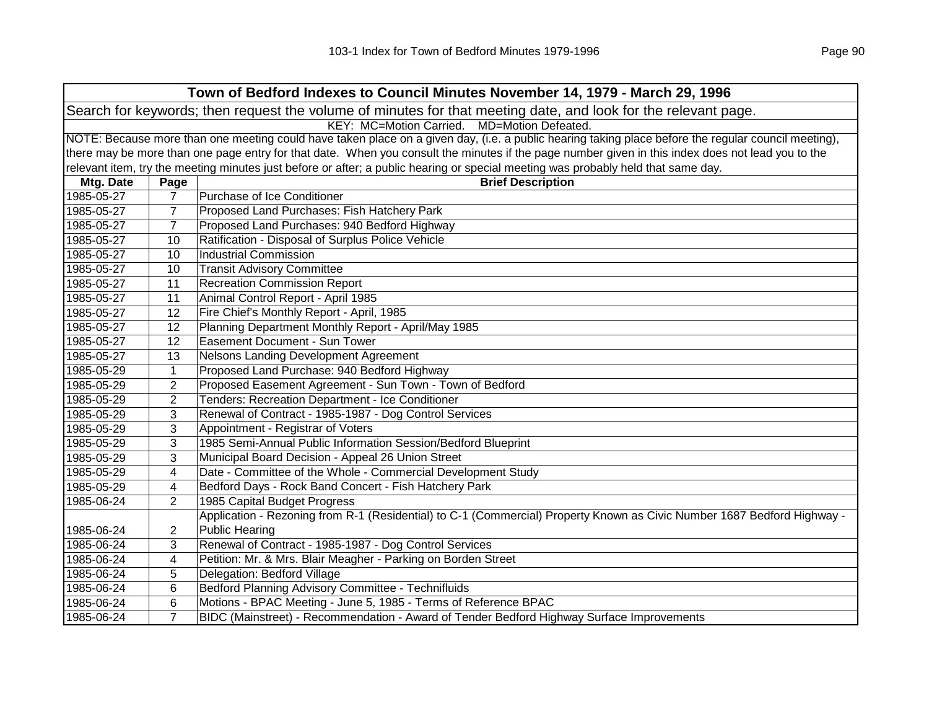|            | Town of Bedford Indexes to Council Minutes November 14, 1979 - March 29, 1996                                                                       |                                                                                                                                                   |  |  |
|------------|-----------------------------------------------------------------------------------------------------------------------------------------------------|---------------------------------------------------------------------------------------------------------------------------------------------------|--|--|
|            | Search for keywords; then request the volume of minutes for that meeting date, and look for the relevant page.                                      |                                                                                                                                                   |  |  |
|            | KEY: MC=Motion Carried. MD=Motion Defeated.                                                                                                         |                                                                                                                                                   |  |  |
|            | NOTE: Because more than one meeting could have taken place on a given day, (i.e. a public hearing taking place before the regular council meeting), |                                                                                                                                                   |  |  |
|            |                                                                                                                                                     | there may be more than one page entry for that date. When you consult the minutes if the page number given in this index does not lead you to the |  |  |
|            |                                                                                                                                                     | relevant item, try the meeting minutes just before or after; a public hearing or special meeting was probably held that same day.                 |  |  |
| Mtg. Date  | Page                                                                                                                                                | <b>Brief Description</b>                                                                                                                          |  |  |
| 1985-05-27 | 7                                                                                                                                                   | Purchase of Ice Conditioner                                                                                                                       |  |  |
| 1985-05-27 | 7                                                                                                                                                   | Proposed Land Purchases: Fish Hatchery Park                                                                                                       |  |  |
| 1985-05-27 | $\overline{7}$                                                                                                                                      | Proposed Land Purchases: 940 Bedford Highway                                                                                                      |  |  |
| 1985-05-27 | 10                                                                                                                                                  | Ratification - Disposal of Surplus Police Vehicle                                                                                                 |  |  |
| 1985-05-27 | 10                                                                                                                                                  | <b>Industrial Commission</b>                                                                                                                      |  |  |
| 1985-05-27 | 10                                                                                                                                                  | <b>Transit Advisory Committee</b>                                                                                                                 |  |  |
| 1985-05-27 | 11                                                                                                                                                  | <b>Recreation Commission Report</b>                                                                                                               |  |  |
| 1985-05-27 | 11                                                                                                                                                  | Animal Control Report - April 1985                                                                                                                |  |  |
| 1985-05-27 | 12                                                                                                                                                  | Fire Chief's Monthly Report - April, 1985                                                                                                         |  |  |
| 1985-05-27 | 12                                                                                                                                                  | Planning Department Monthly Report - April/May 1985                                                                                               |  |  |
| 1985-05-27 | 12                                                                                                                                                  | Easement Document - Sun Tower                                                                                                                     |  |  |
| 1985-05-27 | 13                                                                                                                                                  | Nelsons Landing Development Agreement                                                                                                             |  |  |
| 1985-05-29 | $\mathbf{1}$                                                                                                                                        | Proposed Land Purchase: 940 Bedford Highway                                                                                                       |  |  |
| 1985-05-29 | $\overline{2}$                                                                                                                                      | Proposed Easement Agreement - Sun Town - Town of Bedford                                                                                          |  |  |
| 1985-05-29 | 2                                                                                                                                                   | Tenders: Recreation Department - Ice Conditioner                                                                                                  |  |  |
| 1985-05-29 | 3                                                                                                                                                   | Renewal of Contract - 1985-1987 - Dog Control Services                                                                                            |  |  |
| 1985-05-29 | 3                                                                                                                                                   | Appointment - Registrar of Voters                                                                                                                 |  |  |
| 1985-05-29 | 3                                                                                                                                                   | 1985 Semi-Annual Public Information Session/Bedford Blueprint                                                                                     |  |  |
| 1985-05-29 | 3                                                                                                                                                   | Municipal Board Decision - Appeal 26 Union Street                                                                                                 |  |  |
| 1985-05-29 | 4                                                                                                                                                   | Date - Committee of the Whole - Commercial Development Study                                                                                      |  |  |
| 1985-05-29 | 4                                                                                                                                                   | Bedford Days - Rock Band Concert - Fish Hatchery Park                                                                                             |  |  |
| 1985-06-24 | 2                                                                                                                                                   | 1985 Capital Budget Progress                                                                                                                      |  |  |
|            |                                                                                                                                                     | Application - Rezoning from R-1 (Residential) to C-1 (Commercial) Property Known as Civic Number 1687 Bedford Highway -                           |  |  |
| 1985-06-24 | 2                                                                                                                                                   | <b>Public Hearing</b>                                                                                                                             |  |  |
| 1985-06-24 | 3                                                                                                                                                   | Renewal of Contract - 1985-1987 - Dog Control Services                                                                                            |  |  |
| 1985-06-24 | 4                                                                                                                                                   | Petition: Mr. & Mrs. Blair Meagher - Parking on Borden Street                                                                                     |  |  |
| 1985-06-24 | 5.                                                                                                                                                  | Delegation: Bedford Village                                                                                                                       |  |  |
| 1985-06-24 | 6                                                                                                                                                   | Bedford Planning Advisory Committee - Technifluids                                                                                                |  |  |
| 1985-06-24 | 6                                                                                                                                                   | Motions - BPAC Meeting - June 5, 1985 - Terms of Reference BPAC                                                                                   |  |  |
| 1985-06-24 | $\overline{7}$                                                                                                                                      | BIDC (Mainstreet) - Recommendation - Award of Tender Bedford Highway Surface Improvements                                                         |  |  |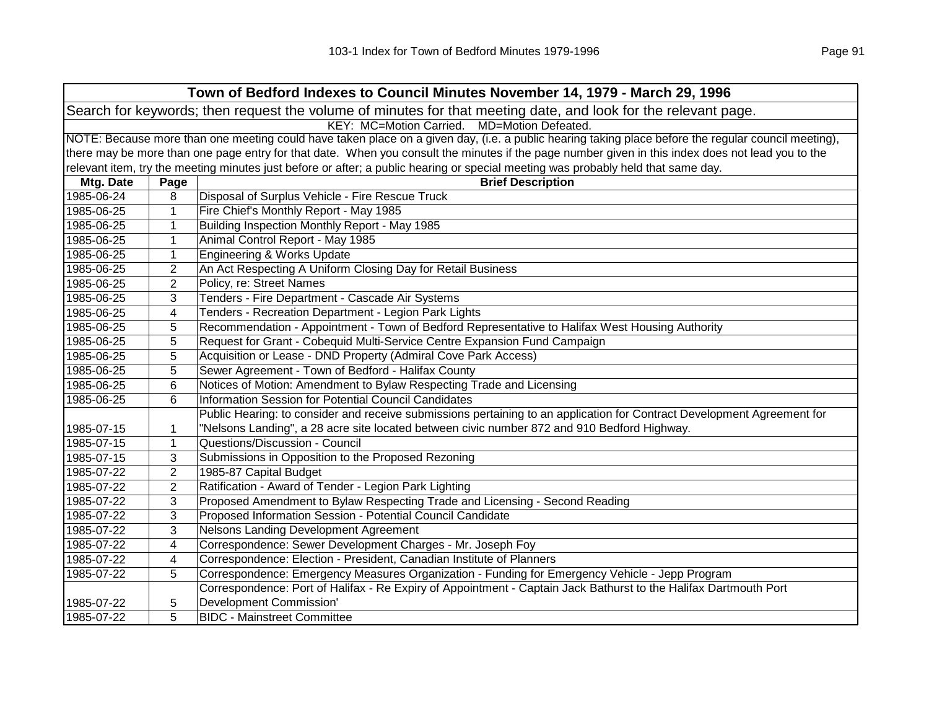| Town of Bedford Indexes to Council Minutes November 14, 1979 - March 29, 1996                                  |                                                                                                                                                     |                                                                                                                                                   |  |  |
|----------------------------------------------------------------------------------------------------------------|-----------------------------------------------------------------------------------------------------------------------------------------------------|---------------------------------------------------------------------------------------------------------------------------------------------------|--|--|
| Search for keywords; then request the volume of minutes for that meeting date, and look for the relevant page. |                                                                                                                                                     |                                                                                                                                                   |  |  |
|                                                                                                                | KEY: MC=Motion Carried.<br>MD=Motion Defeated.                                                                                                      |                                                                                                                                                   |  |  |
|                                                                                                                | NOTE: Because more than one meeting could have taken place on a given day, (i.e. a public hearing taking place before the regular council meeting), |                                                                                                                                                   |  |  |
|                                                                                                                |                                                                                                                                                     | there may be more than one page entry for that date. When you consult the minutes if the page number given in this index does not lead you to the |  |  |
|                                                                                                                |                                                                                                                                                     | relevant item, try the meeting minutes just before or after; a public hearing or special meeting was probably held that same day.                 |  |  |
| Mtg. Date                                                                                                      | Page                                                                                                                                                | <b>Brief Description</b>                                                                                                                          |  |  |
| 1985-06-24                                                                                                     | 8                                                                                                                                                   | Disposal of Surplus Vehicle - Fire Rescue Truck                                                                                                   |  |  |
| 1985-06-25                                                                                                     | 1                                                                                                                                                   | Fire Chief's Monthly Report - May 1985                                                                                                            |  |  |
| 1985-06-25                                                                                                     | 1                                                                                                                                                   | Building Inspection Monthly Report - May 1985                                                                                                     |  |  |
| 1985-06-25                                                                                                     | $\mathbf 1$                                                                                                                                         | Animal Control Report - May 1985                                                                                                                  |  |  |
| 1985-06-25                                                                                                     | $\mathbf{1}$                                                                                                                                        | Engineering & Works Update                                                                                                                        |  |  |
| 1985-06-25                                                                                                     | $\overline{2}$                                                                                                                                      | An Act Respecting A Uniform Closing Day for Retail Business                                                                                       |  |  |
| 1985-06-25                                                                                                     | $\overline{2}$                                                                                                                                      | Policy, re: Street Names                                                                                                                          |  |  |
| 1985-06-25                                                                                                     | 3                                                                                                                                                   | Tenders - Fire Department - Cascade Air Systems                                                                                                   |  |  |
| 1985-06-25                                                                                                     | 4                                                                                                                                                   | Tenders - Recreation Department - Legion Park Lights                                                                                              |  |  |
| 1985-06-25                                                                                                     | 5                                                                                                                                                   | Recommendation - Appointment - Town of Bedford Representative to Halifax West Housing Authority                                                   |  |  |
| 1985-06-25                                                                                                     | 5                                                                                                                                                   | Request for Grant - Cobequid Multi-Service Centre Expansion Fund Campaign                                                                         |  |  |
| 1985-06-25                                                                                                     | 5                                                                                                                                                   | Acquisition or Lease - DND Property (Admiral Cove Park Access)                                                                                    |  |  |
| 1985-06-25                                                                                                     | 5                                                                                                                                                   | Sewer Agreement - Town of Bedford - Halifax County                                                                                                |  |  |
| 1985-06-25                                                                                                     | 6                                                                                                                                                   | Notices of Motion: Amendment to Bylaw Respecting Trade and Licensing                                                                              |  |  |
| 1985-06-25                                                                                                     | 6                                                                                                                                                   | <b>Information Session for Potential Council Candidates</b>                                                                                       |  |  |
|                                                                                                                |                                                                                                                                                     | Public Hearing: to consider and receive submissions pertaining to an application for Contract Development Agreement for                           |  |  |
| 1985-07-15                                                                                                     | 1                                                                                                                                                   | "Nelsons Landing", a 28 acre site located between civic number 872 and 910 Bedford Highway.                                                       |  |  |
| 1985-07-15                                                                                                     | $\mathbf{1}$                                                                                                                                        | Questions/Discussion - Council                                                                                                                    |  |  |
| 1985-07-15                                                                                                     | 3                                                                                                                                                   | Submissions in Opposition to the Proposed Rezoning                                                                                                |  |  |
| 1985-07-22                                                                                                     | $\overline{2}$                                                                                                                                      | 1985-87 Capital Budget                                                                                                                            |  |  |
| 1985-07-22                                                                                                     | $\overline{2}$                                                                                                                                      | Ratification - Award of Tender - Legion Park Lighting                                                                                             |  |  |
| 1985-07-22                                                                                                     | 3                                                                                                                                                   | Proposed Amendment to Bylaw Respecting Trade and Licensing - Second Reading                                                                       |  |  |
| 1985-07-22                                                                                                     | 3                                                                                                                                                   | Proposed Information Session - Potential Council Candidate                                                                                        |  |  |
| 1985-07-22                                                                                                     | 3                                                                                                                                                   | Nelsons Landing Development Agreement                                                                                                             |  |  |
| 1985-07-22                                                                                                     | 4                                                                                                                                                   | Correspondence: Sewer Development Charges - Mr. Joseph Foy                                                                                        |  |  |
| 1985-07-22                                                                                                     | 4                                                                                                                                                   | Correspondence: Election - President, Canadian Institute of Planners                                                                              |  |  |
| 1985-07-22                                                                                                     | 5                                                                                                                                                   | Correspondence: Emergency Measures Organization - Funding for Emergency Vehicle - Jepp Program                                                    |  |  |
|                                                                                                                |                                                                                                                                                     | Correspondence: Port of Halifax - Re Expiry of Appointment - Captain Jack Bathurst to the Halifax Dartmouth Port                                  |  |  |
| 1985-07-22                                                                                                     | 5                                                                                                                                                   | Development Commission'                                                                                                                           |  |  |
| 1985-07-22                                                                                                     | 5                                                                                                                                                   | <b>BIDC - Mainstreet Committee</b>                                                                                                                |  |  |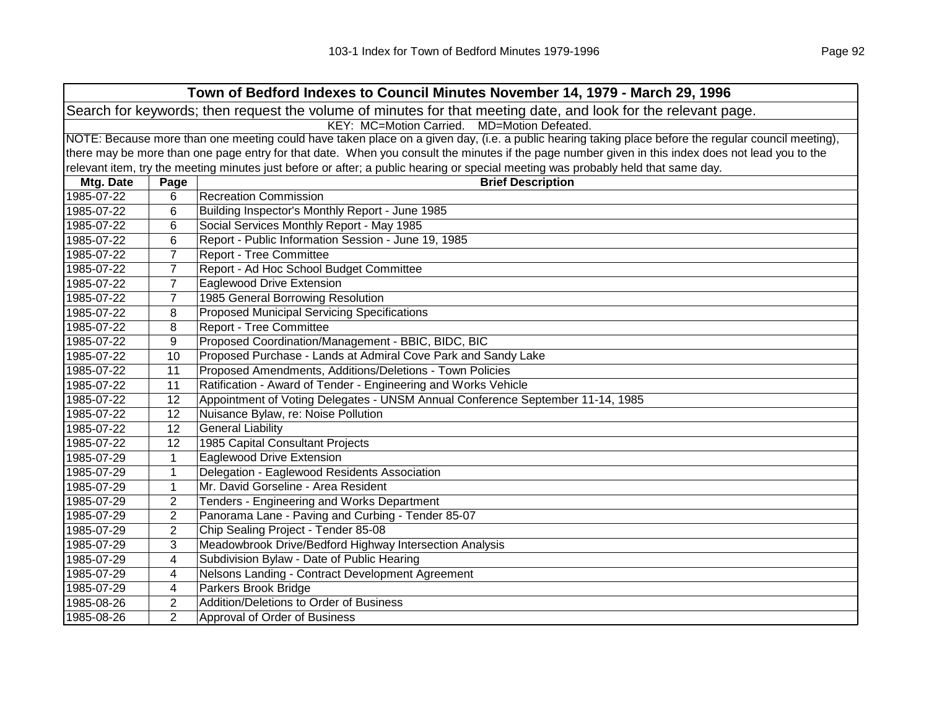|            |                                                                                                                                                     | Town of Bedford Indexes to Council Minutes November 14, 1979 - March 29, 1996                                                                     |  |  |  |
|------------|-----------------------------------------------------------------------------------------------------------------------------------------------------|---------------------------------------------------------------------------------------------------------------------------------------------------|--|--|--|
|            | Search for keywords; then request the volume of minutes for that meeting date, and look for the relevant page.                                      |                                                                                                                                                   |  |  |  |
|            | KEY: MC=Motion Carried. MD=Motion Defeated.                                                                                                         |                                                                                                                                                   |  |  |  |
|            | NOTE: Because more than one meeting could have taken place on a given day, (i.e. a public hearing taking place before the regular council meeting), |                                                                                                                                                   |  |  |  |
|            |                                                                                                                                                     | there may be more than one page entry for that date. When you consult the minutes if the page number given in this index does not lead you to the |  |  |  |
|            |                                                                                                                                                     | relevant item, try the meeting minutes just before or after; a public hearing or special meeting was probably held that same day.                 |  |  |  |
| Mtg. Date  | Page                                                                                                                                                | <b>Brief Description</b>                                                                                                                          |  |  |  |
| 1985-07-22 | 6                                                                                                                                                   | <b>Recreation Commission</b>                                                                                                                      |  |  |  |
| 1985-07-22 | 6                                                                                                                                                   | Building Inspector's Monthly Report - June 1985                                                                                                   |  |  |  |
| 1985-07-22 | 6                                                                                                                                                   | Social Services Monthly Report - May 1985                                                                                                         |  |  |  |
| 1985-07-22 | 6                                                                                                                                                   | Report - Public Information Session - June 19, 1985                                                                                               |  |  |  |
| 1985-07-22 | $\overline{7}$                                                                                                                                      | <b>Report - Tree Committee</b>                                                                                                                    |  |  |  |
| 1985-07-22 | $\overline{7}$                                                                                                                                      | Report - Ad Hoc School Budget Committee                                                                                                           |  |  |  |
| 1985-07-22 | $\overline{7}$                                                                                                                                      | Eaglewood Drive Extension                                                                                                                         |  |  |  |
| 1985-07-22 | 7                                                                                                                                                   | 1985 General Borrowing Resolution                                                                                                                 |  |  |  |
| 1985-07-22 | 8                                                                                                                                                   | <b>Proposed Municipal Servicing Specifications</b>                                                                                                |  |  |  |
| 1985-07-22 | 8                                                                                                                                                   | <b>Report - Tree Committee</b>                                                                                                                    |  |  |  |
| 1985-07-22 | 9                                                                                                                                                   | Proposed Coordination/Management - BBIC, BIDC, BIC                                                                                                |  |  |  |
| 1985-07-22 | 10                                                                                                                                                  | Proposed Purchase - Lands at Admiral Cove Park and Sandy Lake                                                                                     |  |  |  |
| 1985-07-22 | 11                                                                                                                                                  | Proposed Amendments, Additions/Deletions - Town Policies                                                                                          |  |  |  |
| 1985-07-22 | 11                                                                                                                                                  | Ratification - Award of Tender - Engineering and Works Vehicle                                                                                    |  |  |  |
| 1985-07-22 | 12                                                                                                                                                  | Appointment of Voting Delegates - UNSM Annual Conference September 11-14, 1985                                                                    |  |  |  |
| 1985-07-22 | 12                                                                                                                                                  | Nuisance Bylaw, re: Noise Pollution                                                                                                               |  |  |  |
| 1985-07-22 | 12                                                                                                                                                  | <b>General Liability</b>                                                                                                                          |  |  |  |
| 1985-07-22 | 12                                                                                                                                                  | 1985 Capital Consultant Projects                                                                                                                  |  |  |  |
| 1985-07-29 | $\mathbf{1}$                                                                                                                                        | <b>Eaglewood Drive Extension</b>                                                                                                                  |  |  |  |
| 1985-07-29 | 1                                                                                                                                                   | Delegation - Eaglewood Residents Association                                                                                                      |  |  |  |
| 1985-07-29 | 1                                                                                                                                                   | Mr. David Gorseline - Area Resident                                                                                                               |  |  |  |
| 1985-07-29 | $\overline{2}$                                                                                                                                      | Tenders - Engineering and Works Department                                                                                                        |  |  |  |
| 1985-07-29 | $\overline{2}$                                                                                                                                      | Panorama Lane - Paving and Curbing - Tender 85-07                                                                                                 |  |  |  |
| 1985-07-29 | $\overline{2}$                                                                                                                                      | Chip Sealing Project - Tender 85-08                                                                                                               |  |  |  |
| 1985-07-29 | 3                                                                                                                                                   | Meadowbrook Drive/Bedford Highway Intersection Analysis                                                                                           |  |  |  |
| 1985-07-29 | 4                                                                                                                                                   | Subdivision Bylaw - Date of Public Hearing                                                                                                        |  |  |  |
| 1985-07-29 | 4                                                                                                                                                   | Nelsons Landing - Contract Development Agreement                                                                                                  |  |  |  |
| 1985-07-29 | 4                                                                                                                                                   | Parkers Brook Bridge                                                                                                                              |  |  |  |
| 1985-08-26 | 2                                                                                                                                                   | Addition/Deletions to Order of Business                                                                                                           |  |  |  |
| 1985-08-26 | $\overline{2}$                                                                                                                                      | Approval of Order of Business                                                                                                                     |  |  |  |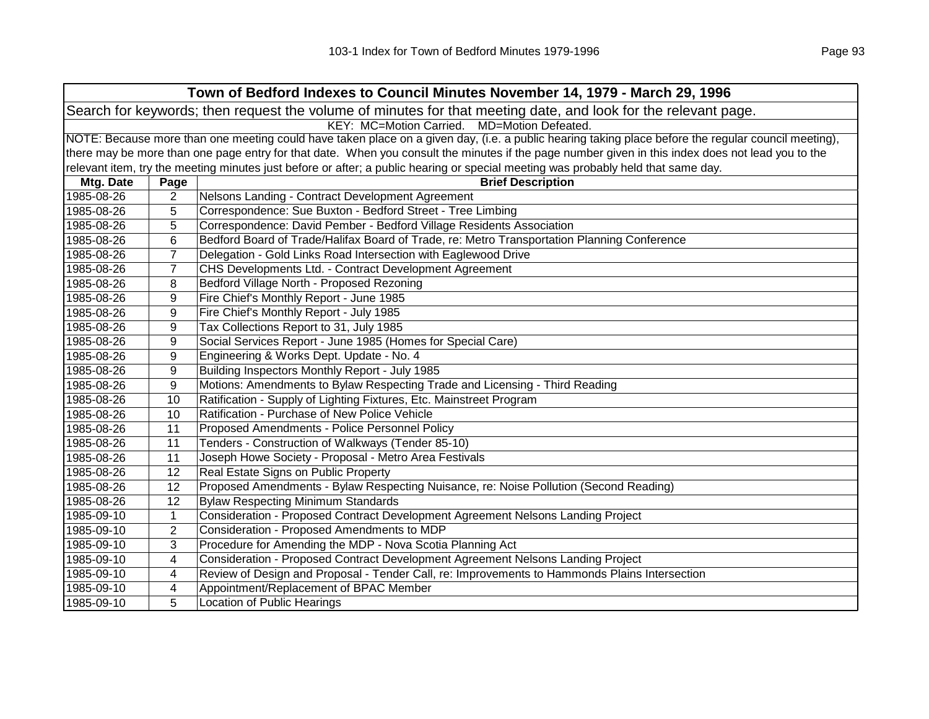| Town of Bedford Indexes to Council Minutes November 14, 1979 - March 29, 1996 |                                                                                                                                                     |                                                                                                                                                   |  |  |  |
|-------------------------------------------------------------------------------|-----------------------------------------------------------------------------------------------------------------------------------------------------|---------------------------------------------------------------------------------------------------------------------------------------------------|--|--|--|
|                                                                               | Search for keywords; then request the volume of minutes for that meeting date, and look for the relevant page.                                      |                                                                                                                                                   |  |  |  |
|                                                                               | KEY: MC=Motion Carried. MD=Motion Defeated.                                                                                                         |                                                                                                                                                   |  |  |  |
|                                                                               | NOTE: Because more than one meeting could have taken place on a given day, (i.e. a public hearing taking place before the regular council meeting), |                                                                                                                                                   |  |  |  |
|                                                                               |                                                                                                                                                     | there may be more than one page entry for that date. When you consult the minutes if the page number given in this index does not lead you to the |  |  |  |
|                                                                               |                                                                                                                                                     | relevant item, try the meeting minutes just before or after; a public hearing or special meeting was probably held that same day.                 |  |  |  |
| Mtg. Date                                                                     | Page                                                                                                                                                | <b>Brief Description</b>                                                                                                                          |  |  |  |
| 1985-08-26                                                                    | 2                                                                                                                                                   | Nelsons Landing - Contract Development Agreement                                                                                                  |  |  |  |
| 1985-08-26                                                                    | 5                                                                                                                                                   | Correspondence: Sue Buxton - Bedford Street - Tree Limbing                                                                                        |  |  |  |
| 1985-08-26                                                                    | 5                                                                                                                                                   | Correspondence: David Pember - Bedford Village Residents Association                                                                              |  |  |  |
| 1985-08-26                                                                    | 6                                                                                                                                                   | Bedford Board of Trade/Halifax Board of Trade, re: Metro Transportation Planning Conference                                                       |  |  |  |
| 1985-08-26                                                                    | 7                                                                                                                                                   | Delegation - Gold Links Road Intersection with Eaglewood Drive                                                                                    |  |  |  |
| 1985-08-26                                                                    | $\overline{7}$                                                                                                                                      | CHS Developments Ltd. - Contract Development Agreement                                                                                            |  |  |  |
| 1985-08-26                                                                    | 8                                                                                                                                                   | Bedford Village North - Proposed Rezoning                                                                                                         |  |  |  |
| 1985-08-26                                                                    | 9                                                                                                                                                   | Fire Chief's Monthly Report - June 1985                                                                                                           |  |  |  |
| 1985-08-26                                                                    | 9                                                                                                                                                   | Fire Chief's Monthly Report - July 1985                                                                                                           |  |  |  |
| 1985-08-26                                                                    | 9                                                                                                                                                   | Tax Collections Report to 31, July 1985                                                                                                           |  |  |  |
| 1985-08-26                                                                    | 9                                                                                                                                                   | Social Services Report - June 1985 (Homes for Special Care)                                                                                       |  |  |  |
| 1985-08-26                                                                    | 9                                                                                                                                                   | Engineering & Works Dept. Update - No. 4                                                                                                          |  |  |  |
| 1985-08-26                                                                    | $\boldsymbol{9}$                                                                                                                                    | Building Inspectors Monthly Report - July 1985                                                                                                    |  |  |  |
| 1985-08-26                                                                    | 9                                                                                                                                                   | Motions: Amendments to Bylaw Respecting Trade and Licensing - Third Reading                                                                       |  |  |  |
| 1985-08-26                                                                    | 10                                                                                                                                                  | Ratification - Supply of Lighting Fixtures, Etc. Mainstreet Program                                                                               |  |  |  |
| 1985-08-26                                                                    | 10                                                                                                                                                  | Ratification - Purchase of New Police Vehicle                                                                                                     |  |  |  |
| 1985-08-26                                                                    | 11                                                                                                                                                  | Proposed Amendments - Police Personnel Policy                                                                                                     |  |  |  |
| 1985-08-26                                                                    | 11                                                                                                                                                  | Tenders - Construction of Walkways (Tender 85-10)                                                                                                 |  |  |  |
| 1985-08-26                                                                    | 11                                                                                                                                                  | Joseph Howe Society - Proposal - Metro Area Festivals                                                                                             |  |  |  |
| 1985-08-26                                                                    | 12                                                                                                                                                  | Real Estate Signs on Public Property                                                                                                              |  |  |  |
| 1985-08-26                                                                    | 12                                                                                                                                                  | Proposed Amendments - Bylaw Respecting Nuisance, re: Noise Pollution (Second Reading)                                                             |  |  |  |
| 1985-08-26                                                                    | 12                                                                                                                                                  | <b>Bylaw Respecting Minimum Standards</b>                                                                                                         |  |  |  |
| 1985-09-10                                                                    | $\mathbf{1}$                                                                                                                                        | Consideration - Proposed Contract Development Agreement Nelsons Landing Project                                                                   |  |  |  |
| 1985-09-10                                                                    | $\overline{2}$                                                                                                                                      | Consideration - Proposed Amendments to MDP                                                                                                        |  |  |  |
| 1985-09-10                                                                    | 3                                                                                                                                                   | Procedure for Amending the MDP - Nova Scotia Planning Act                                                                                         |  |  |  |
| 1985-09-10                                                                    | 4                                                                                                                                                   | Consideration - Proposed Contract Development Agreement Nelsons Landing Project                                                                   |  |  |  |
| 1985-09-10                                                                    | 4                                                                                                                                                   | Review of Design and Proposal - Tender Call, re: Improvements to Hammonds Plains Intersection                                                     |  |  |  |
| 1985-09-10                                                                    | 4                                                                                                                                                   | Appointment/Replacement of BPAC Member                                                                                                            |  |  |  |
| 1985-09-10                                                                    | 5                                                                                                                                                   | Location of Public Hearings                                                                                                                       |  |  |  |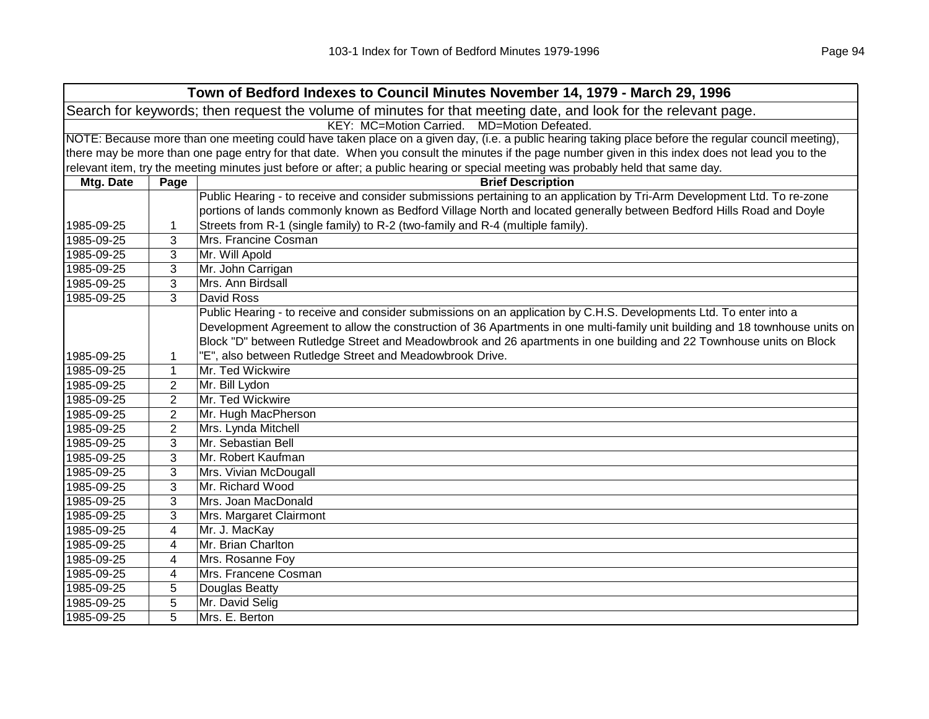|            |                | Town of Bedford Indexes to Council Minutes November 14, 1979 - March 29, 1996                                                                       |
|------------|----------------|-----------------------------------------------------------------------------------------------------------------------------------------------------|
|            |                | Search for keywords; then request the volume of minutes for that meeting date, and look for the relevant page.                                      |
|            |                | KEY: MC=Motion Carried. MD=Motion Defeated.                                                                                                         |
|            |                | NOTE: Because more than one meeting could have taken place on a given day, (i.e. a public hearing taking place before the regular council meeting), |
|            |                | there may be more than one page entry for that date. When you consult the minutes if the page number given in this index does not lead you to the   |
|            |                | relevant item, try the meeting minutes just before or after; a public hearing or special meeting was probably held that same day.                   |
| Mtg. Date  | Page           | <b>Brief Description</b>                                                                                                                            |
|            |                | Public Hearing - to receive and consider submissions pertaining to an application by Tri-Arm Development Ltd. To re-zone                            |
|            |                | portions of lands commonly known as Bedford Village North and located generally between Bedford Hills Road and Doyle                                |
| 1985-09-25 | 1              | Streets from R-1 (single family) to R-2 (two-family and R-4 (multiple family).                                                                      |
| 1985-09-25 | 3              | Mrs. Francine Cosman                                                                                                                                |
| 1985-09-25 | 3              | Mr. Will Apold                                                                                                                                      |
| 1985-09-25 | 3              | Mr. John Carrigan                                                                                                                                   |
| 1985-09-25 | 3              | Mrs. Ann Birdsall                                                                                                                                   |
| 1985-09-25 | 3              | David Ross                                                                                                                                          |
|            |                | Public Hearing - to receive and consider submissions on an application by C.H.S. Developments Ltd. To enter into a                                  |
|            |                | Development Agreement to allow the construction of 36 Apartments in one multi-family unit building and 18 townhouse units on                        |
|            |                | Block "D" between Rutledge Street and Meadowbrook and 26 apartments in one building and 22 Townhouse units on Block                                 |
| 1985-09-25 | 1              | "E", also between Rutledge Street and Meadowbrook Drive.                                                                                            |
| 1985-09-25 | 1              | Mr. Ted Wickwire                                                                                                                                    |
| 1985-09-25 | 2              | Mr. Bill Lydon                                                                                                                                      |
| 1985-09-25 | $\overline{2}$ | Mr. Ted Wickwire                                                                                                                                    |
| 1985-09-25 | $\overline{2}$ | Mr. Hugh MacPherson                                                                                                                                 |
| 1985-09-25 | 2              | Mrs. Lynda Mitchell                                                                                                                                 |
| 1985-09-25 | 3              | Mr. Sebastian Bell                                                                                                                                  |
| 1985-09-25 | 3              | Mr. Robert Kaufman                                                                                                                                  |
| 1985-09-25 | 3              | Mrs. Vivian McDougall                                                                                                                               |
| 1985-09-25 | 3              | Mr. Richard Wood                                                                                                                                    |
| 1985-09-25 | 3              | Mrs. Joan MacDonald                                                                                                                                 |
| 1985-09-25 | 3              | Mrs. Margaret Clairmont                                                                                                                             |
| 1985-09-25 | 4              | Mr. J. MacKay                                                                                                                                       |
| 1985-09-25 | 4              | Mr. Brian Charlton                                                                                                                                  |
| 1985-09-25 | 4              | Mrs. Rosanne Foy                                                                                                                                    |
| 1985-09-25 | 4              | Mrs. Francene Cosman                                                                                                                                |
| 1985-09-25 | 5              | Douglas Beatty                                                                                                                                      |
| 1985-09-25 | 5              | Mr. David Selig                                                                                                                                     |
| 1985-09-25 | 5              | Mrs. E. Berton                                                                                                                                      |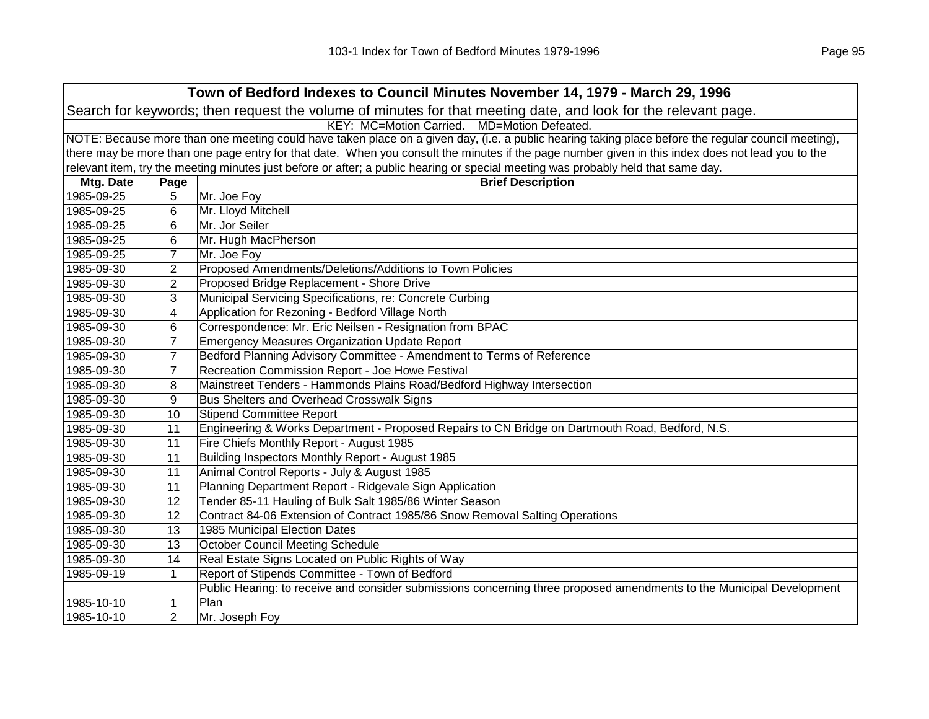| Town of Bedford Indexes to Council Minutes November 14, 1979 - March 29, 1996                                  |                                             |                                                                                                                                                     |  |  |
|----------------------------------------------------------------------------------------------------------------|---------------------------------------------|-----------------------------------------------------------------------------------------------------------------------------------------------------|--|--|
| Search for keywords; then request the volume of minutes for that meeting date, and look for the relevant page. |                                             |                                                                                                                                                     |  |  |
|                                                                                                                | KEY: MC=Motion Carried. MD=Motion Defeated. |                                                                                                                                                     |  |  |
|                                                                                                                |                                             | NOTE: Because more than one meeting could have taken place on a given day, (i.e. a public hearing taking place before the regular council meeting), |  |  |
|                                                                                                                |                                             | there may be more than one page entry for that date. When you consult the minutes if the page number given in this index does not lead you to the   |  |  |
|                                                                                                                |                                             | relevant item, try the meeting minutes just before or after; a public hearing or special meeting was probably held that same day.                   |  |  |
| Mtg. Date                                                                                                      | Page                                        | <b>Brief Description</b>                                                                                                                            |  |  |
| 1985-09-25                                                                                                     | 5                                           | Mr. Joe Foy                                                                                                                                         |  |  |
| 1985-09-25                                                                                                     | 6                                           | Mr. Lloyd Mitchell                                                                                                                                  |  |  |
| 1985-09-25                                                                                                     | 6                                           | Mr. Jor Seiler                                                                                                                                      |  |  |
| 1985-09-25                                                                                                     | 6                                           | Mr. Hugh MacPherson                                                                                                                                 |  |  |
| 1985-09-25                                                                                                     | $\overline{7}$                              | Mr. Joe Foy                                                                                                                                         |  |  |
| 1985-09-30                                                                                                     | $\overline{2}$                              | Proposed Amendments/Deletions/Additions to Town Policies                                                                                            |  |  |
| 1985-09-30                                                                                                     | $\overline{2}$                              | Proposed Bridge Replacement - Shore Drive                                                                                                           |  |  |
| 1985-09-30                                                                                                     | 3                                           | Municipal Servicing Specifications, re: Concrete Curbing                                                                                            |  |  |
| 1985-09-30                                                                                                     | 4                                           | Application for Rezoning - Bedford Village North                                                                                                    |  |  |
| 1985-09-30                                                                                                     | 6                                           | Correspondence: Mr. Eric Neilsen - Resignation from BPAC                                                                                            |  |  |
| 1985-09-30                                                                                                     | 7                                           | <b>Emergency Measures Organization Update Report</b>                                                                                                |  |  |
| 1985-09-30                                                                                                     | $\overline{7}$                              | Bedford Planning Advisory Committee - Amendment to Terms of Reference                                                                               |  |  |
| 1985-09-30                                                                                                     | $\overline{7}$                              | Recreation Commission Report - Joe Howe Festival                                                                                                    |  |  |
| 1985-09-30                                                                                                     | 8                                           | Mainstreet Tenders - Hammonds Plains Road/Bedford Highway Intersection                                                                              |  |  |
| 1985-09-30                                                                                                     | 9                                           | <b>Bus Shelters and Overhead Crosswalk Signs</b>                                                                                                    |  |  |
| 1985-09-30                                                                                                     | 10                                          | Stipend Committee Report                                                                                                                            |  |  |
| 1985-09-30                                                                                                     | 11                                          | Engineering & Works Department - Proposed Repairs to CN Bridge on Dartmouth Road, Bedford, N.S.                                                     |  |  |
| 1985-09-30                                                                                                     | 11                                          | Fire Chiefs Monthly Report - August 1985                                                                                                            |  |  |
| 1985-09-30                                                                                                     | 11                                          | Building Inspectors Monthly Report - August 1985                                                                                                    |  |  |
| 1985-09-30                                                                                                     | 11                                          | Animal Control Reports - July & August 1985                                                                                                         |  |  |
| 1985-09-30                                                                                                     | 11                                          | Planning Department Report - Ridgevale Sign Application                                                                                             |  |  |
| 1985-09-30                                                                                                     | 12                                          | Tender 85-11 Hauling of Bulk Salt 1985/86 Winter Season                                                                                             |  |  |
| 1985-09-30                                                                                                     | 12                                          | Contract 84-06 Extension of Contract 1985/86 Snow Removal Salting Operations                                                                        |  |  |
| 1985-09-30                                                                                                     | 13                                          | 1985 Municipal Election Dates                                                                                                                       |  |  |
| 1985-09-30                                                                                                     | 13                                          | <b>October Council Meeting Schedule</b>                                                                                                             |  |  |
| 1985-09-30                                                                                                     | 14                                          | Real Estate Signs Located on Public Rights of Way                                                                                                   |  |  |
| 1985-09-19                                                                                                     | $\mathbf{1}$                                | Report of Stipends Committee - Town of Bedford                                                                                                      |  |  |
|                                                                                                                |                                             | Public Hearing: to receive and consider submissions concerning three proposed amendments to the Municipal Development                               |  |  |
| 1985-10-10                                                                                                     | 1                                           | Plan                                                                                                                                                |  |  |
| 1985-10-10                                                                                                     | $\overline{2}$                              | Mr. Joseph Foy                                                                                                                                      |  |  |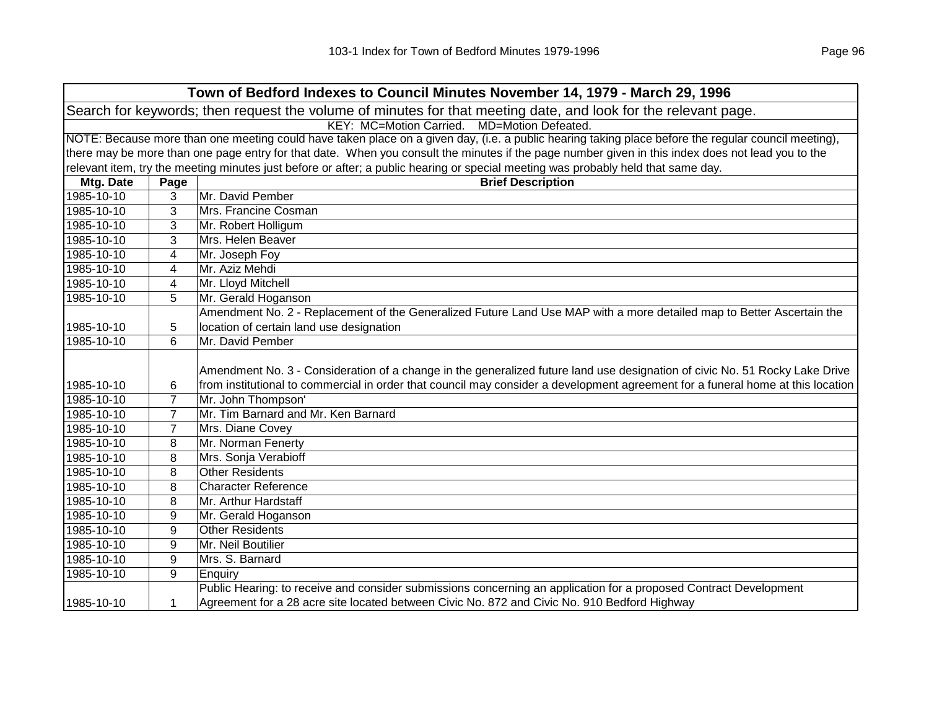|                                                                                                                |                                                                                                                                                     | Town of Bedford Indexes to Council Minutes November 14, 1979 - March 29, 1996                                                     |  |  |  |
|----------------------------------------------------------------------------------------------------------------|-----------------------------------------------------------------------------------------------------------------------------------------------------|-----------------------------------------------------------------------------------------------------------------------------------|--|--|--|
| Search for keywords; then request the volume of minutes for that meeting date, and look for the relevant page. |                                                                                                                                                     |                                                                                                                                   |  |  |  |
|                                                                                                                |                                                                                                                                                     | KEY: MC=Motion Carried.<br>MD=Motion Defeated.                                                                                    |  |  |  |
|                                                                                                                | NOTE: Because more than one meeting could have taken place on a given day, (i.e. a public hearing taking place before the regular council meeting), |                                                                                                                                   |  |  |  |
|                                                                                                                | there may be more than one page entry for that date. When you consult the minutes if the page number given in this index does not lead you to the   |                                                                                                                                   |  |  |  |
|                                                                                                                |                                                                                                                                                     | relevant item, try the meeting minutes just before or after; a public hearing or special meeting was probably held that same day. |  |  |  |
| Mtg. Date                                                                                                      | Page                                                                                                                                                | <b>Brief Description</b>                                                                                                          |  |  |  |
| 1985-10-10                                                                                                     | 3                                                                                                                                                   | Mr. David Pember                                                                                                                  |  |  |  |
| 1985-10-10                                                                                                     | 3                                                                                                                                                   | Mrs. Francine Cosman                                                                                                              |  |  |  |
| 1985-10-10                                                                                                     | 3                                                                                                                                                   | Mr. Robert Holligum                                                                                                               |  |  |  |
| 1985-10-10                                                                                                     | 3                                                                                                                                                   | Mrs. Helen Beaver                                                                                                                 |  |  |  |
| 1985-10-10                                                                                                     | 4                                                                                                                                                   | Mr. Joseph Foy                                                                                                                    |  |  |  |
| 1985-10-10                                                                                                     | 4                                                                                                                                                   | Mr. Aziz Mehdi                                                                                                                    |  |  |  |
| 1985-10-10                                                                                                     | 4                                                                                                                                                   | Mr. Lloyd Mitchell                                                                                                                |  |  |  |
| 1985-10-10                                                                                                     | 5                                                                                                                                                   | Mr. Gerald Hoganson                                                                                                               |  |  |  |
|                                                                                                                |                                                                                                                                                     | Amendment No. 2 - Replacement of the Generalized Future Land Use MAP with a more detailed map to Better Ascertain the             |  |  |  |
| 1985-10-10                                                                                                     | 5                                                                                                                                                   | location of certain land use designation                                                                                          |  |  |  |
| 1985-10-10                                                                                                     | 6                                                                                                                                                   | Mr. David Pember                                                                                                                  |  |  |  |
|                                                                                                                |                                                                                                                                                     |                                                                                                                                   |  |  |  |
|                                                                                                                |                                                                                                                                                     | Amendment No. 3 - Consideration of a change in the generalized future land use designation of civic No. 51 Rocky Lake Drive       |  |  |  |
| 1985-10-10                                                                                                     | 6                                                                                                                                                   | from institutional to commercial in order that council may consider a development agreement for a funeral home at this location   |  |  |  |
| 1985-10-10                                                                                                     | 7                                                                                                                                                   | Mr. John Thompson'                                                                                                                |  |  |  |
| 1985-10-10                                                                                                     | $\overline{7}$                                                                                                                                      | Mr. Tim Barnard and Mr. Ken Barnard                                                                                               |  |  |  |
| 1985-10-10                                                                                                     | $\overline{7}$                                                                                                                                      | Mrs. Diane Covey                                                                                                                  |  |  |  |
| 1985-10-10                                                                                                     | 8                                                                                                                                                   | Mr. Norman Fenerty                                                                                                                |  |  |  |
| 1985-10-10                                                                                                     | 8                                                                                                                                                   | Mrs. Sonja Verabioff                                                                                                              |  |  |  |
| 1985-10-10                                                                                                     | 8                                                                                                                                                   | <b>Other Residents</b>                                                                                                            |  |  |  |
| 1985-10-10                                                                                                     | 8                                                                                                                                                   | <b>Character Reference</b>                                                                                                        |  |  |  |
| 1985-10-10                                                                                                     | 8                                                                                                                                                   | Mr. Arthur Hardstaff                                                                                                              |  |  |  |
| 1985-10-10                                                                                                     | 9                                                                                                                                                   | Mr. Gerald Hoganson                                                                                                               |  |  |  |
| 1985-10-10                                                                                                     | 9                                                                                                                                                   | <b>Other Residents</b>                                                                                                            |  |  |  |
| 1985-10-10                                                                                                     | 9                                                                                                                                                   | Mr. Neil Boutilier                                                                                                                |  |  |  |
| 1985-10-10                                                                                                     | 9                                                                                                                                                   | Mrs. S. Barnard                                                                                                                   |  |  |  |
| 1985-10-10                                                                                                     | 9                                                                                                                                                   | Enquiry                                                                                                                           |  |  |  |
|                                                                                                                |                                                                                                                                                     | Public Hearing: to receive and consider submissions concerning an application for a proposed Contract Development                 |  |  |  |
| 1985-10-10                                                                                                     | 1                                                                                                                                                   | Agreement for a 28 acre site located between Civic No. 872 and Civic No. 910 Bedford Highway                                      |  |  |  |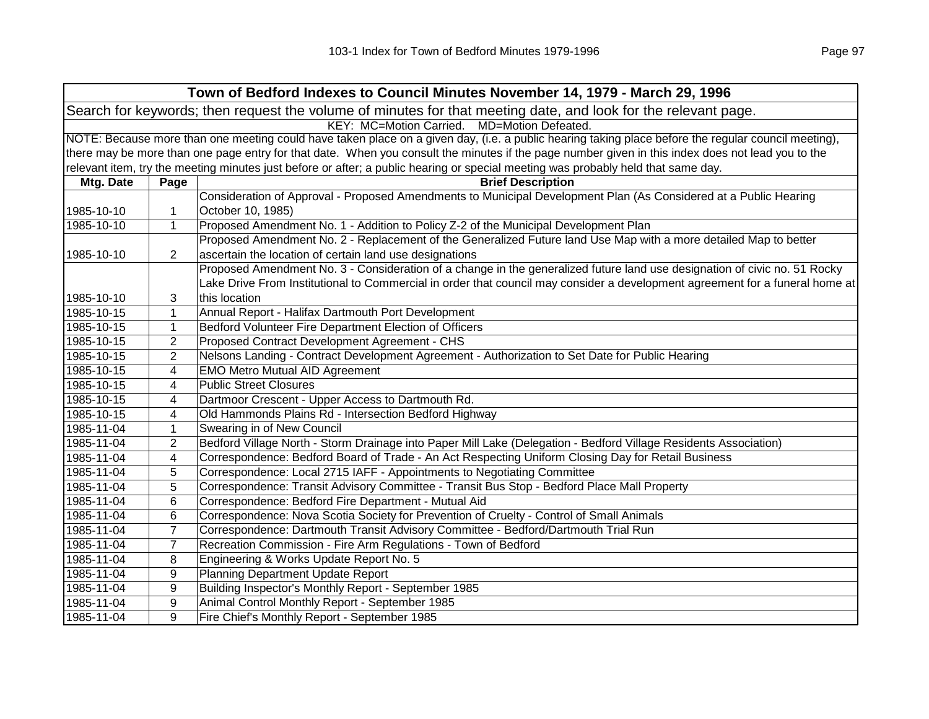|                                                                                                                |                                                                                                                                                     | Town of Bedford Indexes to Council Minutes November 14, 1979 - March 29, 1996                                                                     |  |  |  |
|----------------------------------------------------------------------------------------------------------------|-----------------------------------------------------------------------------------------------------------------------------------------------------|---------------------------------------------------------------------------------------------------------------------------------------------------|--|--|--|
| Search for keywords; then request the volume of minutes for that meeting date, and look for the relevant page. |                                                                                                                                                     |                                                                                                                                                   |  |  |  |
|                                                                                                                | KEY: MC=Motion Carried. MD=Motion Defeated.                                                                                                         |                                                                                                                                                   |  |  |  |
|                                                                                                                | NOTE: Because more than one meeting could have taken place on a given day, (i.e. a public hearing taking place before the regular council meeting), |                                                                                                                                                   |  |  |  |
|                                                                                                                |                                                                                                                                                     | there may be more than one page entry for that date. When you consult the minutes if the page number given in this index does not lead you to the |  |  |  |
|                                                                                                                |                                                                                                                                                     | relevant item, try the meeting minutes just before or after; a public hearing or special meeting was probably held that same day.                 |  |  |  |
| Mtg. Date                                                                                                      | Page                                                                                                                                                | <b>Brief Description</b>                                                                                                                          |  |  |  |
|                                                                                                                |                                                                                                                                                     | Consideration of Approval - Proposed Amendments to Municipal Development Plan (As Considered at a Public Hearing                                  |  |  |  |
| 1985-10-10                                                                                                     | 1                                                                                                                                                   | October 10, 1985)                                                                                                                                 |  |  |  |
| 1985-10-10                                                                                                     | 1                                                                                                                                                   | Proposed Amendment No. 1 - Addition to Policy Z-2 of the Municipal Development Plan                                                               |  |  |  |
|                                                                                                                |                                                                                                                                                     | Proposed Amendment No. 2 - Replacement of the Generalized Future land Use Map with a more detailed Map to better                                  |  |  |  |
| 1985-10-10                                                                                                     | $\overline{2}$                                                                                                                                      | ascertain the location of certain land use designations                                                                                           |  |  |  |
|                                                                                                                |                                                                                                                                                     | Proposed Amendment No. 3 - Consideration of a change in the generalized future land use designation of civic no. 51 Rocky                         |  |  |  |
|                                                                                                                |                                                                                                                                                     | Lake Drive From Institutional to Commercial in order that council may consider a development agreement for a funeral home at                      |  |  |  |
| 1985-10-10                                                                                                     | 3                                                                                                                                                   | this location                                                                                                                                     |  |  |  |
| 1985-10-15                                                                                                     | 1                                                                                                                                                   | Annual Report - Halifax Dartmouth Port Development                                                                                                |  |  |  |
| 1985-10-15                                                                                                     | 1                                                                                                                                                   | Bedford Volunteer Fire Department Election of Officers                                                                                            |  |  |  |
| 1985-10-15                                                                                                     | 2                                                                                                                                                   | Proposed Contract Development Agreement - CHS                                                                                                     |  |  |  |
| 1985-10-15                                                                                                     | $\overline{2}$                                                                                                                                      | Nelsons Landing - Contract Development Agreement - Authorization to Set Date for Public Hearing                                                   |  |  |  |
| 1985-10-15                                                                                                     | 4                                                                                                                                                   | <b>EMO Metro Mutual AID Agreement</b>                                                                                                             |  |  |  |
| 1985-10-15                                                                                                     | 4                                                                                                                                                   | <b>Public Street Closures</b>                                                                                                                     |  |  |  |
| 1985-10-15                                                                                                     | 4                                                                                                                                                   | Dartmoor Crescent - Upper Access to Dartmouth Rd.                                                                                                 |  |  |  |
| 1985-10-15                                                                                                     | 4                                                                                                                                                   | Old Hammonds Plains Rd - Intersection Bedford Highway                                                                                             |  |  |  |
| 1985-11-04                                                                                                     | 1                                                                                                                                                   | Swearing in of New Council                                                                                                                        |  |  |  |
| 1985-11-04                                                                                                     | 2                                                                                                                                                   | Bedford Village North - Storm Drainage into Paper Mill Lake (Delegation - Bedford Village Residents Association)                                  |  |  |  |
| 1985-11-04                                                                                                     | 4                                                                                                                                                   | Correspondence: Bedford Board of Trade - An Act Respecting Uniform Closing Day for Retail Business                                                |  |  |  |
| 1985-11-04                                                                                                     | 5                                                                                                                                                   | Correspondence: Local 2715 IAFF - Appointments to Negotiating Committee                                                                           |  |  |  |
| 1985-11-04                                                                                                     | 5                                                                                                                                                   | Correspondence: Transit Advisory Committee - Transit Bus Stop - Bedford Place Mall Property                                                       |  |  |  |
| 1985-11-04                                                                                                     | 6                                                                                                                                                   | Correspondence: Bedford Fire Department - Mutual Aid                                                                                              |  |  |  |
| 1985-11-04                                                                                                     | 6                                                                                                                                                   | Correspondence: Nova Scotia Society for Prevention of Cruelty - Control of Small Animals                                                          |  |  |  |
| 1985-11-04                                                                                                     | $\overline{7}$                                                                                                                                      | Correspondence: Dartmouth Transit Advisory Committee - Bedford/Dartmouth Trial Run                                                                |  |  |  |
| 1985-11-04                                                                                                     | $\overline{7}$                                                                                                                                      | Recreation Commission - Fire Arm Regulations - Town of Bedford                                                                                    |  |  |  |
| 1985-11-04                                                                                                     | 8                                                                                                                                                   | Engineering & Works Update Report No. 5                                                                                                           |  |  |  |
| 1985-11-04                                                                                                     | 9                                                                                                                                                   | Planning Department Update Report                                                                                                                 |  |  |  |
| 1985-11-04                                                                                                     | 9                                                                                                                                                   | Building Inspector's Monthly Report - September 1985                                                                                              |  |  |  |
| 1985-11-04                                                                                                     | 9                                                                                                                                                   | Animal Control Monthly Report - September 1985                                                                                                    |  |  |  |
| 1985-11-04                                                                                                     | 9                                                                                                                                                   | Fire Chief's Monthly Report - September 1985                                                                                                      |  |  |  |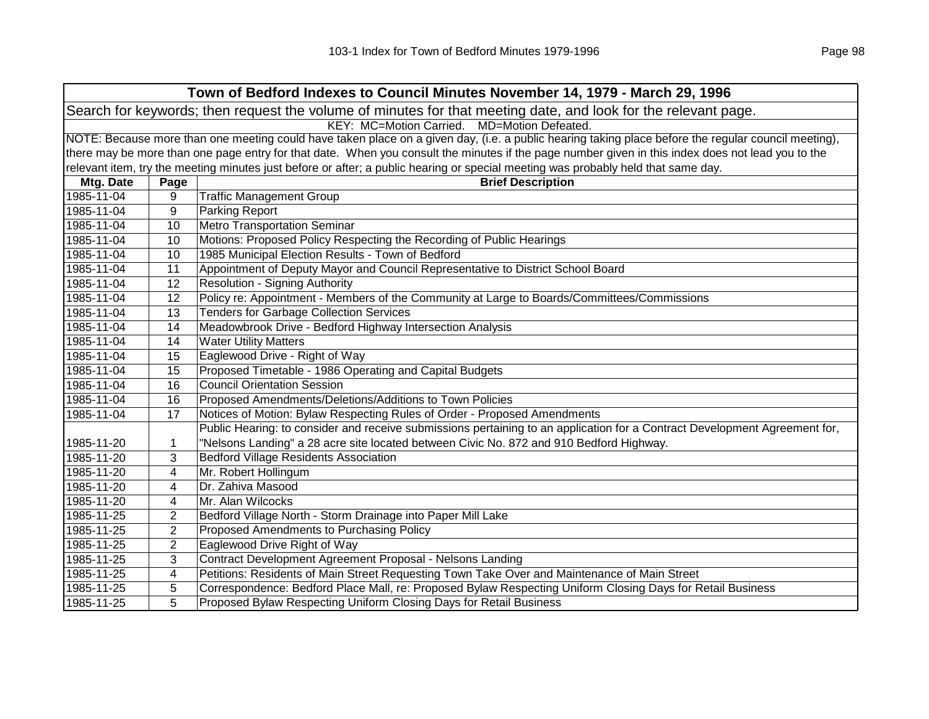|                                                                                                                | Town of Bedford Indexes to Council Minutes November 14, 1979 - March 29, 1996 |                                                                                                                                                     |  |  |  |
|----------------------------------------------------------------------------------------------------------------|-------------------------------------------------------------------------------|-----------------------------------------------------------------------------------------------------------------------------------------------------|--|--|--|
| Search for keywords; then request the volume of minutes for that meeting date, and look for the relevant page. |                                                                               |                                                                                                                                                     |  |  |  |
|                                                                                                                | KEY: MC=Motion Carried. MD=Motion Defeated.                                   |                                                                                                                                                     |  |  |  |
|                                                                                                                |                                                                               | NOTE: Because more than one meeting could have taken place on a given day, (i.e. a public hearing taking place before the regular council meeting), |  |  |  |
|                                                                                                                |                                                                               | there may be more than one page entry for that date. When you consult the minutes if the page number given in this index does not lead you to the   |  |  |  |
|                                                                                                                |                                                                               | relevant item, try the meeting minutes just before or after; a public hearing or special meeting was probably held that same day.                   |  |  |  |
| Mtg. Date                                                                                                      | Page                                                                          | <b>Brief Description</b>                                                                                                                            |  |  |  |
| 1985-11-04                                                                                                     | 9                                                                             | <b>Traffic Management Group</b>                                                                                                                     |  |  |  |
| 1985-11-04                                                                                                     | 9                                                                             | Parking Report                                                                                                                                      |  |  |  |
| 1985-11-04                                                                                                     | 10                                                                            | <b>Metro Transportation Seminar</b>                                                                                                                 |  |  |  |
| 1985-11-04                                                                                                     | 10                                                                            | Motions: Proposed Policy Respecting the Recording of Public Hearings                                                                                |  |  |  |
| 1985-11-04                                                                                                     | 10                                                                            | 1985 Municipal Election Results - Town of Bedford                                                                                                   |  |  |  |
| 1985-11-04                                                                                                     | 11                                                                            | Appointment of Deputy Mayor and Council Representative to District School Board                                                                     |  |  |  |
| 1985-11-04                                                                                                     | 12                                                                            | <b>Resolution - Signing Authority</b>                                                                                                               |  |  |  |
| 1985-11-04                                                                                                     | 12                                                                            | Policy re: Appointment - Members of the Community at Large to Boards/Committees/Commissions                                                         |  |  |  |
| 1985-11-04                                                                                                     | 13                                                                            | <b>Tenders for Garbage Collection Services</b>                                                                                                      |  |  |  |
| 1985-11-04                                                                                                     | 14                                                                            | Meadowbrook Drive - Bedford Highway Intersection Analysis                                                                                           |  |  |  |
| 1985-11-04                                                                                                     | 14                                                                            | <b>Water Utility Matters</b>                                                                                                                        |  |  |  |
| 1985-11-04                                                                                                     | 15                                                                            | Eaglewood Drive - Right of Way                                                                                                                      |  |  |  |
| 1985-11-04                                                                                                     | 15                                                                            | Proposed Timetable - 1986 Operating and Capital Budgets                                                                                             |  |  |  |
| 1985-11-04                                                                                                     | 16                                                                            | <b>Council Orientation Session</b>                                                                                                                  |  |  |  |
| 1985-11-04                                                                                                     | 16                                                                            | Proposed Amendments/Deletions/Additions to Town Policies                                                                                            |  |  |  |
| 1985-11-04                                                                                                     | 17                                                                            | Notices of Motion: Bylaw Respecting Rules of Order - Proposed Amendments                                                                            |  |  |  |
|                                                                                                                |                                                                               | Public Hearing: to consider and receive submissions pertaining to an application for a Contract Development Agreement for,                          |  |  |  |
| 1985-11-20                                                                                                     | 1                                                                             | "Nelsons Landing" a 28 acre site located between Civic No. 872 and 910 Bedford Highway.                                                             |  |  |  |
| 1985-11-20                                                                                                     | 3                                                                             | <b>Bedford Village Residents Association</b>                                                                                                        |  |  |  |
| 1985-11-20                                                                                                     | 4                                                                             | Mr. Robert Hollingum                                                                                                                                |  |  |  |
| 1985-11-20                                                                                                     | 4                                                                             | Dr. Zahiva Masood                                                                                                                                   |  |  |  |
| 1985-11-20                                                                                                     | 4                                                                             | Mr. Alan Wilcocks                                                                                                                                   |  |  |  |
| 1985-11-25                                                                                                     | 2                                                                             | Bedford Village North - Storm Drainage into Paper Mill Lake                                                                                         |  |  |  |
| 1985-11-25                                                                                                     | 2                                                                             | Proposed Amendments to Purchasing Policy                                                                                                            |  |  |  |
| 1985-11-25                                                                                                     | $\overline{2}$                                                                | Eaglewood Drive Right of Way                                                                                                                        |  |  |  |
| 1985-11-25                                                                                                     | 3                                                                             | Contract Development Agreement Proposal - Nelsons Landing                                                                                           |  |  |  |
| 1985-11-25                                                                                                     | 4                                                                             | Petitions: Residents of Main Street Requesting Town Take Over and Maintenance of Main Street                                                        |  |  |  |
| 1985-11-25                                                                                                     | 5                                                                             | Correspondence: Bedford Place Mall, re: Proposed Bylaw Respecting Uniform Closing Days for Retail Business                                          |  |  |  |
| 1985-11-25                                                                                                     | 5                                                                             | Proposed Bylaw Respecting Uniform Closing Days for Retail Business                                                                                  |  |  |  |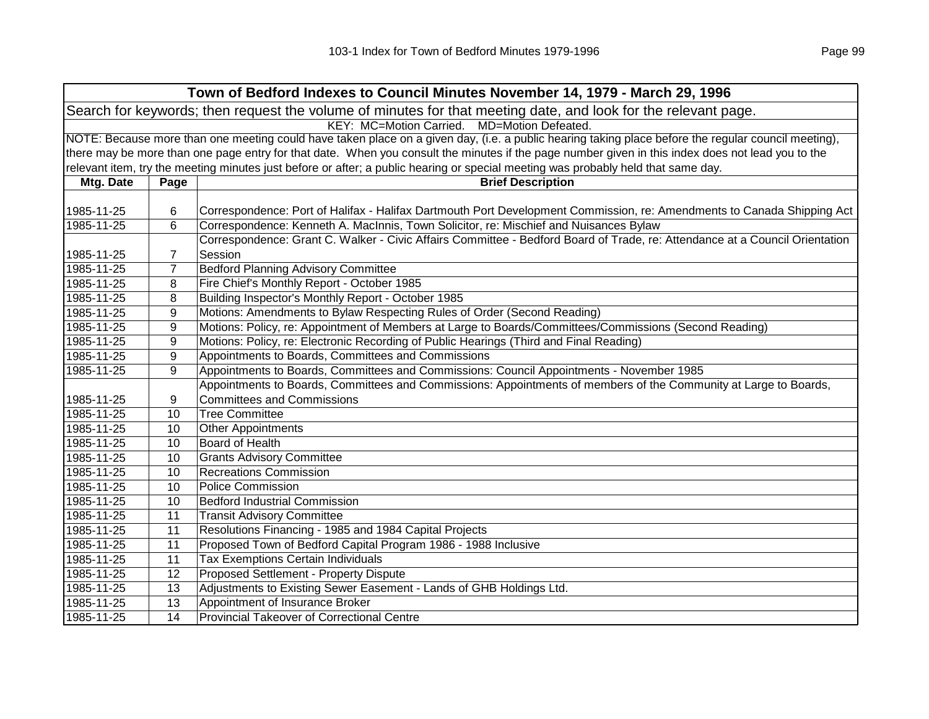| Town of Bedford Indexes to Council Minutes November 14, 1979 - March 29, 1996                                  |                                                                                                                                                     |                                                                                                                                                   |  |
|----------------------------------------------------------------------------------------------------------------|-----------------------------------------------------------------------------------------------------------------------------------------------------|---------------------------------------------------------------------------------------------------------------------------------------------------|--|
| Search for keywords; then request the volume of minutes for that meeting date, and look for the relevant page. |                                                                                                                                                     |                                                                                                                                                   |  |
|                                                                                                                |                                                                                                                                                     | KEY: MC=Motion Carried. MD=Motion Defeated.                                                                                                       |  |
|                                                                                                                | NOTE: Because more than one meeting could have taken place on a given day, (i.e. a public hearing taking place before the regular council meeting), |                                                                                                                                                   |  |
|                                                                                                                |                                                                                                                                                     | there may be more than one page entry for that date. When you consult the minutes if the page number given in this index does not lead you to the |  |
|                                                                                                                |                                                                                                                                                     | relevant item, try the meeting minutes just before or after; a public hearing or special meeting was probably held that same day.                 |  |
| Mtg. Date                                                                                                      | Page                                                                                                                                                | <b>Brief Description</b>                                                                                                                          |  |
|                                                                                                                |                                                                                                                                                     |                                                                                                                                                   |  |
| 1985-11-25                                                                                                     | 6                                                                                                                                                   | Correspondence: Port of Halifax - Halifax Dartmouth Port Development Commission, re: Amendments to Canada Shipping Act                            |  |
| 1985-11-25                                                                                                     | 6                                                                                                                                                   | Correspondence: Kenneth A. MacInnis, Town Solicitor, re: Mischief and Nuisances Bylaw                                                             |  |
|                                                                                                                |                                                                                                                                                     | Correspondence: Grant C. Walker - Civic Affairs Committee - Bedford Board of Trade, re: Attendance at a Council Orientation                       |  |
| 1985-11-25                                                                                                     | 7                                                                                                                                                   | Session                                                                                                                                           |  |
| 1985-11-25                                                                                                     | 7                                                                                                                                                   | <b>Bedford Planning Advisory Committee</b>                                                                                                        |  |
| 1985-11-25                                                                                                     | 8                                                                                                                                                   | Fire Chief's Monthly Report - October 1985                                                                                                        |  |
| 1985-11-25                                                                                                     | 8                                                                                                                                                   | Building Inspector's Monthly Report - October 1985                                                                                                |  |
| 1985-11-25                                                                                                     | 9                                                                                                                                                   | Motions: Amendments to Bylaw Respecting Rules of Order (Second Reading)                                                                           |  |
| 1985-11-25                                                                                                     | 9                                                                                                                                                   | Motions: Policy, re: Appointment of Members at Large to Boards/Committees/Commissions (Second Reading)                                            |  |
| 1985-11-25                                                                                                     | 9                                                                                                                                                   | Motions: Policy, re: Electronic Recording of Public Hearings (Third and Final Reading)                                                            |  |
| 1985-11-25                                                                                                     | 9                                                                                                                                                   | Appointments to Boards, Committees and Commissions                                                                                                |  |
| 1985-11-25                                                                                                     | 9                                                                                                                                                   | Appointments to Boards, Committees and Commissions: Council Appointments - November 1985                                                          |  |
|                                                                                                                |                                                                                                                                                     | Appointments to Boards, Committees and Commissions: Appointments of members of the Community at Large to Boards,                                  |  |
| 1985-11-25                                                                                                     | 9                                                                                                                                                   | <b>Committees and Commissions</b>                                                                                                                 |  |
| 1985-11-25                                                                                                     | 10                                                                                                                                                  | <b>Tree Committee</b>                                                                                                                             |  |
| 1985-11-25                                                                                                     | 10                                                                                                                                                  | <b>Other Appointments</b>                                                                                                                         |  |
| 1985-11-25                                                                                                     | 10                                                                                                                                                  | <b>Board of Health</b>                                                                                                                            |  |
| 1985-11-25                                                                                                     | 10                                                                                                                                                  | <b>Grants Advisory Committee</b>                                                                                                                  |  |
| 1985-11-25                                                                                                     | 10                                                                                                                                                  | <b>Recreations Commission</b>                                                                                                                     |  |
| 1985-11-25                                                                                                     | 10                                                                                                                                                  | <b>Police Commission</b>                                                                                                                          |  |
| 1985-11-25                                                                                                     | 10                                                                                                                                                  | <b>Bedford Industrial Commission</b>                                                                                                              |  |
| 1985-11-25                                                                                                     | 11                                                                                                                                                  | <b>Transit Advisory Committee</b>                                                                                                                 |  |
| 1985-11-25                                                                                                     | 11                                                                                                                                                  | Resolutions Financing - 1985 and 1984 Capital Projects                                                                                            |  |
| 1985-11-25                                                                                                     | 11                                                                                                                                                  | Proposed Town of Bedford Capital Program 1986 - 1988 Inclusive                                                                                    |  |
| 1985-11-25                                                                                                     | 11                                                                                                                                                  | Tax Exemptions Certain Individuals                                                                                                                |  |
| 1985-11-25                                                                                                     | 12                                                                                                                                                  | Proposed Settlement - Property Dispute                                                                                                            |  |
| 1985-11-25                                                                                                     | 13                                                                                                                                                  | Adjustments to Existing Sewer Easement - Lands of GHB Holdings Ltd.                                                                               |  |
| 1985-11-25                                                                                                     | 13                                                                                                                                                  | Appointment of Insurance Broker                                                                                                                   |  |
| 1985-11-25                                                                                                     | 14                                                                                                                                                  | Provincial Takeover of Correctional Centre                                                                                                        |  |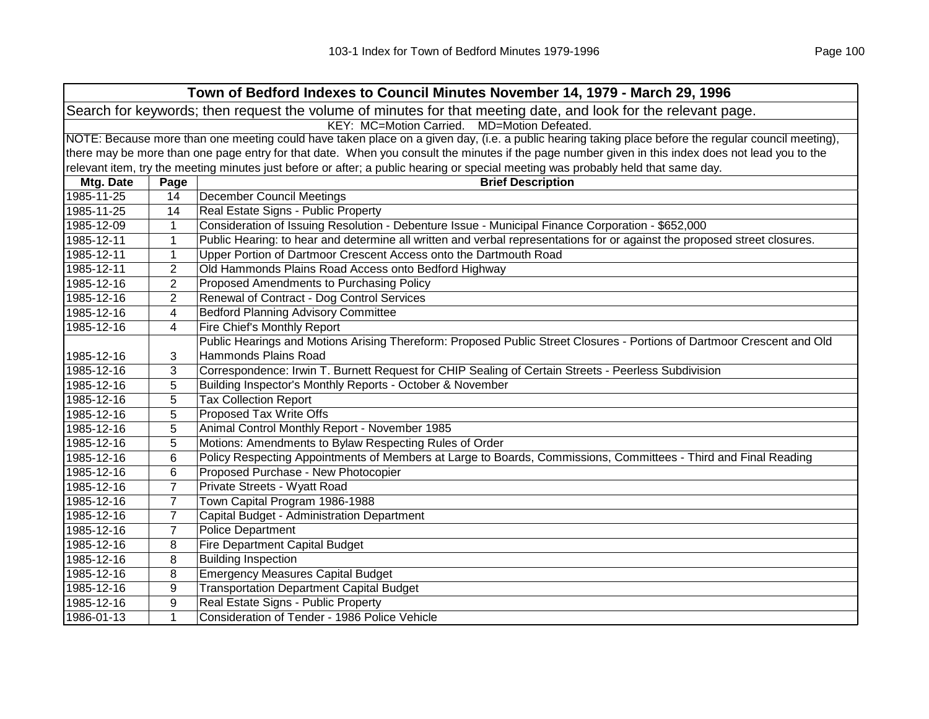| Town of Bedford Indexes to Council Minutes November 14, 1979 - March 29, 1996                                  |                                                                                                                                                     |                                                                                                                                                   |  |  |
|----------------------------------------------------------------------------------------------------------------|-----------------------------------------------------------------------------------------------------------------------------------------------------|---------------------------------------------------------------------------------------------------------------------------------------------------|--|--|
| Search for keywords; then request the volume of minutes for that meeting date, and look for the relevant page. |                                                                                                                                                     |                                                                                                                                                   |  |  |
| KEY: MC=Motion Carried. MD=Motion Defeated.                                                                    |                                                                                                                                                     |                                                                                                                                                   |  |  |
|                                                                                                                | NOTE: Because more than one meeting could have taken place on a given day, (i.e. a public hearing taking place before the regular council meeting), |                                                                                                                                                   |  |  |
|                                                                                                                |                                                                                                                                                     | there may be more than one page entry for that date. When you consult the minutes if the page number given in this index does not lead you to the |  |  |
|                                                                                                                |                                                                                                                                                     | relevant item, try the meeting minutes just before or after; a public hearing or special meeting was probably held that same day.                 |  |  |
| Mtg. Date                                                                                                      | Page                                                                                                                                                | <b>Brief Description</b>                                                                                                                          |  |  |
| 1985-11-25                                                                                                     | 14                                                                                                                                                  | <b>December Council Meetings</b>                                                                                                                  |  |  |
| 1985-11-25                                                                                                     | 14                                                                                                                                                  | Real Estate Signs - Public Property                                                                                                               |  |  |
| 1985-12-09                                                                                                     | 1                                                                                                                                                   | Consideration of Issuing Resolution - Debenture Issue - Municipal Finance Corporation - \$652,000                                                 |  |  |
| 1985-12-11                                                                                                     | $\mathbf{1}$                                                                                                                                        | Public Hearing: to hear and determine all written and verbal representations for or against the proposed street closures.                         |  |  |
| 1985-12-11                                                                                                     | $\mathbf{1}$                                                                                                                                        | Upper Portion of Dartmoor Crescent Access onto the Dartmouth Road                                                                                 |  |  |
| 1985-12-11                                                                                                     | $\overline{2}$                                                                                                                                      | Old Hammonds Plains Road Access onto Bedford Highway                                                                                              |  |  |
| 1985-12-16                                                                                                     | $\overline{2}$                                                                                                                                      | Proposed Amendments to Purchasing Policy                                                                                                          |  |  |
| 1985-12-16                                                                                                     | $\overline{2}$                                                                                                                                      | Renewal of Contract - Dog Control Services                                                                                                        |  |  |
| 1985-12-16                                                                                                     | 4                                                                                                                                                   | <b>Bedford Planning Advisory Committee</b>                                                                                                        |  |  |
| 1985-12-16                                                                                                     | 4                                                                                                                                                   | Fire Chief's Monthly Report                                                                                                                       |  |  |
|                                                                                                                |                                                                                                                                                     | Public Hearings and Motions Arising Thereform: Proposed Public Street Closures - Portions of Dartmoor Crescent and Old                            |  |  |
| 1985-12-16                                                                                                     | 3                                                                                                                                                   | Hammonds Plains Road                                                                                                                              |  |  |
| 1985-12-16                                                                                                     | 3                                                                                                                                                   | Correspondence: Irwin T. Burnett Request for CHIP Sealing of Certain Streets - Peerless Subdivision                                               |  |  |
| 1985-12-16                                                                                                     | 5                                                                                                                                                   | Building Inspector's Monthly Reports - October & November                                                                                         |  |  |
| 1985-12-16                                                                                                     | 5                                                                                                                                                   | <b>Tax Collection Report</b>                                                                                                                      |  |  |
| 1985-12-16                                                                                                     | 5                                                                                                                                                   | Proposed Tax Write Offs                                                                                                                           |  |  |
| 1985-12-16                                                                                                     | 5                                                                                                                                                   | Animal Control Monthly Report - November 1985                                                                                                     |  |  |
| 1985-12-16                                                                                                     | 5                                                                                                                                                   | Motions: Amendments to Bylaw Respecting Rules of Order                                                                                            |  |  |
| 1985-12-16                                                                                                     | 6                                                                                                                                                   | Policy Respecting Appointments of Members at Large to Boards, Commissions, Committees - Third and Final Reading                                   |  |  |
| 1985-12-16                                                                                                     | 6                                                                                                                                                   | Proposed Purchase - New Photocopier                                                                                                               |  |  |
| 1985-12-16                                                                                                     | $\overline{7}$                                                                                                                                      | Private Streets - Wyatt Road                                                                                                                      |  |  |
| 1985-12-16                                                                                                     | $\overline{7}$                                                                                                                                      | Town Capital Program 1986-1988                                                                                                                    |  |  |
| 1985-12-16                                                                                                     | $\overline{7}$                                                                                                                                      | Capital Budget - Administration Department                                                                                                        |  |  |
| 1985-12-16                                                                                                     | $\overline{7}$                                                                                                                                      | <b>Police Department</b>                                                                                                                          |  |  |
| 1985-12-16                                                                                                     | 8                                                                                                                                                   | <b>Fire Department Capital Budget</b>                                                                                                             |  |  |
| 1985-12-16                                                                                                     | 8                                                                                                                                                   | <b>Building Inspection</b>                                                                                                                        |  |  |
| 1985-12-16                                                                                                     | 8                                                                                                                                                   | <b>Emergency Measures Capital Budget</b>                                                                                                          |  |  |
| 1985-12-16                                                                                                     | 9                                                                                                                                                   | <b>Transportation Department Capital Budget</b>                                                                                                   |  |  |
| 1985-12-16                                                                                                     | 9                                                                                                                                                   | Real Estate Signs - Public Property                                                                                                               |  |  |
| 1986-01-13                                                                                                     | 1                                                                                                                                                   | Consideration of Tender - 1986 Police Vehicle                                                                                                     |  |  |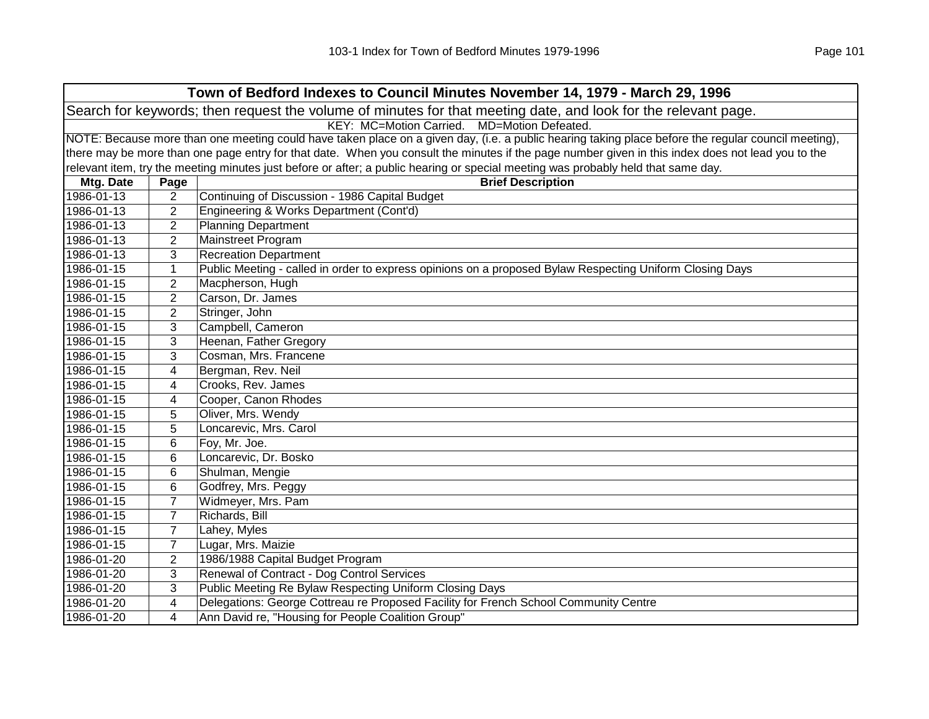| Town of Bedford Indexes to Council Minutes November 14, 1979 - March 29, 1996                                                                       |                |                                                                                                                                                   |  |  |
|-----------------------------------------------------------------------------------------------------------------------------------------------------|----------------|---------------------------------------------------------------------------------------------------------------------------------------------------|--|--|
| Search for keywords; then request the volume of minutes for that meeting date, and look for the relevant page.                                      |                |                                                                                                                                                   |  |  |
| KEY: MC=Motion Carried. MD=Motion Defeated.                                                                                                         |                |                                                                                                                                                   |  |  |
| NOTE: Because more than one meeting could have taken place on a given day, (i.e. a public hearing taking place before the regular council meeting), |                |                                                                                                                                                   |  |  |
|                                                                                                                                                     |                | there may be more than one page entry for that date. When you consult the minutes if the page number given in this index does not lead you to the |  |  |
|                                                                                                                                                     |                | relevant item, try the meeting minutes just before or after; a public hearing or special meeting was probably held that same day.                 |  |  |
| Mtg. Date                                                                                                                                           | Page           | <b>Brief Description</b>                                                                                                                          |  |  |
| 1986-01-13                                                                                                                                          | $\overline{2}$ | Continuing of Discussion - 1986 Capital Budget                                                                                                    |  |  |
| 1986-01-13                                                                                                                                          | $\overline{2}$ | Engineering & Works Department (Cont'd)                                                                                                           |  |  |
| 1986-01-13                                                                                                                                          | 2              | <b>Planning Department</b>                                                                                                                        |  |  |
| 1986-01-13                                                                                                                                          | 2              | Mainstreet Program                                                                                                                                |  |  |
| 1986-01-13                                                                                                                                          | 3              | <b>Recreation Department</b>                                                                                                                      |  |  |
| 1986-01-15                                                                                                                                          | 1              | Public Meeting - called in order to express opinions on a proposed Bylaw Respecting Uniform Closing Days                                          |  |  |
| 1986-01-15                                                                                                                                          | 2              | Macpherson, Hugh                                                                                                                                  |  |  |
| 1986-01-15                                                                                                                                          | 2              | Carson, Dr. James                                                                                                                                 |  |  |
| 1986-01-15                                                                                                                                          | $\overline{2}$ | Stringer, John                                                                                                                                    |  |  |
| 1986-01-15                                                                                                                                          | 3              | Campbell, Cameron                                                                                                                                 |  |  |
| 1986-01-15                                                                                                                                          | 3              | Heenan, Father Gregory                                                                                                                            |  |  |
| 1986-01-15                                                                                                                                          | 3              | Cosman, Mrs. Francene                                                                                                                             |  |  |
| 1986-01-15                                                                                                                                          | 4              | Bergman, Rev. Neil                                                                                                                                |  |  |
| 1986-01-15                                                                                                                                          | 4              | Crooks, Rev. James                                                                                                                                |  |  |
| 1986-01-15                                                                                                                                          | 4              | Cooper, Canon Rhodes                                                                                                                              |  |  |
| 1986-01-15                                                                                                                                          | 5              | Oliver, Mrs. Wendy                                                                                                                                |  |  |
| 1986-01-15                                                                                                                                          | 5              | Loncarevic, Mrs. Carol                                                                                                                            |  |  |
| 1986-01-15                                                                                                                                          | 6              | Foy, Mr. Joe.                                                                                                                                     |  |  |
| 1986-01-15                                                                                                                                          | 6              | Loncarevic, Dr. Bosko                                                                                                                             |  |  |
| 1986-01-15                                                                                                                                          | 6              | Shulman, Mengie                                                                                                                                   |  |  |
| 1986-01-15                                                                                                                                          | 6              | Godfrey, Mrs. Peggy                                                                                                                               |  |  |
| 1986-01-15                                                                                                                                          | $\overline{7}$ | Widmeyer, Mrs. Pam                                                                                                                                |  |  |
| 1986-01-15                                                                                                                                          | $\overline{7}$ | Richards, Bill                                                                                                                                    |  |  |
| 1986-01-15                                                                                                                                          | $\overline{7}$ | Lahey, Myles                                                                                                                                      |  |  |
| 1986-01-15                                                                                                                                          | $\overline{7}$ | Lugar, Mrs. Maizie                                                                                                                                |  |  |
| 1986-01-20                                                                                                                                          | $\overline{2}$ | 1986/1988 Capital Budget Program                                                                                                                  |  |  |
| 1986-01-20                                                                                                                                          | 3              | Renewal of Contract - Dog Control Services                                                                                                        |  |  |
| 1986-01-20                                                                                                                                          | 3              | Public Meeting Re Bylaw Respecting Uniform Closing Days                                                                                           |  |  |
| 1986-01-20                                                                                                                                          | 4              | Delegations: George Cottreau re Proposed Facility for French School Community Centre                                                              |  |  |
| 1986-01-20                                                                                                                                          | 4              | Ann David re, "Housing for People Coalition Group"                                                                                                |  |  |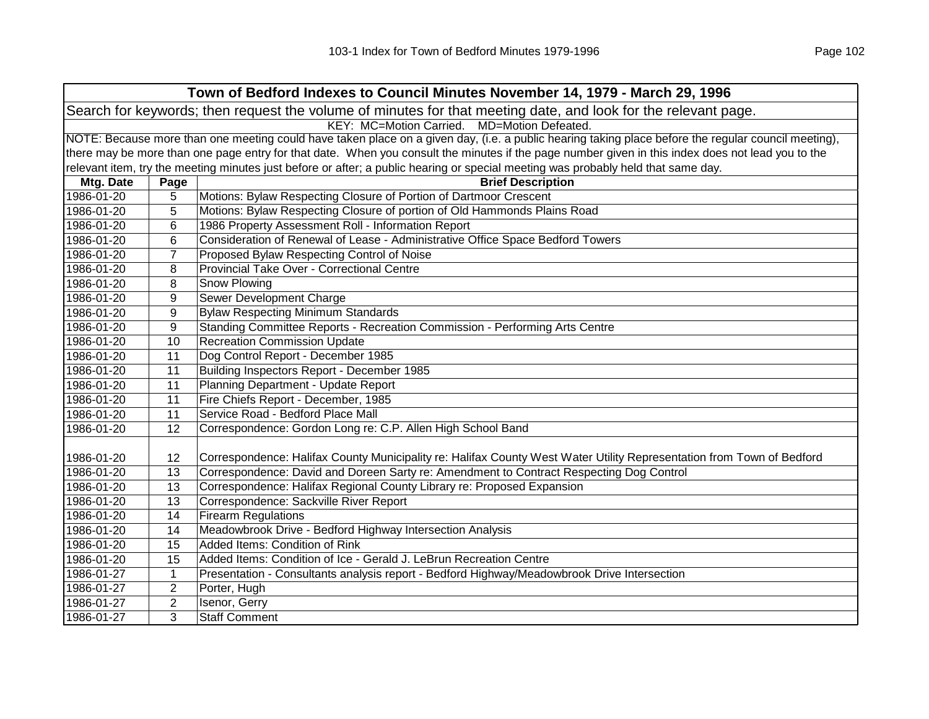|                                                                                                                | Town of Bedford Indexes to Council Minutes November 14, 1979 - March 29, 1996 |                                                                                                                                                     |  |  |
|----------------------------------------------------------------------------------------------------------------|-------------------------------------------------------------------------------|-----------------------------------------------------------------------------------------------------------------------------------------------------|--|--|
| Search for keywords; then request the volume of minutes for that meeting date, and look for the relevant page. |                                                                               |                                                                                                                                                     |  |  |
|                                                                                                                | KEY: MC=Motion Carried.<br>MD=Motion Defeated.                                |                                                                                                                                                     |  |  |
|                                                                                                                |                                                                               | NOTE: Because more than one meeting could have taken place on a given day, (i.e. a public hearing taking place before the regular council meeting), |  |  |
|                                                                                                                |                                                                               | there may be more than one page entry for that date. When you consult the minutes if the page number given in this index does not lead you to the   |  |  |
|                                                                                                                |                                                                               | relevant item, try the meeting minutes just before or after; a public hearing or special meeting was probably held that same day.                   |  |  |
| Mtg. Date                                                                                                      | Page                                                                          | <b>Brief Description</b>                                                                                                                            |  |  |
| 1986-01-20                                                                                                     | 5                                                                             | Motions: Bylaw Respecting Closure of Portion of Dartmoor Crescent                                                                                   |  |  |
| 1986-01-20                                                                                                     | 5                                                                             | Motions: Bylaw Respecting Closure of portion of Old Hammonds Plains Road                                                                            |  |  |
| 1986-01-20                                                                                                     | 6                                                                             | 1986 Property Assessment Roll - Information Report                                                                                                  |  |  |
| 1986-01-20                                                                                                     | 6                                                                             | Consideration of Renewal of Lease - Administrative Office Space Bedford Towers                                                                      |  |  |
| 1986-01-20                                                                                                     | $\overline{7}$                                                                | Proposed Bylaw Respecting Control of Noise                                                                                                          |  |  |
| 1986-01-20                                                                                                     | 8                                                                             | Provincial Take Over - Correctional Centre                                                                                                          |  |  |
| 1986-01-20                                                                                                     | 8                                                                             | Snow Plowing                                                                                                                                        |  |  |
| 1986-01-20                                                                                                     | 9                                                                             | Sewer Development Charge                                                                                                                            |  |  |
| 1986-01-20                                                                                                     | 9                                                                             | <b>Bylaw Respecting Minimum Standards</b>                                                                                                           |  |  |
| 1986-01-20                                                                                                     | 9                                                                             | Standing Committee Reports - Recreation Commission - Performing Arts Centre                                                                         |  |  |
| 1986-01-20                                                                                                     | 10                                                                            | <b>Recreation Commission Update</b>                                                                                                                 |  |  |
| 1986-01-20                                                                                                     | 11                                                                            | Dog Control Report - December 1985                                                                                                                  |  |  |
| 1986-01-20                                                                                                     | 11                                                                            | Building Inspectors Report - December 1985                                                                                                          |  |  |
| 1986-01-20                                                                                                     | 11                                                                            | Planning Department - Update Report                                                                                                                 |  |  |
| 1986-01-20                                                                                                     | 11                                                                            | Fire Chiefs Report - December, 1985                                                                                                                 |  |  |
| 1986-01-20                                                                                                     | 11                                                                            | Service Road - Bedford Place Mall                                                                                                                   |  |  |
| 1986-01-20                                                                                                     | 12                                                                            | Correspondence: Gordon Long re: C.P. Allen High School Band                                                                                         |  |  |
|                                                                                                                |                                                                               |                                                                                                                                                     |  |  |
| 1986-01-20                                                                                                     | 12                                                                            | Correspondence: Halifax County Municipality re: Halifax County West Water Utility Representation from Town of Bedford                               |  |  |
| 1986-01-20                                                                                                     | 13                                                                            | Correspondence: David and Doreen Sarty re: Amendment to Contract Respecting Dog Control                                                             |  |  |
| 1986-01-20                                                                                                     | 13                                                                            | Correspondence: Halifax Regional County Library re: Proposed Expansion                                                                              |  |  |
| 1986-01-20                                                                                                     | 13                                                                            | Correspondence: Sackville River Report                                                                                                              |  |  |
| 1986-01-20                                                                                                     | 14                                                                            | <b>Firearm Regulations</b>                                                                                                                          |  |  |
| 1986-01-20                                                                                                     | 14                                                                            | Meadowbrook Drive - Bedford Highway Intersection Analysis                                                                                           |  |  |
| 1986-01-20                                                                                                     | 15                                                                            | Added Items: Condition of Rink                                                                                                                      |  |  |
| 1986-01-20                                                                                                     | 15                                                                            | Added Items: Condition of Ice - Gerald J. LeBrun Recreation Centre                                                                                  |  |  |
| 1986-01-27                                                                                                     | $\mathbf 1$                                                                   | Presentation - Consultants analysis report - Bedford Highway/Meadowbrook Drive Intersection                                                         |  |  |
| 1986-01-27                                                                                                     | $\overline{2}$                                                                | Porter, Hugh                                                                                                                                        |  |  |
| 1986-01-27                                                                                                     | $\mathbf{2}$                                                                  | Isenor, Gerry                                                                                                                                       |  |  |
| 1986-01-27                                                                                                     | 3                                                                             | <b>Staff Comment</b>                                                                                                                                |  |  |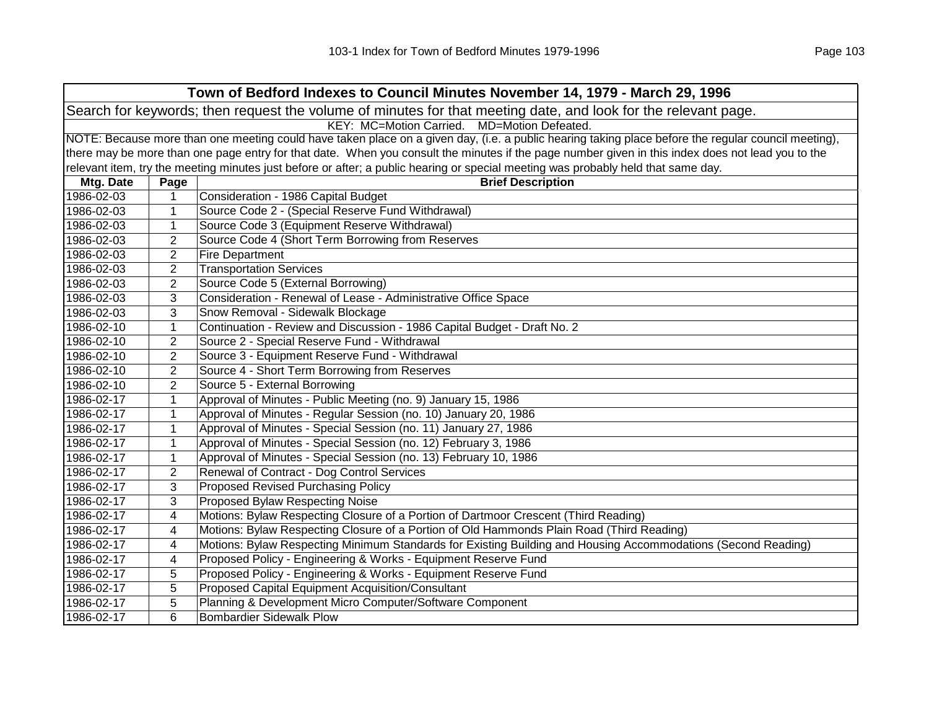| Town of Bedford Indexes to Council Minutes November 14, 1979 - March 29, 1996                                                                       |                                                                                                                                                   |                                                                                                                                   |  |
|-----------------------------------------------------------------------------------------------------------------------------------------------------|---------------------------------------------------------------------------------------------------------------------------------------------------|-----------------------------------------------------------------------------------------------------------------------------------|--|
| Search for keywords; then request the volume of minutes for that meeting date, and look for the relevant page.                                      |                                                                                                                                                   |                                                                                                                                   |  |
|                                                                                                                                                     |                                                                                                                                                   | KEY: MC=Motion Carried. MD=Motion Defeated.                                                                                       |  |
| NOTE: Because more than one meeting could have taken place on a given day, (i.e. a public hearing taking place before the regular council meeting), |                                                                                                                                                   |                                                                                                                                   |  |
|                                                                                                                                                     | there may be more than one page entry for that date. When you consult the minutes if the page number given in this index does not lead you to the |                                                                                                                                   |  |
|                                                                                                                                                     |                                                                                                                                                   | relevant item, try the meeting minutes just before or after; a public hearing or special meeting was probably held that same day. |  |
| Mtg. Date                                                                                                                                           | Page                                                                                                                                              | <b>Brief Description</b>                                                                                                          |  |
| 1986-02-03                                                                                                                                          | 1                                                                                                                                                 | Consideration - 1986 Capital Budget                                                                                               |  |
| 1986-02-03                                                                                                                                          | 1                                                                                                                                                 | Source Code 2 - (Special Reserve Fund Withdrawal)                                                                                 |  |
| 1986-02-03                                                                                                                                          | 1                                                                                                                                                 | Source Code 3 (Equipment Reserve Withdrawal)                                                                                      |  |
| 1986-02-03                                                                                                                                          | 2                                                                                                                                                 | Source Code 4 (Short Term Borrowing from Reserves                                                                                 |  |
| 1986-02-03                                                                                                                                          | $\overline{2}$                                                                                                                                    | <b>Fire Department</b>                                                                                                            |  |
| 1986-02-03                                                                                                                                          | $\overline{2}$                                                                                                                                    | <b>Transportation Services</b>                                                                                                    |  |
| 1986-02-03                                                                                                                                          | 2                                                                                                                                                 | Source Code 5 (External Borrowing)                                                                                                |  |
| 1986-02-03                                                                                                                                          | 3                                                                                                                                                 | Consideration - Renewal of Lease - Administrative Office Space                                                                    |  |
| 1986-02-03                                                                                                                                          | 3                                                                                                                                                 | Snow Removal - Sidewalk Blockage                                                                                                  |  |
| 1986-02-10                                                                                                                                          | $\mathbf 1$                                                                                                                                       | Continuation - Review and Discussion - 1986 Capital Budget - Draft No. 2                                                          |  |
| 1986-02-10                                                                                                                                          | $\overline{2}$                                                                                                                                    | Source 2 - Special Reserve Fund - Withdrawal                                                                                      |  |
| 1986-02-10                                                                                                                                          | $\overline{2}$                                                                                                                                    | Source 3 - Equipment Reserve Fund - Withdrawal                                                                                    |  |
| 1986-02-10                                                                                                                                          | $\overline{2}$                                                                                                                                    | Source 4 - Short Term Borrowing from Reserves                                                                                     |  |
| 1986-02-10                                                                                                                                          | $\overline{2}$                                                                                                                                    | Source 5 - External Borrowing                                                                                                     |  |
| 1986-02-17                                                                                                                                          | $\mathbf{1}$                                                                                                                                      | Approval of Minutes - Public Meeting (no. 9) January 15, 1986                                                                     |  |
| 1986-02-17                                                                                                                                          | 1                                                                                                                                                 | Approval of Minutes - Regular Session (no. 10) January 20, 1986                                                                   |  |
| 1986-02-17                                                                                                                                          | $\mathbf{1}$                                                                                                                                      | Approval of Minutes - Special Session (no. 11) January 27, 1986                                                                   |  |
| 1986-02-17                                                                                                                                          | $\mathbf{1}$                                                                                                                                      | Approval of Minutes - Special Session (no. 12) February 3, 1986                                                                   |  |
| 1986-02-17                                                                                                                                          | 1                                                                                                                                                 | Approval of Minutes - Special Session (no. 13) February 10, 1986                                                                  |  |
| 1986-02-17                                                                                                                                          | $\overline{2}$                                                                                                                                    | Renewal of Contract - Dog Control Services                                                                                        |  |
| 1986-02-17                                                                                                                                          | 3                                                                                                                                                 | <b>Proposed Revised Purchasing Policy</b>                                                                                         |  |
| 1986-02-17                                                                                                                                          | 3                                                                                                                                                 | Proposed Bylaw Respecting Noise                                                                                                   |  |
| 1986-02-17                                                                                                                                          | 4                                                                                                                                                 | Motions: Bylaw Respecting Closure of a Portion of Dartmoor Crescent (Third Reading)                                               |  |
| 1986-02-17                                                                                                                                          | 4                                                                                                                                                 | Motions: Bylaw Respecting Closure of a Portion of Old Hammonds Plain Road (Third Reading)                                         |  |
| 1986-02-17                                                                                                                                          | 4                                                                                                                                                 | Motions: Bylaw Respecting Minimum Standards for Existing Building and Housing Accommodations (Second Reading)                     |  |
| 1986-02-17                                                                                                                                          | 4                                                                                                                                                 | Proposed Policy - Engineering & Works - Equipment Reserve Fund                                                                    |  |
| 1986-02-17                                                                                                                                          | 5                                                                                                                                                 | Proposed Policy - Engineering & Works - Equipment Reserve Fund                                                                    |  |
| 1986-02-17                                                                                                                                          | 5                                                                                                                                                 | Proposed Capital Equipment Acquisition/Consultant                                                                                 |  |
| 1986-02-17                                                                                                                                          | 5                                                                                                                                                 | Planning & Development Micro Computer/Software Component                                                                          |  |
| 1986-02-17                                                                                                                                          | 6                                                                                                                                                 | <b>Bombardier Sidewalk Plow</b>                                                                                                   |  |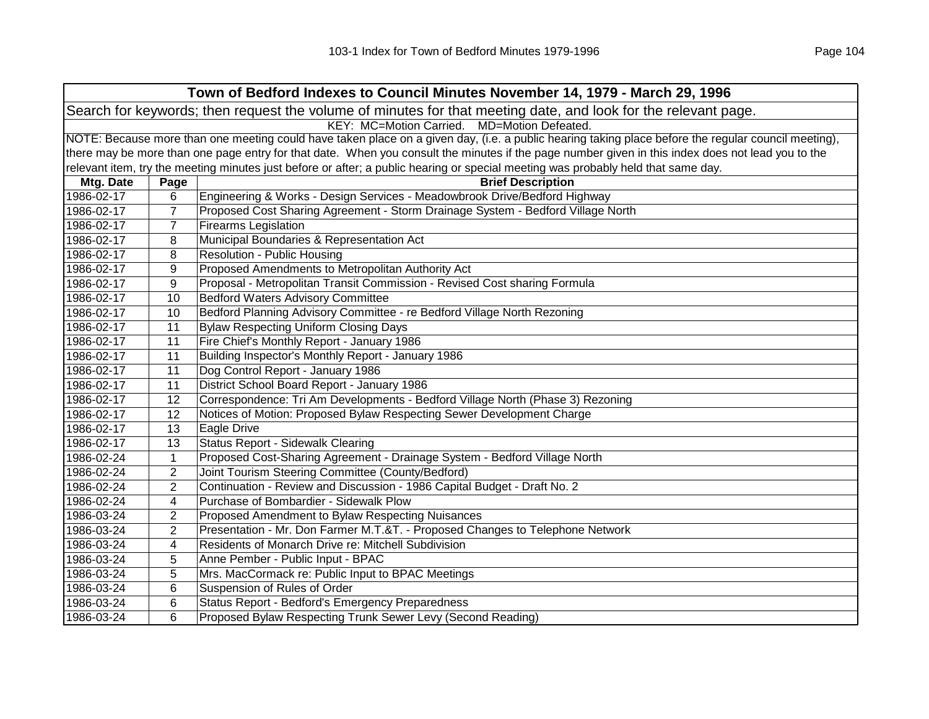|                                                                                                                | Town of Bedford Indexes to Council Minutes November 14, 1979 - March 29, 1996                                                                       |                                                                                                                                   |  |  |  |
|----------------------------------------------------------------------------------------------------------------|-----------------------------------------------------------------------------------------------------------------------------------------------------|-----------------------------------------------------------------------------------------------------------------------------------|--|--|--|
| Search for keywords; then request the volume of minutes for that meeting date, and look for the relevant page. |                                                                                                                                                     |                                                                                                                                   |  |  |  |
|                                                                                                                | KEY: MC=Motion Carried.<br>MD=Motion Defeated.                                                                                                      |                                                                                                                                   |  |  |  |
|                                                                                                                | NOTE: Because more than one meeting could have taken place on a given day, (i.e. a public hearing taking place before the regular council meeting), |                                                                                                                                   |  |  |  |
|                                                                                                                | there may be more than one page entry for that date. When you consult the minutes if the page number given in this index does not lead you to the   |                                                                                                                                   |  |  |  |
|                                                                                                                |                                                                                                                                                     | relevant item, try the meeting minutes just before or after; a public hearing or special meeting was probably held that same day. |  |  |  |
| Mtg. Date                                                                                                      | Page                                                                                                                                                | <b>Brief Description</b>                                                                                                          |  |  |  |
| 1986-02-17                                                                                                     | 6                                                                                                                                                   | Engineering & Works - Design Services - Meadowbrook Drive/Bedford Highway                                                         |  |  |  |
| 1986-02-17                                                                                                     | $\overline{7}$                                                                                                                                      | Proposed Cost Sharing Agreement - Storm Drainage System - Bedford Village North                                                   |  |  |  |
| 1986-02-17                                                                                                     | $\overline{7}$                                                                                                                                      | <b>Firearms Legislation</b>                                                                                                       |  |  |  |
| 1986-02-17                                                                                                     | 8                                                                                                                                                   | Municipal Boundaries & Representation Act                                                                                         |  |  |  |
| 1986-02-17                                                                                                     | 8                                                                                                                                                   | Resolution - Public Housing                                                                                                       |  |  |  |
| 1986-02-17                                                                                                     | 9                                                                                                                                                   | Proposed Amendments to Metropolitan Authority Act                                                                                 |  |  |  |
| 1986-02-17                                                                                                     | 9                                                                                                                                                   | Proposal - Metropolitan Transit Commission - Revised Cost sharing Formula                                                         |  |  |  |
| 1986-02-17                                                                                                     | 10                                                                                                                                                  | <b>Bedford Waters Advisory Committee</b>                                                                                          |  |  |  |
| 1986-02-17                                                                                                     | 10                                                                                                                                                  | Bedford Planning Advisory Committee - re Bedford Village North Rezoning                                                           |  |  |  |
| 1986-02-17                                                                                                     | 11                                                                                                                                                  | <b>Bylaw Respecting Uniform Closing Days</b>                                                                                      |  |  |  |
| 1986-02-17                                                                                                     | 11                                                                                                                                                  | Fire Chief's Monthly Report - January 1986                                                                                        |  |  |  |
| 1986-02-17                                                                                                     | 11                                                                                                                                                  | Building Inspector's Monthly Report - January 1986                                                                                |  |  |  |
| 1986-02-17                                                                                                     | 11                                                                                                                                                  | Dog Control Report - January 1986                                                                                                 |  |  |  |
| 1986-02-17                                                                                                     | 11                                                                                                                                                  | District School Board Report - January 1986                                                                                       |  |  |  |
| 1986-02-17                                                                                                     | 12                                                                                                                                                  | Correspondence: Tri Am Developments - Bedford Village North (Phase 3) Rezoning                                                    |  |  |  |
| 1986-02-17                                                                                                     | 12                                                                                                                                                  | Notices of Motion: Proposed Bylaw Respecting Sewer Development Charge                                                             |  |  |  |
| 1986-02-17                                                                                                     | 13                                                                                                                                                  | Eagle Drive                                                                                                                       |  |  |  |
| 1986-02-17                                                                                                     | 13                                                                                                                                                  | Status Report - Sidewalk Clearing                                                                                                 |  |  |  |
| 1986-02-24                                                                                                     | $\mathbf{1}$                                                                                                                                        | Proposed Cost-Sharing Agreement - Drainage System - Bedford Village North                                                         |  |  |  |
| 1986-02-24                                                                                                     | 2                                                                                                                                                   | Joint Tourism Steering Committee (County/Bedford)                                                                                 |  |  |  |
| 1986-02-24                                                                                                     | $\overline{2}$                                                                                                                                      | Continuation - Review and Discussion - 1986 Capital Budget - Draft No. 2                                                          |  |  |  |
| 1986-02-24                                                                                                     | 4                                                                                                                                                   | Purchase of Bombardier - Sidewalk Plow                                                                                            |  |  |  |
| 1986-03-24                                                                                                     | $\overline{2}$                                                                                                                                      | Proposed Amendment to Bylaw Respecting Nuisances                                                                                  |  |  |  |
| 1986-03-24                                                                                                     | $\overline{2}$                                                                                                                                      | Presentation - Mr. Don Farmer M.T.&T. - Proposed Changes to Telephone Network                                                     |  |  |  |
| 1986-03-24                                                                                                     | 4                                                                                                                                                   | Residents of Monarch Drive re: Mitchell Subdivision                                                                               |  |  |  |
| 1986-03-24                                                                                                     | 5                                                                                                                                                   | Anne Pember - Public Input - BPAC                                                                                                 |  |  |  |
| 1986-03-24                                                                                                     | 5                                                                                                                                                   | Mrs. MacCormack re: Public Input to BPAC Meetings                                                                                 |  |  |  |
| 1986-03-24                                                                                                     | 6                                                                                                                                                   | Suspension of Rules of Order                                                                                                      |  |  |  |
| 1986-03-24                                                                                                     | 6                                                                                                                                                   | Status Report - Bedford's Emergency Preparedness                                                                                  |  |  |  |
| 1986-03-24                                                                                                     | 6                                                                                                                                                   | Proposed Bylaw Respecting Trunk Sewer Levy (Second Reading)                                                                       |  |  |  |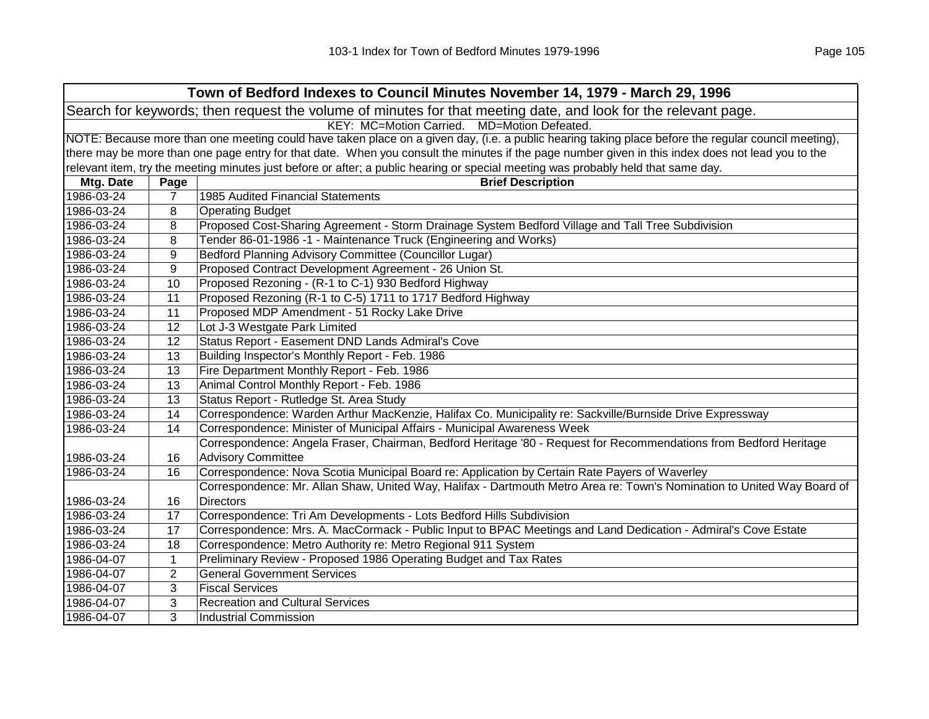| Town of Bedford Indexes to Council Minutes November 14, 1979 - March 29, 1996                                  |                                             |                                                                                                                                                     |  |  |  |
|----------------------------------------------------------------------------------------------------------------|---------------------------------------------|-----------------------------------------------------------------------------------------------------------------------------------------------------|--|--|--|
| Search for keywords; then request the volume of minutes for that meeting date, and look for the relevant page. |                                             |                                                                                                                                                     |  |  |  |
|                                                                                                                | KEY: MC=Motion Carried. MD=Motion Defeated. |                                                                                                                                                     |  |  |  |
|                                                                                                                |                                             | NOTE: Because more than one meeting could have taken place on a given day, (i.e. a public hearing taking place before the regular council meeting), |  |  |  |
|                                                                                                                |                                             | there may be more than one page entry for that date. When you consult the minutes if the page number given in this index does not lead you to the   |  |  |  |
|                                                                                                                |                                             | relevant item, try the meeting minutes just before or after; a public hearing or special meeting was probably held that same day.                   |  |  |  |
| Mtg. Date                                                                                                      | Page                                        | <b>Brief Description</b>                                                                                                                            |  |  |  |
| 1986-03-24                                                                                                     | $\overline{7}$                              | 1985 Audited Financial Statements                                                                                                                   |  |  |  |
| 1986-03-24                                                                                                     | 8                                           | <b>Operating Budget</b>                                                                                                                             |  |  |  |
| 1986-03-24                                                                                                     | 8                                           | Proposed Cost-Sharing Agreement - Storm Drainage System Bedford Village and Tall Tree Subdivision                                                   |  |  |  |
| 1986-03-24                                                                                                     | 8                                           | Tender 86-01-1986 -1 - Maintenance Truck (Engineering and Works)                                                                                    |  |  |  |
| 1986-03-24                                                                                                     | 9                                           | Bedford Planning Advisory Committee (Councillor Lugar)                                                                                              |  |  |  |
| 1986-03-24                                                                                                     | 9                                           | Proposed Contract Development Agreement - 26 Union St.                                                                                              |  |  |  |
| 1986-03-24                                                                                                     | 10                                          | Proposed Rezoning - (R-1 to C-1) 930 Bedford Highway                                                                                                |  |  |  |
| 1986-03-24                                                                                                     | 11                                          | Proposed Rezoning (R-1 to C-5) 1711 to 1717 Bedford Highway                                                                                         |  |  |  |
| 1986-03-24                                                                                                     | 11                                          | Proposed MDP Amendment - 51 Rocky Lake Drive                                                                                                        |  |  |  |
| 1986-03-24                                                                                                     | 12                                          | Lot J-3 Westgate Park Limited                                                                                                                       |  |  |  |
| 1986-03-24                                                                                                     | 12                                          | Status Report - Easement DND Lands Admiral's Cove                                                                                                   |  |  |  |
| 1986-03-24                                                                                                     | 13                                          | Building Inspector's Monthly Report - Feb. 1986                                                                                                     |  |  |  |
| 1986-03-24                                                                                                     | 13                                          | Fire Department Monthly Report - Feb. 1986                                                                                                          |  |  |  |
| 1986-03-24                                                                                                     | 13                                          | Animal Control Monthly Report - Feb. 1986                                                                                                           |  |  |  |
| 1986-03-24                                                                                                     | 13                                          | Status Report - Rutledge St. Area Study                                                                                                             |  |  |  |
| 1986-03-24                                                                                                     | 14                                          | Correspondence: Warden Arthur MacKenzie, Halifax Co. Municipality re: Sackville/Burnside Drive Expressway                                           |  |  |  |
| 1986-03-24                                                                                                     | 14                                          | Correspondence: Minister of Municipal Affairs - Municipal Awareness Week                                                                            |  |  |  |
|                                                                                                                |                                             | Correspondence: Angela Fraser, Chairman, Bedford Heritage '80 - Request for Recommendations from Bedford Heritage                                   |  |  |  |
| 1986-03-24                                                                                                     | 16                                          | <b>Advisory Committee</b>                                                                                                                           |  |  |  |
| 1986-03-24                                                                                                     | 16                                          | Correspondence: Nova Scotia Municipal Board re: Application by Certain Rate Payers of Waverley                                                      |  |  |  |
|                                                                                                                |                                             | Correspondence: Mr. Allan Shaw, United Way, Halifax - Dartmouth Metro Area re: Town's Nomination to United Way Board of                             |  |  |  |
| 1986-03-24                                                                                                     | 16                                          | <b>Directors</b>                                                                                                                                    |  |  |  |
| 1986-03-24                                                                                                     | 17                                          | Correspondence: Tri Am Developments - Lots Bedford Hills Subdivision                                                                                |  |  |  |
| 1986-03-24                                                                                                     | 17                                          | Correspondence: Mrs. A. MacCormack - Public Input to BPAC Meetings and Land Dedication - Admiral's Cove Estate                                      |  |  |  |
| 1986-03-24                                                                                                     | 18                                          | Correspondence: Metro Authority re: Metro Regional 911 System                                                                                       |  |  |  |
| 1986-04-07                                                                                                     | $\mathbf{1}$                                | Preliminary Review - Proposed 1986 Operating Budget and Tax Rates                                                                                   |  |  |  |
| 1986-04-07                                                                                                     | $\overline{2}$                              | <b>General Government Services</b>                                                                                                                  |  |  |  |
| 1986-04-07                                                                                                     | 3                                           | <b>Fiscal Services</b>                                                                                                                              |  |  |  |
| 1986-04-07                                                                                                     | 3                                           | <b>Recreation and Cultural Services</b>                                                                                                             |  |  |  |
| 1986-04-07                                                                                                     | 3                                           | <b>Industrial Commission</b>                                                                                                                        |  |  |  |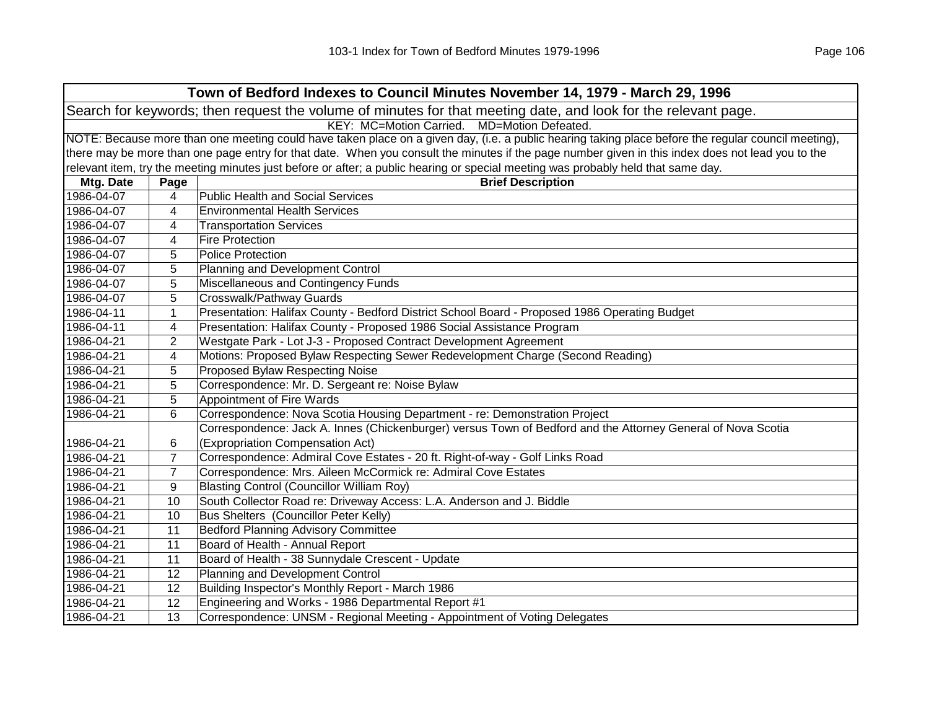| Town of Bedford Indexes to Council Minutes November 14, 1979 - March 29, 1996                                  |                                             |                                                                                                                                                     |  |  |
|----------------------------------------------------------------------------------------------------------------|---------------------------------------------|-----------------------------------------------------------------------------------------------------------------------------------------------------|--|--|
| Search for keywords; then request the volume of minutes for that meeting date, and look for the relevant page. |                                             |                                                                                                                                                     |  |  |
|                                                                                                                | KEY: MC=Motion Carried. MD=Motion Defeated. |                                                                                                                                                     |  |  |
|                                                                                                                |                                             | NOTE: Because more than one meeting could have taken place on a given day, (i.e. a public hearing taking place before the regular council meeting), |  |  |
|                                                                                                                |                                             | there may be more than one page entry for that date. When you consult the minutes if the page number given in this index does not lead you to the   |  |  |
|                                                                                                                |                                             | relevant item, try the meeting minutes just before or after; a public hearing or special meeting was probably held that same day.                   |  |  |
| Mtg. Date                                                                                                      | Page                                        | <b>Brief Description</b>                                                                                                                            |  |  |
| 1986-04-07                                                                                                     | 4                                           | <b>Public Health and Social Services</b>                                                                                                            |  |  |
| 1986-04-07                                                                                                     | 4                                           | <b>Environmental Health Services</b>                                                                                                                |  |  |
| 1986-04-07                                                                                                     | 4                                           | <b>Transportation Services</b>                                                                                                                      |  |  |
| 1986-04-07                                                                                                     | 4                                           | <b>Fire Protection</b>                                                                                                                              |  |  |
| 1986-04-07                                                                                                     | 5                                           | <b>Police Protection</b>                                                                                                                            |  |  |
| 1986-04-07                                                                                                     | 5                                           | Planning and Development Control                                                                                                                    |  |  |
| 1986-04-07                                                                                                     | 5                                           | Miscellaneous and Contingency Funds                                                                                                                 |  |  |
| 1986-04-07                                                                                                     | 5                                           | Crosswalk/Pathway Guards                                                                                                                            |  |  |
| 1986-04-11                                                                                                     | 1                                           | Presentation: Halifax County - Bedford District School Board - Proposed 1986 Operating Budget                                                       |  |  |
| 1986-04-11                                                                                                     | 4                                           | Presentation: Halifax County - Proposed 1986 Social Assistance Program                                                                              |  |  |
| 1986-04-21                                                                                                     | 2                                           | Westgate Park - Lot J-3 - Proposed Contract Development Agreement                                                                                   |  |  |
| 1986-04-21                                                                                                     | 4                                           | Motions: Proposed Bylaw Respecting Sewer Redevelopment Charge (Second Reading)                                                                      |  |  |
| 1986-04-21                                                                                                     | 5                                           | Proposed Bylaw Respecting Noise                                                                                                                     |  |  |
| 1986-04-21                                                                                                     | 5                                           | Correspondence: Mr. D. Sergeant re: Noise Bylaw                                                                                                     |  |  |
| 1986-04-21                                                                                                     | 5                                           | Appointment of Fire Wards                                                                                                                           |  |  |
| 1986-04-21                                                                                                     | 6                                           | Correspondence: Nova Scotia Housing Department - re: Demonstration Project                                                                          |  |  |
|                                                                                                                |                                             | Correspondence: Jack A. Innes (Chickenburger) versus Town of Bedford and the Attorney General of Nova Scotia                                        |  |  |
| 1986-04-21                                                                                                     | 6                                           | (Expropriation Compensation Act)                                                                                                                    |  |  |
| 1986-04-21                                                                                                     | $\overline{7}$                              | Correspondence: Admiral Cove Estates - 20 ft. Right-of-way - Golf Links Road                                                                        |  |  |
| 1986-04-21                                                                                                     | $\overline{7}$                              | Correspondence: Mrs. Aileen McCormick re: Admiral Cove Estates                                                                                      |  |  |
| 1986-04-21                                                                                                     | 9                                           | <b>Blasting Control (Councillor William Roy)</b>                                                                                                    |  |  |
| 1986-04-21                                                                                                     | 10                                          | South Collector Road re: Driveway Access: L.A. Anderson and J. Biddle                                                                               |  |  |
| 1986-04-21                                                                                                     | 10                                          | <b>Bus Shelters (Councillor Peter Kelly)</b>                                                                                                        |  |  |
| 1986-04-21                                                                                                     | 11                                          | <b>Bedford Planning Advisory Committee</b>                                                                                                          |  |  |
| 1986-04-21                                                                                                     | 11                                          | Board of Health - Annual Report                                                                                                                     |  |  |
| 1986-04-21                                                                                                     | 11                                          | Board of Health - 38 Sunnydale Crescent - Update                                                                                                    |  |  |
| 1986-04-21                                                                                                     | 12                                          | Planning and Development Control                                                                                                                    |  |  |
| 1986-04-21                                                                                                     | 12                                          | Building Inspector's Monthly Report - March 1986                                                                                                    |  |  |
| 1986-04-21                                                                                                     | 12                                          | Engineering and Works - 1986 Departmental Report #1                                                                                                 |  |  |
| 1986-04-21                                                                                                     | 13                                          | Correspondence: UNSM - Regional Meeting - Appointment of Voting Delegates                                                                           |  |  |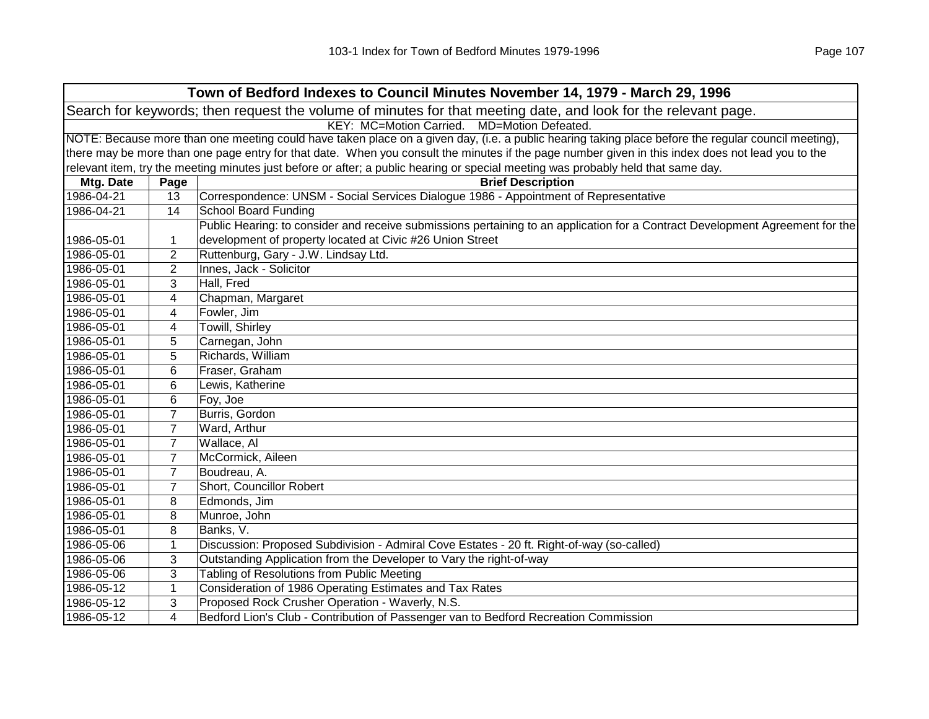|            |                | Town of Bedford Indexes to Council Minutes November 14, 1979 - March 29, 1996                                                                       |
|------------|----------------|-----------------------------------------------------------------------------------------------------------------------------------------------------|
|            |                | Search for keywords; then request the volume of minutes for that meeting date, and look for the relevant page.                                      |
|            |                | KEY: MC=Motion Carried. MD=Motion Defeated.                                                                                                         |
|            |                | NOTE: Because more than one meeting could have taken place on a given day, (i.e. a public hearing taking place before the regular council meeting), |
|            |                | there may be more than one page entry for that date. When you consult the minutes if the page number given in this index does not lead you to the   |
|            |                | relevant item, try the meeting minutes just before or after; a public hearing or special meeting was probably held that same day.                   |
| Mtg. Date  | Page           | <b>Brief Description</b>                                                                                                                            |
| 1986-04-21 | 13             | Correspondence: UNSM - Social Services Dialogue 1986 - Appointment of Representative                                                                |
| 1986-04-21 | 14             | <b>School Board Funding</b>                                                                                                                         |
|            |                | Public Hearing: to consider and receive submissions pertaining to an application for a Contract Development Agreement for the                       |
| 1986-05-01 | 1              | development of property located at Civic #26 Union Street                                                                                           |
| 1986-05-01 | 2              | Ruttenburg, Gary - J.W. Lindsay Ltd.                                                                                                                |
| 1986-05-01 | 2              | Innes, Jack - Solicitor                                                                                                                             |
| 1986-05-01 | 3              | Hall, Fred                                                                                                                                          |
| 1986-05-01 | 4              | Chapman, Margaret                                                                                                                                   |
| 1986-05-01 | 4              | Fowler, Jim                                                                                                                                         |
| 1986-05-01 | 4              | Towill, Shirley                                                                                                                                     |
| 1986-05-01 | 5              | Carnegan, John                                                                                                                                      |
| 1986-05-01 | 5              | Richards, William                                                                                                                                   |
| 1986-05-01 | 6              | Fraser, Graham                                                                                                                                      |
| 1986-05-01 | 6              | Lewis, Katherine                                                                                                                                    |
| 1986-05-01 | 6              | Foy, Joe                                                                                                                                            |
| 1986-05-01 | $\overline{7}$ | Burris, Gordon                                                                                                                                      |
| 1986-05-01 | $\overline{7}$ | Ward, Arthur                                                                                                                                        |
| 1986-05-01 | 7              | Wallace, Al                                                                                                                                         |
| 1986-05-01 | $\overline{7}$ | McCormick, Aileen                                                                                                                                   |
| 1986-05-01 | $\overline{7}$ | Boudreau, A.                                                                                                                                        |
| 1986-05-01 | $\overline{7}$ | Short, Councillor Robert                                                                                                                            |
| 1986-05-01 | 8              | Edmonds, Jim                                                                                                                                        |
| 1986-05-01 | 8              | Munroe, John                                                                                                                                        |
| 1986-05-01 | 8              | Banks, V.                                                                                                                                           |
| 1986-05-06 | 1              | Discussion: Proposed Subdivision - Admiral Cove Estates - 20 ft. Right-of-way (so-called)                                                           |
| 1986-05-06 | 3              | Outstanding Application from the Developer to Vary the right-of-way                                                                                 |
| 1986-05-06 | 3              | Tabling of Resolutions from Public Meeting                                                                                                          |
| 1986-05-12 | 1              | Consideration of 1986 Operating Estimates and Tax Rates                                                                                             |
| 1986-05-12 | 3              | Proposed Rock Crusher Operation - Waverly, N.S.                                                                                                     |
| 1986-05-12 | 4              | Bedford Lion's Club - Contribution of Passenger van to Bedford Recreation Commission                                                                |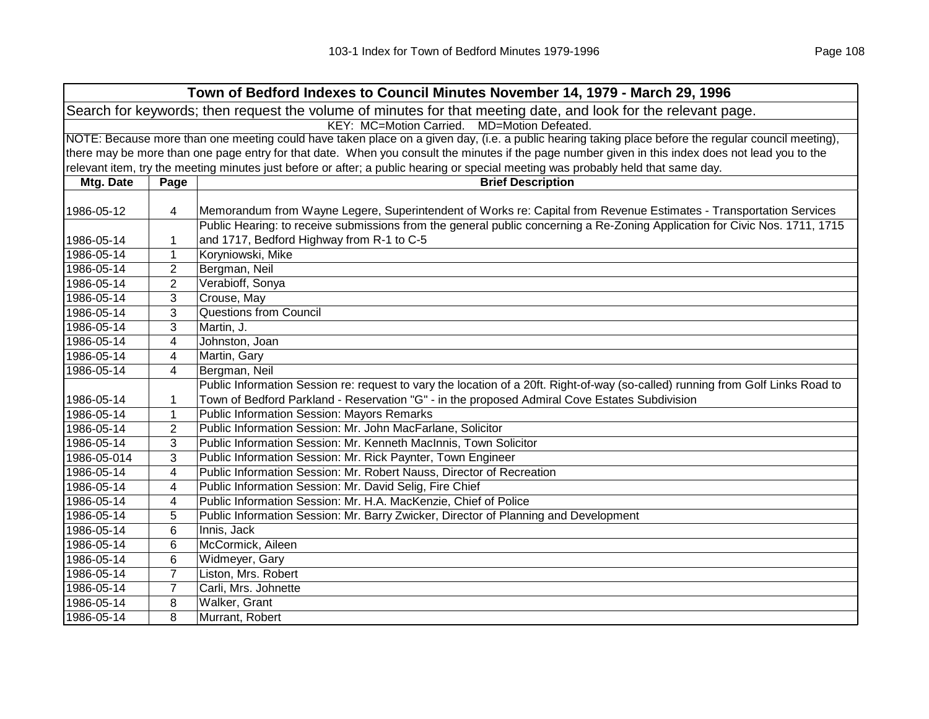| Town of Bedford Indexes to Council Minutes November 14, 1979 - March 29, 1996                                  |                                                                                                                                                     |                                                                                                                                                   |  |  |
|----------------------------------------------------------------------------------------------------------------|-----------------------------------------------------------------------------------------------------------------------------------------------------|---------------------------------------------------------------------------------------------------------------------------------------------------|--|--|
| Search for keywords; then request the volume of minutes for that meeting date, and look for the relevant page. |                                                                                                                                                     |                                                                                                                                                   |  |  |
| KEY: MC=Motion Carried. MD=Motion Defeated.                                                                    |                                                                                                                                                     |                                                                                                                                                   |  |  |
|                                                                                                                | NOTE: Because more than one meeting could have taken place on a given day, (i.e. a public hearing taking place before the regular council meeting), |                                                                                                                                                   |  |  |
|                                                                                                                |                                                                                                                                                     | there may be more than one page entry for that date. When you consult the minutes if the page number given in this index does not lead you to the |  |  |
|                                                                                                                |                                                                                                                                                     | relevant item, try the meeting minutes just before or after; a public hearing or special meeting was probably held that same day.                 |  |  |
| Mtg. Date                                                                                                      | Page                                                                                                                                                | <b>Brief Description</b>                                                                                                                          |  |  |
|                                                                                                                |                                                                                                                                                     |                                                                                                                                                   |  |  |
| 1986-05-12                                                                                                     | 4                                                                                                                                                   | Memorandum from Wayne Legere, Superintendent of Works re: Capital from Revenue Estimates - Transportation Services                                |  |  |
|                                                                                                                |                                                                                                                                                     | Public Hearing: to receive submissions from the general public concerning a Re-Zoning Application for Civic Nos. 1711, 1715                       |  |  |
| 1986-05-14                                                                                                     | 1                                                                                                                                                   | and 1717, Bedford Highway from R-1 to C-5                                                                                                         |  |  |
| 1986-05-14                                                                                                     | 1                                                                                                                                                   | Koryniowski, Mike                                                                                                                                 |  |  |
| 1986-05-14                                                                                                     | $\overline{c}$                                                                                                                                      | Bergman, Neil                                                                                                                                     |  |  |
| 1986-05-14                                                                                                     | 2                                                                                                                                                   | Verabioff, Sonya                                                                                                                                  |  |  |
| 1986-05-14                                                                                                     | 3                                                                                                                                                   | Crouse, May                                                                                                                                       |  |  |
| 1986-05-14                                                                                                     | 3                                                                                                                                                   | <b>Questions from Council</b>                                                                                                                     |  |  |
| 1986-05-14                                                                                                     | 3                                                                                                                                                   | Martin, J.                                                                                                                                        |  |  |
| 1986-05-14                                                                                                     | 4                                                                                                                                                   | Johnston, Joan                                                                                                                                    |  |  |
| 1986-05-14                                                                                                     | 4                                                                                                                                                   | Martin, Gary                                                                                                                                      |  |  |
| 1986-05-14                                                                                                     | 4                                                                                                                                                   | Bergman, Neil                                                                                                                                     |  |  |
|                                                                                                                |                                                                                                                                                     | Public Information Session re: request to vary the location of a 20ft. Right-of-way (so-called) running from Golf Links Road to                   |  |  |
| 1986-05-14                                                                                                     | 1                                                                                                                                                   | Town of Bedford Parkland - Reservation "G" - in the proposed Admiral Cove Estates Subdivision                                                     |  |  |
| 1986-05-14                                                                                                     | $\mathbf{1}$                                                                                                                                        | Public Information Session: Mayors Remarks                                                                                                        |  |  |
| 1986-05-14                                                                                                     | $\overline{c}$                                                                                                                                      | Public Information Session: Mr. John MacFarlane, Solicitor                                                                                        |  |  |
| 1986-05-14                                                                                                     | 3                                                                                                                                                   | Public Information Session: Mr. Kenneth MacInnis, Town Solicitor                                                                                  |  |  |
| 1986-05-014                                                                                                    | 3                                                                                                                                                   | Public Information Session: Mr. Rick Paynter, Town Engineer                                                                                       |  |  |
| 1986-05-14                                                                                                     | 4                                                                                                                                                   | Public Information Session: Mr. Robert Nauss, Director of Recreation                                                                              |  |  |
| 1986-05-14                                                                                                     | 4                                                                                                                                                   | Public Information Session: Mr. David Selig, Fire Chief                                                                                           |  |  |
| 1986-05-14                                                                                                     | 4                                                                                                                                                   | Public Information Session: Mr. H.A. MacKenzie, Chief of Police                                                                                   |  |  |
| 1986-05-14                                                                                                     | 5                                                                                                                                                   | Public Information Session: Mr. Barry Zwicker, Director of Planning and Development                                                               |  |  |
| 1986-05-14                                                                                                     | 6                                                                                                                                                   | Innis, Jack                                                                                                                                       |  |  |
| 1986-05-14                                                                                                     | 6                                                                                                                                                   | McCormick, Aileen                                                                                                                                 |  |  |
| 1986-05-14                                                                                                     | 6                                                                                                                                                   | Widmeyer, Gary                                                                                                                                    |  |  |
| 1986-05-14                                                                                                     | $\overline{7}$                                                                                                                                      | Liston, Mrs. Robert                                                                                                                               |  |  |
| 1986-05-14                                                                                                     | $\overline{7}$                                                                                                                                      | Carli, Mrs. Johnette                                                                                                                              |  |  |
| 1986-05-14                                                                                                     | 8                                                                                                                                                   | Walker, Grant                                                                                                                                     |  |  |
| 1986-05-14                                                                                                     | 8                                                                                                                                                   | Murrant, Robert                                                                                                                                   |  |  |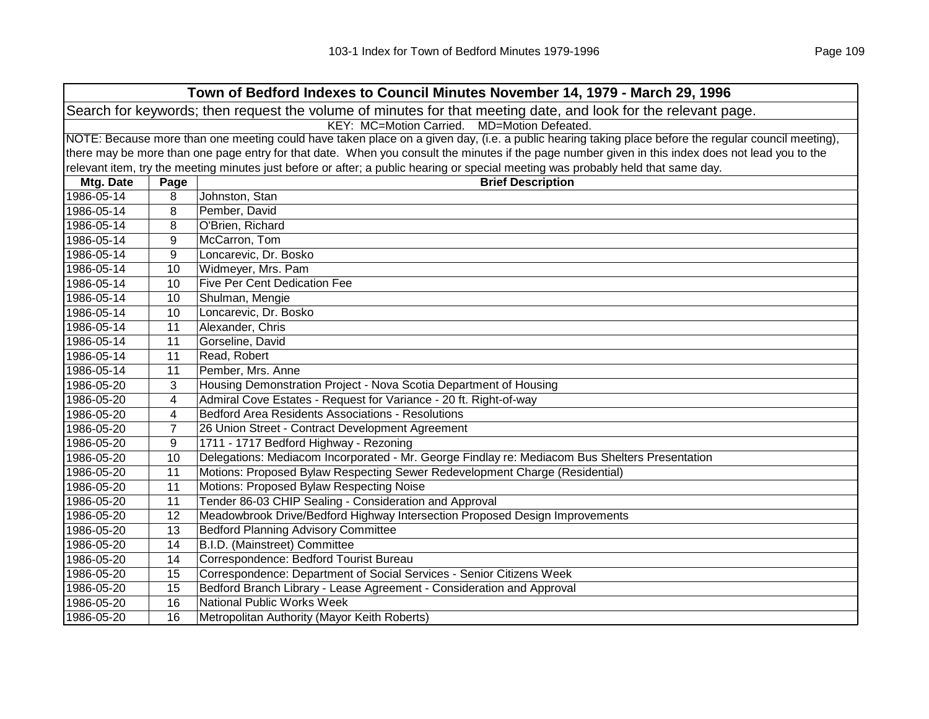| Town of Bedford Indexes to Council Minutes November 14, 1979 - March 29, 1996                                  |                                             |                                                                                                                                                     |  |  |
|----------------------------------------------------------------------------------------------------------------|---------------------------------------------|-----------------------------------------------------------------------------------------------------------------------------------------------------|--|--|
| Search for keywords; then request the volume of minutes for that meeting date, and look for the relevant page. |                                             |                                                                                                                                                     |  |  |
|                                                                                                                | KEY: MC=Motion Carried. MD=Motion Defeated. |                                                                                                                                                     |  |  |
|                                                                                                                |                                             | NOTE: Because more than one meeting could have taken place on a given day, (i.e. a public hearing taking place before the regular council meeting), |  |  |
|                                                                                                                |                                             | there may be more than one page entry for that date. When you consult the minutes if the page number given in this index does not lead you to the   |  |  |
|                                                                                                                |                                             | relevant item, try the meeting minutes just before or after; a public hearing or special meeting was probably held that same day.                   |  |  |
| Mtg. Date                                                                                                      | Page                                        | <b>Brief Description</b>                                                                                                                            |  |  |
| 1986-05-14                                                                                                     | 8                                           | Johnston, Stan                                                                                                                                      |  |  |
| 1986-05-14                                                                                                     | 8                                           | Pember, David                                                                                                                                       |  |  |
| 1986-05-14                                                                                                     | 8                                           | O'Brien, Richard                                                                                                                                    |  |  |
| 1986-05-14                                                                                                     | 9                                           | McCarron, Tom                                                                                                                                       |  |  |
| 1986-05-14                                                                                                     | 9                                           | Loncarevic, Dr. Bosko                                                                                                                               |  |  |
| 1986-05-14                                                                                                     | 10                                          | Widmeyer, Mrs. Pam                                                                                                                                  |  |  |
| 1986-05-14                                                                                                     | 10                                          | <b>Five Per Cent Dedication Fee</b>                                                                                                                 |  |  |
| 1986-05-14                                                                                                     | 10                                          | Shulman, Mengie                                                                                                                                     |  |  |
| 1986-05-14                                                                                                     | 10                                          | Loncarevic, Dr. Bosko                                                                                                                               |  |  |
| 1986-05-14                                                                                                     | 11                                          | Alexander, Chris                                                                                                                                    |  |  |
| 1986-05-14                                                                                                     | 11                                          | Gorseline, David                                                                                                                                    |  |  |
| 1986-05-14                                                                                                     | 11                                          | Read, Robert                                                                                                                                        |  |  |
| 1986-05-14                                                                                                     | 11                                          | Pember, Mrs. Anne                                                                                                                                   |  |  |
| 1986-05-20                                                                                                     | 3                                           | Housing Demonstration Project - Nova Scotia Department of Housing                                                                                   |  |  |
| 1986-05-20                                                                                                     | 4                                           | Admiral Cove Estates - Request for Variance - 20 ft. Right-of-way                                                                                   |  |  |
| 1986-05-20                                                                                                     | 4                                           | Bedford Area Residents Associations - Resolutions                                                                                                   |  |  |
| 1986-05-20                                                                                                     | $\overline{7}$                              | 26 Union Street - Contract Development Agreement                                                                                                    |  |  |
| 1986-05-20                                                                                                     | 9                                           | 1711 - 1717 Bedford Highway - Rezoning                                                                                                              |  |  |
| 1986-05-20                                                                                                     | 10                                          | Delegations: Mediacom Incorporated - Mr. George Findlay re: Mediacom Bus Shelters Presentation                                                      |  |  |
| 1986-05-20                                                                                                     | 11                                          | Motions: Proposed Bylaw Respecting Sewer Redevelopment Charge (Residential)                                                                         |  |  |
| 1986-05-20                                                                                                     | 11                                          | Motions: Proposed Bylaw Respecting Noise                                                                                                            |  |  |
| 1986-05-20                                                                                                     | 11                                          | Tender 86-03 CHIP Sealing - Consideration and Approval                                                                                              |  |  |
| 1986-05-20                                                                                                     | $\overline{12}$                             | Meadowbrook Drive/Bedford Highway Intersection Proposed Design Improvements                                                                         |  |  |
| 1986-05-20                                                                                                     | 13                                          | <b>Bedford Planning Advisory Committee</b>                                                                                                          |  |  |
| 1986-05-20                                                                                                     | 14                                          | B.I.D. (Mainstreet) Committee                                                                                                                       |  |  |
| 1986-05-20                                                                                                     | 14                                          | Correspondence: Bedford Tourist Bureau                                                                                                              |  |  |
| 1986-05-20                                                                                                     | 15                                          | Correspondence: Department of Social Services - Senior Citizens Week                                                                                |  |  |
| 1986-05-20                                                                                                     | 15                                          | Bedford Branch Library - Lease Agreement - Consideration and Approval                                                                               |  |  |
| 1986-05-20                                                                                                     | 16                                          | National Public Works Week                                                                                                                          |  |  |
| 1986-05-20                                                                                                     | 16                                          | Metropolitan Authority (Mayor Keith Roberts)                                                                                                        |  |  |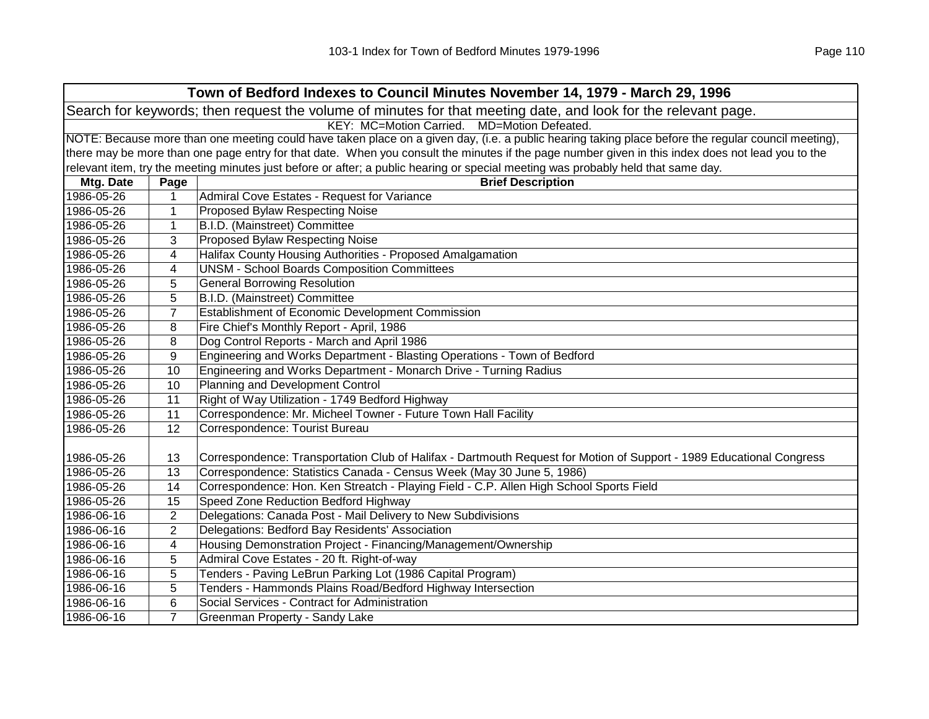| Town of Bedford Indexes to Council Minutes November 14, 1979 - March 29, 1996                                  |                                             |                                                                                                                                                     |  |  |
|----------------------------------------------------------------------------------------------------------------|---------------------------------------------|-----------------------------------------------------------------------------------------------------------------------------------------------------|--|--|
| Search for keywords; then request the volume of minutes for that meeting date, and look for the relevant page. |                                             |                                                                                                                                                     |  |  |
|                                                                                                                | KEY: MC=Motion Carried. MD=Motion Defeated. |                                                                                                                                                     |  |  |
|                                                                                                                |                                             | NOTE: Because more than one meeting could have taken place on a given day, (i.e. a public hearing taking place before the regular council meeting), |  |  |
|                                                                                                                |                                             | there may be more than one page entry for that date. When you consult the minutes if the page number given in this index does not lead you to the   |  |  |
|                                                                                                                |                                             | relevant item, try the meeting minutes just before or after; a public hearing or special meeting was probably held that same day.                   |  |  |
| Mtg. Date                                                                                                      | Page                                        | <b>Brief Description</b>                                                                                                                            |  |  |
| 1986-05-26                                                                                                     | 1                                           | Admiral Cove Estates - Request for Variance                                                                                                         |  |  |
| 1986-05-26                                                                                                     | 1                                           | <b>Proposed Bylaw Respecting Noise</b>                                                                                                              |  |  |
| 1986-05-26                                                                                                     | $\mathbf{1}$                                | B.I.D. (Mainstreet) Committee                                                                                                                       |  |  |
| 1986-05-26                                                                                                     | 3                                           | <b>Proposed Bylaw Respecting Noise</b>                                                                                                              |  |  |
| 1986-05-26                                                                                                     | 4                                           | Halifax County Housing Authorities - Proposed Amalgamation                                                                                          |  |  |
| 1986-05-26                                                                                                     | 4                                           | <b>UNSM - School Boards Composition Committees</b>                                                                                                  |  |  |
| 1986-05-26                                                                                                     | 5                                           | <b>General Borrowing Resolution</b>                                                                                                                 |  |  |
| 1986-05-26                                                                                                     | 5                                           | B.I.D. (Mainstreet) Committee                                                                                                                       |  |  |
| 1986-05-26                                                                                                     | $\overline{7}$                              | Establishment of Economic Development Commission                                                                                                    |  |  |
| 1986-05-26                                                                                                     | 8                                           | Fire Chief's Monthly Report - April, 1986                                                                                                           |  |  |
| 1986-05-26                                                                                                     | 8                                           | Dog Control Reports - March and April 1986                                                                                                          |  |  |
| 1986-05-26                                                                                                     | 9                                           | Engineering and Works Department - Blasting Operations - Town of Bedford                                                                            |  |  |
| 1986-05-26                                                                                                     | 10                                          | Engineering and Works Department - Monarch Drive - Turning Radius                                                                                   |  |  |
| 1986-05-26                                                                                                     | 10                                          | Planning and Development Control                                                                                                                    |  |  |
| 1986-05-26                                                                                                     | 11                                          | Right of Way Utilization - 1749 Bedford Highway                                                                                                     |  |  |
| 1986-05-26                                                                                                     | 11                                          | Correspondence: Mr. Micheel Towner - Future Town Hall Facility                                                                                      |  |  |
| 1986-05-26                                                                                                     | 12                                          | Correspondence: Tourist Bureau                                                                                                                      |  |  |
|                                                                                                                |                                             |                                                                                                                                                     |  |  |
| 1986-05-26                                                                                                     | 13                                          | Correspondence: Transportation Club of Halifax - Dartmouth Request for Motion of Support - 1989 Educational Congress                                |  |  |
| 1986-05-26                                                                                                     | 13                                          | Correspondence: Statistics Canada - Census Week (May 30 June 5, 1986)                                                                               |  |  |
| 1986-05-26                                                                                                     | 14                                          | Correspondence: Hon. Ken Streatch - Playing Field - C.P. Allen High School Sports Field                                                             |  |  |
| 1986-05-26                                                                                                     | 15                                          | Speed Zone Reduction Bedford Highway                                                                                                                |  |  |
| 1986-06-16                                                                                                     | $\overline{2}$                              | Delegations: Canada Post - Mail Delivery to New Subdivisions                                                                                        |  |  |
| 1986-06-16                                                                                                     | $\overline{2}$                              | Delegations: Bedford Bay Residents' Association                                                                                                     |  |  |
| 1986-06-16                                                                                                     | 4                                           | Housing Demonstration Project - Financing/Management/Ownership                                                                                      |  |  |
| 1986-06-16                                                                                                     | 5                                           | Admiral Cove Estates - 20 ft. Right-of-way                                                                                                          |  |  |
| 1986-06-16                                                                                                     | 5                                           | Tenders - Paving LeBrun Parking Lot (1986 Capital Program)                                                                                          |  |  |
| 1986-06-16                                                                                                     | 5                                           | Tenders - Hammonds Plains Road/Bedford Highway Intersection                                                                                         |  |  |
| 1986-06-16                                                                                                     | 6                                           | Social Services - Contract for Administration                                                                                                       |  |  |
| 1986-06-16                                                                                                     | $\overline{7}$                              | Greenman Property - Sandy Lake                                                                                                                      |  |  |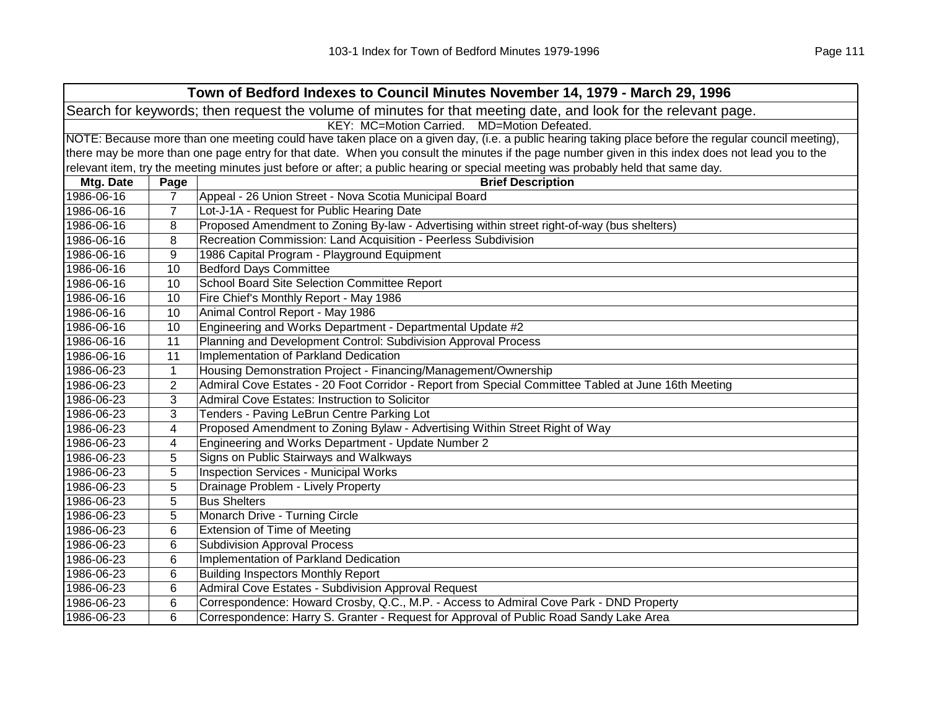|            | Town of Bedford Indexes to Council Minutes November 14, 1979 - March 29, 1996                                                                       |                                                                                                                                                   |  |  |
|------------|-----------------------------------------------------------------------------------------------------------------------------------------------------|---------------------------------------------------------------------------------------------------------------------------------------------------|--|--|
|            | Search for keywords; then request the volume of minutes for that meeting date, and look for the relevant page.                                      |                                                                                                                                                   |  |  |
|            | KEY: MC=Motion Carried. MD=Motion Defeated.                                                                                                         |                                                                                                                                                   |  |  |
|            | NOTE: Because more than one meeting could have taken place on a given day, (i.e. a public hearing taking place before the regular council meeting), |                                                                                                                                                   |  |  |
|            |                                                                                                                                                     | there may be more than one page entry for that date. When you consult the minutes if the page number given in this index does not lead you to the |  |  |
|            |                                                                                                                                                     | relevant item, try the meeting minutes just before or after; a public hearing or special meeting was probably held that same day.                 |  |  |
| Mtg. Date  | Page                                                                                                                                                | <b>Brief Description</b>                                                                                                                          |  |  |
| 1986-06-16 | $\overline{7}$                                                                                                                                      | Appeal - 26 Union Street - Nova Scotia Municipal Board                                                                                            |  |  |
| 1986-06-16 | 7                                                                                                                                                   | Lot-J-1A - Request for Public Hearing Date                                                                                                        |  |  |
| 1986-06-16 | 8                                                                                                                                                   | Proposed Amendment to Zoning By-law - Advertising within street right-of-way (bus shelters)                                                       |  |  |
| 1986-06-16 | 8                                                                                                                                                   | Recreation Commission: Land Acquisition - Peerless Subdivision                                                                                    |  |  |
| 1986-06-16 | 9                                                                                                                                                   | 1986 Capital Program - Playground Equipment                                                                                                       |  |  |
| 1986-06-16 | 10                                                                                                                                                  | <b>Bedford Days Committee</b>                                                                                                                     |  |  |
| 1986-06-16 | 10                                                                                                                                                  | School Board Site Selection Committee Report                                                                                                      |  |  |
| 1986-06-16 | 10                                                                                                                                                  | Fire Chief's Monthly Report - May 1986                                                                                                            |  |  |
| 1986-06-16 | 10                                                                                                                                                  | Animal Control Report - May 1986                                                                                                                  |  |  |
| 1986-06-16 | 10                                                                                                                                                  | Engineering and Works Department - Departmental Update #2                                                                                         |  |  |
| 1986-06-16 | 11                                                                                                                                                  | Planning and Development Control: Subdivision Approval Process                                                                                    |  |  |
| 1986-06-16 | 11                                                                                                                                                  | Implementation of Parkland Dedication                                                                                                             |  |  |
| 1986-06-23 | 1                                                                                                                                                   | Housing Demonstration Project - Financing/Management/Ownership                                                                                    |  |  |
| 1986-06-23 | 2                                                                                                                                                   | Admiral Cove Estates - 20 Foot Corridor - Report from Special Committee Tabled at June 16th Meeting                                               |  |  |
| 1986-06-23 | 3                                                                                                                                                   | Admiral Cove Estates: Instruction to Solicitor                                                                                                    |  |  |
| 1986-06-23 | 3                                                                                                                                                   | Tenders - Paving LeBrun Centre Parking Lot                                                                                                        |  |  |
| 1986-06-23 | 4                                                                                                                                                   | Proposed Amendment to Zoning Bylaw - Advertising Within Street Right of Way                                                                       |  |  |
| 1986-06-23 | 4                                                                                                                                                   | Engineering and Works Department - Update Number 2                                                                                                |  |  |
| 1986-06-23 | 5                                                                                                                                                   | Signs on Public Stairways and Walkways                                                                                                            |  |  |
| 1986-06-23 | 5                                                                                                                                                   | <b>Inspection Services - Municipal Works</b>                                                                                                      |  |  |
| 1986-06-23 | 5                                                                                                                                                   | Drainage Problem - Lively Property                                                                                                                |  |  |
| 1986-06-23 | 5                                                                                                                                                   | <b>Bus Shelters</b>                                                                                                                               |  |  |
| 1986-06-23 | 5                                                                                                                                                   | Monarch Drive - Turning Circle                                                                                                                    |  |  |
| 1986-06-23 | 6                                                                                                                                                   | <b>Extension of Time of Meeting</b>                                                                                                               |  |  |
| 1986-06-23 | 6                                                                                                                                                   | <b>Subdivision Approval Process</b>                                                                                                               |  |  |
| 1986-06-23 | 6                                                                                                                                                   | Implementation of Parkland Dedication                                                                                                             |  |  |
| 1986-06-23 | 6                                                                                                                                                   | <b>Building Inspectors Monthly Report</b>                                                                                                         |  |  |
| 1986-06-23 | 6                                                                                                                                                   | Admiral Cove Estates - Subdivision Approval Request                                                                                               |  |  |
| 1986-06-23 | 6                                                                                                                                                   | Correspondence: Howard Crosby, Q.C., M.P. - Access to Admiral Cove Park - DND Property                                                            |  |  |
| 1986-06-23 | 6                                                                                                                                                   | Correspondence: Harry S. Granter - Request for Approval of Public Road Sandy Lake Area                                                            |  |  |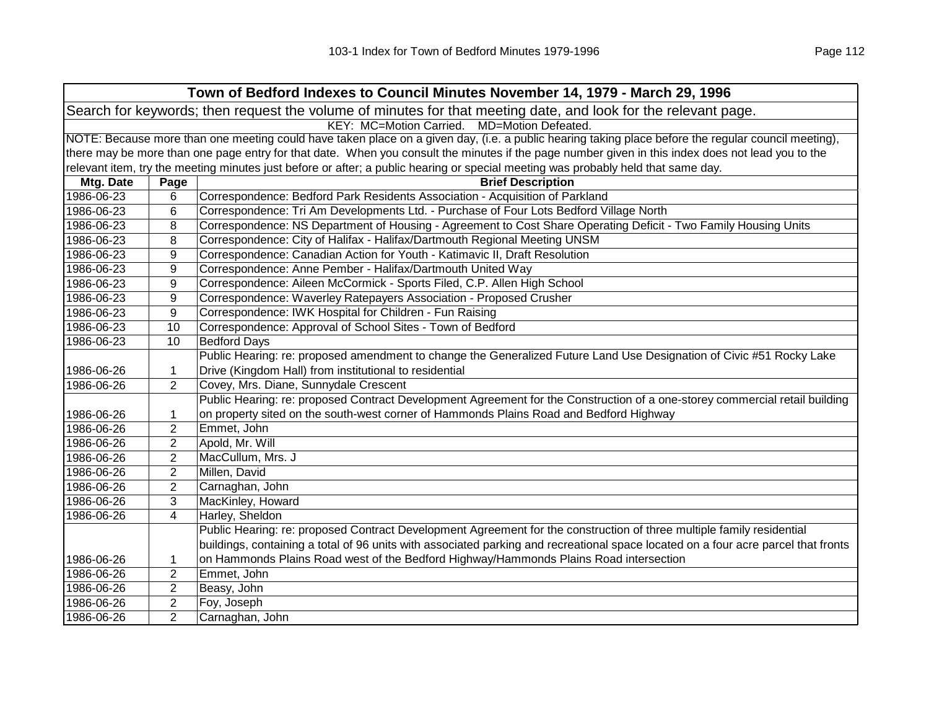|            | Town of Bedford Indexes to Council Minutes November 14, 1979 - March 29, 1996                                                                       |                                                                                                                                                   |  |
|------------|-----------------------------------------------------------------------------------------------------------------------------------------------------|---------------------------------------------------------------------------------------------------------------------------------------------------|--|
|            | Search for keywords; then request the volume of minutes for that meeting date, and look for the relevant page.                                      |                                                                                                                                                   |  |
|            | KEY: MC=Motion Carried. MD=Motion Defeated.                                                                                                         |                                                                                                                                                   |  |
|            | NOTE: Because more than one meeting could have taken place on a given day, (i.e. a public hearing taking place before the regular council meeting), |                                                                                                                                                   |  |
|            |                                                                                                                                                     | there may be more than one page entry for that date. When you consult the minutes if the page number given in this index does not lead you to the |  |
|            |                                                                                                                                                     | relevant item, try the meeting minutes just before or after; a public hearing or special meeting was probably held that same day.                 |  |
| Mtg. Date  | Page                                                                                                                                                | <b>Brief Description</b>                                                                                                                          |  |
| 1986-06-23 | 6                                                                                                                                                   | Correspondence: Bedford Park Residents Association - Acquisition of Parkland                                                                      |  |
| 1986-06-23 | 6                                                                                                                                                   | Correspondence: Tri Am Developments Ltd. - Purchase of Four Lots Bedford Village North                                                            |  |
| 1986-06-23 | 8                                                                                                                                                   | Correspondence: NS Department of Housing - Agreement to Cost Share Operating Deficit - Two Family Housing Units                                   |  |
| 1986-06-23 | 8                                                                                                                                                   | Correspondence: City of Halifax - Halifax/Dartmouth Regional Meeting UNSM                                                                         |  |
| 1986-06-23 | 9                                                                                                                                                   | Correspondence: Canadian Action for Youth - Katimavic II, Draft Resolution                                                                        |  |
| 1986-06-23 | 9                                                                                                                                                   | Correspondence: Anne Pember - Halifax/Dartmouth United Way                                                                                        |  |
| 1986-06-23 | 9                                                                                                                                                   | Correspondence: Aileen McCormick - Sports Filed, C.P. Allen High School                                                                           |  |
| 1986-06-23 | 9                                                                                                                                                   | Correspondence: Waverley Ratepayers Association - Proposed Crusher                                                                                |  |
| 1986-06-23 | 9                                                                                                                                                   | Correspondence: IWK Hospital for Children - Fun Raising                                                                                           |  |
| 1986-06-23 | 10                                                                                                                                                  | Correspondence: Approval of School Sites - Town of Bedford                                                                                        |  |
| 1986-06-23 | 10                                                                                                                                                  | <b>Bedford Days</b>                                                                                                                               |  |
|            |                                                                                                                                                     | Public Hearing: re: proposed amendment to change the Generalized Future Land Use Designation of Civic #51 Rocky Lake                              |  |
| 1986-06-26 | 1                                                                                                                                                   | Drive (Kingdom Hall) from institutional to residential                                                                                            |  |
| 1986-06-26 | $\overline{2}$                                                                                                                                      | Covey, Mrs. Diane, Sunnydale Crescent                                                                                                             |  |
|            |                                                                                                                                                     | Public Hearing: re: proposed Contract Development Agreement for the Construction of a one-storey commercial retail building                       |  |
| 1986-06-26 | 1                                                                                                                                                   | on property sited on the south-west corner of Hammonds Plains Road and Bedford Highway                                                            |  |
| 1986-06-26 | $\overline{2}$                                                                                                                                      | Emmet, John                                                                                                                                       |  |
| 1986-06-26 | $\overline{2}$                                                                                                                                      | Apold, Mr. Will                                                                                                                                   |  |
| 1986-06-26 | 2                                                                                                                                                   | MacCullum, Mrs. J                                                                                                                                 |  |
| 1986-06-26 | 2                                                                                                                                                   | Millen, David                                                                                                                                     |  |
| 1986-06-26 | 2                                                                                                                                                   | Carnaghan, John                                                                                                                                   |  |
| 1986-06-26 | 3                                                                                                                                                   | MacKinley, Howard                                                                                                                                 |  |
| 1986-06-26 | 4                                                                                                                                                   | Harley, Sheldon                                                                                                                                   |  |
|            |                                                                                                                                                     | Public Hearing: re: proposed Contract Development Agreement for the construction of three multiple family residential                             |  |
|            |                                                                                                                                                     | buildings, containing a total of 96 units with associated parking and recreational space located on a four acre parcel that fronts                |  |
| 1986-06-26 | 1                                                                                                                                                   | on Hammonds Plains Road west of the Bedford Highway/Hammonds Plains Road intersection                                                             |  |
| 1986-06-26 | $\overline{2}$                                                                                                                                      | Emmet, John                                                                                                                                       |  |
| 1986-06-26 | $\overline{2}$                                                                                                                                      | Beasy, John                                                                                                                                       |  |
| 1986-06-26 | $\overline{2}$                                                                                                                                      | Foy, Joseph                                                                                                                                       |  |
| 1986-06-26 | $\overline{2}$                                                                                                                                      | Carnaghan, John                                                                                                                                   |  |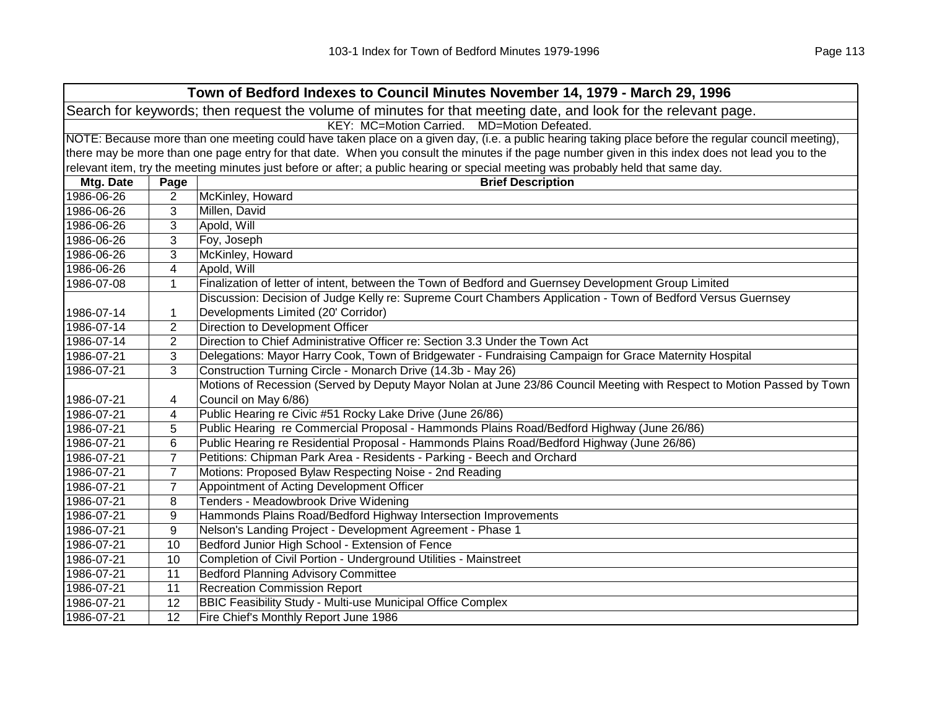| Town of Bedford Indexes to Council Minutes November 14, 1979 - March 29, 1996                                  |                                                                                                                                                     |                                                                                                                                                   |  |  |
|----------------------------------------------------------------------------------------------------------------|-----------------------------------------------------------------------------------------------------------------------------------------------------|---------------------------------------------------------------------------------------------------------------------------------------------------|--|--|
| Search for keywords; then request the volume of minutes for that meeting date, and look for the relevant page. |                                                                                                                                                     |                                                                                                                                                   |  |  |
|                                                                                                                | KEY: MC=Motion Carried. MD=Motion Defeated.                                                                                                         |                                                                                                                                                   |  |  |
|                                                                                                                | NOTE: Because more than one meeting could have taken place on a given day, (i.e. a public hearing taking place before the regular council meeting), |                                                                                                                                                   |  |  |
|                                                                                                                |                                                                                                                                                     | there may be more than one page entry for that date. When you consult the minutes if the page number given in this index does not lead you to the |  |  |
|                                                                                                                |                                                                                                                                                     | relevant item, try the meeting minutes just before or after; a public hearing or special meeting was probably held that same day.                 |  |  |
| Mtg. Date                                                                                                      | Page                                                                                                                                                | <b>Brief Description</b>                                                                                                                          |  |  |
| 1986-06-26                                                                                                     | 2                                                                                                                                                   | McKinley, Howard                                                                                                                                  |  |  |
| 1986-06-26                                                                                                     | 3                                                                                                                                                   | Millen, David                                                                                                                                     |  |  |
| 1986-06-26                                                                                                     | 3                                                                                                                                                   | Apold, Will                                                                                                                                       |  |  |
| 1986-06-26                                                                                                     | 3                                                                                                                                                   | Foy, Joseph                                                                                                                                       |  |  |
| 1986-06-26                                                                                                     | 3                                                                                                                                                   | McKinley, Howard                                                                                                                                  |  |  |
| 1986-06-26                                                                                                     | 4                                                                                                                                                   | Apold, Will                                                                                                                                       |  |  |
| 1986-07-08                                                                                                     | 1                                                                                                                                                   | Finalization of letter of intent, between the Town of Bedford and Guernsey Development Group Limited                                              |  |  |
|                                                                                                                |                                                                                                                                                     | Discussion: Decision of Judge Kelly re: Supreme Court Chambers Application - Town of Bedford Versus Guernsey                                      |  |  |
| 1986-07-14                                                                                                     | 1                                                                                                                                                   | Developments Limited (20' Corridor)                                                                                                               |  |  |
| 1986-07-14                                                                                                     | $\overline{2}$                                                                                                                                      | Direction to Development Officer                                                                                                                  |  |  |
| 1986-07-14                                                                                                     | $\overline{2}$                                                                                                                                      | Direction to Chief Administrative Officer re: Section 3.3 Under the Town Act                                                                      |  |  |
| 1986-07-21                                                                                                     | 3                                                                                                                                                   | Delegations: Mayor Harry Cook, Town of Bridgewater - Fundraising Campaign for Grace Maternity Hospital                                            |  |  |
| 1986-07-21                                                                                                     | 3                                                                                                                                                   | Construction Turning Circle - Monarch Drive (14.3b - May 26)                                                                                      |  |  |
|                                                                                                                |                                                                                                                                                     | Motions of Recession (Served by Deputy Mayor Nolan at June 23/86 Council Meeting with Respect to Motion Passed by Town                            |  |  |
| 1986-07-21                                                                                                     | 4                                                                                                                                                   | Council on May 6/86)                                                                                                                              |  |  |
| 1986-07-21                                                                                                     | 4                                                                                                                                                   | Public Hearing re Civic #51 Rocky Lake Drive (June 26/86)                                                                                         |  |  |
| 1986-07-21                                                                                                     | 5                                                                                                                                                   | Public Hearing re Commercial Proposal - Hammonds Plains Road/Bedford Highway (June 26/86)                                                         |  |  |
| 1986-07-21                                                                                                     | 6                                                                                                                                                   | Public Hearing re Residential Proposal - Hammonds Plains Road/Bedford Highway (June 26/86)                                                        |  |  |
| 1986-07-21                                                                                                     | $\overline{7}$                                                                                                                                      | Petitions: Chipman Park Area - Residents - Parking - Beech and Orchard                                                                            |  |  |
| 1986-07-21                                                                                                     | $\overline{7}$                                                                                                                                      | Motions: Proposed Bylaw Respecting Noise - 2nd Reading                                                                                            |  |  |
| 1986-07-21                                                                                                     | $\overline{7}$                                                                                                                                      | Appointment of Acting Development Officer                                                                                                         |  |  |
| 1986-07-21                                                                                                     | 8                                                                                                                                                   | Tenders - Meadowbrook Drive Widening                                                                                                              |  |  |
| 1986-07-21                                                                                                     | 9                                                                                                                                                   | Hammonds Plains Road/Bedford Highway Intersection Improvements                                                                                    |  |  |
| 1986-07-21                                                                                                     | 9                                                                                                                                                   | Nelson's Landing Project - Development Agreement - Phase 1                                                                                        |  |  |
| 1986-07-21                                                                                                     | 10                                                                                                                                                  | Bedford Junior High School - Extension of Fence                                                                                                   |  |  |
| 1986-07-21                                                                                                     | 10                                                                                                                                                  | Completion of Civil Portion - Underground Utilities - Mainstreet                                                                                  |  |  |
| 1986-07-21                                                                                                     | 11                                                                                                                                                  | <b>Bedford Planning Advisory Committee</b>                                                                                                        |  |  |
| 1986-07-21                                                                                                     | 11                                                                                                                                                  | <b>Recreation Commission Report</b>                                                                                                               |  |  |
| 1986-07-21                                                                                                     | 12                                                                                                                                                  | <b>BBIC Feasibility Study - Multi-use Municipal Office Complex</b>                                                                                |  |  |
| 1986-07-21                                                                                                     | 12                                                                                                                                                  | Fire Chief's Monthly Report June 1986                                                                                                             |  |  |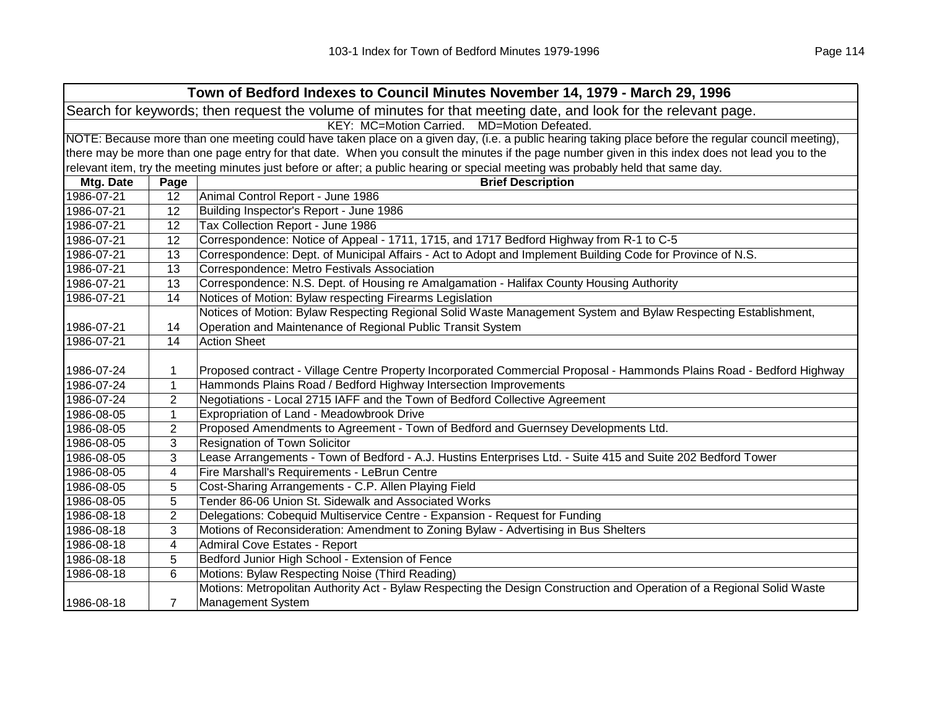|                                                                                                                | Town of Bedford Indexes to Council Minutes November 14, 1979 - March 29, 1996                                                                       |                                                                                                                                                   |  |  |
|----------------------------------------------------------------------------------------------------------------|-----------------------------------------------------------------------------------------------------------------------------------------------------|---------------------------------------------------------------------------------------------------------------------------------------------------|--|--|
| Search for keywords; then request the volume of minutes for that meeting date, and look for the relevant page. |                                                                                                                                                     |                                                                                                                                                   |  |  |
| KEY: MC=Motion Carried. MD=Motion Defeated.                                                                    |                                                                                                                                                     |                                                                                                                                                   |  |  |
|                                                                                                                | NOTE: Because more than one meeting could have taken place on a given day, (i.e. a public hearing taking place before the regular council meeting), |                                                                                                                                                   |  |  |
|                                                                                                                |                                                                                                                                                     | there may be more than one page entry for that date. When you consult the minutes if the page number given in this index does not lead you to the |  |  |
|                                                                                                                |                                                                                                                                                     | relevant item, try the meeting minutes just before or after; a public hearing or special meeting was probably held that same day.                 |  |  |
| Mtg. Date                                                                                                      | Page                                                                                                                                                | <b>Brief Description</b>                                                                                                                          |  |  |
| 1986-07-21                                                                                                     | 12                                                                                                                                                  | Animal Control Report - June 1986                                                                                                                 |  |  |
| 1986-07-21                                                                                                     | 12                                                                                                                                                  | Building Inspector's Report - June 1986                                                                                                           |  |  |
| 1986-07-21                                                                                                     | 12                                                                                                                                                  | Tax Collection Report - June 1986                                                                                                                 |  |  |
| 1986-07-21                                                                                                     | 12                                                                                                                                                  | Correspondence: Notice of Appeal - 1711, 1715, and 1717 Bedford Highway from R-1 to C-5                                                           |  |  |
| 1986-07-21                                                                                                     | 13                                                                                                                                                  | Correspondence: Dept. of Municipal Affairs - Act to Adopt and Implement Building Code for Province of N.S.                                        |  |  |
| 1986-07-21                                                                                                     | 13                                                                                                                                                  | Correspondence: Metro Festivals Association                                                                                                       |  |  |
| 1986-07-21                                                                                                     | 13                                                                                                                                                  | Correspondence: N.S. Dept. of Housing re Amalgamation - Halifax County Housing Authority                                                          |  |  |
| 1986-07-21                                                                                                     | 14                                                                                                                                                  | Notices of Motion: Bylaw respecting Firearms Legislation                                                                                          |  |  |
|                                                                                                                |                                                                                                                                                     | Notices of Motion: Bylaw Respecting Regional Solid Waste Management System and Bylaw Respecting Establishment,                                    |  |  |
| 1986-07-21                                                                                                     | 14                                                                                                                                                  | Operation and Maintenance of Regional Public Transit System                                                                                       |  |  |
| 1986-07-21                                                                                                     | 14                                                                                                                                                  | <b>Action Sheet</b>                                                                                                                               |  |  |
|                                                                                                                |                                                                                                                                                     |                                                                                                                                                   |  |  |
| 1986-07-24                                                                                                     | $\mathbf{1}$                                                                                                                                        | Proposed contract - Village Centre Property Incorporated Commercial Proposal - Hammonds Plains Road - Bedford Highway                             |  |  |
| 1986-07-24                                                                                                     | $\mathbf{1}$                                                                                                                                        | Hammonds Plains Road / Bedford Highway Intersection Improvements                                                                                  |  |  |
| 1986-07-24                                                                                                     | 2                                                                                                                                                   | Negotiations - Local 2715 IAFF and the Town of Bedford Collective Agreement                                                                       |  |  |
| 1986-08-05                                                                                                     | 1                                                                                                                                                   | Expropriation of Land - Meadowbrook Drive                                                                                                         |  |  |
| 1986-08-05                                                                                                     | $\overline{2}$                                                                                                                                      | Proposed Amendments to Agreement - Town of Bedford and Guernsey Developments Ltd.                                                                 |  |  |
| 1986-08-05                                                                                                     | 3                                                                                                                                                   | <b>Resignation of Town Solicitor</b>                                                                                                              |  |  |
| 1986-08-05                                                                                                     | 3                                                                                                                                                   | Lease Arrangements - Town of Bedford - A.J. Hustins Enterprises Ltd. - Suite 415 and Suite 202 Bedford Tower                                      |  |  |
| 1986-08-05                                                                                                     | 4                                                                                                                                                   | Fire Marshall's Requirements - LeBrun Centre                                                                                                      |  |  |
| 1986-08-05                                                                                                     | 5                                                                                                                                                   | Cost-Sharing Arrangements - C.P. Allen Playing Field                                                                                              |  |  |
| 1986-08-05                                                                                                     | 5                                                                                                                                                   | Tender 86-06 Union St. Sidewalk and Associated Works                                                                                              |  |  |
| 1986-08-18                                                                                                     | $\overline{2}$                                                                                                                                      | Delegations: Cobequid Multiservice Centre - Expansion - Request for Funding                                                                       |  |  |
| 1986-08-18                                                                                                     | 3                                                                                                                                                   | Motions of Reconsideration: Amendment to Zoning Bylaw - Advertising in Bus Shelters                                                               |  |  |
| 1986-08-18                                                                                                     | 4                                                                                                                                                   | Admiral Cove Estates - Report                                                                                                                     |  |  |
| 1986-08-18                                                                                                     | 5                                                                                                                                                   | Bedford Junior High School - Extension of Fence                                                                                                   |  |  |
| 1986-08-18                                                                                                     | 6                                                                                                                                                   | Motions: Bylaw Respecting Noise (Third Reading)                                                                                                   |  |  |
|                                                                                                                |                                                                                                                                                     | Motions: Metropolitan Authority Act - Bylaw Respecting the Design Construction and Operation of a Regional Solid Waste                            |  |  |
| 1986-08-18                                                                                                     | $\overline{7}$                                                                                                                                      | <b>Management System</b>                                                                                                                          |  |  |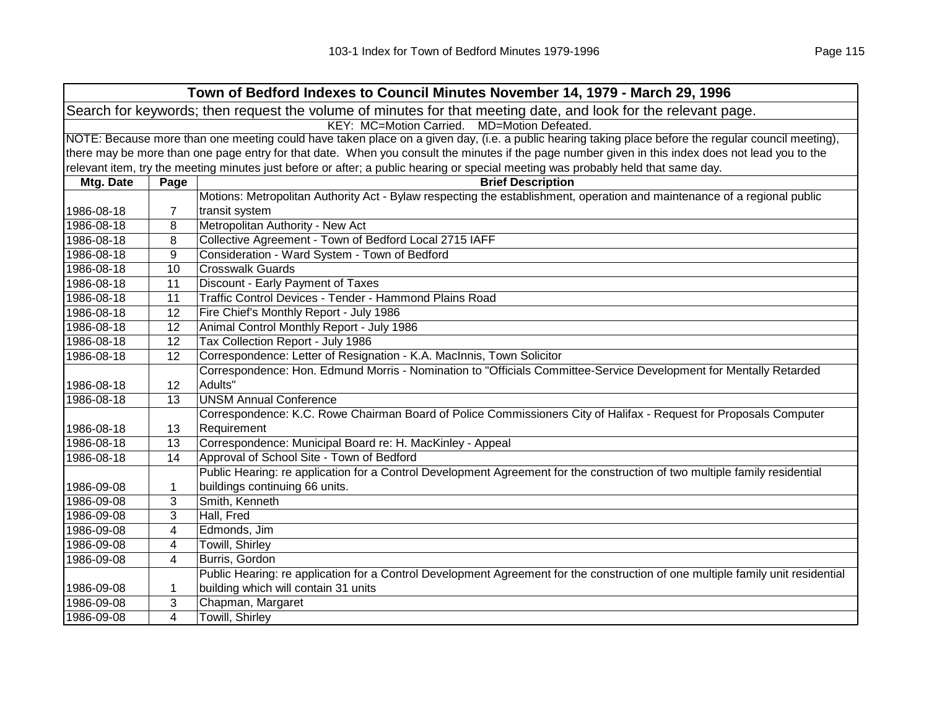| Town of Bedford Indexes to Council Minutes November 14, 1979 - March 29, 1996                                  |                                                                                                                                                     |                                                                                                                                                   |  |
|----------------------------------------------------------------------------------------------------------------|-----------------------------------------------------------------------------------------------------------------------------------------------------|---------------------------------------------------------------------------------------------------------------------------------------------------|--|
| Search for keywords; then request the volume of minutes for that meeting date, and look for the relevant page. |                                                                                                                                                     |                                                                                                                                                   |  |
|                                                                                                                | KEY: MC=Motion Carried. MD=Motion Defeated.                                                                                                         |                                                                                                                                                   |  |
|                                                                                                                | NOTE: Because more than one meeting could have taken place on a given day, (i.e. a public hearing taking place before the regular council meeting), |                                                                                                                                                   |  |
|                                                                                                                |                                                                                                                                                     | there may be more than one page entry for that date. When you consult the minutes if the page number given in this index does not lead you to the |  |
|                                                                                                                |                                                                                                                                                     | relevant item, try the meeting minutes just before or after; a public hearing or special meeting was probably held that same day.                 |  |
| Mtg. Date                                                                                                      | Page                                                                                                                                                | <b>Brief Description</b>                                                                                                                          |  |
|                                                                                                                |                                                                                                                                                     | Motions: Metropolitan Authority Act - Bylaw respecting the establishment, operation and maintenance of a regional public                          |  |
| 1986-08-18                                                                                                     | 7                                                                                                                                                   | transit system                                                                                                                                    |  |
| 1986-08-18                                                                                                     | 8                                                                                                                                                   | Metropolitan Authority - New Act                                                                                                                  |  |
| 1986-08-18                                                                                                     | 8                                                                                                                                                   | Collective Agreement - Town of Bedford Local 2715 IAFF                                                                                            |  |
| 1986-08-18                                                                                                     | 9                                                                                                                                                   | Consideration - Ward System - Town of Bedford                                                                                                     |  |
| 1986-08-18                                                                                                     | 10                                                                                                                                                  | <b>Crosswalk Guards</b>                                                                                                                           |  |
| 1986-08-18                                                                                                     | 11                                                                                                                                                  | Discount - Early Payment of Taxes                                                                                                                 |  |
| 1986-08-18                                                                                                     | 11                                                                                                                                                  | Traffic Control Devices - Tender - Hammond Plains Road                                                                                            |  |
| 1986-08-18                                                                                                     | 12                                                                                                                                                  | Fire Chief's Monthly Report - July 1986                                                                                                           |  |
| 1986-08-18                                                                                                     | 12                                                                                                                                                  | Animal Control Monthly Report - July 1986                                                                                                         |  |
| 1986-08-18                                                                                                     | 12                                                                                                                                                  | Tax Collection Report - July 1986                                                                                                                 |  |
| 1986-08-18                                                                                                     | 12                                                                                                                                                  | Correspondence: Letter of Resignation - K.A. MacInnis, Town Solicitor                                                                             |  |
|                                                                                                                |                                                                                                                                                     | Correspondence: Hon. Edmund Morris - Nomination to "Officials Committee-Service Development for Mentally Retarded                                 |  |
| 1986-08-18                                                                                                     | 12                                                                                                                                                  | Adults"                                                                                                                                           |  |
| 1986-08-18                                                                                                     | 13                                                                                                                                                  | <b>UNSM Annual Conference</b>                                                                                                                     |  |
|                                                                                                                |                                                                                                                                                     | Correspondence: K.C. Rowe Chairman Board of Police Commissioners City of Halifax - Request for Proposals Computer                                 |  |
| 1986-08-18                                                                                                     | 13                                                                                                                                                  | Requirement                                                                                                                                       |  |
| 1986-08-18                                                                                                     | 13                                                                                                                                                  | Correspondence: Municipal Board re: H. MacKinley - Appeal                                                                                         |  |
| 1986-08-18                                                                                                     | 14                                                                                                                                                  | Approval of School Site - Town of Bedford                                                                                                         |  |
|                                                                                                                |                                                                                                                                                     | Public Hearing: re application for a Control Development Agreement for the construction of two multiple family residential                        |  |
| 1986-09-08                                                                                                     | 1                                                                                                                                                   | buildings continuing 66 units.                                                                                                                    |  |
| 1986-09-08                                                                                                     | 3                                                                                                                                                   | Smith, Kenneth                                                                                                                                    |  |
| 1986-09-08                                                                                                     | 3                                                                                                                                                   | Hall, Fred                                                                                                                                        |  |
| 1986-09-08                                                                                                     | 4                                                                                                                                                   | Edmonds, Jim                                                                                                                                      |  |
| 1986-09-08                                                                                                     | 4                                                                                                                                                   | Towill, Shirley                                                                                                                                   |  |
| 1986-09-08                                                                                                     | 4                                                                                                                                                   | Burris, Gordon                                                                                                                                    |  |
|                                                                                                                |                                                                                                                                                     | Public Hearing: re application for a Control Development Agreement for the construction of one multiple family unit residential                   |  |
| 1986-09-08                                                                                                     | 1                                                                                                                                                   | building which will contain 31 units                                                                                                              |  |
| 1986-09-08                                                                                                     | 3                                                                                                                                                   | Chapman, Margaret                                                                                                                                 |  |
| 1986-09-08                                                                                                     | 4                                                                                                                                                   | Towill, Shirley                                                                                                                                   |  |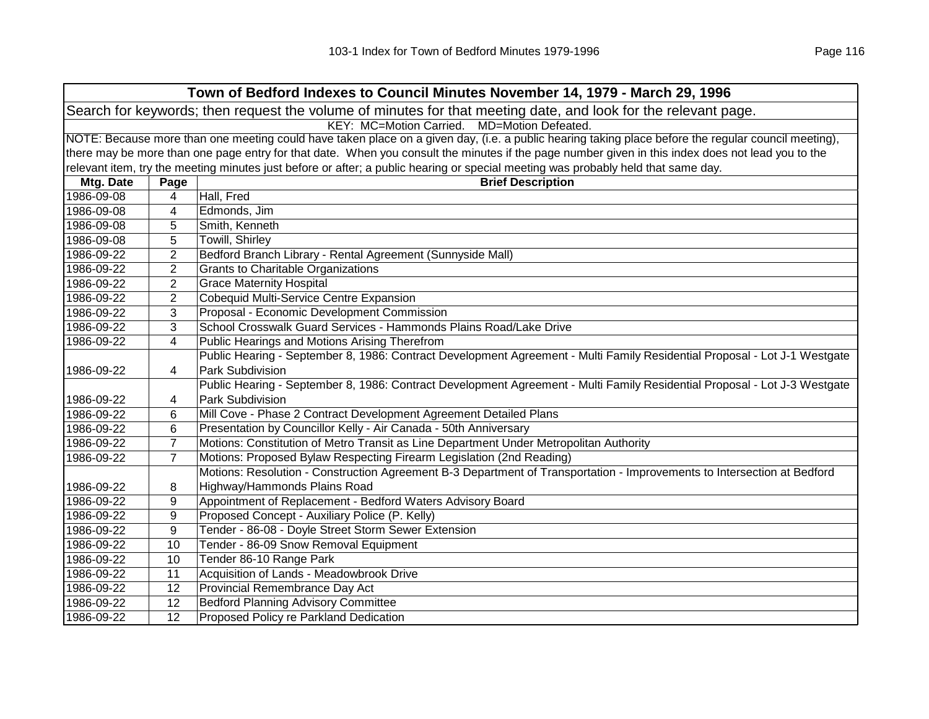|            | Town of Bedford Indexes to Council Minutes November 14, 1979 - March 29, 1996                                                                       |                                                                                                                                                   |  |  |
|------------|-----------------------------------------------------------------------------------------------------------------------------------------------------|---------------------------------------------------------------------------------------------------------------------------------------------------|--|--|
|            | Search for keywords; then request the volume of minutes for that meeting date, and look for the relevant page.                                      |                                                                                                                                                   |  |  |
|            | KEY: MC=Motion Carried. MD=Motion Defeated.                                                                                                         |                                                                                                                                                   |  |  |
|            | NOTE: Because more than one meeting could have taken place on a given day, (i.e. a public hearing taking place before the regular council meeting), |                                                                                                                                                   |  |  |
|            |                                                                                                                                                     | there may be more than one page entry for that date. When you consult the minutes if the page number given in this index does not lead you to the |  |  |
|            |                                                                                                                                                     | relevant item, try the meeting minutes just before or after; a public hearing or special meeting was probably held that same day.                 |  |  |
| Mtg. Date  | Page                                                                                                                                                | <b>Brief Description</b>                                                                                                                          |  |  |
| 1986-09-08 | 4                                                                                                                                                   | Hall, Fred                                                                                                                                        |  |  |
| 1986-09-08 | 4                                                                                                                                                   | Edmonds, Jim                                                                                                                                      |  |  |
| 1986-09-08 | 5                                                                                                                                                   | Smith, Kenneth                                                                                                                                    |  |  |
| 1986-09-08 | 5                                                                                                                                                   | Towill, Shirley                                                                                                                                   |  |  |
| 1986-09-22 | $\overline{2}$                                                                                                                                      | Bedford Branch Library - Rental Agreement (Sunnyside Mall)                                                                                        |  |  |
| 1986-09-22 | $\overline{2}$                                                                                                                                      | <b>Grants to Charitable Organizations</b>                                                                                                         |  |  |
| 1986-09-22 | $\overline{2}$                                                                                                                                      | <b>Grace Maternity Hospital</b>                                                                                                                   |  |  |
| 1986-09-22 | $\overline{2}$                                                                                                                                      | Cobequid Multi-Service Centre Expansion                                                                                                           |  |  |
| 1986-09-22 | 3                                                                                                                                                   | Proposal - Economic Development Commission                                                                                                        |  |  |
| 1986-09-22 | 3                                                                                                                                                   | School Crosswalk Guard Services - Hammonds Plains Road/Lake Drive                                                                                 |  |  |
| 1986-09-22 | 4                                                                                                                                                   | Public Hearings and Motions Arising Therefrom                                                                                                     |  |  |
|            |                                                                                                                                                     | Public Hearing - September 8, 1986: Contract Development Agreement - Multi Family Residential Proposal - Lot J-1 Westgate                         |  |  |
| 1986-09-22 | 4                                                                                                                                                   | Park Subdivision                                                                                                                                  |  |  |
|            |                                                                                                                                                     | Public Hearing - September 8, 1986: Contract Development Agreement - Multi Family Residential Proposal - Lot J-3 Westgate                         |  |  |
| 1986-09-22 | 4                                                                                                                                                   | Park Subdivision                                                                                                                                  |  |  |
| 1986-09-22 | 6                                                                                                                                                   | Mill Cove - Phase 2 Contract Development Agreement Detailed Plans                                                                                 |  |  |
| 1986-09-22 | 6                                                                                                                                                   | Presentation by Councillor Kelly - Air Canada - 50th Anniversary                                                                                  |  |  |
| 1986-09-22 | $\overline{7}$                                                                                                                                      | Motions: Constitution of Metro Transit as Line Department Under Metropolitan Authority                                                            |  |  |
| 1986-09-22 | $\overline{7}$                                                                                                                                      | Motions: Proposed Bylaw Respecting Firearm Legislation (2nd Reading)                                                                              |  |  |
|            |                                                                                                                                                     | Motions: Resolution - Construction Agreement B-3 Department of Transportation - Improvements to Intersection at Bedford                           |  |  |
| 1986-09-22 | 8                                                                                                                                                   | Highway/Hammonds Plains Road                                                                                                                      |  |  |
| 1986-09-22 | 9                                                                                                                                                   | Appointment of Replacement - Bedford Waters Advisory Board                                                                                        |  |  |
| 1986-09-22 | 9                                                                                                                                                   | Proposed Concept - Auxiliary Police (P. Kelly)                                                                                                    |  |  |
| 1986-09-22 | 9                                                                                                                                                   | Tender - 86-08 - Doyle Street Storm Sewer Extension                                                                                               |  |  |
| 1986-09-22 | 10                                                                                                                                                  | Tender - 86-09 Snow Removal Equipment                                                                                                             |  |  |
| 1986-09-22 | 10                                                                                                                                                  | Tender 86-10 Range Park                                                                                                                           |  |  |
| 1986-09-22 | 11                                                                                                                                                  | Acquisition of Lands - Meadowbrook Drive                                                                                                          |  |  |
| 1986-09-22 | 12                                                                                                                                                  | Provincial Remembrance Day Act                                                                                                                    |  |  |
| 1986-09-22 | 12                                                                                                                                                  | <b>Bedford Planning Advisory Committee</b>                                                                                                        |  |  |
| 1986-09-22 | 12                                                                                                                                                  | Proposed Policy re Parkland Dedication                                                                                                            |  |  |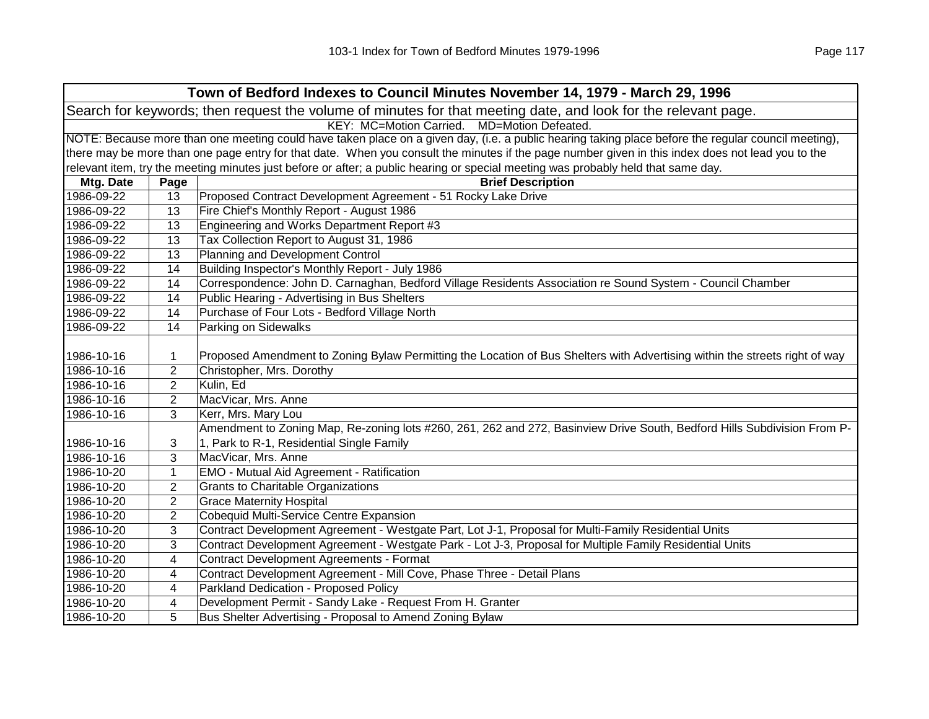|                                                                                                                | Town of Bedford Indexes to Council Minutes November 14, 1979 - March 29, 1996 |                                                                                                                                                     |  |  |
|----------------------------------------------------------------------------------------------------------------|-------------------------------------------------------------------------------|-----------------------------------------------------------------------------------------------------------------------------------------------------|--|--|
| Search for keywords; then request the volume of minutes for that meeting date, and look for the relevant page. |                                                                               |                                                                                                                                                     |  |  |
|                                                                                                                |                                                                               | KEY: MC=Motion Carried. MD=Motion Defeated.                                                                                                         |  |  |
|                                                                                                                |                                                                               | NOTE: Because more than one meeting could have taken place on a given day, (i.e. a public hearing taking place before the regular council meeting), |  |  |
|                                                                                                                |                                                                               | there may be more than one page entry for that date. When you consult the minutes if the page number given in this index does not lead you to the   |  |  |
|                                                                                                                |                                                                               | relevant item, try the meeting minutes just before or after; a public hearing or special meeting was probably held that same day.                   |  |  |
| Mtg. Date                                                                                                      | Page                                                                          | <b>Brief Description</b>                                                                                                                            |  |  |
| 1986-09-22                                                                                                     | 13                                                                            | Proposed Contract Development Agreement - 51 Rocky Lake Drive                                                                                       |  |  |
| 1986-09-22                                                                                                     | 13                                                                            | Fire Chief's Monthly Report - August 1986                                                                                                           |  |  |
| 1986-09-22                                                                                                     | 13                                                                            | Engineering and Works Department Report #3                                                                                                          |  |  |
| 1986-09-22                                                                                                     | 13                                                                            | Tax Collection Report to August 31, 1986                                                                                                            |  |  |
| 1986-09-22                                                                                                     | 13                                                                            | Planning and Development Control                                                                                                                    |  |  |
| 1986-09-22                                                                                                     | 14                                                                            | Building Inspector's Monthly Report - July 1986                                                                                                     |  |  |
| 1986-09-22                                                                                                     | 14                                                                            | Correspondence: John D. Carnaghan, Bedford Village Residents Association re Sound System - Council Chamber                                          |  |  |
| 1986-09-22                                                                                                     | 14                                                                            | Public Hearing - Advertising in Bus Shelters                                                                                                        |  |  |
| 1986-09-22                                                                                                     | 14                                                                            | Purchase of Four Lots - Bedford Village North                                                                                                       |  |  |
| 1986-09-22                                                                                                     | 14                                                                            | Parking on Sidewalks                                                                                                                                |  |  |
|                                                                                                                |                                                                               |                                                                                                                                                     |  |  |
| 1986-10-16                                                                                                     | 1                                                                             | Proposed Amendment to Zoning Bylaw Permitting the Location of Bus Shelters with Advertising within the streets right of way                         |  |  |
| 1986-10-16                                                                                                     | $\overline{2}$                                                                | Christopher, Mrs. Dorothy                                                                                                                           |  |  |
| 1986-10-16                                                                                                     | $\overline{2}$                                                                | Kulin, Ed                                                                                                                                           |  |  |
| 1986-10-16                                                                                                     | $\overline{2}$                                                                | MacVicar, Mrs. Anne                                                                                                                                 |  |  |
| 1986-10-16                                                                                                     | 3                                                                             | Kerr, Mrs. Mary Lou                                                                                                                                 |  |  |
|                                                                                                                |                                                                               | Amendment to Zoning Map, Re-zoning lots #260, 261, 262 and 272, Basinview Drive South, Bedford Hills Subdivision From P-                            |  |  |
| 1986-10-16                                                                                                     | 3                                                                             | 1, Park to R-1, Residential Single Family                                                                                                           |  |  |
| 1986-10-16                                                                                                     | 3                                                                             | MacVicar, Mrs. Anne                                                                                                                                 |  |  |
| 1986-10-20                                                                                                     | $\mathbf{1}$                                                                  | EMO - Mutual Aid Agreement - Ratification                                                                                                           |  |  |
| 1986-10-20                                                                                                     | $\overline{2}$                                                                | <b>Grants to Charitable Organizations</b>                                                                                                           |  |  |
| 1986-10-20                                                                                                     | $\overline{2}$                                                                | <b>Grace Maternity Hospital</b>                                                                                                                     |  |  |
| 1986-10-20                                                                                                     | $\overline{2}$                                                                | Cobequid Multi-Service Centre Expansion                                                                                                             |  |  |
| 1986-10-20                                                                                                     | 3                                                                             | Contract Development Agreement - Westgate Part, Lot J-1, Proposal for Multi-Family Residential Units                                                |  |  |
| 1986-10-20                                                                                                     | 3                                                                             | Contract Development Agreement - Westgate Park - Lot J-3, Proposal for Multiple Family Residential Units                                            |  |  |
| 1986-10-20                                                                                                     | 4                                                                             | <b>Contract Development Agreements - Format</b>                                                                                                     |  |  |
| 1986-10-20                                                                                                     | 4                                                                             | Contract Development Agreement - Mill Cove, Phase Three - Detail Plans                                                                              |  |  |
| 1986-10-20                                                                                                     | 4                                                                             | Parkland Dedication - Proposed Policy                                                                                                               |  |  |
| 1986-10-20                                                                                                     | 4                                                                             | Development Permit - Sandy Lake - Request From H. Granter                                                                                           |  |  |
| 1986-10-20                                                                                                     | 5                                                                             | Bus Shelter Advertising - Proposal to Amend Zoning Bylaw                                                                                            |  |  |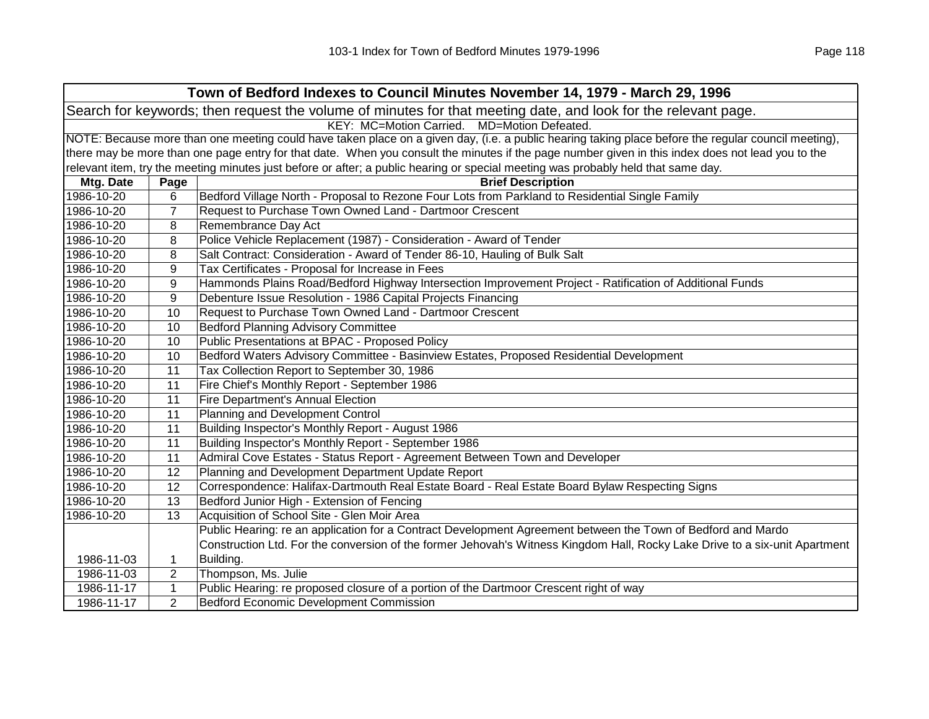|            | Town of Bedford Indexes to Council Minutes November 14, 1979 - March 29, 1996                                                                       |                                                                                                                                                   |  |  |
|------------|-----------------------------------------------------------------------------------------------------------------------------------------------------|---------------------------------------------------------------------------------------------------------------------------------------------------|--|--|
|            | Search for keywords; then request the volume of minutes for that meeting date, and look for the relevant page.                                      |                                                                                                                                                   |  |  |
|            | KEY: MC=Motion Carried. MD=Motion Defeated.                                                                                                         |                                                                                                                                                   |  |  |
|            | NOTE: Because more than one meeting could have taken place on a given day, (i.e. a public hearing taking place before the regular council meeting), |                                                                                                                                                   |  |  |
|            |                                                                                                                                                     | there may be more than one page entry for that date. When you consult the minutes if the page number given in this index does not lead you to the |  |  |
|            |                                                                                                                                                     | relevant item, try the meeting minutes just before or after; a public hearing or special meeting was probably held that same day.                 |  |  |
| Mtg. Date  | Page                                                                                                                                                | <b>Brief Description</b>                                                                                                                          |  |  |
| 1986-10-20 | 6                                                                                                                                                   | Bedford Village North - Proposal to Rezone Four Lots from Parkland to Residential Single Family                                                   |  |  |
| 1986-10-20 | $\overline{7}$                                                                                                                                      | Request to Purchase Town Owned Land - Dartmoor Crescent                                                                                           |  |  |
| 1986-10-20 | 8                                                                                                                                                   | Remembrance Day Act                                                                                                                               |  |  |
| 1986-10-20 | 8                                                                                                                                                   | Police Vehicle Replacement (1987) - Consideration - Award of Tender                                                                               |  |  |
| 1986-10-20 | 8                                                                                                                                                   | Salt Contract: Consideration - Award of Tender 86-10, Hauling of Bulk Salt                                                                        |  |  |
| 1986-10-20 | 9                                                                                                                                                   | Tax Certificates - Proposal for Increase in Fees                                                                                                  |  |  |
| 1986-10-20 | 9                                                                                                                                                   | Hammonds Plains Road/Bedford Highway Intersection Improvement Project - Ratification of Additional Funds                                          |  |  |
| 1986-10-20 | 9                                                                                                                                                   | Debenture Issue Resolution - 1986 Capital Projects Financing                                                                                      |  |  |
| 1986-10-20 | 10                                                                                                                                                  | Request to Purchase Town Owned Land - Dartmoor Crescent                                                                                           |  |  |
| 1986-10-20 | 10                                                                                                                                                  | <b>Bedford Planning Advisory Committee</b>                                                                                                        |  |  |
| 1986-10-20 | 10                                                                                                                                                  | Public Presentations at BPAC - Proposed Policy                                                                                                    |  |  |
| 1986-10-20 | 10                                                                                                                                                  | Bedford Waters Advisory Committee - Basinview Estates, Proposed Residential Development                                                           |  |  |
| 1986-10-20 | 11                                                                                                                                                  | Tax Collection Report to September 30, 1986                                                                                                       |  |  |
| 1986-10-20 | 11                                                                                                                                                  | Fire Chief's Monthly Report - September 1986                                                                                                      |  |  |
| 1986-10-20 | 11                                                                                                                                                  | Fire Department's Annual Election                                                                                                                 |  |  |
| 1986-10-20 | 11                                                                                                                                                  | Planning and Development Control                                                                                                                  |  |  |
| 1986-10-20 | 11                                                                                                                                                  | Building Inspector's Monthly Report - August 1986                                                                                                 |  |  |
| 1986-10-20 | 11                                                                                                                                                  | Building Inspector's Monthly Report - September 1986                                                                                              |  |  |
| 1986-10-20 | 11                                                                                                                                                  | Admiral Cove Estates - Status Report - Agreement Between Town and Developer                                                                       |  |  |
| 1986-10-20 | 12                                                                                                                                                  | Planning and Development Department Update Report                                                                                                 |  |  |
| 1986-10-20 | 12                                                                                                                                                  | Correspondence: Halifax-Dartmouth Real Estate Board - Real Estate Board Bylaw Respecting Signs                                                    |  |  |
| 1986-10-20 | 13                                                                                                                                                  | Bedford Junior High - Extension of Fencing                                                                                                        |  |  |
| 1986-10-20 | 13                                                                                                                                                  | Acquisition of School Site - Glen Moir Area                                                                                                       |  |  |
|            |                                                                                                                                                     | Public Hearing: re an application for a Contract Development Agreement between the Town of Bedford and Mardo                                      |  |  |
|            |                                                                                                                                                     | Construction Ltd. For the conversion of the former Jehovah's Witness Kingdom Hall, Rocky Lake Drive to a six-unit Apartment                       |  |  |
| 1986-11-03 | 1                                                                                                                                                   | Building.                                                                                                                                         |  |  |
| 1986-11-03 | 2                                                                                                                                                   | Thompson, Ms. Julie                                                                                                                               |  |  |
| 1986-11-17 | $\mathbf{1}$                                                                                                                                        | Public Hearing: re proposed closure of a portion of the Dartmoor Crescent right of way                                                            |  |  |
| 1986-11-17 | $\overline{2}$                                                                                                                                      | Bedford Economic Development Commission                                                                                                           |  |  |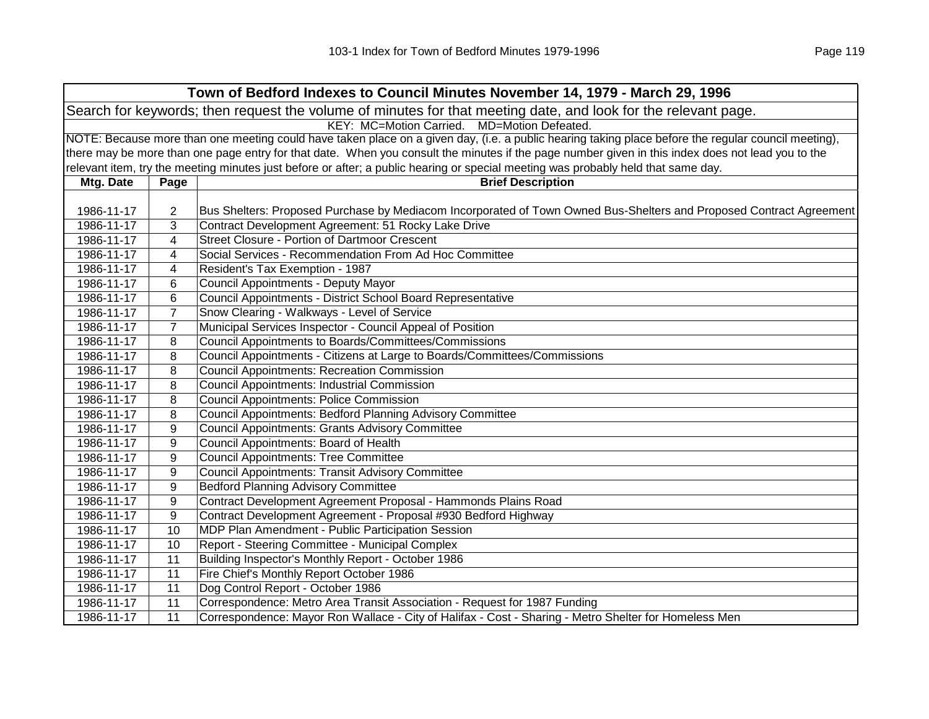|            | Town of Bedford Indexes to Council Minutes November 14, 1979 - March 29, 1996                                                                       |                                                                                                                                                   |  |  |
|------------|-----------------------------------------------------------------------------------------------------------------------------------------------------|---------------------------------------------------------------------------------------------------------------------------------------------------|--|--|
|            | Search for keywords; then request the volume of minutes for that meeting date, and look for the relevant page.                                      |                                                                                                                                                   |  |  |
|            | KEY: MC=Motion Carried. MD=Motion Defeated.                                                                                                         |                                                                                                                                                   |  |  |
|            | NOTE: Because more than one meeting could have taken place on a given day, (i.e. a public hearing taking place before the regular council meeting), |                                                                                                                                                   |  |  |
|            |                                                                                                                                                     | there may be more than one page entry for that date. When you consult the minutes if the page number given in this index does not lead you to the |  |  |
|            |                                                                                                                                                     | relevant item, try the meeting minutes just before or after; a public hearing or special meeting was probably held that same day.                 |  |  |
| Mtg. Date  | Page                                                                                                                                                | <b>Brief Description</b>                                                                                                                          |  |  |
|            |                                                                                                                                                     |                                                                                                                                                   |  |  |
| 1986-11-17 | $\overline{2}$                                                                                                                                      | Bus Shelters: Proposed Purchase by Mediacom Incorporated of Town Owned Bus-Shelters and Proposed Contract Agreement                               |  |  |
| 1986-11-17 | 3                                                                                                                                                   | Contract Development Agreement: 51 Rocky Lake Drive                                                                                               |  |  |
| 1986-11-17 | 4                                                                                                                                                   | <b>Street Closure - Portion of Dartmoor Crescent</b>                                                                                              |  |  |
| 1986-11-17 | 4                                                                                                                                                   | Social Services - Recommendation From Ad Hoc Committee                                                                                            |  |  |
| 1986-11-17 | 4                                                                                                                                                   | Resident's Tax Exemption - 1987                                                                                                                   |  |  |
| 1986-11-17 | 6                                                                                                                                                   | Council Appointments - Deputy Mayor                                                                                                               |  |  |
| 1986-11-17 | 6                                                                                                                                                   | Council Appointments - District School Board Representative                                                                                       |  |  |
| 1986-11-17 | $\overline{7}$                                                                                                                                      | Snow Clearing - Walkways - Level of Service                                                                                                       |  |  |
| 1986-11-17 | $\overline{7}$                                                                                                                                      | Municipal Services Inspector - Council Appeal of Position                                                                                         |  |  |
| 1986-11-17 | 8                                                                                                                                                   | Council Appointments to Boards/Committees/Commissions                                                                                             |  |  |
| 1986-11-17 | 8                                                                                                                                                   | Council Appointments - Citizens at Large to Boards/Committees/Commissions                                                                         |  |  |
| 1986-11-17 | 8                                                                                                                                                   | <b>Council Appointments: Recreation Commission</b>                                                                                                |  |  |
| 1986-11-17 | 8                                                                                                                                                   | <b>Council Appointments: Industrial Commission</b>                                                                                                |  |  |
| 1986-11-17 | 8                                                                                                                                                   | <b>Council Appointments: Police Commission</b>                                                                                                    |  |  |
| 1986-11-17 | 8                                                                                                                                                   | Council Appointments: Bedford Planning Advisory Committee                                                                                         |  |  |
| 1986-11-17 | 9                                                                                                                                                   | <b>Council Appointments: Grants Advisory Committee</b>                                                                                            |  |  |
| 1986-11-17 | 9                                                                                                                                                   | Council Appointments: Board of Health                                                                                                             |  |  |
| 1986-11-17 | 9                                                                                                                                                   | <b>Council Appointments: Tree Committee</b>                                                                                                       |  |  |
| 1986-11-17 | 9                                                                                                                                                   | <b>Council Appointments: Transit Advisory Committee</b>                                                                                           |  |  |
| 1986-11-17 | 9                                                                                                                                                   | <b>Bedford Planning Advisory Committee</b>                                                                                                        |  |  |
| 1986-11-17 | 9                                                                                                                                                   | Contract Development Agreement Proposal - Hammonds Plains Road                                                                                    |  |  |
| 1986-11-17 | 9                                                                                                                                                   | Contract Development Agreement - Proposal #930 Bedford Highway                                                                                    |  |  |
| 1986-11-17 | 10                                                                                                                                                  | MDP Plan Amendment - Public Participation Session                                                                                                 |  |  |
| 1986-11-17 | 10                                                                                                                                                  | Report - Steering Committee - Municipal Complex                                                                                                   |  |  |
| 1986-11-17 | 11                                                                                                                                                  | Building Inspector's Monthly Report - October 1986                                                                                                |  |  |
| 1986-11-17 | 11                                                                                                                                                  | Fire Chief's Monthly Report October 1986                                                                                                          |  |  |
| 1986-11-17 | 11                                                                                                                                                  | Dog Control Report - October 1986                                                                                                                 |  |  |
| 1986-11-17 | 11                                                                                                                                                  | Correspondence: Metro Area Transit Association - Request for 1987 Funding                                                                         |  |  |
| 1986-11-17 | 11                                                                                                                                                  | Correspondence: Mayor Ron Wallace - City of Halifax - Cost - Sharing - Metro Shelter for Homeless Men                                             |  |  |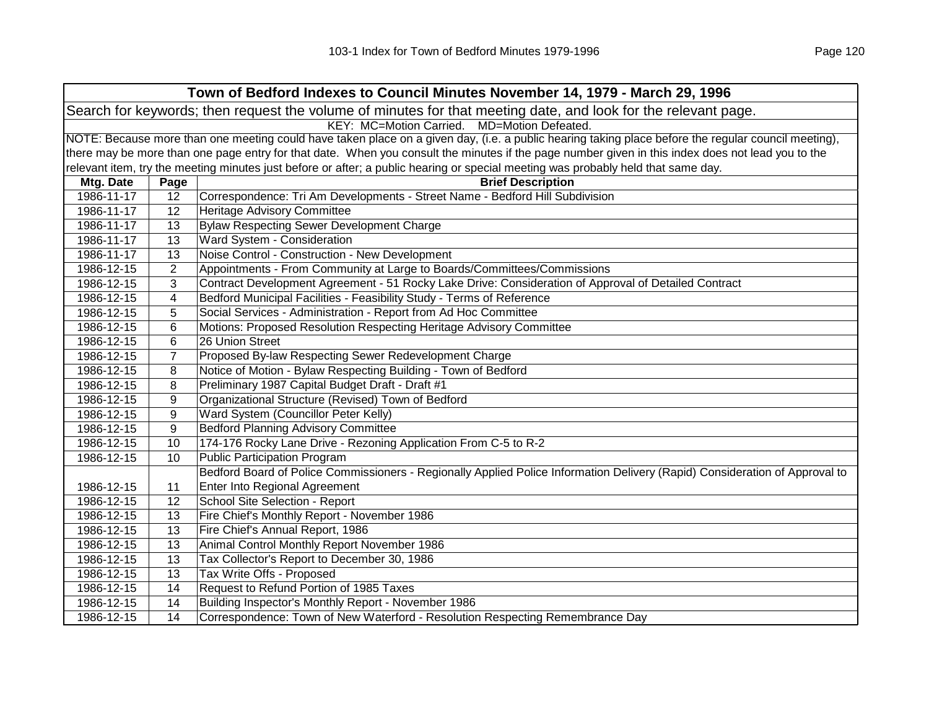|            | Town of Bedford Indexes to Council Minutes November 14, 1979 - March 29, 1996                                                                       |                                                                                                                                                   |  |  |
|------------|-----------------------------------------------------------------------------------------------------------------------------------------------------|---------------------------------------------------------------------------------------------------------------------------------------------------|--|--|
|            | Search for keywords; then request the volume of minutes for that meeting date, and look for the relevant page.                                      |                                                                                                                                                   |  |  |
|            | KEY: MC=Motion Carried. MD=Motion Defeated.                                                                                                         |                                                                                                                                                   |  |  |
|            | NOTE: Because more than one meeting could have taken place on a given day, (i.e. a public hearing taking place before the regular council meeting), |                                                                                                                                                   |  |  |
|            |                                                                                                                                                     | there may be more than one page entry for that date. When you consult the minutes if the page number given in this index does not lead you to the |  |  |
|            |                                                                                                                                                     | relevant item, try the meeting minutes just before or after; a public hearing or special meeting was probably held that same day.                 |  |  |
| Mtg. Date  | Page                                                                                                                                                | <b>Brief Description</b>                                                                                                                          |  |  |
| 1986-11-17 | 12                                                                                                                                                  | Correspondence: Tri Am Developments - Street Name - Bedford Hill Subdivision                                                                      |  |  |
| 1986-11-17 | 12                                                                                                                                                  | Heritage Advisory Committee                                                                                                                       |  |  |
| 1986-11-17 | 13                                                                                                                                                  | <b>Bylaw Respecting Sewer Development Charge</b>                                                                                                  |  |  |
| 1986-11-17 | 13                                                                                                                                                  | Ward System - Consideration                                                                                                                       |  |  |
| 1986-11-17 | 13                                                                                                                                                  | Noise Control - Construction - New Development                                                                                                    |  |  |
| 1986-12-15 | $\overline{2}$                                                                                                                                      | Appointments - From Community at Large to Boards/Committees/Commissions                                                                           |  |  |
| 1986-12-15 | 3                                                                                                                                                   | Contract Development Agreement - 51 Rocky Lake Drive: Consideration of Approval of Detailed Contract                                              |  |  |
| 1986-12-15 | $\overline{4}$                                                                                                                                      | Bedford Municipal Facilities - Feasibility Study - Terms of Reference                                                                             |  |  |
| 1986-12-15 | 5                                                                                                                                                   | Social Services - Administration - Report from Ad Hoc Committee                                                                                   |  |  |
| 1986-12-15 | 6                                                                                                                                                   | Motions: Proposed Resolution Respecting Heritage Advisory Committee                                                                               |  |  |
| 1986-12-15 | 6                                                                                                                                                   | 26 Union Street                                                                                                                                   |  |  |
| 1986-12-15 | $\overline{7}$                                                                                                                                      | Proposed By-law Respecting Sewer Redevelopment Charge                                                                                             |  |  |
| 1986-12-15 | 8                                                                                                                                                   | Notice of Motion - Bylaw Respecting Building - Town of Bedford                                                                                    |  |  |
| 1986-12-15 | 8                                                                                                                                                   | Preliminary 1987 Capital Budget Draft - Draft #1                                                                                                  |  |  |
| 1986-12-15 | 9                                                                                                                                                   | Organizational Structure (Revised) Town of Bedford                                                                                                |  |  |
| 1986-12-15 | 9                                                                                                                                                   | Ward System (Councillor Peter Kelly)                                                                                                              |  |  |
| 1986-12-15 | 9                                                                                                                                                   | <b>Bedford Planning Advisory Committee</b>                                                                                                        |  |  |
| 1986-12-15 | 10                                                                                                                                                  | 174-176 Rocky Lane Drive - Rezoning Application From C-5 to R-2                                                                                   |  |  |
| 1986-12-15 | 10                                                                                                                                                  | <b>Public Participation Program</b>                                                                                                               |  |  |
|            |                                                                                                                                                     | Bedford Board of Police Commissioners - Regionally Applied Police Information Delivery (Rapid) Consideration of Approval to                       |  |  |
| 1986-12-15 | 11                                                                                                                                                  | Enter Into Regional Agreement                                                                                                                     |  |  |
| 1986-12-15 | 12                                                                                                                                                  | School Site Selection - Report                                                                                                                    |  |  |
| 1986-12-15 | 13                                                                                                                                                  | Fire Chief's Monthly Report - November 1986                                                                                                       |  |  |
| 1986-12-15 | 13                                                                                                                                                  | Fire Chief's Annual Report, 1986                                                                                                                  |  |  |
| 1986-12-15 | 13                                                                                                                                                  | Animal Control Monthly Report November 1986                                                                                                       |  |  |
| 1986-12-15 | 13                                                                                                                                                  | Tax Collector's Report to December 30, 1986                                                                                                       |  |  |
| 1986-12-15 | 13                                                                                                                                                  | Tax Write Offs - Proposed                                                                                                                         |  |  |
| 1986-12-15 | 14                                                                                                                                                  | Request to Refund Portion of 1985 Taxes                                                                                                           |  |  |
| 1986-12-15 | 14                                                                                                                                                  | Building Inspector's Monthly Report - November 1986                                                                                               |  |  |
| 1986-12-15 | 14                                                                                                                                                  | Correspondence: Town of New Waterford - Resolution Respecting Remembrance Day                                                                     |  |  |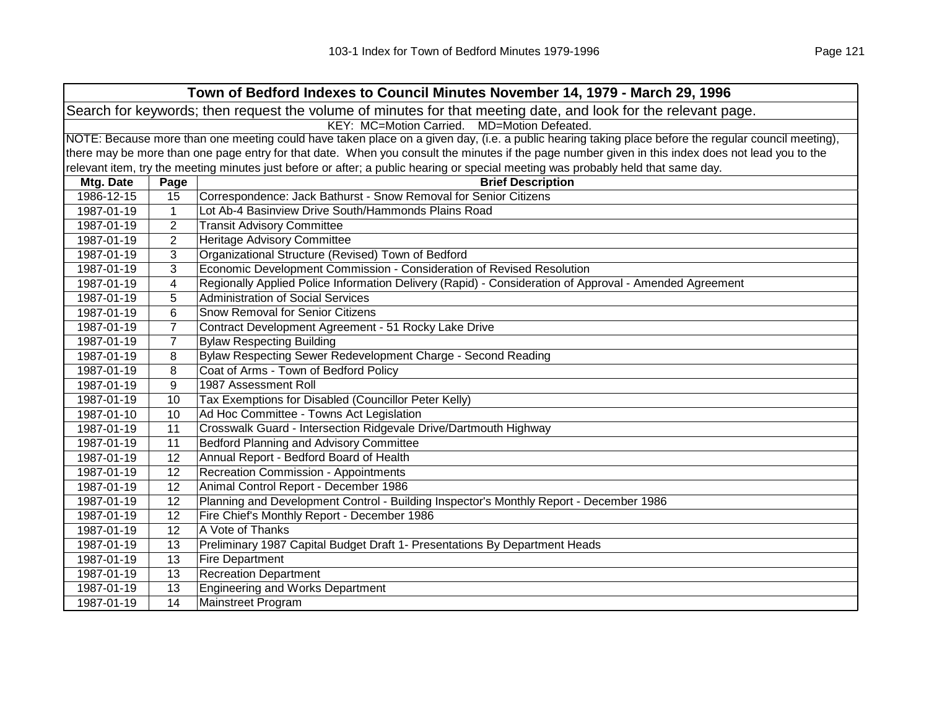| Town of Bedford Indexes to Council Minutes November 14, 1979 - March 29, 1996                                  |                                                                                                                                                     |                                                                                                                                                   |  |  |
|----------------------------------------------------------------------------------------------------------------|-----------------------------------------------------------------------------------------------------------------------------------------------------|---------------------------------------------------------------------------------------------------------------------------------------------------|--|--|
| Search for keywords; then request the volume of minutes for that meeting date, and look for the relevant page. |                                                                                                                                                     |                                                                                                                                                   |  |  |
|                                                                                                                |                                                                                                                                                     | KEY: MC=Motion Carried. MD=Motion Defeated.                                                                                                       |  |  |
|                                                                                                                | NOTE: Because more than one meeting could have taken place on a given day, (i.e. a public hearing taking place before the regular council meeting), |                                                                                                                                                   |  |  |
|                                                                                                                |                                                                                                                                                     | there may be more than one page entry for that date. When you consult the minutes if the page number given in this index does not lead you to the |  |  |
|                                                                                                                |                                                                                                                                                     | relevant item, try the meeting minutes just before or after; a public hearing or special meeting was probably held that same day.                 |  |  |
| Mtg. Date                                                                                                      | Page                                                                                                                                                | <b>Brief Description</b>                                                                                                                          |  |  |
| 1986-12-15                                                                                                     | 15                                                                                                                                                  | Correspondence: Jack Bathurst - Snow Removal for Senior Citizens                                                                                  |  |  |
| 1987-01-19                                                                                                     | $\mathbf 1$                                                                                                                                         | Lot Ab-4 Basinview Drive South/Hammonds Plains Road                                                                                               |  |  |
| 1987-01-19                                                                                                     | $\overline{2}$                                                                                                                                      | <b>Transit Advisory Committee</b>                                                                                                                 |  |  |
| 1987-01-19                                                                                                     | $\overline{2}$                                                                                                                                      | Heritage Advisory Committee                                                                                                                       |  |  |
| 1987-01-19                                                                                                     | 3                                                                                                                                                   | Organizational Structure (Revised) Town of Bedford                                                                                                |  |  |
| 1987-01-19                                                                                                     | 3                                                                                                                                                   | Economic Development Commission - Consideration of Revised Resolution                                                                             |  |  |
| 1987-01-19                                                                                                     | 4                                                                                                                                                   | Regionally Applied Police Information Delivery (Rapid) - Consideration of Approval - Amended Agreement                                            |  |  |
| 1987-01-19                                                                                                     | 5                                                                                                                                                   | Administration of Social Services                                                                                                                 |  |  |
| 1987-01-19                                                                                                     | 6                                                                                                                                                   | <b>Snow Removal for Senior Citizens</b>                                                                                                           |  |  |
| 1987-01-19                                                                                                     | $\overline{7}$                                                                                                                                      | Contract Development Agreement - 51 Rocky Lake Drive                                                                                              |  |  |
| 1987-01-19                                                                                                     | $\overline{7}$                                                                                                                                      | <b>Bylaw Respecting Building</b>                                                                                                                  |  |  |
| 1987-01-19                                                                                                     | 8                                                                                                                                                   | Bylaw Respecting Sewer Redevelopment Charge - Second Reading                                                                                      |  |  |
| 1987-01-19                                                                                                     | 8                                                                                                                                                   | Coat of Arms - Town of Bedford Policy                                                                                                             |  |  |
| 1987-01-19                                                                                                     | 9                                                                                                                                                   | 1987 Assessment Roll                                                                                                                              |  |  |
| 1987-01-19                                                                                                     | 10                                                                                                                                                  | Tax Exemptions for Disabled (Councillor Peter Kelly)                                                                                              |  |  |
| 1987-01-10                                                                                                     | 10                                                                                                                                                  | Ad Hoc Committee - Towns Act Legislation                                                                                                          |  |  |
| 1987-01-19                                                                                                     | 11                                                                                                                                                  | Crosswalk Guard - Intersection Ridgevale Drive/Dartmouth Highway                                                                                  |  |  |
| 1987-01-19                                                                                                     | 11                                                                                                                                                  | Bedford Planning and Advisory Committee                                                                                                           |  |  |
| 1987-01-19                                                                                                     | 12                                                                                                                                                  | Annual Report - Bedford Board of Health                                                                                                           |  |  |
| 1987-01-19                                                                                                     | 12                                                                                                                                                  | <b>Recreation Commission - Appointments</b>                                                                                                       |  |  |
| 1987-01-19                                                                                                     | 12                                                                                                                                                  | Animal Control Report - December 1986                                                                                                             |  |  |
| 1987-01-19                                                                                                     | 12                                                                                                                                                  | Planning and Development Control - Building Inspector's Monthly Report - December 1986                                                            |  |  |
| 1987-01-19                                                                                                     | 12                                                                                                                                                  | Fire Chief's Monthly Report - December 1986                                                                                                       |  |  |
| 1987-01-19                                                                                                     | 12                                                                                                                                                  | A Vote of Thanks                                                                                                                                  |  |  |
| 1987-01-19                                                                                                     | 13                                                                                                                                                  | Preliminary 1987 Capital Budget Draft 1- Presentations By Department Heads                                                                        |  |  |
| 1987-01-19                                                                                                     | 13                                                                                                                                                  | <b>Fire Department</b>                                                                                                                            |  |  |
| 1987-01-19                                                                                                     | 13                                                                                                                                                  | <b>Recreation Department</b>                                                                                                                      |  |  |
| 1987-01-19                                                                                                     | 13                                                                                                                                                  | Engineering and Works Department                                                                                                                  |  |  |
| 1987-01-19                                                                                                     | 14                                                                                                                                                  | Mainstreet Program                                                                                                                                |  |  |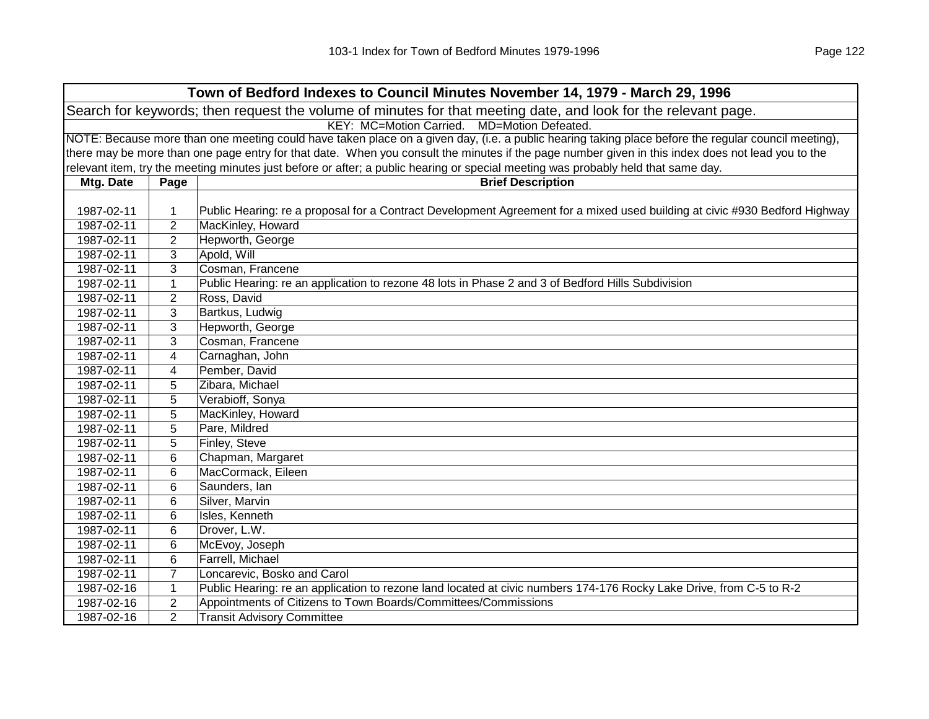| Town of Bedford Indexes to Council Minutes November 14, 1979 - March 29, 1996 |                                                                                                                |                                                                                                                                                     |  |  |
|-------------------------------------------------------------------------------|----------------------------------------------------------------------------------------------------------------|-----------------------------------------------------------------------------------------------------------------------------------------------------|--|--|
|                                                                               | Search for keywords; then request the volume of minutes for that meeting date, and look for the relevant page. |                                                                                                                                                     |  |  |
|                                                                               |                                                                                                                | KEY: MC=Motion Carried. MD=Motion Defeated.                                                                                                         |  |  |
|                                                                               |                                                                                                                | NOTE: Because more than one meeting could have taken place on a given day, (i.e. a public hearing taking place before the regular council meeting), |  |  |
|                                                                               |                                                                                                                | there may be more than one page entry for that date. When you consult the minutes if the page number given in this index does not lead you to the   |  |  |
|                                                                               |                                                                                                                | relevant item, try the meeting minutes just before or after; a public hearing or special meeting was probably held that same day.                   |  |  |
| Mtg. Date                                                                     | Page                                                                                                           | <b>Brief Description</b>                                                                                                                            |  |  |
|                                                                               |                                                                                                                |                                                                                                                                                     |  |  |
| 1987-02-11                                                                    | 1                                                                                                              | Public Hearing: re a proposal for a Contract Development Agreement for a mixed used building at civic #930 Bedford Highway                          |  |  |
| 1987-02-11                                                                    | $\overline{2}$                                                                                                 | MacKinley, Howard                                                                                                                                   |  |  |
| 1987-02-11                                                                    | $\overline{2}$                                                                                                 | Hepworth, George                                                                                                                                    |  |  |
| 1987-02-11                                                                    | 3                                                                                                              | Apold, Will                                                                                                                                         |  |  |
| 1987-02-11                                                                    | 3                                                                                                              | Cosman, Francene                                                                                                                                    |  |  |
| 1987-02-11                                                                    | 1                                                                                                              | Public Hearing: re an application to rezone 48 lots in Phase 2 and 3 of Bedford Hills Subdivision                                                   |  |  |
| 1987-02-11                                                                    | $\overline{2}$                                                                                                 | Ross, David                                                                                                                                         |  |  |
| 1987-02-11                                                                    | 3                                                                                                              | Bartkus, Ludwig                                                                                                                                     |  |  |
| 1987-02-11                                                                    | 3                                                                                                              | Hepworth, George                                                                                                                                    |  |  |
| 1987-02-11                                                                    | 3                                                                                                              | Cosman, Francene                                                                                                                                    |  |  |
| 1987-02-11                                                                    | 4                                                                                                              | Carnaghan, John                                                                                                                                     |  |  |
| 1987-02-11                                                                    | 4                                                                                                              | Pember, David                                                                                                                                       |  |  |
| 1987-02-11                                                                    | 5                                                                                                              | Zibara, Michael                                                                                                                                     |  |  |
| 1987-02-11                                                                    | 5                                                                                                              | Verabioff, Sonya                                                                                                                                    |  |  |
| 1987-02-11                                                                    | 5                                                                                                              | MacKinley, Howard                                                                                                                                   |  |  |
| 1987-02-11                                                                    | 5                                                                                                              | Pare, Mildred                                                                                                                                       |  |  |
| 1987-02-11                                                                    | 5                                                                                                              | Finley, Steve                                                                                                                                       |  |  |
| 1987-02-11                                                                    | 6                                                                                                              | Chapman, Margaret                                                                                                                                   |  |  |
| 1987-02-11                                                                    | 6                                                                                                              | MacCormack, Eileen                                                                                                                                  |  |  |
| 1987-02-11                                                                    | 6                                                                                                              | Saunders, Ian                                                                                                                                       |  |  |
| 1987-02-11                                                                    | 6                                                                                                              | Silver, Marvin                                                                                                                                      |  |  |
| 1987-02-11                                                                    | 6                                                                                                              | Isles, Kenneth                                                                                                                                      |  |  |
| 1987-02-11                                                                    | 6                                                                                                              | Drover, L.W.                                                                                                                                        |  |  |
| 1987-02-11                                                                    | 6                                                                                                              | McEvoy, Joseph                                                                                                                                      |  |  |
| 1987-02-11                                                                    | 6                                                                                                              | Farrell, Michael                                                                                                                                    |  |  |
| 1987-02-11                                                                    | 7                                                                                                              | Loncarevic, Bosko and Carol                                                                                                                         |  |  |
| 1987-02-16                                                                    | 1                                                                                                              | Public Hearing: re an application to rezone land located at civic numbers 174-176 Rocky Lake Drive, from C-5 to R-2                                 |  |  |
| 1987-02-16                                                                    | $\overline{2}$                                                                                                 | Appointments of Citizens to Town Boards/Committees/Commissions                                                                                      |  |  |
| 1987-02-16                                                                    | $\overline{2}$                                                                                                 | <b>Transit Advisory Committee</b>                                                                                                                   |  |  |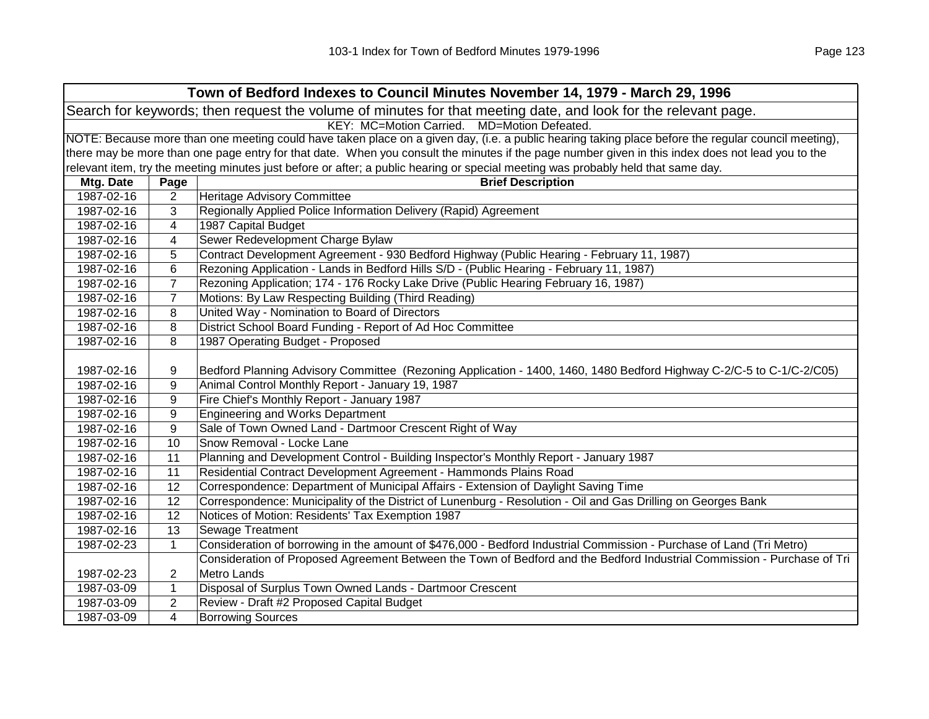| Town of Bedford Indexes to Council Minutes November 14, 1979 - March 29, 1996                                  |                  |                                                                                                                                                     |  |
|----------------------------------------------------------------------------------------------------------------|------------------|-----------------------------------------------------------------------------------------------------------------------------------------------------|--|
| Search for keywords; then request the volume of minutes for that meeting date, and look for the relevant page. |                  |                                                                                                                                                     |  |
| KEY: MC=Motion Carried. MD=Motion Defeated.                                                                    |                  |                                                                                                                                                     |  |
|                                                                                                                |                  | NOTE: Because more than one meeting could have taken place on a given day, (i.e. a public hearing taking place before the regular council meeting), |  |
|                                                                                                                |                  | there may be more than one page entry for that date. When you consult the minutes if the page number given in this index does not lead you to the   |  |
|                                                                                                                |                  | relevant item, try the meeting minutes just before or after; a public hearing or special meeting was probably held that same day.                   |  |
| Mtg. Date                                                                                                      | Page             | <b>Brief Description</b>                                                                                                                            |  |
| 1987-02-16                                                                                                     | $\overline{2}$   | <b>Heritage Advisory Committee</b>                                                                                                                  |  |
| 1987-02-16                                                                                                     | 3                | Regionally Applied Police Information Delivery (Rapid) Agreement                                                                                    |  |
| 1987-02-16                                                                                                     | 4                | 1987 Capital Budget                                                                                                                                 |  |
| 1987-02-16                                                                                                     | 4                | Sewer Redevelopment Charge Bylaw                                                                                                                    |  |
| 1987-02-16                                                                                                     | 5                | Contract Development Agreement - 930 Bedford Highway (Public Hearing - February 11, 1987)                                                           |  |
| 1987-02-16                                                                                                     | 6                | Rezoning Application - Lands in Bedford Hills S/D - (Public Hearing - February 11, 1987)                                                            |  |
| 1987-02-16                                                                                                     | $\overline{7}$   | Rezoning Application; 174 - 176 Rocky Lake Drive (Public Hearing February 16, 1987)                                                                 |  |
| 1987-02-16                                                                                                     | $\overline{7}$   | Motions: By Law Respecting Building (Third Reading)                                                                                                 |  |
| 1987-02-16                                                                                                     | 8                | United Way - Nomination to Board of Directors                                                                                                       |  |
| 1987-02-16                                                                                                     | 8                | District School Board Funding - Report of Ad Hoc Committee                                                                                          |  |
| 1987-02-16                                                                                                     | 8                | 1987 Operating Budget - Proposed                                                                                                                    |  |
|                                                                                                                |                  |                                                                                                                                                     |  |
| 1987-02-16                                                                                                     | 9                | Bedford Planning Advisory Committee (Rezoning Application - 1400, 1460, 1480 Bedford Highway C-2/C-5 to C-1/C-2/C05)                                |  |
| 1987-02-16                                                                                                     | 9                | Animal Control Monthly Report - January 19, 1987                                                                                                    |  |
| 1987-02-16                                                                                                     | 9                | Fire Chief's Monthly Report - January 1987                                                                                                          |  |
| 1987-02-16                                                                                                     | 9                | <b>Engineering and Works Department</b>                                                                                                             |  |
| 1987-02-16                                                                                                     | $\boldsymbol{9}$ | Sale of Town Owned Land - Dartmoor Crescent Right of Way                                                                                            |  |
| 1987-02-16                                                                                                     | 10               | Snow Removal - Locke Lane                                                                                                                           |  |
| 1987-02-16                                                                                                     | 11               | Planning and Development Control - Building Inspector's Monthly Report - January 1987                                                               |  |
| 1987-02-16                                                                                                     | 11               | Residential Contract Development Agreement - Hammonds Plains Road                                                                                   |  |
| 1987-02-16                                                                                                     | 12               | Correspondence: Department of Municipal Affairs - Extension of Daylight Saving Time                                                                 |  |
| 1987-02-16                                                                                                     | 12               | Correspondence: Municipality of the District of Lunenburg - Resolution - Oil and Gas Drilling on Georges Bank                                       |  |
| 1987-02-16                                                                                                     | 12               | Notices of Motion: Residents' Tax Exemption 1987                                                                                                    |  |
| 1987-02-16                                                                                                     | 13               | Sewage Treatment                                                                                                                                    |  |
| 1987-02-23                                                                                                     | $\mathbf{1}$     | Consideration of borrowing in the amount of \$476,000 - Bedford Industrial Commission - Purchase of Land (Tri Metro)                                |  |
|                                                                                                                |                  | Consideration of Proposed Agreement Between the Town of Bedford and the Bedford Industrial Commission - Purchase of Tri                             |  |
| 1987-02-23                                                                                                     | $\overline{2}$   | Metro Lands                                                                                                                                         |  |
| 1987-03-09                                                                                                     | $\mathbf{1}$     | Disposal of Surplus Town Owned Lands - Dartmoor Crescent                                                                                            |  |
| 1987-03-09                                                                                                     | $\overline{c}$   | Review - Draft #2 Proposed Capital Budget                                                                                                           |  |
| 1987-03-09                                                                                                     | 4                | <b>Borrowing Sources</b>                                                                                                                            |  |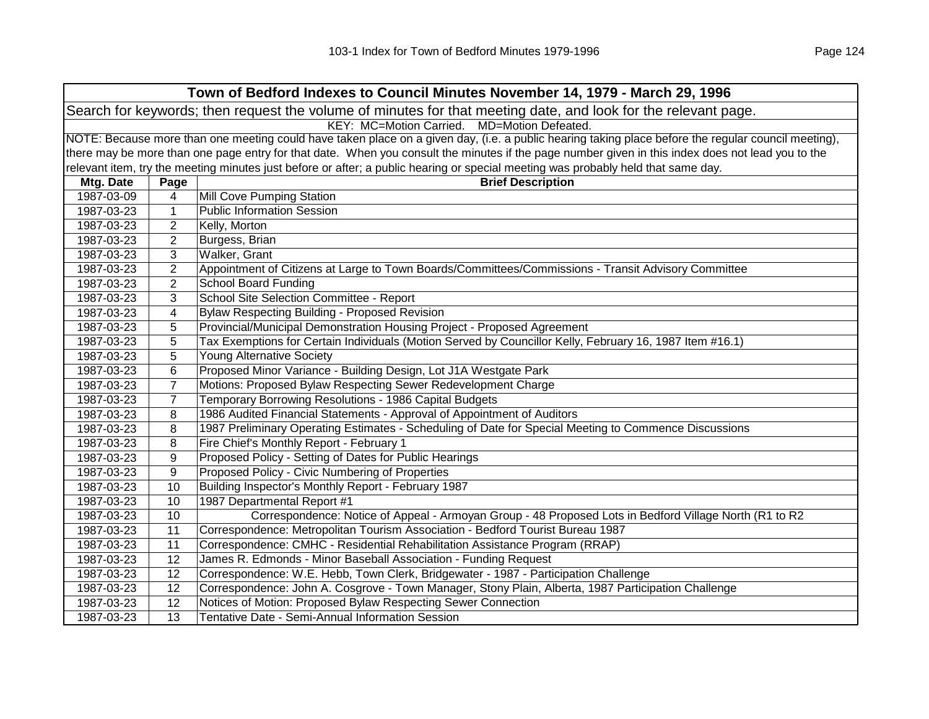| Town of Bedford Indexes to Council Minutes November 14, 1979 - March 29, 1996                                  |                                                                                                                                                     |                                                                                                                                                   |  |
|----------------------------------------------------------------------------------------------------------------|-----------------------------------------------------------------------------------------------------------------------------------------------------|---------------------------------------------------------------------------------------------------------------------------------------------------|--|
| Search for keywords; then request the volume of minutes for that meeting date, and look for the relevant page. |                                                                                                                                                     |                                                                                                                                                   |  |
| KEY: MC=Motion Carried. MD=Motion Defeated.                                                                    |                                                                                                                                                     |                                                                                                                                                   |  |
|                                                                                                                | NOTE: Because more than one meeting could have taken place on a given day, (i.e. a public hearing taking place before the regular council meeting), |                                                                                                                                                   |  |
|                                                                                                                |                                                                                                                                                     | there may be more than one page entry for that date. When you consult the minutes if the page number given in this index does not lead you to the |  |
|                                                                                                                |                                                                                                                                                     | relevant item, try the meeting minutes just before or after; a public hearing or special meeting was probably held that same day.                 |  |
| Mtg. Date                                                                                                      | Page                                                                                                                                                | <b>Brief Description</b>                                                                                                                          |  |
| 1987-03-09                                                                                                     | 4                                                                                                                                                   | Mill Cove Pumping Station                                                                                                                         |  |
| 1987-03-23                                                                                                     | 1                                                                                                                                                   | <b>Public Information Session</b>                                                                                                                 |  |
| 1987-03-23                                                                                                     | $\overline{2}$                                                                                                                                      | Kelly, Morton                                                                                                                                     |  |
| 1987-03-23                                                                                                     | 2                                                                                                                                                   | Burgess, Brian                                                                                                                                    |  |
| 1987-03-23                                                                                                     | 3                                                                                                                                                   | Walker, Grant                                                                                                                                     |  |
| 1987-03-23                                                                                                     | $\overline{2}$                                                                                                                                      | Appointment of Citizens at Large to Town Boards/Committees/Commissions - Transit Advisory Committee                                               |  |
| 1987-03-23                                                                                                     | $\overline{2}$                                                                                                                                      | <b>School Board Funding</b>                                                                                                                       |  |
| 1987-03-23                                                                                                     | 3                                                                                                                                                   | School Site Selection Committee - Report                                                                                                          |  |
| 1987-03-23                                                                                                     | 4                                                                                                                                                   | <b>Bylaw Respecting Building - Proposed Revision</b>                                                                                              |  |
| 1987-03-23                                                                                                     | 5                                                                                                                                                   | Provincial/Municipal Demonstration Housing Project - Proposed Agreement                                                                           |  |
| 1987-03-23                                                                                                     | 5                                                                                                                                                   | Tax Exemptions for Certain Individuals (Motion Served by Councillor Kelly, February 16, 1987 Item #16.1)                                          |  |
| 1987-03-23                                                                                                     | 5                                                                                                                                                   | <b>Young Alternative Society</b>                                                                                                                  |  |
| 1987-03-23                                                                                                     | 6                                                                                                                                                   | Proposed Minor Variance - Building Design, Lot J1A Westgate Park                                                                                  |  |
| 1987-03-23                                                                                                     | $\overline{7}$                                                                                                                                      | Motions: Proposed Bylaw Respecting Sewer Redevelopment Charge                                                                                     |  |
| 1987-03-23                                                                                                     | $\overline{7}$                                                                                                                                      | Temporary Borrowing Resolutions - 1986 Capital Budgets                                                                                            |  |
| 1987-03-23                                                                                                     | 8                                                                                                                                                   | 1986 Audited Financial Statements - Approval of Appointment of Auditors                                                                           |  |
| 1987-03-23                                                                                                     | 8                                                                                                                                                   | 1987 Preliminary Operating Estimates - Scheduling of Date for Special Meeting to Commence Discussions                                             |  |
| 1987-03-23                                                                                                     | 8                                                                                                                                                   | Fire Chief's Monthly Report - February 1                                                                                                          |  |
| 1987-03-23                                                                                                     | 9                                                                                                                                                   | Proposed Policy - Setting of Dates for Public Hearings                                                                                            |  |
| 1987-03-23                                                                                                     | 9                                                                                                                                                   | Proposed Policy - Civic Numbering of Properties                                                                                                   |  |
| 1987-03-23                                                                                                     | 10                                                                                                                                                  | Building Inspector's Monthly Report - February 1987                                                                                               |  |
| 1987-03-23                                                                                                     | 10                                                                                                                                                  | 1987 Departmental Report #1                                                                                                                       |  |
| 1987-03-23                                                                                                     | 10                                                                                                                                                  | Correspondence: Notice of Appeal - Armoyan Group - 48 Proposed Lots in Bedford Village North (R1 to R2                                            |  |
| 1987-03-23                                                                                                     | 11                                                                                                                                                  | Correspondence: Metropolitan Tourism Association - Bedford Tourist Bureau 1987                                                                    |  |
| 1987-03-23                                                                                                     | 11                                                                                                                                                  | Correspondence: CMHC - Residential Rehabilitation Assistance Program (RRAP)                                                                       |  |
| 1987-03-23                                                                                                     | 12                                                                                                                                                  | James R. Edmonds - Minor Baseball Association - Funding Request                                                                                   |  |
| 1987-03-23                                                                                                     | 12                                                                                                                                                  | Correspondence: W.E. Hebb, Town Clerk, Bridgewater - 1987 - Participation Challenge                                                               |  |
| 1987-03-23                                                                                                     | 12                                                                                                                                                  | Correspondence: John A. Cosgrove - Town Manager, Stony Plain, Alberta, 1987 Participation Challenge                                               |  |
| 1987-03-23                                                                                                     | 12                                                                                                                                                  | Notices of Motion: Proposed Bylaw Respecting Sewer Connection                                                                                     |  |
| 1987-03-23                                                                                                     | 13                                                                                                                                                  | Tentative Date - Semi-Annual Information Session                                                                                                  |  |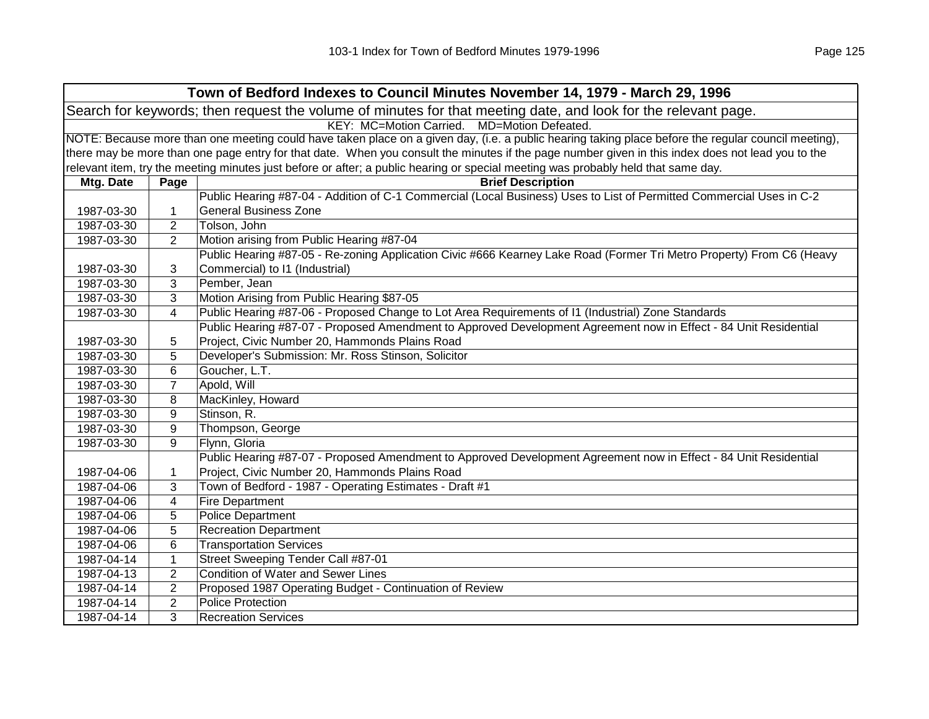|            | Town of Bedford Indexes to Council Minutes November 14, 1979 - March 29, 1996                                                                       |                                                                                                                                                   |  |  |  |
|------------|-----------------------------------------------------------------------------------------------------------------------------------------------------|---------------------------------------------------------------------------------------------------------------------------------------------------|--|--|--|
|            | Search for keywords; then request the volume of minutes for that meeting date, and look for the relevant page.                                      |                                                                                                                                                   |  |  |  |
|            | KEY: MC=Motion Carried. MD=Motion Defeated.                                                                                                         |                                                                                                                                                   |  |  |  |
|            | NOTE: Because more than one meeting could have taken place on a given day, (i.e. a public hearing taking place before the regular council meeting), |                                                                                                                                                   |  |  |  |
|            |                                                                                                                                                     | there may be more than one page entry for that date. When you consult the minutes if the page number given in this index does not lead you to the |  |  |  |
|            |                                                                                                                                                     | relevant item, try the meeting minutes just before or after; a public hearing or special meeting was probably held that same day.                 |  |  |  |
| Mtg. Date  | Page                                                                                                                                                | <b>Brief Description</b>                                                                                                                          |  |  |  |
|            |                                                                                                                                                     | Public Hearing #87-04 - Addition of C-1 Commercial (Local Business) Uses to List of Permitted Commercial Uses in C-2                              |  |  |  |
| 1987-03-30 | 1                                                                                                                                                   | <b>General Business Zone</b>                                                                                                                      |  |  |  |
| 1987-03-30 | $\overline{2}$                                                                                                                                      | Tolson, John                                                                                                                                      |  |  |  |
| 1987-03-30 | $\overline{2}$                                                                                                                                      | Motion arising from Public Hearing #87-04                                                                                                         |  |  |  |
|            |                                                                                                                                                     | Public Hearing #87-05 - Re-zoning Application Civic #666 Kearney Lake Road (Former Tri Metro Property) From C6 (Heavy                             |  |  |  |
| 1987-03-30 | 3                                                                                                                                                   | Commercial) to I1 (Industrial)                                                                                                                    |  |  |  |
| 1987-03-30 | 3                                                                                                                                                   | Pember, Jean                                                                                                                                      |  |  |  |
| 1987-03-30 | $\mathbf{3}$                                                                                                                                        | Motion Arising from Public Hearing \$87-05                                                                                                        |  |  |  |
| 1987-03-30 | $\overline{4}$                                                                                                                                      | Public Hearing #87-06 - Proposed Change to Lot Area Requirements of I1 (Industrial) Zone Standards                                                |  |  |  |
|            |                                                                                                                                                     | Public Hearing #87-07 - Proposed Amendment to Approved Development Agreement now in Effect - 84 Unit Residential                                  |  |  |  |
| 1987-03-30 | 5                                                                                                                                                   | Project, Civic Number 20, Hammonds Plains Road                                                                                                    |  |  |  |
| 1987-03-30 | 5                                                                                                                                                   | Developer's Submission: Mr. Ross Stinson, Solicitor                                                                                               |  |  |  |
| 1987-03-30 | 6                                                                                                                                                   | Goucher, L.T.                                                                                                                                     |  |  |  |
| 1987-03-30 | $\overline{7}$                                                                                                                                      | Apold, Will                                                                                                                                       |  |  |  |
| 1987-03-30 | 8                                                                                                                                                   | MacKinley, Howard                                                                                                                                 |  |  |  |
| 1987-03-30 | 9                                                                                                                                                   | Stinson, R.                                                                                                                                       |  |  |  |
| 1987-03-30 | 9                                                                                                                                                   | Thompson, George                                                                                                                                  |  |  |  |
| 1987-03-30 | 9                                                                                                                                                   | Flynn, Gloria                                                                                                                                     |  |  |  |
|            |                                                                                                                                                     | Public Hearing #87-07 - Proposed Amendment to Approved Development Agreement now in Effect - 84 Unit Residential                                  |  |  |  |
| 1987-04-06 | 1                                                                                                                                                   | Project, Civic Number 20, Hammonds Plains Road                                                                                                    |  |  |  |
| 1987-04-06 | 3                                                                                                                                                   | Town of Bedford - 1987 - Operating Estimates - Draft #1                                                                                           |  |  |  |
| 1987-04-06 | 4                                                                                                                                                   | <b>Fire Department</b>                                                                                                                            |  |  |  |
| 1987-04-06 | 5                                                                                                                                                   | <b>Police Department</b>                                                                                                                          |  |  |  |
| 1987-04-06 | 5                                                                                                                                                   | <b>Recreation Department</b>                                                                                                                      |  |  |  |
| 1987-04-06 | 6                                                                                                                                                   | <b>Transportation Services</b>                                                                                                                    |  |  |  |
| 1987-04-14 | 1                                                                                                                                                   | Street Sweeping Tender Call #87-01                                                                                                                |  |  |  |
| 1987-04-13 | $\overline{2}$                                                                                                                                      | <b>Condition of Water and Sewer Lines</b>                                                                                                         |  |  |  |
| 1987-04-14 | $\overline{2}$                                                                                                                                      | Proposed 1987 Operating Budget - Continuation of Review                                                                                           |  |  |  |
| 1987-04-14 | $\overline{c}$                                                                                                                                      | Police Protection                                                                                                                                 |  |  |  |
| 1987-04-14 | 3                                                                                                                                                   | <b>Recreation Services</b>                                                                                                                        |  |  |  |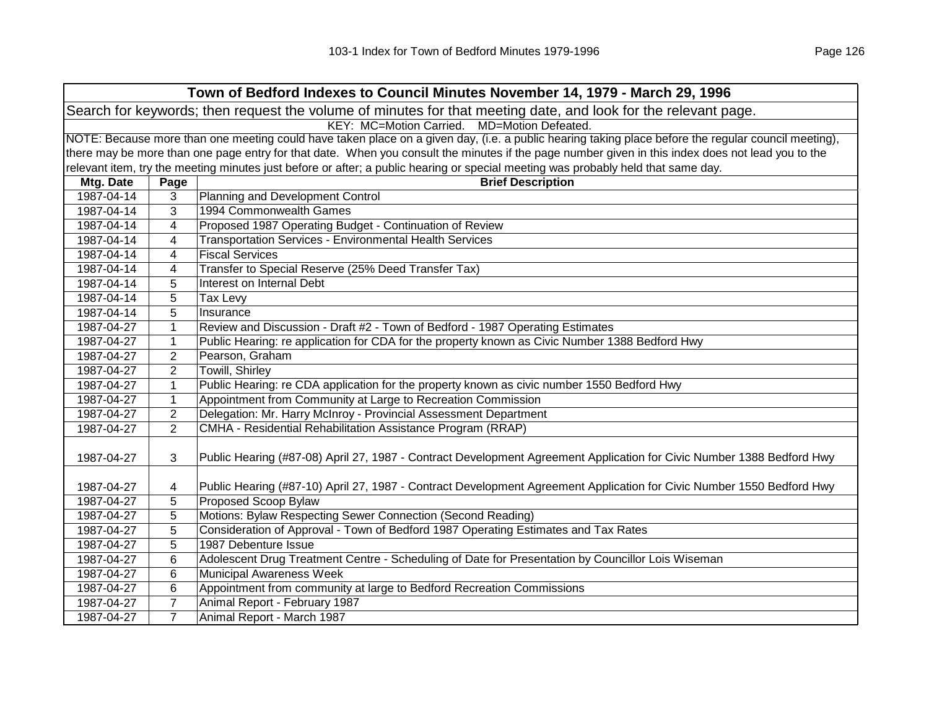| Town of Bedford Indexes to Council Minutes November 14, 1979 - March 29, 1996                                  |                                                                                                                                                     |                                                                                                                                   |  |
|----------------------------------------------------------------------------------------------------------------|-----------------------------------------------------------------------------------------------------------------------------------------------------|-----------------------------------------------------------------------------------------------------------------------------------|--|
| Search for keywords; then request the volume of minutes for that meeting date, and look for the relevant page. |                                                                                                                                                     |                                                                                                                                   |  |
| KEY: MC=Motion Carried. MD=Motion Defeated.                                                                    |                                                                                                                                                     |                                                                                                                                   |  |
|                                                                                                                | NOTE: Because more than one meeting could have taken place on a given day, (i.e. a public hearing taking place before the regular council meeting), |                                                                                                                                   |  |
|                                                                                                                | there may be more than one page entry for that date. When you consult the minutes if the page number given in this index does not lead you to the   |                                                                                                                                   |  |
|                                                                                                                |                                                                                                                                                     | relevant item, try the meeting minutes just before or after; a public hearing or special meeting was probably held that same day. |  |
| Mtg. Date                                                                                                      | Page                                                                                                                                                | <b>Brief Description</b>                                                                                                          |  |
| 1987-04-14                                                                                                     | 3                                                                                                                                                   | Planning and Development Control                                                                                                  |  |
| 1987-04-14                                                                                                     | 3                                                                                                                                                   | 1994 Commonwealth Games                                                                                                           |  |
| 1987-04-14                                                                                                     | 4                                                                                                                                                   | Proposed 1987 Operating Budget - Continuation of Review                                                                           |  |
| 1987-04-14                                                                                                     | 4                                                                                                                                                   | <b>Transportation Services - Environmental Health Services</b>                                                                    |  |
| 1987-04-14                                                                                                     | 4                                                                                                                                                   | <b>Fiscal Services</b>                                                                                                            |  |
| 1987-04-14                                                                                                     | 4                                                                                                                                                   | Transfer to Special Reserve (25% Deed Transfer Tax)                                                                               |  |
| 1987-04-14                                                                                                     | 5                                                                                                                                                   | Interest on Internal Debt                                                                                                         |  |
| 1987-04-14                                                                                                     | 5                                                                                                                                                   | Tax Levy                                                                                                                          |  |
| 1987-04-14                                                                                                     | 5                                                                                                                                                   | Insurance                                                                                                                         |  |
| 1987-04-27                                                                                                     | $\mathbf{1}$                                                                                                                                        | Review and Discussion - Draft #2 - Town of Bedford - 1987 Operating Estimates                                                     |  |
| 1987-04-27                                                                                                     | $\mathbf{1}$                                                                                                                                        | Public Hearing: re application for CDA for the property known as Civic Number 1388 Bedford Hwy                                    |  |
| 1987-04-27                                                                                                     | 2                                                                                                                                                   | Pearson, Graham                                                                                                                   |  |
| 1987-04-27                                                                                                     | $\overline{2}$                                                                                                                                      | Towill, Shirley                                                                                                                   |  |
| 1987-04-27                                                                                                     | $\mathbf{1}$                                                                                                                                        | Public Hearing: re CDA application for the property known as civic number 1550 Bedford Hwy                                        |  |
| 1987-04-27                                                                                                     | $\mathbf{1}$                                                                                                                                        | Appointment from Community at Large to Recreation Commission                                                                      |  |
| 1987-04-27                                                                                                     | $\overline{2}$                                                                                                                                      | Delegation: Mr. Harry McInroy - Provincial Assessment Department                                                                  |  |
| 1987-04-27                                                                                                     | $\overline{2}$                                                                                                                                      | CMHA - Residential Rehabilitation Assistance Program (RRAP)                                                                       |  |
| 1987-04-27                                                                                                     | 3                                                                                                                                                   | Public Hearing (#87-08) April 27, 1987 - Contract Development Agreement Application for Civic Number 1388 Bedford Hwy             |  |
|                                                                                                                |                                                                                                                                                     |                                                                                                                                   |  |
| 1987-04-27                                                                                                     | 4                                                                                                                                                   | Public Hearing (#87-10) April 27, 1987 - Contract Development Agreement Application for Civic Number 1550 Bedford Hwy             |  |
| 1987-04-27                                                                                                     | 5                                                                                                                                                   | Proposed Scoop Bylaw                                                                                                              |  |
| 1987-04-27                                                                                                     | 5                                                                                                                                                   | Motions: Bylaw Respecting Sewer Connection (Second Reading)                                                                       |  |
| 1987-04-27                                                                                                     | 5                                                                                                                                                   | Consideration of Approval - Town of Bedford 1987 Operating Estimates and Tax Rates                                                |  |
| 1987-04-27                                                                                                     | 5                                                                                                                                                   | 1987 Debenture Issue                                                                                                              |  |
| 1987-04-27                                                                                                     | 6                                                                                                                                                   | Adolescent Drug Treatment Centre - Scheduling of Date for Presentation by Councillor Lois Wiseman                                 |  |
| 1987-04-27                                                                                                     | 6                                                                                                                                                   | <b>Municipal Awareness Week</b>                                                                                                   |  |
| 1987-04-27                                                                                                     | $6\phantom{1}6$                                                                                                                                     | Appointment from community at large to Bedford Recreation Commissions                                                             |  |
| 1987-04-27                                                                                                     | $\overline{7}$                                                                                                                                      | Animal Report - February 1987                                                                                                     |  |
| 1987-04-27                                                                                                     | $\overline{7}$                                                                                                                                      | Animal Report - March 1987                                                                                                        |  |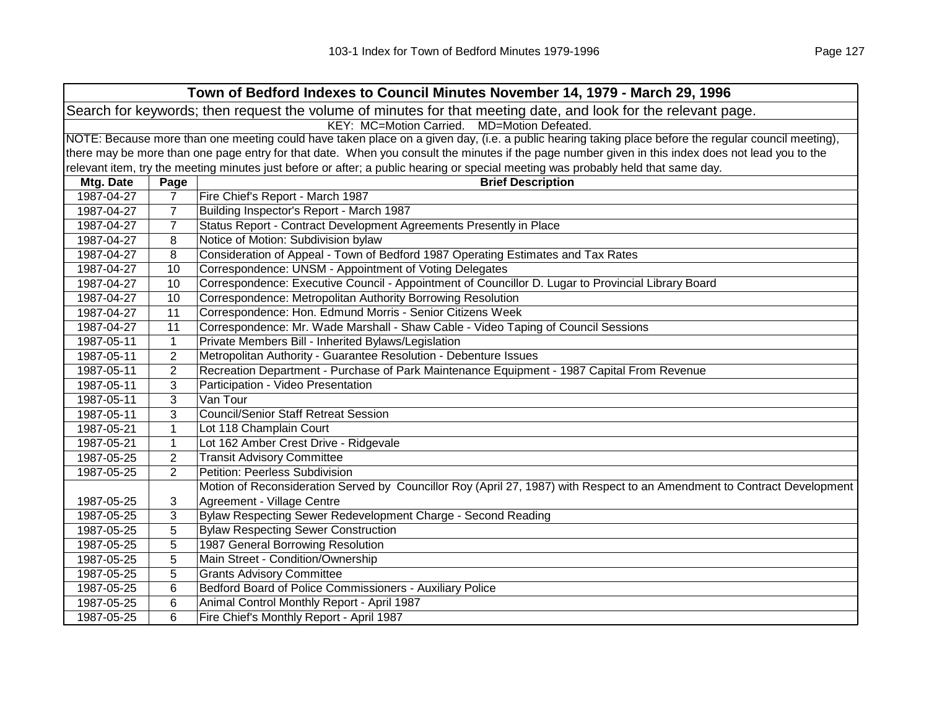| Town of Bedford Indexes to Council Minutes November 14, 1979 - March 29, 1996 |                                                                                                                |                                                                                                                                                     |  |
|-------------------------------------------------------------------------------|----------------------------------------------------------------------------------------------------------------|-----------------------------------------------------------------------------------------------------------------------------------------------------|--|
|                                                                               | Search for keywords; then request the volume of minutes for that meeting date, and look for the relevant page. |                                                                                                                                                     |  |
| KEY: MC=Motion Carried. MD=Motion Defeated.                                   |                                                                                                                |                                                                                                                                                     |  |
|                                                                               |                                                                                                                | NOTE: Because more than one meeting could have taken place on a given day, (i.e. a public hearing taking place before the regular council meeting), |  |
|                                                                               |                                                                                                                | there may be more than one page entry for that date. When you consult the minutes if the page number given in this index does not lead you to the   |  |
|                                                                               |                                                                                                                | relevant item, try the meeting minutes just before or after; a public hearing or special meeting was probably held that same day.                   |  |
| Mtg. Date                                                                     | Page                                                                                                           | <b>Brief Description</b>                                                                                                                            |  |
| 1987-04-27                                                                    | $\overline{7}$                                                                                                 | Fire Chief's Report - March 1987                                                                                                                    |  |
| 1987-04-27                                                                    | $\overline{7}$                                                                                                 | Building Inspector's Report - March 1987                                                                                                            |  |
| 1987-04-27                                                                    | $\overline{7}$                                                                                                 | Status Report - Contract Development Agreements Presently in Place                                                                                  |  |
| 1987-04-27                                                                    | 8                                                                                                              | Notice of Motion: Subdivision bylaw                                                                                                                 |  |
| 1987-04-27                                                                    | 8                                                                                                              | Consideration of Appeal - Town of Bedford 1987 Operating Estimates and Tax Rates                                                                    |  |
| 1987-04-27                                                                    | 10                                                                                                             | Correspondence: UNSM - Appointment of Voting Delegates                                                                                              |  |
| 1987-04-27                                                                    | 10                                                                                                             | Correspondence: Executive Council - Appointment of Councillor D. Lugar to Provincial Library Board                                                  |  |
| 1987-04-27                                                                    | 10                                                                                                             | Correspondence: Metropolitan Authority Borrowing Resolution                                                                                         |  |
| 1987-04-27                                                                    | 11                                                                                                             | Correspondence: Hon. Edmund Morris - Senior Citizens Week                                                                                           |  |
| 1987-04-27                                                                    | 11                                                                                                             | Correspondence: Mr. Wade Marshall - Shaw Cable - Video Taping of Council Sessions                                                                   |  |
| 1987-05-11                                                                    | $\mathbf{1}$                                                                                                   | Private Members Bill - Inherited Bylaws/Legislation                                                                                                 |  |
| 1987-05-11                                                                    | $\overline{2}$                                                                                                 | Metropolitan Authority - Guarantee Resolution - Debenture Issues                                                                                    |  |
| 1987-05-11                                                                    | $\overline{2}$                                                                                                 | Recreation Department - Purchase of Park Maintenance Equipment - 1987 Capital From Revenue                                                          |  |
| 1987-05-11                                                                    | 3                                                                                                              | Participation - Video Presentation                                                                                                                  |  |
| 1987-05-11                                                                    | 3                                                                                                              | Van Tour                                                                                                                                            |  |
| 1987-05-11                                                                    | 3                                                                                                              | <b>Council/Senior Staff Retreat Session</b>                                                                                                         |  |
| 1987-05-21                                                                    | $\mathbf{1}$                                                                                                   | Lot 118 Champlain Court                                                                                                                             |  |
| 1987-05-21                                                                    | $\mathbf{1}$                                                                                                   | Lot 162 Amber Crest Drive - Ridgevale                                                                                                               |  |
| 1987-05-25                                                                    | 2                                                                                                              | <b>Transit Advisory Committee</b>                                                                                                                   |  |
| 1987-05-25                                                                    | $\overline{2}$                                                                                                 | Petition: Peerless Subdivision                                                                                                                      |  |
|                                                                               |                                                                                                                | Motion of Reconsideration Served by Councillor Roy (April 27, 1987) with Respect to an Amendment to Contract Development                            |  |
| 1987-05-25                                                                    | 3                                                                                                              | Agreement - Village Centre                                                                                                                          |  |
| 1987-05-25                                                                    | 3                                                                                                              | Bylaw Respecting Sewer Redevelopment Charge - Second Reading                                                                                        |  |
| 1987-05-25                                                                    | 5                                                                                                              | <b>Bylaw Respecting Sewer Construction</b>                                                                                                          |  |
| 1987-05-25                                                                    | 5                                                                                                              | 1987 General Borrowing Resolution                                                                                                                   |  |
| 1987-05-25                                                                    | 5                                                                                                              | Main Street - Condition/Ownership                                                                                                                   |  |
| 1987-05-25                                                                    | 5                                                                                                              | <b>Grants Advisory Committee</b>                                                                                                                    |  |
| 1987-05-25                                                                    | 6                                                                                                              | Bedford Board of Police Commissioners - Auxiliary Police                                                                                            |  |
| 1987-05-25                                                                    | 6                                                                                                              | Animal Control Monthly Report - April 1987                                                                                                          |  |
| 1987-05-25                                                                    | 6                                                                                                              | Fire Chief's Monthly Report - April 1987                                                                                                            |  |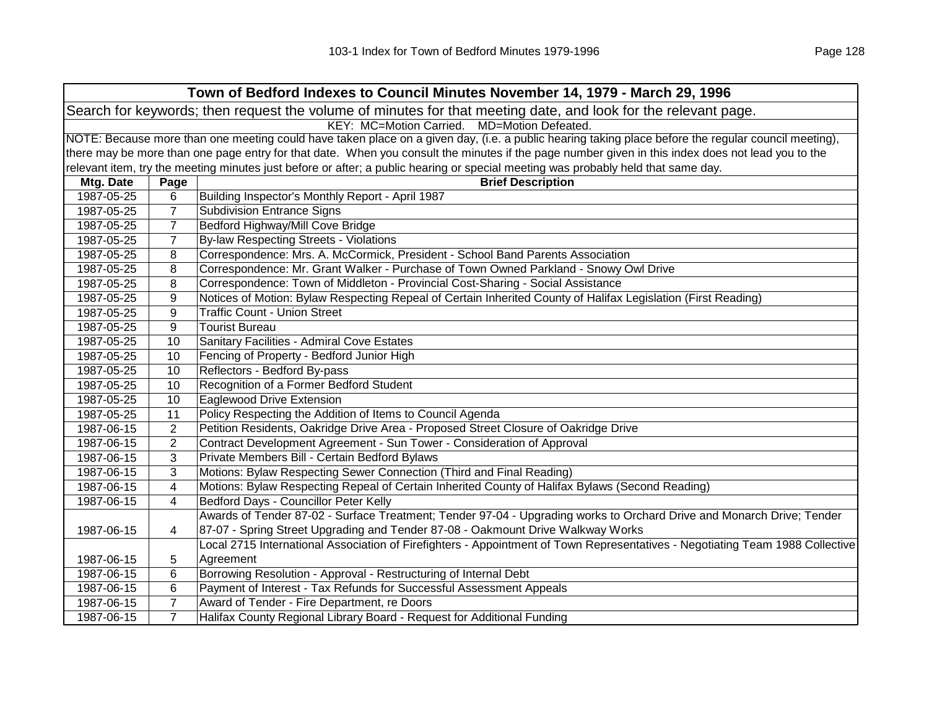|                                                                                                                |                                                                                                                                                     | Town of Bedford Indexes to Council Minutes November 14, 1979 - March 29, 1996                                                                     |  |  |
|----------------------------------------------------------------------------------------------------------------|-----------------------------------------------------------------------------------------------------------------------------------------------------|---------------------------------------------------------------------------------------------------------------------------------------------------|--|--|
| Search for keywords; then request the volume of minutes for that meeting date, and look for the relevant page. |                                                                                                                                                     |                                                                                                                                                   |  |  |
|                                                                                                                | KEY: MC=Motion Carried.<br>MD=Motion Defeated.                                                                                                      |                                                                                                                                                   |  |  |
|                                                                                                                | NOTE: Because more than one meeting could have taken place on a given day, (i.e. a public hearing taking place before the regular council meeting), |                                                                                                                                                   |  |  |
|                                                                                                                |                                                                                                                                                     | there may be more than one page entry for that date. When you consult the minutes if the page number given in this index does not lead you to the |  |  |
|                                                                                                                |                                                                                                                                                     | relevant item, try the meeting minutes just before or after; a public hearing or special meeting was probably held that same day.                 |  |  |
| Mtg. Date                                                                                                      | Page                                                                                                                                                | <b>Brief Description</b>                                                                                                                          |  |  |
| 1987-05-25                                                                                                     | 6                                                                                                                                                   | Building Inspector's Monthly Report - April 1987                                                                                                  |  |  |
| 1987-05-25                                                                                                     | 7                                                                                                                                                   | <b>Subdivision Entrance Signs</b>                                                                                                                 |  |  |
| 1987-05-25                                                                                                     | $\overline{7}$                                                                                                                                      | Bedford Highway/Mill Cove Bridge                                                                                                                  |  |  |
| 1987-05-25                                                                                                     | $\overline{7}$                                                                                                                                      | <b>By-law Respecting Streets - Violations</b>                                                                                                     |  |  |
| 1987-05-25                                                                                                     | 8                                                                                                                                                   | Correspondence: Mrs. A. McCormick, President - School Band Parents Association                                                                    |  |  |
| 1987-05-25                                                                                                     | 8                                                                                                                                                   | Correspondence: Mr. Grant Walker - Purchase of Town Owned Parkland - Snowy Owl Drive                                                              |  |  |
| 1987-05-25                                                                                                     | 8                                                                                                                                                   | Correspondence: Town of Middleton - Provincial Cost-Sharing - Social Assistance                                                                   |  |  |
| 1987-05-25                                                                                                     | 9                                                                                                                                                   | Notices of Motion: Bylaw Respecting Repeal of Certain Inherited County of Halifax Legislation (First Reading)                                     |  |  |
| 1987-05-25                                                                                                     | 9                                                                                                                                                   | <b>Traffic Count - Union Street</b>                                                                                                               |  |  |
| 1987-05-25                                                                                                     | 9                                                                                                                                                   | <b>Tourist Bureau</b>                                                                                                                             |  |  |
| 1987-05-25                                                                                                     | 10                                                                                                                                                  | Sanitary Facilities - Admiral Cove Estates                                                                                                        |  |  |
| 1987-05-25                                                                                                     | 10                                                                                                                                                  | Fencing of Property - Bedford Junior High                                                                                                         |  |  |
| 1987-05-25                                                                                                     | 10                                                                                                                                                  | Reflectors - Bedford By-pass                                                                                                                      |  |  |
| 1987-05-25                                                                                                     | 10                                                                                                                                                  | Recognition of a Former Bedford Student                                                                                                           |  |  |
| 1987-05-25                                                                                                     | 10                                                                                                                                                  | Eaglewood Drive Extension                                                                                                                         |  |  |
| 1987-05-25                                                                                                     | 11                                                                                                                                                  | Policy Respecting the Addition of Items to Council Agenda                                                                                         |  |  |
| 1987-06-15                                                                                                     | 2                                                                                                                                                   | Petition Residents, Oakridge Drive Area - Proposed Street Closure of Oakridge Drive                                                               |  |  |
| 1987-06-15                                                                                                     | $\overline{2}$                                                                                                                                      | Contract Development Agreement - Sun Tower - Consideration of Approval                                                                            |  |  |
| 1987-06-15                                                                                                     | 3                                                                                                                                                   | Private Members Bill - Certain Bedford Bylaws                                                                                                     |  |  |
| 1987-06-15                                                                                                     | 3                                                                                                                                                   | Motions: Bylaw Respecting Sewer Connection (Third and Final Reading)                                                                              |  |  |
| 1987-06-15                                                                                                     | 4                                                                                                                                                   | Motions: Bylaw Respecting Repeal of Certain Inherited County of Halifax Bylaws (Second Reading)                                                   |  |  |
| 1987-06-15                                                                                                     | 4                                                                                                                                                   | Bedford Days - Councillor Peter Kelly                                                                                                             |  |  |
|                                                                                                                |                                                                                                                                                     | Awards of Tender 87-02 - Surface Treatment; Tender 97-04 - Upgrading works to Orchard Drive and Monarch Drive; Tender                             |  |  |
| 1987-06-15                                                                                                     | 4                                                                                                                                                   | 87-07 - Spring Street Upgrading and Tender 87-08 - Oakmount Drive Walkway Works                                                                   |  |  |
|                                                                                                                |                                                                                                                                                     | Local 2715 International Association of Firefighters - Appointment of Town Representatives - Negotiating Team 1988 Collective                     |  |  |
| 1987-06-15                                                                                                     | 5                                                                                                                                                   | Agreement                                                                                                                                         |  |  |
| 1987-06-15                                                                                                     | 6                                                                                                                                                   | Borrowing Resolution - Approval - Restructuring of Internal Debt                                                                                  |  |  |
| 1987-06-15                                                                                                     | 6                                                                                                                                                   | Payment of Interest - Tax Refunds for Successful Assessment Appeals                                                                               |  |  |
| 1987-06-15                                                                                                     | $\overline{7}$                                                                                                                                      | Award of Tender - Fire Department, re Doors                                                                                                       |  |  |
| 1987-06-15                                                                                                     | $\overline{7}$                                                                                                                                      | Halifax County Regional Library Board - Request for Additional Funding                                                                            |  |  |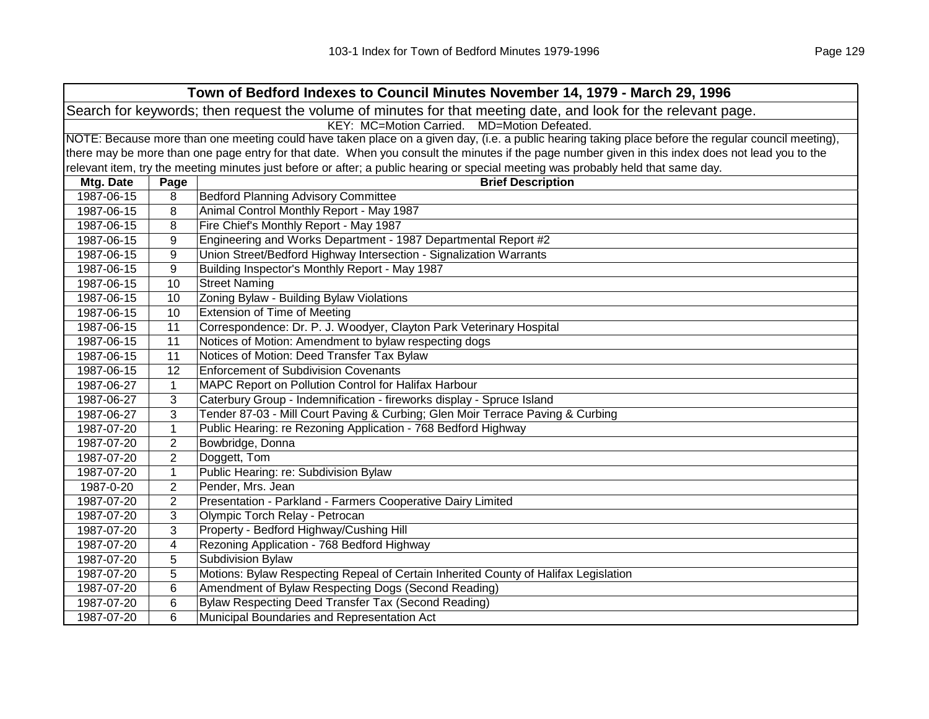|                                                                                                                |                                                                                                                                                     | Town of Bedford Indexes to Council Minutes November 14, 1979 - March 29, 1996                                                                     |  |  |
|----------------------------------------------------------------------------------------------------------------|-----------------------------------------------------------------------------------------------------------------------------------------------------|---------------------------------------------------------------------------------------------------------------------------------------------------|--|--|
| Search for keywords; then request the volume of minutes for that meeting date, and look for the relevant page. |                                                                                                                                                     |                                                                                                                                                   |  |  |
|                                                                                                                | KEY: MC=Motion Carried. MD=Motion Defeated.                                                                                                         |                                                                                                                                                   |  |  |
|                                                                                                                | NOTE: Because more than one meeting could have taken place on a given day, (i.e. a public hearing taking place before the regular council meeting), |                                                                                                                                                   |  |  |
|                                                                                                                |                                                                                                                                                     | there may be more than one page entry for that date. When you consult the minutes if the page number given in this index does not lead you to the |  |  |
|                                                                                                                |                                                                                                                                                     | relevant item, try the meeting minutes just before or after; a public hearing or special meeting was probably held that same day.                 |  |  |
| Mtg. Date                                                                                                      | Page                                                                                                                                                | <b>Brief Description</b>                                                                                                                          |  |  |
| 1987-06-15                                                                                                     | 8                                                                                                                                                   | <b>Bedford Planning Advisory Committee</b>                                                                                                        |  |  |
| 1987-06-15                                                                                                     | 8                                                                                                                                                   | Animal Control Monthly Report - May 1987                                                                                                          |  |  |
| 1987-06-15                                                                                                     | 8                                                                                                                                                   | Fire Chief's Monthly Report - May 1987                                                                                                            |  |  |
| 1987-06-15                                                                                                     | 9                                                                                                                                                   | Engineering and Works Department - 1987 Departmental Report #2                                                                                    |  |  |
| 1987-06-15                                                                                                     | 9                                                                                                                                                   | Union Street/Bedford Highway Intersection - Signalization Warrants                                                                                |  |  |
| 1987-06-15                                                                                                     | 9                                                                                                                                                   | Building Inspector's Monthly Report - May 1987                                                                                                    |  |  |
| 1987-06-15                                                                                                     | 10                                                                                                                                                  | <b>Street Naming</b>                                                                                                                              |  |  |
| 1987-06-15                                                                                                     | 10                                                                                                                                                  | Zoning Bylaw - Building Bylaw Violations                                                                                                          |  |  |
| 1987-06-15                                                                                                     | 10                                                                                                                                                  | <b>Extension of Time of Meeting</b>                                                                                                               |  |  |
| 1987-06-15                                                                                                     | 11                                                                                                                                                  | Correspondence: Dr. P. J. Woodyer, Clayton Park Veterinary Hospital                                                                               |  |  |
| 1987-06-15                                                                                                     | 11                                                                                                                                                  | Notices of Motion: Amendment to bylaw respecting dogs                                                                                             |  |  |
| 1987-06-15                                                                                                     | 11                                                                                                                                                  | Notices of Motion: Deed Transfer Tax Bylaw                                                                                                        |  |  |
| 1987-06-15                                                                                                     | 12                                                                                                                                                  | <b>Enforcement of Subdivision Covenants</b>                                                                                                       |  |  |
| 1987-06-27                                                                                                     | $\mathbf{1}$                                                                                                                                        | MAPC Report on Pollution Control for Halifax Harbour                                                                                              |  |  |
| 1987-06-27                                                                                                     | 3                                                                                                                                                   | Caterbury Group - Indemnification - fireworks display - Spruce Island                                                                             |  |  |
| 1987-06-27                                                                                                     | 3                                                                                                                                                   | Tender 87-03 - Mill Court Paving & Curbing; Glen Moir Terrace Paving & Curbing                                                                    |  |  |
| 1987-07-20                                                                                                     | $\mathbf{1}$                                                                                                                                        | Public Hearing: re Rezoning Application - 768 Bedford Highway                                                                                     |  |  |
| 1987-07-20                                                                                                     | $\overline{2}$                                                                                                                                      | Bowbridge, Donna                                                                                                                                  |  |  |
| 1987-07-20                                                                                                     | $\overline{2}$                                                                                                                                      | Doggett, Tom                                                                                                                                      |  |  |
| 1987-07-20                                                                                                     | $\mathbf 1$                                                                                                                                         | Public Hearing: re: Subdivision Bylaw                                                                                                             |  |  |
| 1987-0-20                                                                                                      | $\overline{2}$                                                                                                                                      | Pender, Mrs. Jean                                                                                                                                 |  |  |
| 1987-07-20                                                                                                     | $\overline{2}$                                                                                                                                      | Presentation - Parkland - Farmers Cooperative Dairy Limited                                                                                       |  |  |
| 1987-07-20                                                                                                     | 3                                                                                                                                                   | Olympic Torch Relay - Petrocan                                                                                                                    |  |  |
| 1987-07-20                                                                                                     | 3                                                                                                                                                   | Property - Bedford Highway/Cushing Hill                                                                                                           |  |  |
| 1987-07-20                                                                                                     | 4                                                                                                                                                   | Rezoning Application - 768 Bedford Highway                                                                                                        |  |  |
| 1987-07-20                                                                                                     | 5                                                                                                                                                   | Subdivision Bylaw                                                                                                                                 |  |  |
| 1987-07-20                                                                                                     | 5                                                                                                                                                   | Motions: Bylaw Respecting Repeal of Certain Inherited County of Halifax Legislation                                                               |  |  |
| 1987-07-20                                                                                                     | 6                                                                                                                                                   | Amendment of Bylaw Respecting Dogs (Second Reading)                                                                                               |  |  |
| 1987-07-20                                                                                                     | 6                                                                                                                                                   | Bylaw Respecting Deed Transfer Tax (Second Reading)                                                                                               |  |  |
| 1987-07-20                                                                                                     | 6                                                                                                                                                   | Municipal Boundaries and Representation Act                                                                                                       |  |  |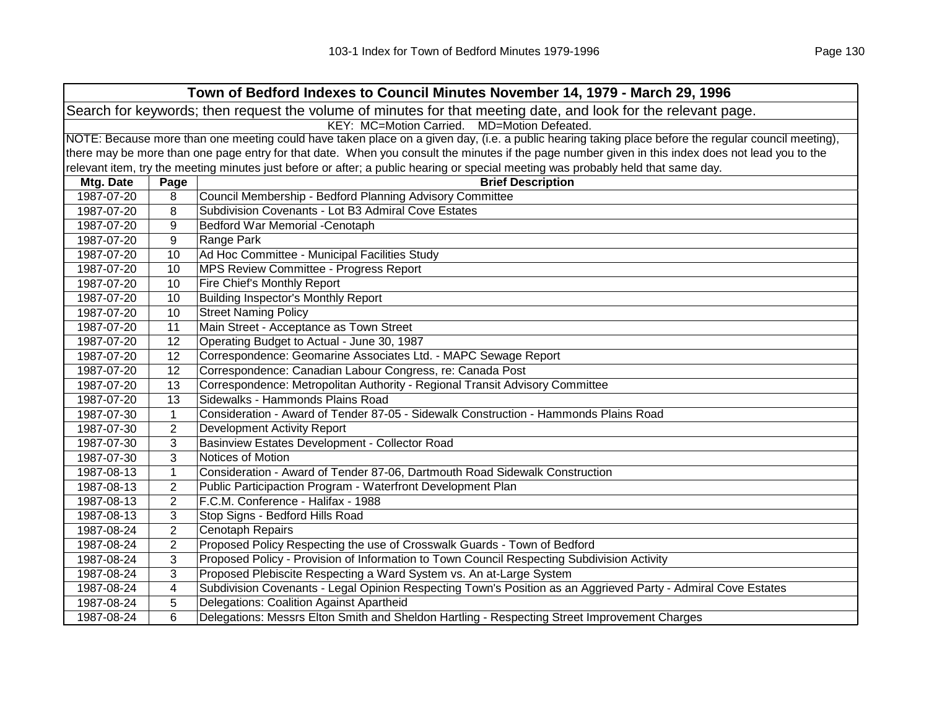| Town of Bedford Indexes to Council Minutes November 14, 1979 - March 29, 1996                                  |                                                                                                                                                     |                                                                                                                                                   |  |  |
|----------------------------------------------------------------------------------------------------------------|-----------------------------------------------------------------------------------------------------------------------------------------------------|---------------------------------------------------------------------------------------------------------------------------------------------------|--|--|
| Search for keywords; then request the volume of minutes for that meeting date, and look for the relevant page. |                                                                                                                                                     |                                                                                                                                                   |  |  |
|                                                                                                                | KEY: MC=Motion Carried.<br>MD=Motion Defeated.                                                                                                      |                                                                                                                                                   |  |  |
|                                                                                                                | NOTE: Because more than one meeting could have taken place on a given day, (i.e. a public hearing taking place before the regular council meeting), |                                                                                                                                                   |  |  |
|                                                                                                                |                                                                                                                                                     | there may be more than one page entry for that date. When you consult the minutes if the page number given in this index does not lead you to the |  |  |
|                                                                                                                |                                                                                                                                                     | relevant item, try the meeting minutes just before or after; a public hearing or special meeting was probably held that same day.                 |  |  |
| Mtg. Date                                                                                                      | Page                                                                                                                                                | <b>Brief Description</b>                                                                                                                          |  |  |
| 1987-07-20                                                                                                     | 8                                                                                                                                                   | Council Membership - Bedford Planning Advisory Committee                                                                                          |  |  |
| 1987-07-20                                                                                                     | 8                                                                                                                                                   | Subdivision Covenants - Lot B3 Admiral Cove Estates                                                                                               |  |  |
| 1987-07-20                                                                                                     | 9                                                                                                                                                   | Bedford War Memorial -Cenotaph                                                                                                                    |  |  |
| 1987-07-20                                                                                                     | 9                                                                                                                                                   | Range Park                                                                                                                                        |  |  |
| 1987-07-20                                                                                                     | 10                                                                                                                                                  | Ad Hoc Committee - Municipal Facilities Study                                                                                                     |  |  |
| 1987-07-20                                                                                                     | 10                                                                                                                                                  | MPS Review Committee - Progress Report                                                                                                            |  |  |
| 1987-07-20                                                                                                     | 10                                                                                                                                                  | Fire Chief's Monthly Report                                                                                                                       |  |  |
| 1987-07-20                                                                                                     | 10                                                                                                                                                  | Building Inspector's Monthly Report                                                                                                               |  |  |
| 1987-07-20                                                                                                     | 10                                                                                                                                                  | <b>Street Naming Policy</b>                                                                                                                       |  |  |
| 1987-07-20                                                                                                     | 11                                                                                                                                                  | Main Street - Acceptance as Town Street                                                                                                           |  |  |
| 1987-07-20                                                                                                     | 12                                                                                                                                                  | Operating Budget to Actual - June 30, 1987                                                                                                        |  |  |
| 1987-07-20                                                                                                     | 12                                                                                                                                                  | Correspondence: Geomarine Associates Ltd. - MAPC Sewage Report                                                                                    |  |  |
| 1987-07-20                                                                                                     | 12                                                                                                                                                  | Correspondence: Canadian Labour Congress, re: Canada Post                                                                                         |  |  |
| 1987-07-20                                                                                                     | 13                                                                                                                                                  | Correspondence: Metropolitan Authority - Regional Transit Advisory Committee                                                                      |  |  |
| 1987-07-20                                                                                                     | 13                                                                                                                                                  | Sidewalks - Hammonds Plains Road                                                                                                                  |  |  |
| 1987-07-30                                                                                                     | $\mathbf{1}$                                                                                                                                        | Consideration - Award of Tender 87-05 - Sidewalk Construction - Hammonds Plains Road                                                              |  |  |
| 1987-07-30                                                                                                     | $\overline{2}$                                                                                                                                      | <b>Development Activity Report</b>                                                                                                                |  |  |
| 1987-07-30                                                                                                     | 3                                                                                                                                                   | Basinview Estates Development - Collector Road                                                                                                    |  |  |
| 1987-07-30                                                                                                     | 3                                                                                                                                                   | Notices of Motion                                                                                                                                 |  |  |
| 1987-08-13                                                                                                     | $\mathbf{1}$                                                                                                                                        | Consideration - Award of Tender 87-06, Dartmouth Road Sidewalk Construction                                                                       |  |  |
| 1987-08-13                                                                                                     | $\overline{2}$                                                                                                                                      | Public Participaction Program - Waterfront Development Plan                                                                                       |  |  |
| 1987-08-13                                                                                                     | $\overline{2}$                                                                                                                                      | F.C.M. Conference - Halifax - 1988                                                                                                                |  |  |
| 1987-08-13                                                                                                     | 3                                                                                                                                                   | Stop Signs - Bedford Hills Road                                                                                                                   |  |  |
| 1987-08-24                                                                                                     | $\overline{2}$                                                                                                                                      | Cenotaph Repairs                                                                                                                                  |  |  |
| 1987-08-24                                                                                                     | $\overline{2}$                                                                                                                                      | Proposed Policy Respecting the use of Crosswalk Guards - Town of Bedford                                                                          |  |  |
| 1987-08-24                                                                                                     | 3                                                                                                                                                   | Proposed Policy - Provision of Information to Town Council Respecting Subdivision Activity                                                        |  |  |
| 1987-08-24                                                                                                     | 3                                                                                                                                                   | Proposed Plebiscite Respecting a Ward System vs. An at-Large System                                                                               |  |  |
| 1987-08-24                                                                                                     | 4                                                                                                                                                   | Subdivision Covenants - Legal Opinion Respecting Town's Position as an Aggrieved Party - Admiral Cove Estates                                     |  |  |
| 1987-08-24                                                                                                     | 5                                                                                                                                                   | Delegations: Coalition Against Apartheid                                                                                                          |  |  |
| 1987-08-24                                                                                                     | 6                                                                                                                                                   | Delegations: Messrs Elton Smith and Sheldon Hartling - Respecting Street Improvement Charges                                                      |  |  |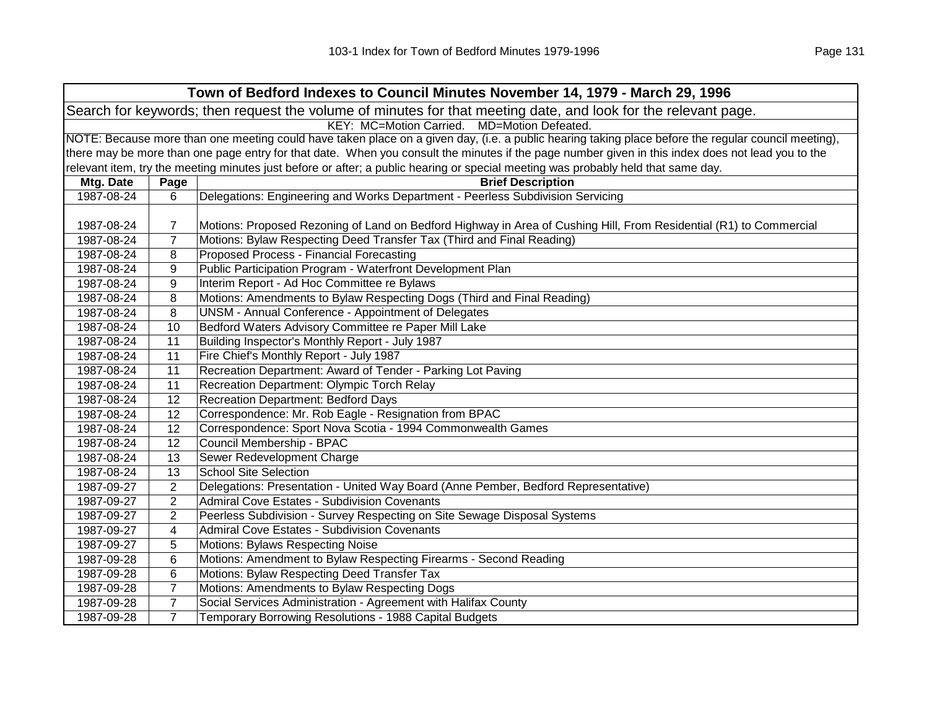| Town of Bedford Indexes to Council Minutes November 14, 1979 - March 29, 1996 |                                                                                                                                                     |                                                                                                                                                   |  |  |  |
|-------------------------------------------------------------------------------|-----------------------------------------------------------------------------------------------------------------------------------------------------|---------------------------------------------------------------------------------------------------------------------------------------------------|--|--|--|
|                                                                               | Search for keywords; then request the volume of minutes for that meeting date, and look for the relevant page.                                      |                                                                                                                                                   |  |  |  |
|                                                                               |                                                                                                                                                     | KEY: MC=Motion Carried. MD=Motion Defeated.                                                                                                       |  |  |  |
|                                                                               | NOTE: Because more than one meeting could have taken place on a given day, (i.e. a public hearing taking place before the regular council meeting), |                                                                                                                                                   |  |  |  |
|                                                                               |                                                                                                                                                     | there may be more than one page entry for that date. When you consult the minutes if the page number given in this index does not lead you to the |  |  |  |
|                                                                               |                                                                                                                                                     | relevant item, try the meeting minutes just before or after; a public hearing or special meeting was probably held that same day.                 |  |  |  |
| Mtg. Date                                                                     | Page                                                                                                                                                | <b>Brief Description</b>                                                                                                                          |  |  |  |
| 1987-08-24                                                                    | 6                                                                                                                                                   | Delegations: Engineering and Works Department - Peerless Subdivision Servicing                                                                    |  |  |  |
|                                                                               |                                                                                                                                                     |                                                                                                                                                   |  |  |  |
| 1987-08-24                                                                    | $\overline{7}$                                                                                                                                      | Motions: Proposed Rezoning of Land on Bedford Highway in Area of Cushing Hill, From Residential (R1) to Commercial                                |  |  |  |
| 1987-08-24                                                                    | $\overline{7}$                                                                                                                                      | Motions: Bylaw Respecting Deed Transfer Tax (Third and Final Reading)                                                                             |  |  |  |
| 1987-08-24                                                                    | 8                                                                                                                                                   | Proposed Process - Financial Forecasting                                                                                                          |  |  |  |
| 1987-08-24                                                                    | 9                                                                                                                                                   | Public Participation Program - Waterfront Development Plan                                                                                        |  |  |  |
| 1987-08-24                                                                    | 9                                                                                                                                                   | Interim Report - Ad Hoc Committee re Bylaws                                                                                                       |  |  |  |
| 1987-08-24                                                                    | 8                                                                                                                                                   | Motions: Amendments to Bylaw Respecting Dogs (Third and Final Reading)                                                                            |  |  |  |
| 1987-08-24                                                                    | 8                                                                                                                                                   | UNSM - Annual Conference - Appointment of Delegates                                                                                               |  |  |  |
| 1987-08-24                                                                    | 10                                                                                                                                                  | Bedford Waters Advisory Committee re Paper Mill Lake                                                                                              |  |  |  |
| 1987-08-24                                                                    | 11                                                                                                                                                  | Building Inspector's Monthly Report - July 1987                                                                                                   |  |  |  |
| 1987-08-24                                                                    | 11                                                                                                                                                  | Fire Chief's Monthly Report - July 1987                                                                                                           |  |  |  |
| 1987-08-24                                                                    | 11                                                                                                                                                  | Recreation Department: Award of Tender - Parking Lot Paving                                                                                       |  |  |  |
| 1987-08-24                                                                    | 11                                                                                                                                                  | Recreation Department: Olympic Torch Relay                                                                                                        |  |  |  |
| 1987-08-24                                                                    | 12                                                                                                                                                  | Recreation Department: Bedford Days                                                                                                               |  |  |  |
| 1987-08-24                                                                    | 12                                                                                                                                                  | Correspondence: Mr. Rob Eagle - Resignation from BPAC                                                                                             |  |  |  |
| 1987-08-24                                                                    | 12                                                                                                                                                  | Correspondence: Sport Nova Scotia - 1994 Commonwealth Games                                                                                       |  |  |  |
| 1987-08-24                                                                    | 12                                                                                                                                                  | Council Membership - BPAC                                                                                                                         |  |  |  |
| 1987-08-24                                                                    | 13                                                                                                                                                  | Sewer Redevelopment Charge                                                                                                                        |  |  |  |
| 1987-08-24                                                                    | 13                                                                                                                                                  | <b>School Site Selection</b>                                                                                                                      |  |  |  |
| 1987-09-27                                                                    | $\overline{2}$                                                                                                                                      | Delegations: Presentation - United Way Board (Anne Pember, Bedford Representative)                                                                |  |  |  |
| 1987-09-27                                                                    | $\overline{2}$                                                                                                                                      | Admiral Cove Estates - Subdivision Covenants                                                                                                      |  |  |  |
| 1987-09-27                                                                    | $\overline{2}$                                                                                                                                      | Peerless Subdivision - Survey Respecting on Site Sewage Disposal Systems                                                                          |  |  |  |
| 1987-09-27                                                                    | 4                                                                                                                                                   | Admiral Cove Estates - Subdivision Covenants                                                                                                      |  |  |  |
| 1987-09-27                                                                    | 5                                                                                                                                                   | Motions: Bylaws Respecting Noise                                                                                                                  |  |  |  |
| 1987-09-28                                                                    | 6                                                                                                                                                   | Motions: Amendment to Bylaw Respecting Firearms - Second Reading                                                                                  |  |  |  |
| 1987-09-28                                                                    | 6                                                                                                                                                   | Motions: Bylaw Respecting Deed Transfer Tax                                                                                                       |  |  |  |
| 1987-09-28                                                                    | $\overline{7}$                                                                                                                                      | Motions: Amendments to Bylaw Respecting Dogs                                                                                                      |  |  |  |
| 1987-09-28                                                                    | $\overline{7}$                                                                                                                                      | Social Services Administration - Agreement with Halifax County                                                                                    |  |  |  |
| 1987-09-28                                                                    | $\overline{7}$                                                                                                                                      | Temporary Borrowing Resolutions - 1988 Capital Budgets                                                                                            |  |  |  |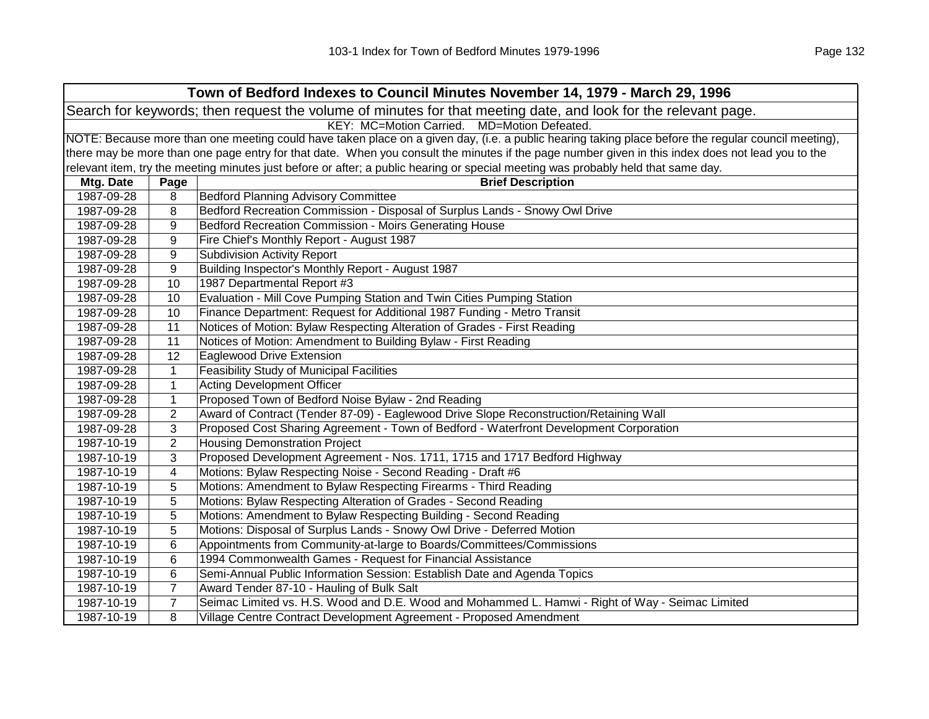| Town of Bedford Indexes to Council Minutes November 14, 1979 - March 29, 1996                                  |                                                                                                                                                     |                                                                                                                                   |  |  |  |
|----------------------------------------------------------------------------------------------------------------|-----------------------------------------------------------------------------------------------------------------------------------------------------|-----------------------------------------------------------------------------------------------------------------------------------|--|--|--|
| Search for keywords; then request the volume of minutes for that meeting date, and look for the relevant page. |                                                                                                                                                     |                                                                                                                                   |  |  |  |
|                                                                                                                | KEY: MC=Motion Carried. MD=Motion Defeated.                                                                                                         |                                                                                                                                   |  |  |  |
|                                                                                                                | NOTE: Because more than one meeting could have taken place on a given day, (i.e. a public hearing taking place before the regular council meeting), |                                                                                                                                   |  |  |  |
|                                                                                                                | there may be more than one page entry for that date. When you consult the minutes if the page number given in this index does not lead you to the   |                                                                                                                                   |  |  |  |
|                                                                                                                |                                                                                                                                                     | relevant item, try the meeting minutes just before or after; a public hearing or special meeting was probably held that same day. |  |  |  |
| Mtg. Date                                                                                                      | Page                                                                                                                                                | <b>Brief Description</b>                                                                                                          |  |  |  |
| 1987-09-28                                                                                                     | 8                                                                                                                                                   | <b>Bedford Planning Advisory Committee</b>                                                                                        |  |  |  |
| 1987-09-28                                                                                                     | 8                                                                                                                                                   | Bedford Recreation Commission - Disposal of Surplus Lands - Snowy Owl Drive                                                       |  |  |  |
| 1987-09-28                                                                                                     | 9                                                                                                                                                   | Bedford Recreation Commission - Moirs Generating House                                                                            |  |  |  |
| 1987-09-28                                                                                                     | 9                                                                                                                                                   | Fire Chief's Monthly Report - August 1987                                                                                         |  |  |  |
| 1987-09-28                                                                                                     | 9                                                                                                                                                   | <b>Subdivision Activity Report</b>                                                                                                |  |  |  |
| 1987-09-28                                                                                                     | 9                                                                                                                                                   | Building Inspector's Monthly Report - August 1987                                                                                 |  |  |  |
| 1987-09-28                                                                                                     | 10                                                                                                                                                  | 1987 Departmental Report #3                                                                                                       |  |  |  |
| 1987-09-28                                                                                                     | 10                                                                                                                                                  | Evaluation - Mill Cove Pumping Station and Twin Cities Pumping Station                                                            |  |  |  |
| 1987-09-28                                                                                                     | 10                                                                                                                                                  | Finance Department: Request for Additional 1987 Funding - Metro Transit                                                           |  |  |  |
| 1987-09-28                                                                                                     | 11                                                                                                                                                  | Notices of Motion: Bylaw Respecting Alteration of Grades - First Reading                                                          |  |  |  |
| 1987-09-28                                                                                                     | 11                                                                                                                                                  | Notices of Motion: Amendment to Building Bylaw - First Reading                                                                    |  |  |  |
| 1987-09-28                                                                                                     | 12                                                                                                                                                  | Eaglewood Drive Extension                                                                                                         |  |  |  |
| 1987-09-28                                                                                                     | 1                                                                                                                                                   | <b>Feasibility Study of Municipal Facilities</b>                                                                                  |  |  |  |
| 1987-09-28                                                                                                     | $\mathbf{1}$                                                                                                                                        | <b>Acting Development Officer</b>                                                                                                 |  |  |  |
| 1987-09-28                                                                                                     | 1                                                                                                                                                   | Proposed Town of Bedford Noise Bylaw - 2nd Reading                                                                                |  |  |  |
| 1987-09-28                                                                                                     | $\overline{2}$                                                                                                                                      | Award of Contract (Tender 87-09) - Eaglewood Drive Slope Reconstruction/Retaining Wall                                            |  |  |  |
| 1987-09-28                                                                                                     | 3                                                                                                                                                   | Proposed Cost Sharing Agreement - Town of Bedford - Waterfront Development Corporation                                            |  |  |  |
| 1987-10-19                                                                                                     | $\overline{2}$                                                                                                                                      | <b>Housing Demonstration Project</b>                                                                                              |  |  |  |
| 1987-10-19                                                                                                     | 3                                                                                                                                                   | Proposed Development Agreement - Nos. 1711, 1715 and 1717 Bedford Highway                                                         |  |  |  |
| 1987-10-19                                                                                                     | 4                                                                                                                                                   | Motions: Bylaw Respecting Noise - Second Reading - Draft #6                                                                       |  |  |  |
| 1987-10-19                                                                                                     | 5                                                                                                                                                   | Motions: Amendment to Bylaw Respecting Firearms - Third Reading                                                                   |  |  |  |
| 1987-10-19                                                                                                     | 5                                                                                                                                                   | Motions: Bylaw Respecting Alteration of Grades - Second Reading                                                                   |  |  |  |
| 1987-10-19                                                                                                     | 5                                                                                                                                                   | Motions: Amendment to Bylaw Respecting Building - Second Reading                                                                  |  |  |  |
| 1987-10-19                                                                                                     | 5                                                                                                                                                   | Motions: Disposal of Surplus Lands - Snowy Owl Drive - Deferred Motion                                                            |  |  |  |
| 1987-10-19                                                                                                     | 6                                                                                                                                                   | Appointments from Community-at-large to Boards/Committees/Commissions                                                             |  |  |  |
| 1987-10-19                                                                                                     | 6                                                                                                                                                   | 1994 Commonwealth Games - Request for Financial Assistance                                                                        |  |  |  |
| 1987-10-19                                                                                                     | 6                                                                                                                                                   | Semi-Annual Public Information Session: Establish Date and Agenda Topics                                                          |  |  |  |
| 1987-10-19                                                                                                     | $\overline{7}$                                                                                                                                      | Award Tender 87-10 - Hauling of Bulk Salt                                                                                         |  |  |  |
| 1987-10-19                                                                                                     | $\overline{7}$                                                                                                                                      | Seimac Limited vs. H.S. Wood and D.E. Wood and Mohammed L. Hamwi - Right of Way - Seimac Limited                                  |  |  |  |
| 1987-10-19                                                                                                     | 8                                                                                                                                                   | Village Centre Contract Development Agreement - Proposed Amendment                                                                |  |  |  |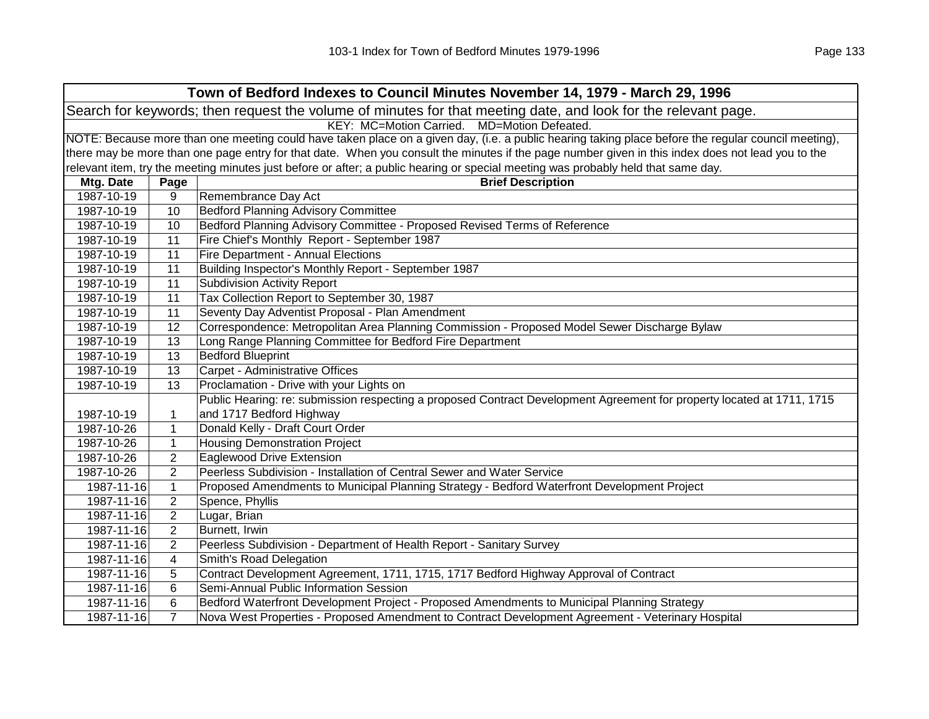|                                                                                                                |                                                                                                                                                     | Town of Bedford Indexes to Council Minutes November 14, 1979 - March 29, 1996                                                     |  |  |  |
|----------------------------------------------------------------------------------------------------------------|-----------------------------------------------------------------------------------------------------------------------------------------------------|-----------------------------------------------------------------------------------------------------------------------------------|--|--|--|
| Search for keywords; then request the volume of minutes for that meeting date, and look for the relevant page. |                                                                                                                                                     |                                                                                                                                   |  |  |  |
| KEY: MC=Motion Carried.<br>MD=Motion Defeated.                                                                 |                                                                                                                                                     |                                                                                                                                   |  |  |  |
|                                                                                                                | NOTE: Because more than one meeting could have taken place on a given day, (i.e. a public hearing taking place before the regular council meeting), |                                                                                                                                   |  |  |  |
|                                                                                                                | there may be more than one page entry for that date. When you consult the minutes if the page number given in this index does not lead you to the   |                                                                                                                                   |  |  |  |
|                                                                                                                |                                                                                                                                                     | relevant item, try the meeting minutes just before or after; a public hearing or special meeting was probably held that same day. |  |  |  |
| Mtg. Date                                                                                                      | Page                                                                                                                                                | <b>Brief Description</b>                                                                                                          |  |  |  |
| 1987-10-19                                                                                                     | 9                                                                                                                                                   | Remembrance Day Act                                                                                                               |  |  |  |
| 1987-10-19                                                                                                     | 10                                                                                                                                                  | <b>Bedford Planning Advisory Committee</b>                                                                                        |  |  |  |
| 1987-10-19                                                                                                     | 10                                                                                                                                                  | Bedford Planning Advisory Committee - Proposed Revised Terms of Reference                                                         |  |  |  |
| 1987-10-19                                                                                                     | 11                                                                                                                                                  | Fire Chief's Monthly Report - September 1987                                                                                      |  |  |  |
| 1987-10-19                                                                                                     | 11                                                                                                                                                  | Fire Department - Annual Elections                                                                                                |  |  |  |
| 1987-10-19                                                                                                     | 11                                                                                                                                                  | Building Inspector's Monthly Report - September 1987                                                                              |  |  |  |
| 1987-10-19                                                                                                     | 11                                                                                                                                                  | <b>Subdivision Activity Report</b>                                                                                                |  |  |  |
| 1987-10-19                                                                                                     | 11                                                                                                                                                  | Tax Collection Report to September 30, 1987                                                                                       |  |  |  |
| 1987-10-19                                                                                                     | 11                                                                                                                                                  | Seventy Day Adventist Proposal - Plan Amendment                                                                                   |  |  |  |
| 1987-10-19                                                                                                     | 12                                                                                                                                                  | Correspondence: Metropolitan Area Planning Commission - Proposed Model Sewer Discharge Bylaw                                      |  |  |  |
| 1987-10-19                                                                                                     | 13                                                                                                                                                  | Long Range Planning Committee for Bedford Fire Department                                                                         |  |  |  |
| 1987-10-19                                                                                                     | 13                                                                                                                                                  | <b>Bedford Blueprint</b>                                                                                                          |  |  |  |
| 1987-10-19                                                                                                     | 13                                                                                                                                                  | Carpet - Administrative Offices                                                                                                   |  |  |  |
| 1987-10-19                                                                                                     | 13                                                                                                                                                  | Proclamation - Drive with your Lights on                                                                                          |  |  |  |
|                                                                                                                |                                                                                                                                                     | Public Hearing: re: submission respecting a proposed Contract Development Agreement for property located at 1711, 1715            |  |  |  |
| 1987-10-19                                                                                                     | 1                                                                                                                                                   | and 1717 Bedford Highway                                                                                                          |  |  |  |
| 1987-10-26                                                                                                     | $\mathbf{1}$                                                                                                                                        | Donald Kelly - Draft Court Order                                                                                                  |  |  |  |
| 1987-10-26                                                                                                     | $\mathbf{1}$                                                                                                                                        | <b>Housing Demonstration Project</b>                                                                                              |  |  |  |
| 1987-10-26                                                                                                     | $\overline{c}$                                                                                                                                      | Eaglewood Drive Extension                                                                                                         |  |  |  |
| 1987-10-26                                                                                                     | $\overline{2}$                                                                                                                                      | Peerless Subdivision - Installation of Central Sewer and Water Service                                                            |  |  |  |
| 1987-11-16                                                                                                     | $\mathbf{1}$                                                                                                                                        | Proposed Amendments to Municipal Planning Strategy - Bedford Waterfront Development Project                                       |  |  |  |
| 1987-11-16                                                                                                     | $\overline{2}$                                                                                                                                      | Spence, Phyllis                                                                                                                   |  |  |  |
| 1987-11-16                                                                                                     | $\overline{c}$                                                                                                                                      | Lugar, Brian                                                                                                                      |  |  |  |
| 1987-11-16                                                                                                     | 2                                                                                                                                                   | Burnett, Irwin                                                                                                                    |  |  |  |
| 1987-11-16                                                                                                     | $\overline{2}$                                                                                                                                      | Peerless Subdivision - Department of Health Report - Sanitary Survey                                                              |  |  |  |
| 1987-11-16                                                                                                     | 4                                                                                                                                                   | Smith's Road Delegation                                                                                                           |  |  |  |
| 1987-11-16                                                                                                     | 5                                                                                                                                                   | Contract Development Agreement, 1711, 1715, 1717 Bedford Highway Approval of Contract                                             |  |  |  |
| 1987-11-16                                                                                                     | 6                                                                                                                                                   | Semi-Annual Public Information Session                                                                                            |  |  |  |
| 1987-11-16                                                                                                     | 6                                                                                                                                                   | Bedford Waterfront Development Project - Proposed Amendments to Municipal Planning Strategy                                       |  |  |  |
| 1987-11-16                                                                                                     | $\overline{7}$                                                                                                                                      | Nova West Properties - Proposed Amendment to Contract Development Agreement - Veterinary Hospital                                 |  |  |  |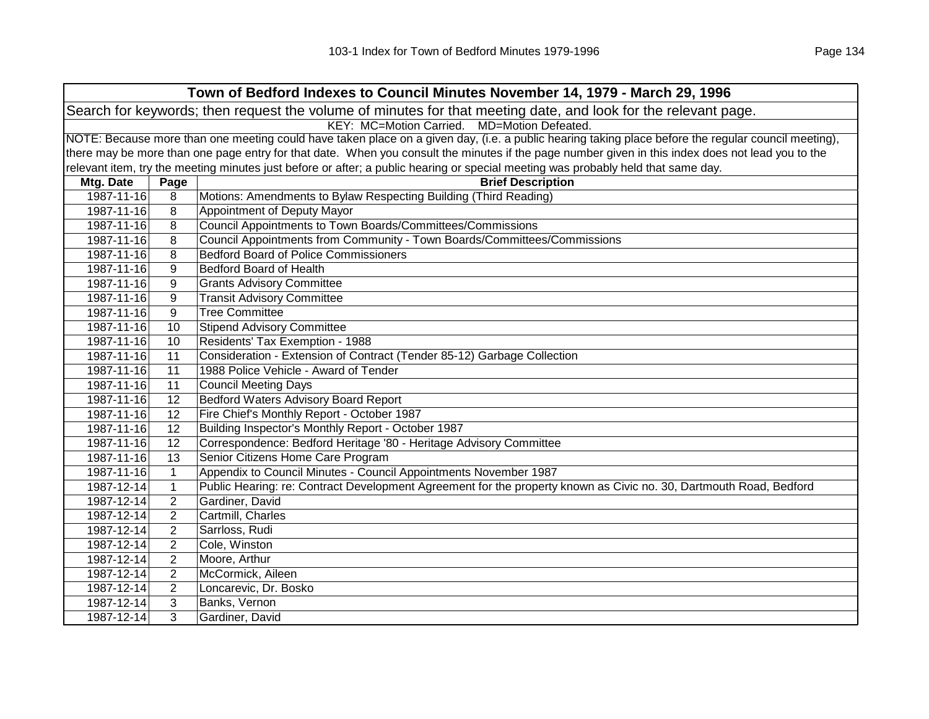|                                                                                                                | Town of Bedford Indexes to Council Minutes November 14, 1979 - March 29, 1996 |                                                                                                                                                     |  |  |
|----------------------------------------------------------------------------------------------------------------|-------------------------------------------------------------------------------|-----------------------------------------------------------------------------------------------------------------------------------------------------|--|--|
| Search for keywords; then request the volume of minutes for that meeting date, and look for the relevant page. |                                                                               |                                                                                                                                                     |  |  |
|                                                                                                                |                                                                               | KEY: MC=Motion Carried. MD=Motion Defeated.                                                                                                         |  |  |
|                                                                                                                |                                                                               | NOTE: Because more than one meeting could have taken place on a given day, (i.e. a public hearing taking place before the regular council meeting), |  |  |
|                                                                                                                |                                                                               | there may be more than one page entry for that date. When you consult the minutes if the page number given in this index does not lead you to the   |  |  |
|                                                                                                                |                                                                               | relevant item, try the meeting minutes just before or after; a public hearing or special meeting was probably held that same day.                   |  |  |
| Mtg. Date                                                                                                      | Page                                                                          | <b>Brief Description</b>                                                                                                                            |  |  |
| 1987-11-16                                                                                                     | 8                                                                             | Motions: Amendments to Bylaw Respecting Building (Third Reading)                                                                                    |  |  |
| 1987-11-16                                                                                                     | 8                                                                             | Appointment of Deputy Mayor                                                                                                                         |  |  |
| 1987-11-16                                                                                                     | 8                                                                             | Council Appointments to Town Boards/Committees/Commissions                                                                                          |  |  |
| 1987-11-16                                                                                                     | 8                                                                             | Council Appointments from Community - Town Boards/Committees/Commissions                                                                            |  |  |
| 1987-11-16                                                                                                     | 8                                                                             | <b>Bedford Board of Police Commissioners</b>                                                                                                        |  |  |
| 1987-11-16                                                                                                     | 9                                                                             | <b>Bedford Board of Health</b>                                                                                                                      |  |  |
| 1987-11-16                                                                                                     | 9                                                                             | <b>Grants Advisory Committee</b>                                                                                                                    |  |  |
| 1987-11-16                                                                                                     | 9                                                                             | <b>Transit Advisory Committee</b>                                                                                                                   |  |  |
| 1987-11-16                                                                                                     | 9                                                                             | <b>Tree Committee</b>                                                                                                                               |  |  |
| 1987-11-16                                                                                                     | 10                                                                            | <b>Stipend Advisory Committee</b>                                                                                                                   |  |  |
| 1987-11-16                                                                                                     | 10                                                                            | Residents' Tax Exemption - 1988                                                                                                                     |  |  |
| 1987-11-16                                                                                                     | 11                                                                            | Consideration - Extension of Contract (Tender 85-12) Garbage Collection                                                                             |  |  |
| 1987-11-16                                                                                                     | 11                                                                            | 1988 Police Vehicle - Award of Tender                                                                                                               |  |  |
| 1987-11-16                                                                                                     | 11                                                                            | <b>Council Meeting Days</b>                                                                                                                         |  |  |
| 1987-11-16                                                                                                     | 12                                                                            | <b>Bedford Waters Advisory Board Report</b>                                                                                                         |  |  |
| 1987-11-16                                                                                                     | 12                                                                            | Fire Chief's Monthly Report - October 1987                                                                                                          |  |  |
| 1987-11-16                                                                                                     | 12                                                                            | Building Inspector's Monthly Report - October 1987                                                                                                  |  |  |
| 1987-11-16                                                                                                     | 12                                                                            | Correspondence: Bedford Heritage '80 - Heritage Advisory Committee                                                                                  |  |  |
| 1987-11-16                                                                                                     | 13                                                                            | Senior Citizens Home Care Program                                                                                                                   |  |  |
| 1987-11-16                                                                                                     | $\mathbf{1}$                                                                  | Appendix to Council Minutes - Council Appointments November 1987                                                                                    |  |  |
| 1987-12-14                                                                                                     | $\mathbf{1}$                                                                  | Public Hearing: re: Contract Development Agreement for the property known as Civic no. 30, Dartmouth Road, Bedford                                  |  |  |
| 1987-12-14                                                                                                     | $\overline{2}$                                                                | Gardiner, David                                                                                                                                     |  |  |
| 1987-12-14                                                                                                     | $\overline{2}$                                                                | Cartmill, Charles                                                                                                                                   |  |  |
| 1987-12-14                                                                                                     | $\overline{2}$                                                                | Sarrloss, Rudi                                                                                                                                      |  |  |
| 1987-12-14                                                                                                     | $\overline{2}$                                                                | Cole, Winston                                                                                                                                       |  |  |
| 1987-12-14                                                                                                     | $\overline{2}$                                                                | Moore, Arthur                                                                                                                                       |  |  |
| 1987-12-14                                                                                                     | 2                                                                             | McCormick, Aileen                                                                                                                                   |  |  |
| 1987-12-14                                                                                                     | 2                                                                             | Loncarevic, Dr. Bosko                                                                                                                               |  |  |
| 1987-12-14                                                                                                     | 3                                                                             | Banks, Vernon                                                                                                                                       |  |  |
| 1987-12-14                                                                                                     | 3                                                                             | Gardiner, David                                                                                                                                     |  |  |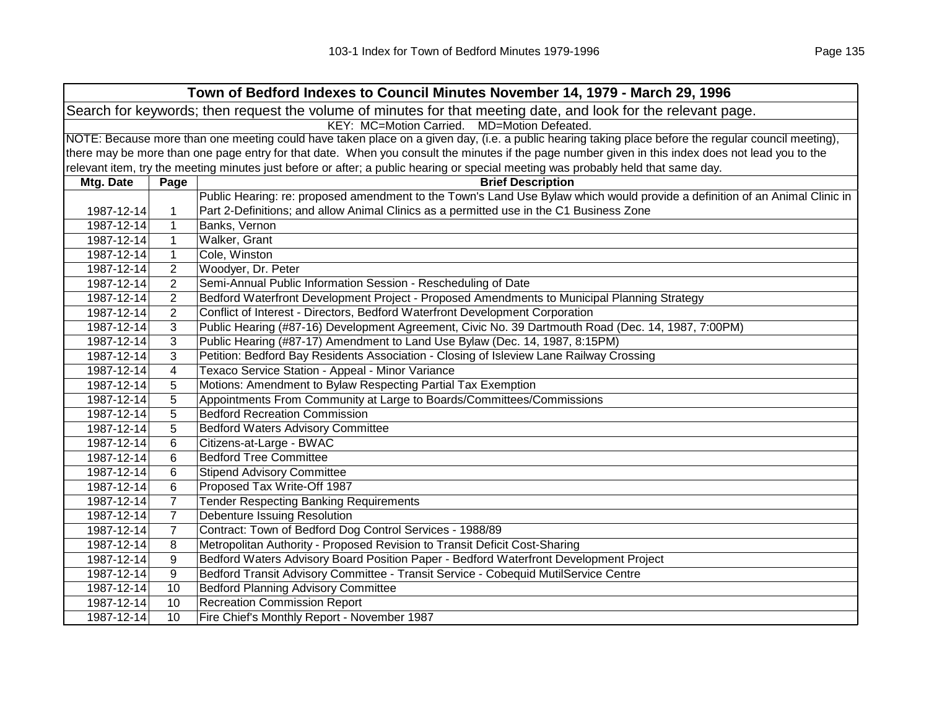|                                                                                                                | Town of Bedford Indexes to Council Minutes November 14, 1979 - March 29, 1996 |                                                                                                                                                     |  |  |  |
|----------------------------------------------------------------------------------------------------------------|-------------------------------------------------------------------------------|-----------------------------------------------------------------------------------------------------------------------------------------------------|--|--|--|
| Search for keywords; then request the volume of minutes for that meeting date, and look for the relevant page. |                                                                               |                                                                                                                                                     |  |  |  |
|                                                                                                                | KEY: MC=Motion Carried. MD=Motion Defeated.                                   |                                                                                                                                                     |  |  |  |
|                                                                                                                |                                                                               | NOTE: Because more than one meeting could have taken place on a given day, (i.e. a public hearing taking place before the regular council meeting), |  |  |  |
|                                                                                                                |                                                                               | there may be more than one page entry for that date. When you consult the minutes if the page number given in this index does not lead you to the   |  |  |  |
|                                                                                                                |                                                                               | relevant item, try the meeting minutes just before or after; a public hearing or special meeting was probably held that same day.                   |  |  |  |
| Mtg. Date                                                                                                      | Page                                                                          | <b>Brief Description</b>                                                                                                                            |  |  |  |
|                                                                                                                |                                                                               | Public Hearing: re: proposed amendment to the Town's Land Use Bylaw which would provide a definition of an Animal Clinic in                         |  |  |  |
| 1987-12-14                                                                                                     | 1                                                                             | Part 2-Definitions; and allow Animal Clinics as a permitted use in the C1 Business Zone                                                             |  |  |  |
| 1987-12-14                                                                                                     | $\mathbf{1}$                                                                  | Banks, Vernon                                                                                                                                       |  |  |  |
| 1987-12-14                                                                                                     | $\mathbf 1$                                                                   | Walker, Grant                                                                                                                                       |  |  |  |
| 1987-12-14                                                                                                     | $\mathbf{1}$                                                                  | Cole, Winston                                                                                                                                       |  |  |  |
| 1987-12-14                                                                                                     | 2                                                                             | Woodyer, Dr. Peter                                                                                                                                  |  |  |  |
| 1987-12-14                                                                                                     | 2                                                                             | Semi-Annual Public Information Session - Rescheduling of Date                                                                                       |  |  |  |
| 1987-12-14                                                                                                     | 2                                                                             | Bedford Waterfront Development Project - Proposed Amendments to Municipal Planning Strategy                                                         |  |  |  |
| 1987-12-14                                                                                                     | 2                                                                             | Conflict of Interest - Directors, Bedford Waterfront Development Corporation                                                                        |  |  |  |
| 1987-12-14                                                                                                     | 3                                                                             | Public Hearing (#87-16) Development Agreement, Civic No. 39 Dartmouth Road (Dec. 14, 1987, 7:00PM)                                                  |  |  |  |
| 1987-12-14                                                                                                     | 3                                                                             | Public Hearing (#87-17) Amendment to Land Use Bylaw (Dec. 14, 1987, 8:15PM)                                                                         |  |  |  |
| 1987-12-14                                                                                                     | 3                                                                             | Petition: Bedford Bay Residents Association - Closing of Isleview Lane Railway Crossing                                                             |  |  |  |
| 1987-12-14                                                                                                     | 4                                                                             | Texaco Service Station - Appeal - Minor Variance                                                                                                    |  |  |  |
| 1987-12-14                                                                                                     | 5                                                                             | Motions: Amendment to Bylaw Respecting Partial Tax Exemption                                                                                        |  |  |  |
| 1987-12-14                                                                                                     | 5                                                                             | Appointments From Community at Large to Boards/Committees/Commissions                                                                               |  |  |  |
| 1987-12-14                                                                                                     | 5                                                                             | <b>Bedford Recreation Commission</b>                                                                                                                |  |  |  |
| 1987-12-14                                                                                                     | 5                                                                             | <b>Bedford Waters Advisory Committee</b>                                                                                                            |  |  |  |
| 1987-12-14                                                                                                     | $\,6$                                                                         | Citizens-at-Large - BWAC                                                                                                                            |  |  |  |
| 1987-12-14                                                                                                     | 6                                                                             | <b>Bedford Tree Committee</b>                                                                                                                       |  |  |  |
| 1987-12-14                                                                                                     | 6                                                                             | <b>Stipend Advisory Committee</b>                                                                                                                   |  |  |  |
| 1987-12-14                                                                                                     | 6                                                                             | Proposed Tax Write-Off 1987                                                                                                                         |  |  |  |
| 1987-12-14                                                                                                     | $\overline{7}$                                                                | <b>Tender Respecting Banking Requirements</b>                                                                                                       |  |  |  |
| 1987-12-14                                                                                                     | $\overline{7}$                                                                | <b>Debenture Issuing Resolution</b>                                                                                                                 |  |  |  |
| 1987-12-14                                                                                                     | $\overline{7}$                                                                | Contract: Town of Bedford Dog Control Services - 1988/89                                                                                            |  |  |  |
| 1987-12-14                                                                                                     | 8                                                                             | Metropolitan Authority - Proposed Revision to Transit Deficit Cost-Sharing                                                                          |  |  |  |
| 1987-12-14                                                                                                     | 9                                                                             | Bedford Waters Advisory Board Position Paper - Bedford Waterfront Development Project                                                               |  |  |  |
| 1987-12-14                                                                                                     | 9                                                                             | Bedford Transit Advisory Committee - Transit Service - Cobequid MutilService Centre                                                                 |  |  |  |
| 1987-12-14                                                                                                     | 10                                                                            | <b>Bedford Planning Advisory Committee</b>                                                                                                          |  |  |  |
| 1987-12-14                                                                                                     | 10                                                                            | <b>Recreation Commission Report</b>                                                                                                                 |  |  |  |
| 1987-12-14                                                                                                     | 10                                                                            | Fire Chief's Monthly Report - November 1987                                                                                                         |  |  |  |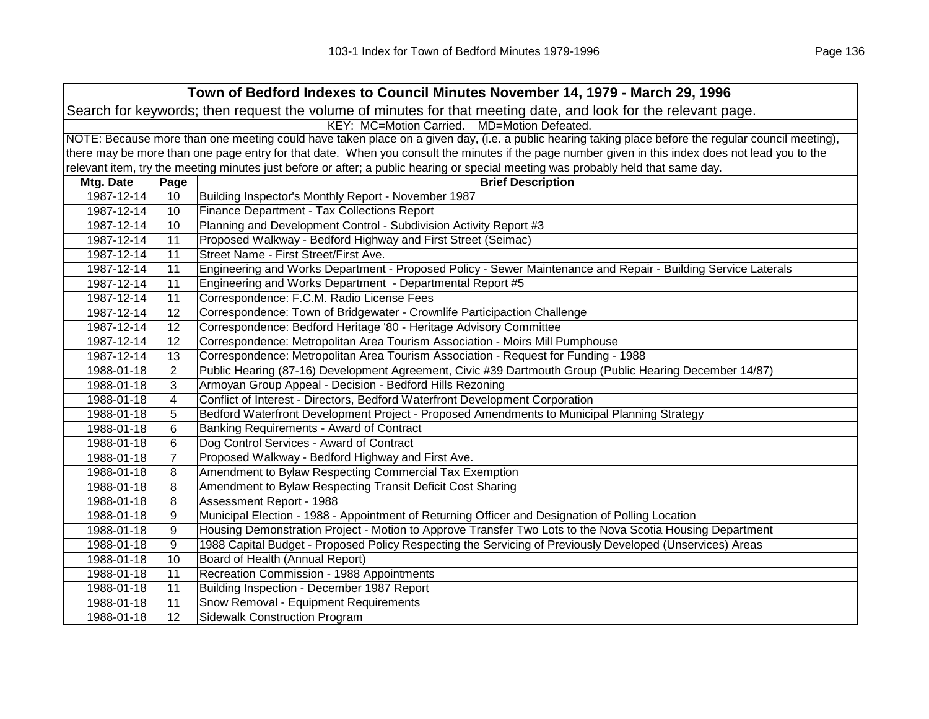| Town of Bedford Indexes to Council Minutes November 14, 1979 - March 29, 1996 |                                                                                                                |                                                                                                                                                     |  |  |
|-------------------------------------------------------------------------------|----------------------------------------------------------------------------------------------------------------|-----------------------------------------------------------------------------------------------------------------------------------------------------|--|--|
|                                                                               | Search for keywords; then request the volume of minutes for that meeting date, and look for the relevant page. |                                                                                                                                                     |  |  |
|                                                                               | KEY: MC=Motion Carried. MD=Motion Defeated.                                                                    |                                                                                                                                                     |  |  |
|                                                                               |                                                                                                                | NOTE: Because more than one meeting could have taken place on a given day, (i.e. a public hearing taking place before the regular council meeting), |  |  |
|                                                                               |                                                                                                                | there may be more than one page entry for that date. When you consult the minutes if the page number given in this index does not lead you to the   |  |  |
|                                                                               |                                                                                                                | relevant item, try the meeting minutes just before or after; a public hearing or special meeting was probably held that same day.                   |  |  |
| Mtg. Date                                                                     | Page                                                                                                           | <b>Brief Description</b>                                                                                                                            |  |  |
| 1987-12-14                                                                    | 10                                                                                                             | Building Inspector's Monthly Report - November 1987                                                                                                 |  |  |
| 1987-12-14                                                                    | 10                                                                                                             | Finance Department - Tax Collections Report                                                                                                         |  |  |
| 1987-12-14                                                                    | 10                                                                                                             | Planning and Development Control - Subdivision Activity Report #3                                                                                   |  |  |
| 1987-12-14                                                                    | 11                                                                                                             | Proposed Walkway - Bedford Highway and First Street (Seimac)                                                                                        |  |  |
| 1987-12-14                                                                    | 11                                                                                                             | Street Name - First Street/First Ave.                                                                                                               |  |  |
| 1987-12-14                                                                    | 11                                                                                                             | Engineering and Works Department - Proposed Policy - Sewer Maintenance and Repair - Building Service Laterals                                       |  |  |
| 1987-12-14                                                                    | 11                                                                                                             | Engineering and Works Department - Departmental Report #5                                                                                           |  |  |
| 1987-12-14                                                                    | 11                                                                                                             | Correspondence: F.C.M. Radio License Fees                                                                                                           |  |  |
| 1987-12-14                                                                    | 12                                                                                                             | Correspondence: Town of Bridgewater - Crownlife Participaction Challenge                                                                            |  |  |
| 1987-12-14                                                                    | 12                                                                                                             | Correspondence: Bedford Heritage '80 - Heritage Advisory Committee                                                                                  |  |  |
| 1987-12-14                                                                    | 12                                                                                                             | Correspondence: Metropolitan Area Tourism Association - Moirs Mill Pumphouse                                                                        |  |  |
| 1987-12-14                                                                    | 13                                                                                                             | Correspondence: Metropolitan Area Tourism Association - Request for Funding - 1988                                                                  |  |  |
| 1988-01-18                                                                    | $\overline{2}$                                                                                                 | Public Hearing (87-16) Development Agreement, Civic #39 Dartmouth Group (Public Hearing December 14/87)                                             |  |  |
| 1988-01-18                                                                    | 3                                                                                                              | Armoyan Group Appeal - Decision - Bedford Hills Rezoning                                                                                            |  |  |
| 1988-01-18                                                                    | $\overline{4}$                                                                                                 | Conflict of Interest - Directors, Bedford Waterfront Development Corporation                                                                        |  |  |
| 1988-01-18                                                                    | 5                                                                                                              | Bedford Waterfront Development Project - Proposed Amendments to Municipal Planning Strategy                                                         |  |  |
| 1988-01-18                                                                    | 6                                                                                                              | Banking Requirements - Award of Contract                                                                                                            |  |  |
| 1988-01-18                                                                    | $\,6$                                                                                                          | Dog Control Services - Award of Contract                                                                                                            |  |  |
| 1988-01-18                                                                    | $\overline{7}$                                                                                                 | Proposed Walkway - Bedford Highway and First Ave.                                                                                                   |  |  |
| 1988-01-18                                                                    | 8                                                                                                              | Amendment to Bylaw Respecting Commercial Tax Exemption                                                                                              |  |  |
| 1988-01-18                                                                    | 8                                                                                                              | Amendment to Bylaw Respecting Transit Deficit Cost Sharing                                                                                          |  |  |
| 1988-01-18                                                                    | 8                                                                                                              | Assessment Report - 1988                                                                                                                            |  |  |
| 1988-01-18                                                                    | 9                                                                                                              | Municipal Election - 1988 - Appointment of Returning Officer and Designation of Polling Location                                                    |  |  |
| 1988-01-18                                                                    | 9                                                                                                              | Housing Demonstration Project - Motion to Approve Transfer Two Lots to the Nova Scotia Housing Department                                           |  |  |
| 1988-01-18                                                                    | 9                                                                                                              | 1988 Capital Budget - Proposed Policy Respecting the Servicing of Previously Developed (Unservices) Areas                                           |  |  |
| 1988-01-18                                                                    | 10                                                                                                             | Board of Health (Annual Report)                                                                                                                     |  |  |
| 1988-01-18                                                                    | 11                                                                                                             | Recreation Commission - 1988 Appointments                                                                                                           |  |  |
| 1988-01-18                                                                    | 11                                                                                                             | Building Inspection - December 1987 Report                                                                                                          |  |  |
| 1988-01-18                                                                    | 11                                                                                                             | Snow Removal - Equipment Requirements                                                                                                               |  |  |
| 1988-01-18                                                                    | 12                                                                                                             | <b>Sidewalk Construction Program</b>                                                                                                                |  |  |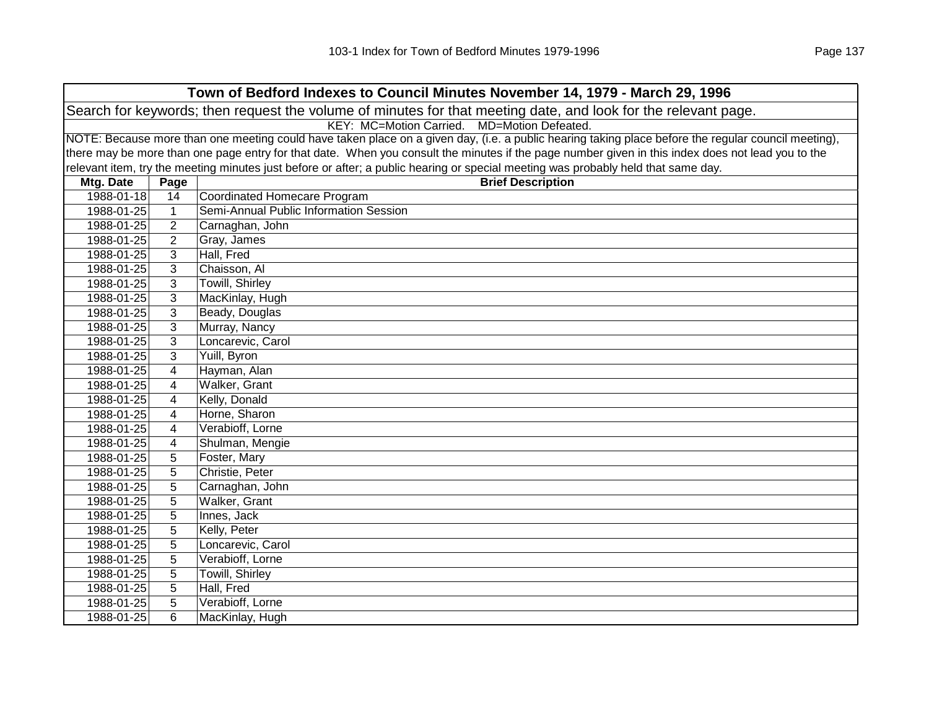| Town of Bedford Indexes to Council Minutes November 14, 1979 - March 29, 1996 |                                                                                                                |                                                                                                                                                     |  |  |  |
|-------------------------------------------------------------------------------|----------------------------------------------------------------------------------------------------------------|-----------------------------------------------------------------------------------------------------------------------------------------------------|--|--|--|
|                                                                               | Search for keywords; then request the volume of minutes for that meeting date, and look for the relevant page. |                                                                                                                                                     |  |  |  |
|                                                                               | KEY: MC=Motion Carried. MD=Motion Defeated.                                                                    |                                                                                                                                                     |  |  |  |
|                                                                               |                                                                                                                | NOTE: Because more than one meeting could have taken place on a given day, (i.e. a public hearing taking place before the regular council meeting), |  |  |  |
|                                                                               |                                                                                                                | there may be more than one page entry for that date. When you consult the minutes if the page number given in this index does not lead you to the   |  |  |  |
|                                                                               |                                                                                                                | relevant item, try the meeting minutes just before or after; a public hearing or special meeting was probably held that same day.                   |  |  |  |
| Mtg. Date                                                                     | Page                                                                                                           | <b>Brief Description</b>                                                                                                                            |  |  |  |
| 1988-01-18                                                                    | 14                                                                                                             | Coordinated Homecare Program                                                                                                                        |  |  |  |
| 1988-01-25                                                                    | $\mathbf{1}$                                                                                                   | Semi-Annual Public Information Session                                                                                                              |  |  |  |
| 1988-01-25                                                                    | $\overline{2}$                                                                                                 | Carnaghan, John                                                                                                                                     |  |  |  |
| 1988-01-25                                                                    | $\overline{2}$                                                                                                 | Gray, James                                                                                                                                         |  |  |  |
| 1988-01-25                                                                    | 3                                                                                                              | Hall, Fred                                                                                                                                          |  |  |  |
| 1988-01-25                                                                    | 3                                                                                                              | Chaisson, Al                                                                                                                                        |  |  |  |
| 1988-01-25                                                                    | 3                                                                                                              | <b>Towill, Shirley</b>                                                                                                                              |  |  |  |
| 1988-01-25                                                                    | 3                                                                                                              | MacKinlay, Hugh                                                                                                                                     |  |  |  |
| 1988-01-25                                                                    | 3                                                                                                              | Beady, Douglas                                                                                                                                      |  |  |  |
| 1988-01-25                                                                    | 3                                                                                                              | Murray, Nancy                                                                                                                                       |  |  |  |
| 1988-01-25                                                                    | 3                                                                                                              | Loncarevic, Carol                                                                                                                                   |  |  |  |
| 1988-01-25                                                                    | 3                                                                                                              | Yuill, Byron                                                                                                                                        |  |  |  |
| 1988-01-25                                                                    | 4                                                                                                              | Hayman, Alan                                                                                                                                        |  |  |  |
| 1988-01-25                                                                    | 4                                                                                                              | Walker, Grant                                                                                                                                       |  |  |  |
| 1988-01-25                                                                    | 4                                                                                                              | Kelly, Donald                                                                                                                                       |  |  |  |
| 1988-01-25                                                                    | 4                                                                                                              | Horne, Sharon                                                                                                                                       |  |  |  |
| 1988-01-25                                                                    | 4                                                                                                              | Verabioff, Lorne                                                                                                                                    |  |  |  |
| 1988-01-25                                                                    | 4                                                                                                              | Shulman, Mengie                                                                                                                                     |  |  |  |
| 1988-01-25                                                                    | 5                                                                                                              | Foster, Mary                                                                                                                                        |  |  |  |
| 1988-01-25                                                                    | 5                                                                                                              | Christie, Peter                                                                                                                                     |  |  |  |
| 1988-01-25                                                                    | 5                                                                                                              | Carnaghan, John                                                                                                                                     |  |  |  |
| 1988-01-25                                                                    | 5                                                                                                              | Walker, Grant                                                                                                                                       |  |  |  |
| 1988-01-25                                                                    | 5                                                                                                              | Innes, Jack                                                                                                                                         |  |  |  |
| 1988-01-25                                                                    | 5                                                                                                              | Kelly, Peter                                                                                                                                        |  |  |  |
| 1988-01-25                                                                    | 5                                                                                                              | Loncarevic, Carol                                                                                                                                   |  |  |  |
| 1988-01-25                                                                    | 5                                                                                                              | Verabioff, Lorne                                                                                                                                    |  |  |  |
| 1988-01-25                                                                    | 5                                                                                                              | <b>Towill, Shirley</b>                                                                                                                              |  |  |  |
| 1988-01-25                                                                    | 5                                                                                                              | Hall, Fred                                                                                                                                          |  |  |  |
| 1988-01-25                                                                    | 5                                                                                                              | Verabioff, Lorne                                                                                                                                    |  |  |  |
| 1988-01-25                                                                    | 6                                                                                                              | MacKinlay, Hugh                                                                                                                                     |  |  |  |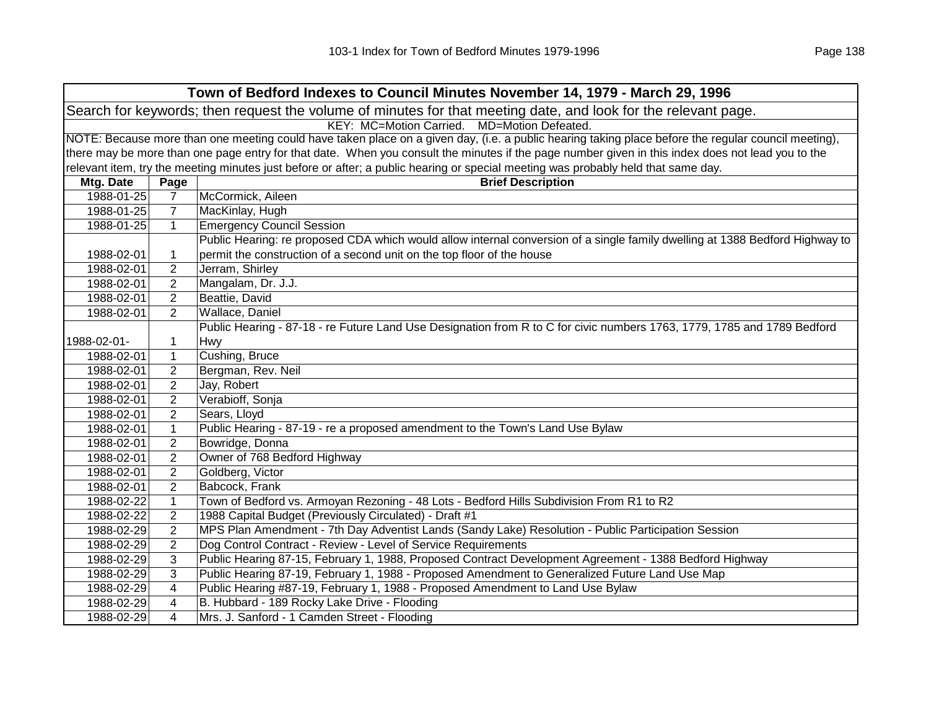| Town of Bedford Indexes to Council Minutes November 14, 1979 - March 29, 1996                                  |                                             |                                                                                                                                                     |  |  |  |
|----------------------------------------------------------------------------------------------------------------|---------------------------------------------|-----------------------------------------------------------------------------------------------------------------------------------------------------|--|--|--|
| Search for keywords; then request the volume of minutes for that meeting date, and look for the relevant page. |                                             |                                                                                                                                                     |  |  |  |
|                                                                                                                | KEY: MC=Motion Carried. MD=Motion Defeated. |                                                                                                                                                     |  |  |  |
|                                                                                                                |                                             | NOTE: Because more than one meeting could have taken place on a given day, (i.e. a public hearing taking place before the regular council meeting), |  |  |  |
|                                                                                                                |                                             | there may be more than one page entry for that date. When you consult the minutes if the page number given in this index does not lead you to the   |  |  |  |
|                                                                                                                |                                             | relevant item, try the meeting minutes just before or after; a public hearing or special meeting was probably held that same day.                   |  |  |  |
| Mtg. Date                                                                                                      | Page                                        | <b>Brief Description</b>                                                                                                                            |  |  |  |
| 1988-01-25                                                                                                     | $\overline{7}$                              | McCormick, Aileen                                                                                                                                   |  |  |  |
| 1988-01-25                                                                                                     | $\overline{7}$                              | MacKinlay, Hugh                                                                                                                                     |  |  |  |
| 1988-01-25                                                                                                     | $\mathbf{1}$                                | <b>Emergency Council Session</b>                                                                                                                    |  |  |  |
|                                                                                                                |                                             | Public Hearing: re proposed CDA which would allow internal conversion of a single family dwelling at 1388 Bedford Highway to                        |  |  |  |
| 1988-02-01                                                                                                     | 1                                           | permit the construction of a second unit on the top floor of the house                                                                              |  |  |  |
| 1988-02-01                                                                                                     | $\overline{2}$                              | Jerram, Shirley                                                                                                                                     |  |  |  |
| 1988-02-01                                                                                                     | $\overline{2}$                              | Mangalam, Dr. J.J.                                                                                                                                  |  |  |  |
| 1988-02-01                                                                                                     | $\overline{2}$                              | Beattie, David                                                                                                                                      |  |  |  |
| 1988-02-01                                                                                                     | $\overline{2}$                              | Wallace, Daniel                                                                                                                                     |  |  |  |
|                                                                                                                |                                             | Public Hearing - 87-18 - re Future Land Use Designation from R to C for civic numbers 1763, 1779, 1785 and 1789 Bedford                             |  |  |  |
| 1988-02-01-                                                                                                    | 1                                           | <b>Hwy</b>                                                                                                                                          |  |  |  |
| 1988-02-01                                                                                                     | $\mathbf{1}$                                | Cushing, Bruce                                                                                                                                      |  |  |  |
| 1988-02-01                                                                                                     | $\overline{2}$                              | Bergman, Rev. Neil                                                                                                                                  |  |  |  |
| 1988-02-01                                                                                                     | $\overline{2}$                              | Jay, Robert                                                                                                                                         |  |  |  |
| 1988-02-01                                                                                                     | $\overline{2}$                              | Verabioff, Sonja                                                                                                                                    |  |  |  |
| 1988-02-01                                                                                                     | $\overline{2}$                              | Sears, Lloyd                                                                                                                                        |  |  |  |
| 1988-02-01                                                                                                     | $\mathbf{1}$                                | Public Hearing - 87-19 - re a proposed amendment to the Town's Land Use Bylaw                                                                       |  |  |  |
| 1988-02-01                                                                                                     | $\overline{2}$                              | Bowridge, Donna                                                                                                                                     |  |  |  |
| 1988-02-01                                                                                                     | $\overline{2}$                              | Owner of 768 Bedford Highway                                                                                                                        |  |  |  |
| 1988-02-01                                                                                                     | $\overline{2}$                              | Goldberg, Victor                                                                                                                                    |  |  |  |
| 1988-02-01                                                                                                     | $\overline{2}$                              | Babcock, Frank                                                                                                                                      |  |  |  |
| 1988-02-22                                                                                                     | $\mathbf{1}$                                | Town of Bedford vs. Armoyan Rezoning - 48 Lots - Bedford Hills Subdivision From R1 to R2                                                            |  |  |  |
| 1988-02-22                                                                                                     | $\overline{2}$                              | 1988 Capital Budget (Previously Circulated) - Draft #1                                                                                              |  |  |  |
| 1988-02-29                                                                                                     | $\overline{2}$                              | MPS Plan Amendment - 7th Day Adventist Lands (Sandy Lake) Resolution - Public Participation Session                                                 |  |  |  |
| 1988-02-29                                                                                                     | $\overline{2}$                              | Dog Control Contract - Review - Level of Service Requirements                                                                                       |  |  |  |
| 1988-02-29                                                                                                     | 3                                           | Public Hearing 87-15, February 1, 1988, Proposed Contract Development Agreement - 1388 Bedford Highway                                              |  |  |  |
| 1988-02-29                                                                                                     | 3                                           | Public Hearing 87-19, February 1, 1988 - Proposed Amendment to Generalized Future Land Use Map                                                      |  |  |  |
| 1988-02-29                                                                                                     | 4                                           | Public Hearing #87-19, February 1, 1988 - Proposed Amendment to Land Use Bylaw                                                                      |  |  |  |
| 1988-02-29                                                                                                     | 4                                           | B. Hubbard - 189 Rocky Lake Drive - Flooding                                                                                                        |  |  |  |
| 1988-02-29                                                                                                     | 4                                           | Mrs. J. Sanford - 1 Camden Street - Flooding                                                                                                        |  |  |  |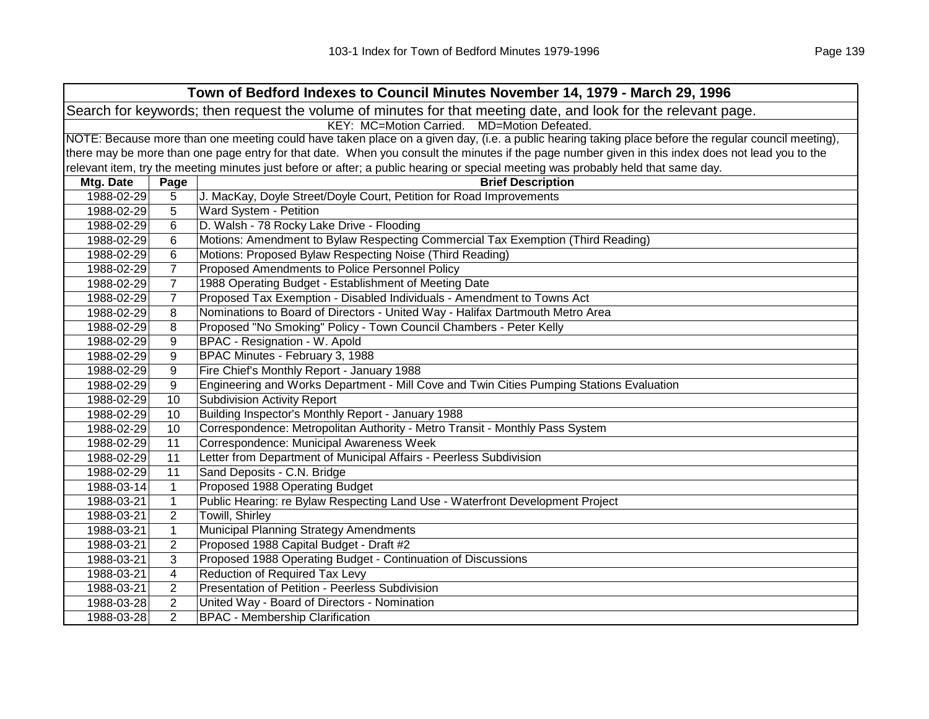| Town of Bedford Indexes to Council Minutes November 14, 1979 - March 29, 1996 |                                                                                                                |                                                                                                                                                     |  |  |
|-------------------------------------------------------------------------------|----------------------------------------------------------------------------------------------------------------|-----------------------------------------------------------------------------------------------------------------------------------------------------|--|--|
|                                                                               | Search for keywords; then request the volume of minutes for that meeting date, and look for the relevant page. |                                                                                                                                                     |  |  |
|                                                                               | KEY: MC=Motion Carried. MD=Motion Defeated.                                                                    |                                                                                                                                                     |  |  |
|                                                                               |                                                                                                                | NOTE: Because more than one meeting could have taken place on a given day, (i.e. a public hearing taking place before the regular council meeting), |  |  |
|                                                                               |                                                                                                                | there may be more than one page entry for that date. When you consult the minutes if the page number given in this index does not lead you to the   |  |  |
|                                                                               |                                                                                                                | relevant item, try the meeting minutes just before or after; a public hearing or special meeting was probably held that same day.                   |  |  |
| Mtg. Date                                                                     | Page                                                                                                           | <b>Brief Description</b>                                                                                                                            |  |  |
| 1988-02-29                                                                    | 5                                                                                                              | J. MacKay, Doyle Street/Doyle Court, Petition for Road Improvements                                                                                 |  |  |
| 1988-02-29                                                                    | 5                                                                                                              | Ward System - Petition                                                                                                                              |  |  |
| 1988-02-29                                                                    | 6                                                                                                              | D. Walsh - 78 Rocky Lake Drive - Flooding                                                                                                           |  |  |
| 1988-02-29                                                                    | 6                                                                                                              | Motions: Amendment to Bylaw Respecting Commercial Tax Exemption (Third Reading)                                                                     |  |  |
| 1988-02-29                                                                    | 6                                                                                                              | Motions: Proposed Bylaw Respecting Noise (Third Reading)                                                                                            |  |  |
| 1988-02-29                                                                    | $\overline{7}$                                                                                                 | Proposed Amendments to Police Personnel Policy                                                                                                      |  |  |
| 1988-02-29                                                                    | $\overline{7}$                                                                                                 | 1988 Operating Budget - Establishment of Meeting Date                                                                                               |  |  |
| 1988-02-29                                                                    | $\overline{7}$                                                                                                 | Proposed Tax Exemption - Disabled Individuals - Amendment to Towns Act                                                                              |  |  |
| 1988-02-29                                                                    | 8                                                                                                              | Nominations to Board of Directors - United Way - Halifax Dartmouth Metro Area                                                                       |  |  |
| 1988-02-29                                                                    | 8                                                                                                              | Proposed "No Smoking" Policy - Town Council Chambers - Peter Kelly                                                                                  |  |  |
| 1988-02-29                                                                    | 9                                                                                                              | BPAC - Resignation - W. Apold                                                                                                                       |  |  |
| 1988-02-29                                                                    | 9                                                                                                              | BPAC Minutes - February 3, 1988                                                                                                                     |  |  |
| 1988-02-29                                                                    | 9                                                                                                              | Fire Chief's Monthly Report - January 1988                                                                                                          |  |  |
| 1988-02-29                                                                    | 9                                                                                                              | Engineering and Works Department - Mill Cove and Twin Cities Pumping Stations Evaluation                                                            |  |  |
| 1988-02-29                                                                    | 10                                                                                                             | <b>Subdivision Activity Report</b>                                                                                                                  |  |  |
| 1988-02-29                                                                    | 10                                                                                                             | Building Inspector's Monthly Report - January 1988                                                                                                  |  |  |
| 1988-02-29                                                                    | 10                                                                                                             | Correspondence: Metropolitan Authority - Metro Transit - Monthly Pass System                                                                        |  |  |
| 1988-02-29                                                                    | 11                                                                                                             | Correspondence: Municipal Awareness Week                                                                                                            |  |  |
| 1988-02-29                                                                    | 11                                                                                                             | Letter from Department of Municipal Affairs - Peerless Subdivision                                                                                  |  |  |
| 1988-02-29                                                                    | 11                                                                                                             | Sand Deposits - C.N. Bridge                                                                                                                         |  |  |
| 1988-03-14                                                                    | $\mathbf{1}$                                                                                                   | Proposed 1988 Operating Budget                                                                                                                      |  |  |
| 1988-03-21                                                                    | $\mathbf{1}$                                                                                                   | Public Hearing: re Bylaw Respecting Land Use - Waterfront Development Project                                                                       |  |  |
| 1988-03-21                                                                    | $\overline{2}$                                                                                                 | Towill, Shirley                                                                                                                                     |  |  |
| 1988-03-21                                                                    | $\mathbf{1}$                                                                                                   | Municipal Planning Strategy Amendments                                                                                                              |  |  |
| 1988-03-21                                                                    | $\overline{c}$                                                                                                 | Proposed 1988 Capital Budget - Draft #2                                                                                                             |  |  |
| 1988-03-21                                                                    | 3                                                                                                              | Proposed 1988 Operating Budget - Continuation of Discussions                                                                                        |  |  |
| 1988-03-21                                                                    | 4                                                                                                              | Reduction of Required Tax Levy                                                                                                                      |  |  |
| 1988-03-21                                                                    | $\overline{2}$                                                                                                 | Presentation of Petition - Peerless Subdivision                                                                                                     |  |  |
| 1988-03-28                                                                    | $\overline{2}$                                                                                                 | United Way - Board of Directors - Nomination                                                                                                        |  |  |
| 1988-03-28                                                                    | $\overline{2}$                                                                                                 | <b>BPAC - Membership Clarification</b>                                                                                                              |  |  |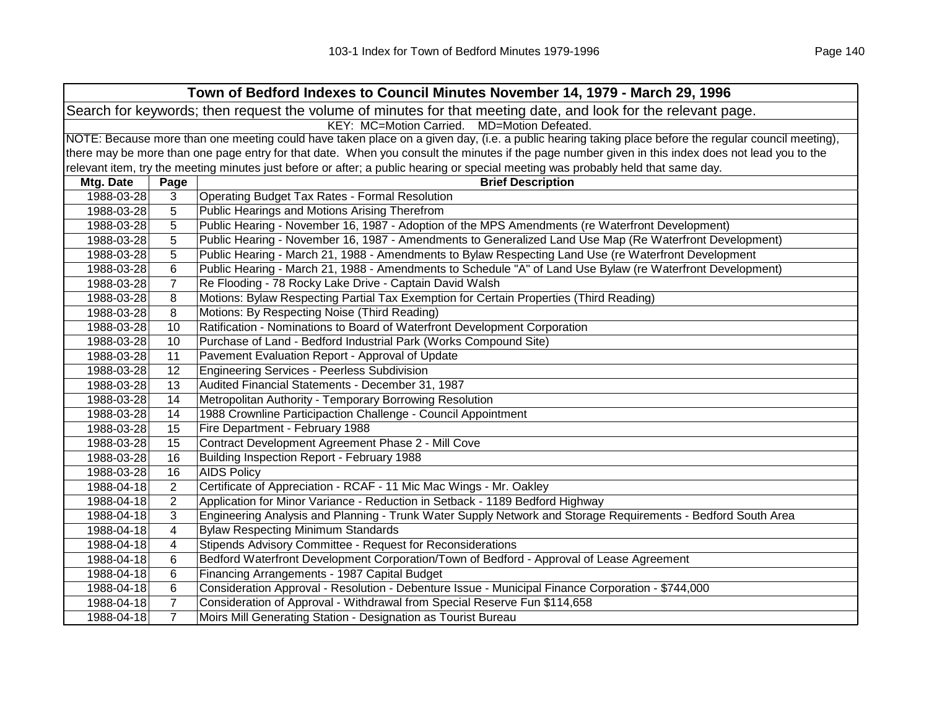| Town of Bedford Indexes to Council Minutes November 14, 1979 - March 29, 1996 |                                                                                                                                                     |                                                                                                                                                   |  |  |  |
|-------------------------------------------------------------------------------|-----------------------------------------------------------------------------------------------------------------------------------------------------|---------------------------------------------------------------------------------------------------------------------------------------------------|--|--|--|
|                                                                               | Search for keywords; then request the volume of minutes for that meeting date, and look for the relevant page.                                      |                                                                                                                                                   |  |  |  |
|                                                                               | KEY: MC=Motion Carried. MD=Motion Defeated.                                                                                                         |                                                                                                                                                   |  |  |  |
|                                                                               | NOTE: Because more than one meeting could have taken place on a given day, (i.e. a public hearing taking place before the regular council meeting), |                                                                                                                                                   |  |  |  |
|                                                                               |                                                                                                                                                     | there may be more than one page entry for that date. When you consult the minutes if the page number given in this index does not lead you to the |  |  |  |
|                                                                               |                                                                                                                                                     | relevant item, try the meeting minutes just before or after; a public hearing or special meeting was probably held that same day.                 |  |  |  |
| Mtg. Date                                                                     | Page                                                                                                                                                | <b>Brief Description</b>                                                                                                                          |  |  |  |
| 1988-03-28                                                                    | 3                                                                                                                                                   | <b>Operating Budget Tax Rates - Formal Resolution</b>                                                                                             |  |  |  |
| 1988-03-28                                                                    | 5                                                                                                                                                   | Public Hearings and Motions Arising Therefrom                                                                                                     |  |  |  |
| 1988-03-28                                                                    | 5                                                                                                                                                   | Public Hearing - November 16, 1987 - Adoption of the MPS Amendments (re Waterfront Development)                                                   |  |  |  |
| 1988-03-28                                                                    | 5                                                                                                                                                   | Public Hearing - November 16, 1987 - Amendments to Generalized Land Use Map (Re Waterfront Development)                                           |  |  |  |
| 1988-03-28                                                                    | 5                                                                                                                                                   | Public Hearing - March 21, 1988 - Amendments to Bylaw Respecting Land Use (re Waterfront Development                                              |  |  |  |
| 1988-03-28                                                                    | 6                                                                                                                                                   | Public Hearing - March 21, 1988 - Amendments to Schedule "A" of Land Use Bylaw (re Waterfront Development)                                        |  |  |  |
| 1988-03-28                                                                    | $\overline{7}$                                                                                                                                      | Re Flooding - 78 Rocky Lake Drive - Captain David Walsh                                                                                           |  |  |  |
| 1988-03-28                                                                    | 8                                                                                                                                                   | Motions: Bylaw Respecting Partial Tax Exemption for Certain Properties (Third Reading)                                                            |  |  |  |
| 1988-03-28                                                                    | 8                                                                                                                                                   | Motions: By Respecting Noise (Third Reading)                                                                                                      |  |  |  |
| 1988-03-28                                                                    | 10                                                                                                                                                  | Ratification - Nominations to Board of Waterfront Development Corporation                                                                         |  |  |  |
| 1988-03-28                                                                    | 10                                                                                                                                                  | Purchase of Land - Bedford Industrial Park (Works Compound Site)                                                                                  |  |  |  |
| 1988-03-28                                                                    | 11                                                                                                                                                  | Pavement Evaluation Report - Approval of Update                                                                                                   |  |  |  |
| 1988-03-28                                                                    | 12                                                                                                                                                  | <b>Engineering Services - Peerless Subdivision</b>                                                                                                |  |  |  |
| 1988-03-28                                                                    | 13                                                                                                                                                  | Audited Financial Statements - December 31, 1987                                                                                                  |  |  |  |
| 1988-03-28                                                                    | 14                                                                                                                                                  | Metropolitan Authority - Temporary Borrowing Resolution                                                                                           |  |  |  |
| 1988-03-28                                                                    | 14                                                                                                                                                  | 1988 Crownline Participaction Challenge - Council Appointment                                                                                     |  |  |  |
| 1988-03-28                                                                    | 15                                                                                                                                                  | Fire Department - February 1988                                                                                                                   |  |  |  |
| 1988-03-28                                                                    | 15                                                                                                                                                  | Contract Development Agreement Phase 2 - Mill Cove                                                                                                |  |  |  |
| 1988-03-28                                                                    | 16                                                                                                                                                  | Building Inspection Report - February 1988                                                                                                        |  |  |  |
| 1988-03-28                                                                    | 16                                                                                                                                                  | <b>AIDS Policy</b>                                                                                                                                |  |  |  |
| 1988-04-18                                                                    | 2                                                                                                                                                   | Certificate of Appreciation - RCAF - 11 Mic Mac Wings - Mr. Oakley                                                                                |  |  |  |
| 1988-04-18                                                                    | $\overline{2}$                                                                                                                                      | Application for Minor Variance - Reduction in Setback - 1189 Bedford Highway                                                                      |  |  |  |
| 1988-04-18                                                                    | 3                                                                                                                                                   | Engineering Analysis and Planning - Trunk Water Supply Network and Storage Requirements - Bedford South Area                                      |  |  |  |
| 1988-04-18                                                                    | 4                                                                                                                                                   | <b>Bylaw Respecting Minimum Standards</b>                                                                                                         |  |  |  |
| 1988-04-18                                                                    | 4                                                                                                                                                   | Stipends Advisory Committee - Request for Reconsiderations                                                                                        |  |  |  |
| 1988-04-18                                                                    | 6                                                                                                                                                   | Bedford Waterfront Development Corporation/Town of Bedford - Approval of Lease Agreement                                                          |  |  |  |
| 1988-04-18                                                                    | 6                                                                                                                                                   | Financing Arrangements - 1987 Capital Budget                                                                                                      |  |  |  |
| 1988-04-18                                                                    | 6                                                                                                                                                   | Consideration Approval - Resolution - Debenture Issue - Municipal Finance Corporation - \$744,000                                                 |  |  |  |
| 1988-04-18                                                                    | $\overline{7}$                                                                                                                                      | Consideration of Approval - Withdrawal from Special Reserve Fun \$114,658                                                                         |  |  |  |
| 1988-04-18                                                                    | $\overline{7}$                                                                                                                                      | Moirs Mill Generating Station - Designation as Tourist Bureau                                                                                     |  |  |  |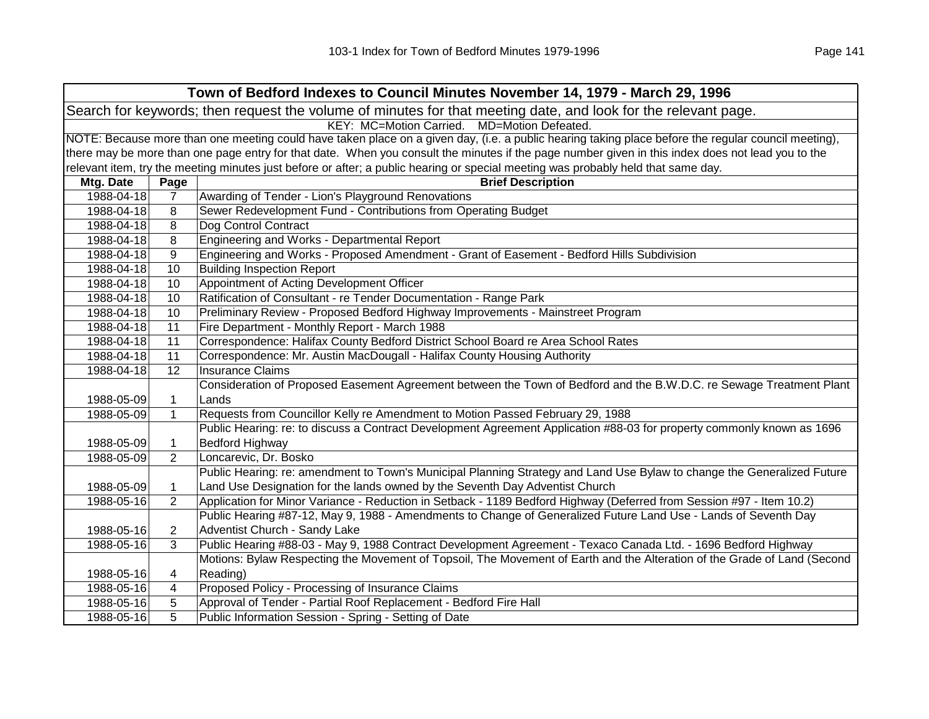| Town of Bedford Indexes to Council Minutes November 14, 1979 - March 29, 1996                                  |                                                                                                                                                     |                                                                                                                                                   |  |  |
|----------------------------------------------------------------------------------------------------------------|-----------------------------------------------------------------------------------------------------------------------------------------------------|---------------------------------------------------------------------------------------------------------------------------------------------------|--|--|
| Search for keywords; then request the volume of minutes for that meeting date, and look for the relevant page. |                                                                                                                                                     |                                                                                                                                                   |  |  |
| KEY: MC=Motion Carried. MD=Motion Defeated.                                                                    |                                                                                                                                                     |                                                                                                                                                   |  |  |
|                                                                                                                | NOTE: Because more than one meeting could have taken place on a given day, (i.e. a public hearing taking place before the regular council meeting), |                                                                                                                                                   |  |  |
|                                                                                                                |                                                                                                                                                     | there may be more than one page entry for that date. When you consult the minutes if the page number given in this index does not lead you to the |  |  |
|                                                                                                                |                                                                                                                                                     | relevant item, try the meeting minutes just before or after; a public hearing or special meeting was probably held that same day.                 |  |  |
| Mtg. Date                                                                                                      | Page                                                                                                                                                | <b>Brief Description</b>                                                                                                                          |  |  |
| 1988-04-18                                                                                                     | $\overline{7}$                                                                                                                                      | Awarding of Tender - Lion's Playground Renovations                                                                                                |  |  |
| 1988-04-18                                                                                                     | 8                                                                                                                                                   | Sewer Redevelopment Fund - Contributions from Operating Budget                                                                                    |  |  |
| 1988-04-18                                                                                                     | 8                                                                                                                                                   | Dog Control Contract                                                                                                                              |  |  |
| 1988-04-18                                                                                                     | 8                                                                                                                                                   | Engineering and Works - Departmental Report                                                                                                       |  |  |
| 1988-04-18                                                                                                     | 9                                                                                                                                                   | Engineering and Works - Proposed Amendment - Grant of Easement - Bedford Hills Subdivision                                                        |  |  |
| 1988-04-18                                                                                                     | 10                                                                                                                                                  | <b>Building Inspection Report</b>                                                                                                                 |  |  |
| 1988-04-18                                                                                                     | 10                                                                                                                                                  | Appointment of Acting Development Officer                                                                                                         |  |  |
| 1988-04-18                                                                                                     | 10                                                                                                                                                  | Ratification of Consultant - re Tender Documentation - Range Park                                                                                 |  |  |
| 1988-04-18                                                                                                     | 10                                                                                                                                                  | Preliminary Review - Proposed Bedford Highway Improvements - Mainstreet Program                                                                   |  |  |
| 1988-04-18                                                                                                     | 11                                                                                                                                                  | Fire Department - Monthly Report - March 1988                                                                                                     |  |  |
| 1988-04-18                                                                                                     | 11                                                                                                                                                  | Correspondence: Halifax County Bedford District School Board re Area School Rates                                                                 |  |  |
| 1988-04-18                                                                                                     | 11                                                                                                                                                  | Correspondence: Mr. Austin MacDougall - Halifax County Housing Authority                                                                          |  |  |
| 1988-04-18                                                                                                     | 12                                                                                                                                                  | <b>Insurance Claims</b>                                                                                                                           |  |  |
|                                                                                                                |                                                                                                                                                     | Consideration of Proposed Easement Agreement between the Town of Bedford and the B.W.D.C. re Sewage Treatment Plant                               |  |  |
| 1988-05-09                                                                                                     | $\mathbf{1}$                                                                                                                                        | Lands                                                                                                                                             |  |  |
| 1988-05-09                                                                                                     | $\mathbf{1}$                                                                                                                                        | Requests from Councillor Kelly re Amendment to Motion Passed February 29, 1988                                                                    |  |  |
|                                                                                                                |                                                                                                                                                     | Public Hearing: re: to discuss a Contract Development Agreement Application #88-03 for property commonly known as 1696                            |  |  |
| 1988-05-09                                                                                                     | $\mathbf{1}$                                                                                                                                        | <b>Bedford Highway</b>                                                                                                                            |  |  |
| 1988-05-09                                                                                                     | $\overline{2}$                                                                                                                                      | Loncarevic, Dr. Bosko                                                                                                                             |  |  |
|                                                                                                                |                                                                                                                                                     | Public Hearing: re: amendment to Town's Municipal Planning Strategy and Land Use Bylaw to change the Generalized Future                           |  |  |
| 1988-05-09                                                                                                     | $\mathbf{1}$                                                                                                                                        | Land Use Designation for the lands owned by the Seventh Day Adventist Church                                                                      |  |  |
| 1988-05-16                                                                                                     | $\overline{2}$                                                                                                                                      | Application for Minor Variance - Reduction in Setback - 1189 Bedford Highway (Deferred from Session #97 - Item 10.2)                              |  |  |
|                                                                                                                |                                                                                                                                                     | Public Hearing #87-12, May 9, 1988 - Amendments to Change of Generalized Future Land Use - Lands of Seventh Day                                   |  |  |
| 1988-05-16                                                                                                     | $\overline{\mathbf{c}}$                                                                                                                             | Adventist Church - Sandy Lake                                                                                                                     |  |  |
| 1988-05-16                                                                                                     | 3                                                                                                                                                   | Public Hearing #88-03 - May 9, 1988 Contract Development Agreement - Texaco Canada Ltd. - 1696 Bedford Highway                                    |  |  |
|                                                                                                                |                                                                                                                                                     | Motions: Bylaw Respecting the Movement of Topsoil, The Movement of Earth and the Alteration of the Grade of Land (Second                          |  |  |
| 1988-05-16                                                                                                     | 4                                                                                                                                                   | Reading)                                                                                                                                          |  |  |
| 1988-05-16                                                                                                     | 4                                                                                                                                                   | Proposed Policy - Processing of Insurance Claims                                                                                                  |  |  |
| 1988-05-16                                                                                                     | 5                                                                                                                                                   | Approval of Tender - Partial Roof Replacement - Bedford Fire Hall                                                                                 |  |  |
| 1988-05-16                                                                                                     | 5                                                                                                                                                   | Public Information Session - Spring - Setting of Date                                                                                             |  |  |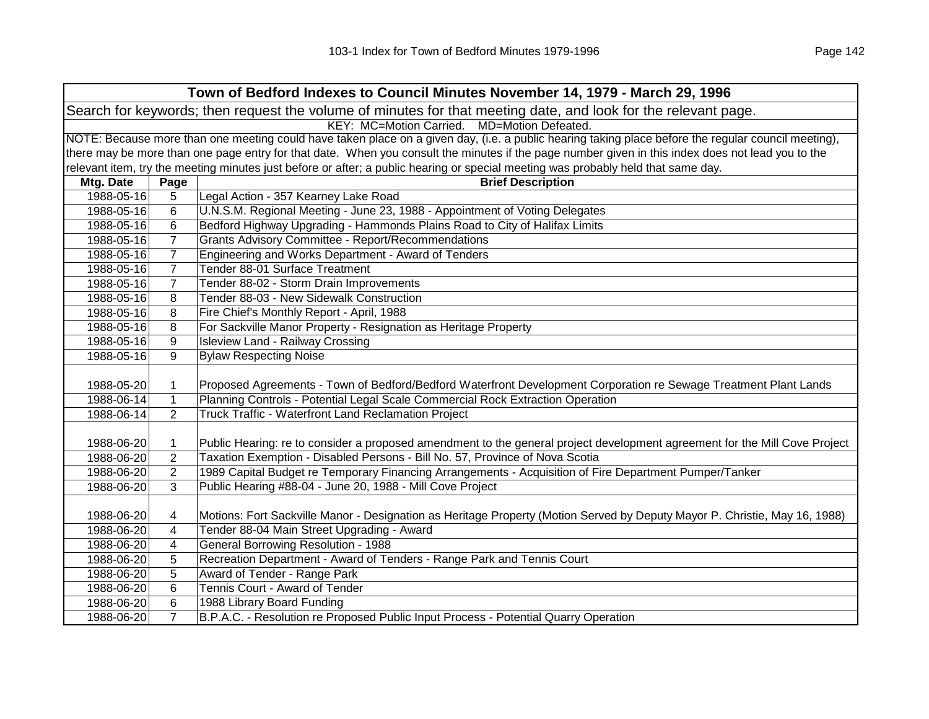|                                                                                                                | Town of Bedford Indexes to Council Minutes November 14, 1979 - March 29, 1996                                                                       |                                                                                                                                                   |  |  |
|----------------------------------------------------------------------------------------------------------------|-----------------------------------------------------------------------------------------------------------------------------------------------------|---------------------------------------------------------------------------------------------------------------------------------------------------|--|--|
| Search for keywords; then request the volume of minutes for that meeting date, and look for the relevant page. |                                                                                                                                                     |                                                                                                                                                   |  |  |
|                                                                                                                | KEY: MC=Motion Carried. MD=Motion Defeated.                                                                                                         |                                                                                                                                                   |  |  |
|                                                                                                                | NOTE: Because more than one meeting could have taken place on a given day, (i.e. a public hearing taking place before the regular council meeting), |                                                                                                                                                   |  |  |
|                                                                                                                |                                                                                                                                                     | there may be more than one page entry for that date. When you consult the minutes if the page number given in this index does not lead you to the |  |  |
|                                                                                                                |                                                                                                                                                     | relevant item, try the meeting minutes just before or after; a public hearing or special meeting was probably held that same day.                 |  |  |
| Mtg. Date                                                                                                      | Page                                                                                                                                                | <b>Brief Description</b>                                                                                                                          |  |  |
| 1988-05-16                                                                                                     | 5                                                                                                                                                   | Legal Action - 357 Kearney Lake Road                                                                                                              |  |  |
| 1988-05-16                                                                                                     | 6                                                                                                                                                   | U.N.S.M. Regional Meeting - June 23, 1988 - Appointment of Voting Delegates                                                                       |  |  |
| 1988-05-16                                                                                                     | 6                                                                                                                                                   | Bedford Highway Upgrading - Hammonds Plains Road to City of Halifax Limits                                                                        |  |  |
| 1988-05-16                                                                                                     | $\overline{7}$                                                                                                                                      | Grants Advisory Committee - Report/Recommendations                                                                                                |  |  |
| 1988-05-16                                                                                                     | $\overline{7}$                                                                                                                                      | Engineering and Works Department - Award of Tenders                                                                                               |  |  |
| 1988-05-16                                                                                                     | $\overline{7}$                                                                                                                                      | Tender 88-01 Surface Treatment                                                                                                                    |  |  |
| 1988-05-16                                                                                                     | $\overline{7}$                                                                                                                                      | Tender 88-02 - Storm Drain Improvements                                                                                                           |  |  |
| 1988-05-16                                                                                                     | 8                                                                                                                                                   | Tender 88-03 - New Sidewalk Construction                                                                                                          |  |  |
| 1988-05-16                                                                                                     | 8                                                                                                                                                   | Fire Chief's Monthly Report - April, 1988                                                                                                         |  |  |
| 1988-05-16                                                                                                     | 8                                                                                                                                                   | For Sackville Manor Property - Resignation as Heritage Property                                                                                   |  |  |
| 1988-05-16                                                                                                     | 9                                                                                                                                                   | <b>Isleview Land - Railway Crossing</b>                                                                                                           |  |  |
| 1988-05-16                                                                                                     | 9                                                                                                                                                   | <b>Bylaw Respecting Noise</b>                                                                                                                     |  |  |
|                                                                                                                |                                                                                                                                                     |                                                                                                                                                   |  |  |
| 1988-05-20                                                                                                     | 1                                                                                                                                                   | Proposed Agreements - Town of Bedford/Bedford Waterfront Development Corporation re Sewage Treatment Plant Lands                                  |  |  |
| 1988-06-14                                                                                                     | $\mathbf{1}$                                                                                                                                        | Planning Controls - Potential Legal Scale Commercial Rock Extraction Operation                                                                    |  |  |
| 1988-06-14                                                                                                     | $\overline{2}$                                                                                                                                      | Truck Traffic - Waterfront Land Reclamation Project                                                                                               |  |  |
|                                                                                                                |                                                                                                                                                     |                                                                                                                                                   |  |  |
| 1988-06-20                                                                                                     | $\mathbf 1$                                                                                                                                         | Public Hearing: re to consider a proposed amendment to the general project development agreement for the Mill Cove Project                        |  |  |
| 1988-06-20                                                                                                     | 2                                                                                                                                                   | Taxation Exemption - Disabled Persons - Bill No. 57, Province of Nova Scotia                                                                      |  |  |
| 1988-06-20                                                                                                     | $\overline{2}$                                                                                                                                      | 1989 Capital Budget re Temporary Financing Arrangements - Acquisition of Fire Department Pumper/Tanker                                            |  |  |
| 1988-06-20                                                                                                     | 3                                                                                                                                                   | Public Hearing #88-04 - June 20, 1988 - Mill Cove Project                                                                                         |  |  |
|                                                                                                                |                                                                                                                                                     |                                                                                                                                                   |  |  |
| 1988-06-20                                                                                                     | 4                                                                                                                                                   | Motions: Fort Sackville Manor - Designation as Heritage Property (Motion Served by Deputy Mayor P. Christie, May 16, 1988)                        |  |  |
| 1988-06-20                                                                                                     | 4                                                                                                                                                   | Tender 88-04 Main Street Upgrading - Award                                                                                                        |  |  |
| 1988-06-20                                                                                                     | 4                                                                                                                                                   | General Borrowing Resolution - 1988                                                                                                               |  |  |
| 1988-06-20                                                                                                     | 5                                                                                                                                                   | Recreation Department - Award of Tenders - Range Park and Tennis Court                                                                            |  |  |
| 1988-06-20                                                                                                     | 5                                                                                                                                                   | Award of Tender - Range Park                                                                                                                      |  |  |
| 1988-06-20                                                                                                     | 6                                                                                                                                                   | Tennis Court - Award of Tender                                                                                                                    |  |  |
| 1988-06-20                                                                                                     | 6                                                                                                                                                   | 1988 Library Board Funding                                                                                                                        |  |  |
| 1988-06-20                                                                                                     | $\overline{7}$                                                                                                                                      | B.P.A.C. - Resolution re Proposed Public Input Process - Potential Quarry Operation                                                               |  |  |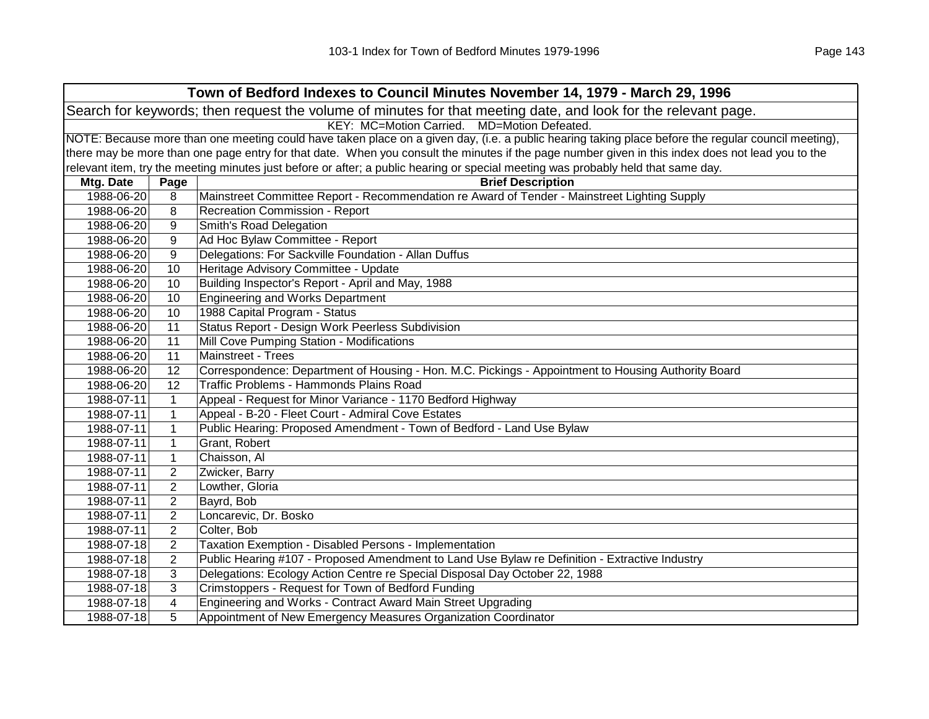| Town of Bedford Indexes to Council Minutes November 14, 1979 - March 29, 1996 |                                                                                                                |                                                                                                                                                     |  |  |
|-------------------------------------------------------------------------------|----------------------------------------------------------------------------------------------------------------|-----------------------------------------------------------------------------------------------------------------------------------------------------|--|--|
|                                                                               | Search for keywords; then request the volume of minutes for that meeting date, and look for the relevant page. |                                                                                                                                                     |  |  |
|                                                                               |                                                                                                                | KEY: MC=Motion Carried. MD=Motion Defeated.                                                                                                         |  |  |
|                                                                               |                                                                                                                | NOTE: Because more than one meeting could have taken place on a given day, (i.e. a public hearing taking place before the regular council meeting), |  |  |
|                                                                               |                                                                                                                | there may be more than one page entry for that date. When you consult the minutes if the page number given in this index does not lead you to the   |  |  |
|                                                                               |                                                                                                                | relevant item, try the meeting minutes just before or after; a public hearing or special meeting was probably held that same day.                   |  |  |
| Mtg. Date                                                                     | Page                                                                                                           | <b>Brief Description</b>                                                                                                                            |  |  |
| 1988-06-20                                                                    | 8                                                                                                              | Mainstreet Committee Report - Recommendation re Award of Tender - Mainstreet Lighting Supply                                                        |  |  |
| 1988-06-20                                                                    | 8                                                                                                              | Recreation Commission - Report                                                                                                                      |  |  |
| 1988-06-20                                                                    | 9                                                                                                              | Smith's Road Delegation                                                                                                                             |  |  |
| 1988-06-20                                                                    | 9                                                                                                              | Ad Hoc Bylaw Committee - Report                                                                                                                     |  |  |
| 1988-06-20                                                                    | 9                                                                                                              | Delegations: For Sackville Foundation - Allan Duffus                                                                                                |  |  |
| 1988-06-20                                                                    | 10                                                                                                             | Heritage Advisory Committee - Update                                                                                                                |  |  |
| 1988-06-20                                                                    | 10                                                                                                             | Building Inspector's Report - April and May, 1988                                                                                                   |  |  |
| 1988-06-20                                                                    | 10                                                                                                             | <b>Engineering and Works Department</b>                                                                                                             |  |  |
| 1988-06-20                                                                    | 10                                                                                                             | 1988 Capital Program - Status                                                                                                                       |  |  |
| 1988-06-20                                                                    | 11                                                                                                             | Status Report - Design Work Peerless Subdivision                                                                                                    |  |  |
| 1988-06-20                                                                    | 11                                                                                                             | Mill Cove Pumping Station - Modifications                                                                                                           |  |  |
| 1988-06-20                                                                    | 11                                                                                                             | Mainstreet - Trees                                                                                                                                  |  |  |
| 1988-06-20                                                                    | 12                                                                                                             | Correspondence: Department of Housing - Hon. M.C. Pickings - Appointment to Housing Authority Board                                                 |  |  |
| 1988-06-20                                                                    | 12                                                                                                             | Traffic Problems - Hammonds Plains Road                                                                                                             |  |  |
| 1988-07-11                                                                    | $\mathbf{1}$                                                                                                   | Appeal - Request for Minor Variance - 1170 Bedford Highway                                                                                          |  |  |
| 1988-07-11                                                                    | $\mathbf{1}$                                                                                                   | Appeal - B-20 - Fleet Court - Admiral Cove Estates                                                                                                  |  |  |
| 1988-07-11                                                                    | $\mathbf{1}$                                                                                                   | Public Hearing: Proposed Amendment - Town of Bedford - Land Use Bylaw                                                                               |  |  |
| 1988-07-11                                                                    | $\mathbf{1}$                                                                                                   | Grant, Robert                                                                                                                                       |  |  |
| 1988-07-11                                                                    | 1                                                                                                              | Chaisson, Al                                                                                                                                        |  |  |
| 1988-07-11                                                                    | 2                                                                                                              | Zwicker, Barry                                                                                                                                      |  |  |
| 1988-07-11                                                                    | 2                                                                                                              | Lowther, Gloria                                                                                                                                     |  |  |
| 1988-07-11                                                                    | $\overline{2}$                                                                                                 | Bayrd, Bob                                                                                                                                          |  |  |
| 1988-07-11                                                                    | $\overline{2}$                                                                                                 | Loncarevic, Dr. Bosko                                                                                                                               |  |  |
| 1988-07-11                                                                    | $\overline{2}$                                                                                                 | Colter, Bob                                                                                                                                         |  |  |
| 1988-07-18                                                                    | $\overline{c}$                                                                                                 | Taxation Exemption - Disabled Persons - Implementation                                                                                              |  |  |
| 1988-07-18                                                                    | $\overline{c}$                                                                                                 | Public Hearing #107 - Proposed Amendment to Land Use Bylaw re Definition - Extractive Industry                                                      |  |  |
| 1988-07-18                                                                    | 3                                                                                                              | Delegations: Ecology Action Centre re Special Disposal Day October 22, 1988                                                                         |  |  |
| 1988-07-18                                                                    | 3                                                                                                              | Crimstoppers - Request for Town of Bedford Funding                                                                                                  |  |  |
| 1988-07-18                                                                    | 4                                                                                                              | Engineering and Works - Contract Award Main Street Upgrading                                                                                        |  |  |
| 1988-07-18                                                                    | 5                                                                                                              | Appointment of New Emergency Measures Organization Coordinator                                                                                      |  |  |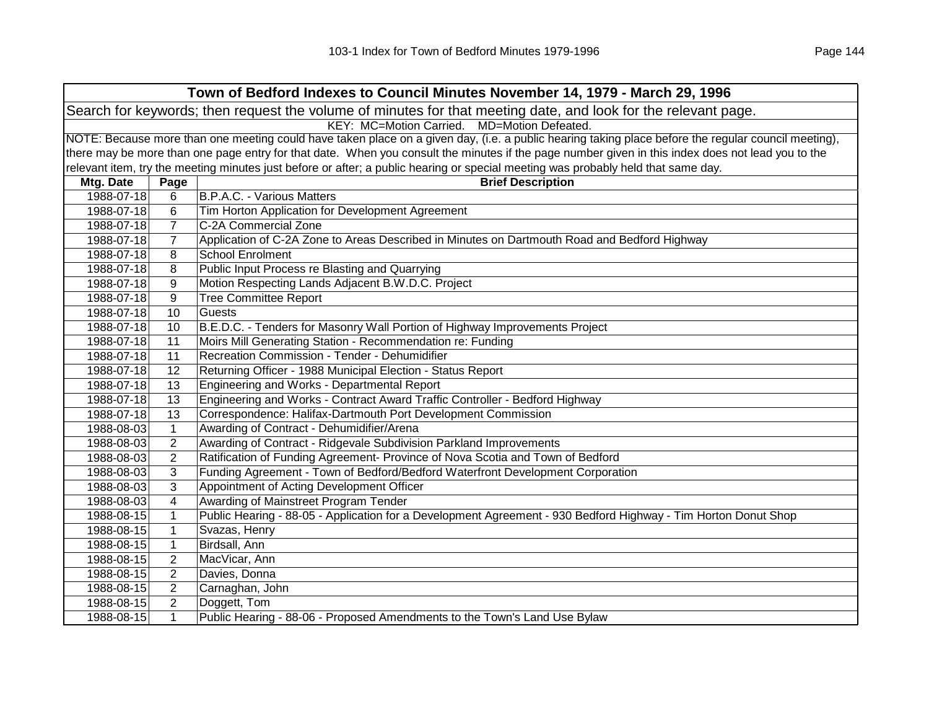| Town of Bedford Indexes to Council Minutes November 14, 1979 - March 29, 1996 |                                                                                                                |                                                                                                                                                     |  |  |  |
|-------------------------------------------------------------------------------|----------------------------------------------------------------------------------------------------------------|-----------------------------------------------------------------------------------------------------------------------------------------------------|--|--|--|
|                                                                               | Search for keywords; then request the volume of minutes for that meeting date, and look for the relevant page. |                                                                                                                                                     |  |  |  |
|                                                                               | KEY: MC=Motion Carried. MD=Motion Defeated.                                                                    |                                                                                                                                                     |  |  |  |
|                                                                               |                                                                                                                | NOTE: Because more than one meeting could have taken place on a given day, (i.e. a public hearing taking place before the regular council meeting), |  |  |  |
|                                                                               |                                                                                                                | there may be more than one page entry for that date. When you consult the minutes if the page number given in this index does not lead you to the   |  |  |  |
|                                                                               |                                                                                                                | relevant item, try the meeting minutes just before or after; a public hearing or special meeting was probably held that same day.                   |  |  |  |
| Mtg. Date                                                                     | Page                                                                                                           | <b>Brief Description</b>                                                                                                                            |  |  |  |
| 1988-07-18                                                                    | 6                                                                                                              | <b>B.P.A.C. - Various Matters</b>                                                                                                                   |  |  |  |
| 1988-07-18                                                                    | 6                                                                                                              | Tim Horton Application for Development Agreement                                                                                                    |  |  |  |
| 1988-07-18                                                                    | $\overline{7}$                                                                                                 | C-2A Commercial Zone                                                                                                                                |  |  |  |
| 1988-07-18                                                                    | $\overline{7}$                                                                                                 | Application of C-2A Zone to Areas Described in Minutes on Dartmouth Road and Bedford Highway                                                        |  |  |  |
| 1988-07-18                                                                    | 8                                                                                                              | <b>School Enrolment</b>                                                                                                                             |  |  |  |
| 1988-07-18                                                                    | 8                                                                                                              | Public Input Process re Blasting and Quarrying                                                                                                      |  |  |  |
| 1988-07-18                                                                    | 9                                                                                                              | Motion Respecting Lands Adjacent B.W.D.C. Project                                                                                                   |  |  |  |
| 1988-07-18                                                                    | 9                                                                                                              | <b>Tree Committee Report</b>                                                                                                                        |  |  |  |
| 1988-07-18                                                                    | 10                                                                                                             | <b>Guests</b>                                                                                                                                       |  |  |  |
| 1988-07-18                                                                    | 10                                                                                                             | B.E.D.C. - Tenders for Masonry Wall Portion of Highway Improvements Project                                                                         |  |  |  |
| 1988-07-18                                                                    | 11                                                                                                             | Moirs Mill Generating Station - Recommendation re: Funding                                                                                          |  |  |  |
| 1988-07-18                                                                    | 11                                                                                                             | Recreation Commission - Tender - Dehumidifier                                                                                                       |  |  |  |
| 1988-07-18                                                                    | 12                                                                                                             | Returning Officer - 1988 Municipal Election - Status Report                                                                                         |  |  |  |
| 1988-07-18                                                                    | 13                                                                                                             | Engineering and Works - Departmental Report                                                                                                         |  |  |  |
| 1988-07-18                                                                    | 13                                                                                                             | Engineering and Works - Contract Award Traffic Controller - Bedford Highway                                                                         |  |  |  |
| 1988-07-18                                                                    | 13                                                                                                             | Correspondence: Halifax-Dartmouth Port Development Commission                                                                                       |  |  |  |
| 1988-08-03                                                                    | $\mathbf{1}$                                                                                                   | Awarding of Contract - Dehumidifier/Arena                                                                                                           |  |  |  |
| 1988-08-03                                                                    | $\overline{2}$                                                                                                 | Awarding of Contract - Ridgevale Subdivision Parkland Improvements                                                                                  |  |  |  |
| 1988-08-03                                                                    | $\overline{2}$                                                                                                 | Ratification of Funding Agreement- Province of Nova Scotia and Town of Bedford                                                                      |  |  |  |
| 1988-08-03                                                                    | 3                                                                                                              | Funding Agreement - Town of Bedford/Bedford Waterfront Development Corporation                                                                      |  |  |  |
| 1988-08-03                                                                    | 3                                                                                                              | Appointment of Acting Development Officer                                                                                                           |  |  |  |
| 1988-08-03                                                                    | 4                                                                                                              | Awarding of Mainstreet Program Tender                                                                                                               |  |  |  |
| 1988-08-15                                                                    | $\mathbf{1}$                                                                                                   | Public Hearing - 88-05 - Application for a Development Agreement - 930 Bedford Highway - Tim Horton Donut Shop                                      |  |  |  |
| 1988-08-15                                                                    | $\mathbf{1}$                                                                                                   | Svazas, Henry                                                                                                                                       |  |  |  |
| 1988-08-15                                                                    | $\mathbf{1}$                                                                                                   | Birdsall, Ann                                                                                                                                       |  |  |  |
| 1988-08-15                                                                    | $\overline{2}$                                                                                                 | MacVicar, Ann                                                                                                                                       |  |  |  |
| 1988-08-15                                                                    | $\overline{2}$                                                                                                 | Davies, Donna                                                                                                                                       |  |  |  |
| 1988-08-15                                                                    | $\overline{2}$                                                                                                 | Carnaghan, John                                                                                                                                     |  |  |  |
| 1988-08-15                                                                    | $\overline{2}$                                                                                                 | Doggett, Tom                                                                                                                                        |  |  |  |
| 1988-08-15                                                                    | $\mathbf{1}$                                                                                                   | Public Hearing - 88-06 - Proposed Amendments to the Town's Land Use Bylaw                                                                           |  |  |  |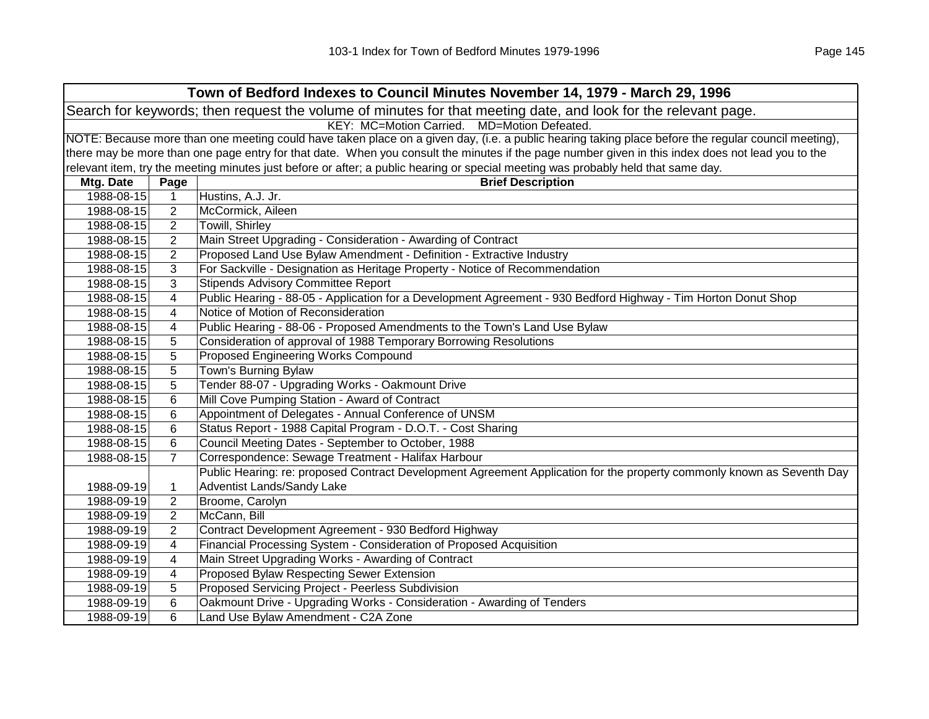| Town of Bedford Indexes to Council Minutes November 14, 1979 - March 29, 1996 |                                                                                                                                                     |                                                                                                                                                   |  |
|-------------------------------------------------------------------------------|-----------------------------------------------------------------------------------------------------------------------------------------------------|---------------------------------------------------------------------------------------------------------------------------------------------------|--|
|                                                                               | Search for keywords; then request the volume of minutes for that meeting date, and look for the relevant page.                                      |                                                                                                                                                   |  |
| KEY: MC=Motion Carried. MD=Motion Defeated.                                   |                                                                                                                                                     |                                                                                                                                                   |  |
|                                                                               | NOTE: Because more than one meeting could have taken place on a given day, (i.e. a public hearing taking place before the regular council meeting), |                                                                                                                                                   |  |
|                                                                               |                                                                                                                                                     | there may be more than one page entry for that date. When you consult the minutes if the page number given in this index does not lead you to the |  |
|                                                                               |                                                                                                                                                     | relevant item, try the meeting minutes just before or after; a public hearing or special meeting was probably held that same day.                 |  |
| Mtg. Date                                                                     | Page                                                                                                                                                | <b>Brief Description</b>                                                                                                                          |  |
| 1988-08-15                                                                    | $\mathbf 1$                                                                                                                                         | Hustins, A.J. Jr.                                                                                                                                 |  |
| 1988-08-15                                                                    | $\overline{2}$                                                                                                                                      | McCormick, Aileen                                                                                                                                 |  |
| 1988-08-15                                                                    | $\overline{2}$                                                                                                                                      | Towill, Shirley                                                                                                                                   |  |
| 1988-08-15                                                                    | 2                                                                                                                                                   | Main Street Upgrading - Consideration - Awarding of Contract                                                                                      |  |
| 1988-08-15                                                                    | 2                                                                                                                                                   | Proposed Land Use Bylaw Amendment - Definition - Extractive Industry                                                                              |  |
| 1988-08-15                                                                    | 3                                                                                                                                                   | For Sackville - Designation as Heritage Property - Notice of Recommendation                                                                       |  |
| 1988-08-15                                                                    | 3                                                                                                                                                   | <b>Stipends Advisory Committee Report</b>                                                                                                         |  |
| 1988-08-15                                                                    | 4                                                                                                                                                   | Public Hearing - 88-05 - Application for a Development Agreement - 930 Bedford Highway - Tim Horton Donut Shop                                    |  |
| 1988-08-15                                                                    | 4                                                                                                                                                   | Notice of Motion of Reconsideration                                                                                                               |  |
| 1988-08-15                                                                    | 4                                                                                                                                                   | Public Hearing - 88-06 - Proposed Amendments to the Town's Land Use Bylaw                                                                         |  |
| 1988-08-15                                                                    | 5                                                                                                                                                   | Consideration of approval of 1988 Temporary Borrowing Resolutions                                                                                 |  |
| 1988-08-15                                                                    | 5                                                                                                                                                   | Proposed Engineering Works Compound                                                                                                               |  |
| 1988-08-15                                                                    | 5                                                                                                                                                   | Town's Burning Bylaw                                                                                                                              |  |
| 1988-08-15                                                                    | 5                                                                                                                                                   | Tender 88-07 - Upgrading Works - Oakmount Drive                                                                                                   |  |
| 1988-08-15                                                                    | 6                                                                                                                                                   | Mill Cove Pumping Station - Award of Contract                                                                                                     |  |
| 1988-08-15                                                                    | 6                                                                                                                                                   | Appointment of Delegates - Annual Conference of UNSM                                                                                              |  |
| 1988-08-15                                                                    | 6                                                                                                                                                   | Status Report - 1988 Capital Program - D.O.T. - Cost Sharing                                                                                      |  |
| 1988-08-15                                                                    | 6                                                                                                                                                   | Council Meeting Dates - September to October, 1988                                                                                                |  |
| 1988-08-15                                                                    | $\overline{7}$                                                                                                                                      | Correspondence: Sewage Treatment - Halifax Harbour                                                                                                |  |
|                                                                               |                                                                                                                                                     | Public Hearing: re: proposed Contract Development Agreement Application for the property commonly known as Seventh Day                            |  |
| 1988-09-19                                                                    | 1                                                                                                                                                   | Adventist Lands/Sandy Lake                                                                                                                        |  |
| 1988-09-19                                                                    | $\overline{c}$                                                                                                                                      | Broome, Carolyn                                                                                                                                   |  |
| 1988-09-19                                                                    | $\overline{2}$                                                                                                                                      | McCann, Bill                                                                                                                                      |  |
| 1988-09-19                                                                    | $\overline{2}$                                                                                                                                      | Contract Development Agreement - 930 Bedford Highway                                                                                              |  |
| 1988-09-19                                                                    | 4                                                                                                                                                   | Financial Processing System - Consideration of Proposed Acquisition                                                                               |  |
| 1988-09-19                                                                    | 4                                                                                                                                                   | Main Street Upgrading Works - Awarding of Contract                                                                                                |  |
| 1988-09-19                                                                    | 4                                                                                                                                                   | Proposed Bylaw Respecting Sewer Extension                                                                                                         |  |
| 1988-09-19                                                                    | 5                                                                                                                                                   | Proposed Servicing Project - Peerless Subdivision                                                                                                 |  |
| 1988-09-19                                                                    | 6                                                                                                                                                   | Oakmount Drive - Upgrading Works - Consideration - Awarding of Tenders                                                                            |  |
| 1988-09-19                                                                    | 6                                                                                                                                                   | Land Use Bylaw Amendment - C2A Zone                                                                                                               |  |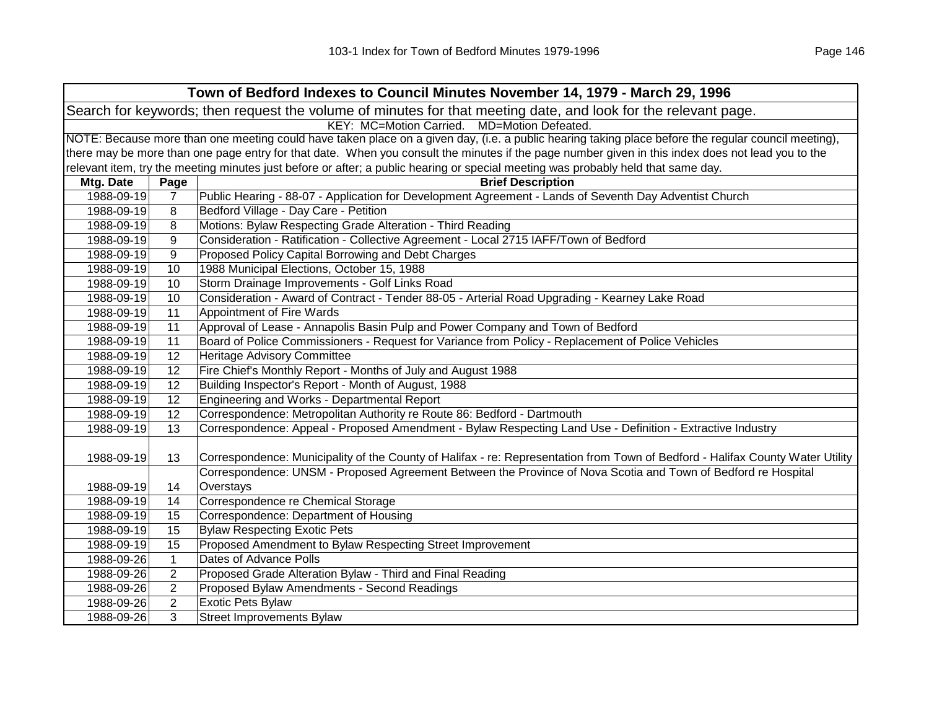|            |                                                                                                                | Town of Bedford Indexes to Council Minutes November 14, 1979 - March 29, 1996                                                                       |  |
|------------|----------------------------------------------------------------------------------------------------------------|-----------------------------------------------------------------------------------------------------------------------------------------------------|--|
|            | Search for keywords; then request the volume of minutes for that meeting date, and look for the relevant page. |                                                                                                                                                     |  |
|            |                                                                                                                | KEY: MC=Motion Carried. MD=Motion Defeated.                                                                                                         |  |
|            |                                                                                                                | NOTE: Because more than one meeting could have taken place on a given day, (i.e. a public hearing taking place before the regular council meeting), |  |
|            |                                                                                                                | there may be more than one page entry for that date. When you consult the minutes if the page number given in this index does not lead you to the   |  |
|            |                                                                                                                | relevant item, try the meeting minutes just before or after; a public hearing or special meeting was probably held that same day.                   |  |
| Mtg. Date  | Page                                                                                                           | <b>Brief Description</b>                                                                                                                            |  |
| 1988-09-19 | $\overline{7}$                                                                                                 | Public Hearing - 88-07 - Application for Development Agreement - Lands of Seventh Day Adventist Church                                              |  |
| 1988-09-19 | 8                                                                                                              | Bedford Village - Day Care - Petition                                                                                                               |  |
| 1988-09-19 | 8                                                                                                              | Motions: Bylaw Respecting Grade Alteration - Third Reading                                                                                          |  |
| 1988-09-19 | 9                                                                                                              | Consideration - Ratification - Collective Agreement - Local 2715 IAFF/Town of Bedford                                                               |  |
| 1988-09-19 | 9                                                                                                              | Proposed Policy Capital Borrowing and Debt Charges                                                                                                  |  |
| 1988-09-19 | 10                                                                                                             | 1988 Municipal Elections, October 15, 1988                                                                                                          |  |
| 1988-09-19 | 10                                                                                                             | Storm Drainage Improvements - Golf Links Road                                                                                                       |  |
| 1988-09-19 | 10                                                                                                             | Consideration - Award of Contract - Tender 88-05 - Arterial Road Upgrading - Kearney Lake Road                                                      |  |
| 1988-09-19 | 11                                                                                                             | Appointment of Fire Wards                                                                                                                           |  |
| 1988-09-19 | 11                                                                                                             | Approval of Lease - Annapolis Basin Pulp and Power Company and Town of Bedford                                                                      |  |
| 1988-09-19 | 11                                                                                                             | Board of Police Commissioners - Request for Variance from Policy - Replacement of Police Vehicles                                                   |  |
| 1988-09-19 | 12                                                                                                             | Heritage Advisory Committee                                                                                                                         |  |
| 1988-09-19 | 12                                                                                                             | Fire Chief's Monthly Report - Months of July and August 1988                                                                                        |  |
| 1988-09-19 | 12                                                                                                             | Building Inspector's Report - Month of August, 1988                                                                                                 |  |
| 1988-09-19 | 12                                                                                                             | Engineering and Works - Departmental Report                                                                                                         |  |
| 1988-09-19 | 12                                                                                                             | Correspondence: Metropolitan Authority re Route 86: Bedford - Dartmouth                                                                             |  |
| 1988-09-19 | $\overline{13}$                                                                                                | Correspondence: Appeal - Proposed Amendment - Bylaw Respecting Land Use - Definition - Extractive Industry                                          |  |
|            |                                                                                                                |                                                                                                                                                     |  |
| 1988-09-19 | 13                                                                                                             | Correspondence: Municipality of the County of Halifax - re: Representation from Town of Bedford - Halifax County Water Utility                      |  |
|            |                                                                                                                | Correspondence: UNSM - Proposed Agreement Between the Province of Nova Scotia and Town of Bedford re Hospital                                       |  |
| 1988-09-19 | 14                                                                                                             | Overstays                                                                                                                                           |  |
| 1988-09-19 | 14                                                                                                             | Correspondence re Chemical Storage                                                                                                                  |  |
| 1988-09-19 | 15                                                                                                             | Correspondence: Department of Housing                                                                                                               |  |
| 1988-09-19 | 15                                                                                                             | <b>Bylaw Respecting Exotic Pets</b>                                                                                                                 |  |
| 1988-09-19 | 15                                                                                                             | Proposed Amendment to Bylaw Respecting Street Improvement                                                                                           |  |
| 1988-09-26 | $\mathbf{1}$                                                                                                   | Dates of Advance Polls                                                                                                                              |  |
| 1988-09-26 | 2                                                                                                              | Proposed Grade Alteration Bylaw - Third and Final Reading                                                                                           |  |
| 1988-09-26 | $\overline{2}$                                                                                                 | Proposed Bylaw Amendments - Second Readings                                                                                                         |  |
| 1988-09-26 | $\overline{2}$                                                                                                 | <b>Exotic Pets Bylaw</b>                                                                                                                            |  |
| 1988-09-26 | 3                                                                                                              | <b>Street Improvements Bylaw</b>                                                                                                                    |  |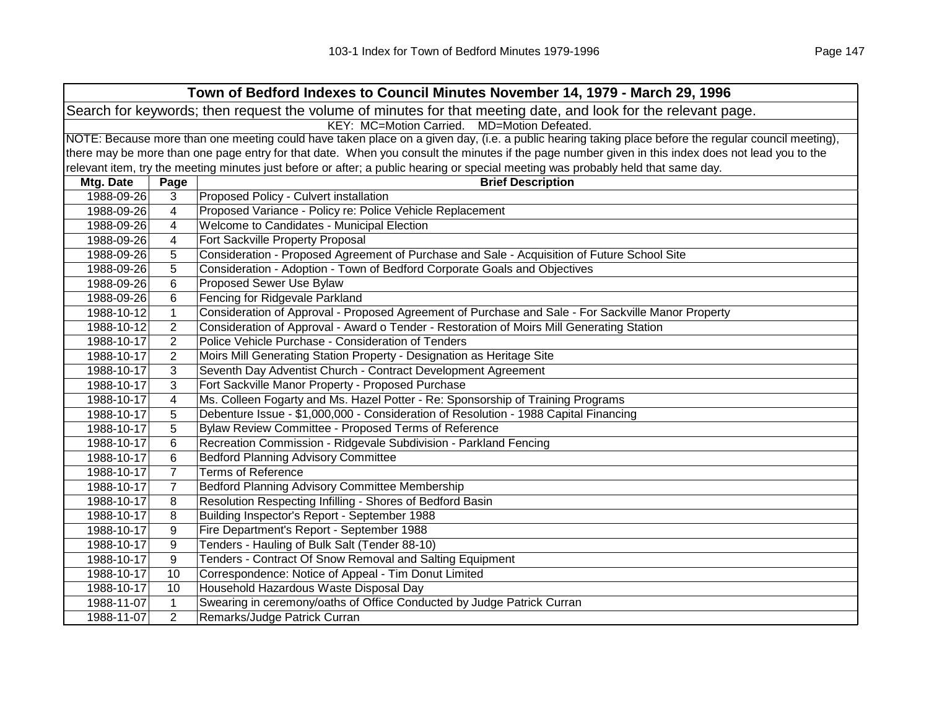| Town of Bedford Indexes to Council Minutes November 14, 1979 - March 29, 1996 |                                                                                                                                                     |                                                                                                                                                   |  |
|-------------------------------------------------------------------------------|-----------------------------------------------------------------------------------------------------------------------------------------------------|---------------------------------------------------------------------------------------------------------------------------------------------------|--|
|                                                                               | Search for keywords; then request the volume of minutes for that meeting date, and look for the relevant page.                                      |                                                                                                                                                   |  |
| KEY: MC=Motion Carried. MD=Motion Defeated.                                   |                                                                                                                                                     |                                                                                                                                                   |  |
|                                                                               | NOTE: Because more than one meeting could have taken place on a given day, (i.e. a public hearing taking place before the regular council meeting), |                                                                                                                                                   |  |
|                                                                               |                                                                                                                                                     | there may be more than one page entry for that date. When you consult the minutes if the page number given in this index does not lead you to the |  |
|                                                                               |                                                                                                                                                     | relevant item, try the meeting minutes just before or after; a public hearing or special meeting was probably held that same day.                 |  |
| Mtg. Date                                                                     | Page                                                                                                                                                | <b>Brief Description</b>                                                                                                                          |  |
| 1988-09-26                                                                    | 3                                                                                                                                                   | Proposed Policy - Culvert installation                                                                                                            |  |
| 1988-09-26                                                                    | 4                                                                                                                                                   | Proposed Variance - Policy re: Police Vehicle Replacement                                                                                         |  |
| 1988-09-26                                                                    | 4                                                                                                                                                   | Welcome to Candidates - Municipal Election                                                                                                        |  |
| 1988-09-26                                                                    | 4                                                                                                                                                   | Fort Sackville Property Proposal                                                                                                                  |  |
| 1988-09-26                                                                    | 5                                                                                                                                                   | Consideration - Proposed Agreement of Purchase and Sale - Acquisition of Future School Site                                                       |  |
| 1988-09-26                                                                    | 5                                                                                                                                                   | Consideration - Adoption - Town of Bedford Corporate Goals and Objectives                                                                         |  |
| 1988-09-26                                                                    | 6                                                                                                                                                   | <b>Proposed Sewer Use Bylaw</b>                                                                                                                   |  |
| 1988-09-26                                                                    | 6                                                                                                                                                   | Fencing for Ridgevale Parkland                                                                                                                    |  |
| 1988-10-12                                                                    | $\mathbf{1}$                                                                                                                                        | Consideration of Approval - Proposed Agreement of Purchase and Sale - For Sackville Manor Property                                                |  |
| 1988-10-12                                                                    | $\overline{2}$                                                                                                                                      | Consideration of Approval - Award o Tender - Restoration of Moirs Mill Generating Station                                                         |  |
| 1988-10-17                                                                    | $\overline{2}$                                                                                                                                      | Police Vehicle Purchase - Consideration of Tenders                                                                                                |  |
| 1988-10-17                                                                    | $\overline{2}$                                                                                                                                      | Moirs Mill Generating Station Property - Designation as Heritage Site                                                                             |  |
| 1988-10-17                                                                    | 3                                                                                                                                                   | Seventh Day Adventist Church - Contract Development Agreement                                                                                     |  |
| 1988-10-17                                                                    | 3                                                                                                                                                   | Fort Sackville Manor Property - Proposed Purchase                                                                                                 |  |
| 1988-10-17                                                                    | 4                                                                                                                                                   | Ms. Colleen Fogarty and Ms. Hazel Potter - Re: Sponsorship of Training Programs                                                                   |  |
| 1988-10-17                                                                    | 5                                                                                                                                                   | Debenture Issue - \$1,000,000 - Consideration of Resolution - 1988 Capital Financing                                                              |  |
| 1988-10-17                                                                    | 5                                                                                                                                                   | Bylaw Review Committee - Proposed Terms of Reference                                                                                              |  |
| 1988-10-17                                                                    | 6                                                                                                                                                   | Recreation Commission - Ridgevale Subdivision - Parkland Fencing                                                                                  |  |
| 1988-10-17                                                                    | 6                                                                                                                                                   | <b>Bedford Planning Advisory Committee</b>                                                                                                        |  |
| 1988-10-17                                                                    | $\overline{7}$                                                                                                                                      | <b>Terms of Reference</b>                                                                                                                         |  |
| 1988-10-17                                                                    | $\overline{7}$                                                                                                                                      | Bedford Planning Advisory Committee Membership                                                                                                    |  |
| 1988-10-17                                                                    | 8                                                                                                                                                   | Resolution Respecting Infilling - Shores of Bedford Basin                                                                                         |  |
| 1988-10-17                                                                    | 8                                                                                                                                                   | Building Inspector's Report - September 1988                                                                                                      |  |
| 1988-10-17                                                                    | 9                                                                                                                                                   | Fire Department's Report - September 1988                                                                                                         |  |
| 1988-10-17                                                                    | 9                                                                                                                                                   | Tenders - Hauling of Bulk Salt (Tender 88-10)                                                                                                     |  |
| 1988-10-17                                                                    | 9                                                                                                                                                   | Tenders - Contract Of Snow Removal and Salting Equipment                                                                                          |  |
| 1988-10-17                                                                    | 10                                                                                                                                                  | Correspondence: Notice of Appeal - Tim Donut Limited                                                                                              |  |
| 1988-10-17                                                                    | 10                                                                                                                                                  | Household Hazardous Waste Disposal Day                                                                                                            |  |
| 1988-11-07                                                                    | $\mathbf{1}$                                                                                                                                        | Swearing in ceremony/oaths of Office Conducted by Judge Patrick Curran                                                                            |  |
| 1988-11-07                                                                    | $\overline{2}$                                                                                                                                      | Remarks/Judge Patrick Curran                                                                                                                      |  |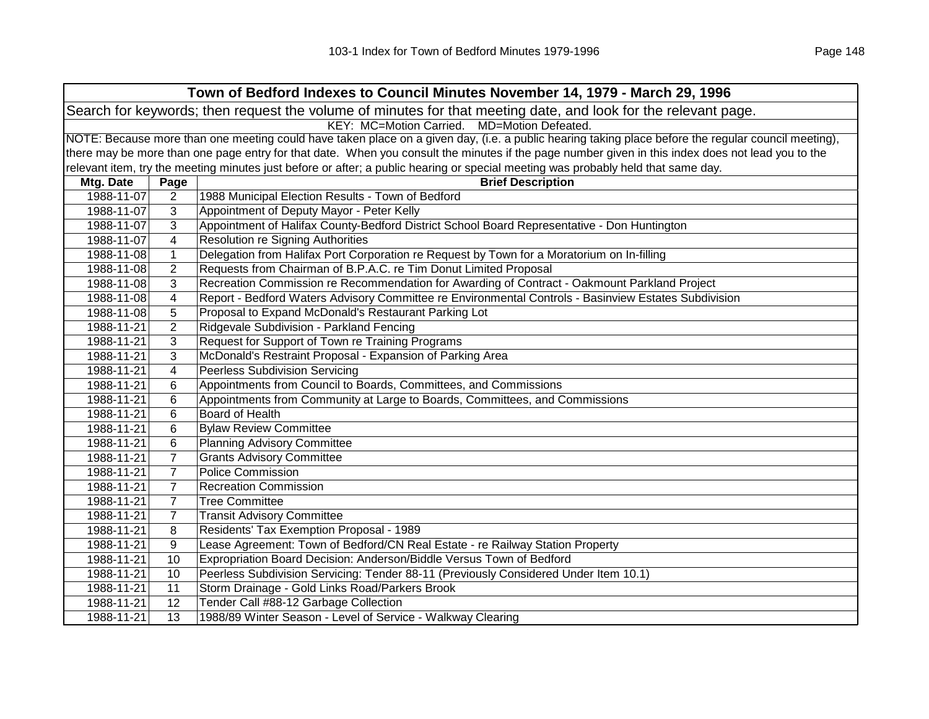| Town of Bedford Indexes to Council Minutes November 14, 1979 - March 29, 1996 |                                                                                                                                                     |                                                                                                                                                   |  |  |
|-------------------------------------------------------------------------------|-----------------------------------------------------------------------------------------------------------------------------------------------------|---------------------------------------------------------------------------------------------------------------------------------------------------|--|--|
|                                                                               | Search for keywords; then request the volume of minutes for that meeting date, and look for the relevant page.                                      |                                                                                                                                                   |  |  |
|                                                                               | KEY: MC=Motion Carried. MD=Motion Defeated.                                                                                                         |                                                                                                                                                   |  |  |
|                                                                               | NOTE: Because more than one meeting could have taken place on a given day, (i.e. a public hearing taking place before the regular council meeting), |                                                                                                                                                   |  |  |
|                                                                               |                                                                                                                                                     | there may be more than one page entry for that date. When you consult the minutes if the page number given in this index does not lead you to the |  |  |
|                                                                               |                                                                                                                                                     | relevant item, try the meeting minutes just before or after; a public hearing or special meeting was probably held that same day.                 |  |  |
| Mtg. Date                                                                     | Page                                                                                                                                                | <b>Brief Description</b>                                                                                                                          |  |  |
| 1988-11-07                                                                    | $\overline{2}$                                                                                                                                      | 1988 Municipal Election Results - Town of Bedford                                                                                                 |  |  |
| 1988-11-07                                                                    | 3                                                                                                                                                   | Appointment of Deputy Mayor - Peter Kelly                                                                                                         |  |  |
| 1988-11-07                                                                    | 3                                                                                                                                                   | Appointment of Halifax County-Bedford District School Board Representative - Don Huntington                                                       |  |  |
| 1988-11-07                                                                    | 4                                                                                                                                                   | <b>Resolution re Signing Authorities</b>                                                                                                          |  |  |
| 1988-11-08                                                                    | $\mathbf{1}$                                                                                                                                        | Delegation from Halifax Port Corporation re Request by Town for a Moratorium on In-filling                                                        |  |  |
| 1988-11-08                                                                    | $\overline{2}$                                                                                                                                      | Requests from Chairman of B.P.A.C. re Tim Donut Limited Proposal                                                                                  |  |  |
| 1988-11-08                                                                    | 3                                                                                                                                                   | Recreation Commission re Recommendation for Awarding of Contract - Oakmount Parkland Project                                                      |  |  |
| 1988-11-08                                                                    | 4                                                                                                                                                   | Report - Bedford Waters Advisory Committee re Environmental Controls - Basinview Estates Subdivision                                              |  |  |
| 1988-11-08                                                                    | 5                                                                                                                                                   | Proposal to Expand McDonald's Restaurant Parking Lot                                                                                              |  |  |
| 1988-11-21                                                                    | $\overline{2}$                                                                                                                                      | Ridgevale Subdivision - Parkland Fencing                                                                                                          |  |  |
| 1988-11-21                                                                    | 3                                                                                                                                                   | Request for Support of Town re Training Programs                                                                                                  |  |  |
| 1988-11-21                                                                    | 3                                                                                                                                                   | McDonald's Restraint Proposal - Expansion of Parking Area                                                                                         |  |  |
| 1988-11-21                                                                    | 4                                                                                                                                                   | <b>Peerless Subdivision Servicing</b>                                                                                                             |  |  |
| 1988-11-21                                                                    | 6                                                                                                                                                   | Appointments from Council to Boards, Committees, and Commissions                                                                                  |  |  |
| 1988-11-21                                                                    | 6                                                                                                                                                   | Appointments from Community at Large to Boards, Committees, and Commissions                                                                       |  |  |
| 1988-11-21                                                                    | 6                                                                                                                                                   | Board of Health                                                                                                                                   |  |  |
| 1988-11-21                                                                    | 6                                                                                                                                                   | <b>Bylaw Review Committee</b>                                                                                                                     |  |  |
| 1988-11-21                                                                    | 6                                                                                                                                                   | <b>Planning Advisory Committee</b>                                                                                                                |  |  |
| 1988-11-21                                                                    | $\overline{7}$                                                                                                                                      | <b>Grants Advisory Committee</b>                                                                                                                  |  |  |
| 1988-11-21                                                                    | $\overline{7}$                                                                                                                                      | <b>Police Commission</b>                                                                                                                          |  |  |
| 1988-11-21                                                                    | $\overline{7}$                                                                                                                                      | <b>Recreation Commission</b>                                                                                                                      |  |  |
| 1988-11-21                                                                    | $\overline{7}$                                                                                                                                      | <b>Tree Committee</b>                                                                                                                             |  |  |
| 1988-11-21                                                                    | $\overline{7}$                                                                                                                                      | <b>Transit Advisory Committee</b>                                                                                                                 |  |  |
| 1988-11-21                                                                    | 8                                                                                                                                                   | Residents' Tax Exemption Proposal - 1989                                                                                                          |  |  |
| 1988-11-21                                                                    | 9                                                                                                                                                   | Lease Agreement: Town of Bedford/CN Real Estate - re Railway Station Property                                                                     |  |  |
| 1988-11-21                                                                    | 10                                                                                                                                                  | Expropriation Board Decision: Anderson/Biddle Versus Town of Bedford                                                                              |  |  |
| 1988-11-21                                                                    | 10                                                                                                                                                  | Peerless Subdivision Servicing: Tender 88-11 (Previously Considered Under Item 10.1)                                                              |  |  |
| 1988-11-21                                                                    | 11                                                                                                                                                  | Storm Drainage - Gold Links Road/Parkers Brook                                                                                                    |  |  |
| 1988-11-21                                                                    | 12                                                                                                                                                  | Tender Call #88-12 Garbage Collection                                                                                                             |  |  |
| 1988-11-21                                                                    | 13                                                                                                                                                  | 1988/89 Winter Season - Level of Service - Walkway Clearing                                                                                       |  |  |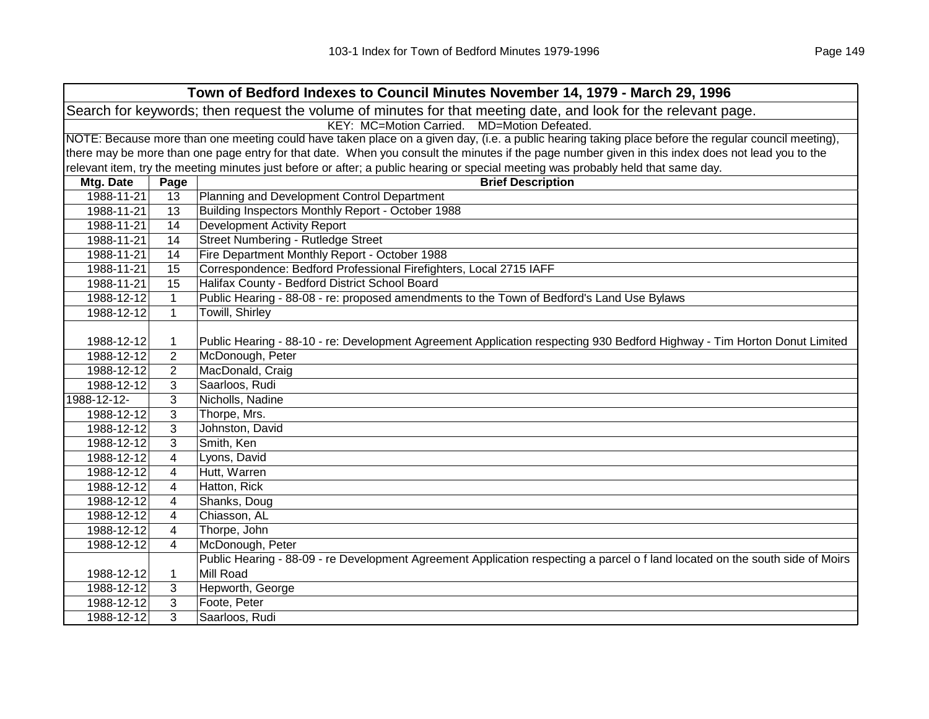| Town of Bedford Indexes to Council Minutes November 14, 1979 - March 29, 1996 |                                                                                                                                                     |                                                                                                                                   |  |  |  |
|-------------------------------------------------------------------------------|-----------------------------------------------------------------------------------------------------------------------------------------------------|-----------------------------------------------------------------------------------------------------------------------------------|--|--|--|
|                                                                               | Search for keywords; then request the volume of minutes for that meeting date, and look for the relevant page.                                      |                                                                                                                                   |  |  |  |
| KEY: MC=Motion Carried. MD=Motion Defeated.                                   |                                                                                                                                                     |                                                                                                                                   |  |  |  |
|                                                                               | NOTE: Because more than one meeting could have taken place on a given day, (i.e. a public hearing taking place before the regular council meeting), |                                                                                                                                   |  |  |  |
|                                                                               | there may be more than one page entry for that date. When you consult the minutes if the page number given in this index does not lead you to the   |                                                                                                                                   |  |  |  |
|                                                                               |                                                                                                                                                     | relevant item, try the meeting minutes just before or after; a public hearing or special meeting was probably held that same day. |  |  |  |
| Mtg. Date                                                                     | Page                                                                                                                                                | <b>Brief Description</b>                                                                                                          |  |  |  |
| 1988-11-21                                                                    | 13                                                                                                                                                  | Planning and Development Control Department                                                                                       |  |  |  |
| 1988-11-21                                                                    | 13                                                                                                                                                  | Building Inspectors Monthly Report - October 1988                                                                                 |  |  |  |
| 1988-11-21                                                                    | 14                                                                                                                                                  | <b>Development Activity Report</b>                                                                                                |  |  |  |
| 1988-11-21                                                                    | 14                                                                                                                                                  | Street Numbering - Rutledge Street                                                                                                |  |  |  |
| 1988-11-21                                                                    | 14                                                                                                                                                  | Fire Department Monthly Report - October 1988                                                                                     |  |  |  |
| 1988-11-21                                                                    | 15                                                                                                                                                  | Correspondence: Bedford Professional Firefighters, Local 2715 IAFF                                                                |  |  |  |
| 1988-11-21                                                                    | 15                                                                                                                                                  | Halifax County - Bedford District School Board                                                                                    |  |  |  |
| 1988-12-12                                                                    | $\mathbf{1}$                                                                                                                                        | Public Hearing - 88-08 - re: proposed amendments to the Town of Bedford's Land Use Bylaws                                         |  |  |  |
| 1988-12-12                                                                    | $\mathbf{1}$                                                                                                                                        | Towill, Shirley                                                                                                                   |  |  |  |
|                                                                               |                                                                                                                                                     |                                                                                                                                   |  |  |  |
| 1988-12-12                                                                    | 1                                                                                                                                                   | Public Hearing - 88-10 - re: Development Agreement Application respecting 930 Bedford Highway - Tim Horton Donut Limited          |  |  |  |
| 1988-12-12                                                                    | $\overline{2}$                                                                                                                                      | McDonough, Peter                                                                                                                  |  |  |  |
| 1988-12-12                                                                    | $\overline{2}$                                                                                                                                      | MacDonald, Craig                                                                                                                  |  |  |  |
| 1988-12-12                                                                    | 3                                                                                                                                                   | Saarloos, Rudi                                                                                                                    |  |  |  |
| 1988-12-12-                                                                   | 3                                                                                                                                                   | Nicholls, Nadine                                                                                                                  |  |  |  |
| 1988-12-12                                                                    | 3                                                                                                                                                   | Thorpe, Mrs.                                                                                                                      |  |  |  |
| 1988-12-12                                                                    | 3                                                                                                                                                   | Johnston, David                                                                                                                   |  |  |  |
| 1988-12-12                                                                    | 3                                                                                                                                                   | Smith, Ken                                                                                                                        |  |  |  |
| 1988-12-12                                                                    | $\overline{\mathbf{4}}$                                                                                                                             | Lyons, David                                                                                                                      |  |  |  |
| 1988-12-12                                                                    | 4                                                                                                                                                   | Hutt, Warren                                                                                                                      |  |  |  |
| 1988-12-12                                                                    | $\overline{\mathbf{4}}$                                                                                                                             | Hatton, Rick                                                                                                                      |  |  |  |
| 1988-12-12                                                                    | $\overline{\mathbf{4}}$                                                                                                                             | Shanks, Doug                                                                                                                      |  |  |  |
| 1988-12-12                                                                    | $\overline{\mathbf{4}}$                                                                                                                             | Chiasson, AL                                                                                                                      |  |  |  |
| 1988-12-12                                                                    | $\overline{4}$                                                                                                                                      | Thorpe, John                                                                                                                      |  |  |  |
| 1988-12-12                                                                    | 4                                                                                                                                                   | McDonough, Peter                                                                                                                  |  |  |  |
|                                                                               |                                                                                                                                                     | Public Hearing - 88-09 - re Development Agreement Application respecting a parcel of land located on the south side of Moirs      |  |  |  |
| 1988-12-12                                                                    | $\mathbf 1$                                                                                                                                         | Mill Road                                                                                                                         |  |  |  |
| 1988-12-12                                                                    | 3                                                                                                                                                   | Hepworth, George                                                                                                                  |  |  |  |
| 1988-12-12                                                                    | 3                                                                                                                                                   | Foote, Peter                                                                                                                      |  |  |  |
| 1988-12-12                                                                    | 3                                                                                                                                                   | Saarloos, Rudi                                                                                                                    |  |  |  |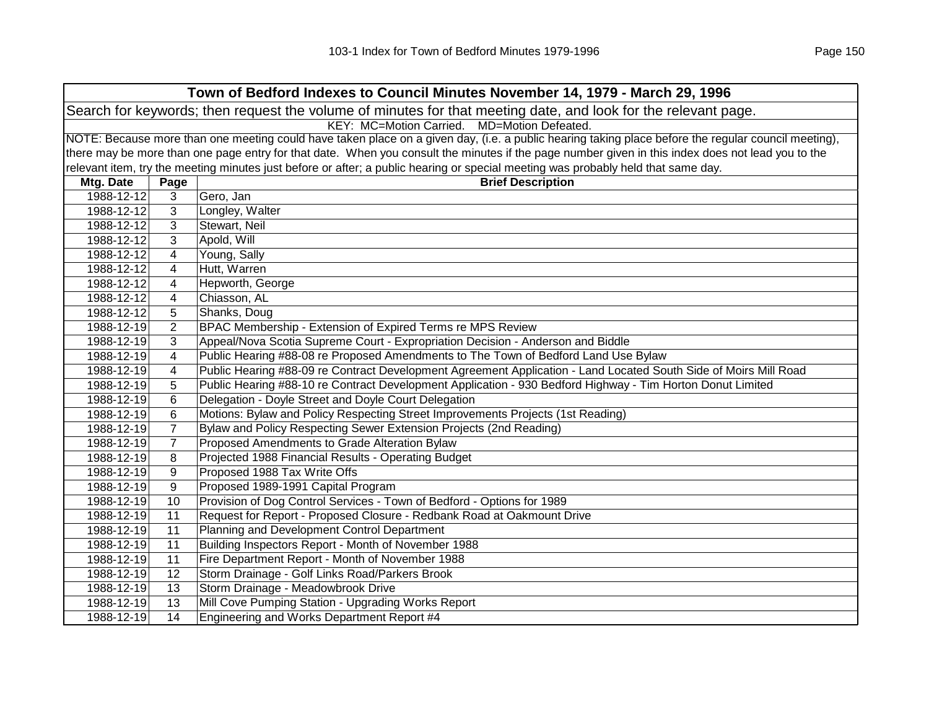| Town of Bedford Indexes to Council Minutes November 14, 1979 - March 29, 1996                                  |                |                                                                                                                                                     |  |  |
|----------------------------------------------------------------------------------------------------------------|----------------|-----------------------------------------------------------------------------------------------------------------------------------------------------|--|--|
| Search for keywords; then request the volume of minutes for that meeting date, and look for the relevant page. |                |                                                                                                                                                     |  |  |
| KEY: MC=Motion Carried. MD=Motion Defeated.                                                                    |                |                                                                                                                                                     |  |  |
|                                                                                                                |                | NOTE: Because more than one meeting could have taken place on a given day, (i.e. a public hearing taking place before the regular council meeting), |  |  |
|                                                                                                                |                | there may be more than one page entry for that date. When you consult the minutes if the page number given in this index does not lead you to the   |  |  |
|                                                                                                                |                | relevant item, try the meeting minutes just before or after; a public hearing or special meeting was probably held that same day.                   |  |  |
| Mtg. Date                                                                                                      | Page           | <b>Brief Description</b>                                                                                                                            |  |  |
| 1988-12-12                                                                                                     | 3              | Gero, Jan                                                                                                                                           |  |  |
| 1988-12-12                                                                                                     | 3              | Longley, Walter                                                                                                                                     |  |  |
| 1988-12-12                                                                                                     | 3              | Stewart, Neil                                                                                                                                       |  |  |
| 1988-12-12                                                                                                     | 3              | Apold, Will                                                                                                                                         |  |  |
| 1988-12-12                                                                                                     | $\overline{4}$ | Young, Sally                                                                                                                                        |  |  |
| 1988-12-12                                                                                                     | 4              | Hutt, Warren                                                                                                                                        |  |  |
| 1988-12-12                                                                                                     | 4              | Hepworth, George                                                                                                                                    |  |  |
| 1988-12-12                                                                                                     | 4              | Chiasson, AL                                                                                                                                        |  |  |
| 1988-12-12                                                                                                     | 5              | Shanks, Doug                                                                                                                                        |  |  |
| 1988-12-19                                                                                                     | 2              | BPAC Membership - Extension of Expired Terms re MPS Review                                                                                          |  |  |
| 1988-12-19                                                                                                     | 3              | Appeal/Nova Scotia Supreme Court - Expropriation Decision - Anderson and Biddle                                                                     |  |  |
| 1988-12-19                                                                                                     | 4              | Public Hearing #88-08 re Proposed Amendments to The Town of Bedford Land Use Bylaw                                                                  |  |  |
| 1988-12-19                                                                                                     | 4              | Public Hearing #88-09 re Contract Development Agreement Application - Land Located South Side of Moirs Mill Road                                    |  |  |
| 1988-12-19                                                                                                     | 5              | Public Hearing #88-10 re Contract Development Application - 930 Bedford Highway - Tim Horton Donut Limited                                          |  |  |
| 1988-12-19                                                                                                     | 6              | Delegation - Doyle Street and Doyle Court Delegation                                                                                                |  |  |
| 1988-12-19                                                                                                     | 6              | Motions: Bylaw and Policy Respecting Street Improvements Projects (1st Reading)                                                                     |  |  |
| 1988-12-19                                                                                                     | $\overline{7}$ | Bylaw and Policy Respecting Sewer Extension Projects (2nd Reading)                                                                                  |  |  |
| 1988-12-19                                                                                                     | $\overline{7}$ | Proposed Amendments to Grade Alteration Bylaw                                                                                                       |  |  |
| 1988-12-19                                                                                                     | 8              | Projected 1988 Financial Results - Operating Budget                                                                                                 |  |  |
| 1988-12-19                                                                                                     | 9              | Proposed 1988 Tax Write Offs                                                                                                                        |  |  |
| 1988-12-19                                                                                                     | 9              | Proposed 1989-1991 Capital Program                                                                                                                  |  |  |
| 1988-12-19                                                                                                     | 10             | Provision of Dog Control Services - Town of Bedford - Options for 1989                                                                              |  |  |
| 1988-12-19                                                                                                     | 11             | Request for Report - Proposed Closure - Redbank Road at Oakmount Drive                                                                              |  |  |
| 1988-12-19                                                                                                     | 11             | Planning and Development Control Department                                                                                                         |  |  |
| 1988-12-19                                                                                                     | 11             | Building Inspectors Report - Month of November 1988                                                                                                 |  |  |
| 1988-12-19                                                                                                     | 11             | Fire Department Report - Month of November 1988                                                                                                     |  |  |
| 1988-12-19                                                                                                     | 12             | Storm Drainage - Golf Links Road/Parkers Brook                                                                                                      |  |  |
| 1988-12-19                                                                                                     | 13             | Storm Drainage - Meadowbrook Drive                                                                                                                  |  |  |
| 1988-12-19                                                                                                     | 13             | Mill Cove Pumping Station - Upgrading Works Report                                                                                                  |  |  |
| 1988-12-19                                                                                                     | 14             | Engineering and Works Department Report #4                                                                                                          |  |  |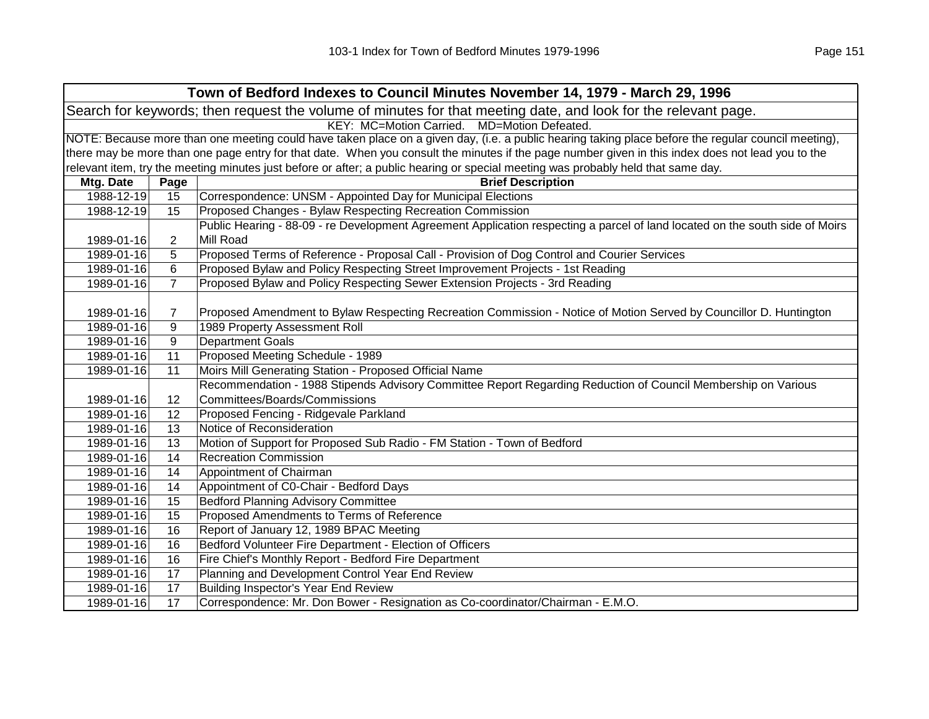| Town of Bedford Indexes to Council Minutes November 14, 1979 - March 29, 1996 |                                                                                                                                                     |                                                                                                                                                   |  |  |
|-------------------------------------------------------------------------------|-----------------------------------------------------------------------------------------------------------------------------------------------------|---------------------------------------------------------------------------------------------------------------------------------------------------|--|--|
|                                                                               | Search for keywords; then request the volume of minutes for that meeting date, and look for the relevant page.                                      |                                                                                                                                                   |  |  |
|                                                                               | KEY: MC=Motion Carried. MD=Motion Defeated.                                                                                                         |                                                                                                                                                   |  |  |
|                                                                               | NOTE: Because more than one meeting could have taken place on a given day, (i.e. a public hearing taking place before the regular council meeting), |                                                                                                                                                   |  |  |
|                                                                               |                                                                                                                                                     | there may be more than one page entry for that date. When you consult the minutes if the page number given in this index does not lead you to the |  |  |
|                                                                               |                                                                                                                                                     | relevant item, try the meeting minutes just before or after; a public hearing or special meeting was probably held that same day.                 |  |  |
| Mtg. Date                                                                     | Page                                                                                                                                                | <b>Brief Description</b>                                                                                                                          |  |  |
| 1988-12-19                                                                    | 15                                                                                                                                                  | Correspondence: UNSM - Appointed Day for Municipal Elections                                                                                      |  |  |
| 1988-12-19                                                                    | 15                                                                                                                                                  | Proposed Changes - Bylaw Respecting Recreation Commission                                                                                         |  |  |
|                                                                               |                                                                                                                                                     | Public Hearing - 88-09 - re Development Agreement Application respecting a parcel of land located on the south side of Moirs                      |  |  |
| 1989-01-16                                                                    | $\overline{2}$                                                                                                                                      | Mill Road                                                                                                                                         |  |  |
| 1989-01-16                                                                    | 5                                                                                                                                                   | Proposed Terms of Reference - Proposal Call - Provision of Dog Control and Courier Services                                                       |  |  |
| 1989-01-16                                                                    | 6                                                                                                                                                   | Proposed Bylaw and Policy Respecting Street Improvement Projects - 1st Reading                                                                    |  |  |
| 1989-01-16                                                                    | $\overline{7}$                                                                                                                                      | Proposed Bylaw and Policy Respecting Sewer Extension Projects - 3rd Reading                                                                       |  |  |
|                                                                               |                                                                                                                                                     |                                                                                                                                                   |  |  |
| 1989-01-16                                                                    | $\overline{7}$                                                                                                                                      | Proposed Amendment to Bylaw Respecting Recreation Commission - Notice of Motion Served by Councillor D. Huntington                                |  |  |
| 1989-01-16                                                                    | 9                                                                                                                                                   | 1989 Property Assessment Roll                                                                                                                     |  |  |
| 1989-01-16                                                                    | 9                                                                                                                                                   | <b>Department Goals</b>                                                                                                                           |  |  |
| 1989-01-16                                                                    | 11                                                                                                                                                  | Proposed Meeting Schedule - 1989                                                                                                                  |  |  |
| 1989-01-16                                                                    | 11                                                                                                                                                  | Moirs Mill Generating Station - Proposed Official Name                                                                                            |  |  |
|                                                                               |                                                                                                                                                     | Recommendation - 1988 Stipends Advisory Committee Report Regarding Reduction of Council Membership on Various                                     |  |  |
| 1989-01-16                                                                    | 12                                                                                                                                                  | Committees/Boards/Commissions                                                                                                                     |  |  |
| 1989-01-16                                                                    | 12                                                                                                                                                  | Proposed Fencing - Ridgevale Parkland                                                                                                             |  |  |
| 1989-01-16                                                                    | 13                                                                                                                                                  | Notice of Reconsideration                                                                                                                         |  |  |
| 1989-01-16                                                                    | 13                                                                                                                                                  | Motion of Support for Proposed Sub Radio - FM Station - Town of Bedford                                                                           |  |  |
| 1989-01-16                                                                    | 14                                                                                                                                                  | <b>Recreation Commission</b>                                                                                                                      |  |  |
| 1989-01-16                                                                    | 14                                                                                                                                                  | Appointment of Chairman                                                                                                                           |  |  |
| 1989-01-16                                                                    | 14                                                                                                                                                  | Appointment of C0-Chair - Bedford Days                                                                                                            |  |  |
| 1989-01-16                                                                    | 15                                                                                                                                                  | <b>Bedford Planning Advisory Committee</b>                                                                                                        |  |  |
| 1989-01-16                                                                    | 15                                                                                                                                                  | Proposed Amendments to Terms of Reference                                                                                                         |  |  |
| 1989-01-16                                                                    | 16                                                                                                                                                  | Report of January 12, 1989 BPAC Meeting                                                                                                           |  |  |
| 1989-01-16                                                                    | 16                                                                                                                                                  | Bedford Volunteer Fire Department - Election of Officers                                                                                          |  |  |
| 1989-01-16                                                                    | 16                                                                                                                                                  | Fire Chief's Monthly Report - Bedford Fire Department                                                                                             |  |  |
| 1989-01-16                                                                    | 17                                                                                                                                                  | Planning and Development Control Year End Review                                                                                                  |  |  |
| 1989-01-16                                                                    | 17                                                                                                                                                  | Building Inspector's Year End Review                                                                                                              |  |  |
| 1989-01-16                                                                    | 17                                                                                                                                                  | Correspondence: Mr. Don Bower - Resignation as Co-coordinator/Chairman - E.M.O.                                                                   |  |  |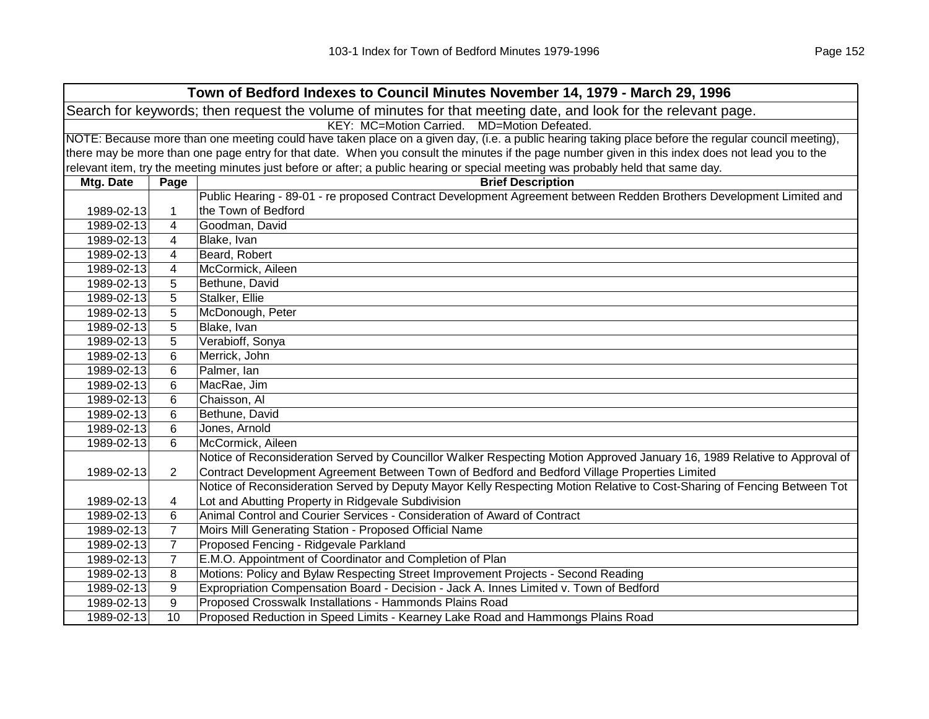|            | Town of Bedford Indexes to Council Minutes November 14, 1979 - March 29, 1996                                  |                                                                                                                                                     |  |
|------------|----------------------------------------------------------------------------------------------------------------|-----------------------------------------------------------------------------------------------------------------------------------------------------|--|
|            | Search for keywords; then request the volume of minutes for that meeting date, and look for the relevant page. |                                                                                                                                                     |  |
|            | KEY: MC=Motion Carried. MD=Motion Defeated.                                                                    |                                                                                                                                                     |  |
|            |                                                                                                                | NOTE: Because more than one meeting could have taken place on a given day, (i.e. a public hearing taking place before the regular council meeting), |  |
|            |                                                                                                                | there may be more than one page entry for that date. When you consult the minutes if the page number given in this index does not lead you to the   |  |
|            |                                                                                                                | relevant item, try the meeting minutes just before or after; a public hearing or special meeting was probably held that same day.                   |  |
| Mtg. Date  | Page                                                                                                           | <b>Brief Description</b>                                                                                                                            |  |
|            |                                                                                                                | Public Hearing - 89-01 - re proposed Contract Development Agreement between Redden Brothers Development Limited and                                 |  |
| 1989-02-13 | 1                                                                                                              | the Town of Bedford                                                                                                                                 |  |
| 1989-02-13 | 4                                                                                                              | Goodman, David                                                                                                                                      |  |
| 1989-02-13 | 4                                                                                                              | Blake, Ivan                                                                                                                                         |  |
| 1989-02-13 | 4                                                                                                              | Beard, Robert                                                                                                                                       |  |
| 1989-02-13 | 4                                                                                                              | McCormick, Aileen                                                                                                                                   |  |
| 1989-02-13 | 5                                                                                                              | Bethune, David                                                                                                                                      |  |
| 1989-02-13 | 5                                                                                                              | Stalker, Ellie                                                                                                                                      |  |
| 1989-02-13 | 5                                                                                                              | McDonough, Peter                                                                                                                                    |  |
| 1989-02-13 | 5                                                                                                              | Blake, Ivan                                                                                                                                         |  |
| 1989-02-13 | 5                                                                                                              | Verabioff, Sonya                                                                                                                                    |  |
| 1989-02-13 | 6                                                                                                              | Merrick, John                                                                                                                                       |  |
| 1989-02-13 | 6                                                                                                              | Palmer, Ian                                                                                                                                         |  |
| 1989-02-13 | 6                                                                                                              | MacRae, Jim                                                                                                                                         |  |
| 1989-02-13 | 6                                                                                                              | Chaisson, Al                                                                                                                                        |  |
| 1989-02-13 | 6                                                                                                              | Bethune, David                                                                                                                                      |  |
| 1989-02-13 | 6                                                                                                              | Jones, Arnold                                                                                                                                       |  |
| 1989-02-13 | 6                                                                                                              | McCormick, Aileen                                                                                                                                   |  |
|            |                                                                                                                | Notice of Reconsideration Served by Councillor Walker Respecting Motion Approved January 16, 1989 Relative to Approval of                           |  |
| 1989-02-13 | $\overline{2}$                                                                                                 | Contract Development Agreement Between Town of Bedford and Bedford Village Properties Limited                                                       |  |
|            |                                                                                                                | Notice of Reconsideration Served by Deputy Mayor Kelly Respecting Motion Relative to Cost-Sharing of Fencing Between Tot                            |  |
| 1989-02-13 | 4                                                                                                              | Lot and Abutting Property in Ridgevale Subdivision                                                                                                  |  |
| 1989-02-13 | 6                                                                                                              | Animal Control and Courier Services - Consideration of Award of Contract                                                                            |  |
| 1989-02-13 | $\overline{7}$                                                                                                 | Moirs Mill Generating Station - Proposed Official Name                                                                                              |  |
| 1989-02-13 | $\overline{7}$                                                                                                 | Proposed Fencing - Ridgevale Parkland                                                                                                               |  |
| 1989-02-13 | $\overline{7}$                                                                                                 | E.M.O. Appointment of Coordinator and Completion of Plan                                                                                            |  |
| 1989-02-13 | 8                                                                                                              | Motions: Policy and Bylaw Respecting Street Improvement Projects - Second Reading                                                                   |  |
| 1989-02-13 | 9                                                                                                              | Expropriation Compensation Board - Decision - Jack A. Innes Limited v. Town of Bedford                                                              |  |
| 1989-02-13 | 9                                                                                                              | Proposed Crosswalk Installations - Hammonds Plains Road                                                                                             |  |
| 1989-02-13 | 10                                                                                                             | Proposed Reduction in Speed Limits - Kearney Lake Road and Hammongs Plains Road                                                                     |  |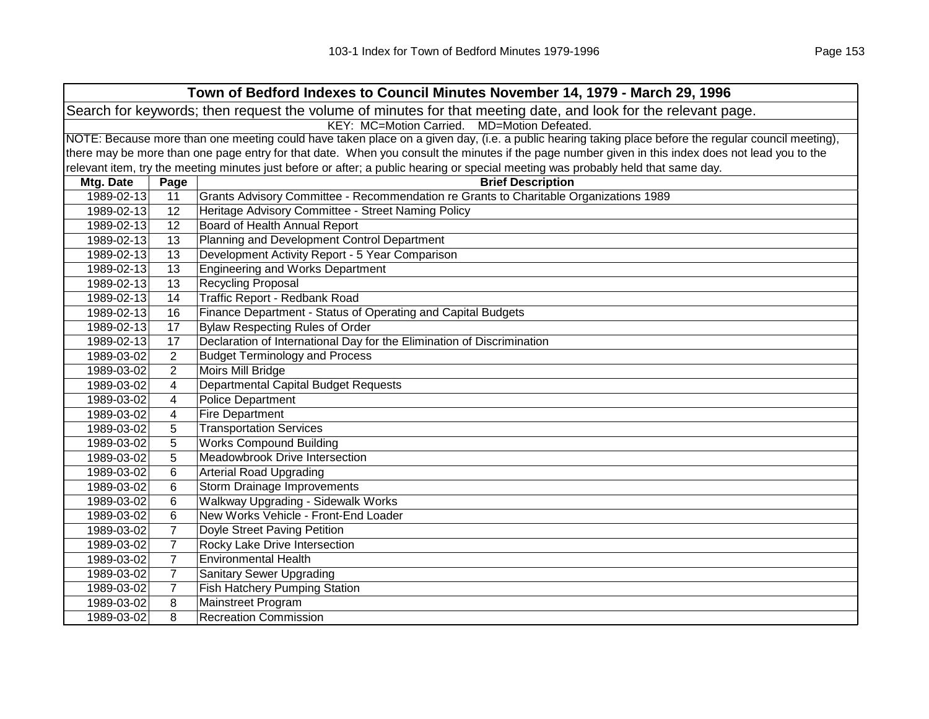| Town of Bedford Indexes to Council Minutes November 14, 1979 - March 29, 1996 |                                                                                                                                                     |                                                                                                                                                   |  |
|-------------------------------------------------------------------------------|-----------------------------------------------------------------------------------------------------------------------------------------------------|---------------------------------------------------------------------------------------------------------------------------------------------------|--|
|                                                                               | Search for keywords; then request the volume of minutes for that meeting date, and look for the relevant page.                                      |                                                                                                                                                   |  |
|                                                                               |                                                                                                                                                     | KEY: MC=Motion Carried. MD=Motion Defeated.                                                                                                       |  |
|                                                                               | NOTE: Because more than one meeting could have taken place on a given day, (i.e. a public hearing taking place before the regular council meeting), |                                                                                                                                                   |  |
|                                                                               |                                                                                                                                                     | there may be more than one page entry for that date. When you consult the minutes if the page number given in this index does not lead you to the |  |
|                                                                               |                                                                                                                                                     | relevant item, try the meeting minutes just before or after; a public hearing or special meeting was probably held that same day.                 |  |
| Mtg. Date                                                                     | Page                                                                                                                                                | <b>Brief Description</b>                                                                                                                          |  |
| 1989-02-13                                                                    | 11                                                                                                                                                  | Grants Advisory Committee - Recommendation re Grants to Charitable Organizations 1989                                                             |  |
| 1989-02-13                                                                    | 12                                                                                                                                                  | Heritage Advisory Committee - Street Naming Policy                                                                                                |  |
| 1989-02-13                                                                    | 12                                                                                                                                                  | Board of Health Annual Report                                                                                                                     |  |
| 1989-02-13                                                                    | 13                                                                                                                                                  | Planning and Development Control Department                                                                                                       |  |
| 1989-02-13                                                                    | 13                                                                                                                                                  | Development Activity Report - 5 Year Comparison                                                                                                   |  |
| 1989-02-13                                                                    | 13                                                                                                                                                  | <b>Engineering and Works Department</b>                                                                                                           |  |
| 1989-02-13                                                                    | 13                                                                                                                                                  | <b>Recycling Proposal</b>                                                                                                                         |  |
| 1989-02-13                                                                    | 14                                                                                                                                                  | Traffic Report - Redbank Road                                                                                                                     |  |
| 1989-02-13                                                                    | 16                                                                                                                                                  | Finance Department - Status of Operating and Capital Budgets                                                                                      |  |
| 1989-02-13                                                                    | 17                                                                                                                                                  | <b>Bylaw Respecting Rules of Order</b>                                                                                                            |  |
| 1989-02-13                                                                    | 17                                                                                                                                                  | Declaration of International Day for the Elimination of Discrimination                                                                            |  |
| 1989-03-02                                                                    | $\overline{2}$                                                                                                                                      | <b>Budget Terminology and Process</b>                                                                                                             |  |
| 1989-03-02                                                                    | $\overline{2}$                                                                                                                                      | Moirs Mill Bridge                                                                                                                                 |  |
| 1989-03-02                                                                    | 4                                                                                                                                                   | <b>Departmental Capital Budget Requests</b>                                                                                                       |  |
| 1989-03-02                                                                    | 4                                                                                                                                                   | <b>Police Department</b>                                                                                                                          |  |
| 1989-03-02                                                                    | 4                                                                                                                                                   | <b>Fire Department</b>                                                                                                                            |  |
| 1989-03-02                                                                    | 5                                                                                                                                                   | <b>Transportation Services</b>                                                                                                                    |  |
| 1989-03-02                                                                    | 5                                                                                                                                                   | <b>Works Compound Building</b>                                                                                                                    |  |
| 1989-03-02                                                                    | 5                                                                                                                                                   | Meadowbrook Drive Intersection                                                                                                                    |  |
| 1989-03-02                                                                    | 6                                                                                                                                                   | <b>Arterial Road Upgrading</b>                                                                                                                    |  |
| 1989-03-02                                                                    | 6                                                                                                                                                   | <b>Storm Drainage Improvements</b>                                                                                                                |  |
| 1989-03-02                                                                    | 6                                                                                                                                                   | Walkway Upgrading - Sidewalk Works                                                                                                                |  |
| 1989-03-02                                                                    | 6                                                                                                                                                   | New Works Vehicle - Front-End Loader                                                                                                              |  |
| 1989-03-02                                                                    | $\overline{7}$                                                                                                                                      | Doyle Street Paving Petition                                                                                                                      |  |
| 1989-03-02                                                                    | $\overline{7}$                                                                                                                                      | Rocky Lake Drive Intersection                                                                                                                     |  |
| 1989-03-02                                                                    | $\overline{7}$                                                                                                                                      | <b>Environmental Health</b>                                                                                                                       |  |
| 1989-03-02                                                                    | $\overline{7}$                                                                                                                                      | <b>Sanitary Sewer Upgrading</b>                                                                                                                   |  |
| 1989-03-02                                                                    | $\overline{7}$                                                                                                                                      | <b>Fish Hatchery Pumping Station</b>                                                                                                              |  |
| 1989-03-02                                                                    | 8                                                                                                                                                   | Mainstreet Program                                                                                                                                |  |
| 1989-03-02                                                                    | 8                                                                                                                                                   | <b>Recreation Commission</b>                                                                                                                      |  |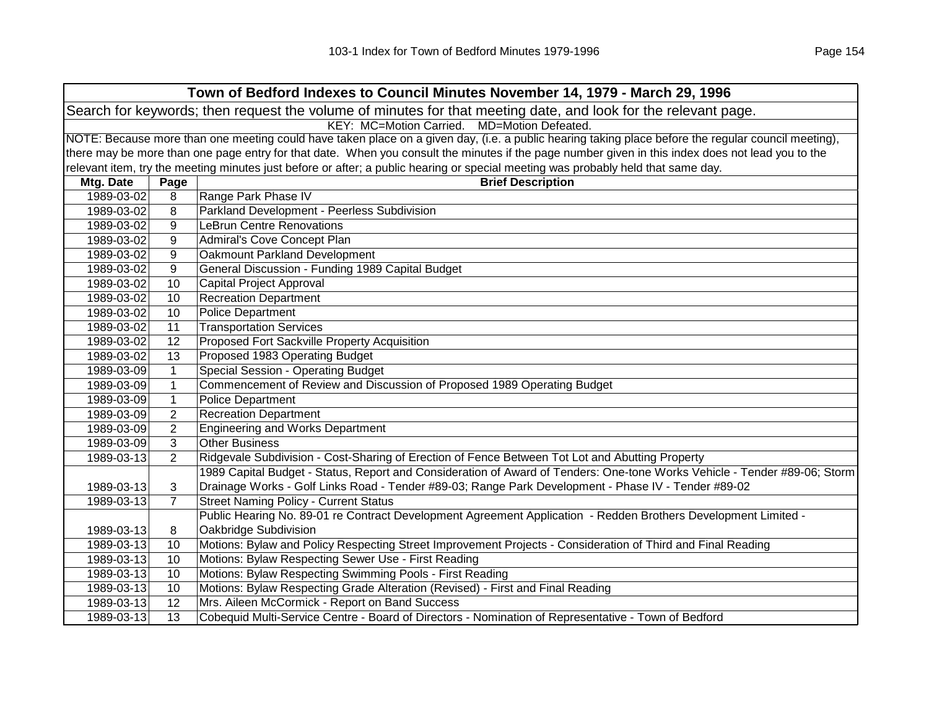|            | Town of Bedford Indexes to Council Minutes November 14, 1979 - March 29, 1996                                                                       |                                                                                                                                                   |  |  |
|------------|-----------------------------------------------------------------------------------------------------------------------------------------------------|---------------------------------------------------------------------------------------------------------------------------------------------------|--|--|
|            | Search for keywords; then request the volume of minutes for that meeting date, and look for the relevant page.                                      |                                                                                                                                                   |  |  |
|            | KEY: MC=Motion Carried. MD=Motion Defeated.                                                                                                         |                                                                                                                                                   |  |  |
|            | NOTE: Because more than one meeting could have taken place on a given day, (i.e. a public hearing taking place before the regular council meeting), |                                                                                                                                                   |  |  |
|            |                                                                                                                                                     | there may be more than one page entry for that date. When you consult the minutes if the page number given in this index does not lead you to the |  |  |
|            |                                                                                                                                                     | relevant item, try the meeting minutes just before or after; a public hearing or special meeting was probably held that same day.                 |  |  |
| Mtg. Date  | Page                                                                                                                                                | <b>Brief Description</b>                                                                                                                          |  |  |
| 1989-03-02 | 8                                                                                                                                                   | Range Park Phase IV                                                                                                                               |  |  |
| 1989-03-02 | 8                                                                                                                                                   | Parkland Development - Peerless Subdivision                                                                                                       |  |  |
| 1989-03-02 | 9                                                                                                                                                   | <b>LeBrun Centre Renovations</b>                                                                                                                  |  |  |
| 1989-03-02 | 9                                                                                                                                                   | Admiral's Cove Concept Plan                                                                                                                       |  |  |
| 1989-03-02 | 9                                                                                                                                                   | Oakmount Parkland Development                                                                                                                     |  |  |
| 1989-03-02 | 9                                                                                                                                                   | General Discussion - Funding 1989 Capital Budget                                                                                                  |  |  |
| 1989-03-02 | 10                                                                                                                                                  | Capital Project Approval                                                                                                                          |  |  |
| 1989-03-02 | 10                                                                                                                                                  | <b>Recreation Department</b>                                                                                                                      |  |  |
| 1989-03-02 | 10                                                                                                                                                  | <b>Police Department</b>                                                                                                                          |  |  |
| 1989-03-02 | 11                                                                                                                                                  | <b>Transportation Services</b>                                                                                                                    |  |  |
| 1989-03-02 | 12                                                                                                                                                  | Proposed Fort Sackville Property Acquisition                                                                                                      |  |  |
| 1989-03-02 | 13                                                                                                                                                  | Proposed 1983 Operating Budget                                                                                                                    |  |  |
| 1989-03-09 | $\mathbf{1}$                                                                                                                                        | Special Session - Operating Budget                                                                                                                |  |  |
| 1989-03-09 | $\mathbf{1}$                                                                                                                                        | Commencement of Review and Discussion of Proposed 1989 Operating Budget                                                                           |  |  |
| 1989-03-09 | $\mathbf{1}$                                                                                                                                        | <b>Police Department</b>                                                                                                                          |  |  |
| 1989-03-09 | $\overline{2}$                                                                                                                                      | <b>Recreation Department</b>                                                                                                                      |  |  |
| 1989-03-09 | $\overline{2}$                                                                                                                                      | <b>Engineering and Works Department</b>                                                                                                           |  |  |
| 1989-03-09 | 3                                                                                                                                                   | <b>Other Business</b>                                                                                                                             |  |  |
| 1989-03-13 | $\overline{2}$                                                                                                                                      | Ridgevale Subdivision - Cost-Sharing of Erection of Fence Between Tot Lot and Abutting Property                                                   |  |  |
|            |                                                                                                                                                     | 1989 Capital Budget - Status, Report and Consideration of Award of Tenders: One-tone Works Vehicle - Tender #89-06; Storm                         |  |  |
| 1989-03-13 | 3                                                                                                                                                   | Drainage Works - Golf Links Road - Tender #89-03; Range Park Development - Phase IV - Tender #89-02                                               |  |  |
| 1989-03-13 | $\overline{7}$                                                                                                                                      | <b>Street Naming Policy - Current Status</b>                                                                                                      |  |  |
|            |                                                                                                                                                     | Public Hearing No. 89-01 re Contract Development Agreement Application - Redden Brothers Development Limited -                                    |  |  |
| 1989-03-13 | 8                                                                                                                                                   | Oakbridge Subdivision                                                                                                                             |  |  |
| 1989-03-13 | 10                                                                                                                                                  | Motions: Bylaw and Policy Respecting Street Improvement Projects - Consideration of Third and Final Reading                                       |  |  |
| 1989-03-13 | 10                                                                                                                                                  | Motions: Bylaw Respecting Sewer Use - First Reading                                                                                               |  |  |
| 1989-03-13 | 10                                                                                                                                                  | Motions: Bylaw Respecting Swimming Pools - First Reading                                                                                          |  |  |
| 1989-03-13 | 10                                                                                                                                                  | Motions: Bylaw Respecting Grade Alteration (Revised) - First and Final Reading                                                                    |  |  |
| 1989-03-13 | 12                                                                                                                                                  | Mrs. Aileen McCormick - Report on Band Success                                                                                                    |  |  |
| 1989-03-13 | 13                                                                                                                                                  | Cobequid Multi-Service Centre - Board of Directors - Nomination of Representative - Town of Bedford                                               |  |  |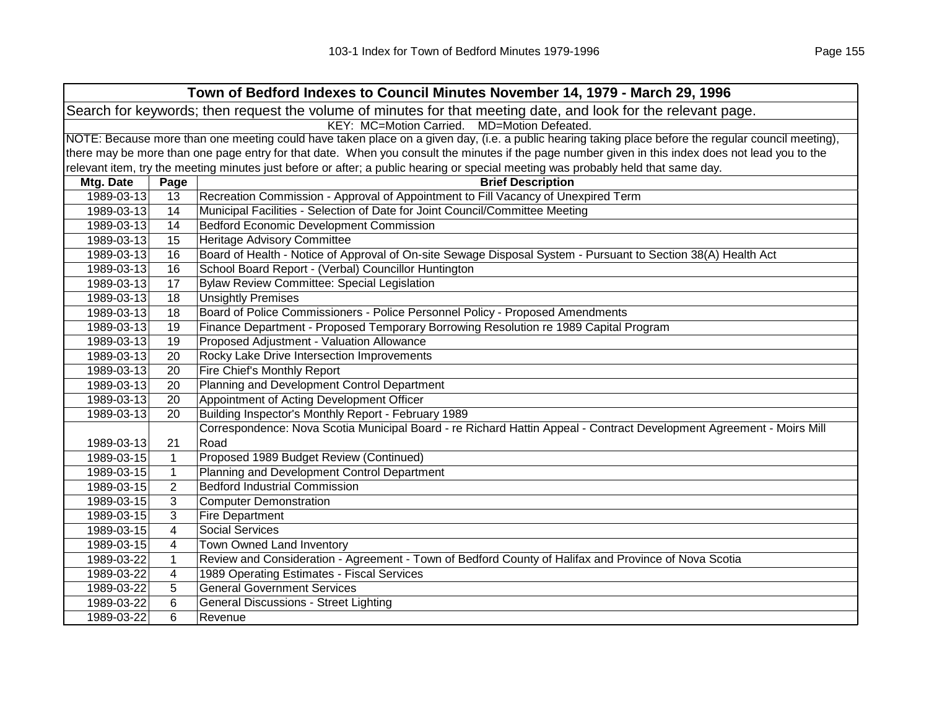|                                                                                                                | Town of Bedford Indexes to Council Minutes November 14, 1979 - March 29, 1996                                                                       |                                                                                                                                   |  |  |
|----------------------------------------------------------------------------------------------------------------|-----------------------------------------------------------------------------------------------------------------------------------------------------|-----------------------------------------------------------------------------------------------------------------------------------|--|--|
| Search for keywords; then request the volume of minutes for that meeting date, and look for the relevant page. |                                                                                                                                                     |                                                                                                                                   |  |  |
|                                                                                                                | KEY: MC=Motion Carried. MD=Motion Defeated.                                                                                                         |                                                                                                                                   |  |  |
|                                                                                                                | NOTE: Because more than one meeting could have taken place on a given day, (i.e. a public hearing taking place before the regular council meeting), |                                                                                                                                   |  |  |
|                                                                                                                | there may be more than one page entry for that date. When you consult the minutes if the page number given in this index does not lead you to the   |                                                                                                                                   |  |  |
|                                                                                                                |                                                                                                                                                     | relevant item, try the meeting minutes just before or after; a public hearing or special meeting was probably held that same day. |  |  |
| Mtg. Date                                                                                                      | Page                                                                                                                                                | <b>Brief Description</b>                                                                                                          |  |  |
| 1989-03-13                                                                                                     | 13                                                                                                                                                  | Recreation Commission - Approval of Appointment to Fill Vacancy of Unexpired Term                                                 |  |  |
| 1989-03-13                                                                                                     | 14                                                                                                                                                  | Municipal Facilities - Selection of Date for Joint Council/Committee Meeting                                                      |  |  |
| 1989-03-13                                                                                                     | 14                                                                                                                                                  | <b>Bedford Economic Development Commission</b>                                                                                    |  |  |
| 1989-03-13                                                                                                     | 15                                                                                                                                                  | <b>Heritage Advisory Committee</b>                                                                                                |  |  |
| 1989-03-13                                                                                                     | 16                                                                                                                                                  | Board of Health - Notice of Approval of On-site Sewage Disposal System - Pursuant to Section 38(A) Health Act                     |  |  |
| 1989-03-13                                                                                                     | 16                                                                                                                                                  | School Board Report - (Verbal) Councillor Huntington                                                                              |  |  |
| 1989-03-13                                                                                                     | 17                                                                                                                                                  | <b>Bylaw Review Committee: Special Legislation</b>                                                                                |  |  |
| 1989-03-13                                                                                                     | 18                                                                                                                                                  | <b>Unsightly Premises</b>                                                                                                         |  |  |
| 1989-03-13                                                                                                     | 18                                                                                                                                                  | Board of Police Commissioners - Police Personnel Policy - Proposed Amendments                                                     |  |  |
| 1989-03-13                                                                                                     | 19                                                                                                                                                  | Finance Department - Proposed Temporary Borrowing Resolution re 1989 Capital Program                                              |  |  |
| 1989-03-13                                                                                                     | 19                                                                                                                                                  | Proposed Adjustment - Valuation Allowance                                                                                         |  |  |
| 1989-03-13                                                                                                     | 20                                                                                                                                                  | Rocky Lake Drive Intersection Improvements                                                                                        |  |  |
| 1989-03-13                                                                                                     | 20                                                                                                                                                  | Fire Chief's Monthly Report                                                                                                       |  |  |
| 1989-03-13                                                                                                     | 20                                                                                                                                                  | Planning and Development Control Department                                                                                       |  |  |
| 1989-03-13                                                                                                     | 20                                                                                                                                                  | Appointment of Acting Development Officer                                                                                         |  |  |
| 1989-03-13                                                                                                     | 20                                                                                                                                                  | Building Inspector's Monthly Report - February 1989                                                                               |  |  |
|                                                                                                                |                                                                                                                                                     | Correspondence: Nova Scotia Municipal Board - re Richard Hattin Appeal - Contract Development Agreement - Moirs Mill              |  |  |
| 1989-03-13                                                                                                     | 21                                                                                                                                                  | Road                                                                                                                              |  |  |
| 1989-03-15                                                                                                     | $\mathbf{1}$                                                                                                                                        | Proposed 1989 Budget Review (Continued)                                                                                           |  |  |
| 1989-03-15                                                                                                     | $\mathbf{1}$                                                                                                                                        | Planning and Development Control Department                                                                                       |  |  |
| 1989-03-15                                                                                                     | 2                                                                                                                                                   | <b>Bedford Industrial Commission</b>                                                                                              |  |  |
| 1989-03-15                                                                                                     | 3                                                                                                                                                   | <b>Computer Demonstration</b>                                                                                                     |  |  |
| 1989-03-15                                                                                                     | 3                                                                                                                                                   | <b>Fire Department</b>                                                                                                            |  |  |
| 1989-03-15                                                                                                     | $\overline{\mathbf{4}}$                                                                                                                             | <b>Social Services</b>                                                                                                            |  |  |
| 1989-03-15                                                                                                     | $\overline{4}$                                                                                                                                      | Town Owned Land Inventory                                                                                                         |  |  |
| 1989-03-22                                                                                                     | 1                                                                                                                                                   | Review and Consideration - Agreement - Town of Bedford County of Halifax and Province of Nova Scotia                              |  |  |
| 1989-03-22                                                                                                     | 4                                                                                                                                                   | 1989 Operating Estimates - Fiscal Services                                                                                        |  |  |
| 1989-03-22                                                                                                     | 5                                                                                                                                                   | <b>General Government Services</b>                                                                                                |  |  |
| 1989-03-22                                                                                                     | 6                                                                                                                                                   | <b>General Discussions - Street Lighting</b>                                                                                      |  |  |
| 1989-03-22                                                                                                     | 6                                                                                                                                                   | Revenue                                                                                                                           |  |  |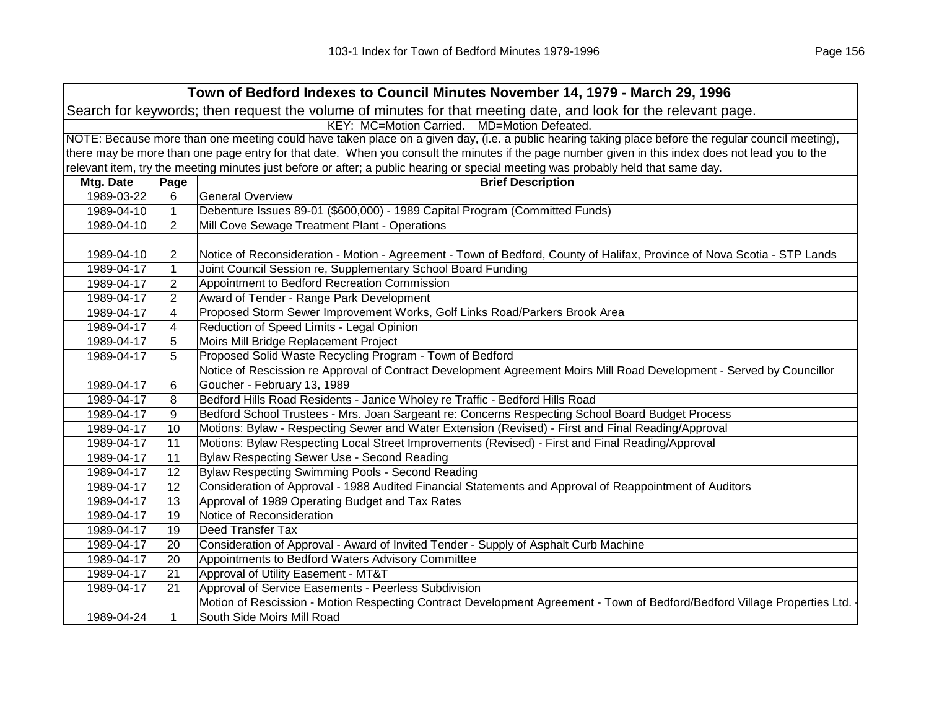| Town of Bedford Indexes to Council Minutes November 14, 1979 - March 29, 1996 |                                                                                                                                                     |                                                                                                                                                   |  |  |
|-------------------------------------------------------------------------------|-----------------------------------------------------------------------------------------------------------------------------------------------------|---------------------------------------------------------------------------------------------------------------------------------------------------|--|--|
|                                                                               | Search for keywords; then request the volume of minutes for that meeting date, and look for the relevant page.                                      |                                                                                                                                                   |  |  |
|                                                                               | KEY: MC=Motion Carried.<br>MD=Motion Defeated.                                                                                                      |                                                                                                                                                   |  |  |
|                                                                               | NOTE: Because more than one meeting could have taken place on a given day, (i.e. a public hearing taking place before the regular council meeting), |                                                                                                                                                   |  |  |
|                                                                               |                                                                                                                                                     | there may be more than one page entry for that date. When you consult the minutes if the page number given in this index does not lead you to the |  |  |
|                                                                               |                                                                                                                                                     | relevant item, try the meeting minutes just before or after; a public hearing or special meeting was probably held that same day.                 |  |  |
| Mtg. Date                                                                     | Page                                                                                                                                                | <b>Brief Description</b>                                                                                                                          |  |  |
| 1989-03-22                                                                    | 6                                                                                                                                                   | <b>General Overview</b>                                                                                                                           |  |  |
| 1989-04-10                                                                    | $\mathbf{1}$                                                                                                                                        | Debenture Issues 89-01 (\$600,000) - 1989 Capital Program (Committed Funds)                                                                       |  |  |
| 1989-04-10                                                                    | $\overline{2}$                                                                                                                                      | Mill Cove Sewage Treatment Plant - Operations                                                                                                     |  |  |
|                                                                               |                                                                                                                                                     |                                                                                                                                                   |  |  |
| 1989-04-10                                                                    | 2                                                                                                                                                   | Notice of Reconsideration - Motion - Agreement - Town of Bedford, County of Halifax, Province of Nova Scotia - STP Lands                          |  |  |
| 1989-04-17                                                                    | $\mathbf{1}$                                                                                                                                        | Joint Council Session re, Supplementary School Board Funding                                                                                      |  |  |
| 1989-04-17                                                                    | 2                                                                                                                                                   | Appointment to Bedford Recreation Commission                                                                                                      |  |  |
| 1989-04-17                                                                    | $\overline{2}$                                                                                                                                      | Award of Tender - Range Park Development                                                                                                          |  |  |
| 1989-04-17                                                                    | $\overline{4}$                                                                                                                                      | Proposed Storm Sewer Improvement Works, Golf Links Road/Parkers Brook Area                                                                        |  |  |
| 1989-04-17                                                                    | 4                                                                                                                                                   | Reduction of Speed Limits - Legal Opinion                                                                                                         |  |  |
| 1989-04-17                                                                    | 5                                                                                                                                                   | Moirs Mill Bridge Replacement Project                                                                                                             |  |  |
| 1989-04-17                                                                    | 5                                                                                                                                                   | Proposed Solid Waste Recycling Program - Town of Bedford                                                                                          |  |  |
|                                                                               |                                                                                                                                                     | Notice of Rescission re Approval of Contract Development Agreement Moirs Mill Road Development - Served by Councillor                             |  |  |
| 1989-04-17                                                                    | 6                                                                                                                                                   | Goucher - February 13, 1989                                                                                                                       |  |  |
| 1989-04-17                                                                    | 8                                                                                                                                                   | Bedford Hills Road Residents - Janice Wholey re Traffic - Bedford Hills Road                                                                      |  |  |
| 1989-04-17                                                                    | 9                                                                                                                                                   | Bedford School Trustees - Mrs. Joan Sargeant re: Concerns Respecting School Board Budget Process                                                  |  |  |
| 1989-04-17                                                                    | 10                                                                                                                                                  | Motions: Bylaw - Respecting Sewer and Water Extension (Revised) - First and Final Reading/Approval                                                |  |  |
| 1989-04-17                                                                    | 11                                                                                                                                                  | Motions: Bylaw Respecting Local Street Improvements (Revised) - First and Final Reading/Approval                                                  |  |  |
| 1989-04-17                                                                    | 11                                                                                                                                                  | Bylaw Respecting Sewer Use - Second Reading                                                                                                       |  |  |
| 1989-04-17                                                                    | 12                                                                                                                                                  | Bylaw Respecting Swimming Pools - Second Reading                                                                                                  |  |  |
| 1989-04-17                                                                    | 12                                                                                                                                                  | Consideration of Approval - 1988 Audited Financial Statements and Approval of Reappointment of Auditors                                           |  |  |
| 1989-04-17                                                                    | 13                                                                                                                                                  | Approval of 1989 Operating Budget and Tax Rates                                                                                                   |  |  |
| 1989-04-17                                                                    | 19                                                                                                                                                  | Notice of Reconsideration                                                                                                                         |  |  |
| 1989-04-17                                                                    | 19                                                                                                                                                  | Deed Transfer Tax                                                                                                                                 |  |  |
| 1989-04-17                                                                    | 20                                                                                                                                                  | Consideration of Approval - Award of Invited Tender - Supply of Asphalt Curb Machine                                                              |  |  |
| 1989-04-17                                                                    | 20                                                                                                                                                  | Appointments to Bedford Waters Advisory Committee                                                                                                 |  |  |
| 1989-04-17                                                                    | 21                                                                                                                                                  | Approval of Utility Easement - MT&T                                                                                                               |  |  |
| 1989-04-17                                                                    | 21                                                                                                                                                  | Approval of Service Easements - Peerless Subdivision                                                                                              |  |  |
|                                                                               |                                                                                                                                                     | Motion of Rescission - Motion Respecting Contract Development Agreement - Town of Bedford/Bedford Village Properties Ltd.                         |  |  |
| 1989-04-24                                                                    | 1                                                                                                                                                   | South Side Moirs Mill Road                                                                                                                        |  |  |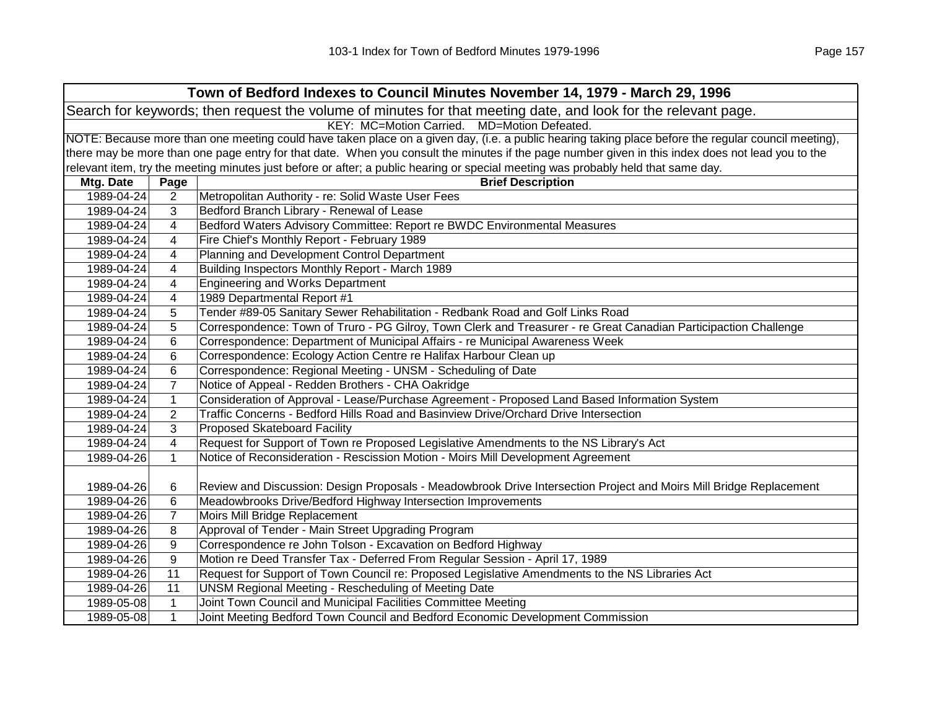| Town of Bedford Indexes to Council Minutes November 14, 1979 - March 29, 1996                                  |                                                                                                                                                     |                                                                                                                                                   |  |  |
|----------------------------------------------------------------------------------------------------------------|-----------------------------------------------------------------------------------------------------------------------------------------------------|---------------------------------------------------------------------------------------------------------------------------------------------------|--|--|
| Search for keywords; then request the volume of minutes for that meeting date, and look for the relevant page. |                                                                                                                                                     |                                                                                                                                                   |  |  |
| KEY: MC=Motion Carried. MD=Motion Defeated.                                                                    |                                                                                                                                                     |                                                                                                                                                   |  |  |
|                                                                                                                | NOTE: Because more than one meeting could have taken place on a given day, (i.e. a public hearing taking place before the regular council meeting), |                                                                                                                                                   |  |  |
|                                                                                                                |                                                                                                                                                     | there may be more than one page entry for that date. When you consult the minutes if the page number given in this index does not lead you to the |  |  |
|                                                                                                                |                                                                                                                                                     | relevant item, try the meeting minutes just before or after; a public hearing or special meeting was probably held that same day.                 |  |  |
| Mtg. Date                                                                                                      | Page                                                                                                                                                | <b>Brief Description</b>                                                                                                                          |  |  |
| 1989-04-24                                                                                                     | 2                                                                                                                                                   | Metropolitan Authority - re: Solid Waste User Fees                                                                                                |  |  |
| 1989-04-24                                                                                                     | 3                                                                                                                                                   | Bedford Branch Library - Renewal of Lease                                                                                                         |  |  |
| 1989-04-24                                                                                                     | 4                                                                                                                                                   | Bedford Waters Advisory Committee: Report re BWDC Environmental Measures                                                                          |  |  |
| 1989-04-24                                                                                                     | 4                                                                                                                                                   | Fire Chief's Monthly Report - February 1989                                                                                                       |  |  |
| 1989-04-24                                                                                                     | 4                                                                                                                                                   | Planning and Development Control Department                                                                                                       |  |  |
| 1989-04-24                                                                                                     | 4                                                                                                                                                   | Building Inspectors Monthly Report - March 1989                                                                                                   |  |  |
| 1989-04-24                                                                                                     | 4                                                                                                                                                   | <b>Engineering and Works Department</b>                                                                                                           |  |  |
| 1989-04-24                                                                                                     | 4                                                                                                                                                   | 1989 Departmental Report #1                                                                                                                       |  |  |
| 1989-04-24                                                                                                     | 5                                                                                                                                                   | Tender #89-05 Sanitary Sewer Rehabilitation - Redbank Road and Golf Links Road                                                                    |  |  |
| 1989-04-24                                                                                                     | 5                                                                                                                                                   | Correspondence: Town of Truro - PG Gilroy, Town Clerk and Treasurer - re Great Canadian Participaction Challenge                                  |  |  |
| 1989-04-24                                                                                                     | 6                                                                                                                                                   | Correspondence: Department of Municipal Affairs - re Municipal Awareness Week                                                                     |  |  |
| 1989-04-24                                                                                                     | 6                                                                                                                                                   | Correspondence: Ecology Action Centre re Halifax Harbour Clean up                                                                                 |  |  |
| 1989-04-24                                                                                                     | 6                                                                                                                                                   | Correspondence: Regional Meeting - UNSM - Scheduling of Date                                                                                      |  |  |
| 1989-04-24                                                                                                     | $\overline{7}$                                                                                                                                      | Notice of Appeal - Redden Brothers - CHA Oakridge                                                                                                 |  |  |
| 1989-04-24                                                                                                     | $\mathbf{1}$                                                                                                                                        | Consideration of Approval - Lease/Purchase Agreement - Proposed Land Based Information System                                                     |  |  |
| 1989-04-24                                                                                                     | $\overline{2}$                                                                                                                                      | Traffic Concerns - Bedford Hills Road and Basinview Drive/Orchard Drive Intersection                                                              |  |  |
| 1989-04-24                                                                                                     | 3                                                                                                                                                   | <b>Proposed Skateboard Facility</b>                                                                                                               |  |  |
| 1989-04-24                                                                                                     | 4                                                                                                                                                   | Request for Support of Town re Proposed Legislative Amendments to the NS Library's Act                                                            |  |  |
| 1989-04-26                                                                                                     | $\mathbf{1}$                                                                                                                                        | Notice of Reconsideration - Rescission Motion - Moirs Mill Development Agreement                                                                  |  |  |
|                                                                                                                |                                                                                                                                                     |                                                                                                                                                   |  |  |
| 1989-04-26                                                                                                     | 6                                                                                                                                                   | Review and Discussion: Design Proposals - Meadowbrook Drive Intersection Project and Moirs Mill Bridge Replacement                                |  |  |
| 1989-04-26                                                                                                     | 6                                                                                                                                                   | Meadowbrooks Drive/Bedford Highway Intersection Improvements                                                                                      |  |  |
| 1989-04-26                                                                                                     | $\overline{7}$                                                                                                                                      | Moirs Mill Bridge Replacement                                                                                                                     |  |  |
| 1989-04-26                                                                                                     | 8                                                                                                                                                   | Approval of Tender - Main Street Upgrading Program                                                                                                |  |  |
| 1989-04-26                                                                                                     | $\boldsymbol{9}$                                                                                                                                    | Correspondence re John Tolson - Excavation on Bedford Highway                                                                                     |  |  |
| 1989-04-26                                                                                                     | $\boldsymbol{9}$                                                                                                                                    | Motion re Deed Transfer Tax - Deferred From Regular Session - April 17, 1989                                                                      |  |  |
| 1989-04-26                                                                                                     | 11                                                                                                                                                  | Request for Support of Town Council re: Proposed Legislative Amendments to the NS Libraries Act                                                   |  |  |
| 1989-04-26                                                                                                     | 11                                                                                                                                                  | <b>UNSM Regional Meeting - Rescheduling of Meeting Date</b>                                                                                       |  |  |
| 1989-05-08                                                                                                     | 1                                                                                                                                                   | Joint Town Council and Municipal Facilities Committee Meeting                                                                                     |  |  |
| 1989-05-08                                                                                                     | $\mathbf{1}$                                                                                                                                        | Joint Meeting Bedford Town Council and Bedford Economic Development Commission                                                                    |  |  |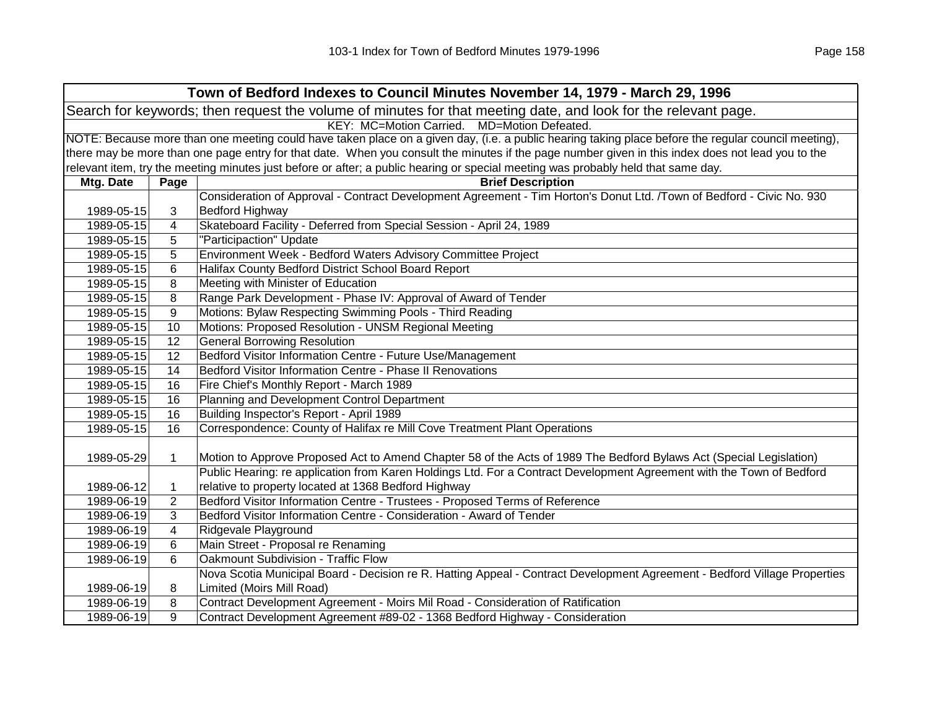|                                                                                                                | Town of Bedford Indexes to Council Minutes November 14, 1979 - March 29, 1996                                                                       |                                                                                                                                                   |  |  |
|----------------------------------------------------------------------------------------------------------------|-----------------------------------------------------------------------------------------------------------------------------------------------------|---------------------------------------------------------------------------------------------------------------------------------------------------|--|--|
| Search for keywords; then request the volume of minutes for that meeting date, and look for the relevant page. |                                                                                                                                                     |                                                                                                                                                   |  |  |
| KEY: MC=Motion Carried. MD=Motion Defeated.                                                                    |                                                                                                                                                     |                                                                                                                                                   |  |  |
|                                                                                                                | NOTE: Because more than one meeting could have taken place on a given day, (i.e. a public hearing taking place before the regular council meeting), |                                                                                                                                                   |  |  |
|                                                                                                                |                                                                                                                                                     | there may be more than one page entry for that date. When you consult the minutes if the page number given in this index does not lead you to the |  |  |
|                                                                                                                |                                                                                                                                                     | relevant item, try the meeting minutes just before or after; a public hearing or special meeting was probably held that same day.                 |  |  |
| Mtg. Date                                                                                                      | Page                                                                                                                                                | <b>Brief Description</b>                                                                                                                          |  |  |
|                                                                                                                |                                                                                                                                                     | Consideration of Approval - Contract Development Agreement - Tim Horton's Donut Ltd. /Town of Bedford - Civic No. 930                             |  |  |
| 1989-05-15                                                                                                     | 3                                                                                                                                                   | <b>Bedford Highway</b>                                                                                                                            |  |  |
| 1989-05-15                                                                                                     | 4                                                                                                                                                   | Skateboard Facility - Deferred from Special Session - April 24, 1989                                                                              |  |  |
| 1989-05-15                                                                                                     | 5                                                                                                                                                   | "Participaction" Update                                                                                                                           |  |  |
| 1989-05-15                                                                                                     | 5                                                                                                                                                   | Environment Week - Bedford Waters Advisory Committee Project                                                                                      |  |  |
| 1989-05-15                                                                                                     | 6                                                                                                                                                   | Halifax County Bedford District School Board Report                                                                                               |  |  |
| 1989-05-15                                                                                                     | 8                                                                                                                                                   | Meeting with Minister of Education                                                                                                                |  |  |
| 1989-05-15                                                                                                     | 8                                                                                                                                                   | Range Park Development - Phase IV: Approval of Award of Tender                                                                                    |  |  |
| 1989-05-15                                                                                                     | 9                                                                                                                                                   | Motions: Bylaw Respecting Swimming Pools - Third Reading                                                                                          |  |  |
| 1989-05-15                                                                                                     | 10                                                                                                                                                  | Motions: Proposed Resolution - UNSM Regional Meeting                                                                                              |  |  |
| 1989-05-15                                                                                                     | 12                                                                                                                                                  | <b>General Borrowing Resolution</b>                                                                                                               |  |  |
| 1989-05-15                                                                                                     | 12                                                                                                                                                  | Bedford Visitor Information Centre - Future Use/Management                                                                                        |  |  |
| 1989-05-15                                                                                                     | 14                                                                                                                                                  | Bedford Visitor Information Centre - Phase II Renovations                                                                                         |  |  |
| 1989-05-15                                                                                                     | 16                                                                                                                                                  | Fire Chief's Monthly Report - March 1989                                                                                                          |  |  |
| 1989-05-15                                                                                                     | 16                                                                                                                                                  | Planning and Development Control Department                                                                                                       |  |  |
| 1989-05-15                                                                                                     | 16                                                                                                                                                  | Building Inspector's Report - April 1989                                                                                                          |  |  |
| 1989-05-15                                                                                                     | 16                                                                                                                                                  | Correspondence: County of Halifax re Mill Cove Treatment Plant Operations                                                                         |  |  |
|                                                                                                                |                                                                                                                                                     |                                                                                                                                                   |  |  |
| 1989-05-29                                                                                                     | $\mathbf 1$                                                                                                                                         | Motion to Approve Proposed Act to Amend Chapter 58 of the Acts of 1989 The Bedford Bylaws Act (Special Legislation)                               |  |  |
|                                                                                                                |                                                                                                                                                     | Public Hearing: re application from Karen Holdings Ltd. For a Contract Development Agreement with the Town of Bedford                             |  |  |
| 1989-06-12                                                                                                     | 1                                                                                                                                                   | relative to property located at 1368 Bedford Highway                                                                                              |  |  |
| 1989-06-19                                                                                                     | $\overline{2}$                                                                                                                                      | Bedford Visitor Information Centre - Trustees - Proposed Terms of Reference                                                                       |  |  |
| 1989-06-19                                                                                                     | 3                                                                                                                                                   | Bedford Visitor Information Centre - Consideration - Award of Tender                                                                              |  |  |
| 1989-06-19                                                                                                     | 4                                                                                                                                                   | Ridgevale Playground                                                                                                                              |  |  |
| 1989-06-19                                                                                                     | 6                                                                                                                                                   | Main Street - Proposal re Renaming                                                                                                                |  |  |
| 1989-06-19                                                                                                     | 6                                                                                                                                                   | Oakmount Subdivision - Traffic Flow                                                                                                               |  |  |
|                                                                                                                |                                                                                                                                                     | Nova Scotia Municipal Board - Decision re R. Hatting Appeal - Contract Development Agreement - Bedford Village Properties                         |  |  |
| 1989-06-19                                                                                                     | 8                                                                                                                                                   | Limited (Moirs Mill Road)                                                                                                                         |  |  |
| 1989-06-19                                                                                                     | 8                                                                                                                                                   | Contract Development Agreement - Moirs Mil Road - Consideration of Ratification                                                                   |  |  |
| 1989-06-19                                                                                                     | 9                                                                                                                                                   | Contract Development Agreement #89-02 - 1368 Bedford Highway - Consideration                                                                      |  |  |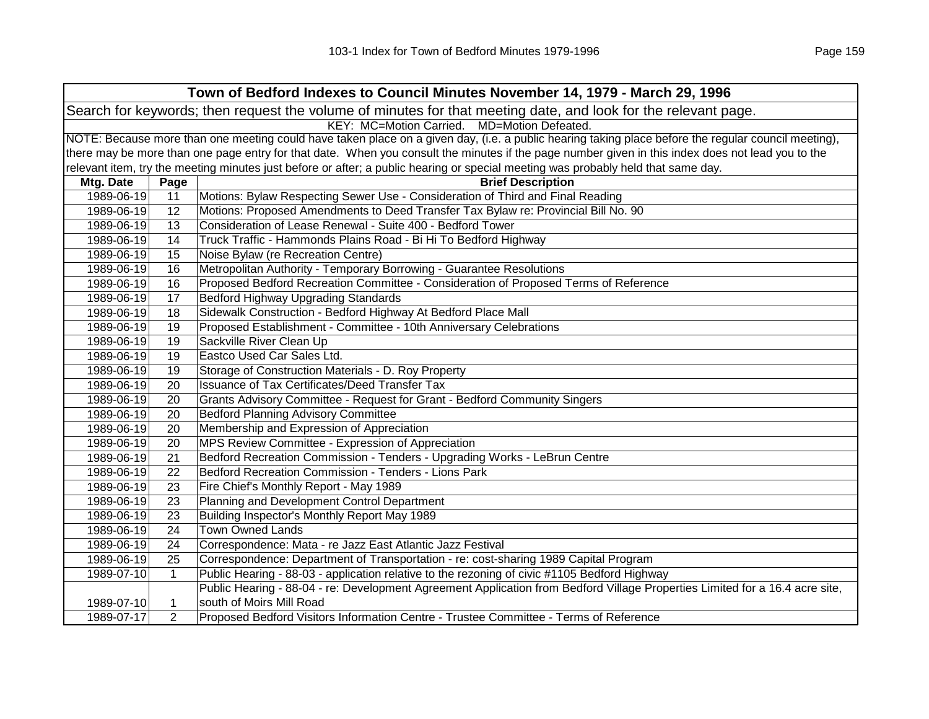| Town of Bedford Indexes to Council Minutes November 14, 1979 - March 29, 1996                                  |              |                                                                                                                                                     |  |
|----------------------------------------------------------------------------------------------------------------|--------------|-----------------------------------------------------------------------------------------------------------------------------------------------------|--|
| Search for keywords; then request the volume of minutes for that meeting date, and look for the relevant page. |              |                                                                                                                                                     |  |
| KEY: MC=Motion Carried. MD=Motion Defeated.                                                                    |              |                                                                                                                                                     |  |
|                                                                                                                |              | NOTE: Because more than one meeting could have taken place on a given day, (i.e. a public hearing taking place before the regular council meeting), |  |
|                                                                                                                |              | there may be more than one page entry for that date. When you consult the minutes if the page number given in this index does not lead you to the   |  |
|                                                                                                                |              | relevant item, try the meeting minutes just before or after; a public hearing or special meeting was probably held that same day.                   |  |
| Mtg. Date                                                                                                      | Page         | <b>Brief Description</b>                                                                                                                            |  |
| 1989-06-19                                                                                                     | 11           | Motions: Bylaw Respecting Sewer Use - Consideration of Third and Final Reading                                                                      |  |
| 1989-06-19                                                                                                     | 12           | Motions: Proposed Amendments to Deed Transfer Tax Bylaw re: Provincial Bill No. 90                                                                  |  |
| 1989-06-19                                                                                                     | 13           | Consideration of Lease Renewal - Suite 400 - Bedford Tower                                                                                          |  |
| 1989-06-19                                                                                                     | 14           | Truck Traffic - Hammonds Plains Road - Bi Hi To Bedford Highway                                                                                     |  |
| 1989-06-19                                                                                                     | 15           | Noise Bylaw (re Recreation Centre)                                                                                                                  |  |
| 1989-06-19                                                                                                     | 16           | Metropolitan Authority - Temporary Borrowing - Guarantee Resolutions                                                                                |  |
| 1989-06-19                                                                                                     | 16           | Proposed Bedford Recreation Committee - Consideration of Proposed Terms of Reference                                                                |  |
| 1989-06-19                                                                                                     | 17           | Bedford Highway Upgrading Standards                                                                                                                 |  |
| 1989-06-19                                                                                                     | 18           | Sidewalk Construction - Bedford Highway At Bedford Place Mall                                                                                       |  |
| 1989-06-19                                                                                                     | 19           | Proposed Establishment - Committee - 10th Anniversary Celebrations                                                                                  |  |
| 1989-06-19                                                                                                     | 19           | Sackville River Clean Up                                                                                                                            |  |
| 1989-06-19                                                                                                     | 19           | Eastco Used Car Sales Ltd.                                                                                                                          |  |
| 1989-06-19                                                                                                     | 19           | Storage of Construction Materials - D. Roy Property                                                                                                 |  |
| 1989-06-19                                                                                                     | 20           | Issuance of Tax Certificates/Deed Transfer Tax                                                                                                      |  |
| 1989-06-19                                                                                                     | 20           | Grants Advisory Committee - Request for Grant - Bedford Community Singers                                                                           |  |
| 1989-06-19                                                                                                     | 20           | <b>Bedford Planning Advisory Committee</b>                                                                                                          |  |
| 1989-06-19                                                                                                     | 20           | Membership and Expression of Appreciation                                                                                                           |  |
| 1989-06-19                                                                                                     | 20           | MPS Review Committee - Expression of Appreciation                                                                                                   |  |
| 1989-06-19                                                                                                     | 21           | Bedford Recreation Commission - Tenders - Upgrading Works - LeBrun Centre                                                                           |  |
| 1989-06-19                                                                                                     | 22           | Bedford Recreation Commission - Tenders - Lions Park                                                                                                |  |
| 1989-06-19                                                                                                     | 23           | Fire Chief's Monthly Report - May 1989                                                                                                              |  |
| 1989-06-19                                                                                                     | 23           | Planning and Development Control Department                                                                                                         |  |
| 1989-06-19                                                                                                     | 23           | Building Inspector's Monthly Report May 1989                                                                                                        |  |
| 1989-06-19                                                                                                     | 24           | <b>Town Owned Lands</b>                                                                                                                             |  |
| 1989-06-19                                                                                                     | 24           | Correspondence: Mata - re Jazz East Atlantic Jazz Festival                                                                                          |  |
| 1989-06-19                                                                                                     | 25           | Correspondence: Department of Transportation - re: cost-sharing 1989 Capital Program                                                                |  |
| 1989-07-10                                                                                                     | $\mathbf{1}$ | Public Hearing - 88-03 - application relative to the rezoning of civic #1105 Bedford Highway                                                        |  |
|                                                                                                                |              | Public Hearing - 88-04 - re: Development Agreement Application from Bedford Village Properties Limited for a 16.4 acre site,                        |  |

 $1989-07-10$  1 south of Moirs Mill Road

1989-07-17 2Proposed Bedford Visitors Information Centre - Trustee Committee - Terms of Reference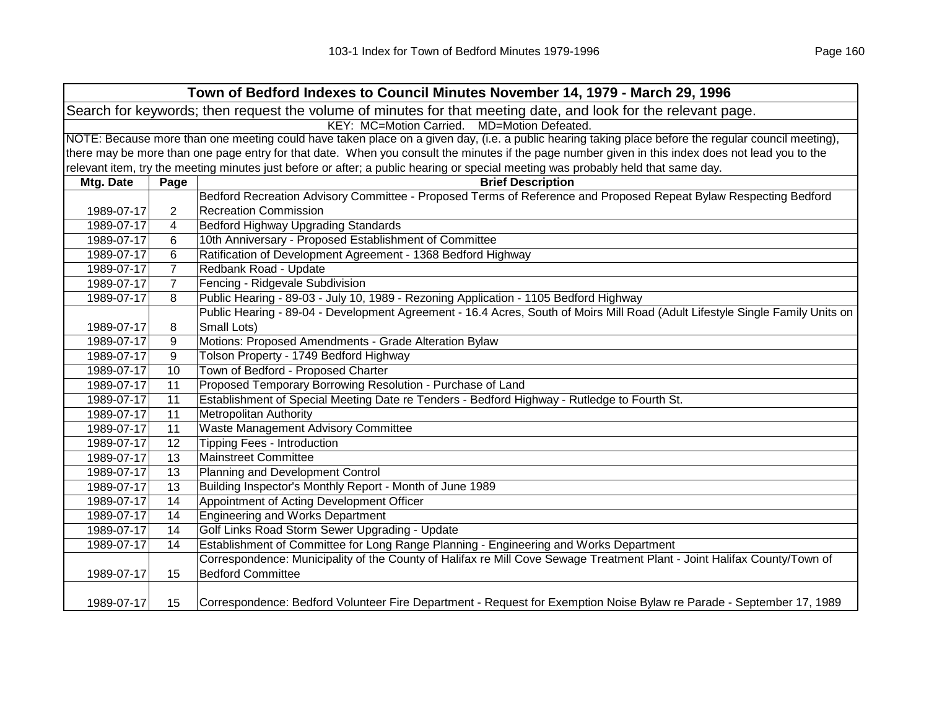| Town of Bedford Indexes to Council Minutes November 14, 1979 - March 29, 1996                                  |                                                                                                                                                     |                                                                                                                                                   |  |  |
|----------------------------------------------------------------------------------------------------------------|-----------------------------------------------------------------------------------------------------------------------------------------------------|---------------------------------------------------------------------------------------------------------------------------------------------------|--|--|
| Search for keywords; then request the volume of minutes for that meeting date, and look for the relevant page. |                                                                                                                                                     |                                                                                                                                                   |  |  |
|                                                                                                                | KEY: MC=Motion Carried. MD=Motion Defeated.                                                                                                         |                                                                                                                                                   |  |  |
|                                                                                                                | NOTE: Because more than one meeting could have taken place on a given day, (i.e. a public hearing taking place before the regular council meeting), |                                                                                                                                                   |  |  |
|                                                                                                                |                                                                                                                                                     | there may be more than one page entry for that date. When you consult the minutes if the page number given in this index does not lead you to the |  |  |
|                                                                                                                |                                                                                                                                                     | relevant item, try the meeting minutes just before or after; a public hearing or special meeting was probably held that same day.                 |  |  |
| Mtg. Date                                                                                                      | Page                                                                                                                                                | <b>Brief Description</b>                                                                                                                          |  |  |
|                                                                                                                |                                                                                                                                                     | Bedford Recreation Advisory Committee - Proposed Terms of Reference and Proposed Repeat Bylaw Respecting Bedford                                  |  |  |
| 1989-07-17                                                                                                     | 2                                                                                                                                                   | <b>Recreation Commission</b>                                                                                                                      |  |  |
| 1989-07-17                                                                                                     | 4                                                                                                                                                   | Bedford Highway Upgrading Standards                                                                                                               |  |  |
| 1989-07-17                                                                                                     | 6                                                                                                                                                   | 10th Anniversary - Proposed Establishment of Committee                                                                                            |  |  |
| 1989-07-17                                                                                                     | 6                                                                                                                                                   | Ratification of Development Agreement - 1368 Bedford Highway                                                                                      |  |  |
| 1989-07-17                                                                                                     | $\overline{7}$                                                                                                                                      | Redbank Road - Update                                                                                                                             |  |  |
| 1989-07-17                                                                                                     | $\overline{7}$                                                                                                                                      | Fencing - Ridgevale Subdivision                                                                                                                   |  |  |
| 1989-07-17                                                                                                     | 8                                                                                                                                                   | Public Hearing - 89-03 - July 10, 1989 - Rezoning Application - 1105 Bedford Highway                                                              |  |  |
|                                                                                                                |                                                                                                                                                     | Public Hearing - 89-04 - Development Agreement - 16.4 Acres, South of Moirs Mill Road (Adult Lifestyle Single Family Units on                     |  |  |
| 1989-07-17                                                                                                     | 8                                                                                                                                                   | Small Lots)                                                                                                                                       |  |  |
| 1989-07-17                                                                                                     | 9                                                                                                                                                   | Motions: Proposed Amendments - Grade Alteration Bylaw                                                                                             |  |  |
| 1989-07-17                                                                                                     | 9                                                                                                                                                   | Tolson Property - 1749 Bedford Highway                                                                                                            |  |  |
| 1989-07-17                                                                                                     | 10                                                                                                                                                  | Town of Bedford - Proposed Charter                                                                                                                |  |  |
| 1989-07-17                                                                                                     | 11                                                                                                                                                  | Proposed Temporary Borrowing Resolution - Purchase of Land                                                                                        |  |  |
| 1989-07-17                                                                                                     | 11                                                                                                                                                  | Establishment of Special Meeting Date re Tenders - Bedford Highway - Rutledge to Fourth St.                                                       |  |  |
| 1989-07-17                                                                                                     | 11                                                                                                                                                  | <b>Metropolitan Authority</b>                                                                                                                     |  |  |
| 1989-07-17                                                                                                     | 11                                                                                                                                                  | Waste Management Advisory Committee                                                                                                               |  |  |
| 1989-07-17                                                                                                     | 12                                                                                                                                                  | <b>Tipping Fees - Introduction</b>                                                                                                                |  |  |
| 1989-07-17                                                                                                     | 13                                                                                                                                                  | <b>Mainstreet Committee</b>                                                                                                                       |  |  |
| 1989-07-17                                                                                                     | 13                                                                                                                                                  | Planning and Development Control                                                                                                                  |  |  |
| 1989-07-17                                                                                                     | 13                                                                                                                                                  | Building Inspector's Monthly Report - Month of June 1989                                                                                          |  |  |
| 1989-07-17                                                                                                     | 14                                                                                                                                                  | Appointment of Acting Development Officer                                                                                                         |  |  |
| 1989-07-17                                                                                                     | 14                                                                                                                                                  | <b>Engineering and Works Department</b>                                                                                                           |  |  |
| 1989-07-17                                                                                                     | 14                                                                                                                                                  | Golf Links Road Storm Sewer Upgrading - Update                                                                                                    |  |  |
| 1989-07-17                                                                                                     | 14                                                                                                                                                  | Establishment of Committee for Long Range Planning - Engineering and Works Department                                                             |  |  |
|                                                                                                                |                                                                                                                                                     | Correspondence: Municipality of the County of Halifax re Mill Cove Sewage Treatment Plant - Joint Halifax County/Town of                          |  |  |
| 1989-07-17                                                                                                     | 15                                                                                                                                                  | <b>Bedford Committee</b>                                                                                                                          |  |  |
| 1989-07-17                                                                                                     | 15                                                                                                                                                  | Correspondence: Bedford Volunteer Fire Department - Request for Exemption Noise Bylaw re Parade - September 17, 1989                              |  |  |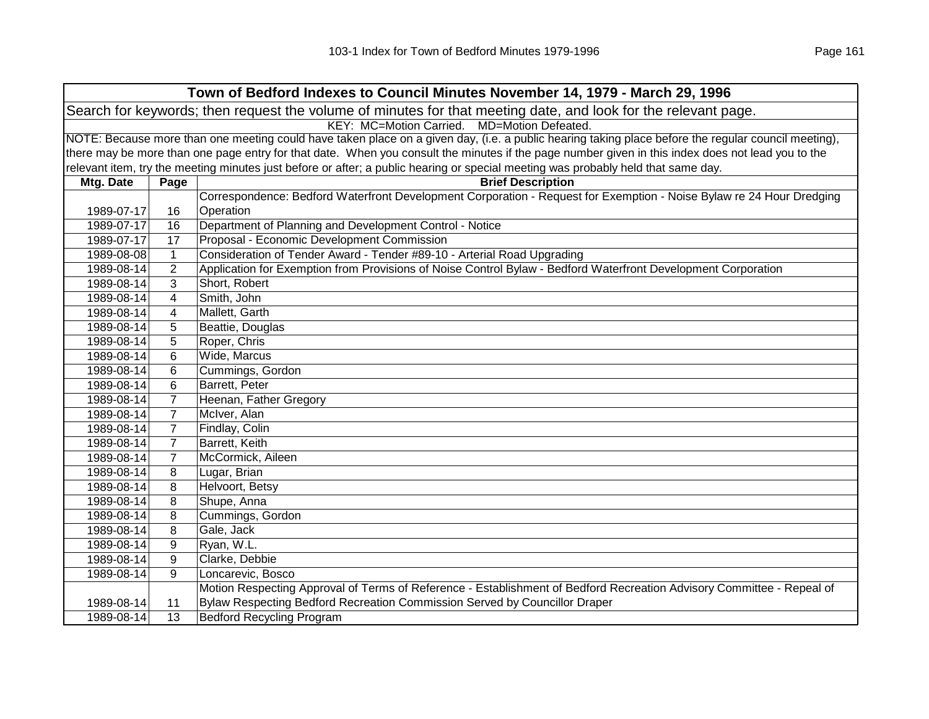| Town of Bedford Indexes to Council Minutes November 14, 1979 - March 29, 1996 |                                                                                                                                                     |                                                                                                                                                   |  |
|-------------------------------------------------------------------------------|-----------------------------------------------------------------------------------------------------------------------------------------------------|---------------------------------------------------------------------------------------------------------------------------------------------------|--|
|                                                                               | Search for keywords; then request the volume of minutes for that meeting date, and look for the relevant page.                                      |                                                                                                                                                   |  |
| KEY: MC=Motion Carried. MD=Motion Defeated.                                   |                                                                                                                                                     |                                                                                                                                                   |  |
|                                                                               | NOTE: Because more than one meeting could have taken place on a given day, (i.e. a public hearing taking place before the regular council meeting), |                                                                                                                                                   |  |
|                                                                               |                                                                                                                                                     | there may be more than one page entry for that date. When you consult the minutes if the page number given in this index does not lead you to the |  |
|                                                                               |                                                                                                                                                     | relevant item, try the meeting minutes just before or after; a public hearing or special meeting was probably held that same day.                 |  |
| Mtg. Date                                                                     | Page                                                                                                                                                | <b>Brief Description</b>                                                                                                                          |  |
|                                                                               |                                                                                                                                                     | Correspondence: Bedford Waterfront Development Corporation - Request for Exemption - Noise Bylaw re 24 Hour Dredging                              |  |
| 1989-07-17                                                                    | 16                                                                                                                                                  | Operation                                                                                                                                         |  |
| 1989-07-17                                                                    | 16                                                                                                                                                  | Department of Planning and Development Control - Notice                                                                                           |  |
| 1989-07-17                                                                    | 17                                                                                                                                                  | Proposal - Economic Development Commission                                                                                                        |  |
| 1989-08-08                                                                    | $\mathbf{1}$                                                                                                                                        | Consideration of Tender Award - Tender #89-10 - Arterial Road Upgrading                                                                           |  |
| 1989-08-14                                                                    | 2                                                                                                                                                   | Application for Exemption from Provisions of Noise Control Bylaw - Bedford Waterfront Development Corporation                                     |  |
| 1989-08-14                                                                    | 3                                                                                                                                                   | Short, Robert                                                                                                                                     |  |
| 1989-08-14                                                                    | 4                                                                                                                                                   | Smith, John                                                                                                                                       |  |
| 1989-08-14                                                                    | 4                                                                                                                                                   | Mallett, Garth                                                                                                                                    |  |
| 1989-08-14                                                                    | 5                                                                                                                                                   | Beattie, Douglas                                                                                                                                  |  |
| 1989-08-14                                                                    | 5                                                                                                                                                   | Roper, Chris                                                                                                                                      |  |
| 1989-08-14                                                                    | 6                                                                                                                                                   | Wide, Marcus                                                                                                                                      |  |
| 1989-08-14                                                                    | 6                                                                                                                                                   | Cummings, Gordon                                                                                                                                  |  |
| 1989-08-14                                                                    | 6                                                                                                                                                   | Barrett, Peter                                                                                                                                    |  |
| 1989-08-14                                                                    | $\overline{7}$                                                                                                                                      | Heenan, Father Gregory                                                                                                                            |  |
| 1989-08-14                                                                    | $\overline{7}$                                                                                                                                      | McIver, Alan                                                                                                                                      |  |
| 1989-08-14                                                                    | $\overline{7}$                                                                                                                                      | Findlay, Colin                                                                                                                                    |  |
| 1989-08-14                                                                    | $\overline{7}$                                                                                                                                      | Barrett, Keith                                                                                                                                    |  |
| 1989-08-14                                                                    | $\overline{7}$                                                                                                                                      | McCormick, Aileen                                                                                                                                 |  |
| 1989-08-14                                                                    | 8                                                                                                                                                   | Lugar, Brian                                                                                                                                      |  |
| 1989-08-14                                                                    | 8                                                                                                                                                   | Helvoort, Betsy                                                                                                                                   |  |
| 1989-08-14                                                                    | 8                                                                                                                                                   | Shupe, Anna                                                                                                                                       |  |
| 1989-08-14                                                                    | 8                                                                                                                                                   | Cummings, Gordon                                                                                                                                  |  |
| 1989-08-14                                                                    | 8                                                                                                                                                   | Gale, Jack                                                                                                                                        |  |
| 1989-08-14                                                                    | 9                                                                                                                                                   | Ryan, W.L.                                                                                                                                        |  |
| 1989-08-14                                                                    | 9                                                                                                                                                   | Clarke, Debbie                                                                                                                                    |  |
| 1989-08-14                                                                    | 9                                                                                                                                                   | Loncarevic, Bosco                                                                                                                                 |  |
|                                                                               |                                                                                                                                                     | Motion Respecting Approval of Terms of Reference - Establishment of Bedford Recreation Advisory Committee - Repeal of                             |  |
| 1989-08-14                                                                    | 11                                                                                                                                                  | Bylaw Respecting Bedford Recreation Commission Served by Councillor Draper                                                                        |  |
| 1989-08-14                                                                    | 13                                                                                                                                                  | <b>Bedford Recycling Program</b>                                                                                                                  |  |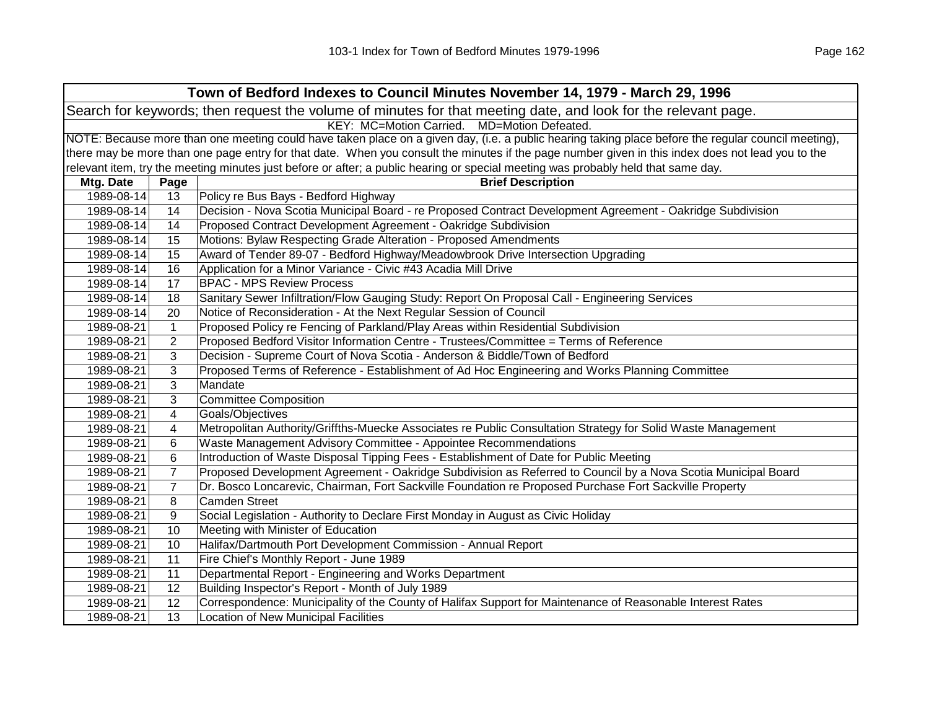|                                             | Town of Bedford Indexes to Council Minutes November 14, 1979 - March 29, 1996                                                                       |                                                                                                                                   |  |
|---------------------------------------------|-----------------------------------------------------------------------------------------------------------------------------------------------------|-----------------------------------------------------------------------------------------------------------------------------------|--|
|                                             | Search for keywords; then request the volume of minutes for that meeting date, and look for the relevant page.                                      |                                                                                                                                   |  |
| KEY: MC=Motion Carried. MD=Motion Defeated. |                                                                                                                                                     |                                                                                                                                   |  |
|                                             | NOTE: Because more than one meeting could have taken place on a given day, (i.e. a public hearing taking place before the regular council meeting), |                                                                                                                                   |  |
|                                             | there may be more than one page entry for that date. When you consult the minutes if the page number given in this index does not lead you to the   |                                                                                                                                   |  |
|                                             |                                                                                                                                                     | relevant item, try the meeting minutes just before or after; a public hearing or special meeting was probably held that same day. |  |
| Mtg. Date                                   | Page                                                                                                                                                | <b>Brief Description</b>                                                                                                          |  |
| 1989-08-14                                  | 13                                                                                                                                                  | Policy re Bus Bays - Bedford Highway                                                                                              |  |
| 1989-08-14                                  | 14                                                                                                                                                  | Decision - Nova Scotia Municipal Board - re Proposed Contract Development Agreement - Oakridge Subdivision                        |  |
| 1989-08-14                                  | 14                                                                                                                                                  | Proposed Contract Development Agreement - Oakridge Subdivision                                                                    |  |
| 1989-08-14                                  | 15                                                                                                                                                  | Motions: Bylaw Respecting Grade Alteration - Proposed Amendments                                                                  |  |
| 1989-08-14                                  | 15                                                                                                                                                  | Award of Tender 89-07 - Bedford Highway/Meadowbrook Drive Intersection Upgrading                                                  |  |
| 1989-08-14                                  | 16                                                                                                                                                  | Application for a Minor Variance - Civic #43 Acadia Mill Drive                                                                    |  |
| 1989-08-14                                  | 17                                                                                                                                                  | <b>BPAC - MPS Review Process</b>                                                                                                  |  |
| 1989-08-14                                  | 18                                                                                                                                                  | Sanitary Sewer Infiltration/Flow Gauging Study: Report On Proposal Call - Engineering Services                                    |  |
| 1989-08-14                                  | 20                                                                                                                                                  | Notice of Reconsideration - At the Next Regular Session of Council                                                                |  |
| 1989-08-21                                  | $\mathbf{1}$                                                                                                                                        | Proposed Policy re Fencing of Parkland/Play Areas within Residential Subdivision                                                  |  |
| 1989-08-21                                  | $\overline{2}$                                                                                                                                      | Proposed Bedford Visitor Information Centre - Trustees/Committee = Terms of Reference                                             |  |
| 1989-08-21                                  | 3                                                                                                                                                   | Decision - Supreme Court of Nova Scotia - Anderson & Biddle/Town of Bedford                                                       |  |
| 1989-08-21                                  | 3                                                                                                                                                   | Proposed Terms of Reference - Establishment of Ad Hoc Engineering and Works Planning Committee                                    |  |
| 1989-08-21                                  | 3                                                                                                                                                   | Mandate                                                                                                                           |  |
| 1989-08-21                                  | 3                                                                                                                                                   | <b>Committee Composition</b>                                                                                                      |  |
| 1989-08-21                                  | 4                                                                                                                                                   | Goals/Objectives                                                                                                                  |  |
| 1989-08-21                                  | 4                                                                                                                                                   | Metropolitan Authority/Griffths-Muecke Associates re Public Consultation Strategy for Solid Waste Management                      |  |
| 1989-08-21                                  | 6                                                                                                                                                   | Waste Management Advisory Committee - Appointee Recommendations                                                                   |  |
| 1989-08-21                                  | 6                                                                                                                                                   | Introduction of Waste Disposal Tipping Fees - Establishment of Date for Public Meeting                                            |  |
| 1989-08-21                                  | $\overline{7}$                                                                                                                                      | Proposed Development Agreement - Oakridge Subdivision as Referred to Council by a Nova Scotia Municipal Board                     |  |
| 1989-08-21                                  | $\overline{7}$                                                                                                                                      | Dr. Bosco Loncarevic, Chairman, Fort Sackville Foundation re Proposed Purchase Fort Sackville Property                            |  |
| 1989-08-21                                  | 8                                                                                                                                                   | <b>Camden Street</b>                                                                                                              |  |
| 1989-08-21                                  | 9                                                                                                                                                   | Social Legislation - Authority to Declare First Monday in August as Civic Holiday                                                 |  |
| 1989-08-21                                  | 10                                                                                                                                                  | Meeting with Minister of Education                                                                                                |  |
| 1989-08-21                                  | 10                                                                                                                                                  | Halifax/Dartmouth Port Development Commission - Annual Report                                                                     |  |
| 1989-08-21                                  | 11                                                                                                                                                  | Fire Chief's Monthly Report - June 1989                                                                                           |  |
| 1989-08-21                                  | 11                                                                                                                                                  | Departmental Report - Engineering and Works Department                                                                            |  |
| 1989-08-21                                  | 12                                                                                                                                                  | Building Inspector's Report - Month of July 1989                                                                                  |  |
| 1989-08-21                                  | 12                                                                                                                                                  | Correspondence: Municipality of the County of Halifax Support for Maintenance of Reasonable Interest Rates                        |  |
| 1989-08-21                                  | 13                                                                                                                                                  | <b>Location of New Municipal Facilities</b>                                                                                       |  |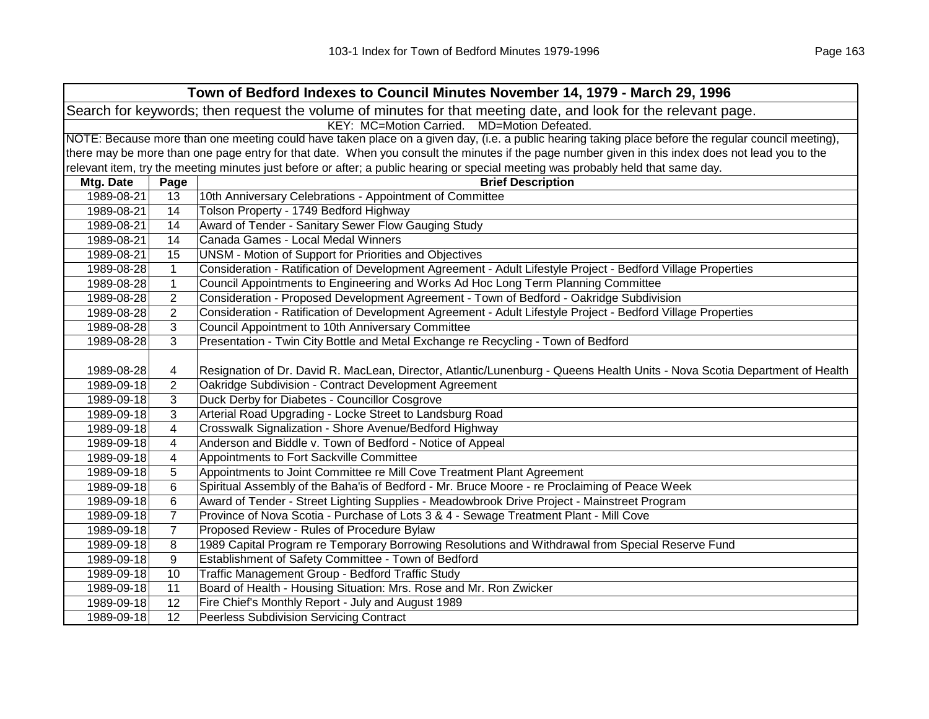| Town of Bedford Indexes to Council Minutes November 14, 1979 - March 29, 1996                                  |                                                                                                                                                     |                                                                                                                                                   |  |  |  |
|----------------------------------------------------------------------------------------------------------------|-----------------------------------------------------------------------------------------------------------------------------------------------------|---------------------------------------------------------------------------------------------------------------------------------------------------|--|--|--|
| Search for keywords; then request the volume of minutes for that meeting date, and look for the relevant page. |                                                                                                                                                     |                                                                                                                                                   |  |  |  |
| KEY: MC=Motion Carried. MD=Motion Defeated.                                                                    |                                                                                                                                                     |                                                                                                                                                   |  |  |  |
|                                                                                                                | NOTE: Because more than one meeting could have taken place on a given day, (i.e. a public hearing taking place before the regular council meeting), |                                                                                                                                                   |  |  |  |
|                                                                                                                |                                                                                                                                                     | there may be more than one page entry for that date. When you consult the minutes if the page number given in this index does not lead you to the |  |  |  |
|                                                                                                                |                                                                                                                                                     | relevant item, try the meeting minutes just before or after; a public hearing or special meeting was probably held that same day.                 |  |  |  |
| Mtg. Date                                                                                                      | Page                                                                                                                                                | <b>Brief Description</b>                                                                                                                          |  |  |  |
| 1989-08-21                                                                                                     | 13                                                                                                                                                  | 10th Anniversary Celebrations - Appointment of Committee                                                                                          |  |  |  |
| 1989-08-21                                                                                                     | 14                                                                                                                                                  | Tolson Property - 1749 Bedford Highway                                                                                                            |  |  |  |
| 1989-08-21                                                                                                     | 14                                                                                                                                                  | Award of Tender - Sanitary Sewer Flow Gauging Study                                                                                               |  |  |  |
| 1989-08-21                                                                                                     | 14                                                                                                                                                  | Canada Games - Local Medal Winners                                                                                                                |  |  |  |
| 1989-08-21                                                                                                     | 15                                                                                                                                                  | UNSM - Motion of Support for Priorities and Objectives                                                                                            |  |  |  |
| 1989-08-28                                                                                                     | $\mathbf{1}$                                                                                                                                        | Consideration - Ratification of Development Agreement - Adult Lifestyle Project - Bedford Village Properties                                      |  |  |  |
| 1989-08-28                                                                                                     | $\mathbf{1}$                                                                                                                                        | Council Appointments to Engineering and Works Ad Hoc Long Term Planning Committee                                                                 |  |  |  |
| 1989-08-28                                                                                                     | $\overline{2}$                                                                                                                                      | Consideration - Proposed Development Agreement - Town of Bedford - Oakridge Subdivision                                                           |  |  |  |
| 1989-08-28                                                                                                     | $\overline{2}$                                                                                                                                      | Consideration - Ratification of Development Agreement - Adult Lifestyle Project - Bedford Village Properties                                      |  |  |  |
| 1989-08-28                                                                                                     | 3                                                                                                                                                   | Council Appointment to 10th Anniversary Committee                                                                                                 |  |  |  |
| 1989-08-28                                                                                                     | 3                                                                                                                                                   | Presentation - Twin City Bottle and Metal Exchange re Recycling - Town of Bedford                                                                 |  |  |  |
|                                                                                                                |                                                                                                                                                     |                                                                                                                                                   |  |  |  |
| 1989-08-28                                                                                                     | 4                                                                                                                                                   | Resignation of Dr. David R. MacLean, Director, Atlantic/Lunenburg - Queens Health Units - Nova Scotia Department of Health                        |  |  |  |
| 1989-09-18                                                                                                     | $\overline{2}$                                                                                                                                      | Oakridge Subdivision - Contract Development Agreement                                                                                             |  |  |  |
| 1989-09-18                                                                                                     | 3                                                                                                                                                   | Duck Derby for Diabetes - Councillor Cosgrove                                                                                                     |  |  |  |
| 1989-09-18                                                                                                     | 3                                                                                                                                                   | Arterial Road Upgrading - Locke Street to Landsburg Road                                                                                          |  |  |  |
| 1989-09-18                                                                                                     | 4                                                                                                                                                   | Crosswalk Signalization - Shore Avenue/Bedford Highway                                                                                            |  |  |  |
| 1989-09-18                                                                                                     | 4                                                                                                                                                   | Anderson and Biddle v. Town of Bedford - Notice of Appeal                                                                                         |  |  |  |
| 1989-09-18                                                                                                     | 4                                                                                                                                                   | Appointments to Fort Sackville Committee                                                                                                          |  |  |  |
| 1989-09-18                                                                                                     | 5                                                                                                                                                   | Appointments to Joint Committee re Mill Cove Treatment Plant Agreement                                                                            |  |  |  |
| 1989-09-18                                                                                                     | 6                                                                                                                                                   | Spiritual Assembly of the Baha'is of Bedford - Mr. Bruce Moore - re Proclaiming of Peace Week                                                     |  |  |  |
| 1989-09-18                                                                                                     | 6                                                                                                                                                   | Award of Tender - Street Lighting Supplies - Meadowbrook Drive Project - Mainstreet Program                                                       |  |  |  |
| 1989-09-18                                                                                                     | $\overline{7}$                                                                                                                                      | Province of Nova Scotia - Purchase of Lots 3 & 4 - Sewage Treatment Plant - Mill Cove                                                             |  |  |  |
| 1989-09-18                                                                                                     | $\overline{7}$                                                                                                                                      | Proposed Review - Rules of Procedure Bylaw                                                                                                        |  |  |  |
| 1989-09-18                                                                                                     | 8                                                                                                                                                   | 1989 Capital Program re Temporary Borrowing Resolutions and Withdrawal from Special Reserve Fund                                                  |  |  |  |
| 1989-09-18                                                                                                     | 9                                                                                                                                                   | Establishment of Safety Committee - Town of Bedford                                                                                               |  |  |  |
| 1989-09-18                                                                                                     | 10                                                                                                                                                  | Traffic Management Group - Bedford Traffic Study                                                                                                  |  |  |  |
| 1989-09-18                                                                                                     | 11                                                                                                                                                  | Board of Health - Housing Situation: Mrs. Rose and Mr. Ron Zwicker                                                                                |  |  |  |
| 1989-09-18                                                                                                     | 12                                                                                                                                                  | Fire Chief's Monthly Report - July and August 1989                                                                                                |  |  |  |
| 1989-09-18                                                                                                     | 12                                                                                                                                                  | <b>Peerless Subdivision Servicing Contract</b>                                                                                                    |  |  |  |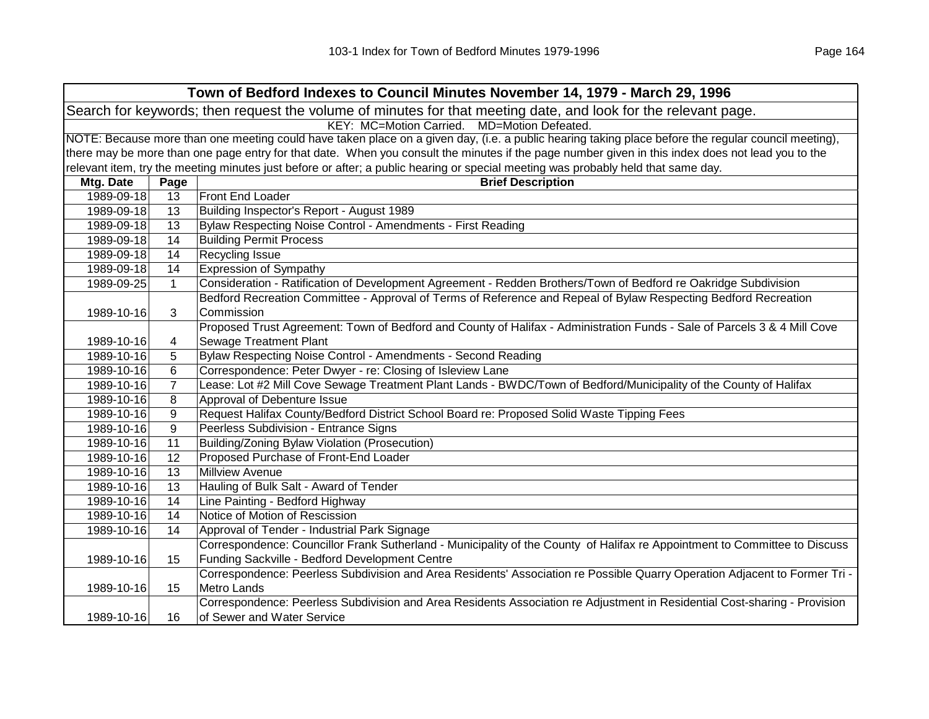| Town of Bedford Indexes to Council Minutes November 14, 1979 - March 29, 1996                                  |                                                                                                                                                     |                                                                                                                                                   |  |  |  |
|----------------------------------------------------------------------------------------------------------------|-----------------------------------------------------------------------------------------------------------------------------------------------------|---------------------------------------------------------------------------------------------------------------------------------------------------|--|--|--|
| Search for keywords; then request the volume of minutes for that meeting date, and look for the relevant page. |                                                                                                                                                     |                                                                                                                                                   |  |  |  |
| KEY: MC=Motion Carried. MD=Motion Defeated.                                                                    |                                                                                                                                                     |                                                                                                                                                   |  |  |  |
|                                                                                                                | NOTE: Because more than one meeting could have taken place on a given day, (i.e. a public hearing taking place before the regular council meeting), |                                                                                                                                                   |  |  |  |
|                                                                                                                |                                                                                                                                                     | there may be more than one page entry for that date. When you consult the minutes if the page number given in this index does not lead you to the |  |  |  |
|                                                                                                                |                                                                                                                                                     | relevant item, try the meeting minutes just before or after; a public hearing or special meeting was probably held that same day.                 |  |  |  |
| Mtg. Date                                                                                                      | Page                                                                                                                                                | <b>Brief Description</b>                                                                                                                          |  |  |  |
| 1989-09-18                                                                                                     | 13                                                                                                                                                  | Front End Loader                                                                                                                                  |  |  |  |
| 1989-09-18                                                                                                     | 13                                                                                                                                                  | Building Inspector's Report - August 1989                                                                                                         |  |  |  |
| 1989-09-18                                                                                                     | 13                                                                                                                                                  | Bylaw Respecting Noise Control - Amendments - First Reading                                                                                       |  |  |  |
| 1989-09-18                                                                                                     | 14                                                                                                                                                  | <b>Building Permit Process</b>                                                                                                                    |  |  |  |
| 1989-09-18                                                                                                     | 14                                                                                                                                                  | Recycling Issue                                                                                                                                   |  |  |  |
| 1989-09-18                                                                                                     | 14                                                                                                                                                  | <b>Expression of Sympathy</b>                                                                                                                     |  |  |  |
| 1989-09-25                                                                                                     | $\mathbf{1}$                                                                                                                                        | Consideration - Ratification of Development Agreement - Redden Brothers/Town of Bedford re Oakridge Subdivision                                   |  |  |  |
|                                                                                                                |                                                                                                                                                     | Bedford Recreation Committee - Approval of Terms of Reference and Repeal of Bylaw Respecting Bedford Recreation                                   |  |  |  |
| 1989-10-16                                                                                                     | 3                                                                                                                                                   | Commission                                                                                                                                        |  |  |  |
|                                                                                                                |                                                                                                                                                     | Proposed Trust Agreement: Town of Bedford and County of Halifax - Administration Funds - Sale of Parcels 3 & 4 Mill Cove                          |  |  |  |
| 1989-10-16                                                                                                     | 4                                                                                                                                                   | <b>Sewage Treatment Plant</b>                                                                                                                     |  |  |  |
| 1989-10-16                                                                                                     | 5                                                                                                                                                   | Bylaw Respecting Noise Control - Amendments - Second Reading                                                                                      |  |  |  |
| 1989-10-16                                                                                                     | 6                                                                                                                                                   | Correspondence: Peter Dwyer - re: Closing of Isleview Lane                                                                                        |  |  |  |
| 1989-10-16                                                                                                     | $\overline{7}$                                                                                                                                      | Lease: Lot #2 Mill Cove Sewage Treatment Plant Lands - BWDC/Town of Bedford/Municipality of the County of Halifax                                 |  |  |  |
| 1989-10-16                                                                                                     | 8                                                                                                                                                   | Approval of Debenture Issue                                                                                                                       |  |  |  |
| 1989-10-16                                                                                                     | 9                                                                                                                                                   | Request Halifax County/Bedford District School Board re: Proposed Solid Waste Tipping Fees                                                        |  |  |  |
| 1989-10-16                                                                                                     | 9                                                                                                                                                   | Peerless Subdivision - Entrance Signs                                                                                                             |  |  |  |
| 1989-10-16                                                                                                     | 11                                                                                                                                                  | Building/Zoning Bylaw Violation (Prosecution)                                                                                                     |  |  |  |
| 1989-10-16                                                                                                     | $\overline{12}$                                                                                                                                     | Proposed Purchase of Front-End Loader                                                                                                             |  |  |  |
| 1989-10-16                                                                                                     | 13                                                                                                                                                  | <b>Millview Avenue</b>                                                                                                                            |  |  |  |
| 1989-10-16                                                                                                     | 13                                                                                                                                                  | Hauling of Bulk Salt - Award of Tender                                                                                                            |  |  |  |
| 1989-10-16                                                                                                     | 14                                                                                                                                                  | Line Painting - Bedford Highway                                                                                                                   |  |  |  |
| 1989-10-16                                                                                                     | 14                                                                                                                                                  | Notice of Motion of Rescission                                                                                                                    |  |  |  |
| 1989-10-16                                                                                                     | 14                                                                                                                                                  | Approval of Tender - Industrial Park Signage                                                                                                      |  |  |  |
|                                                                                                                |                                                                                                                                                     | Correspondence: Councillor Frank Sutherland - Municipality of the County of Halifax re Appointment to Committee to Discuss                        |  |  |  |
| 1989-10-16                                                                                                     | 15                                                                                                                                                  | Funding Sackville - Bedford Development Centre                                                                                                    |  |  |  |
|                                                                                                                |                                                                                                                                                     | Correspondence: Peerless Subdivision and Area Residents' Association re Possible Quarry Operation Adjacent to Former Tri -                        |  |  |  |
| 1989-10-16                                                                                                     | 15                                                                                                                                                  | Metro Lands                                                                                                                                       |  |  |  |
|                                                                                                                |                                                                                                                                                     | Correspondence: Peerless Subdivision and Area Residents Association re Adjustment in Residential Cost-sharing - Provision                         |  |  |  |
| 1989-10-16                                                                                                     | 16                                                                                                                                                  | of Sewer and Water Service                                                                                                                        |  |  |  |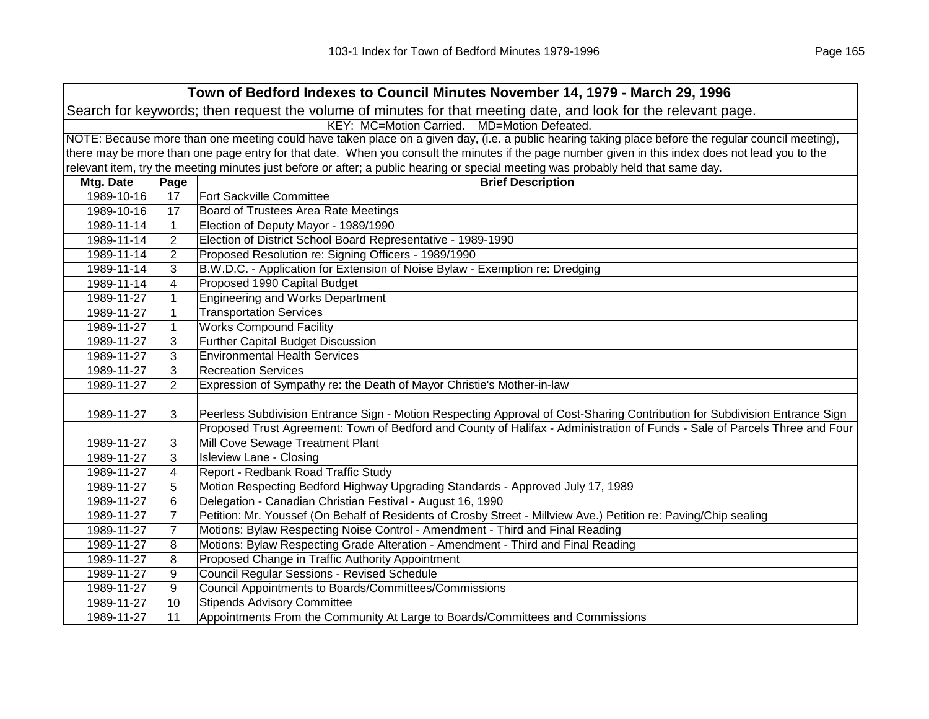|            | Town of Bedford Indexes to Council Minutes November 14, 1979 - March 29, 1996                                  |                                                                                                                                                                                                                                                          |  |  |
|------------|----------------------------------------------------------------------------------------------------------------|----------------------------------------------------------------------------------------------------------------------------------------------------------------------------------------------------------------------------------------------------------|--|--|
|            | Search for keywords; then request the volume of minutes for that meeting date, and look for the relevant page. |                                                                                                                                                                                                                                                          |  |  |
|            | KEY: MC=Motion Carried. MD=Motion Defeated.                                                                    |                                                                                                                                                                                                                                                          |  |  |
|            |                                                                                                                | NOTE: Because more than one meeting could have taken place on a given day, (i.e. a public hearing taking place before the regular council meeting),                                                                                                      |  |  |
|            |                                                                                                                | there may be more than one page entry for that date. When you consult the minutes if the page number given in this index does not lead you to the                                                                                                        |  |  |
|            |                                                                                                                | relevant item, try the meeting minutes just before or after; a public hearing or special meeting was probably held that same day.                                                                                                                        |  |  |
| Mtg. Date  | Page                                                                                                           | <b>Brief Description</b>                                                                                                                                                                                                                                 |  |  |
| 1989-10-16 | 17                                                                                                             | <b>Fort Sackville Committee</b>                                                                                                                                                                                                                          |  |  |
| 1989-10-16 | 17                                                                                                             | Board of Trustees Area Rate Meetings                                                                                                                                                                                                                     |  |  |
| 1989-11-14 | $\mathbf{1}$                                                                                                   | Election of Deputy Mayor - 1989/1990                                                                                                                                                                                                                     |  |  |
| 1989-11-14 | $\overline{2}$                                                                                                 | Election of District School Board Representative - 1989-1990                                                                                                                                                                                             |  |  |
| 1989-11-14 | $\overline{2}$                                                                                                 | Proposed Resolution re: Signing Officers - 1989/1990                                                                                                                                                                                                     |  |  |
| 1989-11-14 | 3                                                                                                              | B.W.D.C. - Application for Extension of Noise Bylaw - Exemption re: Dredging                                                                                                                                                                             |  |  |
| 1989-11-14 | 4                                                                                                              | Proposed 1990 Capital Budget                                                                                                                                                                                                                             |  |  |
| 1989-11-27 | $\mathbf{1}$                                                                                                   | <b>Engineering and Works Department</b>                                                                                                                                                                                                                  |  |  |
| 1989-11-27 | $\mathbf{1}$                                                                                                   | <b>Transportation Services</b>                                                                                                                                                                                                                           |  |  |
| 1989-11-27 | $\mathbf{1}$                                                                                                   | <b>Works Compound Facility</b>                                                                                                                                                                                                                           |  |  |
| 1989-11-27 | 3                                                                                                              | <b>Further Capital Budget Discussion</b>                                                                                                                                                                                                                 |  |  |
| 1989-11-27 | 3                                                                                                              | <b>Environmental Health Services</b>                                                                                                                                                                                                                     |  |  |
| 1989-11-27 | 3                                                                                                              | <b>Recreation Services</b>                                                                                                                                                                                                                               |  |  |
| 1989-11-27 | $\overline{2}$                                                                                                 | Expression of Sympathy re: the Death of Mayor Christie's Mother-in-law                                                                                                                                                                                   |  |  |
| 1989-11-27 | 3                                                                                                              | Peerless Subdivision Entrance Sign - Motion Respecting Approval of Cost-Sharing Contribution for Subdivision Entrance Sign<br>Proposed Trust Agreement: Town of Bedford and County of Halifax - Administration of Funds - Sale of Parcels Three and Four |  |  |
| 1989-11-27 | 3                                                                                                              | Mill Cove Sewage Treatment Plant                                                                                                                                                                                                                         |  |  |
| 1989-11-27 | 3                                                                                                              | <b>Isleview Lane - Closing</b>                                                                                                                                                                                                                           |  |  |
| 1989-11-27 | 4                                                                                                              | Report - Redbank Road Traffic Study                                                                                                                                                                                                                      |  |  |
| 1989-11-27 | 5                                                                                                              | Motion Respecting Bedford Highway Upgrading Standards - Approved July 17, 1989                                                                                                                                                                           |  |  |
| 1989-11-27 | 6                                                                                                              | Delegation - Canadian Christian Festival - August 16, 1990                                                                                                                                                                                               |  |  |
| 1989-11-27 | $\overline{7}$                                                                                                 | Petition: Mr. Youssef (On Behalf of Residents of Crosby Street - Millview Ave.) Petition re: Paving/Chip sealing                                                                                                                                         |  |  |
| 1989-11-27 | $\overline{7}$                                                                                                 | Motions: Bylaw Respecting Noise Control - Amendment - Third and Final Reading                                                                                                                                                                            |  |  |
| 1989-11-27 | 8                                                                                                              | Motions: Bylaw Respecting Grade Alteration - Amendment - Third and Final Reading                                                                                                                                                                         |  |  |
| 1989-11-27 | 8                                                                                                              | Proposed Change in Traffic Authority Appointment                                                                                                                                                                                                         |  |  |
| 1989-11-27 | 9                                                                                                              | <b>Council Regular Sessions - Revised Schedule</b>                                                                                                                                                                                                       |  |  |
| 1989-11-27 | 9                                                                                                              | Council Appointments to Boards/Committees/Commissions                                                                                                                                                                                                    |  |  |
| 1989-11-27 | 10                                                                                                             | <b>Stipends Advisory Committee</b>                                                                                                                                                                                                                       |  |  |
| 1989-11-27 | 11                                                                                                             | Appointments From the Community At Large to Boards/Committees and Commissions                                                                                                                                                                            |  |  |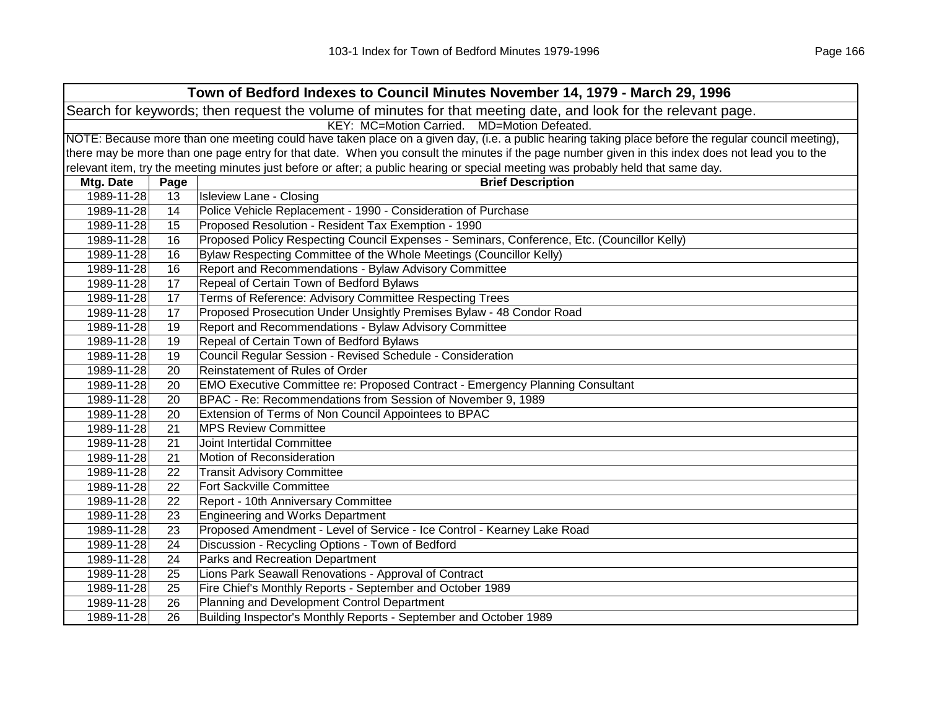| Town of Bedford Indexes to Council Minutes November 14, 1979 - March 29, 1996 |                                             |                                                                                                                                                     |  |  |  |
|-------------------------------------------------------------------------------|---------------------------------------------|-----------------------------------------------------------------------------------------------------------------------------------------------------|--|--|--|
|                                                                               |                                             | Search for keywords; then request the volume of minutes for that meeting date, and look for the relevant page.                                      |  |  |  |
|                                                                               | KEY: MC=Motion Carried. MD=Motion Defeated. |                                                                                                                                                     |  |  |  |
|                                                                               |                                             | NOTE: Because more than one meeting could have taken place on a given day, (i.e. a public hearing taking place before the regular council meeting), |  |  |  |
|                                                                               |                                             | there may be more than one page entry for that date. When you consult the minutes if the page number given in this index does not lead you to the   |  |  |  |
|                                                                               |                                             | relevant item, try the meeting minutes just before or after; a public hearing or special meeting was probably held that same day.                   |  |  |  |
| Mtg. Date                                                                     | Page                                        | <b>Brief Description</b>                                                                                                                            |  |  |  |
| 1989-11-28                                                                    | 13                                          | <b>Isleview Lane - Closing</b>                                                                                                                      |  |  |  |
| 1989-11-28                                                                    | 14                                          | Police Vehicle Replacement - 1990 - Consideration of Purchase                                                                                       |  |  |  |
| 1989-11-28                                                                    | 15                                          | Proposed Resolution - Resident Tax Exemption - 1990                                                                                                 |  |  |  |
| 1989-11-28                                                                    | 16                                          | Proposed Policy Respecting Council Expenses - Seminars, Conference, Etc. (Councillor Kelly)                                                         |  |  |  |
| 1989-11-28                                                                    | 16                                          | Bylaw Respecting Committee of the Whole Meetings (Councillor Kelly)                                                                                 |  |  |  |
| 1989-11-28                                                                    | 16                                          | Report and Recommendations - Bylaw Advisory Committee                                                                                               |  |  |  |
| 1989-11-28                                                                    | 17                                          | Repeal of Certain Town of Bedford Bylaws                                                                                                            |  |  |  |
| 1989-11-28                                                                    | 17                                          | Terms of Reference: Advisory Committee Respecting Trees                                                                                             |  |  |  |
| 1989-11-28                                                                    | 17                                          | Proposed Prosecution Under Unsightly Premises Bylaw - 48 Condor Road                                                                                |  |  |  |
| 1989-11-28                                                                    | 19                                          | Report and Recommendations - Bylaw Advisory Committee                                                                                               |  |  |  |
| 1989-11-28                                                                    | 19                                          | Repeal of Certain Town of Bedford Bylaws                                                                                                            |  |  |  |
| 1989-11-28                                                                    | 19                                          | Council Regular Session - Revised Schedule - Consideration                                                                                          |  |  |  |
| 1989-11-28                                                                    | 20                                          | Reinstatement of Rules of Order                                                                                                                     |  |  |  |
| 1989-11-28                                                                    | 20                                          | EMO Executive Committee re: Proposed Contract - Emergency Planning Consultant                                                                       |  |  |  |
| 1989-11-28                                                                    | 20                                          | BPAC - Re: Recommendations from Session of November 9, 1989                                                                                         |  |  |  |
| 1989-11-28                                                                    | 20                                          | Extension of Terms of Non Council Appointees to BPAC                                                                                                |  |  |  |
| 1989-11-28                                                                    | 21                                          | <b>MPS Review Committee</b>                                                                                                                         |  |  |  |
| 1989-11-28                                                                    | 21                                          | Joint Intertidal Committee                                                                                                                          |  |  |  |
| 1989-11-28                                                                    | 21                                          | Motion of Reconsideration                                                                                                                           |  |  |  |
| 1989-11-28                                                                    | 22                                          | <b>Transit Advisory Committee</b>                                                                                                                   |  |  |  |
| 1989-11-28                                                                    | 22                                          | Fort Sackville Committee                                                                                                                            |  |  |  |
| 1989-11-28                                                                    | 22                                          | Report - 10th Anniversary Committee                                                                                                                 |  |  |  |
| 1989-11-28                                                                    | 23                                          | <b>Engineering and Works Department</b>                                                                                                             |  |  |  |
| 1989-11-28                                                                    | 23                                          | Proposed Amendment - Level of Service - Ice Control - Kearney Lake Road                                                                             |  |  |  |
| 1989-11-28                                                                    | 24                                          | Discussion - Recycling Options - Town of Bedford                                                                                                    |  |  |  |
| 1989-11-28                                                                    | 24                                          | Parks and Recreation Department                                                                                                                     |  |  |  |
| 1989-11-28                                                                    | 25                                          | Lions Park Seawall Renovations - Approval of Contract                                                                                               |  |  |  |
| 1989-11-28                                                                    | 25                                          | Fire Chief's Monthly Reports - September and October 1989                                                                                           |  |  |  |
| 1989-11-28                                                                    | 26                                          | Planning and Development Control Department                                                                                                         |  |  |  |
| 1989-11-28                                                                    | 26                                          | Building Inspector's Monthly Reports - September and October 1989                                                                                   |  |  |  |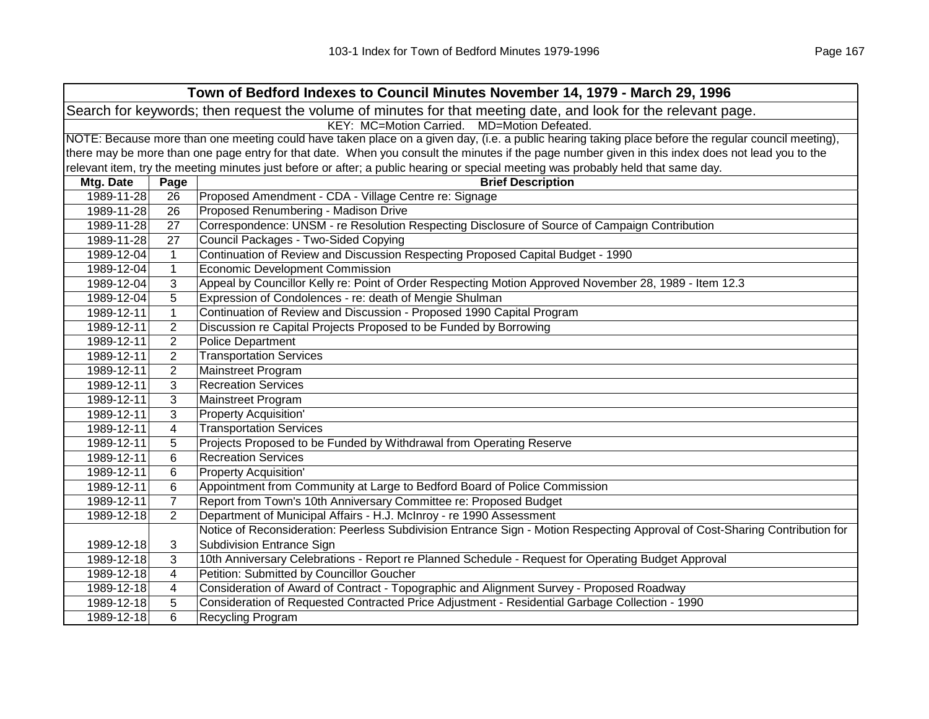|                                                                                                                                                     | Town of Bedford Indexes to Council Minutes November 14, 1979 - March 29, 1996 |                                                                                                                                                   |  |  |  |
|-----------------------------------------------------------------------------------------------------------------------------------------------------|-------------------------------------------------------------------------------|---------------------------------------------------------------------------------------------------------------------------------------------------|--|--|--|
| Search for keywords; then request the volume of minutes for that meeting date, and look for the relevant page.                                      |                                                                               |                                                                                                                                                   |  |  |  |
|                                                                                                                                                     | KEY: MC=Motion Carried. MD=Motion Defeated.                                   |                                                                                                                                                   |  |  |  |
| NOTE: Because more than one meeting could have taken place on a given day, (i.e. a public hearing taking place before the regular council meeting), |                                                                               |                                                                                                                                                   |  |  |  |
|                                                                                                                                                     |                                                                               | there may be more than one page entry for that date. When you consult the minutes if the page number given in this index does not lead you to the |  |  |  |
|                                                                                                                                                     |                                                                               | relevant item, try the meeting minutes just before or after; a public hearing or special meeting was probably held that same day.                 |  |  |  |
| Mtg. Date                                                                                                                                           | Page                                                                          | <b>Brief Description</b>                                                                                                                          |  |  |  |
| 1989-11-28                                                                                                                                          | 26                                                                            | Proposed Amendment - CDA - Village Centre re: Signage                                                                                             |  |  |  |
| 1989-11-28                                                                                                                                          | 26                                                                            | Proposed Renumbering - Madison Drive                                                                                                              |  |  |  |
| 1989-11-28                                                                                                                                          | 27                                                                            | Correspondence: UNSM - re Resolution Respecting Disclosure of Source of Campaign Contribution                                                     |  |  |  |
| 1989-11-28                                                                                                                                          | 27                                                                            | Council Packages - Two-Sided Copying                                                                                                              |  |  |  |
| 1989-12-04                                                                                                                                          | $\mathbf{1}$                                                                  | Continuation of Review and Discussion Respecting Proposed Capital Budget - 1990                                                                   |  |  |  |
| 1989-12-04                                                                                                                                          | $\mathbf{1}$                                                                  | <b>Economic Development Commission</b>                                                                                                            |  |  |  |
| 1989-12-04                                                                                                                                          | 3                                                                             | Appeal by Councillor Kelly re: Point of Order Respecting Motion Approved November 28, 1989 - Item 12.3                                            |  |  |  |
| 1989-12-04                                                                                                                                          | 5                                                                             | Expression of Condolences - re: death of Mengie Shulman                                                                                           |  |  |  |
| 1989-12-11                                                                                                                                          | $\mathbf{1}$                                                                  | Continuation of Review and Discussion - Proposed 1990 Capital Program                                                                             |  |  |  |
| 1989-12-11                                                                                                                                          | $\overline{2}$                                                                | Discussion re Capital Projects Proposed to be Funded by Borrowing                                                                                 |  |  |  |
| 1989-12-11                                                                                                                                          | $\overline{2}$                                                                | <b>Police Department</b>                                                                                                                          |  |  |  |
| 1989-12-11                                                                                                                                          | 2                                                                             | <b>Transportation Services</b>                                                                                                                    |  |  |  |
| 1989-12-11                                                                                                                                          | $\overline{2}$                                                                | Mainstreet Program                                                                                                                                |  |  |  |
| 1989-12-11                                                                                                                                          | 3                                                                             | <b>Recreation Services</b>                                                                                                                        |  |  |  |
| 1989-12-11                                                                                                                                          | 3                                                                             | Mainstreet Program                                                                                                                                |  |  |  |
| 1989-12-11                                                                                                                                          | 3                                                                             | <b>Property Acquisition'</b>                                                                                                                      |  |  |  |
| 1989-12-11                                                                                                                                          | 4                                                                             | <b>Transportation Services</b>                                                                                                                    |  |  |  |
| 1989-12-11                                                                                                                                          | 5                                                                             | Projects Proposed to be Funded by Withdrawal from Operating Reserve                                                                               |  |  |  |
| 1989-12-11                                                                                                                                          | 6                                                                             | <b>Recreation Services</b>                                                                                                                        |  |  |  |
| 1989-12-11                                                                                                                                          | 6                                                                             | <b>Property Acquisition'</b>                                                                                                                      |  |  |  |
| 1989-12-11                                                                                                                                          | 6                                                                             | Appointment from Community at Large to Bedford Board of Police Commission                                                                         |  |  |  |
| 1989-12-11                                                                                                                                          | $\overline{7}$                                                                | Report from Town's 10th Anniversary Committee re: Proposed Budget                                                                                 |  |  |  |
| 1989-12-18                                                                                                                                          | $\overline{2}$                                                                | Department of Municipal Affairs - H.J. McInroy - re 1990 Assessment                                                                               |  |  |  |
|                                                                                                                                                     |                                                                               | Notice of Reconsideration: Peerless Subdivision Entrance Sign - Motion Respecting Approval of Cost-Sharing Contribution for                       |  |  |  |
| 1989-12-18                                                                                                                                          | 3                                                                             | <b>Subdivision Entrance Sign</b>                                                                                                                  |  |  |  |
| 1989-12-18                                                                                                                                          | 3                                                                             | 10th Anniversary Celebrations - Report re Planned Schedule - Request for Operating Budget Approval                                                |  |  |  |
| 1989-12-18                                                                                                                                          | $\overline{4}$                                                                | Petition: Submitted by Councillor Goucher                                                                                                         |  |  |  |
| 1989-12-18                                                                                                                                          | $\overline{\mathcal{A}}$                                                      | Consideration of Award of Contract - Topographic and Alignment Survey - Proposed Roadway                                                          |  |  |  |
| 1989-12-18                                                                                                                                          | 5                                                                             | Consideration of Requested Contracted Price Adjustment - Residential Garbage Collection - 1990                                                    |  |  |  |
| 1989-12-18                                                                                                                                          | 6                                                                             | Recycling Program                                                                                                                                 |  |  |  |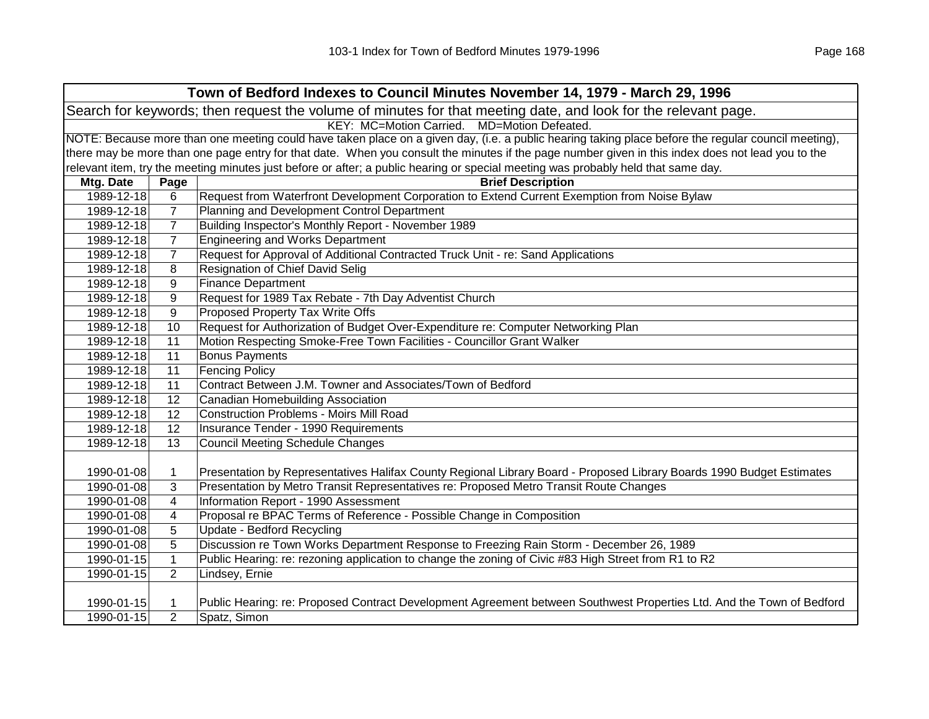|            | Town of Bedford Indexes to Council Minutes November 14, 1979 - March 29, 1996                                                                       |                                                                                                                                                   |  |  |
|------------|-----------------------------------------------------------------------------------------------------------------------------------------------------|---------------------------------------------------------------------------------------------------------------------------------------------------|--|--|
|            | Search for keywords; then request the volume of minutes for that meeting date, and look for the relevant page.                                      |                                                                                                                                                   |  |  |
|            | KEY: MC=Motion Carried. MD=Motion Defeated.                                                                                                         |                                                                                                                                                   |  |  |
|            | NOTE: Because more than one meeting could have taken place on a given day, (i.e. a public hearing taking place before the regular council meeting), |                                                                                                                                                   |  |  |
|            |                                                                                                                                                     | there may be more than one page entry for that date. When you consult the minutes if the page number given in this index does not lead you to the |  |  |
|            |                                                                                                                                                     | relevant item, try the meeting minutes just before or after; a public hearing or special meeting was probably held that same day.                 |  |  |
| Mtg. Date  | Page                                                                                                                                                | <b>Brief Description</b>                                                                                                                          |  |  |
| 1989-12-18 | 6                                                                                                                                                   | Request from Waterfront Development Corporation to Extend Current Exemption from Noise Bylaw                                                      |  |  |
| 1989-12-18 | $\overline{7}$                                                                                                                                      | Planning and Development Control Department                                                                                                       |  |  |
| 1989-12-18 | $\overline{7}$                                                                                                                                      | Building Inspector's Monthly Report - November 1989                                                                                               |  |  |
| 1989-12-18 | $\overline{7}$                                                                                                                                      | <b>Engineering and Works Department</b>                                                                                                           |  |  |
| 1989-12-18 | $\overline{7}$                                                                                                                                      | Request for Approval of Additional Contracted Truck Unit - re: Sand Applications                                                                  |  |  |
| 1989-12-18 | 8                                                                                                                                                   | Resignation of Chief David Selig                                                                                                                  |  |  |
| 1989-12-18 | 9                                                                                                                                                   | <b>Finance Department</b>                                                                                                                         |  |  |
| 1989-12-18 | 9                                                                                                                                                   | Request for 1989 Tax Rebate - 7th Day Adventist Church                                                                                            |  |  |
| 1989-12-18 | 9                                                                                                                                                   | Proposed Property Tax Write Offs                                                                                                                  |  |  |
| 1989-12-18 | 10                                                                                                                                                  | Request for Authorization of Budget Over-Expenditure re: Computer Networking Plan                                                                 |  |  |
| 1989-12-18 | 11                                                                                                                                                  | Motion Respecting Smoke-Free Town Facilities - Councillor Grant Walker                                                                            |  |  |
| 1989-12-18 | 11                                                                                                                                                  | <b>Bonus Payments</b>                                                                                                                             |  |  |
| 1989-12-18 | 11                                                                                                                                                  | <b>Fencing Policy</b>                                                                                                                             |  |  |
| 1989-12-18 | 11                                                                                                                                                  | Contract Between J.M. Towner and Associates/Town of Bedford                                                                                       |  |  |
| 1989-12-18 | 12                                                                                                                                                  | Canadian Homebuilding Association                                                                                                                 |  |  |
| 1989-12-18 | 12                                                                                                                                                  | <b>Construction Problems - Moirs Mill Road</b>                                                                                                    |  |  |
| 1989-12-18 | 12                                                                                                                                                  | <b>Insurance Tender - 1990 Requirements</b>                                                                                                       |  |  |
| 1989-12-18 | 13                                                                                                                                                  | <b>Council Meeting Schedule Changes</b>                                                                                                           |  |  |
|            |                                                                                                                                                     |                                                                                                                                                   |  |  |
| 1990-01-08 | $\mathbf 1$                                                                                                                                         | Presentation by Representatives Halifax County Regional Library Board - Proposed Library Boards 1990 Budget Estimates                             |  |  |
| 1990-01-08 | 3                                                                                                                                                   | Presentation by Metro Transit Representatives re: Proposed Metro Transit Route Changes                                                            |  |  |
| 1990-01-08 | 4                                                                                                                                                   | Information Report - 1990 Assessment                                                                                                              |  |  |
| 1990-01-08 | 4                                                                                                                                                   | Proposal re BPAC Terms of Reference - Possible Change in Composition                                                                              |  |  |
| 1990-01-08 | 5                                                                                                                                                   | Update - Bedford Recycling                                                                                                                        |  |  |
| 1990-01-08 | 5                                                                                                                                                   | Discussion re Town Works Department Response to Freezing Rain Storm - December 26, 1989                                                           |  |  |
| 1990-01-15 | $\mathbf{1}$                                                                                                                                        | Public Hearing: re: rezoning application to change the zoning of Civic #83 High Street from R1 to R2                                              |  |  |
| 1990-01-15 | $\overline{2}$                                                                                                                                      | Lindsey, Ernie                                                                                                                                    |  |  |
|            |                                                                                                                                                     |                                                                                                                                                   |  |  |
| 1990-01-15 | 1                                                                                                                                                   | Public Hearing: re: Proposed Contract Development Agreement between Southwest Properties Ltd. And the Town of Bedford                             |  |  |
| 1990-01-15 | $\overline{2}$                                                                                                                                      | Spatz, Simon                                                                                                                                      |  |  |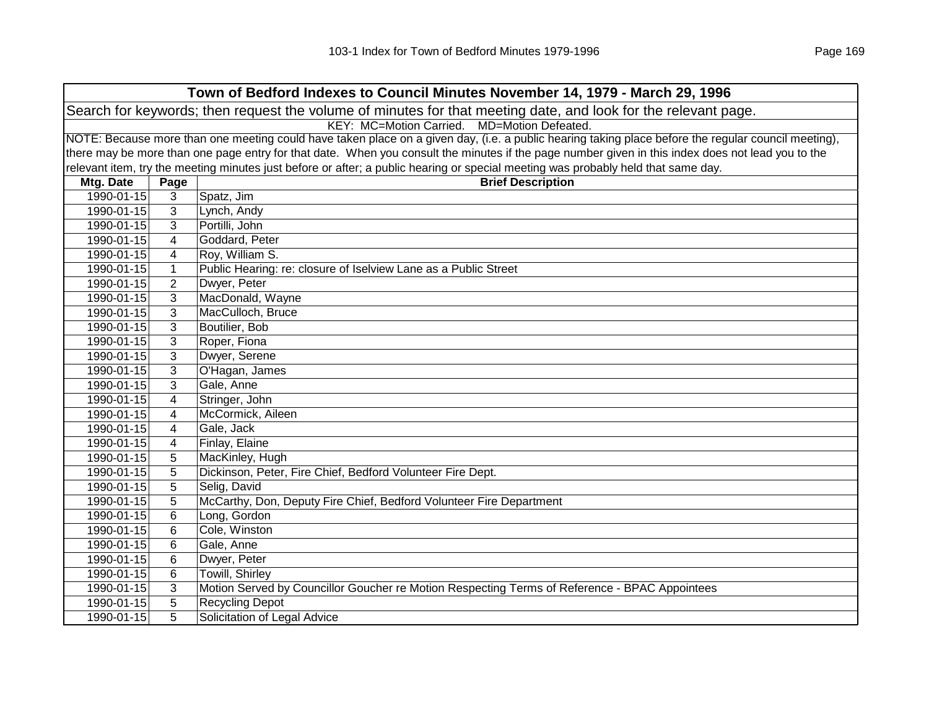| Town of Bedford Indexes to Council Minutes November 14, 1979 - March 29, 1996 |                                                                                                                |                                                                                                                                                     |  |  |  |
|-------------------------------------------------------------------------------|----------------------------------------------------------------------------------------------------------------|-----------------------------------------------------------------------------------------------------------------------------------------------------|--|--|--|
|                                                                               | Search for keywords; then request the volume of minutes for that meeting date, and look for the relevant page. |                                                                                                                                                     |  |  |  |
|                                                                               | KEY: MC=Motion Carried. MD=Motion Defeated.                                                                    |                                                                                                                                                     |  |  |  |
|                                                                               |                                                                                                                | NOTE: Because more than one meeting could have taken place on a given day, (i.e. a public hearing taking place before the regular council meeting), |  |  |  |
|                                                                               |                                                                                                                | there may be more than one page entry for that date. When you consult the minutes if the page number given in this index does not lead you to the   |  |  |  |
|                                                                               |                                                                                                                | relevant item, try the meeting minutes just before or after; a public hearing or special meeting was probably held that same day.                   |  |  |  |
| Mtg. Date                                                                     | Page                                                                                                           | <b>Brief Description</b>                                                                                                                            |  |  |  |
| 1990-01-15                                                                    | 3                                                                                                              | Spatz, Jim                                                                                                                                          |  |  |  |
| 1990-01-15                                                                    | 3                                                                                                              | Lynch, Andy                                                                                                                                         |  |  |  |
| 1990-01-15                                                                    | 3                                                                                                              | Portilli, John                                                                                                                                      |  |  |  |
| 1990-01-15                                                                    | $\overline{4}$                                                                                                 | Goddard, Peter                                                                                                                                      |  |  |  |
| 1990-01-15                                                                    | 4                                                                                                              | Roy, William S.                                                                                                                                     |  |  |  |
| 1990-01-15                                                                    | $\mathbf{1}$                                                                                                   | Public Hearing: re: closure of Iselview Lane as a Public Street                                                                                     |  |  |  |
| 1990-01-15                                                                    | $\overline{2}$                                                                                                 | Dwyer, Peter                                                                                                                                        |  |  |  |
| 1990-01-15                                                                    | 3                                                                                                              | MacDonald, Wayne                                                                                                                                    |  |  |  |
| 1990-01-15                                                                    | 3                                                                                                              | MacCulloch, Bruce                                                                                                                                   |  |  |  |
| 1990-01-15                                                                    | 3                                                                                                              | Boutilier, Bob                                                                                                                                      |  |  |  |
| 1990-01-15                                                                    | 3                                                                                                              | Roper, Fiona                                                                                                                                        |  |  |  |
| 1990-01-15                                                                    | 3                                                                                                              | Dwyer, Serene                                                                                                                                       |  |  |  |
| 1990-01-15                                                                    | 3                                                                                                              | O'Hagan, James                                                                                                                                      |  |  |  |
| 1990-01-15                                                                    | 3                                                                                                              | Gale, Anne                                                                                                                                          |  |  |  |
| 1990-01-15                                                                    | 4                                                                                                              | Stringer, John                                                                                                                                      |  |  |  |
| 1990-01-15                                                                    | 4                                                                                                              | McCormick, Aileen                                                                                                                                   |  |  |  |
| 1990-01-15                                                                    | 4                                                                                                              | Gale, Jack                                                                                                                                          |  |  |  |
| 1990-01-15                                                                    | 4                                                                                                              | Finlay, Elaine                                                                                                                                      |  |  |  |
| 1990-01-15                                                                    | 5                                                                                                              | MacKinley, Hugh                                                                                                                                     |  |  |  |
| 1990-01-15                                                                    | 5                                                                                                              | Dickinson, Peter, Fire Chief, Bedford Volunteer Fire Dept.                                                                                          |  |  |  |
| 1990-01-15                                                                    | 5                                                                                                              | Selig, David                                                                                                                                        |  |  |  |
| 1990-01-15                                                                    | 5                                                                                                              | McCarthy, Don, Deputy Fire Chief, Bedford Volunteer Fire Department                                                                                 |  |  |  |
| 1990-01-15                                                                    | $6\phantom{1}6$                                                                                                | Long, Gordon                                                                                                                                        |  |  |  |
| 1990-01-15                                                                    | 6                                                                                                              | Cole, Winston                                                                                                                                       |  |  |  |
| 1990-01-15                                                                    | 6                                                                                                              | Gale, Anne                                                                                                                                          |  |  |  |
| 1990-01-15                                                                    | $6\phantom{1}6$                                                                                                | Dwyer, Peter                                                                                                                                        |  |  |  |
| 1990-01-15                                                                    | 6                                                                                                              | Towill, Shirley                                                                                                                                     |  |  |  |
| 1990-01-15                                                                    | 3                                                                                                              | Motion Served by Councillor Goucher re Motion Respecting Terms of Reference - BPAC Appointees                                                       |  |  |  |
| 1990-01-15                                                                    | 5                                                                                                              | <b>Recycling Depot</b>                                                                                                                              |  |  |  |
| 1990-01-15                                                                    | 5                                                                                                              | Solicitation of Legal Advice                                                                                                                        |  |  |  |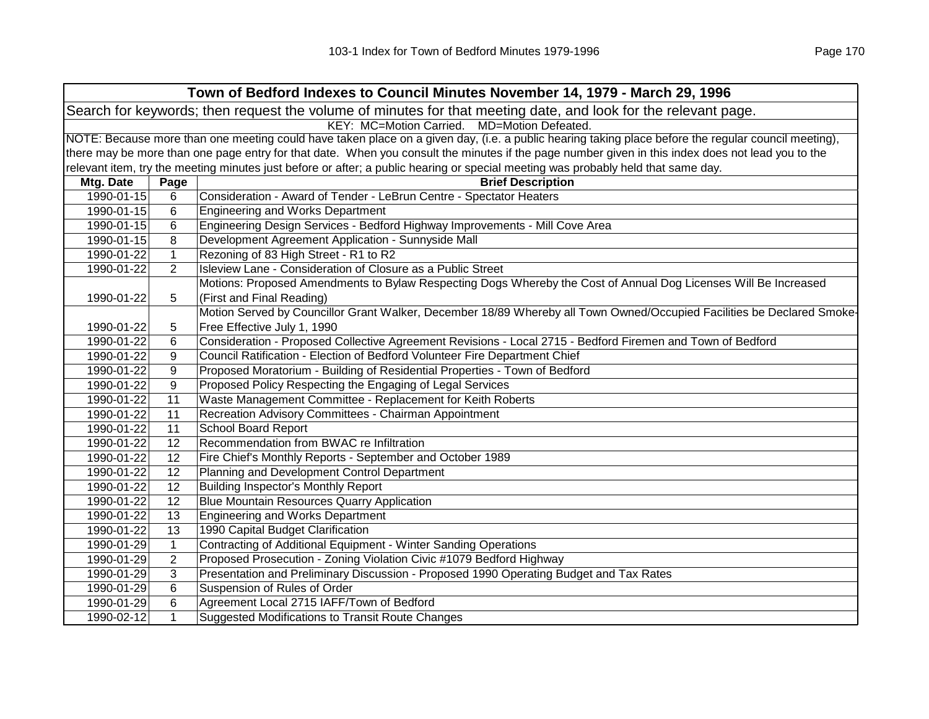|                                                                                                                | Town of Bedford Indexes to Council Minutes November 14, 1979 - March 29, 1996                                                                       |                                                                                                                                   |  |  |  |
|----------------------------------------------------------------------------------------------------------------|-----------------------------------------------------------------------------------------------------------------------------------------------------|-----------------------------------------------------------------------------------------------------------------------------------|--|--|--|
| Search for keywords; then request the volume of minutes for that meeting date, and look for the relevant page. |                                                                                                                                                     |                                                                                                                                   |  |  |  |
|                                                                                                                | KEY: MC=Motion Carried. MD=Motion Defeated.                                                                                                         |                                                                                                                                   |  |  |  |
|                                                                                                                | NOTE: Because more than one meeting could have taken place on a given day, (i.e. a public hearing taking place before the regular council meeting), |                                                                                                                                   |  |  |  |
|                                                                                                                | there may be more than one page entry for that date. When you consult the minutes if the page number given in this index does not lead you to the   |                                                                                                                                   |  |  |  |
|                                                                                                                |                                                                                                                                                     | relevant item, try the meeting minutes just before or after; a public hearing or special meeting was probably held that same day. |  |  |  |
| Mtg. Date                                                                                                      | Page                                                                                                                                                | <b>Brief Description</b>                                                                                                          |  |  |  |
| 1990-01-15                                                                                                     | 6                                                                                                                                                   | Consideration - Award of Tender - LeBrun Centre - Spectator Heaters                                                               |  |  |  |
| 1990-01-15                                                                                                     | 6                                                                                                                                                   | <b>Engineering and Works Department</b>                                                                                           |  |  |  |
| 1990-01-15                                                                                                     | 6                                                                                                                                                   | Engineering Design Services - Bedford Highway Improvements - Mill Cove Area                                                       |  |  |  |
| 1990-01-15                                                                                                     | 8                                                                                                                                                   | Development Agreement Application - Sunnyside Mall                                                                                |  |  |  |
| 1990-01-22                                                                                                     | $\mathbf{1}$                                                                                                                                        | Rezoning of 83 High Street - R1 to R2                                                                                             |  |  |  |
| 1990-01-22                                                                                                     | 2                                                                                                                                                   | Isleview Lane - Consideration of Closure as a Public Street                                                                       |  |  |  |
|                                                                                                                |                                                                                                                                                     | Motions: Proposed Amendments to Bylaw Respecting Dogs Whereby the Cost of Annual Dog Licenses Will Be Increased                   |  |  |  |
| 1990-01-22                                                                                                     | 5                                                                                                                                                   | (First and Final Reading)                                                                                                         |  |  |  |
|                                                                                                                |                                                                                                                                                     | Motion Served by Councillor Grant Walker, December 18/89 Whereby all Town Owned/Occupied Facilities be Declared Smoke-            |  |  |  |
| 1990-01-22                                                                                                     | 5                                                                                                                                                   | Free Effective July 1, 1990                                                                                                       |  |  |  |
| 1990-01-22                                                                                                     | 6                                                                                                                                                   | Consideration - Proposed Collective Agreement Revisions - Local 2715 - Bedford Firemen and Town of Bedford                        |  |  |  |
| 1990-01-22                                                                                                     | 9                                                                                                                                                   | Council Ratification - Election of Bedford Volunteer Fire Department Chief                                                        |  |  |  |
| 1990-01-22                                                                                                     | 9                                                                                                                                                   | Proposed Moratorium - Building of Residential Properties - Town of Bedford                                                        |  |  |  |
| 1990-01-22                                                                                                     | 9                                                                                                                                                   | Proposed Policy Respecting the Engaging of Legal Services                                                                         |  |  |  |
| 1990-01-22                                                                                                     | 11                                                                                                                                                  | Waste Management Committee - Replacement for Keith Roberts                                                                        |  |  |  |
| 1990-01-22                                                                                                     | 11                                                                                                                                                  | Recreation Advisory Committees - Chairman Appointment                                                                             |  |  |  |
| 1990-01-22                                                                                                     | 11                                                                                                                                                  | <b>School Board Report</b>                                                                                                        |  |  |  |
| 1990-01-22                                                                                                     | 12                                                                                                                                                  | Recommendation from BWAC re Infiltration                                                                                          |  |  |  |
| 1990-01-22                                                                                                     | 12                                                                                                                                                  | Fire Chief's Monthly Reports - September and October 1989                                                                         |  |  |  |
| 1990-01-22                                                                                                     | 12                                                                                                                                                  | Planning and Development Control Department                                                                                       |  |  |  |
| 1990-01-22                                                                                                     | 12                                                                                                                                                  | Building Inspector's Monthly Report                                                                                               |  |  |  |
| 1990-01-22                                                                                                     | 12                                                                                                                                                  | <b>Blue Mountain Resources Quarry Application</b>                                                                                 |  |  |  |
| 1990-01-22                                                                                                     | 13                                                                                                                                                  | <b>Engineering and Works Department</b>                                                                                           |  |  |  |
| 1990-01-22                                                                                                     | 13                                                                                                                                                  | 1990 Capital Budget Clarification                                                                                                 |  |  |  |
| 1990-01-29                                                                                                     | $\mathbf{1}$                                                                                                                                        | Contracting of Additional Equipment - Winter Sanding Operations                                                                   |  |  |  |
| 1990-01-29                                                                                                     | 2                                                                                                                                                   | Proposed Prosecution - Zoning Violation Civic #1079 Bedford Highway                                                               |  |  |  |
| 1990-01-29                                                                                                     | 3                                                                                                                                                   | Presentation and Preliminary Discussion - Proposed 1990 Operating Budget and Tax Rates                                            |  |  |  |
| 1990-01-29                                                                                                     | 6                                                                                                                                                   | Suspension of Rules of Order                                                                                                      |  |  |  |
| 1990-01-29                                                                                                     | 6                                                                                                                                                   | Agreement Local 2715 IAFF/Town of Bedford                                                                                         |  |  |  |
| 1990-02-12                                                                                                     | 1                                                                                                                                                   | Suggested Modifications to Transit Route Changes                                                                                  |  |  |  |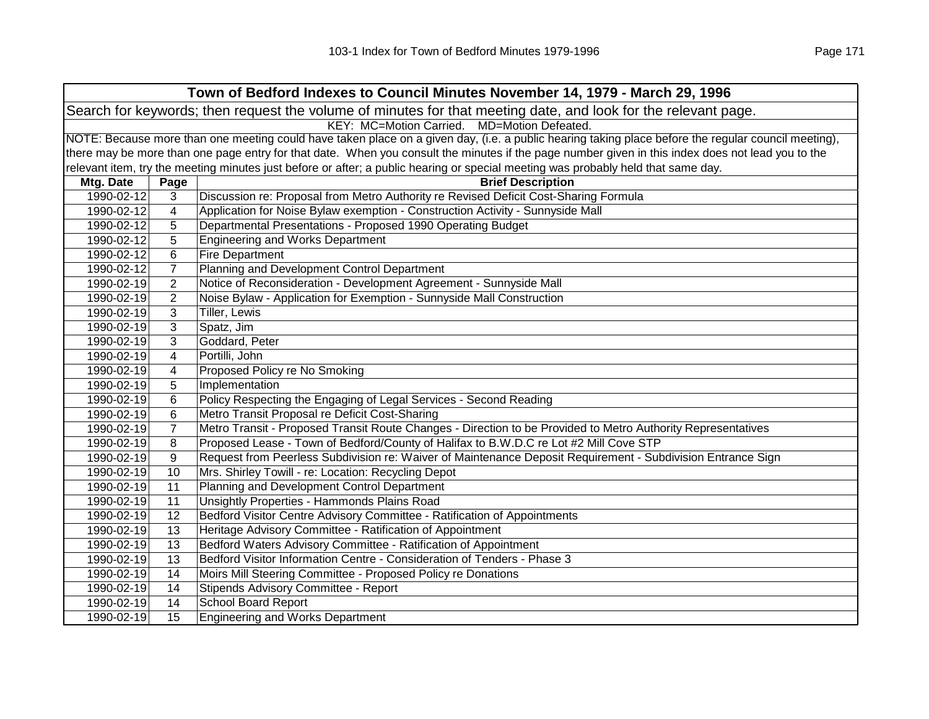| Town of Bedford Indexes to Council Minutes November 14, 1979 - March 29, 1996                                  |                                                                                                                                                     |                                                                                                                                                   |  |  |  |
|----------------------------------------------------------------------------------------------------------------|-----------------------------------------------------------------------------------------------------------------------------------------------------|---------------------------------------------------------------------------------------------------------------------------------------------------|--|--|--|
| Search for keywords; then request the volume of minutes for that meeting date, and look for the relevant page. |                                                                                                                                                     |                                                                                                                                                   |  |  |  |
|                                                                                                                | KEY: MC=Motion Carried. MD=Motion Defeated.                                                                                                         |                                                                                                                                                   |  |  |  |
|                                                                                                                | NOTE: Because more than one meeting could have taken place on a given day, (i.e. a public hearing taking place before the regular council meeting), |                                                                                                                                                   |  |  |  |
|                                                                                                                |                                                                                                                                                     | there may be more than one page entry for that date. When you consult the minutes if the page number given in this index does not lead you to the |  |  |  |
|                                                                                                                |                                                                                                                                                     | relevant item, try the meeting minutes just before or after; a public hearing or special meeting was probably held that same day.                 |  |  |  |
| Mtg. Date                                                                                                      | Page                                                                                                                                                | <b>Brief Description</b>                                                                                                                          |  |  |  |
| 1990-02-12                                                                                                     | 3                                                                                                                                                   | Discussion re: Proposal from Metro Authority re Revised Deficit Cost-Sharing Formula                                                              |  |  |  |
| 1990-02-12                                                                                                     | 4                                                                                                                                                   | Application for Noise Bylaw exemption - Construction Activity - Sunnyside Mall                                                                    |  |  |  |
| 1990-02-12                                                                                                     | 5                                                                                                                                                   | Departmental Presentations - Proposed 1990 Operating Budget                                                                                       |  |  |  |
| 1990-02-12                                                                                                     | 5                                                                                                                                                   | <b>Engineering and Works Department</b>                                                                                                           |  |  |  |
| 1990-02-12                                                                                                     | 6                                                                                                                                                   | <b>Fire Department</b>                                                                                                                            |  |  |  |
| 1990-02-12                                                                                                     | $\overline{7}$                                                                                                                                      | Planning and Development Control Department                                                                                                       |  |  |  |
| 1990-02-19                                                                                                     | 2                                                                                                                                                   | Notice of Reconsideration - Development Agreement - Sunnyside Mall                                                                                |  |  |  |
| 1990-02-19                                                                                                     | $\overline{2}$                                                                                                                                      | Noise Bylaw - Application for Exemption - Sunnyside Mall Construction                                                                             |  |  |  |
| 1990-02-19                                                                                                     | 3                                                                                                                                                   | Tiller, Lewis                                                                                                                                     |  |  |  |
| 1990-02-19                                                                                                     | 3                                                                                                                                                   | Spatz, Jim                                                                                                                                        |  |  |  |
| 1990-02-19                                                                                                     | 3                                                                                                                                                   | Goddard, Peter                                                                                                                                    |  |  |  |
| 1990-02-19                                                                                                     | 4                                                                                                                                                   | Portilli, John                                                                                                                                    |  |  |  |
| 1990-02-19                                                                                                     | $\overline{4}$                                                                                                                                      | Proposed Policy re No Smoking                                                                                                                     |  |  |  |
| 1990-02-19                                                                                                     | 5                                                                                                                                                   | Implementation                                                                                                                                    |  |  |  |
| 1990-02-19                                                                                                     | 6                                                                                                                                                   | Policy Respecting the Engaging of Legal Services - Second Reading                                                                                 |  |  |  |
| 1990-02-19                                                                                                     | 6                                                                                                                                                   | Metro Transit Proposal re Deficit Cost-Sharing                                                                                                    |  |  |  |
| 1990-02-19                                                                                                     | $\overline{7}$                                                                                                                                      | Metro Transit - Proposed Transit Route Changes - Direction to be Provided to Metro Authority Representatives                                      |  |  |  |
| 1990-02-19                                                                                                     | 8                                                                                                                                                   | Proposed Lease - Town of Bedford/County of Halifax to B.W.D.C re Lot #2 Mill Cove STP                                                             |  |  |  |
| 1990-02-19                                                                                                     | 9                                                                                                                                                   | Request from Peerless Subdivision re: Waiver of Maintenance Deposit Requirement - Subdivision Entrance Sign                                       |  |  |  |
| 1990-02-19                                                                                                     | 10                                                                                                                                                  | Mrs. Shirley Towill - re: Location: Recycling Depot                                                                                               |  |  |  |
| 1990-02-19                                                                                                     | 11                                                                                                                                                  | Planning and Development Control Department                                                                                                       |  |  |  |
| 1990-02-19                                                                                                     | 11                                                                                                                                                  | Unsightly Properties - Hammonds Plains Road                                                                                                       |  |  |  |
| 1990-02-19                                                                                                     | 12                                                                                                                                                  | Bedford Visitor Centre Advisory Committee - Ratification of Appointments                                                                          |  |  |  |
| 1990-02-19                                                                                                     | 13                                                                                                                                                  | Heritage Advisory Committee - Ratification of Appointment                                                                                         |  |  |  |
| 1990-02-19                                                                                                     | 13                                                                                                                                                  | Bedford Waters Advisory Committee - Ratification of Appointment                                                                                   |  |  |  |
| 1990-02-19                                                                                                     | 13                                                                                                                                                  | Bedford Visitor Information Centre - Consideration of Tenders - Phase 3                                                                           |  |  |  |
| 1990-02-19                                                                                                     | 14                                                                                                                                                  | Moirs Mill Steering Committee - Proposed Policy re Donations                                                                                      |  |  |  |
| 1990-02-19                                                                                                     | 14                                                                                                                                                  | Stipends Advisory Committee - Report                                                                                                              |  |  |  |
| 1990-02-19                                                                                                     | 14                                                                                                                                                  | <b>School Board Report</b>                                                                                                                        |  |  |  |
| 1990-02-19                                                                                                     | 15                                                                                                                                                  | <b>Engineering and Works Department</b>                                                                                                           |  |  |  |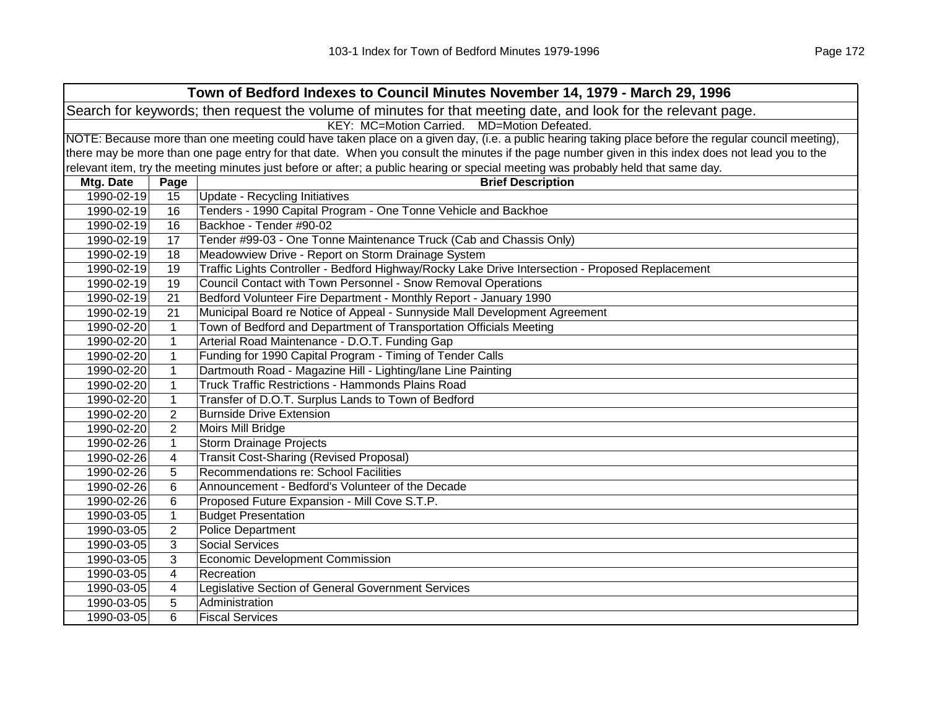| Town of Bedford Indexes to Council Minutes November 14, 1979 - March 29, 1996 |                                                                                                                |                                                                                                                                                     |  |  |
|-------------------------------------------------------------------------------|----------------------------------------------------------------------------------------------------------------|-----------------------------------------------------------------------------------------------------------------------------------------------------|--|--|
|                                                                               | Search for keywords; then request the volume of minutes for that meeting date, and look for the relevant page. |                                                                                                                                                     |  |  |
| KEY: MC=Motion Carried. MD=Motion Defeated.                                   |                                                                                                                |                                                                                                                                                     |  |  |
|                                                                               |                                                                                                                | NOTE: Because more than one meeting could have taken place on a given day, (i.e. a public hearing taking place before the regular council meeting), |  |  |
|                                                                               |                                                                                                                | there may be more than one page entry for that date. When you consult the minutes if the page number given in this index does not lead you to the   |  |  |
|                                                                               |                                                                                                                | relevant item, try the meeting minutes just before or after; a public hearing or special meeting was probably held that same day.                   |  |  |
| Mtg. Date                                                                     | Page                                                                                                           | <b>Brief Description</b>                                                                                                                            |  |  |
| 1990-02-19                                                                    | 15                                                                                                             | <b>Update - Recycling Initiatives</b>                                                                                                               |  |  |
| 1990-02-19                                                                    | 16                                                                                                             | Tenders - 1990 Capital Program - One Tonne Vehicle and Backhoe                                                                                      |  |  |
| 1990-02-19                                                                    | 16                                                                                                             | Backhoe - Tender #90-02                                                                                                                             |  |  |
| 1990-02-19                                                                    | 17                                                                                                             | Tender #99-03 - One Tonne Maintenance Truck (Cab and Chassis Only)                                                                                  |  |  |
| 1990-02-19                                                                    | 18                                                                                                             | Meadowview Drive - Report on Storm Drainage System                                                                                                  |  |  |
| 1990-02-19                                                                    | 19                                                                                                             | Traffic Lights Controller - Bedford Highway/Rocky Lake Drive Intersection - Proposed Replacement                                                    |  |  |
| 1990-02-19                                                                    | 19                                                                                                             | Council Contact with Town Personnel - Snow Removal Operations                                                                                       |  |  |
| 1990-02-19                                                                    | 21                                                                                                             | Bedford Volunteer Fire Department - Monthly Report - January 1990                                                                                   |  |  |
| 1990-02-19                                                                    | 21                                                                                                             | Municipal Board re Notice of Appeal - Sunnyside Mall Development Agreement                                                                          |  |  |
| 1990-02-20                                                                    | $\mathbf{1}$                                                                                                   | Town of Bedford and Department of Transportation Officials Meeting                                                                                  |  |  |
| 1990-02-20                                                                    | $\mathbf{1}$                                                                                                   | Arterial Road Maintenance - D.O.T. Funding Gap                                                                                                      |  |  |
| 1990-02-20                                                                    | $\mathbf{1}$                                                                                                   | Funding for 1990 Capital Program - Timing of Tender Calls                                                                                           |  |  |
| 1990-02-20                                                                    | $\mathbf{1}$                                                                                                   | Dartmouth Road - Magazine Hill - Lighting/lane Line Painting                                                                                        |  |  |
| 1990-02-20                                                                    | $\mathbf{1}$                                                                                                   | Truck Traffic Restrictions - Hammonds Plains Road                                                                                                   |  |  |
| 1990-02-20                                                                    | $\mathbf{1}$                                                                                                   | Transfer of D.O.T. Surplus Lands to Town of Bedford                                                                                                 |  |  |
| 1990-02-20                                                                    | $\overline{2}$                                                                                                 | <b>Burnside Drive Extension</b>                                                                                                                     |  |  |
| 1990-02-20                                                                    | $\overline{2}$                                                                                                 | Moirs Mill Bridge                                                                                                                                   |  |  |
| 1990-02-26                                                                    | $\mathbf{1}$                                                                                                   | <b>Storm Drainage Projects</b>                                                                                                                      |  |  |
| 1990-02-26                                                                    | 4                                                                                                              | <b>Transit Cost-Sharing (Revised Proposal)</b>                                                                                                      |  |  |
| 1990-02-26                                                                    | 5                                                                                                              | Recommendations re: School Facilities                                                                                                               |  |  |
| 1990-02-26                                                                    | 6                                                                                                              | Announcement - Bedford's Volunteer of the Decade                                                                                                    |  |  |
| 1990-02-26                                                                    | 6                                                                                                              | Proposed Future Expansion - Mill Cove S.T.P.                                                                                                        |  |  |
| 1990-03-05                                                                    | $\mathbf{1}$                                                                                                   | <b>Budget Presentation</b>                                                                                                                          |  |  |
| 1990-03-05                                                                    | $\overline{2}$                                                                                                 | <b>Police Department</b>                                                                                                                            |  |  |
| 1990-03-05                                                                    | 3                                                                                                              | <b>Social Services</b>                                                                                                                              |  |  |
| 1990-03-05                                                                    | 3                                                                                                              | <b>Economic Development Commission</b>                                                                                                              |  |  |
| 1990-03-05                                                                    | $\overline{\mathbf{4}}$                                                                                        | Recreation                                                                                                                                          |  |  |
| 1990-03-05                                                                    | $\overline{\mathbf{4}}$                                                                                        | Legislative Section of General Government Services                                                                                                  |  |  |
| 1990-03-05                                                                    | 5                                                                                                              | Administration                                                                                                                                      |  |  |
| 1990-03-05                                                                    | 6                                                                                                              | <b>Fiscal Services</b>                                                                                                                              |  |  |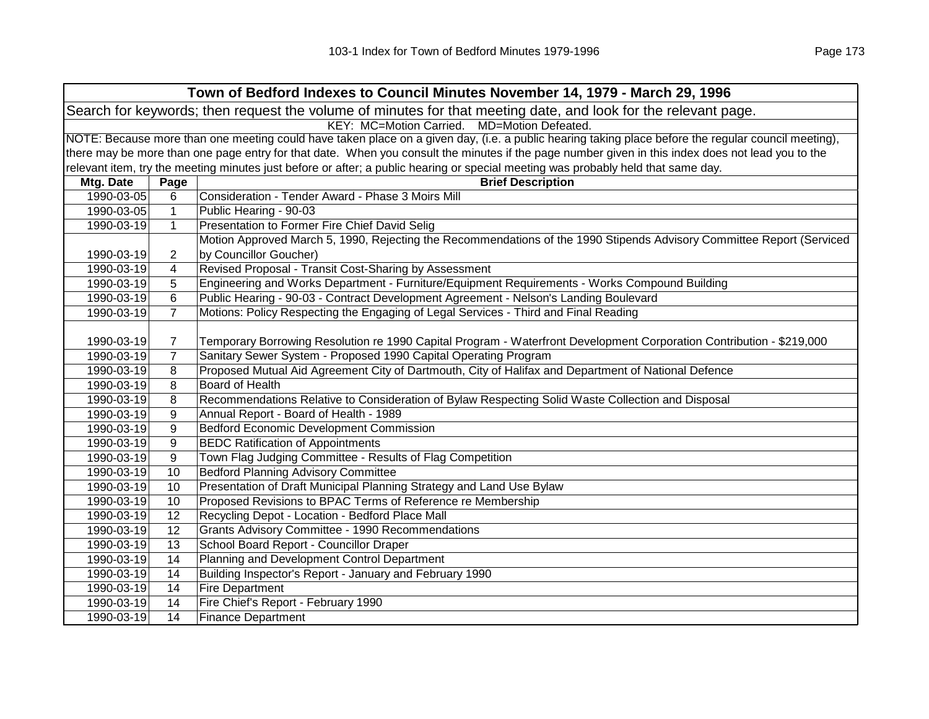| Town of Bedford Indexes to Council Minutes November 14, 1979 - March 29, 1996                                  |                                             |                                                                                                                                                     |  |  |
|----------------------------------------------------------------------------------------------------------------|---------------------------------------------|-----------------------------------------------------------------------------------------------------------------------------------------------------|--|--|
| Search for keywords; then request the volume of minutes for that meeting date, and look for the relevant page. |                                             |                                                                                                                                                     |  |  |
|                                                                                                                | KEY: MC=Motion Carried. MD=Motion Defeated. |                                                                                                                                                     |  |  |
|                                                                                                                |                                             | NOTE: Because more than one meeting could have taken place on a given day, (i.e. a public hearing taking place before the regular council meeting), |  |  |
|                                                                                                                |                                             | there may be more than one page entry for that date. When you consult the minutes if the page number given in this index does not lead you to the   |  |  |
|                                                                                                                |                                             | relevant item, try the meeting minutes just before or after; a public hearing or special meeting was probably held that same day.                   |  |  |
| Mtg. Date                                                                                                      | Page                                        | <b>Brief Description</b>                                                                                                                            |  |  |
| 1990-03-05                                                                                                     | 6                                           | Consideration - Tender Award - Phase 3 Moirs Mill                                                                                                   |  |  |
| 1990-03-05                                                                                                     | 1                                           | Public Hearing - 90-03                                                                                                                              |  |  |
| 1990-03-19                                                                                                     | $\mathbf{1}$                                | Presentation to Former Fire Chief David Selig                                                                                                       |  |  |
|                                                                                                                |                                             | Motion Approved March 5, 1990, Rejecting the Recommendations of the 1990 Stipends Advisory Committee Report (Serviced                               |  |  |
| 1990-03-19                                                                                                     | $\overline{2}$                              | by Councillor Goucher)                                                                                                                              |  |  |
| 1990-03-19                                                                                                     | 4                                           | Revised Proposal - Transit Cost-Sharing by Assessment                                                                                               |  |  |
| 1990-03-19                                                                                                     | 5                                           | Engineering and Works Department - Furniture/Equipment Requirements - Works Compound Building                                                       |  |  |
| 1990-03-19                                                                                                     | 6                                           | Public Hearing - 90-03 - Contract Development Agreement - Nelson's Landing Boulevard                                                                |  |  |
| 1990-03-19                                                                                                     | $\overline{7}$                              | Motions: Policy Respecting the Engaging of Legal Services - Third and Final Reading                                                                 |  |  |
|                                                                                                                |                                             |                                                                                                                                                     |  |  |
| 1990-03-19                                                                                                     | $\overline{7}$                              | Temporary Borrowing Resolution re 1990 Capital Program - Waterfront Development Corporation Contribution - \$219,000                                |  |  |
| 1990-03-19                                                                                                     | $\overline{7}$                              | Sanitary Sewer System - Proposed 1990 Capital Operating Program                                                                                     |  |  |
| 1990-03-19                                                                                                     | 8                                           | Proposed Mutual Aid Agreement City of Dartmouth, City of Halifax and Department of National Defence                                                 |  |  |
| 1990-03-19                                                                                                     | 8                                           | Board of Health                                                                                                                                     |  |  |
| 1990-03-19                                                                                                     | 8                                           | Recommendations Relative to Consideration of Bylaw Respecting Solid Waste Collection and Disposal                                                   |  |  |
| 1990-03-19                                                                                                     | 9                                           | Annual Report - Board of Health - 1989                                                                                                              |  |  |
| 1990-03-19                                                                                                     | 9                                           | <b>Bedford Economic Development Commission</b>                                                                                                      |  |  |
| 1990-03-19                                                                                                     | $\boldsymbol{9}$                            | <b>BEDC Ratification of Appointments</b>                                                                                                            |  |  |
| 1990-03-19                                                                                                     | $\boldsymbol{9}$                            | Town Flag Judging Committee - Results of Flag Competition                                                                                           |  |  |
| 1990-03-19                                                                                                     | 10                                          | <b>Bedford Planning Advisory Committee</b>                                                                                                          |  |  |
| 1990-03-19                                                                                                     | 10                                          | Presentation of Draft Municipal Planning Strategy and Land Use Bylaw                                                                                |  |  |
| 1990-03-19                                                                                                     | 10                                          | Proposed Revisions to BPAC Terms of Reference re Membership                                                                                         |  |  |
| 1990-03-19                                                                                                     | 12                                          | Recycling Depot - Location - Bedford Place Mall                                                                                                     |  |  |
| 1990-03-19                                                                                                     | 12                                          | Grants Advisory Committee - 1990 Recommendations                                                                                                    |  |  |
| 1990-03-19                                                                                                     | 13                                          | School Board Report - Councillor Draper                                                                                                             |  |  |
| 1990-03-19                                                                                                     | 14                                          | Planning and Development Control Department                                                                                                         |  |  |
| 1990-03-19                                                                                                     | 14                                          | Building Inspector's Report - January and February 1990                                                                                             |  |  |
| 1990-03-19                                                                                                     | 14                                          | <b>Fire Department</b>                                                                                                                              |  |  |
| 1990-03-19                                                                                                     | 14                                          | Fire Chief's Report - February 1990                                                                                                                 |  |  |
| 1990-03-19                                                                                                     | 14                                          | <b>Finance Department</b>                                                                                                                           |  |  |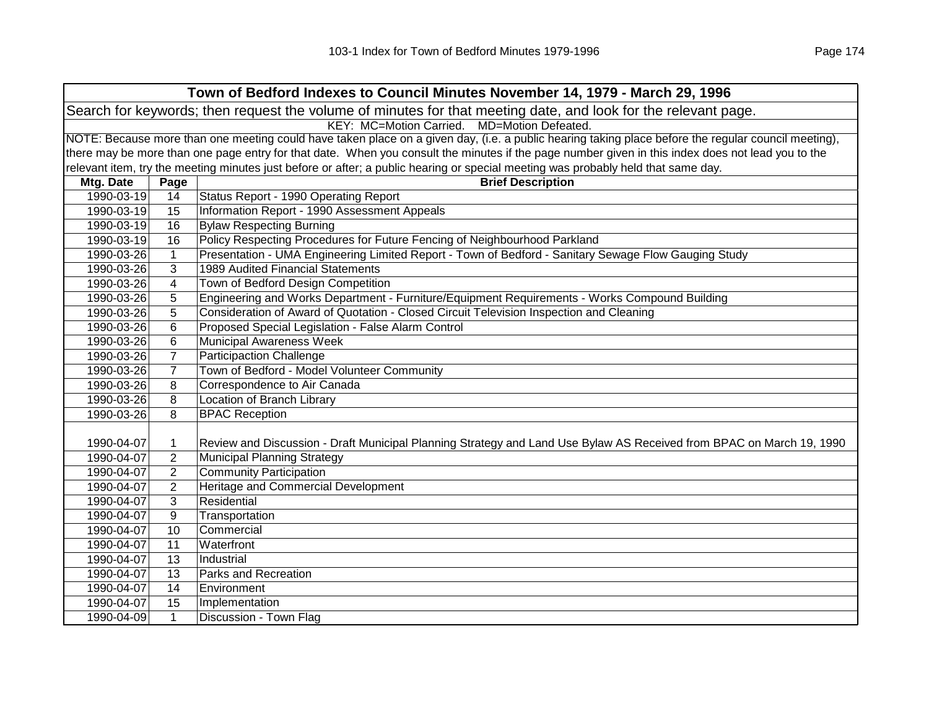| Town of Bedford Indexes to Council Minutes November 14, 1979 - March 29, 1996                                  |                                                                                                                                                     |                                                                                                                                                   |  |  |
|----------------------------------------------------------------------------------------------------------------|-----------------------------------------------------------------------------------------------------------------------------------------------------|---------------------------------------------------------------------------------------------------------------------------------------------------|--|--|
| Search for keywords; then request the volume of minutes for that meeting date, and look for the relevant page. |                                                                                                                                                     |                                                                                                                                                   |  |  |
|                                                                                                                | KEY: MC=Motion Carried. MD=Motion Defeated.                                                                                                         |                                                                                                                                                   |  |  |
|                                                                                                                | NOTE: Because more than one meeting could have taken place on a given day, (i.e. a public hearing taking place before the regular council meeting), |                                                                                                                                                   |  |  |
|                                                                                                                |                                                                                                                                                     | there may be more than one page entry for that date. When you consult the minutes if the page number given in this index does not lead you to the |  |  |
|                                                                                                                |                                                                                                                                                     | relevant item, try the meeting minutes just before or after; a public hearing or special meeting was probably held that same day.                 |  |  |
| Mtg. Date                                                                                                      | Page                                                                                                                                                | <b>Brief Description</b>                                                                                                                          |  |  |
| 1990-03-19                                                                                                     | 14                                                                                                                                                  | Status Report - 1990 Operating Report                                                                                                             |  |  |
| 1990-03-19                                                                                                     | 15                                                                                                                                                  | Information Report - 1990 Assessment Appeals                                                                                                      |  |  |
| 1990-03-19                                                                                                     | 16                                                                                                                                                  | <b>Bylaw Respecting Burning</b>                                                                                                                   |  |  |
| 1990-03-19                                                                                                     | 16                                                                                                                                                  | Policy Respecting Procedures for Future Fencing of Neighbourhood Parkland                                                                         |  |  |
| 1990-03-26                                                                                                     | $\mathbf{1}$                                                                                                                                        | Presentation - UMA Engineering Limited Report - Town of Bedford - Sanitary Sewage Flow Gauging Study                                              |  |  |
| 1990-03-26                                                                                                     | 3                                                                                                                                                   | 1989 Audited Financial Statements                                                                                                                 |  |  |
| 1990-03-26                                                                                                     | 4                                                                                                                                                   | Town of Bedford Design Competition                                                                                                                |  |  |
| 1990-03-26                                                                                                     | 5                                                                                                                                                   | Engineering and Works Department - Furniture/Equipment Requirements - Works Compound Building                                                     |  |  |
| 1990-03-26                                                                                                     | 5                                                                                                                                                   | Consideration of Award of Quotation - Closed Circuit Television Inspection and Cleaning                                                           |  |  |
| 1990-03-26                                                                                                     | 6                                                                                                                                                   | Proposed Special Legislation - False Alarm Control                                                                                                |  |  |
| 1990-03-26                                                                                                     | 6                                                                                                                                                   | <b>Municipal Awareness Week</b>                                                                                                                   |  |  |
| 1990-03-26                                                                                                     | $\overline{7}$                                                                                                                                      | <b>Participaction Challenge</b>                                                                                                                   |  |  |
| 1990-03-26                                                                                                     | $\overline{7}$                                                                                                                                      | Town of Bedford - Model Volunteer Community                                                                                                       |  |  |
| 1990-03-26                                                                                                     | 8                                                                                                                                                   | Correspondence to Air Canada                                                                                                                      |  |  |
| 1990-03-26                                                                                                     | 8                                                                                                                                                   | Location of Branch Library                                                                                                                        |  |  |
| 1990-03-26                                                                                                     | 8                                                                                                                                                   | <b>BPAC Reception</b>                                                                                                                             |  |  |
|                                                                                                                |                                                                                                                                                     |                                                                                                                                                   |  |  |
| 1990-04-07                                                                                                     | $\mathbf 1$                                                                                                                                         | Review and Discussion - Draft Municipal Planning Strategy and Land Use Bylaw AS Received from BPAC on March 19, 1990                              |  |  |
| 1990-04-07                                                                                                     | $\overline{2}$                                                                                                                                      | Municipal Planning Strategy                                                                                                                       |  |  |
| 1990-04-07                                                                                                     | $\overline{2}$                                                                                                                                      | <b>Community Participation</b>                                                                                                                    |  |  |
| 1990-04-07                                                                                                     | $\overline{2}$                                                                                                                                      | Heritage and Commercial Development                                                                                                               |  |  |
| 1990-04-07                                                                                                     | 3                                                                                                                                                   | Residential                                                                                                                                       |  |  |
| 1990-04-07                                                                                                     | 9                                                                                                                                                   | Transportation                                                                                                                                    |  |  |
| 1990-04-07                                                                                                     | 10                                                                                                                                                  | Commercial                                                                                                                                        |  |  |
| 1990-04-07                                                                                                     | 11                                                                                                                                                  | Waterfront                                                                                                                                        |  |  |
| 1990-04-07                                                                                                     | 13                                                                                                                                                  | Industrial                                                                                                                                        |  |  |
| 1990-04-07                                                                                                     | 13                                                                                                                                                  | Parks and Recreation                                                                                                                              |  |  |
| 1990-04-07                                                                                                     | 14                                                                                                                                                  | Environment                                                                                                                                       |  |  |
| 1990-04-07                                                                                                     | 15                                                                                                                                                  | Implementation                                                                                                                                    |  |  |
| 1990-04-09                                                                                                     | $\mathbf{1}$                                                                                                                                        | Discussion - Town Flag                                                                                                                            |  |  |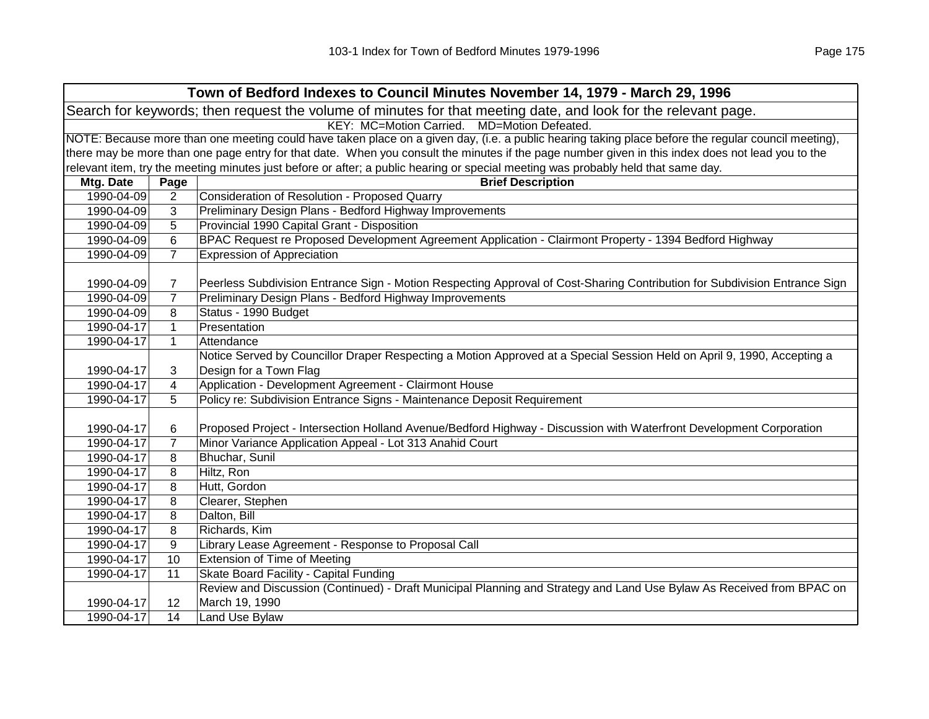| Town of Bedford Indexes to Council Minutes November 14, 1979 - March 29, 1996                                  |                                                                                                                                                     |                                                                                                                                                   |  |
|----------------------------------------------------------------------------------------------------------------|-----------------------------------------------------------------------------------------------------------------------------------------------------|---------------------------------------------------------------------------------------------------------------------------------------------------|--|
| Search for keywords; then request the volume of minutes for that meeting date, and look for the relevant page. |                                                                                                                                                     |                                                                                                                                                   |  |
| KEY: MC=Motion Carried.<br>MD=Motion Defeated.                                                                 |                                                                                                                                                     |                                                                                                                                                   |  |
|                                                                                                                | NOTE: Because more than one meeting could have taken place on a given day, (i.e. a public hearing taking place before the regular council meeting), |                                                                                                                                                   |  |
|                                                                                                                |                                                                                                                                                     | there may be more than one page entry for that date. When you consult the minutes if the page number given in this index does not lead you to the |  |
|                                                                                                                |                                                                                                                                                     | relevant item, try the meeting minutes just before or after; a public hearing or special meeting was probably held that same day.                 |  |
| Mtg. Date                                                                                                      | Page                                                                                                                                                | <b>Brief Description</b>                                                                                                                          |  |
| 1990-04-09                                                                                                     | $\overline{2}$                                                                                                                                      | Consideration of Resolution - Proposed Quarry                                                                                                     |  |
| 1990-04-09                                                                                                     | 3                                                                                                                                                   | Preliminary Design Plans - Bedford Highway Improvements                                                                                           |  |
| 1990-04-09                                                                                                     | 5                                                                                                                                                   | Provincial 1990 Capital Grant - Disposition                                                                                                       |  |
| 1990-04-09                                                                                                     | 6                                                                                                                                                   | BPAC Request re Proposed Development Agreement Application - Clairmont Property - 1394 Bedford Highway                                            |  |
| 1990-04-09                                                                                                     | $\overline{7}$                                                                                                                                      | <b>Expression of Appreciation</b>                                                                                                                 |  |
|                                                                                                                |                                                                                                                                                     |                                                                                                                                                   |  |
| 1990-04-09                                                                                                     | $\overline{7}$                                                                                                                                      | Peerless Subdivision Entrance Sign - Motion Respecting Approval of Cost-Sharing Contribution for Subdivision Entrance Sign                        |  |
| 1990-04-09                                                                                                     | $\overline{7}$                                                                                                                                      | Preliminary Design Plans - Bedford Highway Improvements                                                                                           |  |
| 1990-04-09                                                                                                     | 8                                                                                                                                                   | Status - 1990 Budget                                                                                                                              |  |
| 1990-04-17                                                                                                     | $\mathbf{1}$                                                                                                                                        | Presentation                                                                                                                                      |  |
| 1990-04-17                                                                                                     | $\mathbf{1}$                                                                                                                                        | Attendance                                                                                                                                        |  |
|                                                                                                                |                                                                                                                                                     | Notice Served by Councillor Draper Respecting a Motion Approved at a Special Session Held on April 9, 1990, Accepting a                           |  |
| 1990-04-17                                                                                                     | 3                                                                                                                                                   | Design for a Town Flag                                                                                                                            |  |
| 1990-04-17                                                                                                     | 4                                                                                                                                                   | Application - Development Agreement - Clairmont House                                                                                             |  |
| 1990-04-17                                                                                                     | 5                                                                                                                                                   | Policy re: Subdivision Entrance Signs - Maintenance Deposit Requirement                                                                           |  |
|                                                                                                                |                                                                                                                                                     |                                                                                                                                                   |  |
| 1990-04-17                                                                                                     | 6                                                                                                                                                   | Proposed Project - Intersection Holland Avenue/Bedford Highway - Discussion with Waterfront Development Corporation                               |  |
| 1990-04-17                                                                                                     | $\overline{7}$                                                                                                                                      | Minor Variance Application Appeal - Lot 313 Anahid Court                                                                                          |  |
| 1990-04-17                                                                                                     | 8                                                                                                                                                   | Bhuchar, Sunil                                                                                                                                    |  |
| 1990-04-17                                                                                                     | 8                                                                                                                                                   | Hiltz, Ron                                                                                                                                        |  |
| 1990-04-17                                                                                                     | 8                                                                                                                                                   | Hutt, Gordon                                                                                                                                      |  |
| 1990-04-17                                                                                                     | 8                                                                                                                                                   | Clearer, Stephen                                                                                                                                  |  |
| 1990-04-17                                                                                                     | 8                                                                                                                                                   | Dalton, Bill                                                                                                                                      |  |
| 1990-04-17                                                                                                     | 8                                                                                                                                                   | Richards, Kim                                                                                                                                     |  |
| 1990-04-17                                                                                                     | 9                                                                                                                                                   | Library Lease Agreement - Response to Proposal Call                                                                                               |  |
| 1990-04-17                                                                                                     | 10                                                                                                                                                  | <b>Extension of Time of Meeting</b>                                                                                                               |  |
| 1990-04-17                                                                                                     | 11                                                                                                                                                  | Skate Board Facility - Capital Funding                                                                                                            |  |
|                                                                                                                |                                                                                                                                                     | Review and Discussion (Continued) - Draft Municipal Planning and Strategy and Land Use Bylaw As Received from BPAC on                             |  |
| 1990-04-17                                                                                                     | 12                                                                                                                                                  | March 19, 1990                                                                                                                                    |  |
| 1990-04-17                                                                                                     | 14                                                                                                                                                  | Land Use Bylaw                                                                                                                                    |  |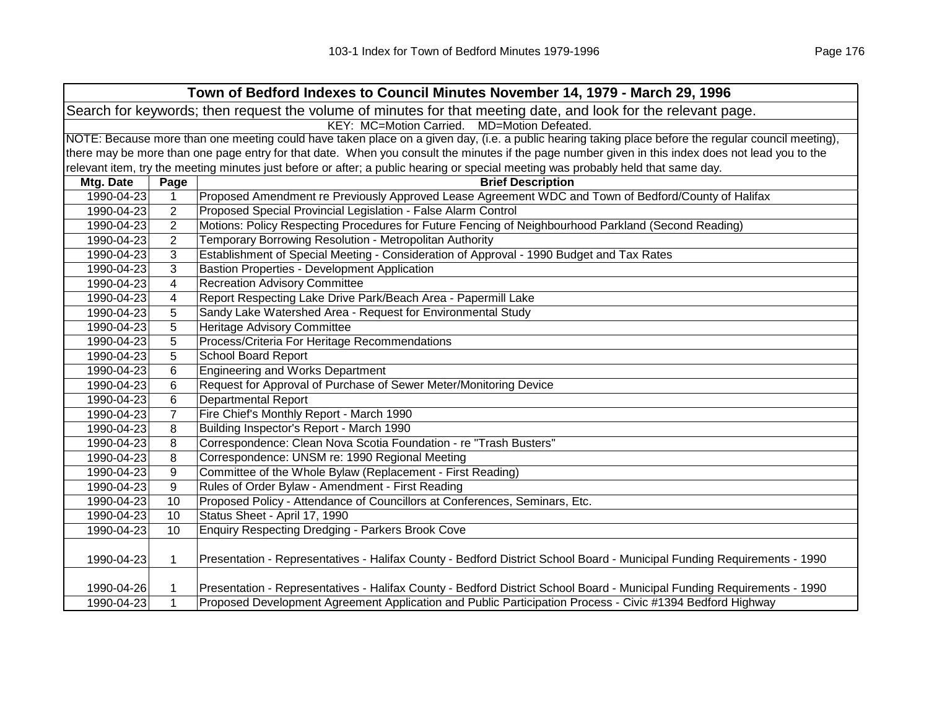|            |                | Town of Bedford Indexes to Council Minutes November 14, 1979 - March 29, 1996                                                                                                                                                                                                                 |
|------------|----------------|-----------------------------------------------------------------------------------------------------------------------------------------------------------------------------------------------------------------------------------------------------------------------------------------------|
|            |                | Search for keywords; then request the volume of minutes for that meeting date, and look for the relevant page.                                                                                                                                                                                |
|            |                | KEY: MC=Motion Carried.<br>MD=Motion Defeated.                                                                                                                                                                                                                                                |
|            |                | NOTE: Because more than one meeting could have taken place on a given day, (i.e. a public hearing taking place before the regular council meeting),                                                                                                                                           |
|            |                | there may be more than one page entry for that date. When you consult the minutes if the page number given in this index does not lead you to the                                                                                                                                             |
|            |                | relevant item, try the meeting minutes just before or after; a public hearing or special meeting was probably held that same day.                                                                                                                                                             |
| Mtg. Date  | Page           | <b>Brief Description</b>                                                                                                                                                                                                                                                                      |
| 1990-04-23 |                | Proposed Amendment re Previously Approved Lease Agreement WDC and Town of Bedford/County of Halifax                                                                                                                                                                                           |
| 1990-04-23 | $\overline{2}$ | Proposed Special Provincial Legislation - False Alarm Control                                                                                                                                                                                                                                 |
| 1990-04-23 | $\overline{2}$ | Motions: Policy Respecting Procedures for Future Fencing of Neighbourhood Parkland (Second Reading)                                                                                                                                                                                           |
| 1990-04-23 | $\overline{2}$ | Temporary Borrowing Resolution - Metropolitan Authority                                                                                                                                                                                                                                       |
| 1990-04-23 | 3              | Establishment of Special Meeting - Consideration of Approval - 1990 Budget and Tax Rates                                                                                                                                                                                                      |
| 1990-04-23 | 3              | <b>Bastion Properties - Development Application</b>                                                                                                                                                                                                                                           |
| 1990-04-23 | 4              | <b>Recreation Advisory Committee</b>                                                                                                                                                                                                                                                          |
| 1990-04-23 | 4              | Report Respecting Lake Drive Park/Beach Area - Papermill Lake                                                                                                                                                                                                                                 |
| 1990-04-23 | 5              | Sandy Lake Watershed Area - Request for Environmental Study                                                                                                                                                                                                                                   |
| 1990-04-23 | 5              | Heritage Advisory Committee                                                                                                                                                                                                                                                                   |
| 1990-04-23 | 5              | Process/Criteria For Heritage Recommendations                                                                                                                                                                                                                                                 |
| 1990-04-23 | 5              | <b>School Board Report</b>                                                                                                                                                                                                                                                                    |
| 1990-04-23 | 6              | <b>Engineering and Works Department</b>                                                                                                                                                                                                                                                       |
| 1990-04-23 | 6              | Request for Approval of Purchase of Sewer Meter/Monitoring Device                                                                                                                                                                                                                             |
| 1990-04-23 | 6              | Departmental Report                                                                                                                                                                                                                                                                           |
| 1990-04-23 | $\overline{7}$ | Fire Chief's Monthly Report - March 1990                                                                                                                                                                                                                                                      |
| 1990-04-23 | 8              | Building Inspector's Report - March 1990                                                                                                                                                                                                                                                      |
| 1990-04-23 | 8              | Correspondence: Clean Nova Scotia Foundation - re "Trash Busters"                                                                                                                                                                                                                             |
| 1990-04-23 | 8              | Correspondence: UNSM re: 1990 Regional Meeting                                                                                                                                                                                                                                                |
| 1990-04-23 | 9              | Committee of the Whole Bylaw (Replacement - First Reading)                                                                                                                                                                                                                                    |
| 1990-04-23 | 9              | Rules of Order Bylaw - Amendment - First Reading                                                                                                                                                                                                                                              |
| 100000100  | $\sqrt{2}$     | $\mathsf{D}$ and $\mathsf{D}$ and $\mathsf{D}$ and $\mathsf{D}$ and $\mathsf{D}$ are associated by $\mathsf{D}$ and $\mathsf{D}$ and $\mathsf{D}$ and $\mathsf{D}$ and $\mathsf{D}$ and $\mathsf{D}$ and $\mathsf{D}$ and $\mathsf{D}$ and $\mathsf{D}$ and $\mathsf{D}$ and $\mathsf{D}$ and |

1990-04-23 10 Proposed Policy - Attendance of Councillors at Conferences, Seminars, Etc. 1990-04-23 10 Status Sheet - April 17, 1990 1990-04-23 10 Enquiry Respecting Dredging - Parkers Brook Cove 1990-04-23 1 Presentation - Representatives - Halifax County - Bedford District School Board - Municipal Funding Requirements - 1990 1990-04-26 1 Presentation - Representatives - Halifax County - Bedford District School Board - Municipal Funding Requirements - 1990 1990-04-23 1 Proposed Development Agreement Application and Public Participation Process - Civic #1394 Bedford Highway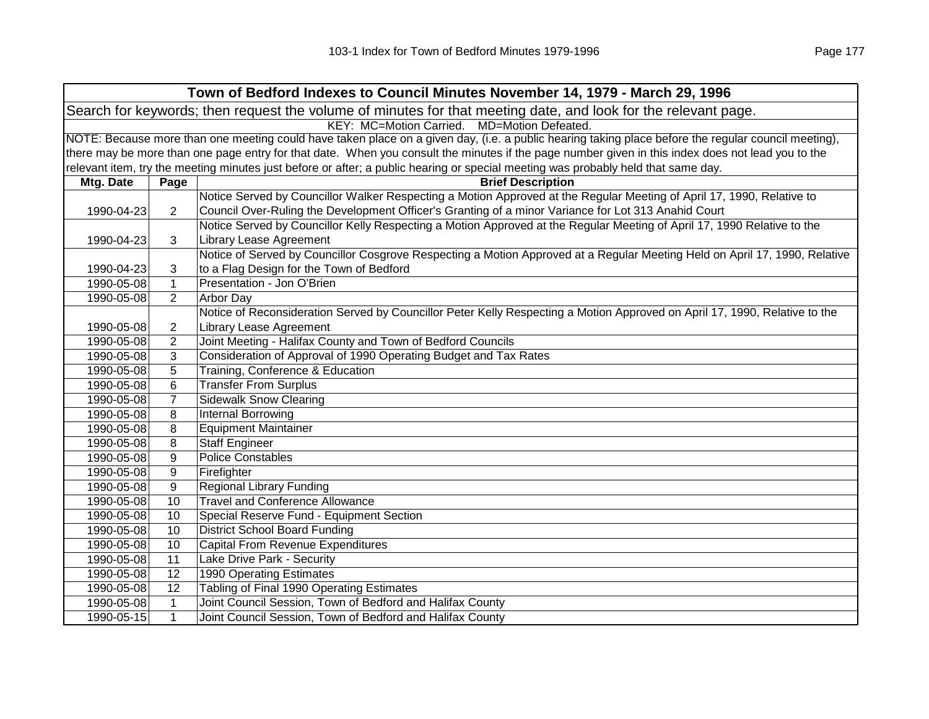|                                                                                                                | Town of Bedford Indexes to Council Minutes November 14, 1979 - March 29, 1996 |                                                                                                                                                     |  |  |  |
|----------------------------------------------------------------------------------------------------------------|-------------------------------------------------------------------------------|-----------------------------------------------------------------------------------------------------------------------------------------------------|--|--|--|
| Search for keywords; then request the volume of minutes for that meeting date, and look for the relevant page. |                                                                               |                                                                                                                                                     |  |  |  |
|                                                                                                                | KEY: MC=Motion Carried. MD=Motion Defeated.                                   |                                                                                                                                                     |  |  |  |
|                                                                                                                |                                                                               | NOTE: Because more than one meeting could have taken place on a given day, (i.e. a public hearing taking place before the regular council meeting), |  |  |  |
|                                                                                                                |                                                                               | there may be more than one page entry for that date. When you consult the minutes if the page number given in this index does not lead you to the   |  |  |  |
|                                                                                                                |                                                                               | relevant item, try the meeting minutes just before or after; a public hearing or special meeting was probably held that same day.                   |  |  |  |
| Mtg. Date                                                                                                      | Page                                                                          | <b>Brief Description</b>                                                                                                                            |  |  |  |
|                                                                                                                |                                                                               | Notice Served by Councillor Walker Respecting a Motion Approved at the Regular Meeting of April 17, 1990, Relative to                               |  |  |  |
| 1990-04-23                                                                                                     | $\overline{2}$                                                                | Council Over-Ruling the Development Officer's Granting of a minor Variance for Lot 313 Anahid Court                                                 |  |  |  |
|                                                                                                                |                                                                               | Notice Served by Councillor Kelly Respecting a Motion Approved at the Regular Meeting of April 17, 1990 Relative to the                             |  |  |  |
| 1990-04-23                                                                                                     | 3                                                                             | <b>Library Lease Agreement</b>                                                                                                                      |  |  |  |
|                                                                                                                |                                                                               | Notice of Served by Councillor Cosgrove Respecting a Motion Approved at a Regular Meeting Held on April 17, 1990, Relative                          |  |  |  |
| 1990-04-23                                                                                                     | 3                                                                             | to a Flag Design for the Town of Bedford                                                                                                            |  |  |  |
| 1990-05-08                                                                                                     | $\mathbf{1}$                                                                  | Presentation - Jon O'Brien                                                                                                                          |  |  |  |
| 1990-05-08                                                                                                     | 2                                                                             | Arbor Day                                                                                                                                           |  |  |  |
|                                                                                                                |                                                                               | Notice of Reconsideration Served by Councillor Peter Kelly Respecting a Motion Approved on April 17, 1990, Relative to the                          |  |  |  |
| 1990-05-08                                                                                                     | $\overline{2}$                                                                | <b>Library Lease Agreement</b>                                                                                                                      |  |  |  |
| 1990-05-08                                                                                                     | $\overline{2}$                                                                | Joint Meeting - Halifax County and Town of Bedford Councils                                                                                         |  |  |  |
| 1990-05-08                                                                                                     | 3                                                                             | Consideration of Approval of 1990 Operating Budget and Tax Rates                                                                                    |  |  |  |
| 1990-05-08                                                                                                     | 5                                                                             | Training, Conference & Education                                                                                                                    |  |  |  |
| 1990-05-08                                                                                                     | 6                                                                             | <b>Transfer From Surplus</b>                                                                                                                        |  |  |  |
| 1990-05-08                                                                                                     | $\overline{7}$                                                                | <b>Sidewalk Snow Clearing</b>                                                                                                                       |  |  |  |
| 1990-05-08                                                                                                     | 8                                                                             | <b>Internal Borrowing</b>                                                                                                                           |  |  |  |
| 1990-05-08                                                                                                     | 8                                                                             | <b>Equipment Maintainer</b>                                                                                                                         |  |  |  |
| 1990-05-08                                                                                                     | 8                                                                             | <b>Staff Engineer</b>                                                                                                                               |  |  |  |
| 1990-05-08                                                                                                     | 9                                                                             | <b>Police Constables</b>                                                                                                                            |  |  |  |
| 1990-05-08                                                                                                     | 9                                                                             | Firefighter                                                                                                                                         |  |  |  |
| 1990-05-08                                                                                                     | 9                                                                             | <b>Regional Library Funding</b>                                                                                                                     |  |  |  |
| 1990-05-08                                                                                                     | 10                                                                            | <b>Travel and Conference Allowance</b>                                                                                                              |  |  |  |
| 1990-05-08                                                                                                     | 10                                                                            | Special Reserve Fund - Equipment Section                                                                                                            |  |  |  |
| 1990-05-08                                                                                                     | 10                                                                            | <b>District School Board Funding</b>                                                                                                                |  |  |  |
| 1990-05-08                                                                                                     | 10                                                                            | <b>Capital From Revenue Expenditures</b>                                                                                                            |  |  |  |
| 1990-05-08                                                                                                     | 11                                                                            | Lake Drive Park - Security                                                                                                                          |  |  |  |
| 1990-05-08                                                                                                     | 12                                                                            | <b>1990 Operating Estimates</b>                                                                                                                     |  |  |  |
| 1990-05-08                                                                                                     | 12                                                                            | Tabling of Final 1990 Operating Estimates                                                                                                           |  |  |  |
| 1990-05-08                                                                                                     | $\mathbf{1}$                                                                  | Joint Council Session, Town of Bedford and Halifax County                                                                                           |  |  |  |
| 1990-05-15                                                                                                     | $\mathbf{1}$                                                                  | Joint Council Session, Town of Bedford and Halifax County                                                                                           |  |  |  |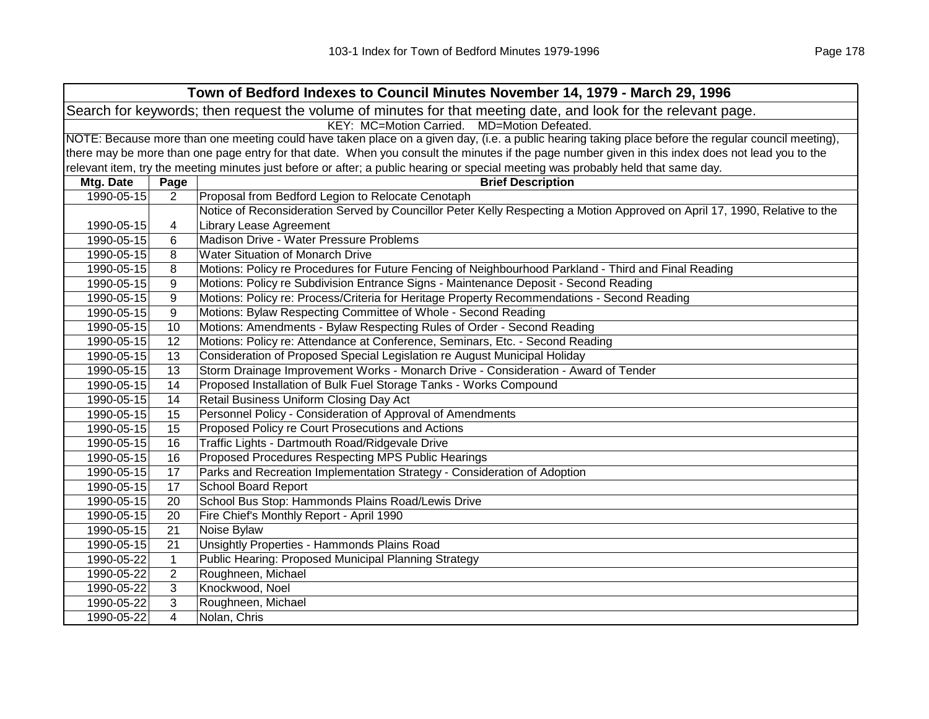| Town of Bedford Indexes to Council Minutes November 14, 1979 - March 29, 1996                                  |                                             |                                                                                                                                                     |  |  |
|----------------------------------------------------------------------------------------------------------------|---------------------------------------------|-----------------------------------------------------------------------------------------------------------------------------------------------------|--|--|
| Search for keywords; then request the volume of minutes for that meeting date, and look for the relevant page. |                                             |                                                                                                                                                     |  |  |
|                                                                                                                | KEY: MC=Motion Carried. MD=Motion Defeated. |                                                                                                                                                     |  |  |
|                                                                                                                |                                             | NOTE: Because more than one meeting could have taken place on a given day, (i.e. a public hearing taking place before the regular council meeting), |  |  |
|                                                                                                                |                                             | there may be more than one page entry for that date. When you consult the minutes if the page number given in this index does not lead you to the   |  |  |
|                                                                                                                |                                             | relevant item, try the meeting minutes just before or after; a public hearing or special meeting was probably held that same day.                   |  |  |
| Mtg. Date                                                                                                      | Page                                        | <b>Brief Description</b>                                                                                                                            |  |  |
| 1990-05-15                                                                                                     | $\overline{2}$                              | Proposal from Bedford Legion to Relocate Cenotaph                                                                                                   |  |  |
|                                                                                                                |                                             | Notice of Reconsideration Served by Councillor Peter Kelly Respecting a Motion Approved on April 17, 1990, Relative to the                          |  |  |
| 1990-05-15                                                                                                     | 4                                           | <b>Library Lease Agreement</b>                                                                                                                      |  |  |
| 1990-05-15                                                                                                     | 6                                           | Madison Drive - Water Pressure Problems                                                                                                             |  |  |
| 1990-05-15                                                                                                     | 8                                           | <b>Water Situation of Monarch Drive</b>                                                                                                             |  |  |
| 1990-05-15                                                                                                     | 8                                           | Motions: Policy re Procedures for Future Fencing of Neighbourhood Parkland - Third and Final Reading                                                |  |  |
| 1990-05-15                                                                                                     | 9                                           | Motions: Policy re Subdivision Entrance Signs - Maintenance Deposit - Second Reading                                                                |  |  |
| 1990-05-15                                                                                                     | 9                                           | Motions: Policy re: Process/Criteria for Heritage Property Recommendations - Second Reading                                                         |  |  |
| 1990-05-15                                                                                                     | 9                                           | Motions: Bylaw Respecting Committee of Whole - Second Reading                                                                                       |  |  |
| 1990-05-15                                                                                                     | 10                                          | Motions: Amendments - Bylaw Respecting Rules of Order - Second Reading                                                                              |  |  |
| 1990-05-15                                                                                                     | 12                                          | Motions: Policy re: Attendance at Conference, Seminars, Etc. - Second Reading                                                                       |  |  |
| 1990-05-15                                                                                                     | 13                                          | Consideration of Proposed Special Legislation re August Municipal Holiday                                                                           |  |  |
| 1990-05-15                                                                                                     | 13                                          | Storm Drainage Improvement Works - Monarch Drive - Consideration - Award of Tender                                                                  |  |  |
| 1990-05-15                                                                                                     | 14                                          | Proposed Installation of Bulk Fuel Storage Tanks - Works Compound                                                                                   |  |  |
| 1990-05-15                                                                                                     | 14                                          | Retail Business Uniform Closing Day Act                                                                                                             |  |  |
| 1990-05-15                                                                                                     | 15                                          | Personnel Policy - Consideration of Approval of Amendments                                                                                          |  |  |
| 1990-05-15                                                                                                     | 15                                          | Proposed Policy re Court Prosecutions and Actions                                                                                                   |  |  |
| 1990-05-15                                                                                                     | 16                                          | Traffic Lights - Dartmouth Road/Ridgevale Drive                                                                                                     |  |  |
| 1990-05-15                                                                                                     | 16                                          | Proposed Procedures Respecting MPS Public Hearings                                                                                                  |  |  |
| 1990-05-15                                                                                                     | 17                                          | Parks and Recreation Implementation Strategy - Consideration of Adoption                                                                            |  |  |
| 1990-05-15                                                                                                     | 17                                          | <b>School Board Report</b>                                                                                                                          |  |  |
| 1990-05-15                                                                                                     | 20                                          | School Bus Stop: Hammonds Plains Road/Lewis Drive                                                                                                   |  |  |
| 1990-05-15                                                                                                     | 20                                          | Fire Chief's Monthly Report - April 1990                                                                                                            |  |  |
| 1990-05-15                                                                                                     | 21                                          | Noise Bylaw                                                                                                                                         |  |  |
| 1990-05-15                                                                                                     | 21                                          | Unsightly Properties - Hammonds Plains Road                                                                                                         |  |  |
| 1990-05-22                                                                                                     | $\mathbf{1}$                                | Public Hearing: Proposed Municipal Planning Strategy                                                                                                |  |  |
| 1990-05-22                                                                                                     | $\overline{2}$                              | Roughneen, Michael                                                                                                                                  |  |  |
| 1990-05-22                                                                                                     | 3                                           | Knockwood, Noel                                                                                                                                     |  |  |
| 1990-05-22                                                                                                     | 3                                           | Roughneen, Michael                                                                                                                                  |  |  |
| 1990-05-22                                                                                                     | $\overline{4}$                              | Nolan, Chris                                                                                                                                        |  |  |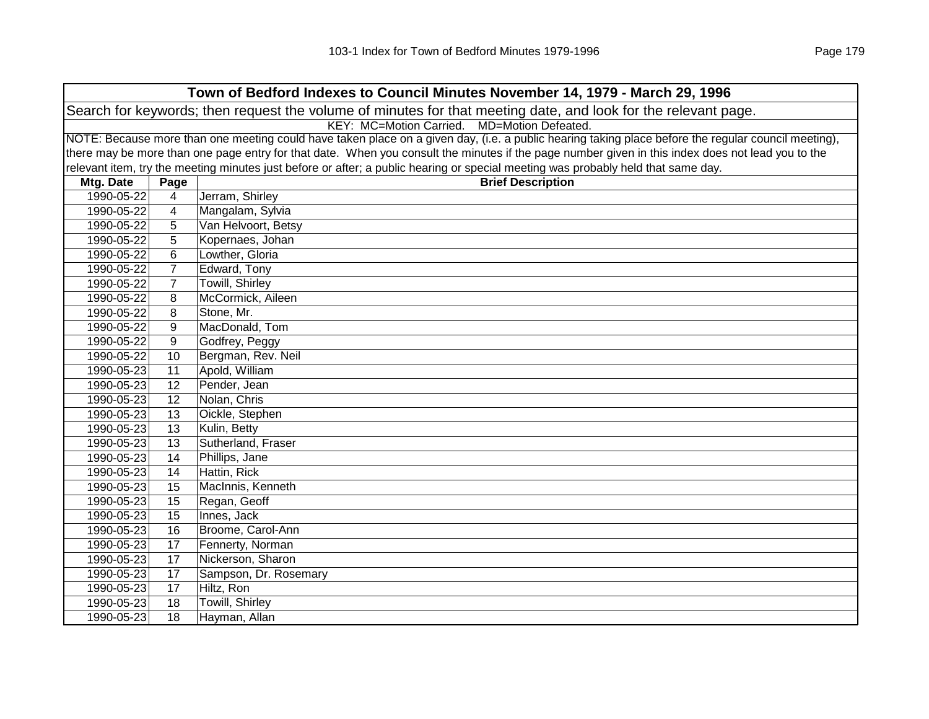| Town of Bedford Indexes to Council Minutes November 14, 1979 - March 29, 1996                                  |                                                                                                                                                     |                                                                                                                                                   |  |  |  |
|----------------------------------------------------------------------------------------------------------------|-----------------------------------------------------------------------------------------------------------------------------------------------------|---------------------------------------------------------------------------------------------------------------------------------------------------|--|--|--|
| Search for keywords; then request the volume of minutes for that meeting date, and look for the relevant page. |                                                                                                                                                     |                                                                                                                                                   |  |  |  |
|                                                                                                                | KEY: MC=Motion Carried. MD=Motion Defeated.                                                                                                         |                                                                                                                                                   |  |  |  |
|                                                                                                                | NOTE: Because more than one meeting could have taken place on a given day, (i.e. a public hearing taking place before the regular council meeting), |                                                                                                                                                   |  |  |  |
|                                                                                                                |                                                                                                                                                     | there may be more than one page entry for that date. When you consult the minutes if the page number given in this index does not lead you to the |  |  |  |
|                                                                                                                |                                                                                                                                                     | relevant item, try the meeting minutes just before or after; a public hearing or special meeting was probably held that same day.                 |  |  |  |
| Mtg. Date                                                                                                      | Page                                                                                                                                                | <b>Brief Description</b>                                                                                                                          |  |  |  |
| 1990-05-22                                                                                                     | 4                                                                                                                                                   | Jerram, Shirley                                                                                                                                   |  |  |  |
| 1990-05-22                                                                                                     | $\overline{4}$                                                                                                                                      | Mangalam, Sylvia                                                                                                                                  |  |  |  |
| 1990-05-22                                                                                                     | 5                                                                                                                                                   | Van Helvoort, Betsy                                                                                                                               |  |  |  |
| 1990-05-22                                                                                                     | 5                                                                                                                                                   | Kopernaes, Johan                                                                                                                                  |  |  |  |
| 1990-05-22                                                                                                     | 6                                                                                                                                                   | Lowther, Gloria                                                                                                                                   |  |  |  |
| 1990-05-22                                                                                                     | $\overline{7}$                                                                                                                                      | Edward, Tony                                                                                                                                      |  |  |  |
| 1990-05-22                                                                                                     | $\overline{7}$                                                                                                                                      | <b>Towill, Shirley</b>                                                                                                                            |  |  |  |
| 1990-05-22                                                                                                     | 8                                                                                                                                                   | McCormick, Aileen                                                                                                                                 |  |  |  |
| 1990-05-22                                                                                                     | 8                                                                                                                                                   | Stone, Mr.                                                                                                                                        |  |  |  |
| 1990-05-22                                                                                                     | 9                                                                                                                                                   | MacDonald, Tom                                                                                                                                    |  |  |  |
| 1990-05-22                                                                                                     | 9                                                                                                                                                   | Godfrey, Peggy                                                                                                                                    |  |  |  |
| 1990-05-22                                                                                                     | 10                                                                                                                                                  | Bergman, Rev. Neil                                                                                                                                |  |  |  |
| 1990-05-23                                                                                                     | 11                                                                                                                                                  | Apold, William                                                                                                                                    |  |  |  |
| 1990-05-23                                                                                                     | 12                                                                                                                                                  | Pender, Jean                                                                                                                                      |  |  |  |
| 1990-05-23                                                                                                     | $\overline{12}$                                                                                                                                     | Nolan, Chris                                                                                                                                      |  |  |  |
| 1990-05-23                                                                                                     | 13                                                                                                                                                  | Oickle, Stephen                                                                                                                                   |  |  |  |
| 1990-05-23                                                                                                     | $\overline{13}$                                                                                                                                     | Kulin, Betty                                                                                                                                      |  |  |  |
| 1990-05-23                                                                                                     | $\overline{13}$                                                                                                                                     | Sutherland, Fraser                                                                                                                                |  |  |  |
| 1990-05-23                                                                                                     | 14                                                                                                                                                  | Phillips, Jane                                                                                                                                    |  |  |  |
| 1990-05-23                                                                                                     | 14                                                                                                                                                  | Hattin, Rick                                                                                                                                      |  |  |  |
| 1990-05-23                                                                                                     | 15                                                                                                                                                  | MacInnis, Kenneth                                                                                                                                 |  |  |  |
| 1990-05-23                                                                                                     | 15                                                                                                                                                  | Regan, Geoff                                                                                                                                      |  |  |  |
| 1990-05-23                                                                                                     | 15                                                                                                                                                  | Innes, Jack                                                                                                                                       |  |  |  |
| 1990-05-23                                                                                                     | 16                                                                                                                                                  | Broome, Carol-Ann                                                                                                                                 |  |  |  |
| 1990-05-23                                                                                                     | 17                                                                                                                                                  | Fennerty, Norman                                                                                                                                  |  |  |  |
| 1990-05-23                                                                                                     | 17                                                                                                                                                  | Nickerson, Sharon                                                                                                                                 |  |  |  |
| 1990-05-23                                                                                                     | 17                                                                                                                                                  | Sampson, Dr. Rosemary                                                                                                                             |  |  |  |
| 1990-05-23                                                                                                     | 17                                                                                                                                                  | Hiltz, Ron                                                                                                                                        |  |  |  |
| 1990-05-23                                                                                                     | 18                                                                                                                                                  | Towill, Shirley                                                                                                                                   |  |  |  |
| 1990-05-23                                                                                                     | 18                                                                                                                                                  | Hayman, Allan                                                                                                                                     |  |  |  |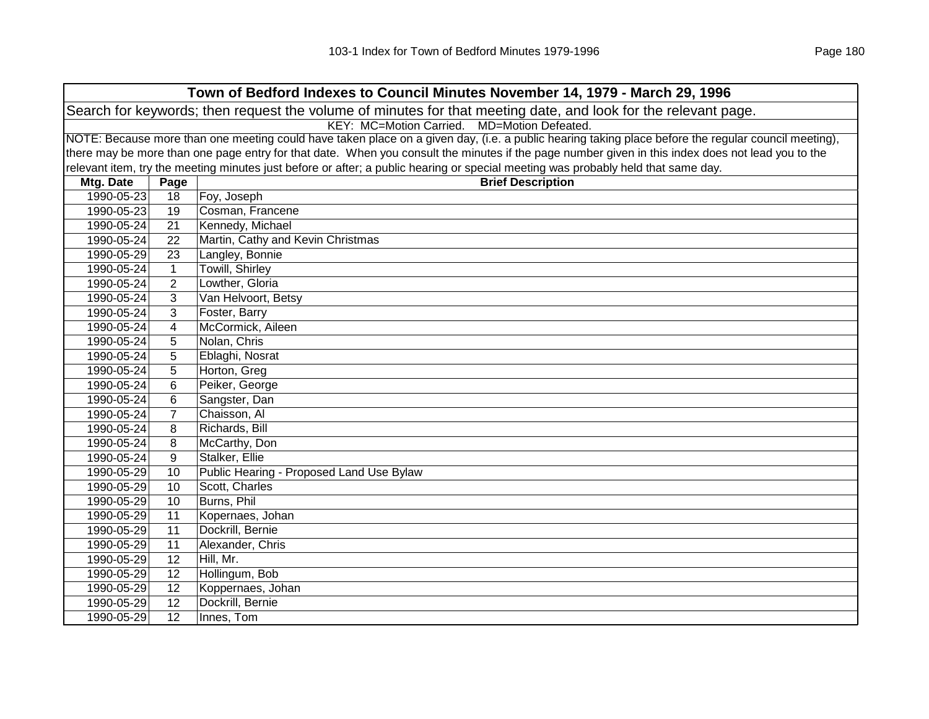| Town of Bedford Indexes to Council Minutes November 14, 1979 - March 29, 1996                                  |                                                                                                                                                     |                                                                                                                                                   |  |  |  |
|----------------------------------------------------------------------------------------------------------------|-----------------------------------------------------------------------------------------------------------------------------------------------------|---------------------------------------------------------------------------------------------------------------------------------------------------|--|--|--|
| Search for keywords; then request the volume of minutes for that meeting date, and look for the relevant page. |                                                                                                                                                     |                                                                                                                                                   |  |  |  |
| KEY: MC=Motion Carried. MD=Motion Defeated.                                                                    |                                                                                                                                                     |                                                                                                                                                   |  |  |  |
|                                                                                                                | NOTE: Because more than one meeting could have taken place on a given day, (i.e. a public hearing taking place before the regular council meeting), |                                                                                                                                                   |  |  |  |
|                                                                                                                |                                                                                                                                                     | there may be more than one page entry for that date. When you consult the minutes if the page number given in this index does not lead you to the |  |  |  |
|                                                                                                                |                                                                                                                                                     | relevant item, try the meeting minutes just before or after; a public hearing or special meeting was probably held that same day.                 |  |  |  |
| Mtg. Date                                                                                                      | Page                                                                                                                                                | <b>Brief Description</b>                                                                                                                          |  |  |  |
| 1990-05-23                                                                                                     | 18                                                                                                                                                  | Foy, Joseph                                                                                                                                       |  |  |  |
| 1990-05-23                                                                                                     | 19                                                                                                                                                  | Cosman, Francene                                                                                                                                  |  |  |  |
| 1990-05-24                                                                                                     | 21                                                                                                                                                  | Kennedy, Michael                                                                                                                                  |  |  |  |
| 1990-05-24                                                                                                     | 22                                                                                                                                                  | Martin, Cathy and Kevin Christmas                                                                                                                 |  |  |  |
| 1990-05-29                                                                                                     | 23                                                                                                                                                  | Langley, Bonnie                                                                                                                                   |  |  |  |
| 1990-05-24                                                                                                     | $\mathbf{1}$                                                                                                                                        | Towill, Shirley                                                                                                                                   |  |  |  |
| 1990-05-24                                                                                                     | $\overline{2}$                                                                                                                                      | Lowther, Gloria                                                                                                                                   |  |  |  |
| 1990-05-24                                                                                                     | 3                                                                                                                                                   | Van Helvoort, Betsy                                                                                                                               |  |  |  |
| 1990-05-24                                                                                                     | 3                                                                                                                                                   | Foster, Barry                                                                                                                                     |  |  |  |
| 1990-05-24                                                                                                     | 4                                                                                                                                                   | McCormick, Aileen                                                                                                                                 |  |  |  |
| 1990-05-24                                                                                                     | 5                                                                                                                                                   | Nolan, Chris                                                                                                                                      |  |  |  |
| 1990-05-24                                                                                                     | 5                                                                                                                                                   | Eblaghi, Nosrat                                                                                                                                   |  |  |  |
| 1990-05-24                                                                                                     | 5                                                                                                                                                   | Horton, Greg                                                                                                                                      |  |  |  |
| 1990-05-24                                                                                                     | 6                                                                                                                                                   | Peiker, George                                                                                                                                    |  |  |  |
| 1990-05-24                                                                                                     | 6                                                                                                                                                   | Sangster, Dan                                                                                                                                     |  |  |  |
| 1990-05-24                                                                                                     | $\overline{7}$                                                                                                                                      | Chaisson, Al                                                                                                                                      |  |  |  |
| 1990-05-24                                                                                                     | 8                                                                                                                                                   | Richards, Bill                                                                                                                                    |  |  |  |
| 1990-05-24                                                                                                     | 8                                                                                                                                                   | McCarthy, Don                                                                                                                                     |  |  |  |
| 1990-05-24                                                                                                     | 9                                                                                                                                                   | Stalker, Ellie                                                                                                                                    |  |  |  |
| 1990-05-29                                                                                                     | 10                                                                                                                                                  | Public Hearing - Proposed Land Use Bylaw                                                                                                          |  |  |  |
| 1990-05-29                                                                                                     | 10                                                                                                                                                  | Scott, Charles                                                                                                                                    |  |  |  |
| 1990-05-29                                                                                                     | 10                                                                                                                                                  | Burns, Phil                                                                                                                                       |  |  |  |
| 1990-05-29                                                                                                     | 11                                                                                                                                                  | Kopernaes, Johan                                                                                                                                  |  |  |  |
| 1990-05-29                                                                                                     | 11                                                                                                                                                  | Dockrill, Bernie                                                                                                                                  |  |  |  |
| 1990-05-29                                                                                                     | 11                                                                                                                                                  | Alexander, Chris                                                                                                                                  |  |  |  |
| 1990-05-29                                                                                                     | 12                                                                                                                                                  | Hill, Mr.                                                                                                                                         |  |  |  |
| 1990-05-29                                                                                                     | 12                                                                                                                                                  | Hollingum, Bob                                                                                                                                    |  |  |  |
| 1990-05-29                                                                                                     | 12                                                                                                                                                  | Koppernaes, Johan                                                                                                                                 |  |  |  |
| 1990-05-29                                                                                                     | 12                                                                                                                                                  | Dockrill, Bernie                                                                                                                                  |  |  |  |
| 1990-05-29                                                                                                     | 12                                                                                                                                                  | Innes, Tom                                                                                                                                        |  |  |  |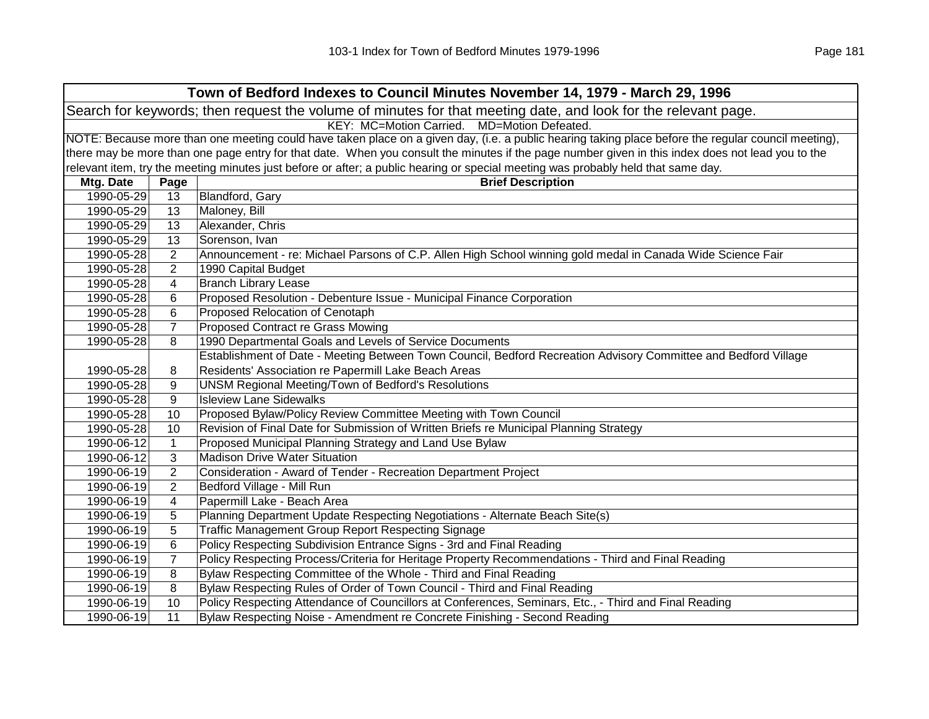|            | Town of Bedford Indexes to Council Minutes November 14, 1979 - March 29, 1996                                  |                                                                                                                                                     |  |  |
|------------|----------------------------------------------------------------------------------------------------------------|-----------------------------------------------------------------------------------------------------------------------------------------------------|--|--|
|            | Search for keywords; then request the volume of minutes for that meeting date, and look for the relevant page. |                                                                                                                                                     |  |  |
|            |                                                                                                                | KEY: MC=Motion Carried. MD=Motion Defeated.                                                                                                         |  |  |
|            |                                                                                                                | NOTE: Because more than one meeting could have taken place on a given day, (i.e. a public hearing taking place before the regular council meeting), |  |  |
|            |                                                                                                                | there may be more than one page entry for that date. When you consult the minutes if the page number given in this index does not lead you to the   |  |  |
|            |                                                                                                                | relevant item, try the meeting minutes just before or after; a public hearing or special meeting was probably held that same day.                   |  |  |
| Mtg. Date  | Page                                                                                                           | <b>Brief Description</b>                                                                                                                            |  |  |
| 1990-05-29 | 13                                                                                                             | Blandford, Gary                                                                                                                                     |  |  |
| 1990-05-29 | 13                                                                                                             | Maloney, Bill                                                                                                                                       |  |  |
| 1990-05-29 | 13                                                                                                             | Alexander, Chris                                                                                                                                    |  |  |
| 1990-05-29 | 13                                                                                                             | Sorenson, Ivan                                                                                                                                      |  |  |
| 1990-05-28 | $\overline{2}$                                                                                                 | Announcement - re: Michael Parsons of C.P. Allen High School winning gold medal in Canada Wide Science Fair                                         |  |  |
| 1990-05-28 | $\overline{2}$                                                                                                 | 1990 Capital Budget                                                                                                                                 |  |  |
| 1990-05-28 | 4                                                                                                              | <b>Branch Library Lease</b>                                                                                                                         |  |  |
| 1990-05-28 | 6                                                                                                              | Proposed Resolution - Debenture Issue - Municipal Finance Corporation                                                                               |  |  |
| 1990-05-28 | 6                                                                                                              | Proposed Relocation of Cenotaph                                                                                                                     |  |  |
| 1990-05-28 | $\overline{7}$                                                                                                 | Proposed Contract re Grass Mowing                                                                                                                   |  |  |
| 1990-05-28 | 8                                                                                                              | 1990 Departmental Goals and Levels of Service Documents                                                                                             |  |  |
|            |                                                                                                                | Establishment of Date - Meeting Between Town Council, Bedford Recreation Advisory Committee and Bedford Village                                     |  |  |
| 1990-05-28 | 8                                                                                                              | Residents' Association re Papermill Lake Beach Areas                                                                                                |  |  |
| 1990-05-28 | 9                                                                                                              | <b>UNSM Regional Meeting/Town of Bedford's Resolutions</b>                                                                                          |  |  |
| 1990-05-28 | 9                                                                                                              | <b>Isleview Lane Sidewalks</b>                                                                                                                      |  |  |
| 1990-05-28 | 10                                                                                                             | Proposed Bylaw/Policy Review Committee Meeting with Town Council                                                                                    |  |  |
| 1990-05-28 | 10                                                                                                             | Revision of Final Date for Submission of Written Briefs re Municipal Planning Strategy                                                              |  |  |
| 1990-06-12 | $\mathbf{1}$                                                                                                   | Proposed Municipal Planning Strategy and Land Use Bylaw                                                                                             |  |  |
| 1990-06-12 | 3                                                                                                              | <b>Madison Drive Water Situation</b>                                                                                                                |  |  |
| 1990-06-19 | $\overline{2}$                                                                                                 | Consideration - Award of Tender - Recreation Department Project                                                                                     |  |  |
| 1990-06-19 | $\overline{2}$                                                                                                 | Bedford Village - Mill Run                                                                                                                          |  |  |
| 1990-06-19 | 4                                                                                                              | Papermill Lake - Beach Area                                                                                                                         |  |  |
| 1990-06-19 | 5                                                                                                              | Planning Department Update Respecting Negotiations - Alternate Beach Site(s)                                                                        |  |  |
| 1990-06-19 | 5                                                                                                              | Traffic Management Group Report Respecting Signage                                                                                                  |  |  |
| 1990-06-19 | 6                                                                                                              | Policy Respecting Subdivision Entrance Signs - 3rd and Final Reading                                                                                |  |  |
| 1990-06-19 | $\overline{7}$                                                                                                 | Policy Respecting Process/Criteria for Heritage Property Recommendations - Third and Final Reading                                                  |  |  |
| 1990-06-19 | 8                                                                                                              | Bylaw Respecting Committee of the Whole - Third and Final Reading                                                                                   |  |  |
| 1990-06-19 | 8                                                                                                              | Bylaw Respecting Rules of Order of Town Council - Third and Final Reading                                                                           |  |  |
| 1990-06-19 | 10                                                                                                             | Policy Respecting Attendance of Councillors at Conferences, Seminars, Etc., - Third and Final Reading                                               |  |  |
| 1990-06-19 | 11                                                                                                             | Bylaw Respecting Noise - Amendment re Concrete Finishing - Second Reading                                                                           |  |  |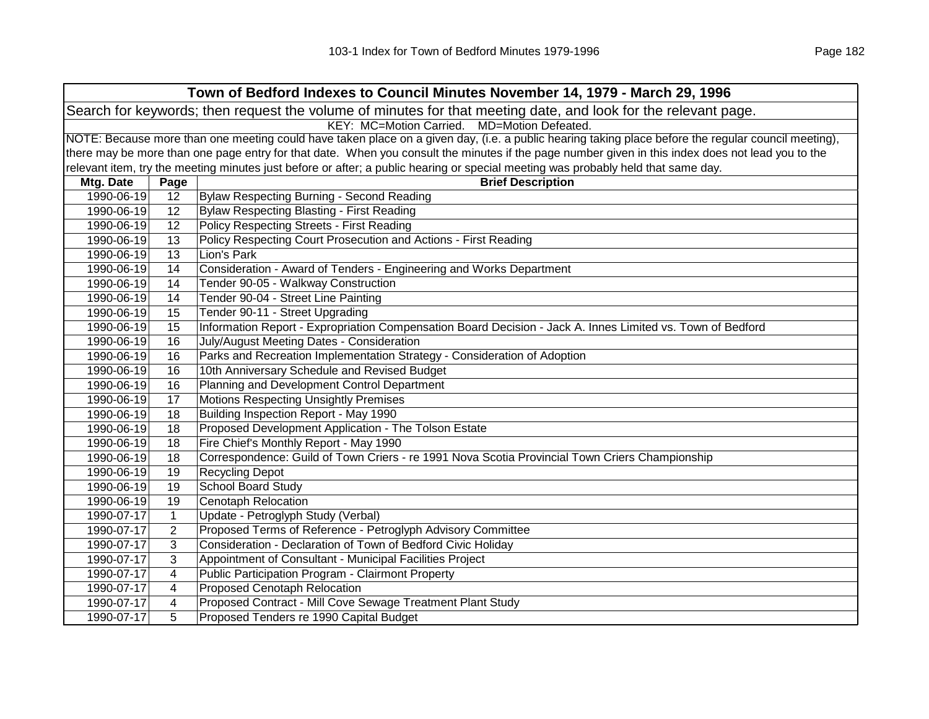| Town of Bedford Indexes to Council Minutes November 14, 1979 - March 29, 1996                                  |                                                                                                                                                     |                                                                                                                                                   |  |  |
|----------------------------------------------------------------------------------------------------------------|-----------------------------------------------------------------------------------------------------------------------------------------------------|---------------------------------------------------------------------------------------------------------------------------------------------------|--|--|
| Search for keywords; then request the volume of minutes for that meeting date, and look for the relevant page. |                                                                                                                                                     |                                                                                                                                                   |  |  |
|                                                                                                                | KEY: MC=Motion Carried. MD=Motion Defeated.                                                                                                         |                                                                                                                                                   |  |  |
|                                                                                                                | NOTE: Because more than one meeting could have taken place on a given day, (i.e. a public hearing taking place before the regular council meeting), |                                                                                                                                                   |  |  |
|                                                                                                                |                                                                                                                                                     | there may be more than one page entry for that date. When you consult the minutes if the page number given in this index does not lead you to the |  |  |
|                                                                                                                |                                                                                                                                                     | relevant item, try the meeting minutes just before or after; a public hearing or special meeting was probably held that same day.                 |  |  |
| Mtg. Date                                                                                                      | Page                                                                                                                                                | <b>Brief Description</b>                                                                                                                          |  |  |
| 1990-06-19                                                                                                     | 12 <sup>2</sup>                                                                                                                                     | Bylaw Respecting Burning - Second Reading                                                                                                         |  |  |
| 1990-06-19                                                                                                     | 12                                                                                                                                                  | Bylaw Respecting Blasting - First Reading                                                                                                         |  |  |
| 1990-06-19                                                                                                     | 12                                                                                                                                                  | Policy Respecting Streets - First Reading                                                                                                         |  |  |
| 1990-06-19                                                                                                     | 13                                                                                                                                                  | Policy Respecting Court Prosecution and Actions - First Reading                                                                                   |  |  |
| 1990-06-19                                                                                                     | 13                                                                                                                                                  | Lion's Park                                                                                                                                       |  |  |
| 1990-06-19                                                                                                     | 14                                                                                                                                                  | Consideration - Award of Tenders - Engineering and Works Department                                                                               |  |  |
| 1990-06-19                                                                                                     | 14                                                                                                                                                  | Tender 90-05 - Walkway Construction                                                                                                               |  |  |
| 1990-06-19                                                                                                     | 14                                                                                                                                                  | Tender 90-04 - Street Line Painting                                                                                                               |  |  |
| 1990-06-19                                                                                                     | 15                                                                                                                                                  | Tender 90-11 - Street Upgrading                                                                                                                   |  |  |
| 1990-06-19                                                                                                     | 15                                                                                                                                                  | Information Report - Expropriation Compensation Board Decision - Jack A. Innes Limited vs. Town of Bedford                                        |  |  |
| 1990-06-19                                                                                                     | 16                                                                                                                                                  | July/August Meeting Dates - Consideration                                                                                                         |  |  |
| 1990-06-19                                                                                                     | 16                                                                                                                                                  | Parks and Recreation Implementation Strategy - Consideration of Adoption                                                                          |  |  |
| 1990-06-19                                                                                                     | 16                                                                                                                                                  | 10th Anniversary Schedule and Revised Budget                                                                                                      |  |  |
| 1990-06-19                                                                                                     | 16                                                                                                                                                  | Planning and Development Control Department                                                                                                       |  |  |
| 1990-06-19                                                                                                     | 17                                                                                                                                                  | <b>Motions Respecting Unsightly Premises</b>                                                                                                      |  |  |
| 1990-06-19                                                                                                     | 18                                                                                                                                                  | Building Inspection Report - May 1990                                                                                                             |  |  |
| 1990-06-19                                                                                                     | 18                                                                                                                                                  | Proposed Development Application - The Tolson Estate                                                                                              |  |  |
| 1990-06-19                                                                                                     | 18                                                                                                                                                  | Fire Chief's Monthly Report - May 1990                                                                                                            |  |  |
| 1990-06-19                                                                                                     | 18                                                                                                                                                  | Correspondence: Guild of Town Criers - re 1991 Nova Scotia Provincial Town Criers Championship                                                    |  |  |
| 1990-06-19                                                                                                     | 19                                                                                                                                                  | <b>Recycling Depot</b>                                                                                                                            |  |  |
| 1990-06-19                                                                                                     | 19                                                                                                                                                  | <b>School Board Study</b>                                                                                                                         |  |  |
| 1990-06-19                                                                                                     | 19                                                                                                                                                  | <b>Cenotaph Relocation</b>                                                                                                                        |  |  |
| 1990-07-17                                                                                                     | $\mathbf{1}$                                                                                                                                        | Update - Petroglyph Study (Verbal)                                                                                                                |  |  |
| 1990-07-17                                                                                                     | $\overline{2}$                                                                                                                                      | Proposed Terms of Reference - Petroglyph Advisory Committee                                                                                       |  |  |
| 1990-07-17                                                                                                     | 3                                                                                                                                                   | Consideration - Declaration of Town of Bedford Civic Holiday                                                                                      |  |  |
| 1990-07-17                                                                                                     | 3                                                                                                                                                   | Appointment of Consultant - Municipal Facilities Project                                                                                          |  |  |
| 1990-07-17                                                                                                     | 4                                                                                                                                                   | Public Participation Program - Clairmont Property                                                                                                 |  |  |
| 1990-07-17                                                                                                     | 4                                                                                                                                                   | Proposed Cenotaph Relocation                                                                                                                      |  |  |
| 1990-07-17                                                                                                     | 4                                                                                                                                                   | Proposed Contract - Mill Cove Sewage Treatment Plant Study                                                                                        |  |  |
| 1990-07-17                                                                                                     | 5                                                                                                                                                   | Proposed Tenders re 1990 Capital Budget                                                                                                           |  |  |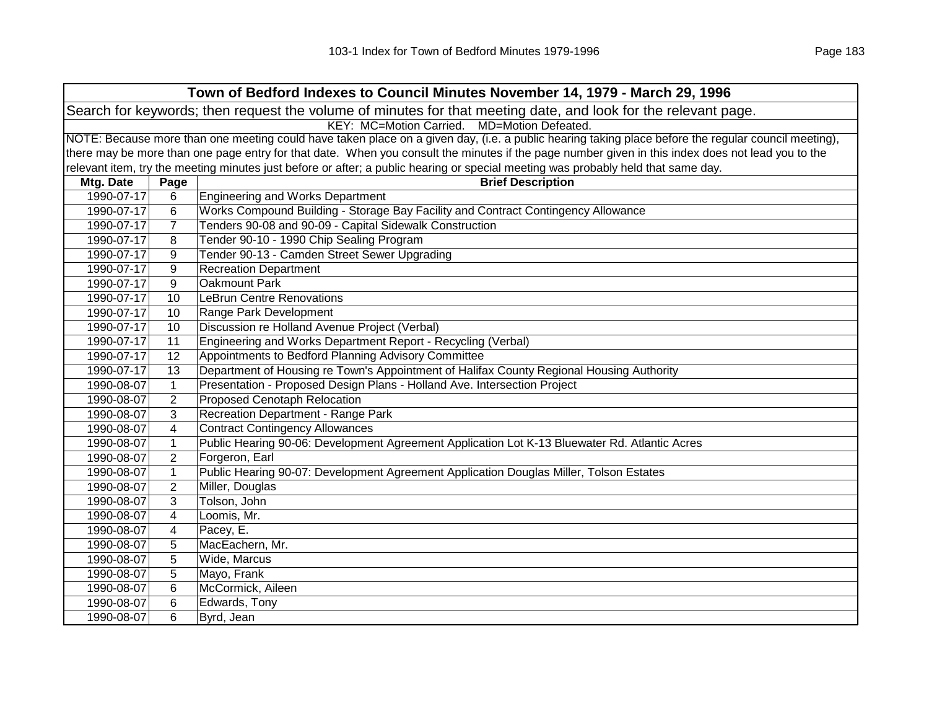| Town of Bedford Indexes to Council Minutes November 14, 1979 - March 29, 1996 |                                                                                                                |                                                                                                                                                     |  |  |
|-------------------------------------------------------------------------------|----------------------------------------------------------------------------------------------------------------|-----------------------------------------------------------------------------------------------------------------------------------------------------|--|--|
|                                                                               | Search for keywords; then request the volume of minutes for that meeting date, and look for the relevant page. |                                                                                                                                                     |  |  |
|                                                                               | KEY: MC=Motion Carried. MD=Motion Defeated.                                                                    |                                                                                                                                                     |  |  |
|                                                                               |                                                                                                                | NOTE: Because more than one meeting could have taken place on a given day, (i.e. a public hearing taking place before the regular council meeting), |  |  |
|                                                                               |                                                                                                                | there may be more than one page entry for that date. When you consult the minutes if the page number given in this index does not lead you to the   |  |  |
|                                                                               |                                                                                                                | relevant item, try the meeting minutes just before or after; a public hearing or special meeting was probably held that same day.                   |  |  |
| Mtg. Date                                                                     | Page                                                                                                           | <b>Brief Description</b>                                                                                                                            |  |  |
| 1990-07-17                                                                    | 6                                                                                                              | <b>Engineering and Works Department</b>                                                                                                             |  |  |
| 1990-07-17                                                                    | 6                                                                                                              | Works Compound Building - Storage Bay Facility and Contract Contingency Allowance                                                                   |  |  |
| 1990-07-17                                                                    | $\overline{7}$                                                                                                 | Tenders 90-08 and 90-09 - Capital Sidewalk Construction                                                                                             |  |  |
| 1990-07-17                                                                    | 8                                                                                                              | Tender 90-10 - 1990 Chip Sealing Program                                                                                                            |  |  |
| 1990-07-17                                                                    | 9                                                                                                              | Tender 90-13 - Camden Street Sewer Upgrading                                                                                                        |  |  |
| 1990-07-17                                                                    | 9                                                                                                              | <b>Recreation Department</b>                                                                                                                        |  |  |
| 1990-07-17                                                                    | 9                                                                                                              | Oakmount Park                                                                                                                                       |  |  |
| 1990-07-17                                                                    | 10                                                                                                             | <b>LeBrun Centre Renovations</b>                                                                                                                    |  |  |
| 1990-07-17                                                                    | 10                                                                                                             | Range Park Development                                                                                                                              |  |  |
| 1990-07-17                                                                    | 10                                                                                                             | Discussion re Holland Avenue Project (Verbal)                                                                                                       |  |  |
| 1990-07-17                                                                    | 11                                                                                                             | Engineering and Works Department Report - Recycling (Verbal)                                                                                        |  |  |
| 1990-07-17                                                                    | 12                                                                                                             | Appointments to Bedford Planning Advisory Committee                                                                                                 |  |  |
| 1990-07-17                                                                    | 13                                                                                                             | Department of Housing re Town's Appointment of Halifax County Regional Housing Authority                                                            |  |  |
| 1990-08-07                                                                    | $\mathbf{1}$                                                                                                   | Presentation - Proposed Design Plans - Holland Ave. Intersection Project                                                                            |  |  |
| 1990-08-07                                                                    | $\overline{2}$                                                                                                 | <b>Proposed Cenotaph Relocation</b>                                                                                                                 |  |  |
| 1990-08-07                                                                    | 3                                                                                                              | Recreation Department - Range Park                                                                                                                  |  |  |
| 1990-08-07                                                                    | 4                                                                                                              | <b>Contract Contingency Allowances</b>                                                                                                              |  |  |
| 1990-08-07                                                                    | $\mathbf{1}$                                                                                                   | Public Hearing 90-06: Development Agreement Application Lot K-13 Bluewater Rd. Atlantic Acres                                                       |  |  |
| 1990-08-07                                                                    | $\overline{2}$                                                                                                 | Forgeron, Earl                                                                                                                                      |  |  |
| 1990-08-07                                                                    | $\mathbf{1}$                                                                                                   | Public Hearing 90-07: Development Agreement Application Douglas Miller, Tolson Estates                                                              |  |  |
| 1990-08-07                                                                    | $\overline{2}$                                                                                                 | Miller, Douglas                                                                                                                                     |  |  |
| 1990-08-07                                                                    | 3                                                                                                              | Tolson, John                                                                                                                                        |  |  |
| 1990-08-07                                                                    | 4                                                                                                              | Loomis, Mr.                                                                                                                                         |  |  |
| 1990-08-07                                                                    | 4                                                                                                              | Pacey, E.                                                                                                                                           |  |  |
| 1990-08-07                                                                    | 5                                                                                                              | MacEachern, Mr.                                                                                                                                     |  |  |
| 1990-08-07                                                                    | 5                                                                                                              | Wide, Marcus                                                                                                                                        |  |  |
| 1990-08-07                                                                    | 5                                                                                                              | Mayo, Frank                                                                                                                                         |  |  |
| 1990-08-07                                                                    | 6                                                                                                              | McCormick, Aileen                                                                                                                                   |  |  |
| 1990-08-07                                                                    | 6                                                                                                              | Edwards, Tony                                                                                                                                       |  |  |
| 1990-08-07                                                                    | 6                                                                                                              | Byrd, Jean                                                                                                                                          |  |  |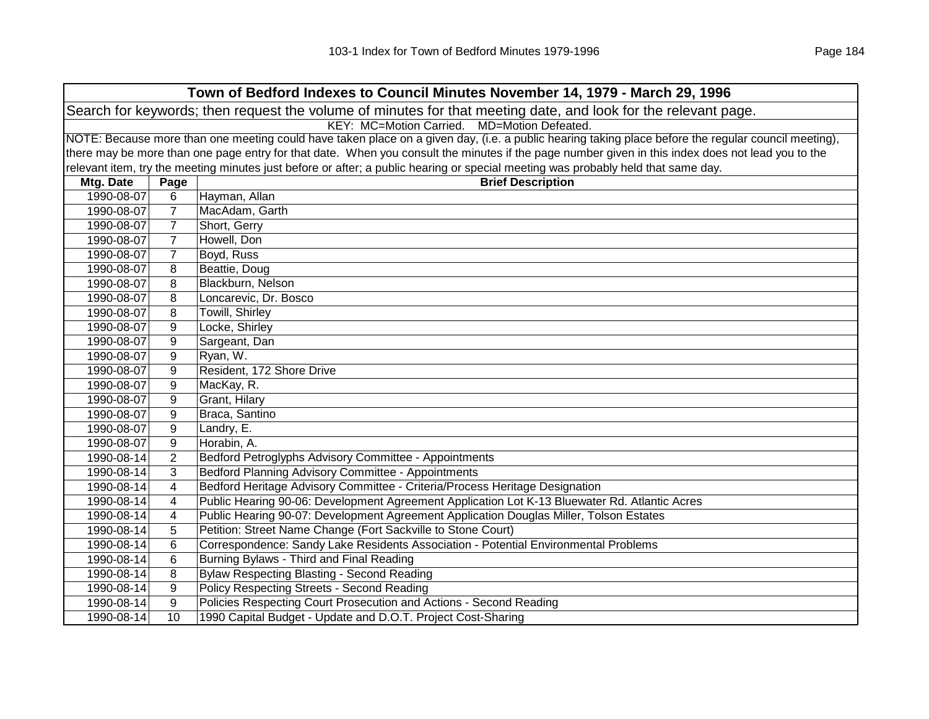| Town of Bedford Indexes to Council Minutes November 14, 1979 - March 29, 1996 |                                                                                                                |                                                                                                                                                     |  |  |
|-------------------------------------------------------------------------------|----------------------------------------------------------------------------------------------------------------|-----------------------------------------------------------------------------------------------------------------------------------------------------|--|--|
|                                                                               | Search for keywords; then request the volume of minutes for that meeting date, and look for the relevant page. |                                                                                                                                                     |  |  |
|                                                                               |                                                                                                                | KEY: MC=Motion Carried. MD=Motion Defeated.                                                                                                         |  |  |
|                                                                               |                                                                                                                | NOTE: Because more than one meeting could have taken place on a given day, (i.e. a public hearing taking place before the regular council meeting), |  |  |
|                                                                               |                                                                                                                | there may be more than one page entry for that date. When you consult the minutes if the page number given in this index does not lead you to the   |  |  |
|                                                                               |                                                                                                                | relevant item, try the meeting minutes just before or after; a public hearing or special meeting was probably held that same day.                   |  |  |
| Mtg. Date                                                                     | Page                                                                                                           | <b>Brief Description</b>                                                                                                                            |  |  |
| 1990-08-07                                                                    | 6                                                                                                              | Hayman, Allan                                                                                                                                       |  |  |
| 1990-08-07                                                                    | $\overline{7}$                                                                                                 | MacAdam, Garth                                                                                                                                      |  |  |
| 1990-08-07                                                                    | 7                                                                                                              | Short, Gerry                                                                                                                                        |  |  |
| 1990-08-07                                                                    | $\overline{7}$                                                                                                 | Howell, Don                                                                                                                                         |  |  |
| 1990-08-07                                                                    | $\overline{7}$                                                                                                 | Boyd, Russ                                                                                                                                          |  |  |
| 1990-08-07                                                                    | 8                                                                                                              | Beattie, Doug                                                                                                                                       |  |  |
| 1990-08-07                                                                    | 8                                                                                                              | Blackburn, Nelson                                                                                                                                   |  |  |
| 1990-08-07                                                                    | 8                                                                                                              | Loncarevic, Dr. Bosco                                                                                                                               |  |  |
| 1990-08-07                                                                    | 8                                                                                                              | Towill, Shirley                                                                                                                                     |  |  |
| 1990-08-07                                                                    | 9                                                                                                              | Locke, Shirley                                                                                                                                      |  |  |
| 1990-08-07                                                                    | 9                                                                                                              | Sargeant, Dan                                                                                                                                       |  |  |
| 1990-08-07                                                                    | 9                                                                                                              | Ryan, W.                                                                                                                                            |  |  |
| 1990-08-07                                                                    | 9                                                                                                              | Resident, 172 Shore Drive                                                                                                                           |  |  |
| 1990-08-07                                                                    | 9                                                                                                              | MacKay, R.                                                                                                                                          |  |  |
| 1990-08-07                                                                    | 9                                                                                                              | Grant, Hilary                                                                                                                                       |  |  |
| 1990-08-07                                                                    | 9                                                                                                              | Braca, Santino                                                                                                                                      |  |  |
| 1990-08-07                                                                    | 9                                                                                                              | Landry, E.                                                                                                                                          |  |  |
| 1990-08-07                                                                    | 9                                                                                                              | Horabin, A.                                                                                                                                         |  |  |
| 1990-08-14                                                                    | $\overline{2}$                                                                                                 | Bedford Petroglyphs Advisory Committee - Appointments                                                                                               |  |  |
| 1990-08-14                                                                    | 3                                                                                                              | Bedford Planning Advisory Committee - Appointments                                                                                                  |  |  |
| 1990-08-14                                                                    | 4                                                                                                              | Bedford Heritage Advisory Committee - Criteria/Process Heritage Designation                                                                         |  |  |
| 1990-08-14                                                                    | 4                                                                                                              | Public Hearing 90-06: Development Agreement Application Lot K-13 Bluewater Rd. Atlantic Acres                                                       |  |  |
| 1990-08-14                                                                    | 4                                                                                                              | Public Hearing 90-07: Development Agreement Application Douglas Miller, Tolson Estates                                                              |  |  |
| 1990-08-14                                                                    | 5                                                                                                              | Petition: Street Name Change (Fort Sackville to Stone Court)                                                                                        |  |  |
| 1990-08-14                                                                    | 6                                                                                                              | Correspondence: Sandy Lake Residents Association - Potential Environmental Problems                                                                 |  |  |
| 1990-08-14                                                                    | 6                                                                                                              | Burning Bylaws - Third and Final Reading                                                                                                            |  |  |
| 1990-08-14                                                                    | 8                                                                                                              | <b>Bylaw Respecting Blasting - Second Reading</b>                                                                                                   |  |  |
| 1990-08-14                                                                    | 9                                                                                                              | <b>Policy Respecting Streets - Second Reading</b>                                                                                                   |  |  |
| 1990-08-14                                                                    | 9                                                                                                              | Policies Respecting Court Prosecution and Actions - Second Reading                                                                                  |  |  |
| 1990-08-14                                                                    | 10                                                                                                             | 1990 Capital Budget - Update and D.O.T. Project Cost-Sharing                                                                                        |  |  |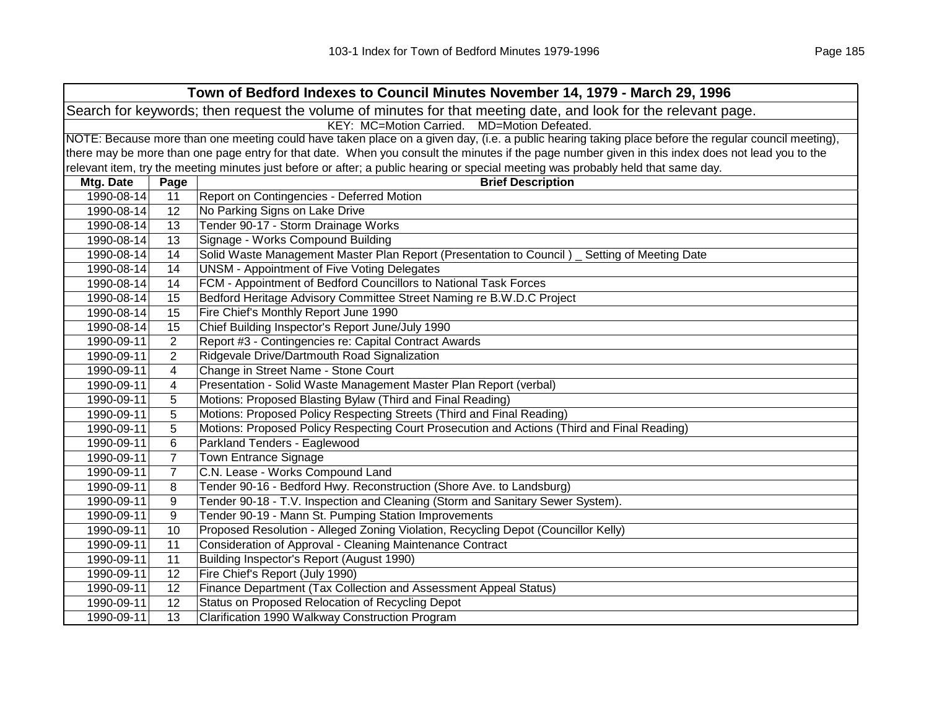| Town of Bedford Indexes to Council Minutes November 14, 1979 - March 29, 1996 |                                                                                                                                                     |                                                                                                                                                   |  |  |
|-------------------------------------------------------------------------------|-----------------------------------------------------------------------------------------------------------------------------------------------------|---------------------------------------------------------------------------------------------------------------------------------------------------|--|--|
|                                                                               | Search for keywords; then request the volume of minutes for that meeting date, and look for the relevant page.                                      |                                                                                                                                                   |  |  |
|                                                                               |                                                                                                                                                     | KEY: MC=Motion Carried. MD=Motion Defeated.                                                                                                       |  |  |
|                                                                               | NOTE: Because more than one meeting could have taken place on a given day, (i.e. a public hearing taking place before the regular council meeting), |                                                                                                                                                   |  |  |
|                                                                               |                                                                                                                                                     | there may be more than one page entry for that date. When you consult the minutes if the page number given in this index does not lead you to the |  |  |
|                                                                               |                                                                                                                                                     | relevant item, try the meeting minutes just before or after; a public hearing or special meeting was probably held that same day.                 |  |  |
| Mtg. Date                                                                     | Page                                                                                                                                                | <b>Brief Description</b>                                                                                                                          |  |  |
| 1990-08-14                                                                    | 11                                                                                                                                                  | Report on Contingencies - Deferred Motion                                                                                                         |  |  |
| 1990-08-14                                                                    | 12                                                                                                                                                  | No Parking Signs on Lake Drive                                                                                                                    |  |  |
| 1990-08-14                                                                    | 13                                                                                                                                                  | Tender 90-17 - Storm Drainage Works                                                                                                               |  |  |
| 1990-08-14                                                                    | 13                                                                                                                                                  | Signage - Works Compound Building                                                                                                                 |  |  |
| 1990-08-14                                                                    | 14                                                                                                                                                  | Solid Waste Management Master Plan Report (Presentation to Council) _ Setting of Meeting Date                                                     |  |  |
| 1990-08-14                                                                    | 14                                                                                                                                                  | <b>UNSM - Appointment of Five Voting Delegates</b>                                                                                                |  |  |
| 1990-08-14                                                                    | 14                                                                                                                                                  | FCM - Appointment of Bedford Councillors to National Task Forces                                                                                  |  |  |
| 1990-08-14                                                                    | 15                                                                                                                                                  | Bedford Heritage Advisory Committee Street Naming re B.W.D.C Project                                                                              |  |  |
| 1990-08-14                                                                    | 15                                                                                                                                                  | Fire Chief's Monthly Report June 1990                                                                                                             |  |  |
| 1990-08-14                                                                    | 15                                                                                                                                                  | Chief Building Inspector's Report June/July 1990                                                                                                  |  |  |
| 1990-09-11                                                                    | $\overline{c}$                                                                                                                                      | Report #3 - Contingencies re: Capital Contract Awards                                                                                             |  |  |
| 1990-09-11                                                                    | $\overline{2}$                                                                                                                                      | Ridgevale Drive/Dartmouth Road Signalization                                                                                                      |  |  |
| 1990-09-11                                                                    | 4                                                                                                                                                   | Change in Street Name - Stone Court                                                                                                               |  |  |
| 1990-09-11                                                                    | 4                                                                                                                                                   | Presentation - Solid Waste Management Master Plan Report (verbal)                                                                                 |  |  |
| 1990-09-11                                                                    | 5                                                                                                                                                   | Motions: Proposed Blasting Bylaw (Third and Final Reading)                                                                                        |  |  |
| 1990-09-11                                                                    | 5                                                                                                                                                   | Motions: Proposed Policy Respecting Streets (Third and Final Reading)                                                                             |  |  |
| 1990-09-11                                                                    | 5                                                                                                                                                   | Motions: Proposed Policy Respecting Court Prosecution and Actions (Third and Final Reading)                                                       |  |  |
| 1990-09-11                                                                    | 6                                                                                                                                                   | Parkland Tenders - Eaglewood                                                                                                                      |  |  |
| 1990-09-11                                                                    | 7                                                                                                                                                   | Town Entrance Signage                                                                                                                             |  |  |
| 1990-09-11                                                                    | $\overline{7}$                                                                                                                                      | C.N. Lease - Works Compound Land                                                                                                                  |  |  |
| 1990-09-11                                                                    | 8                                                                                                                                                   | Tender 90-16 - Bedford Hwy. Reconstruction (Shore Ave. to Landsburg)                                                                              |  |  |
| 1990-09-11                                                                    | 9                                                                                                                                                   | Tender 90-18 - T.V. Inspection and Cleaning (Storm and Sanitary Sewer System).                                                                    |  |  |
| 1990-09-11                                                                    | 9                                                                                                                                                   | Tender 90-19 - Mann St. Pumping Station Improvements                                                                                              |  |  |
| 1990-09-11                                                                    | 10                                                                                                                                                  | Proposed Resolution - Alleged Zoning Violation, Recycling Depot (Councillor Kelly)                                                                |  |  |
| 1990-09-11                                                                    | 11                                                                                                                                                  | Consideration of Approval - Cleaning Maintenance Contract                                                                                         |  |  |
| 1990-09-11                                                                    | 11                                                                                                                                                  | Building Inspector's Report (August 1990)                                                                                                         |  |  |
| 1990-09-11                                                                    | 12                                                                                                                                                  | Fire Chief's Report (July 1990)                                                                                                                   |  |  |
| 1990-09-11                                                                    | 12                                                                                                                                                  | Finance Department (Tax Collection and Assessment Appeal Status)                                                                                  |  |  |
| 1990-09-11                                                                    | 12                                                                                                                                                  | Status on Proposed Relocation of Recycling Depot                                                                                                  |  |  |
| 1990-09-11                                                                    | 13                                                                                                                                                  | Clarification 1990 Walkway Construction Program                                                                                                   |  |  |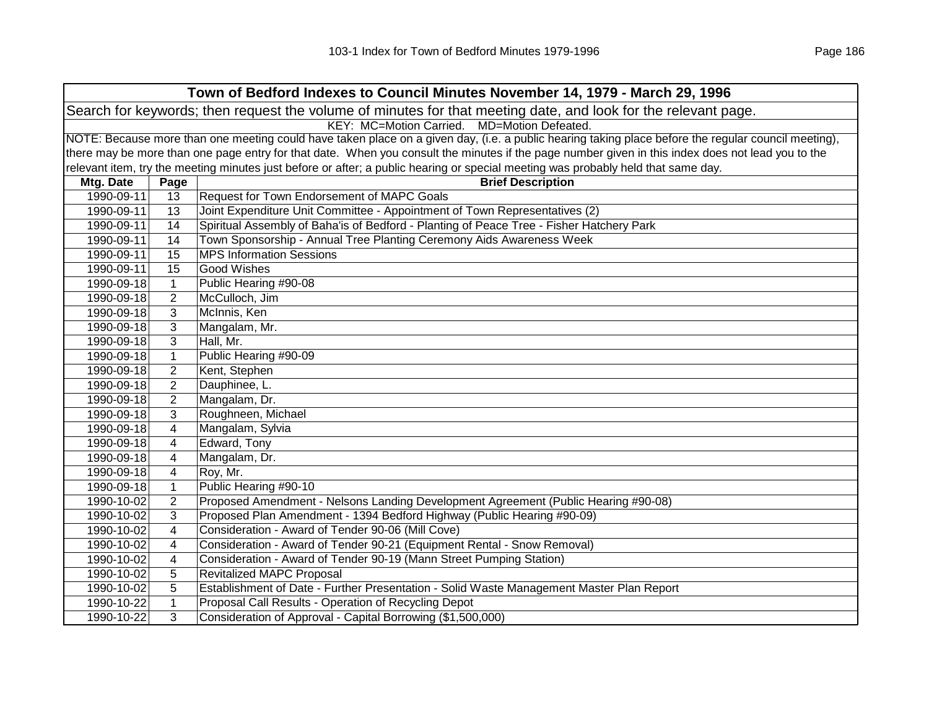|                                                                                                                | Town of Bedford Indexes to Council Minutes November 14, 1979 - March 29, 1996                                                                       |                                                                                                                                                   |  |  |  |
|----------------------------------------------------------------------------------------------------------------|-----------------------------------------------------------------------------------------------------------------------------------------------------|---------------------------------------------------------------------------------------------------------------------------------------------------|--|--|--|
| Search for keywords; then request the volume of minutes for that meeting date, and look for the relevant page. |                                                                                                                                                     |                                                                                                                                                   |  |  |  |
|                                                                                                                |                                                                                                                                                     | KEY: MC=Motion Carried. MD=Motion Defeated.                                                                                                       |  |  |  |
|                                                                                                                | NOTE: Because more than one meeting could have taken place on a given day, (i.e. a public hearing taking place before the regular council meeting), |                                                                                                                                                   |  |  |  |
|                                                                                                                |                                                                                                                                                     | there may be more than one page entry for that date. When you consult the minutes if the page number given in this index does not lead you to the |  |  |  |
|                                                                                                                |                                                                                                                                                     | relevant item, try the meeting minutes just before or after; a public hearing or special meeting was probably held that same day.                 |  |  |  |
| Mtg. Date                                                                                                      | Page                                                                                                                                                | <b>Brief Description</b>                                                                                                                          |  |  |  |
| 1990-09-11                                                                                                     | 13                                                                                                                                                  | Request for Town Endorsement of MAPC Goals                                                                                                        |  |  |  |
| 1990-09-11                                                                                                     | 13                                                                                                                                                  | Joint Expenditure Unit Committee - Appointment of Town Representatives (2)                                                                        |  |  |  |
| 1990-09-11                                                                                                     | 14                                                                                                                                                  | Spiritual Assembly of Baha'is of Bedford - Planting of Peace Tree - Fisher Hatchery Park                                                          |  |  |  |
| 1990-09-11                                                                                                     | 14                                                                                                                                                  | Town Sponsorship - Annual Tree Planting Ceremony Aids Awareness Week                                                                              |  |  |  |
| 1990-09-11                                                                                                     | 15                                                                                                                                                  | <b>MPS Information Sessions</b>                                                                                                                   |  |  |  |
| 1990-09-11                                                                                                     | 15                                                                                                                                                  | <b>Good Wishes</b>                                                                                                                                |  |  |  |
| 1990-09-18                                                                                                     | $\mathbf{1}$                                                                                                                                        | Public Hearing #90-08                                                                                                                             |  |  |  |
| 1990-09-18                                                                                                     | 2                                                                                                                                                   | McCulloch, Jim                                                                                                                                    |  |  |  |
| 1990-09-18                                                                                                     | 3                                                                                                                                                   | McInnis, Ken                                                                                                                                      |  |  |  |
| 1990-09-18                                                                                                     | 3                                                                                                                                                   | Mangalam, Mr.                                                                                                                                     |  |  |  |
| 1990-09-18                                                                                                     | 3                                                                                                                                                   | Hall, Mr.                                                                                                                                         |  |  |  |
| 1990-09-18                                                                                                     | $\mathbf{1}$                                                                                                                                        | Public Hearing #90-09                                                                                                                             |  |  |  |
| 1990-09-18                                                                                                     | $\overline{2}$                                                                                                                                      | Kent, Stephen                                                                                                                                     |  |  |  |
| 1990-09-18                                                                                                     | 2                                                                                                                                                   | Dauphinee, L.                                                                                                                                     |  |  |  |
| 1990-09-18                                                                                                     | 2                                                                                                                                                   | Mangalam, Dr.                                                                                                                                     |  |  |  |
| 1990-09-18                                                                                                     | 3                                                                                                                                                   | Roughneen, Michael                                                                                                                                |  |  |  |
| 1990-09-18                                                                                                     | 4                                                                                                                                                   | Mangalam, Sylvia                                                                                                                                  |  |  |  |
| 1990-09-18                                                                                                     | 4                                                                                                                                                   | Edward, Tony                                                                                                                                      |  |  |  |
| 1990-09-18                                                                                                     | 4                                                                                                                                                   | Mangalam, Dr.                                                                                                                                     |  |  |  |
| 1990-09-18                                                                                                     | 4                                                                                                                                                   | Roy, Mr.                                                                                                                                          |  |  |  |
| 1990-09-18                                                                                                     | $\mathbf 1$                                                                                                                                         | Public Hearing #90-10                                                                                                                             |  |  |  |
| 1990-10-02                                                                                                     | $\overline{2}$                                                                                                                                      | Proposed Amendment - Nelsons Landing Development Agreement (Public Hearing #90-08)                                                                |  |  |  |
| 1990-10-02                                                                                                     | 3                                                                                                                                                   | Proposed Plan Amendment - 1394 Bedford Highway (Public Hearing #90-09)                                                                            |  |  |  |
| 1990-10-02                                                                                                     | 4                                                                                                                                                   | Consideration - Award of Tender 90-06 (Mill Cove)                                                                                                 |  |  |  |
| 1990-10-02                                                                                                     | 4                                                                                                                                                   | Consideration - Award of Tender 90-21 (Equipment Rental - Snow Removal)                                                                           |  |  |  |
| 1990-10-02                                                                                                     | 4                                                                                                                                                   | Consideration - Award of Tender 90-19 (Mann Street Pumping Station)                                                                               |  |  |  |
| 1990-10-02                                                                                                     | 5                                                                                                                                                   | <b>Revitalized MAPC Proposal</b>                                                                                                                  |  |  |  |
| 1990-10-02                                                                                                     | 5                                                                                                                                                   | Establishment of Date - Further Presentation - Solid Waste Management Master Plan Report                                                          |  |  |  |
| 1990-10-22                                                                                                     | 1                                                                                                                                                   | Proposal Call Results - Operation of Recycling Depot                                                                                              |  |  |  |
| 1990-10-22                                                                                                     | 3                                                                                                                                                   | Consideration of Approval - Capital Borrowing (\$1,500,000)                                                                                       |  |  |  |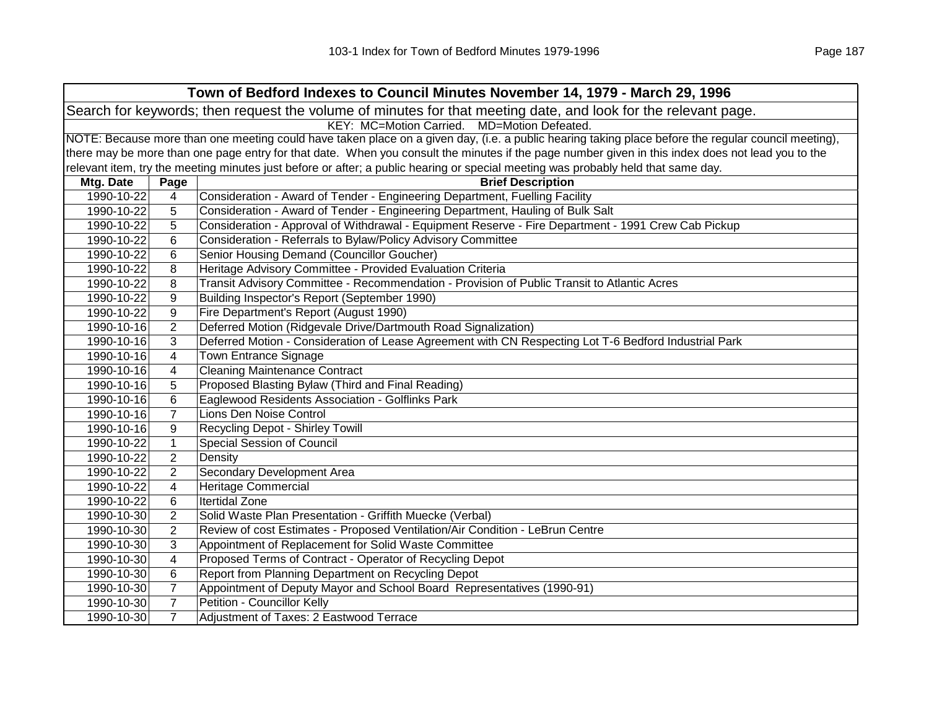|                                                                                                                |                                                | Town of Bedford Indexes to Council Minutes November 14, 1979 - March 29, 1996                                                                       |  |  |
|----------------------------------------------------------------------------------------------------------------|------------------------------------------------|-----------------------------------------------------------------------------------------------------------------------------------------------------|--|--|
| Search for keywords; then request the volume of minutes for that meeting date, and look for the relevant page. |                                                |                                                                                                                                                     |  |  |
|                                                                                                                | KEY: MC=Motion Carried.<br>MD=Motion Defeated. |                                                                                                                                                     |  |  |
|                                                                                                                |                                                | NOTE: Because more than one meeting could have taken place on a given day, (i.e. a public hearing taking place before the regular council meeting), |  |  |
|                                                                                                                |                                                | there may be more than one page entry for that date. When you consult the minutes if the page number given in this index does not lead you to the   |  |  |
|                                                                                                                |                                                | relevant item, try the meeting minutes just before or after; a public hearing or special meeting was probably held that same day.                   |  |  |
| Mtg. Date                                                                                                      | Page                                           | <b>Brief Description</b>                                                                                                                            |  |  |
| 1990-10-22                                                                                                     | 4                                              | Consideration - Award of Tender - Engineering Department, Fuelling Facility                                                                         |  |  |
| 1990-10-22                                                                                                     | 5                                              | Consideration - Award of Tender - Engineering Department, Hauling of Bulk Salt                                                                      |  |  |
| 1990-10-22                                                                                                     | 5                                              | Consideration - Approval of Withdrawal - Equipment Reserve - Fire Department - 1991 Crew Cab Pickup                                                 |  |  |
| 1990-10-22                                                                                                     | 6                                              | Consideration - Referrals to Bylaw/Policy Advisory Committee                                                                                        |  |  |
| 1990-10-22                                                                                                     | 6                                              | Senior Housing Demand (Councillor Goucher)                                                                                                          |  |  |
| 1990-10-22                                                                                                     | 8                                              | Heritage Advisory Committee - Provided Evaluation Criteria                                                                                          |  |  |
| 1990-10-22                                                                                                     | 8                                              | Transit Advisory Committee - Recommendation - Provision of Public Transit to Atlantic Acres                                                         |  |  |
| 1990-10-22                                                                                                     | 9                                              | Building Inspector's Report (September 1990)                                                                                                        |  |  |
| 1990-10-22                                                                                                     | 9                                              | Fire Department's Report (August 1990)                                                                                                              |  |  |
| 1990-10-16                                                                                                     | $\overline{2}$                                 | Deferred Motion (Ridgevale Drive/Dartmouth Road Signalization)                                                                                      |  |  |
| 1990-10-16                                                                                                     | 3                                              | Deferred Motion - Consideration of Lease Agreement with CN Respecting Lot T-6 Bedford Industrial Park                                               |  |  |
| 1990-10-16                                                                                                     | 4                                              | <b>Town Entrance Signage</b>                                                                                                                        |  |  |
| 1990-10-16                                                                                                     | 4                                              | <b>Cleaning Maintenance Contract</b>                                                                                                                |  |  |
| 1990-10-16                                                                                                     | 5                                              | Proposed Blasting Bylaw (Third and Final Reading)                                                                                                   |  |  |
| 1990-10-16                                                                                                     | 6                                              | Eaglewood Residents Association - Golflinks Park                                                                                                    |  |  |
| 1990-10-16                                                                                                     | $\overline{7}$                                 | Lions Den Noise Control                                                                                                                             |  |  |
| 1990-10-16                                                                                                     | 9                                              | Recycling Depot - Shirley Towill                                                                                                                    |  |  |
| 1990-10-22                                                                                                     | $\mathbf{1}$                                   | <b>Special Session of Council</b>                                                                                                                   |  |  |
| 1990-10-22                                                                                                     | $\overline{2}$                                 | Density                                                                                                                                             |  |  |
| 1990-10-22                                                                                                     | $\overline{2}$                                 | Secondary Development Area                                                                                                                          |  |  |
| 1990-10-22                                                                                                     | 4                                              | <b>Heritage Commercial</b>                                                                                                                          |  |  |
| 1990-10-22                                                                                                     | 6                                              | <b>Itertidal Zone</b>                                                                                                                               |  |  |
| 1990-10-30                                                                                                     | $\overline{2}$                                 | Solid Waste Plan Presentation - Griffith Muecke (Verbal)                                                                                            |  |  |
| 1990-10-30                                                                                                     | $\overline{2}$                                 | Review of cost Estimates - Proposed Ventilation/Air Condition - LeBrun Centre                                                                       |  |  |
| 1990-10-30                                                                                                     | 3                                              | Appointment of Replacement for Solid Waste Committee                                                                                                |  |  |
| 1990-10-30                                                                                                     | 4                                              | Proposed Terms of Contract - Operator of Recycling Depot                                                                                            |  |  |
| 1990-10-30                                                                                                     | 6                                              | Report from Planning Department on Recycling Depot                                                                                                  |  |  |
| 1990-10-30                                                                                                     | $\overline{7}$                                 | Appointment of Deputy Mayor and School Board Representatives (1990-91)                                                                              |  |  |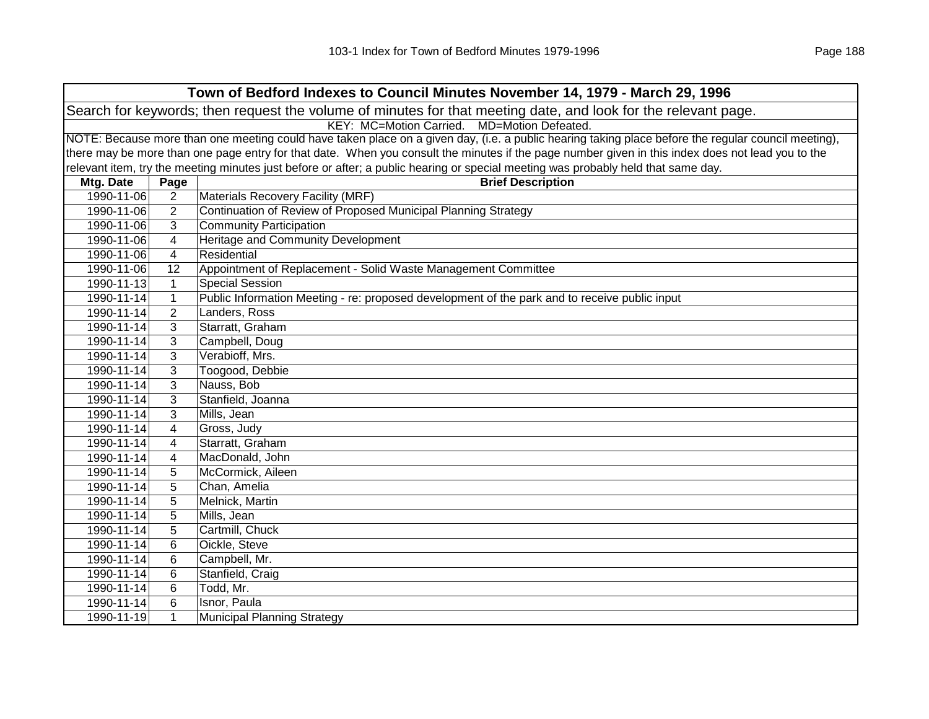|                                                                                                                | Town of Bedford Indexes to Council Minutes November 14, 1979 - March 29, 1996 |                                                                                                                                                     |  |  |
|----------------------------------------------------------------------------------------------------------------|-------------------------------------------------------------------------------|-----------------------------------------------------------------------------------------------------------------------------------------------------|--|--|
| Search for keywords; then request the volume of minutes for that meeting date, and look for the relevant page. |                                                                               |                                                                                                                                                     |  |  |
| KEY: MC=Motion Carried. MD=Motion Defeated.                                                                    |                                                                               |                                                                                                                                                     |  |  |
|                                                                                                                |                                                                               | NOTE: Because more than one meeting could have taken place on a given day, (i.e. a public hearing taking place before the regular council meeting), |  |  |
|                                                                                                                |                                                                               | there may be more than one page entry for that date. When you consult the minutes if the page number given in this index does not lead you to the   |  |  |
|                                                                                                                |                                                                               | relevant item, try the meeting minutes just before or after; a public hearing or special meeting was probably held that same day.                   |  |  |
| Mtg. Date                                                                                                      | Page                                                                          | <b>Brief Description</b>                                                                                                                            |  |  |
| 1990-11-06                                                                                                     | $\overline{c}$                                                                | Materials Recovery Facility (MRF)                                                                                                                   |  |  |
| 1990-11-06                                                                                                     | $\overline{2}$                                                                | Continuation of Review of Proposed Municipal Planning Strategy                                                                                      |  |  |
| 1990-11-06                                                                                                     | 3                                                                             | <b>Community Participation</b>                                                                                                                      |  |  |
| 1990-11-06                                                                                                     | 4                                                                             | Heritage and Community Development                                                                                                                  |  |  |
| 1990-11-06                                                                                                     | 4                                                                             | Residential                                                                                                                                         |  |  |
| 1990-11-06                                                                                                     | 12                                                                            | Appointment of Replacement - Solid Waste Management Committee                                                                                       |  |  |
| 1990-11-13                                                                                                     | $\mathbf 1$                                                                   | <b>Special Session</b>                                                                                                                              |  |  |
| 1990-11-14                                                                                                     | $\mathbf{1}$                                                                  | Public Information Meeting - re: proposed development of the park and to receive public input                                                       |  |  |
| 1990-11-14                                                                                                     | $\overline{2}$                                                                | Landers, Ross                                                                                                                                       |  |  |
| 1990-11-14                                                                                                     | 3                                                                             | Starratt, Graham                                                                                                                                    |  |  |
| 1990-11-14                                                                                                     | 3                                                                             | Campbell, Doug                                                                                                                                      |  |  |
| 1990-11-14                                                                                                     | 3                                                                             | Verabioff, Mrs.                                                                                                                                     |  |  |
| 1990-11-14                                                                                                     | 3                                                                             | Toogood, Debbie                                                                                                                                     |  |  |
| 1990-11-14                                                                                                     | 3                                                                             | Nauss, Bob                                                                                                                                          |  |  |
| 1990-11-14                                                                                                     | 3                                                                             | Stanfield, Joanna                                                                                                                                   |  |  |
| 1990-11-14                                                                                                     | 3                                                                             | Mills, Jean                                                                                                                                         |  |  |
| 1990-11-14                                                                                                     | 4                                                                             | Gross, Judy                                                                                                                                         |  |  |
| 1990-11-14                                                                                                     | 4                                                                             | Starratt, Graham                                                                                                                                    |  |  |
| 1990-11-14                                                                                                     | 4                                                                             | MacDonald, John                                                                                                                                     |  |  |
| 1990-11-14                                                                                                     | 5                                                                             | McCormick, Aileen                                                                                                                                   |  |  |
| 1990-11-14                                                                                                     | 5                                                                             | Chan, Amelia                                                                                                                                        |  |  |
| 1990-11-14                                                                                                     | 5                                                                             | Melnick, Martin                                                                                                                                     |  |  |
| 1990-11-14                                                                                                     | 5                                                                             | Mills, Jean                                                                                                                                         |  |  |
| 1990-11-14                                                                                                     | 5                                                                             | Cartmill, Chuck                                                                                                                                     |  |  |
| 1990-11-14                                                                                                     | 6                                                                             | Oickle, Steve                                                                                                                                       |  |  |
| 1990-11-14                                                                                                     | 6                                                                             | Campbell, Mr.                                                                                                                                       |  |  |
| 1990-11-14                                                                                                     | 6                                                                             | Stanfield, Craig                                                                                                                                    |  |  |
| 1990-11-14                                                                                                     | 6                                                                             | Todd, Mr.                                                                                                                                           |  |  |
| 1990-11-14                                                                                                     | 6                                                                             | Isnor, Paula                                                                                                                                        |  |  |
| 1990-11-19                                                                                                     | $\mathbf{1}$                                                                  | Municipal Planning Strategy                                                                                                                         |  |  |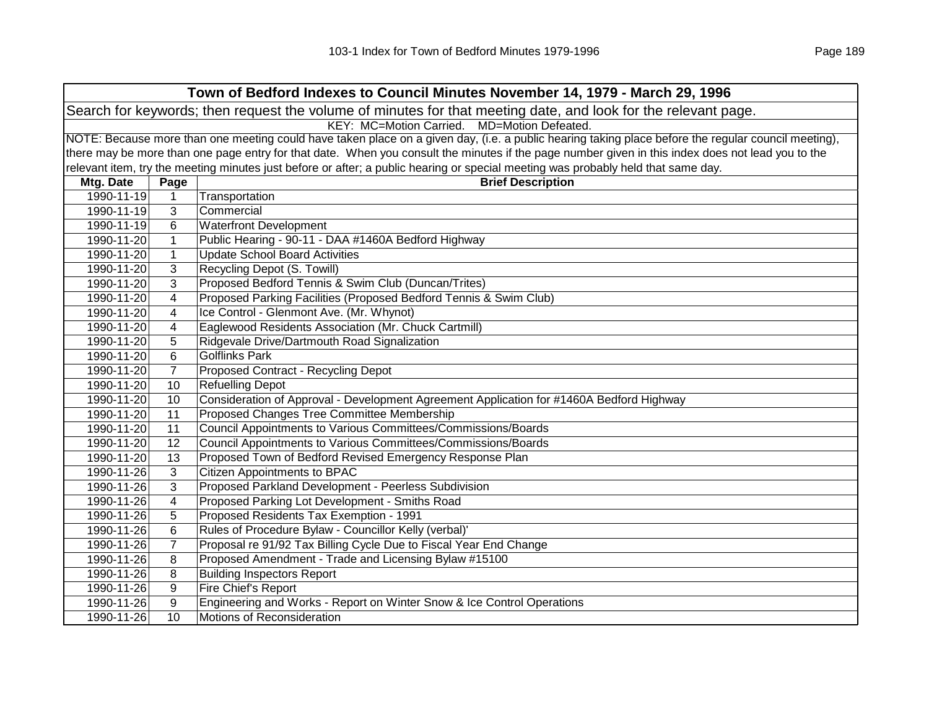| Town of Bedford Indexes to Council Minutes November 14, 1979 - March 29, 1996 |                                                                                                                |                                                                                                                                                     |  |  |
|-------------------------------------------------------------------------------|----------------------------------------------------------------------------------------------------------------|-----------------------------------------------------------------------------------------------------------------------------------------------------|--|--|
|                                                                               | Search for keywords; then request the volume of minutes for that meeting date, and look for the relevant page. |                                                                                                                                                     |  |  |
|                                                                               | KEY: MC=Motion Carried. MD=Motion Defeated.                                                                    |                                                                                                                                                     |  |  |
|                                                                               |                                                                                                                | NOTE: Because more than one meeting could have taken place on a given day, (i.e. a public hearing taking place before the regular council meeting), |  |  |
|                                                                               |                                                                                                                | there may be more than one page entry for that date. When you consult the minutes if the page number given in this index does not lead you to the   |  |  |
|                                                                               |                                                                                                                | relevant item, try the meeting minutes just before or after; a public hearing or special meeting was probably held that same day.                   |  |  |
| Mtg. Date                                                                     | Page                                                                                                           | <b>Brief Description</b>                                                                                                                            |  |  |
| 1990-11-19                                                                    | $\mathbf{1}$                                                                                                   | Transportation                                                                                                                                      |  |  |
| 1990-11-19                                                                    | 3                                                                                                              | Commercial                                                                                                                                          |  |  |
| 1990-11-19                                                                    | 6                                                                                                              | <b>Waterfront Development</b>                                                                                                                       |  |  |
| 1990-11-20                                                                    | $\mathbf{1}$                                                                                                   | Public Hearing - 90-11 - DAA #1460A Bedford Highway                                                                                                 |  |  |
| 1990-11-20                                                                    | $\mathbf{1}$                                                                                                   | <b>Update School Board Activities</b>                                                                                                               |  |  |
| 1990-11-20                                                                    | 3                                                                                                              | Recycling Depot (S. Towill)                                                                                                                         |  |  |
| 1990-11-20                                                                    | 3                                                                                                              | Proposed Bedford Tennis & Swim Club (Duncan/Trites)                                                                                                 |  |  |
| 1990-11-20                                                                    | 4                                                                                                              | Proposed Parking Facilities (Proposed Bedford Tennis & Swim Club)                                                                                   |  |  |
| 1990-11-20                                                                    | 4                                                                                                              | Ice Control - Glenmont Ave. (Mr. Whynot)                                                                                                            |  |  |
| 1990-11-20                                                                    | 4                                                                                                              | Eaglewood Residents Association (Mr. Chuck Cartmill)                                                                                                |  |  |
| 1990-11-20                                                                    | 5                                                                                                              | Ridgevale Drive/Dartmouth Road Signalization                                                                                                        |  |  |
| 1990-11-20                                                                    | 6                                                                                                              | <b>Golflinks Park</b>                                                                                                                               |  |  |
| 1990-11-20                                                                    | $\overline{7}$                                                                                                 | Proposed Contract - Recycling Depot                                                                                                                 |  |  |
| 1990-11-20                                                                    | 10                                                                                                             | <b>Refuelling Depot</b>                                                                                                                             |  |  |
| 1990-11-20                                                                    | 10                                                                                                             | Consideration of Approval - Development Agreement Application for #1460A Bedford Highway                                                            |  |  |
| 1990-11-20                                                                    | 11                                                                                                             | Proposed Changes Tree Committee Membership                                                                                                          |  |  |
| 1990-11-20                                                                    | 11                                                                                                             | Council Appointments to Various Committees/Commissions/Boards                                                                                       |  |  |
| 1990-11-20                                                                    | 12                                                                                                             | Council Appointments to Various Committees/Commissions/Boards                                                                                       |  |  |
| 1990-11-20                                                                    | 13                                                                                                             | Proposed Town of Bedford Revised Emergency Response Plan                                                                                            |  |  |
| 1990-11-26                                                                    | 3                                                                                                              | <b>Citizen Appointments to BPAC</b>                                                                                                                 |  |  |
| 1990-11-26                                                                    | 3                                                                                                              | Proposed Parkland Development - Peerless Subdivision                                                                                                |  |  |
| 1990-11-26                                                                    | 4                                                                                                              | Proposed Parking Lot Development - Smiths Road                                                                                                      |  |  |
| 1990-11-26                                                                    | 5                                                                                                              | Proposed Residents Tax Exemption - 1991                                                                                                             |  |  |
| 1990-11-26                                                                    | 6                                                                                                              | Rules of Procedure Bylaw - Councillor Kelly (verbal)'                                                                                               |  |  |
| 1990-11-26                                                                    | $\overline{7}$                                                                                                 | Proposal re 91/92 Tax Billing Cycle Due to Fiscal Year End Change                                                                                   |  |  |
| 1990-11-26                                                                    | 8                                                                                                              | Proposed Amendment - Trade and Licensing Bylaw #15100                                                                                               |  |  |
| 1990-11-26                                                                    | 8                                                                                                              | <b>Building Inspectors Report</b>                                                                                                                   |  |  |
| 1990-11-26                                                                    | 9                                                                                                              | Fire Chief's Report                                                                                                                                 |  |  |
| 1990-11-26                                                                    | 9                                                                                                              | Engineering and Works - Report on Winter Snow & Ice Control Operations                                                                              |  |  |
| 1990-11-26                                                                    | 10                                                                                                             | Motions of Reconsideration                                                                                                                          |  |  |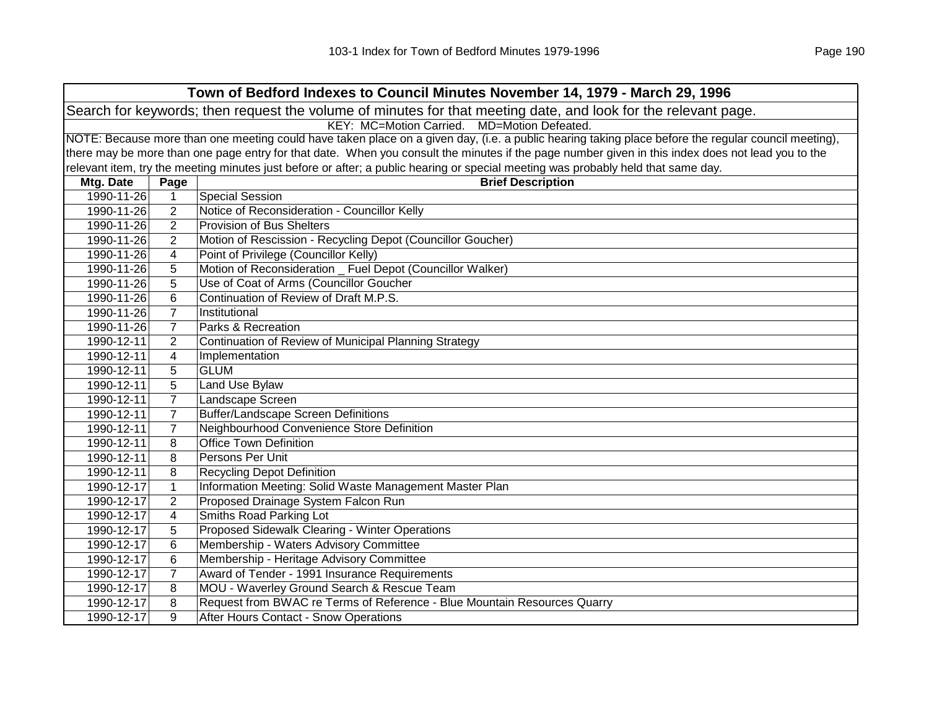| Town of Bedford Indexes to Council Minutes November 14, 1979 - March 29, 1996 |                                             |                                                                                                                                                     |  |  |
|-------------------------------------------------------------------------------|---------------------------------------------|-----------------------------------------------------------------------------------------------------------------------------------------------------|--|--|
|                                                                               |                                             | Search for keywords; then request the volume of minutes for that meeting date, and look for the relevant page.                                      |  |  |
|                                                                               | KEY: MC=Motion Carried. MD=Motion Defeated. |                                                                                                                                                     |  |  |
|                                                                               |                                             | NOTE: Because more than one meeting could have taken place on a given day, (i.e. a public hearing taking place before the regular council meeting), |  |  |
|                                                                               |                                             | there may be more than one page entry for that date. When you consult the minutes if the page number given in this index does not lead you to the   |  |  |
|                                                                               |                                             | relevant item, try the meeting minutes just before or after; a public hearing or special meeting was probably held that same day.                   |  |  |
| Mtg. Date                                                                     | Page                                        | <b>Brief Description</b>                                                                                                                            |  |  |
| 1990-11-26                                                                    | $\mathbf{1}$                                | <b>Special Session</b>                                                                                                                              |  |  |
| 1990-11-26                                                                    | $\overline{2}$                              | Notice of Reconsideration - Councillor Kelly                                                                                                        |  |  |
| 1990-11-26                                                                    | $\overline{2}$                              | Provision of Bus Shelters                                                                                                                           |  |  |
| 1990-11-26                                                                    | $\overline{2}$                              | Motion of Rescission - Recycling Depot (Councillor Goucher)                                                                                         |  |  |
| 1990-11-26                                                                    | 4                                           | Point of Privilege (Councillor Kelly)                                                                                                               |  |  |
| 1990-11-26                                                                    | 5                                           | Motion of Reconsideration _ Fuel Depot (Councillor Walker)                                                                                          |  |  |
| 1990-11-26                                                                    | 5                                           | Use of Coat of Arms (Councillor Goucher                                                                                                             |  |  |
| 1990-11-26                                                                    | 6                                           | Continuation of Review of Draft M.P.S.                                                                                                              |  |  |
| 1990-11-26                                                                    | $\overline{7}$                              | Institutional                                                                                                                                       |  |  |
| 1990-11-26                                                                    | $\overline{7}$                              | Parks & Recreation                                                                                                                                  |  |  |
| 1990-12-11                                                                    | $\overline{2}$                              | Continuation of Review of Municipal Planning Strategy                                                                                               |  |  |
| 1990-12-11                                                                    | 4                                           | Implementation                                                                                                                                      |  |  |
| 1990-12-11                                                                    | 5                                           | <b>GLUM</b>                                                                                                                                         |  |  |
| 1990-12-11                                                                    | 5                                           | <b>Land Use Bylaw</b>                                                                                                                               |  |  |
| 1990-12-11                                                                    | $\overline{7}$                              | Landscape Screen                                                                                                                                    |  |  |
| 1990-12-11                                                                    | $\overline{7}$                              | <b>Buffer/Landscape Screen Definitions</b>                                                                                                          |  |  |
| 1990-12-11                                                                    | $\overline{7}$                              | Neighbourhood Convenience Store Definition                                                                                                          |  |  |
| 1990-12-11                                                                    | 8                                           | <b>Office Town Definition</b>                                                                                                                       |  |  |
| 1990-12-11                                                                    | 8                                           | Persons Per Unit                                                                                                                                    |  |  |
| 1990-12-11                                                                    | 8                                           | <b>Recycling Depot Definition</b>                                                                                                                   |  |  |
| 1990-12-17                                                                    | $\mathbf{1}$                                | Information Meeting: Solid Waste Management Master Plan                                                                                             |  |  |
| 1990-12-17                                                                    | $\overline{2}$                              | Proposed Drainage System Falcon Run                                                                                                                 |  |  |
| 1990-12-17                                                                    | 4                                           | Smiths Road Parking Lot                                                                                                                             |  |  |
| 1990-12-17                                                                    | 5                                           | Proposed Sidewalk Clearing - Winter Operations                                                                                                      |  |  |
| 1990-12-17                                                                    | 6                                           | Membership - Waters Advisory Committee                                                                                                              |  |  |
| 1990-12-17                                                                    | 6                                           | Membership - Heritage Advisory Committee                                                                                                            |  |  |
| 1990-12-17                                                                    | $\overline{7}$                              | Award of Tender - 1991 Insurance Requirements                                                                                                       |  |  |
| 1990-12-17                                                                    | 8                                           | MOU - Waverley Ground Search & Rescue Team                                                                                                          |  |  |
| 1990-12-17                                                                    | 8                                           | Request from BWAC re Terms of Reference - Blue Mountain Resources Quarry                                                                            |  |  |
| 1990-12-17                                                                    | 9                                           | After Hours Contact - Snow Operations                                                                                                               |  |  |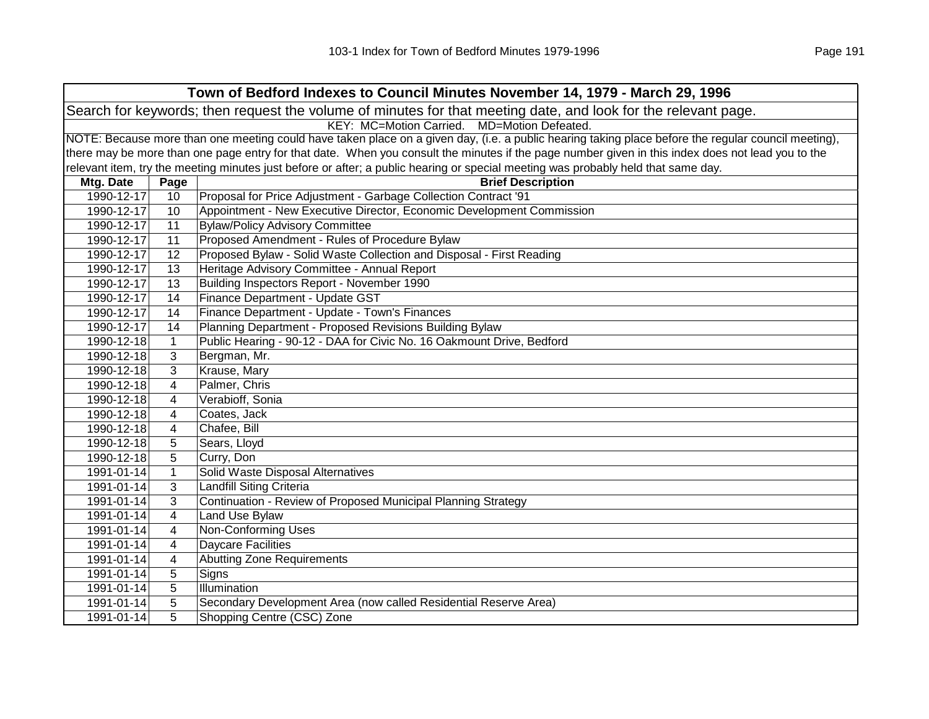| Town of Bedford Indexes to Council Minutes November 14, 1979 - March 29, 1996 |                                                                                                                                                     |                                                                                                                                                   |  |  |
|-------------------------------------------------------------------------------|-----------------------------------------------------------------------------------------------------------------------------------------------------|---------------------------------------------------------------------------------------------------------------------------------------------------|--|--|
|                                                                               |                                                                                                                                                     | Search for keywords; then request the volume of minutes for that meeting date, and look for the relevant page.                                    |  |  |
|                                                                               |                                                                                                                                                     | KEY: MC=Motion Carried. MD=Motion Defeated.                                                                                                       |  |  |
|                                                                               | NOTE: Because more than one meeting could have taken place on a given day, (i.e. a public hearing taking place before the regular council meeting), |                                                                                                                                                   |  |  |
|                                                                               |                                                                                                                                                     | there may be more than one page entry for that date. When you consult the minutes if the page number given in this index does not lead you to the |  |  |
|                                                                               |                                                                                                                                                     | relevant item, try the meeting minutes just before or after; a public hearing or special meeting was probably held that same day.                 |  |  |
| Mtg. Date                                                                     | Page                                                                                                                                                | <b>Brief Description</b>                                                                                                                          |  |  |
| 1990-12-17                                                                    | 10                                                                                                                                                  | Proposal for Price Adjustment - Garbage Collection Contract '91                                                                                   |  |  |
| 1990-12-17                                                                    | 10                                                                                                                                                  | Appointment - New Executive Director, Economic Development Commission                                                                             |  |  |
| 1990-12-17                                                                    | 11                                                                                                                                                  | <b>Bylaw/Policy Advisory Committee</b>                                                                                                            |  |  |
| 1990-12-17                                                                    | 11                                                                                                                                                  | Proposed Amendment - Rules of Procedure Bylaw                                                                                                     |  |  |
| 1990-12-17                                                                    | 12                                                                                                                                                  | Proposed Bylaw - Solid Waste Collection and Disposal - First Reading                                                                              |  |  |
| 1990-12-17                                                                    | 13                                                                                                                                                  | Heritage Advisory Committee - Annual Report                                                                                                       |  |  |
| 1990-12-17                                                                    | 13                                                                                                                                                  | Building Inspectors Report - November 1990                                                                                                        |  |  |
| 1990-12-17                                                                    | 14                                                                                                                                                  | Finance Department - Update GST                                                                                                                   |  |  |
| 1990-12-17                                                                    | 14                                                                                                                                                  | Finance Department - Update - Town's Finances                                                                                                     |  |  |
| 1990-12-17                                                                    | 14                                                                                                                                                  | Planning Department - Proposed Revisions Building Bylaw                                                                                           |  |  |
| 1990-12-18                                                                    | $\mathbf{1}$                                                                                                                                        | Public Hearing - 90-12 - DAA for Civic No. 16 Oakmount Drive, Bedford                                                                             |  |  |
| 1990-12-18                                                                    | 3                                                                                                                                                   | Bergman, Mr.                                                                                                                                      |  |  |
| 1990-12-18                                                                    | 3                                                                                                                                                   | Krause, Mary                                                                                                                                      |  |  |
| 1990-12-18                                                                    | 4                                                                                                                                                   | Palmer, Chris                                                                                                                                     |  |  |
| 1990-12-18                                                                    | 4                                                                                                                                                   | Verabioff, Sonia                                                                                                                                  |  |  |
| 1990-12-18                                                                    | 4                                                                                                                                                   | Coates, Jack                                                                                                                                      |  |  |
| 1990-12-18                                                                    | 4                                                                                                                                                   | Chafee, Bill                                                                                                                                      |  |  |
| 1990-12-18                                                                    | 5                                                                                                                                                   | Sears, Lloyd                                                                                                                                      |  |  |
| 1990-12-18                                                                    | 5                                                                                                                                                   | Curry, Don                                                                                                                                        |  |  |
| 1991-01-14                                                                    | $\mathbf{1}$                                                                                                                                        | Solid Waste Disposal Alternatives                                                                                                                 |  |  |
| 1991-01-14                                                                    | 3                                                                                                                                                   | <b>Landfill Siting Criteria</b>                                                                                                                   |  |  |
| 1991-01-14                                                                    | 3                                                                                                                                                   | Continuation - Review of Proposed Municipal Planning Strategy                                                                                     |  |  |
| 1991-01-14                                                                    | 4                                                                                                                                                   | <b>Land Use Bylaw</b>                                                                                                                             |  |  |
| 1991-01-14                                                                    | 4                                                                                                                                                   | Non-Conforming Uses                                                                                                                               |  |  |
| 1991-01-14                                                                    | 4                                                                                                                                                   | <b>Daycare Facilities</b>                                                                                                                         |  |  |
| 1991-01-14                                                                    | 4                                                                                                                                                   | <b>Abutting Zone Requirements</b>                                                                                                                 |  |  |
| 1991-01-14                                                                    | 5                                                                                                                                                   | Signs                                                                                                                                             |  |  |
| 1991-01-14                                                                    | 5                                                                                                                                                   | Illumination                                                                                                                                      |  |  |
| 1991-01-14                                                                    | 5                                                                                                                                                   | Secondary Development Area (now called Residential Reserve Area)                                                                                  |  |  |
| 1991-01-14                                                                    | 5                                                                                                                                                   | Shopping Centre (CSC) Zone                                                                                                                        |  |  |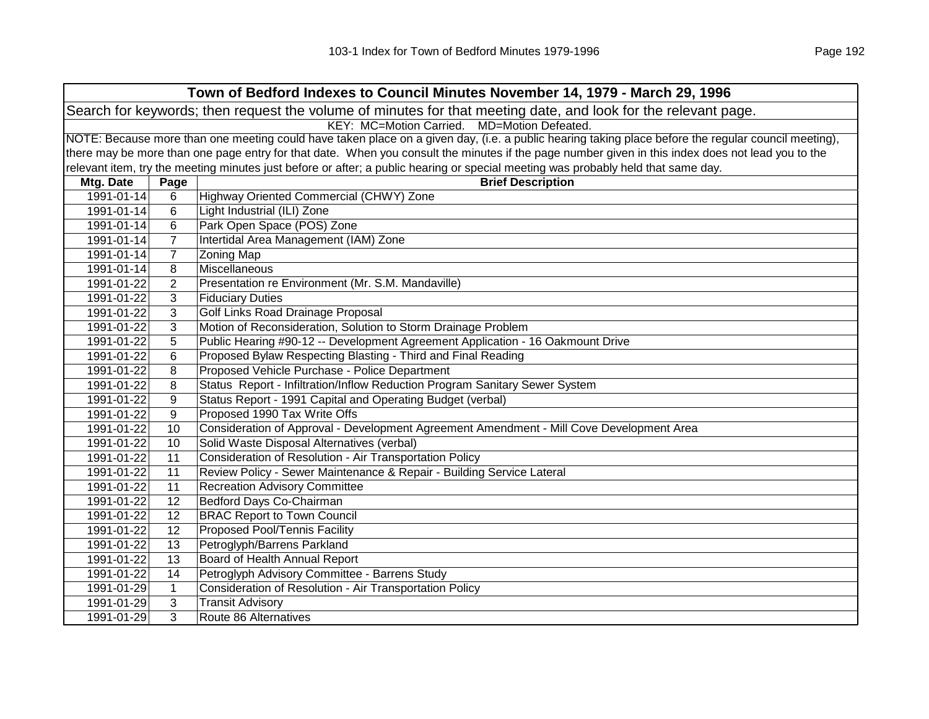| Town of Bedford Indexes to Council Minutes November 14, 1979 - March 29, 1996                                  |                                             |                                                                                                                                                     |  |  |
|----------------------------------------------------------------------------------------------------------------|---------------------------------------------|-----------------------------------------------------------------------------------------------------------------------------------------------------|--|--|
| Search for keywords; then request the volume of minutes for that meeting date, and look for the relevant page. |                                             |                                                                                                                                                     |  |  |
|                                                                                                                | KEY: MC=Motion Carried. MD=Motion Defeated. |                                                                                                                                                     |  |  |
|                                                                                                                |                                             | NOTE: Because more than one meeting could have taken place on a given day, (i.e. a public hearing taking place before the regular council meeting), |  |  |
|                                                                                                                |                                             | there may be more than one page entry for that date. When you consult the minutes if the page number given in this index does not lead you to the   |  |  |
|                                                                                                                |                                             | relevant item, try the meeting minutes just before or after; a public hearing or special meeting was probably held that same day.                   |  |  |
| Mtg. Date                                                                                                      | Page                                        | <b>Brief Description</b>                                                                                                                            |  |  |
| 1991-01-14                                                                                                     | 6                                           | Highway Oriented Commercial (CHWY) Zone                                                                                                             |  |  |
| 1991-01-14                                                                                                     | 6                                           | Light Industrial (ILI) Zone                                                                                                                         |  |  |
| 1991-01-14                                                                                                     | 6                                           | Park Open Space (POS) Zone                                                                                                                          |  |  |
| 1991-01-14                                                                                                     | 7                                           | Intertidal Area Management (IAM) Zone                                                                                                               |  |  |
| 1991-01-14                                                                                                     | $\overline{7}$                              | <b>Zoning Map</b>                                                                                                                                   |  |  |
| 1991-01-14                                                                                                     | 8                                           | Miscellaneous                                                                                                                                       |  |  |
| 1991-01-22                                                                                                     | $\overline{2}$                              | Presentation re Environment (Mr. S.M. Mandaville)                                                                                                   |  |  |
| 1991-01-22                                                                                                     | 3                                           | <b>Fiduciary Duties</b>                                                                                                                             |  |  |
| 1991-01-22                                                                                                     | 3                                           | Golf Links Road Drainage Proposal                                                                                                                   |  |  |
| 1991-01-22                                                                                                     | 3                                           | Motion of Reconsideration, Solution to Storm Drainage Problem                                                                                       |  |  |
| 1991-01-22                                                                                                     | 5                                           | Public Hearing #90-12 -- Development Agreement Application - 16 Oakmount Drive                                                                      |  |  |
| 1991-01-22                                                                                                     | 6                                           | Proposed Bylaw Respecting Blasting - Third and Final Reading                                                                                        |  |  |
| 1991-01-22                                                                                                     | 8                                           | Proposed Vehicle Purchase - Police Department                                                                                                       |  |  |
| 1991-01-22                                                                                                     | 8                                           | Status Report - Infiltration/Inflow Reduction Program Sanitary Sewer System                                                                         |  |  |
| 1991-01-22                                                                                                     | 9                                           | Status Report - 1991 Capital and Operating Budget (verbal)                                                                                          |  |  |
| 1991-01-22                                                                                                     | 9                                           | Proposed 1990 Tax Write Offs                                                                                                                        |  |  |
| 1991-01-22                                                                                                     | 10                                          | Consideration of Approval - Development Agreement Amendment - Mill Cove Development Area                                                            |  |  |
| 1991-01-22                                                                                                     | 10                                          | Solid Waste Disposal Alternatives (verbal)                                                                                                          |  |  |
| 1991-01-22                                                                                                     | 11                                          | Consideration of Resolution - Air Transportation Policy                                                                                             |  |  |
| 1991-01-22                                                                                                     | 11                                          | Review Policy - Sewer Maintenance & Repair - Building Service Lateral                                                                               |  |  |
| 1991-01-22                                                                                                     | 11                                          | <b>Recreation Advisory Committee</b>                                                                                                                |  |  |
| 1991-01-22                                                                                                     | 12                                          | Bedford Days Co-Chairman                                                                                                                            |  |  |
| 1991-01-22                                                                                                     | 12                                          | <b>BRAC Report to Town Council</b>                                                                                                                  |  |  |
| 1991-01-22                                                                                                     | 12                                          | Proposed Pool/Tennis Facility                                                                                                                       |  |  |
| 1991-01-22                                                                                                     | 13                                          | Petroglyph/Barrens Parkland                                                                                                                         |  |  |
| 1991-01-22                                                                                                     | 13                                          | Board of Health Annual Report                                                                                                                       |  |  |
| 1991-01-22                                                                                                     | 14                                          | Petroglyph Advisory Committee - Barrens Study                                                                                                       |  |  |
| 1991-01-29                                                                                                     | $\mathbf{1}$                                | Consideration of Resolution - Air Transportation Policy                                                                                             |  |  |
| 1991-01-29                                                                                                     | 3                                           | <b>Transit Advisory</b>                                                                                                                             |  |  |
| 1991-01-29                                                                                                     | 3                                           | Route 86 Alternatives                                                                                                                               |  |  |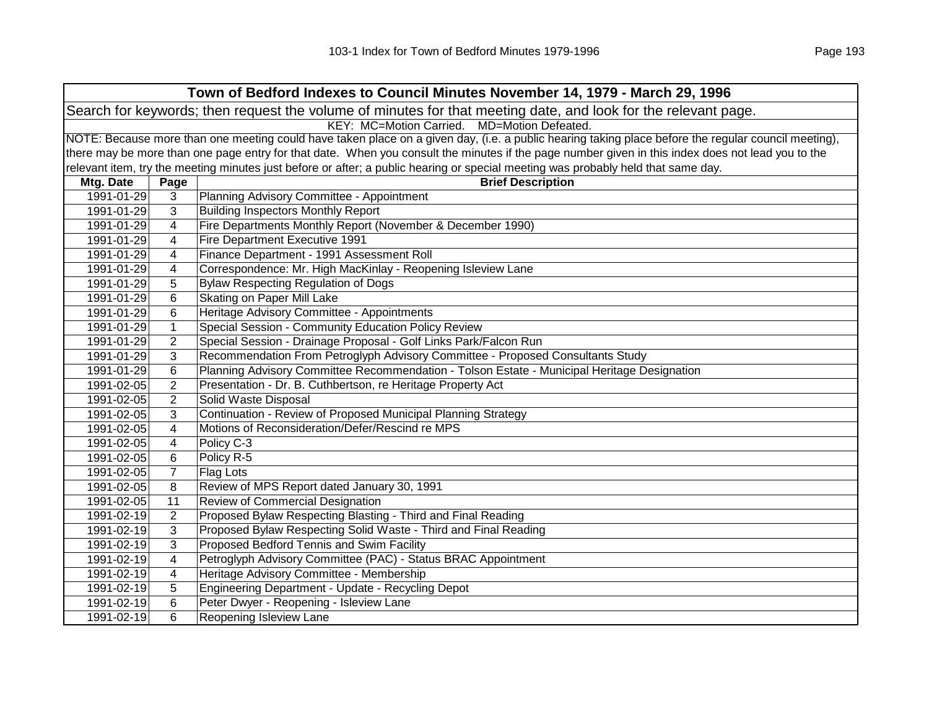| Town of Bedford Indexes to Council Minutes November 14, 1979 - March 29, 1996 |                                                                                                                |                                                                                                                                                     |  |
|-------------------------------------------------------------------------------|----------------------------------------------------------------------------------------------------------------|-----------------------------------------------------------------------------------------------------------------------------------------------------|--|
|                                                                               | Search for keywords; then request the volume of minutes for that meeting date, and look for the relevant page. |                                                                                                                                                     |  |
|                                                                               |                                                                                                                | KEY: MC=Motion Carried. MD=Motion Defeated.                                                                                                         |  |
|                                                                               |                                                                                                                | NOTE: Because more than one meeting could have taken place on a given day, (i.e. a public hearing taking place before the regular council meeting), |  |
|                                                                               |                                                                                                                | there may be more than one page entry for that date. When you consult the minutes if the page number given in this index does not lead you to the   |  |
|                                                                               |                                                                                                                | relevant item, try the meeting minutes just before or after; a public hearing or special meeting was probably held that same day.                   |  |
| Mtg. Date                                                                     | Page                                                                                                           | <b>Brief Description</b>                                                                                                                            |  |
| 1991-01-29                                                                    | 3                                                                                                              | Planning Advisory Committee - Appointment                                                                                                           |  |
| 1991-01-29                                                                    | 3                                                                                                              | <b>Building Inspectors Monthly Report</b>                                                                                                           |  |
| 1991-01-29                                                                    | 4                                                                                                              | Fire Departments Monthly Report (November & December 1990)                                                                                          |  |
| 1991-01-29                                                                    | 4                                                                                                              | Fire Department Executive 1991                                                                                                                      |  |
| 1991-01-29                                                                    | 4                                                                                                              | Finance Department - 1991 Assessment Roll                                                                                                           |  |
| 1991-01-29                                                                    | 4                                                                                                              | Correspondence: Mr. High MacKinlay - Reopening Isleview Lane                                                                                        |  |
| 1991-01-29                                                                    | 5                                                                                                              | <b>Bylaw Respecting Regulation of Dogs</b>                                                                                                          |  |
| 1991-01-29                                                                    | 6                                                                                                              | Skating on Paper Mill Lake                                                                                                                          |  |
| 1991-01-29                                                                    | 6                                                                                                              | Heritage Advisory Committee - Appointments                                                                                                          |  |
| 1991-01-29                                                                    | $\mathbf{1}$                                                                                                   | Special Session - Community Education Policy Review                                                                                                 |  |
| 1991-01-29                                                                    | 2                                                                                                              | Special Session - Drainage Proposal - Golf Links Park/Falcon Run                                                                                    |  |
| 1991-01-29                                                                    | 3                                                                                                              | Recommendation From Petroglyph Advisory Committee - Proposed Consultants Study                                                                      |  |
| 1991-01-29                                                                    | 6                                                                                                              | Planning Advisory Committee Recommendation - Tolson Estate - Municipal Heritage Designation                                                         |  |
| 1991-02-05                                                                    | $\overline{2}$                                                                                                 | Presentation - Dr. B. Cuthbertson, re Heritage Property Act                                                                                         |  |
| 1991-02-05                                                                    | $\overline{2}$                                                                                                 | Solid Waste Disposal                                                                                                                                |  |
| 1991-02-05                                                                    | 3                                                                                                              | Continuation - Review of Proposed Municipal Planning Strategy                                                                                       |  |
| 1991-02-05                                                                    | 4                                                                                                              | Motions of Reconsideration/Defer/Rescind re MPS                                                                                                     |  |
| 1991-02-05                                                                    | 4                                                                                                              | Policy C-3                                                                                                                                          |  |
| 1991-02-05                                                                    | 6                                                                                                              | Policy R-5                                                                                                                                          |  |
| 1991-02-05                                                                    | $\overline{7}$                                                                                                 | Flag Lots                                                                                                                                           |  |
| 1991-02-05                                                                    | 8                                                                                                              | Review of MPS Report dated January 30, 1991                                                                                                         |  |
| 1991-02-05                                                                    | 11                                                                                                             | Review of Commercial Designation                                                                                                                    |  |
| 1991-02-19                                                                    | $\overline{2}$                                                                                                 | Proposed Bylaw Respecting Blasting - Third and Final Reading                                                                                        |  |
| 1991-02-19                                                                    | 3                                                                                                              | Proposed Bylaw Respecting Solid Waste - Third and Final Reading                                                                                     |  |
| 1991-02-19                                                                    | 3                                                                                                              | Proposed Bedford Tennis and Swim Facility                                                                                                           |  |
| 1991-02-19                                                                    | 4                                                                                                              | Petroglyph Advisory Committee (PAC) - Status BRAC Appointment                                                                                       |  |
| 1991-02-19                                                                    | 4                                                                                                              | Heritage Advisory Committee - Membership                                                                                                            |  |
| 1991-02-19                                                                    | 5                                                                                                              | Engineering Department - Update - Recycling Depot                                                                                                   |  |
| 1991-02-19                                                                    | 6                                                                                                              | Peter Dwyer - Reopening - Isleview Lane                                                                                                             |  |
| 1991-02-19                                                                    | 6                                                                                                              | Reopening Isleview Lane                                                                                                                             |  |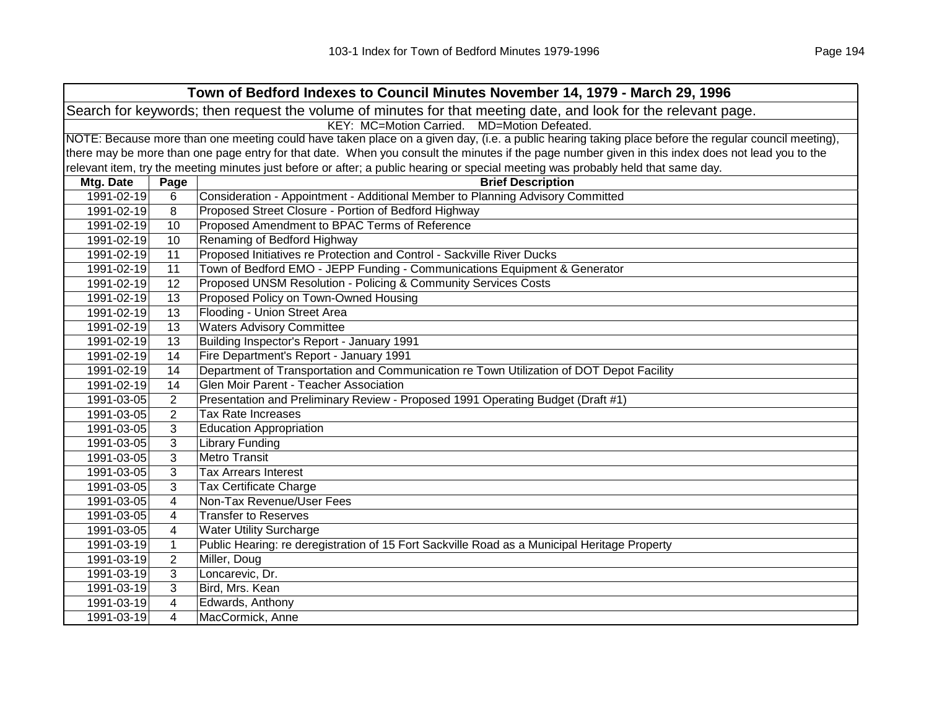| Town of Bedford Indexes to Council Minutes November 14, 1979 - March 29, 1996                                  |                                                                                                                                                     |                                                                                                                                                   |  |  |  |
|----------------------------------------------------------------------------------------------------------------|-----------------------------------------------------------------------------------------------------------------------------------------------------|---------------------------------------------------------------------------------------------------------------------------------------------------|--|--|--|
| Search for keywords; then request the volume of minutes for that meeting date, and look for the relevant page. |                                                                                                                                                     |                                                                                                                                                   |  |  |  |
|                                                                                                                | KEY: MC=Motion Carried. MD=Motion Defeated.                                                                                                         |                                                                                                                                                   |  |  |  |
|                                                                                                                | NOTE: Because more than one meeting could have taken place on a given day, (i.e. a public hearing taking place before the regular council meeting), |                                                                                                                                                   |  |  |  |
|                                                                                                                |                                                                                                                                                     | there may be more than one page entry for that date. When you consult the minutes if the page number given in this index does not lead you to the |  |  |  |
|                                                                                                                |                                                                                                                                                     | relevant item, try the meeting minutes just before or after; a public hearing or special meeting was probably held that same day.                 |  |  |  |
| Mtg. Date                                                                                                      | Page                                                                                                                                                | <b>Brief Description</b>                                                                                                                          |  |  |  |
| 1991-02-19                                                                                                     | 6                                                                                                                                                   | Consideration - Appointment - Additional Member to Planning Advisory Committed                                                                    |  |  |  |
| 1991-02-19                                                                                                     | 8                                                                                                                                                   | Proposed Street Closure - Portion of Bedford Highway                                                                                              |  |  |  |
| 1991-02-19                                                                                                     | 10                                                                                                                                                  | Proposed Amendment to BPAC Terms of Reference                                                                                                     |  |  |  |
| 1991-02-19                                                                                                     | 10                                                                                                                                                  | Renaming of Bedford Highway                                                                                                                       |  |  |  |
| 1991-02-19                                                                                                     | 11                                                                                                                                                  | Proposed Initiatives re Protection and Control - Sackville River Ducks                                                                            |  |  |  |
| 1991-02-19                                                                                                     | 11                                                                                                                                                  | Town of Bedford EMO - JEPP Funding - Communications Equipment & Generator                                                                         |  |  |  |
| 1991-02-19                                                                                                     | 12                                                                                                                                                  | Proposed UNSM Resolution - Policing & Community Services Costs                                                                                    |  |  |  |
| 1991-02-19                                                                                                     | 13                                                                                                                                                  | Proposed Policy on Town-Owned Housing                                                                                                             |  |  |  |
| 1991-02-19                                                                                                     | 13                                                                                                                                                  | Flooding - Union Street Area                                                                                                                      |  |  |  |
| 1991-02-19                                                                                                     | 13                                                                                                                                                  | <b>Waters Advisory Committee</b>                                                                                                                  |  |  |  |
| 1991-02-19                                                                                                     | 13                                                                                                                                                  | Building Inspector's Report - January 1991                                                                                                        |  |  |  |
| 1991-02-19                                                                                                     | 14                                                                                                                                                  | Fire Department's Report - January 1991                                                                                                           |  |  |  |
| 1991-02-19                                                                                                     | 14                                                                                                                                                  | Department of Transportation and Communication re Town Utilization of DOT Depot Facility                                                          |  |  |  |
| 1991-02-19                                                                                                     | 14                                                                                                                                                  | Glen Moir Parent - Teacher Association                                                                                                            |  |  |  |
| 1991-03-05                                                                                                     | $\overline{2}$                                                                                                                                      | Presentation and Preliminary Review - Proposed 1991 Operating Budget (Draft #1)                                                                   |  |  |  |
| 1991-03-05                                                                                                     | $\overline{2}$                                                                                                                                      | Tax Rate Increases                                                                                                                                |  |  |  |
| 1991-03-05                                                                                                     | 3                                                                                                                                                   | <b>Education Appropriation</b>                                                                                                                    |  |  |  |
| 1991-03-05                                                                                                     | 3                                                                                                                                                   | <b>Library Funding</b>                                                                                                                            |  |  |  |
| 1991-03-05                                                                                                     | 3                                                                                                                                                   | <b>Metro Transit</b>                                                                                                                              |  |  |  |
| 1991-03-05                                                                                                     | 3                                                                                                                                                   | <b>Tax Arrears Interest</b>                                                                                                                       |  |  |  |
| 1991-03-05                                                                                                     | 3                                                                                                                                                   | <b>Tax Certificate Charge</b>                                                                                                                     |  |  |  |
| 1991-03-05                                                                                                     | $\overline{4}$                                                                                                                                      | Non-Tax Revenue/User Fees                                                                                                                         |  |  |  |
| 1991-03-05                                                                                                     | 4                                                                                                                                                   | <b>Transfer to Reserves</b>                                                                                                                       |  |  |  |
| 1991-03-05                                                                                                     | 4                                                                                                                                                   | <b>Water Utility Surcharge</b>                                                                                                                    |  |  |  |
| 1991-03-19                                                                                                     | $\mathbf{1}$                                                                                                                                        | Public Hearing: re deregistration of 15 Fort Sackville Road as a Municipal Heritage Property                                                      |  |  |  |
| 1991-03-19                                                                                                     | $\overline{2}$                                                                                                                                      | Miller, Doug                                                                                                                                      |  |  |  |
| 1991-03-19                                                                                                     | 3                                                                                                                                                   | Loncarevic, Dr.                                                                                                                                   |  |  |  |
| 1991-03-19                                                                                                     | 3                                                                                                                                                   | Bird, Mrs. Kean                                                                                                                                   |  |  |  |
| 1991-03-19                                                                                                     | 4                                                                                                                                                   | Edwards, Anthony                                                                                                                                  |  |  |  |
| 1991-03-19                                                                                                     | 4                                                                                                                                                   | MacCormick, Anne                                                                                                                                  |  |  |  |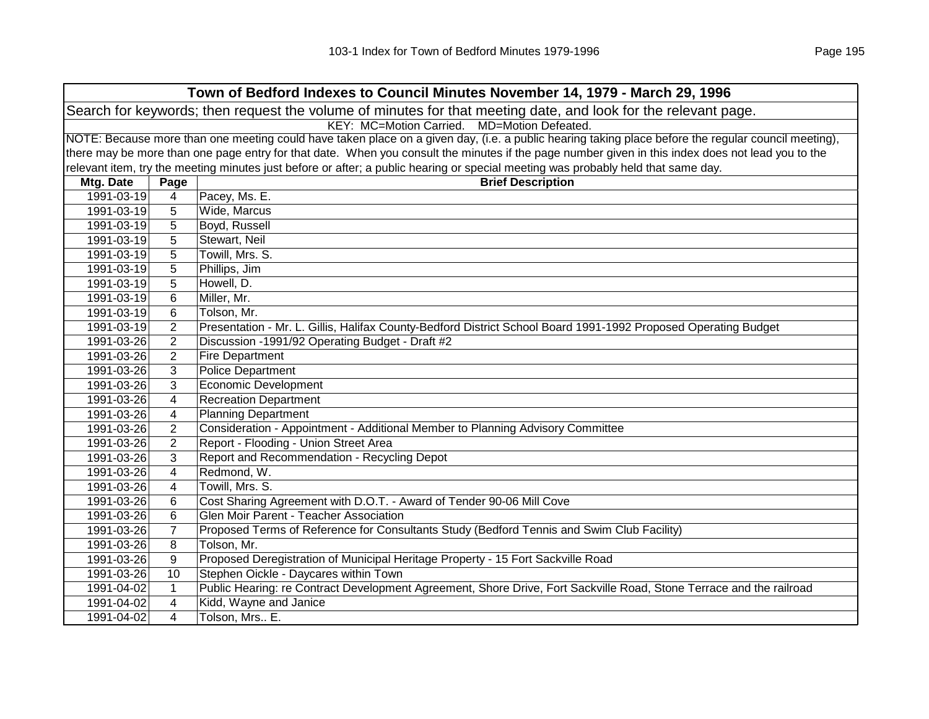| Town of Bedford Indexes to Council Minutes November 14, 1979 - March 29, 1996 |                                                                                                                |                                                                                                                                                     |  |  |  |
|-------------------------------------------------------------------------------|----------------------------------------------------------------------------------------------------------------|-----------------------------------------------------------------------------------------------------------------------------------------------------|--|--|--|
|                                                                               | Search for keywords; then request the volume of minutes for that meeting date, and look for the relevant page. |                                                                                                                                                     |  |  |  |
|                                                                               | KEY: MC=Motion Carried. MD=Motion Defeated.                                                                    |                                                                                                                                                     |  |  |  |
|                                                                               |                                                                                                                | NOTE: Because more than one meeting could have taken place on a given day, (i.e. a public hearing taking place before the regular council meeting), |  |  |  |
|                                                                               |                                                                                                                | there may be more than one page entry for that date. When you consult the minutes if the page number given in this index does not lead you to the   |  |  |  |
|                                                                               |                                                                                                                | relevant item, try the meeting minutes just before or after; a public hearing or special meeting was probably held that same day.                   |  |  |  |
| Mtg. Date                                                                     | Page                                                                                                           | <b>Brief Description</b>                                                                                                                            |  |  |  |
| 1991-03-19                                                                    | 4                                                                                                              | Pacey, Ms. E.                                                                                                                                       |  |  |  |
| 1991-03-19                                                                    | 5                                                                                                              | Wide, Marcus                                                                                                                                        |  |  |  |
| 1991-03-19                                                                    | 5                                                                                                              | Boyd, Russell                                                                                                                                       |  |  |  |
| 1991-03-19                                                                    | 5                                                                                                              | Stewart, Neil                                                                                                                                       |  |  |  |
| 1991-03-19                                                                    | 5                                                                                                              | Towill, Mrs. S.                                                                                                                                     |  |  |  |
| 1991-03-19                                                                    | 5                                                                                                              | Phillips, Jim                                                                                                                                       |  |  |  |
| 1991-03-19                                                                    | 5                                                                                                              | Howell, D.                                                                                                                                          |  |  |  |
| 1991-03-19                                                                    | 6                                                                                                              | Miller, Mr.                                                                                                                                         |  |  |  |
| 1991-03-19                                                                    | 6                                                                                                              | Tolson, Mr.                                                                                                                                         |  |  |  |
| 1991-03-19                                                                    | $\overline{2}$                                                                                                 | Presentation - Mr. L. Gillis, Halifax County-Bedford District School Board 1991-1992 Proposed Operating Budget                                      |  |  |  |
| 1991-03-26                                                                    | $\overline{2}$                                                                                                 | Discussion -1991/92 Operating Budget - Draft #2                                                                                                     |  |  |  |
| 1991-03-26                                                                    | $\overline{2}$                                                                                                 | <b>Fire Department</b>                                                                                                                              |  |  |  |
| 1991-03-26                                                                    | 3                                                                                                              | <b>Police Department</b>                                                                                                                            |  |  |  |
| 1991-03-26                                                                    | 3                                                                                                              | <b>Economic Development</b>                                                                                                                         |  |  |  |
| 1991-03-26                                                                    | 4                                                                                                              | <b>Recreation Department</b>                                                                                                                        |  |  |  |
| 1991-03-26                                                                    | 4                                                                                                              | <b>Planning Department</b>                                                                                                                          |  |  |  |
| 1991-03-26                                                                    | 2                                                                                                              | Consideration - Appointment - Additional Member to Planning Advisory Committee                                                                      |  |  |  |
| 1991-03-26                                                                    | $\overline{2}$                                                                                                 | Report - Flooding - Union Street Area                                                                                                               |  |  |  |
| 1991-03-26                                                                    | 3                                                                                                              | Report and Recommendation - Recycling Depot                                                                                                         |  |  |  |
| 1991-03-26                                                                    | 4                                                                                                              | Redmond, W.                                                                                                                                         |  |  |  |
| 1991-03-26                                                                    | 4                                                                                                              | Towill, Mrs. S.                                                                                                                                     |  |  |  |
| 1991-03-26                                                                    | 6                                                                                                              | Cost Sharing Agreement with D.O.T. - Award of Tender 90-06 Mill Cove                                                                                |  |  |  |
| 1991-03-26                                                                    | 6                                                                                                              | Glen Moir Parent - Teacher Association                                                                                                              |  |  |  |
| 1991-03-26                                                                    | $\overline{7}$                                                                                                 | Proposed Terms of Reference for Consultants Study (Bedford Tennis and Swim Club Facility)                                                           |  |  |  |
| 1991-03-26                                                                    | 8                                                                                                              | Tolson, Mr.                                                                                                                                         |  |  |  |
| 1991-03-26                                                                    | 9                                                                                                              | Proposed Deregistration of Municipal Heritage Property - 15 Fort Sackville Road                                                                     |  |  |  |
| 1991-03-26                                                                    | 10                                                                                                             | Stephen Oickle - Daycares within Town                                                                                                               |  |  |  |
| 1991-04-02                                                                    | $\mathbf{1}$                                                                                                   | Public Hearing: re Contract Development Agreement, Shore Drive, Fort Sackville Road, Stone Terrace and the railroad                                 |  |  |  |
| 1991-04-02                                                                    | 4                                                                                                              | Kidd, Wayne and Janice                                                                                                                              |  |  |  |
| 1991-04-02                                                                    | 4                                                                                                              | Tolson, Mrs., E.                                                                                                                                    |  |  |  |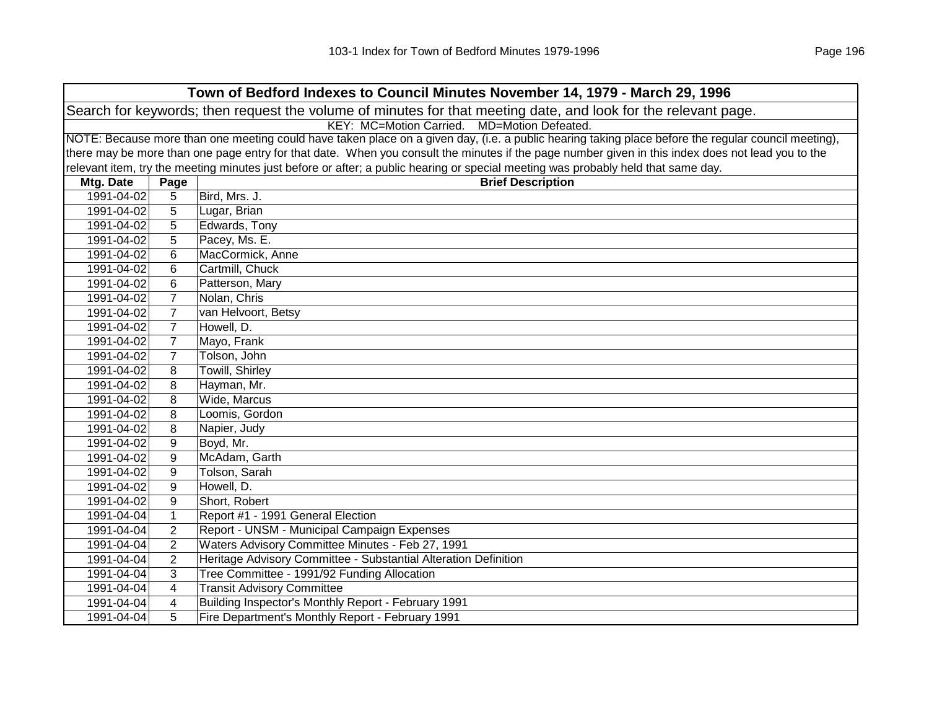| Town of Bedford Indexes to Council Minutes November 14, 1979 - March 29, 1996                                  |                                             |                                                                                                                                                     |  |  |
|----------------------------------------------------------------------------------------------------------------|---------------------------------------------|-----------------------------------------------------------------------------------------------------------------------------------------------------|--|--|
| Search for keywords; then request the volume of minutes for that meeting date, and look for the relevant page. |                                             |                                                                                                                                                     |  |  |
|                                                                                                                | KEY: MC=Motion Carried. MD=Motion Defeated. |                                                                                                                                                     |  |  |
|                                                                                                                |                                             | NOTE: Because more than one meeting could have taken place on a given day, (i.e. a public hearing taking place before the regular council meeting), |  |  |
|                                                                                                                |                                             | there may be more than one page entry for that date. When you consult the minutes if the page number given in this index does not lead you to the   |  |  |
|                                                                                                                |                                             | relevant item, try the meeting minutes just before or after; a public hearing or special meeting was probably held that same day.                   |  |  |
| Mtg. Date                                                                                                      | Page                                        | <b>Brief Description</b>                                                                                                                            |  |  |
| 1991-04-02                                                                                                     | 5                                           | Bird, Mrs. J.                                                                                                                                       |  |  |
| 1991-04-02                                                                                                     | 5                                           | Lugar, Brian                                                                                                                                        |  |  |
| 1991-04-02                                                                                                     | 5                                           | Edwards, Tony                                                                                                                                       |  |  |
| 1991-04-02                                                                                                     | 5                                           | Pacey, Ms. E.                                                                                                                                       |  |  |
| 1991-04-02                                                                                                     | 6                                           | MacCormick, Anne                                                                                                                                    |  |  |
| 1991-04-02                                                                                                     | 6                                           | Cartmill, Chuck                                                                                                                                     |  |  |
| 1991-04-02                                                                                                     | 6                                           | Patterson, Mary                                                                                                                                     |  |  |
| 1991-04-02                                                                                                     | $\overline{7}$                              | Nolan, Chris                                                                                                                                        |  |  |
| 1991-04-02                                                                                                     | $\overline{7}$                              | van Helvoort, Betsy                                                                                                                                 |  |  |
| 1991-04-02                                                                                                     | $\overline{7}$                              | Howell, D.                                                                                                                                          |  |  |
| 1991-04-02                                                                                                     | $\overline{7}$                              | Mayo, Frank                                                                                                                                         |  |  |
| 1991-04-02                                                                                                     | $\overline{7}$                              | Tolson, John                                                                                                                                        |  |  |
| 1991-04-02                                                                                                     | 8                                           | <b>Towill, Shirley</b>                                                                                                                              |  |  |
| 1991-04-02                                                                                                     | 8                                           | Hayman, Mr.                                                                                                                                         |  |  |
| 1991-04-02                                                                                                     | 8                                           | Wide, Marcus                                                                                                                                        |  |  |
| 1991-04-02                                                                                                     | 8                                           | Loomis, Gordon                                                                                                                                      |  |  |
| 1991-04-02                                                                                                     | 8                                           | Napier, Judy                                                                                                                                        |  |  |
| 1991-04-02                                                                                                     | 9                                           | Boyd, Mr.                                                                                                                                           |  |  |
| 1991-04-02                                                                                                     | 9                                           | McAdam, Garth                                                                                                                                       |  |  |
| 1991-04-02                                                                                                     | 9                                           | Tolson, Sarah                                                                                                                                       |  |  |
| 1991-04-02                                                                                                     | 9                                           | Howell, D.                                                                                                                                          |  |  |
| 1991-04-02                                                                                                     | 9                                           | Short, Robert                                                                                                                                       |  |  |
| 1991-04-04                                                                                                     | $\mathbf{1}$                                | Report #1 - 1991 General Election                                                                                                                   |  |  |
| 1991-04-04                                                                                                     | $\overline{2}$                              | Report - UNSM - Municipal Campaign Expenses                                                                                                         |  |  |
| 1991-04-04                                                                                                     | $\overline{2}$                              | Waters Advisory Committee Minutes - Feb 27, 1991                                                                                                    |  |  |
| 1991-04-04                                                                                                     | $\overline{2}$                              | Heritage Advisory Committee - Substantial Alteration Definition                                                                                     |  |  |
| 1991-04-04                                                                                                     | 3                                           | Tree Committee - 1991/92 Funding Allocation                                                                                                         |  |  |
| 1991-04-04                                                                                                     | $\overline{4}$                              | <b>Transit Advisory Committee</b>                                                                                                                   |  |  |
| 1991-04-04                                                                                                     | 4                                           | Building Inspector's Monthly Report - February 1991                                                                                                 |  |  |
| 1991-04-04                                                                                                     | 5                                           | Fire Department's Monthly Report - February 1991                                                                                                    |  |  |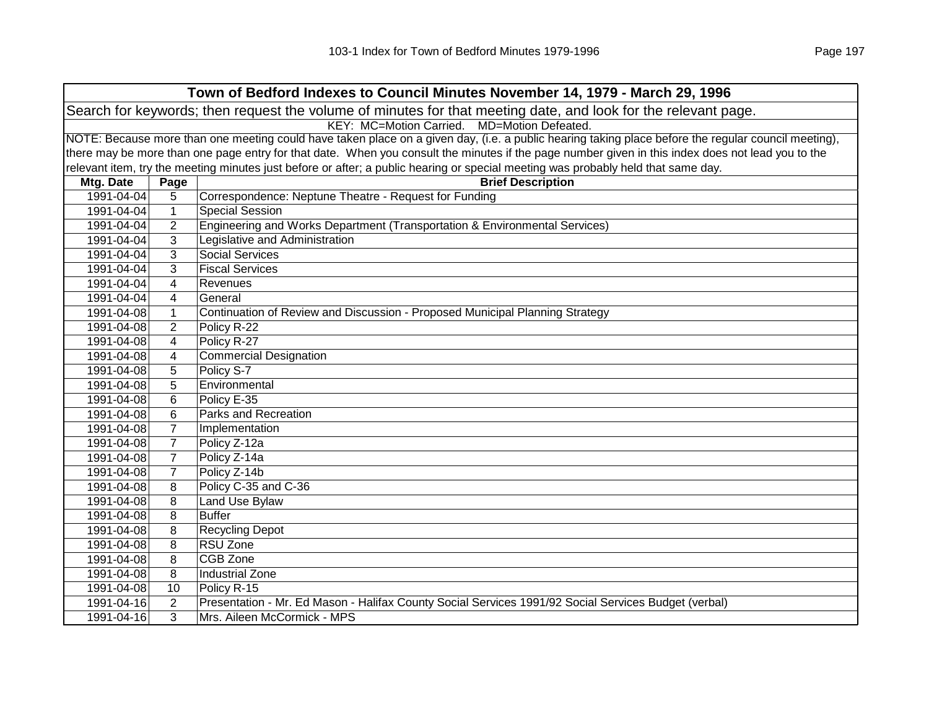| Town of Bedford Indexes to Council Minutes November 14, 1979 - March 29, 1996                                  |                |                                                                                                                                                     |  |  |
|----------------------------------------------------------------------------------------------------------------|----------------|-----------------------------------------------------------------------------------------------------------------------------------------------------|--|--|
| Search for keywords; then request the volume of minutes for that meeting date, and look for the relevant page. |                |                                                                                                                                                     |  |  |
| KEY: MC=Motion Carried. MD=Motion Defeated.                                                                    |                |                                                                                                                                                     |  |  |
|                                                                                                                |                | NOTE: Because more than one meeting could have taken place on a given day, (i.e. a public hearing taking place before the regular council meeting), |  |  |
|                                                                                                                |                | there may be more than one page entry for that date. When you consult the minutes if the page number given in this index does not lead you to the   |  |  |
|                                                                                                                |                | relevant item, try the meeting minutes just before or after; a public hearing or special meeting was probably held that same day.                   |  |  |
| Mtg. Date                                                                                                      | Page           | <b>Brief Description</b>                                                                                                                            |  |  |
| 1991-04-04                                                                                                     | 5              | Correspondence: Neptune Theatre - Request for Funding                                                                                               |  |  |
| 1991-04-04                                                                                                     | $\mathbf{1}$   | <b>Special Session</b>                                                                                                                              |  |  |
| 1991-04-04                                                                                                     | $\overline{2}$ | Engineering and Works Department (Transportation & Environmental Services)                                                                          |  |  |
| 1991-04-04                                                                                                     | 3              | Legislative and Administration                                                                                                                      |  |  |
| 1991-04-04                                                                                                     | 3              | <b>Social Services</b>                                                                                                                              |  |  |
| 1991-04-04                                                                                                     | 3              | <b>Fiscal Services</b>                                                                                                                              |  |  |
| 1991-04-04                                                                                                     | 4              | Revenues                                                                                                                                            |  |  |
| 1991-04-04                                                                                                     | $\overline{4}$ | General                                                                                                                                             |  |  |
| 1991-04-08                                                                                                     | $\mathbf{1}$   | Continuation of Review and Discussion - Proposed Municipal Planning Strategy                                                                        |  |  |
| 1991-04-08                                                                                                     | $\overline{2}$ | Policy R-22                                                                                                                                         |  |  |
| 1991-04-08                                                                                                     | 4              | Policy R-27                                                                                                                                         |  |  |
| 1991-04-08                                                                                                     | 4              | Commercial Designation                                                                                                                              |  |  |
| 1991-04-08                                                                                                     | 5              | Policy S-7                                                                                                                                          |  |  |
| 1991-04-08                                                                                                     | 5              | Environmental                                                                                                                                       |  |  |
| 1991-04-08                                                                                                     | 6              | Policy E-35                                                                                                                                         |  |  |
| 1991-04-08                                                                                                     | 6              | Parks and Recreation                                                                                                                                |  |  |
| 1991-04-08                                                                                                     | $\overline{7}$ | Implementation                                                                                                                                      |  |  |
| 1991-04-08                                                                                                     | 7              | Policy Z-12a                                                                                                                                        |  |  |
| 1991-04-08                                                                                                     | $\overline{7}$ | Policy Z-14a                                                                                                                                        |  |  |
| 1991-04-08                                                                                                     | $\overline{7}$ | Policy Z-14b                                                                                                                                        |  |  |
| 1991-04-08                                                                                                     | 8              | Policy C-35 and C-36                                                                                                                                |  |  |
| 1991-04-08                                                                                                     | 8              | Land Use Bylaw                                                                                                                                      |  |  |
| 1991-04-08                                                                                                     | 8              | <b>Buffer</b>                                                                                                                                       |  |  |
| 1991-04-08                                                                                                     | 8              | <b>Recycling Depot</b>                                                                                                                              |  |  |
| 1991-04-08                                                                                                     | 8              | RSU Zone                                                                                                                                            |  |  |
| 1991-04-08                                                                                                     | 8              | <b>CGB Zone</b>                                                                                                                                     |  |  |
| 1991-04-08                                                                                                     | 8              | <b>Industrial Zone</b>                                                                                                                              |  |  |
| 1991-04-08                                                                                                     | 10             | Policy R-15                                                                                                                                         |  |  |
| 1991-04-16                                                                                                     | 2              | Presentation - Mr. Ed Mason - Halifax County Social Services 1991/92 Social Services Budget (verbal)                                                |  |  |
| 1991-04-16                                                                                                     | 3              | Mrs. Aileen McCormick - MPS                                                                                                                         |  |  |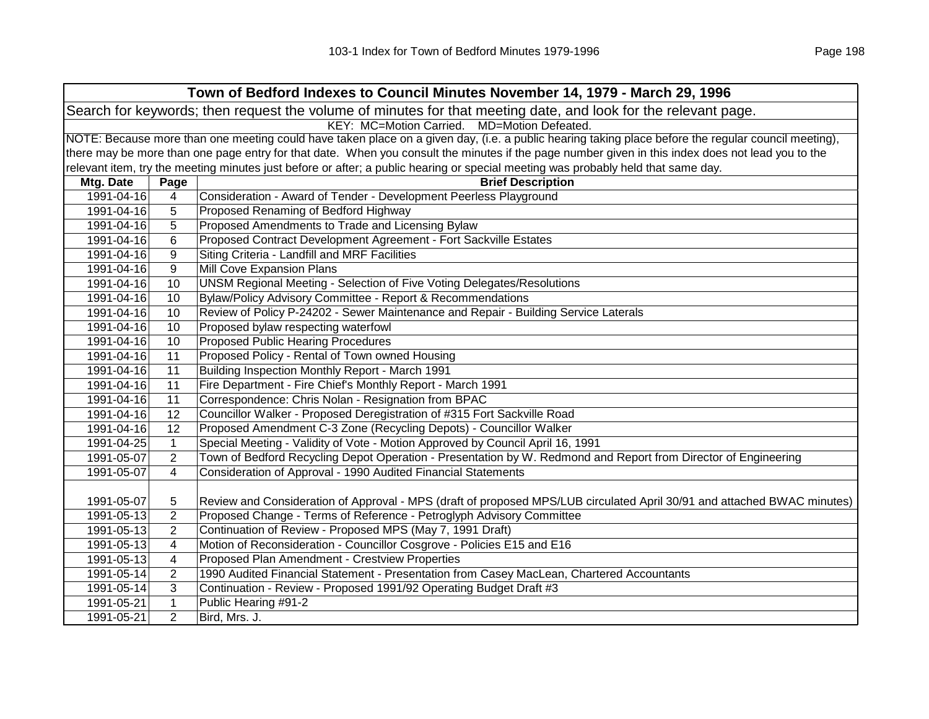|                                                                                                                | Town of Bedford Indexes to Council Minutes November 14, 1979 - March 29, 1996                                                                       |                                                                                                                                                   |  |  |
|----------------------------------------------------------------------------------------------------------------|-----------------------------------------------------------------------------------------------------------------------------------------------------|---------------------------------------------------------------------------------------------------------------------------------------------------|--|--|
| Search for keywords; then request the volume of minutes for that meeting date, and look for the relevant page. |                                                                                                                                                     |                                                                                                                                                   |  |  |
|                                                                                                                | KEY: MC=Motion Carried. MD=Motion Defeated.                                                                                                         |                                                                                                                                                   |  |  |
|                                                                                                                | NOTE: Because more than one meeting could have taken place on a given day, (i.e. a public hearing taking place before the regular council meeting), |                                                                                                                                                   |  |  |
|                                                                                                                |                                                                                                                                                     | there may be more than one page entry for that date. When you consult the minutes if the page number given in this index does not lead you to the |  |  |
|                                                                                                                |                                                                                                                                                     | relevant item, try the meeting minutes just before or after; a public hearing or special meeting was probably held that same day.                 |  |  |
| Mtg. Date                                                                                                      | Page                                                                                                                                                | <b>Brief Description</b>                                                                                                                          |  |  |
| 1991-04-16                                                                                                     | $\overline{4}$                                                                                                                                      | Consideration - Award of Tender - Development Peerless Playground                                                                                 |  |  |
| 1991-04-16                                                                                                     | 5                                                                                                                                                   | Proposed Renaming of Bedford Highway                                                                                                              |  |  |
| 1991-04-16                                                                                                     | 5                                                                                                                                                   | Proposed Amendments to Trade and Licensing Bylaw                                                                                                  |  |  |
| 1991-04-16                                                                                                     | 6                                                                                                                                                   | Proposed Contract Development Agreement - Fort Sackville Estates                                                                                  |  |  |
| 1991-04-16                                                                                                     | 9                                                                                                                                                   | Siting Criteria - Landfill and MRF Facilities                                                                                                     |  |  |
| 1991-04-16                                                                                                     | 9                                                                                                                                                   | Mill Cove Expansion Plans                                                                                                                         |  |  |
| 1991-04-16                                                                                                     | 10                                                                                                                                                  | UNSM Regional Meeting - Selection of Five Voting Delegates/Resolutions                                                                            |  |  |
| 1991-04-16                                                                                                     | 10                                                                                                                                                  | Bylaw/Policy Advisory Committee - Report & Recommendations                                                                                        |  |  |
| 1991-04-16                                                                                                     | 10                                                                                                                                                  | Review of Policy P-24202 - Sewer Maintenance and Repair - Building Service Laterals                                                               |  |  |
| 1991-04-16                                                                                                     | 10                                                                                                                                                  | Proposed bylaw respecting waterfowl                                                                                                               |  |  |
| 1991-04-16                                                                                                     | 10                                                                                                                                                  | <b>Proposed Public Hearing Procedures</b>                                                                                                         |  |  |
| 1991-04-16                                                                                                     | 11                                                                                                                                                  | Proposed Policy - Rental of Town owned Housing                                                                                                    |  |  |
| 1991-04-16                                                                                                     | 11                                                                                                                                                  | Building Inspection Monthly Report - March 1991                                                                                                   |  |  |
| 1991-04-16                                                                                                     | 11                                                                                                                                                  | Fire Department - Fire Chief's Monthly Report - March 1991                                                                                        |  |  |
| 1991-04-16                                                                                                     | 11                                                                                                                                                  | Correspondence: Chris Nolan - Resignation from BPAC                                                                                               |  |  |
| 1991-04-16                                                                                                     | 12                                                                                                                                                  | Councillor Walker - Proposed Deregistration of #315 Fort Sackville Road                                                                           |  |  |
| 1991-04-16                                                                                                     | 12                                                                                                                                                  | Proposed Amendment C-3 Zone (Recycling Depots) - Councillor Walker                                                                                |  |  |
| 1991-04-25                                                                                                     | $\mathbf{1}$                                                                                                                                        | Special Meeting - Validity of Vote - Motion Approved by Council April 16, 1991                                                                    |  |  |
| 1991-05-07                                                                                                     | 2                                                                                                                                                   | Town of Bedford Recycling Depot Operation - Presentation by W. Redmond and Report from Director of Engineering                                    |  |  |
| 1991-05-07                                                                                                     | $\overline{4}$                                                                                                                                      | Consideration of Approval - 1990 Audited Financial Statements                                                                                     |  |  |
|                                                                                                                |                                                                                                                                                     |                                                                                                                                                   |  |  |
| 1991-05-07                                                                                                     | 5                                                                                                                                                   | Review and Consideration of Approval - MPS (draft of proposed MPS/LUB circulated April 30/91 and attached BWAC minutes)                           |  |  |
| 1991-05-13                                                                                                     | $\overline{2}$                                                                                                                                      | Proposed Change - Terms of Reference - Petroglyph Advisory Committee                                                                              |  |  |
| 1991-05-13                                                                                                     | 2                                                                                                                                                   | Continuation of Review - Proposed MPS (May 7, 1991 Draft)                                                                                         |  |  |
| 1991-05-13                                                                                                     | 4                                                                                                                                                   | Motion of Reconsideration - Councillor Cosgrove - Policies E15 and E16                                                                            |  |  |
| 1991-05-13                                                                                                     | $\overline{4}$                                                                                                                                      | Proposed Plan Amendment - Crestview Properties                                                                                                    |  |  |
| 1991-05-14                                                                                                     | $\overline{2}$                                                                                                                                      | 1990 Audited Financial Statement - Presentation from Casey MacLean, Chartered Accountants                                                         |  |  |
| 1991-05-14                                                                                                     | 3                                                                                                                                                   | Continuation - Review - Proposed 1991/92 Operating Budget Draft #3                                                                                |  |  |
| 1991-05-21                                                                                                     | $\mathbf{1}$                                                                                                                                        | Public Hearing #91-2                                                                                                                              |  |  |
| 1991-05-21                                                                                                     | $\overline{2}$                                                                                                                                      | Bird, Mrs. J.                                                                                                                                     |  |  |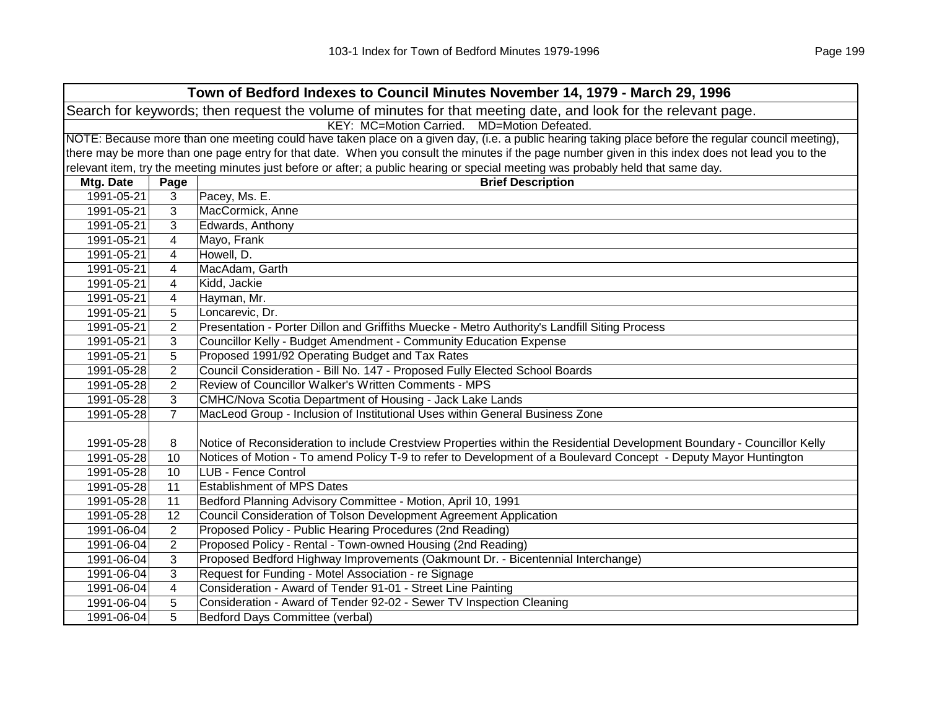| Town of Bedford Indexes to Council Minutes November 14, 1979 - March 29, 1996                                  |                                             |                                                                                                                                                     |  |  |
|----------------------------------------------------------------------------------------------------------------|---------------------------------------------|-----------------------------------------------------------------------------------------------------------------------------------------------------|--|--|
| Search for keywords; then request the volume of minutes for that meeting date, and look for the relevant page. |                                             |                                                                                                                                                     |  |  |
|                                                                                                                | KEY: MC=Motion Carried. MD=Motion Defeated. |                                                                                                                                                     |  |  |
|                                                                                                                |                                             | NOTE: Because more than one meeting could have taken place on a given day, (i.e. a public hearing taking place before the regular council meeting), |  |  |
|                                                                                                                |                                             | there may be more than one page entry for that date. When you consult the minutes if the page number given in this index does not lead you to the   |  |  |
|                                                                                                                |                                             | relevant item, try the meeting minutes just before or after; a public hearing or special meeting was probably held that same day.                   |  |  |
| Mtg. Date                                                                                                      | Page                                        | <b>Brief Description</b>                                                                                                                            |  |  |
| 1991-05-21                                                                                                     | 3                                           | Pacey, Ms. E.                                                                                                                                       |  |  |
| 1991-05-21                                                                                                     | 3                                           | MacCormick, Anne                                                                                                                                    |  |  |
| 1991-05-21                                                                                                     | 3                                           | Edwards, Anthony                                                                                                                                    |  |  |
| 1991-05-21                                                                                                     | 4                                           | Mayo, Frank                                                                                                                                         |  |  |
| 1991-05-21                                                                                                     | 4                                           | Howell, D.                                                                                                                                          |  |  |
| 1991-05-21                                                                                                     | 4                                           | MacAdam, Garth                                                                                                                                      |  |  |
| 1991-05-21                                                                                                     | 4                                           | Kidd, Jackie                                                                                                                                        |  |  |
| 1991-05-21                                                                                                     | 4                                           | Hayman, Mr.                                                                                                                                         |  |  |
| 1991-05-21                                                                                                     | 5                                           | Loncarevic, Dr.                                                                                                                                     |  |  |
| 1991-05-21                                                                                                     | $\overline{2}$                              | Presentation - Porter Dillon and Griffiths Muecke - Metro Authority's Landfill Siting Process                                                       |  |  |
| 1991-05-21                                                                                                     | 3                                           | Councillor Kelly - Budget Amendment - Community Education Expense                                                                                   |  |  |
| 1991-05-21                                                                                                     | 5                                           | Proposed 1991/92 Operating Budget and Tax Rates                                                                                                     |  |  |
| 1991-05-28                                                                                                     | 2                                           | Council Consideration - Bill No. 147 - Proposed Fully Elected School Boards                                                                         |  |  |
| 1991-05-28                                                                                                     | $\overline{2}$                              | Review of Councillor Walker's Written Comments - MPS                                                                                                |  |  |
| 1991-05-28                                                                                                     | 3                                           | CMHC/Nova Scotia Department of Housing - Jack Lake Lands                                                                                            |  |  |
| 1991-05-28                                                                                                     | $\overline{7}$                              | MacLeod Group - Inclusion of Institutional Uses within General Business Zone                                                                        |  |  |
|                                                                                                                |                                             |                                                                                                                                                     |  |  |
| 1991-05-28                                                                                                     | 8                                           | Notice of Reconsideration to include Crestview Properties within the Residential Development Boundary - Councillor Kelly                            |  |  |
| 1991-05-28                                                                                                     | 10                                          | Notices of Motion - To amend Policy T-9 to refer to Development of a Boulevard Concept - Deputy Mayor Huntington                                    |  |  |
| 1991-05-28                                                                                                     | 10                                          | LUB - Fence Control                                                                                                                                 |  |  |
| 1991-05-28                                                                                                     | 11                                          | <b>Establishment of MPS Dates</b>                                                                                                                   |  |  |
| 1991-05-28                                                                                                     | 11                                          | Bedford Planning Advisory Committee - Motion, April 10, 1991                                                                                        |  |  |
| 1991-05-28                                                                                                     | 12                                          | Council Consideration of Tolson Development Agreement Application                                                                                   |  |  |
| 1991-06-04                                                                                                     | 2                                           | Proposed Policy - Public Hearing Procedures (2nd Reading)                                                                                           |  |  |
| 1991-06-04                                                                                                     | $\overline{2}$                              | Proposed Policy - Rental - Town-owned Housing (2nd Reading)                                                                                         |  |  |
| 1991-06-04                                                                                                     | 3                                           | Proposed Bedford Highway Improvements (Oakmount Dr. - Bicentennial Interchange)                                                                     |  |  |
| 1991-06-04                                                                                                     | 3                                           | Request for Funding - Motel Association - re Signage                                                                                                |  |  |
| 1991-06-04                                                                                                     | 4                                           | Consideration - Award of Tender 91-01 - Street Line Painting                                                                                        |  |  |
| 1991-06-04                                                                                                     | 5                                           | Consideration - Award of Tender 92-02 - Sewer TV Inspection Cleaning                                                                                |  |  |
| 1991-06-04                                                                                                     | 5                                           | Bedford Days Committee (verbal)                                                                                                                     |  |  |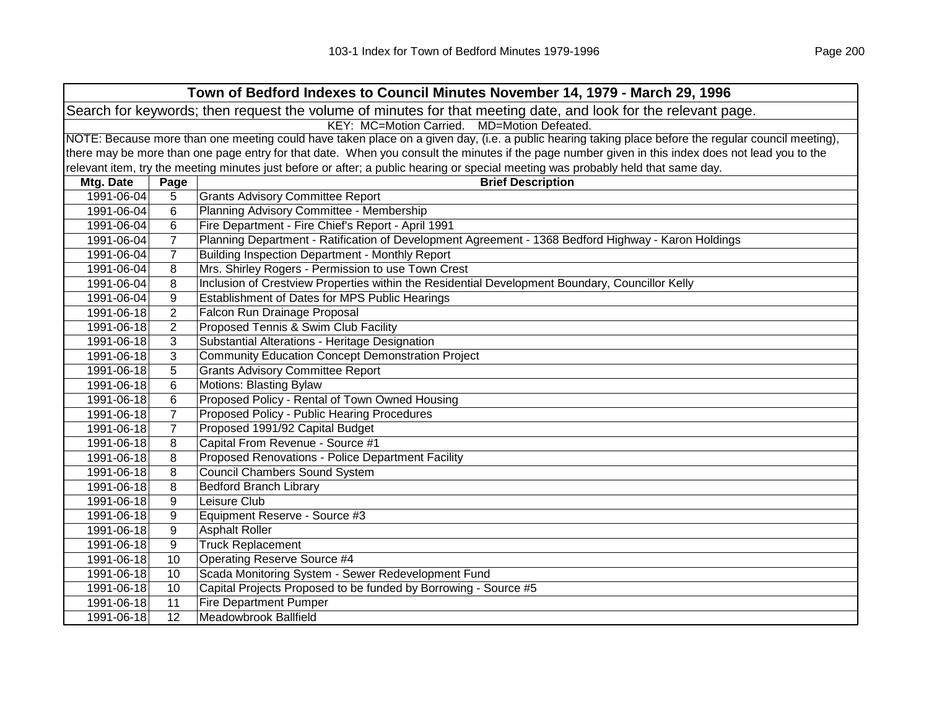| Town of Bedford Indexes to Council Minutes November 14, 1979 - March 29, 1996                                  |                                             |                                                                                                                                                     |  |  |  |
|----------------------------------------------------------------------------------------------------------------|---------------------------------------------|-----------------------------------------------------------------------------------------------------------------------------------------------------|--|--|--|
| Search for keywords; then request the volume of minutes for that meeting date, and look for the relevant page. |                                             |                                                                                                                                                     |  |  |  |
|                                                                                                                | KEY: MC=Motion Carried. MD=Motion Defeated. |                                                                                                                                                     |  |  |  |
|                                                                                                                |                                             | NOTE: Because more than one meeting could have taken place on a given day, (i.e. a public hearing taking place before the regular council meeting), |  |  |  |
|                                                                                                                |                                             | there may be more than one page entry for that date. When you consult the minutes if the page number given in this index does not lead you to the   |  |  |  |
|                                                                                                                |                                             | relevant item, try the meeting minutes just before or after; a public hearing or special meeting was probably held that same day.                   |  |  |  |
| Mtg. Date                                                                                                      | Page                                        | <b>Brief Description</b>                                                                                                                            |  |  |  |
| 1991-06-04                                                                                                     | 5                                           | <b>Grants Advisory Committee Report</b>                                                                                                             |  |  |  |
| 1991-06-04                                                                                                     | 6                                           | Planning Advisory Committee - Membership                                                                                                            |  |  |  |
| 1991-06-04                                                                                                     | 6                                           | Fire Department - Fire Chief's Report - April 1991                                                                                                  |  |  |  |
| 1991-06-04                                                                                                     | $\overline{7}$                              | Planning Department - Ratification of Development Agreement - 1368 Bedford Highway - Karon Holdings                                                 |  |  |  |
| 1991-06-04                                                                                                     | 7                                           | Building Inspection Department - Monthly Report                                                                                                     |  |  |  |
| 1991-06-04                                                                                                     | 8                                           | Mrs. Shirley Rogers - Permission to use Town Crest                                                                                                  |  |  |  |
| 1991-06-04                                                                                                     | 8                                           | Inclusion of Crestview Properties within the Residential Development Boundary, Councillor Kelly                                                     |  |  |  |
| 1991-06-04                                                                                                     | 9                                           | Establishment of Dates for MPS Public Hearings                                                                                                      |  |  |  |
| 1991-06-18                                                                                                     | 2                                           | Falcon Run Drainage Proposal                                                                                                                        |  |  |  |
| 1991-06-18                                                                                                     | 2                                           | Proposed Tennis & Swim Club Facility                                                                                                                |  |  |  |
| 1991-06-18                                                                                                     | 3                                           | Substantial Alterations - Heritage Designation                                                                                                      |  |  |  |
| 1991-06-18                                                                                                     | 3                                           | <b>Community Education Concept Demonstration Project</b>                                                                                            |  |  |  |
| 1991-06-18                                                                                                     | 5                                           | <b>Grants Advisory Committee Report</b>                                                                                                             |  |  |  |
| 1991-06-18                                                                                                     | 6                                           | <b>Motions: Blasting Bylaw</b>                                                                                                                      |  |  |  |
| 1991-06-18                                                                                                     | 6                                           | Proposed Policy - Rental of Town Owned Housing                                                                                                      |  |  |  |
| 1991-06-18                                                                                                     | $\overline{7}$                              | Proposed Policy - Public Hearing Procedures                                                                                                         |  |  |  |
| 1991-06-18                                                                                                     | $\overline{7}$                              | Proposed 1991/92 Capital Budget                                                                                                                     |  |  |  |
| 1991-06-18                                                                                                     | 8                                           | Capital From Revenue - Source #1                                                                                                                    |  |  |  |
| 1991-06-18                                                                                                     | 8                                           | Proposed Renovations - Police Department Facility                                                                                                   |  |  |  |
| 1991-06-18                                                                                                     | 8                                           | <b>Council Chambers Sound System</b>                                                                                                                |  |  |  |
| 1991-06-18                                                                                                     | 8                                           | <b>Bedford Branch Library</b>                                                                                                                       |  |  |  |
| 1991-06-18                                                                                                     | 9                                           | Leisure Club                                                                                                                                        |  |  |  |
| 1991-06-18                                                                                                     | 9                                           | Equipment Reserve - Source #3                                                                                                                       |  |  |  |
| 1991-06-18                                                                                                     | 9                                           | <b>Asphalt Roller</b>                                                                                                                               |  |  |  |
| 1991-06-18                                                                                                     | 9                                           | <b>Truck Replacement</b>                                                                                                                            |  |  |  |
| 1991-06-18                                                                                                     | 10                                          | <b>Operating Reserve Source #4</b>                                                                                                                  |  |  |  |
| 1991-06-18                                                                                                     | 10                                          | Scada Monitoring System - Sewer Redevelopment Fund                                                                                                  |  |  |  |
| 1991-06-18                                                                                                     | 10                                          | Capital Projects Proposed to be funded by Borrowing - Source #5                                                                                     |  |  |  |
| 1991-06-18                                                                                                     | 11                                          | <b>Fire Department Pumper</b>                                                                                                                       |  |  |  |
| 1991-06-18                                                                                                     | 12                                          | Meadowbrook Ballfield                                                                                                                               |  |  |  |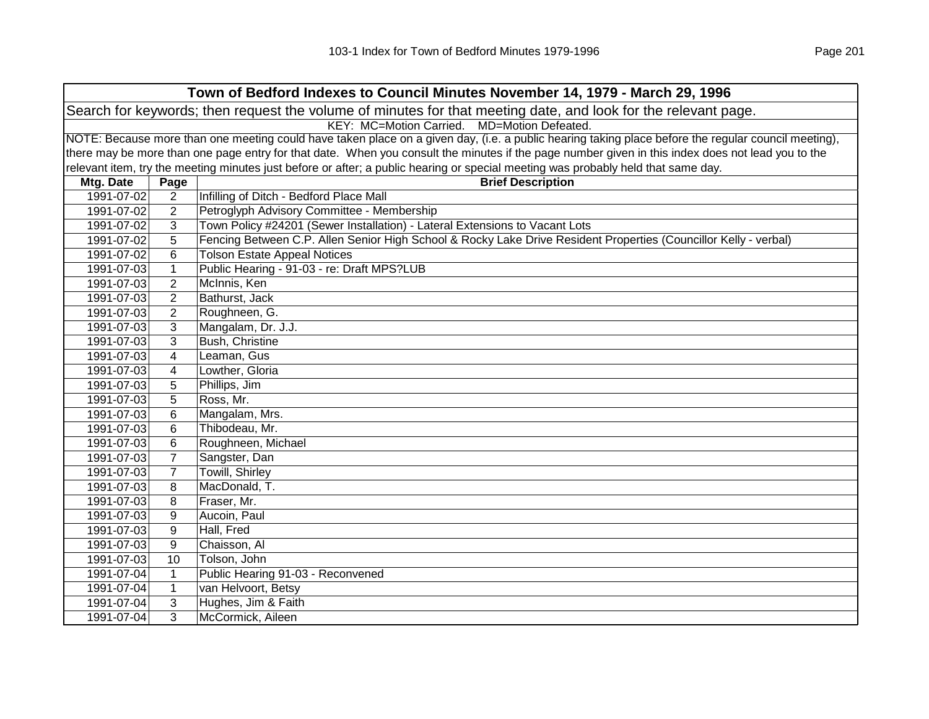|            | Town of Bedford Indexes to Council Minutes November 14, 1979 - March 29, 1996                                  |                                                                                                                                                     |  |  |  |
|------------|----------------------------------------------------------------------------------------------------------------|-----------------------------------------------------------------------------------------------------------------------------------------------------|--|--|--|
|            | Search for keywords; then request the volume of minutes for that meeting date, and look for the relevant page. |                                                                                                                                                     |  |  |  |
|            | KEY: MC=Motion Carried. MD=Motion Defeated.                                                                    |                                                                                                                                                     |  |  |  |
|            |                                                                                                                | NOTE: Because more than one meeting could have taken place on a given day, (i.e. a public hearing taking place before the regular council meeting), |  |  |  |
|            |                                                                                                                | there may be more than one page entry for that date. When you consult the minutes if the page number given in this index does not lead you to the   |  |  |  |
|            |                                                                                                                | relevant item, try the meeting minutes just before or after; a public hearing or special meeting was probably held that same day.                   |  |  |  |
| Mtg. Date  | Page                                                                                                           | <b>Brief Description</b>                                                                                                                            |  |  |  |
| 1991-07-02 | $\overline{2}$                                                                                                 | Infilling of Ditch - Bedford Place Mall                                                                                                             |  |  |  |
| 1991-07-02 | $\overline{2}$                                                                                                 | Petroglyph Advisory Committee - Membership                                                                                                          |  |  |  |
| 1991-07-02 | 3                                                                                                              | Town Policy #24201 (Sewer Installation) - Lateral Extensions to Vacant Lots                                                                         |  |  |  |
| 1991-07-02 | 5                                                                                                              | Fencing Between C.P. Allen Senior High School & Rocky Lake Drive Resident Properties (Councillor Kelly - verbal)                                    |  |  |  |
| 1991-07-02 | 6                                                                                                              | <b>Tolson Estate Appeal Notices</b>                                                                                                                 |  |  |  |
| 1991-07-03 | $\mathbf{1}$                                                                                                   | Public Hearing - 91-03 - re: Draft MPS?LUB                                                                                                          |  |  |  |
| 1991-07-03 | $\overline{2}$                                                                                                 | McInnis, Ken                                                                                                                                        |  |  |  |
| 1991-07-03 | $\overline{2}$                                                                                                 | Bathurst, Jack                                                                                                                                      |  |  |  |
| 1991-07-03 | $\overline{2}$                                                                                                 | Roughneen, G.                                                                                                                                       |  |  |  |
| 1991-07-03 | 3                                                                                                              | Mangalam, Dr. J.J.                                                                                                                                  |  |  |  |
| 1991-07-03 | 3                                                                                                              | <b>Bush, Christine</b>                                                                                                                              |  |  |  |
| 1991-07-03 | 4                                                                                                              | Leaman, Gus                                                                                                                                         |  |  |  |
| 1991-07-03 | 4                                                                                                              | Lowther, Gloria                                                                                                                                     |  |  |  |
| 1991-07-03 | 5                                                                                                              | Phillips, Jim                                                                                                                                       |  |  |  |
| 1991-07-03 | 5                                                                                                              | Ross, Mr.                                                                                                                                           |  |  |  |
| 1991-07-03 | 6                                                                                                              | Mangalam, Mrs.                                                                                                                                      |  |  |  |
| 1991-07-03 | 6                                                                                                              | Thibodeau, Mr.                                                                                                                                      |  |  |  |
| 1991-07-03 | 6                                                                                                              | Roughneen, Michael                                                                                                                                  |  |  |  |
| 1991-07-03 | $\overline{7}$                                                                                                 | Sangster, Dan                                                                                                                                       |  |  |  |
| 1991-07-03 | $\overline{7}$                                                                                                 | Towill, Shirley                                                                                                                                     |  |  |  |
| 1991-07-03 | 8                                                                                                              | MacDonald, T.                                                                                                                                       |  |  |  |
| 1991-07-03 | 8                                                                                                              | Fraser, Mr.                                                                                                                                         |  |  |  |
| 1991-07-03 | 9                                                                                                              | Aucoin, Paul                                                                                                                                        |  |  |  |
| 1991-07-03 | 9                                                                                                              | Hall, Fred                                                                                                                                          |  |  |  |
| 1991-07-03 | 9                                                                                                              | Chaisson, Al                                                                                                                                        |  |  |  |
| 1991-07-03 | 10                                                                                                             | Tolson, John                                                                                                                                        |  |  |  |
| 1991-07-04 | $\mathbf{1}$                                                                                                   | Public Hearing 91-03 - Reconvened                                                                                                                   |  |  |  |
| 1991-07-04 | $\mathbf{1}$                                                                                                   | van Helvoort, Betsy                                                                                                                                 |  |  |  |
| 1991-07-04 | 3                                                                                                              | Hughes, Jim & Faith                                                                                                                                 |  |  |  |
| 1991-07-04 | 3                                                                                                              | McCormick, Aileen                                                                                                                                   |  |  |  |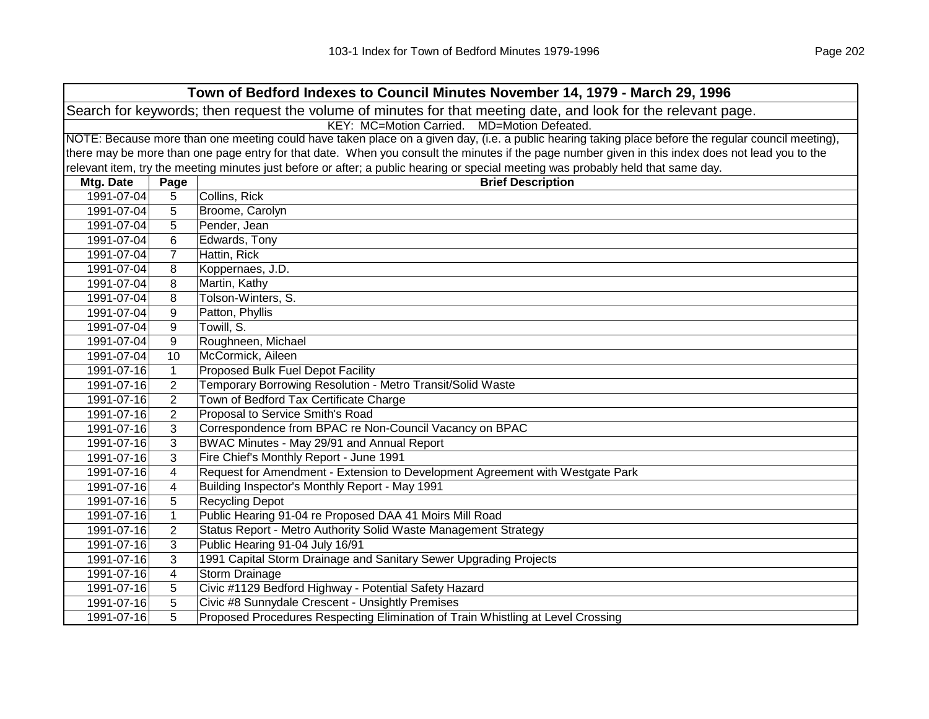| Town of Bedford Indexes to Council Minutes November 14, 1979 - March 29, 1996 |                                                                                                                |                                                                                                                                                     |  |  |  |
|-------------------------------------------------------------------------------|----------------------------------------------------------------------------------------------------------------|-----------------------------------------------------------------------------------------------------------------------------------------------------|--|--|--|
|                                                                               | Search for keywords; then request the volume of minutes for that meeting date, and look for the relevant page. |                                                                                                                                                     |  |  |  |
|                                                                               | KEY: MC=Motion Carried. MD=Motion Defeated.                                                                    |                                                                                                                                                     |  |  |  |
|                                                                               |                                                                                                                | NOTE: Because more than one meeting could have taken place on a given day, (i.e. a public hearing taking place before the regular council meeting), |  |  |  |
|                                                                               |                                                                                                                | there may be more than one page entry for that date. When you consult the minutes if the page number given in this index does not lead you to the   |  |  |  |
|                                                                               |                                                                                                                | relevant item, try the meeting minutes just before or after; a public hearing or special meeting was probably held that same day.                   |  |  |  |
| Mtg. Date                                                                     | Page                                                                                                           | <b>Brief Description</b>                                                                                                                            |  |  |  |
| 1991-07-04                                                                    | 5                                                                                                              | Collins, Rick                                                                                                                                       |  |  |  |
| 1991-07-04                                                                    | 5                                                                                                              | Broome, Carolyn                                                                                                                                     |  |  |  |
| 1991-07-04                                                                    | 5                                                                                                              | Pender, Jean                                                                                                                                        |  |  |  |
| 1991-07-04                                                                    | 6                                                                                                              | Edwards, Tony                                                                                                                                       |  |  |  |
| 1991-07-04                                                                    | $\overline{7}$                                                                                                 | Hattin, Rick                                                                                                                                        |  |  |  |
| 1991-07-04                                                                    | 8                                                                                                              | Koppernaes, J.D.                                                                                                                                    |  |  |  |
| 1991-07-04                                                                    | 8                                                                                                              | Martin, Kathy                                                                                                                                       |  |  |  |
| 1991-07-04                                                                    | 8                                                                                                              | Tolson-Winters, S.                                                                                                                                  |  |  |  |
| 1991-07-04                                                                    | 9                                                                                                              | Patton, Phyllis                                                                                                                                     |  |  |  |
| 1991-07-04                                                                    | 9                                                                                                              | Towill, S.                                                                                                                                          |  |  |  |
| 1991-07-04                                                                    | 9                                                                                                              | Roughneen, Michael                                                                                                                                  |  |  |  |
| 1991-07-04                                                                    | 10                                                                                                             | McCormick, Aileen                                                                                                                                   |  |  |  |
| 1991-07-16                                                                    | 1                                                                                                              | Proposed Bulk Fuel Depot Facility                                                                                                                   |  |  |  |
| 1991-07-16                                                                    | $\overline{2}$                                                                                                 | Temporary Borrowing Resolution - Metro Transit/Solid Waste                                                                                          |  |  |  |
| 1991-07-16                                                                    | $\overline{2}$                                                                                                 | Town of Bedford Tax Certificate Charge                                                                                                              |  |  |  |
| 1991-07-16                                                                    | $\overline{2}$                                                                                                 | Proposal to Service Smith's Road                                                                                                                    |  |  |  |
| 1991-07-16                                                                    | 3                                                                                                              | Correspondence from BPAC re Non-Council Vacancy on BPAC                                                                                             |  |  |  |
| 1991-07-16                                                                    | 3                                                                                                              | BWAC Minutes - May 29/91 and Annual Report                                                                                                          |  |  |  |
| 1991-07-16                                                                    | 3                                                                                                              | Fire Chief's Monthly Report - June 1991                                                                                                             |  |  |  |
| 1991-07-16                                                                    | 4                                                                                                              | Request for Amendment - Extension to Development Agreement with Westgate Park                                                                       |  |  |  |
| 1991-07-16                                                                    | 4                                                                                                              | Building Inspector's Monthly Report - May 1991                                                                                                      |  |  |  |
| 1991-07-16                                                                    | 5                                                                                                              | <b>Recycling Depot</b>                                                                                                                              |  |  |  |
| 1991-07-16                                                                    | $\mathbf{1}$                                                                                                   | Public Hearing 91-04 re Proposed DAA 41 Moirs Mill Road                                                                                             |  |  |  |
| 1991-07-16                                                                    | $\overline{2}$                                                                                                 | Status Report - Metro Authority Solid Waste Management Strategy                                                                                     |  |  |  |
| 1991-07-16                                                                    | 3                                                                                                              | Public Hearing 91-04 July 16/91                                                                                                                     |  |  |  |
| 1991-07-16                                                                    | 3                                                                                                              | 1991 Capital Storm Drainage and Sanitary Sewer Upgrading Projects                                                                                   |  |  |  |
| 1991-07-16                                                                    | $\overline{\mathbf{4}}$                                                                                        | <b>Storm Drainage</b>                                                                                                                               |  |  |  |
| 1991-07-16                                                                    | 5                                                                                                              | Civic #1129 Bedford Highway - Potential Safety Hazard                                                                                               |  |  |  |
| 1991-07-16                                                                    | 5                                                                                                              | Civic #8 Sunnydale Crescent - Unsightly Premises                                                                                                    |  |  |  |
| 1991-07-16                                                                    | 5                                                                                                              | Proposed Procedures Respecting Elimination of Train Whistling at Level Crossing                                                                     |  |  |  |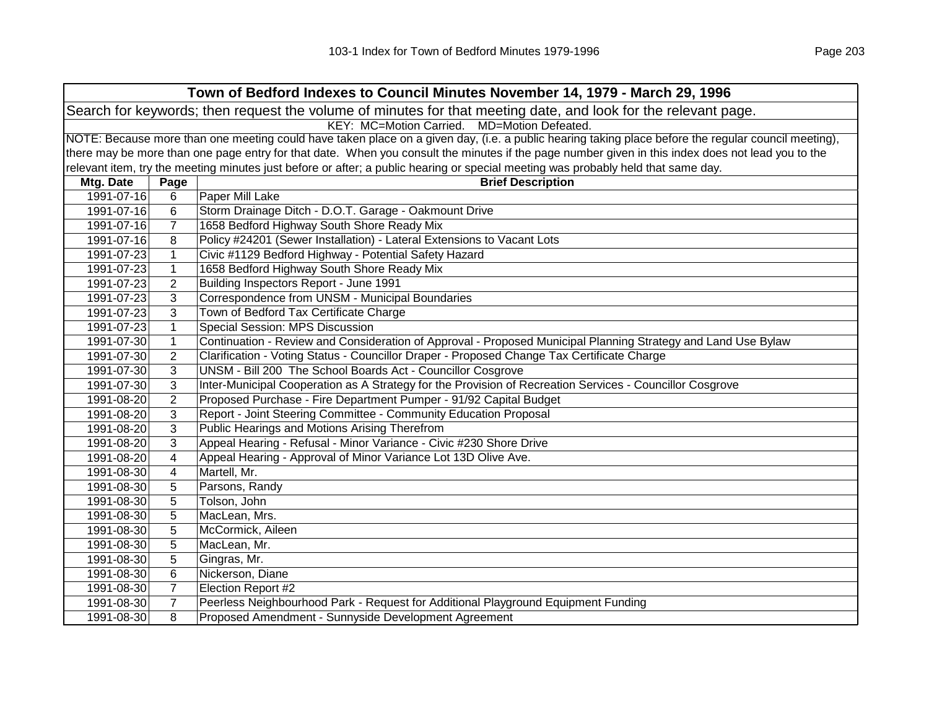| Town of Bedford Indexes to Council Minutes November 14, 1979 - March 29, 1996                                                                       |                         |                                                                                                                                                   |  |  |
|-----------------------------------------------------------------------------------------------------------------------------------------------------|-------------------------|---------------------------------------------------------------------------------------------------------------------------------------------------|--|--|
| Search for keywords; then request the volume of minutes for that meeting date, and look for the relevant page.                                      |                         |                                                                                                                                                   |  |  |
| KEY: MC=Motion Carried. MD=Motion Defeated.                                                                                                         |                         |                                                                                                                                                   |  |  |
| NOTE: Because more than one meeting could have taken place on a given day, (i.e. a public hearing taking place before the regular council meeting), |                         |                                                                                                                                                   |  |  |
|                                                                                                                                                     |                         | there may be more than one page entry for that date. When you consult the minutes if the page number given in this index does not lead you to the |  |  |
|                                                                                                                                                     |                         | relevant item, try the meeting minutes just before or after; a public hearing or special meeting was probably held that same day.                 |  |  |
| Mtg. Date                                                                                                                                           | Page                    | <b>Brief Description</b>                                                                                                                          |  |  |
| 1991-07-16                                                                                                                                          | 6                       | Paper Mill Lake                                                                                                                                   |  |  |
| 1991-07-16                                                                                                                                          | 6                       | Storm Drainage Ditch - D.O.T. Garage - Oakmount Drive                                                                                             |  |  |
| 1991-07-16                                                                                                                                          | $\overline{7}$          | 1658 Bedford Highway South Shore Ready Mix                                                                                                        |  |  |
| 1991-07-16                                                                                                                                          | 8                       | Policy #24201 (Sewer Installation) - Lateral Extensions to Vacant Lots                                                                            |  |  |
| 1991-07-23                                                                                                                                          | $\mathbf{1}$            | Civic #1129 Bedford Highway - Potential Safety Hazard                                                                                             |  |  |
| 1991-07-23                                                                                                                                          | $\mathbf{1}$            | 1658 Bedford Highway South Shore Ready Mix                                                                                                        |  |  |
| 1991-07-23                                                                                                                                          | 2                       | Building Inspectors Report - June 1991                                                                                                            |  |  |
| 1991-07-23                                                                                                                                          | 3                       | Correspondence from UNSM - Municipal Boundaries                                                                                                   |  |  |
| 1991-07-23                                                                                                                                          | 3                       | Town of Bedford Tax Certificate Charge                                                                                                            |  |  |
| 1991-07-23                                                                                                                                          | $\mathbf{1}$            | Special Session: MPS Discussion                                                                                                                   |  |  |
| 1991-07-30                                                                                                                                          | $\mathbf{1}$            | Continuation - Review and Consideration of Approval - Proposed Municipal Planning Strategy and Land Use Bylaw                                     |  |  |
| 1991-07-30                                                                                                                                          | 2                       | Clarification - Voting Status - Councillor Draper - Proposed Change Tax Certificate Charge                                                        |  |  |
| 1991-07-30                                                                                                                                          | 3                       | UNSM - Bill 200 The School Boards Act - Councillor Cosgrove                                                                                       |  |  |
| 1991-07-30                                                                                                                                          | 3                       | Inter-Municipal Cooperation as A Strategy for the Provision of Recreation Services - Councillor Cosgrove                                          |  |  |
| 1991-08-20                                                                                                                                          | $\overline{2}$          | Proposed Purchase - Fire Department Pumper - 91/92 Capital Budget                                                                                 |  |  |
| 1991-08-20                                                                                                                                          | 3                       | Report - Joint Steering Committee - Community Education Proposal                                                                                  |  |  |
| 1991-08-20                                                                                                                                          | 3                       | Public Hearings and Motions Arising Therefrom                                                                                                     |  |  |
| 1991-08-20                                                                                                                                          | 3                       | Appeal Hearing - Refusal - Minor Variance - Civic #230 Shore Drive                                                                                |  |  |
| 1991-08-20                                                                                                                                          | 4                       | Appeal Hearing - Approval of Minor Variance Lot 13D Olive Ave.                                                                                    |  |  |
| 1991-08-30                                                                                                                                          | $\overline{\mathbf{4}}$ | Martell, Mr.                                                                                                                                      |  |  |
| 1991-08-30                                                                                                                                          | 5                       | Parsons, Randy                                                                                                                                    |  |  |
| 1991-08-30                                                                                                                                          | 5                       | Tolson, John                                                                                                                                      |  |  |
| 1991-08-30                                                                                                                                          | 5                       | MacLean, Mrs.                                                                                                                                     |  |  |
| 1991-08-30                                                                                                                                          | 5                       | McCormick, Aileen                                                                                                                                 |  |  |
| 1991-08-30                                                                                                                                          | 5                       | MacLean, Mr.                                                                                                                                      |  |  |
| 1991-08-30                                                                                                                                          | 5                       | Gingras, Mr.                                                                                                                                      |  |  |
| 1991-08-30                                                                                                                                          | $\,6$                   | Nickerson, Diane                                                                                                                                  |  |  |
| 1991-08-30                                                                                                                                          | $\overline{7}$          | Election Report #2                                                                                                                                |  |  |
| 1991-08-30                                                                                                                                          | $\overline{7}$          | Peerless Neighbourhood Park - Request for Additional Playground Equipment Funding                                                                 |  |  |
| 1991-08-30                                                                                                                                          | 8                       | Proposed Amendment - Sunnyside Development Agreement                                                                                              |  |  |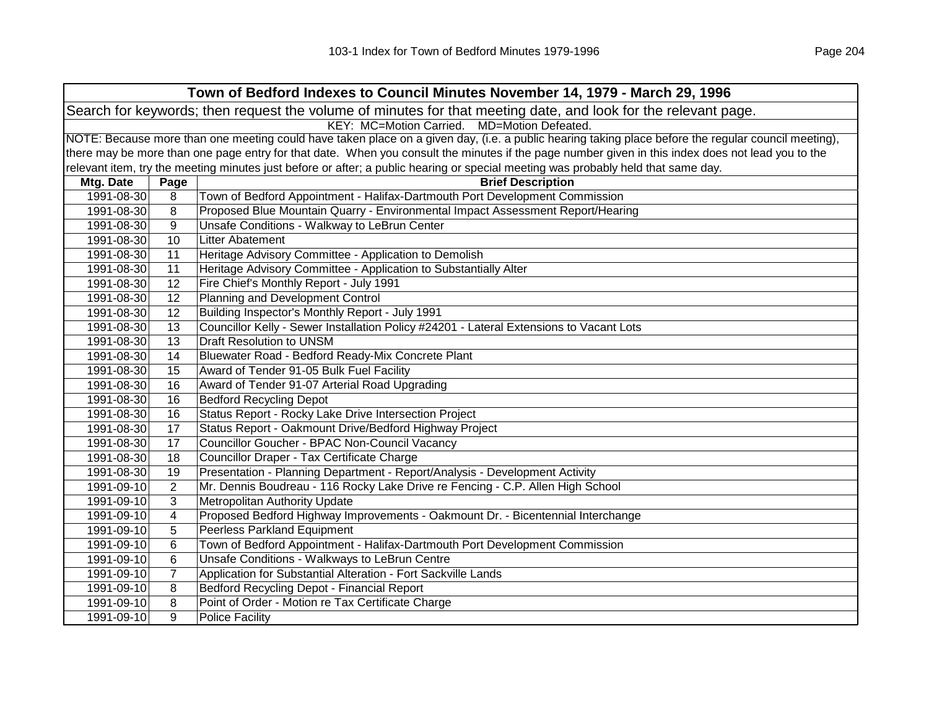| Town of Bedford Indexes to Council Minutes November 14, 1979 - March 29, 1996 |                                                                                                                                                     |                                                                                                                                                   |  |  |
|-------------------------------------------------------------------------------|-----------------------------------------------------------------------------------------------------------------------------------------------------|---------------------------------------------------------------------------------------------------------------------------------------------------|--|--|
|                                                                               | Search for keywords; then request the volume of minutes for that meeting date, and look for the relevant page.                                      |                                                                                                                                                   |  |  |
|                                                                               | KEY: MC=Motion Carried. MD=Motion Defeated.                                                                                                         |                                                                                                                                                   |  |  |
|                                                                               | NOTE: Because more than one meeting could have taken place on a given day, (i.e. a public hearing taking place before the regular council meeting), |                                                                                                                                                   |  |  |
|                                                                               |                                                                                                                                                     | there may be more than one page entry for that date. When you consult the minutes if the page number given in this index does not lead you to the |  |  |
|                                                                               |                                                                                                                                                     | relevant item, try the meeting minutes just before or after; a public hearing or special meeting was probably held that same day.                 |  |  |
| Mtg. Date                                                                     | Page                                                                                                                                                | <b>Brief Description</b>                                                                                                                          |  |  |
| 1991-08-30                                                                    | 8                                                                                                                                                   | Town of Bedford Appointment - Halifax-Dartmouth Port Development Commission                                                                       |  |  |
| 1991-08-30                                                                    | 8                                                                                                                                                   | Proposed Blue Mountain Quarry - Environmental Impact Assessment Report/Hearing                                                                    |  |  |
| 1991-08-30                                                                    | 9                                                                                                                                                   | Unsafe Conditions - Walkway to LeBrun Center                                                                                                      |  |  |
| 1991-08-30                                                                    | 10                                                                                                                                                  | Litter Abatement                                                                                                                                  |  |  |
| 1991-08-30                                                                    | 11                                                                                                                                                  | Heritage Advisory Committee - Application to Demolish                                                                                             |  |  |
| 1991-08-30                                                                    | 11                                                                                                                                                  | Heritage Advisory Committee - Application to Substantially Alter                                                                                  |  |  |
| 1991-08-30                                                                    | 12                                                                                                                                                  | Fire Chief's Monthly Report - July 1991                                                                                                           |  |  |
| 1991-08-30                                                                    | 12                                                                                                                                                  | Planning and Development Control                                                                                                                  |  |  |
| 1991-08-30                                                                    | 12                                                                                                                                                  | Building Inspector's Monthly Report - July 1991                                                                                                   |  |  |
| 1991-08-30                                                                    | 13                                                                                                                                                  | Councillor Kelly - Sewer Installation Policy #24201 - Lateral Extensions to Vacant Lots                                                           |  |  |
| 1991-08-30                                                                    | 13                                                                                                                                                  | <b>Draft Resolution to UNSM</b>                                                                                                                   |  |  |
| 1991-08-30                                                                    | 14                                                                                                                                                  | Bluewater Road - Bedford Ready-Mix Concrete Plant                                                                                                 |  |  |
| 1991-08-30                                                                    | 15                                                                                                                                                  | Award of Tender 91-05 Bulk Fuel Facility                                                                                                          |  |  |
| 1991-08-30                                                                    | 16                                                                                                                                                  | Award of Tender 91-07 Arterial Road Upgrading                                                                                                     |  |  |
| 1991-08-30                                                                    | 16                                                                                                                                                  | <b>Bedford Recycling Depot</b>                                                                                                                    |  |  |
| 1991-08-30                                                                    | 16                                                                                                                                                  | Status Report - Rocky Lake Drive Intersection Project                                                                                             |  |  |
| 1991-08-30                                                                    | 17                                                                                                                                                  | Status Report - Oakmount Drive/Bedford Highway Project                                                                                            |  |  |
| 1991-08-30                                                                    | 17                                                                                                                                                  | Councillor Goucher - BPAC Non-Council Vacancy                                                                                                     |  |  |
| 1991-08-30                                                                    | 18                                                                                                                                                  | Councillor Draper - Tax Certificate Charge                                                                                                        |  |  |
| 1991-08-30                                                                    | 19                                                                                                                                                  | Presentation - Planning Department - Report/Analysis - Development Activity                                                                       |  |  |
| 1991-09-10                                                                    | 2                                                                                                                                                   | Mr. Dennis Boudreau - 116 Rocky Lake Drive re Fencing - C.P. Allen High School                                                                    |  |  |
| 1991-09-10                                                                    | 3                                                                                                                                                   | Metropolitan Authority Update                                                                                                                     |  |  |
| 1991-09-10                                                                    | 4                                                                                                                                                   | Proposed Bedford Highway Improvements - Oakmount Dr. - Bicentennial Interchange                                                                   |  |  |
| 1991-09-10                                                                    | 5                                                                                                                                                   | Peerless Parkland Equipment                                                                                                                       |  |  |
| 1991-09-10                                                                    | 6                                                                                                                                                   | Town of Bedford Appointment - Halifax-Dartmouth Port Development Commission                                                                       |  |  |
| 1991-09-10                                                                    | 6                                                                                                                                                   | Unsafe Conditions - Walkways to LeBrun Centre                                                                                                     |  |  |
| 1991-09-10                                                                    | $\overline{7}$                                                                                                                                      | Application for Substantial Alteration - Fort Sackville Lands                                                                                     |  |  |
| 1991-09-10                                                                    | 8                                                                                                                                                   | <b>Bedford Recycling Depot - Financial Report</b>                                                                                                 |  |  |
| 1991-09-10                                                                    | 8                                                                                                                                                   | Point of Order - Motion re Tax Certificate Charge                                                                                                 |  |  |
| 1991-09-10                                                                    | 9                                                                                                                                                   | <b>Police Facility</b>                                                                                                                            |  |  |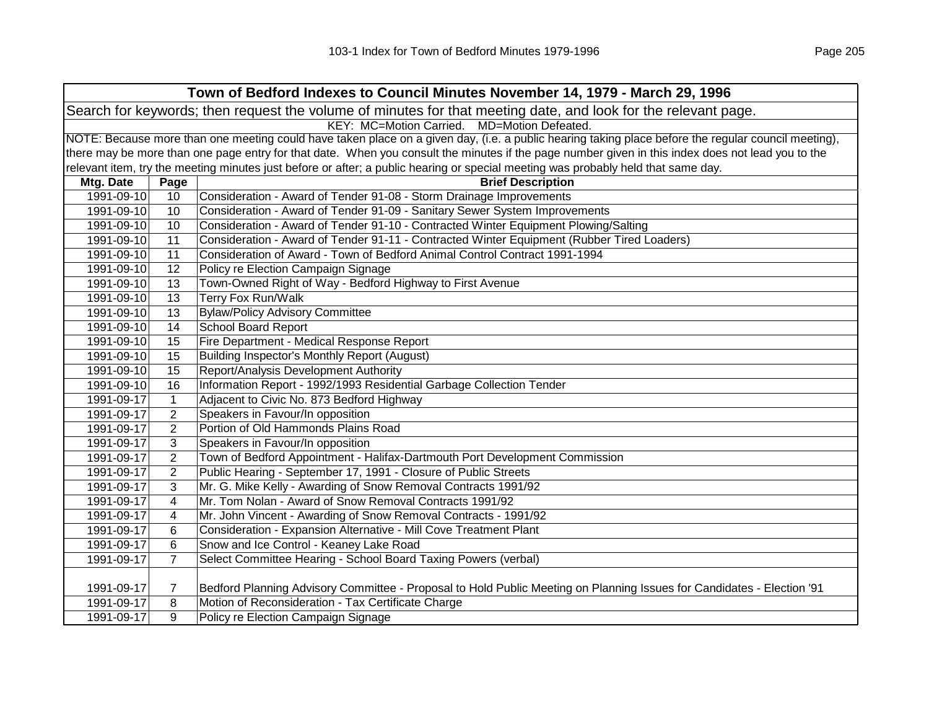|            |                 | Town of Bedford Indexes to Council Minutes November 14, 1979 - March 29, 1996                                                                       |
|------------|-----------------|-----------------------------------------------------------------------------------------------------------------------------------------------------|
|            |                 | Search for keywords; then request the volume of minutes for that meeting date, and look for the relevant page.                                      |
|            |                 | KEY: MC=Motion Carried. MD=Motion Defeated.                                                                                                         |
|            |                 | NOTE: Because more than one meeting could have taken place on a given day, (i.e. a public hearing taking place before the regular council meeting), |
|            |                 | there may be more than one page entry for that date. When you consult the minutes if the page number given in this index does not lead you to the   |
|            |                 | relevant item, try the meeting minutes just before or after; a public hearing or special meeting was probably held that same day.                   |
| Mtg. Date  | Page            | <b>Brief Description</b>                                                                                                                            |
| 1991-09-10 | 10 <sup>1</sup> | Consideration - Award of Tender 91-08 - Storm Drainage Improvements                                                                                 |
| 1991-09-10 | 10              | Consideration - Award of Tender 91-09 - Sanitary Sewer System Improvements                                                                          |
| 1991-09-10 | 10              | Consideration - Award of Tender 91-10 - Contracted Winter Equipment Plowing/Salting                                                                 |
| 1991-09-10 | 11              | Consideration - Award of Tender 91-11 - Contracted Winter Equipment (Rubber Tired Loaders)                                                          |
| 1991-09-10 | 11              | Consideration of Award - Town of Bedford Animal Control Contract 1991-1994                                                                          |
| 1991-09-10 | 12              | Policy re Election Campaign Signage                                                                                                                 |
| 1991-09-10 | 13              | Town-Owned Right of Way - Bedford Highway to First Avenue                                                                                           |
| 1991-09-10 | 13              | Terry Fox Run/Walk                                                                                                                                  |
| 1991-09-10 | 13              | <b>Bylaw/Policy Advisory Committee</b>                                                                                                              |
| 1991-09-10 | 14              | <b>School Board Report</b>                                                                                                                          |
| 1991-09-10 | 15              | Fire Department - Medical Response Report                                                                                                           |
| 1991-09-10 | 15              | Building Inspector's Monthly Report (August)                                                                                                        |

|  | 1991-09-10 11 Consideration of Award - Town of Bedford Animal Control Contract 1991-1994 |
|--|------------------------------------------------------------------------------------------|
|  | 1991-09-10 12 Policy re Election Campaign Signage                                        |

| 1991-09-10 | 12             | Policy re Election Campaign Signage                                                                                    |
|------------|----------------|------------------------------------------------------------------------------------------------------------------------|
| 1991-09-10 | 13             | Town-Owned Right of Way - Bedford Highway to First Avenue                                                              |
| 1991-09-10 | 13             | Terry Fox Run/Walk                                                                                                     |
| 1991-09-10 | 13             | <b>Bylaw/Policy Advisory Committee</b>                                                                                 |
| 1991-09-10 | 14             | <b>School Board Report</b>                                                                                             |
| 1991-09-10 | 15             | Fire Department - Medical Response Report                                                                              |
| 1991-09-10 | 15             | Building Inspector's Monthly Report (August)                                                                           |
| 1991-09-10 | 15             | Report/Analysis Development Authority                                                                                  |
| 1991-09-10 | 16             | Information Report - 1992/1993 Residential Garbage Collection Tender                                                   |
| 1991-09-17 | 1              | Adjacent to Civic No. 873 Bedford Highway                                                                              |
| 1991-09-17 | $\overline{2}$ | Speakers in Favour/In opposition                                                                                       |
| 1991-09-17 | 2              | Portion of Old Hammonds Plains Road                                                                                    |
| 1991-09-17 | 3              | Speakers in Favour/In opposition                                                                                       |
| 1991-09-17 | $\overline{2}$ | Town of Bedford Appointment - Halifax-Dartmouth Port Development Commission                                            |
| 1991-09-17 | $\overline{2}$ | Public Hearing - September 17, 1991 - Closure of Public Streets                                                        |
| 1991-09-17 | 3              | Mr. G. Mike Kelly - Awarding of Snow Removal Contracts 1991/92                                                         |
| 1991-09-17 | 4              | Mr. Tom Nolan - Award of Snow Removal Contracts 1991/92                                                                |
| 1991-09-17 | 4              | Mr. John Vincent - Awarding of Snow Removal Contracts - 1991/92                                                        |
| 1991-09-17 | 6              | Consideration - Expansion Alternative - Mill Cove Treatment Plant                                                      |
| 1991-09-17 | 6              | Snow and Ice Control - Keaney Lake Road                                                                                |
| 1991-09-17 | $\overline{7}$ | Select Committee Hearing - School Board Taxing Powers (verbal)                                                         |
|            |                |                                                                                                                        |
| 1991-09-17 | 7              | Bedford Planning Advisory Committee - Proposal to Hold Public Meeting on Planning Issues for Candidates - Election '91 |
| 1991-09-17 | 8              | Motion of Reconsideration - Tax Certificate Charge                                                                     |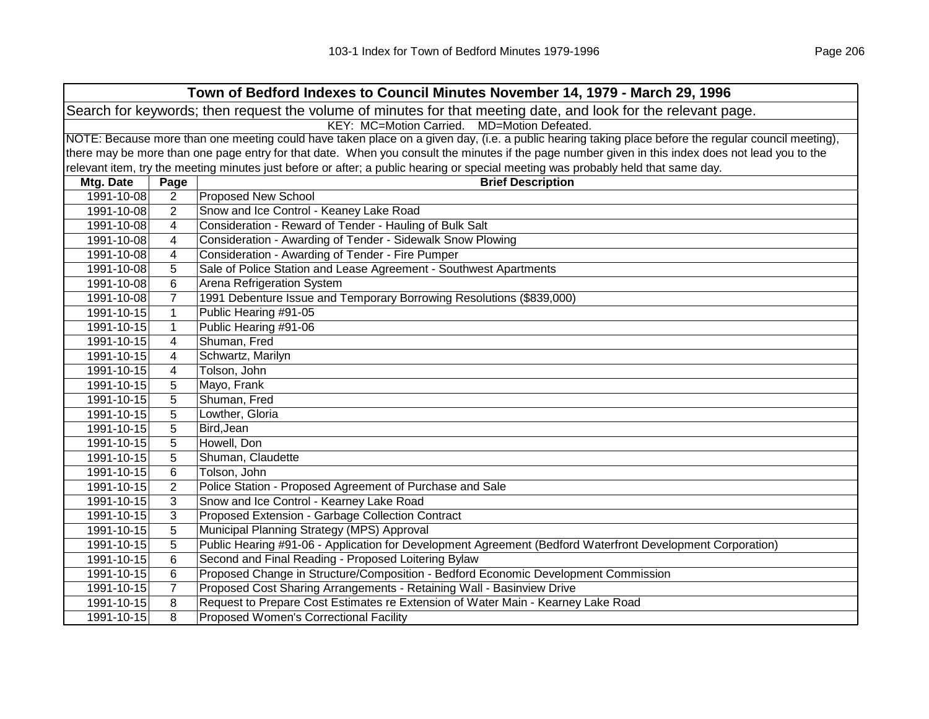| Town of Bedford Indexes to Council Minutes November 14, 1979 - March 29, 1996                                                                       |                                             |                                                                                                                                                   |  |  |  |
|-----------------------------------------------------------------------------------------------------------------------------------------------------|---------------------------------------------|---------------------------------------------------------------------------------------------------------------------------------------------------|--|--|--|
| Search for keywords; then request the volume of minutes for that meeting date, and look for the relevant page.                                      |                                             |                                                                                                                                                   |  |  |  |
|                                                                                                                                                     | KEY: MC=Motion Carried. MD=Motion Defeated. |                                                                                                                                                   |  |  |  |
| NOTE: Because more than one meeting could have taken place on a given day, (i.e. a public hearing taking place before the regular council meeting), |                                             |                                                                                                                                                   |  |  |  |
|                                                                                                                                                     |                                             | there may be more than one page entry for that date. When you consult the minutes if the page number given in this index does not lead you to the |  |  |  |
|                                                                                                                                                     |                                             | relevant item, try the meeting minutes just before or after; a public hearing or special meeting was probably held that same day.                 |  |  |  |
| Mtg. Date                                                                                                                                           | Page                                        | <b>Brief Description</b>                                                                                                                          |  |  |  |
| 1991-10-08                                                                                                                                          | $\overline{2}$                              | <b>Proposed New School</b>                                                                                                                        |  |  |  |
| 1991-10-08                                                                                                                                          | 2                                           | Snow and Ice Control - Keaney Lake Road                                                                                                           |  |  |  |
| 1991-10-08                                                                                                                                          | 4                                           | Consideration - Reward of Tender - Hauling of Bulk Salt                                                                                           |  |  |  |
| 1991-10-08                                                                                                                                          | 4                                           | Consideration - Awarding of Tender - Sidewalk Snow Plowing                                                                                        |  |  |  |
| 1991-10-08                                                                                                                                          | 4                                           | Consideration - Awarding of Tender - Fire Pumper                                                                                                  |  |  |  |
| 1991-10-08                                                                                                                                          | 5                                           | Sale of Police Station and Lease Agreement - Southwest Apartments                                                                                 |  |  |  |
| 1991-10-08                                                                                                                                          | 6                                           | Arena Refrigeration System                                                                                                                        |  |  |  |
| 1991-10-08                                                                                                                                          | $\overline{7}$                              | 1991 Debenture Issue and Temporary Borrowing Resolutions (\$839,000)                                                                              |  |  |  |
| 1991-10-15                                                                                                                                          | $\mathbf{1}$                                | Public Hearing #91-05                                                                                                                             |  |  |  |
| 1991-10-15                                                                                                                                          | $\mathbf{1}$                                | Public Hearing #91-06                                                                                                                             |  |  |  |
| 1991-10-15                                                                                                                                          | 4                                           | Shuman, Fred                                                                                                                                      |  |  |  |
| 1991-10-15                                                                                                                                          | 4                                           | Schwartz, Marilyn                                                                                                                                 |  |  |  |
| 1991-10-15                                                                                                                                          | 4                                           | Tolson, John                                                                                                                                      |  |  |  |
| 1991-10-15                                                                                                                                          | 5                                           | Mayo, Frank                                                                                                                                       |  |  |  |
| 1991-10-15                                                                                                                                          | 5                                           | Shuman, Fred                                                                                                                                      |  |  |  |
| 1991-10-15                                                                                                                                          | 5                                           | Lowther, Gloria                                                                                                                                   |  |  |  |
| 1991-10-15                                                                                                                                          | 5                                           | Bird, Jean                                                                                                                                        |  |  |  |
| 1991-10-15                                                                                                                                          | 5                                           | Howell, Don                                                                                                                                       |  |  |  |
| 1991-10-15                                                                                                                                          | 5                                           | Shuman, Claudette                                                                                                                                 |  |  |  |
| 1991-10-15                                                                                                                                          | 6                                           | Tolson, John                                                                                                                                      |  |  |  |
| 1991-10-15                                                                                                                                          | $\overline{2}$                              | Police Station - Proposed Agreement of Purchase and Sale                                                                                          |  |  |  |
| 1991-10-15                                                                                                                                          | 3                                           | Snow and Ice Control - Kearney Lake Road                                                                                                          |  |  |  |
| 1991-10-15                                                                                                                                          | 3                                           | Proposed Extension - Garbage Collection Contract                                                                                                  |  |  |  |
| 1991-10-15                                                                                                                                          | 5                                           | Municipal Planning Strategy (MPS) Approval                                                                                                        |  |  |  |
| 1991-10-15                                                                                                                                          | 5                                           | Public Hearing #91-06 - Application for Development Agreement (Bedford Waterfront Development Corporation)                                        |  |  |  |
| 1991-10-15                                                                                                                                          | 6                                           | Second and Final Reading - Proposed Loitering Bylaw                                                                                               |  |  |  |
| 1991-10-15                                                                                                                                          | 6                                           | Proposed Change in Structure/Composition - Bedford Economic Development Commission                                                                |  |  |  |
| 1991-10-15                                                                                                                                          | 7                                           | Proposed Cost Sharing Arrangements - Retaining Wall - Basinview Drive                                                                             |  |  |  |
| 1991-10-15                                                                                                                                          | 8                                           | Request to Prepare Cost Estimates re Extension of Water Main - Kearney Lake Road                                                                  |  |  |  |
| 1991-10-15                                                                                                                                          | 8                                           | <b>Proposed Women's Correctional Facility</b>                                                                                                     |  |  |  |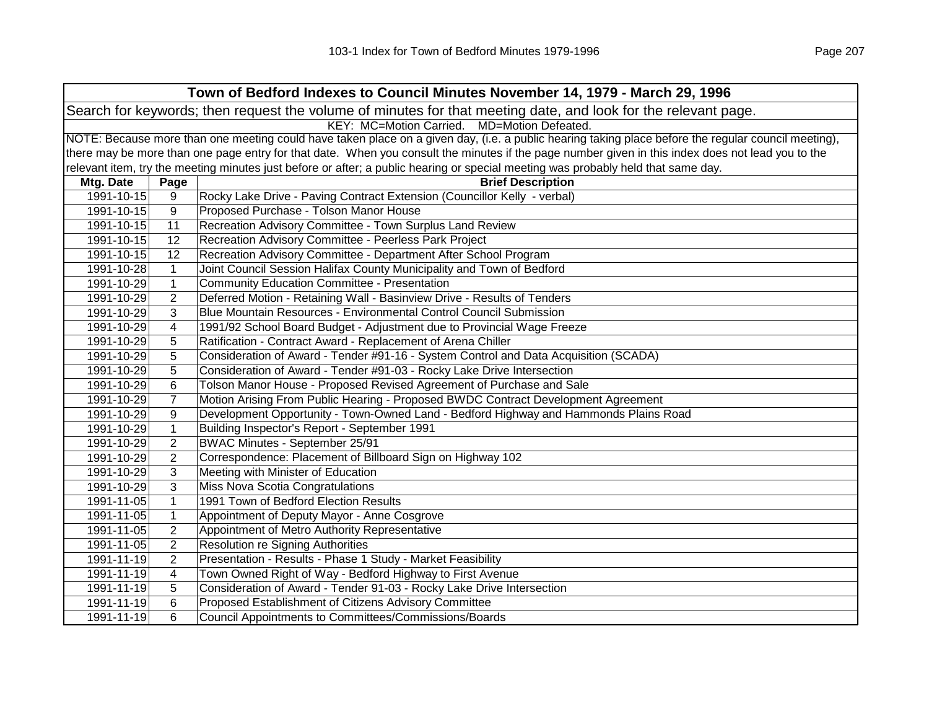|            | Town of Bedford Indexes to Council Minutes November 14, 1979 - March 29, 1996                                                                       |                                                                                                                                                   |  |  |  |
|------------|-----------------------------------------------------------------------------------------------------------------------------------------------------|---------------------------------------------------------------------------------------------------------------------------------------------------|--|--|--|
|            | Search for keywords; then request the volume of minutes for that meeting date, and look for the relevant page.                                      |                                                                                                                                                   |  |  |  |
|            | KEY: MC=Motion Carried. MD=Motion Defeated.                                                                                                         |                                                                                                                                                   |  |  |  |
|            | NOTE: Because more than one meeting could have taken place on a given day, (i.e. a public hearing taking place before the regular council meeting), |                                                                                                                                                   |  |  |  |
|            |                                                                                                                                                     | there may be more than one page entry for that date. When you consult the minutes if the page number given in this index does not lead you to the |  |  |  |
|            |                                                                                                                                                     | relevant item, try the meeting minutes just before or after; a public hearing or special meeting was probably held that same day.                 |  |  |  |
| Mtg. Date  | Page                                                                                                                                                | <b>Brief Description</b>                                                                                                                          |  |  |  |
| 1991-10-15 | 9                                                                                                                                                   | Rocky Lake Drive - Paving Contract Extension (Councillor Kelly - verbal)                                                                          |  |  |  |
| 1991-10-15 | 9                                                                                                                                                   | Proposed Purchase - Tolson Manor House                                                                                                            |  |  |  |
| 1991-10-15 | 11                                                                                                                                                  | Recreation Advisory Committee - Town Surplus Land Review                                                                                          |  |  |  |
| 1991-10-15 | 12                                                                                                                                                  | Recreation Advisory Committee - Peerless Park Project                                                                                             |  |  |  |
| 1991-10-15 | 12                                                                                                                                                  | Recreation Advisory Committee - Department After School Program                                                                                   |  |  |  |
| 1991-10-28 | $\mathbf{1}$                                                                                                                                        | Joint Council Session Halifax County Municipality and Town of Bedford                                                                             |  |  |  |
| 1991-10-29 | $\mathbf{1}$                                                                                                                                        | <b>Community Education Committee - Presentation</b>                                                                                               |  |  |  |
| 1991-10-29 | 2                                                                                                                                                   | Deferred Motion - Retaining Wall - Basinview Drive - Results of Tenders                                                                           |  |  |  |
| 1991-10-29 | 3                                                                                                                                                   | Blue Mountain Resources - Environmental Control Council Submission                                                                                |  |  |  |
| 1991-10-29 | 4                                                                                                                                                   | 1991/92 School Board Budget - Adjustment due to Provincial Wage Freeze                                                                            |  |  |  |
| 1991-10-29 | 5                                                                                                                                                   | Ratification - Contract Award - Replacement of Arena Chiller                                                                                      |  |  |  |
| 1991-10-29 | 5                                                                                                                                                   | Consideration of Award - Tender #91-16 - System Control and Data Acquisition (SCADA)                                                              |  |  |  |
| 1991-10-29 | 5                                                                                                                                                   | Consideration of Award - Tender #91-03 - Rocky Lake Drive Intersection                                                                            |  |  |  |
| 1991-10-29 | 6                                                                                                                                                   | Tolson Manor House - Proposed Revised Agreement of Purchase and Sale                                                                              |  |  |  |
| 1991-10-29 | $\overline{7}$                                                                                                                                      | Motion Arising From Public Hearing - Proposed BWDC Contract Development Agreement                                                                 |  |  |  |
| 1991-10-29 | 9                                                                                                                                                   | Development Opportunity - Town-Owned Land - Bedford Highway and Hammonds Plains Road                                                              |  |  |  |
| 1991-10-29 | $\mathbf{1}$                                                                                                                                        | Building Inspector's Report - September 1991                                                                                                      |  |  |  |
| 1991-10-29 | 2                                                                                                                                                   | <b>BWAC Minutes - September 25/91</b>                                                                                                             |  |  |  |
| 1991-10-29 | 2                                                                                                                                                   | Correspondence: Placement of Billboard Sign on Highway 102                                                                                        |  |  |  |
| 1991-10-29 | $\mathfrak{B}$                                                                                                                                      | Meeting with Minister of Education                                                                                                                |  |  |  |
| 1991-10-29 | $\mathbf{3}$                                                                                                                                        | Miss Nova Scotia Congratulations                                                                                                                  |  |  |  |
| 1991-11-05 | $\mathbf{1}$                                                                                                                                        | 1991 Town of Bedford Election Results                                                                                                             |  |  |  |
| 1991-11-05 | $\mathbf{1}$                                                                                                                                        | Appointment of Deputy Mayor - Anne Cosgrove                                                                                                       |  |  |  |
| 1991-11-05 | 2                                                                                                                                                   | Appointment of Metro Authority Representative                                                                                                     |  |  |  |
| 1991-11-05 | 2                                                                                                                                                   | <b>Resolution re Signing Authorities</b>                                                                                                          |  |  |  |
| 1991-11-19 | $\overline{2}$                                                                                                                                      | Presentation - Results - Phase 1 Study - Market Feasibility                                                                                       |  |  |  |
| 1991-11-19 | 4                                                                                                                                                   | Town Owned Right of Way - Bedford Highway to First Avenue                                                                                         |  |  |  |
| 1991-11-19 | 5                                                                                                                                                   | Consideration of Award - Tender 91-03 - Rocky Lake Drive Intersection                                                                             |  |  |  |
| 1991-11-19 | 6                                                                                                                                                   | Proposed Establishment of Citizens Advisory Committee                                                                                             |  |  |  |
| 1991-11-19 | 6                                                                                                                                                   | Council Appointments to Committees/Commissions/Boards                                                                                             |  |  |  |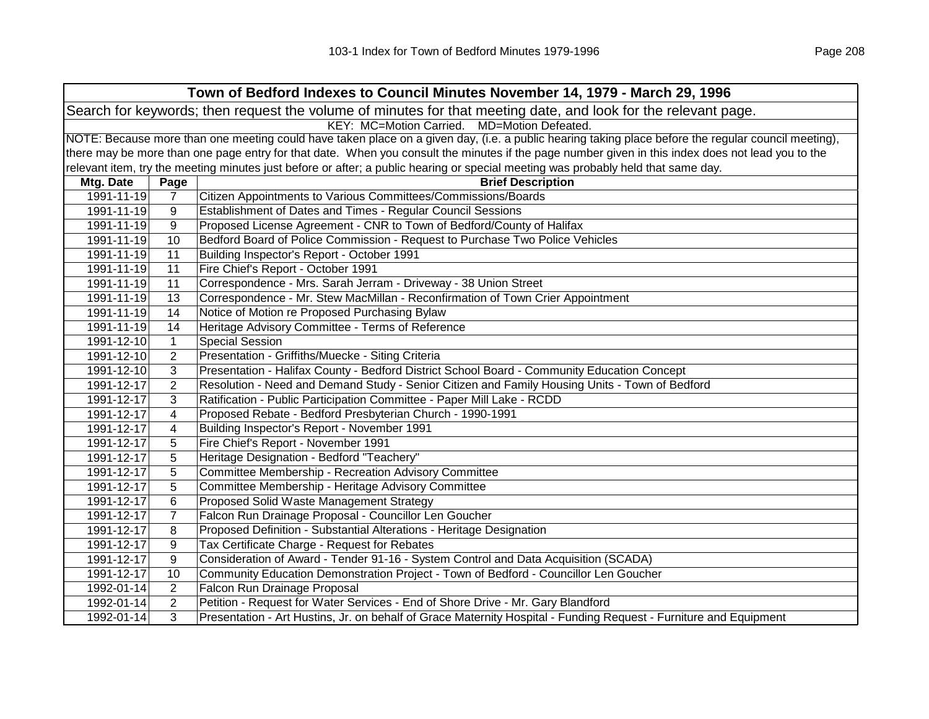|                                                                                                                | Town of Bedford Indexes to Council Minutes November 14, 1979 - March 29, 1996                                                                       |                                                                                                                                   |  |  |
|----------------------------------------------------------------------------------------------------------------|-----------------------------------------------------------------------------------------------------------------------------------------------------|-----------------------------------------------------------------------------------------------------------------------------------|--|--|
| Search for keywords; then request the volume of minutes for that meeting date, and look for the relevant page. |                                                                                                                                                     |                                                                                                                                   |  |  |
| KEY: MC=Motion Carried. MD=Motion Defeated.                                                                    |                                                                                                                                                     |                                                                                                                                   |  |  |
|                                                                                                                | NOTE: Because more than one meeting could have taken place on a given day, (i.e. a public hearing taking place before the regular council meeting), |                                                                                                                                   |  |  |
|                                                                                                                | there may be more than one page entry for that date. When you consult the minutes if the page number given in this index does not lead you to the   |                                                                                                                                   |  |  |
|                                                                                                                |                                                                                                                                                     | relevant item, try the meeting minutes just before or after; a public hearing or special meeting was probably held that same day. |  |  |
| Mtg. Date                                                                                                      | Page                                                                                                                                                | <b>Brief Description</b>                                                                                                          |  |  |
| 1991-11-19                                                                                                     | $\overline{7}$                                                                                                                                      | Citizen Appointments to Various Committees/Commissions/Boards                                                                     |  |  |
| 1991-11-19                                                                                                     | 9                                                                                                                                                   | Establishment of Dates and Times - Regular Council Sessions                                                                       |  |  |
| 1991-11-19                                                                                                     | 9                                                                                                                                                   | Proposed License Agreement - CNR to Town of Bedford/County of Halifax                                                             |  |  |
| 1991-11-19                                                                                                     | 10                                                                                                                                                  | Bedford Board of Police Commission - Request to Purchase Two Police Vehicles                                                      |  |  |
| 1991-11-19                                                                                                     | 11                                                                                                                                                  | Building Inspector's Report - October 1991                                                                                        |  |  |
| 1991-11-19                                                                                                     | 11                                                                                                                                                  | Fire Chief's Report - October 1991                                                                                                |  |  |
| 1991-11-19                                                                                                     | 11                                                                                                                                                  | Correspondence - Mrs. Sarah Jerram - Driveway - 38 Union Street                                                                   |  |  |
| 1991-11-19                                                                                                     | 13                                                                                                                                                  | Correspondence - Mr. Stew MacMillan - Reconfirmation of Town Crier Appointment                                                    |  |  |
| 1991-11-19                                                                                                     | 14                                                                                                                                                  | Notice of Motion re Proposed Purchasing Bylaw                                                                                     |  |  |
| 1991-11-19                                                                                                     | 14                                                                                                                                                  | Heritage Advisory Committee - Terms of Reference                                                                                  |  |  |
| 1991-12-10                                                                                                     | $\mathbf{1}$                                                                                                                                        | <b>Special Session</b>                                                                                                            |  |  |
| 1991-12-10                                                                                                     | $\overline{2}$                                                                                                                                      | Presentation - Griffiths/Muecke - Siting Criteria                                                                                 |  |  |
| 1991-12-10                                                                                                     | 3                                                                                                                                                   | Presentation - Halifax County - Bedford District School Board - Community Education Concept                                       |  |  |
| 1991-12-17                                                                                                     | $\overline{2}$                                                                                                                                      | Resolution - Need and Demand Study - Senior Citizen and Family Housing Units - Town of Bedford                                    |  |  |
| 1991-12-17                                                                                                     | 3                                                                                                                                                   | Ratification - Public Participation Committee - Paper Mill Lake - RCDD                                                            |  |  |
| 1991-12-17                                                                                                     | 4                                                                                                                                                   | Proposed Rebate - Bedford Presbyterian Church - 1990-1991                                                                         |  |  |
| 1991-12-17                                                                                                     | 4                                                                                                                                                   | Building Inspector's Report - November 1991                                                                                       |  |  |
| 1991-12-17                                                                                                     | 5                                                                                                                                                   | Fire Chief's Report - November 1991                                                                                               |  |  |
| 1991-12-17                                                                                                     | 5                                                                                                                                                   | Heritage Designation - Bedford "Teachery"                                                                                         |  |  |
| 1991-12-17                                                                                                     | 5                                                                                                                                                   | Committee Membership - Recreation Advisory Committee                                                                              |  |  |
| 1991-12-17                                                                                                     | 5                                                                                                                                                   | Committee Membership - Heritage Advisory Committee                                                                                |  |  |
| 1991-12-17                                                                                                     | 6                                                                                                                                                   | Proposed Solid Waste Management Strategy                                                                                          |  |  |
| 1991-12-17                                                                                                     | $\overline{7}$                                                                                                                                      | Falcon Run Drainage Proposal - Councillor Len Goucher                                                                             |  |  |
| 1991-12-17                                                                                                     | 8                                                                                                                                                   | Proposed Definition - Substantial Alterations - Heritage Designation                                                              |  |  |
| 1991-12-17                                                                                                     | 9                                                                                                                                                   | Tax Certificate Charge - Request for Rebates                                                                                      |  |  |
| 1991-12-17                                                                                                     | 9                                                                                                                                                   | Consideration of Award - Tender 91-16 - System Control and Data Acquisition (SCADA)                                               |  |  |
| 1991-12-17                                                                                                     | 10                                                                                                                                                  | Community Education Demonstration Project - Town of Bedford - Councillor Len Goucher                                              |  |  |
| 1992-01-14                                                                                                     | $\overline{2}$                                                                                                                                      | Falcon Run Drainage Proposal                                                                                                      |  |  |
| 1992-01-14                                                                                                     | $\overline{2}$                                                                                                                                      | Petition - Request for Water Services - End of Shore Drive - Mr. Gary Blandford                                                   |  |  |
| 1992-01-14                                                                                                     | 3                                                                                                                                                   | Presentation - Art Hustins, Jr. on behalf of Grace Maternity Hospital - Funding Request - Furniture and Equipment                 |  |  |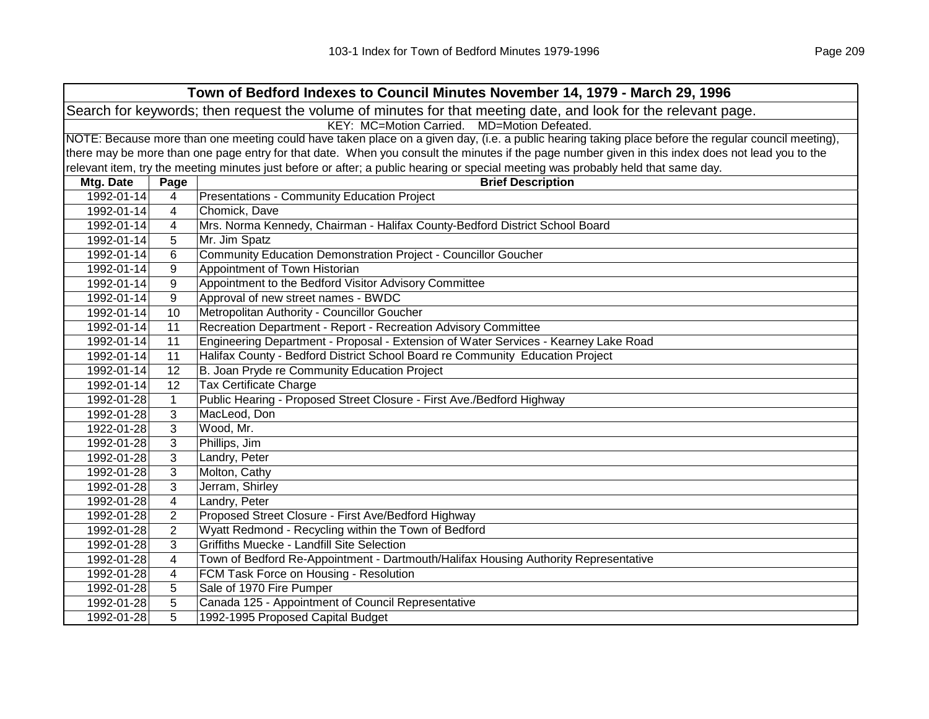| Town of Bedford Indexes to Council Minutes November 14, 1979 - March 29, 1996                                  |                                                                                                                                                     |                                                                                                                                                   |  |  |  |
|----------------------------------------------------------------------------------------------------------------|-----------------------------------------------------------------------------------------------------------------------------------------------------|---------------------------------------------------------------------------------------------------------------------------------------------------|--|--|--|
| Search for keywords; then request the volume of minutes for that meeting date, and look for the relevant page. |                                                                                                                                                     |                                                                                                                                                   |  |  |  |
|                                                                                                                | KEY: MC=Motion Carried. MD=Motion Defeated.                                                                                                         |                                                                                                                                                   |  |  |  |
|                                                                                                                | NOTE: Because more than one meeting could have taken place on a given day, (i.e. a public hearing taking place before the regular council meeting), |                                                                                                                                                   |  |  |  |
|                                                                                                                |                                                                                                                                                     | there may be more than one page entry for that date. When you consult the minutes if the page number given in this index does not lead you to the |  |  |  |
|                                                                                                                |                                                                                                                                                     | relevant item, try the meeting minutes just before or after; a public hearing or special meeting was probably held that same day.                 |  |  |  |
| Mtg. Date                                                                                                      | Page                                                                                                                                                | <b>Brief Description</b>                                                                                                                          |  |  |  |
| 1992-01-14                                                                                                     | 4                                                                                                                                                   | Presentations - Community Education Project                                                                                                       |  |  |  |
| 1992-01-14                                                                                                     | 4                                                                                                                                                   | Chomick, Dave                                                                                                                                     |  |  |  |
| 1992-01-14                                                                                                     | 4                                                                                                                                                   | Mrs. Norma Kennedy, Chairman - Halifax County-Bedford District School Board                                                                       |  |  |  |
| 1992-01-14                                                                                                     | 5                                                                                                                                                   | Mr. Jim Spatz                                                                                                                                     |  |  |  |
| 1992-01-14                                                                                                     | 6                                                                                                                                                   | Community Education Demonstration Project - Councillor Goucher                                                                                    |  |  |  |
| 1992-01-14                                                                                                     | 9                                                                                                                                                   | Appointment of Town Historian                                                                                                                     |  |  |  |
| 1992-01-14                                                                                                     | 9                                                                                                                                                   | Appointment to the Bedford Visitor Advisory Committee                                                                                             |  |  |  |
| 1992-01-14                                                                                                     | 9                                                                                                                                                   | Approval of new street names - BWDC                                                                                                               |  |  |  |
| 1992-01-14                                                                                                     | 10                                                                                                                                                  | Metropolitan Authority - Councillor Goucher                                                                                                       |  |  |  |
| 1992-01-14                                                                                                     | 11                                                                                                                                                  | Recreation Department - Report - Recreation Advisory Committee                                                                                    |  |  |  |
| 1992-01-14                                                                                                     | 11                                                                                                                                                  | Engineering Department - Proposal - Extension of Water Services - Kearney Lake Road                                                               |  |  |  |
| 1992-01-14                                                                                                     | 11                                                                                                                                                  | Halifax County - Bedford District School Board re Community Education Project                                                                     |  |  |  |
| 1992-01-14                                                                                                     | 12                                                                                                                                                  | B. Joan Pryde re Community Education Project                                                                                                      |  |  |  |
| 1992-01-14                                                                                                     | $\overline{12}$                                                                                                                                     | <b>Tax Certificate Charge</b>                                                                                                                     |  |  |  |
| 1992-01-28                                                                                                     | $\mathbf{1}$                                                                                                                                        | Public Hearing - Proposed Street Closure - First Ave./Bedford Highway                                                                             |  |  |  |
| 1992-01-28                                                                                                     | 3                                                                                                                                                   | MacLeod, Don                                                                                                                                      |  |  |  |
| 1922-01-28                                                                                                     | 3                                                                                                                                                   | Wood, Mr.                                                                                                                                         |  |  |  |
| 1992-01-28                                                                                                     | 3                                                                                                                                                   | Phillips, Jim                                                                                                                                     |  |  |  |
| 1992-01-28                                                                                                     | 3                                                                                                                                                   | Landry, Peter                                                                                                                                     |  |  |  |
| 1992-01-28                                                                                                     | 3                                                                                                                                                   | Molton, Cathy                                                                                                                                     |  |  |  |
| 1992-01-28                                                                                                     | 3                                                                                                                                                   | Jerram, Shirley                                                                                                                                   |  |  |  |
| 1992-01-28                                                                                                     | 4                                                                                                                                                   | Landry, Peter                                                                                                                                     |  |  |  |
| 1992-01-28                                                                                                     | $\overline{2}$                                                                                                                                      | Proposed Street Closure - First Ave/Bedford Highway                                                                                               |  |  |  |
| 1992-01-28                                                                                                     | $\overline{2}$                                                                                                                                      | Wyatt Redmond - Recycling within the Town of Bedford                                                                                              |  |  |  |
| 1992-01-28                                                                                                     | 3                                                                                                                                                   | Griffiths Muecke - Landfill Site Selection                                                                                                        |  |  |  |
| 1992-01-28                                                                                                     | 4                                                                                                                                                   | Town of Bedford Re-Appointment - Dartmouth/Halifax Housing Authority Representative                                                               |  |  |  |
| 1992-01-28                                                                                                     | 4                                                                                                                                                   | FCM Task Force on Housing - Resolution                                                                                                            |  |  |  |
| 1992-01-28                                                                                                     | 5                                                                                                                                                   | Sale of 1970 Fire Pumper                                                                                                                          |  |  |  |
| 1992-01-28                                                                                                     | 5                                                                                                                                                   | Canada 125 - Appointment of Council Representative                                                                                                |  |  |  |
| 1992-01-28                                                                                                     | 5                                                                                                                                                   | 1992-1995 Proposed Capital Budget                                                                                                                 |  |  |  |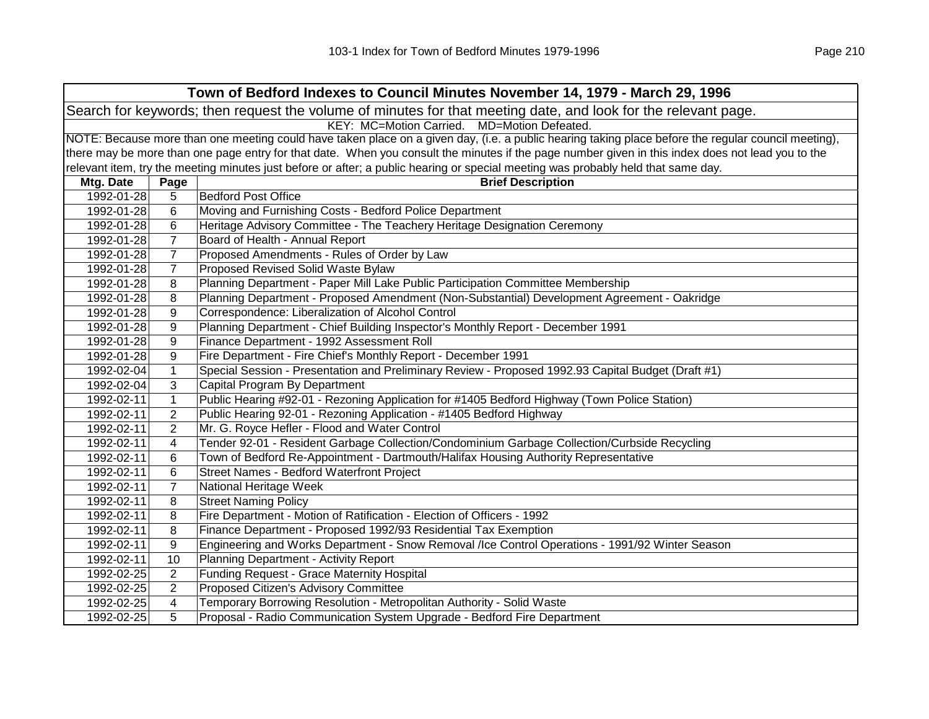| Town of Bedford Indexes to Council Minutes November 14, 1979 - March 29, 1996                                  |                                             |                                                                                                                                                     |  |  |
|----------------------------------------------------------------------------------------------------------------|---------------------------------------------|-----------------------------------------------------------------------------------------------------------------------------------------------------|--|--|
| Search for keywords; then request the volume of minutes for that meeting date, and look for the relevant page. |                                             |                                                                                                                                                     |  |  |
|                                                                                                                | KEY: MC=Motion Carried. MD=Motion Defeated. |                                                                                                                                                     |  |  |
|                                                                                                                |                                             | NOTE: Because more than one meeting could have taken place on a given day, (i.e. a public hearing taking place before the regular council meeting), |  |  |
|                                                                                                                |                                             | there may be more than one page entry for that date. When you consult the minutes if the page number given in this index does not lead you to the   |  |  |
|                                                                                                                |                                             | relevant item, try the meeting minutes just before or after; a public hearing or special meeting was probably held that same day.                   |  |  |
| Mtg. Date                                                                                                      | Page                                        | <b>Brief Description</b>                                                                                                                            |  |  |
| 1992-01-28                                                                                                     | 5                                           | <b>Bedford Post Office</b>                                                                                                                          |  |  |
| 1992-01-28                                                                                                     | 6                                           | Moving and Furnishing Costs - Bedford Police Department                                                                                             |  |  |
| 1992-01-28                                                                                                     | 6                                           | Heritage Advisory Committee - The Teachery Heritage Designation Ceremony                                                                            |  |  |
| 1992-01-28                                                                                                     | $\overline{7}$                              | Board of Health - Annual Report                                                                                                                     |  |  |
| 1992-01-28                                                                                                     | $\overline{7}$                              | Proposed Amendments - Rules of Order by Law                                                                                                         |  |  |
| 1992-01-28                                                                                                     | $\overline{7}$                              | Proposed Revised Solid Waste Bylaw                                                                                                                  |  |  |
| 1992-01-28                                                                                                     | 8                                           | Planning Department - Paper Mill Lake Public Participation Committee Membership                                                                     |  |  |
| 1992-01-28                                                                                                     | 8                                           | Planning Department - Proposed Amendment (Non-Substantial) Development Agreement - Oakridge                                                         |  |  |
| 1992-01-28                                                                                                     | 9                                           | Correspondence: Liberalization of Alcohol Control                                                                                                   |  |  |
| 1992-01-28                                                                                                     | 9                                           | Planning Department - Chief Building Inspector's Monthly Report - December 1991                                                                     |  |  |
| 1992-01-28                                                                                                     | 9                                           | Finance Department - 1992 Assessment Roll                                                                                                           |  |  |
| 1992-01-28                                                                                                     | 9                                           | Fire Department - Fire Chief's Monthly Report - December 1991                                                                                       |  |  |
| 1992-02-04                                                                                                     | $\mathbf 1$                                 | Special Session - Presentation and Preliminary Review - Proposed 1992.93 Capital Budget (Draft #1)                                                  |  |  |
| 1992-02-04                                                                                                     | 3                                           | Capital Program By Department                                                                                                                       |  |  |
| 1992-02-11                                                                                                     | $\mathbf{1}$                                | Public Hearing #92-01 - Rezoning Application for #1405 Bedford Highway (Town Police Station)                                                        |  |  |
| 1992-02-11                                                                                                     | $\overline{c}$                              | Public Hearing 92-01 - Rezoning Application - #1405 Bedford Highway                                                                                 |  |  |
| 1992-02-11                                                                                                     | 2                                           | Mr. G. Royce Hefler - Flood and Water Control                                                                                                       |  |  |
| 1992-02-11                                                                                                     | 4                                           | Tender 92-01 - Resident Garbage Collection/Condominium Garbage Collection/Curbside Recycling                                                        |  |  |
| 1992-02-11                                                                                                     | 6                                           | Town of Bedford Re-Appointment - Dartmouth/Halifax Housing Authority Representative                                                                 |  |  |
| 1992-02-11                                                                                                     | 6                                           | Street Names - Bedford Waterfront Project                                                                                                           |  |  |
| 1992-02-11                                                                                                     | $\overline{7}$                              | National Heritage Week                                                                                                                              |  |  |
| 1992-02-11                                                                                                     | 8                                           | <b>Street Naming Policy</b>                                                                                                                         |  |  |
| 1992-02-11                                                                                                     | 8                                           | Fire Department - Motion of Ratification - Election of Officers - 1992                                                                              |  |  |
| 1992-02-11                                                                                                     | 8                                           | Finance Department - Proposed 1992/93 Residential Tax Exemption                                                                                     |  |  |
| 1992-02-11                                                                                                     | 9                                           | Engineering and Works Department - Snow Removal /Ice Control Operations - 1991/92 Winter Season                                                     |  |  |
| 1992-02-11                                                                                                     | 10                                          | Planning Department - Activity Report                                                                                                               |  |  |
| 1992-02-25                                                                                                     | 2                                           | <b>Funding Request - Grace Maternity Hospital</b>                                                                                                   |  |  |
| 1992-02-25                                                                                                     | $\overline{2}$                              | Proposed Citizen's Advisory Committee                                                                                                               |  |  |
| 1992-02-25                                                                                                     | 4                                           | Temporary Borrowing Resolution - Metropolitan Authority - Solid Waste                                                                               |  |  |
| 1992-02-25                                                                                                     | 5                                           | Proposal - Radio Communication System Upgrade - Bedford Fire Department                                                                             |  |  |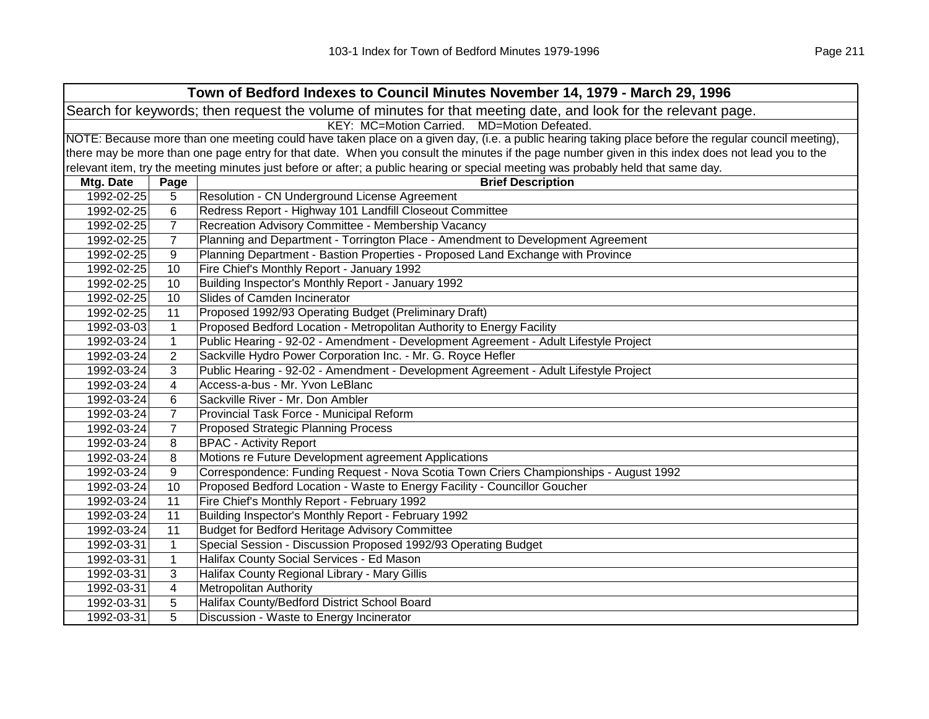| Town of Bedford Indexes to Council Minutes November 14, 1979 - March 29, 1996                                  |                                                                                                                                                     |                                                                                                                                                   |  |  |
|----------------------------------------------------------------------------------------------------------------|-----------------------------------------------------------------------------------------------------------------------------------------------------|---------------------------------------------------------------------------------------------------------------------------------------------------|--|--|
| Search for keywords; then request the volume of minutes for that meeting date, and look for the relevant page. |                                                                                                                                                     |                                                                                                                                                   |  |  |
| KEY: MC=Motion Carried. MD=Motion Defeated.                                                                    |                                                                                                                                                     |                                                                                                                                                   |  |  |
|                                                                                                                | NOTE: Because more than one meeting could have taken place on a given day, (i.e. a public hearing taking place before the regular council meeting), |                                                                                                                                                   |  |  |
|                                                                                                                |                                                                                                                                                     | there may be more than one page entry for that date. When you consult the minutes if the page number given in this index does not lead you to the |  |  |
|                                                                                                                |                                                                                                                                                     | relevant item, try the meeting minutes just before or after; a public hearing or special meeting was probably held that same day.                 |  |  |
| Mtg. Date                                                                                                      | Page                                                                                                                                                | <b>Brief Description</b>                                                                                                                          |  |  |
| 1992-02-25                                                                                                     | 5                                                                                                                                                   | Resolution - CN Underground License Agreement                                                                                                     |  |  |
| 1992-02-25                                                                                                     | 6                                                                                                                                                   | Redress Report - Highway 101 Landfill Closeout Committee                                                                                          |  |  |
| 1992-02-25                                                                                                     | $\overline{7}$                                                                                                                                      | Recreation Advisory Committee - Membership Vacancy                                                                                                |  |  |
| 1992-02-25                                                                                                     | $\overline{7}$                                                                                                                                      | Planning and Department - Torrington Place - Amendment to Development Agreement                                                                   |  |  |
| 1992-02-25                                                                                                     | 9                                                                                                                                                   | Planning Department - Bastion Properties - Proposed Land Exchange with Province                                                                   |  |  |
| 1992-02-25                                                                                                     | 10                                                                                                                                                  | Fire Chief's Monthly Report - January 1992                                                                                                        |  |  |
| 1992-02-25                                                                                                     | 10                                                                                                                                                  | Building Inspector's Monthly Report - January 1992                                                                                                |  |  |
| 1992-02-25                                                                                                     | 10                                                                                                                                                  | Slides of Camden Incinerator                                                                                                                      |  |  |
| 1992-02-25                                                                                                     | 11                                                                                                                                                  | Proposed 1992/93 Operating Budget (Preliminary Draft)                                                                                             |  |  |
| 1992-03-03                                                                                                     | $\mathbf{1}$                                                                                                                                        | Proposed Bedford Location - Metropolitan Authority to Energy Facility                                                                             |  |  |
| 1992-03-24                                                                                                     | $\mathbf{1}$                                                                                                                                        | Public Hearing - 92-02 - Amendment - Development Agreement - Adult Lifestyle Project                                                              |  |  |
| 1992-03-24                                                                                                     | 2                                                                                                                                                   | Sackville Hydro Power Corporation Inc. - Mr. G. Royce Hefler                                                                                      |  |  |
| 1992-03-24                                                                                                     | 3                                                                                                                                                   | Public Hearing - 92-02 - Amendment - Development Agreement - Adult Lifestyle Project                                                              |  |  |
| 1992-03-24                                                                                                     | 4                                                                                                                                                   | Access-a-bus - Mr. Yvon LeBlanc                                                                                                                   |  |  |
| 1992-03-24                                                                                                     | 6                                                                                                                                                   | Sackville River - Mr. Don Ambler                                                                                                                  |  |  |
| 1992-03-24                                                                                                     | 7                                                                                                                                                   | Provincial Task Force - Municipal Reform                                                                                                          |  |  |
| 1992-03-24                                                                                                     | $\overline{7}$                                                                                                                                      | <b>Proposed Strategic Planning Process</b>                                                                                                        |  |  |
| 1992-03-24                                                                                                     | 8                                                                                                                                                   | <b>BPAC - Activity Report</b>                                                                                                                     |  |  |
| 1992-03-24                                                                                                     | 8                                                                                                                                                   | Motions re Future Development agreement Applications                                                                                              |  |  |
| 1992-03-24                                                                                                     | 9                                                                                                                                                   | Correspondence: Funding Request - Nova Scotia Town Criers Championships - August 1992                                                             |  |  |
| 1992-03-24                                                                                                     | 10                                                                                                                                                  | Proposed Bedford Location - Waste to Energy Facility - Councillor Goucher                                                                         |  |  |
| 1992-03-24                                                                                                     | 11                                                                                                                                                  | Fire Chief's Monthly Report - February 1992                                                                                                       |  |  |
| 1992-03-24                                                                                                     | 11                                                                                                                                                  | Building Inspector's Monthly Report - February 1992                                                                                               |  |  |
| 1992-03-24                                                                                                     | 11                                                                                                                                                  | <b>Budget for Bedford Heritage Advisory Committee</b>                                                                                             |  |  |
| 1992-03-31                                                                                                     | 1                                                                                                                                                   | Special Session - Discussion Proposed 1992/93 Operating Budget                                                                                    |  |  |
| 1992-03-31                                                                                                     | $\mathbf{1}$                                                                                                                                        | Halifax County Social Services - Ed Mason                                                                                                         |  |  |
| 1992-03-31                                                                                                     | 3                                                                                                                                                   | Halifax County Regional Library - Mary Gillis                                                                                                     |  |  |
| 1992-03-31                                                                                                     | 4                                                                                                                                                   | <b>Metropolitan Authority</b>                                                                                                                     |  |  |
| 1992-03-31                                                                                                     | 5                                                                                                                                                   | Halifax County/Bedford District School Board                                                                                                      |  |  |
| 1992-03-31                                                                                                     | 5                                                                                                                                                   | Discussion - Waste to Energy Incinerator                                                                                                          |  |  |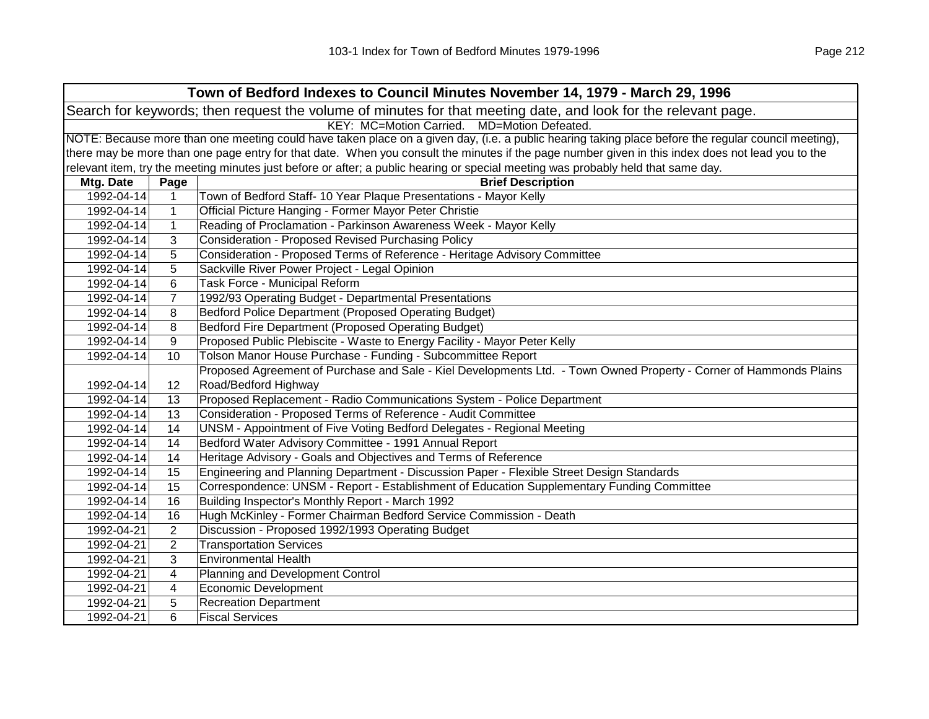| Town of Bedford Indexes to Council Minutes November 14, 1979 - March 29, 1996                                  |                                                                                                                                                     |                                                                                                                                                   |  |
|----------------------------------------------------------------------------------------------------------------|-----------------------------------------------------------------------------------------------------------------------------------------------------|---------------------------------------------------------------------------------------------------------------------------------------------------|--|
| Search for keywords; then request the volume of minutes for that meeting date, and look for the relevant page. |                                                                                                                                                     |                                                                                                                                                   |  |
| KEY: MC=Motion Carried. MD=Motion Defeated.                                                                    |                                                                                                                                                     |                                                                                                                                                   |  |
|                                                                                                                | NOTE: Because more than one meeting could have taken place on a given day, (i.e. a public hearing taking place before the regular council meeting), |                                                                                                                                                   |  |
|                                                                                                                |                                                                                                                                                     | there may be more than one page entry for that date. When you consult the minutes if the page number given in this index does not lead you to the |  |
|                                                                                                                |                                                                                                                                                     | relevant item, try the meeting minutes just before or after; a public hearing or special meeting was probably held that same day.                 |  |
| Mtg. Date                                                                                                      | Page                                                                                                                                                | <b>Brief Description</b>                                                                                                                          |  |
| 1992-04-14                                                                                                     | $\mathbf 1$                                                                                                                                         | Town of Bedford Staff- 10 Year Plaque Presentations - Mayor Kelly                                                                                 |  |
| 1992-04-14                                                                                                     | $\mathbf 1$                                                                                                                                         | Official Picture Hanging - Former Mayor Peter Christie                                                                                            |  |
| 1992-04-14                                                                                                     | $\mathbf{1}$                                                                                                                                        | Reading of Proclamation - Parkinson Awareness Week - Mayor Kelly                                                                                  |  |
| 1992-04-14                                                                                                     | 3                                                                                                                                                   | <b>Consideration - Proposed Revised Purchasing Policy</b>                                                                                         |  |
| 1992-04-14                                                                                                     | 5                                                                                                                                                   | Consideration - Proposed Terms of Reference - Heritage Advisory Committee                                                                         |  |
| 1992-04-14                                                                                                     | 5                                                                                                                                                   | Sackville River Power Project - Legal Opinion                                                                                                     |  |
| 1992-04-14                                                                                                     | 6                                                                                                                                                   | Task Force - Municipal Reform                                                                                                                     |  |
| 1992-04-14                                                                                                     | $\overline{7}$                                                                                                                                      | 1992/93 Operating Budget - Departmental Presentations                                                                                             |  |
| 1992-04-14                                                                                                     | 8                                                                                                                                                   | Bedford Police Department (Proposed Operating Budget)                                                                                             |  |
| 1992-04-14                                                                                                     | 8                                                                                                                                                   | Bedford Fire Department (Proposed Operating Budget)                                                                                               |  |
| 1992-04-14                                                                                                     | 9                                                                                                                                                   | Proposed Public Plebiscite - Waste to Energy Facility - Mayor Peter Kelly                                                                         |  |
| 1992-04-14                                                                                                     | 10                                                                                                                                                  | Tolson Manor House Purchase - Funding - Subcommittee Report                                                                                       |  |
|                                                                                                                |                                                                                                                                                     | Proposed Agreement of Purchase and Sale - Kiel Developments Ltd. - Town Owned Property - Corner of Hammonds Plains                                |  |
| 1992-04-14                                                                                                     | 12                                                                                                                                                  | Road/Bedford Highway                                                                                                                              |  |
| 1992-04-14                                                                                                     | 13                                                                                                                                                  | Proposed Replacement - Radio Communications System - Police Department                                                                            |  |
| 1992-04-14                                                                                                     | 13                                                                                                                                                  | Consideration - Proposed Terms of Reference - Audit Committee                                                                                     |  |
| 1992-04-14                                                                                                     | 14                                                                                                                                                  | UNSM - Appointment of Five Voting Bedford Delegates - Regional Meeting                                                                            |  |
| 1992-04-14                                                                                                     | 14                                                                                                                                                  | Bedford Water Advisory Committee - 1991 Annual Report                                                                                             |  |
| 1992-04-14                                                                                                     | 14                                                                                                                                                  | Heritage Advisory - Goals and Objectives and Terms of Reference                                                                                   |  |
| 1992-04-14                                                                                                     | 15                                                                                                                                                  | Engineering and Planning Department - Discussion Paper - Flexible Street Design Standards                                                         |  |
| 1992-04-14                                                                                                     | 15                                                                                                                                                  | Correspondence: UNSM - Report - Establishment of Education Supplementary Funding Committee                                                        |  |
| 1992-04-14                                                                                                     | 16                                                                                                                                                  | Building Inspector's Monthly Report - March 1992                                                                                                  |  |
| 1992-04-14                                                                                                     | 16                                                                                                                                                  | Hugh McKinley - Former Chairman Bedford Service Commission - Death                                                                                |  |
| 1992-04-21                                                                                                     | 2                                                                                                                                                   | Discussion - Proposed 1992/1993 Operating Budget                                                                                                  |  |
| 1992-04-21                                                                                                     | $\overline{2}$                                                                                                                                      | <b>Transportation Services</b>                                                                                                                    |  |
| 1992-04-21                                                                                                     | 3                                                                                                                                                   | <b>Environmental Health</b>                                                                                                                       |  |
| 1992-04-21                                                                                                     | 4                                                                                                                                                   | Planning and Development Control                                                                                                                  |  |
| 1992-04-21                                                                                                     | 4                                                                                                                                                   | <b>Economic Development</b>                                                                                                                       |  |
| 1992-04-21                                                                                                     | 5                                                                                                                                                   | <b>Recreation Department</b>                                                                                                                      |  |
| 1992-04-21                                                                                                     | 6                                                                                                                                                   | <b>Fiscal Services</b>                                                                                                                            |  |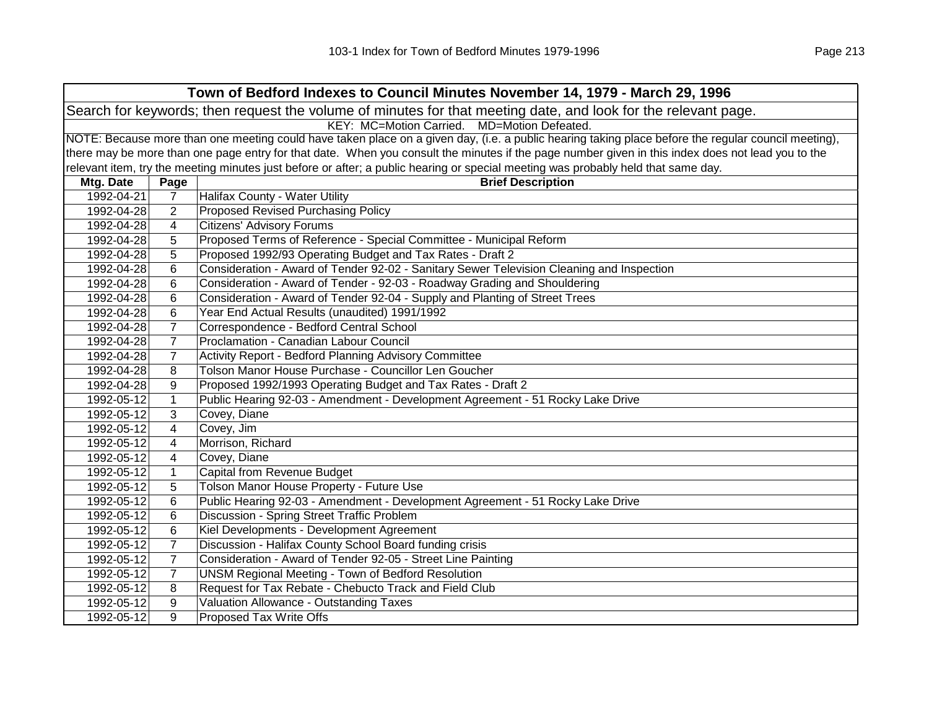| Town of Bedford Indexes to Council Minutes November 14, 1979 - March 29, 1996 |                                                                                                                                                     |                                                                                                                                                   |  |  |  |
|-------------------------------------------------------------------------------|-----------------------------------------------------------------------------------------------------------------------------------------------------|---------------------------------------------------------------------------------------------------------------------------------------------------|--|--|--|
|                                                                               | Search for keywords; then request the volume of minutes for that meeting date, and look for the relevant page.                                      |                                                                                                                                                   |  |  |  |
| KEY: MC=Motion Carried. MD=Motion Defeated.                                   |                                                                                                                                                     |                                                                                                                                                   |  |  |  |
|                                                                               | NOTE: Because more than one meeting could have taken place on a given day, (i.e. a public hearing taking place before the regular council meeting), |                                                                                                                                                   |  |  |  |
|                                                                               |                                                                                                                                                     | there may be more than one page entry for that date. When you consult the minutes if the page number given in this index does not lead you to the |  |  |  |
|                                                                               |                                                                                                                                                     | relevant item, try the meeting minutes just before or after; a public hearing or special meeting was probably held that same day.                 |  |  |  |
| Mtg. Date                                                                     | Page                                                                                                                                                | <b>Brief Description</b>                                                                                                                          |  |  |  |
| 1992-04-21                                                                    | $\overline{7}$                                                                                                                                      | Halifax County - Water Utility                                                                                                                    |  |  |  |
| 1992-04-28                                                                    | 2                                                                                                                                                   | <b>Proposed Revised Purchasing Policy</b>                                                                                                         |  |  |  |
| 1992-04-28                                                                    | 4                                                                                                                                                   | <b>Citizens' Advisory Forums</b>                                                                                                                  |  |  |  |
| 1992-04-28                                                                    | 5                                                                                                                                                   | Proposed Terms of Reference - Special Committee - Municipal Reform                                                                                |  |  |  |
| 1992-04-28                                                                    | 5                                                                                                                                                   | Proposed 1992/93 Operating Budget and Tax Rates - Draft 2                                                                                         |  |  |  |
| 1992-04-28                                                                    | 6                                                                                                                                                   | Consideration - Award of Tender 92-02 - Sanitary Sewer Television Cleaning and Inspection                                                         |  |  |  |
| 1992-04-28                                                                    | 6                                                                                                                                                   | Consideration - Award of Tender - 92-03 - Roadway Grading and Shouldering                                                                         |  |  |  |
| 1992-04-28                                                                    | 6                                                                                                                                                   | Consideration - Award of Tender 92-04 - Supply and Planting of Street Trees                                                                       |  |  |  |
| 1992-04-28                                                                    | 6                                                                                                                                                   | Year End Actual Results (unaudited) 1991/1992                                                                                                     |  |  |  |
| 1992-04-28                                                                    | $\overline{7}$                                                                                                                                      | Correspondence - Bedford Central School                                                                                                           |  |  |  |
| 1992-04-28                                                                    | $\overline{7}$                                                                                                                                      | Proclamation - Canadian Labour Council                                                                                                            |  |  |  |
| 1992-04-28                                                                    | $\overline{7}$                                                                                                                                      | Activity Report - Bedford Planning Advisory Committee                                                                                             |  |  |  |
| 1992-04-28                                                                    | 8                                                                                                                                                   | Tolson Manor House Purchase - Councillor Len Goucher                                                                                              |  |  |  |
| 1992-04-28                                                                    | 9                                                                                                                                                   | Proposed 1992/1993 Operating Budget and Tax Rates - Draft 2                                                                                       |  |  |  |
| 1992-05-12                                                                    | $\mathbf{1}$                                                                                                                                        | Public Hearing 92-03 - Amendment - Development Agreement - 51 Rocky Lake Drive                                                                    |  |  |  |
| 1992-05-12                                                                    | 3                                                                                                                                                   | Covey, Diane                                                                                                                                      |  |  |  |
| 1992-05-12                                                                    | 4                                                                                                                                                   | Covey, Jim                                                                                                                                        |  |  |  |
| 1992-05-12                                                                    | 4                                                                                                                                                   | Morrison, Richard                                                                                                                                 |  |  |  |
| 1992-05-12                                                                    | 4                                                                                                                                                   | Covey, Diane                                                                                                                                      |  |  |  |
| 1992-05-12                                                                    | $\mathbf{1}$                                                                                                                                        | Capital from Revenue Budget                                                                                                                       |  |  |  |
| 1992-05-12                                                                    | 5                                                                                                                                                   | Tolson Manor House Property - Future Use                                                                                                          |  |  |  |
| 1992-05-12                                                                    | 6                                                                                                                                                   | Public Hearing 92-03 - Amendment - Development Agreement - 51 Rocky Lake Drive                                                                    |  |  |  |
| 1992-05-12                                                                    | 6                                                                                                                                                   | Discussion - Spring Street Traffic Problem                                                                                                        |  |  |  |
| 1992-05-12                                                                    | 6                                                                                                                                                   | Kiel Developments - Development Agreement                                                                                                         |  |  |  |
| 1992-05-12                                                                    | $\overline{7}$                                                                                                                                      | Discussion - Halifax County School Board funding crisis                                                                                           |  |  |  |
| 1992-05-12                                                                    | $\overline{7}$                                                                                                                                      | Consideration - Award of Tender 92-05 - Street Line Painting                                                                                      |  |  |  |
| 1992-05-12                                                                    | $\overline{7}$                                                                                                                                      | <b>UNSM Regional Meeting - Town of Bedford Resolution</b>                                                                                         |  |  |  |
| 1992-05-12                                                                    | 8                                                                                                                                                   | Request for Tax Rebate - Chebucto Track and Field Club                                                                                            |  |  |  |
| 1992-05-12                                                                    | 9                                                                                                                                                   | Valuation Allowance - Outstanding Taxes                                                                                                           |  |  |  |
| 1992-05-12                                                                    | 9                                                                                                                                                   | Proposed Tax Write Offs                                                                                                                           |  |  |  |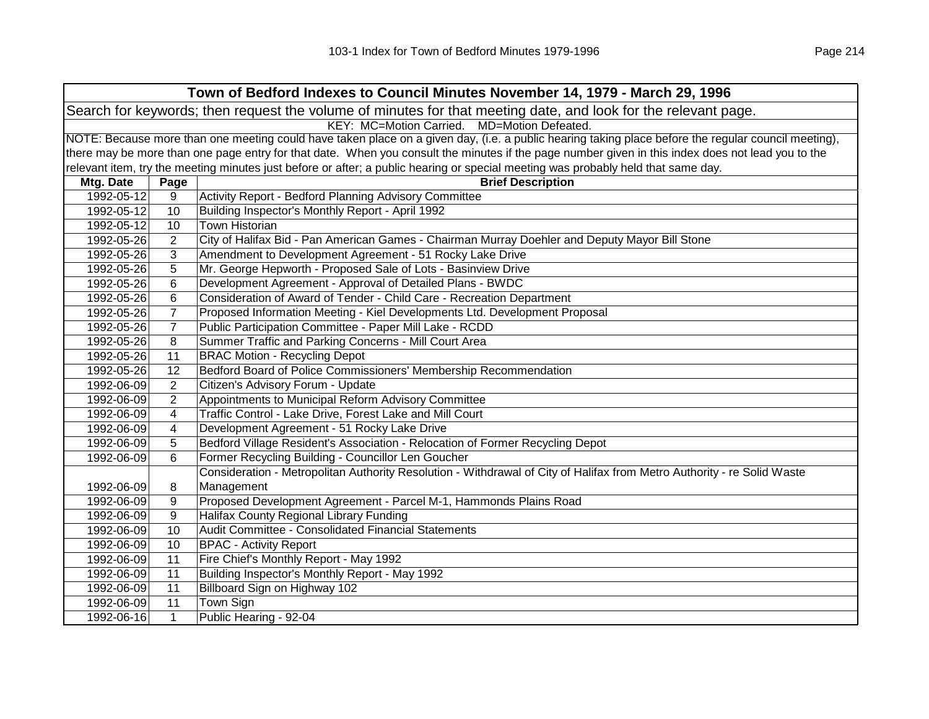| Town of Bedford Indexes to Council Minutes November 14, 1979 - March 29, 1996 |                                                                                                                                                     |                                                                                                                                                   |  |  |
|-------------------------------------------------------------------------------|-----------------------------------------------------------------------------------------------------------------------------------------------------|---------------------------------------------------------------------------------------------------------------------------------------------------|--|--|
|                                                                               | Search for keywords; then request the volume of minutes for that meeting date, and look for the relevant page.                                      |                                                                                                                                                   |  |  |
| KEY: MC=Motion Carried. MD=Motion Defeated.                                   |                                                                                                                                                     |                                                                                                                                                   |  |  |
|                                                                               | NOTE: Because more than one meeting could have taken place on a given day, (i.e. a public hearing taking place before the regular council meeting), |                                                                                                                                                   |  |  |
|                                                                               |                                                                                                                                                     | there may be more than one page entry for that date. When you consult the minutes if the page number given in this index does not lead you to the |  |  |
|                                                                               |                                                                                                                                                     | relevant item, try the meeting minutes just before or after; a public hearing or special meeting was probably held that same day.                 |  |  |
| Mtg. Date                                                                     | Page                                                                                                                                                | <b>Brief Description</b>                                                                                                                          |  |  |
| 1992-05-12                                                                    | 9                                                                                                                                                   | Activity Report - Bedford Planning Advisory Committee                                                                                             |  |  |
| 1992-05-12                                                                    | 10                                                                                                                                                  | Building Inspector's Monthly Report - April 1992                                                                                                  |  |  |
| 1992-05-12                                                                    | 10                                                                                                                                                  | <b>Town Historian</b>                                                                                                                             |  |  |
| 1992-05-26                                                                    | $\overline{2}$                                                                                                                                      | City of Halifax Bid - Pan American Games - Chairman Murray Doehler and Deputy Mayor Bill Stone                                                    |  |  |
| 1992-05-26                                                                    | 3                                                                                                                                                   | Amendment to Development Agreement - 51 Rocky Lake Drive                                                                                          |  |  |
| 1992-05-26                                                                    | 5                                                                                                                                                   | Mr. George Hepworth - Proposed Sale of Lots - Basinview Drive                                                                                     |  |  |
| 1992-05-26                                                                    | 6                                                                                                                                                   | Development Agreement - Approval of Detailed Plans - BWDC                                                                                         |  |  |
| 1992-05-26                                                                    | 6                                                                                                                                                   | Consideration of Award of Tender - Child Care - Recreation Department                                                                             |  |  |
| 1992-05-26                                                                    | $\overline{7}$                                                                                                                                      | Proposed Information Meeting - Kiel Developments Ltd. Development Proposal                                                                        |  |  |
| 1992-05-26                                                                    | $\overline{7}$                                                                                                                                      | Public Participation Committee - Paper Mill Lake - RCDD                                                                                           |  |  |
| 1992-05-26                                                                    | 8                                                                                                                                                   | Summer Traffic and Parking Concerns - Mill Court Area                                                                                             |  |  |
| 1992-05-26                                                                    | 11                                                                                                                                                  | <b>BRAC Motion - Recycling Depot</b>                                                                                                              |  |  |
| 1992-05-26                                                                    | 12                                                                                                                                                  | Bedford Board of Police Commissioners' Membership Recommendation                                                                                  |  |  |
| 1992-06-09                                                                    | $\overline{2}$                                                                                                                                      | Citizen's Advisory Forum - Update                                                                                                                 |  |  |
| 1992-06-09                                                                    | $\overline{2}$                                                                                                                                      | Appointments to Municipal Reform Advisory Committee                                                                                               |  |  |
| 1992-06-09                                                                    | 4                                                                                                                                                   | Traffic Control - Lake Drive, Forest Lake and Mill Court                                                                                          |  |  |
| 1992-06-09                                                                    | 4                                                                                                                                                   | Development Agreement - 51 Rocky Lake Drive                                                                                                       |  |  |
| 1992-06-09                                                                    | 5                                                                                                                                                   | Bedford Village Resident's Association - Relocation of Former Recycling Depot                                                                     |  |  |
| 1992-06-09                                                                    | 6                                                                                                                                                   | Former Recycling Building - Councillor Len Goucher                                                                                                |  |  |
|                                                                               |                                                                                                                                                     | Consideration - Metropolitan Authority Resolution - Withdrawal of City of Halifax from Metro Authority - re Solid Waste                           |  |  |
| 1992-06-09                                                                    | 8                                                                                                                                                   | Management                                                                                                                                        |  |  |
| 1992-06-09                                                                    | 9                                                                                                                                                   | Proposed Development Agreement - Parcel M-1, Hammonds Plains Road                                                                                 |  |  |
| 1992-06-09                                                                    | 9                                                                                                                                                   | <b>Halifax County Regional Library Funding</b>                                                                                                    |  |  |
| 1992-06-09                                                                    | 10                                                                                                                                                  | Audit Committee - Consolidated Financial Statements                                                                                               |  |  |
| 1992-06-09                                                                    | 10                                                                                                                                                  | <b>BPAC - Activity Report</b>                                                                                                                     |  |  |
| 1992-06-09                                                                    | 11                                                                                                                                                  | Fire Chief's Monthly Report - May 1992                                                                                                            |  |  |
| 1992-06-09                                                                    | 11                                                                                                                                                  | Building Inspector's Monthly Report - May 1992                                                                                                    |  |  |
| 1992-06-09                                                                    | 11                                                                                                                                                  | Billboard Sign on Highway 102                                                                                                                     |  |  |
| 1992-06-09                                                                    | 11                                                                                                                                                  | Town Sign                                                                                                                                         |  |  |
| 1992-06-16                                                                    | $\mathbf{1}$                                                                                                                                        | Public Hearing - 92-04                                                                                                                            |  |  |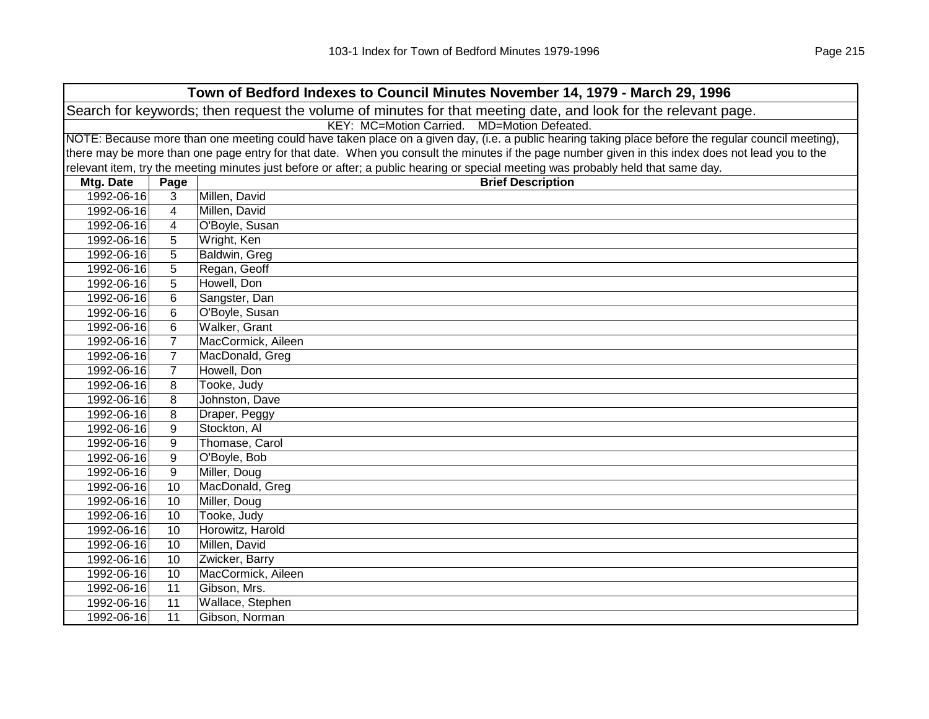| Town of Bedford Indexes to Council Minutes November 14, 1979 - March 29, 1996                                                                       |                 |                          |  |  |
|-----------------------------------------------------------------------------------------------------------------------------------------------------|-----------------|--------------------------|--|--|
| Search for keywords; then request the volume of minutes for that meeting date, and look for the relevant page.                                      |                 |                          |  |  |
| KEY: MC=Motion Carried. MD=Motion Defeated.                                                                                                         |                 |                          |  |  |
| NOTE: Because more than one meeting could have taken place on a given day, (i.e. a public hearing taking place before the regular council meeting), |                 |                          |  |  |
| there may be more than one page entry for that date. When you consult the minutes if the page number given in this index does not lead you to the   |                 |                          |  |  |
| relevant item, try the meeting minutes just before or after; a public hearing or special meeting was probably held that same day.                   |                 |                          |  |  |
| Mtg. Date                                                                                                                                           | Page            | <b>Brief Description</b> |  |  |
| 1992-06-16                                                                                                                                          | 3               | Millen, David            |  |  |
| 1992-06-16                                                                                                                                          | $\overline{4}$  | Millen, David            |  |  |
| 1992-06-16                                                                                                                                          | $\overline{4}$  | O'Boyle, Susan           |  |  |
| 1992-06-16                                                                                                                                          | 5               | Wright, Ken              |  |  |
| 1992-06-16                                                                                                                                          | 5               | Baldwin, Greg            |  |  |
| 1992-06-16                                                                                                                                          | 5               | Regan, Geoff             |  |  |
| 1992-06-16                                                                                                                                          | 5               | Howell, Don              |  |  |
| 1992-06-16                                                                                                                                          | 6               | Sangster, Dan            |  |  |
| 1992-06-16                                                                                                                                          | 6               | O'Boyle, Susan           |  |  |
| 1992-06-16                                                                                                                                          | 6               | Walker, Grant            |  |  |
| 1992-06-16                                                                                                                                          | $\overline{7}$  | MacCormick, Aileen       |  |  |
| 1992-06-16                                                                                                                                          | $\overline{7}$  | MacDonald, Greg          |  |  |
| 1992-06-16                                                                                                                                          | $\overline{7}$  | Howell, Don              |  |  |
| 1992-06-16                                                                                                                                          | 8               | Tooke, Judy              |  |  |
| 1992-06-16                                                                                                                                          | 8               | Johnston, Dave           |  |  |
| 1992-06-16                                                                                                                                          | 8               | Draper, Peggy            |  |  |
| 1992-06-16                                                                                                                                          | 9               | Stockton, Al             |  |  |
| 1992-06-16                                                                                                                                          | 9               | Thomase, Carol           |  |  |
| 1992-06-16                                                                                                                                          | 9               | O'Boyle, Bob             |  |  |
| 1992-06-16                                                                                                                                          | 9               | Miller, Doug             |  |  |
| 1992-06-16                                                                                                                                          | $\overline{10}$ | MacDonald, Greg          |  |  |
| 1992-06-16                                                                                                                                          | 10              | Miller, Doug             |  |  |
| 1992-06-16                                                                                                                                          | 10              | Tooke, Judy              |  |  |
| 1992-06-16                                                                                                                                          | 10              | Horowitz, Harold         |  |  |
| 1992-06-16                                                                                                                                          | 10              | Millen, David            |  |  |
| 1992-06-16                                                                                                                                          | 10              | Zwicker, Barry           |  |  |
| 1992-06-16                                                                                                                                          | 10              | MacCormick, Aileen       |  |  |
| 1992-06-16                                                                                                                                          | 11              | Gibson, Mrs.             |  |  |
| 1992-06-16                                                                                                                                          | 11              | Wallace, Stephen         |  |  |
| 1992-06-16                                                                                                                                          | 11              | Gibson, Norman           |  |  |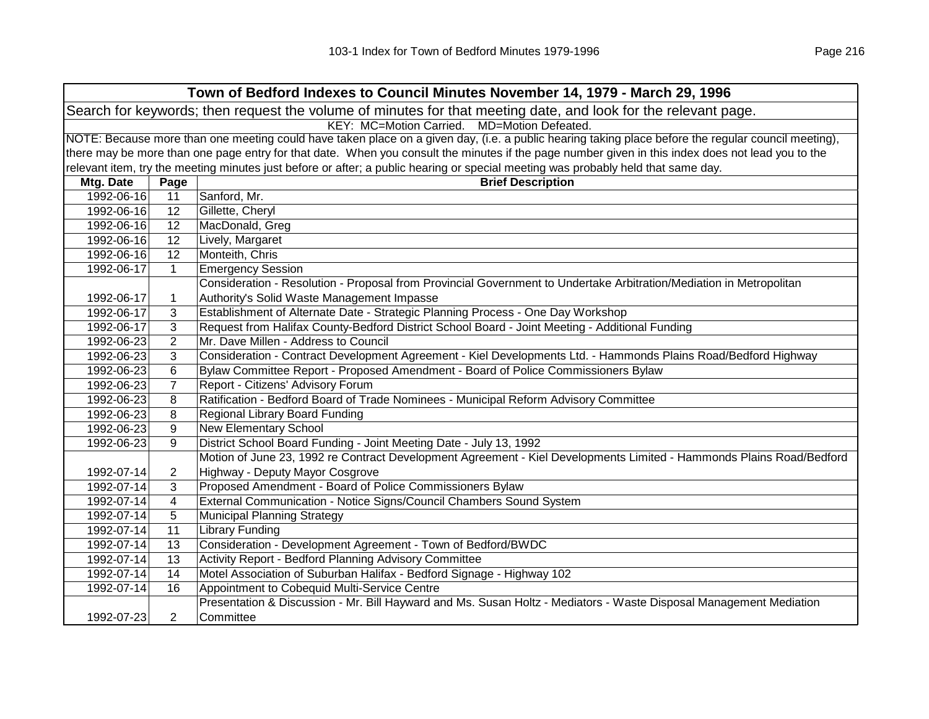| Town of Bedford Indexes to Council Minutes November 14, 1979 - March 29, 1996                                                                       |                       |                                                                                                                      |  |  |
|-----------------------------------------------------------------------------------------------------------------------------------------------------|-----------------------|----------------------------------------------------------------------------------------------------------------------|--|--|
| Search for keywords; then request the volume of minutes for that meeting date, and look for the relevant page.                                      |                       |                                                                                                                      |  |  |
| KEY: MC=Motion Carried. MD=Motion Defeated.                                                                                                         |                       |                                                                                                                      |  |  |
| NOTE: Because more than one meeting could have taken place on a given day, (i.e. a public hearing taking place before the regular council meeting), |                       |                                                                                                                      |  |  |
| there may be more than one page entry for that date. When you consult the minutes if the page number given in this index does not lead you to the   |                       |                                                                                                                      |  |  |
| relevant item, try the meeting minutes just before or after; a public hearing or special meeting was probably held that same day.                   |                       |                                                                                                                      |  |  |
| Mtg. Date                                                                                                                                           | Page                  | <b>Brief Description</b>                                                                                             |  |  |
| 1992-06-16                                                                                                                                          | 11                    | Sanford, Mr.                                                                                                         |  |  |
| 1992-06-16                                                                                                                                          | 12                    | Gillette, Cheryl                                                                                                     |  |  |
| 1992-06-16                                                                                                                                          | 12                    | MacDonald, Greg                                                                                                      |  |  |
| 1992-06-16                                                                                                                                          | 12                    | Lively, Margaret                                                                                                     |  |  |
| 1992-06-16                                                                                                                                          | 12                    | Monteith, Chris                                                                                                      |  |  |
| 1992-06-17                                                                                                                                          | $\mathbf{1}$          | <b>Emergency Session</b>                                                                                             |  |  |
|                                                                                                                                                     |                       | Consideration - Resolution - Proposal from Provincial Government to Undertake Arbitration/Mediation in Metropolitan  |  |  |
| 1992-06-17                                                                                                                                          | 1                     | Authority's Solid Waste Management Impasse                                                                           |  |  |
| 1992-06-17                                                                                                                                          | 3                     | Establishment of Alternate Date - Strategic Planning Process - One Day Workshop                                      |  |  |
| 1992-06-17                                                                                                                                          | 3                     | Request from Halifax County-Bedford District School Board - Joint Meeting - Additional Funding                       |  |  |
| 1992-06-23                                                                                                                                          | 2                     | Mr. Dave Millen - Address to Council                                                                                 |  |  |
| 1992-06-23                                                                                                                                          | 3                     | Consideration - Contract Development Agreement - Kiel Developments Ltd. - Hammonds Plains Road/Bedford Highway       |  |  |
| 1992-06-23                                                                                                                                          | 6                     | Bylaw Committee Report - Proposed Amendment - Board of Police Commissioners Bylaw                                    |  |  |
| 1992-06-23                                                                                                                                          | $\overline{7}$        | Report - Citizens' Advisory Forum                                                                                    |  |  |
| 1992-06-23                                                                                                                                          | 8                     | Ratification - Bedford Board of Trade Nominees - Municipal Reform Advisory Committee                                 |  |  |
| 1992-06-23                                                                                                                                          | 8                     | Regional Library Board Funding                                                                                       |  |  |
| 1992-06-23                                                                                                                                          | 9                     | <b>New Elementary School</b>                                                                                         |  |  |
| 1992-06-23                                                                                                                                          | 9                     | District School Board Funding - Joint Meeting Date - July 13, 1992                                                   |  |  |
|                                                                                                                                                     |                       | Motion of June 23, 1992 re Contract Development Agreement - Kiel Developments Limited - Hammonds Plains Road/Bedford |  |  |
| 1992-07-14                                                                                                                                          | $\overline{c}$        | Highway - Deputy Mayor Cosgrove                                                                                      |  |  |
| 1992-07-14                                                                                                                                          | 3                     | Proposed Amendment - Board of Police Commissioners Bylaw                                                             |  |  |
| 1992-07-14                                                                                                                                          | 4                     | External Communication - Notice Signs/Council Chambers Sound System                                                  |  |  |
| 1992-07-14                                                                                                                                          | 5                     | <b>Municipal Planning Strategy</b>                                                                                   |  |  |
| 1992-07-14                                                                                                                                          | 11                    | <b>Library Funding</b>                                                                                               |  |  |
| 1992-07-14                                                                                                                                          | 13                    | Consideration - Development Agreement - Town of Bedford/BWDC                                                         |  |  |
| 1992-07-14                                                                                                                                          | 13                    | Activity Report - Bedford Planning Advisory Committee                                                                |  |  |
| 1992-07-14                                                                                                                                          | 14                    | Motel Association of Suburban Halifax - Bedford Signage - Highway 102                                                |  |  |
| 1992-07-14                                                                                                                                          | 16                    | Appointment to Cobequid Multi-Service Centre                                                                         |  |  |
|                                                                                                                                                     |                       | Presentation & Discussion - Mr. Bill Hayward and Ms. Susan Holtz - Mediators - Waste Disposal Management Mediation   |  |  |
| 1992-07-23                                                                                                                                          | $\mathbf{2}^{\prime}$ | Committee                                                                                                            |  |  |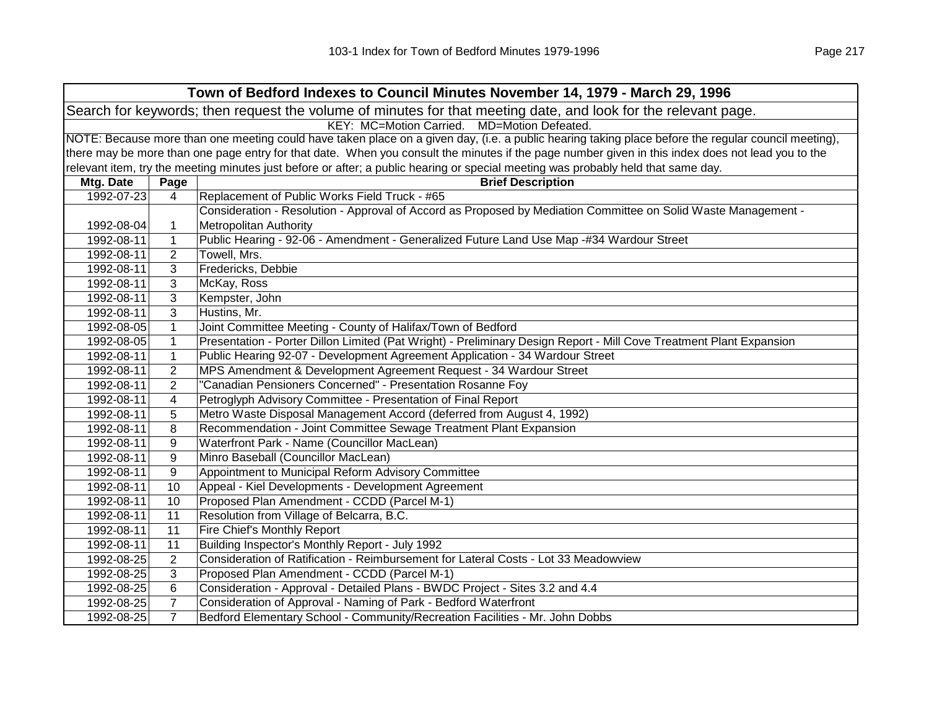| Town of Bedford Indexes to Council Minutes November 14, 1979 - March 29, 1996                                  |                                                                                                                                                     |                                                                                                                                                   |  |  |  |
|----------------------------------------------------------------------------------------------------------------|-----------------------------------------------------------------------------------------------------------------------------------------------------|---------------------------------------------------------------------------------------------------------------------------------------------------|--|--|--|
| Search for keywords; then request the volume of minutes for that meeting date, and look for the relevant page. |                                                                                                                                                     |                                                                                                                                                   |  |  |  |
|                                                                                                                | KEY: MC=Motion Carried. MD=Motion Defeated.                                                                                                         |                                                                                                                                                   |  |  |  |
|                                                                                                                | NOTE: Because more than one meeting could have taken place on a given day, (i.e. a public hearing taking place before the regular council meeting), |                                                                                                                                                   |  |  |  |
|                                                                                                                |                                                                                                                                                     | there may be more than one page entry for that date. When you consult the minutes if the page number given in this index does not lead you to the |  |  |  |
|                                                                                                                |                                                                                                                                                     | relevant item, try the meeting minutes just before or after; a public hearing or special meeting was probably held that same day.                 |  |  |  |
| Mtg. Date                                                                                                      | Page                                                                                                                                                | <b>Brief Description</b>                                                                                                                          |  |  |  |
| 1992-07-23                                                                                                     | 4                                                                                                                                                   | Replacement of Public Works Field Truck - #65                                                                                                     |  |  |  |
|                                                                                                                |                                                                                                                                                     | Consideration - Resolution - Approval of Accord as Proposed by Mediation Committee on Solid Waste Management -                                    |  |  |  |
| 1992-08-04                                                                                                     | 1                                                                                                                                                   | <b>Metropolitan Authority</b>                                                                                                                     |  |  |  |
| 1992-08-11                                                                                                     | $\mathbf{1}$                                                                                                                                        | Public Hearing - 92-06 - Amendment - Generalized Future Land Use Map -#34 Wardour Street                                                          |  |  |  |
| 1992-08-11                                                                                                     | 2                                                                                                                                                   | Towell, Mrs.                                                                                                                                      |  |  |  |
| 1992-08-11                                                                                                     | 3                                                                                                                                                   | Fredericks, Debbie                                                                                                                                |  |  |  |
| 1992-08-11                                                                                                     | 3                                                                                                                                                   | McKay, Ross                                                                                                                                       |  |  |  |
| 1992-08-11                                                                                                     | 3                                                                                                                                                   | Kempster, John                                                                                                                                    |  |  |  |
| 1992-08-11                                                                                                     | 3                                                                                                                                                   | Hustins, Mr.                                                                                                                                      |  |  |  |
| 1992-08-05                                                                                                     | $\mathbf{1}$                                                                                                                                        | Joint Committee Meeting - County of Halifax/Town of Bedford                                                                                       |  |  |  |
| 1992-08-05                                                                                                     | $\mathbf{1}$                                                                                                                                        | Presentation - Porter Dillon Limited (Pat Wright) - Preliminary Design Report - Mill Cove Treatment Plant Expansion                               |  |  |  |
| 1992-08-11                                                                                                     | 1                                                                                                                                                   | Public Hearing 92-07 - Development Agreement Application - 34 Wardour Street                                                                      |  |  |  |
| 1992-08-11                                                                                                     | $\overline{2}$                                                                                                                                      | MPS Amendment & Development Agreement Request - 34 Wardour Street                                                                                 |  |  |  |
| 1992-08-11                                                                                                     | $\overline{2}$                                                                                                                                      | "Canadian Pensioners Concerned" - Presentation Rosanne Foy                                                                                        |  |  |  |
| 1992-08-11                                                                                                     | 4                                                                                                                                                   | Petroglyph Advisory Committee - Presentation of Final Report                                                                                      |  |  |  |
| 1992-08-11                                                                                                     | 5                                                                                                                                                   | Metro Waste Disposal Management Accord (deferred from August 4, 1992)                                                                             |  |  |  |
| 1992-08-11                                                                                                     | 8                                                                                                                                                   | Recommendation - Joint Committee Sewage Treatment Plant Expansion                                                                                 |  |  |  |
| 1992-08-11                                                                                                     | 9                                                                                                                                                   | Waterfront Park - Name (Councillor MacLean)                                                                                                       |  |  |  |
| 1992-08-11                                                                                                     | 9                                                                                                                                                   | Minro Baseball (Councillor MacLean)                                                                                                               |  |  |  |
| 1992-08-11                                                                                                     | 9                                                                                                                                                   | Appointment to Municipal Reform Advisory Committee                                                                                                |  |  |  |
| 1992-08-11                                                                                                     | 10                                                                                                                                                  | Appeal - Kiel Developments - Development Agreement                                                                                                |  |  |  |
| 1992-08-11                                                                                                     | 10                                                                                                                                                  | Proposed Plan Amendment - CCDD (Parcel M-1)                                                                                                       |  |  |  |
| 1992-08-11                                                                                                     | 11                                                                                                                                                  | Resolution from Village of Belcarra, B.C.                                                                                                         |  |  |  |
| 1992-08-11                                                                                                     | 11                                                                                                                                                  | Fire Chief's Monthly Report                                                                                                                       |  |  |  |
| 1992-08-11                                                                                                     | 11                                                                                                                                                  | Building Inspector's Monthly Report - July 1992                                                                                                   |  |  |  |
| 1992-08-25                                                                                                     | $\overline{2}$                                                                                                                                      | Consideration of Ratification - Reimbursement for Lateral Costs - Lot 33 Meadowview                                                               |  |  |  |
| 1992-08-25                                                                                                     | 3                                                                                                                                                   | Proposed Plan Amendment - CCDD (Parcel M-1)                                                                                                       |  |  |  |
| 1992-08-25                                                                                                     | 6                                                                                                                                                   | Consideration - Approval - Detailed Plans - BWDC Project - Sites 3.2 and 4.4                                                                      |  |  |  |
| 1992-08-25                                                                                                     | $\overline{7}$                                                                                                                                      | Consideration of Approval - Naming of Park - Bedford Waterfront                                                                                   |  |  |  |
| 1992-08-25                                                                                                     | $\overline{7}$                                                                                                                                      | Bedford Elementary School - Community/Recreation Facilities - Mr. John Dobbs                                                                      |  |  |  |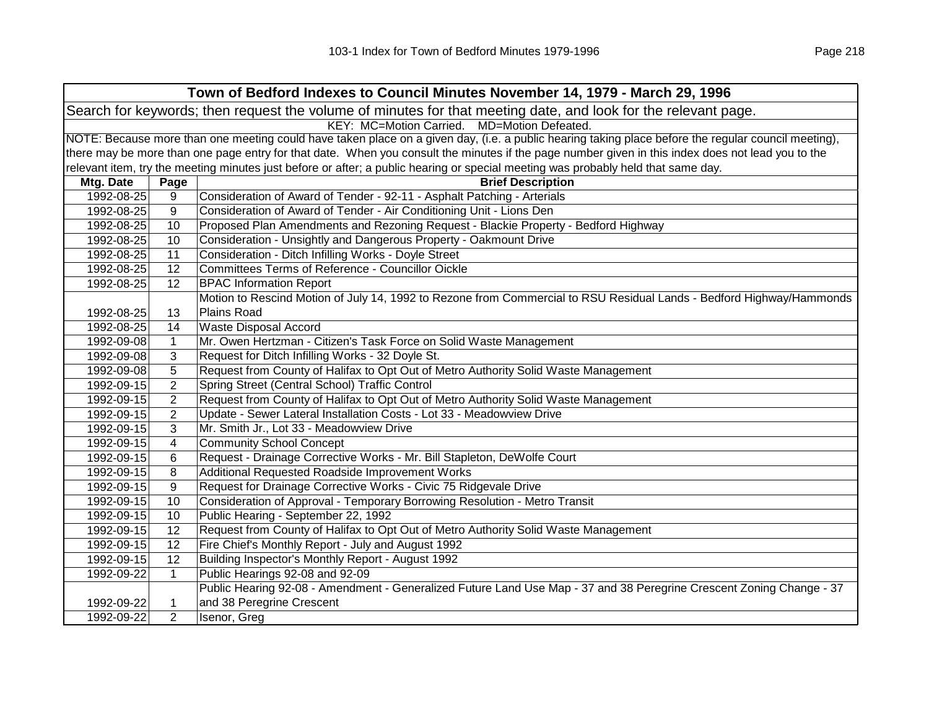| Town of Bedford Indexes to Council Minutes November 14, 1979 - March 29, 1996 |                                                                                                                |                                                                                                                                                     |  |  |  |
|-------------------------------------------------------------------------------|----------------------------------------------------------------------------------------------------------------|-----------------------------------------------------------------------------------------------------------------------------------------------------|--|--|--|
|                                                                               | Search for keywords; then request the volume of minutes for that meeting date, and look for the relevant page. |                                                                                                                                                     |  |  |  |
|                                                                               | KEY: MC=Motion Carried. MD=Motion Defeated.                                                                    |                                                                                                                                                     |  |  |  |
|                                                                               |                                                                                                                | NOTE: Because more than one meeting could have taken place on a given day, (i.e. a public hearing taking place before the regular council meeting), |  |  |  |
|                                                                               |                                                                                                                | there may be more than one page entry for that date. When you consult the minutes if the page number given in this index does not lead you to the   |  |  |  |
|                                                                               |                                                                                                                | relevant item, try the meeting minutes just before or after; a public hearing or special meeting was probably held that same day.                   |  |  |  |
| Mtg. Date                                                                     | Page                                                                                                           | <b>Brief Description</b>                                                                                                                            |  |  |  |
| 1992-08-25                                                                    | 9                                                                                                              | Consideration of Award of Tender - 92-11 - Asphalt Patching - Arterials                                                                             |  |  |  |
| 1992-08-25                                                                    | 9                                                                                                              | Consideration of Award of Tender - Air Conditioning Unit - Lions Den                                                                                |  |  |  |
| 1992-08-25                                                                    | 10                                                                                                             | Proposed Plan Amendments and Rezoning Request - Blackie Property - Bedford Highway                                                                  |  |  |  |
| 1992-08-25                                                                    | 10                                                                                                             | Consideration - Unsightly and Dangerous Property - Oakmount Drive                                                                                   |  |  |  |
| 1992-08-25                                                                    | 11                                                                                                             | Consideration - Ditch Infilling Works - Doyle Street                                                                                                |  |  |  |
| 1992-08-25                                                                    | 12                                                                                                             | Committees Terms of Reference - Councillor Oickle                                                                                                   |  |  |  |
| 1992-08-25                                                                    | 12                                                                                                             | <b>BPAC Information Report</b>                                                                                                                      |  |  |  |
|                                                                               |                                                                                                                | Motion to Rescind Motion of July 14, 1992 to Rezone from Commercial to RSU Residual Lands - Bedford Highway/Hammonds                                |  |  |  |
| 1992-08-25                                                                    | 13                                                                                                             | Plains Road                                                                                                                                         |  |  |  |
| 1992-08-25                                                                    | 14                                                                                                             | <b>Waste Disposal Accord</b>                                                                                                                        |  |  |  |
| 1992-09-08                                                                    | $\mathbf{1}$                                                                                                   | Mr. Owen Hertzman - Citizen's Task Force on Solid Waste Management                                                                                  |  |  |  |
| 1992-09-08                                                                    | 3                                                                                                              | Request for Ditch Infilling Works - 32 Doyle St.                                                                                                    |  |  |  |
| 1992-09-08                                                                    | 5                                                                                                              | Request from County of Halifax to Opt Out of Metro Authority Solid Waste Management                                                                 |  |  |  |
| 1992-09-15                                                                    | 2                                                                                                              | Spring Street (Central School) Traffic Control                                                                                                      |  |  |  |
| 1992-09-15                                                                    | $\overline{2}$                                                                                                 | Request from County of Halifax to Opt Out of Metro Authority Solid Waste Management                                                                 |  |  |  |
| 1992-09-15                                                                    | 2                                                                                                              | Update - Sewer Lateral Installation Costs - Lot 33 - Meadowview Drive                                                                               |  |  |  |
| 1992-09-15                                                                    | 3                                                                                                              | Mr. Smith Jr., Lot 33 - Meadowview Drive                                                                                                            |  |  |  |
| 1992-09-15                                                                    | 4                                                                                                              | <b>Community School Concept</b>                                                                                                                     |  |  |  |
| 1992-09-15                                                                    | 6                                                                                                              | Request - Drainage Corrective Works - Mr. Bill Stapleton, DeWolfe Court                                                                             |  |  |  |
| 1992-09-15                                                                    | 8                                                                                                              | Additional Requested Roadside Improvement Works                                                                                                     |  |  |  |
| 1992-09-15                                                                    | 9                                                                                                              | Request for Drainage Corrective Works - Civic 75 Ridgevale Drive                                                                                    |  |  |  |
| 1992-09-15                                                                    | 10                                                                                                             | Consideration of Approval - Temporary Borrowing Resolution - Metro Transit                                                                          |  |  |  |
| 1992-09-15                                                                    | 10                                                                                                             | Public Hearing - September 22, 1992                                                                                                                 |  |  |  |
| 1992-09-15                                                                    | 12                                                                                                             | Request from County of Halifax to Opt Out of Metro Authority Solid Waste Management                                                                 |  |  |  |
| 1992-09-15                                                                    | 12                                                                                                             | Fire Chief's Monthly Report - July and August 1992                                                                                                  |  |  |  |
| 1992-09-15                                                                    | 12                                                                                                             | Building Inspector's Monthly Report - August 1992                                                                                                   |  |  |  |
| 1992-09-22                                                                    | $\mathbf{1}$                                                                                                   | Public Hearings 92-08 and 92-09                                                                                                                     |  |  |  |
|                                                                               |                                                                                                                | Public Hearing 92-08 - Amendment - Generalized Future Land Use Map - 37 and 38 Peregrine Crescent Zoning Change - 37                                |  |  |  |
| 1992-09-22                                                                    | 1                                                                                                              | and 38 Peregrine Crescent                                                                                                                           |  |  |  |
| 1992-09-22                                                                    | $\overline{2}$                                                                                                 | Isenor, Greg                                                                                                                                        |  |  |  |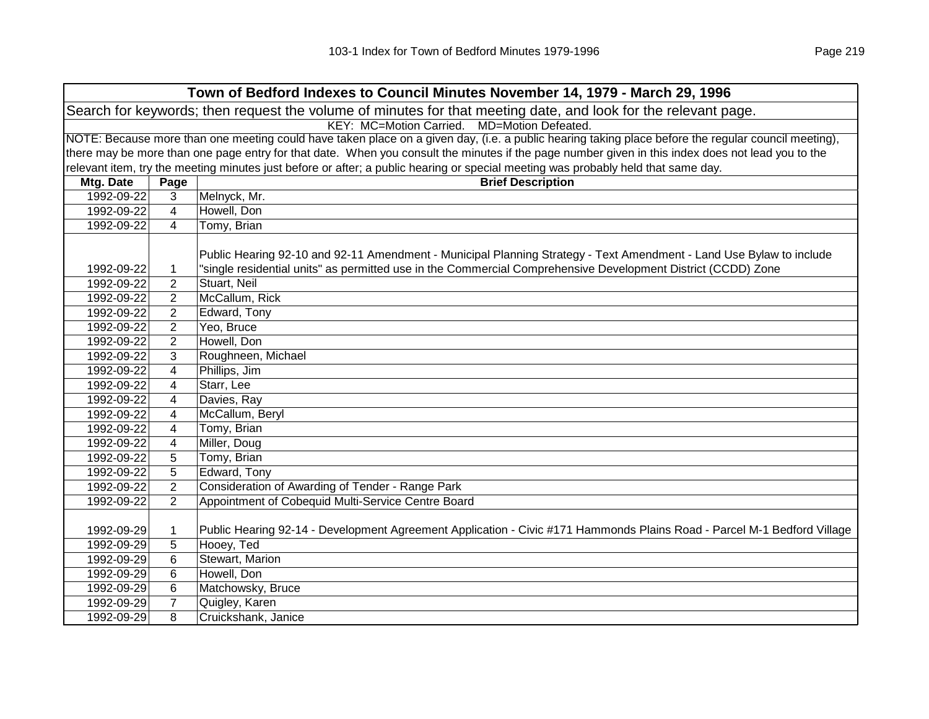|                                                                                                                | Town of Bedford Indexes to Council Minutes November 14, 1979 - March 29, 1996 |                                                                                                                                                     |  |  |  |
|----------------------------------------------------------------------------------------------------------------|-------------------------------------------------------------------------------|-----------------------------------------------------------------------------------------------------------------------------------------------------|--|--|--|
| Search for keywords; then request the volume of minutes for that meeting date, and look for the relevant page. |                                                                               |                                                                                                                                                     |  |  |  |
|                                                                                                                | KEY: MC=Motion Carried. MD=Motion Defeated.                                   |                                                                                                                                                     |  |  |  |
|                                                                                                                |                                                                               | NOTE: Because more than one meeting could have taken place on a given day, (i.e. a public hearing taking place before the regular council meeting), |  |  |  |
|                                                                                                                |                                                                               | there may be more than one page entry for that date. When you consult the minutes if the page number given in this index does not lead you to the   |  |  |  |
|                                                                                                                |                                                                               | relevant item, try the meeting minutes just before or after; a public hearing or special meeting was probably held that same day.                   |  |  |  |
| Mtg. Date                                                                                                      | Page                                                                          | <b>Brief Description</b>                                                                                                                            |  |  |  |
| 1992-09-22                                                                                                     | 3                                                                             | Melnyck, Mr.                                                                                                                                        |  |  |  |
| 1992-09-22                                                                                                     | 4                                                                             | Howell, Don                                                                                                                                         |  |  |  |
| 1992-09-22                                                                                                     | 4                                                                             | Tomy, Brian                                                                                                                                         |  |  |  |
|                                                                                                                |                                                                               | Public Hearing 92-10 and 92-11 Amendment - Municipal Planning Strategy - Text Amendment - Land Use Bylaw to include                                 |  |  |  |
| 1992-09-22                                                                                                     | 1                                                                             | "single residential units" as permitted use in the Commercial Comprehensive Development District (CCDD) Zone                                        |  |  |  |
| 1992-09-22                                                                                                     | $\overline{c}$                                                                | Stuart, Neil                                                                                                                                        |  |  |  |
| 1992-09-22                                                                                                     | $\overline{2}$                                                                | McCallum, Rick                                                                                                                                      |  |  |  |
| 1992-09-22                                                                                                     | $\overline{2}$                                                                | Edward, Tony                                                                                                                                        |  |  |  |
| 1992-09-22                                                                                                     | $\overline{2}$                                                                | Yeo, Bruce                                                                                                                                          |  |  |  |
| 1992-09-22                                                                                                     | $\overline{2}$                                                                | Howell, Don                                                                                                                                         |  |  |  |
| 1992-09-22                                                                                                     | 3                                                                             | Roughneen, Michael                                                                                                                                  |  |  |  |
| 1992-09-22                                                                                                     | 4                                                                             | Phillips, Jim                                                                                                                                       |  |  |  |
| 1992-09-22                                                                                                     | 4                                                                             | Starr, Lee                                                                                                                                          |  |  |  |
| 1992-09-22                                                                                                     | 4                                                                             | Davies, Ray                                                                                                                                         |  |  |  |
| 1992-09-22                                                                                                     | 4                                                                             | McCallum, Beryl                                                                                                                                     |  |  |  |
| 1992-09-22                                                                                                     | 4                                                                             | Tomy, Brian                                                                                                                                         |  |  |  |
| 1992-09-22                                                                                                     | 4                                                                             | Miller, Doug                                                                                                                                        |  |  |  |
| 1992-09-22                                                                                                     | 5                                                                             | Tomy, Brian                                                                                                                                         |  |  |  |
| 1992-09-22                                                                                                     | 5                                                                             | Edward, Tony                                                                                                                                        |  |  |  |
| 1992-09-22                                                                                                     | $\overline{2}$                                                                | Consideration of Awarding of Tender - Range Park                                                                                                    |  |  |  |
| 1992-09-22                                                                                                     | 2                                                                             | Appointment of Cobequid Multi-Service Centre Board                                                                                                  |  |  |  |
|                                                                                                                |                                                                               |                                                                                                                                                     |  |  |  |
| 1992-09-29                                                                                                     | $\mathbf{1}$                                                                  | Public Hearing 92-14 - Development Agreement Application - Civic #171 Hammonds Plains Road - Parcel M-1 Bedford Village                             |  |  |  |
| 1992-09-29                                                                                                     | 5                                                                             | Hooey, Ted                                                                                                                                          |  |  |  |
| 1992-09-29                                                                                                     | 6                                                                             | Stewart, Marion                                                                                                                                     |  |  |  |
| 1992-09-29                                                                                                     | 6                                                                             | Howell, Don                                                                                                                                         |  |  |  |
| 1992-09-29                                                                                                     | 6                                                                             | Matchowsky, Bruce                                                                                                                                   |  |  |  |
| 1992-09-29                                                                                                     | $\overline{7}$                                                                | Quigley, Karen                                                                                                                                      |  |  |  |
| 1992-09-29                                                                                                     | 8                                                                             | Cruickshank, Janice                                                                                                                                 |  |  |  |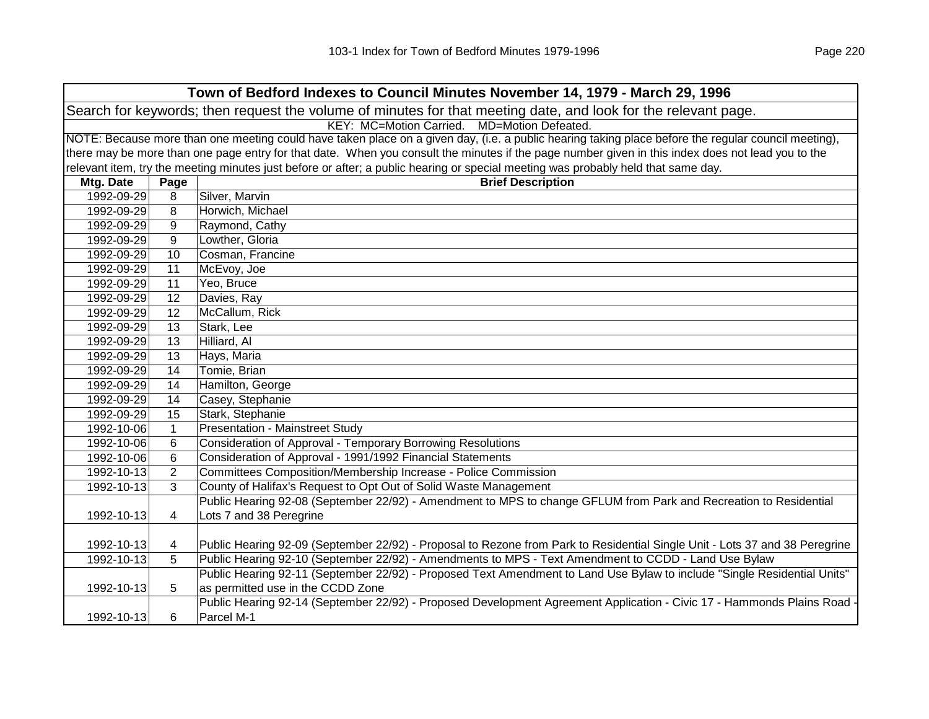|                                                                                                                |                                                                                                                                                     | Town of Bedford Indexes to Council Minutes November 14, 1979 - March 29, 1996                                                                     |  |  |  |
|----------------------------------------------------------------------------------------------------------------|-----------------------------------------------------------------------------------------------------------------------------------------------------|---------------------------------------------------------------------------------------------------------------------------------------------------|--|--|--|
| Search for keywords; then request the volume of minutes for that meeting date, and look for the relevant page. |                                                                                                                                                     |                                                                                                                                                   |  |  |  |
|                                                                                                                | KEY: MC=Motion Carried. MD=Motion Defeated.                                                                                                         |                                                                                                                                                   |  |  |  |
|                                                                                                                | NOTE: Because more than one meeting could have taken place on a given day, (i.e. a public hearing taking place before the regular council meeting), |                                                                                                                                                   |  |  |  |
|                                                                                                                |                                                                                                                                                     | there may be more than one page entry for that date. When you consult the minutes if the page number given in this index does not lead you to the |  |  |  |
|                                                                                                                |                                                                                                                                                     | relevant item, try the meeting minutes just before or after; a public hearing or special meeting was probably held that same day.                 |  |  |  |
| Mtg. Date                                                                                                      | Page                                                                                                                                                | <b>Brief Description</b>                                                                                                                          |  |  |  |
| 1992-09-29                                                                                                     | 8                                                                                                                                                   | Silver, Marvin                                                                                                                                    |  |  |  |
| 1992-09-29                                                                                                     | 8                                                                                                                                                   | Horwich, Michael                                                                                                                                  |  |  |  |
| 1992-09-29                                                                                                     | 9                                                                                                                                                   | Raymond, Cathy                                                                                                                                    |  |  |  |
| 1992-09-29                                                                                                     | 9                                                                                                                                                   | Lowther, Gloria                                                                                                                                   |  |  |  |
| 1992-09-29                                                                                                     | 10                                                                                                                                                  | Cosman, Francine                                                                                                                                  |  |  |  |
| 1992-09-29                                                                                                     | 11                                                                                                                                                  | McEvoy, Joe                                                                                                                                       |  |  |  |
| 1992-09-29                                                                                                     | 11                                                                                                                                                  | Yeo, Bruce                                                                                                                                        |  |  |  |
| 1992-09-29                                                                                                     | 12                                                                                                                                                  | Davies, Ray                                                                                                                                       |  |  |  |
| 1992-09-29                                                                                                     | 12                                                                                                                                                  | McCallum, Rick                                                                                                                                    |  |  |  |
| 1992-09-29                                                                                                     | 13                                                                                                                                                  | Stark, Lee                                                                                                                                        |  |  |  |
| 1992-09-29                                                                                                     | 13                                                                                                                                                  | Hilliard, Al                                                                                                                                      |  |  |  |
| 1992-09-29                                                                                                     | 13                                                                                                                                                  | Hays, Maria                                                                                                                                       |  |  |  |
| 1992-09-29                                                                                                     | 14                                                                                                                                                  | Tomie, Brian                                                                                                                                      |  |  |  |
| 1992-09-29                                                                                                     | 14                                                                                                                                                  | Hamilton, George                                                                                                                                  |  |  |  |
| 1992-09-29                                                                                                     | 14                                                                                                                                                  | Casey, Stephanie                                                                                                                                  |  |  |  |
| 1992-09-29                                                                                                     | 15                                                                                                                                                  | Stark, Stephanie                                                                                                                                  |  |  |  |
| 1992-10-06                                                                                                     | $\mathbf{1}$                                                                                                                                        | <b>Presentation - Mainstreet Study</b>                                                                                                            |  |  |  |
| 1992-10-06                                                                                                     | $\,6$                                                                                                                                               | <b>Consideration of Approval - Temporary Borrowing Resolutions</b>                                                                                |  |  |  |
| 1992-10-06                                                                                                     | $\,6$                                                                                                                                               | Consideration of Approval - 1991/1992 Financial Statements                                                                                        |  |  |  |
| 1992-10-13                                                                                                     | $\overline{2}$                                                                                                                                      | Committees Composition/Membership Increase - Police Commission                                                                                    |  |  |  |
| 1992-10-13                                                                                                     | 3                                                                                                                                                   | County of Halifax's Request to Opt Out of Solid Waste Management                                                                                  |  |  |  |
|                                                                                                                |                                                                                                                                                     | Public Hearing 92-08 (September 22/92) - Amendment to MPS to change GFLUM from Park and Recreation to Residential                                 |  |  |  |
| 1992-10-13                                                                                                     | 4                                                                                                                                                   | Lots 7 and 38 Peregrine                                                                                                                           |  |  |  |
|                                                                                                                |                                                                                                                                                     |                                                                                                                                                   |  |  |  |
| 1992-10-13                                                                                                     | 4                                                                                                                                                   | Public Hearing 92-09 (September 22/92) - Proposal to Rezone from Park to Residential Single Unit - Lots 37 and 38 Peregrine                       |  |  |  |
| 1992-10-13                                                                                                     | 5                                                                                                                                                   | Public Hearing 92-10 (September 22/92) - Amendments to MPS - Text Amendment to CCDD - Land Use Bylaw                                              |  |  |  |
|                                                                                                                |                                                                                                                                                     | Public Hearing 92-11 (September 22/92) - Proposed Text Amendment to Land Use Bylaw to include "Single Residential Units"                          |  |  |  |
| 1992-10-13                                                                                                     | 5                                                                                                                                                   | as permitted use in the CCDD Zone                                                                                                                 |  |  |  |
|                                                                                                                |                                                                                                                                                     | Public Hearing 92-14 (September 22/92) - Proposed Development Agreement Application - Civic 17 - Hammonds Plains Road -                           |  |  |  |
| 1992-10-13                                                                                                     | 6                                                                                                                                                   | Parcel M-1                                                                                                                                        |  |  |  |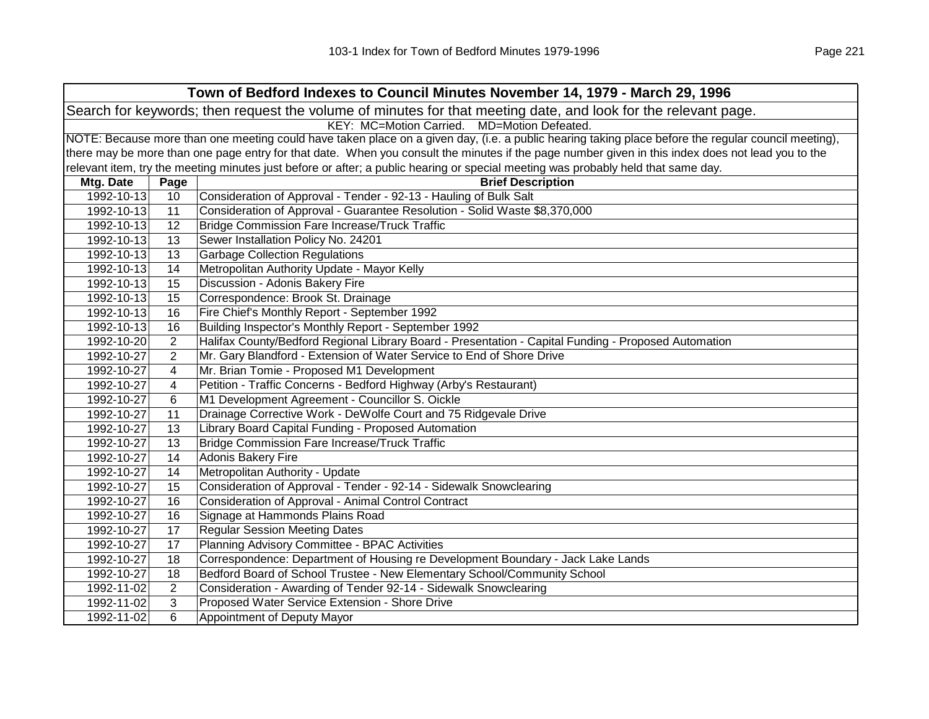|                                                                                                                | Town of Bedford Indexes to Council Minutes November 14, 1979 - March 29, 1996 |                                                                                                                                                     |  |  |
|----------------------------------------------------------------------------------------------------------------|-------------------------------------------------------------------------------|-----------------------------------------------------------------------------------------------------------------------------------------------------|--|--|
| Search for keywords; then request the volume of minutes for that meeting date, and look for the relevant page. |                                                                               |                                                                                                                                                     |  |  |
|                                                                                                                |                                                                               | KEY: MC=Motion Carried. MD=Motion Defeated.                                                                                                         |  |  |
|                                                                                                                |                                                                               | NOTE: Because more than one meeting could have taken place on a given day, (i.e. a public hearing taking place before the regular council meeting), |  |  |
|                                                                                                                |                                                                               | there may be more than one page entry for that date. When you consult the minutes if the page number given in this index does not lead you to the   |  |  |
|                                                                                                                |                                                                               | relevant item, try the meeting minutes just before or after; a public hearing or special meeting was probably held that same day.                   |  |  |
| Mtg. Date                                                                                                      | Page                                                                          | <b>Brief Description</b>                                                                                                                            |  |  |
| 1992-10-13                                                                                                     | 10                                                                            | Consideration of Approval - Tender - 92-13 - Hauling of Bulk Salt                                                                                   |  |  |
| 1992-10-13                                                                                                     | 11                                                                            | Consideration of Approval - Guarantee Resolution - Solid Waste \$8,370,000                                                                          |  |  |
| 1992-10-13                                                                                                     | 12                                                                            | <b>Bridge Commission Fare Increase/Truck Traffic</b>                                                                                                |  |  |
| 1992-10-13                                                                                                     | 13                                                                            | Sewer Installation Policy No. 24201                                                                                                                 |  |  |
| 1992-10-13                                                                                                     | 13                                                                            | <b>Garbage Collection Regulations</b>                                                                                                               |  |  |
| 1992-10-13                                                                                                     | 14                                                                            | Metropolitan Authority Update - Mayor Kelly                                                                                                         |  |  |
| 1992-10-13                                                                                                     | 15                                                                            | Discussion - Adonis Bakery Fire                                                                                                                     |  |  |
| 1992-10-13                                                                                                     | 15                                                                            | Correspondence: Brook St. Drainage                                                                                                                  |  |  |
| 1992-10-13                                                                                                     | 16                                                                            | Fire Chief's Monthly Report - September 1992                                                                                                        |  |  |
| 1992-10-13                                                                                                     | 16                                                                            | Building Inspector's Monthly Report - September 1992                                                                                                |  |  |
| 1992-10-20                                                                                                     | $\overline{2}$                                                                | Halifax County/Bedford Regional Library Board - Presentation - Capital Funding - Proposed Automation                                                |  |  |
| 1992-10-27                                                                                                     | $\overline{2}$                                                                | Mr. Gary Blandford - Extension of Water Service to End of Shore Drive                                                                               |  |  |
| 1992-10-27                                                                                                     | 4                                                                             | Mr. Brian Tomie - Proposed M1 Development                                                                                                           |  |  |
| 1992-10-27                                                                                                     | 4                                                                             | Petition - Traffic Concerns - Bedford Highway (Arby's Restaurant)                                                                                   |  |  |
| 1992-10-27                                                                                                     | 6                                                                             | M1 Development Agreement - Councillor S. Oickle                                                                                                     |  |  |
| 1992-10-27                                                                                                     | 11                                                                            | Drainage Corrective Work - DeWolfe Court and 75 Ridgevale Drive                                                                                     |  |  |
| 1992-10-27                                                                                                     | 13                                                                            | Library Board Capital Funding - Proposed Automation                                                                                                 |  |  |
| 1992-10-27                                                                                                     | 13                                                                            | Bridge Commission Fare Increase/Truck Traffic                                                                                                       |  |  |
| 1992-10-27                                                                                                     | 14                                                                            | <b>Adonis Bakery Fire</b>                                                                                                                           |  |  |
| 1992-10-27                                                                                                     | 14                                                                            | Metropolitan Authority - Update                                                                                                                     |  |  |
| 1992-10-27                                                                                                     | 15                                                                            | Consideration of Approval - Tender - 92-14 - Sidewalk Snowclearing                                                                                  |  |  |
| 1992-10-27                                                                                                     | 16                                                                            | Consideration of Approval - Animal Control Contract                                                                                                 |  |  |
| 1992-10-27                                                                                                     | 16                                                                            | Signage at Hammonds Plains Road                                                                                                                     |  |  |
| 1992-10-27                                                                                                     | 17                                                                            | <b>Regular Session Meeting Dates</b>                                                                                                                |  |  |
| 1992-10-27                                                                                                     | 17                                                                            | Planning Advisory Committee - BPAC Activities                                                                                                       |  |  |
| 1992-10-27                                                                                                     | 18                                                                            | Correspondence: Department of Housing re Development Boundary - Jack Lake Lands                                                                     |  |  |
| 1992-10-27                                                                                                     | 18                                                                            | Bedford Board of School Trustee - New Elementary School/Community School                                                                            |  |  |
| 1992-11-02                                                                                                     | $\overline{2}$                                                                | Consideration - Awarding of Tender 92-14 - Sidewalk Snowclearing                                                                                    |  |  |
| 1992-11-02                                                                                                     | 3                                                                             | Proposed Water Service Extension - Shore Drive                                                                                                      |  |  |
| 1992-11-02                                                                                                     | 6                                                                             | Appointment of Deputy Mayor                                                                                                                         |  |  |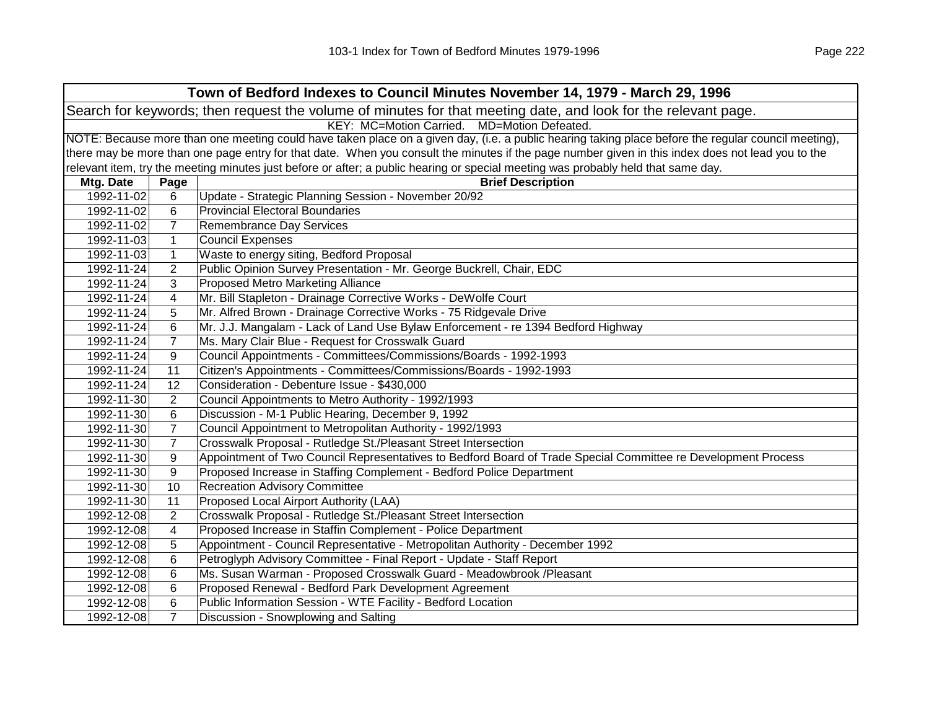| Town of Bedford Indexes to Council Minutes November 14, 1979 - March 29, 1996 |                                                                                                                |                                                                                                                                                     |  |  |
|-------------------------------------------------------------------------------|----------------------------------------------------------------------------------------------------------------|-----------------------------------------------------------------------------------------------------------------------------------------------------|--|--|
|                                                                               | Search for keywords; then request the volume of minutes for that meeting date, and look for the relevant page. |                                                                                                                                                     |  |  |
|                                                                               |                                                                                                                | KEY: MC=Motion Carried. MD=Motion Defeated.                                                                                                         |  |  |
|                                                                               |                                                                                                                | NOTE: Because more than one meeting could have taken place on a given day, (i.e. a public hearing taking place before the regular council meeting), |  |  |
|                                                                               |                                                                                                                | there may be more than one page entry for that date. When you consult the minutes if the page number given in this index does not lead you to the   |  |  |
|                                                                               |                                                                                                                | relevant item, try the meeting minutes just before or after; a public hearing or special meeting was probably held that same day.                   |  |  |
| Mtg. Date                                                                     | Page                                                                                                           | <b>Brief Description</b>                                                                                                                            |  |  |
| 1992-11-02                                                                    | 6                                                                                                              | Update - Strategic Planning Session - November 20/92                                                                                                |  |  |
| 1992-11-02                                                                    | 6                                                                                                              | <b>Provincial Electoral Boundaries</b>                                                                                                              |  |  |
| 1992-11-02                                                                    | $\overline{7}$                                                                                                 | <b>Remembrance Day Services</b>                                                                                                                     |  |  |
| 1992-11-03                                                                    | $\mathbf 1$                                                                                                    | <b>Council Expenses</b>                                                                                                                             |  |  |
| 1992-11-03                                                                    | $\mathbf{1}$                                                                                                   | Waste to energy siting, Bedford Proposal                                                                                                            |  |  |
| 1992-11-24                                                                    | $\overline{2}$                                                                                                 | Public Opinion Survey Presentation - Mr. George Buckrell, Chair, EDC                                                                                |  |  |
| 1992-11-24                                                                    | 3                                                                                                              | <b>Proposed Metro Marketing Alliance</b>                                                                                                            |  |  |
| 1992-11-24                                                                    | 4                                                                                                              | Mr. Bill Stapleton - Drainage Corrective Works - DeWolfe Court                                                                                      |  |  |
| 1992-11-24                                                                    | 5                                                                                                              | Mr. Alfred Brown - Drainage Corrective Works - 75 Ridgevale Drive                                                                                   |  |  |
| 1992-11-24                                                                    | 6                                                                                                              | Mr. J.J. Mangalam - Lack of Land Use Bylaw Enforcement - re 1394 Bedford Highway                                                                    |  |  |
| 1992-11-24                                                                    | $\overline{7}$                                                                                                 | Ms. Mary Clair Blue - Request for Crosswalk Guard                                                                                                   |  |  |
| 1992-11-24                                                                    | 9                                                                                                              | Council Appointments - Committees/Commissions/Boards - 1992-1993                                                                                    |  |  |
| 1992-11-24                                                                    | 11                                                                                                             | Citizen's Appointments - Committees/Commissions/Boards - 1992-1993                                                                                  |  |  |
| 1992-11-24                                                                    | 12                                                                                                             | Consideration - Debenture Issue - \$430,000                                                                                                         |  |  |
| 1992-11-30                                                                    | $\overline{2}$                                                                                                 | Council Appointments to Metro Authority - 1992/1993                                                                                                 |  |  |
| 1992-11-30                                                                    | 6                                                                                                              | Discussion - M-1 Public Hearing, December 9, 1992                                                                                                   |  |  |
| 1992-11-30                                                                    | $\overline{7}$                                                                                                 | Council Appointment to Metropolitan Authority - 1992/1993                                                                                           |  |  |
| 1992-11-30                                                                    | $\overline{7}$                                                                                                 | Crosswalk Proposal - Rutledge St./Pleasant Street Intersection                                                                                      |  |  |
| 1992-11-30                                                                    | 9                                                                                                              | Appointment of Two Council Representatives to Bedford Board of Trade Special Committee re Development Process                                       |  |  |
| 1992-11-30                                                                    | 9                                                                                                              | Proposed Increase in Staffing Complement - Bedford Police Department                                                                                |  |  |
| 1992-11-30                                                                    | 10                                                                                                             | <b>Recreation Advisory Committee</b>                                                                                                                |  |  |
| 1992-11-30                                                                    | 11                                                                                                             | Proposed Local Airport Authority (LAA)                                                                                                              |  |  |
| 1992-12-08                                                                    | $\overline{2}$                                                                                                 | Crosswalk Proposal - Rutledge St./Pleasant Street Intersection                                                                                      |  |  |
| 1992-12-08                                                                    | 4                                                                                                              | Proposed Increase in Staffin Complement - Police Department                                                                                         |  |  |
| 1992-12-08                                                                    | 5                                                                                                              | Appointment - Council Representative - Metropolitan Authority - December 1992                                                                       |  |  |
| 1992-12-08                                                                    | 6                                                                                                              | Petroglyph Advisory Committee - Final Report - Update - Staff Report                                                                                |  |  |
| 1992-12-08                                                                    | 6                                                                                                              | Ms. Susan Warman - Proposed Crosswalk Guard - Meadowbrook /Pleasant                                                                                 |  |  |
| 1992-12-08                                                                    | 6                                                                                                              | Proposed Renewal - Bedford Park Development Agreement                                                                                               |  |  |
| 1992-12-08                                                                    | 6                                                                                                              | Public Information Session - WTE Facility - Bedford Location                                                                                        |  |  |
| 1992-12-08                                                                    | $\overline{7}$                                                                                                 | Discussion - Snowplowing and Salting                                                                                                                |  |  |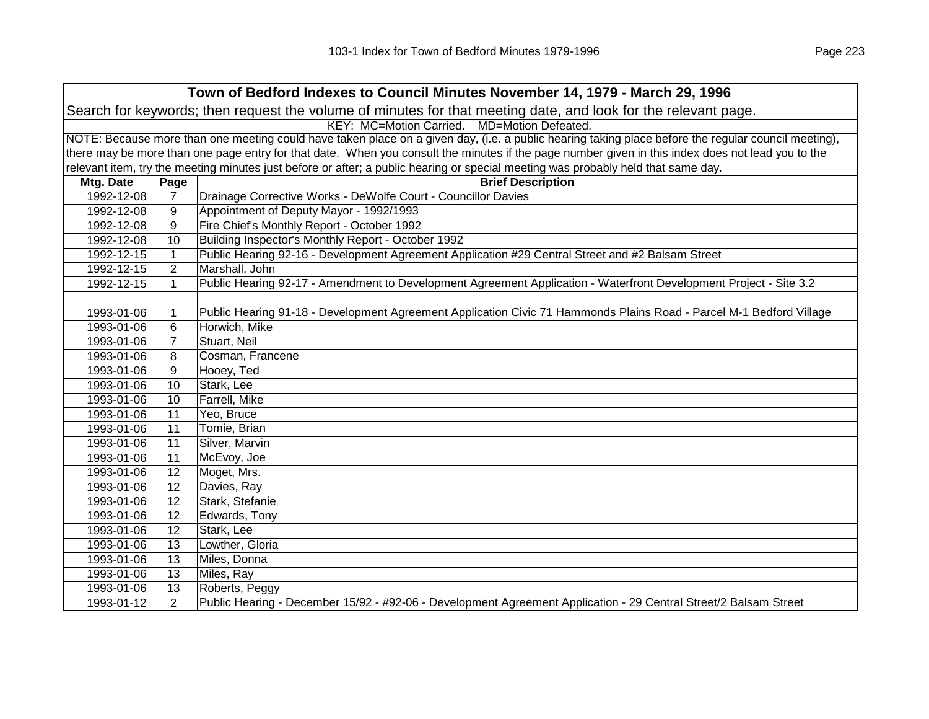| Town of Bedford Indexes to Council Minutes November 14, 1979 - March 29, 1996                                  |                                                                                                                                                     |                                                                                                                                                   |  |  |  |
|----------------------------------------------------------------------------------------------------------------|-----------------------------------------------------------------------------------------------------------------------------------------------------|---------------------------------------------------------------------------------------------------------------------------------------------------|--|--|--|
| Search for keywords; then request the volume of minutes for that meeting date, and look for the relevant page. |                                                                                                                                                     |                                                                                                                                                   |  |  |  |
|                                                                                                                | KEY: MC=Motion Carried. MD=Motion Defeated.                                                                                                         |                                                                                                                                                   |  |  |  |
|                                                                                                                | NOTE: Because more than one meeting could have taken place on a given day, (i.e. a public hearing taking place before the regular council meeting), |                                                                                                                                                   |  |  |  |
|                                                                                                                |                                                                                                                                                     | there may be more than one page entry for that date. When you consult the minutes if the page number given in this index does not lead you to the |  |  |  |
|                                                                                                                |                                                                                                                                                     | relevant item, try the meeting minutes just before or after; a public hearing or special meeting was probably held that same day.                 |  |  |  |
| Mtg. Date                                                                                                      | Page                                                                                                                                                | <b>Brief Description</b>                                                                                                                          |  |  |  |
| 1992-12-08                                                                                                     | $\overline{7}$                                                                                                                                      | Drainage Corrective Works - DeWolfe Court - Councillor Davies                                                                                     |  |  |  |
| 1992-12-08                                                                                                     | 9                                                                                                                                                   | Appointment of Deputy Mayor - 1992/1993                                                                                                           |  |  |  |
| 1992-12-08                                                                                                     | 9                                                                                                                                                   | Fire Chief's Monthly Report - October 1992                                                                                                        |  |  |  |
| 1992-12-08                                                                                                     | 10                                                                                                                                                  | Building Inspector's Monthly Report - October 1992                                                                                                |  |  |  |
| 1992-12-15                                                                                                     | $\mathbf{1}$                                                                                                                                        | Public Hearing 92-16 - Development Agreement Application #29 Central Street and #2 Balsam Street                                                  |  |  |  |
| 1992-12-15                                                                                                     | $\overline{2}$                                                                                                                                      | Marshall, John                                                                                                                                    |  |  |  |
| 1992-12-15                                                                                                     | $\mathbf{1}$                                                                                                                                        | Public Hearing 92-17 - Amendment to Development Agreement Application - Waterfront Development Project - Site 3.2                                 |  |  |  |
|                                                                                                                |                                                                                                                                                     |                                                                                                                                                   |  |  |  |
| 1993-01-06                                                                                                     | 1                                                                                                                                                   | Public Hearing 91-18 - Development Agreement Application Civic 71 Hammonds Plains Road - Parcel M-1 Bedford Village                               |  |  |  |
| 1993-01-06                                                                                                     | 6                                                                                                                                                   | Horwich, Mike                                                                                                                                     |  |  |  |
| 1993-01-06                                                                                                     | $\overline{7}$                                                                                                                                      | Stuart, Neil                                                                                                                                      |  |  |  |
| 1993-01-06                                                                                                     | 8                                                                                                                                                   | Cosman, Francene                                                                                                                                  |  |  |  |
| 1993-01-06                                                                                                     | 9                                                                                                                                                   | Hooey, Ted                                                                                                                                        |  |  |  |
| 1993-01-06                                                                                                     | 10                                                                                                                                                  | Stark, Lee                                                                                                                                        |  |  |  |
| 1993-01-06                                                                                                     | 10                                                                                                                                                  | Farrell, Mike                                                                                                                                     |  |  |  |
| 1993-01-06                                                                                                     | 11                                                                                                                                                  | Yeo, Bruce                                                                                                                                        |  |  |  |
| 1993-01-06                                                                                                     | 11                                                                                                                                                  | Tomie, Brian                                                                                                                                      |  |  |  |
| 1993-01-06                                                                                                     | 11                                                                                                                                                  | Silver, Marvin                                                                                                                                    |  |  |  |
| 1993-01-06                                                                                                     | 11                                                                                                                                                  | McEvoy, Joe                                                                                                                                       |  |  |  |
| 1993-01-06                                                                                                     | $\overline{12}$                                                                                                                                     | Moget, Mrs.                                                                                                                                       |  |  |  |
| 1993-01-06                                                                                                     | 12                                                                                                                                                  | Davies, Ray                                                                                                                                       |  |  |  |
| 1993-01-06                                                                                                     | 12                                                                                                                                                  | Stark, Stefanie                                                                                                                                   |  |  |  |
| 1993-01-06                                                                                                     | 12                                                                                                                                                  | Edwards, Tony                                                                                                                                     |  |  |  |
| 1993-01-06                                                                                                     | 12                                                                                                                                                  | Stark, Lee                                                                                                                                        |  |  |  |
| 1993-01-06                                                                                                     | 13                                                                                                                                                  | Lowther, Gloria                                                                                                                                   |  |  |  |
| 1993-01-06                                                                                                     | 13                                                                                                                                                  | Miles, Donna                                                                                                                                      |  |  |  |
| 1993-01-06                                                                                                     | 13                                                                                                                                                  | Miles, Ray                                                                                                                                        |  |  |  |
| 1993-01-06                                                                                                     | 13                                                                                                                                                  | Roberts, Peggy                                                                                                                                    |  |  |  |
| 1993-01-12                                                                                                     | 2                                                                                                                                                   | Public Hearing - December 15/92 - #92-06 - Development Agreement Application - 29 Central Street/2 Balsam Street                                  |  |  |  |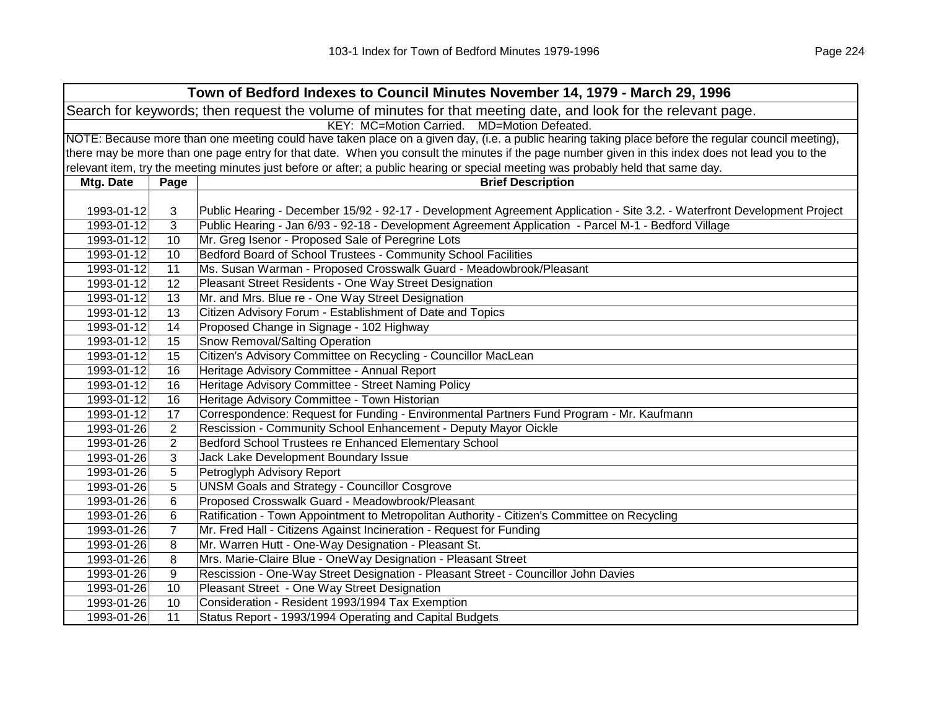| Town of Bedford Indexes to Council Minutes November 14, 1979 - March 29, 1996 |                                                                                                                |                                                                                                                                                     |  |
|-------------------------------------------------------------------------------|----------------------------------------------------------------------------------------------------------------|-----------------------------------------------------------------------------------------------------------------------------------------------------|--|
|                                                                               | Search for keywords; then request the volume of minutes for that meeting date, and look for the relevant page. |                                                                                                                                                     |  |
|                                                                               |                                                                                                                | KEY: MC=Motion Carried. MD=Motion Defeated.                                                                                                         |  |
|                                                                               |                                                                                                                | NOTE: Because more than one meeting could have taken place on a given day, (i.e. a public hearing taking place before the regular council meeting), |  |
|                                                                               |                                                                                                                | there may be more than one page entry for that date. When you consult the minutes if the page number given in this index does not lead you to the   |  |
|                                                                               |                                                                                                                | relevant item, try the meeting minutes just before or after; a public hearing or special meeting was probably held that same day.                   |  |
| Mtg. Date                                                                     | Page                                                                                                           | <b>Brief Description</b>                                                                                                                            |  |
|                                                                               |                                                                                                                |                                                                                                                                                     |  |
| 1993-01-12                                                                    | 3                                                                                                              | Public Hearing - December 15/92 - 92-17 - Development Agreement Application - Site 3.2. - Waterfront Development Project                            |  |
| 1993-01-12                                                                    | 3                                                                                                              | Public Hearing - Jan 6/93 - 92-18 - Development Agreement Application - Parcel M-1 - Bedford Village                                                |  |
| 1993-01-12                                                                    | 10                                                                                                             | Mr. Greg Isenor - Proposed Sale of Peregrine Lots                                                                                                   |  |
| 1993-01-12                                                                    | 10                                                                                                             | Bedford Board of School Trustees - Community School Facilities                                                                                      |  |
| 1993-01-12                                                                    | 11                                                                                                             | Ms. Susan Warman - Proposed Crosswalk Guard - Meadowbrook/Pleasant                                                                                  |  |
| 1993-01-12                                                                    | 12                                                                                                             | Pleasant Street Residents - One Way Street Designation                                                                                              |  |
| 1993-01-12                                                                    | 13                                                                                                             | Mr. and Mrs. Blue re - One Way Street Designation                                                                                                   |  |
| 1993-01-12                                                                    | 13                                                                                                             | Citizen Advisory Forum - Establishment of Date and Topics                                                                                           |  |
| 1993-01-12                                                                    | 14                                                                                                             | Proposed Change in Signage - 102 Highway                                                                                                            |  |
| 1993-01-12                                                                    | 15                                                                                                             | Snow Removal/Salting Operation                                                                                                                      |  |
| 1993-01-12                                                                    | 15                                                                                                             | Citizen's Advisory Committee on Recycling - Councillor MacLean                                                                                      |  |
| 1993-01-12                                                                    | 16                                                                                                             | Heritage Advisory Committee - Annual Report                                                                                                         |  |
| 1993-01-12                                                                    | 16                                                                                                             | Heritage Advisory Committee - Street Naming Policy                                                                                                  |  |
| 1993-01-12                                                                    | 16                                                                                                             | Heritage Advisory Committee - Town Historian                                                                                                        |  |
| 1993-01-12                                                                    | 17                                                                                                             | Correspondence: Request for Funding - Environmental Partners Fund Program - Mr. Kaufmann                                                            |  |
| 1993-01-26                                                                    | $\overline{c}$                                                                                                 | Rescission - Community School Enhancement - Deputy Mayor Oickle                                                                                     |  |
| 1993-01-26                                                                    | $\overline{2}$                                                                                                 | Bedford School Trustees re Enhanced Elementary School                                                                                               |  |
| 1993-01-26                                                                    | 3                                                                                                              | Jack Lake Development Boundary Issue                                                                                                                |  |
| 1993-01-26                                                                    | 5                                                                                                              | Petroglyph Advisory Report                                                                                                                          |  |
| 1993-01-26                                                                    | 5                                                                                                              | <b>UNSM Goals and Strategy - Councillor Cosgrove</b>                                                                                                |  |
| 1993-01-26                                                                    | 6                                                                                                              | Proposed Crosswalk Guard - Meadowbrook/Pleasant                                                                                                     |  |
| 1993-01-26                                                                    | 6                                                                                                              | Ratification - Town Appointment to Metropolitan Authority - Citizen's Committee on Recycling                                                        |  |
| 1993-01-26                                                                    | $\overline{7}$                                                                                                 | Mr. Fred Hall - Citizens Against Incineration - Request for Funding                                                                                 |  |
| 1993-01-26                                                                    | 8                                                                                                              | Mr. Warren Hutt - One-Way Designation - Pleasant St.                                                                                                |  |
| 1993-01-26                                                                    | 8                                                                                                              | Mrs. Marie-Claire Blue - OneWay Designation - Pleasant Street                                                                                       |  |
| 1993-01-26                                                                    | 9                                                                                                              | Rescission - One-Way Street Designation - Pleasant Street - Councillor John Davies                                                                  |  |
| 1993-01-26                                                                    | 10                                                                                                             | Pleasant Street - One Way Street Designation                                                                                                        |  |
| 1993-01-26                                                                    | 10                                                                                                             | Consideration - Resident 1993/1994 Tax Exemption                                                                                                    |  |
| 1993-01-26                                                                    | 11                                                                                                             | Status Report - 1993/1994 Operating and Capital Budgets                                                                                             |  |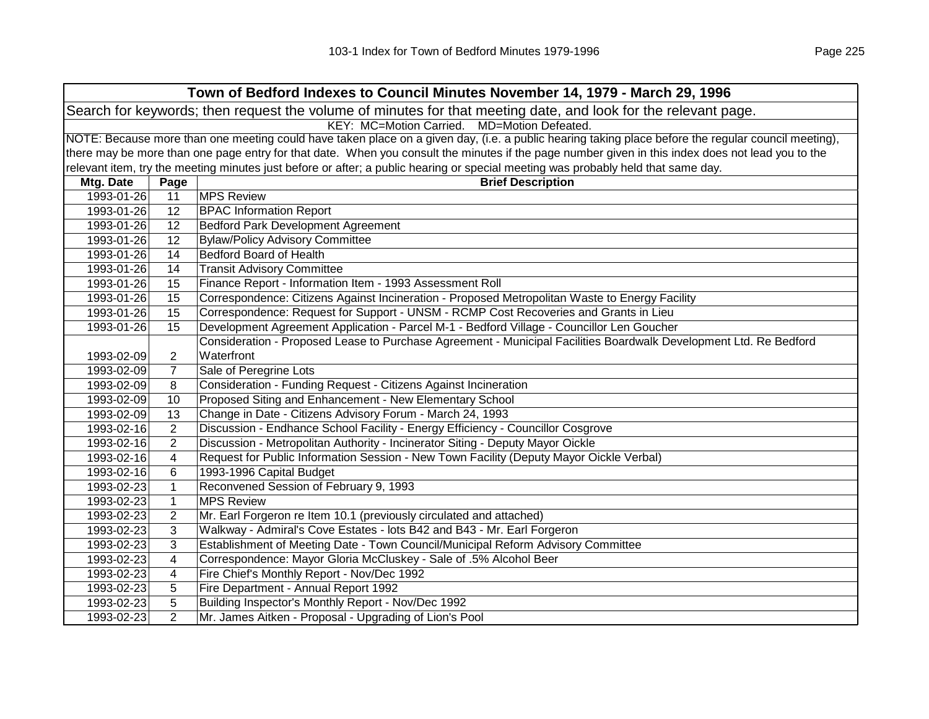| Town of Bedford Indexes to Council Minutes November 14, 1979 - March 29, 1996                                  |                |                                                                                                                                                     |  |
|----------------------------------------------------------------------------------------------------------------|----------------|-----------------------------------------------------------------------------------------------------------------------------------------------------|--|
| Search for keywords; then request the volume of minutes for that meeting date, and look for the relevant page. |                |                                                                                                                                                     |  |
|                                                                                                                |                | KEY: MC=Motion Carried. MD=Motion Defeated.                                                                                                         |  |
|                                                                                                                |                | NOTE: Because more than one meeting could have taken place on a given day, (i.e. a public hearing taking place before the regular council meeting), |  |
|                                                                                                                |                | there may be more than one page entry for that date. When you consult the minutes if the page number given in this index does not lead you to the   |  |
|                                                                                                                |                | relevant item, try the meeting minutes just before or after; a public hearing or special meeting was probably held that same day.                   |  |
| Mtg. Date                                                                                                      | Page           | <b>Brief Description</b>                                                                                                                            |  |
| 1993-01-26                                                                                                     | 11             | <b>MPS Review</b>                                                                                                                                   |  |
| 1993-01-26                                                                                                     | 12             | <b>BPAC Information Report</b>                                                                                                                      |  |
| 1993-01-26                                                                                                     | 12             | <b>Bedford Park Development Agreement</b>                                                                                                           |  |
| 1993-01-26                                                                                                     | 12             | <b>Bylaw/Policy Advisory Committee</b>                                                                                                              |  |
| 1993-01-26                                                                                                     | 14             | <b>Bedford Board of Health</b>                                                                                                                      |  |
| 1993-01-26                                                                                                     | 14             | <b>Transit Advisory Committee</b>                                                                                                                   |  |
| 1993-01-26                                                                                                     | 15             | Finance Report - Information Item - 1993 Assessment Roll                                                                                            |  |
| 1993-01-26                                                                                                     | 15             | Correspondence: Citizens Against Incineration - Proposed Metropolitan Waste to Energy Facility                                                      |  |
| 1993-01-26                                                                                                     | 15             | Correspondence: Request for Support - UNSM - RCMP Cost Recoveries and Grants in Lieu                                                                |  |
| 1993-01-26                                                                                                     | 15             | Development Agreement Application - Parcel M-1 - Bedford Village - Councillor Len Goucher                                                           |  |
|                                                                                                                |                | Consideration - Proposed Lease to Purchase Agreement - Municipal Facilities Boardwalk Development Ltd. Re Bedford                                   |  |
| 1993-02-09                                                                                                     | 2              | Waterfront                                                                                                                                          |  |
| 1993-02-09                                                                                                     | 7              | Sale of Peregrine Lots                                                                                                                              |  |
| 1993-02-09                                                                                                     | 8              | Consideration - Funding Request - Citizens Against Incineration                                                                                     |  |
| 1993-02-09                                                                                                     | 10             | Proposed Siting and Enhancement - New Elementary School                                                                                             |  |
| 1993-02-09                                                                                                     | 13             | Change in Date - Citizens Advisory Forum - March 24, 1993                                                                                           |  |
| 1993-02-16                                                                                                     | $\overline{2}$ | Discussion - Endhance School Facility - Energy Efficiency - Councillor Cosgrove                                                                     |  |
| 1993-02-16                                                                                                     | $\overline{2}$ | Discussion - Metropolitan Authority - Incinerator Siting - Deputy Mayor Oickle                                                                      |  |
| 1993-02-16                                                                                                     | 4              | Request for Public Information Session - New Town Facility (Deputy Mayor Oickle Verbal)                                                             |  |
| 1993-02-16                                                                                                     | 6              | 1993-1996 Capital Budget                                                                                                                            |  |
| 1993-02-23                                                                                                     | $\mathbf 1$    | Reconvened Session of February 9, 1993                                                                                                              |  |
| 1993-02-23                                                                                                     | $\mathbf 1$    | <b>MPS Review</b>                                                                                                                                   |  |
| 1993-02-23                                                                                                     | $\overline{2}$ | Mr. Earl Forgeron re Item 10.1 (previously circulated and attached)                                                                                 |  |
| 1993-02-23                                                                                                     | 3              | Walkway - Admiral's Cove Estates - lots B42 and B43 - Mr. Earl Forgeron                                                                             |  |
| 1993-02-23                                                                                                     | 3              | Establishment of Meeting Date - Town Council/Municipal Reform Advisory Committee                                                                    |  |
| 1993-02-23                                                                                                     | 4              | Correspondence: Mayor Gloria McCluskey - Sale of .5% Alcohol Beer                                                                                   |  |
| 1993-02-23                                                                                                     | 4              | Fire Chief's Monthly Report - Nov/Dec 1992                                                                                                          |  |
| 1993-02-23                                                                                                     | 5              | Fire Department - Annual Report 1992                                                                                                                |  |
| 1993-02-23                                                                                                     | 5              | Building Inspector's Monthly Report - Nov/Dec 1992                                                                                                  |  |
| 1993-02-23                                                                                                     | $\overline{2}$ | Mr. James Aitken - Proposal - Upgrading of Lion's Pool                                                                                              |  |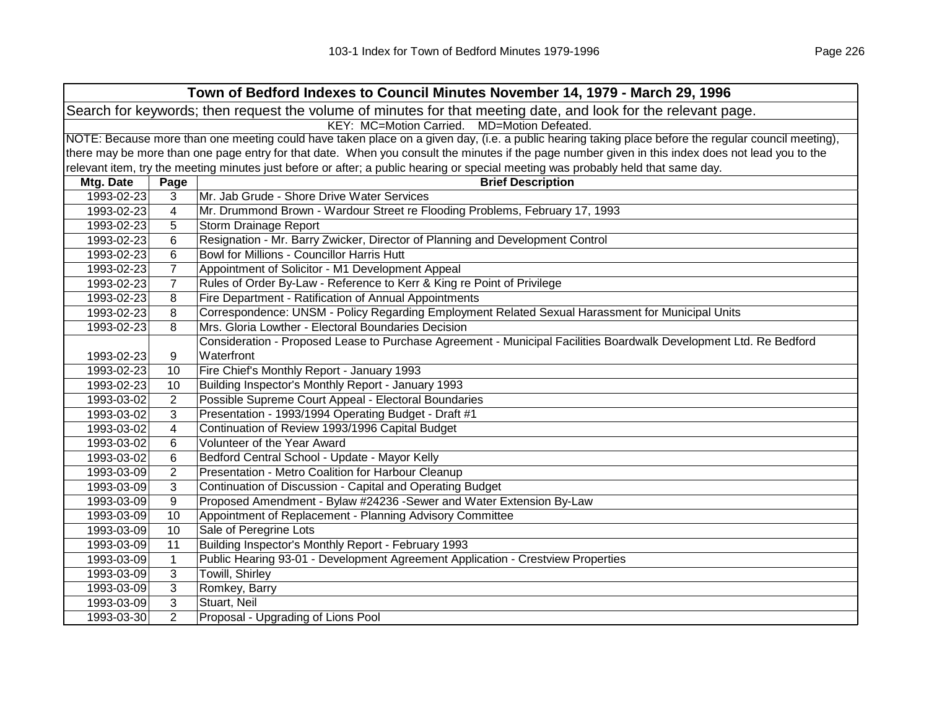| Town of Bedford Indexes to Council Minutes November 14, 1979 - March 29, 1996                                  |                                             |                                                                                                                                                     |  |  |
|----------------------------------------------------------------------------------------------------------------|---------------------------------------------|-----------------------------------------------------------------------------------------------------------------------------------------------------|--|--|
| Search for keywords; then request the volume of minutes for that meeting date, and look for the relevant page. |                                             |                                                                                                                                                     |  |  |
|                                                                                                                | KEY: MC=Motion Carried. MD=Motion Defeated. |                                                                                                                                                     |  |  |
|                                                                                                                |                                             | NOTE: Because more than one meeting could have taken place on a given day, (i.e. a public hearing taking place before the regular council meeting), |  |  |
|                                                                                                                |                                             | there may be more than one page entry for that date. When you consult the minutes if the page number given in this index does not lead you to the   |  |  |
|                                                                                                                |                                             | relevant item, try the meeting minutes just before or after; a public hearing or special meeting was probably held that same day.                   |  |  |
| Mtg. Date                                                                                                      | Page                                        | <b>Brief Description</b>                                                                                                                            |  |  |
| 1993-02-23                                                                                                     | 3                                           | Mr. Jab Grude - Shore Drive Water Services                                                                                                          |  |  |
| 1993-02-23                                                                                                     | $\overline{\mathbf{4}}$                     | Mr. Drummond Brown - Wardour Street re Flooding Problems, February 17, 1993                                                                         |  |  |
| 1993-02-23                                                                                                     | 5                                           | Storm Drainage Report                                                                                                                               |  |  |
| 1993-02-23                                                                                                     | 6                                           | Resignation - Mr. Barry Zwicker, Director of Planning and Development Control                                                                       |  |  |
| 1993-02-23                                                                                                     | 6                                           | Bowl for Millions - Councillor Harris Hutt                                                                                                          |  |  |
| 1993-02-23                                                                                                     | $\overline{7}$                              | Appointment of Solicitor - M1 Development Appeal                                                                                                    |  |  |
| 1993-02-23                                                                                                     | $\overline{7}$                              | Rules of Order By-Law - Reference to Kerr & King re Point of Privilege                                                                              |  |  |
| 1993-02-23                                                                                                     | 8                                           | Fire Department - Ratification of Annual Appointments                                                                                               |  |  |
| 1993-02-23                                                                                                     | 8                                           | Correspondence: UNSM - Policy Regarding Employment Related Sexual Harassment for Municipal Units                                                    |  |  |
| 1993-02-23                                                                                                     | 8                                           | Mrs. Gloria Lowther - Electoral Boundaries Decision                                                                                                 |  |  |
|                                                                                                                |                                             | Consideration - Proposed Lease to Purchase Agreement - Municipal Facilities Boardwalk Development Ltd. Re Bedford                                   |  |  |
| 1993-02-23                                                                                                     | 9                                           | Waterfront                                                                                                                                          |  |  |
| 1993-02-23                                                                                                     | 10                                          | Fire Chief's Monthly Report - January 1993                                                                                                          |  |  |
| 1993-02-23                                                                                                     | 10                                          | Building Inspector's Monthly Report - January 1993                                                                                                  |  |  |
| 1993-03-02                                                                                                     | $\overline{2}$                              | Possible Supreme Court Appeal - Electoral Boundaries                                                                                                |  |  |
| 1993-03-02                                                                                                     | 3                                           | Presentation - 1993/1994 Operating Budget - Draft #1                                                                                                |  |  |
| 1993-03-02                                                                                                     | 4                                           | Continuation of Review 1993/1996 Capital Budget                                                                                                     |  |  |
| 1993-03-02                                                                                                     | 6                                           | Volunteer of the Year Award                                                                                                                         |  |  |
| 1993-03-02                                                                                                     | 6                                           | Bedford Central School - Update - Mayor Kelly                                                                                                       |  |  |
| 1993-03-09                                                                                                     | $\overline{2}$                              | Presentation - Metro Coalition for Harbour Cleanup                                                                                                  |  |  |
| 1993-03-09                                                                                                     | 3                                           | Continuation of Discussion - Capital and Operating Budget                                                                                           |  |  |
| 1993-03-09                                                                                                     | 9                                           | Proposed Amendment - Bylaw #24236 -Sewer and Water Extension By-Law                                                                                 |  |  |
| 1993-03-09                                                                                                     | 10                                          | Appointment of Replacement - Planning Advisory Committee                                                                                            |  |  |
| 1993-03-09                                                                                                     | 10                                          | Sale of Peregrine Lots                                                                                                                              |  |  |
| 1993-03-09                                                                                                     | 11                                          | Building Inspector's Monthly Report - February 1993                                                                                                 |  |  |
| 1993-03-09                                                                                                     | $\mathbf{1}$                                | Public Hearing 93-01 - Development Agreement Application - Crestview Properties                                                                     |  |  |
| 1993-03-09                                                                                                     | 3                                           | Towill, Shirley                                                                                                                                     |  |  |
| 1993-03-09                                                                                                     | 3                                           | Romkey, Barry                                                                                                                                       |  |  |
| 1993-03-09                                                                                                     | 3                                           | Stuart, Neil                                                                                                                                        |  |  |
| 1993-03-30                                                                                                     | $\overline{2}$                              | Proposal - Upgrading of Lions Pool                                                                                                                  |  |  |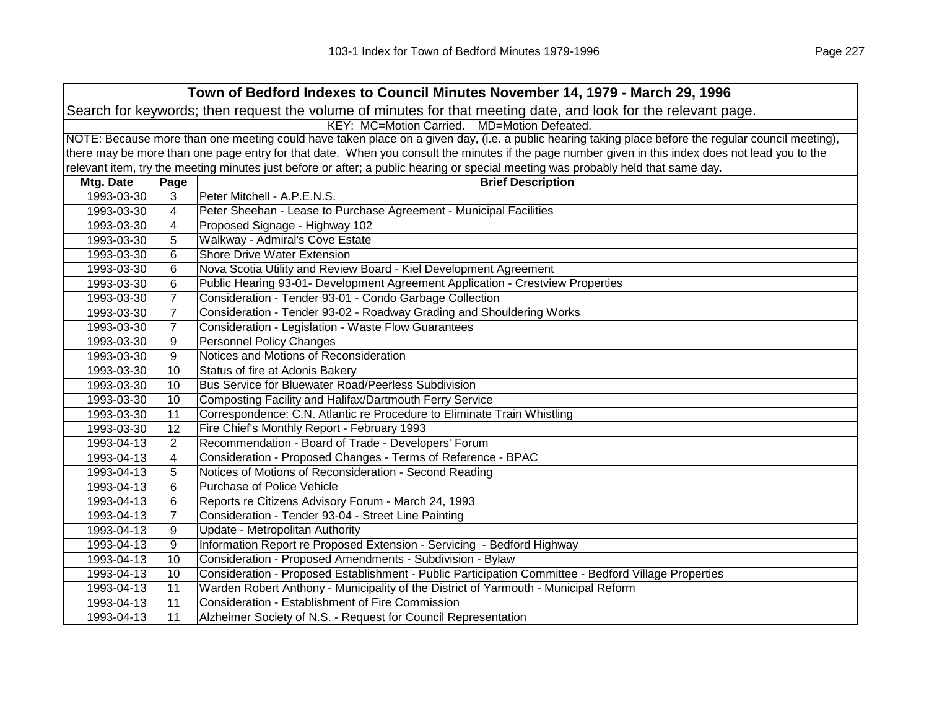| Town of Bedford Indexes to Council Minutes November 14, 1979 - March 29, 1996 |                                                                                                                |                                                                                                                                                     |  |  |
|-------------------------------------------------------------------------------|----------------------------------------------------------------------------------------------------------------|-----------------------------------------------------------------------------------------------------------------------------------------------------|--|--|
|                                                                               | Search for keywords; then request the volume of minutes for that meeting date, and look for the relevant page. |                                                                                                                                                     |  |  |
|                                                                               | KEY: MC=Motion Carried. MD=Motion Defeated.                                                                    |                                                                                                                                                     |  |  |
|                                                                               |                                                                                                                | NOTE: Because more than one meeting could have taken place on a given day, (i.e. a public hearing taking place before the regular council meeting), |  |  |
|                                                                               |                                                                                                                | there may be more than one page entry for that date. When you consult the minutes if the page number given in this index does not lead you to the   |  |  |
|                                                                               |                                                                                                                | relevant item, try the meeting minutes just before or after; a public hearing or special meeting was probably held that same day.                   |  |  |
| Mtg. Date                                                                     | Page                                                                                                           | <b>Brief Description</b>                                                                                                                            |  |  |
| 1993-03-30                                                                    | 3                                                                                                              | Peter Mitchell - A.P.E.N.S.                                                                                                                         |  |  |
| 1993-03-30                                                                    | 4                                                                                                              | Peter Sheehan - Lease to Purchase Agreement - Municipal Facilities                                                                                  |  |  |
| 1993-03-30                                                                    | 4                                                                                                              | Proposed Signage - Highway 102                                                                                                                      |  |  |
| 1993-03-30                                                                    | 5                                                                                                              | Walkway - Admiral's Cove Estate                                                                                                                     |  |  |
| 1993-03-30                                                                    | 6                                                                                                              | <b>Shore Drive Water Extension</b>                                                                                                                  |  |  |
| 1993-03-30                                                                    | 6                                                                                                              | Nova Scotia Utility and Review Board - Kiel Development Agreement                                                                                   |  |  |
| 1993-03-30                                                                    | 6                                                                                                              | Public Hearing 93-01- Development Agreement Application - Crestview Properties                                                                      |  |  |
| 1993-03-30                                                                    | $\overline{7}$                                                                                                 | Consideration - Tender 93-01 - Condo Garbage Collection                                                                                             |  |  |
| 1993-03-30                                                                    | $\overline{7}$                                                                                                 | Consideration - Tender 93-02 - Roadway Grading and Shouldering Works                                                                                |  |  |
| 1993-03-30                                                                    | $\overline{7}$                                                                                                 | Consideration - Legislation - Waste Flow Guarantees                                                                                                 |  |  |
| 1993-03-30                                                                    | 9                                                                                                              | <b>Personnel Policy Changes</b>                                                                                                                     |  |  |
| 1993-03-30                                                                    | 9                                                                                                              | Notices and Motions of Reconsideration                                                                                                              |  |  |
| 1993-03-30                                                                    | 10                                                                                                             | Status of fire at Adonis Bakery                                                                                                                     |  |  |
| 1993-03-30                                                                    | 10                                                                                                             | Bus Service for Bluewater Road/Peerless Subdivision                                                                                                 |  |  |
| 1993-03-30                                                                    | 10                                                                                                             | Composting Facility and Halifax/Dartmouth Ferry Service                                                                                             |  |  |
| 1993-03-30                                                                    | 11                                                                                                             | Correspondence: C.N. Atlantic re Procedure to Eliminate Train Whistling                                                                             |  |  |
| 1993-03-30                                                                    | 12                                                                                                             | Fire Chief's Monthly Report - February 1993                                                                                                         |  |  |
| 1993-04-13                                                                    | $\overline{2}$                                                                                                 | Recommendation - Board of Trade - Developers' Forum                                                                                                 |  |  |
| 1993-04-13                                                                    | 4                                                                                                              | Consideration - Proposed Changes - Terms of Reference - BPAC                                                                                        |  |  |
| 1993-04-13                                                                    | 5                                                                                                              | Notices of Motions of Reconsideration - Second Reading                                                                                              |  |  |
| 1993-04-13                                                                    | 6                                                                                                              | Purchase of Police Vehicle                                                                                                                          |  |  |
| 1993-04-13                                                                    | 6                                                                                                              | Reports re Citizens Advisory Forum - March 24, 1993                                                                                                 |  |  |
| 1993-04-13                                                                    | $\overline{7}$                                                                                                 | Consideration - Tender 93-04 - Street Line Painting                                                                                                 |  |  |
| 1993-04-13                                                                    | 9                                                                                                              | Update - Metropolitan Authority                                                                                                                     |  |  |
| 1993-04-13                                                                    | 9                                                                                                              | Information Report re Proposed Extension - Servicing - Bedford Highway                                                                              |  |  |
| 1993-04-13                                                                    | 10                                                                                                             | Consideration - Proposed Amendments - Subdivision - Bylaw                                                                                           |  |  |
| 1993-04-13                                                                    | 10                                                                                                             | Consideration - Proposed Establishment - Public Participation Committee - Bedford Village Properties                                                |  |  |
| 1993-04-13                                                                    | 11                                                                                                             | Warden Robert Anthony - Municipality of the District of Yarmouth - Municipal Reform                                                                 |  |  |
| 1993-04-13                                                                    | 11                                                                                                             | Consideration - Establishment of Fire Commission                                                                                                    |  |  |
| 1993-04-13                                                                    | 11                                                                                                             | Alzheimer Society of N.S. - Request for Council Representation                                                                                      |  |  |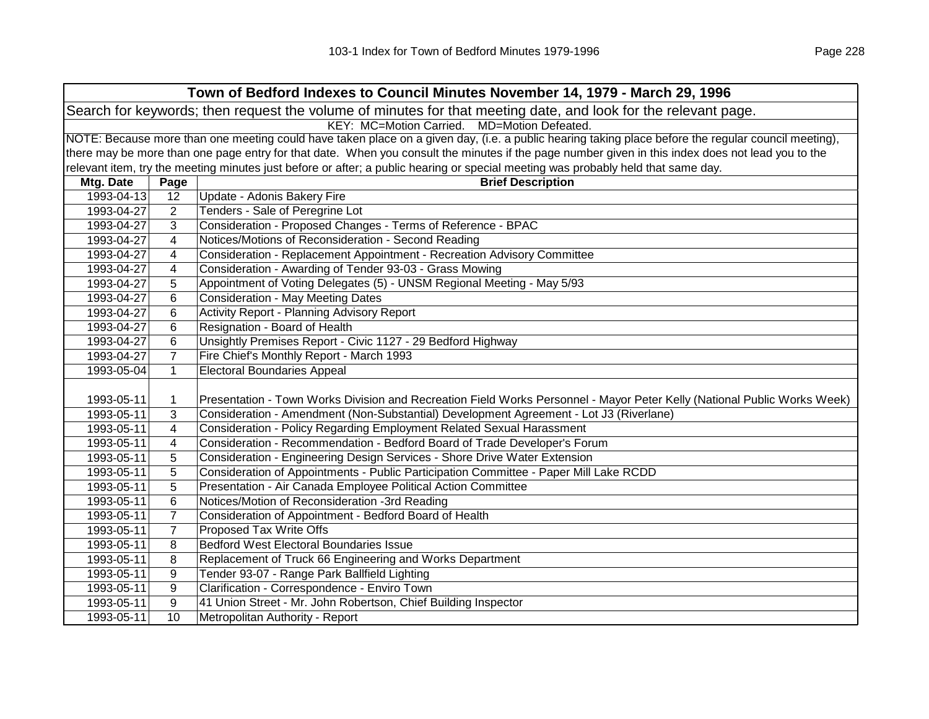| Town of Bedford Indexes to Council Minutes November 14, 1979 - March 29, 1996                                  |                                                                                                                                                     |                                                                                                                                                   |  |  |  |
|----------------------------------------------------------------------------------------------------------------|-----------------------------------------------------------------------------------------------------------------------------------------------------|---------------------------------------------------------------------------------------------------------------------------------------------------|--|--|--|
| Search for keywords; then request the volume of minutes for that meeting date, and look for the relevant page. |                                                                                                                                                     |                                                                                                                                                   |  |  |  |
|                                                                                                                | KEY: MC=Motion Carried. MD=Motion Defeated.                                                                                                         |                                                                                                                                                   |  |  |  |
|                                                                                                                | NOTE: Because more than one meeting could have taken place on a given day, (i.e. a public hearing taking place before the regular council meeting), |                                                                                                                                                   |  |  |  |
|                                                                                                                |                                                                                                                                                     | there may be more than one page entry for that date. When you consult the minutes if the page number given in this index does not lead you to the |  |  |  |
|                                                                                                                |                                                                                                                                                     | relevant item, try the meeting minutes just before or after; a public hearing or special meeting was probably held that same day.                 |  |  |  |
| Mtg. Date                                                                                                      | Page                                                                                                                                                | <b>Brief Description</b>                                                                                                                          |  |  |  |
| 1993-04-13                                                                                                     | 12                                                                                                                                                  | Update - Adonis Bakery Fire                                                                                                                       |  |  |  |
| 1993-04-27                                                                                                     | 2                                                                                                                                                   | Tenders - Sale of Peregrine Lot                                                                                                                   |  |  |  |
| 1993-04-27                                                                                                     | 3                                                                                                                                                   | Consideration - Proposed Changes - Terms of Reference - BPAC                                                                                      |  |  |  |
| 1993-04-27                                                                                                     | 4                                                                                                                                                   | Notices/Motions of Reconsideration - Second Reading                                                                                               |  |  |  |
| 1993-04-27                                                                                                     | 4                                                                                                                                                   | Consideration - Replacement Appointment - Recreation Advisory Committee                                                                           |  |  |  |
| 1993-04-27                                                                                                     | 4                                                                                                                                                   | Consideration - Awarding of Tender 93-03 - Grass Mowing                                                                                           |  |  |  |
| 1993-04-27                                                                                                     | 5                                                                                                                                                   | Appointment of Voting Delegates (5) - UNSM Regional Meeting - May 5/93                                                                            |  |  |  |
| 1993-04-27                                                                                                     | 6                                                                                                                                                   | <b>Consideration - May Meeting Dates</b>                                                                                                          |  |  |  |
| 1993-04-27                                                                                                     | 6                                                                                                                                                   | Activity Report - Planning Advisory Report                                                                                                        |  |  |  |
| 1993-04-27                                                                                                     | 6                                                                                                                                                   | Resignation - Board of Health                                                                                                                     |  |  |  |
| 1993-04-27                                                                                                     | 6                                                                                                                                                   | Unsightly Premises Report - Civic 1127 - 29 Bedford Highway                                                                                       |  |  |  |
| 1993-04-27                                                                                                     | $\overline{7}$                                                                                                                                      | Fire Chief's Monthly Report - March 1993                                                                                                          |  |  |  |
| 1993-05-04                                                                                                     | $\mathbf{1}$                                                                                                                                        | <b>Electoral Boundaries Appeal</b>                                                                                                                |  |  |  |
|                                                                                                                |                                                                                                                                                     |                                                                                                                                                   |  |  |  |
| 1993-05-11                                                                                                     | 1                                                                                                                                                   | Presentation - Town Works Division and Recreation Field Works Personnel - Mayor Peter Kelly (National Public Works Week)                          |  |  |  |
| 1993-05-11                                                                                                     | 3                                                                                                                                                   | Consideration - Amendment (Non-Substantial) Development Agreement - Lot J3 (Riverlane)                                                            |  |  |  |
| 1993-05-11                                                                                                     | 4                                                                                                                                                   | Consideration - Policy Regarding Employment Related Sexual Harassment                                                                             |  |  |  |
| 1993-05-11                                                                                                     | 4                                                                                                                                                   | Consideration - Recommendation - Bedford Board of Trade Developer's Forum                                                                         |  |  |  |
| 1993-05-11                                                                                                     | 5                                                                                                                                                   | Consideration - Engineering Design Services - Shore Drive Water Extension                                                                         |  |  |  |
| 1993-05-11                                                                                                     | 5                                                                                                                                                   | Consideration of Appointments - Public Participation Committee - Paper Mill Lake RCDD                                                             |  |  |  |
| 1993-05-11                                                                                                     | 5                                                                                                                                                   | Presentation - Air Canada Employee Political Action Committee                                                                                     |  |  |  |
| 1993-05-11                                                                                                     | 6                                                                                                                                                   | Notices/Motion of Reconsideration -3rd Reading                                                                                                    |  |  |  |
| 1993-05-11                                                                                                     | $\overline{7}$                                                                                                                                      | Consideration of Appointment - Bedford Board of Health                                                                                            |  |  |  |
| 1993-05-11                                                                                                     | $\overline{7}$                                                                                                                                      | Proposed Tax Write Offs                                                                                                                           |  |  |  |
| 1993-05-11                                                                                                     | 8                                                                                                                                                   | <b>Bedford West Electoral Boundaries Issue</b>                                                                                                    |  |  |  |
| 1993-05-11                                                                                                     | 8                                                                                                                                                   | Replacement of Truck 66 Engineering and Works Department                                                                                          |  |  |  |
| 1993-05-11                                                                                                     | 9                                                                                                                                                   | Tender 93-07 - Range Park Ballfield Lighting                                                                                                      |  |  |  |
| 1993-05-11                                                                                                     | 9                                                                                                                                                   | Clarification - Correspondence - Enviro Town                                                                                                      |  |  |  |
| 1993-05-11                                                                                                     | 9                                                                                                                                                   | 41 Union Street - Mr. John Robertson, Chief Building Inspector                                                                                    |  |  |  |
| 1993-05-11                                                                                                     | 10                                                                                                                                                  | Metropolitan Authority - Report                                                                                                                   |  |  |  |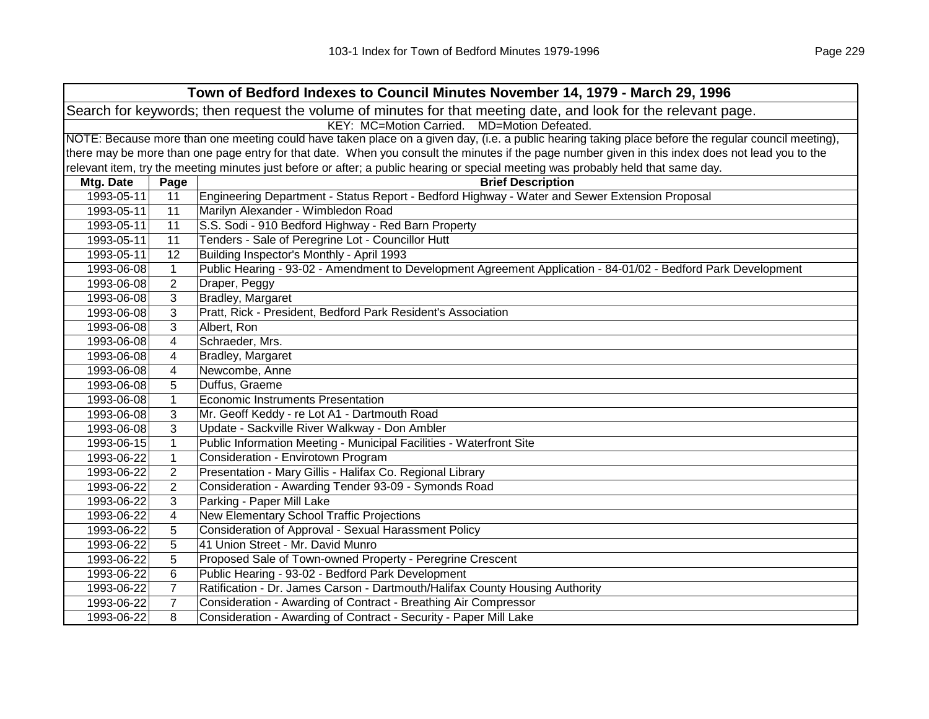|            | Town of Bedford Indexes to Council Minutes November 14, 1979 - March 29, 1996                                                                       |                                                                                                                                                   |  |  |
|------------|-----------------------------------------------------------------------------------------------------------------------------------------------------|---------------------------------------------------------------------------------------------------------------------------------------------------|--|--|
|            | Search for keywords; then request the volume of minutes for that meeting date, and look for the relevant page.                                      |                                                                                                                                                   |  |  |
|            |                                                                                                                                                     | KEY: MC=Motion Carried. MD=Motion Defeated.                                                                                                       |  |  |
|            | NOTE: Because more than one meeting could have taken place on a given day, (i.e. a public hearing taking place before the regular council meeting), |                                                                                                                                                   |  |  |
|            |                                                                                                                                                     | there may be more than one page entry for that date. When you consult the minutes if the page number given in this index does not lead you to the |  |  |
|            |                                                                                                                                                     | relevant item, try the meeting minutes just before or after; a public hearing or special meeting was probably held that same day.                 |  |  |
| Mtg. Date  | Page                                                                                                                                                | <b>Brief Description</b>                                                                                                                          |  |  |
| 1993-05-11 | 11                                                                                                                                                  | Engineering Department - Status Report - Bedford Highway - Water and Sewer Extension Proposal                                                     |  |  |
| 1993-05-11 | 11                                                                                                                                                  | Marilyn Alexander - Wimbledon Road                                                                                                                |  |  |
| 1993-05-11 | 11                                                                                                                                                  | S.S. Sodi - 910 Bedford Highway - Red Barn Property                                                                                               |  |  |
| 1993-05-11 | 11                                                                                                                                                  | Tenders - Sale of Peregrine Lot - Councillor Hutt                                                                                                 |  |  |
| 1993-05-11 | 12                                                                                                                                                  | Building Inspector's Monthly - April 1993                                                                                                         |  |  |
| 1993-06-08 | $\mathbf{1}$                                                                                                                                        | Public Hearing - 93-02 - Amendment to Development Agreement Application - 84-01/02 - Bedford Park Development                                     |  |  |
| 1993-06-08 | $\overline{2}$                                                                                                                                      | Draper, Peggy                                                                                                                                     |  |  |
| 1993-06-08 | 3                                                                                                                                                   | <b>Bradley, Margaret</b>                                                                                                                          |  |  |
| 1993-06-08 | 3                                                                                                                                                   | Pratt, Rick - President, Bedford Park Resident's Association                                                                                      |  |  |
| 1993-06-08 | 3                                                                                                                                                   | Albert, Ron                                                                                                                                       |  |  |
| 1993-06-08 | 4                                                                                                                                                   | Schraeder, Mrs.                                                                                                                                   |  |  |
| 1993-06-08 | 4                                                                                                                                                   | Bradley, Margaret                                                                                                                                 |  |  |
| 1993-06-08 | 4                                                                                                                                                   | Newcombe, Anne                                                                                                                                    |  |  |
| 1993-06-08 | 5                                                                                                                                                   | Duffus, Graeme                                                                                                                                    |  |  |
| 1993-06-08 | $\mathbf{1}$                                                                                                                                        | Economic Instruments Presentation                                                                                                                 |  |  |
| 1993-06-08 | 3                                                                                                                                                   | Mr. Geoff Keddy - re Lot A1 - Dartmouth Road                                                                                                      |  |  |
| 1993-06-08 | 3                                                                                                                                                   | Update - Sackville River Walkway - Don Ambler                                                                                                     |  |  |
| 1993-06-15 | $\mathbf{1}$                                                                                                                                        | Public Information Meeting - Municipal Facilities - Waterfront Site                                                                               |  |  |
| 1993-06-22 | $\mathbf{1}$                                                                                                                                        | Consideration - Envirotown Program                                                                                                                |  |  |
| 1993-06-22 | 2                                                                                                                                                   | Presentation - Mary Gillis - Halifax Co. Regional Library                                                                                         |  |  |
| 1993-06-22 | 2                                                                                                                                                   | Consideration - Awarding Tender 93-09 - Symonds Road                                                                                              |  |  |
| 1993-06-22 | 3                                                                                                                                                   | Parking - Paper Mill Lake                                                                                                                         |  |  |
| 1993-06-22 | 4                                                                                                                                                   | <b>New Elementary School Traffic Projections</b>                                                                                                  |  |  |
| 1993-06-22 | 5                                                                                                                                                   | Consideration of Approval - Sexual Harassment Policy                                                                                              |  |  |
| 1993-06-22 | 5                                                                                                                                                   | 41 Union Street - Mr. David Munro                                                                                                                 |  |  |
| 1993-06-22 | 5                                                                                                                                                   | Proposed Sale of Town-owned Property - Peregrine Crescent                                                                                         |  |  |
| 1993-06-22 | 6                                                                                                                                                   | Public Hearing - 93-02 - Bedford Park Development                                                                                                 |  |  |
| 1993-06-22 | $\overline{7}$                                                                                                                                      | Ratification - Dr. James Carson - Dartmouth/Halifax County Housing Authority                                                                      |  |  |
| 1993-06-22 | $\overline{7}$                                                                                                                                      | Consideration - Awarding of Contract - Breathing Air Compressor                                                                                   |  |  |
| 1993-06-22 | 8                                                                                                                                                   | Consideration - Awarding of Contract - Security - Paper Mill Lake                                                                                 |  |  |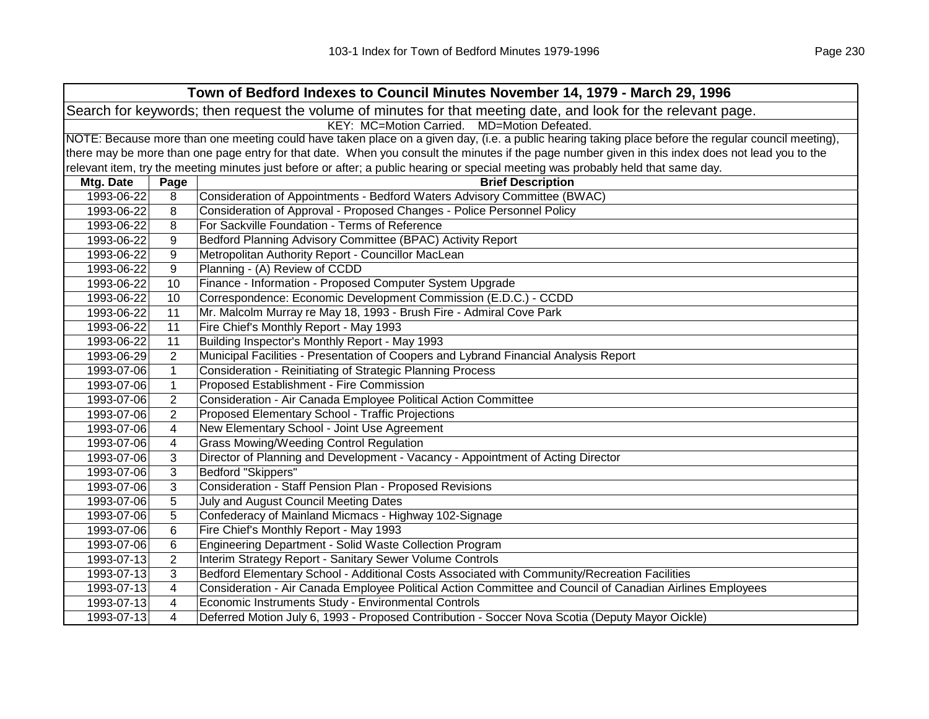| Town of Bedford Indexes to Council Minutes November 14, 1979 - March 29, 1996                                  |                                                                                                                                                     |                                                                                                                                                   |  |  |
|----------------------------------------------------------------------------------------------------------------|-----------------------------------------------------------------------------------------------------------------------------------------------------|---------------------------------------------------------------------------------------------------------------------------------------------------|--|--|
| Search for keywords; then request the volume of minutes for that meeting date, and look for the relevant page. |                                                                                                                                                     |                                                                                                                                                   |  |  |
|                                                                                                                | KEY: MC=Motion Carried. MD=Motion Defeated.                                                                                                         |                                                                                                                                                   |  |  |
|                                                                                                                | NOTE: Because more than one meeting could have taken place on a given day, (i.e. a public hearing taking place before the regular council meeting), |                                                                                                                                                   |  |  |
|                                                                                                                |                                                                                                                                                     | there may be more than one page entry for that date. When you consult the minutes if the page number given in this index does not lead you to the |  |  |
|                                                                                                                |                                                                                                                                                     | relevant item, try the meeting minutes just before or after; a public hearing or special meeting was probably held that same day.                 |  |  |
| Mtg. Date                                                                                                      | Page                                                                                                                                                | <b>Brief Description</b>                                                                                                                          |  |  |
| 1993-06-22                                                                                                     | 8                                                                                                                                                   | Consideration of Appointments - Bedford Waters Advisory Committee (BWAC)                                                                          |  |  |
| 1993-06-22                                                                                                     | 8                                                                                                                                                   | Consideration of Approval - Proposed Changes - Police Personnel Policy                                                                            |  |  |
| 1993-06-22                                                                                                     | 8                                                                                                                                                   | For Sackville Foundation - Terms of Reference                                                                                                     |  |  |
| 1993-06-22                                                                                                     | 9                                                                                                                                                   | Bedford Planning Advisory Committee (BPAC) Activity Report                                                                                        |  |  |
| 1993-06-22                                                                                                     | 9                                                                                                                                                   | Metropolitan Authority Report - Councillor MacLean                                                                                                |  |  |
| 1993-06-22                                                                                                     | 9                                                                                                                                                   | Planning - (A) Review of CCDD                                                                                                                     |  |  |
| 1993-06-22                                                                                                     | 10                                                                                                                                                  | Finance - Information - Proposed Computer System Upgrade                                                                                          |  |  |
| 1993-06-22                                                                                                     | 10                                                                                                                                                  | Correspondence: Economic Development Commission (E.D.C.) - CCDD                                                                                   |  |  |
| 1993-06-22                                                                                                     | 11                                                                                                                                                  | Mr. Malcolm Murray re May 18, 1993 - Brush Fire - Admiral Cove Park                                                                               |  |  |
| 1993-06-22                                                                                                     | 11                                                                                                                                                  | Fire Chief's Monthly Report - May 1993                                                                                                            |  |  |
| 1993-06-22                                                                                                     | 11                                                                                                                                                  | Building Inspector's Monthly Report - May 1993                                                                                                    |  |  |
| 1993-06-29                                                                                                     | $\overline{2}$                                                                                                                                      | Municipal Facilities - Presentation of Coopers and Lybrand Financial Analysis Report                                                              |  |  |
| 1993-07-06                                                                                                     | $\mathbf{1}$                                                                                                                                        | Consideration - Reinitiating of Strategic Planning Process                                                                                        |  |  |
| 1993-07-06                                                                                                     | $\mathbf{1}$                                                                                                                                        | Proposed Establishment - Fire Commission                                                                                                          |  |  |
| 1993-07-06                                                                                                     | $\overline{2}$                                                                                                                                      | Consideration - Air Canada Employee Political Action Committee                                                                                    |  |  |
| 1993-07-06                                                                                                     | $\overline{2}$                                                                                                                                      | Proposed Elementary School - Traffic Projections                                                                                                  |  |  |
| 1993-07-06                                                                                                     | 4                                                                                                                                                   | New Elementary School - Joint Use Agreement                                                                                                       |  |  |
| 1993-07-06                                                                                                     | 4                                                                                                                                                   | <b>Grass Mowing/Weeding Control Regulation</b>                                                                                                    |  |  |
| 1993-07-06                                                                                                     | 3                                                                                                                                                   | Director of Planning and Development - Vacancy - Appointment of Acting Director                                                                   |  |  |
| 1993-07-06                                                                                                     | 3                                                                                                                                                   | Bedford "Skippers"                                                                                                                                |  |  |
| 1993-07-06                                                                                                     | $\mathbf{3}$                                                                                                                                        | Consideration - Staff Pension Plan - Proposed Revisions                                                                                           |  |  |
| 1993-07-06                                                                                                     | 5                                                                                                                                                   | July and August Council Meeting Dates                                                                                                             |  |  |
| 1993-07-06                                                                                                     | 5                                                                                                                                                   | Confederacy of Mainland Micmacs - Highway 102-Signage                                                                                             |  |  |
| 1993-07-06                                                                                                     | 6                                                                                                                                                   | Fire Chief's Monthly Report - May 1993                                                                                                            |  |  |
| 1993-07-06                                                                                                     | 6                                                                                                                                                   | Engineering Department - Solid Waste Collection Program                                                                                           |  |  |
| 1993-07-13                                                                                                     | $\overline{2}$                                                                                                                                      | Interim Strategy Report - Sanitary Sewer Volume Controls                                                                                          |  |  |
| 1993-07-13                                                                                                     | 3                                                                                                                                                   | Bedford Elementary School - Additional Costs Associated with Community/Recreation Facilities                                                      |  |  |
| 1993-07-13                                                                                                     | 4                                                                                                                                                   | Consideration - Air Canada Employee Political Action Committee and Council of Canadian Airlines Employees                                         |  |  |
| 1993-07-13                                                                                                     | 4                                                                                                                                                   | Economic Instruments Study - Environmental Controls                                                                                               |  |  |
| 1993-07-13                                                                                                     | 4                                                                                                                                                   | Deferred Motion July 6, 1993 - Proposed Contribution - Soccer Nova Scotia (Deputy Mayor Oickle)                                                   |  |  |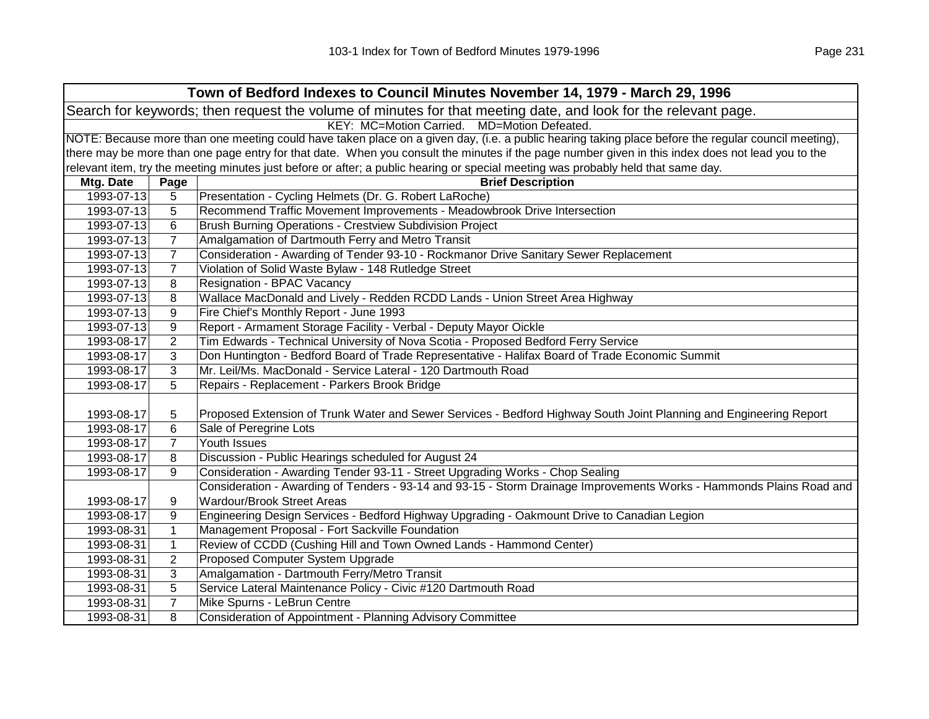|            | Town of Bedford Indexes to Council Minutes November 14, 1979 - March 29, 1996                                  |                                                                                                                                                     |  |  |  |
|------------|----------------------------------------------------------------------------------------------------------------|-----------------------------------------------------------------------------------------------------------------------------------------------------|--|--|--|
|            | Search for keywords; then request the volume of minutes for that meeting date, and look for the relevant page. |                                                                                                                                                     |  |  |  |
|            | KEY: MC=Motion Carried. MD=Motion Defeated.                                                                    |                                                                                                                                                     |  |  |  |
|            |                                                                                                                | NOTE: Because more than one meeting could have taken place on a given day, (i.e. a public hearing taking place before the regular council meeting), |  |  |  |
|            |                                                                                                                | there may be more than one page entry for that date. When you consult the minutes if the page number given in this index does not lead you to the   |  |  |  |
|            |                                                                                                                | relevant item, try the meeting minutes just before or after; a public hearing or special meeting was probably held that same day.                   |  |  |  |
| Mtg. Date  | Page                                                                                                           | <b>Brief Description</b>                                                                                                                            |  |  |  |
| 1993-07-13 | 5                                                                                                              | Presentation - Cycling Helmets (Dr. G. Robert LaRoche)                                                                                              |  |  |  |
| 1993-07-13 | 5                                                                                                              | Recommend Traffic Movement Improvements - Meadowbrook Drive Intersection                                                                            |  |  |  |
| 1993-07-13 | 6                                                                                                              | <b>Brush Burning Operations - Crestview Subdivision Project</b>                                                                                     |  |  |  |
| 1993-07-13 | $\overline{7}$                                                                                                 | Amalgamation of Dartmouth Ferry and Metro Transit                                                                                                   |  |  |  |
| 1993-07-13 | $\overline{7}$                                                                                                 | Consideration - Awarding of Tender 93-10 - Rockmanor Drive Sanitary Sewer Replacement                                                               |  |  |  |
| 1993-07-13 | $\overline{7}$                                                                                                 | Violation of Solid Waste Bylaw - 148 Rutledge Street                                                                                                |  |  |  |
| 1993-07-13 | 8                                                                                                              | Resignation - BPAC Vacancy                                                                                                                          |  |  |  |
| 1993-07-13 | 8                                                                                                              | Wallace MacDonald and Lively - Redden RCDD Lands - Union Street Area Highway                                                                        |  |  |  |
| 1993-07-13 | 9                                                                                                              | Fire Chief's Monthly Report - June 1993                                                                                                             |  |  |  |
| 1993-07-13 | 9                                                                                                              | Report - Armament Storage Facility - Verbal - Deputy Mayor Oickle                                                                                   |  |  |  |
| 1993-08-17 | 2                                                                                                              | Tim Edwards - Technical University of Nova Scotia - Proposed Bedford Ferry Service                                                                  |  |  |  |
| 1993-08-17 | 3                                                                                                              | Don Huntington - Bedford Board of Trade Representative - Halifax Board of Trade Economic Summit                                                     |  |  |  |
| 1993-08-17 | 3                                                                                                              | Mr. Leil/Ms. MacDonald - Service Lateral - 120 Dartmouth Road                                                                                       |  |  |  |
| 1993-08-17 | 5                                                                                                              | Repairs - Replacement - Parkers Brook Bridge                                                                                                        |  |  |  |
|            |                                                                                                                |                                                                                                                                                     |  |  |  |
| 1993-08-17 | 5                                                                                                              | Proposed Extension of Trunk Water and Sewer Services - Bedford Highway South Joint Planning and Engineering Report                                  |  |  |  |
| 1993-08-17 | 6                                                                                                              | Sale of Peregrine Lots                                                                                                                              |  |  |  |
| 1993-08-17 | $\overline{7}$                                                                                                 | Youth Issues                                                                                                                                        |  |  |  |
| 1993-08-17 | 8                                                                                                              | Discussion - Public Hearings scheduled for August 24                                                                                                |  |  |  |
| 1993-08-17 | 9                                                                                                              | Consideration - Awarding Tender 93-11 - Street Upgrading Works - Chop Sealing                                                                       |  |  |  |
|            |                                                                                                                | Consideration - Awarding of Tenders - 93-14 and 93-15 - Storm Drainage Improvements Works - Hammonds Plains Road and                                |  |  |  |
| 1993-08-17 | 9                                                                                                              | Wardour/Brook Street Areas                                                                                                                          |  |  |  |
| 1993-08-17 | 9                                                                                                              | Engineering Design Services - Bedford Highway Upgrading - Oakmount Drive to Canadian Legion                                                         |  |  |  |
| 1993-08-31 | $\mathbf{1}$                                                                                                   | Management Proposal - Fort Sackville Foundation                                                                                                     |  |  |  |
| 1993-08-31 | $\mathbf{1}$                                                                                                   | Review of CCDD (Cushing Hill and Town Owned Lands - Hammond Center)                                                                                 |  |  |  |
| 1993-08-31 | $\overline{2}$                                                                                                 | Proposed Computer System Upgrade                                                                                                                    |  |  |  |
| 1993-08-31 | 3                                                                                                              | Amalgamation - Dartmouth Ferry/Metro Transit                                                                                                        |  |  |  |
| 1993-08-31 | 5                                                                                                              | Service Lateral Maintenance Policy - Civic #120 Dartmouth Road                                                                                      |  |  |  |
| 1993-08-31 | $\overline{7}$                                                                                                 | Mike Spurns - LeBrun Centre                                                                                                                         |  |  |  |
| 1993-08-31 | 8                                                                                                              | Consideration of Appointment - Planning Advisory Committee                                                                                          |  |  |  |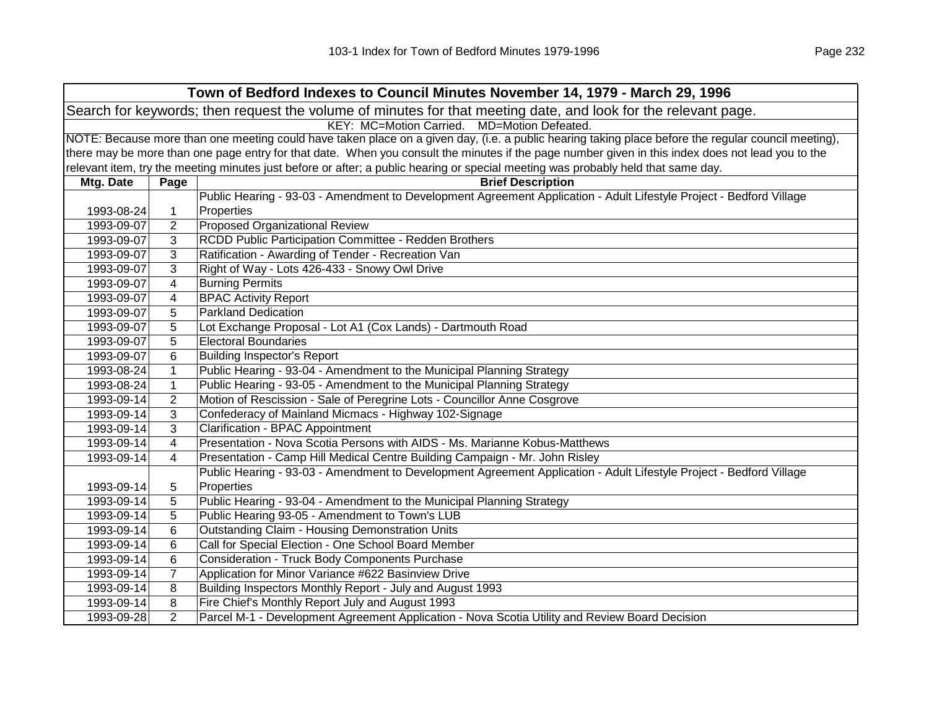|            | Town of Bedford Indexes to Council Minutes November 14, 1979 - March 29, 1996                                  |                                                                                                                                                     |  |
|------------|----------------------------------------------------------------------------------------------------------------|-----------------------------------------------------------------------------------------------------------------------------------------------------|--|
|            | Search for keywords; then request the volume of minutes for that meeting date, and look for the relevant page. |                                                                                                                                                     |  |
|            |                                                                                                                | KEY: MC=Motion Carried. MD=Motion Defeated.                                                                                                         |  |
|            |                                                                                                                | NOTE: Because more than one meeting could have taken place on a given day, (i.e. a public hearing taking place before the regular council meeting), |  |
|            |                                                                                                                | there may be more than one page entry for that date. When you consult the minutes if the page number given in this index does not lead you to the   |  |
|            |                                                                                                                | relevant item, try the meeting minutes just before or after; a public hearing or special meeting was probably held that same day.                   |  |
| Mtg. Date  | Page                                                                                                           | <b>Brief Description</b>                                                                                                                            |  |
|            |                                                                                                                | Public Hearing - 93-03 - Amendment to Development Agreement Application - Adult Lifestyle Project - Bedford Village                                 |  |
| 1993-08-24 | 1                                                                                                              | Properties                                                                                                                                          |  |
| 1993-09-07 | 2                                                                                                              | <b>Proposed Organizational Review</b>                                                                                                               |  |
| 1993-09-07 | 3                                                                                                              | RCDD Public Participation Committee - Redden Brothers                                                                                               |  |
| 1993-09-07 | 3                                                                                                              | Ratification - Awarding of Tender - Recreation Van                                                                                                  |  |
| 1993-09-07 | 3                                                                                                              | Right of Way - Lots 426-433 - Snowy Owl Drive                                                                                                       |  |
| 1993-09-07 | 4                                                                                                              | <b>Burning Permits</b>                                                                                                                              |  |
| 1993-09-07 | 4                                                                                                              | <b>BPAC Activity Report</b>                                                                                                                         |  |
| 1993-09-07 | 5                                                                                                              | <b>Parkland Dedication</b>                                                                                                                          |  |
| 1993-09-07 | 5                                                                                                              | Lot Exchange Proposal - Lot A1 (Cox Lands) - Dartmouth Road                                                                                         |  |
| 1993-09-07 | 5                                                                                                              | <b>Electoral Boundaries</b>                                                                                                                         |  |
| 1993-09-07 | 6                                                                                                              | <b>Building Inspector's Report</b>                                                                                                                  |  |
| 1993-08-24 | $\mathbf{1}$                                                                                                   | Public Hearing - 93-04 - Amendment to the Municipal Planning Strategy                                                                               |  |
| 1993-08-24 | $\mathbf 1$                                                                                                    | Public Hearing - 93-05 - Amendment to the Municipal Planning Strategy                                                                               |  |
| 1993-09-14 | $\overline{2}$                                                                                                 | Motion of Rescission - Sale of Peregrine Lots - Councillor Anne Cosgrove                                                                            |  |
| 1993-09-14 | 3                                                                                                              | Confederacy of Mainland Micmacs - Highway 102-Signage                                                                                               |  |
| 1993-09-14 | 3                                                                                                              | <b>Clarification - BPAC Appointment</b>                                                                                                             |  |
| 1993-09-14 | 4                                                                                                              | Presentation - Nova Scotia Persons with AIDS - Ms. Marianne Kobus-Matthews                                                                          |  |
| 1993-09-14 | 4                                                                                                              | Presentation - Camp Hill Medical Centre Building Campaign - Mr. John Risley                                                                         |  |
|            |                                                                                                                | Public Hearing - 93-03 - Amendment to Development Agreement Application - Adult Lifestyle Project - Bedford Village                                 |  |
| 1993-09-14 | 5                                                                                                              | Properties                                                                                                                                          |  |
| 1993-09-14 | 5                                                                                                              | Public Hearing - 93-04 - Amendment to the Municipal Planning Strategy                                                                               |  |
| 1993-09-14 | 5                                                                                                              | Public Hearing 93-05 - Amendment to Town's LUB                                                                                                      |  |
| 1993-09-14 | 6                                                                                                              | <b>Outstanding Claim - Housing Demonstration Units</b>                                                                                              |  |
| 1993-09-14 | 6                                                                                                              | Call for Special Election - One School Board Member                                                                                                 |  |
| 1993-09-14 | 6                                                                                                              | <b>Consideration - Truck Body Components Purchase</b>                                                                                               |  |
| 1993-09-14 | $\overline{7}$                                                                                                 | Application for Minor Variance #622 Basinview Drive                                                                                                 |  |
| 1993-09-14 | 8                                                                                                              | Building Inspectors Monthly Report - July and August 1993                                                                                           |  |
| 1993-09-14 | 8                                                                                                              | Fire Chief's Monthly Report July and August 1993                                                                                                    |  |
| 1993-09-28 | $\overline{2}$                                                                                                 | Parcel M-1 - Development Agreement Application - Nova Scotia Utility and Review Board Decision                                                      |  |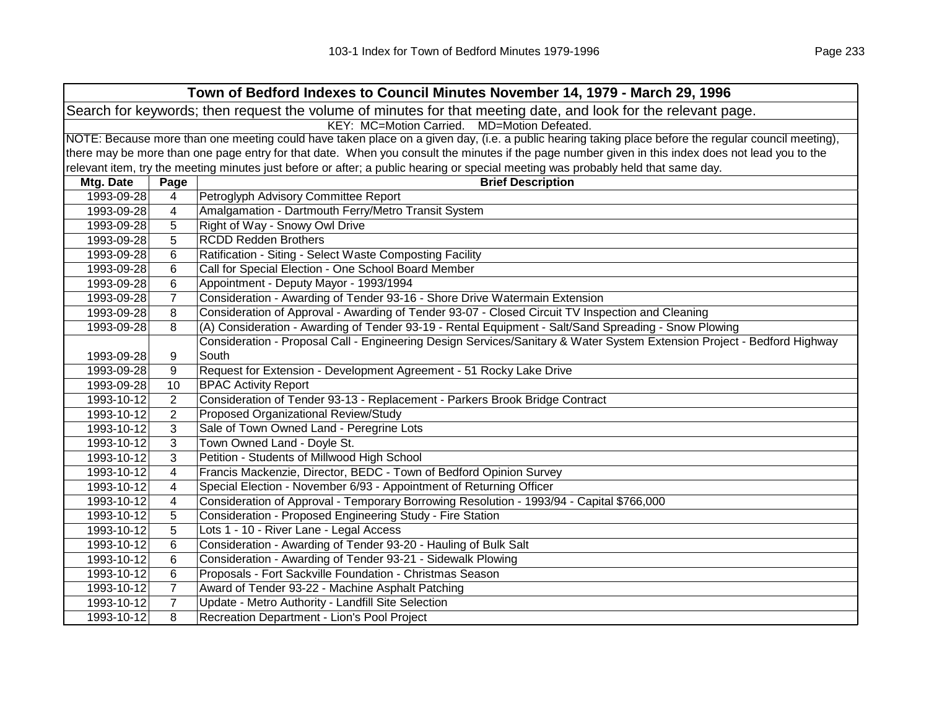| Town of Bedford Indexes to Council Minutes November 14, 1979 - March 29, 1996 |                                                                                                                                                     |                                                                                                                                                   |  |  |  |
|-------------------------------------------------------------------------------|-----------------------------------------------------------------------------------------------------------------------------------------------------|---------------------------------------------------------------------------------------------------------------------------------------------------|--|--|--|
|                                                                               | Search for keywords; then request the volume of minutes for that meeting date, and look for the relevant page.                                      |                                                                                                                                                   |  |  |  |
|                                                                               |                                                                                                                                                     | KEY: MC=Motion Carried. MD=Motion Defeated.                                                                                                       |  |  |  |
|                                                                               | NOTE: Because more than one meeting could have taken place on a given day, (i.e. a public hearing taking place before the regular council meeting), |                                                                                                                                                   |  |  |  |
|                                                                               |                                                                                                                                                     | there may be more than one page entry for that date. When you consult the minutes if the page number given in this index does not lead you to the |  |  |  |
|                                                                               |                                                                                                                                                     | relevant item, try the meeting minutes just before or after; a public hearing or special meeting was probably held that same day.                 |  |  |  |
| Mtg. Date                                                                     | Page                                                                                                                                                | <b>Brief Description</b>                                                                                                                          |  |  |  |
| 1993-09-28                                                                    | 4                                                                                                                                                   | Petroglyph Advisory Committee Report                                                                                                              |  |  |  |
| 1993-09-28                                                                    | 4                                                                                                                                                   | Amalgamation - Dartmouth Ferry/Metro Transit System                                                                                               |  |  |  |
| 1993-09-28                                                                    | 5                                                                                                                                                   | Right of Way - Snowy Owl Drive                                                                                                                    |  |  |  |
| 1993-09-28                                                                    | 5                                                                                                                                                   | <b>RCDD Redden Brothers</b>                                                                                                                       |  |  |  |
| 1993-09-28                                                                    | 6                                                                                                                                                   | Ratification - Siting - Select Waste Composting Facility                                                                                          |  |  |  |
| 1993-09-28                                                                    | 6                                                                                                                                                   | Call for Special Election - One School Board Member                                                                                               |  |  |  |
| 1993-09-28                                                                    | 6                                                                                                                                                   | Appointment - Deputy Mayor - 1993/1994                                                                                                            |  |  |  |
| 1993-09-28                                                                    | 7                                                                                                                                                   | Consideration - Awarding of Tender 93-16 - Shore Drive Watermain Extension                                                                        |  |  |  |
| 1993-09-28                                                                    | 8                                                                                                                                                   | Consideration of Approval - Awarding of Tender 93-07 - Closed Circuit TV Inspection and Cleaning                                                  |  |  |  |
| 1993-09-28                                                                    | 8                                                                                                                                                   | (A) Consideration - Awarding of Tender 93-19 - Rental Equipment - Salt/Sand Spreading - Snow Plowing                                              |  |  |  |
|                                                                               |                                                                                                                                                     | Consideration - Proposal Call - Engineering Design Services/Sanitary & Water System Extension Project - Bedford Highway                           |  |  |  |
| 1993-09-28                                                                    | 9                                                                                                                                                   | South                                                                                                                                             |  |  |  |
| 1993-09-28                                                                    | 9                                                                                                                                                   | Request for Extension - Development Agreement - 51 Rocky Lake Drive                                                                               |  |  |  |
| 1993-09-28                                                                    | 10                                                                                                                                                  | <b>BPAC Activity Report</b>                                                                                                                       |  |  |  |
| 1993-10-12                                                                    | 2                                                                                                                                                   | Consideration of Tender 93-13 - Replacement - Parkers Brook Bridge Contract                                                                       |  |  |  |
| 1993-10-12                                                                    | $\overline{2}$                                                                                                                                      | Proposed Organizational Review/Study                                                                                                              |  |  |  |
| 1993-10-12                                                                    | 3                                                                                                                                                   | Sale of Town Owned Land - Peregrine Lots                                                                                                          |  |  |  |
| 1993-10-12                                                                    | 3                                                                                                                                                   | Town Owned Land - Doyle St.                                                                                                                       |  |  |  |
| 1993-10-12                                                                    | 3                                                                                                                                                   | Petition - Students of Millwood High School                                                                                                       |  |  |  |
| 1993-10-12                                                                    | 4                                                                                                                                                   | Francis Mackenzie, Director, BEDC - Town of Bedford Opinion Survey                                                                                |  |  |  |
| 1993-10-12                                                                    | 4                                                                                                                                                   | Special Election - November 6/93 - Appointment of Returning Officer                                                                               |  |  |  |
| 1993-10-12                                                                    | 4                                                                                                                                                   | Consideration of Approval - Temporary Borrowing Resolution - 1993/94 - Capital \$766,000                                                          |  |  |  |
| 1993-10-12                                                                    | 5                                                                                                                                                   | Consideration - Proposed Engineering Study - Fire Station                                                                                         |  |  |  |
| 1993-10-12                                                                    | 5                                                                                                                                                   | Lots 1 - 10 - River Lane - Legal Access                                                                                                           |  |  |  |
| 1993-10-12                                                                    | 6                                                                                                                                                   | Consideration - Awarding of Tender 93-20 - Hauling of Bulk Salt                                                                                   |  |  |  |
| 1993-10-12                                                                    | 6                                                                                                                                                   | Consideration - Awarding of Tender 93-21 - Sidewalk Plowing                                                                                       |  |  |  |
| 1993-10-12                                                                    | 6                                                                                                                                                   | Proposals - Fort Sackville Foundation - Christmas Season                                                                                          |  |  |  |
| 1993-10-12                                                                    | $\overline{7}$                                                                                                                                      | Award of Tender 93-22 - Machine Asphalt Patching                                                                                                  |  |  |  |
| 1993-10-12                                                                    | $\overline{7}$                                                                                                                                      | Update - Metro Authority - Landfill Site Selection                                                                                                |  |  |  |
| 1993-10-12                                                                    | 8                                                                                                                                                   | Recreation Department - Lion's Pool Project                                                                                                       |  |  |  |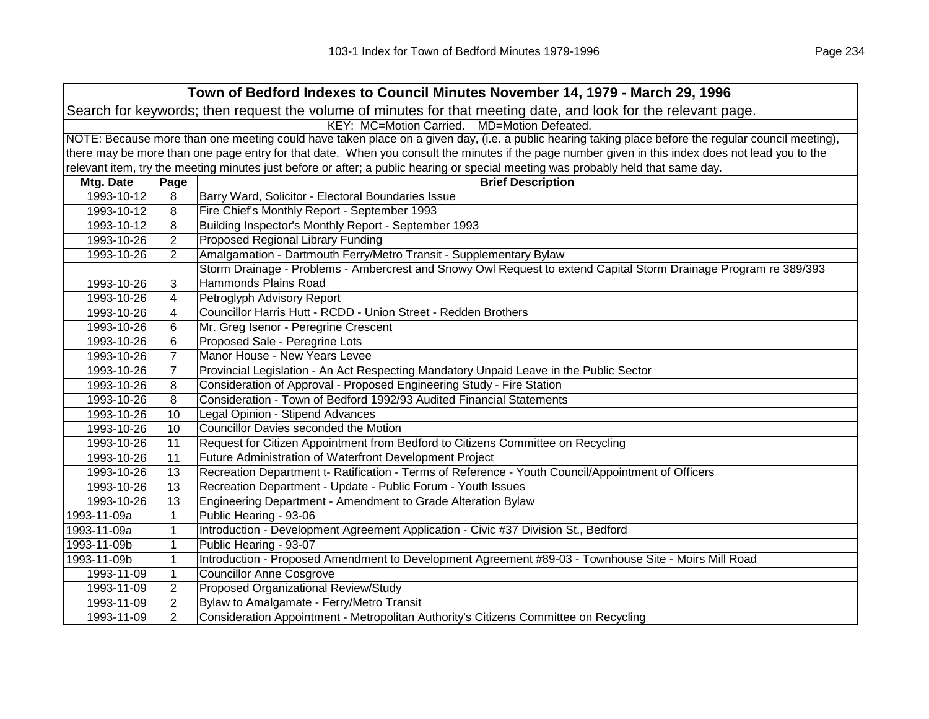| Town of Bedford Indexes to Council Minutes November 14, 1979 - March 29, 1996                                  |                                                                                                                                                     |                                                                                                                                                   |  |
|----------------------------------------------------------------------------------------------------------------|-----------------------------------------------------------------------------------------------------------------------------------------------------|---------------------------------------------------------------------------------------------------------------------------------------------------|--|
| Search for keywords; then request the volume of minutes for that meeting date, and look for the relevant page. |                                                                                                                                                     |                                                                                                                                                   |  |
| KEY: MC=Motion Carried. MD=Motion Defeated.                                                                    |                                                                                                                                                     |                                                                                                                                                   |  |
|                                                                                                                | NOTE: Because more than one meeting could have taken place on a given day, (i.e. a public hearing taking place before the regular council meeting), |                                                                                                                                                   |  |
|                                                                                                                |                                                                                                                                                     | there may be more than one page entry for that date. When you consult the minutes if the page number given in this index does not lead you to the |  |
|                                                                                                                |                                                                                                                                                     | relevant item, try the meeting minutes just before or after; a public hearing or special meeting was probably held that same day.                 |  |
| Mtg. Date                                                                                                      | Page                                                                                                                                                | <b>Brief Description</b>                                                                                                                          |  |
| 1993-10-12                                                                                                     | 8                                                                                                                                                   | Barry Ward, Solicitor - Electoral Boundaries Issue                                                                                                |  |
| 1993-10-12                                                                                                     | 8                                                                                                                                                   | Fire Chief's Monthly Report - September 1993                                                                                                      |  |
| 1993-10-12                                                                                                     | 8                                                                                                                                                   | Building Inspector's Monthly Report - September 1993                                                                                              |  |
| 1993-10-26                                                                                                     | $\overline{2}$                                                                                                                                      | Proposed Regional Library Funding                                                                                                                 |  |
| 1993-10-26                                                                                                     | 2                                                                                                                                                   | Amalgamation - Dartmouth Ferry/Metro Transit - Supplementary Bylaw                                                                                |  |
|                                                                                                                |                                                                                                                                                     | Storm Drainage - Problems - Ambercrest and Snowy Owl Request to extend Capital Storm Drainage Program re 389/393                                  |  |
| 1993-10-26                                                                                                     | 3                                                                                                                                                   | <b>Hammonds Plains Road</b>                                                                                                                       |  |
| 1993-10-26                                                                                                     | 4                                                                                                                                                   | Petroglyph Advisory Report                                                                                                                        |  |
| 1993-10-26                                                                                                     | 4                                                                                                                                                   | Councillor Harris Hutt - RCDD - Union Street - Redden Brothers                                                                                    |  |
| 1993-10-26                                                                                                     | 6                                                                                                                                                   | Mr. Greg Isenor - Peregrine Crescent                                                                                                              |  |
| 1993-10-26                                                                                                     | 6                                                                                                                                                   | Proposed Sale - Peregrine Lots                                                                                                                    |  |
| 1993-10-26                                                                                                     | $\overline{7}$                                                                                                                                      | Manor House - New Years Levee                                                                                                                     |  |
| 1993-10-26                                                                                                     | $\overline{7}$                                                                                                                                      | Provincial Legislation - An Act Respecting Mandatory Unpaid Leave in the Public Sector                                                            |  |
| 1993-10-26                                                                                                     | 8                                                                                                                                                   | Consideration of Approval - Proposed Engineering Study - Fire Station                                                                             |  |
| 1993-10-26                                                                                                     | 8                                                                                                                                                   | Consideration - Town of Bedford 1992/93 Audited Financial Statements                                                                              |  |
| 1993-10-26                                                                                                     | 10                                                                                                                                                  | Legal Opinion - Stipend Advances                                                                                                                  |  |
| 1993-10-26                                                                                                     | 10                                                                                                                                                  | Councillor Davies seconded the Motion                                                                                                             |  |
| 1993-10-26                                                                                                     | 11                                                                                                                                                  | Request for Citizen Appointment from Bedford to Citizens Committee on Recycling                                                                   |  |
| 1993-10-26                                                                                                     | 11                                                                                                                                                  | Future Administration of Waterfront Development Project                                                                                           |  |
| 1993-10-26                                                                                                     | 13                                                                                                                                                  | Recreation Department t- Ratification - Terms of Reference - Youth Council/Appointment of Officers                                                |  |
| 1993-10-26                                                                                                     | 13                                                                                                                                                  | Recreation Department - Update - Public Forum - Youth Issues                                                                                      |  |
| 1993-10-26                                                                                                     | 13                                                                                                                                                  | Engineering Department - Amendment to Grade Alteration Bylaw                                                                                      |  |
| 1993-11-09a                                                                                                    | $\mathbf{1}$                                                                                                                                        | Public Hearing - 93-06                                                                                                                            |  |
| 1993-11-09a                                                                                                    | $\mathbf 1$                                                                                                                                         | Introduction - Development Agreement Application - Civic #37 Division St., Bedford                                                                |  |
| 1993-11-09b                                                                                                    | 1                                                                                                                                                   | Public Hearing - 93-07                                                                                                                            |  |
| 1993-11-09b                                                                                                    | 1                                                                                                                                                   | Introduction - Proposed Amendment to Development Agreement #89-03 - Townhouse Site - Moirs Mill Road                                              |  |
| 1993-11-09                                                                                                     | $\mathbf{1}$                                                                                                                                        | <b>Councillor Anne Cosgrove</b>                                                                                                                   |  |
| 1993-11-09                                                                                                     | 2                                                                                                                                                   | Proposed Organizational Review/Study                                                                                                              |  |
| 1993-11-09                                                                                                     | 2                                                                                                                                                   | Bylaw to Amalgamate - Ferry/Metro Transit                                                                                                         |  |
| 1993-11-09                                                                                                     | $\overline{2}$                                                                                                                                      | Consideration Appointment - Metropolitan Authority's Citizens Committee on Recycling                                                              |  |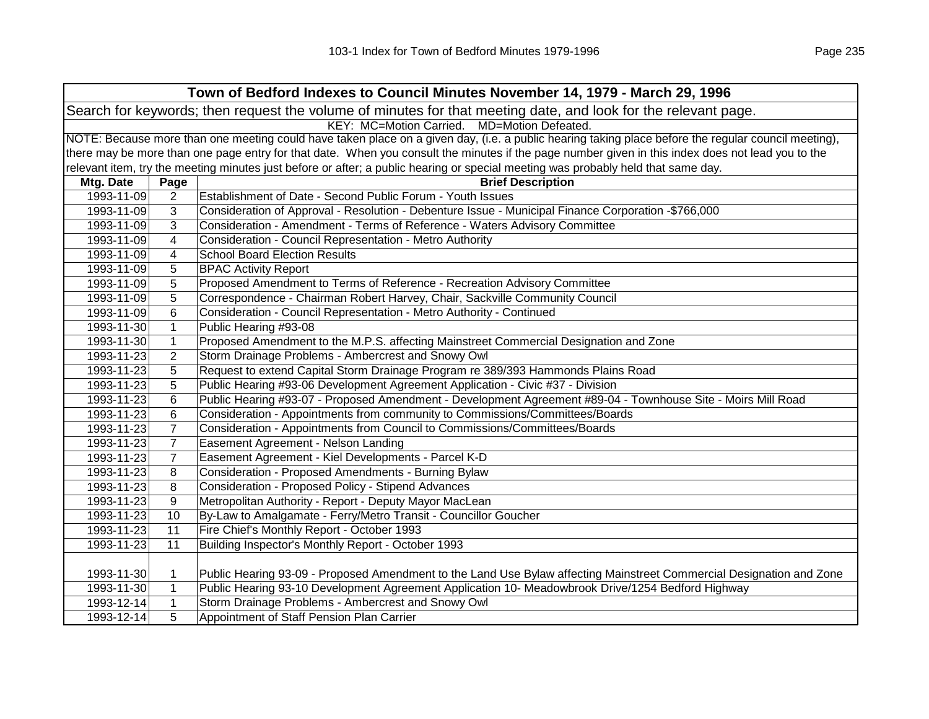|            |                | Town of Bedford Indexes to Council Minutes November 14, 1979 - March 29, 1996                                                                       |
|------------|----------------|-----------------------------------------------------------------------------------------------------------------------------------------------------|
|            |                | Search for keywords; then request the volume of minutes for that meeting date, and look for the relevant page.                                      |
|            |                | KEY: MC=Motion Carried. MD=Motion Defeated.                                                                                                         |
|            |                | NOTE: Because more than one meeting could have taken place on a given day, (i.e. a public hearing taking place before the regular council meeting), |
|            |                | there may be more than one page entry for that date. When you consult the minutes if the page number given in this index does not lead you to the   |
|            |                | relevant item, try the meeting minutes just before or after; a public hearing or special meeting was probably held that same day.                   |
| Mtg. Date  | Page           | <b>Brief Description</b>                                                                                                                            |
| 1993-11-09 | 2              | Establishment of Date - Second Public Forum - Youth Issues                                                                                          |
| 1993-11-09 | 3              | Consideration of Approval - Resolution - Debenture Issue - Municipal Finance Corporation -\$766,000                                                 |
| 1993-11-09 | 3              | Consideration - Amendment - Terms of Reference - Waters Advisory Committee                                                                          |
| 1993-11-09 | $\overline{4}$ | Consideration - Council Representation - Metro Authority                                                                                            |
| 1993-11-09 | $\overline{4}$ | <b>School Board Election Results</b>                                                                                                                |
| 1993-11-09 | 5              | <b>BPAC Activity Report</b>                                                                                                                         |
| 1993-11-09 | 5              | Proposed Amendment to Terms of Reference - Recreation Advisory Committee                                                                            |
| 1993-11-09 | 5              | Correspondence - Chairman Robert Harvey, Chair, Sackville Community Council                                                                         |
| 1993-11-09 | 6              | Consideration - Council Representation - Metro Authority - Continued                                                                                |
| 1993-11-30 | $\mathbf{1}$   | Public Hearing #93-08                                                                                                                               |
| 1993-11-30 | $\mathbf{1}$   | Proposed Amendment to the M.P.S. affecting Mainstreet Commercial Designation and Zone                                                               |
| 1993-11-23 | $\overline{2}$ | Storm Drainage Problems - Ambercrest and Snowy Owl                                                                                                  |
| 1993-11-23 | 5              | Request to extend Capital Storm Drainage Program re 389/393 Hammonds Plains Road                                                                    |
| 1993-11-23 | 5              | Public Hearing #93-06 Development Agreement Application - Civic #37 - Division                                                                      |
| 1993-11-23 | 6              | Public Hearing #93-07 - Proposed Amendment - Development Agreement #89-04 - Townhouse Site - Moirs Mill Road                                        |
| 1993-11-23 | 6              | Consideration - Appointments from community to Commissions/Committees/Boards                                                                        |
| 1993-11-23 | $\overline{7}$ | Consideration - Appointments from Council to Commissions/Committees/Boards                                                                          |
| 1993-11-23 | $\overline{7}$ | Easement Agreement - Nelson Landing                                                                                                                 |
| 1993-11-23 | $\overline{7}$ | Easement Agreement - Kiel Developments - Parcel K-D                                                                                                 |
| 1993-11-23 | 8              | Consideration - Proposed Amendments - Burning Bylaw                                                                                                 |
| 1993-11-23 | 8              | Consideration - Proposed Policy - Stipend Advances                                                                                                  |
| 1993-11-23 | 9              | Metropolitan Authority - Report - Deputy Mayor MacLean                                                                                              |
| 1993-11-23 | 10             | By-Law to Amalgamate - Ferry/Metro Transit - Councillor Goucher                                                                                     |
| 1993-11-23 | 11             | Fire Chief's Monthly Report - October 1993                                                                                                          |
| 1993-11-23 | 11             | Building Inspector's Monthly Report - October 1993                                                                                                  |
|            |                |                                                                                                                                                     |
| 1993-11-30 | 1              | Public Hearing 93-09 - Proposed Amendment to the Land Use Bylaw affecting Mainstreet Commercial Designation and Zone                                |
| 1993-11-30 | $\mathbf{1}$   | Public Hearing 93-10 Development Agreement Application 10- Meadowbrook Drive/1254 Bedford Highway                                                   |
| 1993-12-14 | $\mathbf{1}$   | Storm Drainage Problems - Ambercrest and Snowy Owl                                                                                                  |
| 1993-12-14 | 5              | Appointment of Staff Pension Plan Carrier                                                                                                           |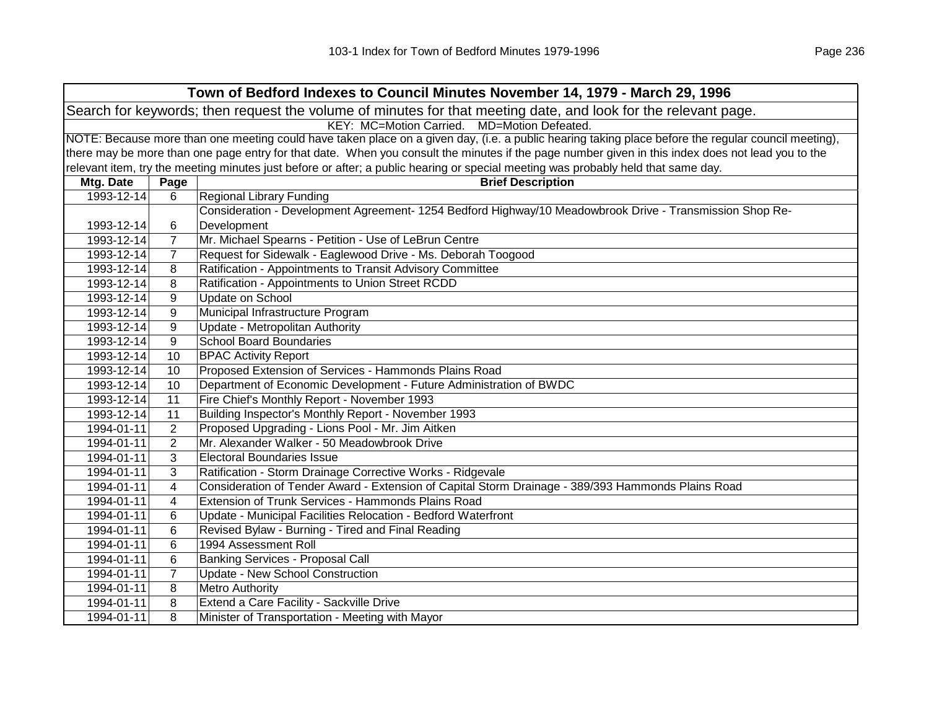| Town of Bedford Indexes to Council Minutes November 14, 1979 - March 29, 1996                                  |                                             |                                                                                                                                                     |  |  |
|----------------------------------------------------------------------------------------------------------------|---------------------------------------------|-----------------------------------------------------------------------------------------------------------------------------------------------------|--|--|
| Search for keywords; then request the volume of minutes for that meeting date, and look for the relevant page. |                                             |                                                                                                                                                     |  |  |
|                                                                                                                | KEY: MC=Motion Carried. MD=Motion Defeated. |                                                                                                                                                     |  |  |
|                                                                                                                |                                             | NOTE: Because more than one meeting could have taken place on a given day, (i.e. a public hearing taking place before the regular council meeting), |  |  |
|                                                                                                                |                                             | there may be more than one page entry for that date. When you consult the minutes if the page number given in this index does not lead you to the   |  |  |
|                                                                                                                |                                             | relevant item, try the meeting minutes just before or after; a public hearing or special meeting was probably held that same day.                   |  |  |
| Mtg. Date                                                                                                      | Page                                        | <b>Brief Description</b>                                                                                                                            |  |  |
| 1993-12-14                                                                                                     | 6                                           | <b>Regional Library Funding</b>                                                                                                                     |  |  |
|                                                                                                                |                                             | Consideration - Development Agreement- 1254 Bedford Highway/10 Meadowbrook Drive - Transmission Shop Re-                                            |  |  |
| 1993-12-14                                                                                                     | 6                                           | Development                                                                                                                                         |  |  |
| 1993-12-14                                                                                                     | $\overline{7}$                              | Mr. Michael Spearns - Petition - Use of LeBrun Centre                                                                                               |  |  |
| 1993-12-14                                                                                                     | $\overline{7}$                              | Request for Sidewalk - Eaglewood Drive - Ms. Deborah Toogood                                                                                        |  |  |
| 1993-12-14                                                                                                     | 8                                           | Ratification - Appointments to Transit Advisory Committee                                                                                           |  |  |
| 1993-12-14                                                                                                     | 8                                           | Ratification - Appointments to Union Street RCDD                                                                                                    |  |  |
| 1993-12-14                                                                                                     | 9                                           | Update on School                                                                                                                                    |  |  |
| 1993-12-14                                                                                                     | 9                                           | Municipal Infrastructure Program                                                                                                                    |  |  |
| 1993-12-14                                                                                                     | 9                                           | Update - Metropolitan Authority                                                                                                                     |  |  |
| 1993-12-14                                                                                                     | 9                                           | <b>School Board Boundaries</b>                                                                                                                      |  |  |
| 1993-12-14                                                                                                     | 10                                          | <b>BPAC Activity Report</b>                                                                                                                         |  |  |
| 1993-12-14                                                                                                     | 10                                          | Proposed Extension of Services - Hammonds Plains Road                                                                                               |  |  |
| 1993-12-14                                                                                                     | 10                                          | Department of Economic Development - Future Administration of BWDC                                                                                  |  |  |
| 1993-12-14                                                                                                     | 11                                          | Fire Chief's Monthly Report - November 1993                                                                                                         |  |  |
| 1993-12-14                                                                                                     | 11                                          | Building Inspector's Monthly Report - November 1993                                                                                                 |  |  |
| 1994-01-11                                                                                                     | 2                                           | Proposed Upgrading - Lions Pool - Mr. Jim Aitken                                                                                                    |  |  |
| 1994-01-11                                                                                                     | $\overline{2}$                              | Mr. Alexander Walker - 50 Meadowbrook Drive                                                                                                         |  |  |
| 1994-01-11                                                                                                     | 3                                           | <b>Electoral Boundaries Issue</b>                                                                                                                   |  |  |
| 1994-01-11                                                                                                     | 3                                           | Ratification - Storm Drainage Corrective Works - Ridgevale                                                                                          |  |  |
| 1994-01-11                                                                                                     | 4                                           | Consideration of Tender Award - Extension of Capital Storm Drainage - 389/393 Hammonds Plains Road                                                  |  |  |
| 1994-01-11                                                                                                     | 4                                           | Extension of Trunk Services - Hammonds Plains Road                                                                                                  |  |  |
| 1994-01-11                                                                                                     | 6                                           | Update - Municipal Facilities Relocation - Bedford Waterfront                                                                                       |  |  |
| 1994-01-11                                                                                                     | 6                                           | Revised Bylaw - Burning - Tired and Final Reading                                                                                                   |  |  |
| 1994-01-11                                                                                                     | 6                                           | 1994 Assessment Roll                                                                                                                                |  |  |
| 1994-01-11                                                                                                     | 6                                           | <b>Banking Services - Proposal Call</b>                                                                                                             |  |  |
| 1994-01-11                                                                                                     | $\overline{7}$                              | Update - New School Construction                                                                                                                    |  |  |
| 1994-01-11                                                                                                     | 8                                           | <b>Metro Authority</b>                                                                                                                              |  |  |
| 1994-01-11                                                                                                     | 8                                           | Extend a Care Facility - Sackville Drive                                                                                                            |  |  |
| 1994-01-11                                                                                                     | 8                                           | Minister of Transportation - Meeting with Mayor                                                                                                     |  |  |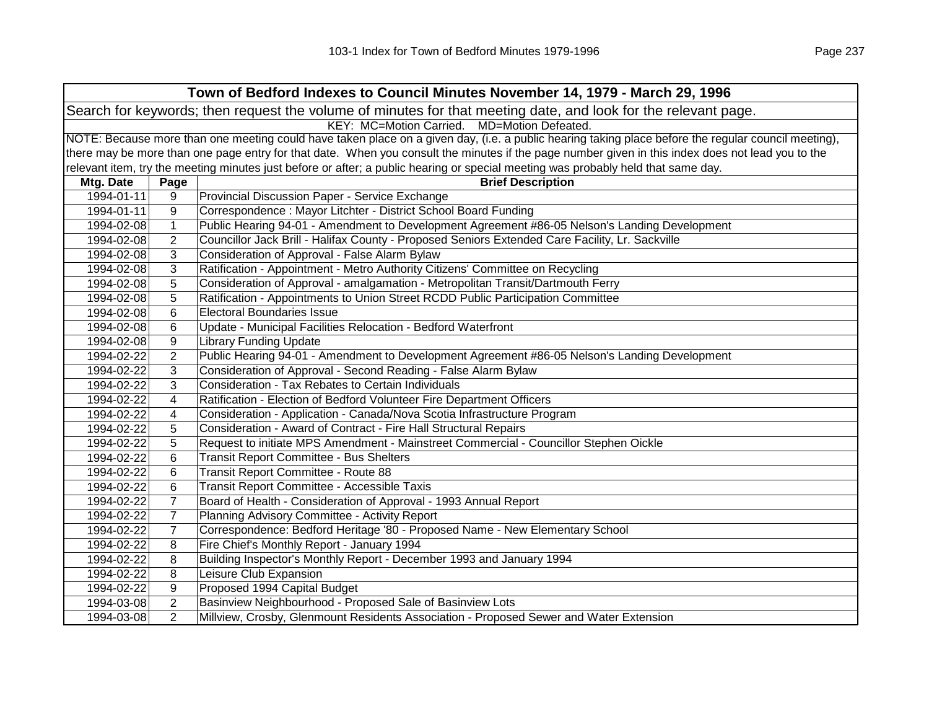| Town of Bedford Indexes to Council Minutes November 14, 1979 - March 29, 1996                                  |                                                                                                                                                     |                                                                                                                                                   |  |  |  |
|----------------------------------------------------------------------------------------------------------------|-----------------------------------------------------------------------------------------------------------------------------------------------------|---------------------------------------------------------------------------------------------------------------------------------------------------|--|--|--|
| Search for keywords; then request the volume of minutes for that meeting date, and look for the relevant page. |                                                                                                                                                     |                                                                                                                                                   |  |  |  |
|                                                                                                                | KEY: MC=Motion Carried. MD=Motion Defeated.                                                                                                         |                                                                                                                                                   |  |  |  |
|                                                                                                                | NOTE: Because more than one meeting could have taken place on a given day, (i.e. a public hearing taking place before the regular council meeting), |                                                                                                                                                   |  |  |  |
|                                                                                                                |                                                                                                                                                     | there may be more than one page entry for that date. When you consult the minutes if the page number given in this index does not lead you to the |  |  |  |
|                                                                                                                |                                                                                                                                                     | relevant item, try the meeting minutes just before or after; a public hearing or special meeting was probably held that same day.                 |  |  |  |
| Mtg. Date                                                                                                      | Page                                                                                                                                                | <b>Brief Description</b>                                                                                                                          |  |  |  |
| 1994-01-11                                                                                                     | 9                                                                                                                                                   | Provincial Discussion Paper - Service Exchange                                                                                                    |  |  |  |
| 1994-01-11                                                                                                     | 9                                                                                                                                                   | Correspondence: Mayor Litchter - District School Board Funding                                                                                    |  |  |  |
| 1994-02-08                                                                                                     | $\mathbf{1}$                                                                                                                                        | Public Hearing 94-01 - Amendment to Development Agreement #86-05 Nelson's Landing Development                                                     |  |  |  |
| 1994-02-08                                                                                                     | $\overline{2}$                                                                                                                                      | Councillor Jack Brill - Halifax County - Proposed Seniors Extended Care Facility, Lr. Sackville                                                   |  |  |  |
| 1994-02-08                                                                                                     | 3                                                                                                                                                   | Consideration of Approval - False Alarm Bylaw                                                                                                     |  |  |  |
| 1994-02-08                                                                                                     | 3                                                                                                                                                   | Ratification - Appointment - Metro Authority Citizens' Committee on Recycling                                                                     |  |  |  |
| 1994-02-08                                                                                                     | 5                                                                                                                                                   | Consideration of Approval - amalgamation - Metropolitan Transit/Dartmouth Ferry                                                                   |  |  |  |
| 1994-02-08                                                                                                     | 5                                                                                                                                                   | Ratification - Appointments to Union Street RCDD Public Participation Committee                                                                   |  |  |  |
| 1994-02-08                                                                                                     | 6                                                                                                                                                   | <b>Electoral Boundaries Issue</b>                                                                                                                 |  |  |  |
| 1994-02-08                                                                                                     | 6                                                                                                                                                   | Update - Municipal Facilities Relocation - Bedford Waterfront                                                                                     |  |  |  |
| 1994-02-08                                                                                                     | 9                                                                                                                                                   | <b>Library Funding Update</b>                                                                                                                     |  |  |  |
| 1994-02-22                                                                                                     | $\overline{2}$                                                                                                                                      | Public Hearing 94-01 - Amendment to Development Agreement #86-05 Nelson's Landing Development                                                     |  |  |  |
| 1994-02-22                                                                                                     | 3                                                                                                                                                   | Consideration of Approval - Second Reading - False Alarm Bylaw                                                                                    |  |  |  |
| 1994-02-22                                                                                                     | 3                                                                                                                                                   | Consideration - Tax Rebates to Certain Individuals                                                                                                |  |  |  |
| 1994-02-22                                                                                                     | 4                                                                                                                                                   | Ratification - Election of Bedford Volunteer Fire Department Officers                                                                             |  |  |  |
| 1994-02-22                                                                                                     | 4                                                                                                                                                   | Consideration - Application - Canada/Nova Scotia Infrastructure Program                                                                           |  |  |  |
| 1994-02-22                                                                                                     | 5                                                                                                                                                   | Consideration - Award of Contract - Fire Hall Structural Repairs                                                                                  |  |  |  |
| 1994-02-22                                                                                                     | 5                                                                                                                                                   | Request to initiate MPS Amendment - Mainstreet Commercial - Councillor Stephen Oickle                                                             |  |  |  |
| 1994-02-22                                                                                                     | 6                                                                                                                                                   | <b>Transit Report Committee - Bus Shelters</b>                                                                                                    |  |  |  |
| 1994-02-22                                                                                                     | 6                                                                                                                                                   | Transit Report Committee - Route 88                                                                                                               |  |  |  |
| 1994-02-22                                                                                                     | 6                                                                                                                                                   | Transit Report Committee - Accessible Taxis                                                                                                       |  |  |  |
| 1994-02-22                                                                                                     | $\overline{7}$                                                                                                                                      | Board of Health - Consideration of Approval - 1993 Annual Report                                                                                  |  |  |  |
| 1994-02-22                                                                                                     | $\overline{7}$                                                                                                                                      | Planning Advisory Committee - Activity Report                                                                                                     |  |  |  |
| 1994-02-22                                                                                                     | $\overline{7}$                                                                                                                                      | Correspondence: Bedford Heritage '80 - Proposed Name - New Elementary School                                                                      |  |  |  |
| 1994-02-22                                                                                                     | 8                                                                                                                                                   | Fire Chief's Monthly Report - January 1994                                                                                                        |  |  |  |
| 1994-02-22                                                                                                     | 8                                                                                                                                                   | Building Inspector's Monthly Report - December 1993 and January 1994                                                                              |  |  |  |
| 1994-02-22                                                                                                     | 8                                                                                                                                                   | Leisure Club Expansion                                                                                                                            |  |  |  |
| 1994-02-22                                                                                                     | 9                                                                                                                                                   | Proposed 1994 Capital Budget                                                                                                                      |  |  |  |
| 1994-03-08                                                                                                     | $\overline{2}$                                                                                                                                      | Basinview Neighbourhood - Proposed Sale of Basinview Lots                                                                                         |  |  |  |
| 1994-03-08                                                                                                     | $\overline{2}$                                                                                                                                      | Millview, Crosby, Glenmount Residents Association - Proposed Sewer and Water Extension                                                            |  |  |  |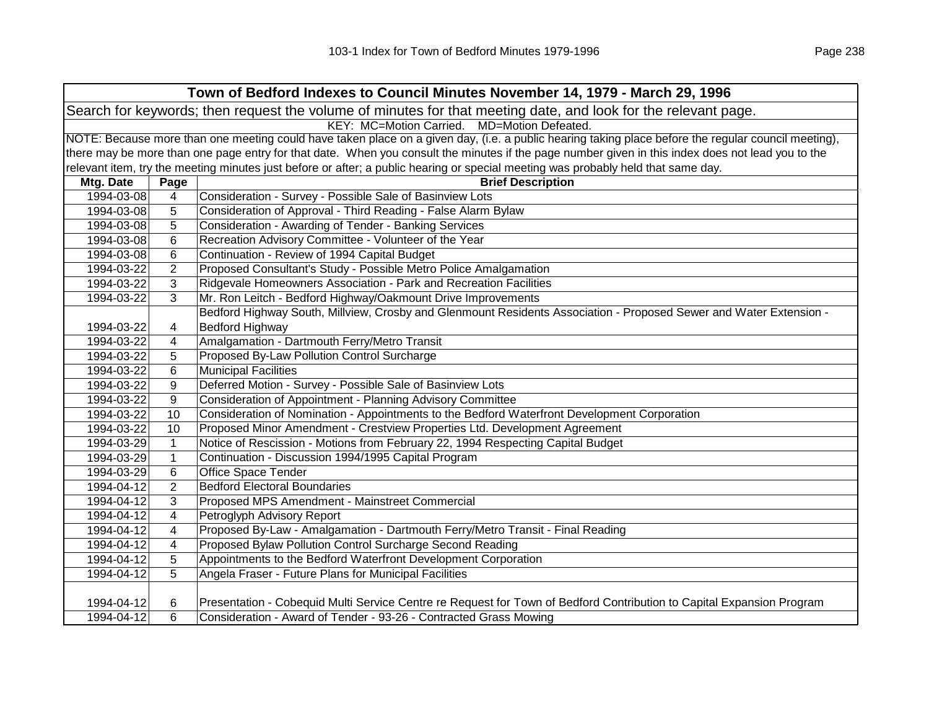| Town of Bedford Indexes to Council Minutes November 14, 1979 - March 29, 1996 |                                                                                                                                                     |                                                                                                                                                   |  |  |
|-------------------------------------------------------------------------------|-----------------------------------------------------------------------------------------------------------------------------------------------------|---------------------------------------------------------------------------------------------------------------------------------------------------|--|--|
|                                                                               | Search for keywords; then request the volume of minutes for that meeting date, and look for the relevant page.                                      |                                                                                                                                                   |  |  |
|                                                                               | KEY: MC=Motion Carried. MD=Motion Defeated.                                                                                                         |                                                                                                                                                   |  |  |
|                                                                               | NOTE: Because more than one meeting could have taken place on a given day, (i.e. a public hearing taking place before the regular council meeting), |                                                                                                                                                   |  |  |
|                                                                               |                                                                                                                                                     | there may be more than one page entry for that date. When you consult the minutes if the page number given in this index does not lead you to the |  |  |
|                                                                               |                                                                                                                                                     | relevant item, try the meeting minutes just before or after; a public hearing or special meeting was probably held that same day.                 |  |  |
| Mtg. Date                                                                     | Page                                                                                                                                                | <b>Brief Description</b>                                                                                                                          |  |  |
| 1994-03-08                                                                    | 4                                                                                                                                                   | Consideration - Survey - Possible Sale of Basinview Lots                                                                                          |  |  |
| 1994-03-08                                                                    | 5                                                                                                                                                   | Consideration of Approval - Third Reading - False Alarm Bylaw                                                                                     |  |  |
| 1994-03-08                                                                    | 5                                                                                                                                                   | Consideration - Awarding of Tender - Banking Services                                                                                             |  |  |
| 1994-03-08                                                                    | 6                                                                                                                                                   | Recreation Advisory Committee - Volunteer of the Year                                                                                             |  |  |
| 1994-03-08                                                                    | 6                                                                                                                                                   | Continuation - Review of 1994 Capital Budget                                                                                                      |  |  |
| 1994-03-22                                                                    | $\overline{2}$                                                                                                                                      | Proposed Consultant's Study - Possible Metro Police Amalgamation                                                                                  |  |  |
| 1994-03-22                                                                    | 3                                                                                                                                                   | Ridgevale Homeowners Association - Park and Recreation Facilities                                                                                 |  |  |
| 1994-03-22                                                                    | 3                                                                                                                                                   | Mr. Ron Leitch - Bedford Highway/Oakmount Drive Improvements                                                                                      |  |  |
|                                                                               |                                                                                                                                                     | Bedford Highway South, Millview, Crosby and Glenmount Residents Association - Proposed Sewer and Water Extension -                                |  |  |
| 1994-03-22                                                                    | 4                                                                                                                                                   | <b>Bedford Highway</b>                                                                                                                            |  |  |
| 1994-03-22                                                                    | 4                                                                                                                                                   | Amalgamation - Dartmouth Ferry/Metro Transit                                                                                                      |  |  |
| 1994-03-22                                                                    | 5                                                                                                                                                   | Proposed By-Law Pollution Control Surcharge                                                                                                       |  |  |
| 1994-03-22                                                                    | 6                                                                                                                                                   | <b>Municipal Facilities</b>                                                                                                                       |  |  |
| 1994-03-22                                                                    | 9                                                                                                                                                   | Deferred Motion - Survey - Possible Sale of Basinview Lots                                                                                        |  |  |
| 1994-03-22                                                                    | 9                                                                                                                                                   | Consideration of Appointment - Planning Advisory Committee                                                                                        |  |  |
| 1994-03-22                                                                    | 10                                                                                                                                                  | Consideration of Nomination - Appointments to the Bedford Waterfront Development Corporation                                                      |  |  |
| 1994-03-22                                                                    | 10                                                                                                                                                  | Proposed Minor Amendment - Crestview Properties Ltd. Development Agreement                                                                        |  |  |
| 1994-03-29                                                                    | $\mathbf{1}$                                                                                                                                        | Notice of Rescission - Motions from February 22, 1994 Respecting Capital Budget                                                                   |  |  |
| 1994-03-29                                                                    | $\mathbf{1}$                                                                                                                                        | Continuation - Discussion 1994/1995 Capital Program                                                                                               |  |  |
| 1994-03-29                                                                    | 6                                                                                                                                                   | <b>Office Space Tender</b>                                                                                                                        |  |  |
| 1994-04-12                                                                    | 2                                                                                                                                                   | <b>Bedford Electoral Boundaries</b>                                                                                                               |  |  |
| 1994-04-12                                                                    | 3                                                                                                                                                   | Proposed MPS Amendment - Mainstreet Commercial                                                                                                    |  |  |
| 1994-04-12                                                                    | 4                                                                                                                                                   | Petroglyph Advisory Report                                                                                                                        |  |  |
| 1994-04-12                                                                    | 4                                                                                                                                                   | Proposed By-Law - Amalgamation - Dartmouth Ferry/Metro Transit - Final Reading                                                                    |  |  |
| 1994-04-12                                                                    | 4                                                                                                                                                   | Proposed Bylaw Pollution Control Surcharge Second Reading                                                                                         |  |  |
| 1994-04-12                                                                    | 5                                                                                                                                                   | Appointments to the Bedford Waterfront Development Corporation                                                                                    |  |  |
| 1994-04-12                                                                    | 5                                                                                                                                                   | Angela Fraser - Future Plans for Municipal Facilities                                                                                             |  |  |
|                                                                               |                                                                                                                                                     |                                                                                                                                                   |  |  |
| 1994-04-12                                                                    | 6                                                                                                                                                   | Presentation - Cobequid Multi Service Centre re Request for Town of Bedford Contribution to Capital Expansion Program                             |  |  |
| 1994-04-12                                                                    | 6                                                                                                                                                   | Consideration - Award of Tender - 93-26 - Contracted Grass Mowing                                                                                 |  |  |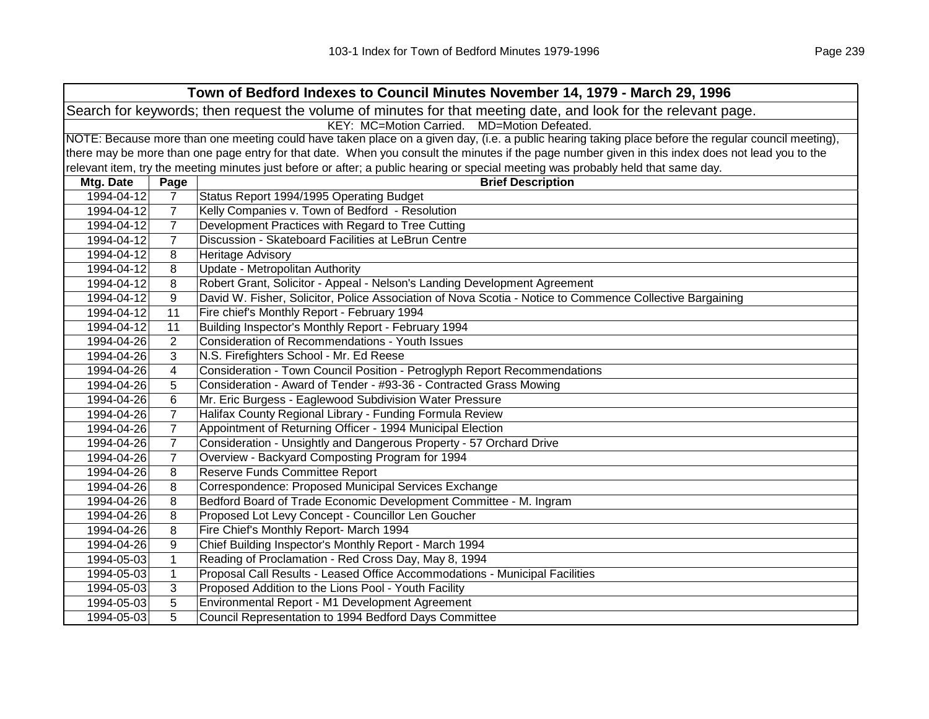| Town of Bedford Indexes to Council Minutes November 14, 1979 - March 29, 1996                                  |                                             |                                                                                                                                                     |  |  |  |
|----------------------------------------------------------------------------------------------------------------|---------------------------------------------|-----------------------------------------------------------------------------------------------------------------------------------------------------|--|--|--|
| Search for keywords; then request the volume of minutes for that meeting date, and look for the relevant page. |                                             |                                                                                                                                                     |  |  |  |
|                                                                                                                | KEY: MC=Motion Carried. MD=Motion Defeated. |                                                                                                                                                     |  |  |  |
|                                                                                                                |                                             | NOTE: Because more than one meeting could have taken place on a given day, (i.e. a public hearing taking place before the regular council meeting), |  |  |  |
|                                                                                                                |                                             | there may be more than one page entry for that date. When you consult the minutes if the page number given in this index does not lead you to the   |  |  |  |
|                                                                                                                |                                             | relevant item, try the meeting minutes just before or after; a public hearing or special meeting was probably held that same day.                   |  |  |  |
| Mtg. Date                                                                                                      | Page                                        | <b>Brief Description</b>                                                                                                                            |  |  |  |
| 1994-04-12                                                                                                     | $\overline{7}$                              | Status Report 1994/1995 Operating Budget                                                                                                            |  |  |  |
| 1994-04-12                                                                                                     | 7                                           | Kelly Companies v. Town of Bedford - Resolution                                                                                                     |  |  |  |
| 1994-04-12                                                                                                     | 7                                           | Development Practices with Regard to Tree Cutting                                                                                                   |  |  |  |
| 1994-04-12                                                                                                     | $\overline{7}$                              | Discussion - Skateboard Facilities at LeBrun Centre                                                                                                 |  |  |  |
| 1994-04-12                                                                                                     | 8                                           | Heritage Advisory                                                                                                                                   |  |  |  |
| 1994-04-12                                                                                                     | 8                                           | Update - Metropolitan Authority                                                                                                                     |  |  |  |
| 1994-04-12                                                                                                     | 8                                           | Robert Grant, Solicitor - Appeal - Nelson's Landing Development Agreement                                                                           |  |  |  |
| 1994-04-12                                                                                                     | 9                                           | David W. Fisher, Solicitor, Police Association of Nova Scotia - Notice to Commence Collective Bargaining                                            |  |  |  |
| 1994-04-12                                                                                                     | 11                                          | Fire chief's Monthly Report - February 1994                                                                                                         |  |  |  |
| 1994-04-12                                                                                                     | 11                                          | Building Inspector's Monthly Report - February 1994                                                                                                 |  |  |  |
| 1994-04-26                                                                                                     | $\overline{2}$                              | Consideration of Recommendations - Youth Issues                                                                                                     |  |  |  |
| 1994-04-26                                                                                                     | 3                                           | N.S. Firefighters School - Mr. Ed Reese                                                                                                             |  |  |  |
| 1994-04-26                                                                                                     | 4                                           | Consideration - Town Council Position - Petroglyph Report Recommendations                                                                           |  |  |  |
| 1994-04-26                                                                                                     | 5                                           | Consideration - Award of Tender - #93-36 - Contracted Grass Mowing                                                                                  |  |  |  |
| 1994-04-26                                                                                                     | 6                                           | Mr. Eric Burgess - Eaglewood Subdivision Water Pressure                                                                                             |  |  |  |
| 1994-04-26                                                                                                     | $\overline{7}$                              | Halifax County Regional Library - Funding Formula Review                                                                                            |  |  |  |
| 1994-04-26                                                                                                     | $\overline{7}$                              | Appointment of Returning Officer - 1994 Municipal Election                                                                                          |  |  |  |
| 1994-04-26                                                                                                     | $\overline{7}$                              | Consideration - Unsightly and Dangerous Property - 57 Orchard Drive                                                                                 |  |  |  |
| 1994-04-26                                                                                                     | $\overline{7}$                              | Overview - Backyard Composting Program for 1994                                                                                                     |  |  |  |
| 1994-04-26                                                                                                     | 8                                           | Reserve Funds Committee Report                                                                                                                      |  |  |  |
| 1994-04-26                                                                                                     | 8                                           | Correspondence: Proposed Municipal Services Exchange                                                                                                |  |  |  |
| 1994-04-26                                                                                                     | 8                                           | Bedford Board of Trade Economic Development Committee - M. Ingram                                                                                   |  |  |  |
| 1994-04-26                                                                                                     | 8                                           | Proposed Lot Levy Concept - Councillor Len Goucher                                                                                                  |  |  |  |
| 1994-04-26                                                                                                     | 8                                           | Fire Chief's Monthly Report- March 1994                                                                                                             |  |  |  |
| 1994-04-26                                                                                                     | 9                                           | Chief Building Inspector's Monthly Report - March 1994                                                                                              |  |  |  |
| 1994-05-03                                                                                                     | 1                                           | Reading of Proclamation - Red Cross Day, May 8, 1994                                                                                                |  |  |  |
| 1994-05-03                                                                                                     | $\mathbf{1}$                                | Proposal Call Results - Leased Office Accommodations - Municipal Facilities                                                                         |  |  |  |
| 1994-05-03                                                                                                     | 3                                           | Proposed Addition to the Lions Pool - Youth Facility                                                                                                |  |  |  |
| 1994-05-03                                                                                                     | 5                                           | Environmental Report - M1 Development Agreement                                                                                                     |  |  |  |
| 1994-05-03                                                                                                     | 5                                           | Council Representation to 1994 Bedford Days Committee                                                                                               |  |  |  |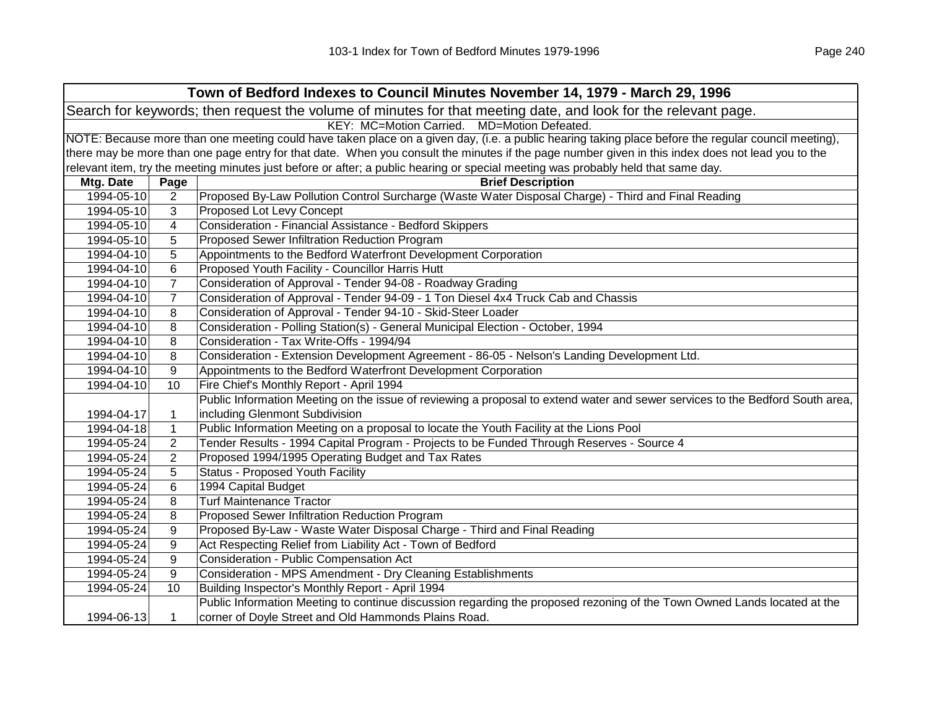|            | Town of Bedford Indexes to Council Minutes November 14, 1979 - March 29, 1996                                                                       |                                                                                                                                                   |  |  |
|------------|-----------------------------------------------------------------------------------------------------------------------------------------------------|---------------------------------------------------------------------------------------------------------------------------------------------------|--|--|
|            | Search for keywords; then request the volume of minutes for that meeting date, and look for the relevant page.                                      |                                                                                                                                                   |  |  |
|            | KEY: MC=Motion Carried. MD=Motion Defeated.                                                                                                         |                                                                                                                                                   |  |  |
|            | NOTE: Because more than one meeting could have taken place on a given day, (i.e. a public hearing taking place before the regular council meeting), |                                                                                                                                                   |  |  |
|            |                                                                                                                                                     | there may be more than one page entry for that date. When you consult the minutes if the page number given in this index does not lead you to the |  |  |
|            |                                                                                                                                                     | relevant item, try the meeting minutes just before or after; a public hearing or special meeting was probably held that same day.                 |  |  |
| Mtg. Date  | Page                                                                                                                                                | <b>Brief Description</b>                                                                                                                          |  |  |
| 1994-05-10 | $\overline{2}$                                                                                                                                      | Proposed By-Law Pollution Control Surcharge (Waste Water Disposal Charge) - Third and Final Reading                                               |  |  |
| 1994-05-10 | 3                                                                                                                                                   | Proposed Lot Levy Concept                                                                                                                         |  |  |
| 1994-05-10 | 4                                                                                                                                                   | Consideration - Financial Assistance - Bedford Skippers                                                                                           |  |  |
| 1994-05-10 | 5                                                                                                                                                   | Proposed Sewer Infiltration Reduction Program                                                                                                     |  |  |
| 1994-04-10 | 5                                                                                                                                                   | Appointments to the Bedford Waterfront Development Corporation                                                                                    |  |  |
| 1994-04-10 | 6                                                                                                                                                   | Proposed Youth Facility - Councillor Harris Hutt                                                                                                  |  |  |
| 1994-04-10 | $\overline{7}$                                                                                                                                      | Consideration of Approval - Tender 94-08 - Roadway Grading                                                                                        |  |  |
| 1994-04-10 | $\overline{7}$                                                                                                                                      | Consideration of Approval - Tender 94-09 - 1 Ton Diesel 4x4 Truck Cab and Chassis                                                                 |  |  |
| 1994-04-10 | 8                                                                                                                                                   | Consideration of Approval - Tender 94-10 - Skid-Steer Loader                                                                                      |  |  |
| 1994-04-10 | 8                                                                                                                                                   | Consideration - Polling Station(s) - General Municipal Election - October, 1994                                                                   |  |  |
| 1994-04-10 | 8                                                                                                                                                   | Consideration - Tax Write-Offs - 1994/94                                                                                                          |  |  |
| 1994-04-10 | 8                                                                                                                                                   | Consideration - Extension Development Agreement - 86-05 - Nelson's Landing Development Ltd.                                                       |  |  |
| 1994-04-10 | 9                                                                                                                                                   | Appointments to the Bedford Waterfront Development Corporation                                                                                    |  |  |
| 1994-04-10 | 10                                                                                                                                                  | Fire Chief's Monthly Report - April 1994                                                                                                          |  |  |
|            |                                                                                                                                                     | Public Information Meeting on the issue of reviewing a proposal to extend water and sewer services to the Bedford South area,                     |  |  |
| 1994-04-17 | 1                                                                                                                                                   | including Glenmont Subdivision                                                                                                                    |  |  |
| 1994-04-18 | $\mathbf{1}$                                                                                                                                        | Public Information Meeting on a proposal to locate the Youth Facility at the Lions Pool                                                           |  |  |
| 1994-05-24 | $\overline{2}$                                                                                                                                      | Tender Results - 1994 Capital Program - Projects to be Funded Through Reserves - Source 4                                                         |  |  |
| 1994-05-24 | $\overline{2}$                                                                                                                                      | Proposed 1994/1995 Operating Budget and Tax Rates                                                                                                 |  |  |
| 1994-05-24 | 5                                                                                                                                                   | <b>Status - Proposed Youth Facility</b>                                                                                                           |  |  |
| 1994-05-24 | 6                                                                                                                                                   | 1994 Capital Budget                                                                                                                               |  |  |
| 1994-05-24 | 8                                                                                                                                                   | <b>Turf Maintenance Tractor</b>                                                                                                                   |  |  |
| 1994-05-24 | 8                                                                                                                                                   | Proposed Sewer Infiltration Reduction Program                                                                                                     |  |  |
| 1994-05-24 | 9                                                                                                                                                   | Proposed By-Law - Waste Water Disposal Charge - Third and Final Reading                                                                           |  |  |
| 1994-05-24 | 9                                                                                                                                                   | Act Respecting Relief from Liability Act - Town of Bedford                                                                                        |  |  |
| 1994-05-24 | 9                                                                                                                                                   | Consideration - Public Compensation Act                                                                                                           |  |  |
| 1994-05-24 | 9                                                                                                                                                   | Consideration - MPS Amendment - Dry Cleaning Establishments                                                                                       |  |  |
| 1994-05-24 | 10                                                                                                                                                  | Building Inspector's Monthly Report - April 1994                                                                                                  |  |  |
|            |                                                                                                                                                     | Public Information Meeting to continue discussion regarding the proposed rezoning of the Town Owned Lands located at the                          |  |  |
| 1994-06-13 | 1                                                                                                                                                   | corner of Doyle Street and Old Hammonds Plains Road.                                                                                              |  |  |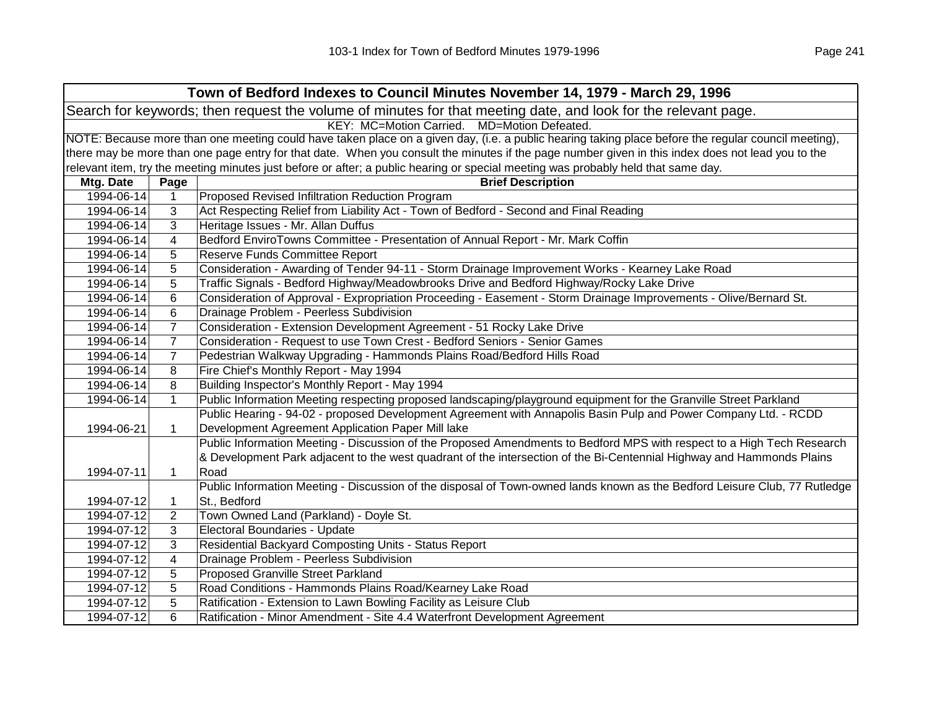| Town of Bedford Indexes to Council Minutes November 14, 1979 - March 29, 1996                                  |                                                                                                                                                     |                                                                                                                                                   |  |  |  |
|----------------------------------------------------------------------------------------------------------------|-----------------------------------------------------------------------------------------------------------------------------------------------------|---------------------------------------------------------------------------------------------------------------------------------------------------|--|--|--|
| Search for keywords; then request the volume of minutes for that meeting date, and look for the relevant page. |                                                                                                                                                     |                                                                                                                                                   |  |  |  |
|                                                                                                                | KEY: MC=Motion Carried. MD=Motion Defeated.                                                                                                         |                                                                                                                                                   |  |  |  |
|                                                                                                                | NOTE: Because more than one meeting could have taken place on a given day, (i.e. a public hearing taking place before the regular council meeting), |                                                                                                                                                   |  |  |  |
|                                                                                                                |                                                                                                                                                     | there may be more than one page entry for that date. When you consult the minutes if the page number given in this index does not lead you to the |  |  |  |
|                                                                                                                |                                                                                                                                                     | relevant item, try the meeting minutes just before or after; a public hearing or special meeting was probably held that same day.                 |  |  |  |
| Mtg. Date                                                                                                      | Page                                                                                                                                                | <b>Brief Description</b>                                                                                                                          |  |  |  |
| 1994-06-14                                                                                                     | $\mathbf{1}$                                                                                                                                        | Proposed Revised Infiltration Reduction Program                                                                                                   |  |  |  |
| 1994-06-14                                                                                                     | 3                                                                                                                                                   | Act Respecting Relief from Liability Act - Town of Bedford - Second and Final Reading                                                             |  |  |  |
| 1994-06-14                                                                                                     | 3                                                                                                                                                   | Heritage Issues - Mr. Allan Duffus                                                                                                                |  |  |  |
| 1994-06-14                                                                                                     | $\overline{\mathbf{4}}$                                                                                                                             | Bedford EnviroTowns Committee - Presentation of Annual Report - Mr. Mark Coffin                                                                   |  |  |  |
| 1994-06-14                                                                                                     | 5                                                                                                                                                   | Reserve Funds Committee Report                                                                                                                    |  |  |  |
| 1994-06-14                                                                                                     | 5                                                                                                                                                   | Consideration - Awarding of Tender 94-11 - Storm Drainage Improvement Works - Kearney Lake Road                                                   |  |  |  |
| 1994-06-14                                                                                                     | 5                                                                                                                                                   | Traffic Signals - Bedford Highway/Meadowbrooks Drive and Bedford Highway/Rocky Lake Drive                                                         |  |  |  |
| 1994-06-14                                                                                                     | 6                                                                                                                                                   | Consideration of Approval - Expropriation Proceeding - Easement - Storm Drainage Improvements - Olive/Bernard St.                                 |  |  |  |
| 1994-06-14                                                                                                     | 6                                                                                                                                                   | Drainage Problem - Peerless Subdivision                                                                                                           |  |  |  |
| 1994-06-14                                                                                                     | $\overline{7}$                                                                                                                                      | Consideration - Extension Development Agreement - 51 Rocky Lake Drive                                                                             |  |  |  |
| 1994-06-14                                                                                                     | $\overline{7}$                                                                                                                                      | Consideration - Request to use Town Crest - Bedford Seniors - Senior Games                                                                        |  |  |  |
| 1994-06-14                                                                                                     | $\overline{7}$                                                                                                                                      | Pedestrian Walkway Upgrading - Hammonds Plains Road/Bedford Hills Road                                                                            |  |  |  |
| 1994-06-14                                                                                                     | 8                                                                                                                                                   | Fire Chief's Monthly Report - May 1994                                                                                                            |  |  |  |
| 1994-06-14                                                                                                     | 8                                                                                                                                                   | Building Inspector's Monthly Report - May 1994                                                                                                    |  |  |  |
| 1994-06-14                                                                                                     | $\mathbf{1}$                                                                                                                                        | Public Information Meeting respecting proposed landscaping/playground equipment for the Granville Street Parkland                                 |  |  |  |
|                                                                                                                |                                                                                                                                                     | Public Hearing - 94-02 - proposed Development Agreement with Annapolis Basin Pulp and Power Company Ltd. - RCDD                                   |  |  |  |
| 1994-06-21                                                                                                     | $\mathbf 1$                                                                                                                                         | Development Agreement Application Paper Mill lake                                                                                                 |  |  |  |
|                                                                                                                |                                                                                                                                                     | Public Information Meeting - Discussion of the Proposed Amendments to Bedford MPS with respect to a High Tech Research                            |  |  |  |
|                                                                                                                |                                                                                                                                                     | & Development Park adjacent to the west quadrant of the intersection of the Bi-Centennial Highway and Hammonds Plains                             |  |  |  |
| 1994-07-11                                                                                                     | $\mathbf{1}$                                                                                                                                        | Road                                                                                                                                              |  |  |  |
|                                                                                                                |                                                                                                                                                     | Public Information Meeting - Discussion of the disposal of Town-owned lands known as the Bedford Leisure Club, 77 Rutledge                        |  |  |  |
| 1994-07-12                                                                                                     | 1                                                                                                                                                   | St., Bedford                                                                                                                                      |  |  |  |
| 1994-07-12                                                                                                     | $\overline{2}$                                                                                                                                      | Town Owned Land (Parkland) - Doyle St.                                                                                                            |  |  |  |
| 1994-07-12                                                                                                     | 3                                                                                                                                                   | Electoral Boundaries - Update                                                                                                                     |  |  |  |
| 1994-07-12                                                                                                     | 3                                                                                                                                                   | Residential Backyard Composting Units - Status Report                                                                                             |  |  |  |
| 1994-07-12                                                                                                     | $\overline{\mathbf{4}}$                                                                                                                             | Drainage Problem - Peerless Subdivision                                                                                                           |  |  |  |
| 1994-07-12                                                                                                     | 5                                                                                                                                                   | <b>Proposed Granville Street Parkland</b>                                                                                                         |  |  |  |
| 1994-07-12                                                                                                     | 5                                                                                                                                                   | Road Conditions - Hammonds Plains Road/Kearney Lake Road                                                                                          |  |  |  |
| 1994-07-12                                                                                                     | 5                                                                                                                                                   | Ratification - Extension to Lawn Bowling Facility as Leisure Club                                                                                 |  |  |  |
| 1994-07-12                                                                                                     | 6                                                                                                                                                   | Ratification - Minor Amendment - Site 4.4 Waterfront Development Agreement                                                                        |  |  |  |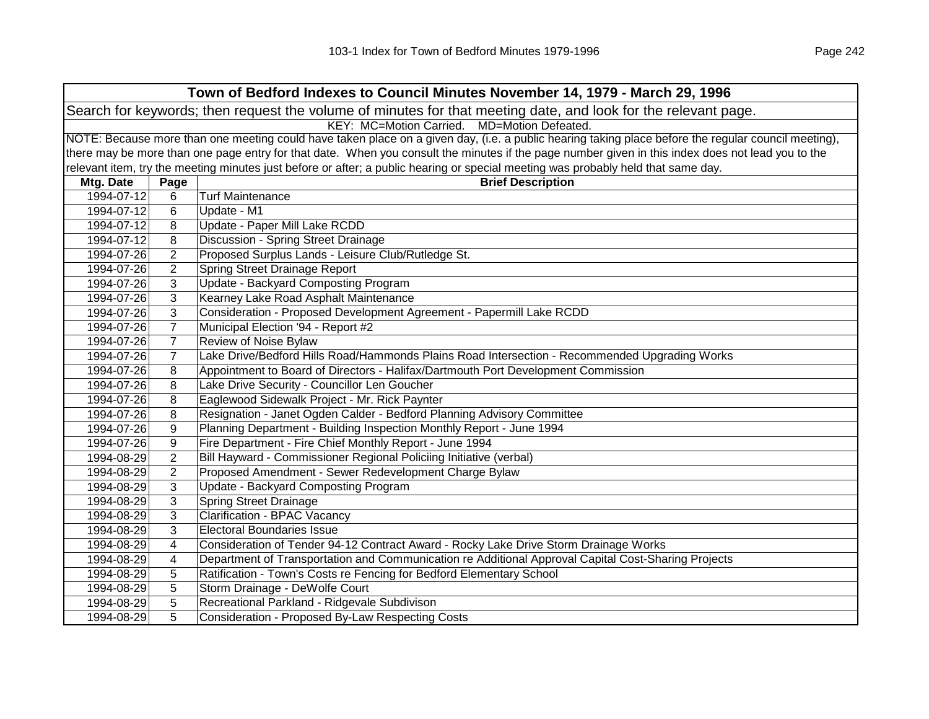| Town of Bedford Indexes to Council Minutes November 14, 1979 - March 29, 1996 |                                                                                                                |                                                                                                                                                     |  |  |
|-------------------------------------------------------------------------------|----------------------------------------------------------------------------------------------------------------|-----------------------------------------------------------------------------------------------------------------------------------------------------|--|--|
|                                                                               | Search for keywords; then request the volume of minutes for that meeting date, and look for the relevant page. |                                                                                                                                                     |  |  |
|                                                                               |                                                                                                                | KEY: MC=Motion Carried. MD=Motion Defeated.                                                                                                         |  |  |
|                                                                               |                                                                                                                | NOTE: Because more than one meeting could have taken place on a given day, (i.e. a public hearing taking place before the regular council meeting), |  |  |
|                                                                               |                                                                                                                | there may be more than one page entry for that date. When you consult the minutes if the page number given in this index does not lead you to the   |  |  |
|                                                                               |                                                                                                                | relevant item, try the meeting minutes just before or after; a public hearing or special meeting was probably held that same day.                   |  |  |
| Mtg. Date                                                                     | Page                                                                                                           | <b>Brief Description</b>                                                                                                                            |  |  |
| 1994-07-12                                                                    | 6                                                                                                              | <b>Turf Maintenance</b>                                                                                                                             |  |  |
| 1994-07-12                                                                    | 6                                                                                                              | Update - M1                                                                                                                                         |  |  |
| 1994-07-12                                                                    | 8                                                                                                              | Update - Paper Mill Lake RCDD                                                                                                                       |  |  |
| 1994-07-12                                                                    | 8                                                                                                              | Discussion - Spring Street Drainage                                                                                                                 |  |  |
| 1994-07-26                                                                    | $\overline{2}$                                                                                                 | Proposed Surplus Lands - Leisure Club/Rutledge St.                                                                                                  |  |  |
| 1994-07-26                                                                    | 2                                                                                                              | Spring Street Drainage Report                                                                                                                       |  |  |
| 1994-07-26                                                                    | 3                                                                                                              | Update - Backyard Composting Program                                                                                                                |  |  |
| 1994-07-26                                                                    | 3                                                                                                              | Kearney Lake Road Asphalt Maintenance                                                                                                               |  |  |
| 1994-07-26                                                                    | 3                                                                                                              | Consideration - Proposed Development Agreement - Papermill Lake RCDD                                                                                |  |  |
| 1994-07-26                                                                    | $\overline{7}$                                                                                                 | Municipal Election '94 - Report #2                                                                                                                  |  |  |
| 1994-07-26                                                                    | $\overline{7}$                                                                                                 | Review of Noise Bylaw                                                                                                                               |  |  |
| 1994-07-26                                                                    | $\overline{7}$                                                                                                 | Lake Drive/Bedford Hills Road/Hammonds Plains Road Intersection - Recommended Upgrading Works                                                       |  |  |
| 1994-07-26                                                                    | 8                                                                                                              | Appointment to Board of Directors - Halifax/Dartmouth Port Development Commission                                                                   |  |  |
| 1994-07-26                                                                    | 8                                                                                                              | Lake Drive Security - Councillor Len Goucher                                                                                                        |  |  |
| 1994-07-26                                                                    | 8                                                                                                              | Eaglewood Sidewalk Project - Mr. Rick Paynter                                                                                                       |  |  |
| 1994-07-26                                                                    | 8                                                                                                              | Resignation - Janet Ogden Calder - Bedford Planning Advisory Committee                                                                              |  |  |
| 1994-07-26                                                                    | 9                                                                                                              | Planning Department - Building Inspection Monthly Report - June 1994                                                                                |  |  |
| 1994-07-26                                                                    | 9                                                                                                              | Fire Department - Fire Chief Monthly Report - June 1994                                                                                             |  |  |
| 1994-08-29                                                                    | 2                                                                                                              | Bill Hayward - Commissioner Regional Policiing Initiative (verbal)                                                                                  |  |  |
| 1994-08-29                                                                    | $\overline{2}$                                                                                                 | Proposed Amendment - Sewer Redevelopment Charge Bylaw                                                                                               |  |  |
| 1994-08-29                                                                    | 3                                                                                                              | Update - Backyard Composting Program                                                                                                                |  |  |
| 1994-08-29                                                                    | 3                                                                                                              | <b>Spring Street Drainage</b>                                                                                                                       |  |  |
| 1994-08-29                                                                    | 3                                                                                                              | <b>Clarification - BPAC Vacancy</b>                                                                                                                 |  |  |
| 1994-08-29                                                                    | 3                                                                                                              | <b>Electoral Boundaries Issue</b>                                                                                                                   |  |  |
| 1994-08-29                                                                    | 4                                                                                                              | Consideration of Tender 94-12 Contract Award - Rocky Lake Drive Storm Drainage Works                                                                |  |  |
| 1994-08-29                                                                    | 4                                                                                                              | Department of Transportation and Communication re Additional Approval Capital Cost-Sharing Projects                                                 |  |  |
| 1994-08-29                                                                    | 5                                                                                                              | Ratification - Town's Costs re Fencing for Bedford Elementary School                                                                                |  |  |
| 1994-08-29                                                                    | 5                                                                                                              | Storm Drainage - DeWolfe Court                                                                                                                      |  |  |
| 1994-08-29                                                                    | 5                                                                                                              | Recreational Parkland - Ridgevale Subdivison                                                                                                        |  |  |
| 1994-08-29                                                                    | 5                                                                                                              | Consideration - Proposed By-Law Respecting Costs                                                                                                    |  |  |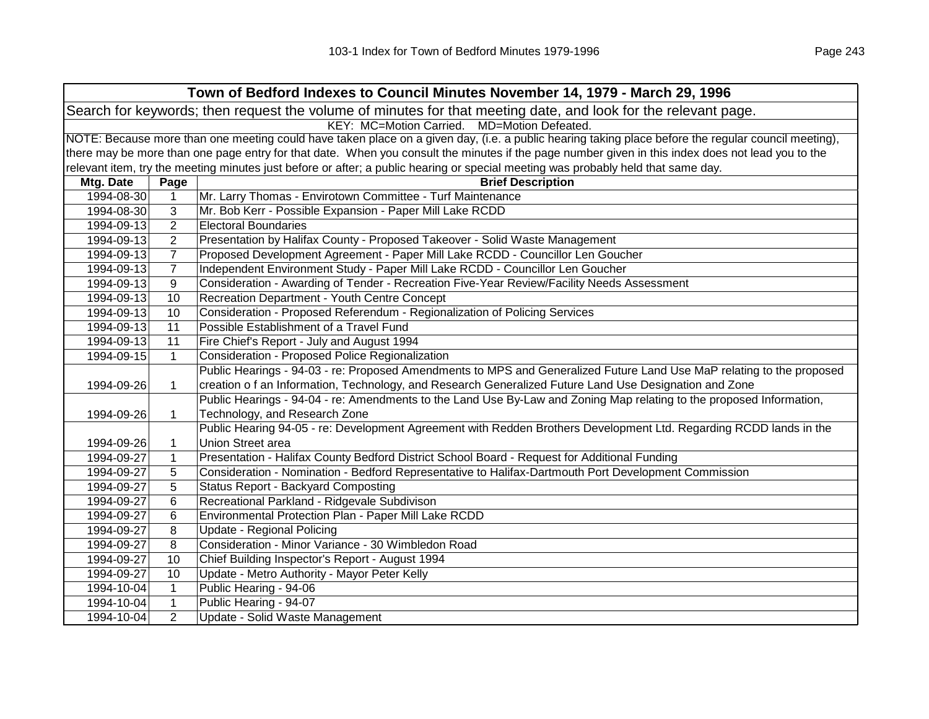| Town of Bedford Indexes to Council Minutes November 14, 1979 - March 29, 1996                                  |                                             |                                                                                                                                                     |  |  |
|----------------------------------------------------------------------------------------------------------------|---------------------------------------------|-----------------------------------------------------------------------------------------------------------------------------------------------------|--|--|
| Search for keywords; then request the volume of minutes for that meeting date, and look for the relevant page. |                                             |                                                                                                                                                     |  |  |
|                                                                                                                | KEY: MC=Motion Carried. MD=Motion Defeated. |                                                                                                                                                     |  |  |
|                                                                                                                |                                             | NOTE: Because more than one meeting could have taken place on a given day, (i.e. a public hearing taking place before the regular council meeting), |  |  |
|                                                                                                                |                                             | there may be more than one page entry for that date. When you consult the minutes if the page number given in this index does not lead you to the   |  |  |
|                                                                                                                |                                             | relevant item, try the meeting minutes just before or after; a public hearing or special meeting was probably held that same day.                   |  |  |
| Mtg. Date                                                                                                      | Page                                        | <b>Brief Description</b>                                                                                                                            |  |  |
| 1994-08-30                                                                                                     | $\mathbf{1}$                                | Mr. Larry Thomas - Envirotown Committee - Turf Maintenance                                                                                          |  |  |
| 1994-08-30                                                                                                     | 3                                           | Mr. Bob Kerr - Possible Expansion - Paper Mill Lake RCDD                                                                                            |  |  |
| 1994-09-13                                                                                                     | $\overline{2}$                              | <b>Electoral Boundaries</b>                                                                                                                         |  |  |
| 1994-09-13                                                                                                     | $\overline{2}$                              | Presentation by Halifax County - Proposed Takeover - Solid Waste Management                                                                         |  |  |
| 1994-09-13                                                                                                     | $\overline{7}$                              | Proposed Development Agreement - Paper Mill Lake RCDD - Councillor Len Goucher                                                                      |  |  |
| 1994-09-13                                                                                                     | $\overline{7}$                              | Independent Environment Study - Paper Mill Lake RCDD - Councillor Len Goucher                                                                       |  |  |
| 1994-09-13                                                                                                     | 9                                           | Consideration - Awarding of Tender - Recreation Five-Year Review/Facility Needs Assessment                                                          |  |  |
| 1994-09-13                                                                                                     | 10                                          | Recreation Department - Youth Centre Concept                                                                                                        |  |  |
| 1994-09-13                                                                                                     | 10                                          | Consideration - Proposed Referendum - Regionalization of Policing Services                                                                          |  |  |
| 1994-09-13                                                                                                     | 11                                          | Possible Establishment of a Travel Fund                                                                                                             |  |  |
| 1994-09-13                                                                                                     | 11                                          | Fire Chief's Report - July and August 1994                                                                                                          |  |  |
| 1994-09-15                                                                                                     | $\mathbf{1}$                                | Consideration - Proposed Police Regionalization                                                                                                     |  |  |
|                                                                                                                |                                             | Public Hearings - 94-03 - re: Proposed Amendments to MPS and Generalized Future Land Use MaP relating to the proposed                               |  |  |
| 1994-09-26                                                                                                     | 1                                           | creation o f an Information, Technology, and Research Generalized Future Land Use Designation and Zone                                              |  |  |
|                                                                                                                |                                             | Public Hearings - 94-04 - re: Amendments to the Land Use By-Law and Zoning Map relating to the proposed Information,                                |  |  |
| 1994-09-26                                                                                                     | $\mathbf{1}$                                | Technology, and Research Zone                                                                                                                       |  |  |
|                                                                                                                |                                             | Public Hearing 94-05 - re: Development Agreement with Redden Brothers Development Ltd. Regarding RCDD lands in the                                  |  |  |
| 1994-09-26                                                                                                     | 1                                           | Union Street area                                                                                                                                   |  |  |
| 1994-09-27                                                                                                     | $\mathbf{1}$                                | Presentation - Halifax County Bedford District School Board - Request for Additional Funding                                                        |  |  |
| 1994-09-27                                                                                                     | 5                                           | Consideration - Nomination - Bedford Representative to Halifax-Dartmouth Port Development Commission                                                |  |  |
| 1994-09-27                                                                                                     | 5                                           | <b>Status Report - Backyard Composting</b>                                                                                                          |  |  |
| 1994-09-27                                                                                                     | 6                                           | Recreational Parkland - Ridgevale Subdivison                                                                                                        |  |  |
| 1994-09-27                                                                                                     | 6                                           | Environmental Protection Plan - Paper Mill Lake RCDD                                                                                                |  |  |
| 1994-09-27                                                                                                     | 8                                           | Update - Regional Policing                                                                                                                          |  |  |
| 1994-09-27                                                                                                     | 8                                           | Consideration - Minor Variance - 30 Wimbledon Road                                                                                                  |  |  |
| 1994-09-27                                                                                                     | 10                                          | Chief Building Inspector's Report - August 1994                                                                                                     |  |  |
| 1994-09-27                                                                                                     | 10                                          | Update - Metro Authority - Mayor Peter Kelly                                                                                                        |  |  |
| 1994-10-04                                                                                                     | $\mathbf{1}$                                | Public Hearing - 94-06                                                                                                                              |  |  |
| 1994-10-04                                                                                                     | $\mathbf{1}$                                | Public Hearing - 94-07                                                                                                                              |  |  |
| 1994-10-04                                                                                                     | $\overline{2}$                              | Update - Solid Waste Management                                                                                                                     |  |  |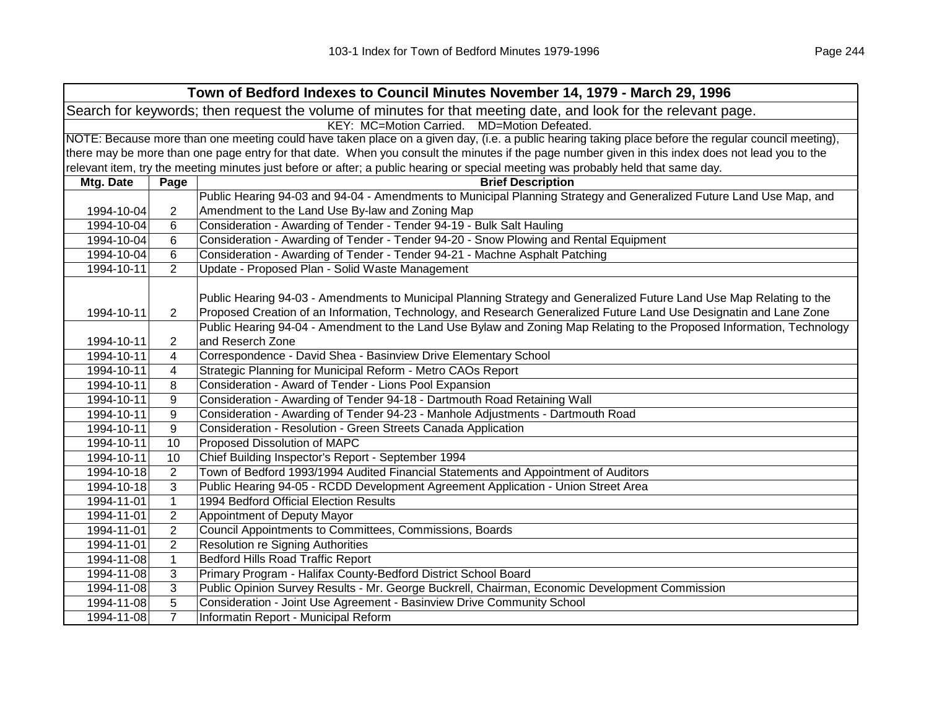|            | Town of Bedford Indexes to Council Minutes November 14, 1979 - March 29, 1996                                  |                                                                                                                                                     |  |  |
|------------|----------------------------------------------------------------------------------------------------------------|-----------------------------------------------------------------------------------------------------------------------------------------------------|--|--|
|            | Search for keywords; then request the volume of minutes for that meeting date, and look for the relevant page. |                                                                                                                                                     |  |  |
|            |                                                                                                                | KEY: MC=Motion Carried. MD=Motion Defeated.                                                                                                         |  |  |
|            |                                                                                                                | NOTE: Because more than one meeting could have taken place on a given day, (i.e. a public hearing taking place before the regular council meeting), |  |  |
|            |                                                                                                                | there may be more than one page entry for that date. When you consult the minutes if the page number given in this index does not lead you to the   |  |  |
|            |                                                                                                                | relevant item, try the meeting minutes just before or after; a public hearing or special meeting was probably held that same day.                   |  |  |
| Mtg. Date  | Page                                                                                                           | <b>Brief Description</b>                                                                                                                            |  |  |
|            |                                                                                                                | Public Hearing 94-03 and 94-04 - Amendments to Municipal Planning Strategy and Generalized Future Land Use Map, and                                 |  |  |
| 1994-10-04 | $\overline{2}$                                                                                                 | Amendment to the Land Use By-law and Zoning Map                                                                                                     |  |  |
| 1994-10-04 | 6                                                                                                              | Consideration - Awarding of Tender - Tender 94-19 - Bulk Salt Hauling                                                                               |  |  |
| 1994-10-04 | 6                                                                                                              | Consideration - Awarding of Tender - Tender 94-20 - Snow Plowing and Rental Equipment                                                               |  |  |
| 1994-10-04 | 6                                                                                                              | Consideration - Awarding of Tender - Tender 94-21 - Machne Asphalt Patching                                                                         |  |  |
| 1994-10-11 | $\overline{2}$                                                                                                 | Update - Proposed Plan - Solid Waste Management                                                                                                     |  |  |
|            |                                                                                                                |                                                                                                                                                     |  |  |
|            |                                                                                                                | Public Hearing 94-03 - Amendments to Municipal Planning Strategy and Generalized Future Land Use Map Relating to the                                |  |  |
| 1994-10-11 | $\overline{2}$                                                                                                 | Proposed Creation of an Information, Technology, and Research Generalized Future Land Use Designatin and Lane Zone                                  |  |  |
|            |                                                                                                                | Public Hearing 94-04 - Amendment to the Land Use Bylaw and Zoning Map Relating to the Proposed Information, Technology                              |  |  |
| 1994-10-11 | 2                                                                                                              | and Reserch Zone                                                                                                                                    |  |  |
| 1994-10-11 | $\overline{\mathbf{4}}$                                                                                        | Correspondence - David Shea - Basinview Drive Elementary School                                                                                     |  |  |
| 1994-10-11 | 4                                                                                                              | Strategic Planning for Municipal Reform - Metro CAOs Report                                                                                         |  |  |
| 1994-10-11 | 8                                                                                                              | Consideration - Award of Tender - Lions Pool Expansion                                                                                              |  |  |
| 1994-10-11 | 9                                                                                                              | Consideration - Awarding of Tender 94-18 - Dartmouth Road Retaining Wall                                                                            |  |  |
| 1994-10-11 | 9                                                                                                              | Consideration - Awarding of Tender 94-23 - Manhole Adjustments - Dartmouth Road                                                                     |  |  |
| 1994-10-11 | 9                                                                                                              | Consideration - Resolution - Green Streets Canada Application                                                                                       |  |  |
| 1994-10-11 | 10                                                                                                             | Proposed Dissolution of MAPC                                                                                                                        |  |  |
| 1994-10-11 | 10                                                                                                             | Chief Building Inspector's Report - September 1994                                                                                                  |  |  |
| 1994-10-18 | 2                                                                                                              | Town of Bedford 1993/1994 Audited Financial Statements and Appointment of Auditors                                                                  |  |  |
| 1994-10-18 | 3                                                                                                              | Public Hearing 94-05 - RCDD Development Agreement Application - Union Street Area                                                                   |  |  |
| 1994-11-01 | $\mathbf{1}$                                                                                                   | 1994 Bedford Official Election Results                                                                                                              |  |  |
| 1994-11-01 | 2                                                                                                              | Appointment of Deputy Mayor                                                                                                                         |  |  |
| 1994-11-01 | $\overline{2}$                                                                                                 | Council Appointments to Committees, Commissions, Boards                                                                                             |  |  |
| 1994-11-01 | $\overline{2}$                                                                                                 | <b>Resolution re Signing Authorities</b>                                                                                                            |  |  |
| 1994-11-08 | $\mathbf{1}$                                                                                                   | <b>Bedford Hills Road Traffic Report</b>                                                                                                            |  |  |
| 1994-11-08 | 3                                                                                                              | Primary Program - Halifax County-Bedford District School Board                                                                                      |  |  |
| 1994-11-08 | 3                                                                                                              | Public Opinion Survey Results - Mr. George Buckrell, Chairman, Economic Development Commission                                                      |  |  |
| 1994-11-08 | 5                                                                                                              | Consideration - Joint Use Agreement - Basinview Drive Community School                                                                              |  |  |
| 1994-11-08 | $\overline{7}$                                                                                                 | Informatin Report - Municipal Reform                                                                                                                |  |  |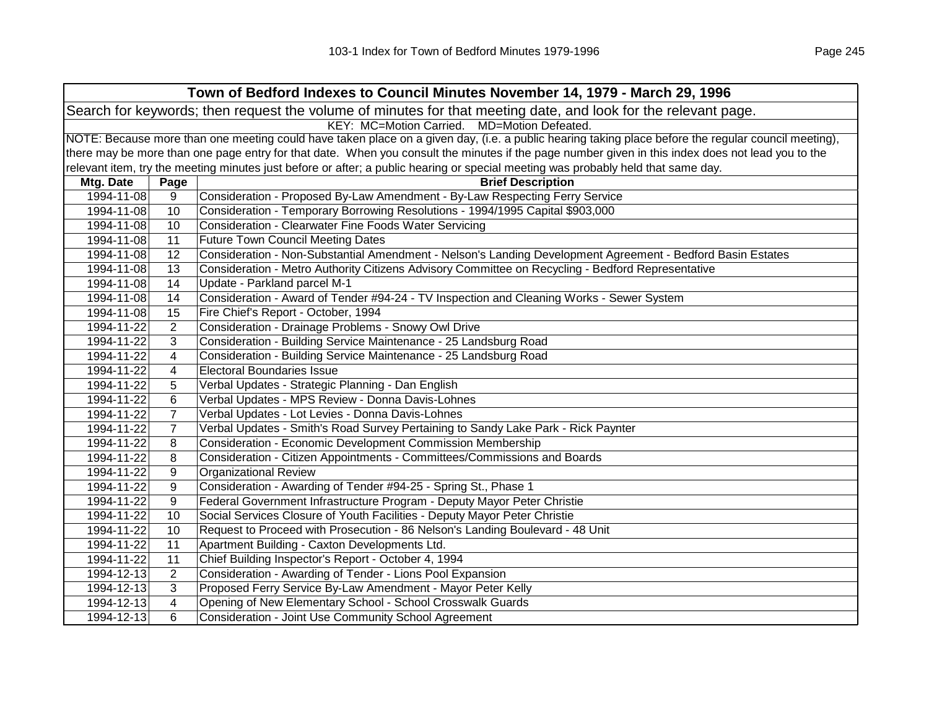|            |                | Town of Bedford Indexes to Council Minutes November 14, 1979 - March 29, 1996                                                                       |
|------------|----------------|-----------------------------------------------------------------------------------------------------------------------------------------------------|
|            |                | Search for keywords; then request the volume of minutes for that meeting date, and look for the relevant page.                                      |
|            |                | KEY: MC=Motion Carried. MD=Motion Defeated.                                                                                                         |
|            |                | NOTE: Because more than one meeting could have taken place on a given day, (i.e. a public hearing taking place before the regular council meeting), |
|            |                | there may be more than one page entry for that date. When you consult the minutes if the page number given in this index does not lead you to the   |
|            |                | relevant item, try the meeting minutes just before or after; a public hearing or special meeting was probably held that same day.                   |
| Mtg. Date  | Page           | <b>Brief Description</b>                                                                                                                            |
| 1994-11-08 | 9              | Consideration - Proposed By-Law Amendment - By-Law Respecting Ferry Service                                                                         |
| 1994-11-08 | 10             | Consideration - Temporary Borrowing Resolutions - 1994/1995 Capital \$903,000                                                                       |
| 1994-11-08 | 10             | Consideration - Clearwater Fine Foods Water Servicing                                                                                               |
| 1994-11-08 | 11             | <b>Future Town Council Meeting Dates</b>                                                                                                            |
| 1994-11-08 | 12             | Consideration - Non-Substantial Amendment - Nelson's Landing Development Agreement - Bedford Basin Estates                                          |
| 1994-11-08 | 13             | Consideration - Metro Authority Citizens Advisory Committee on Recycling - Bedford Representative                                                   |
| 1994-11-08 | 14             | Update - Parkland parcel M-1                                                                                                                        |
| 1994-11-08 | 14             | Consideration - Award of Tender #94-24 - TV Inspection and Cleaning Works - Sewer System                                                            |
| 1994-11-08 | 15             | Fire Chief's Report - October, 1994                                                                                                                 |
| 1994-11-22 | $\overline{2}$ | Consideration - Drainage Problems - Snowy Owl Drive                                                                                                 |
| 1994-11-22 | 3              | Consideration - Building Service Maintenance - 25 Landsburg Road                                                                                    |
| 1994-11-22 | 4              | Consideration - Building Service Maintenance - 25 Landsburg Road                                                                                    |
| 1994-11-22 | 4              | <b>Electoral Boundaries Issue</b>                                                                                                                   |
| 1994-11-22 | 5              | Verbal Updates - Strategic Planning - Dan English                                                                                                   |
| 1994-11-22 | 6              | Verbal Updates - MPS Review - Donna Davis-Lohnes                                                                                                    |
| 1994-11-22 | $\overline{7}$ | Verbal Updates - Lot Levies - Donna Davis-Lohnes                                                                                                    |
| 1994-11-22 | $\overline{7}$ | Verbal Updates - Smith's Road Survey Pertaining to Sandy Lake Park - Rick Paynter                                                                   |
| 1994-11-22 | 8              | <b>Consideration - Economic Development Commission Membership</b>                                                                                   |
| 1994-11-22 | 8              | Consideration - Citizen Appointments - Committees/Commissions and Boards                                                                            |
| 1994-11-22 | 9              | <b>Organizational Review</b>                                                                                                                        |
| 1994-11-22 | 9              | Consideration - Awarding of Tender #94-25 - Spring St., Phase 1                                                                                     |
| 1994-11-22 | 9              | Federal Government Infrastructure Program - Deputy Mayor Peter Christie                                                                             |
| 1994-11-22 | 10             | Social Services Closure of Youth Facilities - Deputy Mayor Peter Christie                                                                           |
| 1994-11-22 | 10             | Request to Proceed with Prosecution - 86 Nelson's Landing Boulevard - 48 Unit                                                                       |
| 1994-11-22 | 11             | Apartment Building - Caxton Developments Ltd.                                                                                                       |
| 1994-11-22 | 11             | Chief Building Inspector's Report - October 4, 1994                                                                                                 |
| 1994-12-13 | $\overline{2}$ | Consideration - Awarding of Tender - Lions Pool Expansion                                                                                           |
| 1994-12-13 | 3              | Proposed Ferry Service By-Law Amendment - Mayor Peter Kelly                                                                                         |
| 1994-12-13 | 4              | Opening of New Elementary School - School Crosswalk Guards                                                                                          |
| 1994-12-13 | 6              | <b>Consideration - Joint Use Community School Agreement</b>                                                                                         |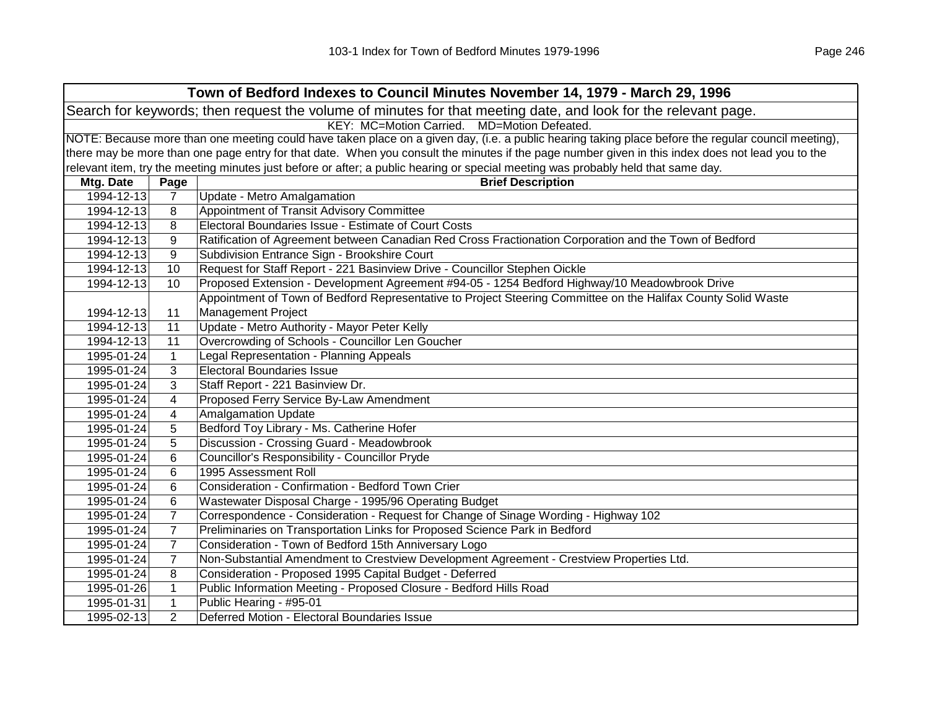| Town of Bedford Indexes to Council Minutes November 14, 1979 - March 29, 1996                                  |                                                                                                                                                     |                                                                                                                                                   |  |  |  |
|----------------------------------------------------------------------------------------------------------------|-----------------------------------------------------------------------------------------------------------------------------------------------------|---------------------------------------------------------------------------------------------------------------------------------------------------|--|--|--|
| Search for keywords; then request the volume of minutes for that meeting date, and look for the relevant page. |                                                                                                                                                     |                                                                                                                                                   |  |  |  |
|                                                                                                                |                                                                                                                                                     | KEY: MC=Motion Carried. MD=Motion Defeated.                                                                                                       |  |  |  |
|                                                                                                                | NOTE: Because more than one meeting could have taken place on a given day, (i.e. a public hearing taking place before the regular council meeting), |                                                                                                                                                   |  |  |  |
|                                                                                                                |                                                                                                                                                     | there may be more than one page entry for that date. When you consult the minutes if the page number given in this index does not lead you to the |  |  |  |
|                                                                                                                |                                                                                                                                                     | relevant item, try the meeting minutes just before or after; a public hearing or special meeting was probably held that same day.                 |  |  |  |
| Mtg. Date                                                                                                      | Page                                                                                                                                                | <b>Brief Description</b>                                                                                                                          |  |  |  |
| 1994-12-13                                                                                                     | $\overline{7}$                                                                                                                                      | Update - Metro Amalgamation                                                                                                                       |  |  |  |
| 1994-12-13                                                                                                     | 8                                                                                                                                                   | Appointment of Transit Advisory Committee                                                                                                         |  |  |  |
| 1994-12-13                                                                                                     | 8                                                                                                                                                   | Electoral Boundaries Issue - Estimate of Court Costs                                                                                              |  |  |  |
| 1994-12-13                                                                                                     | 9                                                                                                                                                   | Ratification of Agreement between Canadian Red Cross Fractionation Corporation and the Town of Bedford                                            |  |  |  |
| 1994-12-13                                                                                                     | 9                                                                                                                                                   | Subdivision Entrance Sign - Brookshire Court                                                                                                      |  |  |  |
| 1994-12-13                                                                                                     | 10                                                                                                                                                  | Request for Staff Report - 221 Basinview Drive - Councillor Stephen Oickle                                                                        |  |  |  |
| 1994-12-13                                                                                                     | 10                                                                                                                                                  | Proposed Extension - Development Agreement #94-05 - 1254 Bedford Highway/10 Meadowbrook Drive                                                     |  |  |  |
|                                                                                                                |                                                                                                                                                     | Appointment of Town of Bedford Representative to Project Steering Committee on the Halifax County Solid Waste                                     |  |  |  |
| 1994-12-13                                                                                                     | 11                                                                                                                                                  | <b>Management Project</b>                                                                                                                         |  |  |  |
| 1994-12-13                                                                                                     | 11                                                                                                                                                  | Update - Metro Authority - Mayor Peter Kelly                                                                                                      |  |  |  |
| 1994-12-13                                                                                                     | 11                                                                                                                                                  | Overcrowding of Schools - Councillor Len Goucher                                                                                                  |  |  |  |
| 1995-01-24                                                                                                     | $\mathbf{1}$                                                                                                                                        | Legal Representation - Planning Appeals                                                                                                           |  |  |  |
| 1995-01-24                                                                                                     | 3                                                                                                                                                   | <b>Electoral Boundaries Issue</b>                                                                                                                 |  |  |  |
| 1995-01-24                                                                                                     | 3                                                                                                                                                   | Staff Report - 221 Basinview Dr.                                                                                                                  |  |  |  |
| 1995-01-24                                                                                                     | 4                                                                                                                                                   | Proposed Ferry Service By-Law Amendment                                                                                                           |  |  |  |
| 1995-01-24                                                                                                     | 4                                                                                                                                                   | Amalgamation Update                                                                                                                               |  |  |  |
| 1995-01-24                                                                                                     | 5                                                                                                                                                   | Bedford Toy Library - Ms. Catherine Hofer                                                                                                         |  |  |  |
| 1995-01-24                                                                                                     | 5                                                                                                                                                   | Discussion - Crossing Guard - Meadowbrook                                                                                                         |  |  |  |
| 1995-01-24                                                                                                     | 6                                                                                                                                                   | Councillor's Responsibility - Councillor Pryde                                                                                                    |  |  |  |
| 1995-01-24                                                                                                     | 6                                                                                                                                                   | 1995 Assessment Roll                                                                                                                              |  |  |  |
| 1995-01-24                                                                                                     | 6                                                                                                                                                   | Consideration - Confirmation - Bedford Town Crier                                                                                                 |  |  |  |
| 1995-01-24                                                                                                     | 6                                                                                                                                                   | Wastewater Disposal Charge - 1995/96 Operating Budget                                                                                             |  |  |  |
| 1995-01-24                                                                                                     | $\overline{7}$                                                                                                                                      | Correspondence - Consideration - Request for Change of Sinage Wording - Highway 102                                                               |  |  |  |
| 1995-01-24                                                                                                     | $\overline{7}$                                                                                                                                      | Preliminaries on Transportation Links for Proposed Science Park in Bedford                                                                        |  |  |  |
| 1995-01-24                                                                                                     | $\overline{7}$                                                                                                                                      | Consideration - Town of Bedford 15th Anniversary Logo                                                                                             |  |  |  |
| 1995-01-24                                                                                                     | $\overline{7}$                                                                                                                                      | Non-Substantial Amendment to Crestview Development Agreement - Crestview Properties Ltd.                                                          |  |  |  |
| 1995-01-24                                                                                                     | 8                                                                                                                                                   | Consideration - Proposed 1995 Capital Budget - Deferred                                                                                           |  |  |  |
| 1995-01-26                                                                                                     | $\mathbf{1}$                                                                                                                                        | Public Information Meeting - Proposed Closure - Bedford Hills Road                                                                                |  |  |  |
| 1995-01-31                                                                                                     | $\mathbf{1}$                                                                                                                                        | Public Hearing - #95-01                                                                                                                           |  |  |  |
| 1995-02-13                                                                                                     | $\overline{2}$                                                                                                                                      | Deferred Motion - Electoral Boundaries Issue                                                                                                      |  |  |  |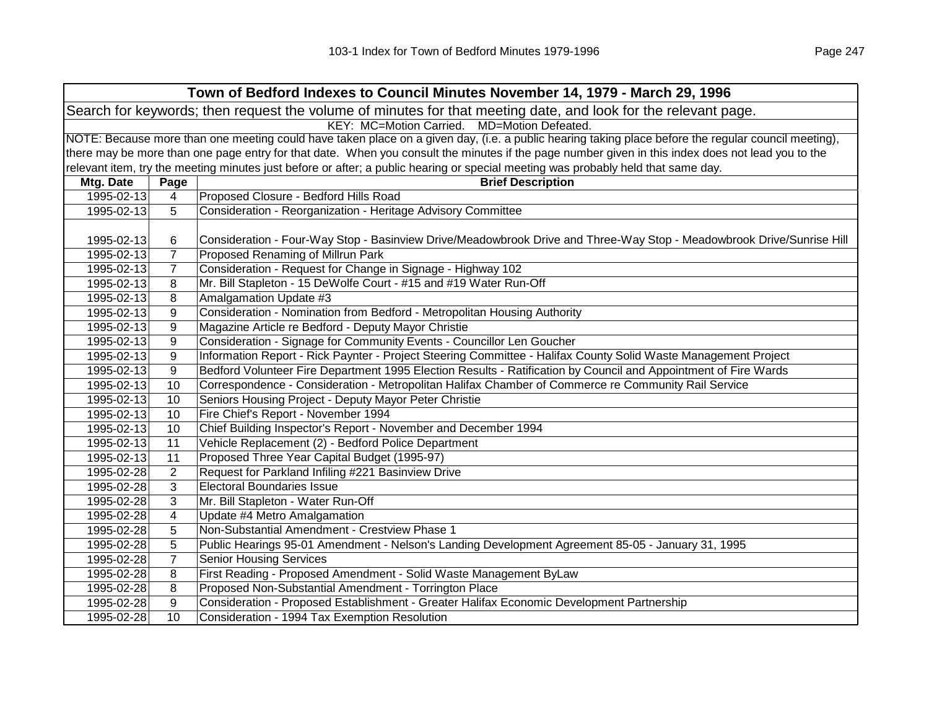| Town of Bedford Indexes to Council Minutes November 14, 1979 - March 29, 1996                                  |                |                                                                                                                                                     |  |
|----------------------------------------------------------------------------------------------------------------|----------------|-----------------------------------------------------------------------------------------------------------------------------------------------------|--|
| Search for keywords; then request the volume of minutes for that meeting date, and look for the relevant page. |                |                                                                                                                                                     |  |
|                                                                                                                |                | KEY: MC=Motion Carried. MD=Motion Defeated.                                                                                                         |  |
|                                                                                                                |                | NOTE: Because more than one meeting could have taken place on a given day, (i.e. a public hearing taking place before the regular council meeting), |  |
|                                                                                                                |                | there may be more than one page entry for that date. When you consult the minutes if the page number given in this index does not lead you to the   |  |
|                                                                                                                |                | relevant item, try the meeting minutes just before or after; a public hearing or special meeting was probably held that same day.                   |  |
| Mtg. Date                                                                                                      | Page           | <b>Brief Description</b>                                                                                                                            |  |
| 1995-02-13                                                                                                     | $\overline{4}$ | Proposed Closure - Bedford Hills Road                                                                                                               |  |
| 1995-02-13                                                                                                     | 5              | Consideration - Reorganization - Heritage Advisory Committee                                                                                        |  |
|                                                                                                                |                |                                                                                                                                                     |  |
| 1995-02-13                                                                                                     | 6              | Consideration - Four-Way Stop - Basinview Drive/Meadowbrook Drive and Three-Way Stop - Meadowbrook Drive/Sunrise Hill                               |  |
| 1995-02-13                                                                                                     | $\overline{7}$ | Proposed Renaming of Millrun Park                                                                                                                   |  |
| 1995-02-13                                                                                                     | $\overline{7}$ | Consideration - Request for Change in Signage - Highway 102                                                                                         |  |
| 1995-02-13                                                                                                     | 8              | Mr. Bill Stapleton - 15 DeWolfe Court - #15 and #19 Water Run-Off                                                                                   |  |
| 1995-02-13                                                                                                     | 8              | Amalgamation Update #3                                                                                                                              |  |
| 1995-02-13                                                                                                     | 9              | Consideration - Nomination from Bedford - Metropolitan Housing Authority                                                                            |  |
| 1995-02-13                                                                                                     | 9              | Magazine Article re Bedford - Deputy Mayor Christie                                                                                                 |  |
| 1995-02-13                                                                                                     | 9              | Consideration - Signage for Community Events - Councillor Len Goucher                                                                               |  |
| 1995-02-13                                                                                                     | 9              | Information Report - Rick Paynter - Project Steering Committee - Halifax County Solid Waste Management Project                                      |  |
| 1995-02-13                                                                                                     | 9              | Bedford Volunteer Fire Department 1995 Election Results - Ratification by Council and Appointment of Fire Wards                                     |  |
| 1995-02-13                                                                                                     | 10             | Correspondence - Consideration - Metropolitan Halifax Chamber of Commerce re Community Rail Service                                                 |  |
| 1995-02-13                                                                                                     | 10             | Seniors Housing Project - Deputy Mayor Peter Christie                                                                                               |  |
| 1995-02-13                                                                                                     | 10             | Fire Chief's Report - November 1994                                                                                                                 |  |
| 1995-02-13                                                                                                     | 10             | Chief Building Inspector's Report - November and December 1994                                                                                      |  |
| 1995-02-13                                                                                                     | 11             | Vehicle Replacement (2) - Bedford Police Department                                                                                                 |  |
| 1995-02-13                                                                                                     | 11             | Proposed Three Year Capital Budget (1995-97)                                                                                                        |  |
| 1995-02-28                                                                                                     | 2              | Request for Parkland Infiling #221 Basinview Drive                                                                                                  |  |
| 1995-02-28                                                                                                     | 3              | <b>Electoral Boundaries Issue</b>                                                                                                                   |  |
| 1995-02-28                                                                                                     | 3              | Mr. Bill Stapleton - Water Run-Off                                                                                                                  |  |
| 1995-02-28                                                                                                     | 4              | Update #4 Metro Amalgamation                                                                                                                        |  |
| 1995-02-28                                                                                                     | 5              | Non-Substantial Amendment - Crestview Phase 1                                                                                                       |  |
| 1995-02-28                                                                                                     | 5              | Public Hearings 95-01 Amendment - Nelson's Landing Development Agreement 85-05 - January 31, 1995                                                   |  |
| 1995-02-28                                                                                                     | $\overline{7}$ | <b>Senior Housing Services</b>                                                                                                                      |  |
| 1995-02-28                                                                                                     | 8              | First Reading - Proposed Amendment - Solid Waste Management ByLaw                                                                                   |  |
| 1995-02-28                                                                                                     | 8              | Proposed Non-Substantial Amendment - Torrington Place                                                                                               |  |
| 1995-02-28                                                                                                     | 9              | Consideration - Proposed Establishment - Greater Halifax Economic Development Partnership                                                           |  |
| 1995-02-28                                                                                                     | 10             | Consideration - 1994 Tax Exemption Resolution                                                                                                       |  |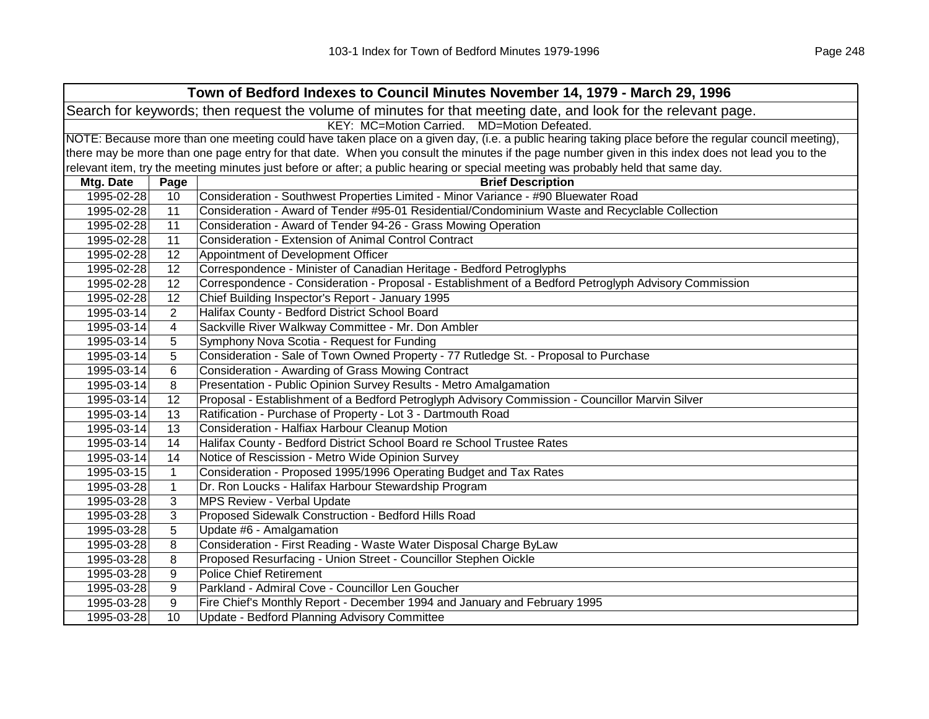| Town of Bedford Indexes to Council Minutes November 14, 1979 - March 29, 1996 |                                                                                                                |                                                                                                                                                     |  |  |
|-------------------------------------------------------------------------------|----------------------------------------------------------------------------------------------------------------|-----------------------------------------------------------------------------------------------------------------------------------------------------|--|--|
|                                                                               | Search for keywords; then request the volume of minutes for that meeting date, and look for the relevant page. |                                                                                                                                                     |  |  |
| KEY: MC=Motion Carried. MD=Motion Defeated.                                   |                                                                                                                |                                                                                                                                                     |  |  |
|                                                                               |                                                                                                                | NOTE: Because more than one meeting could have taken place on a given day, (i.e. a public hearing taking place before the regular council meeting), |  |  |
|                                                                               |                                                                                                                | there may be more than one page entry for that date. When you consult the minutes if the page number given in this index does not lead you to the   |  |  |
|                                                                               |                                                                                                                | relevant item, try the meeting minutes just before or after; a public hearing or special meeting was probably held that same day.                   |  |  |
| Mtg. Date                                                                     | Page                                                                                                           | <b>Brief Description</b>                                                                                                                            |  |  |
| 1995-02-28                                                                    | 10                                                                                                             | Consideration - Southwest Properties Limited - Minor Variance - #90 Bluewater Road                                                                  |  |  |
| 1995-02-28                                                                    | 11                                                                                                             | Consideration - Award of Tender #95-01 Residential/Condominium Waste and Recyclable Collection                                                      |  |  |
| 1995-02-28                                                                    | 11                                                                                                             | Consideration - Award of Tender 94-26 - Grass Mowing Operation                                                                                      |  |  |
| 1995-02-28                                                                    | 11                                                                                                             | <b>Consideration - Extension of Animal Control Contract</b>                                                                                         |  |  |
| 1995-02-28                                                                    | 12                                                                                                             | Appointment of Development Officer                                                                                                                  |  |  |
| 1995-02-28                                                                    | 12                                                                                                             | Correspondence - Minister of Canadian Heritage - Bedford Petroglyphs                                                                                |  |  |
| 1995-02-28                                                                    | 12                                                                                                             | Correspondence - Consideration - Proposal - Establishment of a Bedford Petroglyph Advisory Commission                                               |  |  |
| 1995-02-28                                                                    | 12                                                                                                             | Chief Building Inspector's Report - January 1995                                                                                                    |  |  |
| 1995-03-14                                                                    | $\overline{2}$                                                                                                 | Halifax County - Bedford District School Board                                                                                                      |  |  |
| 1995-03-14                                                                    | 4                                                                                                              | Sackville River Walkway Committee - Mr. Don Ambler                                                                                                  |  |  |
| 1995-03-14                                                                    | 5                                                                                                              | Symphony Nova Scotia - Request for Funding                                                                                                          |  |  |
| 1995-03-14                                                                    | 5                                                                                                              | Consideration - Sale of Town Owned Property - 77 Rutledge St. - Proposal to Purchase                                                                |  |  |
| 1995-03-14                                                                    | 6                                                                                                              | Consideration - Awarding of Grass Mowing Contract                                                                                                   |  |  |
| 1995-03-14                                                                    | 8                                                                                                              | Presentation - Public Opinion Survey Results - Metro Amalgamation                                                                                   |  |  |
| 1995-03-14                                                                    | 12                                                                                                             | Proposal - Establishment of a Bedford Petroglyph Advisory Commission - Councillor Marvin Silver                                                     |  |  |
| 1995-03-14                                                                    | 13                                                                                                             | Ratification - Purchase of Property - Lot 3 - Dartmouth Road                                                                                        |  |  |
| 1995-03-14                                                                    | 13                                                                                                             | Consideration - Halfiax Harbour Cleanup Motion                                                                                                      |  |  |
| 1995-03-14                                                                    | 14                                                                                                             | Halifax County - Bedford District School Board re School Trustee Rates                                                                              |  |  |
| 1995-03-14                                                                    | 14                                                                                                             | Notice of Rescission - Metro Wide Opinion Survey                                                                                                    |  |  |
| 1995-03-15                                                                    | $\mathbf{1}$                                                                                                   | Consideration - Proposed 1995/1996 Operating Budget and Tax Rates                                                                                   |  |  |
| 1995-03-28                                                                    | $\mathbf{1}$                                                                                                   | Dr. Ron Loucks - Halifax Harbour Stewardship Program                                                                                                |  |  |
| 1995-03-28                                                                    | 3                                                                                                              | <b>MPS Review - Verbal Update</b>                                                                                                                   |  |  |
| 1995-03-28                                                                    | 3                                                                                                              | Proposed Sidewalk Construction - Bedford Hills Road                                                                                                 |  |  |
| 1995-03-28                                                                    | 5                                                                                                              | Update #6 - Amalgamation                                                                                                                            |  |  |
| 1995-03-28                                                                    | 8                                                                                                              | Consideration - First Reading - Waste Water Disposal Charge ByLaw                                                                                   |  |  |
| 1995-03-28                                                                    | 8                                                                                                              | Proposed Resurfacing - Union Street - Councillor Stephen Oickle                                                                                     |  |  |
| 1995-03-28                                                                    | 9                                                                                                              | <b>Police Chief Retirement</b>                                                                                                                      |  |  |
| 1995-03-28                                                                    | 9                                                                                                              | Parkland - Admiral Cove - Councillor Len Goucher                                                                                                    |  |  |
| 1995-03-28                                                                    | 9                                                                                                              | Fire Chief's Monthly Report - December 1994 and January and February 1995                                                                           |  |  |
| 1995-03-28                                                                    | 10                                                                                                             | Update - Bedford Planning Advisory Committee                                                                                                        |  |  |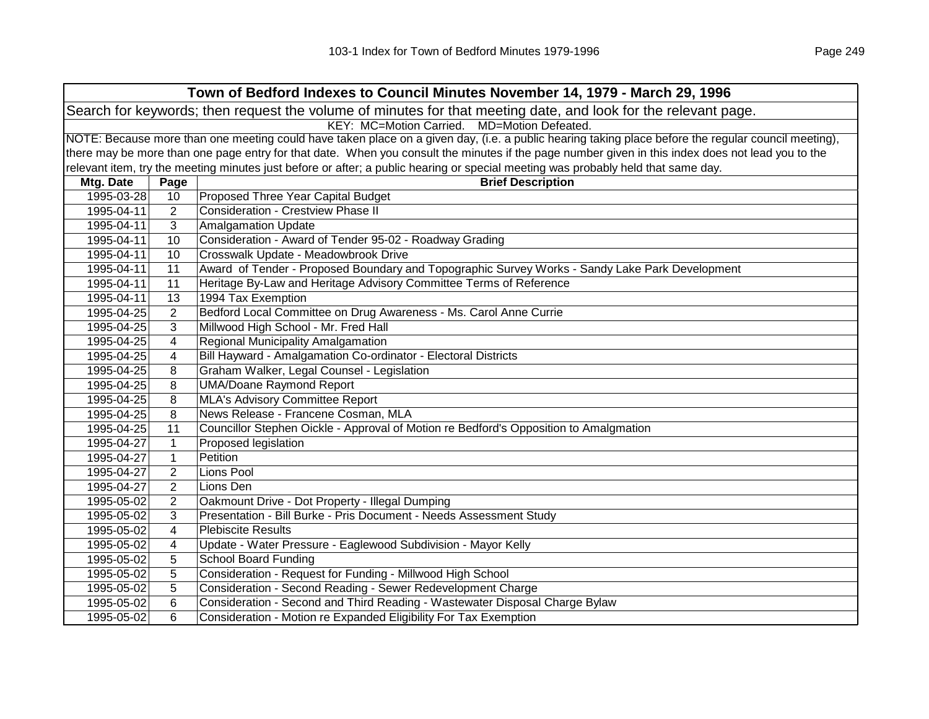| Town of Bedford Indexes to Council Minutes November 14, 1979 - March 29, 1996 |                                                                                                                |                                                                                                                                                     |  |
|-------------------------------------------------------------------------------|----------------------------------------------------------------------------------------------------------------|-----------------------------------------------------------------------------------------------------------------------------------------------------|--|
|                                                                               | Search for keywords; then request the volume of minutes for that meeting date, and look for the relevant page. |                                                                                                                                                     |  |
|                                                                               |                                                                                                                | KEY: MC=Motion Carried. MD=Motion Defeated.                                                                                                         |  |
|                                                                               |                                                                                                                | NOTE: Because more than one meeting could have taken place on a given day, (i.e. a public hearing taking place before the regular council meeting), |  |
|                                                                               |                                                                                                                | there may be more than one page entry for that date. When you consult the minutes if the page number given in this index does not lead you to the   |  |
|                                                                               |                                                                                                                | relevant item, try the meeting minutes just before or after; a public hearing or special meeting was probably held that same day.                   |  |
| Mtg. Date                                                                     | Page                                                                                                           | <b>Brief Description</b>                                                                                                                            |  |
| 1995-03-28                                                                    | 10 <sup>°</sup>                                                                                                | Proposed Three Year Capital Budget                                                                                                                  |  |
| 1995-04-11                                                                    | 2                                                                                                              | <b>Consideration - Crestview Phase II</b>                                                                                                           |  |
| 1995-04-11                                                                    | 3                                                                                                              | <b>Amalgamation Update</b>                                                                                                                          |  |
| 1995-04-11                                                                    | 10                                                                                                             | Consideration - Award of Tender 95-02 - Roadway Grading                                                                                             |  |
| 1995-04-11                                                                    | 10                                                                                                             | Crosswalk Update - Meadowbrook Drive                                                                                                                |  |
| 1995-04-11                                                                    | 11                                                                                                             | Award of Tender - Proposed Boundary and Topographic Survey Works - Sandy Lake Park Development                                                      |  |
| 1995-04-11                                                                    | 11                                                                                                             | Heritage By-Law and Heritage Advisory Committee Terms of Reference                                                                                  |  |
| 1995-04-11                                                                    | 13                                                                                                             | 1994 Tax Exemption                                                                                                                                  |  |
| 1995-04-25                                                                    | 2                                                                                                              | Bedford Local Committee on Drug Awareness - Ms. Carol Anne Currie                                                                                   |  |
| 1995-04-25                                                                    | 3                                                                                                              | Millwood High School - Mr. Fred Hall                                                                                                                |  |
| 1995-04-25                                                                    | 4                                                                                                              | Regional Municipality Amalgamation                                                                                                                  |  |
| 1995-04-25                                                                    | 4                                                                                                              | Bill Hayward - Amalgamation Co-ordinator - Electoral Districts                                                                                      |  |
| 1995-04-25                                                                    | 8                                                                                                              | Graham Walker, Legal Counsel - Legislation                                                                                                          |  |
| 1995-04-25                                                                    | 8                                                                                                              | <b>UMA/Doane Raymond Report</b>                                                                                                                     |  |
| 1995-04-25                                                                    | 8                                                                                                              | <b>MLA's Advisory Committee Report</b>                                                                                                              |  |
| 1995-04-25                                                                    | 8                                                                                                              | News Release - Francene Cosman, MLA                                                                                                                 |  |
| 1995-04-25                                                                    | 11                                                                                                             | Councillor Stephen Oickle - Approval of Motion re Bedford's Opposition to Amalgmation                                                               |  |
| 1995-04-27                                                                    | $\mathbf{1}$                                                                                                   | Proposed legislation                                                                                                                                |  |
| 1995-04-27                                                                    | $\mathbf{1}$                                                                                                   | Petition                                                                                                                                            |  |
| 1995-04-27                                                                    | 2                                                                                                              | Lions Pool                                                                                                                                          |  |
| 1995-04-27                                                                    | $\overline{2}$                                                                                                 | Lions Den                                                                                                                                           |  |
| 1995-05-02                                                                    | $\overline{2}$                                                                                                 | Oakmount Drive - Dot Property - Illegal Dumping                                                                                                     |  |
| 1995-05-02                                                                    | 3                                                                                                              | Presentation - Bill Burke - Pris Document - Needs Assessment Study                                                                                  |  |
| 1995-05-02                                                                    | 4                                                                                                              | <b>Plebiscite Results</b>                                                                                                                           |  |
| 1995-05-02                                                                    | 4                                                                                                              | Update - Water Pressure - Eaglewood Subdivision - Mayor Kelly                                                                                       |  |
| 1995-05-02                                                                    | 5                                                                                                              | <b>School Board Funding</b>                                                                                                                         |  |
| 1995-05-02                                                                    | 5                                                                                                              | Consideration - Request for Funding - Millwood High School                                                                                          |  |
| 1995-05-02                                                                    | 5                                                                                                              | Consideration - Second Reading - Sewer Redevelopment Charge                                                                                         |  |
| 1995-05-02                                                                    | 6                                                                                                              | Consideration - Second and Third Reading - Wastewater Disposal Charge Bylaw                                                                         |  |
| 1995-05-02                                                                    | 6                                                                                                              | Consideration - Motion re Expanded Eligibility For Tax Exemption                                                                                    |  |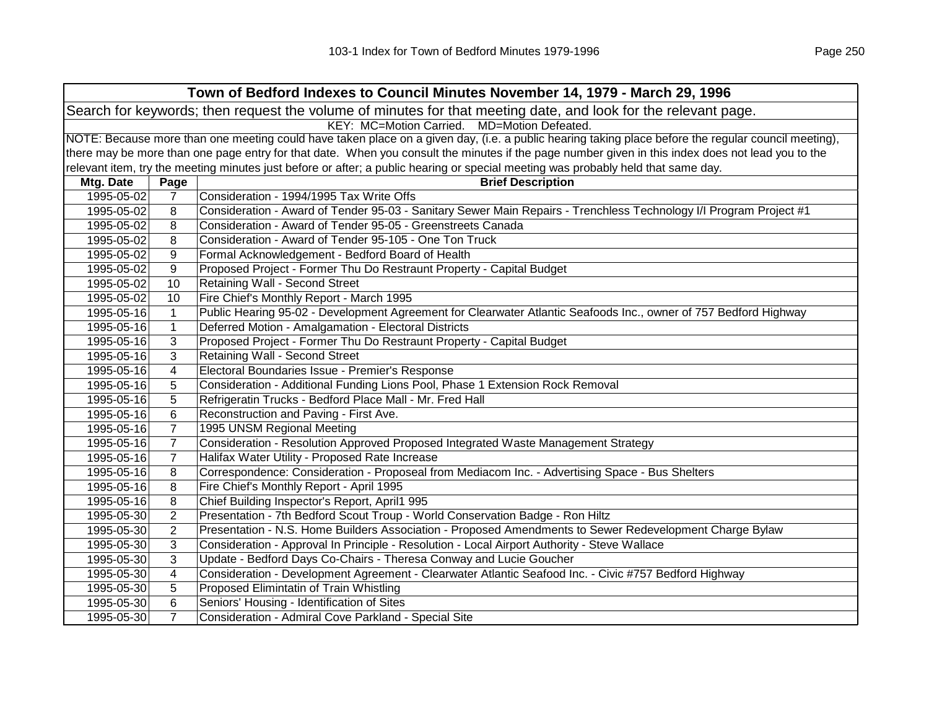| Town of Bedford Indexes to Council Minutes November 14, 1979 - March 29, 1996                                  |                                                                                                                                                     |                                                                                                                                                   |  |  |  |
|----------------------------------------------------------------------------------------------------------------|-----------------------------------------------------------------------------------------------------------------------------------------------------|---------------------------------------------------------------------------------------------------------------------------------------------------|--|--|--|
| Search for keywords; then request the volume of minutes for that meeting date, and look for the relevant page. |                                                                                                                                                     |                                                                                                                                                   |  |  |  |
|                                                                                                                |                                                                                                                                                     | KEY: MC=Motion Carried. MD=Motion Defeated.                                                                                                       |  |  |  |
|                                                                                                                | NOTE: Because more than one meeting could have taken place on a given day, (i.e. a public hearing taking place before the regular council meeting), |                                                                                                                                                   |  |  |  |
|                                                                                                                |                                                                                                                                                     | there may be more than one page entry for that date. When you consult the minutes if the page number given in this index does not lead you to the |  |  |  |
|                                                                                                                |                                                                                                                                                     | relevant item, try the meeting minutes just before or after; a public hearing or special meeting was probably held that same day.                 |  |  |  |
| Mtg. Date                                                                                                      | Page                                                                                                                                                | <b>Brief Description</b>                                                                                                                          |  |  |  |
| 1995-05-02                                                                                                     | $\overline{7}$                                                                                                                                      | Consideration - 1994/1995 Tax Write Offs                                                                                                          |  |  |  |
| 1995-05-02                                                                                                     | 8                                                                                                                                                   | Consideration - Award of Tender 95-03 - Sanitary Sewer Main Repairs - Trenchless Technology I/I Program Project #1                                |  |  |  |
| 1995-05-02                                                                                                     | 8                                                                                                                                                   | Consideration - Award of Tender 95-05 - Greenstreets Canada                                                                                       |  |  |  |
| 1995-05-02                                                                                                     | 8                                                                                                                                                   | Consideration - Award of Tender 95-105 - One Ton Truck                                                                                            |  |  |  |
| 1995-05-02                                                                                                     | 9                                                                                                                                                   | Formal Acknowledgement - Bedford Board of Health                                                                                                  |  |  |  |
| 1995-05-02                                                                                                     | 9                                                                                                                                                   | Proposed Project - Former Thu Do Restraunt Property - Capital Budget                                                                              |  |  |  |
| 1995-05-02                                                                                                     | 10                                                                                                                                                  | Retaining Wall - Second Street                                                                                                                    |  |  |  |
| 1995-05-02                                                                                                     | 10                                                                                                                                                  | Fire Chief's Monthly Report - March 1995                                                                                                          |  |  |  |
| 1995-05-16                                                                                                     | $\mathbf{1}$                                                                                                                                        | Public Hearing 95-02 - Development Agreement for Clearwater Atlantic Seafoods Inc., owner of 757 Bedford Highway                                  |  |  |  |
| 1995-05-16                                                                                                     | $\mathbf 1$                                                                                                                                         | Deferred Motion - Amalgamation - Electoral Districts                                                                                              |  |  |  |
| 1995-05-16                                                                                                     | 3                                                                                                                                                   | Proposed Project - Former Thu Do Restraunt Property - Capital Budget                                                                              |  |  |  |
| 1995-05-16                                                                                                     | 3                                                                                                                                                   | Retaining Wall - Second Street                                                                                                                    |  |  |  |
| 1995-05-16                                                                                                     | $\overline{\mathbf{4}}$                                                                                                                             | Electoral Boundaries Issue - Premier's Response                                                                                                   |  |  |  |
| 1995-05-16                                                                                                     | 5                                                                                                                                                   | Consideration - Additional Funding Lions Pool, Phase 1 Extension Rock Removal                                                                     |  |  |  |
| 1995-05-16                                                                                                     | 5                                                                                                                                                   | Refrigeratin Trucks - Bedford Place Mall - Mr. Fred Hall                                                                                          |  |  |  |
| 1995-05-16                                                                                                     | 6                                                                                                                                                   | Reconstruction and Paving - First Ave.                                                                                                            |  |  |  |
| 1995-05-16                                                                                                     | $\overline{7}$                                                                                                                                      | 1995 UNSM Regional Meeting                                                                                                                        |  |  |  |
| 1995-05-16                                                                                                     | $\overline{7}$                                                                                                                                      | Consideration - Resolution Approved Proposed Integrated Waste Management Strategy                                                                 |  |  |  |
| 1995-05-16                                                                                                     | $\overline{7}$                                                                                                                                      | Halifax Water Utility - Proposed Rate Increase                                                                                                    |  |  |  |
| 1995-05-16                                                                                                     | 8                                                                                                                                                   | Correspondence: Consideration - Proposeal from Mediacom Inc. - Advertising Space - Bus Shelters                                                   |  |  |  |
| 1995-05-16                                                                                                     | 8                                                                                                                                                   | Fire Chief's Monthly Report - April 1995                                                                                                          |  |  |  |
| 1995-05-16                                                                                                     | 8                                                                                                                                                   | Chief Building Inspector's Report, April1 995                                                                                                     |  |  |  |
| 1995-05-30                                                                                                     | $\overline{2}$                                                                                                                                      | Presentation - 7th Bedford Scout Troup - World Conservation Badge - Ron Hiltz                                                                     |  |  |  |
| 1995-05-30                                                                                                     | $\overline{2}$                                                                                                                                      | Presentation - N.S. Home Builders Association - Proposed Amendments to Sewer Redevelopment Charge Bylaw                                           |  |  |  |
| 1995-05-30                                                                                                     | 3                                                                                                                                                   | Consideration - Approval In Principle - Resolution - Local Airport Authority - Steve Wallace                                                      |  |  |  |
| 1995-05-30                                                                                                     | 3                                                                                                                                                   | Update - Bedford Days Co-Chairs - Theresa Conway and Lucie Goucher                                                                                |  |  |  |
| 1995-05-30                                                                                                     | 4                                                                                                                                                   | Consideration - Development Agreement - Clearwater Atlantic Seafood Inc. - Civic #757 Bedford Highway                                             |  |  |  |
| 1995-05-30                                                                                                     | 5                                                                                                                                                   | Proposed Elimintatin of Train Whistling                                                                                                           |  |  |  |
| 1995-05-30                                                                                                     | 6                                                                                                                                                   | Seniors' Housing - Identification of Sites                                                                                                        |  |  |  |
| 1995-05-30                                                                                                     | $\overline{7}$                                                                                                                                      | Consideration - Admiral Cove Parkland - Special Site                                                                                              |  |  |  |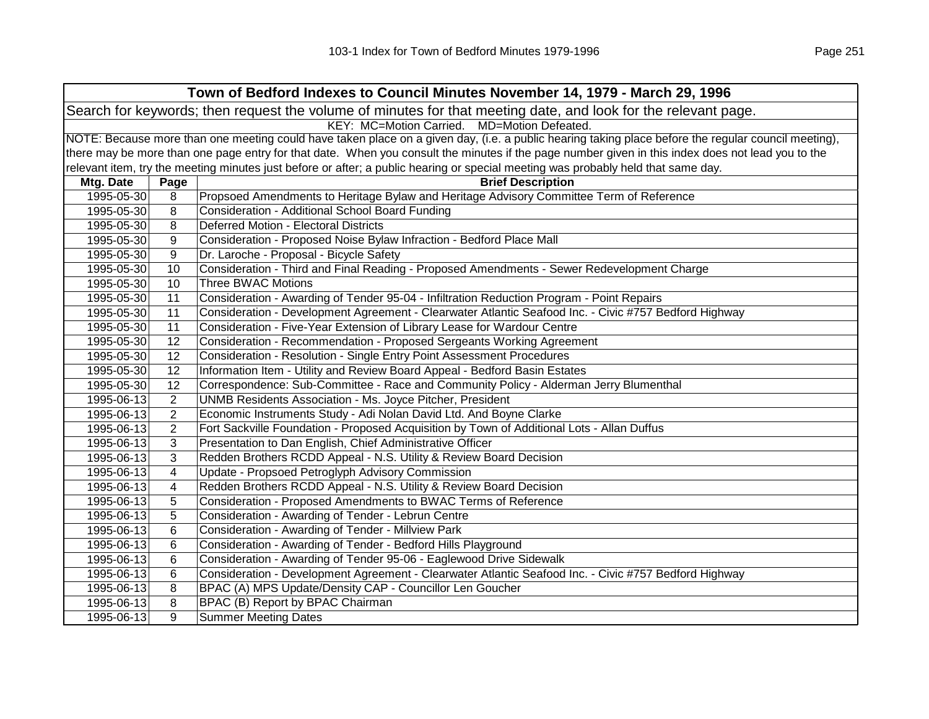|            | Town of Bedford Indexes to Council Minutes November 14, 1979 - March 29, 1996                                                                       |                                                                                                                                                   |  |  |  |
|------------|-----------------------------------------------------------------------------------------------------------------------------------------------------|---------------------------------------------------------------------------------------------------------------------------------------------------|--|--|--|
|            | Search for keywords; then request the volume of minutes for that meeting date, and look for the relevant page.                                      |                                                                                                                                                   |  |  |  |
|            | KEY: MC=Motion Carried. MD=Motion Defeated.                                                                                                         |                                                                                                                                                   |  |  |  |
|            | NOTE: Because more than one meeting could have taken place on a given day, (i.e. a public hearing taking place before the regular council meeting), |                                                                                                                                                   |  |  |  |
|            |                                                                                                                                                     | there may be more than one page entry for that date. When you consult the minutes if the page number given in this index does not lead you to the |  |  |  |
|            |                                                                                                                                                     | relevant item, try the meeting minutes just before or after; a public hearing or special meeting was probably held that same day.                 |  |  |  |
| Mtg. Date  | Page                                                                                                                                                | <b>Brief Description</b>                                                                                                                          |  |  |  |
| 1995-05-30 | 8                                                                                                                                                   | Propsoed Amendments to Heritage Bylaw and Heritage Advisory Committee Term of Reference                                                           |  |  |  |
| 1995-05-30 | 8                                                                                                                                                   | Consideration - Additional School Board Funding                                                                                                   |  |  |  |
| 1995-05-30 | 8                                                                                                                                                   | Deferred Motion - Electoral Districts                                                                                                             |  |  |  |
| 1995-05-30 | 9                                                                                                                                                   | Consideration - Proposed Noise Bylaw Infraction - Bedford Place Mall                                                                              |  |  |  |
| 1995-05-30 | 9                                                                                                                                                   | Dr. Laroche - Proposal - Bicycle Safety                                                                                                           |  |  |  |
| 1995-05-30 | 10                                                                                                                                                  | Consideration - Third and Final Reading - Proposed Amendments - Sewer Redevelopment Charge                                                        |  |  |  |
| 1995-05-30 | 10                                                                                                                                                  | <b>Three BWAC Motions</b>                                                                                                                         |  |  |  |
| 1995-05-30 | 11                                                                                                                                                  | Consideration - Awarding of Tender 95-04 - Infiltration Reduction Program - Point Repairs                                                         |  |  |  |
| 1995-05-30 | 11                                                                                                                                                  | Consideration - Development Agreement - Clearwater Atlantic Seafood Inc. - Civic #757 Bedford Highway                                             |  |  |  |
| 1995-05-30 | 11                                                                                                                                                  | Consideration - Five-Year Extension of Library Lease for Wardour Centre                                                                           |  |  |  |
| 1995-05-30 | 12                                                                                                                                                  | Consideration - Recommendation - Proposed Sergeants Working Agreement                                                                             |  |  |  |
| 1995-05-30 | 12                                                                                                                                                  | Consideration - Resolution - Single Entry Point Assessment Procedures                                                                             |  |  |  |
| 1995-05-30 | 12                                                                                                                                                  | Information Item - Utility and Review Board Appeal - Bedford Basin Estates                                                                        |  |  |  |
| 1995-05-30 | 12                                                                                                                                                  | Correspondence: Sub-Committee - Race and Community Policy - Alderman Jerry Blumenthal                                                             |  |  |  |
| 1995-06-13 | 2                                                                                                                                                   | UNMB Residents Association - Ms. Joyce Pitcher, President                                                                                         |  |  |  |
| 1995-06-13 | $\overline{2}$                                                                                                                                      | Economic Instruments Study - Adi Nolan David Ltd. And Boyne Clarke                                                                                |  |  |  |
| 1995-06-13 | $\overline{2}$                                                                                                                                      | Fort Sackville Foundation - Proposed Acquisition by Town of Additional Lots - Allan Duffus                                                        |  |  |  |
| 1995-06-13 | 3                                                                                                                                                   | Presentation to Dan English, Chief Administrative Officer                                                                                         |  |  |  |
| 1995-06-13 | 3                                                                                                                                                   | Redden Brothers RCDD Appeal - N.S. Utility & Review Board Decision                                                                                |  |  |  |
| 1995-06-13 | 4                                                                                                                                                   | Update - Propsoed Petroglyph Advisory Commission                                                                                                  |  |  |  |
| 1995-06-13 | 4                                                                                                                                                   | Redden Brothers RCDD Appeal - N.S. Utility & Review Board Decision                                                                                |  |  |  |
| 1995-06-13 | 5                                                                                                                                                   | Consideration - Proposed Amendments to BWAC Terms of Reference                                                                                    |  |  |  |
| 1995-06-13 | 5                                                                                                                                                   | Consideration - Awarding of Tender - Lebrun Centre                                                                                                |  |  |  |
| 1995-06-13 | 6                                                                                                                                                   | Consideration - Awarding of Tender - Millview Park                                                                                                |  |  |  |
| 1995-06-13 | 6                                                                                                                                                   | Consideration - Awarding of Tender - Bedford Hills Playground                                                                                     |  |  |  |
| 1995-06-13 | 6                                                                                                                                                   | Consideration - Awarding of Tender 95-06 - Eaglewood Drive Sidewalk                                                                               |  |  |  |
| 1995-06-13 | 6                                                                                                                                                   | Consideration - Development Agreement - Clearwater Atlantic Seafood Inc. - Civic #757 Bedford Highway                                             |  |  |  |
| 1995-06-13 | 8                                                                                                                                                   | BPAC (A) MPS Update/Density CAP - Councillor Len Goucher                                                                                          |  |  |  |
| 1995-06-13 | 8                                                                                                                                                   | BPAC (B) Report by BPAC Chairman                                                                                                                  |  |  |  |
| 1995-06-13 | 9                                                                                                                                                   | <b>Summer Meeting Dates</b>                                                                                                                       |  |  |  |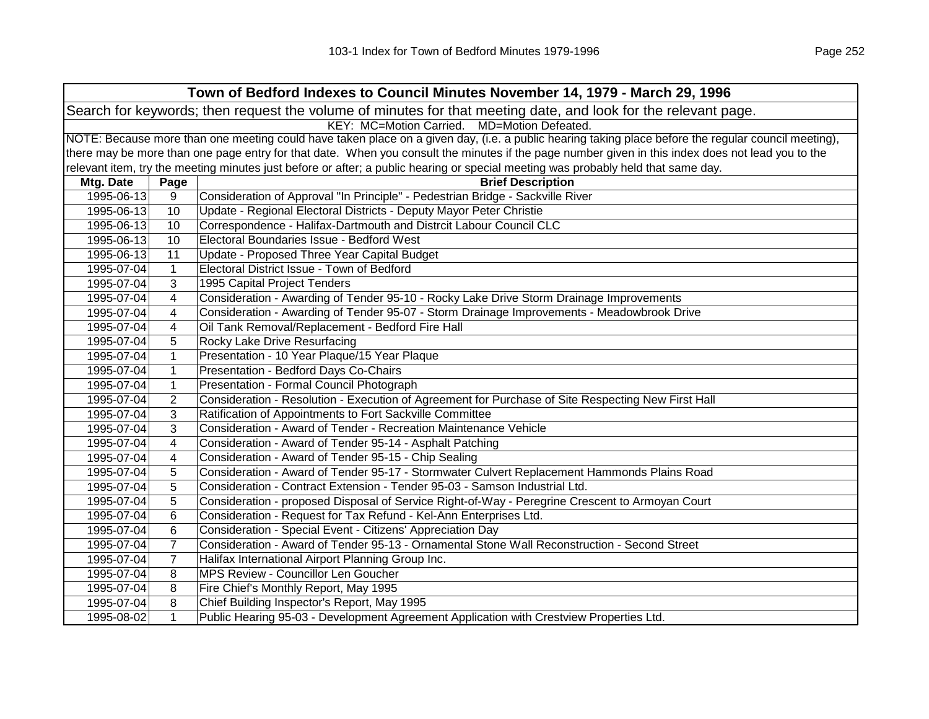|            | Town of Bedford Indexes to Council Minutes November 14, 1979 - March 29, 1996                                                                       |                                                                                                                                                   |  |  |  |
|------------|-----------------------------------------------------------------------------------------------------------------------------------------------------|---------------------------------------------------------------------------------------------------------------------------------------------------|--|--|--|
|            | Search for keywords; then request the volume of minutes for that meeting date, and look for the relevant page.                                      |                                                                                                                                                   |  |  |  |
|            | KEY: MC=Motion Carried. MD=Motion Defeated.                                                                                                         |                                                                                                                                                   |  |  |  |
|            | NOTE: Because more than one meeting could have taken place on a given day, (i.e. a public hearing taking place before the regular council meeting), |                                                                                                                                                   |  |  |  |
|            |                                                                                                                                                     | there may be more than one page entry for that date. When you consult the minutes if the page number given in this index does not lead you to the |  |  |  |
|            |                                                                                                                                                     | relevant item, try the meeting minutes just before or after; a public hearing or special meeting was probably held that same day.                 |  |  |  |
| Mtg. Date  | Page                                                                                                                                                | <b>Brief Description</b>                                                                                                                          |  |  |  |
| 1995-06-13 | 9                                                                                                                                                   | Consideration of Approval "In Principle" - Pedestrian Bridge - Sackville River                                                                    |  |  |  |
| 1995-06-13 | 10                                                                                                                                                  | Update - Regional Electoral Districts - Deputy Mayor Peter Christie                                                                               |  |  |  |
| 1995-06-13 | 10                                                                                                                                                  | Correspondence - Halifax-Dartmouth and Distrcit Labour Council CLC                                                                                |  |  |  |
| 1995-06-13 | 10                                                                                                                                                  | Electoral Boundaries Issue - Bedford West                                                                                                         |  |  |  |
| 1995-06-13 | 11                                                                                                                                                  | Update - Proposed Three Year Capital Budget                                                                                                       |  |  |  |
| 1995-07-04 | $\mathbf{1}$                                                                                                                                        | Electoral District Issue - Town of Bedford                                                                                                        |  |  |  |
| 1995-07-04 | 3                                                                                                                                                   | 1995 Capital Project Tenders                                                                                                                      |  |  |  |
| 1995-07-04 | $\overline{4}$                                                                                                                                      | Consideration - Awarding of Tender 95-10 - Rocky Lake Drive Storm Drainage Improvements                                                           |  |  |  |
| 1995-07-04 | $\overline{4}$                                                                                                                                      | Consideration - Awarding of Tender 95-07 - Storm Drainage Improvements - Meadowbrook Drive                                                        |  |  |  |
| 1995-07-04 | 4                                                                                                                                                   | Oil Tank Removal/Replacement - Bedford Fire Hall                                                                                                  |  |  |  |
| 1995-07-04 | 5                                                                                                                                                   | Rocky Lake Drive Resurfacing                                                                                                                      |  |  |  |
| 1995-07-04 | $\mathbf{1}$                                                                                                                                        | Presentation - 10 Year Plaque/15 Year Plaque                                                                                                      |  |  |  |
| 1995-07-04 | $\mathbf{1}$                                                                                                                                        | Presentation - Bedford Days Co-Chairs                                                                                                             |  |  |  |
| 1995-07-04 | $\mathbf{1}$                                                                                                                                        | Presentation - Formal Council Photograph                                                                                                          |  |  |  |
| 1995-07-04 | 2                                                                                                                                                   | Consideration - Resolution - Execution of Agreement for Purchase of Site Respecting New First Hall                                                |  |  |  |
| 1995-07-04 | 3                                                                                                                                                   | Ratification of Appointments to Fort Sackville Committee                                                                                          |  |  |  |
| 1995-07-04 | 3                                                                                                                                                   | Consideration - Award of Tender - Recreation Maintenance Vehicle                                                                                  |  |  |  |
| 1995-07-04 | $\overline{\mathbf{4}}$                                                                                                                             | Consideration - Award of Tender 95-14 - Asphalt Patching                                                                                          |  |  |  |
| 1995-07-04 | 4                                                                                                                                                   | Consideration - Award of Tender 95-15 - Chip Sealing                                                                                              |  |  |  |
| 1995-07-04 | 5                                                                                                                                                   | Consideration - Award of Tender 95-17 - Stormwater Culvert Replacement Hammonds Plains Road                                                       |  |  |  |
| 1995-07-04 | 5                                                                                                                                                   | Consideration - Contract Extension - Tender 95-03 - Samson Industrial Ltd.                                                                        |  |  |  |
| 1995-07-04 | 5                                                                                                                                                   | Consideration - proposed Disposal of Service Right-of-Way - Peregrine Crescent to Armoyan Court                                                   |  |  |  |
| 1995-07-04 | 6                                                                                                                                                   | Consideration - Request for Tax Refund - Kel-Ann Enterprises Ltd.                                                                                 |  |  |  |
| 1995-07-04 | 6                                                                                                                                                   | Consideration - Special Event - Citizens' Appreciation Day                                                                                        |  |  |  |
| 1995-07-04 | $\overline{7}$                                                                                                                                      | Consideration - Award of Tender 95-13 - Ornamental Stone Wall Reconstruction - Second Street                                                      |  |  |  |
| 1995-07-04 | $\overline{7}$                                                                                                                                      | Halifax International Airport Planning Group Inc.                                                                                                 |  |  |  |
| 1995-07-04 | 8                                                                                                                                                   | MPS Review - Councillor Len Goucher                                                                                                               |  |  |  |
| 1995-07-04 | 8                                                                                                                                                   | Fire Chief's Monthly Report, May 1995                                                                                                             |  |  |  |
| 1995-07-04 | 8                                                                                                                                                   | Chief Building Inspector's Report, May 1995                                                                                                       |  |  |  |
| 1995-08-02 | $\mathbf{1}$                                                                                                                                        | Public Hearing 95-03 - Development Agreement Application with Crestview Properties Ltd.                                                           |  |  |  |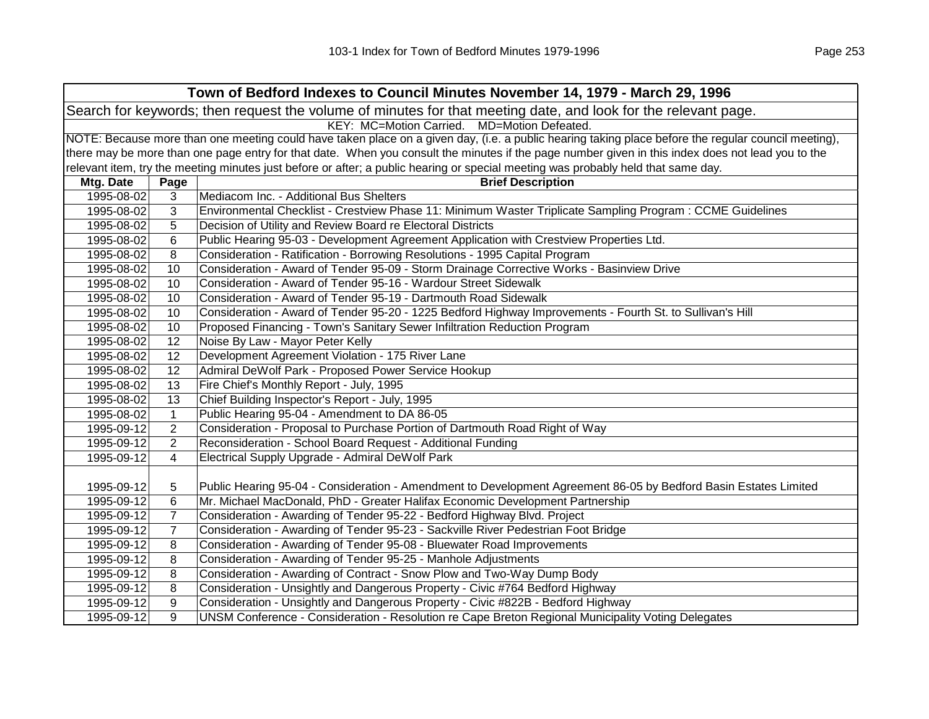| Town of Bedford Indexes to Council Minutes November 14, 1979 - March 29, 1996                                                                       |                |                                                                                                                                   |
|-----------------------------------------------------------------------------------------------------------------------------------------------------|----------------|-----------------------------------------------------------------------------------------------------------------------------------|
| Search for keywords; then request the volume of minutes for that meeting date, and look for the relevant page.                                      |                |                                                                                                                                   |
|                                                                                                                                                     |                | KEY: MC=Motion Carried. MD=Motion Defeated.                                                                                       |
| NOTE: Because more than one meeting could have taken place on a given day, (i.e. a public hearing taking place before the regular council meeting), |                |                                                                                                                                   |
| there may be more than one page entry for that date. When you consult the minutes if the page number given in this index does not lead you to the   |                |                                                                                                                                   |
|                                                                                                                                                     |                | relevant item, try the meeting minutes just before or after; a public hearing or special meeting was probably held that same day. |
| Mtg. Date                                                                                                                                           | Page           | <b>Brief Description</b>                                                                                                          |
| 1995-08-02                                                                                                                                          | 3              | Mediacom Inc. - Additional Bus Shelters                                                                                           |
| 1995-08-02                                                                                                                                          | 3              | Environmental Checklist - Crestview Phase 11: Minimum Waster Triplicate Sampling Program : CCME Guidelines                        |
| 1995-08-02                                                                                                                                          | 5              | Decision of Utility and Review Board re Electoral Districts                                                                       |
| 1995-08-02                                                                                                                                          | 6              | Public Hearing 95-03 - Development Agreement Application with Crestview Properties Ltd.                                           |
| 1995-08-02                                                                                                                                          | 8              | Consideration - Ratification - Borrowing Resolutions - 1995 Capital Program                                                       |
| 1995-08-02                                                                                                                                          | 10             | Consideration - Award of Tender 95-09 - Storm Drainage Corrective Works - Basinview Drive                                         |
| 1995-08-02                                                                                                                                          | 10             | Consideration - Award of Tender 95-16 - Wardour Street Sidewalk                                                                   |
| 1995-08-02                                                                                                                                          | 10             | Consideration - Award of Tender 95-19 - Dartmouth Road Sidewalk                                                                   |
| 1995-08-02                                                                                                                                          | 10             | Consideration - Award of Tender 95-20 - 1225 Bedford Highway Improvements - Fourth St. to Sullivan's Hill                         |
| 1995-08-02                                                                                                                                          | 10             | Proposed Financing - Town's Sanitary Sewer Infiltration Reduction Program                                                         |
| 1995-08-02                                                                                                                                          | 12             | Noise By Law - Mayor Peter Kelly                                                                                                  |
| 1995-08-02                                                                                                                                          | 12             | Development Agreement Violation - 175 River Lane                                                                                  |
| 1995-08-02                                                                                                                                          | 12             | Admiral DeWolf Park - Proposed Power Service Hookup                                                                               |
| 1995-08-02                                                                                                                                          | 13             | Fire Chief's Monthly Report - July, 1995                                                                                          |
| 1995-08-02                                                                                                                                          | 13             | Chief Building Inspector's Report - July, 1995                                                                                    |
| 1995-08-02                                                                                                                                          | $\mathbf{1}$   | Public Hearing 95-04 - Amendment to DA 86-05                                                                                      |
| 1995-09-12                                                                                                                                          | 2              | Consideration - Proposal to Purchase Portion of Dartmouth Road Right of Way                                                       |
| 1995-09-12                                                                                                                                          | $\overline{2}$ | Reconsideration - School Board Request - Additional Funding                                                                       |
| 1995-09-12                                                                                                                                          | $\overline{4}$ | Electrical Supply Upgrade - Admiral DeWolf Park                                                                                   |
|                                                                                                                                                     |                |                                                                                                                                   |
| 1995-09-12                                                                                                                                          | 5              | Public Hearing 95-04 - Consideration - Amendment to Development Agreement 86-05 by Bedford Basin Estates Limited                  |
| 1995-09-12                                                                                                                                          | 6              | Mr. Michael MacDonald, PhD - Greater Halifax Economic Development Partnership                                                     |
| 1995-09-12                                                                                                                                          | $\overline{7}$ | Consideration - Awarding of Tender 95-22 - Bedford Highway Blvd. Project                                                          |
| 1995-09-12                                                                                                                                          | $\overline{7}$ | Consideration - Awarding of Tender 95-23 - Sackville River Pedestrian Foot Bridge                                                 |
| 1995-09-12                                                                                                                                          | 8              | Consideration - Awarding of Tender 95-08 - Bluewater Road Improvements                                                            |
| 1995-09-12                                                                                                                                          | 8              | Consideration - Awarding of Tender 95-25 - Manhole Adjustments                                                                    |
| 1995-09-12                                                                                                                                          | 8              | Consideration - Awarding of Contract - Snow Plow and Two-Way Dump Body                                                            |
| 1995-09-12                                                                                                                                          | 8              | Consideration - Unsightly and Dangerous Property - Civic #764 Bedford Highway                                                     |
| 1995-09-12                                                                                                                                          | 9              | Consideration - Unsightly and Dangerous Property - Civic #822B - Bedford Highway                                                  |
| 1995-09-12                                                                                                                                          | 9              | UNSM Conference - Consideration - Resolution re Cape Breton Regional Municipality Voting Delegates                                |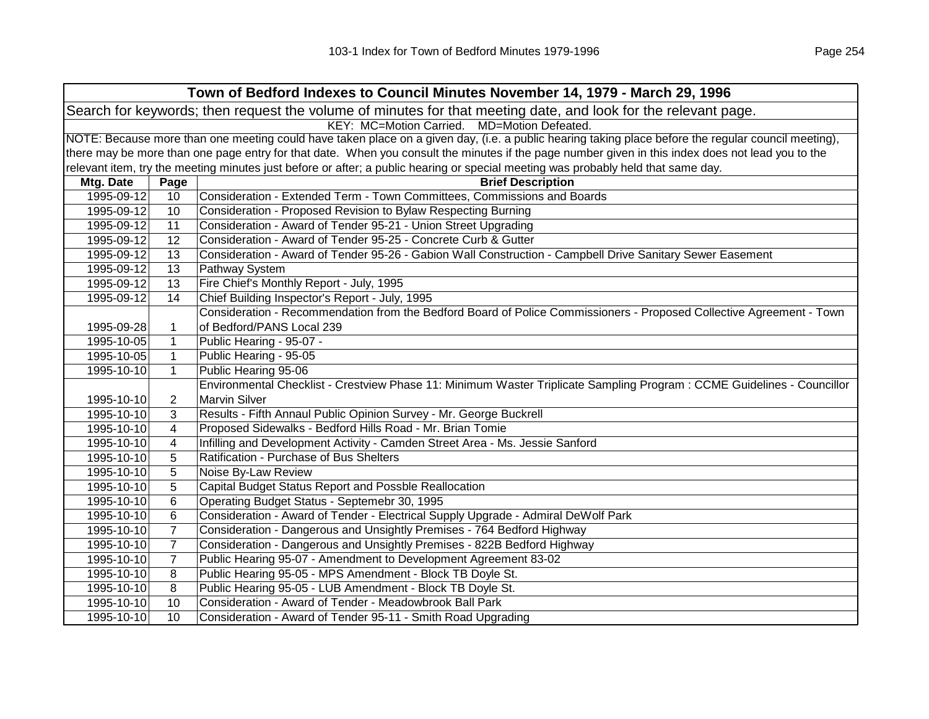| Town of Bedford Indexes to Council Minutes November 14, 1979 - March 29, 1996                                                                       |                |                                                                                                                                   |
|-----------------------------------------------------------------------------------------------------------------------------------------------------|----------------|-----------------------------------------------------------------------------------------------------------------------------------|
|                                                                                                                                                     |                | Search for keywords; then request the volume of minutes for that meeting date, and look for the relevant page.                    |
|                                                                                                                                                     |                | KEY: MC=Motion Carried. MD=Motion Defeated.                                                                                       |
| NOTE: Because more than one meeting could have taken place on a given day, (i.e. a public hearing taking place before the regular council meeting), |                |                                                                                                                                   |
| there may be more than one page entry for that date. When you consult the minutes if the page number given in this index does not lead you to the   |                |                                                                                                                                   |
|                                                                                                                                                     |                | relevant item, try the meeting minutes just before or after; a public hearing or special meeting was probably held that same day. |
| Mtg. Date                                                                                                                                           | Page           | <b>Brief Description</b>                                                                                                          |
| 1995-09-12                                                                                                                                          | 10             | Consideration - Extended Term - Town Committees, Commissions and Boards                                                           |
| 1995-09-12                                                                                                                                          | 10             | Consideration - Proposed Revision to Bylaw Respecting Burning                                                                     |
| 1995-09-12                                                                                                                                          | 11             | Consideration - Award of Tender 95-21 - Union Street Upgrading                                                                    |
| 1995-09-12                                                                                                                                          | 12             | Consideration - Award of Tender 95-25 - Concrete Curb & Gutter                                                                    |
| 1995-09-12                                                                                                                                          | 13             | Consideration - Award of Tender 95-26 - Gabion Wall Construction - Campbell Drive Sanitary Sewer Easement                         |
| 1995-09-12                                                                                                                                          | 13             | Pathway System                                                                                                                    |
| 1995-09-12                                                                                                                                          | 13             | Fire Chief's Monthly Report - July, 1995                                                                                          |
| 1995-09-12                                                                                                                                          | 14             | Chief Building Inspector's Report - July, 1995                                                                                    |
|                                                                                                                                                     |                | Consideration - Recommendation from the Bedford Board of Police Commissioners - Proposed Collective Agreement - Town              |
| 1995-09-28                                                                                                                                          | 1              | of Bedford/PANS Local 239                                                                                                         |
| 1995-10-05                                                                                                                                          | 1              | Public Hearing - 95-07 -                                                                                                          |
| 1995-10-05                                                                                                                                          | $\mathbf{1}$   | Public Hearing - 95-05                                                                                                            |
| 1995-10-10                                                                                                                                          | $\mathbf{1}$   | Public Hearing 95-06                                                                                                              |
|                                                                                                                                                     |                | Environmental Checklist - Crestview Phase 11: Minimum Waster Triplicate Sampling Program : CCME Guidelines - Councillor           |
| 1995-10-10                                                                                                                                          | $\overline{2}$ | <b>Marvin Silver</b>                                                                                                              |
| 1995-10-10                                                                                                                                          | 3              | Results - Fifth Annaul Public Opinion Survey - Mr. George Buckrell                                                                |
| 1995-10-10                                                                                                                                          | 4              | Proposed Sidewalks - Bedford Hills Road - Mr. Brian Tomie                                                                         |
| 1995-10-10                                                                                                                                          | 4              | Infilling and Development Activity - Camden Street Area - Ms. Jessie Sanford                                                      |
| 1995-10-10                                                                                                                                          | 5              | Ratification - Purchase of Bus Shelters                                                                                           |
| 1995-10-10                                                                                                                                          | 5              | Noise By-Law Review                                                                                                               |
| 1995-10-10                                                                                                                                          | 5              | Capital Budget Status Report and Possble Reallocation                                                                             |
| 1995-10-10                                                                                                                                          | 6              | Operating Budget Status - Septemebr 30, 1995                                                                                      |
| 1995-10-10                                                                                                                                          | 6              | Consideration - Award of Tender - Electrical Supply Upgrade - Admiral DeWolf Park                                                 |
| 1995-10-10                                                                                                                                          | $\overline{7}$ | Consideration - Dangerous and Unsightly Premises - 764 Bedford Highway                                                            |
| 1995-10-10                                                                                                                                          | $\overline{7}$ | Consideration - Dangerous and Unsightly Premises - 822B Bedford Highway                                                           |
| 1995-10-10                                                                                                                                          | $\overline{7}$ | Public Hearing 95-07 - Amendment to Development Agreement 83-02                                                                   |
| 1995-10-10                                                                                                                                          | 8              | Public Hearing 95-05 - MPS Amendment - Block TB Doyle St.                                                                         |
| 1995-10-10                                                                                                                                          | 8              | Public Hearing 95-05 - LUB Amendment - Block TB Doyle St.                                                                         |
| 1995-10-10                                                                                                                                          | 10             | Consideration - Award of Tender - Meadowbrook Ball Park                                                                           |
| 1995-10-10                                                                                                                                          | 10             | Consideration - Award of Tender 95-11 - Smith Road Upgrading                                                                      |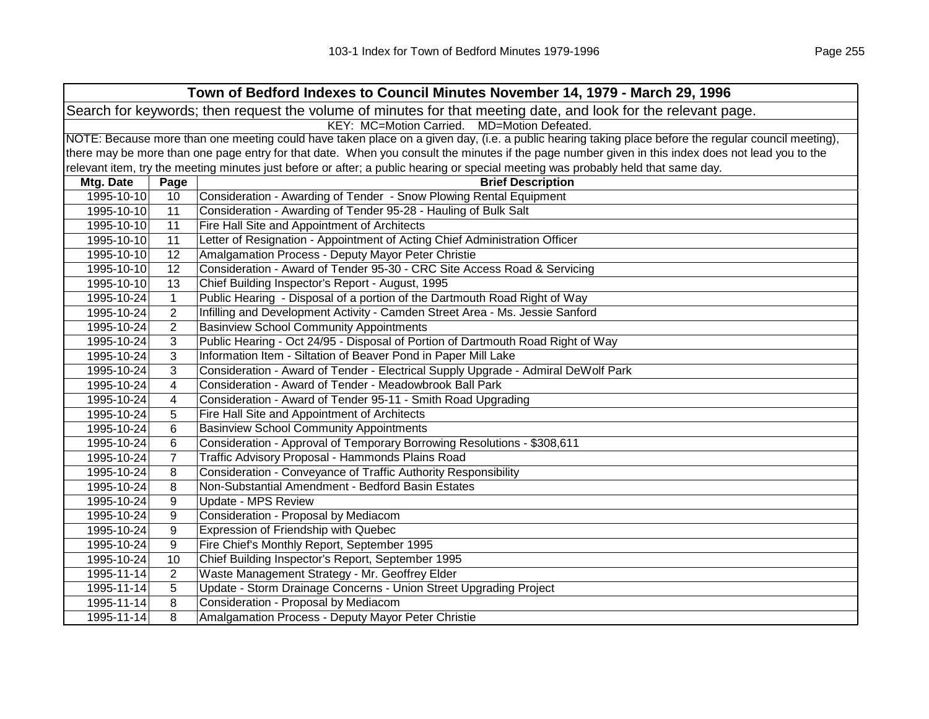| Town of Bedford Indexes to Council Minutes November 14, 1979 - March 29, 1996 |                |                                                                                                                                                     |
|-------------------------------------------------------------------------------|----------------|-----------------------------------------------------------------------------------------------------------------------------------------------------|
|                                                                               |                | Search for keywords; then request the volume of minutes for that meeting date, and look for the relevant page.                                      |
|                                                                               |                | KEY: MC=Motion Carried. MD=Motion Defeated.                                                                                                         |
|                                                                               |                | NOTE: Because more than one meeting could have taken place on a given day, (i.e. a public hearing taking place before the regular council meeting), |
|                                                                               |                | there may be more than one page entry for that date. When you consult the minutes if the page number given in this index does not lead you to the   |
|                                                                               |                | relevant item, try the meeting minutes just before or after; a public hearing or special meeting was probably held that same day.                   |
| Mtg. Date                                                                     | Page           | <b>Brief Description</b>                                                                                                                            |
| 1995-10-10                                                                    | 10             | Consideration - Awarding of Tender - Snow Plowing Rental Equipment                                                                                  |
| 1995-10-10                                                                    | 11             | Consideration - Awarding of Tender 95-28 - Hauling of Bulk Salt                                                                                     |
| 1995-10-10                                                                    | 11             | Fire Hall Site and Appointment of Architects                                                                                                        |
| 1995-10-10                                                                    | 11             | Letter of Resignation - Appointment of Acting Chief Administration Officer                                                                          |
| 1995-10-10                                                                    | 12             | Amalgamation Process - Deputy Mayor Peter Christie                                                                                                  |
| 1995-10-10                                                                    | 12             | Consideration - Award of Tender 95-30 - CRC Site Access Road & Servicing                                                                            |
| 1995-10-10                                                                    | 13             | Chief Building Inspector's Report - August, 1995                                                                                                    |
| 1995-10-24                                                                    | $\mathbf{1}$   | Public Hearing - Disposal of a portion of the Dartmouth Road Right of Way                                                                           |
| 1995-10-24                                                                    | $\overline{2}$ | Infilling and Development Activity - Camden Street Area - Ms. Jessie Sanford                                                                        |
| 1995-10-24                                                                    | $\overline{2}$ | <b>Basinview School Community Appointments</b>                                                                                                      |
| 1995-10-24                                                                    | 3              | Public Hearing - Oct 24/95 - Disposal of Portion of Dartmouth Road Right of Way                                                                     |
| 1995-10-24                                                                    | 3              | Information Item - Siltation of Beaver Pond in Paper Mill Lake                                                                                      |
| 1995-10-24                                                                    | 3              | Consideration - Award of Tender - Electrical Supply Upgrade - Admiral DeWolf Park                                                                   |
| 1995-10-24                                                                    | 4              | Consideration - Award of Tender - Meadowbrook Ball Park                                                                                             |
| 1995-10-24                                                                    | 4              | Consideration - Award of Tender 95-11 - Smith Road Upgrading                                                                                        |
| 1995-10-24                                                                    | 5              | Fire Hall Site and Appointment of Architects                                                                                                        |
| 1995-10-24                                                                    | 6              | <b>Basinview School Community Appointments</b>                                                                                                      |
| 1995-10-24                                                                    | 6              | Consideration - Approval of Temporary Borrowing Resolutions - \$308,611                                                                             |
| 1995-10-24                                                                    | $\overline{7}$ | <b>Traffic Advisory Proposal - Hammonds Plains Road</b>                                                                                             |
| 1995-10-24                                                                    | 8              | Consideration - Conveyance of Traffic Authority Responsibility                                                                                      |
| 1995-10-24                                                                    | 8              | Non-Substantial Amendment - Bedford Basin Estates                                                                                                   |
| 1995-10-24                                                                    | 9              | Update - MPS Review                                                                                                                                 |
| 1995-10-24                                                                    | 9              | Consideration - Proposal by Mediacom                                                                                                                |
| 1995-10-24                                                                    | 9              | Expression of Friendship with Quebec                                                                                                                |
| 1995-10-24                                                                    | 9              | Fire Chief's Monthly Report, September 1995                                                                                                         |
| 1995-10-24                                                                    | 10             | Chief Building Inspector's Report, September 1995                                                                                                   |
| 1995-11-14                                                                    | 2              | Waste Management Strategy - Mr. Geoffrey Elder                                                                                                      |
| 1995-11-14                                                                    | 5              | Update - Storm Drainage Concerns - Union Street Upgrading Project                                                                                   |
| 1995-11-14                                                                    | 8              | Consideration - Proposal by Mediacom                                                                                                                |
| 1995-11-14                                                                    | 8              | Amalgamation Process - Deputy Mayor Peter Christie                                                                                                  |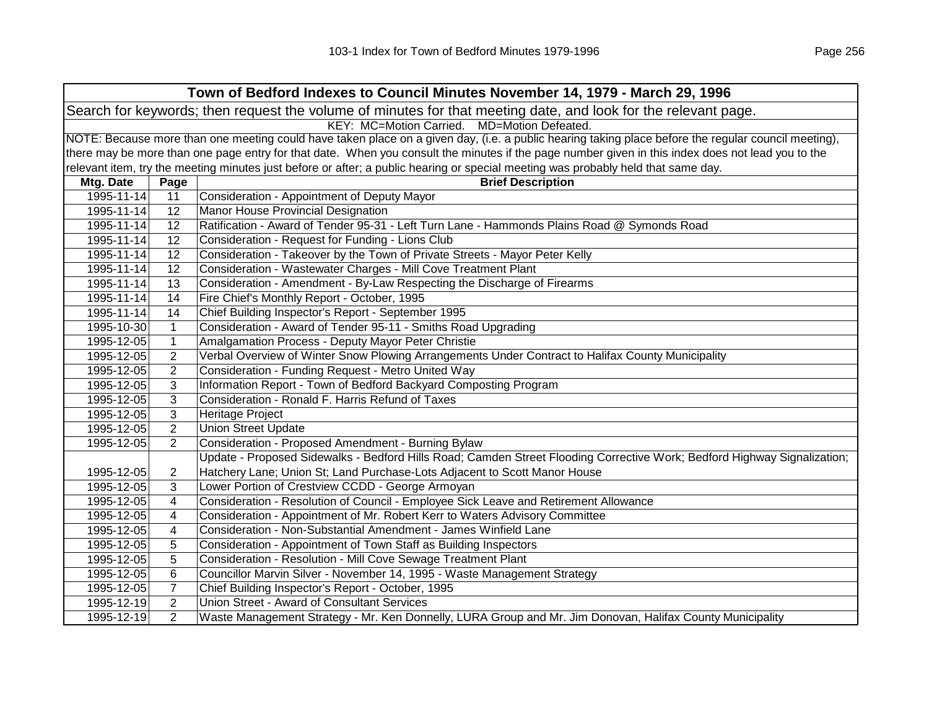| Town of Bedford Indexes to Council Minutes November 14, 1979 - March 29, 1996                                                                       |                |                                                                                                                                   |
|-----------------------------------------------------------------------------------------------------------------------------------------------------|----------------|-----------------------------------------------------------------------------------------------------------------------------------|
| Search for keywords; then request the volume of minutes for that meeting date, and look for the relevant page.                                      |                |                                                                                                                                   |
|                                                                                                                                                     |                | KEY: MC=Motion Carried. MD=Motion Defeated.                                                                                       |
| NOTE: Because more than one meeting could have taken place on a given day, (i.e. a public hearing taking place before the regular council meeting), |                |                                                                                                                                   |
| there may be more than one page entry for that date. When you consult the minutes if the page number given in this index does not lead you to the   |                |                                                                                                                                   |
|                                                                                                                                                     |                | relevant item, try the meeting minutes just before or after; a public hearing or special meeting was probably held that same day. |
| Mtg. Date                                                                                                                                           | Page           | <b>Brief Description</b>                                                                                                          |
| 1995-11-14                                                                                                                                          | 11             | Consideration - Appointment of Deputy Mayor                                                                                       |
| 1995-11-14                                                                                                                                          | 12             | Manor House Provincial Designation                                                                                                |
| 1995-11-14                                                                                                                                          | 12             | Ratification - Award of Tender 95-31 - Left Turn Lane - Hammonds Plains Road @ Symonds Road                                       |
| 1995-11-14                                                                                                                                          | 12             | Consideration - Request for Funding - Lions Club                                                                                  |
| 1995-11-14                                                                                                                                          | 12             | Consideration - Takeover by the Town of Private Streets - Mayor Peter Kelly                                                       |
| 1995-11-14                                                                                                                                          | 12             | Consideration - Wastewater Charges - Mill Cove Treatment Plant                                                                    |
| 1995-11-14                                                                                                                                          | 13             | Consideration - Amendment - By-Law Respecting the Discharge of Firearms                                                           |
| 1995-11-14                                                                                                                                          | 14             | Fire Chief's Monthly Report - October, 1995                                                                                       |
| 1995-11-14                                                                                                                                          | 14             | Chief Building Inspector's Report - September 1995                                                                                |
| 1995-10-30                                                                                                                                          | $\mathbf{1}$   | Consideration - Award of Tender 95-11 - Smiths Road Upgrading                                                                     |
| 1995-12-05                                                                                                                                          | $\mathbf{1}$   | Amalgamation Process - Deputy Mayor Peter Christie                                                                                |
| 1995-12-05                                                                                                                                          | $\overline{2}$ | Verbal Overview of Winter Snow Plowing Arrangements Under Contract to Halifax County Municipality                                 |
| 1995-12-05                                                                                                                                          | $\overline{2}$ | Consideration - Funding Request - Metro United Way                                                                                |
| 1995-12-05                                                                                                                                          | 3              | Information Report - Town of Bedford Backyard Composting Program                                                                  |
| 1995-12-05                                                                                                                                          | 3              | Consideration - Ronald F. Harris Refund of Taxes                                                                                  |
| 1995-12-05                                                                                                                                          | $\mathbf{3}$   | Heritage Project                                                                                                                  |
| 1995-12-05                                                                                                                                          | $\overline{2}$ | <b>Union Street Update</b>                                                                                                        |
| 1995-12-05                                                                                                                                          | 2              | Consideration - Proposed Amendment - Burning Bylaw                                                                                |
|                                                                                                                                                     |                | Update - Proposed Sidewalks - Bedford Hills Road; Camden Street Flooding Corrective Work; Bedford Highway Signalization;          |
| 1995-12-05                                                                                                                                          | $\overline{2}$ | Hatchery Lane; Union St; Land Purchase-Lots Adjacent to Scott Manor House                                                         |
| 1995-12-05                                                                                                                                          | 3              | Lower Portion of Crestview CCDD - George Armoyan                                                                                  |
| 1995-12-05                                                                                                                                          | 4              | Consideration - Resolution of Council - Employee Sick Leave and Retirement Allowance                                              |
| 1995-12-05                                                                                                                                          | 4              | Consideration - Appointment of Mr. Robert Kerr to Waters Advisory Committee                                                       |
| 1995-12-05                                                                                                                                          | 4              | Consideration - Non-Substantial Amendment - James Winfield Lane                                                                   |
| 1995-12-05                                                                                                                                          | 5              | Consideration - Appointment of Town Staff as Building Inspectors                                                                  |
| 1995-12-05                                                                                                                                          | 5              | Consideration - Resolution - Mill Cove Sewage Treatment Plant                                                                     |
| 1995-12-05                                                                                                                                          | 6              | Councillor Marvin Silver - November 14, 1995 - Waste Management Strategy                                                          |
| 1995-12-05                                                                                                                                          | $\overline{7}$ | Chief Building Inspector's Report - October, 1995                                                                                 |
| 1995-12-19                                                                                                                                          | $\overline{2}$ | Union Street - Award of Consultant Services                                                                                       |
| 1995-12-19                                                                                                                                          | $\overline{2}$ | Waste Management Strategy - Mr. Ken Donnelly, LURA Group and Mr. Jim Donovan, Halifax County Municipality                         |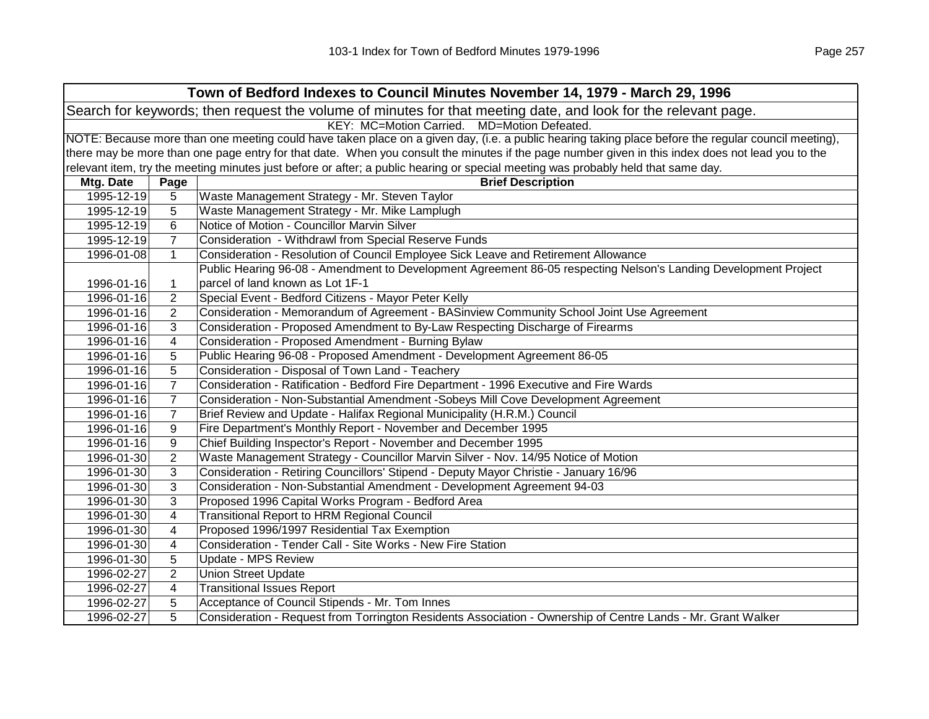| Town of Bedford Indexes to Council Minutes November 14, 1979 - March 29, 1996                                                                       |                |                                                                                                                                   |
|-----------------------------------------------------------------------------------------------------------------------------------------------------|----------------|-----------------------------------------------------------------------------------------------------------------------------------|
| Search for keywords; then request the volume of minutes for that meeting date, and look for the relevant page.                                      |                |                                                                                                                                   |
|                                                                                                                                                     |                | KEY: MC=Motion Carried. MD=Motion Defeated.                                                                                       |
| NOTE: Because more than one meeting could have taken place on a given day, (i.e. a public hearing taking place before the regular council meeting), |                |                                                                                                                                   |
| there may be more than one page entry for that date. When you consult the minutes if the page number given in this index does not lead you to the   |                |                                                                                                                                   |
|                                                                                                                                                     |                | relevant item, try the meeting minutes just before or after; a public hearing or special meeting was probably held that same day. |
| Mtg. Date                                                                                                                                           | Page           | <b>Brief Description</b>                                                                                                          |
| 1995-12-19                                                                                                                                          | 5              | Waste Management Strategy - Mr. Steven Taylor                                                                                     |
| 1995-12-19                                                                                                                                          | 5              | Waste Management Strategy - Mr. Mike Lamplugh                                                                                     |
| 1995-12-19                                                                                                                                          | 6              | Notice of Motion - Councillor Marvin Silver                                                                                       |
| 1995-12-19                                                                                                                                          | $\overline{7}$ | Consideration - Withdrawl from Special Reserve Funds                                                                              |
| 1996-01-08                                                                                                                                          | $\mathbf{1}$   | Consideration - Resolution of Council Employee Sick Leave and Retirement Allowance                                                |
|                                                                                                                                                     |                | Public Hearing 96-08 - Amendment to Development Agreement 86-05 respecting Nelson's Landing Development Project                   |
| 1996-01-16                                                                                                                                          | 1              | parcel of land known as Lot 1F-1                                                                                                  |
| 1996-01-16                                                                                                                                          | 2              | Special Event - Bedford Citizens - Mayor Peter Kelly                                                                              |
| 1996-01-16                                                                                                                                          | 2              | Consideration - Memorandum of Agreement - BASinview Community School Joint Use Agreement                                          |
| 1996-01-16                                                                                                                                          | 3              | Consideration - Proposed Amendment to By-Law Respecting Discharge of Firearms                                                     |
| 1996-01-16                                                                                                                                          | 4              | Consideration - Proposed Amendment - Burning Bylaw                                                                                |
| 1996-01-16                                                                                                                                          | 5              | Public Hearing 96-08 - Proposed Amendment - Development Agreement 86-05                                                           |
| 1996-01-16                                                                                                                                          | 5              | Consideration - Disposal of Town Land - Teachery                                                                                  |
| 1996-01-16                                                                                                                                          | $\overline{7}$ | Consideration - Ratification - Bedford Fire Department - 1996 Executive and Fire Wards                                            |
| 1996-01-16                                                                                                                                          | 7              | Consideration - Non-Substantial Amendment -Sobeys Mill Cove Development Agreement                                                 |
| 1996-01-16                                                                                                                                          | 7              | Brief Review and Update - Halifax Regional Municipality (H.R.M.) Council                                                          |
| 1996-01-16                                                                                                                                          | 9              | Fire Department's Monthly Report - November and December 1995                                                                     |
| 1996-01-16                                                                                                                                          | 9              | Chief Building Inspector's Report - November and December 1995                                                                    |
| 1996-01-30                                                                                                                                          | $\overline{c}$ | Waste Management Strategy - Councillor Marvin Silver - Nov. 14/95 Notice of Motion                                                |
| 1996-01-30                                                                                                                                          | 3              | Consideration - Retiring Councillors' Stipend - Deputy Mayor Christie - January 16/96                                             |
| 1996-01-30                                                                                                                                          | 3              | Consideration - Non-Substantial Amendment - Development Agreement 94-03                                                           |
| 1996-01-30                                                                                                                                          | 3              | Proposed 1996 Capital Works Program - Bedford Area                                                                                |
| 1996-01-30                                                                                                                                          | 4              | <b>Transitional Report to HRM Regional Council</b>                                                                                |
| 1996-01-30                                                                                                                                          | 4              | Proposed 1996/1997 Residential Tax Exemption                                                                                      |
| 1996-01-30                                                                                                                                          | 4              | Consideration - Tender Call - Site Works - New Fire Station                                                                       |
| 1996-01-30                                                                                                                                          | 5              | Update - MPS Review                                                                                                               |
| 1996-02-27                                                                                                                                          | $\overline{2}$ | <b>Union Street Update</b>                                                                                                        |
| 1996-02-27                                                                                                                                          | 4              | <b>Transitional Issues Report</b>                                                                                                 |
| 1996-02-27                                                                                                                                          | 5              | Acceptance of Council Stipends - Mr. Tom Innes                                                                                    |
| 1996-02-27                                                                                                                                          | 5              | Consideration - Request from Torrington Residents Association - Ownership of Centre Lands - Mr. Grant Walker                      |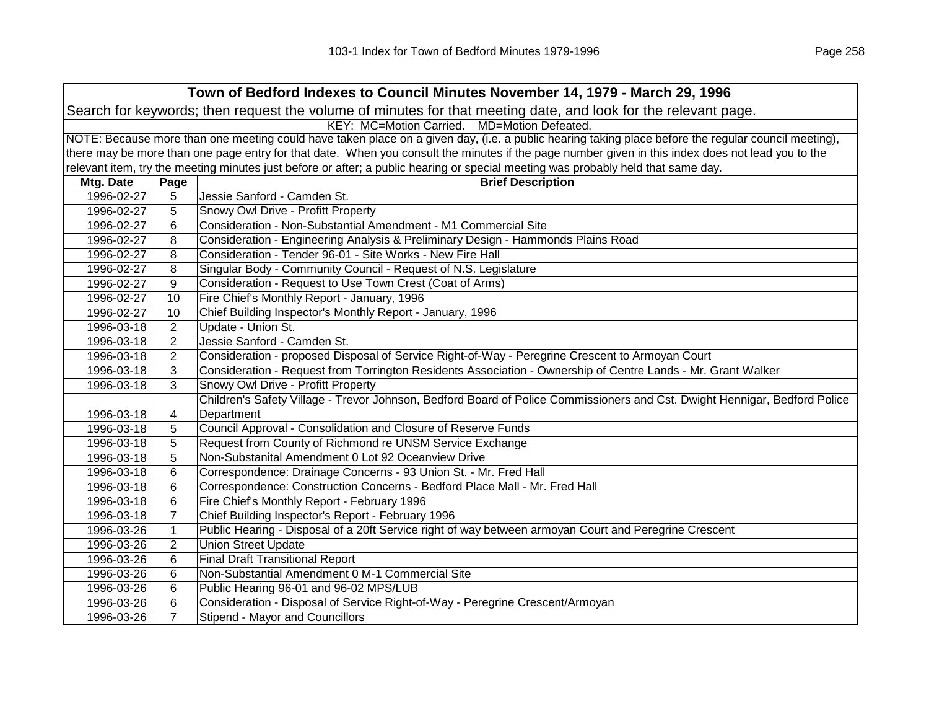| Town of Bedford Indexes to Council Minutes November 14, 1979 - March 29, 1996                                                                       |                |                                                                                                                                   |
|-----------------------------------------------------------------------------------------------------------------------------------------------------|----------------|-----------------------------------------------------------------------------------------------------------------------------------|
| Search for keywords; then request the volume of minutes for that meeting date, and look for the relevant page.                                      |                |                                                                                                                                   |
| KEY: MC=Motion Carried. MD=Motion Defeated.                                                                                                         |                |                                                                                                                                   |
| NOTE: Because more than one meeting could have taken place on a given day, (i.e. a public hearing taking place before the regular council meeting), |                |                                                                                                                                   |
| there may be more than one page entry for that date. When you consult the minutes if the page number given in this index does not lead you to the   |                |                                                                                                                                   |
|                                                                                                                                                     |                | relevant item, try the meeting minutes just before or after; a public hearing or special meeting was probably held that same day. |
| Mtg. Date                                                                                                                                           | Page           | <b>Brief Description</b>                                                                                                          |
| 1996-02-27                                                                                                                                          | 5              | Jessie Sanford - Camden St.                                                                                                       |
| 1996-02-27                                                                                                                                          | 5              | Snowy Owl Drive - Profitt Property                                                                                                |
| 1996-02-27                                                                                                                                          | 6              | Consideration - Non-Substantial Amendment - M1 Commercial Site                                                                    |
| 1996-02-27                                                                                                                                          | 8              | Consideration - Engineering Analysis & Preliminary Design - Hammonds Plains Road                                                  |
| 1996-02-27                                                                                                                                          | 8              | Consideration - Tender 96-01 - Site Works - New Fire Hall                                                                         |
| 1996-02-27                                                                                                                                          | 8              | Singular Body - Community Council - Request of N.S. Legislature                                                                   |
| 1996-02-27                                                                                                                                          | 9              | Consideration - Request to Use Town Crest (Coat of Arms)                                                                          |
| 1996-02-27                                                                                                                                          | 10             | Fire Chief's Monthly Report - January, 1996                                                                                       |
| 1996-02-27                                                                                                                                          | 10             | Chief Building Inspector's Monthly Report - January, 1996                                                                         |
| 1996-03-18                                                                                                                                          | 2              | Update - Union St.                                                                                                                |
| 1996-03-18                                                                                                                                          | $\overline{2}$ | Jessie Sanford - Camden St.                                                                                                       |
| 1996-03-18                                                                                                                                          | $\overline{2}$ | Consideration - proposed Disposal of Service Right-of-Way - Peregrine Crescent to Armoyan Court                                   |
| 1996-03-18                                                                                                                                          | 3              | Consideration - Request from Torrington Residents Association - Ownership of Centre Lands - Mr. Grant Walker                      |
| 1996-03-18                                                                                                                                          | 3              | Snowy Owl Drive - Profitt Property                                                                                                |
|                                                                                                                                                     |                | Children's Safety Village - Trevor Johnson, Bedford Board of Police Commissioners and Cst. Dwight Hennigar, Bedford Police        |
| 1996-03-18                                                                                                                                          | 4              | Department                                                                                                                        |
| 1996-03-18                                                                                                                                          | 5              | Council Approval - Consolidation and Closure of Reserve Funds                                                                     |
| 1996-03-18                                                                                                                                          | 5              | Request from County of Richmond re UNSM Service Exchange                                                                          |
| 1996-03-18                                                                                                                                          | 5              | Non-Substanital Amendment 0 Lot 92 Oceanview Drive                                                                                |
| 1996-03-18                                                                                                                                          | 6              | Correspondence: Drainage Concerns - 93 Union St. - Mr. Fred Hall                                                                  |
| 1996-03-18                                                                                                                                          | 6              | Correspondence: Construction Concerns - Bedford Place Mall - Mr. Fred Hall                                                        |
| 1996-03-18                                                                                                                                          | 6              | Fire Chief's Monthly Report - February 1996                                                                                       |
| 1996-03-18                                                                                                                                          | $\overline{7}$ | Chief Building Inspector's Report - February 1996                                                                                 |
| 1996-03-26                                                                                                                                          | $\mathbf{1}$   | Public Hearing - Disposal of a 20ft Service right of way between armoyan Court and Peregrine Crescent                             |
| 1996-03-26                                                                                                                                          | $\overline{2}$ | <b>Union Street Update</b>                                                                                                        |
| 1996-03-26                                                                                                                                          | 6              | <b>Final Draft Transitional Report</b>                                                                                            |
| 1996-03-26                                                                                                                                          | 6              | Non-Substantial Amendment 0 M-1 Commercial Site                                                                                   |
| 1996-03-26                                                                                                                                          | 6              | Public Hearing 96-01 and 96-02 MPS/LUB                                                                                            |
| 1996-03-26                                                                                                                                          | 6              | Consideration - Disposal of Service Right-of-Way - Peregrine Crescent/Armoyan                                                     |
| 1996-03-26                                                                                                                                          | $\overline{7}$ | Stipend - Mayor and Councillors                                                                                                   |